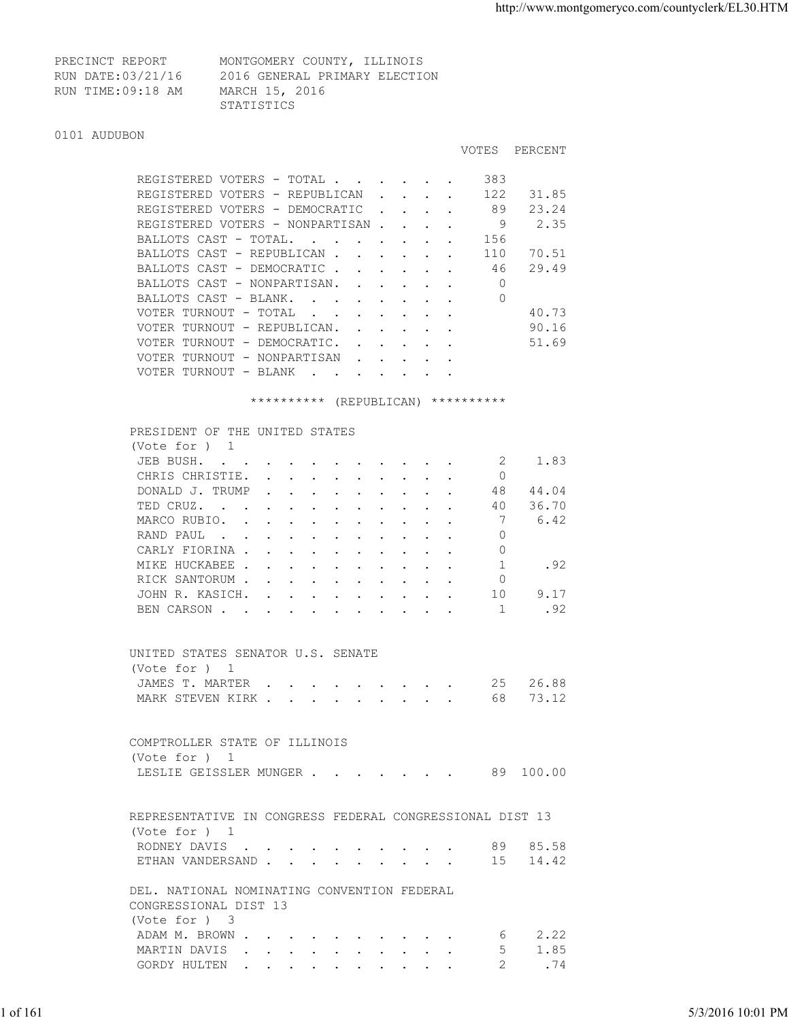VOTES PERCENT

| PRECINCT REPORT   | MONTGOMERY COUNTY, ILLINOIS   |
|-------------------|-------------------------------|
| RUN DATE:03/21/16 | 2016 GENERAL PRIMARY ELECTION |
| RUN TIME:09:18 AM | MARCH 15, 2016                |
|                   | STATISTICS                    |

## 0101 AUDUBON

| REGISTERED VOTERS - TOTAL                               |                           |              |  | 383 |       |
|---------------------------------------------------------|---------------------------|--------------|--|-----|-------|
| REGISTERED VOTERS - REPUBLICAN                          |                           |              |  | 122 | 31.85 |
| REGISTERED VOTERS - DEMOCRATIC                          |                           | $\mathbf{r}$ |  | 89  | 23.24 |
| REGISTERED VOTERS - NONPARTISAN.                        |                           |              |  | 9   | 2.35  |
| BALLOTS CAST - TOTAL.<br>$\sim$ $\sim$<br>$\sim$        |                           |              |  | 156 |       |
| BALLOTS CAST - REPUBLICAN.                              |                           |              |  | 110 | 70.51 |
| BALLOTS CAST - DEMOCRATIC                               |                           |              |  | 46  | 29.49 |
| BALLOTS CAST - NONPARTISAN.                             | $\sim$ $\sim$             |              |  |     |       |
| BALLOTS CAST - BLANK.<br>$\sim$ $\sim$<br>$\sim$ $\sim$ |                           |              |  | 0   |       |
| VOTER TURNOUT - TOTAL<br>$\sim$                         |                           |              |  |     | 40.73 |
| VOTER TURNOUT - REPUBLICAN.                             | $\mathbf{L} = \mathbf{L}$ |              |  |     | 90.16 |
| VOTER TURNOUT - DEMOCRATIC.                             |                           |              |  |     | 51.69 |
| VOTER TURNOUT - NONPARTISAN                             | $\sim$ $\sim$             |              |  |     |       |
| VOTER TURNOUT - BLANK                                   |                           |              |  |     |       |

\*\*\*\*\*\*\*\*\*\* (REPUBLICAN) \*\*\*\*\*\*\*\*\*\*

|          | PRESIDENT OF THE UNITED STATES                           |                   |
|----------|----------------------------------------------------------|-------------------|
|          | (Vote for ) 1                                            |                   |
|          | JEB BUSH.<br>2 1.83                                      |                   |
|          | CHRIS CHRISTIE.<br>$\Omega$                              |                   |
|          | 44.04<br>DONALD J. TRUMP<br>48                           |                   |
|          | TED CRUZ. 40 36.70                                       |                   |
|          | 6.42<br>MARCO RUBIO.<br>$\overline{7}$                   |                   |
|          | RAND PAUL<br>$\circ$                                     |                   |
|          | CARLY FIORINA<br>$\circ$                                 |                   |
|          | MIKE HUCKABEE<br>1<br>.92                                |                   |
|          | $\circ$<br>RICK SANTORUM                                 |                   |
|          | JOHN R. KASICH.<br>10<br>9.17                            |                   |
|          | .92<br>BEN CARSON 1                                      |                   |
|          |                                                          |                   |
|          |                                                          |                   |
|          | UNITED STATES SENATOR U.S. SENATE                        |                   |
|          | (Vote for ) 1                                            |                   |
|          | JAMES T. MARTER 25 26.88                                 |                   |
|          | MARK STEVEN KIRK 68 73.12                                |                   |
|          |                                                          |                   |
|          |                                                          |                   |
|          | COMPTROLLER STATE OF ILLINOIS                            |                   |
|          | (Vote for $)$ 1                                          |                   |
|          | LESLIE GEISSLER MUNGER 89 100.00                         |                   |
|          |                                                          |                   |
|          |                                                          |                   |
|          | REPRESENTATIVE IN CONGRESS FEDERAL CONGRESSIONAL DIST 13 |                   |
|          | (Vote for ) 1                                            |                   |
|          | RODNEY DAVIS 89 85.58                                    |                   |
|          | ETHAN VANDERSAND 15 14.42                                |                   |
|          |                                                          |                   |
|          | DEL. NATIONAL NOMINATING CONVENTION FEDERAL              |                   |
|          | CONGRESSIONAL DIST 13                                    |                   |
|          | (Vote for ) 3                                            |                   |
|          | ADAM M. BROWN<br>$6 \t 2.22$                             |                   |
|          | MARTIN DAVIS<br>5<br>1.85                                |                   |
|          | 2<br>.74<br>GORDY HULTEN                                 |                   |
|          |                                                          |                   |
|          |                                                          |                   |
|          |                                                          |                   |
| 1 of 161 |                                                          | 5/3/2016 10:01 PM |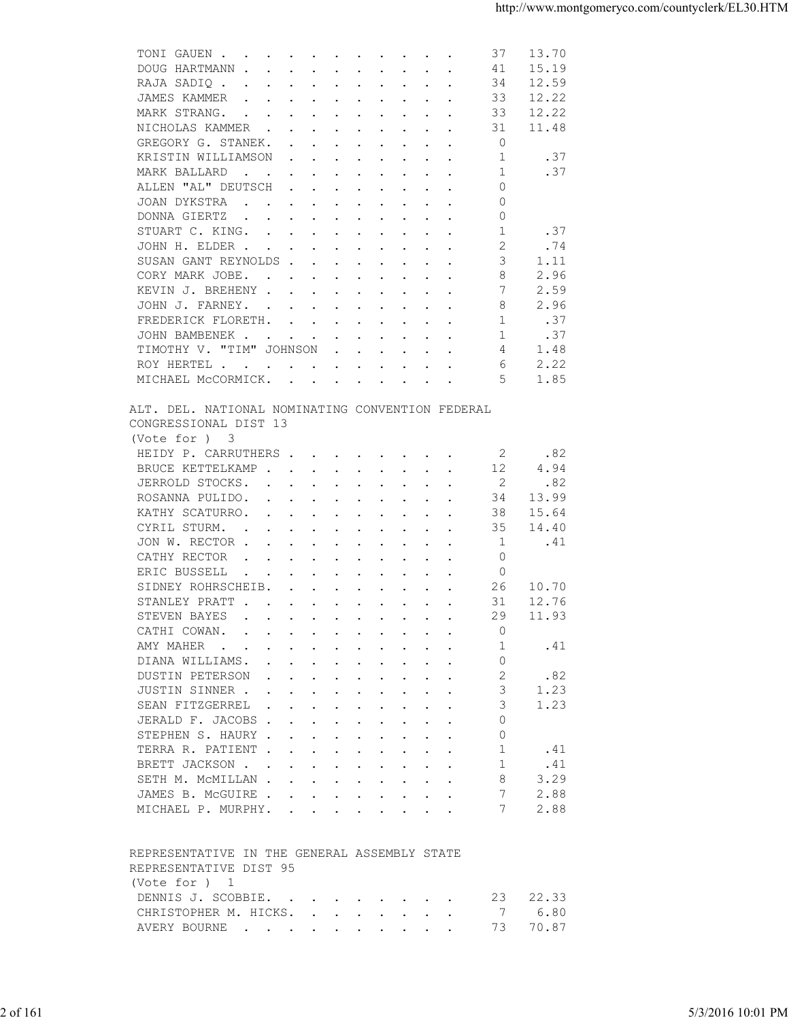| DOUG HARTMANN<br>15.19<br>41<br>12.59<br>34<br>RAJA SADIQ<br>33<br>12.22<br>JAMES KAMMER<br>$\mathbf{r}$ . The contract of the contract of the contract of the contract of the contract of the contract of the contract of the contract of the contract of the contract of the contract of the contract of the contract of th<br>12.22<br>MARK STRANG.<br>33<br>$\mathbf{r}$ , and $\mathbf{r}$ , and $\mathbf{r}$ , and $\mathbf{r}$ , and $\mathbf{r}$<br>11.48<br>NICHOLAS KAMMER<br>31<br>GREGORY G. STANEK.<br>0<br>$\mathbf{r}$ . The contract of the contract of the contract of the contract of the contract of the contract of the contract of the contract of the contract of the contract of the contract of the contract of the contract of th<br>.37<br>-1<br>KRISTIN WILLIAMSON<br>$\mathbf{r}$ , and $\mathbf{r}$ , and $\mathbf{r}$ , and $\mathbf{r}$ , and $\mathbf{r}$<br>1<br>.37<br>MARK BALLARD<br>$\mathbf{r}$ . The contract of the contract of the contract of the contract of the contract of the contract of the contract of the contract of the contract of the contract of the contract of the contract of the contract of th<br>ALLEN "AL" DEUTSCH<br>$\Omega$<br>$\mathbf{r}$ . The contract of the contract of the contract of the contract of the contract of the contract of the contract of the contract of the contract of the contract of the contract of the contract of the contract of th<br>$\circ$<br>JOAN DYKSTRA<br>$\mathbf{r}$ , and $\mathbf{r}$ , and $\mathbf{r}$ , and $\mathbf{r}$ , and $\mathbf{r}$<br>$\circ$<br>DONNA GIERTZ<br>$\mathbf{r}$ , and $\mathbf{r}$ , and $\mathbf{r}$ , and $\mathbf{r}$ , and $\mathbf{r}$<br>1<br>STUART C. KING.<br>.37<br>2<br>.74<br>JOHN H. ELDER<br>SUSAN GANT REYNOLDS<br>3<br>1.11<br>8<br>2.96<br>CORY MARK JOBE.<br>KEVIN J. BREHENY<br>7<br>2.59<br>2.96<br>JOHN J. FARNEY.<br>8<br>.37<br>FREDERICK FLORETH.<br>1<br>JOHN BAMBENEK<br>.37<br>-1<br>TIMOTHY V. "TIM" JOHNSON<br>4<br>1.48<br>$\mathbf{r}$ , $\mathbf{r}$ , $\mathbf{r}$ , $\mathbf{r}$ , $\mathbf{r}$ , $\mathbf{r}$<br>2.22<br>ROY HERTEL<br>6<br>MICHAEL MCCORMICK.<br>5<br>1.85<br>ALT. DEL. NATIONAL NOMINATING CONVENTION FEDERAL<br>CONGRESSIONAL DIST 13<br>(Vote for ) 3<br>.82<br>HEIDY P. CARRUTHERS.<br>2<br>$\mathbf{r}$ , and $\mathbf{r}$ , and $\mathbf{r}$ , and $\mathbf{r}$<br>BRUCE KETTELKAMP.<br>12<br>4.94<br>$\mathbf{r}$ , $\mathbf{r}$ , $\mathbf{r}$ , $\mathbf{r}$ , $\mathbf{r}$ , $\mathbf{r}$ , $\mathbf{r}$<br>JERROLD STOCKS.<br>2<br>.82<br>the contract of the contract of the contract of the contract of the contract of the contract of the contract of<br>ROSANNA PULIDO.<br>34<br>13.99<br>$\mathbf{r}$ . The contract of the contract of the contract of the contract of the contract of the contract of the contract of the contract of the contract of the contract of the contract of the contract of the contract of th<br>KATHY SCATURRO.<br>15.64<br>38<br>the contract of the contract of the contract of the contract of the contract of the contract of the contract of<br>35<br>14.40<br>CYRIL STURM.<br>$\mathbf{r} = \mathbf{r} + \mathbf{r} + \mathbf{r} + \mathbf{r} + \mathbf{r} + \mathbf{r} + \mathbf{r} + \mathbf{r} + \mathbf{r} + \mathbf{r} + \mathbf{r} + \mathbf{r} + \mathbf{r} + \mathbf{r} + \mathbf{r} + \mathbf{r} + \mathbf{r} + \mathbf{r} + \mathbf{r} + \mathbf{r} + \mathbf{r} + \mathbf{r} + \mathbf{r} + \mathbf{r} + \mathbf{r} + \mathbf{r} + \mathbf{r} + \mathbf{r} + \mathbf{r} + \mathbf{r} + \mathbf$<br>JON W. RECTOR<br>-1<br>.41<br>$\circ$<br>CATHY RECTOR<br>$\mathbf{r}$ , and $\mathbf{r}$ , and $\mathbf{r}$ , and $\mathbf{r}$ , and $\mathbf{r}$<br>ERIC BUSSELL<br>$\circ$<br>the contract of the contract of the contract of the contract of the contract of the contract of the contract of<br>$\sim$ $\sim$<br>SIDNEY ROHRSCHEIB.<br>26<br>10.70<br>$\mathbf{r}$ , $\mathbf{r}$ , $\mathbf{r}$ , $\mathbf{r}$ , $\mathbf{r}$ , $\mathbf{r}$<br>31<br>12.76<br>STANLEY PRATT<br>STEVEN BAYES<br>29<br>11.93<br>the contract of the contract of the contract of the contract of the contract of the contract of the contract of<br>CATHI COWAN.<br>$\circ$<br>1<br>.41<br>AMY MAHER<br>DIANA WILLIAMS.<br>$\circ$<br>2<br>.82<br>DUSTIN PETERSON<br>JUSTIN SINNER<br>3<br>1.23<br>1.23<br>SEAN FITZGERREL<br>3<br>JERALD F. JACOBS<br>$\Omega$<br>STEPHEN S. HAURY<br>$\Omega$<br>TERRA R. PATIENT<br>-1<br>.41<br>BRETT JACKSON<br>.41<br>-1<br>8<br>3.29<br>SETH M. MCMILLAN<br>JAMES B. MCGUIRE<br>7<br>2.88<br>7<br>2.88<br>MICHAEL P. MURPHY.<br>REPRESENTATIVE IN THE GENERAL ASSEMBLY STATE<br>REPRESENTATIVE DIST 95<br>(Vote for ) 1<br>DENNIS J. SCOBBIE.<br>22.33<br>23<br>$\mathbf{r}$ , and $\mathbf{r}$ , and $\mathbf{r}$ , and $\mathbf{r}$<br>CHRISTOPHER M. HICKS.<br>7<br>6.80<br>70.87<br>73<br>AVERY BOURNE<br>5/3/2016 10:01 PM | 2 of 161 |  | TONI GAUEN<br>37<br>13.70 |  |
|---------------------------------------------------------------------------------------------------------------------------------------------------------------------------------------------------------------------------------------------------------------------------------------------------------------------------------------------------------------------------------------------------------------------------------------------------------------------------------------------------------------------------------------------------------------------------------------------------------------------------------------------------------------------------------------------------------------------------------------------------------------------------------------------------------------------------------------------------------------------------------------------------------------------------------------------------------------------------------------------------------------------------------------------------------------------------------------------------------------------------------------------------------------------------------------------------------------------------------------------------------------------------------------------------------------------------------------------------------------------------------------------------------------------------------------------------------------------------------------------------------------------------------------------------------------------------------------------------------------------------------------------------------------------------------------------------------------------------------------------------------------------------------------------------------------------------------------------------------------------------------------------------------------------------------------------------------------------------------------------------------------------------------------------------------------------------------------------------------------------------------------------------------------------------------------------------------------------------------------------------------------------------------------------------------------------------------------------------------------------------------------------------------------------------------------------------------------------------------------------------------------------------------------------------------------------------------------------------------------------------------------------------------------------------------------------------------------------------------------------------------------------------------------------------------------------------------------------------------------------------------------------------------------------------------------------------------------------------------------------------------------------------------------------------------------------------------------------------------------------------------------------------------------------------------------------------------------------------------------------------------------------------------------------------------------------------------------------------------------------------------------------------------------------------------------------------------------------------------------------------------------------------------------------------------------------------------------------------------------------------------------------------------------------------------------------------------------------------------------------------------------------------------------------------------------------------------------------------------------------------------------------------------------------------------------------------------------------------------------------------------------------------------------------------------------------------------------------------------------------------------------------------------------------------------------------------------------------------------------------------------------------------------------------------------------------------------------------------------------------------------------------------------------------------------------------------------------------------------------------------------------------------------------------------------------------------------------------------------------------------------------------------------------------------------------------------------------------------------------------------------------------------------------------------------------------------------------------------------------------------------------------------------------------|----------|--|---------------------------|--|
|                                                                                                                                                                                                                                                                                                                                                                                                                                                                                                                                                                                                                                                                                                                                                                                                                                                                                                                                                                                                                                                                                                                                                                                                                                                                                                                                                                                                                                                                                                                                                                                                                                                                                                                                                                                                                                                                                                                                                                                                                                                                                                                                                                                                                                                                                                                                                                                                                                                                                                                                                                                                                                                                                                                                                                                                                                                                                                                                                                                                                                                                                                                                                                                                                                                                                                                                                                                                                                                                                                                                                                                                                                                                                                                                                                                                                                                                                                                                                                                                                                                                                                                                                                                                                                                                                                                                                                                                                                                                                                                                                                                                                                                                                                                                                                                                                                                                                                                     |          |  |                           |  |
|                                                                                                                                                                                                                                                                                                                                                                                                                                                                                                                                                                                                                                                                                                                                                                                                                                                                                                                                                                                                                                                                                                                                                                                                                                                                                                                                                                                                                                                                                                                                                                                                                                                                                                                                                                                                                                                                                                                                                                                                                                                                                                                                                                                                                                                                                                                                                                                                                                                                                                                                                                                                                                                                                                                                                                                                                                                                                                                                                                                                                                                                                                                                                                                                                                                                                                                                                                                                                                                                                                                                                                                                                                                                                                                                                                                                                                                                                                                                                                                                                                                                                                                                                                                                                                                                                                                                                                                                                                                                                                                                                                                                                                                                                                                                                                                                                                                                                                                     |          |  |                           |  |
|                                                                                                                                                                                                                                                                                                                                                                                                                                                                                                                                                                                                                                                                                                                                                                                                                                                                                                                                                                                                                                                                                                                                                                                                                                                                                                                                                                                                                                                                                                                                                                                                                                                                                                                                                                                                                                                                                                                                                                                                                                                                                                                                                                                                                                                                                                                                                                                                                                                                                                                                                                                                                                                                                                                                                                                                                                                                                                                                                                                                                                                                                                                                                                                                                                                                                                                                                                                                                                                                                                                                                                                                                                                                                                                                                                                                                                                                                                                                                                                                                                                                                                                                                                                                                                                                                                                                                                                                                                                                                                                                                                                                                                                                                                                                                                                                                                                                                                                     |          |  |                           |  |
|                                                                                                                                                                                                                                                                                                                                                                                                                                                                                                                                                                                                                                                                                                                                                                                                                                                                                                                                                                                                                                                                                                                                                                                                                                                                                                                                                                                                                                                                                                                                                                                                                                                                                                                                                                                                                                                                                                                                                                                                                                                                                                                                                                                                                                                                                                                                                                                                                                                                                                                                                                                                                                                                                                                                                                                                                                                                                                                                                                                                                                                                                                                                                                                                                                                                                                                                                                                                                                                                                                                                                                                                                                                                                                                                                                                                                                                                                                                                                                                                                                                                                                                                                                                                                                                                                                                                                                                                                                                                                                                                                                                                                                                                                                                                                                                                                                                                                                                     |          |  |                           |  |
|                                                                                                                                                                                                                                                                                                                                                                                                                                                                                                                                                                                                                                                                                                                                                                                                                                                                                                                                                                                                                                                                                                                                                                                                                                                                                                                                                                                                                                                                                                                                                                                                                                                                                                                                                                                                                                                                                                                                                                                                                                                                                                                                                                                                                                                                                                                                                                                                                                                                                                                                                                                                                                                                                                                                                                                                                                                                                                                                                                                                                                                                                                                                                                                                                                                                                                                                                                                                                                                                                                                                                                                                                                                                                                                                                                                                                                                                                                                                                                                                                                                                                                                                                                                                                                                                                                                                                                                                                                                                                                                                                                                                                                                                                                                                                                                                                                                                                                                     |          |  |                           |  |
|                                                                                                                                                                                                                                                                                                                                                                                                                                                                                                                                                                                                                                                                                                                                                                                                                                                                                                                                                                                                                                                                                                                                                                                                                                                                                                                                                                                                                                                                                                                                                                                                                                                                                                                                                                                                                                                                                                                                                                                                                                                                                                                                                                                                                                                                                                                                                                                                                                                                                                                                                                                                                                                                                                                                                                                                                                                                                                                                                                                                                                                                                                                                                                                                                                                                                                                                                                                                                                                                                                                                                                                                                                                                                                                                                                                                                                                                                                                                                                                                                                                                                                                                                                                                                                                                                                                                                                                                                                                                                                                                                                                                                                                                                                                                                                                                                                                                                                                     |          |  |                           |  |
|                                                                                                                                                                                                                                                                                                                                                                                                                                                                                                                                                                                                                                                                                                                                                                                                                                                                                                                                                                                                                                                                                                                                                                                                                                                                                                                                                                                                                                                                                                                                                                                                                                                                                                                                                                                                                                                                                                                                                                                                                                                                                                                                                                                                                                                                                                                                                                                                                                                                                                                                                                                                                                                                                                                                                                                                                                                                                                                                                                                                                                                                                                                                                                                                                                                                                                                                                                                                                                                                                                                                                                                                                                                                                                                                                                                                                                                                                                                                                                                                                                                                                                                                                                                                                                                                                                                                                                                                                                                                                                                                                                                                                                                                                                                                                                                                                                                                                                                     |          |  |                           |  |
|                                                                                                                                                                                                                                                                                                                                                                                                                                                                                                                                                                                                                                                                                                                                                                                                                                                                                                                                                                                                                                                                                                                                                                                                                                                                                                                                                                                                                                                                                                                                                                                                                                                                                                                                                                                                                                                                                                                                                                                                                                                                                                                                                                                                                                                                                                                                                                                                                                                                                                                                                                                                                                                                                                                                                                                                                                                                                                                                                                                                                                                                                                                                                                                                                                                                                                                                                                                                                                                                                                                                                                                                                                                                                                                                                                                                                                                                                                                                                                                                                                                                                                                                                                                                                                                                                                                                                                                                                                                                                                                                                                                                                                                                                                                                                                                                                                                                                                                     |          |  |                           |  |
|                                                                                                                                                                                                                                                                                                                                                                                                                                                                                                                                                                                                                                                                                                                                                                                                                                                                                                                                                                                                                                                                                                                                                                                                                                                                                                                                                                                                                                                                                                                                                                                                                                                                                                                                                                                                                                                                                                                                                                                                                                                                                                                                                                                                                                                                                                                                                                                                                                                                                                                                                                                                                                                                                                                                                                                                                                                                                                                                                                                                                                                                                                                                                                                                                                                                                                                                                                                                                                                                                                                                                                                                                                                                                                                                                                                                                                                                                                                                                                                                                                                                                                                                                                                                                                                                                                                                                                                                                                                                                                                                                                                                                                                                                                                                                                                                                                                                                                                     |          |  |                           |  |
|                                                                                                                                                                                                                                                                                                                                                                                                                                                                                                                                                                                                                                                                                                                                                                                                                                                                                                                                                                                                                                                                                                                                                                                                                                                                                                                                                                                                                                                                                                                                                                                                                                                                                                                                                                                                                                                                                                                                                                                                                                                                                                                                                                                                                                                                                                                                                                                                                                                                                                                                                                                                                                                                                                                                                                                                                                                                                                                                                                                                                                                                                                                                                                                                                                                                                                                                                                                                                                                                                                                                                                                                                                                                                                                                                                                                                                                                                                                                                                                                                                                                                                                                                                                                                                                                                                                                                                                                                                                                                                                                                                                                                                                                                                                                                                                                                                                                                                                     |          |  |                           |  |
|                                                                                                                                                                                                                                                                                                                                                                                                                                                                                                                                                                                                                                                                                                                                                                                                                                                                                                                                                                                                                                                                                                                                                                                                                                                                                                                                                                                                                                                                                                                                                                                                                                                                                                                                                                                                                                                                                                                                                                                                                                                                                                                                                                                                                                                                                                                                                                                                                                                                                                                                                                                                                                                                                                                                                                                                                                                                                                                                                                                                                                                                                                                                                                                                                                                                                                                                                                                                                                                                                                                                                                                                                                                                                                                                                                                                                                                                                                                                                                                                                                                                                                                                                                                                                                                                                                                                                                                                                                                                                                                                                                                                                                                                                                                                                                                                                                                                                                                     |          |  |                           |  |
|                                                                                                                                                                                                                                                                                                                                                                                                                                                                                                                                                                                                                                                                                                                                                                                                                                                                                                                                                                                                                                                                                                                                                                                                                                                                                                                                                                                                                                                                                                                                                                                                                                                                                                                                                                                                                                                                                                                                                                                                                                                                                                                                                                                                                                                                                                                                                                                                                                                                                                                                                                                                                                                                                                                                                                                                                                                                                                                                                                                                                                                                                                                                                                                                                                                                                                                                                                                                                                                                                                                                                                                                                                                                                                                                                                                                                                                                                                                                                                                                                                                                                                                                                                                                                                                                                                                                                                                                                                                                                                                                                                                                                                                                                                                                                                                                                                                                                                                     |          |  |                           |  |
|                                                                                                                                                                                                                                                                                                                                                                                                                                                                                                                                                                                                                                                                                                                                                                                                                                                                                                                                                                                                                                                                                                                                                                                                                                                                                                                                                                                                                                                                                                                                                                                                                                                                                                                                                                                                                                                                                                                                                                                                                                                                                                                                                                                                                                                                                                                                                                                                                                                                                                                                                                                                                                                                                                                                                                                                                                                                                                                                                                                                                                                                                                                                                                                                                                                                                                                                                                                                                                                                                                                                                                                                                                                                                                                                                                                                                                                                                                                                                                                                                                                                                                                                                                                                                                                                                                                                                                                                                                                                                                                                                                                                                                                                                                                                                                                                                                                                                                                     |          |  |                           |  |
|                                                                                                                                                                                                                                                                                                                                                                                                                                                                                                                                                                                                                                                                                                                                                                                                                                                                                                                                                                                                                                                                                                                                                                                                                                                                                                                                                                                                                                                                                                                                                                                                                                                                                                                                                                                                                                                                                                                                                                                                                                                                                                                                                                                                                                                                                                                                                                                                                                                                                                                                                                                                                                                                                                                                                                                                                                                                                                                                                                                                                                                                                                                                                                                                                                                                                                                                                                                                                                                                                                                                                                                                                                                                                                                                                                                                                                                                                                                                                                                                                                                                                                                                                                                                                                                                                                                                                                                                                                                                                                                                                                                                                                                                                                                                                                                                                                                                                                                     |          |  |                           |  |
|                                                                                                                                                                                                                                                                                                                                                                                                                                                                                                                                                                                                                                                                                                                                                                                                                                                                                                                                                                                                                                                                                                                                                                                                                                                                                                                                                                                                                                                                                                                                                                                                                                                                                                                                                                                                                                                                                                                                                                                                                                                                                                                                                                                                                                                                                                                                                                                                                                                                                                                                                                                                                                                                                                                                                                                                                                                                                                                                                                                                                                                                                                                                                                                                                                                                                                                                                                                                                                                                                                                                                                                                                                                                                                                                                                                                                                                                                                                                                                                                                                                                                                                                                                                                                                                                                                                                                                                                                                                                                                                                                                                                                                                                                                                                                                                                                                                                                                                     |          |  |                           |  |
|                                                                                                                                                                                                                                                                                                                                                                                                                                                                                                                                                                                                                                                                                                                                                                                                                                                                                                                                                                                                                                                                                                                                                                                                                                                                                                                                                                                                                                                                                                                                                                                                                                                                                                                                                                                                                                                                                                                                                                                                                                                                                                                                                                                                                                                                                                                                                                                                                                                                                                                                                                                                                                                                                                                                                                                                                                                                                                                                                                                                                                                                                                                                                                                                                                                                                                                                                                                                                                                                                                                                                                                                                                                                                                                                                                                                                                                                                                                                                                                                                                                                                                                                                                                                                                                                                                                                                                                                                                                                                                                                                                                                                                                                                                                                                                                                                                                                                                                     |          |  |                           |  |
|                                                                                                                                                                                                                                                                                                                                                                                                                                                                                                                                                                                                                                                                                                                                                                                                                                                                                                                                                                                                                                                                                                                                                                                                                                                                                                                                                                                                                                                                                                                                                                                                                                                                                                                                                                                                                                                                                                                                                                                                                                                                                                                                                                                                                                                                                                                                                                                                                                                                                                                                                                                                                                                                                                                                                                                                                                                                                                                                                                                                                                                                                                                                                                                                                                                                                                                                                                                                                                                                                                                                                                                                                                                                                                                                                                                                                                                                                                                                                                                                                                                                                                                                                                                                                                                                                                                                                                                                                                                                                                                                                                                                                                                                                                                                                                                                                                                                                                                     |          |  |                           |  |
|                                                                                                                                                                                                                                                                                                                                                                                                                                                                                                                                                                                                                                                                                                                                                                                                                                                                                                                                                                                                                                                                                                                                                                                                                                                                                                                                                                                                                                                                                                                                                                                                                                                                                                                                                                                                                                                                                                                                                                                                                                                                                                                                                                                                                                                                                                                                                                                                                                                                                                                                                                                                                                                                                                                                                                                                                                                                                                                                                                                                                                                                                                                                                                                                                                                                                                                                                                                                                                                                                                                                                                                                                                                                                                                                                                                                                                                                                                                                                                                                                                                                                                                                                                                                                                                                                                                                                                                                                                                                                                                                                                                                                                                                                                                                                                                                                                                                                                                     |          |  |                           |  |
|                                                                                                                                                                                                                                                                                                                                                                                                                                                                                                                                                                                                                                                                                                                                                                                                                                                                                                                                                                                                                                                                                                                                                                                                                                                                                                                                                                                                                                                                                                                                                                                                                                                                                                                                                                                                                                                                                                                                                                                                                                                                                                                                                                                                                                                                                                                                                                                                                                                                                                                                                                                                                                                                                                                                                                                                                                                                                                                                                                                                                                                                                                                                                                                                                                                                                                                                                                                                                                                                                                                                                                                                                                                                                                                                                                                                                                                                                                                                                                                                                                                                                                                                                                                                                                                                                                                                                                                                                                                                                                                                                                                                                                                                                                                                                                                                                                                                                                                     |          |  |                           |  |
|                                                                                                                                                                                                                                                                                                                                                                                                                                                                                                                                                                                                                                                                                                                                                                                                                                                                                                                                                                                                                                                                                                                                                                                                                                                                                                                                                                                                                                                                                                                                                                                                                                                                                                                                                                                                                                                                                                                                                                                                                                                                                                                                                                                                                                                                                                                                                                                                                                                                                                                                                                                                                                                                                                                                                                                                                                                                                                                                                                                                                                                                                                                                                                                                                                                                                                                                                                                                                                                                                                                                                                                                                                                                                                                                                                                                                                                                                                                                                                                                                                                                                                                                                                                                                                                                                                                                                                                                                                                                                                                                                                                                                                                                                                                                                                                                                                                                                                                     |          |  |                           |  |
|                                                                                                                                                                                                                                                                                                                                                                                                                                                                                                                                                                                                                                                                                                                                                                                                                                                                                                                                                                                                                                                                                                                                                                                                                                                                                                                                                                                                                                                                                                                                                                                                                                                                                                                                                                                                                                                                                                                                                                                                                                                                                                                                                                                                                                                                                                                                                                                                                                                                                                                                                                                                                                                                                                                                                                                                                                                                                                                                                                                                                                                                                                                                                                                                                                                                                                                                                                                                                                                                                                                                                                                                                                                                                                                                                                                                                                                                                                                                                                                                                                                                                                                                                                                                                                                                                                                                                                                                                                                                                                                                                                                                                                                                                                                                                                                                                                                                                                                     |          |  |                           |  |
|                                                                                                                                                                                                                                                                                                                                                                                                                                                                                                                                                                                                                                                                                                                                                                                                                                                                                                                                                                                                                                                                                                                                                                                                                                                                                                                                                                                                                                                                                                                                                                                                                                                                                                                                                                                                                                                                                                                                                                                                                                                                                                                                                                                                                                                                                                                                                                                                                                                                                                                                                                                                                                                                                                                                                                                                                                                                                                                                                                                                                                                                                                                                                                                                                                                                                                                                                                                                                                                                                                                                                                                                                                                                                                                                                                                                                                                                                                                                                                                                                                                                                                                                                                                                                                                                                                                                                                                                                                                                                                                                                                                                                                                                                                                                                                                                                                                                                                                     |          |  |                           |  |
|                                                                                                                                                                                                                                                                                                                                                                                                                                                                                                                                                                                                                                                                                                                                                                                                                                                                                                                                                                                                                                                                                                                                                                                                                                                                                                                                                                                                                                                                                                                                                                                                                                                                                                                                                                                                                                                                                                                                                                                                                                                                                                                                                                                                                                                                                                                                                                                                                                                                                                                                                                                                                                                                                                                                                                                                                                                                                                                                                                                                                                                                                                                                                                                                                                                                                                                                                                                                                                                                                                                                                                                                                                                                                                                                                                                                                                                                                                                                                                                                                                                                                                                                                                                                                                                                                                                                                                                                                                                                                                                                                                                                                                                                                                                                                                                                                                                                                                                     |          |  |                           |  |
|                                                                                                                                                                                                                                                                                                                                                                                                                                                                                                                                                                                                                                                                                                                                                                                                                                                                                                                                                                                                                                                                                                                                                                                                                                                                                                                                                                                                                                                                                                                                                                                                                                                                                                                                                                                                                                                                                                                                                                                                                                                                                                                                                                                                                                                                                                                                                                                                                                                                                                                                                                                                                                                                                                                                                                                                                                                                                                                                                                                                                                                                                                                                                                                                                                                                                                                                                                                                                                                                                                                                                                                                                                                                                                                                                                                                                                                                                                                                                                                                                                                                                                                                                                                                                                                                                                                                                                                                                                                                                                                                                                                                                                                                                                                                                                                                                                                                                                                     |          |  |                           |  |
|                                                                                                                                                                                                                                                                                                                                                                                                                                                                                                                                                                                                                                                                                                                                                                                                                                                                                                                                                                                                                                                                                                                                                                                                                                                                                                                                                                                                                                                                                                                                                                                                                                                                                                                                                                                                                                                                                                                                                                                                                                                                                                                                                                                                                                                                                                                                                                                                                                                                                                                                                                                                                                                                                                                                                                                                                                                                                                                                                                                                                                                                                                                                                                                                                                                                                                                                                                                                                                                                                                                                                                                                                                                                                                                                                                                                                                                                                                                                                                                                                                                                                                                                                                                                                                                                                                                                                                                                                                                                                                                                                                                                                                                                                                                                                                                                                                                                                                                     |          |  |                           |  |
|                                                                                                                                                                                                                                                                                                                                                                                                                                                                                                                                                                                                                                                                                                                                                                                                                                                                                                                                                                                                                                                                                                                                                                                                                                                                                                                                                                                                                                                                                                                                                                                                                                                                                                                                                                                                                                                                                                                                                                                                                                                                                                                                                                                                                                                                                                                                                                                                                                                                                                                                                                                                                                                                                                                                                                                                                                                                                                                                                                                                                                                                                                                                                                                                                                                                                                                                                                                                                                                                                                                                                                                                                                                                                                                                                                                                                                                                                                                                                                                                                                                                                                                                                                                                                                                                                                                                                                                                                                                                                                                                                                                                                                                                                                                                                                                                                                                                                                                     |          |  |                           |  |
|                                                                                                                                                                                                                                                                                                                                                                                                                                                                                                                                                                                                                                                                                                                                                                                                                                                                                                                                                                                                                                                                                                                                                                                                                                                                                                                                                                                                                                                                                                                                                                                                                                                                                                                                                                                                                                                                                                                                                                                                                                                                                                                                                                                                                                                                                                                                                                                                                                                                                                                                                                                                                                                                                                                                                                                                                                                                                                                                                                                                                                                                                                                                                                                                                                                                                                                                                                                                                                                                                                                                                                                                                                                                                                                                                                                                                                                                                                                                                                                                                                                                                                                                                                                                                                                                                                                                                                                                                                                                                                                                                                                                                                                                                                                                                                                                                                                                                                                     |          |  |                           |  |
|                                                                                                                                                                                                                                                                                                                                                                                                                                                                                                                                                                                                                                                                                                                                                                                                                                                                                                                                                                                                                                                                                                                                                                                                                                                                                                                                                                                                                                                                                                                                                                                                                                                                                                                                                                                                                                                                                                                                                                                                                                                                                                                                                                                                                                                                                                                                                                                                                                                                                                                                                                                                                                                                                                                                                                                                                                                                                                                                                                                                                                                                                                                                                                                                                                                                                                                                                                                                                                                                                                                                                                                                                                                                                                                                                                                                                                                                                                                                                                                                                                                                                                                                                                                                                                                                                                                                                                                                                                                                                                                                                                                                                                                                                                                                                                                                                                                                                                                     |          |  |                           |  |
|                                                                                                                                                                                                                                                                                                                                                                                                                                                                                                                                                                                                                                                                                                                                                                                                                                                                                                                                                                                                                                                                                                                                                                                                                                                                                                                                                                                                                                                                                                                                                                                                                                                                                                                                                                                                                                                                                                                                                                                                                                                                                                                                                                                                                                                                                                                                                                                                                                                                                                                                                                                                                                                                                                                                                                                                                                                                                                                                                                                                                                                                                                                                                                                                                                                                                                                                                                                                                                                                                                                                                                                                                                                                                                                                                                                                                                                                                                                                                                                                                                                                                                                                                                                                                                                                                                                                                                                                                                                                                                                                                                                                                                                                                                                                                                                                                                                                                                                     |          |  |                           |  |
|                                                                                                                                                                                                                                                                                                                                                                                                                                                                                                                                                                                                                                                                                                                                                                                                                                                                                                                                                                                                                                                                                                                                                                                                                                                                                                                                                                                                                                                                                                                                                                                                                                                                                                                                                                                                                                                                                                                                                                                                                                                                                                                                                                                                                                                                                                                                                                                                                                                                                                                                                                                                                                                                                                                                                                                                                                                                                                                                                                                                                                                                                                                                                                                                                                                                                                                                                                                                                                                                                                                                                                                                                                                                                                                                                                                                                                                                                                                                                                                                                                                                                                                                                                                                                                                                                                                                                                                                                                                                                                                                                                                                                                                                                                                                                                                                                                                                                                                     |          |  |                           |  |
|                                                                                                                                                                                                                                                                                                                                                                                                                                                                                                                                                                                                                                                                                                                                                                                                                                                                                                                                                                                                                                                                                                                                                                                                                                                                                                                                                                                                                                                                                                                                                                                                                                                                                                                                                                                                                                                                                                                                                                                                                                                                                                                                                                                                                                                                                                                                                                                                                                                                                                                                                                                                                                                                                                                                                                                                                                                                                                                                                                                                                                                                                                                                                                                                                                                                                                                                                                                                                                                                                                                                                                                                                                                                                                                                                                                                                                                                                                                                                                                                                                                                                                                                                                                                                                                                                                                                                                                                                                                                                                                                                                                                                                                                                                                                                                                                                                                                                                                     |          |  |                           |  |
|                                                                                                                                                                                                                                                                                                                                                                                                                                                                                                                                                                                                                                                                                                                                                                                                                                                                                                                                                                                                                                                                                                                                                                                                                                                                                                                                                                                                                                                                                                                                                                                                                                                                                                                                                                                                                                                                                                                                                                                                                                                                                                                                                                                                                                                                                                                                                                                                                                                                                                                                                                                                                                                                                                                                                                                                                                                                                                                                                                                                                                                                                                                                                                                                                                                                                                                                                                                                                                                                                                                                                                                                                                                                                                                                                                                                                                                                                                                                                                                                                                                                                                                                                                                                                                                                                                                                                                                                                                                                                                                                                                                                                                                                                                                                                                                                                                                                                                                     |          |  |                           |  |
|                                                                                                                                                                                                                                                                                                                                                                                                                                                                                                                                                                                                                                                                                                                                                                                                                                                                                                                                                                                                                                                                                                                                                                                                                                                                                                                                                                                                                                                                                                                                                                                                                                                                                                                                                                                                                                                                                                                                                                                                                                                                                                                                                                                                                                                                                                                                                                                                                                                                                                                                                                                                                                                                                                                                                                                                                                                                                                                                                                                                                                                                                                                                                                                                                                                                                                                                                                                                                                                                                                                                                                                                                                                                                                                                                                                                                                                                                                                                                                                                                                                                                                                                                                                                                                                                                                                                                                                                                                                                                                                                                                                                                                                                                                                                                                                                                                                                                                                     |          |  |                           |  |
|                                                                                                                                                                                                                                                                                                                                                                                                                                                                                                                                                                                                                                                                                                                                                                                                                                                                                                                                                                                                                                                                                                                                                                                                                                                                                                                                                                                                                                                                                                                                                                                                                                                                                                                                                                                                                                                                                                                                                                                                                                                                                                                                                                                                                                                                                                                                                                                                                                                                                                                                                                                                                                                                                                                                                                                                                                                                                                                                                                                                                                                                                                                                                                                                                                                                                                                                                                                                                                                                                                                                                                                                                                                                                                                                                                                                                                                                                                                                                                                                                                                                                                                                                                                                                                                                                                                                                                                                                                                                                                                                                                                                                                                                                                                                                                                                                                                                                                                     |          |  |                           |  |
|                                                                                                                                                                                                                                                                                                                                                                                                                                                                                                                                                                                                                                                                                                                                                                                                                                                                                                                                                                                                                                                                                                                                                                                                                                                                                                                                                                                                                                                                                                                                                                                                                                                                                                                                                                                                                                                                                                                                                                                                                                                                                                                                                                                                                                                                                                                                                                                                                                                                                                                                                                                                                                                                                                                                                                                                                                                                                                                                                                                                                                                                                                                                                                                                                                                                                                                                                                                                                                                                                                                                                                                                                                                                                                                                                                                                                                                                                                                                                                                                                                                                                                                                                                                                                                                                                                                                                                                                                                                                                                                                                                                                                                                                                                                                                                                                                                                                                                                     |          |  |                           |  |
|                                                                                                                                                                                                                                                                                                                                                                                                                                                                                                                                                                                                                                                                                                                                                                                                                                                                                                                                                                                                                                                                                                                                                                                                                                                                                                                                                                                                                                                                                                                                                                                                                                                                                                                                                                                                                                                                                                                                                                                                                                                                                                                                                                                                                                                                                                                                                                                                                                                                                                                                                                                                                                                                                                                                                                                                                                                                                                                                                                                                                                                                                                                                                                                                                                                                                                                                                                                                                                                                                                                                                                                                                                                                                                                                                                                                                                                                                                                                                                                                                                                                                                                                                                                                                                                                                                                                                                                                                                                                                                                                                                                                                                                                                                                                                                                                                                                                                                                     |          |  |                           |  |
|                                                                                                                                                                                                                                                                                                                                                                                                                                                                                                                                                                                                                                                                                                                                                                                                                                                                                                                                                                                                                                                                                                                                                                                                                                                                                                                                                                                                                                                                                                                                                                                                                                                                                                                                                                                                                                                                                                                                                                                                                                                                                                                                                                                                                                                                                                                                                                                                                                                                                                                                                                                                                                                                                                                                                                                                                                                                                                                                                                                                                                                                                                                                                                                                                                                                                                                                                                                                                                                                                                                                                                                                                                                                                                                                                                                                                                                                                                                                                                                                                                                                                                                                                                                                                                                                                                                                                                                                                                                                                                                                                                                                                                                                                                                                                                                                                                                                                                                     |          |  |                           |  |
|                                                                                                                                                                                                                                                                                                                                                                                                                                                                                                                                                                                                                                                                                                                                                                                                                                                                                                                                                                                                                                                                                                                                                                                                                                                                                                                                                                                                                                                                                                                                                                                                                                                                                                                                                                                                                                                                                                                                                                                                                                                                                                                                                                                                                                                                                                                                                                                                                                                                                                                                                                                                                                                                                                                                                                                                                                                                                                                                                                                                                                                                                                                                                                                                                                                                                                                                                                                                                                                                                                                                                                                                                                                                                                                                                                                                                                                                                                                                                                                                                                                                                                                                                                                                                                                                                                                                                                                                                                                                                                                                                                                                                                                                                                                                                                                                                                                                                                                     |          |  |                           |  |
|                                                                                                                                                                                                                                                                                                                                                                                                                                                                                                                                                                                                                                                                                                                                                                                                                                                                                                                                                                                                                                                                                                                                                                                                                                                                                                                                                                                                                                                                                                                                                                                                                                                                                                                                                                                                                                                                                                                                                                                                                                                                                                                                                                                                                                                                                                                                                                                                                                                                                                                                                                                                                                                                                                                                                                                                                                                                                                                                                                                                                                                                                                                                                                                                                                                                                                                                                                                                                                                                                                                                                                                                                                                                                                                                                                                                                                                                                                                                                                                                                                                                                                                                                                                                                                                                                                                                                                                                                                                                                                                                                                                                                                                                                                                                                                                                                                                                                                                     |          |  |                           |  |
|                                                                                                                                                                                                                                                                                                                                                                                                                                                                                                                                                                                                                                                                                                                                                                                                                                                                                                                                                                                                                                                                                                                                                                                                                                                                                                                                                                                                                                                                                                                                                                                                                                                                                                                                                                                                                                                                                                                                                                                                                                                                                                                                                                                                                                                                                                                                                                                                                                                                                                                                                                                                                                                                                                                                                                                                                                                                                                                                                                                                                                                                                                                                                                                                                                                                                                                                                                                                                                                                                                                                                                                                                                                                                                                                                                                                                                                                                                                                                                                                                                                                                                                                                                                                                                                                                                                                                                                                                                                                                                                                                                                                                                                                                                                                                                                                                                                                                                                     |          |  |                           |  |
|                                                                                                                                                                                                                                                                                                                                                                                                                                                                                                                                                                                                                                                                                                                                                                                                                                                                                                                                                                                                                                                                                                                                                                                                                                                                                                                                                                                                                                                                                                                                                                                                                                                                                                                                                                                                                                                                                                                                                                                                                                                                                                                                                                                                                                                                                                                                                                                                                                                                                                                                                                                                                                                                                                                                                                                                                                                                                                                                                                                                                                                                                                                                                                                                                                                                                                                                                                                                                                                                                                                                                                                                                                                                                                                                                                                                                                                                                                                                                                                                                                                                                                                                                                                                                                                                                                                                                                                                                                                                                                                                                                                                                                                                                                                                                                                                                                                                                                                     |          |  |                           |  |
|                                                                                                                                                                                                                                                                                                                                                                                                                                                                                                                                                                                                                                                                                                                                                                                                                                                                                                                                                                                                                                                                                                                                                                                                                                                                                                                                                                                                                                                                                                                                                                                                                                                                                                                                                                                                                                                                                                                                                                                                                                                                                                                                                                                                                                                                                                                                                                                                                                                                                                                                                                                                                                                                                                                                                                                                                                                                                                                                                                                                                                                                                                                                                                                                                                                                                                                                                                                                                                                                                                                                                                                                                                                                                                                                                                                                                                                                                                                                                                                                                                                                                                                                                                                                                                                                                                                                                                                                                                                                                                                                                                                                                                                                                                                                                                                                                                                                                                                     |          |  |                           |  |
|                                                                                                                                                                                                                                                                                                                                                                                                                                                                                                                                                                                                                                                                                                                                                                                                                                                                                                                                                                                                                                                                                                                                                                                                                                                                                                                                                                                                                                                                                                                                                                                                                                                                                                                                                                                                                                                                                                                                                                                                                                                                                                                                                                                                                                                                                                                                                                                                                                                                                                                                                                                                                                                                                                                                                                                                                                                                                                                                                                                                                                                                                                                                                                                                                                                                                                                                                                                                                                                                                                                                                                                                                                                                                                                                                                                                                                                                                                                                                                                                                                                                                                                                                                                                                                                                                                                                                                                                                                                                                                                                                                                                                                                                                                                                                                                                                                                                                                                     |          |  |                           |  |
|                                                                                                                                                                                                                                                                                                                                                                                                                                                                                                                                                                                                                                                                                                                                                                                                                                                                                                                                                                                                                                                                                                                                                                                                                                                                                                                                                                                                                                                                                                                                                                                                                                                                                                                                                                                                                                                                                                                                                                                                                                                                                                                                                                                                                                                                                                                                                                                                                                                                                                                                                                                                                                                                                                                                                                                                                                                                                                                                                                                                                                                                                                                                                                                                                                                                                                                                                                                                                                                                                                                                                                                                                                                                                                                                                                                                                                                                                                                                                                                                                                                                                                                                                                                                                                                                                                                                                                                                                                                                                                                                                                                                                                                                                                                                                                                                                                                                                                                     |          |  |                           |  |
|                                                                                                                                                                                                                                                                                                                                                                                                                                                                                                                                                                                                                                                                                                                                                                                                                                                                                                                                                                                                                                                                                                                                                                                                                                                                                                                                                                                                                                                                                                                                                                                                                                                                                                                                                                                                                                                                                                                                                                                                                                                                                                                                                                                                                                                                                                                                                                                                                                                                                                                                                                                                                                                                                                                                                                                                                                                                                                                                                                                                                                                                                                                                                                                                                                                                                                                                                                                                                                                                                                                                                                                                                                                                                                                                                                                                                                                                                                                                                                                                                                                                                                                                                                                                                                                                                                                                                                                                                                                                                                                                                                                                                                                                                                                                                                                                                                                                                                                     |          |  |                           |  |
|                                                                                                                                                                                                                                                                                                                                                                                                                                                                                                                                                                                                                                                                                                                                                                                                                                                                                                                                                                                                                                                                                                                                                                                                                                                                                                                                                                                                                                                                                                                                                                                                                                                                                                                                                                                                                                                                                                                                                                                                                                                                                                                                                                                                                                                                                                                                                                                                                                                                                                                                                                                                                                                                                                                                                                                                                                                                                                                                                                                                                                                                                                                                                                                                                                                                                                                                                                                                                                                                                                                                                                                                                                                                                                                                                                                                                                                                                                                                                                                                                                                                                                                                                                                                                                                                                                                                                                                                                                                                                                                                                                                                                                                                                                                                                                                                                                                                                                                     |          |  |                           |  |
|                                                                                                                                                                                                                                                                                                                                                                                                                                                                                                                                                                                                                                                                                                                                                                                                                                                                                                                                                                                                                                                                                                                                                                                                                                                                                                                                                                                                                                                                                                                                                                                                                                                                                                                                                                                                                                                                                                                                                                                                                                                                                                                                                                                                                                                                                                                                                                                                                                                                                                                                                                                                                                                                                                                                                                                                                                                                                                                                                                                                                                                                                                                                                                                                                                                                                                                                                                                                                                                                                                                                                                                                                                                                                                                                                                                                                                                                                                                                                                                                                                                                                                                                                                                                                                                                                                                                                                                                                                                                                                                                                                                                                                                                                                                                                                                                                                                                                                                     |          |  |                           |  |
|                                                                                                                                                                                                                                                                                                                                                                                                                                                                                                                                                                                                                                                                                                                                                                                                                                                                                                                                                                                                                                                                                                                                                                                                                                                                                                                                                                                                                                                                                                                                                                                                                                                                                                                                                                                                                                                                                                                                                                                                                                                                                                                                                                                                                                                                                                                                                                                                                                                                                                                                                                                                                                                                                                                                                                                                                                                                                                                                                                                                                                                                                                                                                                                                                                                                                                                                                                                                                                                                                                                                                                                                                                                                                                                                                                                                                                                                                                                                                                                                                                                                                                                                                                                                                                                                                                                                                                                                                                                                                                                                                                                                                                                                                                                                                                                                                                                                                                                     |          |  |                           |  |
|                                                                                                                                                                                                                                                                                                                                                                                                                                                                                                                                                                                                                                                                                                                                                                                                                                                                                                                                                                                                                                                                                                                                                                                                                                                                                                                                                                                                                                                                                                                                                                                                                                                                                                                                                                                                                                                                                                                                                                                                                                                                                                                                                                                                                                                                                                                                                                                                                                                                                                                                                                                                                                                                                                                                                                                                                                                                                                                                                                                                                                                                                                                                                                                                                                                                                                                                                                                                                                                                                                                                                                                                                                                                                                                                                                                                                                                                                                                                                                                                                                                                                                                                                                                                                                                                                                                                                                                                                                                                                                                                                                                                                                                                                                                                                                                                                                                                                                                     |          |  |                           |  |
|                                                                                                                                                                                                                                                                                                                                                                                                                                                                                                                                                                                                                                                                                                                                                                                                                                                                                                                                                                                                                                                                                                                                                                                                                                                                                                                                                                                                                                                                                                                                                                                                                                                                                                                                                                                                                                                                                                                                                                                                                                                                                                                                                                                                                                                                                                                                                                                                                                                                                                                                                                                                                                                                                                                                                                                                                                                                                                                                                                                                                                                                                                                                                                                                                                                                                                                                                                                                                                                                                                                                                                                                                                                                                                                                                                                                                                                                                                                                                                                                                                                                                                                                                                                                                                                                                                                                                                                                                                                                                                                                                                                                                                                                                                                                                                                                                                                                                                                     |          |  |                           |  |
|                                                                                                                                                                                                                                                                                                                                                                                                                                                                                                                                                                                                                                                                                                                                                                                                                                                                                                                                                                                                                                                                                                                                                                                                                                                                                                                                                                                                                                                                                                                                                                                                                                                                                                                                                                                                                                                                                                                                                                                                                                                                                                                                                                                                                                                                                                                                                                                                                                                                                                                                                                                                                                                                                                                                                                                                                                                                                                                                                                                                                                                                                                                                                                                                                                                                                                                                                                                                                                                                                                                                                                                                                                                                                                                                                                                                                                                                                                                                                                                                                                                                                                                                                                                                                                                                                                                                                                                                                                                                                                                                                                                                                                                                                                                                                                                                                                                                                                                     |          |  |                           |  |
|                                                                                                                                                                                                                                                                                                                                                                                                                                                                                                                                                                                                                                                                                                                                                                                                                                                                                                                                                                                                                                                                                                                                                                                                                                                                                                                                                                                                                                                                                                                                                                                                                                                                                                                                                                                                                                                                                                                                                                                                                                                                                                                                                                                                                                                                                                                                                                                                                                                                                                                                                                                                                                                                                                                                                                                                                                                                                                                                                                                                                                                                                                                                                                                                                                                                                                                                                                                                                                                                                                                                                                                                                                                                                                                                                                                                                                                                                                                                                                                                                                                                                                                                                                                                                                                                                                                                                                                                                                                                                                                                                                                                                                                                                                                                                                                                                                                                                                                     |          |  |                           |  |
|                                                                                                                                                                                                                                                                                                                                                                                                                                                                                                                                                                                                                                                                                                                                                                                                                                                                                                                                                                                                                                                                                                                                                                                                                                                                                                                                                                                                                                                                                                                                                                                                                                                                                                                                                                                                                                                                                                                                                                                                                                                                                                                                                                                                                                                                                                                                                                                                                                                                                                                                                                                                                                                                                                                                                                                                                                                                                                                                                                                                                                                                                                                                                                                                                                                                                                                                                                                                                                                                                                                                                                                                                                                                                                                                                                                                                                                                                                                                                                                                                                                                                                                                                                                                                                                                                                                                                                                                                                                                                                                                                                                                                                                                                                                                                                                                                                                                                                                     |          |  |                           |  |
|                                                                                                                                                                                                                                                                                                                                                                                                                                                                                                                                                                                                                                                                                                                                                                                                                                                                                                                                                                                                                                                                                                                                                                                                                                                                                                                                                                                                                                                                                                                                                                                                                                                                                                                                                                                                                                                                                                                                                                                                                                                                                                                                                                                                                                                                                                                                                                                                                                                                                                                                                                                                                                                                                                                                                                                                                                                                                                                                                                                                                                                                                                                                                                                                                                                                                                                                                                                                                                                                                                                                                                                                                                                                                                                                                                                                                                                                                                                                                                                                                                                                                                                                                                                                                                                                                                                                                                                                                                                                                                                                                                                                                                                                                                                                                                                                                                                                                                                     |          |  |                           |  |
|                                                                                                                                                                                                                                                                                                                                                                                                                                                                                                                                                                                                                                                                                                                                                                                                                                                                                                                                                                                                                                                                                                                                                                                                                                                                                                                                                                                                                                                                                                                                                                                                                                                                                                                                                                                                                                                                                                                                                                                                                                                                                                                                                                                                                                                                                                                                                                                                                                                                                                                                                                                                                                                                                                                                                                                                                                                                                                                                                                                                                                                                                                                                                                                                                                                                                                                                                                                                                                                                                                                                                                                                                                                                                                                                                                                                                                                                                                                                                                                                                                                                                                                                                                                                                                                                                                                                                                                                                                                                                                                                                                                                                                                                                                                                                                                                                                                                                                                     |          |  |                           |  |
|                                                                                                                                                                                                                                                                                                                                                                                                                                                                                                                                                                                                                                                                                                                                                                                                                                                                                                                                                                                                                                                                                                                                                                                                                                                                                                                                                                                                                                                                                                                                                                                                                                                                                                                                                                                                                                                                                                                                                                                                                                                                                                                                                                                                                                                                                                                                                                                                                                                                                                                                                                                                                                                                                                                                                                                                                                                                                                                                                                                                                                                                                                                                                                                                                                                                                                                                                                                                                                                                                                                                                                                                                                                                                                                                                                                                                                                                                                                                                                                                                                                                                                                                                                                                                                                                                                                                                                                                                                                                                                                                                                                                                                                                                                                                                                                                                                                                                                                     |          |  |                           |  |
|                                                                                                                                                                                                                                                                                                                                                                                                                                                                                                                                                                                                                                                                                                                                                                                                                                                                                                                                                                                                                                                                                                                                                                                                                                                                                                                                                                                                                                                                                                                                                                                                                                                                                                                                                                                                                                                                                                                                                                                                                                                                                                                                                                                                                                                                                                                                                                                                                                                                                                                                                                                                                                                                                                                                                                                                                                                                                                                                                                                                                                                                                                                                                                                                                                                                                                                                                                                                                                                                                                                                                                                                                                                                                                                                                                                                                                                                                                                                                                                                                                                                                                                                                                                                                                                                                                                                                                                                                                                                                                                                                                                                                                                                                                                                                                                                                                                                                                                     |          |  |                           |  |
|                                                                                                                                                                                                                                                                                                                                                                                                                                                                                                                                                                                                                                                                                                                                                                                                                                                                                                                                                                                                                                                                                                                                                                                                                                                                                                                                                                                                                                                                                                                                                                                                                                                                                                                                                                                                                                                                                                                                                                                                                                                                                                                                                                                                                                                                                                                                                                                                                                                                                                                                                                                                                                                                                                                                                                                                                                                                                                                                                                                                                                                                                                                                                                                                                                                                                                                                                                                                                                                                                                                                                                                                                                                                                                                                                                                                                                                                                                                                                                                                                                                                                                                                                                                                                                                                                                                                                                                                                                                                                                                                                                                                                                                                                                                                                                                                                                                                                                                     |          |  |                           |  |
|                                                                                                                                                                                                                                                                                                                                                                                                                                                                                                                                                                                                                                                                                                                                                                                                                                                                                                                                                                                                                                                                                                                                                                                                                                                                                                                                                                                                                                                                                                                                                                                                                                                                                                                                                                                                                                                                                                                                                                                                                                                                                                                                                                                                                                                                                                                                                                                                                                                                                                                                                                                                                                                                                                                                                                                                                                                                                                                                                                                                                                                                                                                                                                                                                                                                                                                                                                                                                                                                                                                                                                                                                                                                                                                                                                                                                                                                                                                                                                                                                                                                                                                                                                                                                                                                                                                                                                                                                                                                                                                                                                                                                                                                                                                                                                                                                                                                                                                     |          |  |                           |  |
|                                                                                                                                                                                                                                                                                                                                                                                                                                                                                                                                                                                                                                                                                                                                                                                                                                                                                                                                                                                                                                                                                                                                                                                                                                                                                                                                                                                                                                                                                                                                                                                                                                                                                                                                                                                                                                                                                                                                                                                                                                                                                                                                                                                                                                                                                                                                                                                                                                                                                                                                                                                                                                                                                                                                                                                                                                                                                                                                                                                                                                                                                                                                                                                                                                                                                                                                                                                                                                                                                                                                                                                                                                                                                                                                                                                                                                                                                                                                                                                                                                                                                                                                                                                                                                                                                                                                                                                                                                                                                                                                                                                                                                                                                                                                                                                                                                                                                                                     |          |  |                           |  |
|                                                                                                                                                                                                                                                                                                                                                                                                                                                                                                                                                                                                                                                                                                                                                                                                                                                                                                                                                                                                                                                                                                                                                                                                                                                                                                                                                                                                                                                                                                                                                                                                                                                                                                                                                                                                                                                                                                                                                                                                                                                                                                                                                                                                                                                                                                                                                                                                                                                                                                                                                                                                                                                                                                                                                                                                                                                                                                                                                                                                                                                                                                                                                                                                                                                                                                                                                                                                                                                                                                                                                                                                                                                                                                                                                                                                                                                                                                                                                                                                                                                                                                                                                                                                                                                                                                                                                                                                                                                                                                                                                                                                                                                                                                                                                                                                                                                                                                                     |          |  |                           |  |
|                                                                                                                                                                                                                                                                                                                                                                                                                                                                                                                                                                                                                                                                                                                                                                                                                                                                                                                                                                                                                                                                                                                                                                                                                                                                                                                                                                                                                                                                                                                                                                                                                                                                                                                                                                                                                                                                                                                                                                                                                                                                                                                                                                                                                                                                                                                                                                                                                                                                                                                                                                                                                                                                                                                                                                                                                                                                                                                                                                                                                                                                                                                                                                                                                                                                                                                                                                                                                                                                                                                                                                                                                                                                                                                                                                                                                                                                                                                                                                                                                                                                                                                                                                                                                                                                                                                                                                                                                                                                                                                                                                                                                                                                                                                                                                                                                                                                                                                     |          |  |                           |  |
|                                                                                                                                                                                                                                                                                                                                                                                                                                                                                                                                                                                                                                                                                                                                                                                                                                                                                                                                                                                                                                                                                                                                                                                                                                                                                                                                                                                                                                                                                                                                                                                                                                                                                                                                                                                                                                                                                                                                                                                                                                                                                                                                                                                                                                                                                                                                                                                                                                                                                                                                                                                                                                                                                                                                                                                                                                                                                                                                                                                                                                                                                                                                                                                                                                                                                                                                                                                                                                                                                                                                                                                                                                                                                                                                                                                                                                                                                                                                                                                                                                                                                                                                                                                                                                                                                                                                                                                                                                                                                                                                                                                                                                                                                                                                                                                                                                                                                                                     |          |  |                           |  |
|                                                                                                                                                                                                                                                                                                                                                                                                                                                                                                                                                                                                                                                                                                                                                                                                                                                                                                                                                                                                                                                                                                                                                                                                                                                                                                                                                                                                                                                                                                                                                                                                                                                                                                                                                                                                                                                                                                                                                                                                                                                                                                                                                                                                                                                                                                                                                                                                                                                                                                                                                                                                                                                                                                                                                                                                                                                                                                                                                                                                                                                                                                                                                                                                                                                                                                                                                                                                                                                                                                                                                                                                                                                                                                                                                                                                                                                                                                                                                                                                                                                                                                                                                                                                                                                                                                                                                                                                                                                                                                                                                                                                                                                                                                                                                                                                                                                                                                                     |          |  |                           |  |
|                                                                                                                                                                                                                                                                                                                                                                                                                                                                                                                                                                                                                                                                                                                                                                                                                                                                                                                                                                                                                                                                                                                                                                                                                                                                                                                                                                                                                                                                                                                                                                                                                                                                                                                                                                                                                                                                                                                                                                                                                                                                                                                                                                                                                                                                                                                                                                                                                                                                                                                                                                                                                                                                                                                                                                                                                                                                                                                                                                                                                                                                                                                                                                                                                                                                                                                                                                                                                                                                                                                                                                                                                                                                                                                                                                                                                                                                                                                                                                                                                                                                                                                                                                                                                                                                                                                                                                                                                                                                                                                                                                                                                                                                                                                                                                                                                                                                                                                     |          |  |                           |  |
|                                                                                                                                                                                                                                                                                                                                                                                                                                                                                                                                                                                                                                                                                                                                                                                                                                                                                                                                                                                                                                                                                                                                                                                                                                                                                                                                                                                                                                                                                                                                                                                                                                                                                                                                                                                                                                                                                                                                                                                                                                                                                                                                                                                                                                                                                                                                                                                                                                                                                                                                                                                                                                                                                                                                                                                                                                                                                                                                                                                                                                                                                                                                                                                                                                                                                                                                                                                                                                                                                                                                                                                                                                                                                                                                                                                                                                                                                                                                                                                                                                                                                                                                                                                                                                                                                                                                                                                                                                                                                                                                                                                                                                                                                                                                                                                                                                                                                                                     |          |  |                           |  |
|                                                                                                                                                                                                                                                                                                                                                                                                                                                                                                                                                                                                                                                                                                                                                                                                                                                                                                                                                                                                                                                                                                                                                                                                                                                                                                                                                                                                                                                                                                                                                                                                                                                                                                                                                                                                                                                                                                                                                                                                                                                                                                                                                                                                                                                                                                                                                                                                                                                                                                                                                                                                                                                                                                                                                                                                                                                                                                                                                                                                                                                                                                                                                                                                                                                                                                                                                                                                                                                                                                                                                                                                                                                                                                                                                                                                                                                                                                                                                                                                                                                                                                                                                                                                                                                                                                                                                                                                                                                                                                                                                                                                                                                                                                                                                                                                                                                                                                                     |          |  |                           |  |
|                                                                                                                                                                                                                                                                                                                                                                                                                                                                                                                                                                                                                                                                                                                                                                                                                                                                                                                                                                                                                                                                                                                                                                                                                                                                                                                                                                                                                                                                                                                                                                                                                                                                                                                                                                                                                                                                                                                                                                                                                                                                                                                                                                                                                                                                                                                                                                                                                                                                                                                                                                                                                                                                                                                                                                                                                                                                                                                                                                                                                                                                                                                                                                                                                                                                                                                                                                                                                                                                                                                                                                                                                                                                                                                                                                                                                                                                                                                                                                                                                                                                                                                                                                                                                                                                                                                                                                                                                                                                                                                                                                                                                                                                                                                                                                                                                                                                                                                     |          |  |                           |  |
|                                                                                                                                                                                                                                                                                                                                                                                                                                                                                                                                                                                                                                                                                                                                                                                                                                                                                                                                                                                                                                                                                                                                                                                                                                                                                                                                                                                                                                                                                                                                                                                                                                                                                                                                                                                                                                                                                                                                                                                                                                                                                                                                                                                                                                                                                                                                                                                                                                                                                                                                                                                                                                                                                                                                                                                                                                                                                                                                                                                                                                                                                                                                                                                                                                                                                                                                                                                                                                                                                                                                                                                                                                                                                                                                                                                                                                                                                                                                                                                                                                                                                                                                                                                                                                                                                                                                                                                                                                                                                                                                                                                                                                                                                                                                                                                                                                                                                                                     |          |  |                           |  |
|                                                                                                                                                                                                                                                                                                                                                                                                                                                                                                                                                                                                                                                                                                                                                                                                                                                                                                                                                                                                                                                                                                                                                                                                                                                                                                                                                                                                                                                                                                                                                                                                                                                                                                                                                                                                                                                                                                                                                                                                                                                                                                                                                                                                                                                                                                                                                                                                                                                                                                                                                                                                                                                                                                                                                                                                                                                                                                                                                                                                                                                                                                                                                                                                                                                                                                                                                                                                                                                                                                                                                                                                                                                                                                                                                                                                                                                                                                                                                                                                                                                                                                                                                                                                                                                                                                                                                                                                                                                                                                                                                                                                                                                                                                                                                                                                                                                                                                                     |          |  |                           |  |
|                                                                                                                                                                                                                                                                                                                                                                                                                                                                                                                                                                                                                                                                                                                                                                                                                                                                                                                                                                                                                                                                                                                                                                                                                                                                                                                                                                                                                                                                                                                                                                                                                                                                                                                                                                                                                                                                                                                                                                                                                                                                                                                                                                                                                                                                                                                                                                                                                                                                                                                                                                                                                                                                                                                                                                                                                                                                                                                                                                                                                                                                                                                                                                                                                                                                                                                                                                                                                                                                                                                                                                                                                                                                                                                                                                                                                                                                                                                                                                                                                                                                                                                                                                                                                                                                                                                                                                                                                                                                                                                                                                                                                                                                                                                                                                                                                                                                                                                     |          |  |                           |  |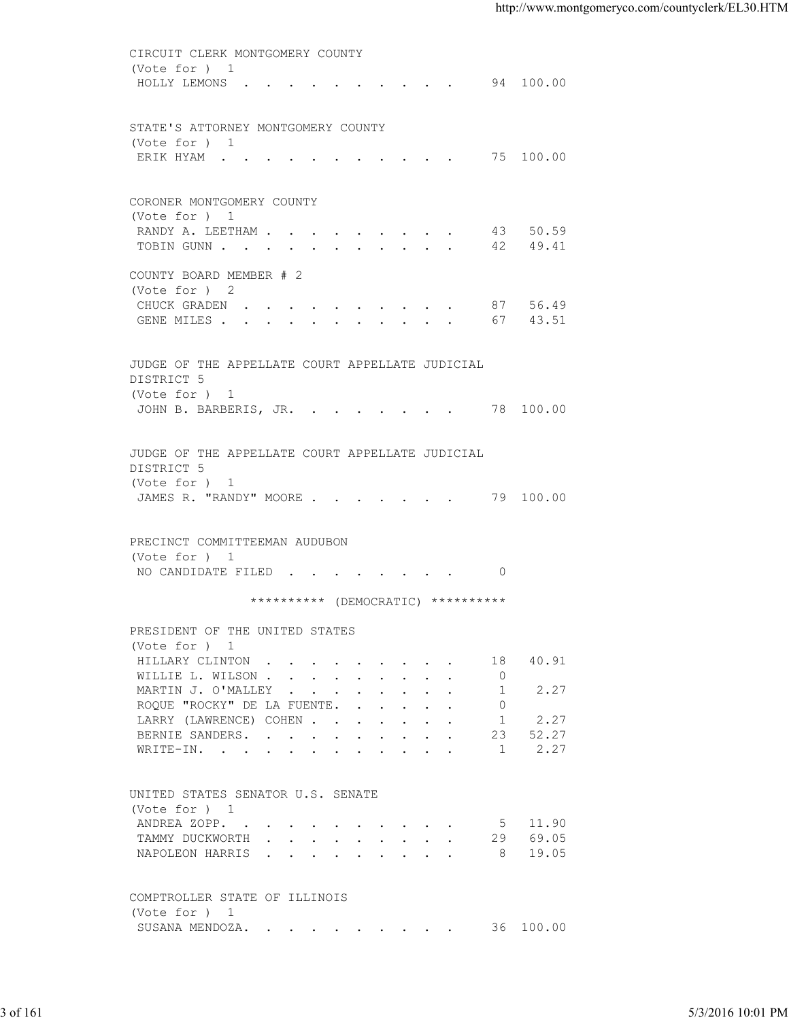| (Vote for ) 1<br>HOLLY LEMONS 94 100.00<br>STATE'S ATTORNEY MONTGOMERY COUNTY<br>(Vote for ) 1<br>ERIK HYAM 75 100.00<br>CORONER MONTGOMERY COUNTY<br>(Vote for ) 1<br>RANDY A. LEETHAM 43 50.59<br>TOBIN GUNN 42 49.41<br>COUNTY BOARD MEMBER # 2<br>(Vote for ) 2<br>CHUCK GRADEN 87 56.49<br>GENE MILES 67 43.51<br>JUDGE OF THE APPELLATE COURT APPELLATE JUDICIAL<br>DISTRICT 5<br>(Vote for ) 1<br>JOHN B. BARBERIS, JR. 78 100.00<br>JUDGE OF THE APPELLATE COURT APPELLATE JUDICIAL<br>DISTRICT 5<br>(Vote for ) 1<br>JAMES R. "RANDY" MOORE 79 100.00<br>PRECINCT COMMITTEEMAN AUDUBON<br>(Vote for ) 1<br>NO CANDIDATE FILED 0<br>********** (DEMOCRATIC) **********<br>PRESIDENT OF THE UNITED STATES<br>(Vote for ) 1<br>40.91<br>HILLARY CLINTON<br>18<br>$\circ$<br>WILLIE L. WILSON<br>2.27<br>MARTIN J. O'MALLEY<br>1<br>ROQUE "ROCKY" DE LA FUENTE.<br>$\overline{0}$<br>2.27<br>LARRY (LAWRENCE) COHEN<br>1<br>52.27<br>BERNIE SANDERS.<br>23<br>2.27<br>1<br>WRITE-IN.<br>UNITED STATES SENATOR U.S. SENATE<br>(Vote for ) 1<br>ANDREA ZOPP.<br>5 11.90<br>29 69.05<br>TAMMY DUCKWORTH<br>8 19.05<br>NAPOLEON HARRIS<br>COMPTROLLER STATE OF ILLINOIS<br>(Vote for ) 1<br>SUSANA MENDOZA. 36 100.00 | CIRCUIT CLERK MONTGOMERY COUNTY |                   |
|------------------------------------------------------------------------------------------------------------------------------------------------------------------------------------------------------------------------------------------------------------------------------------------------------------------------------------------------------------------------------------------------------------------------------------------------------------------------------------------------------------------------------------------------------------------------------------------------------------------------------------------------------------------------------------------------------------------------------------------------------------------------------------------------------------------------------------------------------------------------------------------------------------------------------------------------------------------------------------------------------------------------------------------------------------------------------------------------------------------------------------------------------------------------------------------------------------------------|---------------------------------|-------------------|
| 3 of 161                                                                                                                                                                                                                                                                                                                                                                                                                                                                                                                                                                                                                                                                                                                                                                                                                                                                                                                                                                                                                                                                                                                                                                                                               |                                 |                   |
|                                                                                                                                                                                                                                                                                                                                                                                                                                                                                                                                                                                                                                                                                                                                                                                                                                                                                                                                                                                                                                                                                                                                                                                                                        |                                 |                   |
|                                                                                                                                                                                                                                                                                                                                                                                                                                                                                                                                                                                                                                                                                                                                                                                                                                                                                                                                                                                                                                                                                                                                                                                                                        |                                 |                   |
|                                                                                                                                                                                                                                                                                                                                                                                                                                                                                                                                                                                                                                                                                                                                                                                                                                                                                                                                                                                                                                                                                                                                                                                                                        |                                 |                   |
|                                                                                                                                                                                                                                                                                                                                                                                                                                                                                                                                                                                                                                                                                                                                                                                                                                                                                                                                                                                                                                                                                                                                                                                                                        |                                 |                   |
|                                                                                                                                                                                                                                                                                                                                                                                                                                                                                                                                                                                                                                                                                                                                                                                                                                                                                                                                                                                                                                                                                                                                                                                                                        |                                 |                   |
|                                                                                                                                                                                                                                                                                                                                                                                                                                                                                                                                                                                                                                                                                                                                                                                                                                                                                                                                                                                                                                                                                                                                                                                                                        |                                 |                   |
|                                                                                                                                                                                                                                                                                                                                                                                                                                                                                                                                                                                                                                                                                                                                                                                                                                                                                                                                                                                                                                                                                                                                                                                                                        |                                 |                   |
|                                                                                                                                                                                                                                                                                                                                                                                                                                                                                                                                                                                                                                                                                                                                                                                                                                                                                                                                                                                                                                                                                                                                                                                                                        |                                 |                   |
|                                                                                                                                                                                                                                                                                                                                                                                                                                                                                                                                                                                                                                                                                                                                                                                                                                                                                                                                                                                                                                                                                                                                                                                                                        |                                 |                   |
|                                                                                                                                                                                                                                                                                                                                                                                                                                                                                                                                                                                                                                                                                                                                                                                                                                                                                                                                                                                                                                                                                                                                                                                                                        |                                 |                   |
|                                                                                                                                                                                                                                                                                                                                                                                                                                                                                                                                                                                                                                                                                                                                                                                                                                                                                                                                                                                                                                                                                                                                                                                                                        |                                 |                   |
|                                                                                                                                                                                                                                                                                                                                                                                                                                                                                                                                                                                                                                                                                                                                                                                                                                                                                                                                                                                                                                                                                                                                                                                                                        |                                 |                   |
|                                                                                                                                                                                                                                                                                                                                                                                                                                                                                                                                                                                                                                                                                                                                                                                                                                                                                                                                                                                                                                                                                                                                                                                                                        |                                 |                   |
|                                                                                                                                                                                                                                                                                                                                                                                                                                                                                                                                                                                                                                                                                                                                                                                                                                                                                                                                                                                                                                                                                                                                                                                                                        |                                 |                   |
|                                                                                                                                                                                                                                                                                                                                                                                                                                                                                                                                                                                                                                                                                                                                                                                                                                                                                                                                                                                                                                                                                                                                                                                                                        |                                 |                   |
|                                                                                                                                                                                                                                                                                                                                                                                                                                                                                                                                                                                                                                                                                                                                                                                                                                                                                                                                                                                                                                                                                                                                                                                                                        |                                 |                   |
|                                                                                                                                                                                                                                                                                                                                                                                                                                                                                                                                                                                                                                                                                                                                                                                                                                                                                                                                                                                                                                                                                                                                                                                                                        |                                 |                   |
|                                                                                                                                                                                                                                                                                                                                                                                                                                                                                                                                                                                                                                                                                                                                                                                                                                                                                                                                                                                                                                                                                                                                                                                                                        |                                 |                   |
|                                                                                                                                                                                                                                                                                                                                                                                                                                                                                                                                                                                                                                                                                                                                                                                                                                                                                                                                                                                                                                                                                                                                                                                                                        |                                 |                   |
|                                                                                                                                                                                                                                                                                                                                                                                                                                                                                                                                                                                                                                                                                                                                                                                                                                                                                                                                                                                                                                                                                                                                                                                                                        |                                 |                   |
|                                                                                                                                                                                                                                                                                                                                                                                                                                                                                                                                                                                                                                                                                                                                                                                                                                                                                                                                                                                                                                                                                                                                                                                                                        |                                 |                   |
|                                                                                                                                                                                                                                                                                                                                                                                                                                                                                                                                                                                                                                                                                                                                                                                                                                                                                                                                                                                                                                                                                                                                                                                                                        |                                 |                   |
|                                                                                                                                                                                                                                                                                                                                                                                                                                                                                                                                                                                                                                                                                                                                                                                                                                                                                                                                                                                                                                                                                                                                                                                                                        |                                 |                   |
|                                                                                                                                                                                                                                                                                                                                                                                                                                                                                                                                                                                                                                                                                                                                                                                                                                                                                                                                                                                                                                                                                                                                                                                                                        |                                 |                   |
|                                                                                                                                                                                                                                                                                                                                                                                                                                                                                                                                                                                                                                                                                                                                                                                                                                                                                                                                                                                                                                                                                                                                                                                                                        |                                 |                   |
|                                                                                                                                                                                                                                                                                                                                                                                                                                                                                                                                                                                                                                                                                                                                                                                                                                                                                                                                                                                                                                                                                                                                                                                                                        |                                 |                   |
|                                                                                                                                                                                                                                                                                                                                                                                                                                                                                                                                                                                                                                                                                                                                                                                                                                                                                                                                                                                                                                                                                                                                                                                                                        |                                 |                   |
|                                                                                                                                                                                                                                                                                                                                                                                                                                                                                                                                                                                                                                                                                                                                                                                                                                                                                                                                                                                                                                                                                                                                                                                                                        |                                 |                   |
|                                                                                                                                                                                                                                                                                                                                                                                                                                                                                                                                                                                                                                                                                                                                                                                                                                                                                                                                                                                                                                                                                                                                                                                                                        |                                 |                   |
|                                                                                                                                                                                                                                                                                                                                                                                                                                                                                                                                                                                                                                                                                                                                                                                                                                                                                                                                                                                                                                                                                                                                                                                                                        |                                 |                   |
|                                                                                                                                                                                                                                                                                                                                                                                                                                                                                                                                                                                                                                                                                                                                                                                                                                                                                                                                                                                                                                                                                                                                                                                                                        |                                 |                   |
|                                                                                                                                                                                                                                                                                                                                                                                                                                                                                                                                                                                                                                                                                                                                                                                                                                                                                                                                                                                                                                                                                                                                                                                                                        |                                 |                   |
|                                                                                                                                                                                                                                                                                                                                                                                                                                                                                                                                                                                                                                                                                                                                                                                                                                                                                                                                                                                                                                                                                                                                                                                                                        |                                 |                   |
|                                                                                                                                                                                                                                                                                                                                                                                                                                                                                                                                                                                                                                                                                                                                                                                                                                                                                                                                                                                                                                                                                                                                                                                                                        |                                 |                   |
|                                                                                                                                                                                                                                                                                                                                                                                                                                                                                                                                                                                                                                                                                                                                                                                                                                                                                                                                                                                                                                                                                                                                                                                                                        |                                 |                   |
|                                                                                                                                                                                                                                                                                                                                                                                                                                                                                                                                                                                                                                                                                                                                                                                                                                                                                                                                                                                                                                                                                                                                                                                                                        |                                 |                   |
|                                                                                                                                                                                                                                                                                                                                                                                                                                                                                                                                                                                                                                                                                                                                                                                                                                                                                                                                                                                                                                                                                                                                                                                                                        |                                 |                   |
|                                                                                                                                                                                                                                                                                                                                                                                                                                                                                                                                                                                                                                                                                                                                                                                                                                                                                                                                                                                                                                                                                                                                                                                                                        |                                 |                   |
|                                                                                                                                                                                                                                                                                                                                                                                                                                                                                                                                                                                                                                                                                                                                                                                                                                                                                                                                                                                                                                                                                                                                                                                                                        |                                 |                   |
|                                                                                                                                                                                                                                                                                                                                                                                                                                                                                                                                                                                                                                                                                                                                                                                                                                                                                                                                                                                                                                                                                                                                                                                                                        |                                 |                   |
|                                                                                                                                                                                                                                                                                                                                                                                                                                                                                                                                                                                                                                                                                                                                                                                                                                                                                                                                                                                                                                                                                                                                                                                                                        |                                 |                   |
|                                                                                                                                                                                                                                                                                                                                                                                                                                                                                                                                                                                                                                                                                                                                                                                                                                                                                                                                                                                                                                                                                                                                                                                                                        |                                 |                   |
|                                                                                                                                                                                                                                                                                                                                                                                                                                                                                                                                                                                                                                                                                                                                                                                                                                                                                                                                                                                                                                                                                                                                                                                                                        |                                 |                   |
|                                                                                                                                                                                                                                                                                                                                                                                                                                                                                                                                                                                                                                                                                                                                                                                                                                                                                                                                                                                                                                                                                                                                                                                                                        |                                 |                   |
|                                                                                                                                                                                                                                                                                                                                                                                                                                                                                                                                                                                                                                                                                                                                                                                                                                                                                                                                                                                                                                                                                                                                                                                                                        |                                 |                   |
|                                                                                                                                                                                                                                                                                                                                                                                                                                                                                                                                                                                                                                                                                                                                                                                                                                                                                                                                                                                                                                                                                                                                                                                                                        |                                 |                   |
|                                                                                                                                                                                                                                                                                                                                                                                                                                                                                                                                                                                                                                                                                                                                                                                                                                                                                                                                                                                                                                                                                                                                                                                                                        |                                 | 5/3/2016 10:01 PM |
|                                                                                                                                                                                                                                                                                                                                                                                                                                                                                                                                                                                                                                                                                                                                                                                                                                                                                                                                                                                                                                                                                                                                                                                                                        |                                 |                   |
|                                                                                                                                                                                                                                                                                                                                                                                                                                                                                                                                                                                                                                                                                                                                                                                                                                                                                                                                                                                                                                                                                                                                                                                                                        |                                 |                   |
|                                                                                                                                                                                                                                                                                                                                                                                                                                                                                                                                                                                                                                                                                                                                                                                                                                                                                                                                                                                                                                                                                                                                                                                                                        |                                 |                   |
|                                                                                                                                                                                                                                                                                                                                                                                                                                                                                                                                                                                                                                                                                                                                                                                                                                                                                                                                                                                                                                                                                                                                                                                                                        |                                 |                   |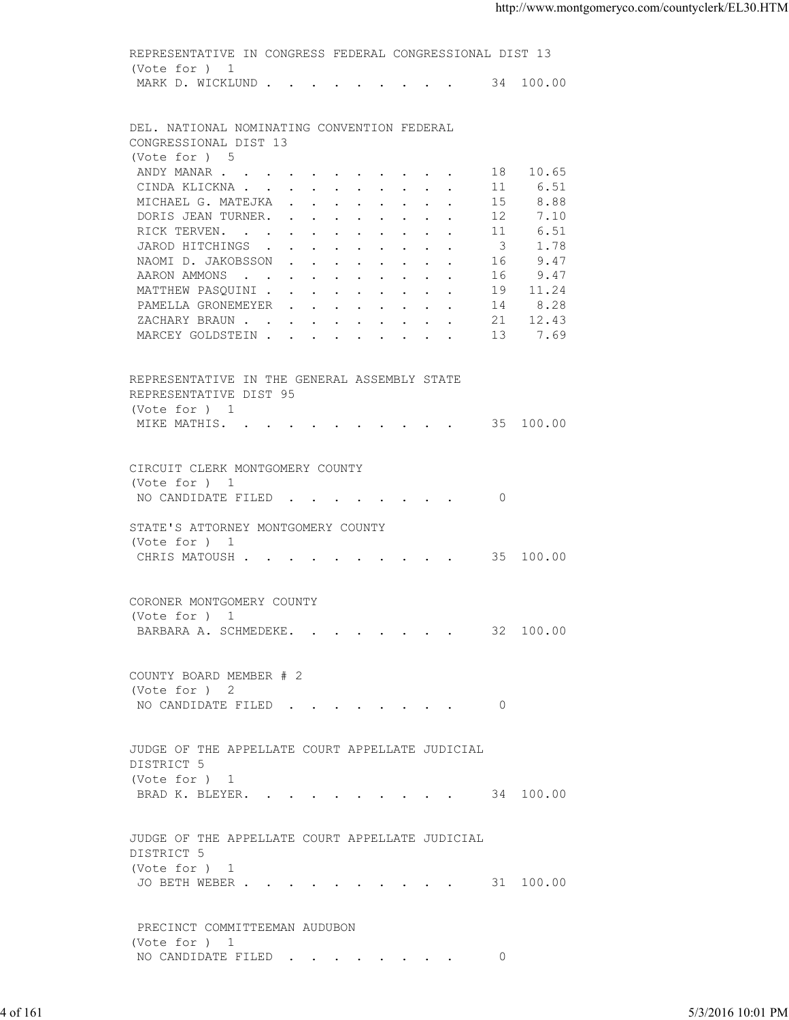|          | REPRESENTATIVE IN CONGRESS FEDERAL CONGRESSIONAL DIST 13 |                         |                  |                   |
|----------|----------------------------------------------------------|-------------------------|------------------|-------------------|
|          | (Vote for ) 1<br>MARK D. WICKLUND 34 100.00              |                         |                  |                   |
|          |                                                          |                         |                  |                   |
|          | DEL. NATIONAL NOMINATING CONVENTION FEDERAL              |                         |                  |                   |
|          | CONGRESSIONAL DIST 13                                    |                         |                  |                   |
|          | (Vote for ) 5                                            |                         |                  |                   |
|          | ANDY MANAR                                               |                         | 18 10.65         |                   |
|          | CINDA KLICKNA                                            | -11-                    | 6.51             |                   |
|          | MICHAEL G. MATEJKA                                       | 15                      | 8.88             |                   |
|          | DORIS JEAN TURNER.                                       | 12                      | 7.10             |                   |
|          | RICK TERVEN.                                             | 11                      | 6.51             |                   |
|          | JAROD HITCHINGS                                          | $\overline{\mathbf{3}}$ | 1.78             |                   |
|          | NAOMID.JAKOBSSON                                         | 16                      | 9.47             |                   |
|          | AARON AMMONS                                             | 16                      | 9.47             |                   |
|          | MATTHEW PASQUINI<br>PAMELLA GRONEMEYER                   | 14                      | 19 11.24<br>8.28 |                   |
|          | ZACHARY BRAUN 21 12.43                                   |                         |                  |                   |
|          | MARCEY GOLDSTEIN 13 7.69                                 |                         |                  |                   |
|          |                                                          |                         |                  |                   |
|          | REPRESENTATIVE IN THE GENERAL ASSEMBLY STATE             |                         |                  |                   |
|          | REPRESENTATIVE DIST 95<br>(Vote for ) 1                  |                         |                  |                   |
|          | MIKE MATHIS. 35 100.00                                   |                         |                  |                   |
|          |                                                          |                         |                  |                   |
|          | CIRCUIT CLERK MONTGOMERY COUNTY                          |                         |                  |                   |
|          | (Vote for ) 1                                            |                         |                  |                   |
|          | NO CANDIDATE FILED 0                                     |                         |                  |                   |
|          | STATE'S ATTORNEY MONTGOMERY COUNTY                       |                         |                  |                   |
|          | (Vote for ) 1                                            |                         |                  |                   |
|          | CHRIS MATOUSH 35 100.00                                  |                         |                  |                   |
|          |                                                          |                         |                  |                   |
|          | CORONER MONTGOMERY COUNTY                                |                         |                  |                   |
|          | (Vote for ) 1                                            |                         |                  |                   |
|          | BARBARA A. SCHMEDEKE. 32 100.00                          |                         |                  |                   |
|          | COUNTY BOARD MEMBER # 2                                  |                         |                  |                   |
|          | (Vote for ) 2                                            |                         |                  |                   |
|          | NO CANDIDATE FILED 0                                     |                         |                  |                   |
|          |                                                          |                         |                  |                   |
|          | JUDGE OF THE APPELLATE COURT APPELLATE JUDICIAL          |                         |                  |                   |
|          | DISTRICT 5                                               |                         |                  |                   |
|          | (Vote for ) 1                                            |                         |                  |                   |
|          | BRAD K. BLEYER. 34 100.00                                |                         |                  |                   |
|          |                                                          |                         |                  |                   |
|          | JUDGE OF THE APPELLATE COURT APPELLATE JUDICIAL          |                         |                  |                   |
|          | DISTRICT 5                                               |                         |                  |                   |
|          | (Vote for ) 1                                            |                         |                  |                   |
|          | JO BETH WEBER 31 100.00                                  |                         |                  |                   |
|          |                                                          |                         |                  |                   |
|          | PRECINCT COMMITTEEMAN AUDUBON                            |                         |                  |                   |
|          | (Vote for ) 1                                            |                         |                  |                   |
|          | NO CANDIDATE FILED                                       | $\overline{0}$          |                  |                   |
|          |                                                          |                         |                  |                   |
| 4 of 161 |                                                          |                         |                  | 5/3/2016 10:01 PM |
|          |                                                          |                         |                  |                   |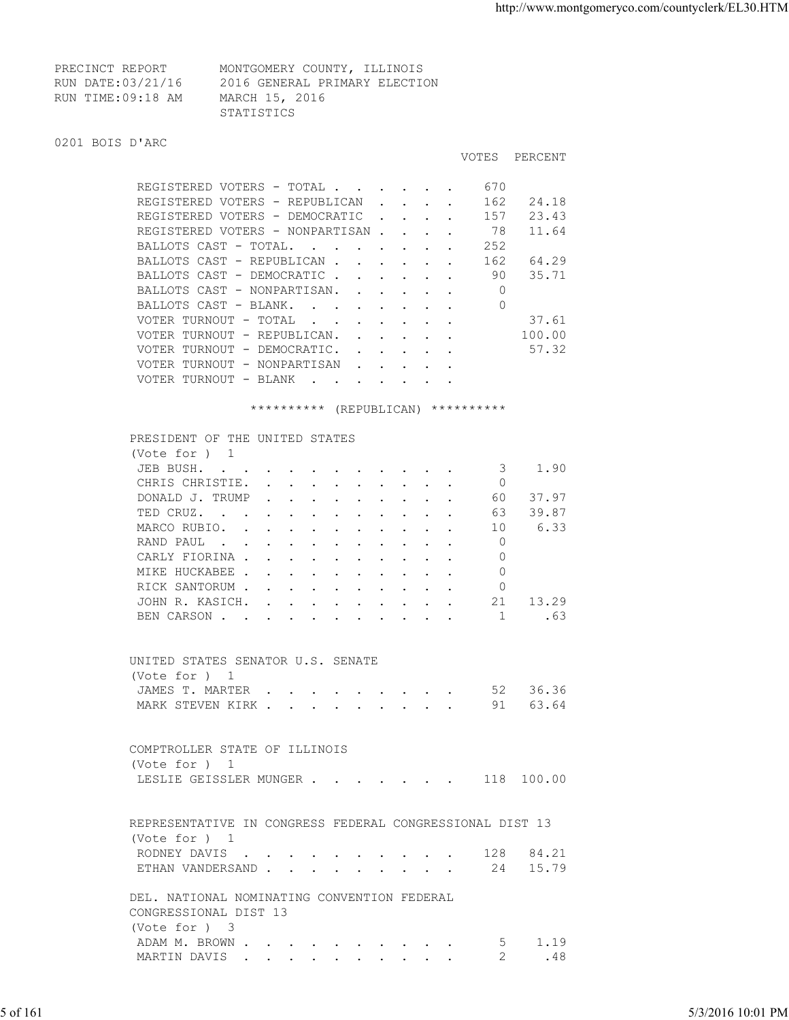VOTES PERCENT

| PRECINCT REPORT   | MONTGOMERY COUNTY, ILLINOIS   |  |
|-------------------|-------------------------------|--|
| RUN DATE:03/21/16 | 2016 GENERAL PRIMARY ELECTION |  |
| RUN TIME:09:18 AM | MARCH 15, 2016                |  |
|                   | STATISTICS                    |  |

## 0201 BOIS D'ARC

| REGISTERED VOTERS - TOTAL        |                              |                                 |                        |  | 670 |        |
|----------------------------------|------------------------------|---------------------------------|------------------------|--|-----|--------|
| REGISTERED VOTERS - REPUBLICAN   |                              |                                 |                        |  | 162 | 24.18  |
| REGISTERED VOTERS - DEMOCRATIC   |                              |                                 | $\sim$                 |  | 157 | 23.43  |
| REGISTERED VOTERS - NONPARTISAN. |                              |                                 |                        |  | 78  | 11.64  |
| BALLOTS CAST - TOTAL.            | <b><i>Contract State</i></b> | <b>Contract Contract Street</b> |                        |  | 252 |        |
| BALLOTS CAST - REPUBLICAN.       |                              |                                 |                        |  | 162 | 64.29  |
| BALLOTS CAST - DEMOCRATIC.       |                              |                                 |                        |  | 90  | 35.71  |
| BALLOTS CAST - NONPARTISAN.      |                              | $\sim$ $\sim$                   |                        |  |     |        |
| BALLOTS CAST - BLANK.            |                              |                                 |                        |  | 0   |        |
| VOTER TURNOUT - TOTAL            | $\sim$                       |                                 |                        |  |     | 37.61  |
| VOTER TURNOUT - REPUBLICAN.      |                              | $\mathbf{L} = \mathbf{L}$       |                        |  |     | 100.00 |
| VOTER TURNOUT - DEMOCRATIC.      |                              | $\mathbf{L} = \mathbf{L}$       |                        |  |     | 57.32  |
| VOTER TURNOUT - NONPARTISAN      |                              |                                 | <b>Service Control</b> |  |     |        |
| VOTER TURNOUT - BLANK            | $\sim$                       |                                 | $\sim$                 |  |     |        |

\*\*\*\*\*\*\*\*\*\* (REPUBLICAN) \*\*\*\*\*\*\*\*\*\*

|          | PRESIDENT OF THE UNITED STATES                           |                   |
|----------|----------------------------------------------------------|-------------------|
|          | (Vote for $)$ 1                                          |                   |
|          | JEB BUSH.<br>1.90<br>3                                   |                   |
|          | CHRIS CHRISTIE.<br>$\Omega$                              |                   |
|          | 37.97<br>DONALD J. TRUMP<br>60                           |                   |
|          | 39.87<br>TED CRUZ.<br>63                                 |                   |
|          | 6.33<br>MARCO RUBIO.<br>10                               |                   |
|          | $\Omega$<br>RAND PAUL                                    |                   |
|          | $\Omega$<br>CARLY FIORINA                                |                   |
|          | MIKE HUCKABEE<br>$\Omega$                                |                   |
|          | RICK SANTORUM<br>$\circ$                                 |                   |
|          | JOHN R. KASICH.<br>21 13.29                              |                   |
|          | BEN CARSON 1 .63                                         |                   |
|          |                                                          |                   |
|          | UNITED STATES SENATOR U.S. SENATE                        |                   |
|          | (Vote for ) 1                                            |                   |
|          | JAMES T. MARTER 52 36.36                                 |                   |
|          | MARK STEVEN KIRK 91 63.64                                |                   |
|          |                                                          |                   |
|          |                                                          |                   |
|          | COMPTROLLER STATE OF ILLINOIS                            |                   |
|          | (Vote for ) 1                                            |                   |
|          | LESLIE GEISSLER MUNGER 118 100.00                        |                   |
|          |                                                          |                   |
|          | REPRESENTATIVE IN CONGRESS FEDERAL CONGRESSIONAL DIST 13 |                   |
|          | (Vote for $)$ 1                                          |                   |
|          | RODNEY DAVIS 128 84.21                                   |                   |
|          | ETHAN VANDERSAND 24 15.79                                |                   |
|          |                                                          |                   |
|          | DEL. NATIONAL NOMINATING CONVENTION FEDERAL              |                   |
|          | CONGRESSIONAL DIST 13                                    |                   |
|          | (Vote for ) 3                                            |                   |
|          | ADAM M. BROWN<br>5<br>1.19                               |                   |
|          | .48<br>MARTIN DAVIS<br>2                                 |                   |
|          |                                                          |                   |
|          |                                                          |                   |
| 5 of 161 |                                                          | 5/3/2016 10:01 PM |
|          |                                                          |                   |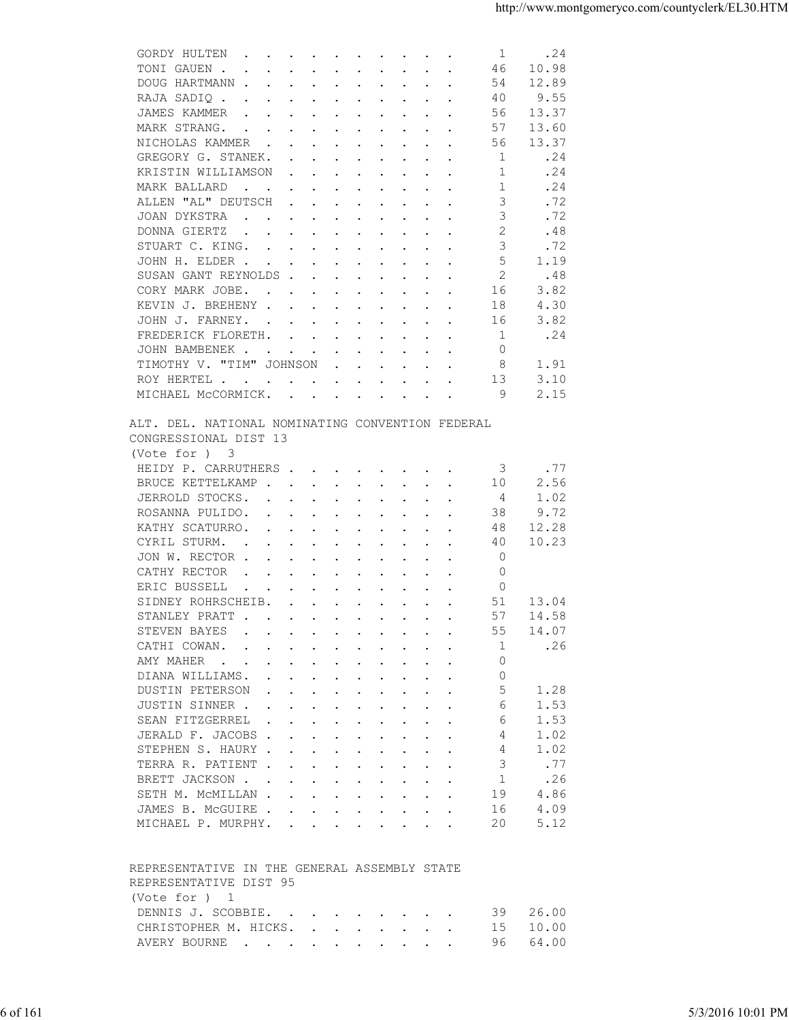| TONI GAUEN.<br>10.98<br>46<br>$\mathbf{r}$ , and $\mathbf{r}$ , and $\mathbf{r}$ , and $\mathbf{r}$ , and $\mathbf{r}$                                                                                                                                               |  |
|----------------------------------------------------------------------------------------------------------------------------------------------------------------------------------------------------------------------------------------------------------------------|--|
| DOUG HARTMANN<br>54<br>12.89                                                                                                                                                                                                                                         |  |
| 40<br>9.55<br>RAJA SADIQ.<br>the contract of the contract of the contract of the contract of the contract of the contract of the contract of                                                                                                                         |  |
| JAMES KAMMER<br>56<br>13.37<br>the contract of the contract of the contract of the contract of the contract of the contract of the contract of                                                                                                                       |  |
| MARK STRANG.<br>57<br>13.60                                                                                                                                                                                                                                          |  |
| the contract of the contract of the contract of the contract of the contract of the contract of the contract of                                                                                                                                                      |  |
| NICHOLAS KAMMER<br>56<br>13.37                                                                                                                                                                                                                                       |  |
| GREGORY G. STANEK.<br>.24<br>-1                                                                                                                                                                                                                                      |  |
| KRISTIN WILLIAMSON<br>.24<br>1                                                                                                                                                                                                                                       |  |
| .24<br>MARK BALLARD<br>-1<br>the contract of the contract of the contract of the contract of the contract of the contract of the contract of                                                                                                                         |  |
| ALLEN "AL" DEUTSCH<br>3<br>.72<br>$\mathbf{r}$ , and $\mathbf{r}$ , and $\mathbf{r}$ , and $\mathbf{r}$                                                                                                                                                              |  |
| 3<br>.72<br>JOAN DYKSTRA                                                                                                                                                                                                                                             |  |
| $\overline{2}$<br>DONNA GIERTZ<br>.48<br>$\mathbf{r}$ , $\mathbf{r}$ , $\mathbf{r}$ , $\mathbf{r}$ , $\mathbf{r}$ , $\mathbf{r}$ , $\mathbf{r}$ , $\mathbf{r}$                                                                                                       |  |
| 3<br>STUART C. KING.<br>.72                                                                                                                                                                                                                                          |  |
| 5<br>JOHN H. ELDER<br>1.19                                                                                                                                                                                                                                           |  |
| 2<br>.48<br>SUSAN GANT REYNOLDS                                                                                                                                                                                                                                      |  |
|                                                                                                                                                                                                                                                                      |  |
| 3.82<br>CORY MARK JOBE.<br>16                                                                                                                                                                                                                                        |  |
| 4.30<br>KEVIN J. BREHENY<br>18                                                                                                                                                                                                                                       |  |
| 3.82<br>JOHN J. FARNEY.<br>16                                                                                                                                                                                                                                        |  |
| .24<br>FREDERICK FLORETH.<br>-1                                                                                                                                                                                                                                      |  |
| $\circ$<br>JOHN BAMBENEK                                                                                                                                                                                                                                             |  |
| TIMOTHY V. "TIM" JOHNSON<br>8<br>1.91                                                                                                                                                                                                                                |  |
| 13<br>3.10<br>ROY HERTEL                                                                                                                                                                                                                                             |  |
| MICHAEL MCCORMICK.<br>9<br>2.15                                                                                                                                                                                                                                      |  |
|                                                                                                                                                                                                                                                                      |  |
| ALT. DEL. NATIONAL NOMINATING CONVENTION FEDERAL<br>CONGRESSIONAL DIST 13<br>(Vote for ) 3                                                                                                                                                                           |  |
| .77<br>HEIDY P. CARRUTHERS<br>3                                                                                                                                                                                                                                      |  |
| 2.56<br>BRUCE KETTELKAMP<br>10                                                                                                                                                                                                                                       |  |
| JERROLD STOCKS.<br>1.02<br>4                                                                                                                                                                                                                                         |  |
|                                                                                                                                                                                                                                                                      |  |
| 38<br>9.72<br>ROSANNA PULIDO.                                                                                                                                                                                                                                        |  |
| 12.28<br>KATHY SCATURRO.<br>48                                                                                                                                                                                                                                       |  |
| CYRIL STURM.<br>40<br>10.23<br>the contract of the contract of the contract of the contract of the contract of the contract of the contract of                                                                                                                       |  |
| $\mathbf 0$<br>JON W. RECTOR                                                                                                                                                                                                                                         |  |
| CATHY RECTOR<br>$\mathbf 0$<br>$\mathbf{r}$ , and $\mathbf{r}$ , and $\mathbf{r}$ , and $\mathbf{r}$ , and $\mathbf{r}$                                                                                                                                              |  |
| ERIC BUSSELL<br>$\circ$<br>$\mathcal{A}^{\mathcal{A}}$ . The set of the set of the set of the set of the set of the set of the set of the set of the set of the set of the set of the set of the set of the set of the set of the set of the set of the set of the s |  |
| SIDNEY ROHRSCHEIB.<br>51<br>13.04                                                                                                                                                                                                                                    |  |
| 57<br>STANLEY PRATT<br>14.58                                                                                                                                                                                                                                         |  |
|                                                                                                                                                                                                                                                                      |  |
| STEVEN BAYES<br>14.07<br>$\mathbf{a}$ and $\mathbf{a}$ are a set of the set of the set of the set of the set of the set of the set of the set of the set of the set of the set of the set of the set of the set of the set of the set of the set of the set of<br>55 |  |
| CATHI COWAN.<br>1<br>.26                                                                                                                                                                                                                                             |  |
| $\Omega$<br>AMY MAHER                                                                                                                                                                                                                                                |  |
| $\Omega$<br>DIANA WILLIAMS.                                                                                                                                                                                                                                          |  |
| DUSTIN PETERSON<br>5<br>1.28                                                                                                                                                                                                                                         |  |
| 1.53<br>JUSTIN SINNER<br>6                                                                                                                                                                                                                                           |  |
| SEAN FITZGERREL<br>1.53<br>6<br>$\mathbf{r}$ . The contract of the contract of the contract of the contract of the contract of the contract of the contract of the contract of the contract of the contract of the contract of the contract of the contract of th    |  |
| JERALD F. JACOBS<br>1.02<br>4                                                                                                                                                                                                                                        |  |
| 1.02                                                                                                                                                                                                                                                                 |  |
| STEPHEN S. HAURY<br>4                                                                                                                                                                                                                                                |  |
| 3<br>.77<br>TERRA R. PATIENT                                                                                                                                                                                                                                         |  |
| .26<br>BRETT JACKSON<br>-1                                                                                                                                                                                                                                           |  |
| SETH M. MCMILLAN<br>19<br>4.86                                                                                                                                                                                                                                       |  |
| 4.09<br>JAMES B. MCGUIRE<br>16                                                                                                                                                                                                                                       |  |
| MICHAEL P. MURPHY.<br>20<br>5.12                                                                                                                                                                                                                                     |  |
| REPRESENTATIVE IN THE GENERAL ASSEMBLY STATE<br>REPRESENTATIVE DIST 95                                                                                                                                                                                               |  |
| (Vote for ) 1                                                                                                                                                                                                                                                        |  |
| DENNIS J. SCOBBIE.<br>26.00<br>39<br>the contract of the contract of the contract of the contract of the contract of the contract of the contract of                                                                                                                 |  |
|                                                                                                                                                                                                                                                                      |  |
| 10.00<br>CHRISTOPHER M. HICKS.<br>15<br>64.00<br>the contract of the contract of the contract of                                                                                                                                                                     |  |
| AVERY BOURNE<br>96                                                                                                                                                                                                                                                   |  |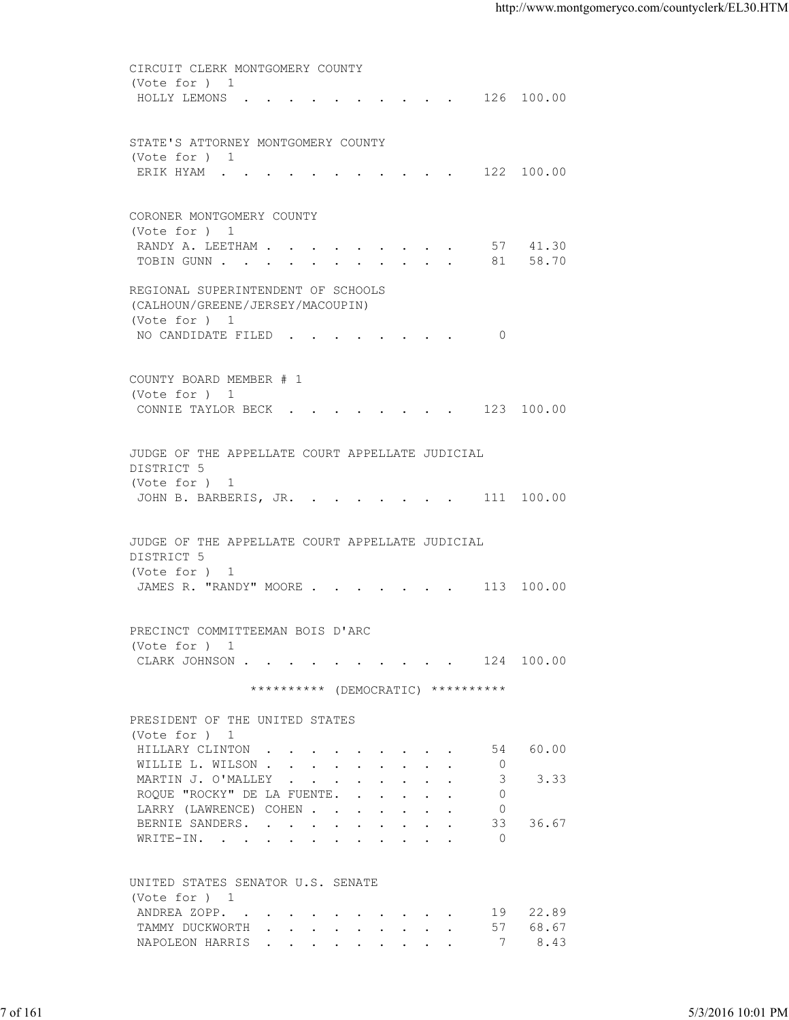| (Vote for ) 1<br>HOLLY LEMONS 126 100.00<br>STATE'S ATTORNEY MONTGOMERY COUNTY<br>(Vote for ) 1<br>ERIK HYAM 122 100.00<br>CORONER MONTGOMERY COUNTY<br>(Vote for ) 1<br>RANDY A. LEETHAM 57 41.30<br>TOBIN GUNN 81 58.70<br>REGIONAL SUPERINTENDENT OF SCHOOLS<br>(CALHOUN/GREENE/JERSEY/MACOUPIN)<br>(Vote for ) 1<br>NO CANDIDATE FILED 0<br>COUNTY BOARD MEMBER # 1<br>(Vote for ) 1<br>CONNIE TAYLOR BECK 123 100.00<br>JUDGE OF THE APPELLATE COURT APPELLATE JUDICIAL<br>DISTRICT 5<br>(Vote for ) 1<br>JOHN B. BARBERIS, JR. 111 100.00<br>JUDGE OF THE APPELLATE COURT APPELLATE JUDICIAL<br>DISTRICT 5<br>(Vote for ) 1<br>JAMES R. "RANDY" MOORE 113 100.00<br>PRECINCT COMMITTEEMAN BOIS D'ARC<br>(Vote for ) 1<br>CLARK JOHNSON 124 100.00<br>********** (DEMOCRATIC) **********<br>PRESIDENT OF THE UNITED STATES<br>(Vote for ) 1<br>60.00<br>HILLARY CLINTON<br>54<br>WILLIE L. WILSON<br>$\overline{0}$<br>MARTIN J. O'MALLEY<br>3<br>3.33<br>ROQUE "ROCKY" DE LA FUENTE.<br>$\Omega$<br>LARRY (LAWRENCE) COHEN<br>$\overline{0}$<br>BERNIE SANDERS.<br>33<br>36.67<br>$\overline{0}$<br>WRITE-IN.<br>UNITED STATES SENATOR U.S. SENATE<br>(Vote for ) 1<br>19 22.89<br>ANDREA ZOPP.<br>57 68.67<br>TAMMY DUCKWORTH<br>8.43<br>NAPOLEON HARRIS<br>$\overline{7}$<br>7 of 161 |                   |
|-----------------------------------------------------------------------------------------------------------------------------------------------------------------------------------------------------------------------------------------------------------------------------------------------------------------------------------------------------------------------------------------------------------------------------------------------------------------------------------------------------------------------------------------------------------------------------------------------------------------------------------------------------------------------------------------------------------------------------------------------------------------------------------------------------------------------------------------------------------------------------------------------------------------------------------------------------------------------------------------------------------------------------------------------------------------------------------------------------------------------------------------------------------------------------------------------------------------------------------------------------------------------------------------------|-------------------|
|                                                                                                                                                                                                                                                                                                                                                                                                                                                                                                                                                                                                                                                                                                                                                                                                                                                                                                                                                                                                                                                                                                                                                                                                                                                                                               |                   |
|                                                                                                                                                                                                                                                                                                                                                                                                                                                                                                                                                                                                                                                                                                                                                                                                                                                                                                                                                                                                                                                                                                                                                                                                                                                                                               |                   |
|                                                                                                                                                                                                                                                                                                                                                                                                                                                                                                                                                                                                                                                                                                                                                                                                                                                                                                                                                                                                                                                                                                                                                                                                                                                                                               |                   |
|                                                                                                                                                                                                                                                                                                                                                                                                                                                                                                                                                                                                                                                                                                                                                                                                                                                                                                                                                                                                                                                                                                                                                                                                                                                                                               |                   |
|                                                                                                                                                                                                                                                                                                                                                                                                                                                                                                                                                                                                                                                                                                                                                                                                                                                                                                                                                                                                                                                                                                                                                                                                                                                                                               |                   |
|                                                                                                                                                                                                                                                                                                                                                                                                                                                                                                                                                                                                                                                                                                                                                                                                                                                                                                                                                                                                                                                                                                                                                                                                                                                                                               |                   |
|                                                                                                                                                                                                                                                                                                                                                                                                                                                                                                                                                                                                                                                                                                                                                                                                                                                                                                                                                                                                                                                                                                                                                                                                                                                                                               |                   |
|                                                                                                                                                                                                                                                                                                                                                                                                                                                                                                                                                                                                                                                                                                                                                                                                                                                                                                                                                                                                                                                                                                                                                                                                                                                                                               |                   |
|                                                                                                                                                                                                                                                                                                                                                                                                                                                                                                                                                                                                                                                                                                                                                                                                                                                                                                                                                                                                                                                                                                                                                                                                                                                                                               |                   |
|                                                                                                                                                                                                                                                                                                                                                                                                                                                                                                                                                                                                                                                                                                                                                                                                                                                                                                                                                                                                                                                                                                                                                                                                                                                                                               |                   |
|                                                                                                                                                                                                                                                                                                                                                                                                                                                                                                                                                                                                                                                                                                                                                                                                                                                                                                                                                                                                                                                                                                                                                                                                                                                                                               |                   |
|                                                                                                                                                                                                                                                                                                                                                                                                                                                                                                                                                                                                                                                                                                                                                                                                                                                                                                                                                                                                                                                                                                                                                                                                                                                                                               |                   |
|                                                                                                                                                                                                                                                                                                                                                                                                                                                                                                                                                                                                                                                                                                                                                                                                                                                                                                                                                                                                                                                                                                                                                                                                                                                                                               |                   |
|                                                                                                                                                                                                                                                                                                                                                                                                                                                                                                                                                                                                                                                                                                                                                                                                                                                                                                                                                                                                                                                                                                                                                                                                                                                                                               |                   |
|                                                                                                                                                                                                                                                                                                                                                                                                                                                                                                                                                                                                                                                                                                                                                                                                                                                                                                                                                                                                                                                                                                                                                                                                                                                                                               |                   |
|                                                                                                                                                                                                                                                                                                                                                                                                                                                                                                                                                                                                                                                                                                                                                                                                                                                                                                                                                                                                                                                                                                                                                                                                                                                                                               |                   |
|                                                                                                                                                                                                                                                                                                                                                                                                                                                                                                                                                                                                                                                                                                                                                                                                                                                                                                                                                                                                                                                                                                                                                                                                                                                                                               |                   |
|                                                                                                                                                                                                                                                                                                                                                                                                                                                                                                                                                                                                                                                                                                                                                                                                                                                                                                                                                                                                                                                                                                                                                                                                                                                                                               |                   |
|                                                                                                                                                                                                                                                                                                                                                                                                                                                                                                                                                                                                                                                                                                                                                                                                                                                                                                                                                                                                                                                                                                                                                                                                                                                                                               |                   |
|                                                                                                                                                                                                                                                                                                                                                                                                                                                                                                                                                                                                                                                                                                                                                                                                                                                                                                                                                                                                                                                                                                                                                                                                                                                                                               |                   |
|                                                                                                                                                                                                                                                                                                                                                                                                                                                                                                                                                                                                                                                                                                                                                                                                                                                                                                                                                                                                                                                                                                                                                                                                                                                                                               |                   |
|                                                                                                                                                                                                                                                                                                                                                                                                                                                                                                                                                                                                                                                                                                                                                                                                                                                                                                                                                                                                                                                                                                                                                                                                                                                                                               |                   |
|                                                                                                                                                                                                                                                                                                                                                                                                                                                                                                                                                                                                                                                                                                                                                                                                                                                                                                                                                                                                                                                                                                                                                                                                                                                                                               |                   |
|                                                                                                                                                                                                                                                                                                                                                                                                                                                                                                                                                                                                                                                                                                                                                                                                                                                                                                                                                                                                                                                                                                                                                                                                                                                                                               |                   |
|                                                                                                                                                                                                                                                                                                                                                                                                                                                                                                                                                                                                                                                                                                                                                                                                                                                                                                                                                                                                                                                                                                                                                                                                                                                                                               |                   |
|                                                                                                                                                                                                                                                                                                                                                                                                                                                                                                                                                                                                                                                                                                                                                                                                                                                                                                                                                                                                                                                                                                                                                                                                                                                                                               |                   |
|                                                                                                                                                                                                                                                                                                                                                                                                                                                                                                                                                                                                                                                                                                                                                                                                                                                                                                                                                                                                                                                                                                                                                                                                                                                                                               |                   |
|                                                                                                                                                                                                                                                                                                                                                                                                                                                                                                                                                                                                                                                                                                                                                                                                                                                                                                                                                                                                                                                                                                                                                                                                                                                                                               |                   |
|                                                                                                                                                                                                                                                                                                                                                                                                                                                                                                                                                                                                                                                                                                                                                                                                                                                                                                                                                                                                                                                                                                                                                                                                                                                                                               |                   |
|                                                                                                                                                                                                                                                                                                                                                                                                                                                                                                                                                                                                                                                                                                                                                                                                                                                                                                                                                                                                                                                                                                                                                                                                                                                                                               |                   |
|                                                                                                                                                                                                                                                                                                                                                                                                                                                                                                                                                                                                                                                                                                                                                                                                                                                                                                                                                                                                                                                                                                                                                                                                                                                                                               |                   |
|                                                                                                                                                                                                                                                                                                                                                                                                                                                                                                                                                                                                                                                                                                                                                                                                                                                                                                                                                                                                                                                                                                                                                                                                                                                                                               |                   |
|                                                                                                                                                                                                                                                                                                                                                                                                                                                                                                                                                                                                                                                                                                                                                                                                                                                                                                                                                                                                                                                                                                                                                                                                                                                                                               |                   |
|                                                                                                                                                                                                                                                                                                                                                                                                                                                                                                                                                                                                                                                                                                                                                                                                                                                                                                                                                                                                                                                                                                                                                                                                                                                                                               |                   |
|                                                                                                                                                                                                                                                                                                                                                                                                                                                                                                                                                                                                                                                                                                                                                                                                                                                                                                                                                                                                                                                                                                                                                                                                                                                                                               |                   |
|                                                                                                                                                                                                                                                                                                                                                                                                                                                                                                                                                                                                                                                                                                                                                                                                                                                                                                                                                                                                                                                                                                                                                                                                                                                                                               |                   |
|                                                                                                                                                                                                                                                                                                                                                                                                                                                                                                                                                                                                                                                                                                                                                                                                                                                                                                                                                                                                                                                                                                                                                                                                                                                                                               |                   |
|                                                                                                                                                                                                                                                                                                                                                                                                                                                                                                                                                                                                                                                                                                                                                                                                                                                                                                                                                                                                                                                                                                                                                                                                                                                                                               |                   |
|                                                                                                                                                                                                                                                                                                                                                                                                                                                                                                                                                                                                                                                                                                                                                                                                                                                                                                                                                                                                                                                                                                                                                                                                                                                                                               |                   |
|                                                                                                                                                                                                                                                                                                                                                                                                                                                                                                                                                                                                                                                                                                                                                                                                                                                                                                                                                                                                                                                                                                                                                                                                                                                                                               |                   |
|                                                                                                                                                                                                                                                                                                                                                                                                                                                                                                                                                                                                                                                                                                                                                                                                                                                                                                                                                                                                                                                                                                                                                                                                                                                                                               |                   |
|                                                                                                                                                                                                                                                                                                                                                                                                                                                                                                                                                                                                                                                                                                                                                                                                                                                                                                                                                                                                                                                                                                                                                                                                                                                                                               |                   |
|                                                                                                                                                                                                                                                                                                                                                                                                                                                                                                                                                                                                                                                                                                                                                                                                                                                                                                                                                                                                                                                                                                                                                                                                                                                                                               |                   |
|                                                                                                                                                                                                                                                                                                                                                                                                                                                                                                                                                                                                                                                                                                                                                                                                                                                                                                                                                                                                                                                                                                                                                                                                                                                                                               |                   |
|                                                                                                                                                                                                                                                                                                                                                                                                                                                                                                                                                                                                                                                                                                                                                                                                                                                                                                                                                                                                                                                                                                                                                                                                                                                                                               |                   |
|                                                                                                                                                                                                                                                                                                                                                                                                                                                                                                                                                                                                                                                                                                                                                                                                                                                                                                                                                                                                                                                                                                                                                                                                                                                                                               |                   |
|                                                                                                                                                                                                                                                                                                                                                                                                                                                                                                                                                                                                                                                                                                                                                                                                                                                                                                                                                                                                                                                                                                                                                                                                                                                                                               |                   |
|                                                                                                                                                                                                                                                                                                                                                                                                                                                                                                                                                                                                                                                                                                                                                                                                                                                                                                                                                                                                                                                                                                                                                                                                                                                                                               |                   |
|                                                                                                                                                                                                                                                                                                                                                                                                                                                                                                                                                                                                                                                                                                                                                                                                                                                                                                                                                                                                                                                                                                                                                                                                                                                                                               |                   |
|                                                                                                                                                                                                                                                                                                                                                                                                                                                                                                                                                                                                                                                                                                                                                                                                                                                                                                                                                                                                                                                                                                                                                                                                                                                                                               |                   |
|                                                                                                                                                                                                                                                                                                                                                                                                                                                                                                                                                                                                                                                                                                                                                                                                                                                                                                                                                                                                                                                                                                                                                                                                                                                                                               |                   |
|                                                                                                                                                                                                                                                                                                                                                                                                                                                                                                                                                                                                                                                                                                                                                                                                                                                                                                                                                                                                                                                                                                                                                                                                                                                                                               |                   |
|                                                                                                                                                                                                                                                                                                                                                                                                                                                                                                                                                                                                                                                                                                                                                                                                                                                                                                                                                                                                                                                                                                                                                                                                                                                                                               |                   |
|                                                                                                                                                                                                                                                                                                                                                                                                                                                                                                                                                                                                                                                                                                                                                                                                                                                                                                                                                                                                                                                                                                                                                                                                                                                                                               |                   |
|                                                                                                                                                                                                                                                                                                                                                                                                                                                                                                                                                                                                                                                                                                                                                                                                                                                                                                                                                                                                                                                                                                                                                                                                                                                                                               |                   |
|                                                                                                                                                                                                                                                                                                                                                                                                                                                                                                                                                                                                                                                                                                                                                                                                                                                                                                                                                                                                                                                                                                                                                                                                                                                                                               |                   |
|                                                                                                                                                                                                                                                                                                                                                                                                                                                                                                                                                                                                                                                                                                                                                                                                                                                                                                                                                                                                                                                                                                                                                                                                                                                                                               |                   |
|                                                                                                                                                                                                                                                                                                                                                                                                                                                                                                                                                                                                                                                                                                                                                                                                                                                                                                                                                                                                                                                                                                                                                                                                                                                                                               |                   |
|                                                                                                                                                                                                                                                                                                                                                                                                                                                                                                                                                                                                                                                                                                                                                                                                                                                                                                                                                                                                                                                                                                                                                                                                                                                                                               | 5/3/2016 10:01 PM |
|                                                                                                                                                                                                                                                                                                                                                                                                                                                                                                                                                                                                                                                                                                                                                                                                                                                                                                                                                                                                                                                                                                                                                                                                                                                                                               |                   |
|                                                                                                                                                                                                                                                                                                                                                                                                                                                                                                                                                                                                                                                                                                                                                                                                                                                                                                                                                                                                                                                                                                                                                                                                                                                                                               |                   |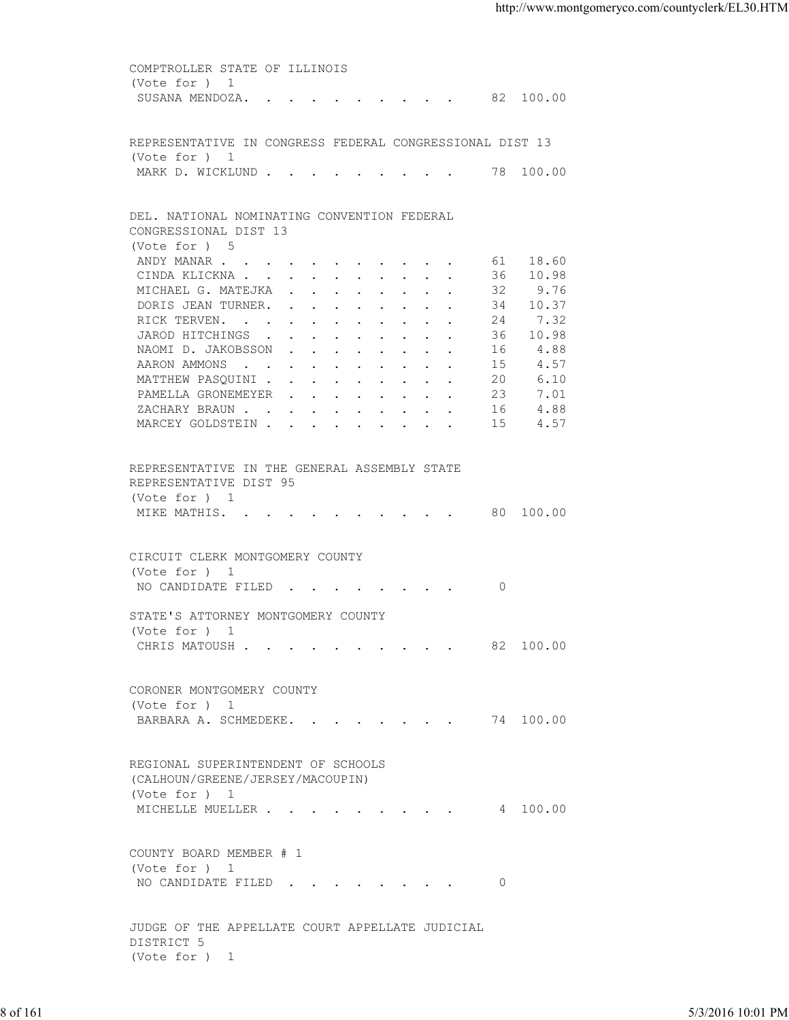| (Vote for ) 1<br>SUSANA MENDOZA. 82 100.00<br>REPRESENTATIVE IN CONGRESS FEDERAL CONGRESSIONAL DIST 13<br>(Vote for ) 1<br>MARK D. WICKLUND 78 100.00<br>DEL. NATIONAL NOMINATING CONVENTION FEDERAL<br>CONGRESSIONAL DIST 13<br>(Vote for ) 5<br>61 18.60<br>ANDY MANAR<br>36 10.98<br>CINDA KLICKNA<br>32<br>9.76<br>MICHAEL G. MATEJKA<br>34 10.37<br>DORIS JEAN TURNER.<br>7.32<br>RICK TERVEN.<br>24<br>JAROD HITCHINGS<br>36<br>10.98<br>4.88<br>NAOMI D. JAKOBSSON<br>16<br>4.57<br>AARON AMMONS<br>15<br>MATTHEW PASQUINI<br>6.10<br>20<br>PAMELLA GRONEMEYER<br>23<br>7.01<br>4.88<br>ZACHARY BRAUN<br>16<br>15<br>4.57<br>MARCEY GOLDSTEIN<br>REPRESENTATIVE IN THE GENERAL ASSEMBLY STATE<br>REPRESENTATIVE DIST 95<br>(Vote for ) 1<br>MIKE MATHIS. 80 100.00<br>CIRCUIT CLERK MONTGOMERY COUNTY<br>(Vote for ) 1<br>NO CANDIDATE FILED 0<br>STATE'S ATTORNEY MONTGOMERY COUNTY<br>(Vote for ) 1<br>CHRIS MATOUSH 82 100.00<br>CORONER MONTGOMERY COUNTY<br>(Vote for ) 1<br>BARBARA A. SCHMEDEKE. 74 100.00<br>REGIONAL SUPERINTENDENT OF SCHOOLS<br>(CALHOUN/GREENE/JERSEY/MACOUPIN)<br>(Vote for ) 1<br>MICHELLE MUELLER 4 100.00<br>COUNTY BOARD MEMBER # 1<br>(Vote for ) 1<br>NO CANDIDATE FILED 0<br>JUDGE OF THE APPELLATE COURT APPELLATE JUDICIAL |
|-------------------------------------------------------------------------------------------------------------------------------------------------------------------------------------------------------------------------------------------------------------------------------------------------------------------------------------------------------------------------------------------------------------------------------------------------------------------------------------------------------------------------------------------------------------------------------------------------------------------------------------------------------------------------------------------------------------------------------------------------------------------------------------------------------------------------------------------------------------------------------------------------------------------------------------------------------------------------------------------------------------------------------------------------------------------------------------------------------------------------------------------------------------------------------------------------------------------------------------------------------------------------|
|                                                                                                                                                                                                                                                                                                                                                                                                                                                                                                                                                                                                                                                                                                                                                                                                                                                                                                                                                                                                                                                                                                                                                                                                                                                                         |
|                                                                                                                                                                                                                                                                                                                                                                                                                                                                                                                                                                                                                                                                                                                                                                                                                                                                                                                                                                                                                                                                                                                                                                                                                                                                         |
|                                                                                                                                                                                                                                                                                                                                                                                                                                                                                                                                                                                                                                                                                                                                                                                                                                                                                                                                                                                                                                                                                                                                                                                                                                                                         |
|                                                                                                                                                                                                                                                                                                                                                                                                                                                                                                                                                                                                                                                                                                                                                                                                                                                                                                                                                                                                                                                                                                                                                                                                                                                                         |
|                                                                                                                                                                                                                                                                                                                                                                                                                                                                                                                                                                                                                                                                                                                                                                                                                                                                                                                                                                                                                                                                                                                                                                                                                                                                         |
|                                                                                                                                                                                                                                                                                                                                                                                                                                                                                                                                                                                                                                                                                                                                                                                                                                                                                                                                                                                                                                                                                                                                                                                                                                                                         |
|                                                                                                                                                                                                                                                                                                                                                                                                                                                                                                                                                                                                                                                                                                                                                                                                                                                                                                                                                                                                                                                                                                                                                                                                                                                                         |
|                                                                                                                                                                                                                                                                                                                                                                                                                                                                                                                                                                                                                                                                                                                                                                                                                                                                                                                                                                                                                                                                                                                                                                                                                                                                         |
|                                                                                                                                                                                                                                                                                                                                                                                                                                                                                                                                                                                                                                                                                                                                                                                                                                                                                                                                                                                                                                                                                                                                                                                                                                                                         |
|                                                                                                                                                                                                                                                                                                                                                                                                                                                                                                                                                                                                                                                                                                                                                                                                                                                                                                                                                                                                                                                                                                                                                                                                                                                                         |
|                                                                                                                                                                                                                                                                                                                                                                                                                                                                                                                                                                                                                                                                                                                                                                                                                                                                                                                                                                                                                                                                                                                                                                                                                                                                         |
|                                                                                                                                                                                                                                                                                                                                                                                                                                                                                                                                                                                                                                                                                                                                                                                                                                                                                                                                                                                                                                                                                                                                                                                                                                                                         |
|                                                                                                                                                                                                                                                                                                                                                                                                                                                                                                                                                                                                                                                                                                                                                                                                                                                                                                                                                                                                                                                                                                                                                                                                                                                                         |
|                                                                                                                                                                                                                                                                                                                                                                                                                                                                                                                                                                                                                                                                                                                                                                                                                                                                                                                                                                                                                                                                                                                                                                                                                                                                         |
|                                                                                                                                                                                                                                                                                                                                                                                                                                                                                                                                                                                                                                                                                                                                                                                                                                                                                                                                                                                                                                                                                                                                                                                                                                                                         |
|                                                                                                                                                                                                                                                                                                                                                                                                                                                                                                                                                                                                                                                                                                                                                                                                                                                                                                                                                                                                                                                                                                                                                                                                                                                                         |
|                                                                                                                                                                                                                                                                                                                                                                                                                                                                                                                                                                                                                                                                                                                                                                                                                                                                                                                                                                                                                                                                                                                                                                                                                                                                         |
|                                                                                                                                                                                                                                                                                                                                                                                                                                                                                                                                                                                                                                                                                                                                                                                                                                                                                                                                                                                                                                                                                                                                                                                                                                                                         |
|                                                                                                                                                                                                                                                                                                                                                                                                                                                                                                                                                                                                                                                                                                                                                                                                                                                                                                                                                                                                                                                                                                                                                                                                                                                                         |
|                                                                                                                                                                                                                                                                                                                                                                                                                                                                                                                                                                                                                                                                                                                                                                                                                                                                                                                                                                                                                                                                                                                                                                                                                                                                         |
|                                                                                                                                                                                                                                                                                                                                                                                                                                                                                                                                                                                                                                                                                                                                                                                                                                                                                                                                                                                                                                                                                                                                                                                                                                                                         |
|                                                                                                                                                                                                                                                                                                                                                                                                                                                                                                                                                                                                                                                                                                                                                                                                                                                                                                                                                                                                                                                                                                                                                                                                                                                                         |
|                                                                                                                                                                                                                                                                                                                                                                                                                                                                                                                                                                                                                                                                                                                                                                                                                                                                                                                                                                                                                                                                                                                                                                                                                                                                         |
|                                                                                                                                                                                                                                                                                                                                                                                                                                                                                                                                                                                                                                                                                                                                                                                                                                                                                                                                                                                                                                                                                                                                                                                                                                                                         |
|                                                                                                                                                                                                                                                                                                                                                                                                                                                                                                                                                                                                                                                                                                                                                                                                                                                                                                                                                                                                                                                                                                                                                                                                                                                                         |
|                                                                                                                                                                                                                                                                                                                                                                                                                                                                                                                                                                                                                                                                                                                                                                                                                                                                                                                                                                                                                                                                                                                                                                                                                                                                         |
|                                                                                                                                                                                                                                                                                                                                                                                                                                                                                                                                                                                                                                                                                                                                                                                                                                                                                                                                                                                                                                                                                                                                                                                                                                                                         |
|                                                                                                                                                                                                                                                                                                                                                                                                                                                                                                                                                                                                                                                                                                                                                                                                                                                                                                                                                                                                                                                                                                                                                                                                                                                                         |
|                                                                                                                                                                                                                                                                                                                                                                                                                                                                                                                                                                                                                                                                                                                                                                                                                                                                                                                                                                                                                                                                                                                                                                                                                                                                         |
|                                                                                                                                                                                                                                                                                                                                                                                                                                                                                                                                                                                                                                                                                                                                                                                                                                                                                                                                                                                                                                                                                                                                                                                                                                                                         |
|                                                                                                                                                                                                                                                                                                                                                                                                                                                                                                                                                                                                                                                                                                                                                                                                                                                                                                                                                                                                                                                                                                                                                                                                                                                                         |
|                                                                                                                                                                                                                                                                                                                                                                                                                                                                                                                                                                                                                                                                                                                                                                                                                                                                                                                                                                                                                                                                                                                                                                                                                                                                         |
|                                                                                                                                                                                                                                                                                                                                                                                                                                                                                                                                                                                                                                                                                                                                                                                                                                                                                                                                                                                                                                                                                                                                                                                                                                                                         |
|                                                                                                                                                                                                                                                                                                                                                                                                                                                                                                                                                                                                                                                                                                                                                                                                                                                                                                                                                                                                                                                                                                                                                                                                                                                                         |
|                                                                                                                                                                                                                                                                                                                                                                                                                                                                                                                                                                                                                                                                                                                                                                                                                                                                                                                                                                                                                                                                                                                                                                                                                                                                         |
|                                                                                                                                                                                                                                                                                                                                                                                                                                                                                                                                                                                                                                                                                                                                                                                                                                                                                                                                                                                                                                                                                                                                                                                                                                                                         |
|                                                                                                                                                                                                                                                                                                                                                                                                                                                                                                                                                                                                                                                                                                                                                                                                                                                                                                                                                                                                                                                                                                                                                                                                                                                                         |
|                                                                                                                                                                                                                                                                                                                                                                                                                                                                                                                                                                                                                                                                                                                                                                                                                                                                                                                                                                                                                                                                                                                                                                                                                                                                         |
|                                                                                                                                                                                                                                                                                                                                                                                                                                                                                                                                                                                                                                                                                                                                                                                                                                                                                                                                                                                                                                                                                                                                                                                                                                                                         |
|                                                                                                                                                                                                                                                                                                                                                                                                                                                                                                                                                                                                                                                                                                                                                                                                                                                                                                                                                                                                                                                                                                                                                                                                                                                                         |
|                                                                                                                                                                                                                                                                                                                                                                                                                                                                                                                                                                                                                                                                                                                                                                                                                                                                                                                                                                                                                                                                                                                                                                                                                                                                         |
|                                                                                                                                                                                                                                                                                                                                                                                                                                                                                                                                                                                                                                                                                                                                                                                                                                                                                                                                                                                                                                                                                                                                                                                                                                                                         |
|                                                                                                                                                                                                                                                                                                                                                                                                                                                                                                                                                                                                                                                                                                                                                                                                                                                                                                                                                                                                                                                                                                                                                                                                                                                                         |
|                                                                                                                                                                                                                                                                                                                                                                                                                                                                                                                                                                                                                                                                                                                                                                                                                                                                                                                                                                                                                                                                                                                                                                                                                                                                         |
|                                                                                                                                                                                                                                                                                                                                                                                                                                                                                                                                                                                                                                                                                                                                                                                                                                                                                                                                                                                                                                                                                                                                                                                                                                                                         |
| DISTRICT 5                                                                                                                                                                                                                                                                                                                                                                                                                                                                                                                                                                                                                                                                                                                                                                                                                                                                                                                                                                                                                                                                                                                                                                                                                                                              |
| (Vote for ) 1                                                                                                                                                                                                                                                                                                                                                                                                                                                                                                                                                                                                                                                                                                                                                                                                                                                                                                                                                                                                                                                                                                                                                                                                                                                           |
|                                                                                                                                                                                                                                                                                                                                                                                                                                                                                                                                                                                                                                                                                                                                                                                                                                                                                                                                                                                                                                                                                                                                                                                                                                                                         |
| 8 of 161<br>5/3/2016 10:01 PM                                                                                                                                                                                                                                                                                                                                                                                                                                                                                                                                                                                                                                                                                                                                                                                                                                                                                                                                                                                                                                                                                                                                                                                                                                           |
|                                                                                                                                                                                                                                                                                                                                                                                                                                                                                                                                                                                                                                                                                                                                                                                                                                                                                                                                                                                                                                                                                                                                                                                                                                                                         |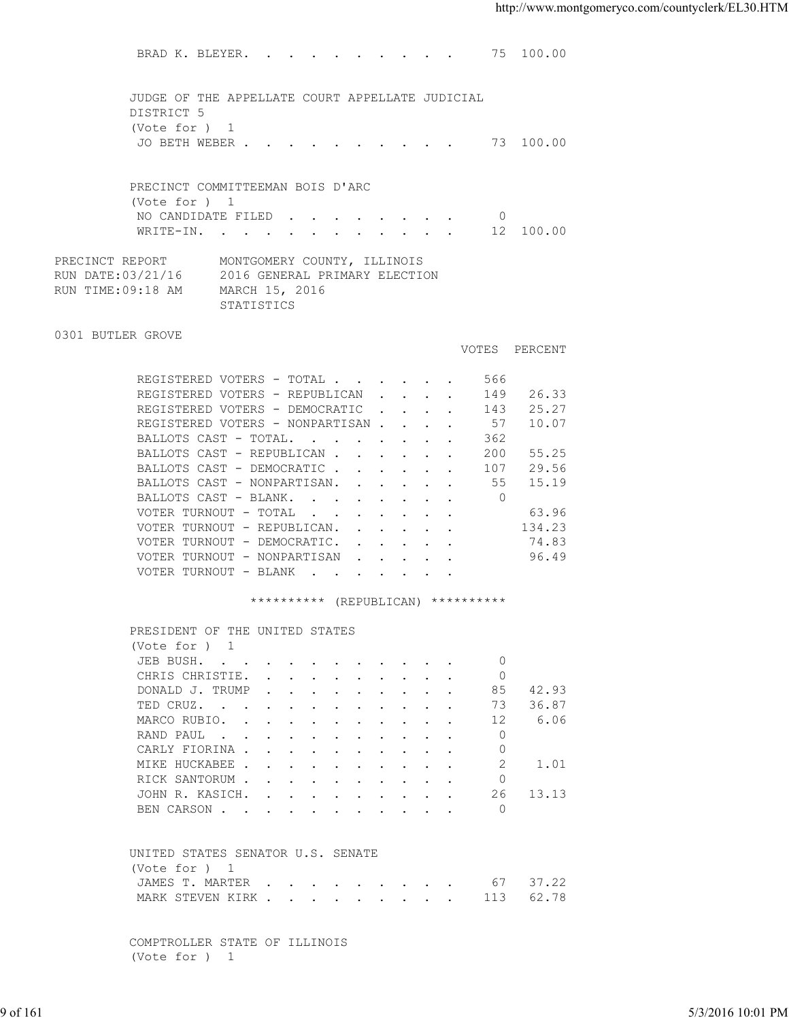BRAD K. BLEYER. . . . . . . . . . 75 100.00 JUDGE OF THE APPELLATE COURT APPELLATE JUDICIAL DISTRICT 5 (Vote for ) 1 JO BETH WEBER . . . . . . . . . . 73 100.00 PRECINCT COMMITTEEMAN BOIS D'ARC (Vote for ) 1 NO CANDIDATE FILED . . . . . . . . 0<br>WRITE-IN. . . . . . . . . . . . 12 100.00 WRITE-IN. . . . . . . . . . . PRECINCT REPORT MONTGOMERY COUNTY, ILLINOIS<br>RUN DATE:03/21/16 2016 GENERAL PRIMARY ELECTI 2016 GENERAL PRIMARY ELECTION RUN TIME:09:18 AM MARCH 15, 2016 STATISTICS 0301 BUTLER GROVE VOTES PERCENT REGISTERED VOTERS - TOTAL . . . . . . 566 REGISTERED VOTERS - REPUBLICAN . . . . 149 26.33<br>REGISTERED VOTERS - DEMOCRATIC . . . . 143 25.27 REGISTERED VOTERS - DEMOCRATIC . . . . 143 25.27 REGISTERED VOTERS - NONPARTISAN . . . . 57 10.07 BALLOTS CAST - TOTAL. . . . . . . . 362 BALLOTS CAST - REPUBLICAN . . . . . . 200 55.25<br>BALLOTS CAST - DEMOCRATIC . . . . . 107 29.56 BALLOTS CAST - DEMOCRATIC . . . . . . BALLOTS CAST - NONPARTISAN. . . . . . 55 15.19<br>BALLOTS CAST - BLANK. . . . . . . . 0 BALLOTS CAST - BLANK. . . . . . . . VOTER TURNOUT - TOTAL . . . . . . . . 63.96 VOTER TURNOUT - REPUBLICAN. . . . . . 134.23 VOTER TURNOUT - DEMOCRATIC. . . . . . 74.83 VOTER TURNOUT - NONPARTISAN . . . . . 96.49 VOTER TURNOUT - BLANK . . . . . \*\*\*\*\*\*\*\*\*\* (REPUBLICAN) \*\*\*\*\*\*\*\*\*\* PRESIDENT OF THE UNITED STATES (Vote for ) 1 JEB BUSH. . . . . . . . . . . . 0 CHRIS CHRISTIE. . . . . . . . . 0 DONALD J. TRUMP . . . . . . . . . . 85 42.93 TED CRUZ. . . . . . . . . . . . . 73 36.87<br>MARCO RUBIO. . . . . . . . . . . 12 6.06 MARCO RUBIO. . . . . . . . . . . 12 6.06 RAND PAUL . . . . . . . . . . . 0 CARLY FIORINA . . . . . . . . . . . 0 MIKE HUCKABEE . . . . . . . . . . 2 1.01 RICK SANTORUM . . . . . . . . . . 0 JOHN R. KASICH. . . . . . . . . . 26 13.13 BEN CARSON . . . . . . . . . . 0 UNITED STATES SENATOR U.S. SENATE (Vote for ) 1 JAMES T. MARTER . . . . . . . . . 67 37.22 MARK STEVEN KIRK . . . . . . . . . 113 62.78 9 of 161 5/3/2016 10:01 PM

 COMPTROLLER STATE OF ILLINOIS (Vote for ) 1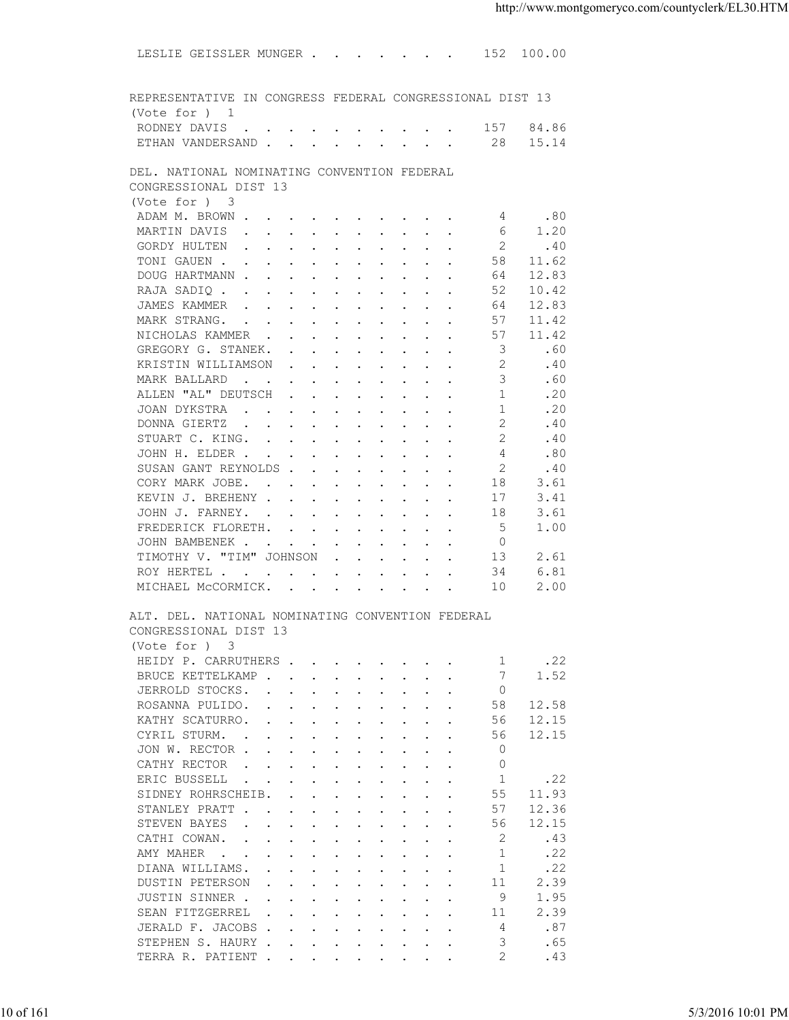LESLIE GEISSLER MUNGER . . . . . . . 152 100.00 REPRESENTATIVE IN CONGRESS FEDERAL CONGRESSIONAL DIST 13 (Vote for ) 1 RODNEY DAVIS . . . . . . . . . . . 157 84.86<br>FTHAN VANDERSAND . . . . . . . . . 28 15.14 ETHAN VANDERSAND . . . . . . . . . 28 DEL. NATIONAL NOMINATING CONVENTION FEDERAL CONGRESSIONAL DIST 13 (Vote for ) 3<br>ADAM M. BROWN . 4 . 80<br>4 . . . . . . . . . . . . . . . 6 1.20 MARTIN DAVIS . . . . . . . . . . . 6 GORDY HULTEN . . . . . . . . . . . 2 .40<br>TONI GAUEN . . . . . . . . . . . 58 11.62 TONI GAUEN . . . . . . . . . . . DOUG HARTMANN . . . . . . . . . . . 64 12.83 RAJA SADIQ . . . . . . . . . . . 52 10.42<br>JAMES KAMMER . . . . . . . . . . 64 12.83 JAMES KAMMER . . . . . . . . . . . 64 12.83<br>MARK STRANG. . . . . . . . . . . 57 11.42 MARK STRANG. . . . . . . . . . . . NICHOLAS KAMMER . . . . . . . . . 57 11.42<br>GREGORY G. STANEK. . . . . . . . . 3 .60 GREGORY G. STANEK. . . . . . . . . KRISTIN WILLIAMSON . . . . . . . . 2 . 40 MARK BALLARD . . . . . . . . . . . 3 .60<br>ALLEN "AL" DEUTSCH . . . . . . . . 1 .20 ALLEN "AL" DEUTSCH . . . . . . . . . 1 . 20 JOAN DYKSTRA . . . . . . . . . . . 1 . 20 00NNA GIERTZ . . . . . . . . . . . . 2 . 40<br>
STUART C. KING. . . . . . . . . . . . . 2 . 40<br>
JOHN H. ELDER . . . . . . . . . . . . . . 4 .80<br>
SUSAN GANT REYNOLDS . . . . . . . . . 2 .40<br>
CORY MARK JOBE. . . . . . . . . . 1 STUART C. KING. . . . . . . . . . . 2 . 40 JOHN H. ELDER . . . . . . . . . . . 4 .80<br>SUSAN GANT REYNOLDS . . . . . . . . 2 .40 SUSAN GANT REYNOLDS . . . . . . . . . 2 . 40<br>CORY MARK JOBE. . . . . . . . . . 18 3.61 CORY MARK JOBE. . . . . . . . . . 18 3.61<br>KEVIN J. BREHENY . . . . . . . . . 17 3.41 KEVIN J. BREHENY . . . . . . . . . . JOHN J. FARNEY. . . . . . . . . . 18 3.61 FREDERICK FLORETH. . . . . . . . . 5 1.00 JOHN BAMBENEK . . . . . . . . . . 0 TIMOTHY V. "TIM" JOHNSON . . . . . . 13 2.61<br>ROY HERTEL . . . . . . . . . . . 34 6.81 ROY HERTEL . . . . . . . . . . . . 34<br>MICHAEL McCORMICK. . . . . . . . . . . . . 10 MICHAEL MCCORMICK. . . . . . . . . 10 2.00 ALT. DEL. NATIONAL NOMINATING CONVENTION FEDERAL CONGRESSIONAL DIST 13 (Vote for ) 3 HEIDY P. CARRUTHERS . . . . . . . . 1 . 22 BRUCE KETTELKAMP . . . . . . . . . 7 1.52 JERROLD STOCKS. . . . . . . . . . 0 ROSANNA PULIDO. . . . . . . . . . . 58 12.58<br>KATHY SCATURRO. . . . . . . . . . 56 12.15 KATHY SCATURRO. . . . . . . . . . CYRIL STURM. . . . . . . . . . . . 56 12.15<br>JON W. RECTOR . . . . . . . . . . . 0 JON W. RECTOR . . . . . . . . . . CATHY RECTOR . . . . . . . . . . 0 ERIC BUSSELL . . . . . . . . . . 1 .22<br>SIDNEY ROHRSCHEIB. . . . . . . . 55 11.93 SIDNEY ROHRSCHEIB. . . . . . . . . 55 11.93<br>STANLEY PRATT . . . . . . . . . . 57 12.36 STANLEY PRATT . . . . . . . . . . . 57 12.36<br>STEVEN BAYES . . . . . . . . . . 56 12.15 STEVEN BAYES . . . . . . . . . . 56 12.15<br>CATHI COWAN. . . . . . . . . . . 2 .43 CATHI COWAN. . . . . . . . . . . . AMY MAHER . . . . . . . . . . . 1 . 22 DIANA WILLIAMS. . . . . . . . . . . 1 .22<br>DUSTIN PETERSON . . . . . . . . . 11 2.39 DUSTIN PETERSON . . . . . . . . . 11 2.39<br>JUSTIN SINNER . . . . . . . . . . 9 1.95 JUSTIN SINNER . . . . . . . . . . . 9 1.95<br>SEAN FITZGERREL . . . . . . . . . 11 2.39 SEAN FITZGERREL . . . . . . . . . 11<br>JERALD F. JACOBS . . . . . . . . . 4 JERALD F. JACOBS . . . . . . . . . 4 .87 STEPHEN S. HAURY . . . . . . . . . . 3 .65 TERRA R. PATIENT . . . . . . . . . 2 . 43 10 of 161 5/3/2016 10:01 PM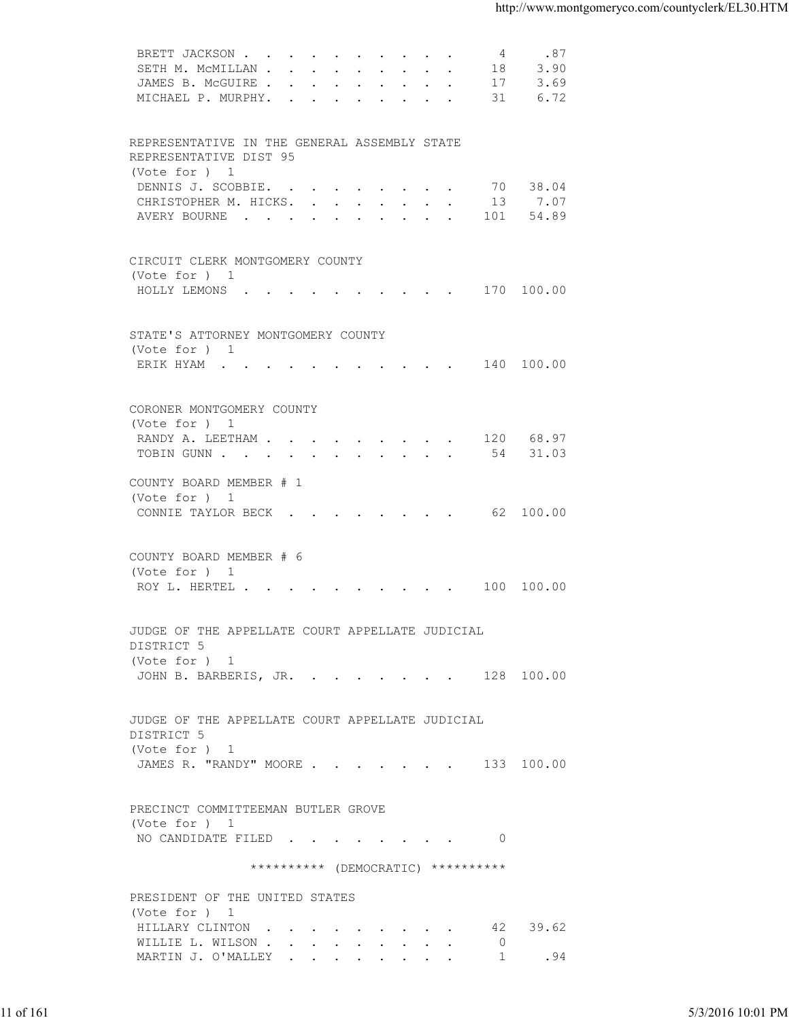| 3.90<br>SETH M. MCMILLAN<br>18<br>JAMES B. MCGUIRE 17<br>3.69<br>MICHAEL P. MURPHY. 31<br>6.72<br>REPRESENTATIVE IN THE GENERAL ASSEMBLY STATE<br>REPRESENTATIVE DIST 95<br>(Vote for ) 1<br>70 38.04<br>DENNIS J. SCOBBIE.<br>13 7.07<br>CHRISTOPHER M. HICKS.<br>AVERY BOURNE 101 54.89<br>CIRCUIT CLERK MONTGOMERY COUNTY<br>(Vote for ) 1<br>HOLLY LEMONS 170 100.00<br>STATE'S ATTORNEY MONTGOMERY COUNTY<br>(Vote for ) 1<br>ERIK HYAM 140 100.00<br>CORONER MONTGOMERY COUNTY<br>(Vote for ) 1<br>RANDY A. LEETHAM 120 68.97<br>TOBIN GUNN 54 31.03<br>COUNTY BOARD MEMBER # 1<br>(Vote for ) 1<br>CONNIE TAYLOR BECK 62 100.00<br>COUNTY BOARD MEMBER # 6<br>(Vote for ) 1<br>ROY L. HERTEL 100 100.00<br>JUDGE OF THE APPELLATE COURT APPELLATE JUDICIAL<br>DISTRICT 5<br>(Vote for ) 1<br>JOHN B. BARBERIS, JR. 128 100.00<br>JUDGE OF THE APPELLATE COURT APPELLATE JUDICIAL<br>DISTRICT 5<br>(Vote for ) 1<br>JAMES R. "RANDY" MOORE 133 100.00<br>PRECINCT COMMITTEEMAN BUTLER GROVE<br>(Vote for ) 1<br>NO CANDIDATE FILED 0<br>********** (DEMOCRATIC) **********<br>PRESIDENT OF THE UNITED STATES<br>(Vote for ) 1<br>HILLARY CLINTON 42 39.62<br>WILLIE L. WILSON<br>$\overline{0}$<br>MARTIN J. O'MALLEY 1<br>.94 |           | BRETT JACKSON<br>4<br>.87 |                   |
|--------------------------------------------------------------------------------------------------------------------------------------------------------------------------------------------------------------------------------------------------------------------------------------------------------------------------------------------------------------------------------------------------------------------------------------------------------------------------------------------------------------------------------------------------------------------------------------------------------------------------------------------------------------------------------------------------------------------------------------------------------------------------------------------------------------------------------------------------------------------------------------------------------------------------------------------------------------------------------------------------------------------------------------------------------------------------------------------------------------------------------------------------------------------------------------------------------------------------------------|-----------|---------------------------|-------------------|
|                                                                                                                                                                                                                                                                                                                                                                                                                                                                                                                                                                                                                                                                                                                                                                                                                                                                                                                                                                                                                                                                                                                                                                                                                                      |           |                           |                   |
|                                                                                                                                                                                                                                                                                                                                                                                                                                                                                                                                                                                                                                                                                                                                                                                                                                                                                                                                                                                                                                                                                                                                                                                                                                      |           |                           |                   |
|                                                                                                                                                                                                                                                                                                                                                                                                                                                                                                                                                                                                                                                                                                                                                                                                                                                                                                                                                                                                                                                                                                                                                                                                                                      |           |                           |                   |
|                                                                                                                                                                                                                                                                                                                                                                                                                                                                                                                                                                                                                                                                                                                                                                                                                                                                                                                                                                                                                                                                                                                                                                                                                                      |           |                           |                   |
|                                                                                                                                                                                                                                                                                                                                                                                                                                                                                                                                                                                                                                                                                                                                                                                                                                                                                                                                                                                                                                                                                                                                                                                                                                      |           |                           |                   |
|                                                                                                                                                                                                                                                                                                                                                                                                                                                                                                                                                                                                                                                                                                                                                                                                                                                                                                                                                                                                                                                                                                                                                                                                                                      |           |                           |                   |
|                                                                                                                                                                                                                                                                                                                                                                                                                                                                                                                                                                                                                                                                                                                                                                                                                                                                                                                                                                                                                                                                                                                                                                                                                                      |           |                           |                   |
|                                                                                                                                                                                                                                                                                                                                                                                                                                                                                                                                                                                                                                                                                                                                                                                                                                                                                                                                                                                                                                                                                                                                                                                                                                      |           |                           |                   |
|                                                                                                                                                                                                                                                                                                                                                                                                                                                                                                                                                                                                                                                                                                                                                                                                                                                                                                                                                                                                                                                                                                                                                                                                                                      |           |                           |                   |
|                                                                                                                                                                                                                                                                                                                                                                                                                                                                                                                                                                                                                                                                                                                                                                                                                                                                                                                                                                                                                                                                                                                                                                                                                                      |           |                           |                   |
|                                                                                                                                                                                                                                                                                                                                                                                                                                                                                                                                                                                                                                                                                                                                                                                                                                                                                                                                                                                                                                                                                                                                                                                                                                      |           |                           |                   |
|                                                                                                                                                                                                                                                                                                                                                                                                                                                                                                                                                                                                                                                                                                                                                                                                                                                                                                                                                                                                                                                                                                                                                                                                                                      |           |                           |                   |
|                                                                                                                                                                                                                                                                                                                                                                                                                                                                                                                                                                                                                                                                                                                                                                                                                                                                                                                                                                                                                                                                                                                                                                                                                                      |           |                           |                   |
|                                                                                                                                                                                                                                                                                                                                                                                                                                                                                                                                                                                                                                                                                                                                                                                                                                                                                                                                                                                                                                                                                                                                                                                                                                      |           |                           |                   |
|                                                                                                                                                                                                                                                                                                                                                                                                                                                                                                                                                                                                                                                                                                                                                                                                                                                                                                                                                                                                                                                                                                                                                                                                                                      |           |                           |                   |
|                                                                                                                                                                                                                                                                                                                                                                                                                                                                                                                                                                                                                                                                                                                                                                                                                                                                                                                                                                                                                                                                                                                                                                                                                                      |           |                           |                   |
|                                                                                                                                                                                                                                                                                                                                                                                                                                                                                                                                                                                                                                                                                                                                                                                                                                                                                                                                                                                                                                                                                                                                                                                                                                      |           |                           |                   |
|                                                                                                                                                                                                                                                                                                                                                                                                                                                                                                                                                                                                                                                                                                                                                                                                                                                                                                                                                                                                                                                                                                                                                                                                                                      |           |                           |                   |
|                                                                                                                                                                                                                                                                                                                                                                                                                                                                                                                                                                                                                                                                                                                                                                                                                                                                                                                                                                                                                                                                                                                                                                                                                                      |           |                           |                   |
|                                                                                                                                                                                                                                                                                                                                                                                                                                                                                                                                                                                                                                                                                                                                                                                                                                                                                                                                                                                                                                                                                                                                                                                                                                      |           |                           |                   |
|                                                                                                                                                                                                                                                                                                                                                                                                                                                                                                                                                                                                                                                                                                                                                                                                                                                                                                                                                                                                                                                                                                                                                                                                                                      |           |                           |                   |
|                                                                                                                                                                                                                                                                                                                                                                                                                                                                                                                                                                                                                                                                                                                                                                                                                                                                                                                                                                                                                                                                                                                                                                                                                                      |           |                           |                   |
|                                                                                                                                                                                                                                                                                                                                                                                                                                                                                                                                                                                                                                                                                                                                                                                                                                                                                                                                                                                                                                                                                                                                                                                                                                      |           |                           |                   |
|                                                                                                                                                                                                                                                                                                                                                                                                                                                                                                                                                                                                                                                                                                                                                                                                                                                                                                                                                                                                                                                                                                                                                                                                                                      |           |                           |                   |
|                                                                                                                                                                                                                                                                                                                                                                                                                                                                                                                                                                                                                                                                                                                                                                                                                                                                                                                                                                                                                                                                                                                                                                                                                                      |           |                           |                   |
|                                                                                                                                                                                                                                                                                                                                                                                                                                                                                                                                                                                                                                                                                                                                                                                                                                                                                                                                                                                                                                                                                                                                                                                                                                      |           |                           |                   |
|                                                                                                                                                                                                                                                                                                                                                                                                                                                                                                                                                                                                                                                                                                                                                                                                                                                                                                                                                                                                                                                                                                                                                                                                                                      |           |                           |                   |
|                                                                                                                                                                                                                                                                                                                                                                                                                                                                                                                                                                                                                                                                                                                                                                                                                                                                                                                                                                                                                                                                                                                                                                                                                                      |           |                           |                   |
|                                                                                                                                                                                                                                                                                                                                                                                                                                                                                                                                                                                                                                                                                                                                                                                                                                                                                                                                                                                                                                                                                                                                                                                                                                      |           |                           |                   |
|                                                                                                                                                                                                                                                                                                                                                                                                                                                                                                                                                                                                                                                                                                                                                                                                                                                                                                                                                                                                                                                                                                                                                                                                                                      |           |                           |                   |
|                                                                                                                                                                                                                                                                                                                                                                                                                                                                                                                                                                                                                                                                                                                                                                                                                                                                                                                                                                                                                                                                                                                                                                                                                                      |           |                           |                   |
|                                                                                                                                                                                                                                                                                                                                                                                                                                                                                                                                                                                                                                                                                                                                                                                                                                                                                                                                                                                                                                                                                                                                                                                                                                      |           |                           |                   |
|                                                                                                                                                                                                                                                                                                                                                                                                                                                                                                                                                                                                                                                                                                                                                                                                                                                                                                                                                                                                                                                                                                                                                                                                                                      |           |                           |                   |
|                                                                                                                                                                                                                                                                                                                                                                                                                                                                                                                                                                                                                                                                                                                                                                                                                                                                                                                                                                                                                                                                                                                                                                                                                                      |           |                           |                   |
|                                                                                                                                                                                                                                                                                                                                                                                                                                                                                                                                                                                                                                                                                                                                                                                                                                                                                                                                                                                                                                                                                                                                                                                                                                      |           |                           |                   |
|                                                                                                                                                                                                                                                                                                                                                                                                                                                                                                                                                                                                                                                                                                                                                                                                                                                                                                                                                                                                                                                                                                                                                                                                                                      |           |                           |                   |
|                                                                                                                                                                                                                                                                                                                                                                                                                                                                                                                                                                                                                                                                                                                                                                                                                                                                                                                                                                                                                                                                                                                                                                                                                                      |           |                           |                   |
|                                                                                                                                                                                                                                                                                                                                                                                                                                                                                                                                                                                                                                                                                                                                                                                                                                                                                                                                                                                                                                                                                                                                                                                                                                      |           |                           |                   |
|                                                                                                                                                                                                                                                                                                                                                                                                                                                                                                                                                                                                                                                                                                                                                                                                                                                                                                                                                                                                                                                                                                                                                                                                                                      |           |                           |                   |
|                                                                                                                                                                                                                                                                                                                                                                                                                                                                                                                                                                                                                                                                                                                                                                                                                                                                                                                                                                                                                                                                                                                                                                                                                                      |           |                           |                   |
|                                                                                                                                                                                                                                                                                                                                                                                                                                                                                                                                                                                                                                                                                                                                                                                                                                                                                                                                                                                                                                                                                                                                                                                                                                      |           |                           |                   |
|                                                                                                                                                                                                                                                                                                                                                                                                                                                                                                                                                                                                                                                                                                                                                                                                                                                                                                                                                                                                                                                                                                                                                                                                                                      |           |                           |                   |
|                                                                                                                                                                                                                                                                                                                                                                                                                                                                                                                                                                                                                                                                                                                                                                                                                                                                                                                                                                                                                                                                                                                                                                                                                                      |           |                           |                   |
|                                                                                                                                                                                                                                                                                                                                                                                                                                                                                                                                                                                                                                                                                                                                                                                                                                                                                                                                                                                                                                                                                                                                                                                                                                      |           |                           |                   |
|                                                                                                                                                                                                                                                                                                                                                                                                                                                                                                                                                                                                                                                                                                                                                                                                                                                                                                                                                                                                                                                                                                                                                                                                                                      |           |                           |                   |
|                                                                                                                                                                                                                                                                                                                                                                                                                                                                                                                                                                                                                                                                                                                                                                                                                                                                                                                                                                                                                                                                                                                                                                                                                                      |           |                           |                   |
|                                                                                                                                                                                                                                                                                                                                                                                                                                                                                                                                                                                                                                                                                                                                                                                                                                                                                                                                                                                                                                                                                                                                                                                                                                      |           |                           |                   |
|                                                                                                                                                                                                                                                                                                                                                                                                                                                                                                                                                                                                                                                                                                                                                                                                                                                                                                                                                                                                                                                                                                                                                                                                                                      |           |                           |                   |
|                                                                                                                                                                                                                                                                                                                                                                                                                                                                                                                                                                                                                                                                                                                                                                                                                                                                                                                                                                                                                                                                                                                                                                                                                                      |           |                           |                   |
|                                                                                                                                                                                                                                                                                                                                                                                                                                                                                                                                                                                                                                                                                                                                                                                                                                                                                                                                                                                                                                                                                                                                                                                                                                      |           |                           |                   |
|                                                                                                                                                                                                                                                                                                                                                                                                                                                                                                                                                                                                                                                                                                                                                                                                                                                                                                                                                                                                                                                                                                                                                                                                                                      |           |                           |                   |
|                                                                                                                                                                                                                                                                                                                                                                                                                                                                                                                                                                                                                                                                                                                                                                                                                                                                                                                                                                                                                                                                                                                                                                                                                                      |           |                           |                   |
|                                                                                                                                                                                                                                                                                                                                                                                                                                                                                                                                                                                                                                                                                                                                                                                                                                                                                                                                                                                                                                                                                                                                                                                                                                      |           |                           |                   |
|                                                                                                                                                                                                                                                                                                                                                                                                                                                                                                                                                                                                                                                                                                                                                                                                                                                                                                                                                                                                                                                                                                                                                                                                                                      |           |                           |                   |
|                                                                                                                                                                                                                                                                                                                                                                                                                                                                                                                                                                                                                                                                                                                                                                                                                                                                                                                                                                                                                                                                                                                                                                                                                                      |           |                           |                   |
|                                                                                                                                                                                                                                                                                                                                                                                                                                                                                                                                                                                                                                                                                                                                                                                                                                                                                                                                                                                                                                                                                                                                                                                                                                      |           |                           |                   |
|                                                                                                                                                                                                                                                                                                                                                                                                                                                                                                                                                                                                                                                                                                                                                                                                                                                                                                                                                                                                                                                                                                                                                                                                                                      |           |                           |                   |
|                                                                                                                                                                                                                                                                                                                                                                                                                                                                                                                                                                                                                                                                                                                                                                                                                                                                                                                                                                                                                                                                                                                                                                                                                                      |           |                           |                   |
|                                                                                                                                                                                                                                                                                                                                                                                                                                                                                                                                                                                                                                                                                                                                                                                                                                                                                                                                                                                                                                                                                                                                                                                                                                      |           |                           |                   |
|                                                                                                                                                                                                                                                                                                                                                                                                                                                                                                                                                                                                                                                                                                                                                                                                                                                                                                                                                                                                                                                                                                                                                                                                                                      | 11 of 161 |                           | 5/3/2016 10:01 PM |
|                                                                                                                                                                                                                                                                                                                                                                                                                                                                                                                                                                                                                                                                                                                                                                                                                                                                                                                                                                                                                                                                                                                                                                                                                                      |           |                           |                   |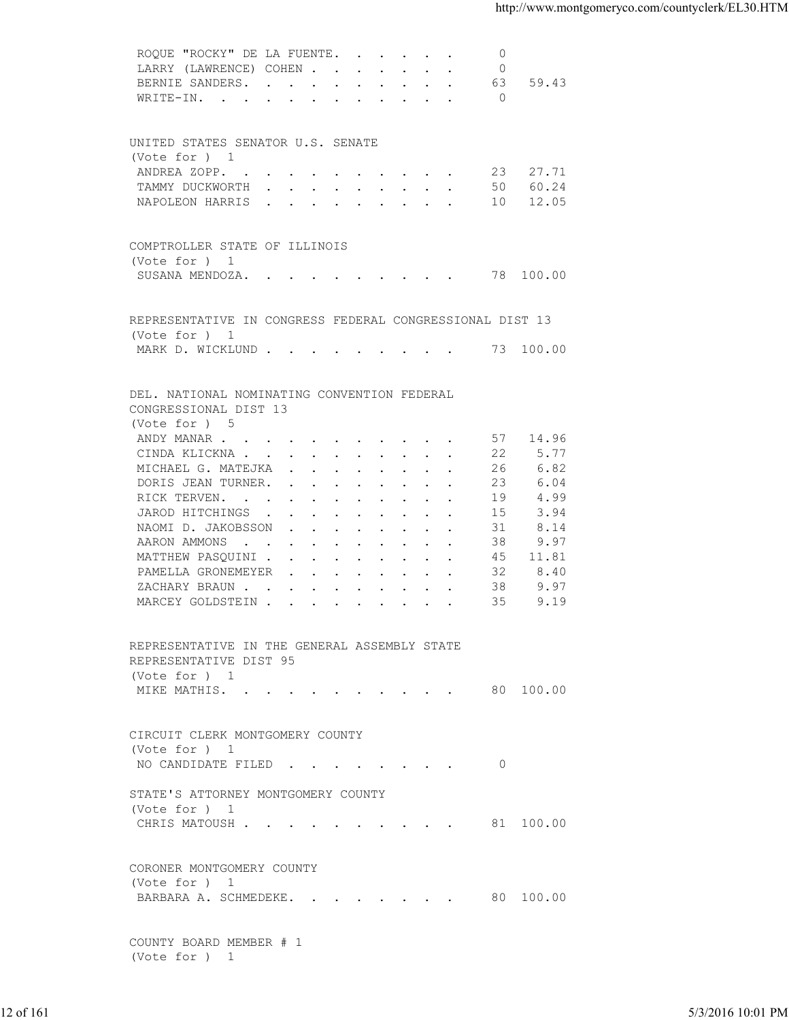|           | ROQUE "ROCKY" DE LA FUENTE.                              | $\circ$    |          |                   |
|-----------|----------------------------------------------------------|------------|----------|-------------------|
|           | LARRY (LAWRENCE) COHEN                                   | $\circ$    |          |                   |
|           | BERNIE SANDERS. 63 59.43                                 |            |          |                   |
|           | WRITE-IN.                                                | $\bigcirc$ |          |                   |
|           |                                                          |            |          |                   |
|           | UNITED STATES SENATOR U.S. SENATE                        |            |          |                   |
|           | (Vote for ) 1                                            |            |          |                   |
|           | ANDREA ZOPP. 23 27.71                                    |            |          |                   |
|           | TAMMY DUCKWORTH 50 60.24                                 |            |          |                   |
|           | NAPOLEON HARRIS 10 12.05                                 |            |          |                   |
|           |                                                          |            |          |                   |
|           | COMPTROLLER STATE OF ILLINOIS                            |            |          |                   |
|           | (Vote for ) 1                                            |            |          |                   |
|           | SUSANA MENDOZA. 78 100.00                                |            |          |                   |
|           |                                                          |            |          |                   |
|           | REPRESENTATIVE IN CONGRESS FEDERAL CONGRESSIONAL DIST 13 |            |          |                   |
|           | (Vote for ) 1                                            |            |          |                   |
|           | MARK D. WICKLUND 73 100.00                               |            |          |                   |
|           |                                                          |            |          |                   |
|           |                                                          |            |          |                   |
|           | DEL. NATIONAL NOMINATING CONVENTION FEDERAL              |            |          |                   |
|           | CONGRESSIONAL DIST 13                                    |            |          |                   |
|           | (Vote for ) 5                                            |            |          |                   |
|           | ANDY MANAR                                               |            | 57 14.96 |                   |
|           | CINDA KLICKNA                                            | 22         | 5.77     |                   |
|           | MICHAEL G. MATEJKA                                       | 26         | 6.82     |                   |
|           | DORIS JEAN TURNER.                                       | 23         | 6.04     |                   |
|           | RICK TERVEN.                                             | 19         | 4.99     |                   |
|           | JAROD HITCHINGS                                          | 15         | 3.94     |                   |
|           | NAOMI D. JAKOBSSON                                       | 31         | 8.14     |                   |
|           |                                                          |            |          |                   |
|           | AARON AMMONS                                             | 38         | 9.97     |                   |
|           | MATTHEW PASQUINI                                         | 45         | 11.81    |                   |
|           | PAMELLA GRONEMEYER                                       | 32         | 8.40     |                   |
|           | ZACHARY BRAUN                                            | 38         | 9.97     |                   |
|           | MARCEY GOLDSTEIN                                         | 35         | 9.19     |                   |
|           |                                                          |            |          |                   |
|           | REPRESENTATIVE IN THE GENERAL ASSEMBLY STATE             |            |          |                   |
|           | REPRESENTATIVE DIST 95                                   |            |          |                   |
|           | (Vote for ) 1                                            |            |          |                   |
|           | MIKE MATHIS. 80 100.00                                   |            |          |                   |
|           |                                                          |            |          |                   |
|           |                                                          |            |          |                   |
|           | CIRCUIT CLERK MONTGOMERY COUNTY                          |            |          |                   |
|           | (Vote for ) 1                                            |            |          |                   |
|           | NO CANDIDATE FILED 0                                     |            |          |                   |
|           | STATE'S ATTORNEY MONTGOMERY COUNTY                       |            |          |                   |
|           | (Vote for ) 1                                            |            |          |                   |
|           | CHRIS MATOUSH 81 100.00                                  |            |          |                   |
|           |                                                          |            |          |                   |
|           |                                                          |            |          |                   |
|           | CORONER MONTGOMERY COUNTY                                |            |          |                   |
|           | (Vote for ) 1                                            |            |          |                   |
|           | BARBARA A. SCHMEDEKE. 80 100.00                          |            |          |                   |
|           |                                                          |            |          |                   |
|           | COUNTY BOARD MEMBER # 1                                  |            |          |                   |
|           | (Vote for ) 1                                            |            |          |                   |
|           |                                                          |            |          |                   |
|           |                                                          |            |          |                   |
| 12 of 161 |                                                          |            |          | 5/3/2016 10:01 PM |
|           |                                                          |            |          |                   |
|           |                                                          |            |          |                   |
|           |                                                          |            |          |                   |
|           |                                                          |            |          |                   |
|           |                                                          |            |          |                   |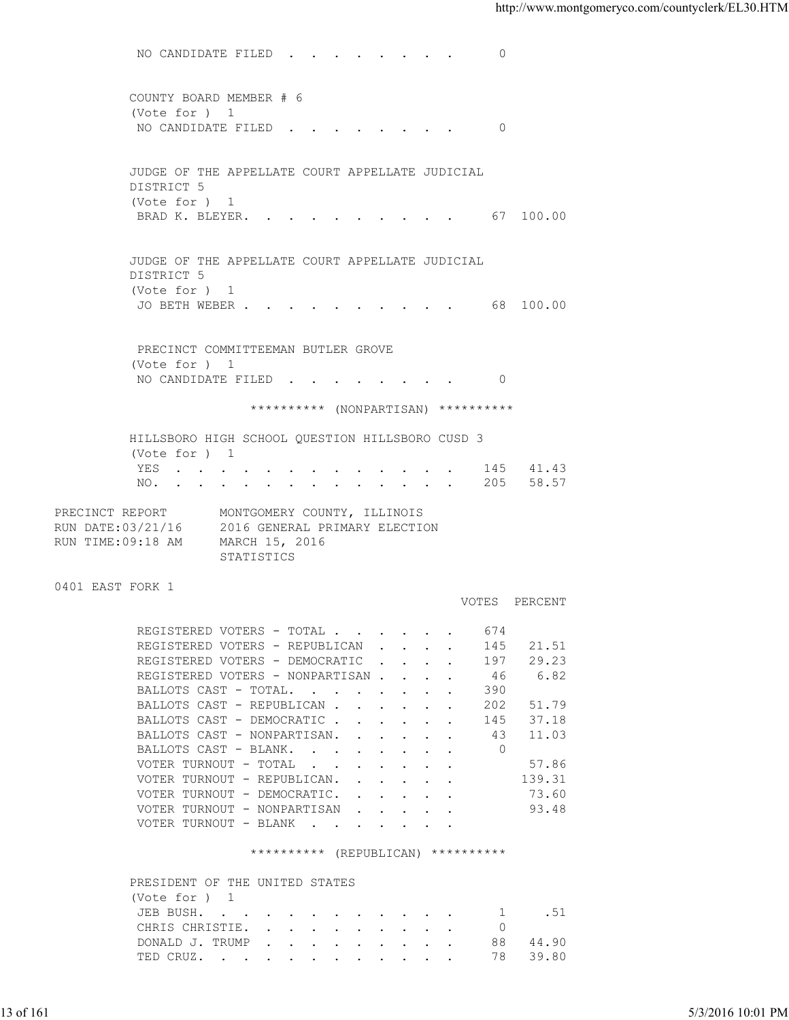NO CANDIDATE FILED . . . . . . . . 0 COUNTY BOARD MEMBER # 6 (Vote for ) 1 NO CANDIDATE FILED . . . . . . . . 0 JUDGE OF THE APPELLATE COURT APPELLATE JUDICIAL DISTRICT 5 (Vote for ) 1 BRAD K. BLEYER. . . . . . . . . . . 67 100.00 JUDGE OF THE APPELLATE COURT APPELLATE JUDICIAL DISTRICT 5 (Vote for ) 1 JO BETH WEBER . . . . . . . . . . . 68 100.00 PRECINCT COMMITTEEMAN BUTLER GROVE (Vote for ) 1 NO CANDIDATE FILED . . . . . . . . 0 \*\*\*\*\*\*\*\*\*\* (NONPARTISAN) \*\*\*\*\*\*\*\*\*\* HILLSBORO HIGH SCHOOL QUESTION HILLSBORO CUSD 3 (Vote for ) 1 YES . . . . . . . . . . . . . 145 41.43 NO. . . . . . . . . . . . . . 205 58.57 PRECINCT REPORT MONTGOMERY COUNTY, ILLINOIS RUN DATE:03/21/16 2016 GENERAL PRIMARY ELECTION RUN TIME:09:18 AM MARCH 15, 2016 STATISTICS 0401 EAST FORK 1 VOTES PERCENT REGISTERED VOTERS - TOTAL . . . . . . 674 REGISTERED VOTERS - REPUBLICAN . . . . 145 21.51 REGISTERED VOTERS - DEMOCRATIC . . . . 197 29.23 REGISTERED VOTERS - NONPARTISAN . . . . 46 6.82 BALLOTS CAST - TOTAL. . . . . . . . 390 BALLOTS CAST - REPUBLICAN . . . . . . 202 51.79<br>BALLOTS CAST - DEMOCRATIC . . . . . 145 37.18 BALLOTS CAST - DEMOCRATIC . . . . . . BALLOTS CAST - NONPARTISAN. . . . . . 43 11.03<br>BALLOTS CAST - BLANK. . . . . . . . 0 BALLOTS CAST - BLANK. . . . . . . . VOTER TURNOUT - TOTAL . . . . . . . . 57.86 VOTER TURNOUT - REPUBLICAN. . . . . . 139.31 VOTER TURNOUT - DEMOCRATIC. . . . . . 73.60 VOTER TURNOUT - NONPARTISAN . . . . . 93.48 VOTER TURNOUT - BLANK . . . . . . . \*\*\*\*\*\*\*\*\*\* (REPUBLICAN) \*\*\*\*\*\*\*\*\*\* PRESIDENT OF THE UNITED STATES (Vote for ) 1 JEB BUSH. . . . . . . . . . . . . 1 .51 CHRIS CHRISTIE. . . . . . . . . 0 DONALD J. TRUMP . . . . . . . . . 88 44.90 13 of 161 5/3/2016 10:01 PM

TED CRUZ. . . . . . . . . . . . . 78 39.80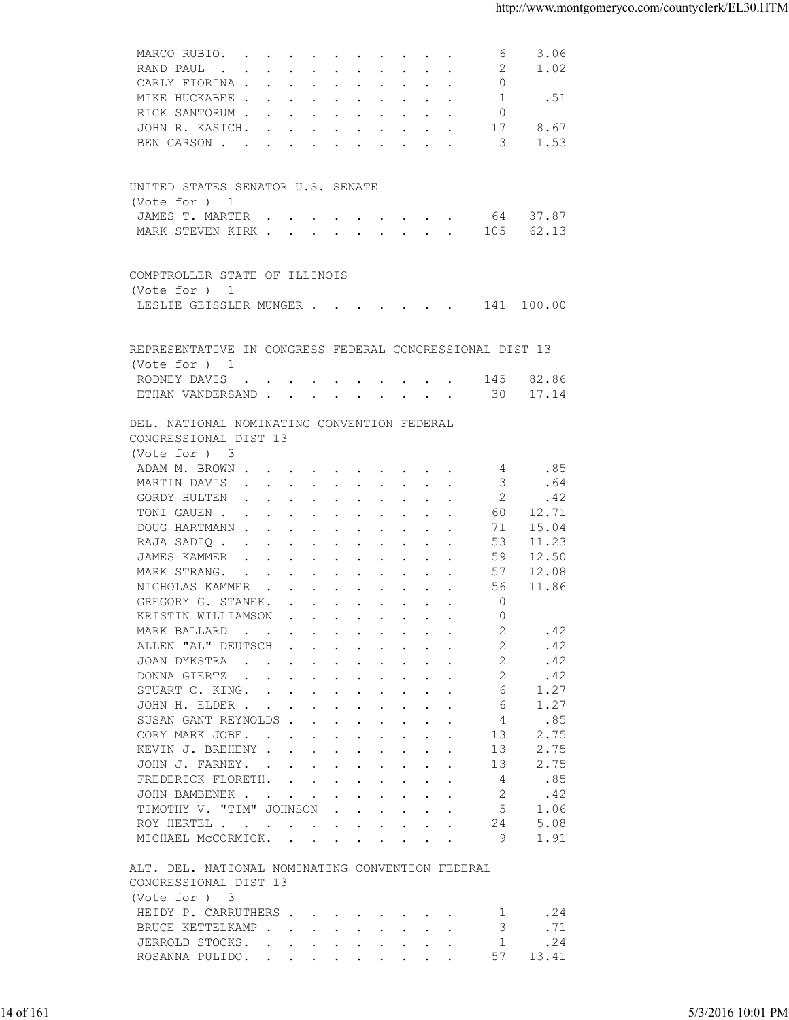| 3.06                                                     |
|----------------------------------------------------------|
| 1.02                                                     |
|                                                          |
| .51                                                      |
| 8.67                                                     |
| 1.53                                                     |
|                                                          |
|                                                          |
|                                                          |
|                                                          |
| 64 37.87                                                 |
| 62.13                                                    |
|                                                          |
|                                                          |
|                                                          |
| LESLIE GEISSLER MUNGER 141 100.00                        |
|                                                          |
|                                                          |
| REPRESENTATIVE IN CONGRESS FEDERAL CONGRESSIONAL DIST 13 |
| 145 82.86                                                |
| 17.14                                                    |
|                                                          |
|                                                          |
|                                                          |
|                                                          |
| .85                                                      |
| .64                                                      |
| .42<br>12.71                                             |
| 15.04                                                    |
| 11.23                                                    |
| 12.50                                                    |
| 12.08                                                    |
| 11.86                                                    |
|                                                          |
|                                                          |
| .42<br>.42                                               |
| .42                                                      |
| .42                                                      |
| 1.27                                                     |
| 1.27                                                     |
| .85                                                      |
| 2.75                                                     |
| 2.75                                                     |
| 2.75                                                     |
| .85                                                      |
| .42<br>1.06                                              |
| 5.08                                                     |
| 1.91                                                     |
|                                                          |
|                                                          |
|                                                          |
|                                                          |
| .24                                                      |
| .71                                                      |
| .24                                                      |
| 13.41                                                    |
|                                                          |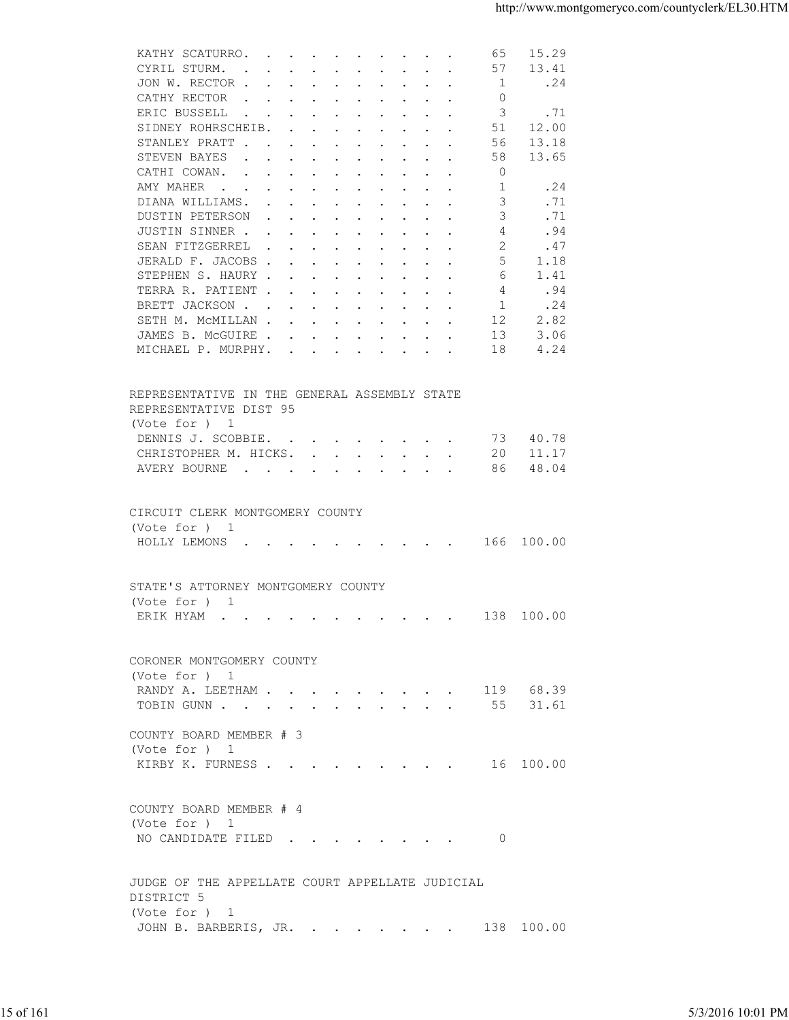| 13.41<br>CYRIL STURM.<br>57<br>$\mathbf{r}$ , and $\mathbf{r}$ , and $\mathbf{r}$ , and $\mathbf{r}$ , and $\mathbf{r}$<br>1<br>JON W. RECTOR<br>.24<br>CATHY RECTOR<br>$\circ$<br>3<br>.71<br>ERIC BUSSELL<br>12.00<br>SIDNEY ROHRSCHEIB.<br>51<br>STANLEY PRATT<br>56<br>13.18<br>13.65<br>STEVEN BAYES<br>58<br>CATHI COWAN.<br>0<br>AMY MAHER<br>1<br>.24<br>3<br>.71<br>DIANA WILLIAMS.<br>3<br>DUSTIN PETERSON<br>.71<br>JUSTIN SINNER<br>4<br>.94<br>2<br>SEAN FITZGERREL<br>.47<br>5<br>JERALD F. JACOBS<br>1.18<br>STEPHEN S. HAURY<br>6<br>1.41<br>.94<br>TERRA R. PATIENT<br>4<br>BRETT JACKSON<br>1<br>.24<br>2.82<br>SETH M. MCMILLAN<br>12<br>3.06<br>JAMES B. MCGUIRE<br>13<br>4.24<br>MICHAEL P. MURPHY.<br>18<br>REPRESENTATIVE IN THE GENERAL ASSEMBLY STATE<br>REPRESENTATIVE DIST 95<br>(Vote for ) 1<br>DENNIS J. SCOBBIE.<br>73 40.78<br>11.17<br>CHRISTOPHER M. HICKS.<br>20<br>48.04<br>AVERY BOURNE<br>86<br>CIRCUIT CLERK MONTGOMERY COUNTY<br>(Vote for ) 1<br>HOLLY LEMONS 166 100.00<br>STATE'S ATTORNEY MONTGOMERY COUNTY<br>(Vote for ) 1<br>138 100.00<br>ERIK HYAM<br>CORONER MONTGOMERY COUNTY<br>(Vote for ) 1<br>RANDY A. LEETHAM 119 68.39<br>TOBIN GUNN 55 31.61<br>COUNTY BOARD MEMBER # 3<br>(Vote for ) 1<br>KIRBY K. FURNESS 16 100.00<br>COUNTY BOARD MEMBER # 4<br>(Vote for ) 1<br>NO CANDIDATE FILED 0<br>JUDGE OF THE APPELLATE COURT APPELLATE JUDICIAL<br>DISTRICT 5<br>(Vote for ) 1<br>JOHN B. BARBERIS, JR. 138 100.00<br>5/3/2016 10:01 PM | 15 of 161 |  |
|-------------------------------------------------------------------------------------------------------------------------------------------------------------------------------------------------------------------------------------------------------------------------------------------------------------------------------------------------------------------------------------------------------------------------------------------------------------------------------------------------------------------------------------------------------------------------------------------------------------------------------------------------------------------------------------------------------------------------------------------------------------------------------------------------------------------------------------------------------------------------------------------------------------------------------------------------------------------------------------------------------------------------------------------------------------------------------------------------------------------------------------------------------------------------------------------------------------------------------------------------------------------------------------------------------------------------------------------------------------------------------------------------------------------------------------------------------------------------------------------------|-----------|--|
|                                                                                                                                                                                                                                                                                                                                                                                                                                                                                                                                                                                                                                                                                                                                                                                                                                                                                                                                                                                                                                                                                                                                                                                                                                                                                                                                                                                                                                                                                                 |           |  |
|                                                                                                                                                                                                                                                                                                                                                                                                                                                                                                                                                                                                                                                                                                                                                                                                                                                                                                                                                                                                                                                                                                                                                                                                                                                                                                                                                                                                                                                                                                 |           |  |
|                                                                                                                                                                                                                                                                                                                                                                                                                                                                                                                                                                                                                                                                                                                                                                                                                                                                                                                                                                                                                                                                                                                                                                                                                                                                                                                                                                                                                                                                                                 |           |  |
|                                                                                                                                                                                                                                                                                                                                                                                                                                                                                                                                                                                                                                                                                                                                                                                                                                                                                                                                                                                                                                                                                                                                                                                                                                                                                                                                                                                                                                                                                                 |           |  |
|                                                                                                                                                                                                                                                                                                                                                                                                                                                                                                                                                                                                                                                                                                                                                                                                                                                                                                                                                                                                                                                                                                                                                                                                                                                                                                                                                                                                                                                                                                 |           |  |
|                                                                                                                                                                                                                                                                                                                                                                                                                                                                                                                                                                                                                                                                                                                                                                                                                                                                                                                                                                                                                                                                                                                                                                                                                                                                                                                                                                                                                                                                                                 |           |  |
|                                                                                                                                                                                                                                                                                                                                                                                                                                                                                                                                                                                                                                                                                                                                                                                                                                                                                                                                                                                                                                                                                                                                                                                                                                                                                                                                                                                                                                                                                                 |           |  |
|                                                                                                                                                                                                                                                                                                                                                                                                                                                                                                                                                                                                                                                                                                                                                                                                                                                                                                                                                                                                                                                                                                                                                                                                                                                                                                                                                                                                                                                                                                 |           |  |
|                                                                                                                                                                                                                                                                                                                                                                                                                                                                                                                                                                                                                                                                                                                                                                                                                                                                                                                                                                                                                                                                                                                                                                                                                                                                                                                                                                                                                                                                                                 |           |  |
|                                                                                                                                                                                                                                                                                                                                                                                                                                                                                                                                                                                                                                                                                                                                                                                                                                                                                                                                                                                                                                                                                                                                                                                                                                                                                                                                                                                                                                                                                                 |           |  |
|                                                                                                                                                                                                                                                                                                                                                                                                                                                                                                                                                                                                                                                                                                                                                                                                                                                                                                                                                                                                                                                                                                                                                                                                                                                                                                                                                                                                                                                                                                 |           |  |
|                                                                                                                                                                                                                                                                                                                                                                                                                                                                                                                                                                                                                                                                                                                                                                                                                                                                                                                                                                                                                                                                                                                                                                                                                                                                                                                                                                                                                                                                                                 |           |  |
|                                                                                                                                                                                                                                                                                                                                                                                                                                                                                                                                                                                                                                                                                                                                                                                                                                                                                                                                                                                                                                                                                                                                                                                                                                                                                                                                                                                                                                                                                                 |           |  |
|                                                                                                                                                                                                                                                                                                                                                                                                                                                                                                                                                                                                                                                                                                                                                                                                                                                                                                                                                                                                                                                                                                                                                                                                                                                                                                                                                                                                                                                                                                 |           |  |
|                                                                                                                                                                                                                                                                                                                                                                                                                                                                                                                                                                                                                                                                                                                                                                                                                                                                                                                                                                                                                                                                                                                                                                                                                                                                                                                                                                                                                                                                                                 |           |  |
|                                                                                                                                                                                                                                                                                                                                                                                                                                                                                                                                                                                                                                                                                                                                                                                                                                                                                                                                                                                                                                                                                                                                                                                                                                                                                                                                                                                                                                                                                                 |           |  |
|                                                                                                                                                                                                                                                                                                                                                                                                                                                                                                                                                                                                                                                                                                                                                                                                                                                                                                                                                                                                                                                                                                                                                                                                                                                                                                                                                                                                                                                                                                 |           |  |
|                                                                                                                                                                                                                                                                                                                                                                                                                                                                                                                                                                                                                                                                                                                                                                                                                                                                                                                                                                                                                                                                                                                                                                                                                                                                                                                                                                                                                                                                                                 |           |  |
|                                                                                                                                                                                                                                                                                                                                                                                                                                                                                                                                                                                                                                                                                                                                                                                                                                                                                                                                                                                                                                                                                                                                                                                                                                                                                                                                                                                                                                                                                                 |           |  |
|                                                                                                                                                                                                                                                                                                                                                                                                                                                                                                                                                                                                                                                                                                                                                                                                                                                                                                                                                                                                                                                                                                                                                                                                                                                                                                                                                                                                                                                                                                 |           |  |
|                                                                                                                                                                                                                                                                                                                                                                                                                                                                                                                                                                                                                                                                                                                                                                                                                                                                                                                                                                                                                                                                                                                                                                                                                                                                                                                                                                                                                                                                                                 |           |  |
|                                                                                                                                                                                                                                                                                                                                                                                                                                                                                                                                                                                                                                                                                                                                                                                                                                                                                                                                                                                                                                                                                                                                                                                                                                                                                                                                                                                                                                                                                                 |           |  |
|                                                                                                                                                                                                                                                                                                                                                                                                                                                                                                                                                                                                                                                                                                                                                                                                                                                                                                                                                                                                                                                                                                                                                                                                                                                                                                                                                                                                                                                                                                 |           |  |
|                                                                                                                                                                                                                                                                                                                                                                                                                                                                                                                                                                                                                                                                                                                                                                                                                                                                                                                                                                                                                                                                                                                                                                                                                                                                                                                                                                                                                                                                                                 |           |  |
|                                                                                                                                                                                                                                                                                                                                                                                                                                                                                                                                                                                                                                                                                                                                                                                                                                                                                                                                                                                                                                                                                                                                                                                                                                                                                                                                                                                                                                                                                                 |           |  |
|                                                                                                                                                                                                                                                                                                                                                                                                                                                                                                                                                                                                                                                                                                                                                                                                                                                                                                                                                                                                                                                                                                                                                                                                                                                                                                                                                                                                                                                                                                 |           |  |
|                                                                                                                                                                                                                                                                                                                                                                                                                                                                                                                                                                                                                                                                                                                                                                                                                                                                                                                                                                                                                                                                                                                                                                                                                                                                                                                                                                                                                                                                                                 |           |  |
|                                                                                                                                                                                                                                                                                                                                                                                                                                                                                                                                                                                                                                                                                                                                                                                                                                                                                                                                                                                                                                                                                                                                                                                                                                                                                                                                                                                                                                                                                                 |           |  |
|                                                                                                                                                                                                                                                                                                                                                                                                                                                                                                                                                                                                                                                                                                                                                                                                                                                                                                                                                                                                                                                                                                                                                                                                                                                                                                                                                                                                                                                                                                 |           |  |
|                                                                                                                                                                                                                                                                                                                                                                                                                                                                                                                                                                                                                                                                                                                                                                                                                                                                                                                                                                                                                                                                                                                                                                                                                                                                                                                                                                                                                                                                                                 |           |  |
|                                                                                                                                                                                                                                                                                                                                                                                                                                                                                                                                                                                                                                                                                                                                                                                                                                                                                                                                                                                                                                                                                                                                                                                                                                                                                                                                                                                                                                                                                                 |           |  |
|                                                                                                                                                                                                                                                                                                                                                                                                                                                                                                                                                                                                                                                                                                                                                                                                                                                                                                                                                                                                                                                                                                                                                                                                                                                                                                                                                                                                                                                                                                 |           |  |
|                                                                                                                                                                                                                                                                                                                                                                                                                                                                                                                                                                                                                                                                                                                                                                                                                                                                                                                                                                                                                                                                                                                                                                                                                                                                                                                                                                                                                                                                                                 |           |  |
|                                                                                                                                                                                                                                                                                                                                                                                                                                                                                                                                                                                                                                                                                                                                                                                                                                                                                                                                                                                                                                                                                                                                                                                                                                                                                                                                                                                                                                                                                                 |           |  |
|                                                                                                                                                                                                                                                                                                                                                                                                                                                                                                                                                                                                                                                                                                                                                                                                                                                                                                                                                                                                                                                                                                                                                                                                                                                                                                                                                                                                                                                                                                 |           |  |
|                                                                                                                                                                                                                                                                                                                                                                                                                                                                                                                                                                                                                                                                                                                                                                                                                                                                                                                                                                                                                                                                                                                                                                                                                                                                                                                                                                                                                                                                                                 |           |  |
|                                                                                                                                                                                                                                                                                                                                                                                                                                                                                                                                                                                                                                                                                                                                                                                                                                                                                                                                                                                                                                                                                                                                                                                                                                                                                                                                                                                                                                                                                                 |           |  |
|                                                                                                                                                                                                                                                                                                                                                                                                                                                                                                                                                                                                                                                                                                                                                                                                                                                                                                                                                                                                                                                                                                                                                                                                                                                                                                                                                                                                                                                                                                 |           |  |
|                                                                                                                                                                                                                                                                                                                                                                                                                                                                                                                                                                                                                                                                                                                                                                                                                                                                                                                                                                                                                                                                                                                                                                                                                                                                                                                                                                                                                                                                                                 |           |  |
|                                                                                                                                                                                                                                                                                                                                                                                                                                                                                                                                                                                                                                                                                                                                                                                                                                                                                                                                                                                                                                                                                                                                                                                                                                                                                                                                                                                                                                                                                                 |           |  |
|                                                                                                                                                                                                                                                                                                                                                                                                                                                                                                                                                                                                                                                                                                                                                                                                                                                                                                                                                                                                                                                                                                                                                                                                                                                                                                                                                                                                                                                                                                 |           |  |
|                                                                                                                                                                                                                                                                                                                                                                                                                                                                                                                                                                                                                                                                                                                                                                                                                                                                                                                                                                                                                                                                                                                                                                                                                                                                                                                                                                                                                                                                                                 |           |  |
|                                                                                                                                                                                                                                                                                                                                                                                                                                                                                                                                                                                                                                                                                                                                                                                                                                                                                                                                                                                                                                                                                                                                                                                                                                                                                                                                                                                                                                                                                                 |           |  |
|                                                                                                                                                                                                                                                                                                                                                                                                                                                                                                                                                                                                                                                                                                                                                                                                                                                                                                                                                                                                                                                                                                                                                                                                                                                                                                                                                                                                                                                                                                 |           |  |
|                                                                                                                                                                                                                                                                                                                                                                                                                                                                                                                                                                                                                                                                                                                                                                                                                                                                                                                                                                                                                                                                                                                                                                                                                                                                                                                                                                                                                                                                                                 |           |  |
|                                                                                                                                                                                                                                                                                                                                                                                                                                                                                                                                                                                                                                                                                                                                                                                                                                                                                                                                                                                                                                                                                                                                                                                                                                                                                                                                                                                                                                                                                                 |           |  |
|                                                                                                                                                                                                                                                                                                                                                                                                                                                                                                                                                                                                                                                                                                                                                                                                                                                                                                                                                                                                                                                                                                                                                                                                                                                                                                                                                                                                                                                                                                 |           |  |
|                                                                                                                                                                                                                                                                                                                                                                                                                                                                                                                                                                                                                                                                                                                                                                                                                                                                                                                                                                                                                                                                                                                                                                                                                                                                                                                                                                                                                                                                                                 |           |  |
|                                                                                                                                                                                                                                                                                                                                                                                                                                                                                                                                                                                                                                                                                                                                                                                                                                                                                                                                                                                                                                                                                                                                                                                                                                                                                                                                                                                                                                                                                                 |           |  |
|                                                                                                                                                                                                                                                                                                                                                                                                                                                                                                                                                                                                                                                                                                                                                                                                                                                                                                                                                                                                                                                                                                                                                                                                                                                                                                                                                                                                                                                                                                 |           |  |
|                                                                                                                                                                                                                                                                                                                                                                                                                                                                                                                                                                                                                                                                                                                                                                                                                                                                                                                                                                                                                                                                                                                                                                                                                                                                                                                                                                                                                                                                                                 |           |  |
|                                                                                                                                                                                                                                                                                                                                                                                                                                                                                                                                                                                                                                                                                                                                                                                                                                                                                                                                                                                                                                                                                                                                                                                                                                                                                                                                                                                                                                                                                                 |           |  |
|                                                                                                                                                                                                                                                                                                                                                                                                                                                                                                                                                                                                                                                                                                                                                                                                                                                                                                                                                                                                                                                                                                                                                                                                                                                                                                                                                                                                                                                                                                 |           |  |
|                                                                                                                                                                                                                                                                                                                                                                                                                                                                                                                                                                                                                                                                                                                                                                                                                                                                                                                                                                                                                                                                                                                                                                                                                                                                                                                                                                                                                                                                                                 |           |  |
|                                                                                                                                                                                                                                                                                                                                                                                                                                                                                                                                                                                                                                                                                                                                                                                                                                                                                                                                                                                                                                                                                                                                                                                                                                                                                                                                                                                                                                                                                                 |           |  |
|                                                                                                                                                                                                                                                                                                                                                                                                                                                                                                                                                                                                                                                                                                                                                                                                                                                                                                                                                                                                                                                                                                                                                                                                                                                                                                                                                                                                                                                                                                 |           |  |
|                                                                                                                                                                                                                                                                                                                                                                                                                                                                                                                                                                                                                                                                                                                                                                                                                                                                                                                                                                                                                                                                                                                                                                                                                                                                                                                                                                                                                                                                                                 |           |  |
|                                                                                                                                                                                                                                                                                                                                                                                                                                                                                                                                                                                                                                                                                                                                                                                                                                                                                                                                                                                                                                                                                                                                                                                                                                                                                                                                                                                                                                                                                                 |           |  |
|                                                                                                                                                                                                                                                                                                                                                                                                                                                                                                                                                                                                                                                                                                                                                                                                                                                                                                                                                                                                                                                                                                                                                                                                                                                                                                                                                                                                                                                                                                 |           |  |
|                                                                                                                                                                                                                                                                                                                                                                                                                                                                                                                                                                                                                                                                                                                                                                                                                                                                                                                                                                                                                                                                                                                                                                                                                                                                                                                                                                                                                                                                                                 |           |  |
|                                                                                                                                                                                                                                                                                                                                                                                                                                                                                                                                                                                                                                                                                                                                                                                                                                                                                                                                                                                                                                                                                                                                                                                                                                                                                                                                                                                                                                                                                                 |           |  |
|                                                                                                                                                                                                                                                                                                                                                                                                                                                                                                                                                                                                                                                                                                                                                                                                                                                                                                                                                                                                                                                                                                                                                                                                                                                                                                                                                                                                                                                                                                 |           |  |
|                                                                                                                                                                                                                                                                                                                                                                                                                                                                                                                                                                                                                                                                                                                                                                                                                                                                                                                                                                                                                                                                                                                                                                                                                                                                                                                                                                                                                                                                                                 |           |  |
|                                                                                                                                                                                                                                                                                                                                                                                                                                                                                                                                                                                                                                                                                                                                                                                                                                                                                                                                                                                                                                                                                                                                                                                                                                                                                                                                                                                                                                                                                                 |           |  |
|                                                                                                                                                                                                                                                                                                                                                                                                                                                                                                                                                                                                                                                                                                                                                                                                                                                                                                                                                                                                                                                                                                                                                                                                                                                                                                                                                                                                                                                                                                 |           |  |
|                                                                                                                                                                                                                                                                                                                                                                                                                                                                                                                                                                                                                                                                                                                                                                                                                                                                                                                                                                                                                                                                                                                                                                                                                                                                                                                                                                                                                                                                                                 |           |  |
|                                                                                                                                                                                                                                                                                                                                                                                                                                                                                                                                                                                                                                                                                                                                                                                                                                                                                                                                                                                                                                                                                                                                                                                                                                                                                                                                                                                                                                                                                                 |           |  |
|                                                                                                                                                                                                                                                                                                                                                                                                                                                                                                                                                                                                                                                                                                                                                                                                                                                                                                                                                                                                                                                                                                                                                                                                                                                                                                                                                                                                                                                                                                 |           |  |
|                                                                                                                                                                                                                                                                                                                                                                                                                                                                                                                                                                                                                                                                                                                                                                                                                                                                                                                                                                                                                                                                                                                                                                                                                                                                                                                                                                                                                                                                                                 |           |  |
|                                                                                                                                                                                                                                                                                                                                                                                                                                                                                                                                                                                                                                                                                                                                                                                                                                                                                                                                                                                                                                                                                                                                                                                                                                                                                                                                                                                                                                                                                                 |           |  |
|                                                                                                                                                                                                                                                                                                                                                                                                                                                                                                                                                                                                                                                                                                                                                                                                                                                                                                                                                                                                                                                                                                                                                                                                                                                                                                                                                                                                                                                                                                 |           |  |
|                                                                                                                                                                                                                                                                                                                                                                                                                                                                                                                                                                                                                                                                                                                                                                                                                                                                                                                                                                                                                                                                                                                                                                                                                                                                                                                                                                                                                                                                                                 |           |  |
|                                                                                                                                                                                                                                                                                                                                                                                                                                                                                                                                                                                                                                                                                                                                                                                                                                                                                                                                                                                                                                                                                                                                                                                                                                                                                                                                                                                                                                                                                                 |           |  |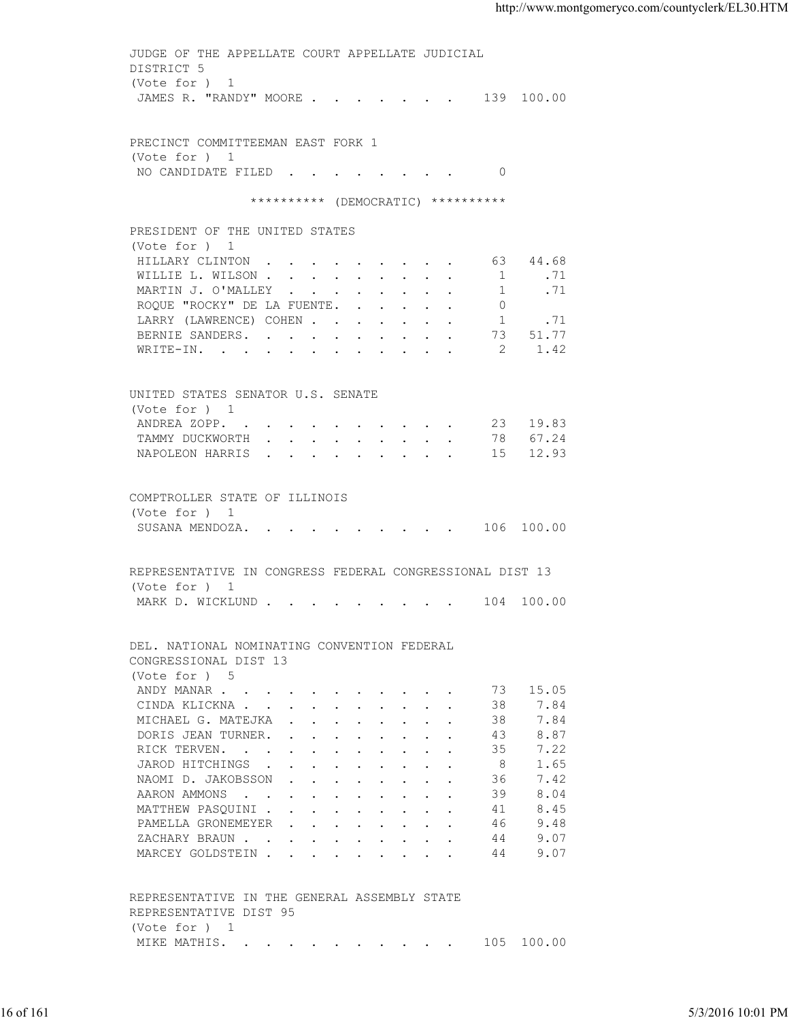| (Vote for ) 1<br>JAMES R. "RANDY" MOORE 139 100.00<br>PRECINCT COMMITTEEMAN EAST FORK 1<br>(Vote for ) 1<br>NO CANDIDATE FILED 0<br>********** (DEMOCRATIC) **********<br>PRESIDENT OF THE UNITED STATES<br>(Vote for ) 1<br>HILLARY CLINTON 63 44.68<br>WILLIE L. WILSON<br>1 .71<br>MARTIN J. O'MALLEY<br>1.71<br>ROQUE "ROCKY" DE LA FUENTE.<br>$\Omega$<br>1 .71<br>LARRY (LAWRENCE) COHEN<br>BERNIE SANDERS. 73 51.77<br>WRITE-IN. 2 1.42<br>UNITED STATES SENATOR U.S. SENATE<br>(Vote for ) 1<br>ANDREA ZOPP. 23 19.83<br>TAMMY DUCKWORTH 78 67.24<br>NAPOLEON HARRIS 15 12.93<br>COMPTROLLER STATE OF ILLINOIS<br>(Vote for ) 1<br>SUSANA MENDOZA. 106 100.00<br>REPRESENTATIVE IN CONGRESS FEDERAL CONGRESSIONAL DIST 13<br>(Vote for ) 1<br>MARK D. WICKLUND 104 100.00<br>DEL. NATIONAL NOMINATING CONVENTION FEDERAL<br>CONGRESSIONAL DIST 13<br>(Vote for ) 5<br>15.05<br>ANDY MANAR<br>73<br>38<br>7.84<br>CINDA KLICKNA<br>38<br>7.84<br>MICHAEL G. MATEJKA<br>8.87<br>43<br>DORIS JEAN TURNER.<br>7.22<br>35<br>RICK TERVEN.<br>1.65<br>JAROD HITCHINGS<br>- 8<br>7.42<br>NAOMI D. JAKOBSSON<br>36<br>39<br>8.04<br>AARON AMMONS<br>8.45<br>MATTHEW PASQUINI<br>41<br>PAMELLA GRONEMEYER<br>46<br>9.48<br>9.07<br>ZACHARY BRAUN.<br>44<br>9.07<br>MARCEY GOLDSTEIN<br>44<br>REPRESENTATIVE IN THE GENERAL ASSEMBLY STATE<br>REPRESENTATIVE DIST 95<br>(Vote for ) 1<br>MIKE MATHIS. 105 100.00<br>16 of 161 |  | JUDGE OF THE APPELLATE COURT APPELLATE JUDICIAL |                   |
|-----------------------------------------------------------------------------------------------------------------------------------------------------------------------------------------------------------------------------------------------------------------------------------------------------------------------------------------------------------------------------------------------------------------------------------------------------------------------------------------------------------------------------------------------------------------------------------------------------------------------------------------------------------------------------------------------------------------------------------------------------------------------------------------------------------------------------------------------------------------------------------------------------------------------------------------------------------------------------------------------------------------------------------------------------------------------------------------------------------------------------------------------------------------------------------------------------------------------------------------------------------------------------------------------------------------------------------------------------------------------------------------------------------------------------|--|-------------------------------------------------|-------------------|
|                                                                                                                                                                                                                                                                                                                                                                                                                                                                                                                                                                                                                                                                                                                                                                                                                                                                                                                                                                                                                                                                                                                                                                                                                                                                                                                                                                                                                             |  | DISTRICT 5                                      |                   |
|                                                                                                                                                                                                                                                                                                                                                                                                                                                                                                                                                                                                                                                                                                                                                                                                                                                                                                                                                                                                                                                                                                                                                                                                                                                                                                                                                                                                                             |  |                                                 |                   |
|                                                                                                                                                                                                                                                                                                                                                                                                                                                                                                                                                                                                                                                                                                                                                                                                                                                                                                                                                                                                                                                                                                                                                                                                                                                                                                                                                                                                                             |  |                                                 |                   |
|                                                                                                                                                                                                                                                                                                                                                                                                                                                                                                                                                                                                                                                                                                                                                                                                                                                                                                                                                                                                                                                                                                                                                                                                                                                                                                                                                                                                                             |  |                                                 |                   |
|                                                                                                                                                                                                                                                                                                                                                                                                                                                                                                                                                                                                                                                                                                                                                                                                                                                                                                                                                                                                                                                                                                                                                                                                                                                                                                                                                                                                                             |  |                                                 |                   |
|                                                                                                                                                                                                                                                                                                                                                                                                                                                                                                                                                                                                                                                                                                                                                                                                                                                                                                                                                                                                                                                                                                                                                                                                                                                                                                                                                                                                                             |  |                                                 |                   |
|                                                                                                                                                                                                                                                                                                                                                                                                                                                                                                                                                                                                                                                                                                                                                                                                                                                                                                                                                                                                                                                                                                                                                                                                                                                                                                                                                                                                                             |  |                                                 |                   |
|                                                                                                                                                                                                                                                                                                                                                                                                                                                                                                                                                                                                                                                                                                                                                                                                                                                                                                                                                                                                                                                                                                                                                                                                                                                                                                                                                                                                                             |  |                                                 |                   |
|                                                                                                                                                                                                                                                                                                                                                                                                                                                                                                                                                                                                                                                                                                                                                                                                                                                                                                                                                                                                                                                                                                                                                                                                                                                                                                                                                                                                                             |  |                                                 |                   |
|                                                                                                                                                                                                                                                                                                                                                                                                                                                                                                                                                                                                                                                                                                                                                                                                                                                                                                                                                                                                                                                                                                                                                                                                                                                                                                                                                                                                                             |  |                                                 |                   |
|                                                                                                                                                                                                                                                                                                                                                                                                                                                                                                                                                                                                                                                                                                                                                                                                                                                                                                                                                                                                                                                                                                                                                                                                                                                                                                                                                                                                                             |  |                                                 |                   |
|                                                                                                                                                                                                                                                                                                                                                                                                                                                                                                                                                                                                                                                                                                                                                                                                                                                                                                                                                                                                                                                                                                                                                                                                                                                                                                                                                                                                                             |  |                                                 |                   |
|                                                                                                                                                                                                                                                                                                                                                                                                                                                                                                                                                                                                                                                                                                                                                                                                                                                                                                                                                                                                                                                                                                                                                                                                                                                                                                                                                                                                                             |  |                                                 |                   |
|                                                                                                                                                                                                                                                                                                                                                                                                                                                                                                                                                                                                                                                                                                                                                                                                                                                                                                                                                                                                                                                                                                                                                                                                                                                                                                                                                                                                                             |  |                                                 |                   |
|                                                                                                                                                                                                                                                                                                                                                                                                                                                                                                                                                                                                                                                                                                                                                                                                                                                                                                                                                                                                                                                                                                                                                                                                                                                                                                                                                                                                                             |  |                                                 |                   |
|                                                                                                                                                                                                                                                                                                                                                                                                                                                                                                                                                                                                                                                                                                                                                                                                                                                                                                                                                                                                                                                                                                                                                                                                                                                                                                                                                                                                                             |  |                                                 |                   |
|                                                                                                                                                                                                                                                                                                                                                                                                                                                                                                                                                                                                                                                                                                                                                                                                                                                                                                                                                                                                                                                                                                                                                                                                                                                                                                                                                                                                                             |  |                                                 |                   |
|                                                                                                                                                                                                                                                                                                                                                                                                                                                                                                                                                                                                                                                                                                                                                                                                                                                                                                                                                                                                                                                                                                                                                                                                                                                                                                                                                                                                                             |  |                                                 |                   |
|                                                                                                                                                                                                                                                                                                                                                                                                                                                                                                                                                                                                                                                                                                                                                                                                                                                                                                                                                                                                                                                                                                                                                                                                                                                                                                                                                                                                                             |  |                                                 |                   |
|                                                                                                                                                                                                                                                                                                                                                                                                                                                                                                                                                                                                                                                                                                                                                                                                                                                                                                                                                                                                                                                                                                                                                                                                                                                                                                                                                                                                                             |  |                                                 |                   |
|                                                                                                                                                                                                                                                                                                                                                                                                                                                                                                                                                                                                                                                                                                                                                                                                                                                                                                                                                                                                                                                                                                                                                                                                                                                                                                                                                                                                                             |  |                                                 |                   |
|                                                                                                                                                                                                                                                                                                                                                                                                                                                                                                                                                                                                                                                                                                                                                                                                                                                                                                                                                                                                                                                                                                                                                                                                                                                                                                                                                                                                                             |  |                                                 |                   |
|                                                                                                                                                                                                                                                                                                                                                                                                                                                                                                                                                                                                                                                                                                                                                                                                                                                                                                                                                                                                                                                                                                                                                                                                                                                                                                                                                                                                                             |  |                                                 |                   |
|                                                                                                                                                                                                                                                                                                                                                                                                                                                                                                                                                                                                                                                                                                                                                                                                                                                                                                                                                                                                                                                                                                                                                                                                                                                                                                                                                                                                                             |  |                                                 |                   |
|                                                                                                                                                                                                                                                                                                                                                                                                                                                                                                                                                                                                                                                                                                                                                                                                                                                                                                                                                                                                                                                                                                                                                                                                                                                                                                                                                                                                                             |  |                                                 |                   |
|                                                                                                                                                                                                                                                                                                                                                                                                                                                                                                                                                                                                                                                                                                                                                                                                                                                                                                                                                                                                                                                                                                                                                                                                                                                                                                                                                                                                                             |  |                                                 |                   |
|                                                                                                                                                                                                                                                                                                                                                                                                                                                                                                                                                                                                                                                                                                                                                                                                                                                                                                                                                                                                                                                                                                                                                                                                                                                                                                                                                                                                                             |  |                                                 |                   |
|                                                                                                                                                                                                                                                                                                                                                                                                                                                                                                                                                                                                                                                                                                                                                                                                                                                                                                                                                                                                                                                                                                                                                                                                                                                                                                                                                                                                                             |  |                                                 |                   |
|                                                                                                                                                                                                                                                                                                                                                                                                                                                                                                                                                                                                                                                                                                                                                                                                                                                                                                                                                                                                                                                                                                                                                                                                                                                                                                                                                                                                                             |  |                                                 |                   |
|                                                                                                                                                                                                                                                                                                                                                                                                                                                                                                                                                                                                                                                                                                                                                                                                                                                                                                                                                                                                                                                                                                                                                                                                                                                                                                                                                                                                                             |  |                                                 |                   |
|                                                                                                                                                                                                                                                                                                                                                                                                                                                                                                                                                                                                                                                                                                                                                                                                                                                                                                                                                                                                                                                                                                                                                                                                                                                                                                                                                                                                                             |  |                                                 |                   |
|                                                                                                                                                                                                                                                                                                                                                                                                                                                                                                                                                                                                                                                                                                                                                                                                                                                                                                                                                                                                                                                                                                                                                                                                                                                                                                                                                                                                                             |  |                                                 |                   |
|                                                                                                                                                                                                                                                                                                                                                                                                                                                                                                                                                                                                                                                                                                                                                                                                                                                                                                                                                                                                                                                                                                                                                                                                                                                                                                                                                                                                                             |  |                                                 |                   |
|                                                                                                                                                                                                                                                                                                                                                                                                                                                                                                                                                                                                                                                                                                                                                                                                                                                                                                                                                                                                                                                                                                                                                                                                                                                                                                                                                                                                                             |  |                                                 |                   |
|                                                                                                                                                                                                                                                                                                                                                                                                                                                                                                                                                                                                                                                                                                                                                                                                                                                                                                                                                                                                                                                                                                                                                                                                                                                                                                                                                                                                                             |  |                                                 |                   |
|                                                                                                                                                                                                                                                                                                                                                                                                                                                                                                                                                                                                                                                                                                                                                                                                                                                                                                                                                                                                                                                                                                                                                                                                                                                                                                                                                                                                                             |  |                                                 |                   |
|                                                                                                                                                                                                                                                                                                                                                                                                                                                                                                                                                                                                                                                                                                                                                                                                                                                                                                                                                                                                                                                                                                                                                                                                                                                                                                                                                                                                                             |  |                                                 |                   |
|                                                                                                                                                                                                                                                                                                                                                                                                                                                                                                                                                                                                                                                                                                                                                                                                                                                                                                                                                                                                                                                                                                                                                                                                                                                                                                                                                                                                                             |  |                                                 |                   |
|                                                                                                                                                                                                                                                                                                                                                                                                                                                                                                                                                                                                                                                                                                                                                                                                                                                                                                                                                                                                                                                                                                                                                                                                                                                                                                                                                                                                                             |  |                                                 |                   |
|                                                                                                                                                                                                                                                                                                                                                                                                                                                                                                                                                                                                                                                                                                                                                                                                                                                                                                                                                                                                                                                                                                                                                                                                                                                                                                                                                                                                                             |  |                                                 |                   |
|                                                                                                                                                                                                                                                                                                                                                                                                                                                                                                                                                                                                                                                                                                                                                                                                                                                                                                                                                                                                                                                                                                                                                                                                                                                                                                                                                                                                                             |  |                                                 |                   |
|                                                                                                                                                                                                                                                                                                                                                                                                                                                                                                                                                                                                                                                                                                                                                                                                                                                                                                                                                                                                                                                                                                                                                                                                                                                                                                                                                                                                                             |  |                                                 |                   |
|                                                                                                                                                                                                                                                                                                                                                                                                                                                                                                                                                                                                                                                                                                                                                                                                                                                                                                                                                                                                                                                                                                                                                                                                                                                                                                                                                                                                                             |  |                                                 |                   |
|                                                                                                                                                                                                                                                                                                                                                                                                                                                                                                                                                                                                                                                                                                                                                                                                                                                                                                                                                                                                                                                                                                                                                                                                                                                                                                                                                                                                                             |  |                                                 |                   |
|                                                                                                                                                                                                                                                                                                                                                                                                                                                                                                                                                                                                                                                                                                                                                                                                                                                                                                                                                                                                                                                                                                                                                                                                                                                                                                                                                                                                                             |  |                                                 |                   |
|                                                                                                                                                                                                                                                                                                                                                                                                                                                                                                                                                                                                                                                                                                                                                                                                                                                                                                                                                                                                                                                                                                                                                                                                                                                                                                                                                                                                                             |  |                                                 |                   |
|                                                                                                                                                                                                                                                                                                                                                                                                                                                                                                                                                                                                                                                                                                                                                                                                                                                                                                                                                                                                                                                                                                                                                                                                                                                                                                                                                                                                                             |  |                                                 |                   |
|                                                                                                                                                                                                                                                                                                                                                                                                                                                                                                                                                                                                                                                                                                                                                                                                                                                                                                                                                                                                                                                                                                                                                                                                                                                                                                                                                                                                                             |  |                                                 |                   |
|                                                                                                                                                                                                                                                                                                                                                                                                                                                                                                                                                                                                                                                                                                                                                                                                                                                                                                                                                                                                                                                                                                                                                                                                                                                                                                                                                                                                                             |  |                                                 |                   |
|                                                                                                                                                                                                                                                                                                                                                                                                                                                                                                                                                                                                                                                                                                                                                                                                                                                                                                                                                                                                                                                                                                                                                                                                                                                                                                                                                                                                                             |  |                                                 |                   |
|                                                                                                                                                                                                                                                                                                                                                                                                                                                                                                                                                                                                                                                                                                                                                                                                                                                                                                                                                                                                                                                                                                                                                                                                                                                                                                                                                                                                                             |  |                                                 |                   |
|                                                                                                                                                                                                                                                                                                                                                                                                                                                                                                                                                                                                                                                                                                                                                                                                                                                                                                                                                                                                                                                                                                                                                                                                                                                                                                                                                                                                                             |  |                                                 |                   |
|                                                                                                                                                                                                                                                                                                                                                                                                                                                                                                                                                                                                                                                                                                                                                                                                                                                                                                                                                                                                                                                                                                                                                                                                                                                                                                                                                                                                                             |  |                                                 |                   |
|                                                                                                                                                                                                                                                                                                                                                                                                                                                                                                                                                                                                                                                                                                                                                                                                                                                                                                                                                                                                                                                                                                                                                                                                                                                                                                                                                                                                                             |  |                                                 |                   |
|                                                                                                                                                                                                                                                                                                                                                                                                                                                                                                                                                                                                                                                                                                                                                                                                                                                                                                                                                                                                                                                                                                                                                                                                                                                                                                                                                                                                                             |  |                                                 |                   |
|                                                                                                                                                                                                                                                                                                                                                                                                                                                                                                                                                                                                                                                                                                                                                                                                                                                                                                                                                                                                                                                                                                                                                                                                                                                                                                                                                                                                                             |  |                                                 |                   |
|                                                                                                                                                                                                                                                                                                                                                                                                                                                                                                                                                                                                                                                                                                                                                                                                                                                                                                                                                                                                                                                                                                                                                                                                                                                                                                                                                                                                                             |  |                                                 |                   |
|                                                                                                                                                                                                                                                                                                                                                                                                                                                                                                                                                                                                                                                                                                                                                                                                                                                                                                                                                                                                                                                                                                                                                                                                                                                                                                                                                                                                                             |  |                                                 |                   |
|                                                                                                                                                                                                                                                                                                                                                                                                                                                                                                                                                                                                                                                                                                                                                                                                                                                                                                                                                                                                                                                                                                                                                                                                                                                                                                                                                                                                                             |  |                                                 |                   |
|                                                                                                                                                                                                                                                                                                                                                                                                                                                                                                                                                                                                                                                                                                                                                                                                                                                                                                                                                                                                                                                                                                                                                                                                                                                                                                                                                                                                                             |  |                                                 |                   |
|                                                                                                                                                                                                                                                                                                                                                                                                                                                                                                                                                                                                                                                                                                                                                                                                                                                                                                                                                                                                                                                                                                                                                                                                                                                                                                                                                                                                                             |  |                                                 |                   |
|                                                                                                                                                                                                                                                                                                                                                                                                                                                                                                                                                                                                                                                                                                                                                                                                                                                                                                                                                                                                                                                                                                                                                                                                                                                                                                                                                                                                                             |  |                                                 |                   |
|                                                                                                                                                                                                                                                                                                                                                                                                                                                                                                                                                                                                                                                                                                                                                                                                                                                                                                                                                                                                                                                                                                                                                                                                                                                                                                                                                                                                                             |  |                                                 |                   |
|                                                                                                                                                                                                                                                                                                                                                                                                                                                                                                                                                                                                                                                                                                                                                                                                                                                                                                                                                                                                                                                                                                                                                                                                                                                                                                                                                                                                                             |  |                                                 |                   |
|                                                                                                                                                                                                                                                                                                                                                                                                                                                                                                                                                                                                                                                                                                                                                                                                                                                                                                                                                                                                                                                                                                                                                                                                                                                                                                                                                                                                                             |  |                                                 |                   |
|                                                                                                                                                                                                                                                                                                                                                                                                                                                                                                                                                                                                                                                                                                                                                                                                                                                                                                                                                                                                                                                                                                                                                                                                                                                                                                                                                                                                                             |  |                                                 |                   |
|                                                                                                                                                                                                                                                                                                                                                                                                                                                                                                                                                                                                                                                                                                                                                                                                                                                                                                                                                                                                                                                                                                                                                                                                                                                                                                                                                                                                                             |  |                                                 |                   |
|                                                                                                                                                                                                                                                                                                                                                                                                                                                                                                                                                                                                                                                                                                                                                                                                                                                                                                                                                                                                                                                                                                                                                                                                                                                                                                                                                                                                                             |  |                                                 | 5/3/2016 10:01 PM |
|                                                                                                                                                                                                                                                                                                                                                                                                                                                                                                                                                                                                                                                                                                                                                                                                                                                                                                                                                                                                                                                                                                                                                                                                                                                                                                                                                                                                                             |  |                                                 |                   |
|                                                                                                                                                                                                                                                                                                                                                                                                                                                                                                                                                                                                                                                                                                                                                                                                                                                                                                                                                                                                                                                                                                                                                                                                                                                                                                                                                                                                                             |  |                                                 |                   |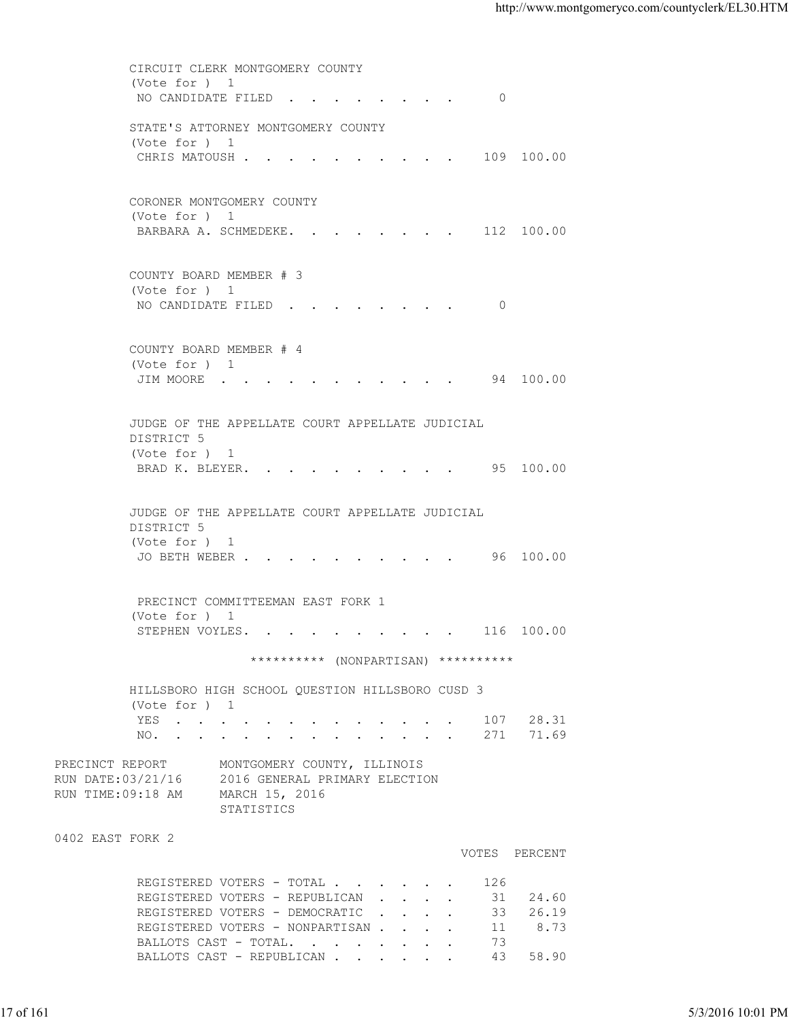CIRCUIT CLERK MONTGOMERY COUNTY (Vote for ) 1 NO CANDIDATE FILED . . . . . . . . 0 STATE'S ATTORNEY MONTGOMERY COUNTY (Vote for ) 1 CHRIS MATOUSH . . . . . . . . . . 109 100.00 CORONER MONTGOMERY COUNTY (Vote for ) 1 BARBARA A. SCHMEDEKE. . . . . . . . 112 100.00 COUNTY BOARD MEMBER # 3 (Vote for ) 1 NO CANDIDATE FILED . . . . . . . . 0 COUNTY BOARD MEMBER # 4 (Vote for ) 1 JIM MOORE . . . . . . . . . . . 94 100.00 JUDGE OF THE APPELLATE COURT APPELLATE JUDICIAL DISTRICT 5 (Vote for ) 1 BRAD K. BLEYER. . . . . . . . . . 95 100.00 JUDGE OF THE APPELLATE COURT APPELLATE JUDICIAL DISTRICT 5 (Vote for ) 1 JO BETH WEBER . . . . . . . . . . 96 100.00 PRECINCT COMMITTEEMAN EAST FORK 1 (Vote for ) 1 STEPHEN VOYLES. . . . . . . . . . 116 100.00 \*\*\*\*\*\*\*\*\*\* (NONPARTISAN) \*\*\*\*\*\*\*\*\*\* HILLSBORO HIGH SCHOOL QUESTION HILLSBORO CUSD 3 (Vote for ) 1 YES . . . . . . . . . . . . . 107 28.31 NO. . . . . . . . . . . . . . 271 71.69 PRECINCT REPORT MONTGOMERY COUNTY, ILLINOIS RUN DATE:03/21/16 2016 GENERAL PRIMARY ELECTION RUN TIME:09:18 AM MARCH 15, 2016 STATISTICS 0402 EAST FORK 2 VOTES PERCENT REGISTERED VOTERS - TOTAL . . . . . . 126<br>REGISTERED VOTERS - REPUBLICAN . . . . 31 REGISTERED VOTERS - REPUBLICAN . . . . 31 24.60 REGISTERED VOTERS - DEMOCRATIC . . . . 33 26.19 REGISTERED VOTERS - NONPARTISAN . . . . 11 8.73 BALLOTS CAST - TOTAL. . . . . . . . 73 BALLOTS CAST - REPUBLICAN . . . . . . 43 58.90 17 of 161 5/3/2016 10:01 PM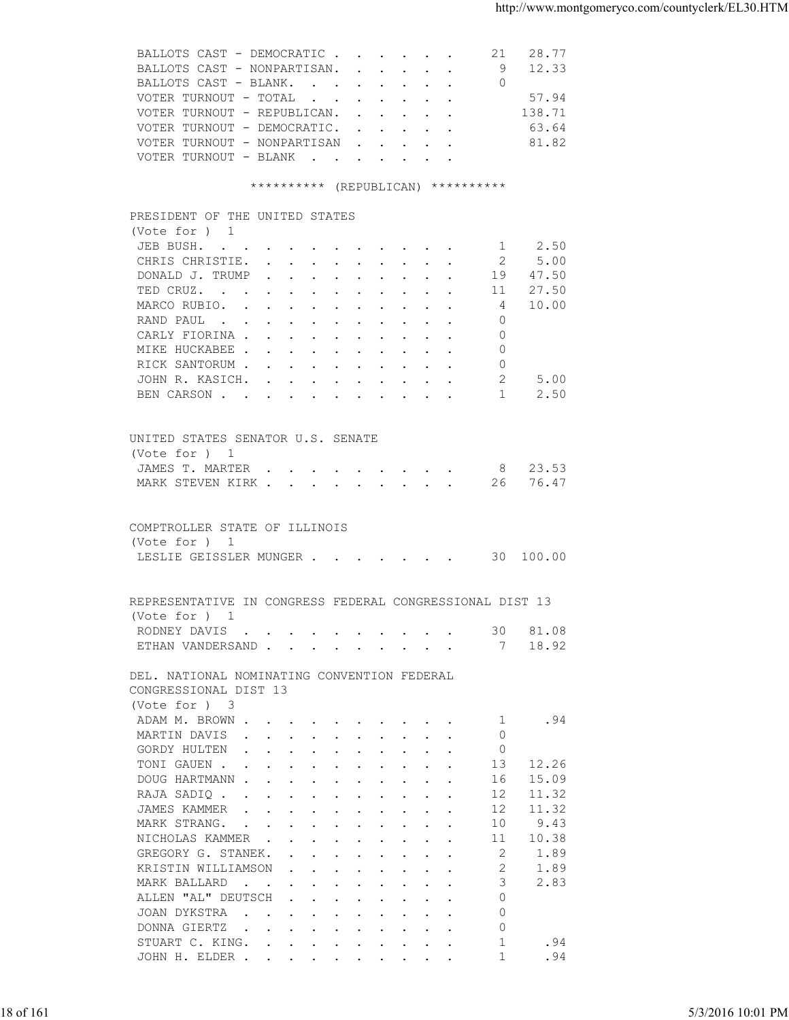| BALLOTS CAST - NONPARTISAN. 9 12.33<br>BALLOTS CAST - BLANK. 0<br>VOTER TURNOUT - TOTAL<br>57.94<br>138.71<br>VOTER TURNOUT - REPUBLICAN.<br>VOTER TURNOUT - DEMOCRATIC.<br>63.64<br>VOTER TURNOUT - NONPARTISAN<br>81.82<br>VOTER TURNOUT - BLANK<br>********** (REPUBLICAN) **********<br>PRESIDENT OF THE UNITED STATES<br>(Vote for ) 1<br>1 2.50<br>JEB BUSH.<br>CHRIS CHRISTIE.<br>5.00<br>- 2<br>DONALD J. TRUMP<br>19 47.50<br>27.50<br>TED CRUZ.<br>11<br>10.00<br>MARCO RUBIO.<br>4<br>RAND PAUL<br>$\Omega$<br>CARLY FIORINA<br>$\circ$<br>MIKE HUCKABEE<br>$\Omega$<br>RICK SANTORUM<br>0<br>2<br>JOHN R. KASICH.<br>5.00<br>$\mathbf{1}$<br>2.50<br>BEN CARSON<br>UNITED STATES SENATOR U.S. SENATE<br>(Vote for ) 1<br>JAMES T. MARTER 8 23.53<br>MARK STEVEN KIRK 26 76.47<br>COMPTROLLER STATE OF ILLINOIS<br>(Vote for ) 1<br>LESLIE GEISSLER MUNGER 30 100.00<br>REPRESENTATIVE IN CONGRESS FEDERAL CONGRESSIONAL DIST 13<br>(Vote for $)$ 1<br>81.08<br>RODNEY DAVIS<br>30<br>18.92<br>ETHAN VANDERSAND<br>7<br>DEL. NATIONAL NOMINATING CONVENTION FEDERAL<br>CONGRESSIONAL DIST 13<br>(Vote for ) 3<br>ADAM M. BROWN<br>.94<br>-1<br>MARTIN DAVIS<br>$\mathbf{0}$<br>$\circ$<br>GORDY HULTEN<br>TONI GAUEN<br>13<br>12.26<br>15.09<br>DOUG HARTMANN<br>16<br>11.32<br>RAJA SADIQ<br>12<br>JAMES KAMMER<br>12<br>11.32<br>9.43<br>10<br>MARK STRANG.<br>10.38<br>11<br>NICHOLAS KAMMER<br>2<br>1.89<br>GREGORY G. STANEK.<br>2<br>KRISTIN WILLIAMSON<br>1.89<br>3<br>2.83<br>MARK BALLARD<br>ALLEN "AL" DEUTSCH<br>$\Omega$<br>$\mathbf{0}$<br>JOAN DYKSTRA<br>$\circ$<br>DONNA GIERTZ<br>1<br>STUART C. KING.<br>.94<br>.94<br>JOHN H. ELDER<br>1 | 5/3/2016 10:01 PM |           | BALLOTS CAST - DEMOCRATIC<br>21 28.77 |  |
|------------------------------------------------------------------------------------------------------------------------------------------------------------------------------------------------------------------------------------------------------------------------------------------------------------------------------------------------------------------------------------------------------------------------------------------------------------------------------------------------------------------------------------------------------------------------------------------------------------------------------------------------------------------------------------------------------------------------------------------------------------------------------------------------------------------------------------------------------------------------------------------------------------------------------------------------------------------------------------------------------------------------------------------------------------------------------------------------------------------------------------------------------------------------------------------------------------------------------------------------------------------------------------------------------------------------------------------------------------------------------------------------------------------------------------------------------------------------------------------------------------------------------------------------------------------------------------------------------------------------------------------------------------------------|-------------------|-----------|---------------------------------------|--|
|                                                                                                                                                                                                                                                                                                                                                                                                                                                                                                                                                                                                                                                                                                                                                                                                                                                                                                                                                                                                                                                                                                                                                                                                                                                                                                                                                                                                                                                                                                                                                                                                                                                                        |                   |           |                                       |  |
|                                                                                                                                                                                                                                                                                                                                                                                                                                                                                                                                                                                                                                                                                                                                                                                                                                                                                                                                                                                                                                                                                                                                                                                                                                                                                                                                                                                                                                                                                                                                                                                                                                                                        |                   |           |                                       |  |
|                                                                                                                                                                                                                                                                                                                                                                                                                                                                                                                                                                                                                                                                                                                                                                                                                                                                                                                                                                                                                                                                                                                                                                                                                                                                                                                                                                                                                                                                                                                                                                                                                                                                        |                   |           |                                       |  |
|                                                                                                                                                                                                                                                                                                                                                                                                                                                                                                                                                                                                                                                                                                                                                                                                                                                                                                                                                                                                                                                                                                                                                                                                                                                                                                                                                                                                                                                                                                                                                                                                                                                                        |                   |           |                                       |  |
|                                                                                                                                                                                                                                                                                                                                                                                                                                                                                                                                                                                                                                                                                                                                                                                                                                                                                                                                                                                                                                                                                                                                                                                                                                                                                                                                                                                                                                                                                                                                                                                                                                                                        |                   |           |                                       |  |
|                                                                                                                                                                                                                                                                                                                                                                                                                                                                                                                                                                                                                                                                                                                                                                                                                                                                                                                                                                                                                                                                                                                                                                                                                                                                                                                                                                                                                                                                                                                                                                                                                                                                        |                   |           |                                       |  |
|                                                                                                                                                                                                                                                                                                                                                                                                                                                                                                                                                                                                                                                                                                                                                                                                                                                                                                                                                                                                                                                                                                                                                                                                                                                                                                                                                                                                                                                                                                                                                                                                                                                                        |                   |           |                                       |  |
|                                                                                                                                                                                                                                                                                                                                                                                                                                                                                                                                                                                                                                                                                                                                                                                                                                                                                                                                                                                                                                                                                                                                                                                                                                                                                                                                                                                                                                                                                                                                                                                                                                                                        |                   |           |                                       |  |
|                                                                                                                                                                                                                                                                                                                                                                                                                                                                                                                                                                                                                                                                                                                                                                                                                                                                                                                                                                                                                                                                                                                                                                                                                                                                                                                                                                                                                                                                                                                                                                                                                                                                        |                   |           |                                       |  |
|                                                                                                                                                                                                                                                                                                                                                                                                                                                                                                                                                                                                                                                                                                                                                                                                                                                                                                                                                                                                                                                                                                                                                                                                                                                                                                                                                                                                                                                                                                                                                                                                                                                                        |                   |           |                                       |  |
|                                                                                                                                                                                                                                                                                                                                                                                                                                                                                                                                                                                                                                                                                                                                                                                                                                                                                                                                                                                                                                                                                                                                                                                                                                                                                                                                                                                                                                                                                                                                                                                                                                                                        |                   |           |                                       |  |
|                                                                                                                                                                                                                                                                                                                                                                                                                                                                                                                                                                                                                                                                                                                                                                                                                                                                                                                                                                                                                                                                                                                                                                                                                                                                                                                                                                                                                                                                                                                                                                                                                                                                        |                   |           |                                       |  |
|                                                                                                                                                                                                                                                                                                                                                                                                                                                                                                                                                                                                                                                                                                                                                                                                                                                                                                                                                                                                                                                                                                                                                                                                                                                                                                                                                                                                                                                                                                                                                                                                                                                                        |                   |           |                                       |  |
|                                                                                                                                                                                                                                                                                                                                                                                                                                                                                                                                                                                                                                                                                                                                                                                                                                                                                                                                                                                                                                                                                                                                                                                                                                                                                                                                                                                                                                                                                                                                                                                                                                                                        |                   |           |                                       |  |
|                                                                                                                                                                                                                                                                                                                                                                                                                                                                                                                                                                                                                                                                                                                                                                                                                                                                                                                                                                                                                                                                                                                                                                                                                                                                                                                                                                                                                                                                                                                                                                                                                                                                        |                   |           |                                       |  |
|                                                                                                                                                                                                                                                                                                                                                                                                                                                                                                                                                                                                                                                                                                                                                                                                                                                                                                                                                                                                                                                                                                                                                                                                                                                                                                                                                                                                                                                                                                                                                                                                                                                                        |                   |           |                                       |  |
|                                                                                                                                                                                                                                                                                                                                                                                                                                                                                                                                                                                                                                                                                                                                                                                                                                                                                                                                                                                                                                                                                                                                                                                                                                                                                                                                                                                                                                                                                                                                                                                                                                                                        |                   |           |                                       |  |
|                                                                                                                                                                                                                                                                                                                                                                                                                                                                                                                                                                                                                                                                                                                                                                                                                                                                                                                                                                                                                                                                                                                                                                                                                                                                                                                                                                                                                                                                                                                                                                                                                                                                        |                   |           |                                       |  |
|                                                                                                                                                                                                                                                                                                                                                                                                                                                                                                                                                                                                                                                                                                                                                                                                                                                                                                                                                                                                                                                                                                                                                                                                                                                                                                                                                                                                                                                                                                                                                                                                                                                                        |                   |           |                                       |  |
|                                                                                                                                                                                                                                                                                                                                                                                                                                                                                                                                                                                                                                                                                                                                                                                                                                                                                                                                                                                                                                                                                                                                                                                                                                                                                                                                                                                                                                                                                                                                                                                                                                                                        |                   |           |                                       |  |
|                                                                                                                                                                                                                                                                                                                                                                                                                                                                                                                                                                                                                                                                                                                                                                                                                                                                                                                                                                                                                                                                                                                                                                                                                                                                                                                                                                                                                                                                                                                                                                                                                                                                        |                   |           |                                       |  |
|                                                                                                                                                                                                                                                                                                                                                                                                                                                                                                                                                                                                                                                                                                                                                                                                                                                                                                                                                                                                                                                                                                                                                                                                                                                                                                                                                                                                                                                                                                                                                                                                                                                                        |                   |           |                                       |  |
|                                                                                                                                                                                                                                                                                                                                                                                                                                                                                                                                                                                                                                                                                                                                                                                                                                                                                                                                                                                                                                                                                                                                                                                                                                                                                                                                                                                                                                                                                                                                                                                                                                                                        |                   |           |                                       |  |
|                                                                                                                                                                                                                                                                                                                                                                                                                                                                                                                                                                                                                                                                                                                                                                                                                                                                                                                                                                                                                                                                                                                                                                                                                                                                                                                                                                                                                                                                                                                                                                                                                                                                        |                   |           |                                       |  |
|                                                                                                                                                                                                                                                                                                                                                                                                                                                                                                                                                                                                                                                                                                                                                                                                                                                                                                                                                                                                                                                                                                                                                                                                                                                                                                                                                                                                                                                                                                                                                                                                                                                                        |                   |           |                                       |  |
|                                                                                                                                                                                                                                                                                                                                                                                                                                                                                                                                                                                                                                                                                                                                                                                                                                                                                                                                                                                                                                                                                                                                                                                                                                                                                                                                                                                                                                                                                                                                                                                                                                                                        |                   |           |                                       |  |
|                                                                                                                                                                                                                                                                                                                                                                                                                                                                                                                                                                                                                                                                                                                                                                                                                                                                                                                                                                                                                                                                                                                                                                                                                                                                                                                                                                                                                                                                                                                                                                                                                                                                        |                   |           |                                       |  |
|                                                                                                                                                                                                                                                                                                                                                                                                                                                                                                                                                                                                                                                                                                                                                                                                                                                                                                                                                                                                                                                                                                                                                                                                                                                                                                                                                                                                                                                                                                                                                                                                                                                                        |                   |           |                                       |  |
|                                                                                                                                                                                                                                                                                                                                                                                                                                                                                                                                                                                                                                                                                                                                                                                                                                                                                                                                                                                                                                                                                                                                                                                                                                                                                                                                                                                                                                                                                                                                                                                                                                                                        |                   |           |                                       |  |
|                                                                                                                                                                                                                                                                                                                                                                                                                                                                                                                                                                                                                                                                                                                                                                                                                                                                                                                                                                                                                                                                                                                                                                                                                                                                                                                                                                                                                                                                                                                                                                                                                                                                        |                   |           |                                       |  |
|                                                                                                                                                                                                                                                                                                                                                                                                                                                                                                                                                                                                                                                                                                                                                                                                                                                                                                                                                                                                                                                                                                                                                                                                                                                                                                                                                                                                                                                                                                                                                                                                                                                                        |                   |           |                                       |  |
|                                                                                                                                                                                                                                                                                                                                                                                                                                                                                                                                                                                                                                                                                                                                                                                                                                                                                                                                                                                                                                                                                                                                                                                                                                                                                                                                                                                                                                                                                                                                                                                                                                                                        |                   |           |                                       |  |
|                                                                                                                                                                                                                                                                                                                                                                                                                                                                                                                                                                                                                                                                                                                                                                                                                                                                                                                                                                                                                                                                                                                                                                                                                                                                                                                                                                                                                                                                                                                                                                                                                                                                        |                   |           |                                       |  |
|                                                                                                                                                                                                                                                                                                                                                                                                                                                                                                                                                                                                                                                                                                                                                                                                                                                                                                                                                                                                                                                                                                                                                                                                                                                                                                                                                                                                                                                                                                                                                                                                                                                                        |                   |           |                                       |  |
|                                                                                                                                                                                                                                                                                                                                                                                                                                                                                                                                                                                                                                                                                                                                                                                                                                                                                                                                                                                                                                                                                                                                                                                                                                                                                                                                                                                                                                                                                                                                                                                                                                                                        |                   |           |                                       |  |
|                                                                                                                                                                                                                                                                                                                                                                                                                                                                                                                                                                                                                                                                                                                                                                                                                                                                                                                                                                                                                                                                                                                                                                                                                                                                                                                                                                                                                                                                                                                                                                                                                                                                        |                   |           |                                       |  |
|                                                                                                                                                                                                                                                                                                                                                                                                                                                                                                                                                                                                                                                                                                                                                                                                                                                                                                                                                                                                                                                                                                                                                                                                                                                                                                                                                                                                                                                                                                                                                                                                                                                                        |                   |           |                                       |  |
|                                                                                                                                                                                                                                                                                                                                                                                                                                                                                                                                                                                                                                                                                                                                                                                                                                                                                                                                                                                                                                                                                                                                                                                                                                                                                                                                                                                                                                                                                                                                                                                                                                                                        |                   |           |                                       |  |
|                                                                                                                                                                                                                                                                                                                                                                                                                                                                                                                                                                                                                                                                                                                                                                                                                                                                                                                                                                                                                                                                                                                                                                                                                                                                                                                                                                                                                                                                                                                                                                                                                                                                        |                   |           |                                       |  |
|                                                                                                                                                                                                                                                                                                                                                                                                                                                                                                                                                                                                                                                                                                                                                                                                                                                                                                                                                                                                                                                                                                                                                                                                                                                                                                                                                                                                                                                                                                                                                                                                                                                                        |                   |           |                                       |  |
|                                                                                                                                                                                                                                                                                                                                                                                                                                                                                                                                                                                                                                                                                                                                                                                                                                                                                                                                                                                                                                                                                                                                                                                                                                                                                                                                                                                                                                                                                                                                                                                                                                                                        |                   |           |                                       |  |
|                                                                                                                                                                                                                                                                                                                                                                                                                                                                                                                                                                                                                                                                                                                                                                                                                                                                                                                                                                                                                                                                                                                                                                                                                                                                                                                                                                                                                                                                                                                                                                                                                                                                        |                   |           |                                       |  |
|                                                                                                                                                                                                                                                                                                                                                                                                                                                                                                                                                                                                                                                                                                                                                                                                                                                                                                                                                                                                                                                                                                                                                                                                                                                                                                                                                                                                                                                                                                                                                                                                                                                                        |                   |           |                                       |  |
|                                                                                                                                                                                                                                                                                                                                                                                                                                                                                                                                                                                                                                                                                                                                                                                                                                                                                                                                                                                                                                                                                                                                                                                                                                                                                                                                                                                                                                                                                                                                                                                                                                                                        |                   |           |                                       |  |
|                                                                                                                                                                                                                                                                                                                                                                                                                                                                                                                                                                                                                                                                                                                                                                                                                                                                                                                                                                                                                                                                                                                                                                                                                                                                                                                                                                                                                                                                                                                                                                                                                                                                        |                   |           |                                       |  |
|                                                                                                                                                                                                                                                                                                                                                                                                                                                                                                                                                                                                                                                                                                                                                                                                                                                                                                                                                                                                                                                                                                                                                                                                                                                                                                                                                                                                                                                                                                                                                                                                                                                                        |                   |           |                                       |  |
|                                                                                                                                                                                                                                                                                                                                                                                                                                                                                                                                                                                                                                                                                                                                                                                                                                                                                                                                                                                                                                                                                                                                                                                                                                                                                                                                                                                                                                                                                                                                                                                                                                                                        |                   |           |                                       |  |
|                                                                                                                                                                                                                                                                                                                                                                                                                                                                                                                                                                                                                                                                                                                                                                                                                                                                                                                                                                                                                                                                                                                                                                                                                                                                                                                                                                                                                                                                                                                                                                                                                                                                        |                   |           |                                       |  |
|                                                                                                                                                                                                                                                                                                                                                                                                                                                                                                                                                                                                                                                                                                                                                                                                                                                                                                                                                                                                                                                                                                                                                                                                                                                                                                                                                                                                                                                                                                                                                                                                                                                                        |                   |           |                                       |  |
|                                                                                                                                                                                                                                                                                                                                                                                                                                                                                                                                                                                                                                                                                                                                                                                                                                                                                                                                                                                                                                                                                                                                                                                                                                                                                                                                                                                                                                                                                                                                                                                                                                                                        |                   |           |                                       |  |
|                                                                                                                                                                                                                                                                                                                                                                                                                                                                                                                                                                                                                                                                                                                                                                                                                                                                                                                                                                                                                                                                                                                                                                                                                                                                                                                                                                                                                                                                                                                                                                                                                                                                        |                   |           |                                       |  |
|                                                                                                                                                                                                                                                                                                                                                                                                                                                                                                                                                                                                                                                                                                                                                                                                                                                                                                                                                                                                                                                                                                                                                                                                                                                                                                                                                                                                                                                                                                                                                                                                                                                                        |                   |           |                                       |  |
|                                                                                                                                                                                                                                                                                                                                                                                                                                                                                                                                                                                                                                                                                                                                                                                                                                                                                                                                                                                                                                                                                                                                                                                                                                                                                                                                                                                                                                                                                                                                                                                                                                                                        |                   |           |                                       |  |
|                                                                                                                                                                                                                                                                                                                                                                                                                                                                                                                                                                                                                                                                                                                                                                                                                                                                                                                                                                                                                                                                                                                                                                                                                                                                                                                                                                                                                                                                                                                                                                                                                                                                        |                   |           |                                       |  |
|                                                                                                                                                                                                                                                                                                                                                                                                                                                                                                                                                                                                                                                                                                                                                                                                                                                                                                                                                                                                                                                                                                                                                                                                                                                                                                                                                                                                                                                                                                                                                                                                                                                                        |                   |           |                                       |  |
|                                                                                                                                                                                                                                                                                                                                                                                                                                                                                                                                                                                                                                                                                                                                                                                                                                                                                                                                                                                                                                                                                                                                                                                                                                                                                                                                                                                                                                                                                                                                                                                                                                                                        |                   |           |                                       |  |
|                                                                                                                                                                                                                                                                                                                                                                                                                                                                                                                                                                                                                                                                                                                                                                                                                                                                                                                                                                                                                                                                                                                                                                                                                                                                                                                                                                                                                                                                                                                                                                                                                                                                        |                   |           |                                       |  |
|                                                                                                                                                                                                                                                                                                                                                                                                                                                                                                                                                                                                                                                                                                                                                                                                                                                                                                                                                                                                                                                                                                                                                                                                                                                                                                                                                                                                                                                                                                                                                                                                                                                                        |                   |           |                                       |  |
|                                                                                                                                                                                                                                                                                                                                                                                                                                                                                                                                                                                                                                                                                                                                                                                                                                                                                                                                                                                                                                                                                                                                                                                                                                                                                                                                                                                                                                                                                                                                                                                                                                                                        |                   |           |                                       |  |
|                                                                                                                                                                                                                                                                                                                                                                                                                                                                                                                                                                                                                                                                                                                                                                                                                                                                                                                                                                                                                                                                                                                                                                                                                                                                                                                                                                                                                                                                                                                                                                                                                                                                        |                   |           |                                       |  |
|                                                                                                                                                                                                                                                                                                                                                                                                                                                                                                                                                                                                                                                                                                                                                                                                                                                                                                                                                                                                                                                                                                                                                                                                                                                                                                                                                                                                                                                                                                                                                                                                                                                                        |                   |           |                                       |  |
|                                                                                                                                                                                                                                                                                                                                                                                                                                                                                                                                                                                                                                                                                                                                                                                                                                                                                                                                                                                                                                                                                                                                                                                                                                                                                                                                                                                                                                                                                                                                                                                                                                                                        |                   |           |                                       |  |
|                                                                                                                                                                                                                                                                                                                                                                                                                                                                                                                                                                                                                                                                                                                                                                                                                                                                                                                                                                                                                                                                                                                                                                                                                                                                                                                                                                                                                                                                                                                                                                                                                                                                        |                   |           |                                       |  |
|                                                                                                                                                                                                                                                                                                                                                                                                                                                                                                                                                                                                                                                                                                                                                                                                                                                                                                                                                                                                                                                                                                                                                                                                                                                                                                                                                                                                                                                                                                                                                                                                                                                                        |                   | 18 of 161 |                                       |  |
|                                                                                                                                                                                                                                                                                                                                                                                                                                                                                                                                                                                                                                                                                                                                                                                                                                                                                                                                                                                                                                                                                                                                                                                                                                                                                                                                                                                                                                                                                                                                                                                                                                                                        |                   |           |                                       |  |
|                                                                                                                                                                                                                                                                                                                                                                                                                                                                                                                                                                                                                                                                                                                                                                                                                                                                                                                                                                                                                                                                                                                                                                                                                                                                                                                                                                                                                                                                                                                                                                                                                                                                        |                   |           |                                       |  |
|                                                                                                                                                                                                                                                                                                                                                                                                                                                                                                                                                                                                                                                                                                                                                                                                                                                                                                                                                                                                                                                                                                                                                                                                                                                                                                                                                                                                                                                                                                                                                                                                                                                                        |                   |           |                                       |  |
|                                                                                                                                                                                                                                                                                                                                                                                                                                                                                                                                                                                                                                                                                                                                                                                                                                                                                                                                                                                                                                                                                                                                                                                                                                                                                                                                                                                                                                                                                                                                                                                                                                                                        |                   |           |                                       |  |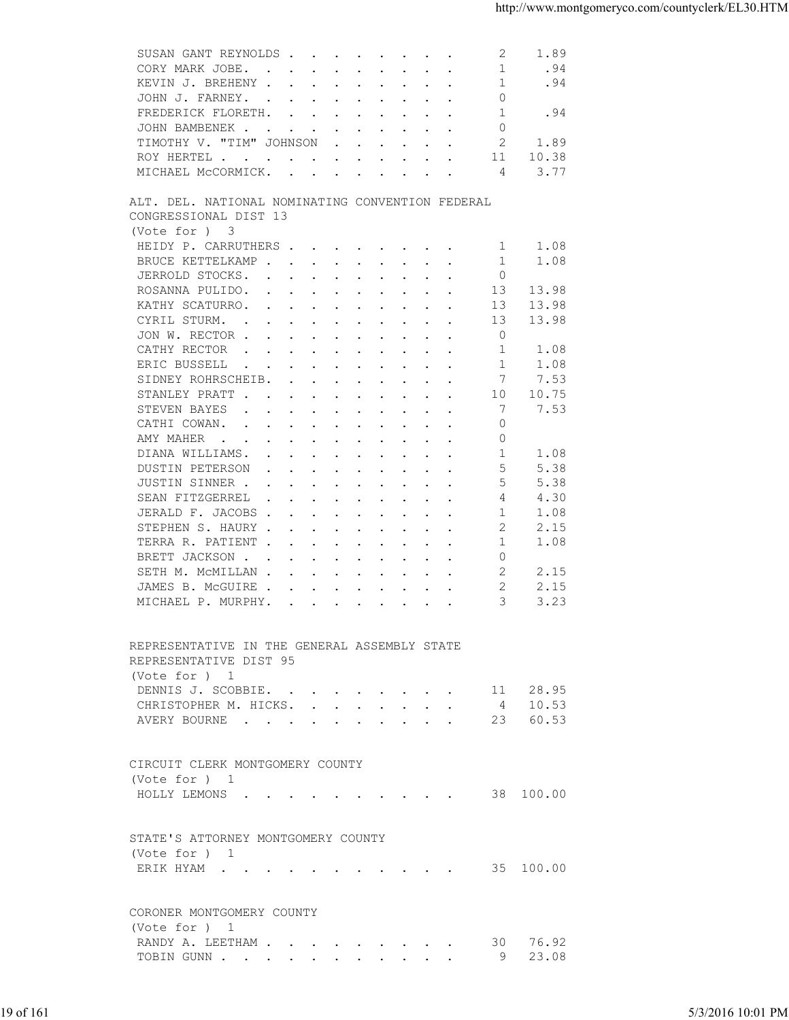| CORY MARK JOBE.<br>-1<br>.94<br>$\mathbf{r}$ , and $\mathbf{r}$ , and $\mathbf{r}$ , and $\mathbf{r}$ , and $\mathbf{r}$<br>1<br>.94<br>KEVIN J. BREHENY<br>$\mathbf{0}$<br>JOHN J. FARNEY.<br>1<br>.94<br>FREDERICK FLORETH.<br>$\Omega$<br>JOHN BAMBENEK<br>2<br>TIMOTHY V. "TIM" JOHNSON<br>1.89<br>$\mathbf{r}$ , $\mathbf{r}$ , $\mathbf{r}$ , $\mathbf{r}$ , $\mathbf{r}$<br>10.38<br>11<br>ROY HERTEL<br>MICHAEL MCCORMICK.<br>3.77<br>4<br>ALT. DEL. NATIONAL NOMINATING CONVENTION FEDERAL<br>CONGRESSIONAL DIST 13<br>(Vote for ) 3<br>HEIDY P. CARRUTHERS<br>1.08<br>1<br>BRUCE KETTELKAMP<br>1<br>1.08<br>JERROLD STOCKS.<br>$\circ$<br>13<br>13.98<br>ROSANNA PULIDO.<br>KATHY SCATURRO.<br>13<br>13.98<br>$\mathbf{r}$ . The contract of the contract of the contract of the contract of the contract of the contract of the contract of the contract of the contract of the contract of the contract of the contract of the contract of th<br>CYRIL STURM.<br>13.98<br>13<br>$\mathbf{r}$ , and $\mathbf{r}$ , and $\mathbf{r}$ , and $\mathbf{r}$ , and $\mathbf{r}$<br>$\circ$<br>JON W. RECTOR<br>CATHY RECTOR<br>1.08<br>$\mathbf{r}$ , and $\mathbf{r}$ , and $\mathbf{r}$ , and $\mathbf{r}$ , and $\mathbf{r}$<br>-1<br>ERIC BUSSELL<br>-1<br>1.08<br>$\mathbf{r}$ , and $\mathbf{r}$ , and $\mathbf{r}$ , and $\mathbf{r}$ , and $\mathbf{r}$<br>SIDNEY ROHRSCHEIB.<br>7<br>7.53<br>STANLEY PRATT<br>10<br>10.75<br>7<br>STEVEN BAYES<br>7.53<br>$\mathbf{r}$ , and $\mathbf{r}$ , and $\mathbf{r}$ , and $\mathbf{r}$ , and $\mathbf{r}$<br>CATHI COWAN.<br>$\Omega$<br>$\mathbf{r}$ , and $\mathbf{r}$ , and $\mathbf{r}$ , and $\mathbf{r}$ , and $\mathbf{r}$<br>AMY MAHER<br>0<br>-1<br>DIANA WILLIAMS.<br>1.08<br>5<br>5.38<br>DUSTIN PETERSON<br>the contract of the contract of the contract of the contract of the contract of the contract of the contract of<br>JUSTIN SINNER<br>5<br>5.38<br>SEAN FITZGERREL<br>4.30<br>4<br>$\mathbf{r}$ , $\mathbf{r}$ , $\mathbf{r}$ , $\mathbf{r}$ , $\mathbf{r}$ , $\mathbf{r}$ , $\mathbf{r}$<br>JERALD F. JACOBS<br>1.08<br>-1<br>STEPHEN S. HAURY<br>2<br>2.15<br>1<br>1.08<br>TERRA R. PATIENT<br>$\circ$<br>BRETT JACKSON<br>2<br>2.15<br>SETH M. MCMILLAN<br>$\overline{2}$<br>2.15<br>JAMES B. MCGUIRE<br>3<br>3.23<br>MICHAEL P. MURPHY.<br>REPRESENTATIVE IN THE GENERAL ASSEMBLY STATE<br>REPRESENTATIVE DIST 95<br>(Vote for ) 1<br>11 28.95<br>DENNIS J. SCOBBIE.<br>CHRISTOPHER M. HICKS. 4 10.53<br>AVERY BOURNE 23 60.53<br>CIRCUIT CLERK MONTGOMERY COUNTY<br>(Vote for ) 1<br>HOLLY LEMONS 38 100.00<br>STATE'S ATTORNEY MONTGOMERY COUNTY<br>(Vote for ) 1<br>ERIK HYAM 35 100.00<br>CORONER MONTGOMERY COUNTY<br>(Vote for ) 1<br>RANDY A. LEETHAM 30 76.92<br>TOBIN GUNN 9 23.08 |
|------------------------------------------------------------------------------------------------------------------------------------------------------------------------------------------------------------------------------------------------------------------------------------------------------------------------------------------------------------------------------------------------------------------------------------------------------------------------------------------------------------------------------------------------------------------------------------------------------------------------------------------------------------------------------------------------------------------------------------------------------------------------------------------------------------------------------------------------------------------------------------------------------------------------------------------------------------------------------------------------------------------------------------------------------------------------------------------------------------------------------------------------------------------------------------------------------------------------------------------------------------------------------------------------------------------------------------------------------------------------------------------------------------------------------------------------------------------------------------------------------------------------------------------------------------------------------------------------------------------------------------------------------------------------------------------------------------------------------------------------------------------------------------------------------------------------------------------------------------------------------------------------------------------------------------------------------------------------------------------------------------------------------------------------------------------------------------------------------------------------------------------------------------------------------------------------------------------------------------------------------------------------------------------------------------------------------------------------------------------------------------------------------------------------------------------------------------------------------------------------------------------------------------------------------------------------------------------------------------------------------------------------------------------------------------------------------------------------------------------------------------------------------|
|                                                                                                                                                                                                                                                                                                                                                                                                                                                                                                                                                                                                                                                                                                                                                                                                                                                                                                                                                                                                                                                                                                                                                                                                                                                                                                                                                                                                                                                                                                                                                                                                                                                                                                                                                                                                                                                                                                                                                                                                                                                                                                                                                                                                                                                                                                                                                                                                                                                                                                                                                                                                                                                                                                                                                                              |
|                                                                                                                                                                                                                                                                                                                                                                                                                                                                                                                                                                                                                                                                                                                                                                                                                                                                                                                                                                                                                                                                                                                                                                                                                                                                                                                                                                                                                                                                                                                                                                                                                                                                                                                                                                                                                                                                                                                                                                                                                                                                                                                                                                                                                                                                                                                                                                                                                                                                                                                                                                                                                                                                                                                                                                              |
|                                                                                                                                                                                                                                                                                                                                                                                                                                                                                                                                                                                                                                                                                                                                                                                                                                                                                                                                                                                                                                                                                                                                                                                                                                                                                                                                                                                                                                                                                                                                                                                                                                                                                                                                                                                                                                                                                                                                                                                                                                                                                                                                                                                                                                                                                                                                                                                                                                                                                                                                                                                                                                                                                                                                                                              |
|                                                                                                                                                                                                                                                                                                                                                                                                                                                                                                                                                                                                                                                                                                                                                                                                                                                                                                                                                                                                                                                                                                                                                                                                                                                                                                                                                                                                                                                                                                                                                                                                                                                                                                                                                                                                                                                                                                                                                                                                                                                                                                                                                                                                                                                                                                                                                                                                                                                                                                                                                                                                                                                                                                                                                                              |
|                                                                                                                                                                                                                                                                                                                                                                                                                                                                                                                                                                                                                                                                                                                                                                                                                                                                                                                                                                                                                                                                                                                                                                                                                                                                                                                                                                                                                                                                                                                                                                                                                                                                                                                                                                                                                                                                                                                                                                                                                                                                                                                                                                                                                                                                                                                                                                                                                                                                                                                                                                                                                                                                                                                                                                              |
|                                                                                                                                                                                                                                                                                                                                                                                                                                                                                                                                                                                                                                                                                                                                                                                                                                                                                                                                                                                                                                                                                                                                                                                                                                                                                                                                                                                                                                                                                                                                                                                                                                                                                                                                                                                                                                                                                                                                                                                                                                                                                                                                                                                                                                                                                                                                                                                                                                                                                                                                                                                                                                                                                                                                                                              |
|                                                                                                                                                                                                                                                                                                                                                                                                                                                                                                                                                                                                                                                                                                                                                                                                                                                                                                                                                                                                                                                                                                                                                                                                                                                                                                                                                                                                                                                                                                                                                                                                                                                                                                                                                                                                                                                                                                                                                                                                                                                                                                                                                                                                                                                                                                                                                                                                                                                                                                                                                                                                                                                                                                                                                                              |
|                                                                                                                                                                                                                                                                                                                                                                                                                                                                                                                                                                                                                                                                                                                                                                                                                                                                                                                                                                                                                                                                                                                                                                                                                                                                                                                                                                                                                                                                                                                                                                                                                                                                                                                                                                                                                                                                                                                                                                                                                                                                                                                                                                                                                                                                                                                                                                                                                                                                                                                                                                                                                                                                                                                                                                              |
|                                                                                                                                                                                                                                                                                                                                                                                                                                                                                                                                                                                                                                                                                                                                                                                                                                                                                                                                                                                                                                                                                                                                                                                                                                                                                                                                                                                                                                                                                                                                                                                                                                                                                                                                                                                                                                                                                                                                                                                                                                                                                                                                                                                                                                                                                                                                                                                                                                                                                                                                                                                                                                                                                                                                                                              |
|                                                                                                                                                                                                                                                                                                                                                                                                                                                                                                                                                                                                                                                                                                                                                                                                                                                                                                                                                                                                                                                                                                                                                                                                                                                                                                                                                                                                                                                                                                                                                                                                                                                                                                                                                                                                                                                                                                                                                                                                                                                                                                                                                                                                                                                                                                                                                                                                                                                                                                                                                                                                                                                                                                                                                                              |
|                                                                                                                                                                                                                                                                                                                                                                                                                                                                                                                                                                                                                                                                                                                                                                                                                                                                                                                                                                                                                                                                                                                                                                                                                                                                                                                                                                                                                                                                                                                                                                                                                                                                                                                                                                                                                                                                                                                                                                                                                                                                                                                                                                                                                                                                                                                                                                                                                                                                                                                                                                                                                                                                                                                                                                              |
|                                                                                                                                                                                                                                                                                                                                                                                                                                                                                                                                                                                                                                                                                                                                                                                                                                                                                                                                                                                                                                                                                                                                                                                                                                                                                                                                                                                                                                                                                                                                                                                                                                                                                                                                                                                                                                                                                                                                                                                                                                                                                                                                                                                                                                                                                                                                                                                                                                                                                                                                                                                                                                                                                                                                                                              |
|                                                                                                                                                                                                                                                                                                                                                                                                                                                                                                                                                                                                                                                                                                                                                                                                                                                                                                                                                                                                                                                                                                                                                                                                                                                                                                                                                                                                                                                                                                                                                                                                                                                                                                                                                                                                                                                                                                                                                                                                                                                                                                                                                                                                                                                                                                                                                                                                                                                                                                                                                                                                                                                                                                                                                                              |
|                                                                                                                                                                                                                                                                                                                                                                                                                                                                                                                                                                                                                                                                                                                                                                                                                                                                                                                                                                                                                                                                                                                                                                                                                                                                                                                                                                                                                                                                                                                                                                                                                                                                                                                                                                                                                                                                                                                                                                                                                                                                                                                                                                                                                                                                                                                                                                                                                                                                                                                                                                                                                                                                                                                                                                              |
|                                                                                                                                                                                                                                                                                                                                                                                                                                                                                                                                                                                                                                                                                                                                                                                                                                                                                                                                                                                                                                                                                                                                                                                                                                                                                                                                                                                                                                                                                                                                                                                                                                                                                                                                                                                                                                                                                                                                                                                                                                                                                                                                                                                                                                                                                                                                                                                                                                                                                                                                                                                                                                                                                                                                                                              |
|                                                                                                                                                                                                                                                                                                                                                                                                                                                                                                                                                                                                                                                                                                                                                                                                                                                                                                                                                                                                                                                                                                                                                                                                                                                                                                                                                                                                                                                                                                                                                                                                                                                                                                                                                                                                                                                                                                                                                                                                                                                                                                                                                                                                                                                                                                                                                                                                                                                                                                                                                                                                                                                                                                                                                                              |
|                                                                                                                                                                                                                                                                                                                                                                                                                                                                                                                                                                                                                                                                                                                                                                                                                                                                                                                                                                                                                                                                                                                                                                                                                                                                                                                                                                                                                                                                                                                                                                                                                                                                                                                                                                                                                                                                                                                                                                                                                                                                                                                                                                                                                                                                                                                                                                                                                                                                                                                                                                                                                                                                                                                                                                              |
|                                                                                                                                                                                                                                                                                                                                                                                                                                                                                                                                                                                                                                                                                                                                                                                                                                                                                                                                                                                                                                                                                                                                                                                                                                                                                                                                                                                                                                                                                                                                                                                                                                                                                                                                                                                                                                                                                                                                                                                                                                                                                                                                                                                                                                                                                                                                                                                                                                                                                                                                                                                                                                                                                                                                                                              |
|                                                                                                                                                                                                                                                                                                                                                                                                                                                                                                                                                                                                                                                                                                                                                                                                                                                                                                                                                                                                                                                                                                                                                                                                                                                                                                                                                                                                                                                                                                                                                                                                                                                                                                                                                                                                                                                                                                                                                                                                                                                                                                                                                                                                                                                                                                                                                                                                                                                                                                                                                                                                                                                                                                                                                                              |
|                                                                                                                                                                                                                                                                                                                                                                                                                                                                                                                                                                                                                                                                                                                                                                                                                                                                                                                                                                                                                                                                                                                                                                                                                                                                                                                                                                                                                                                                                                                                                                                                                                                                                                                                                                                                                                                                                                                                                                                                                                                                                                                                                                                                                                                                                                                                                                                                                                                                                                                                                                                                                                                                                                                                                                              |
|                                                                                                                                                                                                                                                                                                                                                                                                                                                                                                                                                                                                                                                                                                                                                                                                                                                                                                                                                                                                                                                                                                                                                                                                                                                                                                                                                                                                                                                                                                                                                                                                                                                                                                                                                                                                                                                                                                                                                                                                                                                                                                                                                                                                                                                                                                                                                                                                                                                                                                                                                                                                                                                                                                                                                                              |
|                                                                                                                                                                                                                                                                                                                                                                                                                                                                                                                                                                                                                                                                                                                                                                                                                                                                                                                                                                                                                                                                                                                                                                                                                                                                                                                                                                                                                                                                                                                                                                                                                                                                                                                                                                                                                                                                                                                                                                                                                                                                                                                                                                                                                                                                                                                                                                                                                                                                                                                                                                                                                                                                                                                                                                              |
|                                                                                                                                                                                                                                                                                                                                                                                                                                                                                                                                                                                                                                                                                                                                                                                                                                                                                                                                                                                                                                                                                                                                                                                                                                                                                                                                                                                                                                                                                                                                                                                                                                                                                                                                                                                                                                                                                                                                                                                                                                                                                                                                                                                                                                                                                                                                                                                                                                                                                                                                                                                                                                                                                                                                                                              |
|                                                                                                                                                                                                                                                                                                                                                                                                                                                                                                                                                                                                                                                                                                                                                                                                                                                                                                                                                                                                                                                                                                                                                                                                                                                                                                                                                                                                                                                                                                                                                                                                                                                                                                                                                                                                                                                                                                                                                                                                                                                                                                                                                                                                                                                                                                                                                                                                                                                                                                                                                                                                                                                                                                                                                                              |
|                                                                                                                                                                                                                                                                                                                                                                                                                                                                                                                                                                                                                                                                                                                                                                                                                                                                                                                                                                                                                                                                                                                                                                                                                                                                                                                                                                                                                                                                                                                                                                                                                                                                                                                                                                                                                                                                                                                                                                                                                                                                                                                                                                                                                                                                                                                                                                                                                                                                                                                                                                                                                                                                                                                                                                              |
|                                                                                                                                                                                                                                                                                                                                                                                                                                                                                                                                                                                                                                                                                                                                                                                                                                                                                                                                                                                                                                                                                                                                                                                                                                                                                                                                                                                                                                                                                                                                                                                                                                                                                                                                                                                                                                                                                                                                                                                                                                                                                                                                                                                                                                                                                                                                                                                                                                                                                                                                                                                                                                                                                                                                                                              |
|                                                                                                                                                                                                                                                                                                                                                                                                                                                                                                                                                                                                                                                                                                                                                                                                                                                                                                                                                                                                                                                                                                                                                                                                                                                                                                                                                                                                                                                                                                                                                                                                                                                                                                                                                                                                                                                                                                                                                                                                                                                                                                                                                                                                                                                                                                                                                                                                                                                                                                                                                                                                                                                                                                                                                                              |
|                                                                                                                                                                                                                                                                                                                                                                                                                                                                                                                                                                                                                                                                                                                                                                                                                                                                                                                                                                                                                                                                                                                                                                                                                                                                                                                                                                                                                                                                                                                                                                                                                                                                                                                                                                                                                                                                                                                                                                                                                                                                                                                                                                                                                                                                                                                                                                                                                                                                                                                                                                                                                                                                                                                                                                              |
|                                                                                                                                                                                                                                                                                                                                                                                                                                                                                                                                                                                                                                                                                                                                                                                                                                                                                                                                                                                                                                                                                                                                                                                                                                                                                                                                                                                                                                                                                                                                                                                                                                                                                                                                                                                                                                                                                                                                                                                                                                                                                                                                                                                                                                                                                                                                                                                                                                                                                                                                                                                                                                                                                                                                                                              |
|                                                                                                                                                                                                                                                                                                                                                                                                                                                                                                                                                                                                                                                                                                                                                                                                                                                                                                                                                                                                                                                                                                                                                                                                                                                                                                                                                                                                                                                                                                                                                                                                                                                                                                                                                                                                                                                                                                                                                                                                                                                                                                                                                                                                                                                                                                                                                                                                                                                                                                                                                                                                                                                                                                                                                                              |
|                                                                                                                                                                                                                                                                                                                                                                                                                                                                                                                                                                                                                                                                                                                                                                                                                                                                                                                                                                                                                                                                                                                                                                                                                                                                                                                                                                                                                                                                                                                                                                                                                                                                                                                                                                                                                                                                                                                                                                                                                                                                                                                                                                                                                                                                                                                                                                                                                                                                                                                                                                                                                                                                                                                                                                              |
|                                                                                                                                                                                                                                                                                                                                                                                                                                                                                                                                                                                                                                                                                                                                                                                                                                                                                                                                                                                                                                                                                                                                                                                                                                                                                                                                                                                                                                                                                                                                                                                                                                                                                                                                                                                                                                                                                                                                                                                                                                                                                                                                                                                                                                                                                                                                                                                                                                                                                                                                                                                                                                                                                                                                                                              |
|                                                                                                                                                                                                                                                                                                                                                                                                                                                                                                                                                                                                                                                                                                                                                                                                                                                                                                                                                                                                                                                                                                                                                                                                                                                                                                                                                                                                                                                                                                                                                                                                                                                                                                                                                                                                                                                                                                                                                                                                                                                                                                                                                                                                                                                                                                                                                                                                                                                                                                                                                                                                                                                                                                                                                                              |
|                                                                                                                                                                                                                                                                                                                                                                                                                                                                                                                                                                                                                                                                                                                                                                                                                                                                                                                                                                                                                                                                                                                                                                                                                                                                                                                                                                                                                                                                                                                                                                                                                                                                                                                                                                                                                                                                                                                                                                                                                                                                                                                                                                                                                                                                                                                                                                                                                                                                                                                                                                                                                                                                                                                                                                              |
|                                                                                                                                                                                                                                                                                                                                                                                                                                                                                                                                                                                                                                                                                                                                                                                                                                                                                                                                                                                                                                                                                                                                                                                                                                                                                                                                                                                                                                                                                                                                                                                                                                                                                                                                                                                                                                                                                                                                                                                                                                                                                                                                                                                                                                                                                                                                                                                                                                                                                                                                                                                                                                                                                                                                                                              |
|                                                                                                                                                                                                                                                                                                                                                                                                                                                                                                                                                                                                                                                                                                                                                                                                                                                                                                                                                                                                                                                                                                                                                                                                                                                                                                                                                                                                                                                                                                                                                                                                                                                                                                                                                                                                                                                                                                                                                                                                                                                                                                                                                                                                                                                                                                                                                                                                                                                                                                                                                                                                                                                                                                                                                                              |
|                                                                                                                                                                                                                                                                                                                                                                                                                                                                                                                                                                                                                                                                                                                                                                                                                                                                                                                                                                                                                                                                                                                                                                                                                                                                                                                                                                                                                                                                                                                                                                                                                                                                                                                                                                                                                                                                                                                                                                                                                                                                                                                                                                                                                                                                                                                                                                                                                                                                                                                                                                                                                                                                                                                                                                              |
|                                                                                                                                                                                                                                                                                                                                                                                                                                                                                                                                                                                                                                                                                                                                                                                                                                                                                                                                                                                                                                                                                                                                                                                                                                                                                                                                                                                                                                                                                                                                                                                                                                                                                                                                                                                                                                                                                                                                                                                                                                                                                                                                                                                                                                                                                                                                                                                                                                                                                                                                                                                                                                                                                                                                                                              |
|                                                                                                                                                                                                                                                                                                                                                                                                                                                                                                                                                                                                                                                                                                                                                                                                                                                                                                                                                                                                                                                                                                                                                                                                                                                                                                                                                                                                                                                                                                                                                                                                                                                                                                                                                                                                                                                                                                                                                                                                                                                                                                                                                                                                                                                                                                                                                                                                                                                                                                                                                                                                                                                                                                                                                                              |
|                                                                                                                                                                                                                                                                                                                                                                                                                                                                                                                                                                                                                                                                                                                                                                                                                                                                                                                                                                                                                                                                                                                                                                                                                                                                                                                                                                                                                                                                                                                                                                                                                                                                                                                                                                                                                                                                                                                                                                                                                                                                                                                                                                                                                                                                                                                                                                                                                                                                                                                                                                                                                                                                                                                                                                              |
|                                                                                                                                                                                                                                                                                                                                                                                                                                                                                                                                                                                                                                                                                                                                                                                                                                                                                                                                                                                                                                                                                                                                                                                                                                                                                                                                                                                                                                                                                                                                                                                                                                                                                                                                                                                                                                                                                                                                                                                                                                                                                                                                                                                                                                                                                                                                                                                                                                                                                                                                                                                                                                                                                                                                                                              |
|                                                                                                                                                                                                                                                                                                                                                                                                                                                                                                                                                                                                                                                                                                                                                                                                                                                                                                                                                                                                                                                                                                                                                                                                                                                                                                                                                                                                                                                                                                                                                                                                                                                                                                                                                                                                                                                                                                                                                                                                                                                                                                                                                                                                                                                                                                                                                                                                                                                                                                                                                                                                                                                                                                                                                                              |
|                                                                                                                                                                                                                                                                                                                                                                                                                                                                                                                                                                                                                                                                                                                                                                                                                                                                                                                                                                                                                                                                                                                                                                                                                                                                                                                                                                                                                                                                                                                                                                                                                                                                                                                                                                                                                                                                                                                                                                                                                                                                                                                                                                                                                                                                                                                                                                                                                                                                                                                                                                                                                                                                                                                                                                              |
|                                                                                                                                                                                                                                                                                                                                                                                                                                                                                                                                                                                                                                                                                                                                                                                                                                                                                                                                                                                                                                                                                                                                                                                                                                                                                                                                                                                                                                                                                                                                                                                                                                                                                                                                                                                                                                                                                                                                                                                                                                                                                                                                                                                                                                                                                                                                                                                                                                                                                                                                                                                                                                                                                                                                                                              |
|                                                                                                                                                                                                                                                                                                                                                                                                                                                                                                                                                                                                                                                                                                                                                                                                                                                                                                                                                                                                                                                                                                                                                                                                                                                                                                                                                                                                                                                                                                                                                                                                                                                                                                                                                                                                                                                                                                                                                                                                                                                                                                                                                                                                                                                                                                                                                                                                                                                                                                                                                                                                                                                                                                                                                                              |
|                                                                                                                                                                                                                                                                                                                                                                                                                                                                                                                                                                                                                                                                                                                                                                                                                                                                                                                                                                                                                                                                                                                                                                                                                                                                                                                                                                                                                                                                                                                                                                                                                                                                                                                                                                                                                                                                                                                                                                                                                                                                                                                                                                                                                                                                                                                                                                                                                                                                                                                                                                                                                                                                                                                                                                              |
|                                                                                                                                                                                                                                                                                                                                                                                                                                                                                                                                                                                                                                                                                                                                                                                                                                                                                                                                                                                                                                                                                                                                                                                                                                                                                                                                                                                                                                                                                                                                                                                                                                                                                                                                                                                                                                                                                                                                                                                                                                                                                                                                                                                                                                                                                                                                                                                                                                                                                                                                                                                                                                                                                                                                                                              |
|                                                                                                                                                                                                                                                                                                                                                                                                                                                                                                                                                                                                                                                                                                                                                                                                                                                                                                                                                                                                                                                                                                                                                                                                                                                                                                                                                                                                                                                                                                                                                                                                                                                                                                                                                                                                                                                                                                                                                                                                                                                                                                                                                                                                                                                                                                                                                                                                                                                                                                                                                                                                                                                                                                                                                                              |
|                                                                                                                                                                                                                                                                                                                                                                                                                                                                                                                                                                                                                                                                                                                                                                                                                                                                                                                                                                                                                                                                                                                                                                                                                                                                                                                                                                                                                                                                                                                                                                                                                                                                                                                                                                                                                                                                                                                                                                                                                                                                                                                                                                                                                                                                                                                                                                                                                                                                                                                                                                                                                                                                                                                                                                              |
|                                                                                                                                                                                                                                                                                                                                                                                                                                                                                                                                                                                                                                                                                                                                                                                                                                                                                                                                                                                                                                                                                                                                                                                                                                                                                                                                                                                                                                                                                                                                                                                                                                                                                                                                                                                                                                                                                                                                                                                                                                                                                                                                                                                                                                                                                                                                                                                                                                                                                                                                                                                                                                                                                                                                                                              |
|                                                                                                                                                                                                                                                                                                                                                                                                                                                                                                                                                                                                                                                                                                                                                                                                                                                                                                                                                                                                                                                                                                                                                                                                                                                                                                                                                                                                                                                                                                                                                                                                                                                                                                                                                                                                                                                                                                                                                                                                                                                                                                                                                                                                                                                                                                                                                                                                                                                                                                                                                                                                                                                                                                                                                                              |
|                                                                                                                                                                                                                                                                                                                                                                                                                                                                                                                                                                                                                                                                                                                                                                                                                                                                                                                                                                                                                                                                                                                                                                                                                                                                                                                                                                                                                                                                                                                                                                                                                                                                                                                                                                                                                                                                                                                                                                                                                                                                                                                                                                                                                                                                                                                                                                                                                                                                                                                                                                                                                                                                                                                                                                              |
|                                                                                                                                                                                                                                                                                                                                                                                                                                                                                                                                                                                                                                                                                                                                                                                                                                                                                                                                                                                                                                                                                                                                                                                                                                                                                                                                                                                                                                                                                                                                                                                                                                                                                                                                                                                                                                                                                                                                                                                                                                                                                                                                                                                                                                                                                                                                                                                                                                                                                                                                                                                                                                                                                                                                                                              |
|                                                                                                                                                                                                                                                                                                                                                                                                                                                                                                                                                                                                                                                                                                                                                                                                                                                                                                                                                                                                                                                                                                                                                                                                                                                                                                                                                                                                                                                                                                                                                                                                                                                                                                                                                                                                                                                                                                                                                                                                                                                                                                                                                                                                                                                                                                                                                                                                                                                                                                                                                                                                                                                                                                                                                                              |
|                                                                                                                                                                                                                                                                                                                                                                                                                                                                                                                                                                                                                                                                                                                                                                                                                                                                                                                                                                                                                                                                                                                                                                                                                                                                                                                                                                                                                                                                                                                                                                                                                                                                                                                                                                                                                                                                                                                                                                                                                                                                                                                                                                                                                                                                                                                                                                                                                                                                                                                                                                                                                                                                                                                                                                              |
|                                                                                                                                                                                                                                                                                                                                                                                                                                                                                                                                                                                                                                                                                                                                                                                                                                                                                                                                                                                                                                                                                                                                                                                                                                                                                                                                                                                                                                                                                                                                                                                                                                                                                                                                                                                                                                                                                                                                                                                                                                                                                                                                                                                                                                                                                                                                                                                                                                                                                                                                                                                                                                                                                                                                                                              |
|                                                                                                                                                                                                                                                                                                                                                                                                                                                                                                                                                                                                                                                                                                                                                                                                                                                                                                                                                                                                                                                                                                                                                                                                                                                                                                                                                                                                                                                                                                                                                                                                                                                                                                                                                                                                                                                                                                                                                                                                                                                                                                                                                                                                                                                                                                                                                                                                                                                                                                                                                                                                                                                                                                                                                                              |
|                                                                                                                                                                                                                                                                                                                                                                                                                                                                                                                                                                                                                                                                                                                                                                                                                                                                                                                                                                                                                                                                                                                                                                                                                                                                                                                                                                                                                                                                                                                                                                                                                                                                                                                                                                                                                                                                                                                                                                                                                                                                                                                                                                                                                                                                                                                                                                                                                                                                                                                                                                                                                                                                                                                                                                              |
|                                                                                                                                                                                                                                                                                                                                                                                                                                                                                                                                                                                                                                                                                                                                                                                                                                                                                                                                                                                                                                                                                                                                                                                                                                                                                                                                                                                                                                                                                                                                                                                                                                                                                                                                                                                                                                                                                                                                                                                                                                                                                                                                                                                                                                                                                                                                                                                                                                                                                                                                                                                                                                                                                                                                                                              |
|                                                                                                                                                                                                                                                                                                                                                                                                                                                                                                                                                                                                                                                                                                                                                                                                                                                                                                                                                                                                                                                                                                                                                                                                                                                                                                                                                                                                                                                                                                                                                                                                                                                                                                                                                                                                                                                                                                                                                                                                                                                                                                                                                                                                                                                                                                                                                                                                                                                                                                                                                                                                                                                                                                                                                                              |
|                                                                                                                                                                                                                                                                                                                                                                                                                                                                                                                                                                                                                                                                                                                                                                                                                                                                                                                                                                                                                                                                                                                                                                                                                                                                                                                                                                                                                                                                                                                                                                                                                                                                                                                                                                                                                                                                                                                                                                                                                                                                                                                                                                                                                                                                                                                                                                                                                                                                                                                                                                                                                                                                                                                                                                              |
|                                                                                                                                                                                                                                                                                                                                                                                                                                                                                                                                                                                                                                                                                                                                                                                                                                                                                                                                                                                                                                                                                                                                                                                                                                                                                                                                                                                                                                                                                                                                                                                                                                                                                                                                                                                                                                                                                                                                                                                                                                                                                                                                                                                                                                                                                                                                                                                                                                                                                                                                                                                                                                                                                                                                                                              |
|                                                                                                                                                                                                                                                                                                                                                                                                                                                                                                                                                                                                                                                                                                                                                                                                                                                                                                                                                                                                                                                                                                                                                                                                                                                                                                                                                                                                                                                                                                                                                                                                                                                                                                                                                                                                                                                                                                                                                                                                                                                                                                                                                                                                                                                                                                                                                                                                                                                                                                                                                                                                                                                                                                                                                                              |
|                                                                                                                                                                                                                                                                                                                                                                                                                                                                                                                                                                                                                                                                                                                                                                                                                                                                                                                                                                                                                                                                                                                                                                                                                                                                                                                                                                                                                                                                                                                                                                                                                                                                                                                                                                                                                                                                                                                                                                                                                                                                                                                                                                                                                                                                                                                                                                                                                                                                                                                                                                                                                                                                                                                                                                              |
| 19 of 161<br>5/3/2016 10:01 PM                                                                                                                                                                                                                                                                                                                                                                                                                                                                                                                                                                                                                                                                                                                                                                                                                                                                                                                                                                                                                                                                                                                                                                                                                                                                                                                                                                                                                                                                                                                                                                                                                                                                                                                                                                                                                                                                                                                                                                                                                                                                                                                                                                                                                                                                                                                                                                                                                                                                                                                                                                                                                                                                                                                                               |
|                                                                                                                                                                                                                                                                                                                                                                                                                                                                                                                                                                                                                                                                                                                                                                                                                                                                                                                                                                                                                                                                                                                                                                                                                                                                                                                                                                                                                                                                                                                                                                                                                                                                                                                                                                                                                                                                                                                                                                                                                                                                                                                                                                                                                                                                                                                                                                                                                                                                                                                                                                                                                                                                                                                                                                              |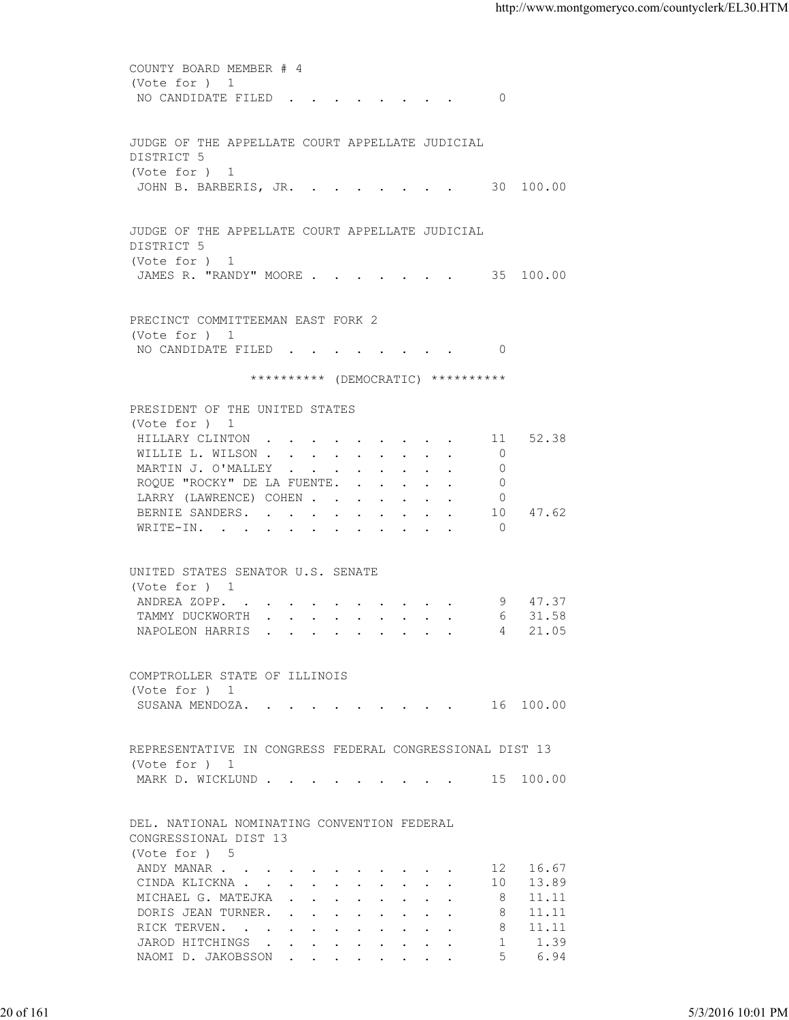COUNTY BOARD MEMBER # 4 (Vote for ) 1 NO CANDIDATE FILED . . . . . . . . 0 JUDGE OF THE APPELLATE COURT APPELLATE JUDICIAL DISTRICT 5 (Vote for ) 1 JOHN B. BARBERIS, JR. . . . . . . . 30 100.00 JUDGE OF THE APPELLATE COURT APPELLATE JUDICIAL DISTRICT 5 (Vote for ) 1 JAMES R. "RANDY" MOORE . . . . . . . 35 100.00 PRECINCT COMMITTEEMAN EAST FORK 2 (Vote for ) 1 NO CANDIDATE FILED . . . . . . . . 0 \*\*\*\*\*\*\*\*\*\* (DEMOCRATIC) \*\*\*\*\*\*\*\*\*\* PRESIDENT OF THE UNITED STATES (Vote for ) 1 HILLARY CLINTON . . . . . . . . . 11 52.38 WILLIE L. WILSON . . . . . . . . . 0 MARTIN J. O'MALLEY . . . . . . . . 0 ROQUE "ROCKY" DE LA FUENTE. . . . . . 0 LARRY (LAWRENCE) COHEN . . . . . . 0 BERNIE SANDERS. . . . . . . . . . 10 47.62 WRITE-IN. . . . . . . . . . . . 0 UNITED STATES SENATOR U.S. SENATE (Vote for ) 1<br>
ANDREA ZOPP. . . . . . . . . . . 9 47.37<br>
TAMMY DUCKWORTH . . . . . . . . . 6 31.58 ANDREA ZOPP. . . . . . . . . . . TAMMY DUCKWORTH . . . . . . . . . . 6 31.58<br>NAPOLEON HARRIS . . . . . . . . . 4 21.05 NAPOLEON HARRIS . . . . . . . . . COMPTROLLER STATE OF ILLINOIS (Vote for ) 1 SUSANA MENDOZA. . . . . . . . . . 16 100.00 REPRESENTATIVE IN CONGRESS FEDERAL CONGRESSIONAL DIST 13 (Vote for ) 1 MARK D. WICKLUND . . . . . . . . . . 15 100.00 DEL. NATIONAL NOMINATING CONVENTION FEDERAL CONGRESSIONAL DIST 13 (Vote for ) 5 ANDY MANAR . . . . . . . . . . . . 12 16.67<br>CINDA KLICKNA . . . . . . . . . . 10 13.89 CINDA KLICKNA . . . . . . . . . . . 10 13.89<br>MICHAEL G. MATEJKA . . . . . . . . 8 11.11 MICHAEL G. MATEJKA . . . . . . . . 8 DORIS JEAN TURNER. . . . . . . . . 8 11.11 RICK TERVEN. . . . . . . . . . . 8 11.11 JAROD HITCHINGS . . . . . . . . . . 1 1.39 NAOMI D. JAKOBSSON . . . . . . . . . 5 6.94 20 of 161 5/3/2016 10:01 PM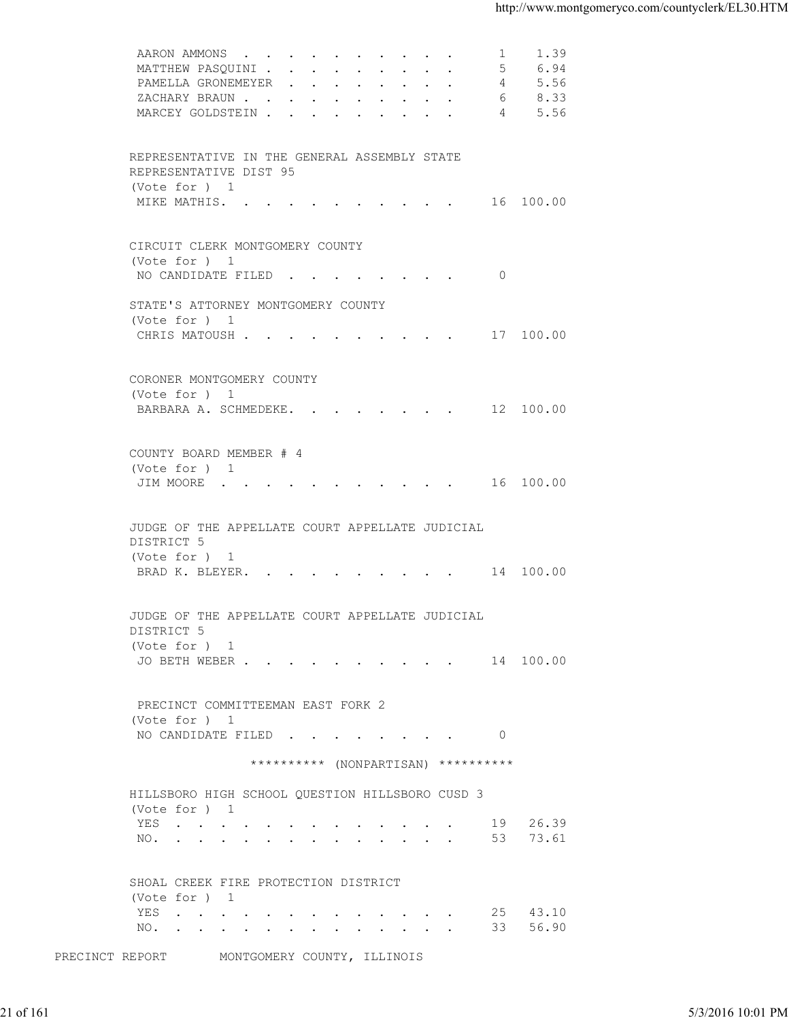| 6.94<br>MATTHEW PASQUINI<br>5<br>PAMELLA GRONEMEYER<br>5.56<br>4<br>ZACHARY BRAUN<br>8.33<br>6<br>5.56<br>MARCEY GOLDSTEIN 4<br>REPRESENTATIVE IN THE GENERAL ASSEMBLY STATE<br>REPRESENTATIVE DIST 95<br>(Vote for ) 1<br>MIKE MATHIS. 16 100.00<br>CIRCUIT CLERK MONTGOMERY COUNTY<br>(Vote for ) 1<br>NO CANDIDATE FILED 0<br>STATE'S ATTORNEY MONTGOMERY COUNTY<br>(Vote for ) 1<br>CHRIS MATOUSH 17 100.00<br>CORONER MONTGOMERY COUNTY<br>(Vote for ) 1<br>BARBARA A. SCHMEDEKE. 12 100.00<br>COUNTY BOARD MEMBER # 4<br>(Vote for ) 1<br>JIM MOORE 16 100.00<br>JUDGE OF THE APPELLATE COURT APPELLATE JUDICIAL<br>DISTRICT 5<br>(Vote for ) 1<br>BRAD K. BLEYER. 14 100.00<br>JUDGE OF THE APPELLATE COURT APPELLATE JUDICIAL<br>DISTRICT 5<br>(Vote for $)$ 1<br>JO BETH WEBER 14 100.00 |                   |
|---------------------------------------------------------------------------------------------------------------------------------------------------------------------------------------------------------------------------------------------------------------------------------------------------------------------------------------------------------------------------------------------------------------------------------------------------------------------------------------------------------------------------------------------------------------------------------------------------------------------------------------------------------------------------------------------------------------------------------------------------------------------------------------------------|-------------------|
|                                                                                                                                                                                                                                                                                                                                                                                                                                                                                                                                                                                                                                                                                                                                                                                                   |                   |
|                                                                                                                                                                                                                                                                                                                                                                                                                                                                                                                                                                                                                                                                                                                                                                                                   |                   |
|                                                                                                                                                                                                                                                                                                                                                                                                                                                                                                                                                                                                                                                                                                                                                                                                   |                   |
|                                                                                                                                                                                                                                                                                                                                                                                                                                                                                                                                                                                                                                                                                                                                                                                                   |                   |
|                                                                                                                                                                                                                                                                                                                                                                                                                                                                                                                                                                                                                                                                                                                                                                                                   |                   |
|                                                                                                                                                                                                                                                                                                                                                                                                                                                                                                                                                                                                                                                                                                                                                                                                   |                   |
|                                                                                                                                                                                                                                                                                                                                                                                                                                                                                                                                                                                                                                                                                                                                                                                                   |                   |
|                                                                                                                                                                                                                                                                                                                                                                                                                                                                                                                                                                                                                                                                                                                                                                                                   |                   |
|                                                                                                                                                                                                                                                                                                                                                                                                                                                                                                                                                                                                                                                                                                                                                                                                   |                   |
|                                                                                                                                                                                                                                                                                                                                                                                                                                                                                                                                                                                                                                                                                                                                                                                                   |                   |
|                                                                                                                                                                                                                                                                                                                                                                                                                                                                                                                                                                                                                                                                                                                                                                                                   |                   |
|                                                                                                                                                                                                                                                                                                                                                                                                                                                                                                                                                                                                                                                                                                                                                                                                   |                   |
|                                                                                                                                                                                                                                                                                                                                                                                                                                                                                                                                                                                                                                                                                                                                                                                                   |                   |
|                                                                                                                                                                                                                                                                                                                                                                                                                                                                                                                                                                                                                                                                                                                                                                                                   |                   |
|                                                                                                                                                                                                                                                                                                                                                                                                                                                                                                                                                                                                                                                                                                                                                                                                   |                   |
|                                                                                                                                                                                                                                                                                                                                                                                                                                                                                                                                                                                                                                                                                                                                                                                                   |                   |
|                                                                                                                                                                                                                                                                                                                                                                                                                                                                                                                                                                                                                                                                                                                                                                                                   |                   |
|                                                                                                                                                                                                                                                                                                                                                                                                                                                                                                                                                                                                                                                                                                                                                                                                   |                   |
|                                                                                                                                                                                                                                                                                                                                                                                                                                                                                                                                                                                                                                                                                                                                                                                                   |                   |
|                                                                                                                                                                                                                                                                                                                                                                                                                                                                                                                                                                                                                                                                                                                                                                                                   |                   |
|                                                                                                                                                                                                                                                                                                                                                                                                                                                                                                                                                                                                                                                                                                                                                                                                   |                   |
|                                                                                                                                                                                                                                                                                                                                                                                                                                                                                                                                                                                                                                                                                                                                                                                                   |                   |
|                                                                                                                                                                                                                                                                                                                                                                                                                                                                                                                                                                                                                                                                                                                                                                                                   |                   |
|                                                                                                                                                                                                                                                                                                                                                                                                                                                                                                                                                                                                                                                                                                                                                                                                   |                   |
|                                                                                                                                                                                                                                                                                                                                                                                                                                                                                                                                                                                                                                                                                                                                                                                                   |                   |
|                                                                                                                                                                                                                                                                                                                                                                                                                                                                                                                                                                                                                                                                                                                                                                                                   |                   |
|                                                                                                                                                                                                                                                                                                                                                                                                                                                                                                                                                                                                                                                                                                                                                                                                   |                   |
|                                                                                                                                                                                                                                                                                                                                                                                                                                                                                                                                                                                                                                                                                                                                                                                                   |                   |
|                                                                                                                                                                                                                                                                                                                                                                                                                                                                                                                                                                                                                                                                                                                                                                                                   |                   |
|                                                                                                                                                                                                                                                                                                                                                                                                                                                                                                                                                                                                                                                                                                                                                                                                   |                   |
| PRECINCT COMMITTEEMAN EAST FORK 2                                                                                                                                                                                                                                                                                                                                                                                                                                                                                                                                                                                                                                                                                                                                                                 |                   |
| (Vote for ) 1<br>NO CANDIDATE FILED 0                                                                                                                                                                                                                                                                                                                                                                                                                                                                                                                                                                                                                                                                                                                                                             |                   |
| ********** (NONPARTISAN) **********                                                                                                                                                                                                                                                                                                                                                                                                                                                                                                                                                                                                                                                                                                                                                               |                   |
|                                                                                                                                                                                                                                                                                                                                                                                                                                                                                                                                                                                                                                                                                                                                                                                                   |                   |
| HILLSBORO HIGH SCHOOL QUESTION HILLSBORO CUSD 3<br>(Vote for ) 1                                                                                                                                                                                                                                                                                                                                                                                                                                                                                                                                                                                                                                                                                                                                  |                   |
| 19 26.39<br>YES                                                                                                                                                                                                                                                                                                                                                                                                                                                                                                                                                                                                                                                                                                                                                                                   |                   |
| NO. 53 73.61                                                                                                                                                                                                                                                                                                                                                                                                                                                                                                                                                                                                                                                                                                                                                                                      |                   |
| SHOAL CREEK FIRE PROTECTION DISTRICT                                                                                                                                                                                                                                                                                                                                                                                                                                                                                                                                                                                                                                                                                                                                                              |                   |
| (Vote for ) 1                                                                                                                                                                                                                                                                                                                                                                                                                                                                                                                                                                                                                                                                                                                                                                                     |                   |
| YES<br>25 43.10<br>33 56.90<br>NO.                                                                                                                                                                                                                                                                                                                                                                                                                                                                                                                                                                                                                                                                                                                                                                |                   |
|                                                                                                                                                                                                                                                                                                                                                                                                                                                                                                                                                                                                                                                                                                                                                                                                   |                   |
| PRECINCT REPORT<br>MONTGOMERY COUNTY, ILLINOIS                                                                                                                                                                                                                                                                                                                                                                                                                                                                                                                                                                                                                                                                                                                                                    |                   |
|                                                                                                                                                                                                                                                                                                                                                                                                                                                                                                                                                                                                                                                                                                                                                                                                   |                   |
| 21 of 161                                                                                                                                                                                                                                                                                                                                                                                                                                                                                                                                                                                                                                                                                                                                                                                         |                   |
|                                                                                                                                                                                                                                                                                                                                                                                                                                                                                                                                                                                                                                                                                                                                                                                                   | 5/3/2016 10:01 PM |
|                                                                                                                                                                                                                                                                                                                                                                                                                                                                                                                                                                                                                                                                                                                                                                                                   |                   |
|                                                                                                                                                                                                                                                                                                                                                                                                                                                                                                                                                                                                                                                                                                                                                                                                   |                   |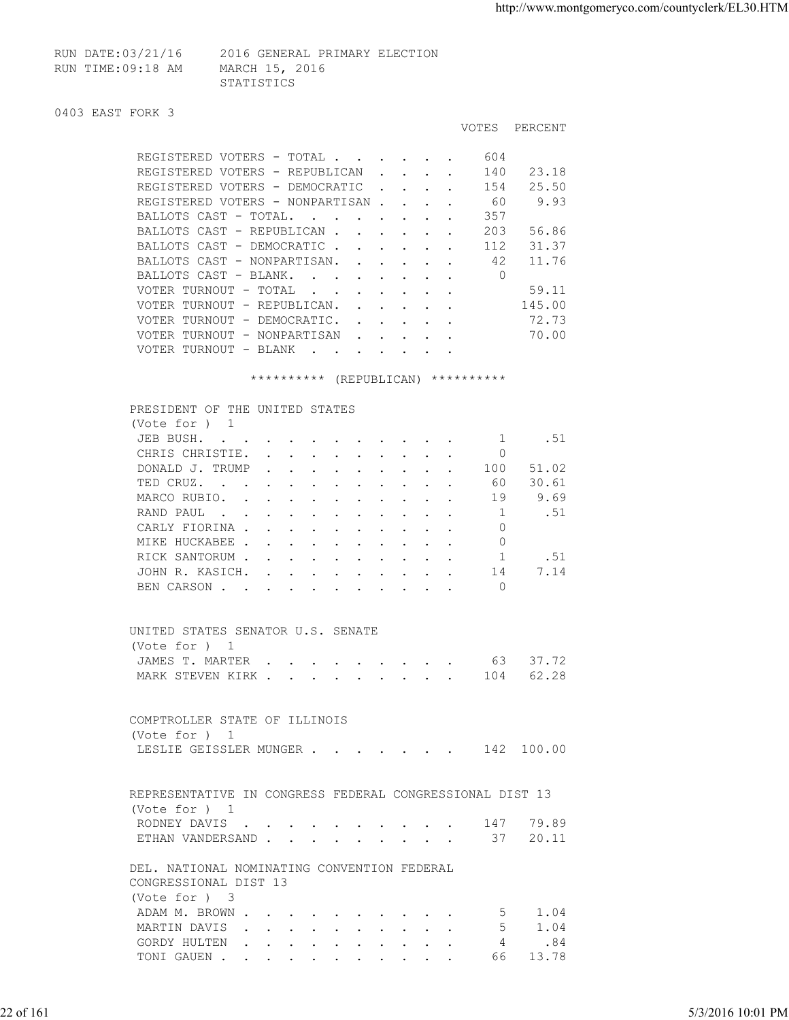| RUN DATE:03/21/16 | 2016 GENERAL PRIMARY ELECTION |
|-------------------|-------------------------------|
| RUN TIME:09:18 AM | MARCH 15, 2016                |
|                   | STATISTICS                    |

#### 0403 EAST FORK 3

|                                 |                                                                                                         |                           |                           |                                                           |  | <b>VOTES</b> | PERCENT |
|---------------------------------|---------------------------------------------------------------------------------------------------------|---------------------------|---------------------------|-----------------------------------------------------------|--|--------------|---------|
| REGISTERED VOTERS - TOTAL       |                                                                                                         |                           | <b>Contract</b>           |                                                           |  | 604          |         |
| REGISTERED VOTERS - REPUBLICAN  |                                                                                                         |                           | $\mathbf{L} = \mathbf{L}$ |                                                           |  | 140          | 23.18   |
| REGISTERED VOTERS - DEMOCRATIC  |                                                                                                         |                           | $\sim$                    |                                                           |  | 154          | 25.50   |
| REGISTERED VOTERS - NONPARTISAN |                                                                                                         |                           |                           |                                                           |  | 60           | 9.93    |
| BALLOTS CAST - TOTAL.           | $\sim$ $\sim$                                                                                           |                           |                           |                                                           |  | 357          |         |
| BALLOTS CAST - REPUBLICAN.      |                                                                                                         |                           |                           | $\mathbf{r} = \mathbf{r}$ , $\mathbf{r} = \mathbf{r}$     |  | 203          | 56.86   |
| BALLOTS CAST - DEMOCRATIC.      |                                                                                                         |                           |                           | $\mathbf{r}$ , $\mathbf{r}$ , $\mathbf{r}$ , $\mathbf{r}$ |  | 112          | 31.37   |
| BALLOTS CAST - NONPARTISAN.     |                                                                                                         | $\mathbf{L} = \mathbf{L}$ |                           |                                                           |  | 42           | 11.76   |
| BALLOTS CAST - BLANK.           | <b>Contract Street</b>                                                                                  |                           |                           |                                                           |  | 0            |         |
| VOTER TURNOUT - TOTAL           | $\sim$ $\sim$ $\sim$                                                                                    |                           |                           |                                                           |  |              | 59.11   |
| VOTER TURNOUT - REPUBLICAN.     |                                                                                                         | $\mathbf{r} = \mathbf{r}$ |                           |                                                           |  |              | 145.00  |
| VOTER TURNOUT - DEMOCRATIC.     |                                                                                                         |                           |                           | $\mathbf{r}$ , $\mathbf{r}$ , $\mathbf{r}$ , $\mathbf{r}$ |  |              | 72.73   |
| VOTER TURNOUT - NONPARTISAN     |                                                                                                         |                           | $\cdot$ $\cdot$ $\cdot$   |                                                           |  |              | 70.00   |
| VOTER TURNOUT - BLANK           | $\ddot{\phantom{a}}$<br>the contract of the contract of the contract of the contract of the contract of |                           |                           |                                                           |  |              |         |

#### \*\*\*\*\*\*\*\*\*\*\* (REPUBLICAN) \*\*\*\*\*\*\*\*\*\*

| PRESIDENT OF THE UNITED STATES                                                                                                                                                                                                                 |                                                                       |                                         |  |                      |         |  |     |       |
|------------------------------------------------------------------------------------------------------------------------------------------------------------------------------------------------------------------------------------------------|-----------------------------------------------------------------------|-----------------------------------------|--|----------------------|---------|--|-----|-------|
| (Vote for $)$ 1                                                                                                                                                                                                                                |                                                                       |                                         |  |                      |         |  |     |       |
| JEB BUSH.<br>$\sim$                                                                                                                                                                                                                            |                                                                       |                                         |  |                      | $\cdot$ |  |     | .51   |
| CHRIS CHRISTIE.                                                                                                                                                                                                                                | $\sim$ $\sim$ $\sim$ $\sim$ $\sim$ $\sim$                             |                                         |  |                      |         |  |     |       |
| DONALD J. TRUMP                                                                                                                                                                                                                                | $\mathbf{r}$ , and $\mathbf{r}$ , and $\mathbf{r}$ , and $\mathbf{r}$ |                                         |  |                      |         |  | 100 | 51.02 |
| TED CRUZ.<br>$\mathbf{r}$ . The contract of the contract of the contract of the contract of the contract of the contract of the contract of the contract of the contract of the contract of the contract of the contract of the contract of th |                                                                       |                                         |  | $\ddot{\phantom{a}}$ |         |  | 60  | 30.61 |
| MARCO RUBIO.                                                                                                                                                                                                                                   | $\mathbf{r}$ , $\mathbf{r}$ , $\mathbf{r}$ , $\mathbf{r}$             |                                         |  |                      |         |  | 19  | 9.69  |
| RAND PAUL<br>$\sim$ $\sim$                                                                                                                                                                                                                     |                                                                       |                                         |  |                      |         |  |     | .51   |
| CARLY FIORINA                                                                                                                                                                                                                                  |                                                                       |                                         |  |                      |         |  | 0   |       |
| MIKE HUCKABEE                                                                                                                                                                                                                                  |                                                                       |                                         |  |                      |         |  | 0   |       |
| RICK SANTORUM                                                                                                                                                                                                                                  |                                                                       |                                         |  |                      |         |  |     | .51   |
| JOHN R. KASICH.                                                                                                                                                                                                                                |                                                                       | $\cdot$ $\cdot$ $\cdot$ $\cdot$ $\cdot$ |  |                      |         |  | 14  | 7.14  |
| BEN CARSON.                                                                                                                                                                                                                                    |                                                                       |                                         |  |                      |         |  | 0   |       |
|                                                                                                                                                                                                                                                |                                                                       |                                         |  |                      |         |  |     |       |

# UNITED STATES SENATOR U.S. SENATE (Vote for ) 1<br>JAMES T. MARTER . . . . . . . . . 63 37.72 JAMES T. MARTER . . . . . . . . . . 63 37.72<br>MARK STEVEN KIRK . . . . . . . . . 104 62.28 MARK STEVEN KIRK . . . . . . . . . .

|               | COMPTROLLER STATE OF ILLINOIS     |  |  |  |  |  |
|---------------|-----------------------------------|--|--|--|--|--|
| (Vote for ) 1 |                                   |  |  |  |  |  |
|               | LESLIE GEISSLER MUNGER 142 100.00 |  |  |  |  |  |

| REPRESENTATIVE IN CONGRESS FEDERAL CONGRESSIONAL DIST 13 |  |  |  |  |  |  |  |
|----------------------------------------------------------|--|--|--|--|--|--|--|
| (Vote for ) 1                                            |  |  |  |  |  |  |  |
| RODNEY DAVIS 147 79.89                                   |  |  |  |  |  |  |  |
| ETHAN VANDERSAND 37 20.11                                |  |  |  |  |  |  |  |

 DEL. NATIONAL NOMINATING CONVENTION FEDERAL CONGRESSIONAL DIST 13 (Vote for ) 3 ADAM M. BROWN . . . . . . . . . . . 5 1.04<br>MARTIN DAVIS . . . . . . . . . . 5 1.04 MARTIN DAVIS . . . . . . . . . . GORDY HULTEN . . . . . . . . . . . 4 .84<br>TONI GAUEN . . . . . . . . . . . 66 13.78 TONI GAUEN . . . . . . . . . . . 66 13.78 COMPTROLLER STATE OF ILLINOIS<br>
(Vote for ) 1<br>
LESLIF GEISSLER MUNGER . . . . . . . . . . . . 142 100.00<br>
REPRESENTATIVE IN CONGRESS FEDERAL CONGRESSIONAL DIST 13<br>
(Vote for ) 1<br>
REPRESENTATIVE IN CONGRESS FEDERAL CONGRESSI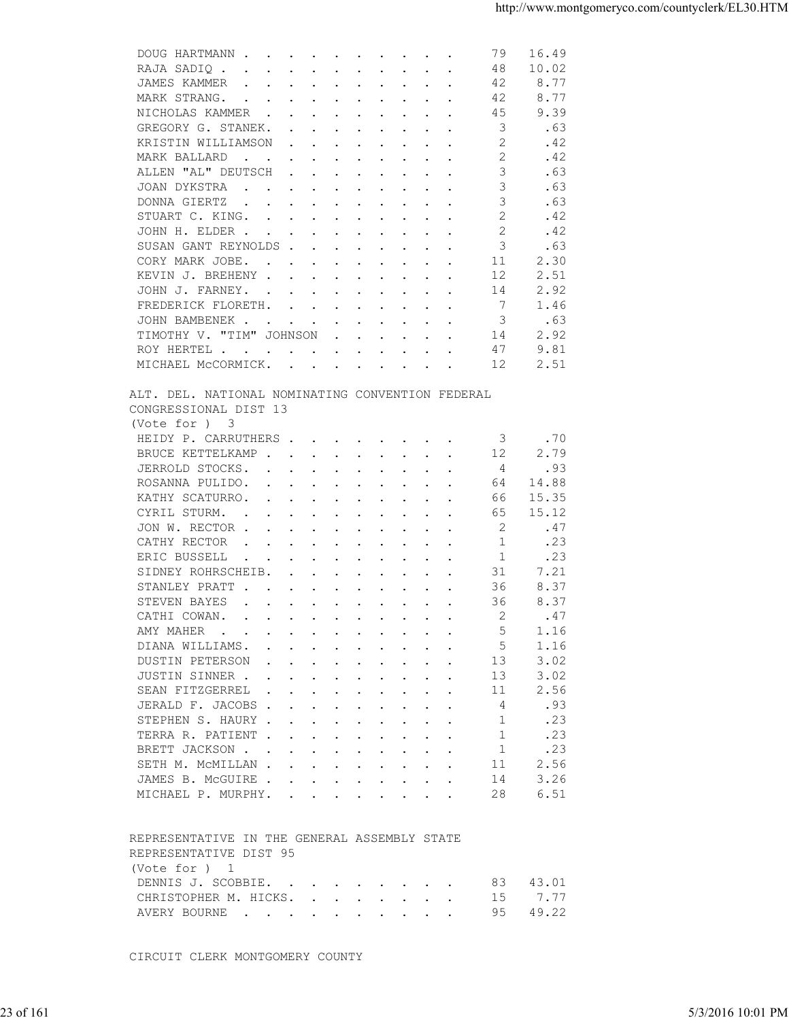| 10.02<br>RAJA SADIQ<br>48<br>JAMES KAMMER<br>8.77<br>42<br>42<br>8.77<br>MARK STRANG.<br>. The contract of the contract of the contract of the contract of the contract of the contract of the contract of the contract of the contract of the contract of the contract of the contract of the contract of the contrac<br>45<br>9.39<br>NICHOLAS KAMMER<br>3<br>GREGORY G. STANEK.<br>.63<br>$\mathfrak{D}$<br>KRISTIN WILLIAMSON<br>.42<br>$\overline{2}$<br>.42<br>MARK BALLARD<br>$\mathbf{r}$ , and $\mathbf{r}$ , and $\mathbf{r}$ , and $\mathbf{r}$ , and $\mathbf{r}$<br>3<br>ALLEN "AL" DEUTSCH<br>.63<br>$\mathbf{r}$ , $\mathbf{r}$ , $\mathbf{r}$ , $\mathbf{r}$ , $\mathbf{r}$ , $\mathbf{r}$ , $\mathbf{r}$<br>3<br>.63<br>JOAN DYKSTRA<br>the contract of the contract of the contract of the contract of the contract of the contract of the contract of<br>3<br>.63<br>DONNA GIERTZ<br>2<br>.42<br>STUART C. KING.<br>.42<br>JOHN H. ELDER<br>2<br>3<br>SUSAN GANT REYNOLDS<br>.63<br>2.30<br>CORY MARK JOBE.<br>11<br>KEVIN J. BREHENY<br>12<br>2.51<br>2.92<br>JOHN J. FARNEY.<br>14<br>7<br>FREDERICK FLORETH.<br>1.46<br>3<br>JOHN BAMBENEK<br>.63<br>TIMOTHY V. "TIM" JOHNSON<br>2.92<br>14<br>9.81<br>47<br>ROY HERTEL<br>2.51<br>MICHAEL MCCORMICK.<br>12<br>ALT. DEL. NATIONAL NOMINATING CONVENTION FEDERAL<br>CONGRESSIONAL DIST 13<br>(Vote for ) 3<br>HEIDY P. CARRUTHERS<br>.70<br>3<br>12<br>2.79<br>BRUCE KETTELKAMP<br>JERROLD STOCKS.<br>4<br>.93<br>ROSANNA PULIDO.<br>14.88<br>64<br>15.35<br>KATHY SCATURRO.<br>66<br>CYRIL STURM.<br>15.12<br>65<br>2<br>JON W. RECTOR<br>.47<br>1<br>.23<br>CATHY RECTOR<br>$\mathbf{r}$ , and $\mathbf{r}$ , and $\mathbf{r}$ , and $\mathbf{r}$ , and $\mathbf{r}$<br>ERIC BUSSELL<br>.23<br>-1<br>$\mathbf{a}$ and $\mathbf{a}$ are a set of the set of the set of the set of the set of the set of the set of the set of the set of the set of the set of the set of the set of the set of the set of the set of the set of the set of<br>7.21<br>SIDNEY ROHRSCHEIB.<br>31<br>8.37<br>STANLEY PRATT<br>36<br>$\mathbf{r}$ , and $\mathbf{r}$ , and $\mathbf{r}$ , and $\mathbf{r}$ , and $\mathbf{r}$<br>36<br>8.37<br>STEVEN BAYES<br>2<br>.47<br>CATHI COWAN.<br>AMY MAHER<br>5<br>1.16<br>DIANA WILLIAMS.<br>5<br>1.16<br>DUSTIN PETERSON<br>3.02<br>13<br>JUSTIN SINNER<br>3.02<br>13<br>2.56<br>SEAN FITZGERREL<br>11<br>JERALD F. JACOBS<br>.93<br>4<br>.23<br>STEPHEN S. HAURY<br>1<br>.23<br>TERRA R. PATIENT<br>1<br>.23<br>BRETT JACKSON<br>1<br>2.56<br>SETH M. MCMILLAN<br>11<br>3.26<br>JAMES B. MCGUIRE<br>14<br>28<br>6.51<br>MICHAEL P. MURPHY.<br>REPRESENTATIVE IN THE GENERAL ASSEMBLY STATE<br>REPRESENTATIVE DIST 95<br>(Vote for ) 1<br>DENNIS J. SCOBBIE.<br>83<br>43.01<br>7.77<br>CHRISTOPHER M. HICKS.<br>15<br>49.22<br>95<br>AVERY BOURNE<br>CIRCUIT CLERK MONTGOMERY COUNTY<br>23 of 161 |  | DOUG HARTMANN<br>79<br>16.49 |                   |
|--------------------------------------------------------------------------------------------------------------------------------------------------------------------------------------------------------------------------------------------------------------------------------------------------------------------------------------------------------------------------------------------------------------------------------------------------------------------------------------------------------------------------------------------------------------------------------------------------------------------------------------------------------------------------------------------------------------------------------------------------------------------------------------------------------------------------------------------------------------------------------------------------------------------------------------------------------------------------------------------------------------------------------------------------------------------------------------------------------------------------------------------------------------------------------------------------------------------------------------------------------------------------------------------------------------------------------------------------------------------------------------------------------------------------------------------------------------------------------------------------------------------------------------------------------------------------------------------------------------------------------------------------------------------------------------------------------------------------------------------------------------------------------------------------------------------------------------------------------------------------------------------------------------------------------------------------------------------------------------------------------------------------------------------------------------------------------------------------------------------------------------------------------------------------------------------------------------------------------------------------------------------------------------------------------------------------------------------------------------------------------------------------------------------------------------------------------------------------------------------------------------------------------------------------------------------------------------------------------------------------------------------------------------------------------------------------------------------------------------------------------------------------------------------------------------------------------------------------------------------------------------------------|--|------------------------------|-------------------|
|                                                                                                                                                                                                                                                                                                                                                                                                                                                                                                                                                                                                                                                                                                                                                                                                                                                                                                                                                                                                                                                                                                                                                                                                                                                                                                                                                                                                                                                                                                                                                                                                                                                                                                                                                                                                                                                                                                                                                                                                                                                                                                                                                                                                                                                                                                                                                                                                                                                                                                                                                                                                                                                                                                                                                                                                                                                                                                  |  |                              |                   |
|                                                                                                                                                                                                                                                                                                                                                                                                                                                                                                                                                                                                                                                                                                                                                                                                                                                                                                                                                                                                                                                                                                                                                                                                                                                                                                                                                                                                                                                                                                                                                                                                                                                                                                                                                                                                                                                                                                                                                                                                                                                                                                                                                                                                                                                                                                                                                                                                                                                                                                                                                                                                                                                                                                                                                                                                                                                                                                  |  |                              |                   |
|                                                                                                                                                                                                                                                                                                                                                                                                                                                                                                                                                                                                                                                                                                                                                                                                                                                                                                                                                                                                                                                                                                                                                                                                                                                                                                                                                                                                                                                                                                                                                                                                                                                                                                                                                                                                                                                                                                                                                                                                                                                                                                                                                                                                                                                                                                                                                                                                                                                                                                                                                                                                                                                                                                                                                                                                                                                                                                  |  |                              |                   |
|                                                                                                                                                                                                                                                                                                                                                                                                                                                                                                                                                                                                                                                                                                                                                                                                                                                                                                                                                                                                                                                                                                                                                                                                                                                                                                                                                                                                                                                                                                                                                                                                                                                                                                                                                                                                                                                                                                                                                                                                                                                                                                                                                                                                                                                                                                                                                                                                                                                                                                                                                                                                                                                                                                                                                                                                                                                                                                  |  |                              |                   |
|                                                                                                                                                                                                                                                                                                                                                                                                                                                                                                                                                                                                                                                                                                                                                                                                                                                                                                                                                                                                                                                                                                                                                                                                                                                                                                                                                                                                                                                                                                                                                                                                                                                                                                                                                                                                                                                                                                                                                                                                                                                                                                                                                                                                                                                                                                                                                                                                                                                                                                                                                                                                                                                                                                                                                                                                                                                                                                  |  |                              |                   |
|                                                                                                                                                                                                                                                                                                                                                                                                                                                                                                                                                                                                                                                                                                                                                                                                                                                                                                                                                                                                                                                                                                                                                                                                                                                                                                                                                                                                                                                                                                                                                                                                                                                                                                                                                                                                                                                                                                                                                                                                                                                                                                                                                                                                                                                                                                                                                                                                                                                                                                                                                                                                                                                                                                                                                                                                                                                                                                  |  |                              |                   |
|                                                                                                                                                                                                                                                                                                                                                                                                                                                                                                                                                                                                                                                                                                                                                                                                                                                                                                                                                                                                                                                                                                                                                                                                                                                                                                                                                                                                                                                                                                                                                                                                                                                                                                                                                                                                                                                                                                                                                                                                                                                                                                                                                                                                                                                                                                                                                                                                                                                                                                                                                                                                                                                                                                                                                                                                                                                                                                  |  |                              |                   |
|                                                                                                                                                                                                                                                                                                                                                                                                                                                                                                                                                                                                                                                                                                                                                                                                                                                                                                                                                                                                                                                                                                                                                                                                                                                                                                                                                                                                                                                                                                                                                                                                                                                                                                                                                                                                                                                                                                                                                                                                                                                                                                                                                                                                                                                                                                                                                                                                                                                                                                                                                                                                                                                                                                                                                                                                                                                                                                  |  |                              |                   |
|                                                                                                                                                                                                                                                                                                                                                                                                                                                                                                                                                                                                                                                                                                                                                                                                                                                                                                                                                                                                                                                                                                                                                                                                                                                                                                                                                                                                                                                                                                                                                                                                                                                                                                                                                                                                                                                                                                                                                                                                                                                                                                                                                                                                                                                                                                                                                                                                                                                                                                                                                                                                                                                                                                                                                                                                                                                                                                  |  |                              |                   |
|                                                                                                                                                                                                                                                                                                                                                                                                                                                                                                                                                                                                                                                                                                                                                                                                                                                                                                                                                                                                                                                                                                                                                                                                                                                                                                                                                                                                                                                                                                                                                                                                                                                                                                                                                                                                                                                                                                                                                                                                                                                                                                                                                                                                                                                                                                                                                                                                                                                                                                                                                                                                                                                                                                                                                                                                                                                                                                  |  |                              |                   |
|                                                                                                                                                                                                                                                                                                                                                                                                                                                                                                                                                                                                                                                                                                                                                                                                                                                                                                                                                                                                                                                                                                                                                                                                                                                                                                                                                                                                                                                                                                                                                                                                                                                                                                                                                                                                                                                                                                                                                                                                                                                                                                                                                                                                                                                                                                                                                                                                                                                                                                                                                                                                                                                                                                                                                                                                                                                                                                  |  |                              |                   |
|                                                                                                                                                                                                                                                                                                                                                                                                                                                                                                                                                                                                                                                                                                                                                                                                                                                                                                                                                                                                                                                                                                                                                                                                                                                                                                                                                                                                                                                                                                                                                                                                                                                                                                                                                                                                                                                                                                                                                                                                                                                                                                                                                                                                                                                                                                                                                                                                                                                                                                                                                                                                                                                                                                                                                                                                                                                                                                  |  |                              |                   |
|                                                                                                                                                                                                                                                                                                                                                                                                                                                                                                                                                                                                                                                                                                                                                                                                                                                                                                                                                                                                                                                                                                                                                                                                                                                                                                                                                                                                                                                                                                                                                                                                                                                                                                                                                                                                                                                                                                                                                                                                                                                                                                                                                                                                                                                                                                                                                                                                                                                                                                                                                                                                                                                                                                                                                                                                                                                                                                  |  |                              |                   |
|                                                                                                                                                                                                                                                                                                                                                                                                                                                                                                                                                                                                                                                                                                                                                                                                                                                                                                                                                                                                                                                                                                                                                                                                                                                                                                                                                                                                                                                                                                                                                                                                                                                                                                                                                                                                                                                                                                                                                                                                                                                                                                                                                                                                                                                                                                                                                                                                                                                                                                                                                                                                                                                                                                                                                                                                                                                                                                  |  |                              |                   |
|                                                                                                                                                                                                                                                                                                                                                                                                                                                                                                                                                                                                                                                                                                                                                                                                                                                                                                                                                                                                                                                                                                                                                                                                                                                                                                                                                                                                                                                                                                                                                                                                                                                                                                                                                                                                                                                                                                                                                                                                                                                                                                                                                                                                                                                                                                                                                                                                                                                                                                                                                                                                                                                                                                                                                                                                                                                                                                  |  |                              |                   |
|                                                                                                                                                                                                                                                                                                                                                                                                                                                                                                                                                                                                                                                                                                                                                                                                                                                                                                                                                                                                                                                                                                                                                                                                                                                                                                                                                                                                                                                                                                                                                                                                                                                                                                                                                                                                                                                                                                                                                                                                                                                                                                                                                                                                                                                                                                                                                                                                                                                                                                                                                                                                                                                                                                                                                                                                                                                                                                  |  |                              |                   |
|                                                                                                                                                                                                                                                                                                                                                                                                                                                                                                                                                                                                                                                                                                                                                                                                                                                                                                                                                                                                                                                                                                                                                                                                                                                                                                                                                                                                                                                                                                                                                                                                                                                                                                                                                                                                                                                                                                                                                                                                                                                                                                                                                                                                                                                                                                                                                                                                                                                                                                                                                                                                                                                                                                                                                                                                                                                                                                  |  |                              |                   |
|                                                                                                                                                                                                                                                                                                                                                                                                                                                                                                                                                                                                                                                                                                                                                                                                                                                                                                                                                                                                                                                                                                                                                                                                                                                                                                                                                                                                                                                                                                                                                                                                                                                                                                                                                                                                                                                                                                                                                                                                                                                                                                                                                                                                                                                                                                                                                                                                                                                                                                                                                                                                                                                                                                                                                                                                                                                                                                  |  |                              |                   |
|                                                                                                                                                                                                                                                                                                                                                                                                                                                                                                                                                                                                                                                                                                                                                                                                                                                                                                                                                                                                                                                                                                                                                                                                                                                                                                                                                                                                                                                                                                                                                                                                                                                                                                                                                                                                                                                                                                                                                                                                                                                                                                                                                                                                                                                                                                                                                                                                                                                                                                                                                                                                                                                                                                                                                                                                                                                                                                  |  |                              |                   |
|                                                                                                                                                                                                                                                                                                                                                                                                                                                                                                                                                                                                                                                                                                                                                                                                                                                                                                                                                                                                                                                                                                                                                                                                                                                                                                                                                                                                                                                                                                                                                                                                                                                                                                                                                                                                                                                                                                                                                                                                                                                                                                                                                                                                                                                                                                                                                                                                                                                                                                                                                                                                                                                                                                                                                                                                                                                                                                  |  |                              |                   |
|                                                                                                                                                                                                                                                                                                                                                                                                                                                                                                                                                                                                                                                                                                                                                                                                                                                                                                                                                                                                                                                                                                                                                                                                                                                                                                                                                                                                                                                                                                                                                                                                                                                                                                                                                                                                                                                                                                                                                                                                                                                                                                                                                                                                                                                                                                                                                                                                                                                                                                                                                                                                                                                                                                                                                                                                                                                                                                  |  |                              |                   |
|                                                                                                                                                                                                                                                                                                                                                                                                                                                                                                                                                                                                                                                                                                                                                                                                                                                                                                                                                                                                                                                                                                                                                                                                                                                                                                                                                                                                                                                                                                                                                                                                                                                                                                                                                                                                                                                                                                                                                                                                                                                                                                                                                                                                                                                                                                                                                                                                                                                                                                                                                                                                                                                                                                                                                                                                                                                                                                  |  |                              |                   |
|                                                                                                                                                                                                                                                                                                                                                                                                                                                                                                                                                                                                                                                                                                                                                                                                                                                                                                                                                                                                                                                                                                                                                                                                                                                                                                                                                                                                                                                                                                                                                                                                                                                                                                                                                                                                                                                                                                                                                                                                                                                                                                                                                                                                                                                                                                                                                                                                                                                                                                                                                                                                                                                                                                                                                                                                                                                                                                  |  |                              |                   |
|                                                                                                                                                                                                                                                                                                                                                                                                                                                                                                                                                                                                                                                                                                                                                                                                                                                                                                                                                                                                                                                                                                                                                                                                                                                                                                                                                                                                                                                                                                                                                                                                                                                                                                                                                                                                                                                                                                                                                                                                                                                                                                                                                                                                                                                                                                                                                                                                                                                                                                                                                                                                                                                                                                                                                                                                                                                                                                  |  |                              |                   |
|                                                                                                                                                                                                                                                                                                                                                                                                                                                                                                                                                                                                                                                                                                                                                                                                                                                                                                                                                                                                                                                                                                                                                                                                                                                                                                                                                                                                                                                                                                                                                                                                                                                                                                                                                                                                                                                                                                                                                                                                                                                                                                                                                                                                                                                                                                                                                                                                                                                                                                                                                                                                                                                                                                                                                                                                                                                                                                  |  |                              |                   |
|                                                                                                                                                                                                                                                                                                                                                                                                                                                                                                                                                                                                                                                                                                                                                                                                                                                                                                                                                                                                                                                                                                                                                                                                                                                                                                                                                                                                                                                                                                                                                                                                                                                                                                                                                                                                                                                                                                                                                                                                                                                                                                                                                                                                                                                                                                                                                                                                                                                                                                                                                                                                                                                                                                                                                                                                                                                                                                  |  |                              |                   |
|                                                                                                                                                                                                                                                                                                                                                                                                                                                                                                                                                                                                                                                                                                                                                                                                                                                                                                                                                                                                                                                                                                                                                                                                                                                                                                                                                                                                                                                                                                                                                                                                                                                                                                                                                                                                                                                                                                                                                                                                                                                                                                                                                                                                                                                                                                                                                                                                                                                                                                                                                                                                                                                                                                                                                                                                                                                                                                  |  |                              |                   |
|                                                                                                                                                                                                                                                                                                                                                                                                                                                                                                                                                                                                                                                                                                                                                                                                                                                                                                                                                                                                                                                                                                                                                                                                                                                                                                                                                                                                                                                                                                                                                                                                                                                                                                                                                                                                                                                                                                                                                                                                                                                                                                                                                                                                                                                                                                                                                                                                                                                                                                                                                                                                                                                                                                                                                                                                                                                                                                  |  |                              |                   |
|                                                                                                                                                                                                                                                                                                                                                                                                                                                                                                                                                                                                                                                                                                                                                                                                                                                                                                                                                                                                                                                                                                                                                                                                                                                                                                                                                                                                                                                                                                                                                                                                                                                                                                                                                                                                                                                                                                                                                                                                                                                                                                                                                                                                                                                                                                                                                                                                                                                                                                                                                                                                                                                                                                                                                                                                                                                                                                  |  |                              |                   |
|                                                                                                                                                                                                                                                                                                                                                                                                                                                                                                                                                                                                                                                                                                                                                                                                                                                                                                                                                                                                                                                                                                                                                                                                                                                                                                                                                                                                                                                                                                                                                                                                                                                                                                                                                                                                                                                                                                                                                                                                                                                                                                                                                                                                                                                                                                                                                                                                                                                                                                                                                                                                                                                                                                                                                                                                                                                                                                  |  |                              |                   |
|                                                                                                                                                                                                                                                                                                                                                                                                                                                                                                                                                                                                                                                                                                                                                                                                                                                                                                                                                                                                                                                                                                                                                                                                                                                                                                                                                                                                                                                                                                                                                                                                                                                                                                                                                                                                                                                                                                                                                                                                                                                                                                                                                                                                                                                                                                                                                                                                                                                                                                                                                                                                                                                                                                                                                                                                                                                                                                  |  |                              |                   |
|                                                                                                                                                                                                                                                                                                                                                                                                                                                                                                                                                                                                                                                                                                                                                                                                                                                                                                                                                                                                                                                                                                                                                                                                                                                                                                                                                                                                                                                                                                                                                                                                                                                                                                                                                                                                                                                                                                                                                                                                                                                                                                                                                                                                                                                                                                                                                                                                                                                                                                                                                                                                                                                                                                                                                                                                                                                                                                  |  |                              |                   |
|                                                                                                                                                                                                                                                                                                                                                                                                                                                                                                                                                                                                                                                                                                                                                                                                                                                                                                                                                                                                                                                                                                                                                                                                                                                                                                                                                                                                                                                                                                                                                                                                                                                                                                                                                                                                                                                                                                                                                                                                                                                                                                                                                                                                                                                                                                                                                                                                                                                                                                                                                                                                                                                                                                                                                                                                                                                                                                  |  |                              |                   |
|                                                                                                                                                                                                                                                                                                                                                                                                                                                                                                                                                                                                                                                                                                                                                                                                                                                                                                                                                                                                                                                                                                                                                                                                                                                                                                                                                                                                                                                                                                                                                                                                                                                                                                                                                                                                                                                                                                                                                                                                                                                                                                                                                                                                                                                                                                                                                                                                                                                                                                                                                                                                                                                                                                                                                                                                                                                                                                  |  |                              |                   |
|                                                                                                                                                                                                                                                                                                                                                                                                                                                                                                                                                                                                                                                                                                                                                                                                                                                                                                                                                                                                                                                                                                                                                                                                                                                                                                                                                                                                                                                                                                                                                                                                                                                                                                                                                                                                                                                                                                                                                                                                                                                                                                                                                                                                                                                                                                                                                                                                                                                                                                                                                                                                                                                                                                                                                                                                                                                                                                  |  |                              |                   |
|                                                                                                                                                                                                                                                                                                                                                                                                                                                                                                                                                                                                                                                                                                                                                                                                                                                                                                                                                                                                                                                                                                                                                                                                                                                                                                                                                                                                                                                                                                                                                                                                                                                                                                                                                                                                                                                                                                                                                                                                                                                                                                                                                                                                                                                                                                                                                                                                                                                                                                                                                                                                                                                                                                                                                                                                                                                                                                  |  |                              |                   |
|                                                                                                                                                                                                                                                                                                                                                                                                                                                                                                                                                                                                                                                                                                                                                                                                                                                                                                                                                                                                                                                                                                                                                                                                                                                                                                                                                                                                                                                                                                                                                                                                                                                                                                                                                                                                                                                                                                                                                                                                                                                                                                                                                                                                                                                                                                                                                                                                                                                                                                                                                                                                                                                                                                                                                                                                                                                                                                  |  |                              |                   |
|                                                                                                                                                                                                                                                                                                                                                                                                                                                                                                                                                                                                                                                                                                                                                                                                                                                                                                                                                                                                                                                                                                                                                                                                                                                                                                                                                                                                                                                                                                                                                                                                                                                                                                                                                                                                                                                                                                                                                                                                                                                                                                                                                                                                                                                                                                                                                                                                                                                                                                                                                                                                                                                                                                                                                                                                                                                                                                  |  |                              |                   |
|                                                                                                                                                                                                                                                                                                                                                                                                                                                                                                                                                                                                                                                                                                                                                                                                                                                                                                                                                                                                                                                                                                                                                                                                                                                                                                                                                                                                                                                                                                                                                                                                                                                                                                                                                                                                                                                                                                                                                                                                                                                                                                                                                                                                                                                                                                                                                                                                                                                                                                                                                                                                                                                                                                                                                                                                                                                                                                  |  |                              |                   |
|                                                                                                                                                                                                                                                                                                                                                                                                                                                                                                                                                                                                                                                                                                                                                                                                                                                                                                                                                                                                                                                                                                                                                                                                                                                                                                                                                                                                                                                                                                                                                                                                                                                                                                                                                                                                                                                                                                                                                                                                                                                                                                                                                                                                                                                                                                                                                                                                                                                                                                                                                                                                                                                                                                                                                                                                                                                                                                  |  |                              |                   |
|                                                                                                                                                                                                                                                                                                                                                                                                                                                                                                                                                                                                                                                                                                                                                                                                                                                                                                                                                                                                                                                                                                                                                                                                                                                                                                                                                                                                                                                                                                                                                                                                                                                                                                                                                                                                                                                                                                                                                                                                                                                                                                                                                                                                                                                                                                                                                                                                                                                                                                                                                                                                                                                                                                                                                                                                                                                                                                  |  |                              |                   |
|                                                                                                                                                                                                                                                                                                                                                                                                                                                                                                                                                                                                                                                                                                                                                                                                                                                                                                                                                                                                                                                                                                                                                                                                                                                                                                                                                                                                                                                                                                                                                                                                                                                                                                                                                                                                                                                                                                                                                                                                                                                                                                                                                                                                                                                                                                                                                                                                                                                                                                                                                                                                                                                                                                                                                                                                                                                                                                  |  |                              |                   |
|                                                                                                                                                                                                                                                                                                                                                                                                                                                                                                                                                                                                                                                                                                                                                                                                                                                                                                                                                                                                                                                                                                                                                                                                                                                                                                                                                                                                                                                                                                                                                                                                                                                                                                                                                                                                                                                                                                                                                                                                                                                                                                                                                                                                                                                                                                                                                                                                                                                                                                                                                                                                                                                                                                                                                                                                                                                                                                  |  |                              |                   |
|                                                                                                                                                                                                                                                                                                                                                                                                                                                                                                                                                                                                                                                                                                                                                                                                                                                                                                                                                                                                                                                                                                                                                                                                                                                                                                                                                                                                                                                                                                                                                                                                                                                                                                                                                                                                                                                                                                                                                                                                                                                                                                                                                                                                                                                                                                                                                                                                                                                                                                                                                                                                                                                                                                                                                                                                                                                                                                  |  |                              |                   |
|                                                                                                                                                                                                                                                                                                                                                                                                                                                                                                                                                                                                                                                                                                                                                                                                                                                                                                                                                                                                                                                                                                                                                                                                                                                                                                                                                                                                                                                                                                                                                                                                                                                                                                                                                                                                                                                                                                                                                                                                                                                                                                                                                                                                                                                                                                                                                                                                                                                                                                                                                                                                                                                                                                                                                                                                                                                                                                  |  |                              |                   |
|                                                                                                                                                                                                                                                                                                                                                                                                                                                                                                                                                                                                                                                                                                                                                                                                                                                                                                                                                                                                                                                                                                                                                                                                                                                                                                                                                                                                                                                                                                                                                                                                                                                                                                                                                                                                                                                                                                                                                                                                                                                                                                                                                                                                                                                                                                                                                                                                                                                                                                                                                                                                                                                                                                                                                                                                                                                                                                  |  |                              |                   |
|                                                                                                                                                                                                                                                                                                                                                                                                                                                                                                                                                                                                                                                                                                                                                                                                                                                                                                                                                                                                                                                                                                                                                                                                                                                                                                                                                                                                                                                                                                                                                                                                                                                                                                                                                                                                                                                                                                                                                                                                                                                                                                                                                                                                                                                                                                                                                                                                                                                                                                                                                                                                                                                                                                                                                                                                                                                                                                  |  |                              |                   |
|                                                                                                                                                                                                                                                                                                                                                                                                                                                                                                                                                                                                                                                                                                                                                                                                                                                                                                                                                                                                                                                                                                                                                                                                                                                                                                                                                                                                                                                                                                                                                                                                                                                                                                                                                                                                                                                                                                                                                                                                                                                                                                                                                                                                                                                                                                                                                                                                                                                                                                                                                                                                                                                                                                                                                                                                                                                                                                  |  |                              |                   |
|                                                                                                                                                                                                                                                                                                                                                                                                                                                                                                                                                                                                                                                                                                                                                                                                                                                                                                                                                                                                                                                                                                                                                                                                                                                                                                                                                                                                                                                                                                                                                                                                                                                                                                                                                                                                                                                                                                                                                                                                                                                                                                                                                                                                                                                                                                                                                                                                                                                                                                                                                                                                                                                                                                                                                                                                                                                                                                  |  |                              |                   |
|                                                                                                                                                                                                                                                                                                                                                                                                                                                                                                                                                                                                                                                                                                                                                                                                                                                                                                                                                                                                                                                                                                                                                                                                                                                                                                                                                                                                                                                                                                                                                                                                                                                                                                                                                                                                                                                                                                                                                                                                                                                                                                                                                                                                                                                                                                                                                                                                                                                                                                                                                                                                                                                                                                                                                                                                                                                                                                  |  |                              |                   |
|                                                                                                                                                                                                                                                                                                                                                                                                                                                                                                                                                                                                                                                                                                                                                                                                                                                                                                                                                                                                                                                                                                                                                                                                                                                                                                                                                                                                                                                                                                                                                                                                                                                                                                                                                                                                                                                                                                                                                                                                                                                                                                                                                                                                                                                                                                                                                                                                                                                                                                                                                                                                                                                                                                                                                                                                                                                                                                  |  |                              |                   |
|                                                                                                                                                                                                                                                                                                                                                                                                                                                                                                                                                                                                                                                                                                                                                                                                                                                                                                                                                                                                                                                                                                                                                                                                                                                                                                                                                                                                                                                                                                                                                                                                                                                                                                                                                                                                                                                                                                                                                                                                                                                                                                                                                                                                                                                                                                                                                                                                                                                                                                                                                                                                                                                                                                                                                                                                                                                                                                  |  |                              |                   |
|                                                                                                                                                                                                                                                                                                                                                                                                                                                                                                                                                                                                                                                                                                                                                                                                                                                                                                                                                                                                                                                                                                                                                                                                                                                                                                                                                                                                                                                                                                                                                                                                                                                                                                                                                                                                                                                                                                                                                                                                                                                                                                                                                                                                                                                                                                                                                                                                                                                                                                                                                                                                                                                                                                                                                                                                                                                                                                  |  |                              |                   |
|                                                                                                                                                                                                                                                                                                                                                                                                                                                                                                                                                                                                                                                                                                                                                                                                                                                                                                                                                                                                                                                                                                                                                                                                                                                                                                                                                                                                                                                                                                                                                                                                                                                                                                                                                                                                                                                                                                                                                                                                                                                                                                                                                                                                                                                                                                                                                                                                                                                                                                                                                                                                                                                                                                                                                                                                                                                                                                  |  |                              |                   |
|                                                                                                                                                                                                                                                                                                                                                                                                                                                                                                                                                                                                                                                                                                                                                                                                                                                                                                                                                                                                                                                                                                                                                                                                                                                                                                                                                                                                                                                                                                                                                                                                                                                                                                                                                                                                                                                                                                                                                                                                                                                                                                                                                                                                                                                                                                                                                                                                                                                                                                                                                                                                                                                                                                                                                                                                                                                                                                  |  |                              |                   |
|                                                                                                                                                                                                                                                                                                                                                                                                                                                                                                                                                                                                                                                                                                                                                                                                                                                                                                                                                                                                                                                                                                                                                                                                                                                                                                                                                                                                                                                                                                                                                                                                                                                                                                                                                                                                                                                                                                                                                                                                                                                                                                                                                                                                                                                                                                                                                                                                                                                                                                                                                                                                                                                                                                                                                                                                                                                                                                  |  |                              |                   |
|                                                                                                                                                                                                                                                                                                                                                                                                                                                                                                                                                                                                                                                                                                                                                                                                                                                                                                                                                                                                                                                                                                                                                                                                                                                                                                                                                                                                                                                                                                                                                                                                                                                                                                                                                                                                                                                                                                                                                                                                                                                                                                                                                                                                                                                                                                                                                                                                                                                                                                                                                                                                                                                                                                                                                                                                                                                                                                  |  |                              | 5/3/2016 10:01 PM |

## REPRESENTATIVE IN THE GENERAL ASSEMBLY STATE REPRESENTATIVE DIST 95

| (Vote for ) 1                 |  |  |  |  |  |
|-------------------------------|--|--|--|--|--|
| DENNIS J. SCOBBIE. 83 43.01   |  |  |  |  |  |
| CHRISTOPHER M. HICKS. 15 7.77 |  |  |  |  |  |
| AVERY BOURNE 95 49.22         |  |  |  |  |  |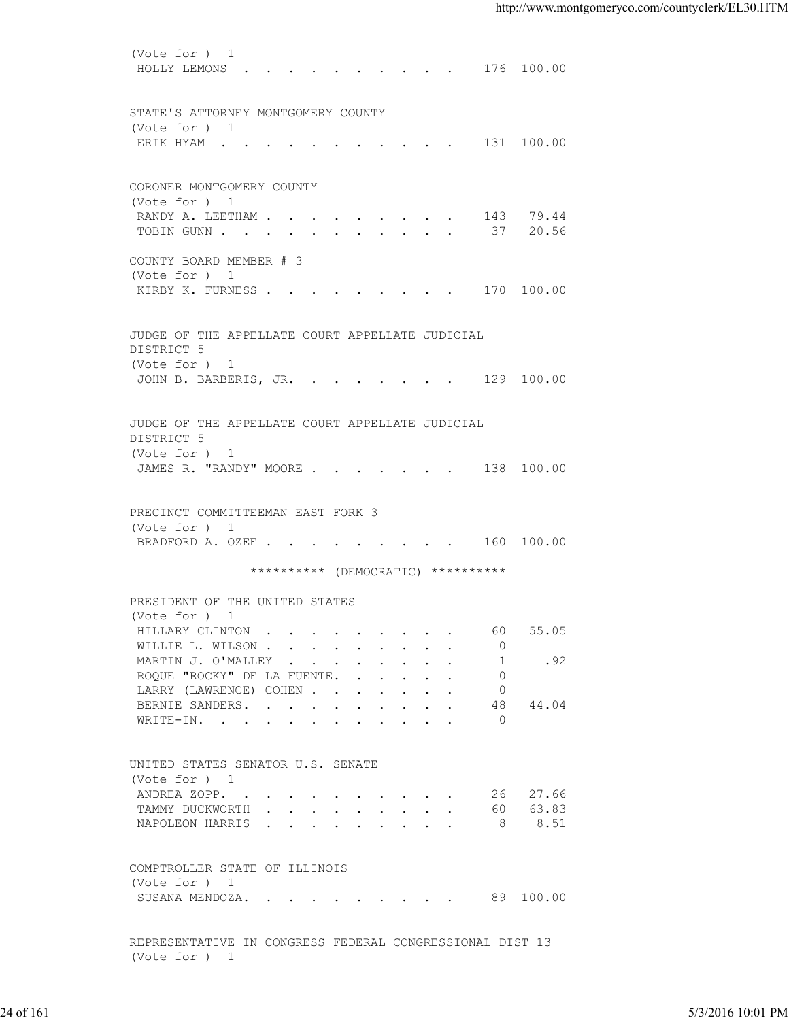(Vote for ) 1 HOLLY LEMONS . . . . . . . . . . 176 100.00 STATE'S ATTORNEY MONTGOMERY COUNTY (Vote for ) 1 ERIK HYAM . . . . . . . . . . . 131 100.00 CORONER MONTGOMERY COUNTY (Vote for ) 1 RANDY A. LEETHAM . . . . . . . . . . 143 79.44 TOBIN GUNN . . . . . . . . . . . . 37 20.56 COUNTY BOARD MEMBER # 3 (Vote for ) 1 KIRBY K. FURNESS . . . . . . . . . . 170 100.00 JUDGE OF THE APPELLATE COURT APPELLATE JUDICIAL DISTRICT 5 (Vote for ) 1 JOHN B. BARBERIS, JR. . . . . . . . 129 100.00 JUDGE OF THE APPELLATE COURT APPELLATE JUDICIAL DISTRICT 5 (Vote for ) 1 JAMES R. "RANDY" MOORE . . . . . . . 138 100.00 PRECINCT COMMITTEEMAN EAST FORK 3 (Vote for ) 1<br>BRADFORD A. OZEE . . . . . . . . . . 160 100.00 BRADFORD A. OZEE . . . . . . . . . \*\*\*\*\*\*\*\*\*\* (DEMOCRATIC) \*\*\*\*\*\*\*\*\*\* PRESIDENT OF THE UNITED STATES (Vote for ) 1 HILLARY CLINTON . . . . . . . . . . 60 55.05<br>WILLIE L. WILSON . . . . . . . . . 0 WILLIE L. WILSON . . . . . . . . . 0<br>MARTIN J. O'MALLEY . . . . . . . . 1 .92 MARTIN J. O'MALLEY . . . . . . . . . ROQUE "ROCKY" DE LA FUENTE. . . . . . 0 LARRY (LAWRENCE) COHEN . . . . . . . 0 BERNIE SANDERS. . . . . . . . . . 48 44.04 WRITE-IN. . . . . . . . . . . . 0 UNITED STATES SENATOR U.S. SENATE (Vote for ) 1 ANDREA ZOPP. . . . . . . . . . . 26 27.66<br>TAMMY DUCKWORTH . . . . . . . . . 60 63.83 TAMMY DUCKWORTH . . . . . . . . . . 60 NAPOLEON HARRIS . . . . . . . . . 8 8.51 COMPTROLLER STATE OF ILLINOIS (Vote for ) 1 SUSANA MENDOZA. . . . . . . . . . 89 100.00 REPRESENTATIVE IN CONGRESS FEDERAL CONGRESSIONAL DIST 13 EXAMPLE MARINED COURN<br>
24 of 24 of 24 of 24 of 24 of 24 of 24 of 24 of 24 of 24 of 24 of 24 of 24 of 24 of 24 of 24 of 24 of 24 of 24 of 24 of 25<br>
26 of 24 of 24 of 24 of 24 of 24 of 24 of 24 of 24 of 24 of 24 of 24 of 24

(Vote for ) 1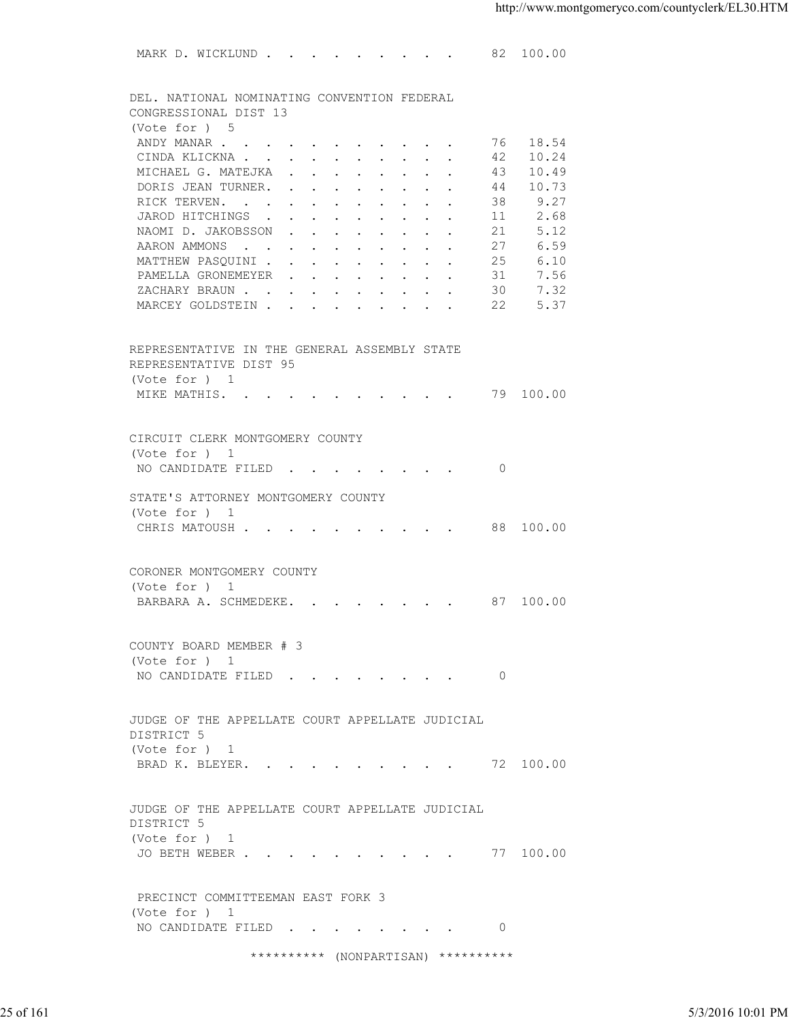MARK D. WICKLUND . . . . . . . . . 82 100.00 DEL. NATIONAL NOMINATING CONVENTION FEDERAL CONGRESSIONAL DIST 13 (Vote for ) 5 ANDY MANAR . . . . . . . . . . . . 76 18.54<br>CINDA KLICKNA . . . . . . . . . . 42 10.24 CINDA KLICKNA . . . . . . . . . . MICHAEL G. MATEJKA . . . . . . . . 43 10.49 DORIS JEAN TURNER. . . . . . . . . 44 10.73 RICK TERVEN. . . . . . . . . . . 38 9.27<br>JAROD HITCHINGS . . . . . . . . . 11 2.68 JAROD HITCHINGS . . . . . . . . . . 11 2.68<br>NAOMI D. JAKOBSSON . . . . . . . . 21 5.12 NAOMI D. JAKOBSSON . . . . . . . . AARON AMMONS . . . . . . . . . . 27 6.59 MATTHEW PASQUINI . . . . . . . . . 25 6.10 PAMELLA GRONEMEYER . . . . . . . . 31 7.56<br>ZACHARY BRAUN . . . . . . . . . . 30 7.32 XACHARY BRAUN . . . . . . . . . . 30 7.32<br>MARCEY GOLDSTEIN . . . . . . . . . 22 5.37 MARCEY GOLDSTEIN . . . . . . REPRESENTATIVE IN THE GENERAL ASSEMBLY STATE REPRESENTATIVE DIST 95 (Vote for ) 1 MIKE MATHIS. . . . . . . . . . . 79 100.00 CIRCUIT CLERK MONTGOMERY COUNTY (Vote for ) 1 NO CANDIDATE FILED . . . . . . . . 0 STATE'S ATTORNEY MONTGOMERY COUNTY (Vote for ) 1 CHRIS MATOUSH . . . . . . . . . . 88 100.00 CORONER MONTGOMERY COUNTY (Vote for ) 1 BARBARA A. SCHMEDEKE. . . . . . . . 87 100.00 COUNTY BOARD MEMBER # 3 (Vote for ) 1 NO CANDIDATE FILED . . . . . . . . 0 JUDGE OF THE APPELLATE COURT APPELLATE JUDICIAL DISTRICT 5 (Vote for ) 1 BRAD K. BLEYER. . . . . . . . . . 72 100.00 JUDGE OF THE APPELLATE COURT APPELLATE JUDICIAL DISTRICT 5 (Vote for ) 1 JO BETH WEBER . . . . . . . . . . 77 100.00 PRECINCT COMMITTEEMAN EAST FORK 3 (Vote for ) 1 NO CANDIDATE FILED . . . . . . . . 0 NUMBE OF THE APPELLATE COURT APPELLATE JUDICIAL<br>
DISTRICT 5<br>
UNOSE OF THE APPELLATE COURT APPELLATE JUDICIAL<br>
DISTRICT 5<br>
UUDGE OF THE APPELLATE COURT APPELLATE JUDICIAL<br>
DISTRICT 5<br>
(Vote for )<br>
JO BETH WEBER<br>
PRECINCT CO

\*\*\*\*\*\*\*\*\*\* (NONPARTISAN) \*\*\*\*\*\*\*\*\*\*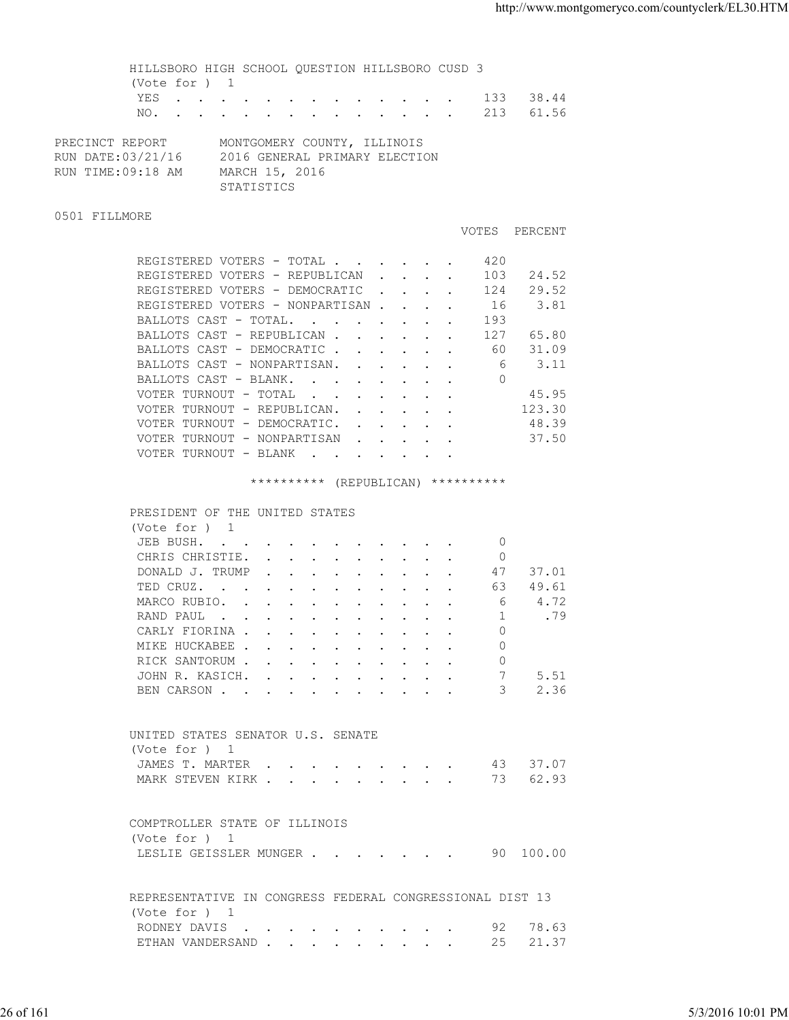HILLSBORO HIGH SCHOOL QUESTION HILLSBORO CUSD 3 (Vote for ) 1 YES . . . . . . . . . . . . . 133 38.44 NO. . . . . . . . . . . . . . 213 61.56 PRECINCT REPORT MONTGOMERY COUNTY, ILLINOIS

| RUN DATE:03/21/16 | 2016 GENERAL PRIMARY ELECTION |
|-------------------|-------------------------------|
| RUN TIME:09:18 AM | MARCH 15, 2016                |
|                   | STATISTICS                    |

## 0501 FILLMORE

|                                                                                         |        |                               |  | <b>VOTES</b> | PERCENT |
|-----------------------------------------------------------------------------------------|--------|-------------------------------|--|--------------|---------|
| REGISTERED VOTERS - TOTAL .                                                             |        |                               |  | 420          |         |
| REGISTERED VOTERS - REPUBLICAN                                                          |        | $\mathbf{r}$ and $\mathbf{r}$ |  | 103          | 24.52   |
| REGISTERED VOTERS - DEMOCRATIC                                                          |        |                               |  | 124          | 29.52   |
| REGISTERED VOTERS - NONPARTISAN.                                                        |        | $\sim$ $\sim$                 |  | 16           | 3.81    |
| BALLOTS CAST - TOTAL.<br><b>Contract Contract</b><br>$\sim$ $\sim$ $\sim$ $\sim$ $\sim$ |        |                               |  | 193          |         |
| BALLOTS CAST - REPUBLICAN.                                                              |        |                               |  | 127          | 65.80   |
| BALLOTS CAST - DEMOCRATIC.                                                              |        |                               |  | 60           | 31.09   |
| BALLOTS CAST - NONPARTISAN.                                                             |        |                               |  | 6            | 3.11    |
| BALLOTS CAST - BLANK.<br>$\sim$ $\sim$ $\sim$ $\sim$                                    |        |                               |  | 0            |         |
| VOTER TURNOUT - TOTAL<br>$\sim$                                                         |        |                               |  |              | 45.95   |
| VOTER TURNOUT - REPUBLICAN.                                                             |        |                               |  |              | 123.30  |
| VOTER TURNOUT - DEMOCRATIC.                                                             |        |                               |  |              | 48.39   |
| VOTER TURNOUT - NONPARTISAN<br>$\sim$                                                   | $\sim$ |                               |  |              | 37.50   |
| VOTER TURNOUT - BLANK                                                                   |        |                               |  |              |         |
|                                                                                         |        |                               |  |              |         |

## \*\*\*\*\*\*\*\*\*\* (REPUBLICAN) \*\*\*\*\*\*\*\*\*\*

| $\cap$ m $\cap$ $\cap$<br>ں نا ہے۔ |
|------------------------------------|
|------------------------------------|

| (Vote for ) 1                                                                                                                |                                                                                                                                                                                                                                   |  |  |  |  |    |       |
|------------------------------------------------------------------------------------------------------------------------------|-----------------------------------------------------------------------------------------------------------------------------------------------------------------------------------------------------------------------------------|--|--|--|--|----|-------|
| JEB BUSH.<br>the contract of the contract of the contract of the contract of the contract of the contract of the contract of |                                                                                                                                                                                                                                   |  |  |  |  | 0  |       |
| CHRIS CHRISTIE.                                                                                                              |                                                                                                                                                                                                                                   |  |  |  |  | 0  |       |
| DONALD J. TRUMP                                                                                                              |                                                                                                                                                                                                                                   |  |  |  |  | 47 | 37.01 |
| TED CRUZ.<br>the contract of the contract of the contract of the contract of the contract of the contract of the contract of |                                                                                                                                                                                                                                   |  |  |  |  | 63 | 49.61 |
| MARCO RUBIO.                                                                                                                 | $\mathbf{r}$ . The contract of the contract of the contract of the contract of the contract of the contract of the contract of the contract of the contract of the contract of the contract of the contract of the contract of th |  |  |  |  | 6  | 4.72  |
| RAND PAUL<br>$\mathbf{r}$ . The set of $\mathbf{r}$                                                                          | $\sim$ $\sim$ $\sim$ $\sim$ $\sim$                                                                                                                                                                                                |  |  |  |  |    | .79   |
| CARLY FIORINA                                                                                                                |                                                                                                                                                                                                                                   |  |  |  |  |    |       |
| MIKE HUCKABEE                                                                                                                |                                                                                                                                                                                                                                   |  |  |  |  |    |       |
| RICK SANTORUM                                                                                                                |                                                                                                                                                                                                                                   |  |  |  |  | 0  |       |
| JOHN R. KASICH.                                                                                                              |                                                                                                                                                                                                                                   |  |  |  |  | 7  | 5.51  |
| BEN CARSON.                                                                                                                  |                                                                                                                                                                                                                                   |  |  |  |  | 3  | 2.36  |
|                                                                                                                              |                                                                                                                                                                                                                                   |  |  |  |  |    |       |

| UNITED STATES SENATOR U.S. SENATE |  |  |  |  |  |  |
|-----------------------------------|--|--|--|--|--|--|
| (Vote for ) 1                     |  |  |  |  |  |  |
|                                   |  |  |  |  |  |  |
| MARK STEVEN KIRK 73 62.93         |  |  |  |  |  |  |

| COMPTROLLER STATE OF ILLINOIS |  |  |  |  |  |           |
|-------------------------------|--|--|--|--|--|-----------|
| (Vote for ) 1                 |  |  |  |  |  |           |
| LESLIE GEISSLER MUNGER        |  |  |  |  |  | 90 100.00 |

| UNITED STATES SENATOR U.S. SENATE<br>(Vote for ) 1<br>JAMES T. MARTER 43 37.07<br>MARK STEVEN KIRK 73 62.93<br>COMPTROLLER STATE OF ILLINOIS<br>(Vote for ) 1<br>LESLIE GEISSLER MUNGER 90 100.00<br>REPRESENTATIVE IN CONGRESS FEDERAL CONGRESSIONAL DIST 13<br>(Vote for ) 1<br>RODNEY DAVIS 92 78.63<br>ETHAN VANDERSAND 25 21.37 |           |                   |
|--------------------------------------------------------------------------------------------------------------------------------------------------------------------------------------------------------------------------------------------------------------------------------------------------------------------------------------|-----------|-------------------|
|                                                                                                                                                                                                                                                                                                                                      |           |                   |
|                                                                                                                                                                                                                                                                                                                                      |           |                   |
|                                                                                                                                                                                                                                                                                                                                      |           |                   |
|                                                                                                                                                                                                                                                                                                                                      |           |                   |
|                                                                                                                                                                                                                                                                                                                                      |           |                   |
|                                                                                                                                                                                                                                                                                                                                      |           |                   |
|                                                                                                                                                                                                                                                                                                                                      |           |                   |
|                                                                                                                                                                                                                                                                                                                                      | 26 of 161 | 5/3/2016 10:01 PM |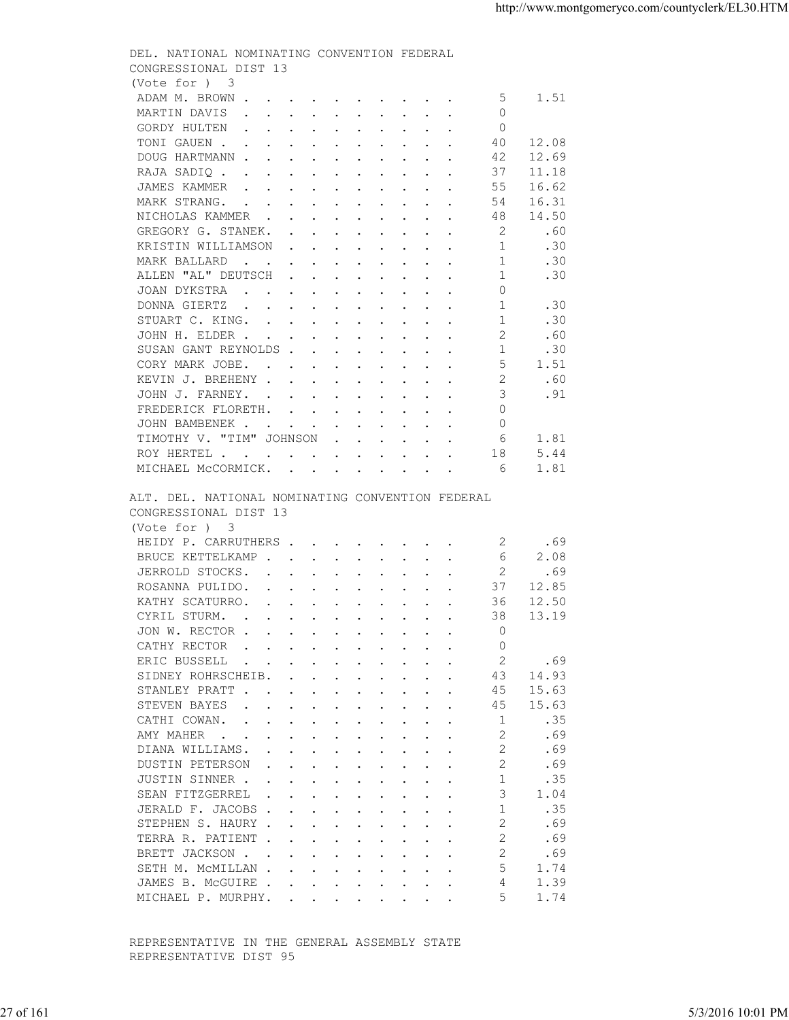| (Vote for ) 3<br>ADAM M. BROWN<br>-5<br>1.51<br>$\Omega$<br>MARTIN DAVIS<br>GORDY HULTEN<br>$\Omega$<br>TONI GAUEN<br>40<br>12.08<br>DOUG HARTMANN<br>12.69<br>42<br>RAJA SADIQ<br>11.18<br>37<br>16.62<br>JAMES KAMMER<br>55<br>MARK STRANG.<br>54<br>16.31<br>NICHOLAS KAMMER<br>48<br>14.50<br>2<br>GREGORY G. STANEK.<br>.60<br>KRISTIN WILLIAMSON<br>-1<br>.30<br>1<br>MARK BALLARD<br>.30<br>ALLEN "AL" DEUTSCH<br>1<br>.30<br>$\Omega$<br>JOAN DYKSTRA<br>DONNA GIERTZ<br>1<br>.30<br>-1<br>.30<br>STUART C. KING.<br>2<br>.60<br>JOHN H. ELDER<br>SUSAN GANT REYNOLDS<br>.30<br>1<br>5<br>CORY MARK JOBE.<br>1.51<br>KEVIN J. BREHENY<br>.60<br>3<br>JOHN J. FARNEY.<br>.91<br>FREDERICK FLORETH.<br>$\Omega$<br>$\Omega$<br>JOHN BAMBENEK<br>TIMOTHY V. "TIM" JOHNSON<br>1.81<br>- 6<br>ROY HERTEL<br>5.44<br>18<br>1.81<br>MICHAEL McCORMICK.<br>- 6<br>ALT. DEL. NATIONAL NOMINATING CONVENTION FEDERAL<br>CONGRESSIONAL DIST 13<br>(Vote for ) 3<br>HEIDY P. CARRUTHERS<br>-2<br>.69<br>BRUCE KETTELKAMP<br>6<br>2.08<br>JERROLD STOCKS.<br>2<br>.69<br>ROSANNA PULIDO.<br>37<br>12.85<br>KATHY SCATURRO.<br>36<br>12.50<br>CYRIL STURM.<br>38<br>13.19<br>JON W. RECTOR<br>$\Omega$<br>$\Omega$<br>CATHY RECTOR<br>2<br>ERIC BUSSELL<br>.69<br>$\mathbf{r}$ . The contract of the contract of the contract of the contract of the contract of the contract of the contract of the contract of the contract of the contract of the contract of the contract of the contract of th<br>SIDNEY ROHRSCHEIB.<br>14.93<br>43<br>15.63<br>STANLEY PRATT<br>45<br>STEVEN BAYES<br>15.63<br>the contract of the contract of the contract of the contract of the contract of the contract of the contract of<br>45<br>CATHI COWAN.<br>.35<br>1<br>AMY MAHER<br>.69<br>$\overline{2}$<br>DIANA WILLIAMS.<br>.69<br>$\mathfrak{D}$<br>DUSTIN PETERSON<br>.69<br>.35<br>JUSTIN SINNER<br>SEAN FITZGERREL<br>3<br>1.04<br>JERALD F. JACOBS<br>$\overline{1}$<br>.35<br>2<br>.69<br>STEPHEN S. HAURY<br>2<br>TERRA R. PATIENT<br>.69<br>BRETT JACKSON<br>2<br>.69<br>SETH M. MCMILLAN<br>5<br>1.74<br>JAMES B. MCGUIRE<br>1.39<br>4<br>1.74<br>MICHAEL P. MURPHY.<br>5<br>REPRESENTATIVE IN THE GENERAL ASSEMBLY STATE<br>REPRESENTATIVE DIST 95 | 5/3/2016 10:01 PM | 27 of 161 |  |
|-----------------------------------------------------------------------------------------------------------------------------------------------------------------------------------------------------------------------------------------------------------------------------------------------------------------------------------------------------------------------------------------------------------------------------------------------------------------------------------------------------------------------------------------------------------------------------------------------------------------------------------------------------------------------------------------------------------------------------------------------------------------------------------------------------------------------------------------------------------------------------------------------------------------------------------------------------------------------------------------------------------------------------------------------------------------------------------------------------------------------------------------------------------------------------------------------------------------------------------------------------------------------------------------------------------------------------------------------------------------------------------------------------------------------------------------------------------------------------------------------------------------------------------------------------------------------------------------------------------------------------------------------------------------------------------------------------------------------------------------------------------------------------------------------------------------------------------------------------------------------------------------------------------------------------------------------------------------------------------------------------------------------------------------------------------------------------------------------------------------------------------------------------------------------------------------------------------------------------------------------|-------------------|-----------|--|
|                                                                                                                                                                                                                                                                                                                                                                                                                                                                                                                                                                                                                                                                                                                                                                                                                                                                                                                                                                                                                                                                                                                                                                                                                                                                                                                                                                                                                                                                                                                                                                                                                                                                                                                                                                                                                                                                                                                                                                                                                                                                                                                                                                                                                                               |                   |           |  |
|                                                                                                                                                                                                                                                                                                                                                                                                                                                                                                                                                                                                                                                                                                                                                                                                                                                                                                                                                                                                                                                                                                                                                                                                                                                                                                                                                                                                                                                                                                                                                                                                                                                                                                                                                                                                                                                                                                                                                                                                                                                                                                                                                                                                                                               |                   |           |  |
|                                                                                                                                                                                                                                                                                                                                                                                                                                                                                                                                                                                                                                                                                                                                                                                                                                                                                                                                                                                                                                                                                                                                                                                                                                                                                                                                                                                                                                                                                                                                                                                                                                                                                                                                                                                                                                                                                                                                                                                                                                                                                                                                                                                                                                               |                   |           |  |
|                                                                                                                                                                                                                                                                                                                                                                                                                                                                                                                                                                                                                                                                                                                                                                                                                                                                                                                                                                                                                                                                                                                                                                                                                                                                                                                                                                                                                                                                                                                                                                                                                                                                                                                                                                                                                                                                                                                                                                                                                                                                                                                                                                                                                                               |                   |           |  |
|                                                                                                                                                                                                                                                                                                                                                                                                                                                                                                                                                                                                                                                                                                                                                                                                                                                                                                                                                                                                                                                                                                                                                                                                                                                                                                                                                                                                                                                                                                                                                                                                                                                                                                                                                                                                                                                                                                                                                                                                                                                                                                                                                                                                                                               |                   |           |  |
|                                                                                                                                                                                                                                                                                                                                                                                                                                                                                                                                                                                                                                                                                                                                                                                                                                                                                                                                                                                                                                                                                                                                                                                                                                                                                                                                                                                                                                                                                                                                                                                                                                                                                                                                                                                                                                                                                                                                                                                                                                                                                                                                                                                                                                               |                   |           |  |
|                                                                                                                                                                                                                                                                                                                                                                                                                                                                                                                                                                                                                                                                                                                                                                                                                                                                                                                                                                                                                                                                                                                                                                                                                                                                                                                                                                                                                                                                                                                                                                                                                                                                                                                                                                                                                                                                                                                                                                                                                                                                                                                                                                                                                                               |                   |           |  |
|                                                                                                                                                                                                                                                                                                                                                                                                                                                                                                                                                                                                                                                                                                                                                                                                                                                                                                                                                                                                                                                                                                                                                                                                                                                                                                                                                                                                                                                                                                                                                                                                                                                                                                                                                                                                                                                                                                                                                                                                                                                                                                                                                                                                                                               |                   |           |  |
|                                                                                                                                                                                                                                                                                                                                                                                                                                                                                                                                                                                                                                                                                                                                                                                                                                                                                                                                                                                                                                                                                                                                                                                                                                                                                                                                                                                                                                                                                                                                                                                                                                                                                                                                                                                                                                                                                                                                                                                                                                                                                                                                                                                                                                               |                   |           |  |
|                                                                                                                                                                                                                                                                                                                                                                                                                                                                                                                                                                                                                                                                                                                                                                                                                                                                                                                                                                                                                                                                                                                                                                                                                                                                                                                                                                                                                                                                                                                                                                                                                                                                                                                                                                                                                                                                                                                                                                                                                                                                                                                                                                                                                                               |                   |           |  |
|                                                                                                                                                                                                                                                                                                                                                                                                                                                                                                                                                                                                                                                                                                                                                                                                                                                                                                                                                                                                                                                                                                                                                                                                                                                                                                                                                                                                                                                                                                                                                                                                                                                                                                                                                                                                                                                                                                                                                                                                                                                                                                                                                                                                                                               |                   |           |  |
|                                                                                                                                                                                                                                                                                                                                                                                                                                                                                                                                                                                                                                                                                                                                                                                                                                                                                                                                                                                                                                                                                                                                                                                                                                                                                                                                                                                                                                                                                                                                                                                                                                                                                                                                                                                                                                                                                                                                                                                                                                                                                                                                                                                                                                               |                   |           |  |
|                                                                                                                                                                                                                                                                                                                                                                                                                                                                                                                                                                                                                                                                                                                                                                                                                                                                                                                                                                                                                                                                                                                                                                                                                                                                                                                                                                                                                                                                                                                                                                                                                                                                                                                                                                                                                                                                                                                                                                                                                                                                                                                                                                                                                                               |                   |           |  |
|                                                                                                                                                                                                                                                                                                                                                                                                                                                                                                                                                                                                                                                                                                                                                                                                                                                                                                                                                                                                                                                                                                                                                                                                                                                                                                                                                                                                                                                                                                                                                                                                                                                                                                                                                                                                                                                                                                                                                                                                                                                                                                                                                                                                                                               |                   |           |  |
|                                                                                                                                                                                                                                                                                                                                                                                                                                                                                                                                                                                                                                                                                                                                                                                                                                                                                                                                                                                                                                                                                                                                                                                                                                                                                                                                                                                                                                                                                                                                                                                                                                                                                                                                                                                                                                                                                                                                                                                                                                                                                                                                                                                                                                               |                   |           |  |
|                                                                                                                                                                                                                                                                                                                                                                                                                                                                                                                                                                                                                                                                                                                                                                                                                                                                                                                                                                                                                                                                                                                                                                                                                                                                                                                                                                                                                                                                                                                                                                                                                                                                                                                                                                                                                                                                                                                                                                                                                                                                                                                                                                                                                                               |                   |           |  |
|                                                                                                                                                                                                                                                                                                                                                                                                                                                                                                                                                                                                                                                                                                                                                                                                                                                                                                                                                                                                                                                                                                                                                                                                                                                                                                                                                                                                                                                                                                                                                                                                                                                                                                                                                                                                                                                                                                                                                                                                                                                                                                                                                                                                                                               |                   |           |  |
|                                                                                                                                                                                                                                                                                                                                                                                                                                                                                                                                                                                                                                                                                                                                                                                                                                                                                                                                                                                                                                                                                                                                                                                                                                                                                                                                                                                                                                                                                                                                                                                                                                                                                                                                                                                                                                                                                                                                                                                                                                                                                                                                                                                                                                               |                   |           |  |
|                                                                                                                                                                                                                                                                                                                                                                                                                                                                                                                                                                                                                                                                                                                                                                                                                                                                                                                                                                                                                                                                                                                                                                                                                                                                                                                                                                                                                                                                                                                                                                                                                                                                                                                                                                                                                                                                                                                                                                                                                                                                                                                                                                                                                                               |                   |           |  |
|                                                                                                                                                                                                                                                                                                                                                                                                                                                                                                                                                                                                                                                                                                                                                                                                                                                                                                                                                                                                                                                                                                                                                                                                                                                                                                                                                                                                                                                                                                                                                                                                                                                                                                                                                                                                                                                                                                                                                                                                                                                                                                                                                                                                                                               |                   |           |  |
|                                                                                                                                                                                                                                                                                                                                                                                                                                                                                                                                                                                                                                                                                                                                                                                                                                                                                                                                                                                                                                                                                                                                                                                                                                                                                                                                                                                                                                                                                                                                                                                                                                                                                                                                                                                                                                                                                                                                                                                                                                                                                                                                                                                                                                               |                   |           |  |
|                                                                                                                                                                                                                                                                                                                                                                                                                                                                                                                                                                                                                                                                                                                                                                                                                                                                                                                                                                                                                                                                                                                                                                                                                                                                                                                                                                                                                                                                                                                                                                                                                                                                                                                                                                                                                                                                                                                                                                                                                                                                                                                                                                                                                                               |                   |           |  |
|                                                                                                                                                                                                                                                                                                                                                                                                                                                                                                                                                                                                                                                                                                                                                                                                                                                                                                                                                                                                                                                                                                                                                                                                                                                                                                                                                                                                                                                                                                                                                                                                                                                                                                                                                                                                                                                                                                                                                                                                                                                                                                                                                                                                                                               |                   |           |  |
|                                                                                                                                                                                                                                                                                                                                                                                                                                                                                                                                                                                                                                                                                                                                                                                                                                                                                                                                                                                                                                                                                                                                                                                                                                                                                                                                                                                                                                                                                                                                                                                                                                                                                                                                                                                                                                                                                                                                                                                                                                                                                                                                                                                                                                               |                   |           |  |
|                                                                                                                                                                                                                                                                                                                                                                                                                                                                                                                                                                                                                                                                                                                                                                                                                                                                                                                                                                                                                                                                                                                                                                                                                                                                                                                                                                                                                                                                                                                                                                                                                                                                                                                                                                                                                                                                                                                                                                                                                                                                                                                                                                                                                                               |                   |           |  |
|                                                                                                                                                                                                                                                                                                                                                                                                                                                                                                                                                                                                                                                                                                                                                                                                                                                                                                                                                                                                                                                                                                                                                                                                                                                                                                                                                                                                                                                                                                                                                                                                                                                                                                                                                                                                                                                                                                                                                                                                                                                                                                                                                                                                                                               |                   |           |  |
|                                                                                                                                                                                                                                                                                                                                                                                                                                                                                                                                                                                                                                                                                                                                                                                                                                                                                                                                                                                                                                                                                                                                                                                                                                                                                                                                                                                                                                                                                                                                                                                                                                                                                                                                                                                                                                                                                                                                                                                                                                                                                                                                                                                                                                               |                   |           |  |
|                                                                                                                                                                                                                                                                                                                                                                                                                                                                                                                                                                                                                                                                                                                                                                                                                                                                                                                                                                                                                                                                                                                                                                                                                                                                                                                                                                                                                                                                                                                                                                                                                                                                                                                                                                                                                                                                                                                                                                                                                                                                                                                                                                                                                                               |                   |           |  |
|                                                                                                                                                                                                                                                                                                                                                                                                                                                                                                                                                                                                                                                                                                                                                                                                                                                                                                                                                                                                                                                                                                                                                                                                                                                                                                                                                                                                                                                                                                                                                                                                                                                                                                                                                                                                                                                                                                                                                                                                                                                                                                                                                                                                                                               |                   |           |  |
|                                                                                                                                                                                                                                                                                                                                                                                                                                                                                                                                                                                                                                                                                                                                                                                                                                                                                                                                                                                                                                                                                                                                                                                                                                                                                                                                                                                                                                                                                                                                                                                                                                                                                                                                                                                                                                                                                                                                                                                                                                                                                                                                                                                                                                               |                   |           |  |
|                                                                                                                                                                                                                                                                                                                                                                                                                                                                                                                                                                                                                                                                                                                                                                                                                                                                                                                                                                                                                                                                                                                                                                                                                                                                                                                                                                                                                                                                                                                                                                                                                                                                                                                                                                                                                                                                                                                                                                                                                                                                                                                                                                                                                                               |                   |           |  |
|                                                                                                                                                                                                                                                                                                                                                                                                                                                                                                                                                                                                                                                                                                                                                                                                                                                                                                                                                                                                                                                                                                                                                                                                                                                                                                                                                                                                                                                                                                                                                                                                                                                                                                                                                                                                                                                                                                                                                                                                                                                                                                                                                                                                                                               |                   |           |  |
|                                                                                                                                                                                                                                                                                                                                                                                                                                                                                                                                                                                                                                                                                                                                                                                                                                                                                                                                                                                                                                                                                                                                                                                                                                                                                                                                                                                                                                                                                                                                                                                                                                                                                                                                                                                                                                                                                                                                                                                                                                                                                                                                                                                                                                               |                   |           |  |
|                                                                                                                                                                                                                                                                                                                                                                                                                                                                                                                                                                                                                                                                                                                                                                                                                                                                                                                                                                                                                                                                                                                                                                                                                                                                                                                                                                                                                                                                                                                                                                                                                                                                                                                                                                                                                                                                                                                                                                                                                                                                                                                                                                                                                                               |                   |           |  |
|                                                                                                                                                                                                                                                                                                                                                                                                                                                                                                                                                                                                                                                                                                                                                                                                                                                                                                                                                                                                                                                                                                                                                                                                                                                                                                                                                                                                                                                                                                                                                                                                                                                                                                                                                                                                                                                                                                                                                                                                                                                                                                                                                                                                                                               |                   |           |  |
|                                                                                                                                                                                                                                                                                                                                                                                                                                                                                                                                                                                                                                                                                                                                                                                                                                                                                                                                                                                                                                                                                                                                                                                                                                                                                                                                                                                                                                                                                                                                                                                                                                                                                                                                                                                                                                                                                                                                                                                                                                                                                                                                                                                                                                               |                   |           |  |
|                                                                                                                                                                                                                                                                                                                                                                                                                                                                                                                                                                                                                                                                                                                                                                                                                                                                                                                                                                                                                                                                                                                                                                                                                                                                                                                                                                                                                                                                                                                                                                                                                                                                                                                                                                                                                                                                                                                                                                                                                                                                                                                                                                                                                                               |                   |           |  |
|                                                                                                                                                                                                                                                                                                                                                                                                                                                                                                                                                                                                                                                                                                                                                                                                                                                                                                                                                                                                                                                                                                                                                                                                                                                                                                                                                                                                                                                                                                                                                                                                                                                                                                                                                                                                                                                                                                                                                                                                                                                                                                                                                                                                                                               |                   |           |  |
|                                                                                                                                                                                                                                                                                                                                                                                                                                                                                                                                                                                                                                                                                                                                                                                                                                                                                                                                                                                                                                                                                                                                                                                                                                                                                                                                                                                                                                                                                                                                                                                                                                                                                                                                                                                                                                                                                                                                                                                                                                                                                                                                                                                                                                               |                   |           |  |
|                                                                                                                                                                                                                                                                                                                                                                                                                                                                                                                                                                                                                                                                                                                                                                                                                                                                                                                                                                                                                                                                                                                                                                                                                                                                                                                                                                                                                                                                                                                                                                                                                                                                                                                                                                                                                                                                                                                                                                                                                                                                                                                                                                                                                                               |                   |           |  |
|                                                                                                                                                                                                                                                                                                                                                                                                                                                                                                                                                                                                                                                                                                                                                                                                                                                                                                                                                                                                                                                                                                                                                                                                                                                                                                                                                                                                                                                                                                                                                                                                                                                                                                                                                                                                                                                                                                                                                                                                                                                                                                                                                                                                                                               |                   |           |  |
|                                                                                                                                                                                                                                                                                                                                                                                                                                                                                                                                                                                                                                                                                                                                                                                                                                                                                                                                                                                                                                                                                                                                                                                                                                                                                                                                                                                                                                                                                                                                                                                                                                                                                                                                                                                                                                                                                                                                                                                                                                                                                                                                                                                                                                               |                   |           |  |
|                                                                                                                                                                                                                                                                                                                                                                                                                                                                                                                                                                                                                                                                                                                                                                                                                                                                                                                                                                                                                                                                                                                                                                                                                                                                                                                                                                                                                                                                                                                                                                                                                                                                                                                                                                                                                                                                                                                                                                                                                                                                                                                                                                                                                                               |                   |           |  |
|                                                                                                                                                                                                                                                                                                                                                                                                                                                                                                                                                                                                                                                                                                                                                                                                                                                                                                                                                                                                                                                                                                                                                                                                                                                                                                                                                                                                                                                                                                                                                                                                                                                                                                                                                                                                                                                                                                                                                                                                                                                                                                                                                                                                                                               |                   |           |  |
|                                                                                                                                                                                                                                                                                                                                                                                                                                                                                                                                                                                                                                                                                                                                                                                                                                                                                                                                                                                                                                                                                                                                                                                                                                                                                                                                                                                                                                                                                                                                                                                                                                                                                                                                                                                                                                                                                                                                                                                                                                                                                                                                                                                                                                               |                   |           |  |
|                                                                                                                                                                                                                                                                                                                                                                                                                                                                                                                                                                                                                                                                                                                                                                                                                                                                                                                                                                                                                                                                                                                                                                                                                                                                                                                                                                                                                                                                                                                                                                                                                                                                                                                                                                                                                                                                                                                                                                                                                                                                                                                                                                                                                                               |                   |           |  |
|                                                                                                                                                                                                                                                                                                                                                                                                                                                                                                                                                                                                                                                                                                                                                                                                                                                                                                                                                                                                                                                                                                                                                                                                                                                                                                                                                                                                                                                                                                                                                                                                                                                                                                                                                                                                                                                                                                                                                                                                                                                                                                                                                                                                                                               |                   |           |  |
|                                                                                                                                                                                                                                                                                                                                                                                                                                                                                                                                                                                                                                                                                                                                                                                                                                                                                                                                                                                                                                                                                                                                                                                                                                                                                                                                                                                                                                                                                                                                                                                                                                                                                                                                                                                                                                                                                                                                                                                                                                                                                                                                                                                                                                               |                   |           |  |
|                                                                                                                                                                                                                                                                                                                                                                                                                                                                                                                                                                                                                                                                                                                                                                                                                                                                                                                                                                                                                                                                                                                                                                                                                                                                                                                                                                                                                                                                                                                                                                                                                                                                                                                                                                                                                                                                                                                                                                                                                                                                                                                                                                                                                                               |                   |           |  |
|                                                                                                                                                                                                                                                                                                                                                                                                                                                                                                                                                                                                                                                                                                                                                                                                                                                                                                                                                                                                                                                                                                                                                                                                                                                                                                                                                                                                                                                                                                                                                                                                                                                                                                                                                                                                                                                                                                                                                                                                                                                                                                                                                                                                                                               |                   |           |  |
|                                                                                                                                                                                                                                                                                                                                                                                                                                                                                                                                                                                                                                                                                                                                                                                                                                                                                                                                                                                                                                                                                                                                                                                                                                                                                                                                                                                                                                                                                                                                                                                                                                                                                                                                                                                                                                                                                                                                                                                                                                                                                                                                                                                                                                               |                   |           |  |
|                                                                                                                                                                                                                                                                                                                                                                                                                                                                                                                                                                                                                                                                                                                                                                                                                                                                                                                                                                                                                                                                                                                                                                                                                                                                                                                                                                                                                                                                                                                                                                                                                                                                                                                                                                                                                                                                                                                                                                                                                                                                                                                                                                                                                                               |                   |           |  |
|                                                                                                                                                                                                                                                                                                                                                                                                                                                                                                                                                                                                                                                                                                                                                                                                                                                                                                                                                                                                                                                                                                                                                                                                                                                                                                                                                                                                                                                                                                                                                                                                                                                                                                                                                                                                                                                                                                                                                                                                                                                                                                                                                                                                                                               |                   |           |  |
|                                                                                                                                                                                                                                                                                                                                                                                                                                                                                                                                                                                                                                                                                                                                                                                                                                                                                                                                                                                                                                                                                                                                                                                                                                                                                                                                                                                                                                                                                                                                                                                                                                                                                                                                                                                                                                                                                                                                                                                                                                                                                                                                                                                                                                               |                   |           |  |
|                                                                                                                                                                                                                                                                                                                                                                                                                                                                                                                                                                                                                                                                                                                                                                                                                                                                                                                                                                                                                                                                                                                                                                                                                                                                                                                                                                                                                                                                                                                                                                                                                                                                                                                                                                                                                                                                                                                                                                                                                                                                                                                                                                                                                                               |                   |           |  |
|                                                                                                                                                                                                                                                                                                                                                                                                                                                                                                                                                                                                                                                                                                                                                                                                                                                                                                                                                                                                                                                                                                                                                                                                                                                                                                                                                                                                                                                                                                                                                                                                                                                                                                                                                                                                                                                                                                                                                                                                                                                                                                                                                                                                                                               |                   |           |  |
|                                                                                                                                                                                                                                                                                                                                                                                                                                                                                                                                                                                                                                                                                                                                                                                                                                                                                                                                                                                                                                                                                                                                                                                                                                                                                                                                                                                                                                                                                                                                                                                                                                                                                                                                                                                                                                                                                                                                                                                                                                                                                                                                                                                                                                               |                   |           |  |
|                                                                                                                                                                                                                                                                                                                                                                                                                                                                                                                                                                                                                                                                                                                                                                                                                                                                                                                                                                                                                                                                                                                                                                                                                                                                                                                                                                                                                                                                                                                                                                                                                                                                                                                                                                                                                                                                                                                                                                                                                                                                                                                                                                                                                                               |                   |           |  |
|                                                                                                                                                                                                                                                                                                                                                                                                                                                                                                                                                                                                                                                                                                                                                                                                                                                                                                                                                                                                                                                                                                                                                                                                                                                                                                                                                                                                                                                                                                                                                                                                                                                                                                                                                                                                                                                                                                                                                                                                                                                                                                                                                                                                                                               |                   |           |  |
|                                                                                                                                                                                                                                                                                                                                                                                                                                                                                                                                                                                                                                                                                                                                                                                                                                                                                                                                                                                                                                                                                                                                                                                                                                                                                                                                                                                                                                                                                                                                                                                                                                                                                                                                                                                                                                                                                                                                                                                                                                                                                                                                                                                                                                               |                   |           |  |
|                                                                                                                                                                                                                                                                                                                                                                                                                                                                                                                                                                                                                                                                                                                                                                                                                                                                                                                                                                                                                                                                                                                                                                                                                                                                                                                                                                                                                                                                                                                                                                                                                                                                                                                                                                                                                                                                                                                                                                                                                                                                                                                                                                                                                                               |                   |           |  |
|                                                                                                                                                                                                                                                                                                                                                                                                                                                                                                                                                                                                                                                                                                                                                                                                                                                                                                                                                                                                                                                                                                                                                                                                                                                                                                                                                                                                                                                                                                                                                                                                                                                                                                                                                                                                                                                                                                                                                                                                                                                                                                                                                                                                                                               |                   |           |  |
|                                                                                                                                                                                                                                                                                                                                                                                                                                                                                                                                                                                                                                                                                                                                                                                                                                                                                                                                                                                                                                                                                                                                                                                                                                                                                                                                                                                                                                                                                                                                                                                                                                                                                                                                                                                                                                                                                                                                                                                                                                                                                                                                                                                                                                               |                   |           |  |
|                                                                                                                                                                                                                                                                                                                                                                                                                                                                                                                                                                                                                                                                                                                                                                                                                                                                                                                                                                                                                                                                                                                                                                                                                                                                                                                                                                                                                                                                                                                                                                                                                                                                                                                                                                                                                                                                                                                                                                                                                                                                                                                                                                                                                                               |                   |           |  |
|                                                                                                                                                                                                                                                                                                                                                                                                                                                                                                                                                                                                                                                                                                                                                                                                                                                                                                                                                                                                                                                                                                                                                                                                                                                                                                                                                                                                                                                                                                                                                                                                                                                                                                                                                                                                                                                                                                                                                                                                                                                                                                                                                                                                                                               |                   |           |  |
|                                                                                                                                                                                                                                                                                                                                                                                                                                                                                                                                                                                                                                                                                                                                                                                                                                                                                                                                                                                                                                                                                                                                                                                                                                                                                                                                                                                                                                                                                                                                                                                                                                                                                                                                                                                                                                                                                                                                                                                                                                                                                                                                                                                                                                               |                   |           |  |
|                                                                                                                                                                                                                                                                                                                                                                                                                                                                                                                                                                                                                                                                                                                                                                                                                                                                                                                                                                                                                                                                                                                                                                                                                                                                                                                                                                                                                                                                                                                                                                                                                                                                                                                                                                                                                                                                                                                                                                                                                                                                                                                                                                                                                                               |                   |           |  |
|                                                                                                                                                                                                                                                                                                                                                                                                                                                                                                                                                                                                                                                                                                                                                                                                                                                                                                                                                                                                                                                                                                                                                                                                                                                                                                                                                                                                                                                                                                                                                                                                                                                                                                                                                                                                                                                                                                                                                                                                                                                                                                                                                                                                                                               |                   |           |  |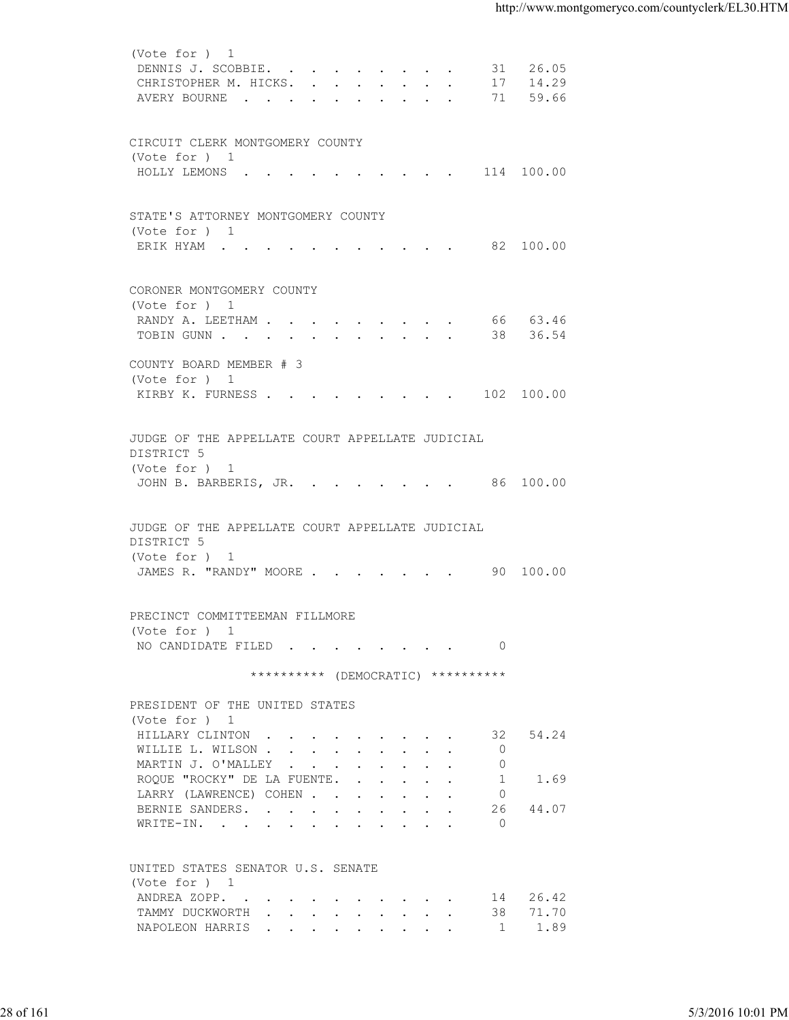| (Vote for ) 1<br>DENNIS J. SCOBBIE. 31 26.05<br>CHRISTOPHER M. HICKS. 17 14.29<br>AVERY BOURNE 71 59.66<br>CIRCUIT CLERK MONTGOMERY COUNTY<br>(Vote for ) 1<br>STATE'S ATTORNEY MONTGOMERY COUNTY<br>(Vote for ) 1<br>ERIK HYAM 82 100.00<br>CORONER MONTGOMERY COUNTY<br>(Vote for ) 1<br>RANDY A. LEETHAM 66 63.46<br>TOBIN GUNN 38 36.54<br>COUNTY BOARD MEMBER # 3<br>(Vote for ) 1<br>KIRBY K. FURNESS 102 100.00<br>JUDGE OF THE APPELLATE COURT APPELLATE JUDICIAL<br>DISTRICT 5<br>(Vote for ) 1<br>JOHN B. BARBERIS, JR. 86 100.00<br>JUDGE OF THE APPELLATE COURT APPELLATE JUDICIAL<br>DISTRICT 5<br>(Vote for ) 1<br>JAMES R. "RANDY" MOORE 90 100.00<br>PRECINCT COMMITTEEMAN FILLMORE<br>(Vote for ) 1<br>NO CANDIDATE FILED 0<br>********** (DEMOCRATIC) **********<br>PRESIDENT OF THE UNITED STATES<br>(Vote for ) 1<br>54.24<br>HILLARY CLINTON<br>32<br>WILLIE L. WILSON<br>$\circ$<br>MARTIN J. O'MALLEY<br>$\circ$<br>ROQUE "ROCKY" DE LA FUENTE.<br>-1<br>1.69<br>LARRY (LAWRENCE) COHEN<br>$\overline{0}$<br>BERNIE SANDERS.<br>26<br>44.07<br>$\bigcap$<br>WRITE-IN.<br>UNITED STATES SENATOR U.S. SENATE<br>(Vote for ) 1<br>14 26.42<br>ANDREA ZOPP.<br>71.70<br>TAMMY DUCKWORTH<br>38<br>NAPOLEON HARRIS<br>1.89<br>$\overline{1}$<br>5/3/2016 10:01 PM | 28 of 161 |  |  |
|------------------------------------------------------------------------------------------------------------------------------------------------------------------------------------------------------------------------------------------------------------------------------------------------------------------------------------------------------------------------------------------------------------------------------------------------------------------------------------------------------------------------------------------------------------------------------------------------------------------------------------------------------------------------------------------------------------------------------------------------------------------------------------------------------------------------------------------------------------------------------------------------------------------------------------------------------------------------------------------------------------------------------------------------------------------------------------------------------------------------------------------------------------------------------------------------------------------------------------------------------------------------------------|-----------|--|--|
|                                                                                                                                                                                                                                                                                                                                                                                                                                                                                                                                                                                                                                                                                                                                                                                                                                                                                                                                                                                                                                                                                                                                                                                                                                                                                    |           |  |  |
|                                                                                                                                                                                                                                                                                                                                                                                                                                                                                                                                                                                                                                                                                                                                                                                                                                                                                                                                                                                                                                                                                                                                                                                                                                                                                    |           |  |  |
|                                                                                                                                                                                                                                                                                                                                                                                                                                                                                                                                                                                                                                                                                                                                                                                                                                                                                                                                                                                                                                                                                                                                                                                                                                                                                    |           |  |  |
|                                                                                                                                                                                                                                                                                                                                                                                                                                                                                                                                                                                                                                                                                                                                                                                                                                                                                                                                                                                                                                                                                                                                                                                                                                                                                    |           |  |  |
|                                                                                                                                                                                                                                                                                                                                                                                                                                                                                                                                                                                                                                                                                                                                                                                                                                                                                                                                                                                                                                                                                                                                                                                                                                                                                    |           |  |  |
|                                                                                                                                                                                                                                                                                                                                                                                                                                                                                                                                                                                                                                                                                                                                                                                                                                                                                                                                                                                                                                                                                                                                                                                                                                                                                    |           |  |  |
|                                                                                                                                                                                                                                                                                                                                                                                                                                                                                                                                                                                                                                                                                                                                                                                                                                                                                                                                                                                                                                                                                                                                                                                                                                                                                    |           |  |  |
|                                                                                                                                                                                                                                                                                                                                                                                                                                                                                                                                                                                                                                                                                                                                                                                                                                                                                                                                                                                                                                                                                                                                                                                                                                                                                    |           |  |  |
|                                                                                                                                                                                                                                                                                                                                                                                                                                                                                                                                                                                                                                                                                                                                                                                                                                                                                                                                                                                                                                                                                                                                                                                                                                                                                    |           |  |  |
|                                                                                                                                                                                                                                                                                                                                                                                                                                                                                                                                                                                                                                                                                                                                                                                                                                                                                                                                                                                                                                                                                                                                                                                                                                                                                    |           |  |  |
|                                                                                                                                                                                                                                                                                                                                                                                                                                                                                                                                                                                                                                                                                                                                                                                                                                                                                                                                                                                                                                                                                                                                                                                                                                                                                    |           |  |  |
|                                                                                                                                                                                                                                                                                                                                                                                                                                                                                                                                                                                                                                                                                                                                                                                                                                                                                                                                                                                                                                                                                                                                                                                                                                                                                    |           |  |  |
|                                                                                                                                                                                                                                                                                                                                                                                                                                                                                                                                                                                                                                                                                                                                                                                                                                                                                                                                                                                                                                                                                                                                                                                                                                                                                    |           |  |  |
|                                                                                                                                                                                                                                                                                                                                                                                                                                                                                                                                                                                                                                                                                                                                                                                                                                                                                                                                                                                                                                                                                                                                                                                                                                                                                    |           |  |  |
|                                                                                                                                                                                                                                                                                                                                                                                                                                                                                                                                                                                                                                                                                                                                                                                                                                                                                                                                                                                                                                                                                                                                                                                                                                                                                    |           |  |  |
|                                                                                                                                                                                                                                                                                                                                                                                                                                                                                                                                                                                                                                                                                                                                                                                                                                                                                                                                                                                                                                                                                                                                                                                                                                                                                    |           |  |  |
|                                                                                                                                                                                                                                                                                                                                                                                                                                                                                                                                                                                                                                                                                                                                                                                                                                                                                                                                                                                                                                                                                                                                                                                                                                                                                    |           |  |  |
|                                                                                                                                                                                                                                                                                                                                                                                                                                                                                                                                                                                                                                                                                                                                                                                                                                                                                                                                                                                                                                                                                                                                                                                                                                                                                    |           |  |  |
|                                                                                                                                                                                                                                                                                                                                                                                                                                                                                                                                                                                                                                                                                                                                                                                                                                                                                                                                                                                                                                                                                                                                                                                                                                                                                    |           |  |  |
|                                                                                                                                                                                                                                                                                                                                                                                                                                                                                                                                                                                                                                                                                                                                                                                                                                                                                                                                                                                                                                                                                                                                                                                                                                                                                    |           |  |  |
|                                                                                                                                                                                                                                                                                                                                                                                                                                                                                                                                                                                                                                                                                                                                                                                                                                                                                                                                                                                                                                                                                                                                                                                                                                                                                    |           |  |  |
|                                                                                                                                                                                                                                                                                                                                                                                                                                                                                                                                                                                                                                                                                                                                                                                                                                                                                                                                                                                                                                                                                                                                                                                                                                                                                    |           |  |  |
|                                                                                                                                                                                                                                                                                                                                                                                                                                                                                                                                                                                                                                                                                                                                                                                                                                                                                                                                                                                                                                                                                                                                                                                                                                                                                    |           |  |  |
|                                                                                                                                                                                                                                                                                                                                                                                                                                                                                                                                                                                                                                                                                                                                                                                                                                                                                                                                                                                                                                                                                                                                                                                                                                                                                    |           |  |  |
|                                                                                                                                                                                                                                                                                                                                                                                                                                                                                                                                                                                                                                                                                                                                                                                                                                                                                                                                                                                                                                                                                                                                                                                                                                                                                    |           |  |  |
|                                                                                                                                                                                                                                                                                                                                                                                                                                                                                                                                                                                                                                                                                                                                                                                                                                                                                                                                                                                                                                                                                                                                                                                                                                                                                    |           |  |  |
|                                                                                                                                                                                                                                                                                                                                                                                                                                                                                                                                                                                                                                                                                                                                                                                                                                                                                                                                                                                                                                                                                                                                                                                                                                                                                    |           |  |  |
|                                                                                                                                                                                                                                                                                                                                                                                                                                                                                                                                                                                                                                                                                                                                                                                                                                                                                                                                                                                                                                                                                                                                                                                                                                                                                    |           |  |  |
|                                                                                                                                                                                                                                                                                                                                                                                                                                                                                                                                                                                                                                                                                                                                                                                                                                                                                                                                                                                                                                                                                                                                                                                                                                                                                    |           |  |  |
|                                                                                                                                                                                                                                                                                                                                                                                                                                                                                                                                                                                                                                                                                                                                                                                                                                                                                                                                                                                                                                                                                                                                                                                                                                                                                    |           |  |  |
|                                                                                                                                                                                                                                                                                                                                                                                                                                                                                                                                                                                                                                                                                                                                                                                                                                                                                                                                                                                                                                                                                                                                                                                                                                                                                    |           |  |  |
|                                                                                                                                                                                                                                                                                                                                                                                                                                                                                                                                                                                                                                                                                                                                                                                                                                                                                                                                                                                                                                                                                                                                                                                                                                                                                    |           |  |  |
|                                                                                                                                                                                                                                                                                                                                                                                                                                                                                                                                                                                                                                                                                                                                                                                                                                                                                                                                                                                                                                                                                                                                                                                                                                                                                    |           |  |  |
|                                                                                                                                                                                                                                                                                                                                                                                                                                                                                                                                                                                                                                                                                                                                                                                                                                                                                                                                                                                                                                                                                                                                                                                                                                                                                    |           |  |  |
|                                                                                                                                                                                                                                                                                                                                                                                                                                                                                                                                                                                                                                                                                                                                                                                                                                                                                                                                                                                                                                                                                                                                                                                                                                                                                    |           |  |  |
|                                                                                                                                                                                                                                                                                                                                                                                                                                                                                                                                                                                                                                                                                                                                                                                                                                                                                                                                                                                                                                                                                                                                                                                                                                                                                    |           |  |  |
|                                                                                                                                                                                                                                                                                                                                                                                                                                                                                                                                                                                                                                                                                                                                                                                                                                                                                                                                                                                                                                                                                                                                                                                                                                                                                    |           |  |  |
|                                                                                                                                                                                                                                                                                                                                                                                                                                                                                                                                                                                                                                                                                                                                                                                                                                                                                                                                                                                                                                                                                                                                                                                                                                                                                    |           |  |  |
|                                                                                                                                                                                                                                                                                                                                                                                                                                                                                                                                                                                                                                                                                                                                                                                                                                                                                                                                                                                                                                                                                                                                                                                                                                                                                    |           |  |  |
|                                                                                                                                                                                                                                                                                                                                                                                                                                                                                                                                                                                                                                                                                                                                                                                                                                                                                                                                                                                                                                                                                                                                                                                                                                                                                    |           |  |  |
|                                                                                                                                                                                                                                                                                                                                                                                                                                                                                                                                                                                                                                                                                                                                                                                                                                                                                                                                                                                                                                                                                                                                                                                                                                                                                    |           |  |  |
|                                                                                                                                                                                                                                                                                                                                                                                                                                                                                                                                                                                                                                                                                                                                                                                                                                                                                                                                                                                                                                                                                                                                                                                                                                                                                    |           |  |  |
|                                                                                                                                                                                                                                                                                                                                                                                                                                                                                                                                                                                                                                                                                                                                                                                                                                                                                                                                                                                                                                                                                                                                                                                                                                                                                    |           |  |  |
|                                                                                                                                                                                                                                                                                                                                                                                                                                                                                                                                                                                                                                                                                                                                                                                                                                                                                                                                                                                                                                                                                                                                                                                                                                                                                    |           |  |  |
|                                                                                                                                                                                                                                                                                                                                                                                                                                                                                                                                                                                                                                                                                                                                                                                                                                                                                                                                                                                                                                                                                                                                                                                                                                                                                    |           |  |  |
|                                                                                                                                                                                                                                                                                                                                                                                                                                                                                                                                                                                                                                                                                                                                                                                                                                                                                                                                                                                                                                                                                                                                                                                                                                                                                    |           |  |  |
|                                                                                                                                                                                                                                                                                                                                                                                                                                                                                                                                                                                                                                                                                                                                                                                                                                                                                                                                                                                                                                                                                                                                                                                                                                                                                    |           |  |  |
|                                                                                                                                                                                                                                                                                                                                                                                                                                                                                                                                                                                                                                                                                                                                                                                                                                                                                                                                                                                                                                                                                                                                                                                                                                                                                    |           |  |  |
|                                                                                                                                                                                                                                                                                                                                                                                                                                                                                                                                                                                                                                                                                                                                                                                                                                                                                                                                                                                                                                                                                                                                                                                                                                                                                    |           |  |  |
|                                                                                                                                                                                                                                                                                                                                                                                                                                                                                                                                                                                                                                                                                                                                                                                                                                                                                                                                                                                                                                                                                                                                                                                                                                                                                    |           |  |  |
|                                                                                                                                                                                                                                                                                                                                                                                                                                                                                                                                                                                                                                                                                                                                                                                                                                                                                                                                                                                                                                                                                                                                                                                                                                                                                    |           |  |  |
|                                                                                                                                                                                                                                                                                                                                                                                                                                                                                                                                                                                                                                                                                                                                                                                                                                                                                                                                                                                                                                                                                                                                                                                                                                                                                    |           |  |  |
|                                                                                                                                                                                                                                                                                                                                                                                                                                                                                                                                                                                                                                                                                                                                                                                                                                                                                                                                                                                                                                                                                                                                                                                                                                                                                    |           |  |  |
|                                                                                                                                                                                                                                                                                                                                                                                                                                                                                                                                                                                                                                                                                                                                                                                                                                                                                                                                                                                                                                                                                                                                                                                                                                                                                    |           |  |  |
|                                                                                                                                                                                                                                                                                                                                                                                                                                                                                                                                                                                                                                                                                                                                                                                                                                                                                                                                                                                                                                                                                                                                                                                                                                                                                    |           |  |  |
|                                                                                                                                                                                                                                                                                                                                                                                                                                                                                                                                                                                                                                                                                                                                                                                                                                                                                                                                                                                                                                                                                                                                                                                                                                                                                    |           |  |  |
|                                                                                                                                                                                                                                                                                                                                                                                                                                                                                                                                                                                                                                                                                                                                                                                                                                                                                                                                                                                                                                                                                                                                                                                                                                                                                    |           |  |  |
|                                                                                                                                                                                                                                                                                                                                                                                                                                                                                                                                                                                                                                                                                                                                                                                                                                                                                                                                                                                                                                                                                                                                                                                                                                                                                    |           |  |  |
|                                                                                                                                                                                                                                                                                                                                                                                                                                                                                                                                                                                                                                                                                                                                                                                                                                                                                                                                                                                                                                                                                                                                                                                                                                                                                    |           |  |  |
|                                                                                                                                                                                                                                                                                                                                                                                                                                                                                                                                                                                                                                                                                                                                                                                                                                                                                                                                                                                                                                                                                                                                                                                                                                                                                    |           |  |  |
|                                                                                                                                                                                                                                                                                                                                                                                                                                                                                                                                                                                                                                                                                                                                                                                                                                                                                                                                                                                                                                                                                                                                                                                                                                                                                    |           |  |  |
|                                                                                                                                                                                                                                                                                                                                                                                                                                                                                                                                                                                                                                                                                                                                                                                                                                                                                                                                                                                                                                                                                                                                                                                                                                                                                    |           |  |  |
|                                                                                                                                                                                                                                                                                                                                                                                                                                                                                                                                                                                                                                                                                                                                                                                                                                                                                                                                                                                                                                                                                                                                                                                                                                                                                    |           |  |  |
|                                                                                                                                                                                                                                                                                                                                                                                                                                                                                                                                                                                                                                                                                                                                                                                                                                                                                                                                                                                                                                                                                                                                                                                                                                                                                    |           |  |  |
|                                                                                                                                                                                                                                                                                                                                                                                                                                                                                                                                                                                                                                                                                                                                                                                                                                                                                                                                                                                                                                                                                                                                                                                                                                                                                    |           |  |  |
|                                                                                                                                                                                                                                                                                                                                                                                                                                                                                                                                                                                                                                                                                                                                                                                                                                                                                                                                                                                                                                                                                                                                                                                                                                                                                    |           |  |  |
|                                                                                                                                                                                                                                                                                                                                                                                                                                                                                                                                                                                                                                                                                                                                                                                                                                                                                                                                                                                                                                                                                                                                                                                                                                                                                    |           |  |  |
|                                                                                                                                                                                                                                                                                                                                                                                                                                                                                                                                                                                                                                                                                                                                                                                                                                                                                                                                                                                                                                                                                                                                                                                                                                                                                    |           |  |  |
|                                                                                                                                                                                                                                                                                                                                                                                                                                                                                                                                                                                                                                                                                                                                                                                                                                                                                                                                                                                                                                                                                                                                                                                                                                                                                    |           |  |  |
|                                                                                                                                                                                                                                                                                                                                                                                                                                                                                                                                                                                                                                                                                                                                                                                                                                                                                                                                                                                                                                                                                                                                                                                                                                                                                    |           |  |  |
|                                                                                                                                                                                                                                                                                                                                                                                                                                                                                                                                                                                                                                                                                                                                                                                                                                                                                                                                                                                                                                                                                                                                                                                                                                                                                    |           |  |  |
|                                                                                                                                                                                                                                                                                                                                                                                                                                                                                                                                                                                                                                                                                                                                                                                                                                                                                                                                                                                                                                                                                                                                                                                                                                                                                    |           |  |  |
|                                                                                                                                                                                                                                                                                                                                                                                                                                                                                                                                                                                                                                                                                                                                                                                                                                                                                                                                                                                                                                                                                                                                                                                                                                                                                    |           |  |  |
|                                                                                                                                                                                                                                                                                                                                                                                                                                                                                                                                                                                                                                                                                                                                                                                                                                                                                                                                                                                                                                                                                                                                                                                                                                                                                    |           |  |  |
|                                                                                                                                                                                                                                                                                                                                                                                                                                                                                                                                                                                                                                                                                                                                                                                                                                                                                                                                                                                                                                                                                                                                                                                                                                                                                    |           |  |  |
|                                                                                                                                                                                                                                                                                                                                                                                                                                                                                                                                                                                                                                                                                                                                                                                                                                                                                                                                                                                                                                                                                                                                                                                                                                                                                    |           |  |  |
|                                                                                                                                                                                                                                                                                                                                                                                                                                                                                                                                                                                                                                                                                                                                                                                                                                                                                                                                                                                                                                                                                                                                                                                                                                                                                    |           |  |  |
|                                                                                                                                                                                                                                                                                                                                                                                                                                                                                                                                                                                                                                                                                                                                                                                                                                                                                                                                                                                                                                                                                                                                                                                                                                                                                    |           |  |  |
|                                                                                                                                                                                                                                                                                                                                                                                                                                                                                                                                                                                                                                                                                                                                                                                                                                                                                                                                                                                                                                                                                                                                                                                                                                                                                    |           |  |  |
|                                                                                                                                                                                                                                                                                                                                                                                                                                                                                                                                                                                                                                                                                                                                                                                                                                                                                                                                                                                                                                                                                                                                                                                                                                                                                    |           |  |  |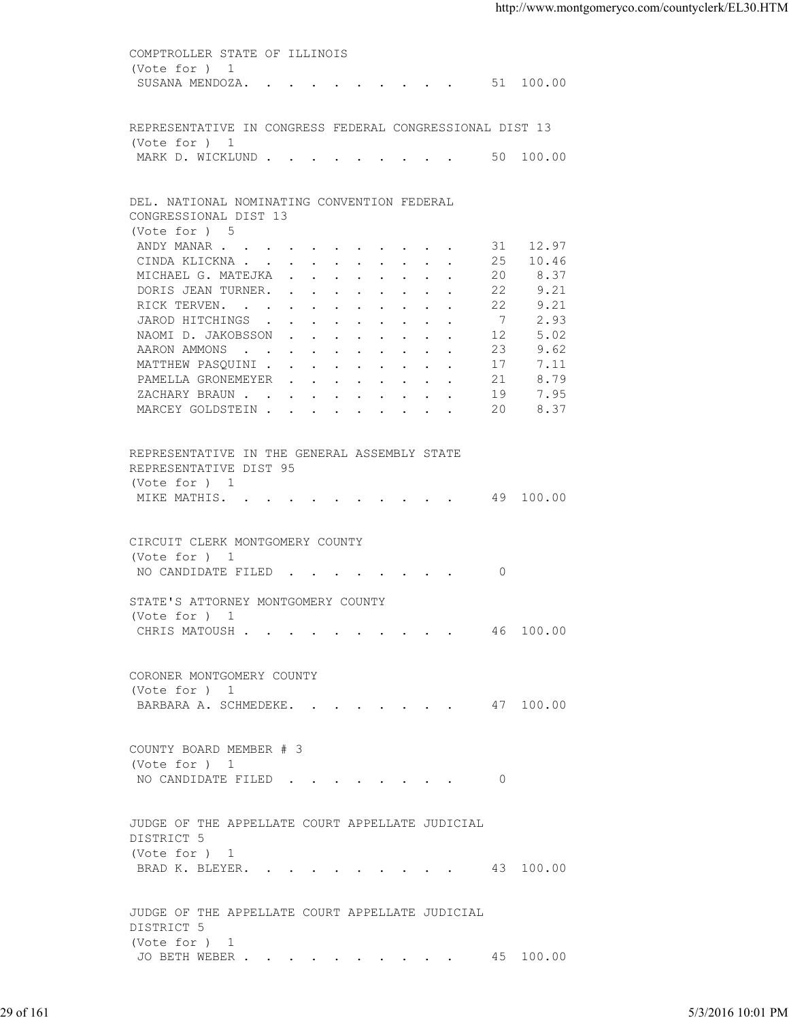COMPTROLLER STATE OF ILLINOIS (Vote for ) 1 SUSANA MENDOZA. . . . . . . . . . 51 100.00 REPRESENTATIVE IN CONGRESS FEDERAL CONGRESSIONAL DIST 13 (Vote for ) 1 MARK D. WICKLUND . . . . . . . . . . 50 100.00 DEL. NATIONAL NOMINATING CONVENTION FEDERAL CONGRESSIONAL DIST 13 (Vote for ) 5 ANDY MANAR . . . . . . . . . . . 31 12.97 CINDA KLICKNA . . . . . . . . . . 25 10.46 MICHAEL G. MATEJKA . . . . . . . . 20 8.37 DORIS JEAN TURNER. . . . . . . . . 22 9.21<br>RICK TERVEN. . . . . . . . . . . 22 9.21 RICK TERVEN. . . . . . . . . . . 22 9.21<br>JAROD HITCHINGS . . . . . . . . . 7 2.93 JAROD HITCHINGS . . . . . . . . . 7 NAOMI D. JAKOBSSON . . . . . . . . . 12 5.02 AARON AMMONS . . . . . . . . . . 23 9.62 MATTHEW PASQUINI . . . . . . . . . 17 7.11 PAMELLA GRONEMEYER . . . . . . . . 21 8.79<br>ZACHARY BRAUN . . . . . . . . . . 19 7.95 ZACHARY BRAUN . . . . . . . . . . MARCEY GOLDSTEIN . . . . . . . . . 20 8.37 REPRESENTATIVE IN THE GENERAL ASSEMBLY STATE REPRESENTATIVE DIST 95 (Vote for ) 1 MIKE MATHIS. . . . . . . . . . . 49 100.00 CIRCUIT CLERK MONTGOMERY COUNTY (Vote for ) 1 NO CANDIDATE FILED . . . . . . . . 0 STATE'S ATTORNEY MONTGOMERY COUNTY (Vote for ) 1 CHRIS MATOUSH . . . . . . . . . . 46 100.00 CORONER MONTGOMERY COUNTY (Vote for ) 1 BARBARA A. SCHMEDEKE. . . . . . . . 47 100.00 COUNTY BOARD MEMBER # 3 (Vote for ) 1 NO CANDIDATE FILED . . . . . . . . 0 JUDGE OF THE APPELLATE COURT APPELLATE JUDICIAL DISTRICT 5 (Vote for ) 1 BRAD K. BLEYER. . . . . . . . . . 43 100.00 JUDGE OF THE APPELLATE COURT APPELLATE JUDICIAL DISTRICT 5 (Vote for ) 1 JO BETH WEBER . . . . . . . . . . 45 100.00 29 of 161 5/3/2016 10:01 PM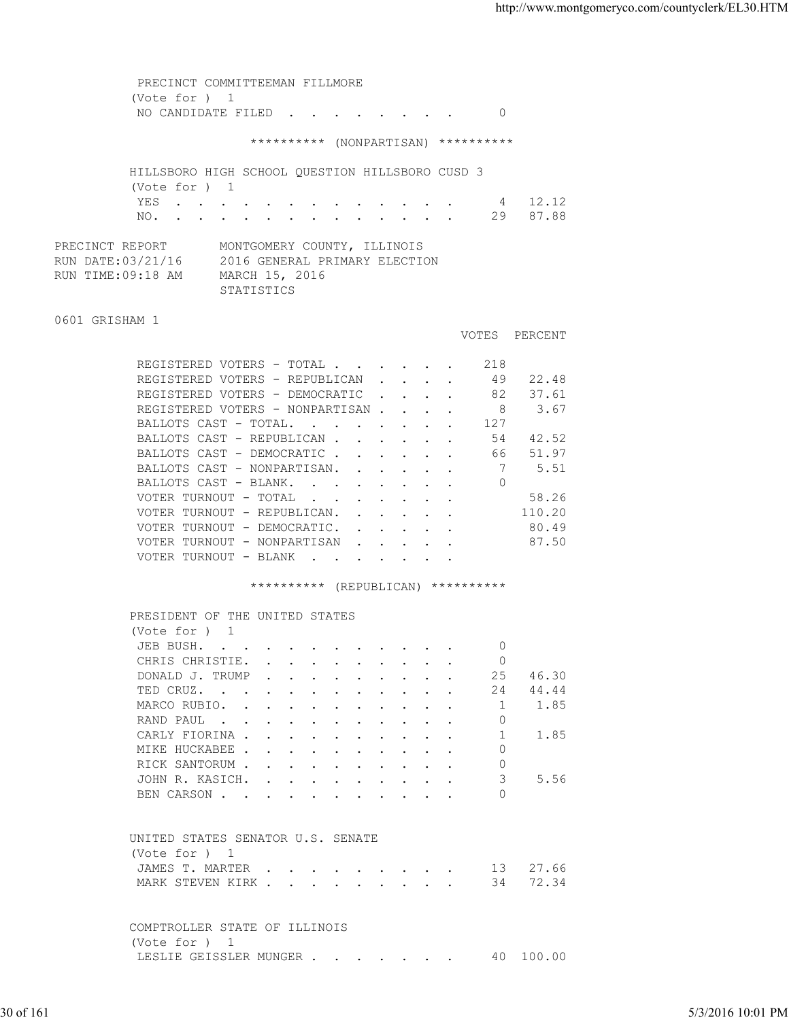PRECINCT COMMITTEEMAN FILLMORE (Vote for ) 1 NO CANDIDATE FILED . . . . . . . . 0 \*\*\*\*\*\*\*\*\*\* (NONPARTISAN) \*\*\*\*\*\*\*\*\*\* HILLSBORO HIGH SCHOOL QUESTION HILLSBORO CUSD 3 (Vote for ) 1 YES . . . . . . . . . . . . . 4 12.12 NO. . . . . . . . . . . . . . 29 87.88 PRECINCT REPORT MONTGOMERY COUNTY, ILLINOIS RUN DATE:03/21/16 2016 GENERAL PRIMARY ELECTION RUN TIME:09:18 AM MARCH 15, 2016 STATISTICS 0601 GRISHAM 1 VOTES PERCENT REGISTERED VOTERS - TOTAL . . . . . . 218 REGISTERED VOTERS - REPUBLICAN . . . . 49 22.48 REGISTERED VOTERS - DEMOCRATIC . . . . 82 37.61 REGISTERED VOTERS - NONPARTISAN . . . . 8 3.67 BALLOTS CAST - TOTAL. . . . . . . . 127<br>BALLOTS CAST - REPUBLICAN . . . . . . 54 42.52 BALLOTS CAST - REPUBLICAN . . . . . . 54 42.52<br>BALLOTS CAST - DEMOCRATIC . . . . . . 66 51.97 BALLOTS CAST - DEMOCRATIC . . . . . . BALLOTS CAST - NONPARTISAN. . . . . . 7 5.51<br>BALLOTS CAST - BLANK. . . . . . . . 0 BALLOTS CAST - BLANK. . . . . . . . VOTER TURNOUT - TOTAL . . . . . . . . 58.26 VOTER TURNOUT - REPUBLICAN. . . . . . 110.20 VOTER TURNOUT - DEMOCRATIC. . . . . . 80.49 VOTER TURNOUT - NONPARTISAN . . . . . 87.50 VOTER TURNOUT - BLANK . . . \*\*\*\*\*\*\*\*\*\* (REPUBLICAN) \*\*\*\*\*\*\*\*\*\* PRESIDENT OF THE UNITED STATES (Vote for ) 1 JEB BUSH. . . . . . . . . . . . 0 CHRIS CHRISTIE. . . . . . . . . . 0 DONALD J. TRUMP . . . . . . . . . 25 46.30 TED CRUZ. . . . . . . . . . . . 24 44.44 MARCO RUBIO. . . . . . . . . . . . 1 1.85<br>RAND PAUL . . . . . . . . . . . 0 RAND PAUL . CARLY FIORINA . . . . . . . . . . . 1 1.85 MIKE HUCKABEE . . . . . . . . . . 0 RICK SANTORUM . . . . . . . . . . 0 JOHN R. KASICH. . . . . . . . . . 3 5.56 BEN CARSON . . . . . . . . . . 0 UNITED STATES SENATOR U.S. SENATE (Vote for ) 1 JAMES T. MARTER . . . . . . . . . 13 27.66 MARK STEVEN KIRK . . . . . . . . . 34 72.34 COMPTROLLER STATE OF ILLINOIS (Vote for ) 1 LESLIE GEISSLER MUNGER . . . . . . . 40 100.00 ED CRUZ.<br>
TED CRUZ.<br>
MARO RUBIO.<br>
NAMO RUBIO.<br>
CARANY FORTNA.<br>
MARY PORTNA.<br>
CARANY FORTNA.<br>
INCREDICATE CONSULS.<br>
INCREDICATE CONSULS.<br>
NICKE BOCKRISSE.<br>
JON R. KASICS.<br>
JON R. KASICS.<br>
JON R. KASICS.<br>
JON R. NAMON.<br>
CONS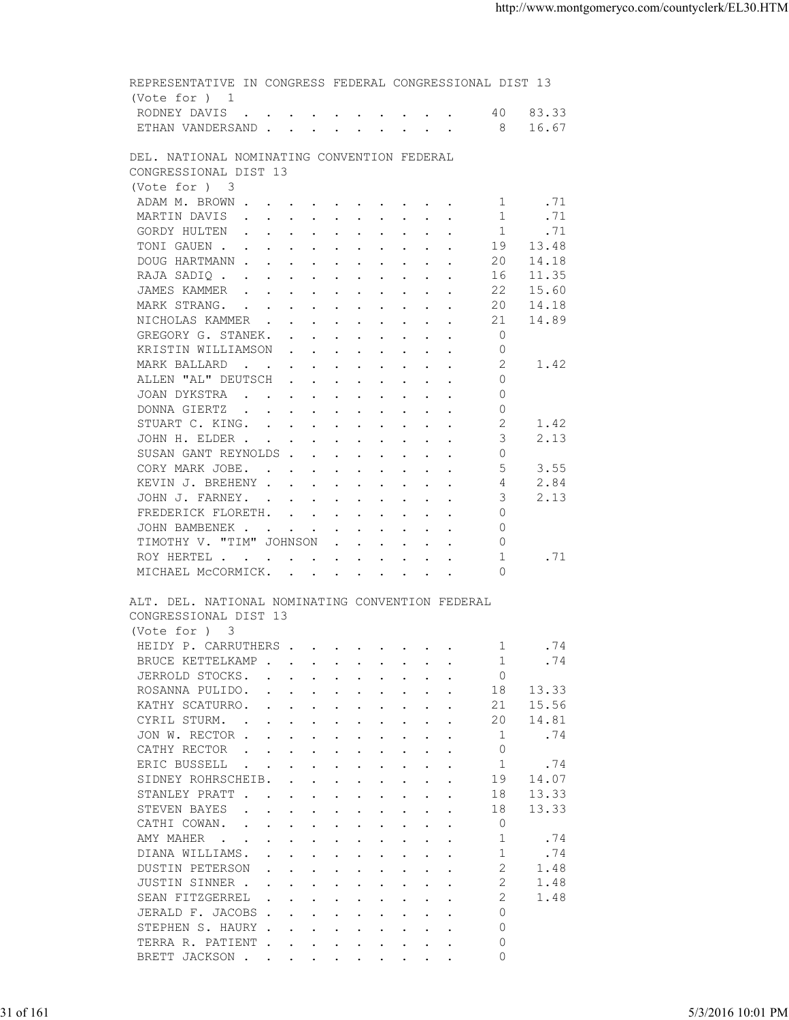| ETHAN VANDERSAND 8 16.67<br>DEL. NATIONAL NOMINATING CONVENTION FEDERAL<br>CONGRESSIONAL DIST 13<br>(Vote for ) 3<br>.71<br>ADAM M. BROWN<br>1<br>1<br>.71<br>MARTIN DAVIS<br>1<br>.71<br>GORDY HULTEN<br>TONIGAUEN<br>19<br>13.48<br>DOUG HARTMANN<br>14.18<br>20<br>RAJA SADIQ<br>11.35<br>16<br>15.60<br>JAMES KAMMER<br>22<br>20<br>14.18<br>MARK STRANG.<br>14.89<br>NICHOLAS KAMMER<br>21<br>$\overline{0}$<br>GREGORY G. STANEK.<br>KRISTIN WILLIAMSON<br>0<br>2<br>MARK BALLARD<br>1.42<br>ALLEN "AL" DEUTSCH<br>0<br>JOAN DYKSTRA<br>$\circ$<br>DONNA GIERTZ<br>$\Omega$<br>2<br>1.42<br>STUART C. KING.<br>3<br>2.13<br>JOHN H. ELDER<br>SUSAN GANT REYNOLDS<br>$\Omega$<br>5<br>3.55<br>CORY MARK JOBE.<br>2.84<br>KEVIN J. BREHENY<br>4<br>3<br>JOHN J. FARNEY.<br>2.13<br>$\Omega$<br>FREDERICK FLORETH.<br>$\circ$<br>JOHN BAMBENEK<br>TIMOTHY V. "TIM" JOHNSON<br>$\mathbf{0}$<br>.71<br>ROY HERTEL<br>1<br>MICHAEL MCCORMICK.<br>$\mathbf{0}$<br>ALT. DEL. NATIONAL NOMINATING CONVENTION FEDERAL<br>CONGRESSIONAL DIST 13<br>(Vote for ) 3<br>HEIDY P. CARRUTHERS 1<br>.74<br>BRUCE KETTELKAMP<br>.74<br>the contract of the contract of the contract of the contract of the contract of the contract of the contract of<br>JERROLD STOCKS.<br>$\Omega$<br>$\mathbf{r} = \mathbf{r} - \mathbf{r}$ , and $\mathbf{r} = \mathbf{r} - \mathbf{r} - \mathbf{r}$ , and $\mathbf{r} = \mathbf{r} - \mathbf{r}$<br>18<br>ROSANNA PULIDO.<br>13.33<br>KATHY SCATURRO.<br>15.56<br>21<br>14.81<br>CYRIL STURM.<br>20<br>$\mathbf{r} = \mathbf{r} + \mathbf{r} + \mathbf{r} + \mathbf{r} + \mathbf{r} + \mathbf{r} + \mathbf{r} + \mathbf{r} + \mathbf{r} + \mathbf{r} + \mathbf{r} + \mathbf{r} + \mathbf{r} + \mathbf{r} + \mathbf{r} + \mathbf{r} + \mathbf{r} + \mathbf{r} + \mathbf{r} + \mathbf{r} + \mathbf{r} + \mathbf{r} + \mathbf{r} + \mathbf{r} + \mathbf{r} + \mathbf{r} + \mathbf{r} + \mathbf{r} + \mathbf{r} + \mathbf{r} + \mathbf$<br>JON W. RECTOR<br>.74<br>-1<br>CATHY RECTOR<br>$\circ$<br>the contract of the contract of the contract of the contract of the contract of the contract of the contract of<br>ERIC BUSSELL<br>1<br>.74<br>$\mathbf{r}$ , and $\mathbf{r}$ , and $\mathbf{r}$ , and $\mathbf{r}$ , and $\mathbf{r}$<br>$\cdot$ $\cdot$<br>SIDNEY ROHRSCHEIB.<br>19<br>14.07<br>$\sim$ 100 $\sim$<br>$\mathbf{r}$ , and $\mathbf{r}$ , and $\mathbf{r}$ , and $\mathbf{r}$<br>$\ddot{\phantom{a}}$<br>18<br>13.33<br>STANLEY PRATT.<br>$\mathbf{r}$ , and $\mathbf{r}$ , and $\mathbf{r}$ , and $\mathbf{r}$ , and $\mathbf{r}$<br>13.33<br>STEVEN BAYES<br>18<br>$\mathbf{r}$ , and $\mathbf{r}$ , and $\mathbf{r}$ , and $\mathbf{r}$ , and $\mathbf{r}$<br>$\circ$<br>CATHI COWAN.<br>$\mathbf{r}$ , and $\mathbf{r}$ , and $\mathbf{r}$ , and $\mathbf{r}$ , and $\mathbf{r}$<br>1<br>AMY MAHER<br>.74<br>the contract of the contract of the contract of the contract of the contract of the contract of the contract of<br>-1<br>.74<br>DIANA WILLIAMS.<br>$\mathbf{r}$ , and $\mathbf{r}$ , and $\mathbf{r}$ , and $\mathbf{r}$<br>2<br>1.48<br>DUSTIN PETERSON<br>$\mathbf{r} = \mathbf{r} + \mathbf{r} + \mathbf{r} + \mathbf{r} + \mathbf{r} + \mathbf{r} + \mathbf{r} + \mathbf{r} + \mathbf{r} + \mathbf{r} + \mathbf{r} + \mathbf{r} + \mathbf{r} + \mathbf{r} + \mathbf{r} + \mathbf{r} + \mathbf{r} + \mathbf{r} + \mathbf{r} + \mathbf{r} + \mathbf{r} + \mathbf{r} + \mathbf{r} + \mathbf{r} + \mathbf{r} + \mathbf{r} + \mathbf{r} + \mathbf{r} + \mathbf{r} + \mathbf{r} + \mathbf$<br>JUSTIN SINNER .<br>2<br>1.48<br>the contract of the contract of the contract of the contract of the contract of the contract of the contract of<br>2<br>1.48<br>SEAN FITZGERREL<br>JERALD F. JACOBS<br>$\circ$<br>$\circ$<br>STEPHEN S. HAURY<br>$\Omega$<br>TERRA R. PATIENT<br>$\Omega$ | (Vote for ) 1<br>RODNEY DAVIS<br>40 83.33 | REPRESENTATIVE IN CONGRESS FEDERAL CONGRESSIONAL DIST 13 |
|-------------------------------------------------------------------------------------------------------------------------------------------------------------------------------------------------------------------------------------------------------------------------------------------------------------------------------------------------------------------------------------------------------------------------------------------------------------------------------------------------------------------------------------------------------------------------------------------------------------------------------------------------------------------------------------------------------------------------------------------------------------------------------------------------------------------------------------------------------------------------------------------------------------------------------------------------------------------------------------------------------------------------------------------------------------------------------------------------------------------------------------------------------------------------------------------------------------------------------------------------------------------------------------------------------------------------------------------------------------------------------------------------------------------------------------------------------------------------------------------------------------------------------------------------------------------------------------------------------------------------------------------------------------------------------------------------------------------------------------------------------------------------------------------------------------------------------------------------------------------------------------------------------------------------------------------------------------------------------------------------------------------------------------------------------------------------------------------------------------------------------------------------------------------------------------------------------------------------------------------------------------------------------------------------------------------------------------------------------------------------------------------------------------------------------------------------------------------------------------------------------------------------------------------------------------------------------------------------------------------------------------------------------------------------------------------------------------------------------------------------------------------------------------------------------------------------------------------------------------------------------------------------------------------------------------------------------------------------------------------------------------------------------------------------------------------------------------------------------------------------------------------------------------------------------------------------------------------------------------------------------------------------------------------------------------------------------------------------------------------------------------------------------------------------------------------------------------------------------------------------------------------------------------------------------------------------------------------------------------------------------------------------------------------------------------------------------------------------------------------------------------------------------------------------------------------------------------------------|-------------------------------------------|----------------------------------------------------------|
|                                                                                                                                                                                                                                                                                                                                                                                                                                                                                                                                                                                                                                                                                                                                                                                                                                                                                                                                                                                                                                                                                                                                                                                                                                                                                                                                                                                                                                                                                                                                                                                                                                                                                                                                                                                                                                                                                                                                                                                                                                                                                                                                                                                                                                                                                                                                                                                                                                                                                                                                                                                                                                                                                                                                                                                                                                                                                                                                                                                                                                                                                                                                                                                                                                                                                                                                                                                                                                                                                                                                                                                                                                                                                                                                                                                                                                                 |                                           |                                                          |
|                                                                                                                                                                                                                                                                                                                                                                                                                                                                                                                                                                                                                                                                                                                                                                                                                                                                                                                                                                                                                                                                                                                                                                                                                                                                                                                                                                                                                                                                                                                                                                                                                                                                                                                                                                                                                                                                                                                                                                                                                                                                                                                                                                                                                                                                                                                                                                                                                                                                                                                                                                                                                                                                                                                                                                                                                                                                                                                                                                                                                                                                                                                                                                                                                                                                                                                                                                                                                                                                                                                                                                                                                                                                                                                                                                                                                                                 |                                           |                                                          |
|                                                                                                                                                                                                                                                                                                                                                                                                                                                                                                                                                                                                                                                                                                                                                                                                                                                                                                                                                                                                                                                                                                                                                                                                                                                                                                                                                                                                                                                                                                                                                                                                                                                                                                                                                                                                                                                                                                                                                                                                                                                                                                                                                                                                                                                                                                                                                                                                                                                                                                                                                                                                                                                                                                                                                                                                                                                                                                                                                                                                                                                                                                                                                                                                                                                                                                                                                                                                                                                                                                                                                                                                                                                                                                                                                                                                                                                 |                                           |                                                          |
|                                                                                                                                                                                                                                                                                                                                                                                                                                                                                                                                                                                                                                                                                                                                                                                                                                                                                                                                                                                                                                                                                                                                                                                                                                                                                                                                                                                                                                                                                                                                                                                                                                                                                                                                                                                                                                                                                                                                                                                                                                                                                                                                                                                                                                                                                                                                                                                                                                                                                                                                                                                                                                                                                                                                                                                                                                                                                                                                                                                                                                                                                                                                                                                                                                                                                                                                                                                                                                                                                                                                                                                                                                                                                                                                                                                                                                                 |                                           |                                                          |
|                                                                                                                                                                                                                                                                                                                                                                                                                                                                                                                                                                                                                                                                                                                                                                                                                                                                                                                                                                                                                                                                                                                                                                                                                                                                                                                                                                                                                                                                                                                                                                                                                                                                                                                                                                                                                                                                                                                                                                                                                                                                                                                                                                                                                                                                                                                                                                                                                                                                                                                                                                                                                                                                                                                                                                                                                                                                                                                                                                                                                                                                                                                                                                                                                                                                                                                                                                                                                                                                                                                                                                                                                                                                                                                                                                                                                                                 |                                           |                                                          |
|                                                                                                                                                                                                                                                                                                                                                                                                                                                                                                                                                                                                                                                                                                                                                                                                                                                                                                                                                                                                                                                                                                                                                                                                                                                                                                                                                                                                                                                                                                                                                                                                                                                                                                                                                                                                                                                                                                                                                                                                                                                                                                                                                                                                                                                                                                                                                                                                                                                                                                                                                                                                                                                                                                                                                                                                                                                                                                                                                                                                                                                                                                                                                                                                                                                                                                                                                                                                                                                                                                                                                                                                                                                                                                                                                                                                                                                 |                                           |                                                          |
|                                                                                                                                                                                                                                                                                                                                                                                                                                                                                                                                                                                                                                                                                                                                                                                                                                                                                                                                                                                                                                                                                                                                                                                                                                                                                                                                                                                                                                                                                                                                                                                                                                                                                                                                                                                                                                                                                                                                                                                                                                                                                                                                                                                                                                                                                                                                                                                                                                                                                                                                                                                                                                                                                                                                                                                                                                                                                                                                                                                                                                                                                                                                                                                                                                                                                                                                                                                                                                                                                                                                                                                                                                                                                                                                                                                                                                                 |                                           |                                                          |
|                                                                                                                                                                                                                                                                                                                                                                                                                                                                                                                                                                                                                                                                                                                                                                                                                                                                                                                                                                                                                                                                                                                                                                                                                                                                                                                                                                                                                                                                                                                                                                                                                                                                                                                                                                                                                                                                                                                                                                                                                                                                                                                                                                                                                                                                                                                                                                                                                                                                                                                                                                                                                                                                                                                                                                                                                                                                                                                                                                                                                                                                                                                                                                                                                                                                                                                                                                                                                                                                                                                                                                                                                                                                                                                                                                                                                                                 |                                           |                                                          |
|                                                                                                                                                                                                                                                                                                                                                                                                                                                                                                                                                                                                                                                                                                                                                                                                                                                                                                                                                                                                                                                                                                                                                                                                                                                                                                                                                                                                                                                                                                                                                                                                                                                                                                                                                                                                                                                                                                                                                                                                                                                                                                                                                                                                                                                                                                                                                                                                                                                                                                                                                                                                                                                                                                                                                                                                                                                                                                                                                                                                                                                                                                                                                                                                                                                                                                                                                                                                                                                                                                                                                                                                                                                                                                                                                                                                                                                 |                                           |                                                          |
|                                                                                                                                                                                                                                                                                                                                                                                                                                                                                                                                                                                                                                                                                                                                                                                                                                                                                                                                                                                                                                                                                                                                                                                                                                                                                                                                                                                                                                                                                                                                                                                                                                                                                                                                                                                                                                                                                                                                                                                                                                                                                                                                                                                                                                                                                                                                                                                                                                                                                                                                                                                                                                                                                                                                                                                                                                                                                                                                                                                                                                                                                                                                                                                                                                                                                                                                                                                                                                                                                                                                                                                                                                                                                                                                                                                                                                                 |                                           |                                                          |
|                                                                                                                                                                                                                                                                                                                                                                                                                                                                                                                                                                                                                                                                                                                                                                                                                                                                                                                                                                                                                                                                                                                                                                                                                                                                                                                                                                                                                                                                                                                                                                                                                                                                                                                                                                                                                                                                                                                                                                                                                                                                                                                                                                                                                                                                                                                                                                                                                                                                                                                                                                                                                                                                                                                                                                                                                                                                                                                                                                                                                                                                                                                                                                                                                                                                                                                                                                                                                                                                                                                                                                                                                                                                                                                                                                                                                                                 |                                           |                                                          |
|                                                                                                                                                                                                                                                                                                                                                                                                                                                                                                                                                                                                                                                                                                                                                                                                                                                                                                                                                                                                                                                                                                                                                                                                                                                                                                                                                                                                                                                                                                                                                                                                                                                                                                                                                                                                                                                                                                                                                                                                                                                                                                                                                                                                                                                                                                                                                                                                                                                                                                                                                                                                                                                                                                                                                                                                                                                                                                                                                                                                                                                                                                                                                                                                                                                                                                                                                                                                                                                                                                                                                                                                                                                                                                                                                                                                                                                 |                                           |                                                          |
|                                                                                                                                                                                                                                                                                                                                                                                                                                                                                                                                                                                                                                                                                                                                                                                                                                                                                                                                                                                                                                                                                                                                                                                                                                                                                                                                                                                                                                                                                                                                                                                                                                                                                                                                                                                                                                                                                                                                                                                                                                                                                                                                                                                                                                                                                                                                                                                                                                                                                                                                                                                                                                                                                                                                                                                                                                                                                                                                                                                                                                                                                                                                                                                                                                                                                                                                                                                                                                                                                                                                                                                                                                                                                                                                                                                                                                                 |                                           |                                                          |
|                                                                                                                                                                                                                                                                                                                                                                                                                                                                                                                                                                                                                                                                                                                                                                                                                                                                                                                                                                                                                                                                                                                                                                                                                                                                                                                                                                                                                                                                                                                                                                                                                                                                                                                                                                                                                                                                                                                                                                                                                                                                                                                                                                                                                                                                                                                                                                                                                                                                                                                                                                                                                                                                                                                                                                                                                                                                                                                                                                                                                                                                                                                                                                                                                                                                                                                                                                                                                                                                                                                                                                                                                                                                                                                                                                                                                                                 |                                           |                                                          |
|                                                                                                                                                                                                                                                                                                                                                                                                                                                                                                                                                                                                                                                                                                                                                                                                                                                                                                                                                                                                                                                                                                                                                                                                                                                                                                                                                                                                                                                                                                                                                                                                                                                                                                                                                                                                                                                                                                                                                                                                                                                                                                                                                                                                                                                                                                                                                                                                                                                                                                                                                                                                                                                                                                                                                                                                                                                                                                                                                                                                                                                                                                                                                                                                                                                                                                                                                                                                                                                                                                                                                                                                                                                                                                                                                                                                                                                 |                                           |                                                          |
|                                                                                                                                                                                                                                                                                                                                                                                                                                                                                                                                                                                                                                                                                                                                                                                                                                                                                                                                                                                                                                                                                                                                                                                                                                                                                                                                                                                                                                                                                                                                                                                                                                                                                                                                                                                                                                                                                                                                                                                                                                                                                                                                                                                                                                                                                                                                                                                                                                                                                                                                                                                                                                                                                                                                                                                                                                                                                                                                                                                                                                                                                                                                                                                                                                                                                                                                                                                                                                                                                                                                                                                                                                                                                                                                                                                                                                                 |                                           |                                                          |
|                                                                                                                                                                                                                                                                                                                                                                                                                                                                                                                                                                                                                                                                                                                                                                                                                                                                                                                                                                                                                                                                                                                                                                                                                                                                                                                                                                                                                                                                                                                                                                                                                                                                                                                                                                                                                                                                                                                                                                                                                                                                                                                                                                                                                                                                                                                                                                                                                                                                                                                                                                                                                                                                                                                                                                                                                                                                                                                                                                                                                                                                                                                                                                                                                                                                                                                                                                                                                                                                                                                                                                                                                                                                                                                                                                                                                                                 |                                           |                                                          |
|                                                                                                                                                                                                                                                                                                                                                                                                                                                                                                                                                                                                                                                                                                                                                                                                                                                                                                                                                                                                                                                                                                                                                                                                                                                                                                                                                                                                                                                                                                                                                                                                                                                                                                                                                                                                                                                                                                                                                                                                                                                                                                                                                                                                                                                                                                                                                                                                                                                                                                                                                                                                                                                                                                                                                                                                                                                                                                                                                                                                                                                                                                                                                                                                                                                                                                                                                                                                                                                                                                                                                                                                                                                                                                                                                                                                                                                 |                                           |                                                          |
|                                                                                                                                                                                                                                                                                                                                                                                                                                                                                                                                                                                                                                                                                                                                                                                                                                                                                                                                                                                                                                                                                                                                                                                                                                                                                                                                                                                                                                                                                                                                                                                                                                                                                                                                                                                                                                                                                                                                                                                                                                                                                                                                                                                                                                                                                                                                                                                                                                                                                                                                                                                                                                                                                                                                                                                                                                                                                                                                                                                                                                                                                                                                                                                                                                                                                                                                                                                                                                                                                                                                                                                                                                                                                                                                                                                                                                                 |                                           |                                                          |
|                                                                                                                                                                                                                                                                                                                                                                                                                                                                                                                                                                                                                                                                                                                                                                                                                                                                                                                                                                                                                                                                                                                                                                                                                                                                                                                                                                                                                                                                                                                                                                                                                                                                                                                                                                                                                                                                                                                                                                                                                                                                                                                                                                                                                                                                                                                                                                                                                                                                                                                                                                                                                                                                                                                                                                                                                                                                                                                                                                                                                                                                                                                                                                                                                                                                                                                                                                                                                                                                                                                                                                                                                                                                                                                                                                                                                                                 |                                           |                                                          |
|                                                                                                                                                                                                                                                                                                                                                                                                                                                                                                                                                                                                                                                                                                                                                                                                                                                                                                                                                                                                                                                                                                                                                                                                                                                                                                                                                                                                                                                                                                                                                                                                                                                                                                                                                                                                                                                                                                                                                                                                                                                                                                                                                                                                                                                                                                                                                                                                                                                                                                                                                                                                                                                                                                                                                                                                                                                                                                                                                                                                                                                                                                                                                                                                                                                                                                                                                                                                                                                                                                                                                                                                                                                                                                                                                                                                                                                 |                                           |                                                          |
|                                                                                                                                                                                                                                                                                                                                                                                                                                                                                                                                                                                                                                                                                                                                                                                                                                                                                                                                                                                                                                                                                                                                                                                                                                                                                                                                                                                                                                                                                                                                                                                                                                                                                                                                                                                                                                                                                                                                                                                                                                                                                                                                                                                                                                                                                                                                                                                                                                                                                                                                                                                                                                                                                                                                                                                                                                                                                                                                                                                                                                                                                                                                                                                                                                                                                                                                                                                                                                                                                                                                                                                                                                                                                                                                                                                                                                                 |                                           |                                                          |
|                                                                                                                                                                                                                                                                                                                                                                                                                                                                                                                                                                                                                                                                                                                                                                                                                                                                                                                                                                                                                                                                                                                                                                                                                                                                                                                                                                                                                                                                                                                                                                                                                                                                                                                                                                                                                                                                                                                                                                                                                                                                                                                                                                                                                                                                                                                                                                                                                                                                                                                                                                                                                                                                                                                                                                                                                                                                                                                                                                                                                                                                                                                                                                                                                                                                                                                                                                                                                                                                                                                                                                                                                                                                                                                                                                                                                                                 |                                           |                                                          |
|                                                                                                                                                                                                                                                                                                                                                                                                                                                                                                                                                                                                                                                                                                                                                                                                                                                                                                                                                                                                                                                                                                                                                                                                                                                                                                                                                                                                                                                                                                                                                                                                                                                                                                                                                                                                                                                                                                                                                                                                                                                                                                                                                                                                                                                                                                                                                                                                                                                                                                                                                                                                                                                                                                                                                                                                                                                                                                                                                                                                                                                                                                                                                                                                                                                                                                                                                                                                                                                                                                                                                                                                                                                                                                                                                                                                                                                 |                                           |                                                          |
|                                                                                                                                                                                                                                                                                                                                                                                                                                                                                                                                                                                                                                                                                                                                                                                                                                                                                                                                                                                                                                                                                                                                                                                                                                                                                                                                                                                                                                                                                                                                                                                                                                                                                                                                                                                                                                                                                                                                                                                                                                                                                                                                                                                                                                                                                                                                                                                                                                                                                                                                                                                                                                                                                                                                                                                                                                                                                                                                                                                                                                                                                                                                                                                                                                                                                                                                                                                                                                                                                                                                                                                                                                                                                                                                                                                                                                                 |                                           |                                                          |
|                                                                                                                                                                                                                                                                                                                                                                                                                                                                                                                                                                                                                                                                                                                                                                                                                                                                                                                                                                                                                                                                                                                                                                                                                                                                                                                                                                                                                                                                                                                                                                                                                                                                                                                                                                                                                                                                                                                                                                                                                                                                                                                                                                                                                                                                                                                                                                                                                                                                                                                                                                                                                                                                                                                                                                                                                                                                                                                                                                                                                                                                                                                                                                                                                                                                                                                                                                                                                                                                                                                                                                                                                                                                                                                                                                                                                                                 |                                           |                                                          |
|                                                                                                                                                                                                                                                                                                                                                                                                                                                                                                                                                                                                                                                                                                                                                                                                                                                                                                                                                                                                                                                                                                                                                                                                                                                                                                                                                                                                                                                                                                                                                                                                                                                                                                                                                                                                                                                                                                                                                                                                                                                                                                                                                                                                                                                                                                                                                                                                                                                                                                                                                                                                                                                                                                                                                                                                                                                                                                                                                                                                                                                                                                                                                                                                                                                                                                                                                                                                                                                                                                                                                                                                                                                                                                                                                                                                                                                 |                                           |                                                          |
|                                                                                                                                                                                                                                                                                                                                                                                                                                                                                                                                                                                                                                                                                                                                                                                                                                                                                                                                                                                                                                                                                                                                                                                                                                                                                                                                                                                                                                                                                                                                                                                                                                                                                                                                                                                                                                                                                                                                                                                                                                                                                                                                                                                                                                                                                                                                                                                                                                                                                                                                                                                                                                                                                                                                                                                                                                                                                                                                                                                                                                                                                                                                                                                                                                                                                                                                                                                                                                                                                                                                                                                                                                                                                                                                                                                                                                                 |                                           |                                                          |
|                                                                                                                                                                                                                                                                                                                                                                                                                                                                                                                                                                                                                                                                                                                                                                                                                                                                                                                                                                                                                                                                                                                                                                                                                                                                                                                                                                                                                                                                                                                                                                                                                                                                                                                                                                                                                                                                                                                                                                                                                                                                                                                                                                                                                                                                                                                                                                                                                                                                                                                                                                                                                                                                                                                                                                                                                                                                                                                                                                                                                                                                                                                                                                                                                                                                                                                                                                                                                                                                                                                                                                                                                                                                                                                                                                                                                                                 |                                           |                                                          |
|                                                                                                                                                                                                                                                                                                                                                                                                                                                                                                                                                                                                                                                                                                                                                                                                                                                                                                                                                                                                                                                                                                                                                                                                                                                                                                                                                                                                                                                                                                                                                                                                                                                                                                                                                                                                                                                                                                                                                                                                                                                                                                                                                                                                                                                                                                                                                                                                                                                                                                                                                                                                                                                                                                                                                                                                                                                                                                                                                                                                                                                                                                                                                                                                                                                                                                                                                                                                                                                                                                                                                                                                                                                                                                                                                                                                                                                 |                                           |                                                          |
|                                                                                                                                                                                                                                                                                                                                                                                                                                                                                                                                                                                                                                                                                                                                                                                                                                                                                                                                                                                                                                                                                                                                                                                                                                                                                                                                                                                                                                                                                                                                                                                                                                                                                                                                                                                                                                                                                                                                                                                                                                                                                                                                                                                                                                                                                                                                                                                                                                                                                                                                                                                                                                                                                                                                                                                                                                                                                                                                                                                                                                                                                                                                                                                                                                                                                                                                                                                                                                                                                                                                                                                                                                                                                                                                                                                                                                                 |                                           |                                                          |
|                                                                                                                                                                                                                                                                                                                                                                                                                                                                                                                                                                                                                                                                                                                                                                                                                                                                                                                                                                                                                                                                                                                                                                                                                                                                                                                                                                                                                                                                                                                                                                                                                                                                                                                                                                                                                                                                                                                                                                                                                                                                                                                                                                                                                                                                                                                                                                                                                                                                                                                                                                                                                                                                                                                                                                                                                                                                                                                                                                                                                                                                                                                                                                                                                                                                                                                                                                                                                                                                                                                                                                                                                                                                                                                                                                                                                                                 |                                           |                                                          |
|                                                                                                                                                                                                                                                                                                                                                                                                                                                                                                                                                                                                                                                                                                                                                                                                                                                                                                                                                                                                                                                                                                                                                                                                                                                                                                                                                                                                                                                                                                                                                                                                                                                                                                                                                                                                                                                                                                                                                                                                                                                                                                                                                                                                                                                                                                                                                                                                                                                                                                                                                                                                                                                                                                                                                                                                                                                                                                                                                                                                                                                                                                                                                                                                                                                                                                                                                                                                                                                                                                                                                                                                                                                                                                                                                                                                                                                 |                                           |                                                          |
|                                                                                                                                                                                                                                                                                                                                                                                                                                                                                                                                                                                                                                                                                                                                                                                                                                                                                                                                                                                                                                                                                                                                                                                                                                                                                                                                                                                                                                                                                                                                                                                                                                                                                                                                                                                                                                                                                                                                                                                                                                                                                                                                                                                                                                                                                                                                                                                                                                                                                                                                                                                                                                                                                                                                                                                                                                                                                                                                                                                                                                                                                                                                                                                                                                                                                                                                                                                                                                                                                                                                                                                                                                                                                                                                                                                                                                                 |                                           |                                                          |
|                                                                                                                                                                                                                                                                                                                                                                                                                                                                                                                                                                                                                                                                                                                                                                                                                                                                                                                                                                                                                                                                                                                                                                                                                                                                                                                                                                                                                                                                                                                                                                                                                                                                                                                                                                                                                                                                                                                                                                                                                                                                                                                                                                                                                                                                                                                                                                                                                                                                                                                                                                                                                                                                                                                                                                                                                                                                                                                                                                                                                                                                                                                                                                                                                                                                                                                                                                                                                                                                                                                                                                                                                                                                                                                                                                                                                                                 |                                           |                                                          |
|                                                                                                                                                                                                                                                                                                                                                                                                                                                                                                                                                                                                                                                                                                                                                                                                                                                                                                                                                                                                                                                                                                                                                                                                                                                                                                                                                                                                                                                                                                                                                                                                                                                                                                                                                                                                                                                                                                                                                                                                                                                                                                                                                                                                                                                                                                                                                                                                                                                                                                                                                                                                                                                                                                                                                                                                                                                                                                                                                                                                                                                                                                                                                                                                                                                                                                                                                                                                                                                                                                                                                                                                                                                                                                                                                                                                                                                 |                                           |                                                          |
|                                                                                                                                                                                                                                                                                                                                                                                                                                                                                                                                                                                                                                                                                                                                                                                                                                                                                                                                                                                                                                                                                                                                                                                                                                                                                                                                                                                                                                                                                                                                                                                                                                                                                                                                                                                                                                                                                                                                                                                                                                                                                                                                                                                                                                                                                                                                                                                                                                                                                                                                                                                                                                                                                                                                                                                                                                                                                                                                                                                                                                                                                                                                                                                                                                                                                                                                                                                                                                                                                                                                                                                                                                                                                                                                                                                                                                                 |                                           |                                                          |
|                                                                                                                                                                                                                                                                                                                                                                                                                                                                                                                                                                                                                                                                                                                                                                                                                                                                                                                                                                                                                                                                                                                                                                                                                                                                                                                                                                                                                                                                                                                                                                                                                                                                                                                                                                                                                                                                                                                                                                                                                                                                                                                                                                                                                                                                                                                                                                                                                                                                                                                                                                                                                                                                                                                                                                                                                                                                                                                                                                                                                                                                                                                                                                                                                                                                                                                                                                                                                                                                                                                                                                                                                                                                                                                                                                                                                                                 |                                           |                                                          |
|                                                                                                                                                                                                                                                                                                                                                                                                                                                                                                                                                                                                                                                                                                                                                                                                                                                                                                                                                                                                                                                                                                                                                                                                                                                                                                                                                                                                                                                                                                                                                                                                                                                                                                                                                                                                                                                                                                                                                                                                                                                                                                                                                                                                                                                                                                                                                                                                                                                                                                                                                                                                                                                                                                                                                                                                                                                                                                                                                                                                                                                                                                                                                                                                                                                                                                                                                                                                                                                                                                                                                                                                                                                                                                                                                                                                                                                 |                                           |                                                          |
|                                                                                                                                                                                                                                                                                                                                                                                                                                                                                                                                                                                                                                                                                                                                                                                                                                                                                                                                                                                                                                                                                                                                                                                                                                                                                                                                                                                                                                                                                                                                                                                                                                                                                                                                                                                                                                                                                                                                                                                                                                                                                                                                                                                                                                                                                                                                                                                                                                                                                                                                                                                                                                                                                                                                                                                                                                                                                                                                                                                                                                                                                                                                                                                                                                                                                                                                                                                                                                                                                                                                                                                                                                                                                                                                                                                                                                                 | BRETT JACKSON                             |                                                          |
|                                                                                                                                                                                                                                                                                                                                                                                                                                                                                                                                                                                                                                                                                                                                                                                                                                                                                                                                                                                                                                                                                                                                                                                                                                                                                                                                                                                                                                                                                                                                                                                                                                                                                                                                                                                                                                                                                                                                                                                                                                                                                                                                                                                                                                                                                                                                                                                                                                                                                                                                                                                                                                                                                                                                                                                                                                                                                                                                                                                                                                                                                                                                                                                                                                                                                                                                                                                                                                                                                                                                                                                                                                                                                                                                                                                                                                                 |                                           |                                                          |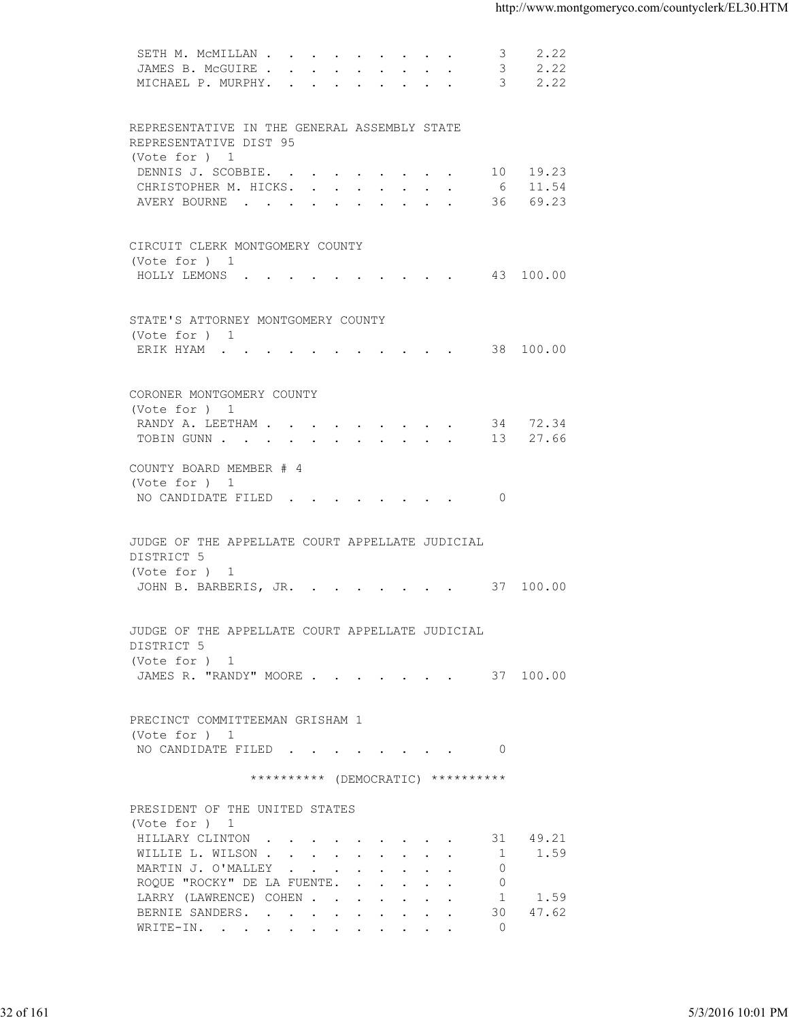| 2.22<br>JAMES B. MCGUIRE 3<br>MICHAEL P. MURPHY. 3 2.22<br>REPRESENTATIVE IN THE GENERAL ASSEMBLY STATE<br>REPRESENTATIVE DIST 95<br>(Vote for ) 1<br>DENNIS J. SCOBBIE. 10 19.23<br>CHRISTOPHER M. HICKS. 6 11.54<br>AVERY BOURNE 36 69.23<br>CIRCUIT CLERK MONTGOMERY COUNTY<br>(Vote for ) 1<br>HOLLY LEMONS ( 43 100.00<br>STATE'S ATTORNEY MONTGOMERY COUNTY<br>(Vote for ) 1<br>ERIK HYAM 38 100.00<br>CORONER MONTGOMERY COUNTY<br>(Vote for ) 1<br>RANDY A. LEETHAM 34 72.34<br>TOBIN GUNN 13 27.66<br>COUNTY BOARD MEMBER # 4<br>(Vote for ) 1<br>NO CANDIDATE FILED 0<br>JUDGE OF THE APPELLATE COURT APPELLATE JUDICIAL<br>DISTRICT 5<br>(Vote for ) 1<br>JOHN B. BARBERIS, JR. 37 100.00<br>JUDGE OF THE APPELLATE COURT APPELLATE JUDICIAL<br>DISTRICT 5<br>(Vote for ) 1<br>JAMES R. "RANDY" MOORE 37 100.00<br>PRECINCT COMMITTEEMAN GRISHAM 1<br>(Vote for ) 1<br>NO CANDIDATE FILED 0<br>********** (DEMOCRATIC) **********<br>PRESIDENT OF THE UNITED STATES<br>(Vote for ) 1<br>HILLARY CLINTON<br>31 49.21<br>WILLIE L. WILSON<br>$\sim$ 1<br>1.59<br>MARTIN J. O'MALLEY<br>$\overline{0}$<br>ROQUE "ROCKY" DE LA FUENTE.<br>$\overline{0}$<br>LARRY (LAWRENCE) COHEN<br>1 1.59<br>30 47.62<br>BERNIE SANDERS.<br>WRITE-IN.<br>$\overline{0}$ |  | 5/3/2016 10:01 PM | 2.22<br>SETH M. MCMILLAN<br>3 |  |
|-------------------------------------------------------------------------------------------------------------------------------------------------------------------------------------------------------------------------------------------------------------------------------------------------------------------------------------------------------------------------------------------------------------------------------------------------------------------------------------------------------------------------------------------------------------------------------------------------------------------------------------------------------------------------------------------------------------------------------------------------------------------------------------------------------------------------------------------------------------------------------------------------------------------------------------------------------------------------------------------------------------------------------------------------------------------------------------------------------------------------------------------------------------------------------------------------------------------------------------------------------------------|--|-------------------|-------------------------------|--|
| 32 of 161                                                                                                                                                                                                                                                                                                                                                                                                                                                                                                                                                                                                                                                                                                                                                                                                                                                                                                                                                                                                                                                                                                                                                                                                                                                         |  |                   |                               |  |
|                                                                                                                                                                                                                                                                                                                                                                                                                                                                                                                                                                                                                                                                                                                                                                                                                                                                                                                                                                                                                                                                                                                                                                                                                                                                   |  |                   |                               |  |
|                                                                                                                                                                                                                                                                                                                                                                                                                                                                                                                                                                                                                                                                                                                                                                                                                                                                                                                                                                                                                                                                                                                                                                                                                                                                   |  |                   |                               |  |
|                                                                                                                                                                                                                                                                                                                                                                                                                                                                                                                                                                                                                                                                                                                                                                                                                                                                                                                                                                                                                                                                                                                                                                                                                                                                   |  |                   |                               |  |
|                                                                                                                                                                                                                                                                                                                                                                                                                                                                                                                                                                                                                                                                                                                                                                                                                                                                                                                                                                                                                                                                                                                                                                                                                                                                   |  |                   |                               |  |
|                                                                                                                                                                                                                                                                                                                                                                                                                                                                                                                                                                                                                                                                                                                                                                                                                                                                                                                                                                                                                                                                                                                                                                                                                                                                   |  |                   |                               |  |
|                                                                                                                                                                                                                                                                                                                                                                                                                                                                                                                                                                                                                                                                                                                                                                                                                                                                                                                                                                                                                                                                                                                                                                                                                                                                   |  |                   |                               |  |
|                                                                                                                                                                                                                                                                                                                                                                                                                                                                                                                                                                                                                                                                                                                                                                                                                                                                                                                                                                                                                                                                                                                                                                                                                                                                   |  |                   |                               |  |
|                                                                                                                                                                                                                                                                                                                                                                                                                                                                                                                                                                                                                                                                                                                                                                                                                                                                                                                                                                                                                                                                                                                                                                                                                                                                   |  |                   |                               |  |
|                                                                                                                                                                                                                                                                                                                                                                                                                                                                                                                                                                                                                                                                                                                                                                                                                                                                                                                                                                                                                                                                                                                                                                                                                                                                   |  |                   |                               |  |
|                                                                                                                                                                                                                                                                                                                                                                                                                                                                                                                                                                                                                                                                                                                                                                                                                                                                                                                                                                                                                                                                                                                                                                                                                                                                   |  |                   |                               |  |
|                                                                                                                                                                                                                                                                                                                                                                                                                                                                                                                                                                                                                                                                                                                                                                                                                                                                                                                                                                                                                                                                                                                                                                                                                                                                   |  |                   |                               |  |
|                                                                                                                                                                                                                                                                                                                                                                                                                                                                                                                                                                                                                                                                                                                                                                                                                                                                                                                                                                                                                                                                                                                                                                                                                                                                   |  |                   |                               |  |
|                                                                                                                                                                                                                                                                                                                                                                                                                                                                                                                                                                                                                                                                                                                                                                                                                                                                                                                                                                                                                                                                                                                                                                                                                                                                   |  |                   |                               |  |
|                                                                                                                                                                                                                                                                                                                                                                                                                                                                                                                                                                                                                                                                                                                                                                                                                                                                                                                                                                                                                                                                                                                                                                                                                                                                   |  |                   |                               |  |
|                                                                                                                                                                                                                                                                                                                                                                                                                                                                                                                                                                                                                                                                                                                                                                                                                                                                                                                                                                                                                                                                                                                                                                                                                                                                   |  |                   |                               |  |
|                                                                                                                                                                                                                                                                                                                                                                                                                                                                                                                                                                                                                                                                                                                                                                                                                                                                                                                                                                                                                                                                                                                                                                                                                                                                   |  |                   |                               |  |
|                                                                                                                                                                                                                                                                                                                                                                                                                                                                                                                                                                                                                                                                                                                                                                                                                                                                                                                                                                                                                                                                                                                                                                                                                                                                   |  |                   |                               |  |
|                                                                                                                                                                                                                                                                                                                                                                                                                                                                                                                                                                                                                                                                                                                                                                                                                                                                                                                                                                                                                                                                                                                                                                                                                                                                   |  |                   |                               |  |
|                                                                                                                                                                                                                                                                                                                                                                                                                                                                                                                                                                                                                                                                                                                                                                                                                                                                                                                                                                                                                                                                                                                                                                                                                                                                   |  |                   |                               |  |
|                                                                                                                                                                                                                                                                                                                                                                                                                                                                                                                                                                                                                                                                                                                                                                                                                                                                                                                                                                                                                                                                                                                                                                                                                                                                   |  |                   |                               |  |
|                                                                                                                                                                                                                                                                                                                                                                                                                                                                                                                                                                                                                                                                                                                                                                                                                                                                                                                                                                                                                                                                                                                                                                                                                                                                   |  |                   |                               |  |
|                                                                                                                                                                                                                                                                                                                                                                                                                                                                                                                                                                                                                                                                                                                                                                                                                                                                                                                                                                                                                                                                                                                                                                                                                                                                   |  |                   |                               |  |
|                                                                                                                                                                                                                                                                                                                                                                                                                                                                                                                                                                                                                                                                                                                                                                                                                                                                                                                                                                                                                                                                                                                                                                                                                                                                   |  |                   |                               |  |
|                                                                                                                                                                                                                                                                                                                                                                                                                                                                                                                                                                                                                                                                                                                                                                                                                                                                                                                                                                                                                                                                                                                                                                                                                                                                   |  |                   |                               |  |
|                                                                                                                                                                                                                                                                                                                                                                                                                                                                                                                                                                                                                                                                                                                                                                                                                                                                                                                                                                                                                                                                                                                                                                                                                                                                   |  |                   |                               |  |
|                                                                                                                                                                                                                                                                                                                                                                                                                                                                                                                                                                                                                                                                                                                                                                                                                                                                                                                                                                                                                                                                                                                                                                                                                                                                   |  |                   |                               |  |
|                                                                                                                                                                                                                                                                                                                                                                                                                                                                                                                                                                                                                                                                                                                                                                                                                                                                                                                                                                                                                                                                                                                                                                                                                                                                   |  |                   |                               |  |
|                                                                                                                                                                                                                                                                                                                                                                                                                                                                                                                                                                                                                                                                                                                                                                                                                                                                                                                                                                                                                                                                                                                                                                                                                                                                   |  |                   |                               |  |
|                                                                                                                                                                                                                                                                                                                                                                                                                                                                                                                                                                                                                                                                                                                                                                                                                                                                                                                                                                                                                                                                                                                                                                                                                                                                   |  |                   |                               |  |
|                                                                                                                                                                                                                                                                                                                                                                                                                                                                                                                                                                                                                                                                                                                                                                                                                                                                                                                                                                                                                                                                                                                                                                                                                                                                   |  |                   |                               |  |
|                                                                                                                                                                                                                                                                                                                                                                                                                                                                                                                                                                                                                                                                                                                                                                                                                                                                                                                                                                                                                                                                                                                                                                                                                                                                   |  |                   |                               |  |
|                                                                                                                                                                                                                                                                                                                                                                                                                                                                                                                                                                                                                                                                                                                                                                                                                                                                                                                                                                                                                                                                                                                                                                                                                                                                   |  |                   |                               |  |
|                                                                                                                                                                                                                                                                                                                                                                                                                                                                                                                                                                                                                                                                                                                                                                                                                                                                                                                                                                                                                                                                                                                                                                                                                                                                   |  |                   |                               |  |
|                                                                                                                                                                                                                                                                                                                                                                                                                                                                                                                                                                                                                                                                                                                                                                                                                                                                                                                                                                                                                                                                                                                                                                                                                                                                   |  |                   |                               |  |
|                                                                                                                                                                                                                                                                                                                                                                                                                                                                                                                                                                                                                                                                                                                                                                                                                                                                                                                                                                                                                                                                                                                                                                                                                                                                   |  |                   |                               |  |
|                                                                                                                                                                                                                                                                                                                                                                                                                                                                                                                                                                                                                                                                                                                                                                                                                                                                                                                                                                                                                                                                                                                                                                                                                                                                   |  |                   |                               |  |
|                                                                                                                                                                                                                                                                                                                                                                                                                                                                                                                                                                                                                                                                                                                                                                                                                                                                                                                                                                                                                                                                                                                                                                                                                                                                   |  |                   |                               |  |
|                                                                                                                                                                                                                                                                                                                                                                                                                                                                                                                                                                                                                                                                                                                                                                                                                                                                                                                                                                                                                                                                                                                                                                                                                                                                   |  |                   |                               |  |
|                                                                                                                                                                                                                                                                                                                                                                                                                                                                                                                                                                                                                                                                                                                                                                                                                                                                                                                                                                                                                                                                                                                                                                                                                                                                   |  |                   |                               |  |
|                                                                                                                                                                                                                                                                                                                                                                                                                                                                                                                                                                                                                                                                                                                                                                                                                                                                                                                                                                                                                                                                                                                                                                                                                                                                   |  |                   |                               |  |
|                                                                                                                                                                                                                                                                                                                                                                                                                                                                                                                                                                                                                                                                                                                                                                                                                                                                                                                                                                                                                                                                                                                                                                                                                                                                   |  |                   |                               |  |
|                                                                                                                                                                                                                                                                                                                                                                                                                                                                                                                                                                                                                                                                                                                                                                                                                                                                                                                                                                                                                                                                                                                                                                                                                                                                   |  |                   |                               |  |
|                                                                                                                                                                                                                                                                                                                                                                                                                                                                                                                                                                                                                                                                                                                                                                                                                                                                                                                                                                                                                                                                                                                                                                                                                                                                   |  |                   |                               |  |
|                                                                                                                                                                                                                                                                                                                                                                                                                                                                                                                                                                                                                                                                                                                                                                                                                                                                                                                                                                                                                                                                                                                                                                                                                                                                   |  |                   |                               |  |
|                                                                                                                                                                                                                                                                                                                                                                                                                                                                                                                                                                                                                                                                                                                                                                                                                                                                                                                                                                                                                                                                                                                                                                                                                                                                   |  |                   |                               |  |
|                                                                                                                                                                                                                                                                                                                                                                                                                                                                                                                                                                                                                                                                                                                                                                                                                                                                                                                                                                                                                                                                                                                                                                                                                                                                   |  |                   |                               |  |
|                                                                                                                                                                                                                                                                                                                                                                                                                                                                                                                                                                                                                                                                                                                                                                                                                                                                                                                                                                                                                                                                                                                                                                                                                                                                   |  |                   |                               |  |
|                                                                                                                                                                                                                                                                                                                                                                                                                                                                                                                                                                                                                                                                                                                                                                                                                                                                                                                                                                                                                                                                                                                                                                                                                                                                   |  |                   |                               |  |
|                                                                                                                                                                                                                                                                                                                                                                                                                                                                                                                                                                                                                                                                                                                                                                                                                                                                                                                                                                                                                                                                                                                                                                                                                                                                   |  |                   |                               |  |
|                                                                                                                                                                                                                                                                                                                                                                                                                                                                                                                                                                                                                                                                                                                                                                                                                                                                                                                                                                                                                                                                                                                                                                                                                                                                   |  |                   |                               |  |
|                                                                                                                                                                                                                                                                                                                                                                                                                                                                                                                                                                                                                                                                                                                                                                                                                                                                                                                                                                                                                                                                                                                                                                                                                                                                   |  |                   |                               |  |
|                                                                                                                                                                                                                                                                                                                                                                                                                                                                                                                                                                                                                                                                                                                                                                                                                                                                                                                                                                                                                                                                                                                                                                                                                                                                   |  |                   |                               |  |
|                                                                                                                                                                                                                                                                                                                                                                                                                                                                                                                                                                                                                                                                                                                                                                                                                                                                                                                                                                                                                                                                                                                                                                                                                                                                   |  |                   |                               |  |
|                                                                                                                                                                                                                                                                                                                                                                                                                                                                                                                                                                                                                                                                                                                                                                                                                                                                                                                                                                                                                                                                                                                                                                                                                                                                   |  |                   |                               |  |
|                                                                                                                                                                                                                                                                                                                                                                                                                                                                                                                                                                                                                                                                                                                                                                                                                                                                                                                                                                                                                                                                                                                                                                                                                                                                   |  |                   |                               |  |
|                                                                                                                                                                                                                                                                                                                                                                                                                                                                                                                                                                                                                                                                                                                                                                                                                                                                                                                                                                                                                                                                                                                                                                                                                                                                   |  |                   |                               |  |
|                                                                                                                                                                                                                                                                                                                                                                                                                                                                                                                                                                                                                                                                                                                                                                                                                                                                                                                                                                                                                                                                                                                                                                                                                                                                   |  |                   |                               |  |
|                                                                                                                                                                                                                                                                                                                                                                                                                                                                                                                                                                                                                                                                                                                                                                                                                                                                                                                                                                                                                                                                                                                                                                                                                                                                   |  |                   |                               |  |
|                                                                                                                                                                                                                                                                                                                                                                                                                                                                                                                                                                                                                                                                                                                                                                                                                                                                                                                                                                                                                                                                                                                                                                                                                                                                   |  |                   |                               |  |
|                                                                                                                                                                                                                                                                                                                                                                                                                                                                                                                                                                                                                                                                                                                                                                                                                                                                                                                                                                                                                                                                                                                                                                                                                                                                   |  |                   |                               |  |
|                                                                                                                                                                                                                                                                                                                                                                                                                                                                                                                                                                                                                                                                                                                                                                                                                                                                                                                                                                                                                                                                                                                                                                                                                                                                   |  |                   |                               |  |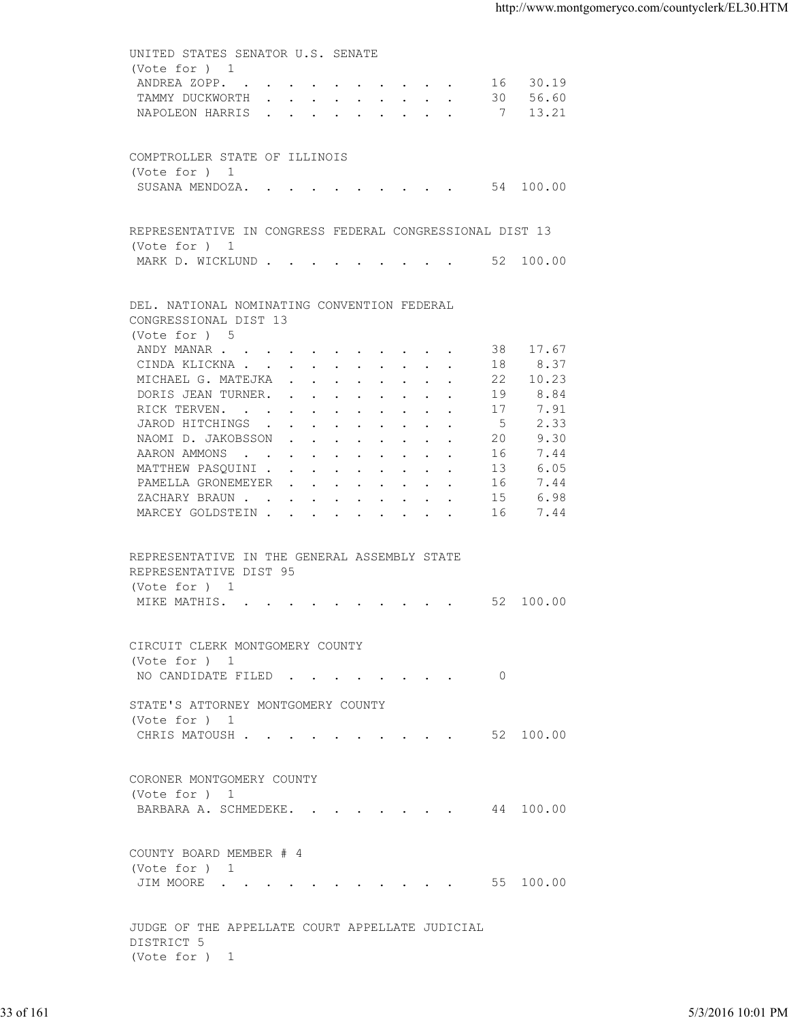UNITED STATES SENATOR U.S. SENATE (Vote for ) 1 ANDREA ZOPP. . . . . . . . . . . 16 30.19 TAMMY DUCKWORTH . . . . . . . . . 30 56.60 NAPOLEON HARRIS . . . . . . . . . 7 13.21 COMPTROLLER STATE OF ILLINOIS (Vote for ) 1 SUSANA MENDOZA. . . . . . . . . . 54 100.00 REPRESENTATIVE IN CONGRESS FEDERAL CONGRESSIONAL DIST 13 (Vote for ) 1 MARK D. WICKLUND . . . . . . . . . 52 100.00 DEL. NATIONAL NOMINATING CONVENTION FEDERAL CONGRESSIONAL DIST 13 (Vote for ) 5 ANDY MANAR . . . . . . . . . . . . 38 17.67 CINDA KLICKNA . . . . . . . . . . 18 8.37 MICHAEL G. MATEJKA . . . . . . . . 22 10.23<br>DORIS JEAN TURNER. . . . . . . . . 19 8.84 DORIS JEAN TURNER. . . . . . . . . . 19<br>RICK TERVEN. . . . . . . . . . . 17 RICK TERVEN. . . . . . . . . . . 17 7.91 JAROD HITCHINGS . . . . . . . . . 5 2.33 NAOMI D. JAKOBSSON . . . . . . . . 20 9.30<br>AARON AMMONS . . . . . . . . . . 16 7.44 AARON AMMONS . . . . . . . . . . 16<br>MATTHEW PASQUINI . . . . . . . . . 13 MATTHEW PASQUINI . . . . . . . . . 13 6.05<br>PAMELLA GRONEMEYER . . . . . . . . 16 7.44 PAMELLA GRONEMEYER . . . . . . . . 16 7.44<br>ZACHARY BRAUN . . . . . . . . . . 15 6.98 ZACHARY BRAUN . . . . . . . . . . MARCEY GOLDSTEIN . . . . . . . . . 16 7.44 REPRESENTATIVE IN THE GENERAL ASSEMBLY STATE REPRESENTATIVE DIST 95 (Vote for ) 1 MIKE MATHIS. . . . . . . . . . . . 52 100.00 CIRCUIT CLERK MONTGOMERY COUNTY (Vote for ) 1 NO CANDIDATE FILED . . . . . . . . 0 STATE'S ATTORNEY MONTGOMERY COUNTY (Vote for ) 1 CHRIS MATOUSH . . . . . . . . . . 52 100.00 CORONER MONTGOMERY COUNTY (Vote for ) 1 BARBARA A. SCHMEDEKE. . . . . . . . 44 100.00 COUNTY BOARD MEMBER # 4 (Vote for ) 1<br>JIM MOORE . . . . . . . . . . . 55 100.00 JUDGE OF THE APPELLATE COURT APPELLATE JUDICIAL DISTRICT 5 (Vote for ) 1 33 of 161 5/3/2016 10:01 PM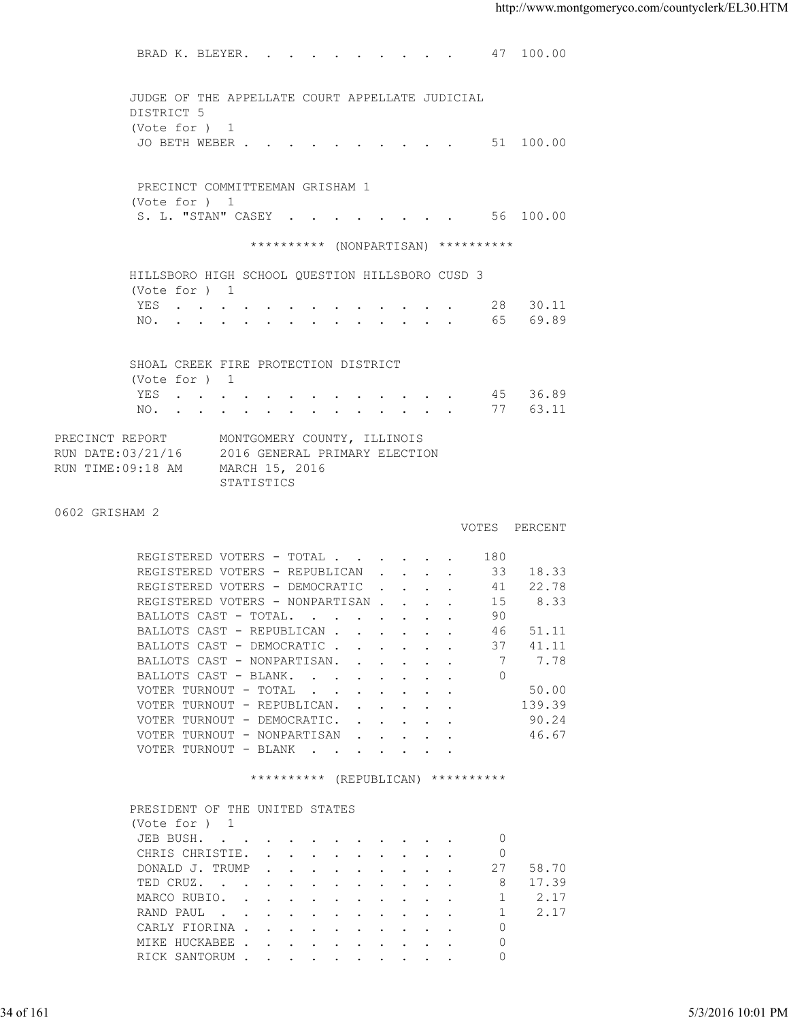BRAD K. BLEYER. . . . . . . . . . 47 100.00 JUDGE OF THE APPELLATE COURT APPELLATE JUDICIAL DISTRICT 5 (Vote for ) 1 JO BETH WEBER . . . . . . . . . . . 51 100.00 PRECINCT COMMITTEEMAN GRISHAM 1 (Vote for ) 1 S. L. "STAN" CASEY . . . . . . . . 56 100.00 \*\*\*\*\*\*\*\*\*\* (NONPARTISAN) \*\*\*\*\*\*\*\*\*\* HILLSBORO HIGH SCHOOL QUESTION HILLSBORO CUSD 3 (Vote for ) 1 YES . . . . . . . . . . . . . 28 30.11 NO. . . . . . . . . . . . . . . 65 69.89 SHOAL CREEK FIRE PROTECTION DISTRICT (Vote for ) 1 YES . . . . . . . . . . . . . 45 36.89 NO. . . . . . . . . . . . . . 77 63.11 PRECINCT REPORT MONTGOMERY COUNTY, ILLINOIS RUN DATE:03/21/16 2016 GENERAL PRIMARY ELECTION RUN TIME:09:18 AM MARCH 15, 2016 STATISTICS 0602 GRISHAM 2 VOTES PERCENT REGISTERED VOTERS - TOTAL . . . . . . 180<br>REGISTERED VOTERS - REPUBLICAN . . . . 33 REGISTERED VOTERS - REPUBLICAN . . . . 33 18.33 REGISTERED VOTERS - DEMOCRATIC . . . . 41 22.78 REGISTERED VOTERS - NONPARTISAN . . . . 15 8.33<br>BALLOTS CAST - TOTAL. . . . . . . . . 90 BALLOTS CAST - TOTAL. . . . . . . . 90<br>BALLOTS CAST - REPUBLICAN . . . . . . 46 51.11 BALLOTS CAST - REPUBLICAN . . . . . . 46<br>BALLOTS CAST - DEMOCRATIC . . . . . . 37 BALLOTS CAST - DEMOCRATIC . . . . . . 37 41.11<br>BALLOTS CAST - NONPARTISAN. . . . . . 7 7.78 BALLOTS CAST - NONPARTISAN. . . . . . 7 7.78 BALLOTS CAST - BLANK. . . . . . . . 0 VOTER TURNOUT - TOTAL  $\ldots$  . . . . . . . 50.00<br>VOTER TURNOUT - REPUBLICAN. . . . . . . 139.39 VOTER TURNOUT - REPUBLICAN. . . . . . VOTER TURNOUT - DEMOCRATIC. . . . . . 90.24 VOTER TURNOUT - NONPARTISAN . . . . . 46.67 VOTER TURNOUT - BLANK . . . . . . . \*\*\*\*\*\*\*\*\*\* (REPUBLICAN) \*\*\*\*\*\*\*\*\*\* PRESIDENT OF THE UNITED STATES (Vote for ) 1 JEB BUSH. . . . . . . . . . . 0 CHRIS CHRISTIE. . . . . . . . . 0 DONALD J. TRUMP . . . . . . . . . . 27 58.70<br>TED CRUZ. . . . . . . . . . . . 8 17.39 TED CRUZ. . . . . . . . . MARCO RUBIO. . . . . . . . . . . . 1 2.17 RAND PAUL . . . . . . . . . . . 1 2.17 CARLY FIORINA . . . . . . . . . . 0 MIKE HUCKABEE . . . . . . . . . 0 RICK SANTORUM . . . . . . . . . . 0 XAND COND.<br>
VOTER TURNOUT - TOYAL.<br>
VOTER TURNOUT - REVIBITICAN.<br>
VOTER TURNOUT - REVIBITICAN.<br>
VOTER TURNOUT - DEMOCRATIC.<br>
VOTER TURNOUT - DEMOCRATIC.<br>
VOTER TURNOUT - DEMOKRITS.<br>
VOTER TURNOUT - DEMOKRITS.<br>
SERIES TURNO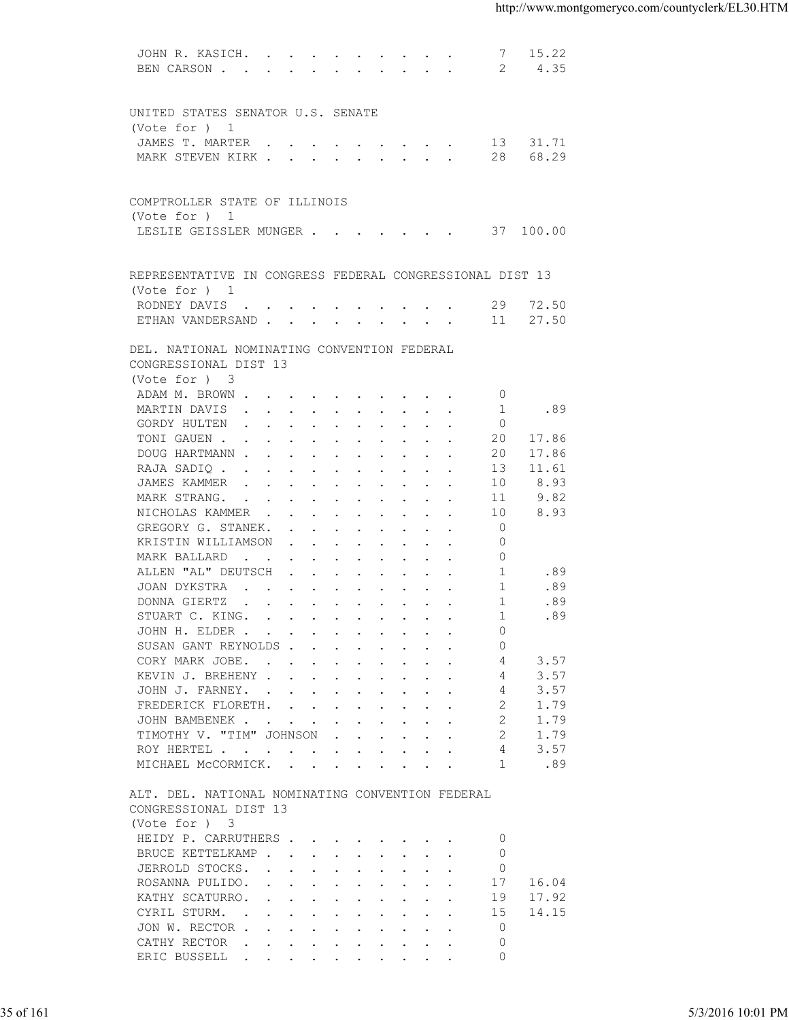| 15.22<br>JOHN R. KASICH.<br>-7<br>4.35<br>BEN CARSON<br>- 2<br>UNITED STATES SENATOR U.S. SENATE<br>(Vote for ) 1<br>JAMES T. MARTER 13 31.71<br>MARK STEVEN KIRK 28<br>68.29<br>COMPTROLLER STATE OF ILLINOIS<br>(Vote for $)$ 1<br>LESLIE GEISSLER MUNGER 37 100.00<br>REPRESENTATIVE IN CONGRESS FEDERAL CONGRESSIONAL DIST 13<br>(Vote for ) 1<br>RODNEY DAVIS 29 72.50<br>27.50<br>ETHAN VANDERSAND 11<br>DEL. NATIONAL NOMINATING CONVENTION FEDERAL<br>CONGRESSIONAL DIST 13<br>(Vote for ) 3<br>ADAM M. BROWN<br>$\circ$<br>.89<br>MARTIN DAVIS<br>1<br>GORDY HULTEN<br>$\circ$<br>TONI GAUEN<br>17.86<br>20<br>17.86<br>DOUG HARTMANN<br>20<br>RAJA SADIQ<br>13<br>11.61<br>JAMES KAMMER<br>10<br>8.93<br>9.82<br>MARK STRANG.<br>11<br>NICHOLAS KAMMER<br>10<br>8.93<br>GREGORY G. STANEK.<br>$\circ$<br>$\Omega$<br>KRISTIN WILLIAMSON<br>$\Omega$<br>MARK BALLARD<br>ALLEN "AL" DEUTSCH<br>1<br>.89<br>JOAN DYKSTRA<br>.89<br>1<br>.89<br>DONNA GIERTZ<br>-1<br>.89<br>-1<br>STUART C. KING.<br>$\circ$<br>JOHN H. ELDER<br>SUSAN GANT REYNOLDS<br>$\Omega$<br>3.57<br>CORY MARK JOBE.<br>4<br>KEVIN J. BREHENY<br>3.57<br>4<br>3.57<br>JOHN J. FARNEY.<br>4<br>FREDERICK FLORETH.<br>2<br>1.79<br>2<br>JOHN BAMBENEK<br>1.79<br>TIMOTHY V. "TIM" JOHNSON<br>2<br>1.79<br>$\mathbf{r}$ . The contract of the contract of the contract of the contract of the contract of the contract of the contract of the contract of the contract of the contract of the contract of the contract of the contract of th<br>3.57<br>ROY HERTEL<br>4<br>MICHAEL MCCORMICK.<br>.89<br>-1<br>ALT. DEL. NATIONAL NOMINATING CONVENTION FEDERAL<br>CONGRESSIONAL DIST 13<br>(Vote for ) 3<br>HEIDY P. CARRUTHERS<br>$\Omega$<br>BRUCE KETTELKAMP<br>$\mathbf{0}$<br>$\circ$<br>JERROLD STOCKS.<br>ROSANNA PULIDO.<br>16.04<br>17<br>17.92<br>KATHY SCATURRO.<br>19<br>14.15<br>CYRIL STURM.<br>15<br>JON W. RECTOR<br>$\overline{0}$<br>$\circ$<br>CATHY RECTOR<br>the contract of the contract of the contract of the contract of the contract of the contract of the contract of<br>$\circ$<br>ERIC BUSSELL<br>35 of 161<br>5/3/2016 10:01 PM |  |  |
|-------------------------------------------------------------------------------------------------------------------------------------------------------------------------------------------------------------------------------------------------------------------------------------------------------------------------------------------------------------------------------------------------------------------------------------------------------------------------------------------------------------------------------------------------------------------------------------------------------------------------------------------------------------------------------------------------------------------------------------------------------------------------------------------------------------------------------------------------------------------------------------------------------------------------------------------------------------------------------------------------------------------------------------------------------------------------------------------------------------------------------------------------------------------------------------------------------------------------------------------------------------------------------------------------------------------------------------------------------------------------------------------------------------------------------------------------------------------------------------------------------------------------------------------------------------------------------------------------------------------------------------------------------------------------------------------------------------------------------------------------------------------------------------------------------------------------------------------------------------------------------------------------------------------------------------------------------------------------------------------------------------------------------------------------------------------------------------------------------------------------------------------|--|--|
|                                                                                                                                                                                                                                                                                                                                                                                                                                                                                                                                                                                                                                                                                                                                                                                                                                                                                                                                                                                                                                                                                                                                                                                                                                                                                                                                                                                                                                                                                                                                                                                                                                                                                                                                                                                                                                                                                                                                                                                                                                                                                                                                           |  |  |
|                                                                                                                                                                                                                                                                                                                                                                                                                                                                                                                                                                                                                                                                                                                                                                                                                                                                                                                                                                                                                                                                                                                                                                                                                                                                                                                                                                                                                                                                                                                                                                                                                                                                                                                                                                                                                                                                                                                                                                                                                                                                                                                                           |  |  |
|                                                                                                                                                                                                                                                                                                                                                                                                                                                                                                                                                                                                                                                                                                                                                                                                                                                                                                                                                                                                                                                                                                                                                                                                                                                                                                                                                                                                                                                                                                                                                                                                                                                                                                                                                                                                                                                                                                                                                                                                                                                                                                                                           |  |  |
|                                                                                                                                                                                                                                                                                                                                                                                                                                                                                                                                                                                                                                                                                                                                                                                                                                                                                                                                                                                                                                                                                                                                                                                                                                                                                                                                                                                                                                                                                                                                                                                                                                                                                                                                                                                                                                                                                                                                                                                                                                                                                                                                           |  |  |
|                                                                                                                                                                                                                                                                                                                                                                                                                                                                                                                                                                                                                                                                                                                                                                                                                                                                                                                                                                                                                                                                                                                                                                                                                                                                                                                                                                                                                                                                                                                                                                                                                                                                                                                                                                                                                                                                                                                                                                                                                                                                                                                                           |  |  |
|                                                                                                                                                                                                                                                                                                                                                                                                                                                                                                                                                                                                                                                                                                                                                                                                                                                                                                                                                                                                                                                                                                                                                                                                                                                                                                                                                                                                                                                                                                                                                                                                                                                                                                                                                                                                                                                                                                                                                                                                                                                                                                                                           |  |  |
|                                                                                                                                                                                                                                                                                                                                                                                                                                                                                                                                                                                                                                                                                                                                                                                                                                                                                                                                                                                                                                                                                                                                                                                                                                                                                                                                                                                                                                                                                                                                                                                                                                                                                                                                                                                                                                                                                                                                                                                                                                                                                                                                           |  |  |
|                                                                                                                                                                                                                                                                                                                                                                                                                                                                                                                                                                                                                                                                                                                                                                                                                                                                                                                                                                                                                                                                                                                                                                                                                                                                                                                                                                                                                                                                                                                                                                                                                                                                                                                                                                                                                                                                                                                                                                                                                                                                                                                                           |  |  |
|                                                                                                                                                                                                                                                                                                                                                                                                                                                                                                                                                                                                                                                                                                                                                                                                                                                                                                                                                                                                                                                                                                                                                                                                                                                                                                                                                                                                                                                                                                                                                                                                                                                                                                                                                                                                                                                                                                                                                                                                                                                                                                                                           |  |  |
|                                                                                                                                                                                                                                                                                                                                                                                                                                                                                                                                                                                                                                                                                                                                                                                                                                                                                                                                                                                                                                                                                                                                                                                                                                                                                                                                                                                                                                                                                                                                                                                                                                                                                                                                                                                                                                                                                                                                                                                                                                                                                                                                           |  |  |
|                                                                                                                                                                                                                                                                                                                                                                                                                                                                                                                                                                                                                                                                                                                                                                                                                                                                                                                                                                                                                                                                                                                                                                                                                                                                                                                                                                                                                                                                                                                                                                                                                                                                                                                                                                                                                                                                                                                                                                                                                                                                                                                                           |  |  |
|                                                                                                                                                                                                                                                                                                                                                                                                                                                                                                                                                                                                                                                                                                                                                                                                                                                                                                                                                                                                                                                                                                                                                                                                                                                                                                                                                                                                                                                                                                                                                                                                                                                                                                                                                                                                                                                                                                                                                                                                                                                                                                                                           |  |  |
|                                                                                                                                                                                                                                                                                                                                                                                                                                                                                                                                                                                                                                                                                                                                                                                                                                                                                                                                                                                                                                                                                                                                                                                                                                                                                                                                                                                                                                                                                                                                                                                                                                                                                                                                                                                                                                                                                                                                                                                                                                                                                                                                           |  |  |
|                                                                                                                                                                                                                                                                                                                                                                                                                                                                                                                                                                                                                                                                                                                                                                                                                                                                                                                                                                                                                                                                                                                                                                                                                                                                                                                                                                                                                                                                                                                                                                                                                                                                                                                                                                                                                                                                                                                                                                                                                                                                                                                                           |  |  |
|                                                                                                                                                                                                                                                                                                                                                                                                                                                                                                                                                                                                                                                                                                                                                                                                                                                                                                                                                                                                                                                                                                                                                                                                                                                                                                                                                                                                                                                                                                                                                                                                                                                                                                                                                                                                                                                                                                                                                                                                                                                                                                                                           |  |  |
|                                                                                                                                                                                                                                                                                                                                                                                                                                                                                                                                                                                                                                                                                                                                                                                                                                                                                                                                                                                                                                                                                                                                                                                                                                                                                                                                                                                                                                                                                                                                                                                                                                                                                                                                                                                                                                                                                                                                                                                                                                                                                                                                           |  |  |
|                                                                                                                                                                                                                                                                                                                                                                                                                                                                                                                                                                                                                                                                                                                                                                                                                                                                                                                                                                                                                                                                                                                                                                                                                                                                                                                                                                                                                                                                                                                                                                                                                                                                                                                                                                                                                                                                                                                                                                                                                                                                                                                                           |  |  |
|                                                                                                                                                                                                                                                                                                                                                                                                                                                                                                                                                                                                                                                                                                                                                                                                                                                                                                                                                                                                                                                                                                                                                                                                                                                                                                                                                                                                                                                                                                                                                                                                                                                                                                                                                                                                                                                                                                                                                                                                                                                                                                                                           |  |  |
|                                                                                                                                                                                                                                                                                                                                                                                                                                                                                                                                                                                                                                                                                                                                                                                                                                                                                                                                                                                                                                                                                                                                                                                                                                                                                                                                                                                                                                                                                                                                                                                                                                                                                                                                                                                                                                                                                                                                                                                                                                                                                                                                           |  |  |
|                                                                                                                                                                                                                                                                                                                                                                                                                                                                                                                                                                                                                                                                                                                                                                                                                                                                                                                                                                                                                                                                                                                                                                                                                                                                                                                                                                                                                                                                                                                                                                                                                                                                                                                                                                                                                                                                                                                                                                                                                                                                                                                                           |  |  |
|                                                                                                                                                                                                                                                                                                                                                                                                                                                                                                                                                                                                                                                                                                                                                                                                                                                                                                                                                                                                                                                                                                                                                                                                                                                                                                                                                                                                                                                                                                                                                                                                                                                                                                                                                                                                                                                                                                                                                                                                                                                                                                                                           |  |  |
|                                                                                                                                                                                                                                                                                                                                                                                                                                                                                                                                                                                                                                                                                                                                                                                                                                                                                                                                                                                                                                                                                                                                                                                                                                                                                                                                                                                                                                                                                                                                                                                                                                                                                                                                                                                                                                                                                                                                                                                                                                                                                                                                           |  |  |
|                                                                                                                                                                                                                                                                                                                                                                                                                                                                                                                                                                                                                                                                                                                                                                                                                                                                                                                                                                                                                                                                                                                                                                                                                                                                                                                                                                                                                                                                                                                                                                                                                                                                                                                                                                                                                                                                                                                                                                                                                                                                                                                                           |  |  |
|                                                                                                                                                                                                                                                                                                                                                                                                                                                                                                                                                                                                                                                                                                                                                                                                                                                                                                                                                                                                                                                                                                                                                                                                                                                                                                                                                                                                                                                                                                                                                                                                                                                                                                                                                                                                                                                                                                                                                                                                                                                                                                                                           |  |  |
|                                                                                                                                                                                                                                                                                                                                                                                                                                                                                                                                                                                                                                                                                                                                                                                                                                                                                                                                                                                                                                                                                                                                                                                                                                                                                                                                                                                                                                                                                                                                                                                                                                                                                                                                                                                                                                                                                                                                                                                                                                                                                                                                           |  |  |
|                                                                                                                                                                                                                                                                                                                                                                                                                                                                                                                                                                                                                                                                                                                                                                                                                                                                                                                                                                                                                                                                                                                                                                                                                                                                                                                                                                                                                                                                                                                                                                                                                                                                                                                                                                                                                                                                                                                                                                                                                                                                                                                                           |  |  |
|                                                                                                                                                                                                                                                                                                                                                                                                                                                                                                                                                                                                                                                                                                                                                                                                                                                                                                                                                                                                                                                                                                                                                                                                                                                                                                                                                                                                                                                                                                                                                                                                                                                                                                                                                                                                                                                                                                                                                                                                                                                                                                                                           |  |  |
|                                                                                                                                                                                                                                                                                                                                                                                                                                                                                                                                                                                                                                                                                                                                                                                                                                                                                                                                                                                                                                                                                                                                                                                                                                                                                                                                                                                                                                                                                                                                                                                                                                                                                                                                                                                                                                                                                                                                                                                                                                                                                                                                           |  |  |
|                                                                                                                                                                                                                                                                                                                                                                                                                                                                                                                                                                                                                                                                                                                                                                                                                                                                                                                                                                                                                                                                                                                                                                                                                                                                                                                                                                                                                                                                                                                                                                                                                                                                                                                                                                                                                                                                                                                                                                                                                                                                                                                                           |  |  |
|                                                                                                                                                                                                                                                                                                                                                                                                                                                                                                                                                                                                                                                                                                                                                                                                                                                                                                                                                                                                                                                                                                                                                                                                                                                                                                                                                                                                                                                                                                                                                                                                                                                                                                                                                                                                                                                                                                                                                                                                                                                                                                                                           |  |  |
|                                                                                                                                                                                                                                                                                                                                                                                                                                                                                                                                                                                                                                                                                                                                                                                                                                                                                                                                                                                                                                                                                                                                                                                                                                                                                                                                                                                                                                                                                                                                                                                                                                                                                                                                                                                                                                                                                                                                                                                                                                                                                                                                           |  |  |
|                                                                                                                                                                                                                                                                                                                                                                                                                                                                                                                                                                                                                                                                                                                                                                                                                                                                                                                                                                                                                                                                                                                                                                                                                                                                                                                                                                                                                                                                                                                                                                                                                                                                                                                                                                                                                                                                                                                                                                                                                                                                                                                                           |  |  |
|                                                                                                                                                                                                                                                                                                                                                                                                                                                                                                                                                                                                                                                                                                                                                                                                                                                                                                                                                                                                                                                                                                                                                                                                                                                                                                                                                                                                                                                                                                                                                                                                                                                                                                                                                                                                                                                                                                                                                                                                                                                                                                                                           |  |  |
|                                                                                                                                                                                                                                                                                                                                                                                                                                                                                                                                                                                                                                                                                                                                                                                                                                                                                                                                                                                                                                                                                                                                                                                                                                                                                                                                                                                                                                                                                                                                                                                                                                                                                                                                                                                                                                                                                                                                                                                                                                                                                                                                           |  |  |
|                                                                                                                                                                                                                                                                                                                                                                                                                                                                                                                                                                                                                                                                                                                                                                                                                                                                                                                                                                                                                                                                                                                                                                                                                                                                                                                                                                                                                                                                                                                                                                                                                                                                                                                                                                                                                                                                                                                                                                                                                                                                                                                                           |  |  |
|                                                                                                                                                                                                                                                                                                                                                                                                                                                                                                                                                                                                                                                                                                                                                                                                                                                                                                                                                                                                                                                                                                                                                                                                                                                                                                                                                                                                                                                                                                                                                                                                                                                                                                                                                                                                                                                                                                                                                                                                                                                                                                                                           |  |  |
|                                                                                                                                                                                                                                                                                                                                                                                                                                                                                                                                                                                                                                                                                                                                                                                                                                                                                                                                                                                                                                                                                                                                                                                                                                                                                                                                                                                                                                                                                                                                                                                                                                                                                                                                                                                                                                                                                                                                                                                                                                                                                                                                           |  |  |
|                                                                                                                                                                                                                                                                                                                                                                                                                                                                                                                                                                                                                                                                                                                                                                                                                                                                                                                                                                                                                                                                                                                                                                                                                                                                                                                                                                                                                                                                                                                                                                                                                                                                                                                                                                                                                                                                                                                                                                                                                                                                                                                                           |  |  |
|                                                                                                                                                                                                                                                                                                                                                                                                                                                                                                                                                                                                                                                                                                                                                                                                                                                                                                                                                                                                                                                                                                                                                                                                                                                                                                                                                                                                                                                                                                                                                                                                                                                                                                                                                                                                                                                                                                                                                                                                                                                                                                                                           |  |  |
|                                                                                                                                                                                                                                                                                                                                                                                                                                                                                                                                                                                                                                                                                                                                                                                                                                                                                                                                                                                                                                                                                                                                                                                                                                                                                                                                                                                                                                                                                                                                                                                                                                                                                                                                                                                                                                                                                                                                                                                                                                                                                                                                           |  |  |
|                                                                                                                                                                                                                                                                                                                                                                                                                                                                                                                                                                                                                                                                                                                                                                                                                                                                                                                                                                                                                                                                                                                                                                                                                                                                                                                                                                                                                                                                                                                                                                                                                                                                                                                                                                                                                                                                                                                                                                                                                                                                                                                                           |  |  |
|                                                                                                                                                                                                                                                                                                                                                                                                                                                                                                                                                                                                                                                                                                                                                                                                                                                                                                                                                                                                                                                                                                                                                                                                                                                                                                                                                                                                                                                                                                                                                                                                                                                                                                                                                                                                                                                                                                                                                                                                                                                                                                                                           |  |  |
|                                                                                                                                                                                                                                                                                                                                                                                                                                                                                                                                                                                                                                                                                                                                                                                                                                                                                                                                                                                                                                                                                                                                                                                                                                                                                                                                                                                                                                                                                                                                                                                                                                                                                                                                                                                                                                                                                                                                                                                                                                                                                                                                           |  |  |
|                                                                                                                                                                                                                                                                                                                                                                                                                                                                                                                                                                                                                                                                                                                                                                                                                                                                                                                                                                                                                                                                                                                                                                                                                                                                                                                                                                                                                                                                                                                                                                                                                                                                                                                                                                                                                                                                                                                                                                                                                                                                                                                                           |  |  |
|                                                                                                                                                                                                                                                                                                                                                                                                                                                                                                                                                                                                                                                                                                                                                                                                                                                                                                                                                                                                                                                                                                                                                                                                                                                                                                                                                                                                                                                                                                                                                                                                                                                                                                                                                                                                                                                                                                                                                                                                                                                                                                                                           |  |  |
|                                                                                                                                                                                                                                                                                                                                                                                                                                                                                                                                                                                                                                                                                                                                                                                                                                                                                                                                                                                                                                                                                                                                                                                                                                                                                                                                                                                                                                                                                                                                                                                                                                                                                                                                                                                                                                                                                                                                                                                                                                                                                                                                           |  |  |
|                                                                                                                                                                                                                                                                                                                                                                                                                                                                                                                                                                                                                                                                                                                                                                                                                                                                                                                                                                                                                                                                                                                                                                                                                                                                                                                                                                                                                                                                                                                                                                                                                                                                                                                                                                                                                                                                                                                                                                                                                                                                                                                                           |  |  |
|                                                                                                                                                                                                                                                                                                                                                                                                                                                                                                                                                                                                                                                                                                                                                                                                                                                                                                                                                                                                                                                                                                                                                                                                                                                                                                                                                                                                                                                                                                                                                                                                                                                                                                                                                                                                                                                                                                                                                                                                                                                                                                                                           |  |  |
|                                                                                                                                                                                                                                                                                                                                                                                                                                                                                                                                                                                                                                                                                                                                                                                                                                                                                                                                                                                                                                                                                                                                                                                                                                                                                                                                                                                                                                                                                                                                                                                                                                                                                                                                                                                                                                                                                                                                                                                                                                                                                                                                           |  |  |
|                                                                                                                                                                                                                                                                                                                                                                                                                                                                                                                                                                                                                                                                                                                                                                                                                                                                                                                                                                                                                                                                                                                                                                                                                                                                                                                                                                                                                                                                                                                                                                                                                                                                                                                                                                                                                                                                                                                                                                                                                                                                                                                                           |  |  |
|                                                                                                                                                                                                                                                                                                                                                                                                                                                                                                                                                                                                                                                                                                                                                                                                                                                                                                                                                                                                                                                                                                                                                                                                                                                                                                                                                                                                                                                                                                                                                                                                                                                                                                                                                                                                                                                                                                                                                                                                                                                                                                                                           |  |  |
|                                                                                                                                                                                                                                                                                                                                                                                                                                                                                                                                                                                                                                                                                                                                                                                                                                                                                                                                                                                                                                                                                                                                                                                                                                                                                                                                                                                                                                                                                                                                                                                                                                                                                                                                                                                                                                                                                                                                                                                                                                                                                                                                           |  |  |
|                                                                                                                                                                                                                                                                                                                                                                                                                                                                                                                                                                                                                                                                                                                                                                                                                                                                                                                                                                                                                                                                                                                                                                                                                                                                                                                                                                                                                                                                                                                                                                                                                                                                                                                                                                                                                                                                                                                                                                                                                                                                                                                                           |  |  |
|                                                                                                                                                                                                                                                                                                                                                                                                                                                                                                                                                                                                                                                                                                                                                                                                                                                                                                                                                                                                                                                                                                                                                                                                                                                                                                                                                                                                                                                                                                                                                                                                                                                                                                                                                                                                                                                                                                                                                                                                                                                                                                                                           |  |  |
|                                                                                                                                                                                                                                                                                                                                                                                                                                                                                                                                                                                                                                                                                                                                                                                                                                                                                                                                                                                                                                                                                                                                                                                                                                                                                                                                                                                                                                                                                                                                                                                                                                                                                                                                                                                                                                                                                                                                                                                                                                                                                                                                           |  |  |
|                                                                                                                                                                                                                                                                                                                                                                                                                                                                                                                                                                                                                                                                                                                                                                                                                                                                                                                                                                                                                                                                                                                                                                                                                                                                                                                                                                                                                                                                                                                                                                                                                                                                                                                                                                                                                                                                                                                                                                                                                                                                                                                                           |  |  |
|                                                                                                                                                                                                                                                                                                                                                                                                                                                                                                                                                                                                                                                                                                                                                                                                                                                                                                                                                                                                                                                                                                                                                                                                                                                                                                                                                                                                                                                                                                                                                                                                                                                                                                                                                                                                                                                                                                                                                                                                                                                                                                                                           |  |  |
|                                                                                                                                                                                                                                                                                                                                                                                                                                                                                                                                                                                                                                                                                                                                                                                                                                                                                                                                                                                                                                                                                                                                                                                                                                                                                                                                                                                                                                                                                                                                                                                                                                                                                                                                                                                                                                                                                                                                                                                                                                                                                                                                           |  |  |
|                                                                                                                                                                                                                                                                                                                                                                                                                                                                                                                                                                                                                                                                                                                                                                                                                                                                                                                                                                                                                                                                                                                                                                                                                                                                                                                                                                                                                                                                                                                                                                                                                                                                                                                                                                                                                                                                                                                                                                                                                                                                                                                                           |  |  |
|                                                                                                                                                                                                                                                                                                                                                                                                                                                                                                                                                                                                                                                                                                                                                                                                                                                                                                                                                                                                                                                                                                                                                                                                                                                                                                                                                                                                                                                                                                                                                                                                                                                                                                                                                                                                                                                                                                                                                                                                                                                                                                                                           |  |  |
|                                                                                                                                                                                                                                                                                                                                                                                                                                                                                                                                                                                                                                                                                                                                                                                                                                                                                                                                                                                                                                                                                                                                                                                                                                                                                                                                                                                                                                                                                                                                                                                                                                                                                                                                                                                                                                                                                                                                                                                                                                                                                                                                           |  |  |
|                                                                                                                                                                                                                                                                                                                                                                                                                                                                                                                                                                                                                                                                                                                                                                                                                                                                                                                                                                                                                                                                                                                                                                                                                                                                                                                                                                                                                                                                                                                                                                                                                                                                                                                                                                                                                                                                                                                                                                                                                                                                                                                                           |  |  |
|                                                                                                                                                                                                                                                                                                                                                                                                                                                                                                                                                                                                                                                                                                                                                                                                                                                                                                                                                                                                                                                                                                                                                                                                                                                                                                                                                                                                                                                                                                                                                                                                                                                                                                                                                                                                                                                                                                                                                                                                                                                                                                                                           |  |  |
|                                                                                                                                                                                                                                                                                                                                                                                                                                                                                                                                                                                                                                                                                                                                                                                                                                                                                                                                                                                                                                                                                                                                                                                                                                                                                                                                                                                                                                                                                                                                                                                                                                                                                                                                                                                                                                                                                                                                                                                                                                                                                                                                           |  |  |
|                                                                                                                                                                                                                                                                                                                                                                                                                                                                                                                                                                                                                                                                                                                                                                                                                                                                                                                                                                                                                                                                                                                                                                                                                                                                                                                                                                                                                                                                                                                                                                                                                                                                                                                                                                                                                                                                                                                                                                                                                                                                                                                                           |  |  |
|                                                                                                                                                                                                                                                                                                                                                                                                                                                                                                                                                                                                                                                                                                                                                                                                                                                                                                                                                                                                                                                                                                                                                                                                                                                                                                                                                                                                                                                                                                                                                                                                                                                                                                                                                                                                                                                                                                                                                                                                                                                                                                                                           |  |  |
|                                                                                                                                                                                                                                                                                                                                                                                                                                                                                                                                                                                                                                                                                                                                                                                                                                                                                                                                                                                                                                                                                                                                                                                                                                                                                                                                                                                                                                                                                                                                                                                                                                                                                                                                                                                                                                                                                                                                                                                                                                                                                                                                           |  |  |
|                                                                                                                                                                                                                                                                                                                                                                                                                                                                                                                                                                                                                                                                                                                                                                                                                                                                                                                                                                                                                                                                                                                                                                                                                                                                                                                                                                                                                                                                                                                                                                                                                                                                                                                                                                                                                                                                                                                                                                                                                                                                                                                                           |  |  |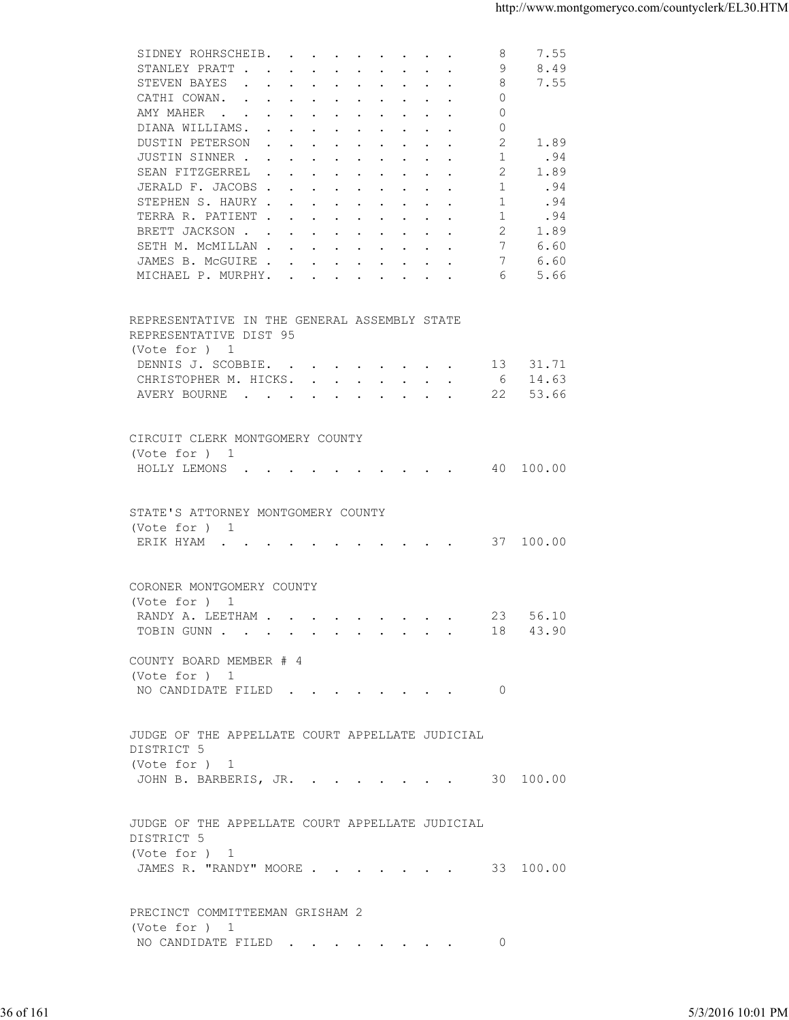| STANLEY PRATT<br>9<br>8.49<br>STEVEN BAYES<br>8<br>7.55<br>$\Omega$<br>CATHI COWAN.<br>$\Omega$<br>AMY MAHER<br>$\Omega$<br>DIANA WILLIAMS.<br>2<br>DUSTIN PETERSON<br>1.89<br>JUSTIN SINNER<br>1<br>.94<br>1.89<br>SEAN FITZGERREL<br>2<br>JERALD F. JACOBS<br>.94<br>1<br>STEPHEN S. HAURY<br>1<br>.94<br>TERRA R. PATIENT<br>1<br>.94<br>2<br>BRETT JACKSON<br>1.89<br>7<br>SETH M. MCMILLAN<br>6.60<br>7<br>JAMES B. MCGUIRE<br>6.60<br>5.66<br>MICHAEL P. MURPHY.<br>6<br>REPRESENTATIVE IN THE GENERAL ASSEMBLY STATE<br>REPRESENTATIVE DIST 95<br>(Vote for ) 1<br>DENNIS J. SCOBBIE.<br>13 31.71<br>CHRISTOPHER M. HICKS. 6 14.63<br>AVERY BOURNE<br>22 53.66<br>CIRCUIT CLERK MONTGOMERY COUNTY<br>(Vote for ) 1<br>HOLLY LEMONS 40 100.00<br>STATE'S ATTORNEY MONTGOMERY COUNTY<br>(Vote for ) 1<br>ERIK HYAM 37 100.00<br>CORONER MONTGOMERY COUNTY<br>(Vote for ) 1<br>RANDY A. LEETHAM 23 56.10<br>TOBIN GUNN 18 43.90<br>COUNTY BOARD MEMBER # 4<br>(Vote for ) 1<br>NO CANDIDATE FILED 0<br>JUDGE OF THE APPELLATE COURT APPELLATE JUDICIAL<br>DISTRICT 5<br>(Vote for ) 1<br>JOHN B. BARBERIS, JR. 30 100.00<br>JUDGE OF THE APPELLATE COURT APPELLATE JUDICIAL<br>DISTRICT 5<br>(Vote for ) 1<br>JAMES R. "RANDY" MOORE 33 100.00<br>PRECINCT COMMITTEEMAN GRISHAM 2<br>(Vote for ) 1<br>NO CANDIDATE FILED<br>- 0<br>5/3/2016 10:01 PM |  |  |  |
|----------------------------------------------------------------------------------------------------------------------------------------------------------------------------------------------------------------------------------------------------------------------------------------------------------------------------------------------------------------------------------------------------------------------------------------------------------------------------------------------------------------------------------------------------------------------------------------------------------------------------------------------------------------------------------------------------------------------------------------------------------------------------------------------------------------------------------------------------------------------------------------------------------------------------------------------------------------------------------------------------------------------------------------------------------------------------------------------------------------------------------------------------------------------------------------------------------------------------------------------------------------------------------------------------------------------------------------------------------|--|--|--|
|                                                                                                                                                                                                                                                                                                                                                                                                                                                                                                                                                                                                                                                                                                                                                                                                                                                                                                                                                                                                                                                                                                                                                                                                                                                                                                                                                          |  |  |  |
|                                                                                                                                                                                                                                                                                                                                                                                                                                                                                                                                                                                                                                                                                                                                                                                                                                                                                                                                                                                                                                                                                                                                                                                                                                                                                                                                                          |  |  |  |
|                                                                                                                                                                                                                                                                                                                                                                                                                                                                                                                                                                                                                                                                                                                                                                                                                                                                                                                                                                                                                                                                                                                                                                                                                                                                                                                                                          |  |  |  |
|                                                                                                                                                                                                                                                                                                                                                                                                                                                                                                                                                                                                                                                                                                                                                                                                                                                                                                                                                                                                                                                                                                                                                                                                                                                                                                                                                          |  |  |  |
| 36 of 161                                                                                                                                                                                                                                                                                                                                                                                                                                                                                                                                                                                                                                                                                                                                                                                                                                                                                                                                                                                                                                                                                                                                                                                                                                                                                                                                                |  |  |  |
|                                                                                                                                                                                                                                                                                                                                                                                                                                                                                                                                                                                                                                                                                                                                                                                                                                                                                                                                                                                                                                                                                                                                                                                                                                                                                                                                                          |  |  |  |
|                                                                                                                                                                                                                                                                                                                                                                                                                                                                                                                                                                                                                                                                                                                                                                                                                                                                                                                                                                                                                                                                                                                                                                                                                                                                                                                                                          |  |  |  |
|                                                                                                                                                                                                                                                                                                                                                                                                                                                                                                                                                                                                                                                                                                                                                                                                                                                                                                                                                                                                                                                                                                                                                                                                                                                                                                                                                          |  |  |  |
|                                                                                                                                                                                                                                                                                                                                                                                                                                                                                                                                                                                                                                                                                                                                                                                                                                                                                                                                                                                                                                                                                                                                                                                                                                                                                                                                                          |  |  |  |
|                                                                                                                                                                                                                                                                                                                                                                                                                                                                                                                                                                                                                                                                                                                                                                                                                                                                                                                                                                                                                                                                                                                                                                                                                                                                                                                                                          |  |  |  |
|                                                                                                                                                                                                                                                                                                                                                                                                                                                                                                                                                                                                                                                                                                                                                                                                                                                                                                                                                                                                                                                                                                                                                                                                                                                                                                                                                          |  |  |  |
|                                                                                                                                                                                                                                                                                                                                                                                                                                                                                                                                                                                                                                                                                                                                                                                                                                                                                                                                                                                                                                                                                                                                                                                                                                                                                                                                                          |  |  |  |
|                                                                                                                                                                                                                                                                                                                                                                                                                                                                                                                                                                                                                                                                                                                                                                                                                                                                                                                                                                                                                                                                                                                                                                                                                                                                                                                                                          |  |  |  |
|                                                                                                                                                                                                                                                                                                                                                                                                                                                                                                                                                                                                                                                                                                                                                                                                                                                                                                                                                                                                                                                                                                                                                                                                                                                                                                                                                          |  |  |  |
|                                                                                                                                                                                                                                                                                                                                                                                                                                                                                                                                                                                                                                                                                                                                                                                                                                                                                                                                                                                                                                                                                                                                                                                                                                                                                                                                                          |  |  |  |
|                                                                                                                                                                                                                                                                                                                                                                                                                                                                                                                                                                                                                                                                                                                                                                                                                                                                                                                                                                                                                                                                                                                                                                                                                                                                                                                                                          |  |  |  |
|                                                                                                                                                                                                                                                                                                                                                                                                                                                                                                                                                                                                                                                                                                                                                                                                                                                                                                                                                                                                                                                                                                                                                                                                                                                                                                                                                          |  |  |  |
|                                                                                                                                                                                                                                                                                                                                                                                                                                                                                                                                                                                                                                                                                                                                                                                                                                                                                                                                                                                                                                                                                                                                                                                                                                                                                                                                                          |  |  |  |
|                                                                                                                                                                                                                                                                                                                                                                                                                                                                                                                                                                                                                                                                                                                                                                                                                                                                                                                                                                                                                                                                                                                                                                                                                                                                                                                                                          |  |  |  |
|                                                                                                                                                                                                                                                                                                                                                                                                                                                                                                                                                                                                                                                                                                                                                                                                                                                                                                                                                                                                                                                                                                                                                                                                                                                                                                                                                          |  |  |  |
|                                                                                                                                                                                                                                                                                                                                                                                                                                                                                                                                                                                                                                                                                                                                                                                                                                                                                                                                                                                                                                                                                                                                                                                                                                                                                                                                                          |  |  |  |
|                                                                                                                                                                                                                                                                                                                                                                                                                                                                                                                                                                                                                                                                                                                                                                                                                                                                                                                                                                                                                                                                                                                                                                                                                                                                                                                                                          |  |  |  |
|                                                                                                                                                                                                                                                                                                                                                                                                                                                                                                                                                                                                                                                                                                                                                                                                                                                                                                                                                                                                                                                                                                                                                                                                                                                                                                                                                          |  |  |  |
|                                                                                                                                                                                                                                                                                                                                                                                                                                                                                                                                                                                                                                                                                                                                                                                                                                                                                                                                                                                                                                                                                                                                                                                                                                                                                                                                                          |  |  |  |
|                                                                                                                                                                                                                                                                                                                                                                                                                                                                                                                                                                                                                                                                                                                                                                                                                                                                                                                                                                                                                                                                                                                                                                                                                                                                                                                                                          |  |  |  |
|                                                                                                                                                                                                                                                                                                                                                                                                                                                                                                                                                                                                                                                                                                                                                                                                                                                                                                                                                                                                                                                                                                                                                                                                                                                                                                                                                          |  |  |  |
|                                                                                                                                                                                                                                                                                                                                                                                                                                                                                                                                                                                                                                                                                                                                                                                                                                                                                                                                                                                                                                                                                                                                                                                                                                                                                                                                                          |  |  |  |
|                                                                                                                                                                                                                                                                                                                                                                                                                                                                                                                                                                                                                                                                                                                                                                                                                                                                                                                                                                                                                                                                                                                                                                                                                                                                                                                                                          |  |  |  |
|                                                                                                                                                                                                                                                                                                                                                                                                                                                                                                                                                                                                                                                                                                                                                                                                                                                                                                                                                                                                                                                                                                                                                                                                                                                                                                                                                          |  |  |  |
|                                                                                                                                                                                                                                                                                                                                                                                                                                                                                                                                                                                                                                                                                                                                                                                                                                                                                                                                                                                                                                                                                                                                                                                                                                                                                                                                                          |  |  |  |
|                                                                                                                                                                                                                                                                                                                                                                                                                                                                                                                                                                                                                                                                                                                                                                                                                                                                                                                                                                                                                                                                                                                                                                                                                                                                                                                                                          |  |  |  |
|                                                                                                                                                                                                                                                                                                                                                                                                                                                                                                                                                                                                                                                                                                                                                                                                                                                                                                                                                                                                                                                                                                                                                                                                                                                                                                                                                          |  |  |  |
|                                                                                                                                                                                                                                                                                                                                                                                                                                                                                                                                                                                                                                                                                                                                                                                                                                                                                                                                                                                                                                                                                                                                                                                                                                                                                                                                                          |  |  |  |
|                                                                                                                                                                                                                                                                                                                                                                                                                                                                                                                                                                                                                                                                                                                                                                                                                                                                                                                                                                                                                                                                                                                                                                                                                                                                                                                                                          |  |  |  |
|                                                                                                                                                                                                                                                                                                                                                                                                                                                                                                                                                                                                                                                                                                                                                                                                                                                                                                                                                                                                                                                                                                                                                                                                                                                                                                                                                          |  |  |  |
|                                                                                                                                                                                                                                                                                                                                                                                                                                                                                                                                                                                                                                                                                                                                                                                                                                                                                                                                                                                                                                                                                                                                                                                                                                                                                                                                                          |  |  |  |
|                                                                                                                                                                                                                                                                                                                                                                                                                                                                                                                                                                                                                                                                                                                                                                                                                                                                                                                                                                                                                                                                                                                                                                                                                                                                                                                                                          |  |  |  |
|                                                                                                                                                                                                                                                                                                                                                                                                                                                                                                                                                                                                                                                                                                                                                                                                                                                                                                                                                                                                                                                                                                                                                                                                                                                                                                                                                          |  |  |  |
|                                                                                                                                                                                                                                                                                                                                                                                                                                                                                                                                                                                                                                                                                                                                                                                                                                                                                                                                                                                                                                                                                                                                                                                                                                                                                                                                                          |  |  |  |
|                                                                                                                                                                                                                                                                                                                                                                                                                                                                                                                                                                                                                                                                                                                                                                                                                                                                                                                                                                                                                                                                                                                                                                                                                                                                                                                                                          |  |  |  |
|                                                                                                                                                                                                                                                                                                                                                                                                                                                                                                                                                                                                                                                                                                                                                                                                                                                                                                                                                                                                                                                                                                                                                                                                                                                                                                                                                          |  |  |  |
|                                                                                                                                                                                                                                                                                                                                                                                                                                                                                                                                                                                                                                                                                                                                                                                                                                                                                                                                                                                                                                                                                                                                                                                                                                                                                                                                                          |  |  |  |
|                                                                                                                                                                                                                                                                                                                                                                                                                                                                                                                                                                                                                                                                                                                                                                                                                                                                                                                                                                                                                                                                                                                                                                                                                                                                                                                                                          |  |  |  |
|                                                                                                                                                                                                                                                                                                                                                                                                                                                                                                                                                                                                                                                                                                                                                                                                                                                                                                                                                                                                                                                                                                                                                                                                                                                                                                                                                          |  |  |  |
|                                                                                                                                                                                                                                                                                                                                                                                                                                                                                                                                                                                                                                                                                                                                                                                                                                                                                                                                                                                                                                                                                                                                                                                                                                                                                                                                                          |  |  |  |
|                                                                                                                                                                                                                                                                                                                                                                                                                                                                                                                                                                                                                                                                                                                                                                                                                                                                                                                                                                                                                                                                                                                                                                                                                                                                                                                                                          |  |  |  |
|                                                                                                                                                                                                                                                                                                                                                                                                                                                                                                                                                                                                                                                                                                                                                                                                                                                                                                                                                                                                                                                                                                                                                                                                                                                                                                                                                          |  |  |  |
|                                                                                                                                                                                                                                                                                                                                                                                                                                                                                                                                                                                                                                                                                                                                                                                                                                                                                                                                                                                                                                                                                                                                                                                                                                                                                                                                                          |  |  |  |
|                                                                                                                                                                                                                                                                                                                                                                                                                                                                                                                                                                                                                                                                                                                                                                                                                                                                                                                                                                                                                                                                                                                                                                                                                                                                                                                                                          |  |  |  |
|                                                                                                                                                                                                                                                                                                                                                                                                                                                                                                                                                                                                                                                                                                                                                                                                                                                                                                                                                                                                                                                                                                                                                                                                                                                                                                                                                          |  |  |  |
|                                                                                                                                                                                                                                                                                                                                                                                                                                                                                                                                                                                                                                                                                                                                                                                                                                                                                                                                                                                                                                                                                                                                                                                                                                                                                                                                                          |  |  |  |
|                                                                                                                                                                                                                                                                                                                                                                                                                                                                                                                                                                                                                                                                                                                                                                                                                                                                                                                                                                                                                                                                                                                                                                                                                                                                                                                                                          |  |  |  |
|                                                                                                                                                                                                                                                                                                                                                                                                                                                                                                                                                                                                                                                                                                                                                                                                                                                                                                                                                                                                                                                                                                                                                                                                                                                                                                                                                          |  |  |  |
|                                                                                                                                                                                                                                                                                                                                                                                                                                                                                                                                                                                                                                                                                                                                                                                                                                                                                                                                                                                                                                                                                                                                                                                                                                                                                                                                                          |  |  |  |
|                                                                                                                                                                                                                                                                                                                                                                                                                                                                                                                                                                                                                                                                                                                                                                                                                                                                                                                                                                                                                                                                                                                                                                                                                                                                                                                                                          |  |  |  |
|                                                                                                                                                                                                                                                                                                                                                                                                                                                                                                                                                                                                                                                                                                                                                                                                                                                                                                                                                                                                                                                                                                                                                                                                                                                                                                                                                          |  |  |  |
|                                                                                                                                                                                                                                                                                                                                                                                                                                                                                                                                                                                                                                                                                                                                                                                                                                                                                                                                                                                                                                                                                                                                                                                                                                                                                                                                                          |  |  |  |
|                                                                                                                                                                                                                                                                                                                                                                                                                                                                                                                                                                                                                                                                                                                                                                                                                                                                                                                                                                                                                                                                                                                                                                                                                                                                                                                                                          |  |  |  |
|                                                                                                                                                                                                                                                                                                                                                                                                                                                                                                                                                                                                                                                                                                                                                                                                                                                                                                                                                                                                                                                                                                                                                                                                                                                                                                                                                          |  |  |  |
|                                                                                                                                                                                                                                                                                                                                                                                                                                                                                                                                                                                                                                                                                                                                                                                                                                                                                                                                                                                                                                                                                                                                                                                                                                                                                                                                                          |  |  |  |
|                                                                                                                                                                                                                                                                                                                                                                                                                                                                                                                                                                                                                                                                                                                                                                                                                                                                                                                                                                                                                                                                                                                                                                                                                                                                                                                                                          |  |  |  |
|                                                                                                                                                                                                                                                                                                                                                                                                                                                                                                                                                                                                                                                                                                                                                                                                                                                                                                                                                                                                                                                                                                                                                                                                                                                                                                                                                          |  |  |  |
|                                                                                                                                                                                                                                                                                                                                                                                                                                                                                                                                                                                                                                                                                                                                                                                                                                                                                                                                                                                                                                                                                                                                                                                                                                                                                                                                                          |  |  |  |
|                                                                                                                                                                                                                                                                                                                                                                                                                                                                                                                                                                                                                                                                                                                                                                                                                                                                                                                                                                                                                                                                                                                                                                                                                                                                                                                                                          |  |  |  |
|                                                                                                                                                                                                                                                                                                                                                                                                                                                                                                                                                                                                                                                                                                                                                                                                                                                                                                                                                                                                                                                                                                                                                                                                                                                                                                                                                          |  |  |  |
|                                                                                                                                                                                                                                                                                                                                                                                                                                                                                                                                                                                                                                                                                                                                                                                                                                                                                                                                                                                                                                                                                                                                                                                                                                                                                                                                                          |  |  |  |
|                                                                                                                                                                                                                                                                                                                                                                                                                                                                                                                                                                                                                                                                                                                                                                                                                                                                                                                                                                                                                                                                                                                                                                                                                                                                                                                                                          |  |  |  |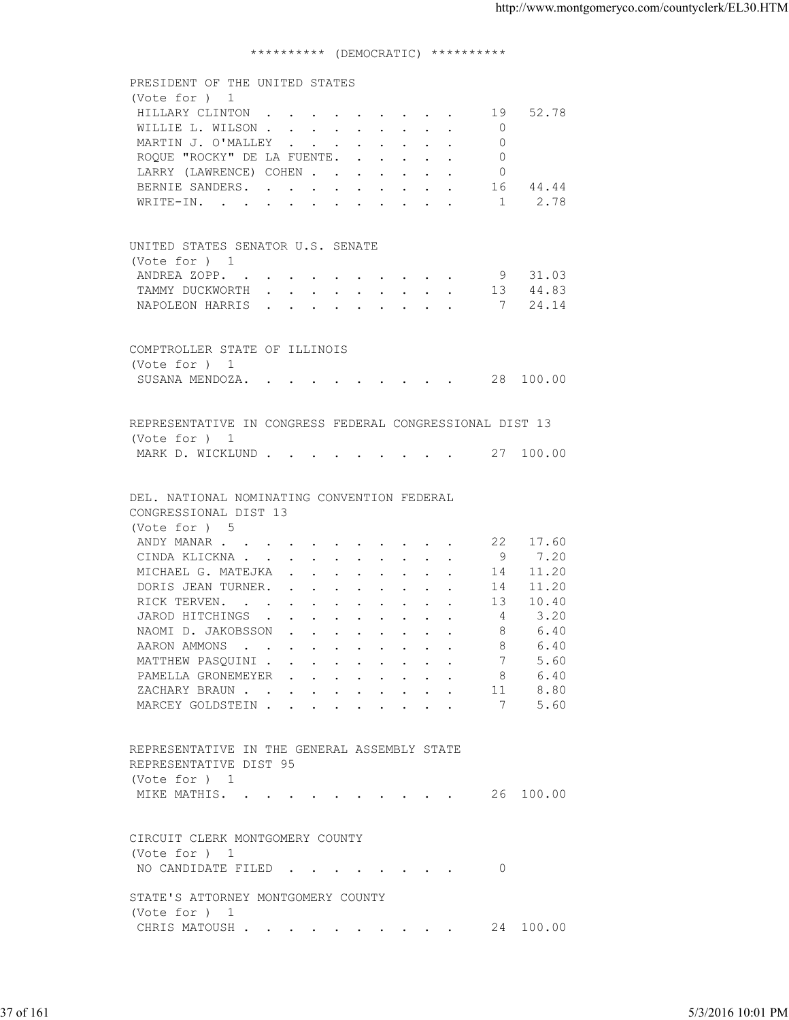## \*\*\*\*\*\*\*\*\*\* (DEMOCRATIC) \*\*\*\*\*\*\*\*\*\*

| PRESIDENT OF THE UNITED STATES<br>(Vote for ) 1<br>HILLARY CLINTON 19 52.78<br>WILLIE L. WILSON 0<br>MARTIN J. O'MALLEY<br>$\overline{0}$<br>ROQUE "ROCKY" DE LA FUENTE.<br>$\overline{0}$<br>LARRY (LAWRENCE) COHEN<br>$\circ$<br>BERNIE SANDERS.<br>16 44.44<br>WRITE-IN. 1 2.78 |                   |
|------------------------------------------------------------------------------------------------------------------------------------------------------------------------------------------------------------------------------------------------------------------------------------|-------------------|
|                                                                                                                                                                                                                                                                                    |                   |
|                                                                                                                                                                                                                                                                                    |                   |
|                                                                                                                                                                                                                                                                                    |                   |
|                                                                                                                                                                                                                                                                                    |                   |
|                                                                                                                                                                                                                                                                                    |                   |
|                                                                                                                                                                                                                                                                                    |                   |
|                                                                                                                                                                                                                                                                                    |                   |
|                                                                                                                                                                                                                                                                                    |                   |
|                                                                                                                                                                                                                                                                                    |                   |
|                                                                                                                                                                                                                                                                                    |                   |
| UNITED STATES SENATOR U.S. SENATE                                                                                                                                                                                                                                                  |                   |
| (Vote for ) 1                                                                                                                                                                                                                                                                      |                   |
| ANDREA ZOPP. 9 31.03                                                                                                                                                                                                                                                               |                   |
| TAMMY DUCKWORTH 13 44.83                                                                                                                                                                                                                                                           |                   |
| NAPOLEON HARRIS 7 24.14                                                                                                                                                                                                                                                            |                   |
|                                                                                                                                                                                                                                                                                    |                   |
| COMPTROLLER STATE OF ILLINOIS                                                                                                                                                                                                                                                      |                   |
| (Vote for ) 1                                                                                                                                                                                                                                                                      |                   |
| SUSANA MENDOZA. 28 100.00                                                                                                                                                                                                                                                          |                   |
|                                                                                                                                                                                                                                                                                    |                   |
| REPRESENTATIVE IN CONGRESS FEDERAL CONGRESSIONAL DIST 13                                                                                                                                                                                                                           |                   |
| (Vote for ) 1                                                                                                                                                                                                                                                                      |                   |
| MARK D. WICKLUND 27 100.00                                                                                                                                                                                                                                                         |                   |
|                                                                                                                                                                                                                                                                                    |                   |
|                                                                                                                                                                                                                                                                                    |                   |
| DEL. NATIONAL NOMINATING CONVENTION FEDERAL                                                                                                                                                                                                                                        |                   |
| CONGRESSIONAL DIST 13                                                                                                                                                                                                                                                              |                   |
| (Vote for ) 5                                                                                                                                                                                                                                                                      |                   |
| ANDY MANAR 22 17.60                                                                                                                                                                                                                                                                |                   |
| CINDA KLICKNA 9 7.20                                                                                                                                                                                                                                                               |                   |
| MICHAEL G. MATEJKA<br>14 11.20                                                                                                                                                                                                                                                     |                   |
| DORIS JEAN TURNER. 14 11.20                                                                                                                                                                                                                                                        |                   |
| RICK TERVEN. 13 10.40                                                                                                                                                                                                                                                              |                   |
| JAROD HITCHINGS 4<br>3.20                                                                                                                                                                                                                                                          |                   |
| NAOMI D. JAKOBSSON<br>6.40<br>-8                                                                                                                                                                                                                                                   |                   |
| 6.40<br>AARON AMMONS<br>8                                                                                                                                                                                                                                                          |                   |
| MATTHEW PASQUINI<br>5.60                                                                                                                                                                                                                                                           |                   |
| 6.40<br>PAMELLA GRONEMEYER<br>- 8                                                                                                                                                                                                                                                  |                   |
| ZACHARY BRAUN<br>8.80<br>11                                                                                                                                                                                                                                                        |                   |
| 5.60<br>MARCEY GOLDSTEIN<br>7                                                                                                                                                                                                                                                      |                   |
|                                                                                                                                                                                                                                                                                    |                   |
| REPRESENTATIVE IN THE GENERAL ASSEMBLY STATE                                                                                                                                                                                                                                       |                   |
| REPRESENTATIVE DIST 95                                                                                                                                                                                                                                                             |                   |
| (Vote for ) 1                                                                                                                                                                                                                                                                      |                   |
| MIKE MATHIS. 26 100.00                                                                                                                                                                                                                                                             |                   |
|                                                                                                                                                                                                                                                                                    |                   |
|                                                                                                                                                                                                                                                                                    |                   |
| CIRCUIT CLERK MONTGOMERY COUNTY                                                                                                                                                                                                                                                    |                   |
| (Vote for ) 1                                                                                                                                                                                                                                                                      |                   |
| NO CANDIDATE FILED<br>$\overline{0}$                                                                                                                                                                                                                                               |                   |
| STATE'S ATTORNEY MONTGOMERY COUNTY                                                                                                                                                                                                                                                 |                   |
| (Vote for ) 1                                                                                                                                                                                                                                                                      |                   |
| CHRIS MATOUSH 24 100.00                                                                                                                                                                                                                                                            |                   |
|                                                                                                                                                                                                                                                                                    |                   |
|                                                                                                                                                                                                                                                                                    |                   |
|                                                                                                                                                                                                                                                                                    |                   |
|                                                                                                                                                                                                                                                                                    |                   |
| 37 of 161                                                                                                                                                                                                                                                                          | 5/3/2016 10:01 PM |
|                                                                                                                                                                                                                                                                                    |                   |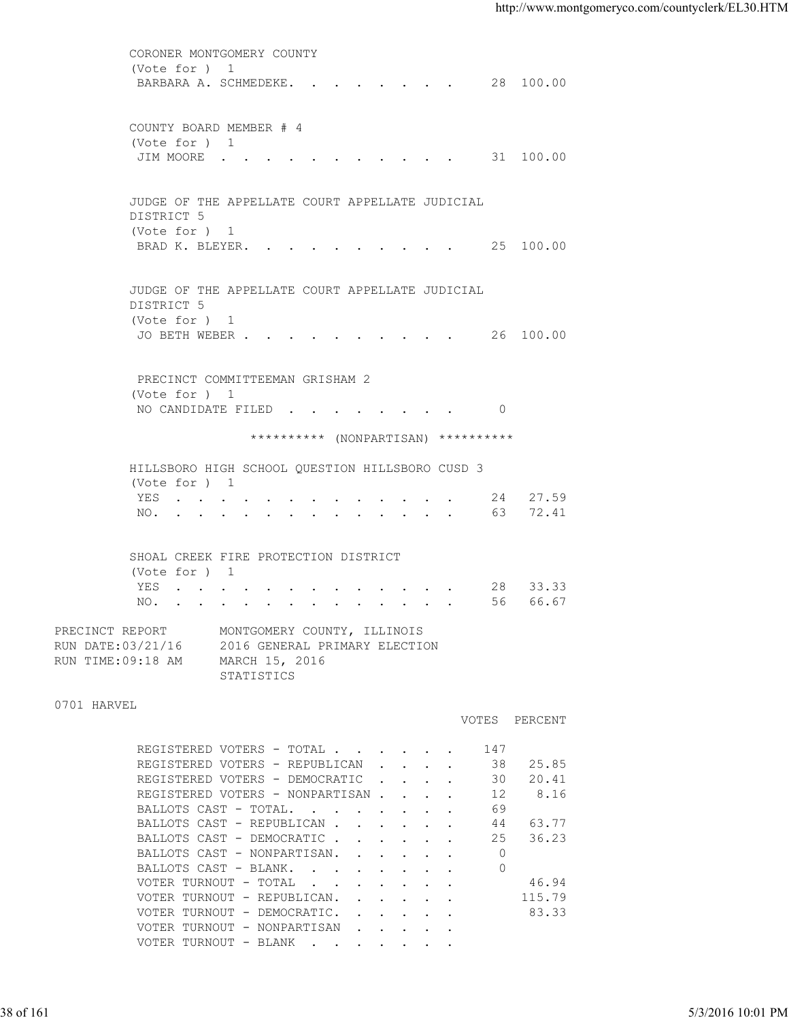|                                                            | CORONER MONTGOMERY COUNTY                                                                    |                                                                                                                                                                                                                                                                                                                                                                                                                                                                                              |                                                                                                                                                                                                 |                                                                                                                                                                                                                                                                  |
|------------------------------------------------------------|----------------------------------------------------------------------------------------------|----------------------------------------------------------------------------------------------------------------------------------------------------------------------------------------------------------------------------------------------------------------------------------------------------------------------------------------------------------------------------------------------------------------------------------------------------------------------------------------------|-------------------------------------------------------------------------------------------------------------------------------------------------------------------------------------------------|------------------------------------------------------------------------------------------------------------------------------------------------------------------------------------------------------------------------------------------------------------------|
| (Vote for ) 1                                              |                                                                                              |                                                                                                                                                                                                                                                                                                                                                                                                                                                                                              |                                                                                                                                                                                                 |                                                                                                                                                                                                                                                                  |
|                                                            |                                                                                              |                                                                                                                                                                                                                                                                                                                                                                                                                                                                                              |                                                                                                                                                                                                 |                                                                                                                                                                                                                                                                  |
|                                                            |                                                                                              |                                                                                                                                                                                                                                                                                                                                                                                                                                                                                              |                                                                                                                                                                                                 |                                                                                                                                                                                                                                                                  |
|                                                            |                                                                                              |                                                                                                                                                                                                                                                                                                                                                                                                                                                                                              |                                                                                                                                                                                                 |                                                                                                                                                                                                                                                                  |
|                                                            |                                                                                              |                                                                                                                                                                                                                                                                                                                                                                                                                                                                                              |                                                                                                                                                                                                 |                                                                                                                                                                                                                                                                  |
|                                                            |                                                                                              |                                                                                                                                                                                                                                                                                                                                                                                                                                                                                              |                                                                                                                                                                                                 |                                                                                                                                                                                                                                                                  |
|                                                            |                                                                                              |                                                                                                                                                                                                                                                                                                                                                                                                                                                                                              |                                                                                                                                                                                                 |                                                                                                                                                                                                                                                                  |
|                                                            |                                                                                              |                                                                                                                                                                                                                                                                                                                                                                                                                                                                                              |                                                                                                                                                                                                 |                                                                                                                                                                                                                                                                  |
|                                                            |                                                                                              |                                                                                                                                                                                                                                                                                                                                                                                                                                                                                              |                                                                                                                                                                                                 |                                                                                                                                                                                                                                                                  |
|                                                            |                                                                                              |                                                                                                                                                                                                                                                                                                                                                                                                                                                                                              |                                                                                                                                                                                                 |                                                                                                                                                                                                                                                                  |
|                                                            |                                                                                              |                                                                                                                                                                                                                                                                                                                                                                                                                                                                                              |                                                                                                                                                                                                 |                                                                                                                                                                                                                                                                  |
|                                                            |                                                                                              |                                                                                                                                                                                                                                                                                                                                                                                                                                                                                              |                                                                                                                                                                                                 |                                                                                                                                                                                                                                                                  |
|                                                            |                                                                                              |                                                                                                                                                                                                                                                                                                                                                                                                                                                                                              |                                                                                                                                                                                                 |                                                                                                                                                                                                                                                                  |
|                                                            |                                                                                              |                                                                                                                                                                                                                                                                                                                                                                                                                                                                                              |                                                                                                                                                                                                 |                                                                                                                                                                                                                                                                  |
|                                                            |                                                                                              |                                                                                                                                                                                                                                                                                                                                                                                                                                                                                              |                                                                                                                                                                                                 |                                                                                                                                                                                                                                                                  |
|                                                            |                                                                                              |                                                                                                                                                                                                                                                                                                                                                                                                                                                                                              |                                                                                                                                                                                                 |                                                                                                                                                                                                                                                                  |
|                                                            |                                                                                              |                                                                                                                                                                                                                                                                                                                                                                                                                                                                                              |                                                                                                                                                                                                 |                                                                                                                                                                                                                                                                  |
| PRECINCT REPORT<br>RUN DATE: 03/21/16<br>RUN TIME:09:18 AM | MONTGOMERY COUNTY, ILLINOIS<br>2016 GENERAL PRIMARY ELECTION<br>MARCH 15, 2016<br>STATISTICS |                                                                                                                                                                                                                                                                                                                                                                                                                                                                                              |                                                                                                                                                                                                 |                                                                                                                                                                                                                                                                  |
| 0701 HARVEL                                                |                                                                                              |                                                                                                                                                                                                                                                                                                                                                                                                                                                                                              |                                                                                                                                                                                                 |                                                                                                                                                                                                                                                                  |
|                                                            |                                                                                              |                                                                                                                                                                                                                                                                                                                                                                                                                                                                                              |                                                                                                                                                                                                 |                                                                                                                                                                                                                                                                  |
|                                                            |                                                                                              | 147                                                                                                                                                                                                                                                                                                                                                                                                                                                                                          |                                                                                                                                                                                                 |                                                                                                                                                                                                                                                                  |
|                                                            |                                                                                              |                                                                                                                                                                                                                                                                                                                                                                                                                                                                                              |                                                                                                                                                                                                 |                                                                                                                                                                                                                                                                  |
|                                                            |                                                                                              |                                                                                                                                                                                                                                                                                                                                                                                                                                                                                              |                                                                                                                                                                                                 |                                                                                                                                                                                                                                                                  |
|                                                            |                                                                                              | 69                                                                                                                                                                                                                                                                                                                                                                                                                                                                                           |                                                                                                                                                                                                 |                                                                                                                                                                                                                                                                  |
|                                                            |                                                                                              | 44                                                                                                                                                                                                                                                                                                                                                                                                                                                                                           | 63.77                                                                                                                                                                                           |                                                                                                                                                                                                                                                                  |
|                                                            |                                                                                              | 25                                                                                                                                                                                                                                                                                                                                                                                                                                                                                           | 36.23                                                                                                                                                                                           |                                                                                                                                                                                                                                                                  |
|                                                            |                                                                                              | $\circ$                                                                                                                                                                                                                                                                                                                                                                                                                                                                                      |                                                                                                                                                                                                 |                                                                                                                                                                                                                                                                  |
|                                                            | BALLOTS CAST - BLANK.<br>VOTER TURNOUT - TOTAL $\cdot \cdot \cdot \cdot \cdot \cdot$         | $\Omega$                                                                                                                                                                                                                                                                                                                                                                                                                                                                                     | 46.94                                                                                                                                                                                           |                                                                                                                                                                                                                                                                  |
|                                                            | VOTER TURNOUT - REPUBLICAN.                                                                  |                                                                                                                                                                                                                                                                                                                                                                                                                                                                                              | 115.79                                                                                                                                                                                          |                                                                                                                                                                                                                                                                  |
|                                                            |                                                                                              |                                                                                                                                                                                                                                                                                                                                                                                                                                                                                              | 83.33                                                                                                                                                                                           |                                                                                                                                                                                                                                                                  |
|                                                            | VOTER TURNOUT - DEMOCRATIC.                                                                  |                                                                                                                                                                                                                                                                                                                                                                                                                                                                                              |                                                                                                                                                                                                 |                                                                                                                                                                                                                                                                  |
|                                                            | VOTER TURNOUT - NONPARTISAN                                                                  |                                                                                                                                                                                                                                                                                                                                                                                                                                                                                              |                                                                                                                                                                                                 |                                                                                                                                                                                                                                                                  |
|                                                            |                                                                                              | COUNTY BOARD MEMBER # 4<br>(Vote for ) 1<br>DISTRICT 5<br>(Vote for ) 1<br>DISTRICT 5<br>(Vote for ) 1<br>PRECINCT COMMITTEEMAN GRISHAM 2<br>(Vote for ) 1<br>(Vote for $)$ 1<br>SHOAL CREEK FIRE PROTECTION DISTRICT<br>(Vote for ) 1<br>REGISTERED VOTERS - TOTAL<br>REGISTERED VOTERS - REPUBLICAN<br>REGISTERED VOTERS - DEMOCRATIC<br>REGISTERED VOTERS - NONPARTISAN<br>BALLOTS CAST - TOTAL.<br>BALLOTS CAST - REPUBLICAN<br>BALLOTS CAST - DEMOCRATIC<br>BALLOTS CAST - NONPARTISAN. | JUDGE OF THE APPELLATE COURT APPELLATE JUDICIAL<br>JUDGE OF THE APPELLATE COURT APPELLATE JUDICIAL<br>NO CANDIDATE FILED 0<br>HILLSBORO HIGH SCHOOL QUESTION HILLSBORO CUSD 3<br>38<br>30<br>12 | BARBARA A. SCHMEDEKE. 28 100.00<br>JIM MOORE 31 100.00<br>BRAD K. BLEYER. 25 100.00<br>JO BETH WEBER 26 100.00<br>********** (NONPARTISAN) **********<br>YES 24 27.59<br>NO. 63 72.41<br>YES 28 33.33<br>NO. 56 66.67<br>VOTES PERCENT<br>25.85<br>20.41<br>8.16 |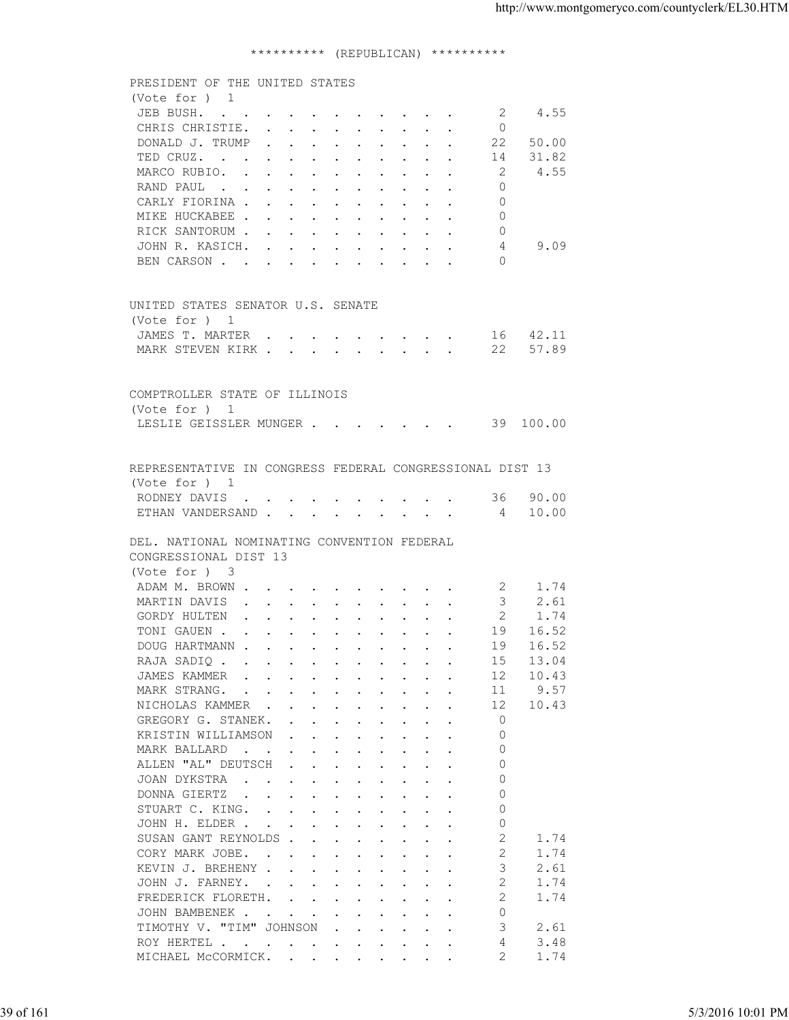## \*\*\*\*\*\*\*\*\*\* (REPUBLICAN) \*\*\*\*\*\*\*\*\*\*

| (Vote for ) 1<br>4.55<br>JEB BUSH.<br>-2<br>CHRIS CHRISTIE.<br>$\circ$<br>DONALD J. TRUMP<br>22 50.00<br>31.82<br>TED CRUZ.<br>14<br>MARCO RUBIO.<br>2<br>4.55<br>RAND PAUL<br>$\Omega$<br>CARLY FIORINA<br>$\Omega$<br>MIKE HUCKABEE<br>$\Omega$<br>RICK SANTORUM<br>0<br>9.09<br>JOHN R. KASICH.<br>4<br>$\Omega$<br>BEN CARSON<br>UNITED STATES SENATOR U.S. SENATE<br>(Vote for ) 1<br>JAMES T. MARTER 16 42.11<br>MARK STEVEN KIRK 22 57.89<br>COMPTROLLER STATE OF ILLINOIS<br>(Vote for ) 1<br>LESLIE GEISSLER MUNGER 39 100.00<br>REPRESENTATIVE IN CONGRESS FEDERAL CONGRESSIONAL DIST 13<br>(Vote for ) 1<br>RODNEY DAVIS 36 90.00<br>ETHAN VANDERSAND 4 10.00<br>DEL. NATIONAL NOMINATING CONVENTION FEDERAL<br>CONGRESSIONAL DIST 13<br>(Vote for ) 3<br>ADAM M. BROWN<br>2 1.74<br>$\overline{\phantom{a}}$ 3<br>2.61<br>MARTIN DAVIS<br>$\overline{2}$<br>GORDY HULTEN<br>1.74<br>TONI GAUEN<br>19 16.52<br>16.52<br>DOUG HARTMANN<br>19<br>13.04<br>15<br>RAJA SADIQ<br>10.43<br>JAMES KAMMER<br>12<br>$\mathbf{r}$ , and $\mathbf{r}$ , and $\mathbf{r}$ , and $\mathbf{r}$ , and $\mathbf{r}$<br>11<br>9.57<br>MARK STRANG.<br>the contract of the contract of the contract of the contract of the contract of the contract of the contract of<br>NICHOLAS KAMMER<br>12<br>10.43<br>GREGORY G. STANEK.<br>$\circ$<br>the contract of the contract of the contract of the contract of the contract of the contract of the contract of<br>$\Omega$<br>KRISTIN WILLIAMSON<br>$\mathbf{r}$ , $\mathbf{r}$ , $\mathbf{r}$ , $\mathbf{r}$ , $\mathbf{r}$ , $\mathbf{r}$ , $\mathbf{r}$<br>$\Omega$<br>MARK BALLARD<br>the contract of the contract of the contract of the contract of the contract of the contract of the contract of<br>ALLEN "AL" DEUTSCH<br>$\Omega$<br>$\mathbf{r}$ , $\mathbf{r}$ , $\mathbf{r}$ , $\mathbf{r}$ , $\mathbf{r}$ , $\mathbf{r}$ , $\mathbf{r}$<br>$\Omega$<br>JOAN DYKSTRA<br>the contract of the contract of the contract of the contract of the contract of the contract of the contract of<br>$\Omega$<br>DONNA GIERTZ<br>the contract of the contract of the contract of the contract of the contract of the contract of the contract of<br>$\Omega$<br>STUART C. KING.<br>$\circ$<br>JOHN H. ELDER<br>SUSAN GANT REYNOLDS<br>2<br>1.74<br>CORY MARK JOBE.<br>2<br>1.74<br>3<br>KEVIN J. BREHENY<br>2.61<br>2<br>JOHN J. FARNEY.<br>1.74<br>2<br>1.74<br>FREDERICK FLORETH.<br>$\circ$<br>JOHN BAMBENEK.<br>the contract of the contract of the contract of the contract of the contract of the contract of the contract of<br>TIMOTHY V. "TIM" JOHNSON<br>3<br>2.61<br>$\mathbf{r}$ , $\mathbf{r}$ , $\mathbf{r}$ , $\mathbf{r}$ , $\mathbf{r}$<br>3.48<br>4<br>ROY HERTEL<br>MICHAEL MCCORMICK.<br>2<br>1.74 |           | 5/3/2016 10:01 PM | PRESIDENT OF THE UNITED STATES |  |  |
|------------------------------------------------------------------------------------------------------------------------------------------------------------------------------------------------------------------------------------------------------------------------------------------------------------------------------------------------------------------------------------------------------------------------------------------------------------------------------------------------------------------------------------------------------------------------------------------------------------------------------------------------------------------------------------------------------------------------------------------------------------------------------------------------------------------------------------------------------------------------------------------------------------------------------------------------------------------------------------------------------------------------------------------------------------------------------------------------------------------------------------------------------------------------------------------------------------------------------------------------------------------------------------------------------------------------------------------------------------------------------------------------------------------------------------------------------------------------------------------------------------------------------------------------------------------------------------------------------------------------------------------------------------------------------------------------------------------------------------------------------------------------------------------------------------------------------------------------------------------------------------------------------------------------------------------------------------------------------------------------------------------------------------------------------------------------------------------------------------------------------------------------------------------------------------------------------------------------------------------------------------------------------------------------------------------------------------------------------------------------------------------------------------------------------------------------------------------------------------------------------------------------------------------------------------------------------------------------------------------------------------------------------------------------------------------------------------------------------------------------------------------|-----------|-------------------|--------------------------------|--|--|
|                                                                                                                                                                                                                                                                                                                                                                                                                                                                                                                                                                                                                                                                                                                                                                                                                                                                                                                                                                                                                                                                                                                                                                                                                                                                                                                                                                                                                                                                                                                                                                                                                                                                                                                                                                                                                                                                                                                                                                                                                                                                                                                                                                                                                                                                                                                                                                                                                                                                                                                                                                                                                                                                                                                                                                  |           |                   |                                |  |  |
|                                                                                                                                                                                                                                                                                                                                                                                                                                                                                                                                                                                                                                                                                                                                                                                                                                                                                                                                                                                                                                                                                                                                                                                                                                                                                                                                                                                                                                                                                                                                                                                                                                                                                                                                                                                                                                                                                                                                                                                                                                                                                                                                                                                                                                                                                                                                                                                                                                                                                                                                                                                                                                                                                                                                                                  | 39 of 161 |                   |                                |  |  |
|                                                                                                                                                                                                                                                                                                                                                                                                                                                                                                                                                                                                                                                                                                                                                                                                                                                                                                                                                                                                                                                                                                                                                                                                                                                                                                                                                                                                                                                                                                                                                                                                                                                                                                                                                                                                                                                                                                                                                                                                                                                                                                                                                                                                                                                                                                                                                                                                                                                                                                                                                                                                                                                                                                                                                                  |           |                   |                                |  |  |
|                                                                                                                                                                                                                                                                                                                                                                                                                                                                                                                                                                                                                                                                                                                                                                                                                                                                                                                                                                                                                                                                                                                                                                                                                                                                                                                                                                                                                                                                                                                                                                                                                                                                                                                                                                                                                                                                                                                                                                                                                                                                                                                                                                                                                                                                                                                                                                                                                                                                                                                                                                                                                                                                                                                                                                  |           |                   |                                |  |  |
|                                                                                                                                                                                                                                                                                                                                                                                                                                                                                                                                                                                                                                                                                                                                                                                                                                                                                                                                                                                                                                                                                                                                                                                                                                                                                                                                                                                                                                                                                                                                                                                                                                                                                                                                                                                                                                                                                                                                                                                                                                                                                                                                                                                                                                                                                                                                                                                                                                                                                                                                                                                                                                                                                                                                                                  |           |                   |                                |  |  |
|                                                                                                                                                                                                                                                                                                                                                                                                                                                                                                                                                                                                                                                                                                                                                                                                                                                                                                                                                                                                                                                                                                                                                                                                                                                                                                                                                                                                                                                                                                                                                                                                                                                                                                                                                                                                                                                                                                                                                                                                                                                                                                                                                                                                                                                                                                                                                                                                                                                                                                                                                                                                                                                                                                                                                                  |           |                   |                                |  |  |
|                                                                                                                                                                                                                                                                                                                                                                                                                                                                                                                                                                                                                                                                                                                                                                                                                                                                                                                                                                                                                                                                                                                                                                                                                                                                                                                                                                                                                                                                                                                                                                                                                                                                                                                                                                                                                                                                                                                                                                                                                                                                                                                                                                                                                                                                                                                                                                                                                                                                                                                                                                                                                                                                                                                                                                  |           |                   |                                |  |  |
|                                                                                                                                                                                                                                                                                                                                                                                                                                                                                                                                                                                                                                                                                                                                                                                                                                                                                                                                                                                                                                                                                                                                                                                                                                                                                                                                                                                                                                                                                                                                                                                                                                                                                                                                                                                                                                                                                                                                                                                                                                                                                                                                                                                                                                                                                                                                                                                                                                                                                                                                                                                                                                                                                                                                                                  |           |                   |                                |  |  |
|                                                                                                                                                                                                                                                                                                                                                                                                                                                                                                                                                                                                                                                                                                                                                                                                                                                                                                                                                                                                                                                                                                                                                                                                                                                                                                                                                                                                                                                                                                                                                                                                                                                                                                                                                                                                                                                                                                                                                                                                                                                                                                                                                                                                                                                                                                                                                                                                                                                                                                                                                                                                                                                                                                                                                                  |           |                   |                                |  |  |
|                                                                                                                                                                                                                                                                                                                                                                                                                                                                                                                                                                                                                                                                                                                                                                                                                                                                                                                                                                                                                                                                                                                                                                                                                                                                                                                                                                                                                                                                                                                                                                                                                                                                                                                                                                                                                                                                                                                                                                                                                                                                                                                                                                                                                                                                                                                                                                                                                                                                                                                                                                                                                                                                                                                                                                  |           |                   |                                |  |  |
|                                                                                                                                                                                                                                                                                                                                                                                                                                                                                                                                                                                                                                                                                                                                                                                                                                                                                                                                                                                                                                                                                                                                                                                                                                                                                                                                                                                                                                                                                                                                                                                                                                                                                                                                                                                                                                                                                                                                                                                                                                                                                                                                                                                                                                                                                                                                                                                                                                                                                                                                                                                                                                                                                                                                                                  |           |                   |                                |  |  |
|                                                                                                                                                                                                                                                                                                                                                                                                                                                                                                                                                                                                                                                                                                                                                                                                                                                                                                                                                                                                                                                                                                                                                                                                                                                                                                                                                                                                                                                                                                                                                                                                                                                                                                                                                                                                                                                                                                                                                                                                                                                                                                                                                                                                                                                                                                                                                                                                                                                                                                                                                                                                                                                                                                                                                                  |           |                   |                                |  |  |
|                                                                                                                                                                                                                                                                                                                                                                                                                                                                                                                                                                                                                                                                                                                                                                                                                                                                                                                                                                                                                                                                                                                                                                                                                                                                                                                                                                                                                                                                                                                                                                                                                                                                                                                                                                                                                                                                                                                                                                                                                                                                                                                                                                                                                                                                                                                                                                                                                                                                                                                                                                                                                                                                                                                                                                  |           |                   |                                |  |  |
|                                                                                                                                                                                                                                                                                                                                                                                                                                                                                                                                                                                                                                                                                                                                                                                                                                                                                                                                                                                                                                                                                                                                                                                                                                                                                                                                                                                                                                                                                                                                                                                                                                                                                                                                                                                                                                                                                                                                                                                                                                                                                                                                                                                                                                                                                                                                                                                                                                                                                                                                                                                                                                                                                                                                                                  |           |                   |                                |  |  |
|                                                                                                                                                                                                                                                                                                                                                                                                                                                                                                                                                                                                                                                                                                                                                                                                                                                                                                                                                                                                                                                                                                                                                                                                                                                                                                                                                                                                                                                                                                                                                                                                                                                                                                                                                                                                                                                                                                                                                                                                                                                                                                                                                                                                                                                                                                                                                                                                                                                                                                                                                                                                                                                                                                                                                                  |           |                   |                                |  |  |
|                                                                                                                                                                                                                                                                                                                                                                                                                                                                                                                                                                                                                                                                                                                                                                                                                                                                                                                                                                                                                                                                                                                                                                                                                                                                                                                                                                                                                                                                                                                                                                                                                                                                                                                                                                                                                                                                                                                                                                                                                                                                                                                                                                                                                                                                                                                                                                                                                                                                                                                                                                                                                                                                                                                                                                  |           |                   |                                |  |  |
|                                                                                                                                                                                                                                                                                                                                                                                                                                                                                                                                                                                                                                                                                                                                                                                                                                                                                                                                                                                                                                                                                                                                                                                                                                                                                                                                                                                                                                                                                                                                                                                                                                                                                                                                                                                                                                                                                                                                                                                                                                                                                                                                                                                                                                                                                                                                                                                                                                                                                                                                                                                                                                                                                                                                                                  |           |                   |                                |  |  |
|                                                                                                                                                                                                                                                                                                                                                                                                                                                                                                                                                                                                                                                                                                                                                                                                                                                                                                                                                                                                                                                                                                                                                                                                                                                                                                                                                                                                                                                                                                                                                                                                                                                                                                                                                                                                                                                                                                                                                                                                                                                                                                                                                                                                                                                                                                                                                                                                                                                                                                                                                                                                                                                                                                                                                                  |           |                   |                                |  |  |
|                                                                                                                                                                                                                                                                                                                                                                                                                                                                                                                                                                                                                                                                                                                                                                                                                                                                                                                                                                                                                                                                                                                                                                                                                                                                                                                                                                                                                                                                                                                                                                                                                                                                                                                                                                                                                                                                                                                                                                                                                                                                                                                                                                                                                                                                                                                                                                                                                                                                                                                                                                                                                                                                                                                                                                  |           |                   |                                |  |  |
|                                                                                                                                                                                                                                                                                                                                                                                                                                                                                                                                                                                                                                                                                                                                                                                                                                                                                                                                                                                                                                                                                                                                                                                                                                                                                                                                                                                                                                                                                                                                                                                                                                                                                                                                                                                                                                                                                                                                                                                                                                                                                                                                                                                                                                                                                                                                                                                                                                                                                                                                                                                                                                                                                                                                                                  |           |                   |                                |  |  |
|                                                                                                                                                                                                                                                                                                                                                                                                                                                                                                                                                                                                                                                                                                                                                                                                                                                                                                                                                                                                                                                                                                                                                                                                                                                                                                                                                                                                                                                                                                                                                                                                                                                                                                                                                                                                                                                                                                                                                                                                                                                                                                                                                                                                                                                                                                                                                                                                                                                                                                                                                                                                                                                                                                                                                                  |           |                   |                                |  |  |
|                                                                                                                                                                                                                                                                                                                                                                                                                                                                                                                                                                                                                                                                                                                                                                                                                                                                                                                                                                                                                                                                                                                                                                                                                                                                                                                                                                                                                                                                                                                                                                                                                                                                                                                                                                                                                                                                                                                                                                                                                                                                                                                                                                                                                                                                                                                                                                                                                                                                                                                                                                                                                                                                                                                                                                  |           |                   |                                |  |  |
|                                                                                                                                                                                                                                                                                                                                                                                                                                                                                                                                                                                                                                                                                                                                                                                                                                                                                                                                                                                                                                                                                                                                                                                                                                                                                                                                                                                                                                                                                                                                                                                                                                                                                                                                                                                                                                                                                                                                                                                                                                                                                                                                                                                                                                                                                                                                                                                                                                                                                                                                                                                                                                                                                                                                                                  |           |                   |                                |  |  |
|                                                                                                                                                                                                                                                                                                                                                                                                                                                                                                                                                                                                                                                                                                                                                                                                                                                                                                                                                                                                                                                                                                                                                                                                                                                                                                                                                                                                                                                                                                                                                                                                                                                                                                                                                                                                                                                                                                                                                                                                                                                                                                                                                                                                                                                                                                                                                                                                                                                                                                                                                                                                                                                                                                                                                                  |           |                   |                                |  |  |
|                                                                                                                                                                                                                                                                                                                                                                                                                                                                                                                                                                                                                                                                                                                                                                                                                                                                                                                                                                                                                                                                                                                                                                                                                                                                                                                                                                                                                                                                                                                                                                                                                                                                                                                                                                                                                                                                                                                                                                                                                                                                                                                                                                                                                                                                                                                                                                                                                                                                                                                                                                                                                                                                                                                                                                  |           |                   |                                |  |  |
|                                                                                                                                                                                                                                                                                                                                                                                                                                                                                                                                                                                                                                                                                                                                                                                                                                                                                                                                                                                                                                                                                                                                                                                                                                                                                                                                                                                                                                                                                                                                                                                                                                                                                                                                                                                                                                                                                                                                                                                                                                                                                                                                                                                                                                                                                                                                                                                                                                                                                                                                                                                                                                                                                                                                                                  |           |                   |                                |  |  |
|                                                                                                                                                                                                                                                                                                                                                                                                                                                                                                                                                                                                                                                                                                                                                                                                                                                                                                                                                                                                                                                                                                                                                                                                                                                                                                                                                                                                                                                                                                                                                                                                                                                                                                                                                                                                                                                                                                                                                                                                                                                                                                                                                                                                                                                                                                                                                                                                                                                                                                                                                                                                                                                                                                                                                                  |           |                   |                                |  |  |
|                                                                                                                                                                                                                                                                                                                                                                                                                                                                                                                                                                                                                                                                                                                                                                                                                                                                                                                                                                                                                                                                                                                                                                                                                                                                                                                                                                                                                                                                                                                                                                                                                                                                                                                                                                                                                                                                                                                                                                                                                                                                                                                                                                                                                                                                                                                                                                                                                                                                                                                                                                                                                                                                                                                                                                  |           |                   |                                |  |  |
|                                                                                                                                                                                                                                                                                                                                                                                                                                                                                                                                                                                                                                                                                                                                                                                                                                                                                                                                                                                                                                                                                                                                                                                                                                                                                                                                                                                                                                                                                                                                                                                                                                                                                                                                                                                                                                                                                                                                                                                                                                                                                                                                                                                                                                                                                                                                                                                                                                                                                                                                                                                                                                                                                                                                                                  |           |                   |                                |  |  |
|                                                                                                                                                                                                                                                                                                                                                                                                                                                                                                                                                                                                                                                                                                                                                                                                                                                                                                                                                                                                                                                                                                                                                                                                                                                                                                                                                                                                                                                                                                                                                                                                                                                                                                                                                                                                                                                                                                                                                                                                                                                                                                                                                                                                                                                                                                                                                                                                                                                                                                                                                                                                                                                                                                                                                                  |           |                   |                                |  |  |
|                                                                                                                                                                                                                                                                                                                                                                                                                                                                                                                                                                                                                                                                                                                                                                                                                                                                                                                                                                                                                                                                                                                                                                                                                                                                                                                                                                                                                                                                                                                                                                                                                                                                                                                                                                                                                                                                                                                                                                                                                                                                                                                                                                                                                                                                                                                                                                                                                                                                                                                                                                                                                                                                                                                                                                  |           |                   |                                |  |  |
|                                                                                                                                                                                                                                                                                                                                                                                                                                                                                                                                                                                                                                                                                                                                                                                                                                                                                                                                                                                                                                                                                                                                                                                                                                                                                                                                                                                                                                                                                                                                                                                                                                                                                                                                                                                                                                                                                                                                                                                                                                                                                                                                                                                                                                                                                                                                                                                                                                                                                                                                                                                                                                                                                                                                                                  |           |                   |                                |  |  |
|                                                                                                                                                                                                                                                                                                                                                                                                                                                                                                                                                                                                                                                                                                                                                                                                                                                                                                                                                                                                                                                                                                                                                                                                                                                                                                                                                                                                                                                                                                                                                                                                                                                                                                                                                                                                                                                                                                                                                                                                                                                                                                                                                                                                                                                                                                                                                                                                                                                                                                                                                                                                                                                                                                                                                                  |           |                   |                                |  |  |
|                                                                                                                                                                                                                                                                                                                                                                                                                                                                                                                                                                                                                                                                                                                                                                                                                                                                                                                                                                                                                                                                                                                                                                                                                                                                                                                                                                                                                                                                                                                                                                                                                                                                                                                                                                                                                                                                                                                                                                                                                                                                                                                                                                                                                                                                                                                                                                                                                                                                                                                                                                                                                                                                                                                                                                  |           |                   |                                |  |  |
|                                                                                                                                                                                                                                                                                                                                                                                                                                                                                                                                                                                                                                                                                                                                                                                                                                                                                                                                                                                                                                                                                                                                                                                                                                                                                                                                                                                                                                                                                                                                                                                                                                                                                                                                                                                                                                                                                                                                                                                                                                                                                                                                                                                                                                                                                                                                                                                                                                                                                                                                                                                                                                                                                                                                                                  |           |                   |                                |  |  |
|                                                                                                                                                                                                                                                                                                                                                                                                                                                                                                                                                                                                                                                                                                                                                                                                                                                                                                                                                                                                                                                                                                                                                                                                                                                                                                                                                                                                                                                                                                                                                                                                                                                                                                                                                                                                                                                                                                                                                                                                                                                                                                                                                                                                                                                                                                                                                                                                                                                                                                                                                                                                                                                                                                                                                                  |           |                   |                                |  |  |
|                                                                                                                                                                                                                                                                                                                                                                                                                                                                                                                                                                                                                                                                                                                                                                                                                                                                                                                                                                                                                                                                                                                                                                                                                                                                                                                                                                                                                                                                                                                                                                                                                                                                                                                                                                                                                                                                                                                                                                                                                                                                                                                                                                                                                                                                                                                                                                                                                                                                                                                                                                                                                                                                                                                                                                  |           |                   |                                |  |  |
|                                                                                                                                                                                                                                                                                                                                                                                                                                                                                                                                                                                                                                                                                                                                                                                                                                                                                                                                                                                                                                                                                                                                                                                                                                                                                                                                                                                                                                                                                                                                                                                                                                                                                                                                                                                                                                                                                                                                                                                                                                                                                                                                                                                                                                                                                                                                                                                                                                                                                                                                                                                                                                                                                                                                                                  |           |                   |                                |  |  |
|                                                                                                                                                                                                                                                                                                                                                                                                                                                                                                                                                                                                                                                                                                                                                                                                                                                                                                                                                                                                                                                                                                                                                                                                                                                                                                                                                                                                                                                                                                                                                                                                                                                                                                                                                                                                                                                                                                                                                                                                                                                                                                                                                                                                                                                                                                                                                                                                                                                                                                                                                                                                                                                                                                                                                                  |           |                   |                                |  |  |
|                                                                                                                                                                                                                                                                                                                                                                                                                                                                                                                                                                                                                                                                                                                                                                                                                                                                                                                                                                                                                                                                                                                                                                                                                                                                                                                                                                                                                                                                                                                                                                                                                                                                                                                                                                                                                                                                                                                                                                                                                                                                                                                                                                                                                                                                                                                                                                                                                                                                                                                                                                                                                                                                                                                                                                  |           |                   |                                |  |  |
|                                                                                                                                                                                                                                                                                                                                                                                                                                                                                                                                                                                                                                                                                                                                                                                                                                                                                                                                                                                                                                                                                                                                                                                                                                                                                                                                                                                                                                                                                                                                                                                                                                                                                                                                                                                                                                                                                                                                                                                                                                                                                                                                                                                                                                                                                                                                                                                                                                                                                                                                                                                                                                                                                                                                                                  |           |                   |                                |  |  |
|                                                                                                                                                                                                                                                                                                                                                                                                                                                                                                                                                                                                                                                                                                                                                                                                                                                                                                                                                                                                                                                                                                                                                                                                                                                                                                                                                                                                                                                                                                                                                                                                                                                                                                                                                                                                                                                                                                                                                                                                                                                                                                                                                                                                                                                                                                                                                                                                                                                                                                                                                                                                                                                                                                                                                                  |           |                   |                                |  |  |
|                                                                                                                                                                                                                                                                                                                                                                                                                                                                                                                                                                                                                                                                                                                                                                                                                                                                                                                                                                                                                                                                                                                                                                                                                                                                                                                                                                                                                                                                                                                                                                                                                                                                                                                                                                                                                                                                                                                                                                                                                                                                                                                                                                                                                                                                                                                                                                                                                                                                                                                                                                                                                                                                                                                                                                  |           |                   |                                |  |  |
|                                                                                                                                                                                                                                                                                                                                                                                                                                                                                                                                                                                                                                                                                                                                                                                                                                                                                                                                                                                                                                                                                                                                                                                                                                                                                                                                                                                                                                                                                                                                                                                                                                                                                                                                                                                                                                                                                                                                                                                                                                                                                                                                                                                                                                                                                                                                                                                                                                                                                                                                                                                                                                                                                                                                                                  |           |                   |                                |  |  |
|                                                                                                                                                                                                                                                                                                                                                                                                                                                                                                                                                                                                                                                                                                                                                                                                                                                                                                                                                                                                                                                                                                                                                                                                                                                                                                                                                                                                                                                                                                                                                                                                                                                                                                                                                                                                                                                                                                                                                                                                                                                                                                                                                                                                                                                                                                                                                                                                                                                                                                                                                                                                                                                                                                                                                                  |           |                   |                                |  |  |
|                                                                                                                                                                                                                                                                                                                                                                                                                                                                                                                                                                                                                                                                                                                                                                                                                                                                                                                                                                                                                                                                                                                                                                                                                                                                                                                                                                                                                                                                                                                                                                                                                                                                                                                                                                                                                                                                                                                                                                                                                                                                                                                                                                                                                                                                                                                                                                                                                                                                                                                                                                                                                                                                                                                                                                  |           |                   |                                |  |  |
|                                                                                                                                                                                                                                                                                                                                                                                                                                                                                                                                                                                                                                                                                                                                                                                                                                                                                                                                                                                                                                                                                                                                                                                                                                                                                                                                                                                                                                                                                                                                                                                                                                                                                                                                                                                                                                                                                                                                                                                                                                                                                                                                                                                                                                                                                                                                                                                                                                                                                                                                                                                                                                                                                                                                                                  |           |                   |                                |  |  |
|                                                                                                                                                                                                                                                                                                                                                                                                                                                                                                                                                                                                                                                                                                                                                                                                                                                                                                                                                                                                                                                                                                                                                                                                                                                                                                                                                                                                                                                                                                                                                                                                                                                                                                                                                                                                                                                                                                                                                                                                                                                                                                                                                                                                                                                                                                                                                                                                                                                                                                                                                                                                                                                                                                                                                                  |           |                   |                                |  |  |
|                                                                                                                                                                                                                                                                                                                                                                                                                                                                                                                                                                                                                                                                                                                                                                                                                                                                                                                                                                                                                                                                                                                                                                                                                                                                                                                                                                                                                                                                                                                                                                                                                                                                                                                                                                                                                                                                                                                                                                                                                                                                                                                                                                                                                                                                                                                                                                                                                                                                                                                                                                                                                                                                                                                                                                  |           |                   |                                |  |  |
|                                                                                                                                                                                                                                                                                                                                                                                                                                                                                                                                                                                                                                                                                                                                                                                                                                                                                                                                                                                                                                                                                                                                                                                                                                                                                                                                                                                                                                                                                                                                                                                                                                                                                                                                                                                                                                                                                                                                                                                                                                                                                                                                                                                                                                                                                                                                                                                                                                                                                                                                                                                                                                                                                                                                                                  |           |                   |                                |  |  |
|                                                                                                                                                                                                                                                                                                                                                                                                                                                                                                                                                                                                                                                                                                                                                                                                                                                                                                                                                                                                                                                                                                                                                                                                                                                                                                                                                                                                                                                                                                                                                                                                                                                                                                                                                                                                                                                                                                                                                                                                                                                                                                                                                                                                                                                                                                                                                                                                                                                                                                                                                                                                                                                                                                                                                                  |           |                   |                                |  |  |
|                                                                                                                                                                                                                                                                                                                                                                                                                                                                                                                                                                                                                                                                                                                                                                                                                                                                                                                                                                                                                                                                                                                                                                                                                                                                                                                                                                                                                                                                                                                                                                                                                                                                                                                                                                                                                                                                                                                                                                                                                                                                                                                                                                                                                                                                                                                                                                                                                                                                                                                                                                                                                                                                                                                                                                  |           |                   |                                |  |  |
|                                                                                                                                                                                                                                                                                                                                                                                                                                                                                                                                                                                                                                                                                                                                                                                                                                                                                                                                                                                                                                                                                                                                                                                                                                                                                                                                                                                                                                                                                                                                                                                                                                                                                                                                                                                                                                                                                                                                                                                                                                                                                                                                                                                                                                                                                                                                                                                                                                                                                                                                                                                                                                                                                                                                                                  |           |                   |                                |  |  |
|                                                                                                                                                                                                                                                                                                                                                                                                                                                                                                                                                                                                                                                                                                                                                                                                                                                                                                                                                                                                                                                                                                                                                                                                                                                                                                                                                                                                                                                                                                                                                                                                                                                                                                                                                                                                                                                                                                                                                                                                                                                                                                                                                                                                                                                                                                                                                                                                                                                                                                                                                                                                                                                                                                                                                                  |           |                   |                                |  |  |
|                                                                                                                                                                                                                                                                                                                                                                                                                                                                                                                                                                                                                                                                                                                                                                                                                                                                                                                                                                                                                                                                                                                                                                                                                                                                                                                                                                                                                                                                                                                                                                                                                                                                                                                                                                                                                                                                                                                                                                                                                                                                                                                                                                                                                                                                                                                                                                                                                                                                                                                                                                                                                                                                                                                                                                  |           |                   |                                |  |  |
|                                                                                                                                                                                                                                                                                                                                                                                                                                                                                                                                                                                                                                                                                                                                                                                                                                                                                                                                                                                                                                                                                                                                                                                                                                                                                                                                                                                                                                                                                                                                                                                                                                                                                                                                                                                                                                                                                                                                                                                                                                                                                                                                                                                                                                                                                                                                                                                                                                                                                                                                                                                                                                                                                                                                                                  |           |                   |                                |  |  |
|                                                                                                                                                                                                                                                                                                                                                                                                                                                                                                                                                                                                                                                                                                                                                                                                                                                                                                                                                                                                                                                                                                                                                                                                                                                                                                                                                                                                                                                                                                                                                                                                                                                                                                                                                                                                                                                                                                                                                                                                                                                                                                                                                                                                                                                                                                                                                                                                                                                                                                                                                                                                                                                                                                                                                                  |           |                   |                                |  |  |
|                                                                                                                                                                                                                                                                                                                                                                                                                                                                                                                                                                                                                                                                                                                                                                                                                                                                                                                                                                                                                                                                                                                                                                                                                                                                                                                                                                                                                                                                                                                                                                                                                                                                                                                                                                                                                                                                                                                                                                                                                                                                                                                                                                                                                                                                                                                                                                                                                                                                                                                                                                                                                                                                                                                                                                  |           |                   |                                |  |  |
|                                                                                                                                                                                                                                                                                                                                                                                                                                                                                                                                                                                                                                                                                                                                                                                                                                                                                                                                                                                                                                                                                                                                                                                                                                                                                                                                                                                                                                                                                                                                                                                                                                                                                                                                                                                                                                                                                                                                                                                                                                                                                                                                                                                                                                                                                                                                                                                                                                                                                                                                                                                                                                                                                                                                                                  |           |                   |                                |  |  |
|                                                                                                                                                                                                                                                                                                                                                                                                                                                                                                                                                                                                                                                                                                                                                                                                                                                                                                                                                                                                                                                                                                                                                                                                                                                                                                                                                                                                                                                                                                                                                                                                                                                                                                                                                                                                                                                                                                                                                                                                                                                                                                                                                                                                                                                                                                                                                                                                                                                                                                                                                                                                                                                                                                                                                                  |           |                   |                                |  |  |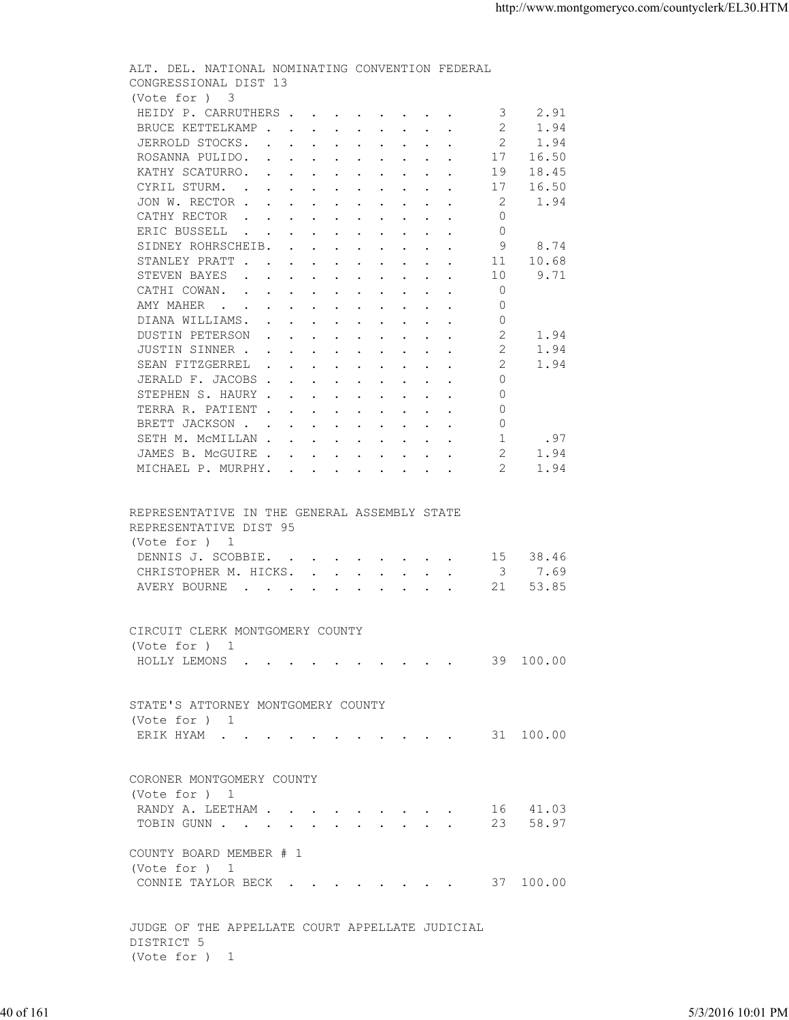| (Vote for ) 3<br>HEIDY P. CARRUTHERS<br>2.91<br>3<br>BRUCE KETTELKAMP<br>2<br>1.94<br>2<br>JERROLD STOCKS.<br>1.94<br>ROSANNA PULIDO.<br>17<br>16.50<br>KATHY SCATURRO.<br>18.45<br>19<br>16.50<br>CYRIL STURM.<br>17<br>2<br>1.94<br>JON W. RECTOR<br>CATHY RECTOR<br>$\Omega$<br>ERIC BUSSELL<br>$\Omega$<br>SIDNEY ROHRSCHEIB.<br>9<br>8.74<br>STANLEY PRATT<br>10.68<br>11<br>9.71<br>STEVEN BAYES<br>10<br>$\overline{0}$<br>CATHI COWAN.<br>AMY MAHER<br>$\Omega$<br>DIANA WILLIAMS.<br>$\Omega$<br>2<br>DUSTIN PETERSON<br>1.94<br>2<br>JUSTIN SINNER<br>1.94<br>2<br>1.94<br>SEAN FITZGERREL<br>$\Omega$<br>JERALD F. JACOBS<br>$\Omega$<br>STEPHEN S. HAURY<br>$\circ$<br>TERRA R. PATIENT<br>BRETT JACKSON<br>$\circ$<br>SETH M. MCMILLAN<br>1<br>.97<br>JAMES B. MCGUIRE<br>2<br>1.94<br>2<br>1.94<br>MICHAEL P. MURPHY.<br>REPRESENTATIVE IN THE GENERAL ASSEMBLY STATE<br>REPRESENTATIVE DIST 95<br>(Vote for ) 1<br>DENNIS J. SCOBBIE. 15 38.46<br>7.69<br>CHRISTOPHER M. HICKS. 3<br>53.85<br>AVERY BOURNE 21<br>CIRCUIT CLERK MONTGOMERY COUNTY<br>(Vote for ) 1<br>HOLLY LEMONS 39 100.00<br>STATE'S ATTORNEY MONTGOMERY COUNTY<br>(Vote for ) 1<br>ERIK HYAM 31 100.00<br>CORONER MONTGOMERY COUNTY<br>(Vote for ) 1<br>RANDY A. LEETHAM 16 41.03<br>23 58.97<br>TOBIN GUNN<br>COUNTY BOARD MEMBER # 1<br>(Vote for ) 1<br>CONNIE TAYLOR BECK 37 100.00<br>JUDGE OF THE APPELLATE COURT APPELLATE JUDICIAL<br>DISTRICT 5<br>(Vote for ) 1 |                   |  | ALT. DEL. NATIONAL NOMINATING CONVENTION FEDERAL<br>CONGRESSIONAL DIST 13 |  |
|-------------------------------------------------------------------------------------------------------------------------------------------------------------------------------------------------------------------------------------------------------------------------------------------------------------------------------------------------------------------------------------------------------------------------------------------------------------------------------------------------------------------------------------------------------------------------------------------------------------------------------------------------------------------------------------------------------------------------------------------------------------------------------------------------------------------------------------------------------------------------------------------------------------------------------------------------------------------------------------------------------------------------------------------------------------------------------------------------------------------------------------------------------------------------------------------------------------------------------------------------------------------------------------------------------------------------------------------------------------------------------------------------------------------------------------------------------------|-------------------|--|---------------------------------------------------------------------------|--|
| 40 of 161                                                                                                                                                                                                                                                                                                                                                                                                                                                                                                                                                                                                                                                                                                                                                                                                                                                                                                                                                                                                                                                                                                                                                                                                                                                                                                                                                                                                                                                   |                   |  |                                                                           |  |
|                                                                                                                                                                                                                                                                                                                                                                                                                                                                                                                                                                                                                                                                                                                                                                                                                                                                                                                                                                                                                                                                                                                                                                                                                                                                                                                                                                                                                                                             |                   |  |                                                                           |  |
|                                                                                                                                                                                                                                                                                                                                                                                                                                                                                                                                                                                                                                                                                                                                                                                                                                                                                                                                                                                                                                                                                                                                                                                                                                                                                                                                                                                                                                                             |                   |  |                                                                           |  |
|                                                                                                                                                                                                                                                                                                                                                                                                                                                                                                                                                                                                                                                                                                                                                                                                                                                                                                                                                                                                                                                                                                                                                                                                                                                                                                                                                                                                                                                             |                   |  |                                                                           |  |
|                                                                                                                                                                                                                                                                                                                                                                                                                                                                                                                                                                                                                                                                                                                                                                                                                                                                                                                                                                                                                                                                                                                                                                                                                                                                                                                                                                                                                                                             |                   |  |                                                                           |  |
|                                                                                                                                                                                                                                                                                                                                                                                                                                                                                                                                                                                                                                                                                                                                                                                                                                                                                                                                                                                                                                                                                                                                                                                                                                                                                                                                                                                                                                                             |                   |  |                                                                           |  |
|                                                                                                                                                                                                                                                                                                                                                                                                                                                                                                                                                                                                                                                                                                                                                                                                                                                                                                                                                                                                                                                                                                                                                                                                                                                                                                                                                                                                                                                             |                   |  |                                                                           |  |
|                                                                                                                                                                                                                                                                                                                                                                                                                                                                                                                                                                                                                                                                                                                                                                                                                                                                                                                                                                                                                                                                                                                                                                                                                                                                                                                                                                                                                                                             |                   |  |                                                                           |  |
|                                                                                                                                                                                                                                                                                                                                                                                                                                                                                                                                                                                                                                                                                                                                                                                                                                                                                                                                                                                                                                                                                                                                                                                                                                                                                                                                                                                                                                                             |                   |  |                                                                           |  |
|                                                                                                                                                                                                                                                                                                                                                                                                                                                                                                                                                                                                                                                                                                                                                                                                                                                                                                                                                                                                                                                                                                                                                                                                                                                                                                                                                                                                                                                             |                   |  |                                                                           |  |
|                                                                                                                                                                                                                                                                                                                                                                                                                                                                                                                                                                                                                                                                                                                                                                                                                                                                                                                                                                                                                                                                                                                                                                                                                                                                                                                                                                                                                                                             |                   |  |                                                                           |  |
|                                                                                                                                                                                                                                                                                                                                                                                                                                                                                                                                                                                                                                                                                                                                                                                                                                                                                                                                                                                                                                                                                                                                                                                                                                                                                                                                                                                                                                                             |                   |  |                                                                           |  |
|                                                                                                                                                                                                                                                                                                                                                                                                                                                                                                                                                                                                                                                                                                                                                                                                                                                                                                                                                                                                                                                                                                                                                                                                                                                                                                                                                                                                                                                             |                   |  |                                                                           |  |
|                                                                                                                                                                                                                                                                                                                                                                                                                                                                                                                                                                                                                                                                                                                                                                                                                                                                                                                                                                                                                                                                                                                                                                                                                                                                                                                                                                                                                                                             |                   |  |                                                                           |  |
|                                                                                                                                                                                                                                                                                                                                                                                                                                                                                                                                                                                                                                                                                                                                                                                                                                                                                                                                                                                                                                                                                                                                                                                                                                                                                                                                                                                                                                                             |                   |  |                                                                           |  |
|                                                                                                                                                                                                                                                                                                                                                                                                                                                                                                                                                                                                                                                                                                                                                                                                                                                                                                                                                                                                                                                                                                                                                                                                                                                                                                                                                                                                                                                             |                   |  |                                                                           |  |
|                                                                                                                                                                                                                                                                                                                                                                                                                                                                                                                                                                                                                                                                                                                                                                                                                                                                                                                                                                                                                                                                                                                                                                                                                                                                                                                                                                                                                                                             |                   |  |                                                                           |  |
|                                                                                                                                                                                                                                                                                                                                                                                                                                                                                                                                                                                                                                                                                                                                                                                                                                                                                                                                                                                                                                                                                                                                                                                                                                                                                                                                                                                                                                                             |                   |  |                                                                           |  |
|                                                                                                                                                                                                                                                                                                                                                                                                                                                                                                                                                                                                                                                                                                                                                                                                                                                                                                                                                                                                                                                                                                                                                                                                                                                                                                                                                                                                                                                             |                   |  |                                                                           |  |
|                                                                                                                                                                                                                                                                                                                                                                                                                                                                                                                                                                                                                                                                                                                                                                                                                                                                                                                                                                                                                                                                                                                                                                                                                                                                                                                                                                                                                                                             |                   |  |                                                                           |  |
|                                                                                                                                                                                                                                                                                                                                                                                                                                                                                                                                                                                                                                                                                                                                                                                                                                                                                                                                                                                                                                                                                                                                                                                                                                                                                                                                                                                                                                                             |                   |  |                                                                           |  |
|                                                                                                                                                                                                                                                                                                                                                                                                                                                                                                                                                                                                                                                                                                                                                                                                                                                                                                                                                                                                                                                                                                                                                                                                                                                                                                                                                                                                                                                             |                   |  |                                                                           |  |
|                                                                                                                                                                                                                                                                                                                                                                                                                                                                                                                                                                                                                                                                                                                                                                                                                                                                                                                                                                                                                                                                                                                                                                                                                                                                                                                                                                                                                                                             |                   |  |                                                                           |  |
|                                                                                                                                                                                                                                                                                                                                                                                                                                                                                                                                                                                                                                                                                                                                                                                                                                                                                                                                                                                                                                                                                                                                                                                                                                                                                                                                                                                                                                                             |                   |  |                                                                           |  |
|                                                                                                                                                                                                                                                                                                                                                                                                                                                                                                                                                                                                                                                                                                                                                                                                                                                                                                                                                                                                                                                                                                                                                                                                                                                                                                                                                                                                                                                             |                   |  |                                                                           |  |
|                                                                                                                                                                                                                                                                                                                                                                                                                                                                                                                                                                                                                                                                                                                                                                                                                                                                                                                                                                                                                                                                                                                                                                                                                                                                                                                                                                                                                                                             |                   |  |                                                                           |  |
|                                                                                                                                                                                                                                                                                                                                                                                                                                                                                                                                                                                                                                                                                                                                                                                                                                                                                                                                                                                                                                                                                                                                                                                                                                                                                                                                                                                                                                                             |                   |  |                                                                           |  |
|                                                                                                                                                                                                                                                                                                                                                                                                                                                                                                                                                                                                                                                                                                                                                                                                                                                                                                                                                                                                                                                                                                                                                                                                                                                                                                                                                                                                                                                             |                   |  |                                                                           |  |
|                                                                                                                                                                                                                                                                                                                                                                                                                                                                                                                                                                                                                                                                                                                                                                                                                                                                                                                                                                                                                                                                                                                                                                                                                                                                                                                                                                                                                                                             |                   |  |                                                                           |  |
|                                                                                                                                                                                                                                                                                                                                                                                                                                                                                                                                                                                                                                                                                                                                                                                                                                                                                                                                                                                                                                                                                                                                                                                                                                                                                                                                                                                                                                                             |                   |  |                                                                           |  |
|                                                                                                                                                                                                                                                                                                                                                                                                                                                                                                                                                                                                                                                                                                                                                                                                                                                                                                                                                                                                                                                                                                                                                                                                                                                                                                                                                                                                                                                             |                   |  |                                                                           |  |
|                                                                                                                                                                                                                                                                                                                                                                                                                                                                                                                                                                                                                                                                                                                                                                                                                                                                                                                                                                                                                                                                                                                                                                                                                                                                                                                                                                                                                                                             |                   |  |                                                                           |  |
|                                                                                                                                                                                                                                                                                                                                                                                                                                                                                                                                                                                                                                                                                                                                                                                                                                                                                                                                                                                                                                                                                                                                                                                                                                                                                                                                                                                                                                                             |                   |  |                                                                           |  |
|                                                                                                                                                                                                                                                                                                                                                                                                                                                                                                                                                                                                                                                                                                                                                                                                                                                                                                                                                                                                                                                                                                                                                                                                                                                                                                                                                                                                                                                             |                   |  |                                                                           |  |
|                                                                                                                                                                                                                                                                                                                                                                                                                                                                                                                                                                                                                                                                                                                                                                                                                                                                                                                                                                                                                                                                                                                                                                                                                                                                                                                                                                                                                                                             |                   |  |                                                                           |  |
|                                                                                                                                                                                                                                                                                                                                                                                                                                                                                                                                                                                                                                                                                                                                                                                                                                                                                                                                                                                                                                                                                                                                                                                                                                                                                                                                                                                                                                                             |                   |  |                                                                           |  |
|                                                                                                                                                                                                                                                                                                                                                                                                                                                                                                                                                                                                                                                                                                                                                                                                                                                                                                                                                                                                                                                                                                                                                                                                                                                                                                                                                                                                                                                             |                   |  |                                                                           |  |
|                                                                                                                                                                                                                                                                                                                                                                                                                                                                                                                                                                                                                                                                                                                                                                                                                                                                                                                                                                                                                                                                                                                                                                                                                                                                                                                                                                                                                                                             |                   |  |                                                                           |  |
|                                                                                                                                                                                                                                                                                                                                                                                                                                                                                                                                                                                                                                                                                                                                                                                                                                                                                                                                                                                                                                                                                                                                                                                                                                                                                                                                                                                                                                                             |                   |  |                                                                           |  |
|                                                                                                                                                                                                                                                                                                                                                                                                                                                                                                                                                                                                                                                                                                                                                                                                                                                                                                                                                                                                                                                                                                                                                                                                                                                                                                                                                                                                                                                             |                   |  |                                                                           |  |
|                                                                                                                                                                                                                                                                                                                                                                                                                                                                                                                                                                                                                                                                                                                                                                                                                                                                                                                                                                                                                                                                                                                                                                                                                                                                                                                                                                                                                                                             |                   |  |                                                                           |  |
|                                                                                                                                                                                                                                                                                                                                                                                                                                                                                                                                                                                                                                                                                                                                                                                                                                                                                                                                                                                                                                                                                                                                                                                                                                                                                                                                                                                                                                                             |                   |  |                                                                           |  |
|                                                                                                                                                                                                                                                                                                                                                                                                                                                                                                                                                                                                                                                                                                                                                                                                                                                                                                                                                                                                                                                                                                                                                                                                                                                                                                                                                                                                                                                             |                   |  |                                                                           |  |
|                                                                                                                                                                                                                                                                                                                                                                                                                                                                                                                                                                                                                                                                                                                                                                                                                                                                                                                                                                                                                                                                                                                                                                                                                                                                                                                                                                                                                                                             |                   |  |                                                                           |  |
|                                                                                                                                                                                                                                                                                                                                                                                                                                                                                                                                                                                                                                                                                                                                                                                                                                                                                                                                                                                                                                                                                                                                                                                                                                                                                                                                                                                                                                                             |                   |  |                                                                           |  |
|                                                                                                                                                                                                                                                                                                                                                                                                                                                                                                                                                                                                                                                                                                                                                                                                                                                                                                                                                                                                                                                                                                                                                                                                                                                                                                                                                                                                                                                             |                   |  |                                                                           |  |
|                                                                                                                                                                                                                                                                                                                                                                                                                                                                                                                                                                                                                                                                                                                                                                                                                                                                                                                                                                                                                                                                                                                                                                                                                                                                                                                                                                                                                                                             |                   |  |                                                                           |  |
|                                                                                                                                                                                                                                                                                                                                                                                                                                                                                                                                                                                                                                                                                                                                                                                                                                                                                                                                                                                                                                                                                                                                                                                                                                                                                                                                                                                                                                                             |                   |  |                                                                           |  |
|                                                                                                                                                                                                                                                                                                                                                                                                                                                                                                                                                                                                                                                                                                                                                                                                                                                                                                                                                                                                                                                                                                                                                                                                                                                                                                                                                                                                                                                             |                   |  |                                                                           |  |
|                                                                                                                                                                                                                                                                                                                                                                                                                                                                                                                                                                                                                                                                                                                                                                                                                                                                                                                                                                                                                                                                                                                                                                                                                                                                                                                                                                                                                                                             |                   |  |                                                                           |  |
|                                                                                                                                                                                                                                                                                                                                                                                                                                                                                                                                                                                                                                                                                                                                                                                                                                                                                                                                                                                                                                                                                                                                                                                                                                                                                                                                                                                                                                                             |                   |  |                                                                           |  |
|                                                                                                                                                                                                                                                                                                                                                                                                                                                                                                                                                                                                                                                                                                                                                                                                                                                                                                                                                                                                                                                                                                                                                                                                                                                                                                                                                                                                                                                             |                   |  |                                                                           |  |
|                                                                                                                                                                                                                                                                                                                                                                                                                                                                                                                                                                                                                                                                                                                                                                                                                                                                                                                                                                                                                                                                                                                                                                                                                                                                                                                                                                                                                                                             |                   |  |                                                                           |  |
|                                                                                                                                                                                                                                                                                                                                                                                                                                                                                                                                                                                                                                                                                                                                                                                                                                                                                                                                                                                                                                                                                                                                                                                                                                                                                                                                                                                                                                                             | 5/3/2016 10:01 PM |  |                                                                           |  |
|                                                                                                                                                                                                                                                                                                                                                                                                                                                                                                                                                                                                                                                                                                                                                                                                                                                                                                                                                                                                                                                                                                                                                                                                                                                                                                                                                                                                                                                             |                   |  |                                                                           |  |
|                                                                                                                                                                                                                                                                                                                                                                                                                                                                                                                                                                                                                                                                                                                                                                                                                                                                                                                                                                                                                                                                                                                                                                                                                                                                                                                                                                                                                                                             |                   |  |                                                                           |  |
|                                                                                                                                                                                                                                                                                                                                                                                                                                                                                                                                                                                                                                                                                                                                                                                                                                                                                                                                                                                                                                                                                                                                                                                                                                                                                                                                                                                                                                                             |                   |  |                                                                           |  |
|                                                                                                                                                                                                                                                                                                                                                                                                                                                                                                                                                                                                                                                                                                                                                                                                                                                                                                                                                                                                                                                                                                                                                                                                                                                                                                                                                                                                                                                             |                   |  |                                                                           |  |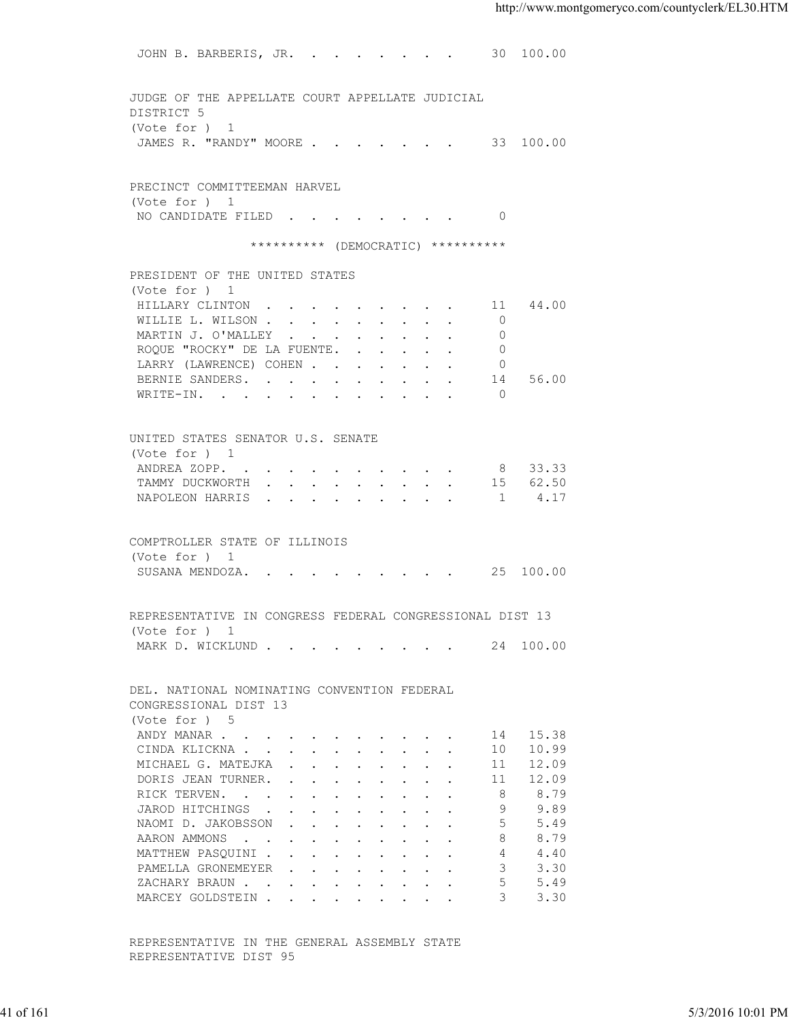JOHN B. BARBERIS, JR. . . . . . . . 30 100.00 JUDGE OF THE APPELLATE COURT APPELLATE JUDICIAL DISTRICT 5 (Vote for ) 1 JAMES R. "RANDY" MOORE . . . . . . . 33 100.00 PRECINCT COMMITTEEMAN HARVEL (Vote for ) 1 NO CANDIDATE FILED . . . . . . . . 0 \*\*\*\*\*\*\*\*\*\*\* (DEMOCRATIC) \*\*\*\*\*\*\*\*\*\* PRESIDENT OF THE UNITED STATES (Vote for ) 1 HILLARY CLINTON . . . . . . . . . 11 44.00 WILLIE L. WILSON . . . . . . . . . 0 MARTIN J. O'MALLEY . . . . . . . . 0 ROQUE "ROCKY" DE LA FUENTE. . . . . . 0 LARRY (LAWRENCE) COHEN . . . . . . . 0 BERNIE SANDERS. . . . . . . . . . . 14 56.00 WRITE-IN. . . . . . . . . . . . 0 UNITED STATES SENATOR U.S. SENATE (Vote for ) 1 ANDREA ZOPP. . . . . . . . . . 8 33.33 TAMMY DUCKWORTH . . . . . . . . . 15 62.50 NAPOLEON HARRIS . . . . . . . . . 1 4.17 COMPTROLLER STATE OF ILLINOIS (Vote for ) 1 SUSANA MENDOZA. . . . . . . . . . 25 100.00 REPRESENTATIVE IN CONGRESS FEDERAL CONGRESSIONAL DIST 13 (Vote for ) 1 MARK D. WICKLUND . . . . . . . . . 24 100.00 DEL. NATIONAL NOMINATING CONVENTION FEDERAL CONGRESSIONAL DIST 13 (Vote for ) 5 ANDY MANAR . . . . . . . . . . . 14 15.38 CINDA KLICKNA . . . . . . . . . . 10 10.99 MICHAEL G. MATEJKA . . . . . . . . 11 12.09 DORIS JEAN TURNER. . . . . . . . . 11 12.09<br>RICK TERVEN. . . . . . . . . . . 8 8.79<br>JAROD HITCHINGS . . . . . . . . 9 9.89 RICK TERVEN. . . . . . . . . . . 8 8.79<br>JAROD HITCHINGS . . . . . . . . . 9 9.89 JAROD HITCHINGS . . . . . . . . . NAOMI D. JAKOBSSON . . . . . . . . . 5 5.49<br>AARON AMMONS . . . . . . . . . . 8 8.79 AARON AMMONS . . . . . . . . . . . MATTHEW PASOUINI . . . . . . . . . 4 4.40 PAMELLA GRONEMEYER . . . . . . . . 3 3.30<br>ZACHARY BRAUN . . . . . . . . . . 5 5.49 XACHARY BRAUN . . . . . . . . . . . 5 5.49<br>MARCEY GOLDSTEIN . . . . . . . . . 3 3.30 MARCEY GOLDSTEIN . . . . . . . . . 41 of 161 5/3/2016 10:01 PM

 REPRESENTATIVE IN THE GENERAL ASSEMBLY STATE REPRESENTATIVE DIST 95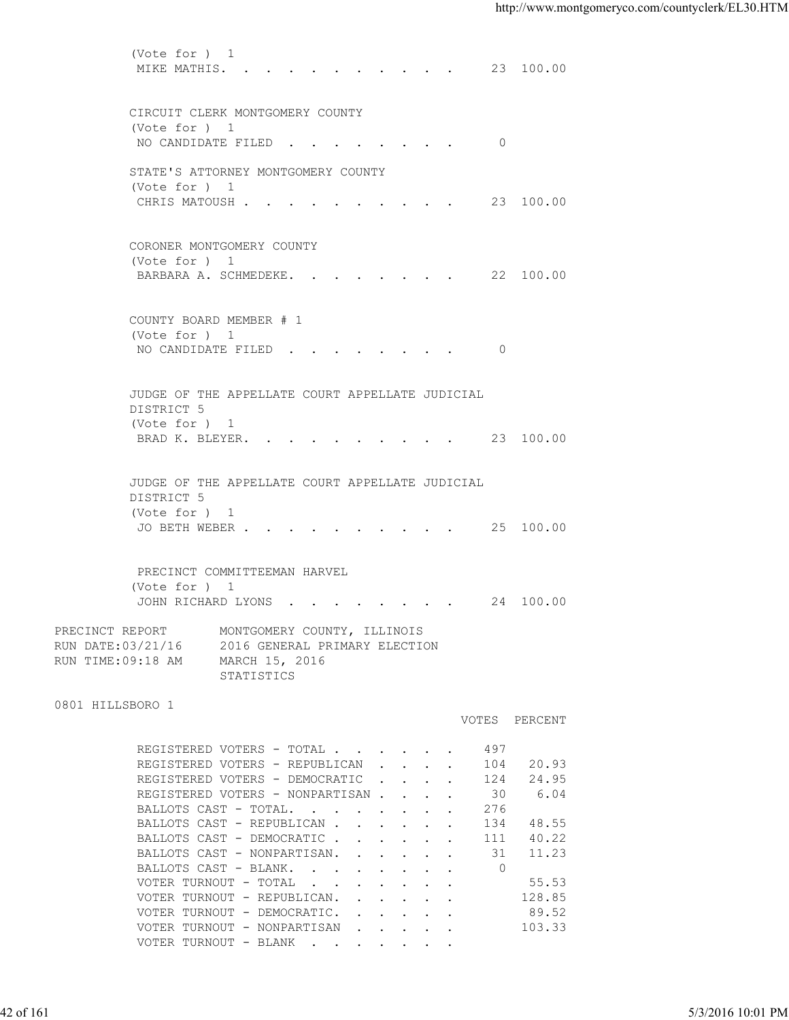(Vote for ) 1 MIKE MATHIS. . . . . . . . . . . 23 100.00 CIRCUIT CLERK MONTGOMERY COUNTY (Vote for ) 1 NO CANDIDATE FILED . . . . . . . . 0 STATE'S ATTORNEY MONTGOMERY COUNTY (Vote for ) 1 CHRIS MATOUSH . . . . . . . . . . 23 100.00 CORONER MONTGOMERY COUNTY (Vote for ) 1 BARBARA A. SCHMEDEKE. . . . . . . . 22 100.00 COUNTY BOARD MEMBER # 1 (Vote for ) 1 NO CANDIDATE FILED . . . . . . . . 0 JUDGE OF THE APPELLATE COURT APPELLATE JUDICIAL DISTRICT 5 (Vote for ) 1 BRAD K. BLEYER. . . . . . . . . . 23 100.00 JUDGE OF THE APPELLATE COURT APPELLATE JUDICIAL DISTRICT 5 (Vote for ) 1 JO BETH WEBER . . . . . . . . . . 25 100.00 PRECINCT COMMITTEEMAN HARVEL (Vote for ) 1 JOHN RICHARD LYONS . . . . . . . . 24 100.00 PRECINCT REPORT MONTGOMERY COUNTY, ILLINOIS RUN DATE:03/21/16 2016 GENERAL PRIMARY ELECTION RUN TIME:09:18 AM MARCH 15, 2016 STATISTICS 0801 HILLSBORO 1 VOTES PERCENT REGISTERED VOTERS - TOTAL . . . . . . 497 REGISTERED VOTERS - REPUBLICAN . . . . 104 20.93 REGISTERED VOTERS - DEMOCRATIC . . . . 124 24.95 REGISTERED VOTERS - NONPARTISAN . . . . 30 6.04<br>BALLOTS CAST - TOTAL. . . . . . . . 276 BALLOTS CAST - TOTAL. . . . . . . . BALLOTS CAST - REPUBLICAN . . . . . . 134 48.55<br>BALLOTS CAST - DEMOCRATIC . . . . . 111 40.22 BALLOTS CAST - DEMOCRATIC . . . . . . BALLOTS CAST - NONPARTISAN. . . . . . 31 11.23 BALLOTS CAST - BLANK. . . . . . . . . 0<br>VOTER TURNOUT - TOTAL . . . . . . . . . 55.53 VOTER TURNOUT - TOTAL  $\cdot \cdot \cdot \cdot \cdot$  .  $\cdot \cdot \cdot$ VOTER TURNOUT - REPUBLICAN. . . . . . 128.85 VOTER TURNOUT - DEMOCRATIC. . . . . . 89.52 VOTER TURNOUT - NONPARTISAN . . . . . 103.33 VOTER TURNOUT - BLANK . . . . . . . 42 of 161 5/3/2016 10:01 PM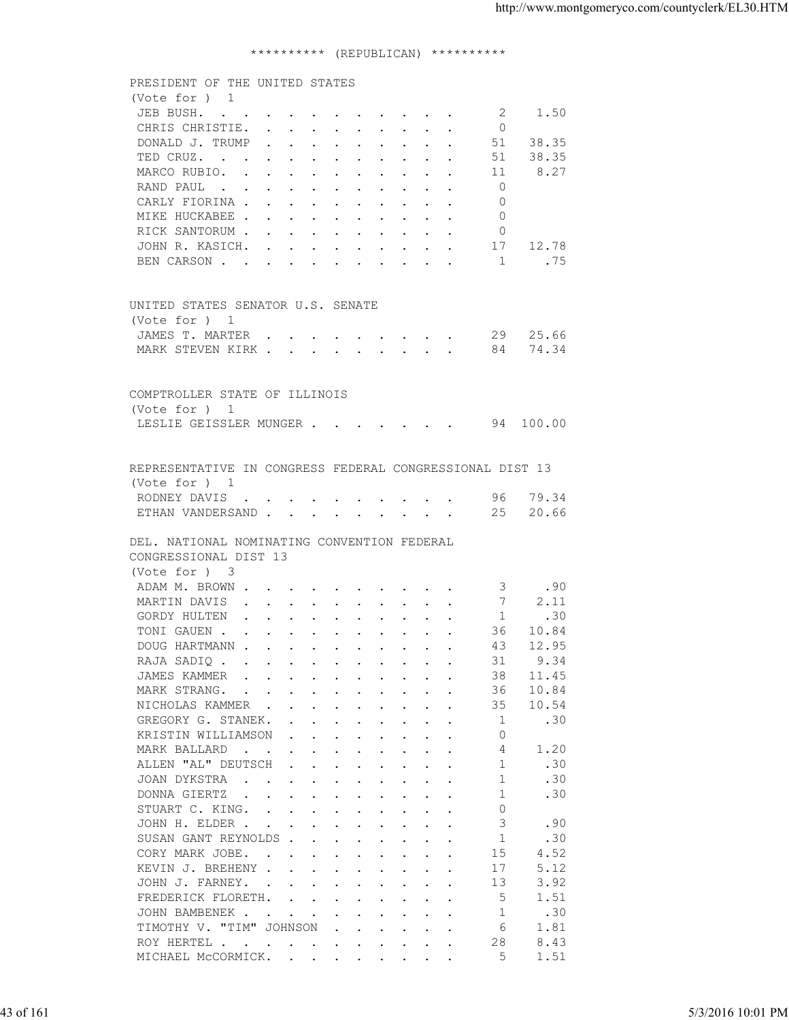## \*\*\*\*\*\*\*\*\*\* (REPUBLICAN) \*\*\*\*\*\*\*\*\*\*

|           | PRESIDENT OF THE UNITED STATES<br>(Vote for ) 1<br>JEB BUSH.<br>CHRIS CHRISTIE.                                                 | -2             | 1.50                |                   |
|-----------|---------------------------------------------------------------------------------------------------------------------------------|----------------|---------------------|-------------------|
|           |                                                                                                                                 |                |                     |                   |
|           |                                                                                                                                 |                |                     |                   |
|           |                                                                                                                                 |                |                     |                   |
|           |                                                                                                                                 | $\overline{0}$ |                     |                   |
|           | DONALD J. TRUMP                                                                                                                 |                | 51 38.35            |                   |
|           | TED CRUZ.                                                                                                                       | 51             | 38.35               |                   |
|           | MARCO RUBIO.                                                                                                                    | -11            | 8.27                |                   |
|           |                                                                                                                                 | $\overline{0}$ |                     |                   |
|           | RAND PAUL                                                                                                                       | $\Omega$       |                     |                   |
|           | CARLY FIORINA                                                                                                                   |                |                     |                   |
|           | MIKE HUCKABEE                                                                                                                   | $\Omega$       |                     |                   |
|           | RICK SANTORUM                                                                                                                   | - 0            |                     |                   |
|           | JOHN R. KASICH. 17 12.78                                                                                                        |                |                     |                   |
|           | BEN CARSON 1                                                                                                                    |                | . 75                |                   |
|           |                                                                                                                                 |                |                     |                   |
|           | UNITED STATES SENATOR U.S. SENATE                                                                                               |                |                     |                   |
|           | (Vote for ) 1                                                                                                                   |                |                     |                   |
|           | JAMES T. MARTER 29 25.66                                                                                                        |                |                     |                   |
|           | MARK STEVEN KIRK 84 74.34                                                                                                       |                |                     |                   |
|           |                                                                                                                                 |                |                     |                   |
|           |                                                                                                                                 |                |                     |                   |
|           | COMPTROLLER STATE OF ILLINOIS                                                                                                   |                |                     |                   |
|           | (Vote for ) 1                                                                                                                   |                |                     |                   |
|           | LESLIE GEISSLER MUNGER 94 100.00                                                                                                |                |                     |                   |
|           |                                                                                                                                 |                |                     |                   |
|           | REPRESENTATIVE IN CONGRESS FEDERAL CONGRESSIONAL DIST 13                                                                        |                |                     |                   |
|           | (Vote for ) 1                                                                                                                   |                |                     |                   |
|           | RODNEY DAVIS 96 79.34                                                                                                           |                |                     |                   |
|           | ETHAN VANDERSAND 25 20.66                                                                                                       |                |                     |                   |
|           |                                                                                                                                 |                |                     |                   |
|           | DEL. NATIONAL NOMINATING CONVENTION FEDERAL                                                                                     |                |                     |                   |
|           |                                                                                                                                 |                |                     |                   |
|           | CONGRESSIONAL DIST 13                                                                                                           |                |                     |                   |
|           | (Vote for ) 3                                                                                                                   |                |                     |                   |
|           | ADAM M. BROWN                                                                                                                   |                | $\overline{3}$ . 90 |                   |
|           | MARTIN DAVIS 7                                                                                                                  |                | 2.11                |                   |
|           | GORDY HULTEN 1 .30                                                                                                              |                |                     |                   |
|           | TONI GAUEN                                                                                                                      |                | 36 10.84            |                   |
|           | DOUG HARTMANN                                                                                                                   |                | 43 12.95            |                   |
|           | RAJA SADIQ                                                                                                                      | 31             | 9.34                |                   |
|           | JAMES KAMMER<br>the contract of the contract of the contract of the contract of the contract of the contract of the contract of | 38             | 11.45               |                   |
|           | MARK STRANG.<br>the contract of the contract of the contract of the contract of the contract of the contract of the contract of | 36             | 10.84               |                   |
|           | NICHOLAS KAMMER                                                                                                                 | 35             | 10.54               |                   |
|           | GREGORY G. STANEK.                                                                                                              | -1             | .30                 |                   |
|           | KRISTIN WILLIAMSON<br>$\mathbf{r}$ , $\mathbf{r}$ , $\mathbf{r}$ , $\mathbf{r}$ , $\mathbf{r}$ , $\mathbf{r}$                   | $\Omega$       |                     |                   |
|           | MARK BALLARD<br>the contract of the contract of the contract of the contract of the contract of the contract of the contract of | 4              | 1.20                |                   |
|           | ALLEN "AL" DEUTSCH                                                                                                              | $\overline{1}$ | .30                 |                   |
|           | JOAN DYKSTRA<br>the contract of the contract of the contract of the contract of the contract of the contract of the contract of | 1              | .30                 |                   |
|           |                                                                                                                                 | -1             |                     |                   |
|           | DONNA GIERTZ                                                                                                                    |                | .30                 |                   |
|           | STUART C. KING.                                                                                                                 | $\Omega$       |                     |                   |
|           | JOHN H. ELDER                                                                                                                   | 3              | .90                 |                   |
|           | SUSAN GANT REYNOLDS                                                                                                             | -1             | .30                 |                   |
|           | CORY MARK JOBE.                                                                                                                 | 15             | 4.52                |                   |
|           | KEVIN J. BREHENY                                                                                                                | 17             | 5.12                |                   |
|           | JOHN J. FARNEY.                                                                                                                 | 13             | 3.92                |                   |
|           | FREDERICK FLORETH.                                                                                                              | 5              | 1.51                |                   |
|           | JOHN BAMBENEK                                                                                                                   | -1             | .30                 |                   |
|           | TIMOTHY V. "TIM" JOHNSON<br>$\mathbf{r}$ , $\mathbf{r}$ , $\mathbf{r}$ , $\mathbf{r}$ , $\mathbf{r}$                            | 6              | 1.81                |                   |
|           | ROY HERTEL                                                                                                                      | 28             | 8.43                |                   |
|           | MICHAEL MCCORMICK.                                                                                                              | 5              | 1.51                |                   |
|           |                                                                                                                                 |                |                     |                   |
|           |                                                                                                                                 |                |                     |                   |
|           |                                                                                                                                 |                |                     |                   |
| 43 of 161 |                                                                                                                                 |                |                     | 5/3/2016 10:01 PM |
|           |                                                                                                                                 |                |                     |                   |
|           |                                                                                                                                 |                |                     |                   |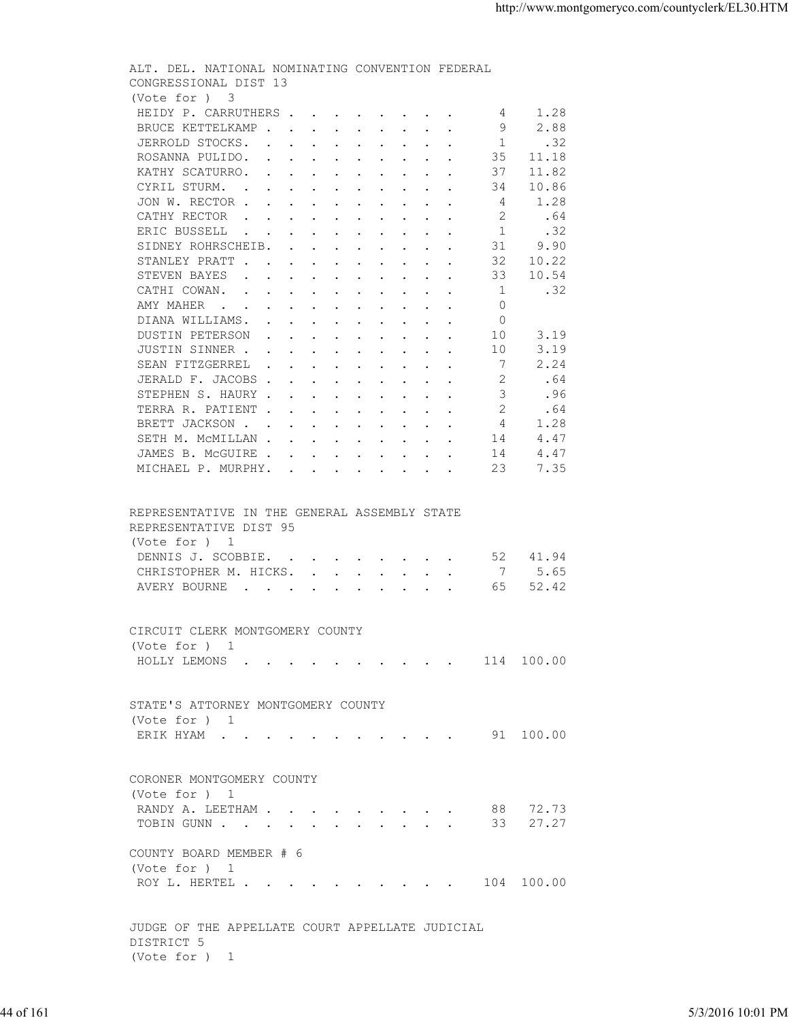| (Vote for ) 3<br>HEIDY P. CARRUTHERS<br>4 1.28<br>9<br>2.88<br>BRUCE KETTELKAMP<br>1<br>JERROLD STOCKS<br>.32<br>35<br>ROSANNA PULIDO.<br>11.18<br>11.82<br>KATHY SCATURRO.<br>37<br>10.86<br>CYRIL STURM.<br>34<br>1.28<br>JON W. RECTOR<br>4<br>.64<br>CATHY RECTOR<br>-2<br>.32<br>ERIC BUSSELL<br>1<br>31<br>9.90<br>SIDNEY ROHRSCHEIB.<br>32<br>10.22<br>STANLEY PRATT<br>10.54<br>STEVEN BAYES<br>33<br>$\overline{1}$<br>.32<br>CATHI COWAN.<br>$\Omega$<br>AMY MAHER<br>DIANA WILLIAMS.<br>$\circ$<br>3.19<br>DUSTIN PETERSON<br>10<br>3.19<br>JUSTIN SINNER<br>10<br>$\overline{7}$<br>2.24<br>SEAN FITZGERREL<br>JERALD F. JACOBS<br>-2<br>.64<br>$\mathcal{S}$<br>.96<br>STEPHEN S. HAURY<br>TERRA R. PATIENT<br>2<br>.64<br>BRETT JACKSON<br>4<br>1.28<br>SETH M. MCMILLAN<br>14<br>4.47<br>4.47<br>JAMES B. MCGUIRE<br>14<br>23<br>7.35<br>MICHAEL P. MURPHY.<br>REPRESENTATIVE IN THE GENERAL ASSEMBLY STATE<br>REPRESENTATIVE DIST 95<br>(Vote for ) 1<br>DENNIS J. SCOBBIE. 52<br>41.94<br>CHRISTOPHER M. HICKS. 7<br>5.65<br>52.42<br>AVERY BOURNE<br>65<br>CIRCUIT CLERK MONTGOMERY COUNTY<br>(Vote for ) 1<br>HOLLY LEMONS 114 100.00<br>STATE'S ATTORNEY MONTGOMERY COUNTY<br>(Vote for ) 1<br>ERIK HYAM 91 100.00<br>CORONER MONTGOMERY COUNTY<br>(Vote for ) 1<br>88 72.73<br>RANDY A. LEETHAM<br>TOBIN GUNN 33 27.27<br>COUNTY BOARD MEMBER # 6<br>(Vote for ) 1<br>ROY L. HERTEL 104 100.00<br>JUDGE OF THE APPELLATE COURT APPELLATE JUDICIAL<br>DISTRICT 5<br>(Vote for ) 1<br>44 of 161 |  |                   | ALT. DEL. NATIONAL NOMINATING CONVENTION FEDERAL<br>CONGRESSIONAL DIST 13 |  |
|--------------------------------------------------------------------------------------------------------------------------------------------------------------------------------------------------------------------------------------------------------------------------------------------------------------------------------------------------------------------------------------------------------------------------------------------------------------------------------------------------------------------------------------------------------------------------------------------------------------------------------------------------------------------------------------------------------------------------------------------------------------------------------------------------------------------------------------------------------------------------------------------------------------------------------------------------------------------------------------------------------------------------------------------------------------------------------------------------------------------------------------------------------------------------------------------------------------------------------------------------------------------------------------------------------------------------------------------------------------------------------------------------------------------------------------------------------------------------------------------------------------------|--|-------------------|---------------------------------------------------------------------------|--|
|                                                                                                                                                                                                                                                                                                                                                                                                                                                                                                                                                                                                                                                                                                                                                                                                                                                                                                                                                                                                                                                                                                                                                                                                                                                                                                                                                                                                                                                                                                                    |  |                   |                                                                           |  |
|                                                                                                                                                                                                                                                                                                                                                                                                                                                                                                                                                                                                                                                                                                                                                                                                                                                                                                                                                                                                                                                                                                                                                                                                                                                                                                                                                                                                                                                                                                                    |  |                   |                                                                           |  |
|                                                                                                                                                                                                                                                                                                                                                                                                                                                                                                                                                                                                                                                                                                                                                                                                                                                                                                                                                                                                                                                                                                                                                                                                                                                                                                                                                                                                                                                                                                                    |  |                   |                                                                           |  |
|                                                                                                                                                                                                                                                                                                                                                                                                                                                                                                                                                                                                                                                                                                                                                                                                                                                                                                                                                                                                                                                                                                                                                                                                                                                                                                                                                                                                                                                                                                                    |  | 5/3/2016 10:01 PM |                                                                           |  |
|                                                                                                                                                                                                                                                                                                                                                                                                                                                                                                                                                                                                                                                                                                                                                                                                                                                                                                                                                                                                                                                                                                                                                                                                                                                                                                                                                                                                                                                                                                                    |  |                   |                                                                           |  |
|                                                                                                                                                                                                                                                                                                                                                                                                                                                                                                                                                                                                                                                                                                                                                                                                                                                                                                                                                                                                                                                                                                                                                                                                                                                                                                                                                                                                                                                                                                                    |  |                   |                                                                           |  |
|                                                                                                                                                                                                                                                                                                                                                                                                                                                                                                                                                                                                                                                                                                                                                                                                                                                                                                                                                                                                                                                                                                                                                                                                                                                                                                                                                                                                                                                                                                                    |  |                   |                                                                           |  |
|                                                                                                                                                                                                                                                                                                                                                                                                                                                                                                                                                                                                                                                                                                                                                                                                                                                                                                                                                                                                                                                                                                                                                                                                                                                                                                                                                                                                                                                                                                                    |  |                   |                                                                           |  |
|                                                                                                                                                                                                                                                                                                                                                                                                                                                                                                                                                                                                                                                                                                                                                                                                                                                                                                                                                                                                                                                                                                                                                                                                                                                                                                                                                                                                                                                                                                                    |  |                   |                                                                           |  |
|                                                                                                                                                                                                                                                                                                                                                                                                                                                                                                                                                                                                                                                                                                                                                                                                                                                                                                                                                                                                                                                                                                                                                                                                                                                                                                                                                                                                                                                                                                                    |  |                   |                                                                           |  |
|                                                                                                                                                                                                                                                                                                                                                                                                                                                                                                                                                                                                                                                                                                                                                                                                                                                                                                                                                                                                                                                                                                                                                                                                                                                                                                                                                                                                                                                                                                                    |  |                   |                                                                           |  |
|                                                                                                                                                                                                                                                                                                                                                                                                                                                                                                                                                                                                                                                                                                                                                                                                                                                                                                                                                                                                                                                                                                                                                                                                                                                                                                                                                                                                                                                                                                                    |  |                   |                                                                           |  |
|                                                                                                                                                                                                                                                                                                                                                                                                                                                                                                                                                                                                                                                                                                                                                                                                                                                                                                                                                                                                                                                                                                                                                                                                                                                                                                                                                                                                                                                                                                                    |  |                   |                                                                           |  |
|                                                                                                                                                                                                                                                                                                                                                                                                                                                                                                                                                                                                                                                                                                                                                                                                                                                                                                                                                                                                                                                                                                                                                                                                                                                                                                                                                                                                                                                                                                                    |  |                   |                                                                           |  |
|                                                                                                                                                                                                                                                                                                                                                                                                                                                                                                                                                                                                                                                                                                                                                                                                                                                                                                                                                                                                                                                                                                                                                                                                                                                                                                                                                                                                                                                                                                                    |  |                   |                                                                           |  |
|                                                                                                                                                                                                                                                                                                                                                                                                                                                                                                                                                                                                                                                                                                                                                                                                                                                                                                                                                                                                                                                                                                                                                                                                                                                                                                                                                                                                                                                                                                                    |  |                   |                                                                           |  |
|                                                                                                                                                                                                                                                                                                                                                                                                                                                                                                                                                                                                                                                                                                                                                                                                                                                                                                                                                                                                                                                                                                                                                                                                                                                                                                                                                                                                                                                                                                                    |  |                   |                                                                           |  |
|                                                                                                                                                                                                                                                                                                                                                                                                                                                                                                                                                                                                                                                                                                                                                                                                                                                                                                                                                                                                                                                                                                                                                                                                                                                                                                                                                                                                                                                                                                                    |  |                   |                                                                           |  |
|                                                                                                                                                                                                                                                                                                                                                                                                                                                                                                                                                                                                                                                                                                                                                                                                                                                                                                                                                                                                                                                                                                                                                                                                                                                                                                                                                                                                                                                                                                                    |  |                   |                                                                           |  |
|                                                                                                                                                                                                                                                                                                                                                                                                                                                                                                                                                                                                                                                                                                                                                                                                                                                                                                                                                                                                                                                                                                                                                                                                                                                                                                                                                                                                                                                                                                                    |  |                   |                                                                           |  |
|                                                                                                                                                                                                                                                                                                                                                                                                                                                                                                                                                                                                                                                                                                                                                                                                                                                                                                                                                                                                                                                                                                                                                                                                                                                                                                                                                                                                                                                                                                                    |  |                   |                                                                           |  |
|                                                                                                                                                                                                                                                                                                                                                                                                                                                                                                                                                                                                                                                                                                                                                                                                                                                                                                                                                                                                                                                                                                                                                                                                                                                                                                                                                                                                                                                                                                                    |  |                   |                                                                           |  |
|                                                                                                                                                                                                                                                                                                                                                                                                                                                                                                                                                                                                                                                                                                                                                                                                                                                                                                                                                                                                                                                                                                                                                                                                                                                                                                                                                                                                                                                                                                                    |  |                   |                                                                           |  |
|                                                                                                                                                                                                                                                                                                                                                                                                                                                                                                                                                                                                                                                                                                                                                                                                                                                                                                                                                                                                                                                                                                                                                                                                                                                                                                                                                                                                                                                                                                                    |  |                   |                                                                           |  |
|                                                                                                                                                                                                                                                                                                                                                                                                                                                                                                                                                                                                                                                                                                                                                                                                                                                                                                                                                                                                                                                                                                                                                                                                                                                                                                                                                                                                                                                                                                                    |  |                   |                                                                           |  |
|                                                                                                                                                                                                                                                                                                                                                                                                                                                                                                                                                                                                                                                                                                                                                                                                                                                                                                                                                                                                                                                                                                                                                                                                                                                                                                                                                                                                                                                                                                                    |  |                   |                                                                           |  |
|                                                                                                                                                                                                                                                                                                                                                                                                                                                                                                                                                                                                                                                                                                                                                                                                                                                                                                                                                                                                                                                                                                                                                                                                                                                                                                                                                                                                                                                                                                                    |  |                   |                                                                           |  |
|                                                                                                                                                                                                                                                                                                                                                                                                                                                                                                                                                                                                                                                                                                                                                                                                                                                                                                                                                                                                                                                                                                                                                                                                                                                                                                                                                                                                                                                                                                                    |  |                   |                                                                           |  |
|                                                                                                                                                                                                                                                                                                                                                                                                                                                                                                                                                                                                                                                                                                                                                                                                                                                                                                                                                                                                                                                                                                                                                                                                                                                                                                                                                                                                                                                                                                                    |  |                   |                                                                           |  |
|                                                                                                                                                                                                                                                                                                                                                                                                                                                                                                                                                                                                                                                                                                                                                                                                                                                                                                                                                                                                                                                                                                                                                                                                                                                                                                                                                                                                                                                                                                                    |  |                   |                                                                           |  |
|                                                                                                                                                                                                                                                                                                                                                                                                                                                                                                                                                                                                                                                                                                                                                                                                                                                                                                                                                                                                                                                                                                                                                                                                                                                                                                                                                                                                                                                                                                                    |  |                   |                                                                           |  |
|                                                                                                                                                                                                                                                                                                                                                                                                                                                                                                                                                                                                                                                                                                                                                                                                                                                                                                                                                                                                                                                                                                                                                                                                                                                                                                                                                                                                                                                                                                                    |  |                   |                                                                           |  |
|                                                                                                                                                                                                                                                                                                                                                                                                                                                                                                                                                                                                                                                                                                                                                                                                                                                                                                                                                                                                                                                                                                                                                                                                                                                                                                                                                                                                                                                                                                                    |  |                   |                                                                           |  |
|                                                                                                                                                                                                                                                                                                                                                                                                                                                                                                                                                                                                                                                                                                                                                                                                                                                                                                                                                                                                                                                                                                                                                                                                                                                                                                                                                                                                                                                                                                                    |  |                   |                                                                           |  |
|                                                                                                                                                                                                                                                                                                                                                                                                                                                                                                                                                                                                                                                                                                                                                                                                                                                                                                                                                                                                                                                                                                                                                                                                                                                                                                                                                                                                                                                                                                                    |  |                   |                                                                           |  |
|                                                                                                                                                                                                                                                                                                                                                                                                                                                                                                                                                                                                                                                                                                                                                                                                                                                                                                                                                                                                                                                                                                                                                                                                                                                                                                                                                                                                                                                                                                                    |  |                   |                                                                           |  |
|                                                                                                                                                                                                                                                                                                                                                                                                                                                                                                                                                                                                                                                                                                                                                                                                                                                                                                                                                                                                                                                                                                                                                                                                                                                                                                                                                                                                                                                                                                                    |  |                   |                                                                           |  |
|                                                                                                                                                                                                                                                                                                                                                                                                                                                                                                                                                                                                                                                                                                                                                                                                                                                                                                                                                                                                                                                                                                                                                                                                                                                                                                                                                                                                                                                                                                                    |  |                   |                                                                           |  |
|                                                                                                                                                                                                                                                                                                                                                                                                                                                                                                                                                                                                                                                                                                                                                                                                                                                                                                                                                                                                                                                                                                                                                                                                                                                                                                                                                                                                                                                                                                                    |  |                   |                                                                           |  |
|                                                                                                                                                                                                                                                                                                                                                                                                                                                                                                                                                                                                                                                                                                                                                                                                                                                                                                                                                                                                                                                                                                                                                                                                                                                                                                                                                                                                                                                                                                                    |  |                   |                                                                           |  |
|                                                                                                                                                                                                                                                                                                                                                                                                                                                                                                                                                                                                                                                                                                                                                                                                                                                                                                                                                                                                                                                                                                                                                                                                                                                                                                                                                                                                                                                                                                                    |  |                   |                                                                           |  |
|                                                                                                                                                                                                                                                                                                                                                                                                                                                                                                                                                                                                                                                                                                                                                                                                                                                                                                                                                                                                                                                                                                                                                                                                                                                                                                                                                                                                                                                                                                                    |  |                   |                                                                           |  |
|                                                                                                                                                                                                                                                                                                                                                                                                                                                                                                                                                                                                                                                                                                                                                                                                                                                                                                                                                                                                                                                                                                                                                                                                                                                                                                                                                                                                                                                                                                                    |  |                   |                                                                           |  |
|                                                                                                                                                                                                                                                                                                                                                                                                                                                                                                                                                                                                                                                                                                                                                                                                                                                                                                                                                                                                                                                                                                                                                                                                                                                                                                                                                                                                                                                                                                                    |  |                   |                                                                           |  |
|                                                                                                                                                                                                                                                                                                                                                                                                                                                                                                                                                                                                                                                                                                                                                                                                                                                                                                                                                                                                                                                                                                                                                                                                                                                                                                                                                                                                                                                                                                                    |  |                   |                                                                           |  |
|                                                                                                                                                                                                                                                                                                                                                                                                                                                                                                                                                                                                                                                                                                                                                                                                                                                                                                                                                                                                                                                                                                                                                                                                                                                                                                                                                                                                                                                                                                                    |  |                   |                                                                           |  |
|                                                                                                                                                                                                                                                                                                                                                                                                                                                                                                                                                                                                                                                                                                                                                                                                                                                                                                                                                                                                                                                                                                                                                                                                                                                                                                                                                                                                                                                                                                                    |  |                   |                                                                           |  |
|                                                                                                                                                                                                                                                                                                                                                                                                                                                                                                                                                                                                                                                                                                                                                                                                                                                                                                                                                                                                                                                                                                                                                                                                                                                                                                                                                                                                                                                                                                                    |  |                   |                                                                           |  |
|                                                                                                                                                                                                                                                                                                                                                                                                                                                                                                                                                                                                                                                                                                                                                                                                                                                                                                                                                                                                                                                                                                                                                                                                                                                                                                                                                                                                                                                                                                                    |  |                   |                                                                           |  |
|                                                                                                                                                                                                                                                                                                                                                                                                                                                                                                                                                                                                                                                                                                                                                                                                                                                                                                                                                                                                                                                                                                                                                                                                                                                                                                                                                                                                                                                                                                                    |  |                   |                                                                           |  |
|                                                                                                                                                                                                                                                                                                                                                                                                                                                                                                                                                                                                                                                                                                                                                                                                                                                                                                                                                                                                                                                                                                                                                                                                                                                                                                                                                                                                                                                                                                                    |  |                   |                                                                           |  |
|                                                                                                                                                                                                                                                                                                                                                                                                                                                                                                                                                                                                                                                                                                                                                                                                                                                                                                                                                                                                                                                                                                                                                                                                                                                                                                                                                                                                                                                                                                                    |  |                   |                                                                           |  |
|                                                                                                                                                                                                                                                                                                                                                                                                                                                                                                                                                                                                                                                                                                                                                                                                                                                                                                                                                                                                                                                                                                                                                                                                                                                                                                                                                                                                                                                                                                                    |  |                   |                                                                           |  |
|                                                                                                                                                                                                                                                                                                                                                                                                                                                                                                                                                                                                                                                                                                                                                                                                                                                                                                                                                                                                                                                                                                                                                                                                                                                                                                                                                                                                                                                                                                                    |  |                   |                                                                           |  |
|                                                                                                                                                                                                                                                                                                                                                                                                                                                                                                                                                                                                                                                                                                                                                                                                                                                                                                                                                                                                                                                                                                                                                                                                                                                                                                                                                                                                                                                                                                                    |  |                   |                                                                           |  |
|                                                                                                                                                                                                                                                                                                                                                                                                                                                                                                                                                                                                                                                                                                                                                                                                                                                                                                                                                                                                                                                                                                                                                                                                                                                                                                                                                                                                                                                                                                                    |  |                   |                                                                           |  |
|                                                                                                                                                                                                                                                                                                                                                                                                                                                                                                                                                                                                                                                                                                                                                                                                                                                                                                                                                                                                                                                                                                                                                                                                                                                                                                                                                                                                                                                                                                                    |  |                   |                                                                           |  |
|                                                                                                                                                                                                                                                                                                                                                                                                                                                                                                                                                                                                                                                                                                                                                                                                                                                                                                                                                                                                                                                                                                                                                                                                                                                                                                                                                                                                                                                                                                                    |  |                   |                                                                           |  |
|                                                                                                                                                                                                                                                                                                                                                                                                                                                                                                                                                                                                                                                                                                                                                                                                                                                                                                                                                                                                                                                                                                                                                                                                                                                                                                                                                                                                                                                                                                                    |  |                   |                                                                           |  |
|                                                                                                                                                                                                                                                                                                                                                                                                                                                                                                                                                                                                                                                                                                                                                                                                                                                                                                                                                                                                                                                                                                                                                                                                                                                                                                                                                                                                                                                                                                                    |  |                   |                                                                           |  |
|                                                                                                                                                                                                                                                                                                                                                                                                                                                                                                                                                                                                                                                                                                                                                                                                                                                                                                                                                                                                                                                                                                                                                                                                                                                                                                                                                                                                                                                                                                                    |  |                   |                                                                           |  |
|                                                                                                                                                                                                                                                                                                                                                                                                                                                                                                                                                                                                                                                                                                                                                                                                                                                                                                                                                                                                                                                                                                                                                                                                                                                                                                                                                                                                                                                                                                                    |  |                   |                                                                           |  |
|                                                                                                                                                                                                                                                                                                                                                                                                                                                                                                                                                                                                                                                                                                                                                                                                                                                                                                                                                                                                                                                                                                                                                                                                                                                                                                                                                                                                                                                                                                                    |  |                   |                                                                           |  |
|                                                                                                                                                                                                                                                                                                                                                                                                                                                                                                                                                                                                                                                                                                                                                                                                                                                                                                                                                                                                                                                                                                                                                                                                                                                                                                                                                                                                                                                                                                                    |  |                   |                                                                           |  |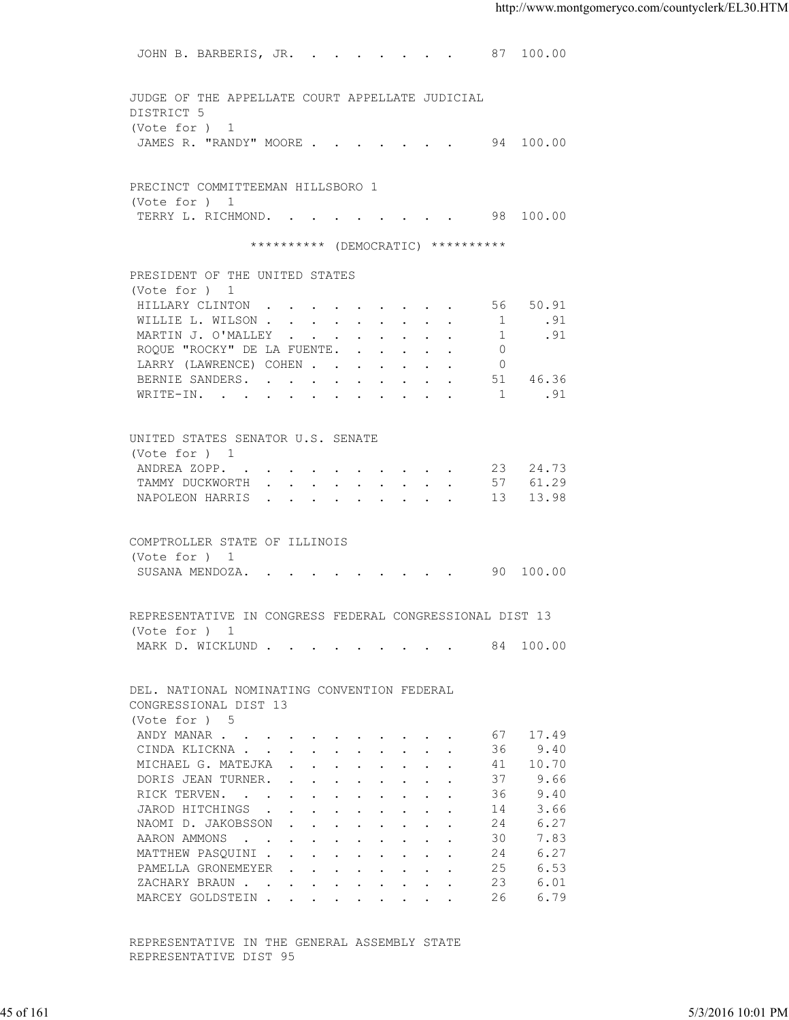JOHN B. BARBERIS, JR. . . . . . . . 87 100.00 JUDGE OF THE APPELLATE COURT APPELLATE JUDICIAL DISTRICT 5 (Vote for ) 1 JAMES R. "RANDY" MOORE . . . . . . . 94 100.00 PRECINCT COMMITTEEMAN HILLSBORO 1 (Vote for ) 1 TERRY L. RICHMOND. . . . . . . . . 98 100.00 \*\*\*\*\*\*\*\*\*\* (DEMOCRATIC) \*\*\*\*\*\*\*\*\*\* PRESIDENT OF THE UNITED STATES (Vote for ) 1 HILLARY CLINTON . . . . . . . . . . 56 50.91<br>WILLIE L. WILSON . . . . . . . . . . 1 .91 WILLIE L. WILSON . . . . . . . . . MARTIN J. O'MALLEY . . . . . . . . . 1 . 91 ROQUE "ROCKY" DE LA FUENTE. . . . . . 0 LARRY (LAWRENCE) COHEN . . . . . . . 0 BERNIE SANDERS. . . . . . . . . . 51 46.36<br>WRITE-IN. . . . . . . . . . . . 1 .91 WRITE-IN. . . . . . . . . . . . 1 .91 UNITED STATES SENATOR U.S. SENATE (Vote for ) 1 ANDREA ZOPP. . . . . . . . . . . 23 24.73<br>TAMMY DUCKWORTH . . . . . . . . . 57 61.29 TAMMY DUCKWORTH . . . . . . . . . 57 61.29<br>NAPOLEON HARRIS . . . . . . . . . 13 13.98 NAPOLEON HARRIS . . . . . . . . . COMPTROLLER STATE OF ILLINOIS (Vote for ) 1 SUSANA MENDOZA. . . . . . . . . . 90 100.00 REPRESENTATIVE IN CONGRESS FEDERAL CONGRESSIONAL DIST 13 (Vote for ) 1 MARK D. WICKLUND . . . . . . . . . 84 100.00 DEL. NATIONAL NOMINATING CONVENTION FEDERAL CONGRESSIONAL DIST 13 (Vote for ) 5 ANDY MANAR . . . . . . . . . . . . 67 17.49 CINDA KLICKNA . . . . . . . . . . 36 9.40 MICHAEL G. MATEJKA . . . . . . . . 41 10.70 DORIS JEAN TURNER. . . . . . . . . 37 9.66<br>RICK TERVEN. . . . . . . . . . . 36 9.40 RICK TERVEN. . . . . . . . . . . 36 9.40<br>JAROD HITCHINGS . . . . . . . . . 14 3.66 JAROD HITCHINGS . . . . . . . . . . 14 3.66<br>NAOMI D. JAKOBSSON . . . . . . . . 24 6.27 NAOMI D. JAKOBSSON . . . . . . . . 24 AARON AMMONS . . . . . . . . . . 30 7.83 MATTHEW PASOUINI . . . . . . . . . 24 6.27 PAMELLA GRONEMEYER . . . . . . . . 25 6.53<br>ZACHARY BRAUN . . . . . . . . . . 23 6.01 XACHARY BRAUN . . . . . . . . . . 23 6.01<br>MARCEY GOLDSTEIN . . . . . . . . . 26 6.79 MARCEY GOLDSTEIN . . . . . . . . . 45 of 161 5/3/2016 10:01 PM

 REPRESENTATIVE IN THE GENERAL ASSEMBLY STATE REPRESENTATIVE DIST 95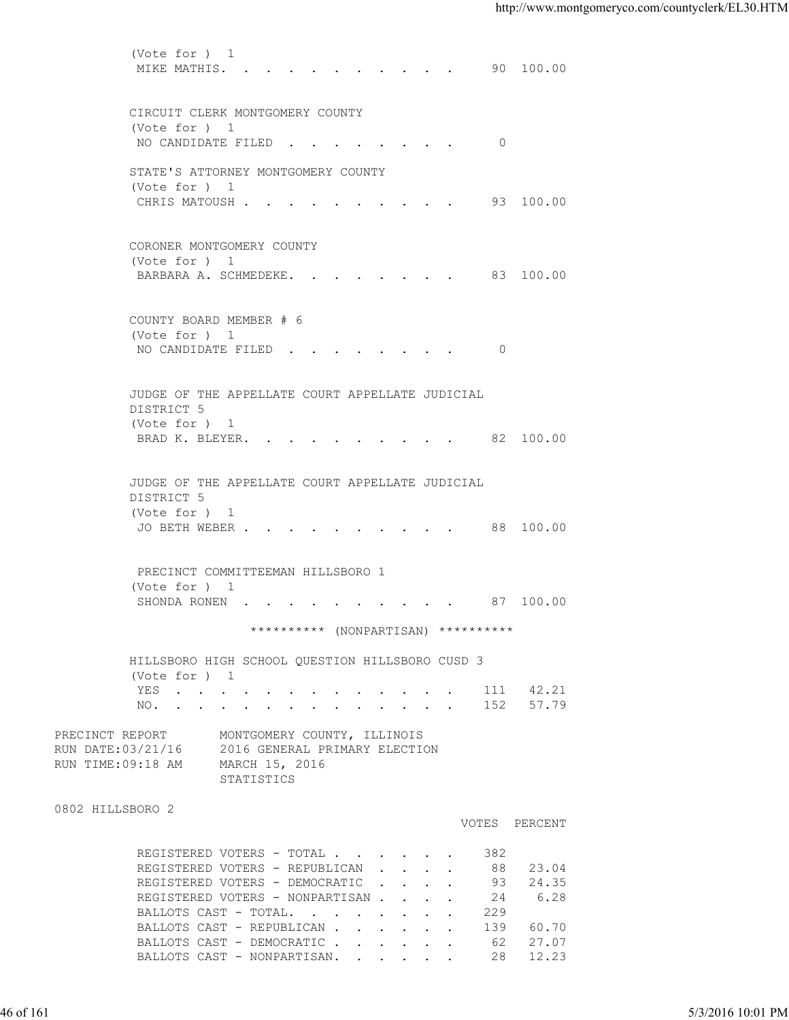(Vote for ) 1 MIKE MATHIS. . . . . . . . . . . 90 100.00 CIRCUIT CLERK MONTGOMERY COUNTY (Vote for ) 1 NO CANDIDATE FILED . . . . . . . . 0 STATE'S ATTORNEY MONTGOMERY COUNTY (Vote for ) 1 CHRIS MATOUSH . . . . . . . . . . 93 100.00 CORONER MONTGOMERY COUNTY (Vote for ) 1 BARBARA A. SCHMEDEKE. . . . . . . . 83 100.00 COUNTY BOARD MEMBER # 6 (Vote for ) 1 NO CANDIDATE FILED . . . . . . . . 0 JUDGE OF THE APPELLATE COURT APPELLATE JUDICIAL DISTRICT 5 (Vote for ) 1 BRAD K. BLEYER. . . . . . . . . . 82 100.00 JUDGE OF THE APPELLATE COURT APPELLATE JUDICIAL DISTRICT 5 (Vote for ) 1 JO BETH WEBER . . . . . . . . . . 88 100.00 PRECINCT COMMITTEEMAN HILLSBORO 1 (Vote for ) 1 SHONDA RONEN . . . . . . . . . . 87 100.00 \*\*\*\*\*\*\*\*\*\* (NONPARTISAN) \*\*\*\*\*\*\*\*\*\* HILLSBORO HIGH SCHOOL QUESTION HILLSBORO CUSD 3 (Vote for ) 1 YES . . . . . . . . . . . . . 111 42.21 NO. . . . . . . . . . . . . . 152 57.79 PRECINCT REPORT MONTGOMERY COUNTY, ILLINOIS RUN DATE:03/21/16 2016 GENERAL PRIMARY ELECTION RUN TIME:09:18 AM MARCH 15, 2016 STATISTICS 0802 HILLSBORO 2 VOTES PERCENT REGISTERED VOTERS - TOTAL . . . . . . 382 REGISTERED VOTERS - REPUBLICAN . . . . 88 23.04<br>REGISTERED VOTERS - DEMOCRATIC . . . . 93 24.35 REGISTERED VOTERS - DEMOCRATIC . . . . 93 24.35<br>REGISTERED VOTERS - NONPARTISAN . . . 24 6.28 REGISTERED VOTERS - NONPARTISAN . . . . 24 6.28 BALLOTS CAST - TOTAL. . . . . . . . 229 BALLOTS CAST - REPUBLICAN . . . . . . 139 60.70 BALLOTS CAST - DEMOCRATIC . . . . . . 62 27.07<br>BALLOTS CAST - NONPARTISAN. . . . . . 28 12.23 BALLOTS CAST - NONPARTISAN. . . . . . 46 of 161 5/3/2016 10:01 PM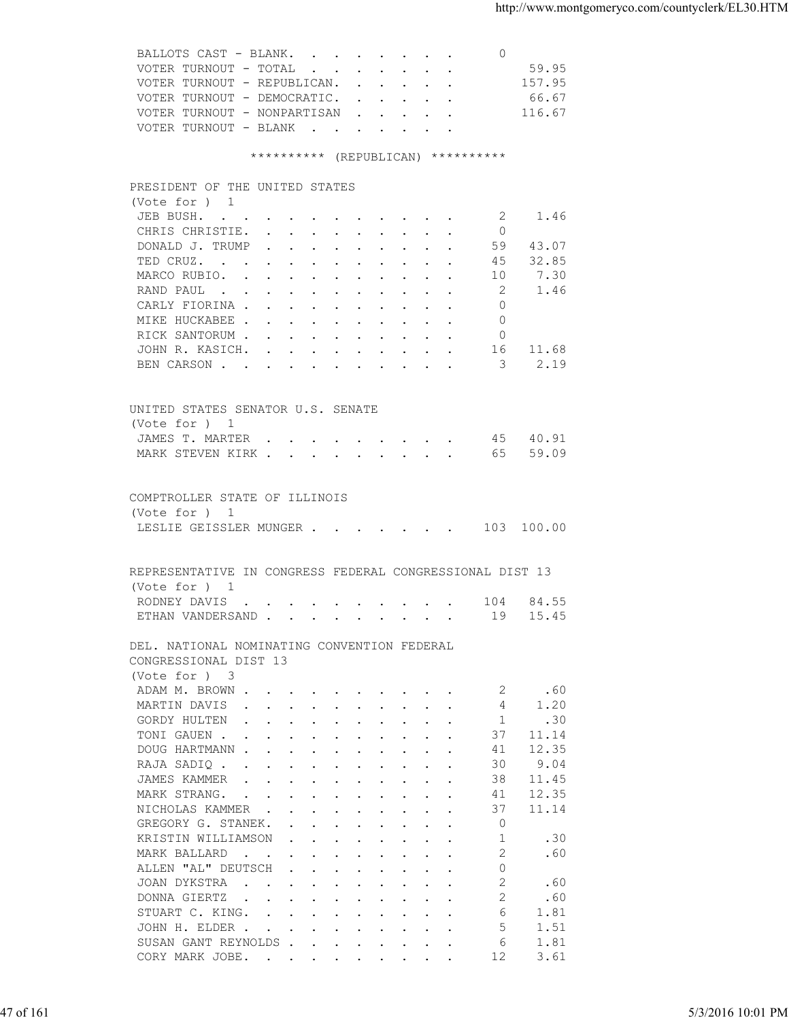| 59.95<br>VOTER TURNOUT - TOTAL        |  |
|---------------------------------------|--|
| 157.95<br>VOTER TURNOUT - REPUBLICAN. |  |
| 66.67<br>VOTER TURNOUT - DEMOCRATIC.  |  |
| 116.67<br>VOTER TURNOUT - NONPARTISAN |  |
| VOTER TURNOUT - BLANK                 |  |

## \*\*\*\*\*\*\*\*\*\* (REPUBLICAN) \*\*\*\*\*\*\*\*\*\*

| (Vote for ) 1<br>JEB BUSH.<br>1.46<br>2<br>CHRIS CHRISTIE.<br>$\Omega$<br>59 43.07<br>DONALD J. TRUMP<br>TED CRUZ.<br>45<br>32.85<br>7.30<br>MARCO RUBIO.<br>10<br>2<br>1.46<br>RAND PAUL<br>$\Omega$<br>CARLY FIORINA<br>MIKE HUCKABEE<br>$\Omega$<br>RICK SANTORUM<br>$\circ$<br>11.68<br>JOHN R. KASICH.<br>16<br>2.19<br>$\sim$ 3<br>BEN CARSON<br>UNITED STATES SENATOR U.S. SENATE<br>(Vote for ) 1<br>JAMES T. MARTER 45 40.91<br>MARK STEVEN KIRK 65 59.09<br>COMPTROLLER STATE OF ILLINOIS<br>(Vote for ) 1<br>LESLIE GEISSLER MUNGER 103 100.00<br>REPRESENTATIVE IN CONGRESS FEDERAL CONGRESSIONAL DIST 13<br>(Vote for ) 1<br>RODNEY DAVIS 104 84.55<br>ETHAN VANDERSAND 19 15.45<br>DEL. NATIONAL NOMINATING CONVENTION FEDERAL<br>CONGRESSIONAL DIST 13<br>(Vote for ) 3<br>ADAM M. BROWN<br>.60<br>2<br>MARTIN DAVIS<br>4 1.20<br>GORDY HULTEN<br>1.30<br>TONI GAUEN<br>37 11.14<br>41 12.35<br>DOUG HARTMANN<br>RAJA SADIQ<br>30<br>9.04<br>JAMES KAMMER<br>38<br>11.45<br>$\mathbf{r}$ , $\mathbf{r}$ , $\mathbf{r}$ , $\mathbf{r}$ , $\mathbf{r}$ , $\mathbf{r}$ , $\mathbf{r}$ , $\mathbf{r}$<br>MARK STRANG.<br>12.35<br>41<br>$\mathbf{a}$ and $\mathbf{a}$ are a set of the set of the set of the set of the set of the set of the set of the set of the set of the set of the set of the set of the set of the set of the set of the set of the set of the set of<br>NICHOLAS KAMMER<br>37<br>11.14<br>$\circ$<br>GREGORY G. STANEK.<br>$\mathbf{r}$ , $\mathbf{r}$ , $\mathbf{r}$ , $\mathbf{r}$ , $\mathbf{r}$ , $\mathbf{r}$<br>1<br>KRISTIN WILLIAMSON<br>.30<br>$\mathbf{r}$ . The contract of the contract of the contract of the contract of the contract of the contract of the contract of the contract of the contract of the contract of the contract of the contract of the contract of th<br>2<br>.60<br>MARK BALLARD<br>ALLEN "AL" DEUTSCH<br>$\circ$<br>2<br>JOAN DYKSTRA<br>.60<br>DONNA GIERTZ<br>2<br>.60<br>STUART C. KING.<br>6<br>1.81<br>5<br>1.51<br>JOHN H. ELDER<br>SUSAN GANT REYNOLDS<br>6<br>1.81<br>3.61<br>CORY MARK JOBE.<br>12 | 5/3/2016 10:01 PM |  |
|---------------------------------------------------------------------------------------------------------------------------------------------------------------------------------------------------------------------------------------------------------------------------------------------------------------------------------------------------------------------------------------------------------------------------------------------------------------------------------------------------------------------------------------------------------------------------------------------------------------------------------------------------------------------------------------------------------------------------------------------------------------------------------------------------------------------------------------------------------------------------------------------------------------------------------------------------------------------------------------------------------------------------------------------------------------------------------------------------------------------------------------------------------------------------------------------------------------------------------------------------------------------------------------------------------------------------------------------------------------------------------------------------------------------------------------------------------------------------------------------------------------------------------------------------------------------------------------------------------------------------------------------------------------------------------------------------------------------------------------------------------------------------------------------------------------------------------------------------------------------------------------------------------------------------------------------------------------------------------------------------------------------------------------------------------------------------------------|-------------------|--|
|                                                                                                                                                                                                                                                                                                                                                                                                                                                                                                                                                                                                                                                                                                                                                                                                                                                                                                                                                                                                                                                                                                                                                                                                                                                                                                                                                                                                                                                                                                                                                                                                                                                                                                                                                                                                                                                                                                                                                                                                                                                                                       |                   |  |
|                                                                                                                                                                                                                                                                                                                                                                                                                                                                                                                                                                                                                                                                                                                                                                                                                                                                                                                                                                                                                                                                                                                                                                                                                                                                                                                                                                                                                                                                                                                                                                                                                                                                                                                                                                                                                                                                                                                                                                                                                                                                                       |                   |  |
|                                                                                                                                                                                                                                                                                                                                                                                                                                                                                                                                                                                                                                                                                                                                                                                                                                                                                                                                                                                                                                                                                                                                                                                                                                                                                                                                                                                                                                                                                                                                                                                                                                                                                                                                                                                                                                                                                                                                                                                                                                                                                       |                   |  |
|                                                                                                                                                                                                                                                                                                                                                                                                                                                                                                                                                                                                                                                                                                                                                                                                                                                                                                                                                                                                                                                                                                                                                                                                                                                                                                                                                                                                                                                                                                                                                                                                                                                                                                                                                                                                                                                                                                                                                                                                                                                                                       |                   |  |
|                                                                                                                                                                                                                                                                                                                                                                                                                                                                                                                                                                                                                                                                                                                                                                                                                                                                                                                                                                                                                                                                                                                                                                                                                                                                                                                                                                                                                                                                                                                                                                                                                                                                                                                                                                                                                                                                                                                                                                                                                                                                                       |                   |  |
| 47 of 161                                                                                                                                                                                                                                                                                                                                                                                                                                                                                                                                                                                                                                                                                                                                                                                                                                                                                                                                                                                                                                                                                                                                                                                                                                                                                                                                                                                                                                                                                                                                                                                                                                                                                                                                                                                                                                                                                                                                                                                                                                                                             |                   |  |
|                                                                                                                                                                                                                                                                                                                                                                                                                                                                                                                                                                                                                                                                                                                                                                                                                                                                                                                                                                                                                                                                                                                                                                                                                                                                                                                                                                                                                                                                                                                                                                                                                                                                                                                                                                                                                                                                                                                                                                                                                                                                                       |                   |  |
|                                                                                                                                                                                                                                                                                                                                                                                                                                                                                                                                                                                                                                                                                                                                                                                                                                                                                                                                                                                                                                                                                                                                                                                                                                                                                                                                                                                                                                                                                                                                                                                                                                                                                                                                                                                                                                                                                                                                                                                                                                                                                       |                   |  |
|                                                                                                                                                                                                                                                                                                                                                                                                                                                                                                                                                                                                                                                                                                                                                                                                                                                                                                                                                                                                                                                                                                                                                                                                                                                                                                                                                                                                                                                                                                                                                                                                                                                                                                                                                                                                                                                                                                                                                                                                                                                                                       |                   |  |
|                                                                                                                                                                                                                                                                                                                                                                                                                                                                                                                                                                                                                                                                                                                                                                                                                                                                                                                                                                                                                                                                                                                                                                                                                                                                                                                                                                                                                                                                                                                                                                                                                                                                                                                                                                                                                                                                                                                                                                                                                                                                                       |                   |  |
|                                                                                                                                                                                                                                                                                                                                                                                                                                                                                                                                                                                                                                                                                                                                                                                                                                                                                                                                                                                                                                                                                                                                                                                                                                                                                                                                                                                                                                                                                                                                                                                                                                                                                                                                                                                                                                                                                                                                                                                                                                                                                       |                   |  |
|                                                                                                                                                                                                                                                                                                                                                                                                                                                                                                                                                                                                                                                                                                                                                                                                                                                                                                                                                                                                                                                                                                                                                                                                                                                                                                                                                                                                                                                                                                                                                                                                                                                                                                                                                                                                                                                                                                                                                                                                                                                                                       |                   |  |
|                                                                                                                                                                                                                                                                                                                                                                                                                                                                                                                                                                                                                                                                                                                                                                                                                                                                                                                                                                                                                                                                                                                                                                                                                                                                                                                                                                                                                                                                                                                                                                                                                                                                                                                                                                                                                                                                                                                                                                                                                                                                                       |                   |  |
|                                                                                                                                                                                                                                                                                                                                                                                                                                                                                                                                                                                                                                                                                                                                                                                                                                                                                                                                                                                                                                                                                                                                                                                                                                                                                                                                                                                                                                                                                                                                                                                                                                                                                                                                                                                                                                                                                                                                                                                                                                                                                       |                   |  |
|                                                                                                                                                                                                                                                                                                                                                                                                                                                                                                                                                                                                                                                                                                                                                                                                                                                                                                                                                                                                                                                                                                                                                                                                                                                                                                                                                                                                                                                                                                                                                                                                                                                                                                                                                                                                                                                                                                                                                                                                                                                                                       |                   |  |
|                                                                                                                                                                                                                                                                                                                                                                                                                                                                                                                                                                                                                                                                                                                                                                                                                                                                                                                                                                                                                                                                                                                                                                                                                                                                                                                                                                                                                                                                                                                                                                                                                                                                                                                                                                                                                                                                                                                                                                                                                                                                                       |                   |  |
|                                                                                                                                                                                                                                                                                                                                                                                                                                                                                                                                                                                                                                                                                                                                                                                                                                                                                                                                                                                                                                                                                                                                                                                                                                                                                                                                                                                                                                                                                                                                                                                                                                                                                                                                                                                                                                                                                                                                                                                                                                                                                       |                   |  |
|                                                                                                                                                                                                                                                                                                                                                                                                                                                                                                                                                                                                                                                                                                                                                                                                                                                                                                                                                                                                                                                                                                                                                                                                                                                                                                                                                                                                                                                                                                                                                                                                                                                                                                                                                                                                                                                                                                                                                                                                                                                                                       |                   |  |
|                                                                                                                                                                                                                                                                                                                                                                                                                                                                                                                                                                                                                                                                                                                                                                                                                                                                                                                                                                                                                                                                                                                                                                                                                                                                                                                                                                                                                                                                                                                                                                                                                                                                                                                                                                                                                                                                                                                                                                                                                                                                                       |                   |  |
|                                                                                                                                                                                                                                                                                                                                                                                                                                                                                                                                                                                                                                                                                                                                                                                                                                                                                                                                                                                                                                                                                                                                                                                                                                                                                                                                                                                                                                                                                                                                                                                                                                                                                                                                                                                                                                                                                                                                                                                                                                                                                       |                   |  |
|                                                                                                                                                                                                                                                                                                                                                                                                                                                                                                                                                                                                                                                                                                                                                                                                                                                                                                                                                                                                                                                                                                                                                                                                                                                                                                                                                                                                                                                                                                                                                                                                                                                                                                                                                                                                                                                                                                                                                                                                                                                                                       |                   |  |
|                                                                                                                                                                                                                                                                                                                                                                                                                                                                                                                                                                                                                                                                                                                                                                                                                                                                                                                                                                                                                                                                                                                                                                                                                                                                                                                                                                                                                                                                                                                                                                                                                                                                                                                                                                                                                                                                                                                                                                                                                                                                                       |                   |  |
|                                                                                                                                                                                                                                                                                                                                                                                                                                                                                                                                                                                                                                                                                                                                                                                                                                                                                                                                                                                                                                                                                                                                                                                                                                                                                                                                                                                                                                                                                                                                                                                                                                                                                                                                                                                                                                                                                                                                                                                                                                                                                       |                   |  |
|                                                                                                                                                                                                                                                                                                                                                                                                                                                                                                                                                                                                                                                                                                                                                                                                                                                                                                                                                                                                                                                                                                                                                                                                                                                                                                                                                                                                                                                                                                                                                                                                                                                                                                                                                                                                                                                                                                                                                                                                                                                                                       |                   |  |
|                                                                                                                                                                                                                                                                                                                                                                                                                                                                                                                                                                                                                                                                                                                                                                                                                                                                                                                                                                                                                                                                                                                                                                                                                                                                                                                                                                                                                                                                                                                                                                                                                                                                                                                                                                                                                                                                                                                                                                                                                                                                                       |                   |  |
|                                                                                                                                                                                                                                                                                                                                                                                                                                                                                                                                                                                                                                                                                                                                                                                                                                                                                                                                                                                                                                                                                                                                                                                                                                                                                                                                                                                                                                                                                                                                                                                                                                                                                                                                                                                                                                                                                                                                                                                                                                                                                       |                   |  |
|                                                                                                                                                                                                                                                                                                                                                                                                                                                                                                                                                                                                                                                                                                                                                                                                                                                                                                                                                                                                                                                                                                                                                                                                                                                                                                                                                                                                                                                                                                                                                                                                                                                                                                                                                                                                                                                                                                                                                                                                                                                                                       |                   |  |
|                                                                                                                                                                                                                                                                                                                                                                                                                                                                                                                                                                                                                                                                                                                                                                                                                                                                                                                                                                                                                                                                                                                                                                                                                                                                                                                                                                                                                                                                                                                                                                                                                                                                                                                                                                                                                                                                                                                                                                                                                                                                                       |                   |  |
|                                                                                                                                                                                                                                                                                                                                                                                                                                                                                                                                                                                                                                                                                                                                                                                                                                                                                                                                                                                                                                                                                                                                                                                                                                                                                                                                                                                                                                                                                                                                                                                                                                                                                                                                                                                                                                                                                                                                                                                                                                                                                       |                   |  |
|                                                                                                                                                                                                                                                                                                                                                                                                                                                                                                                                                                                                                                                                                                                                                                                                                                                                                                                                                                                                                                                                                                                                                                                                                                                                                                                                                                                                                                                                                                                                                                                                                                                                                                                                                                                                                                                                                                                                                                                                                                                                                       |                   |  |
|                                                                                                                                                                                                                                                                                                                                                                                                                                                                                                                                                                                                                                                                                                                                                                                                                                                                                                                                                                                                                                                                                                                                                                                                                                                                                                                                                                                                                                                                                                                                                                                                                                                                                                                                                                                                                                                                                                                                                                                                                                                                                       |                   |  |
|                                                                                                                                                                                                                                                                                                                                                                                                                                                                                                                                                                                                                                                                                                                                                                                                                                                                                                                                                                                                                                                                                                                                                                                                                                                                                                                                                                                                                                                                                                                                                                                                                                                                                                                                                                                                                                                                                                                                                                                                                                                                                       |                   |  |
|                                                                                                                                                                                                                                                                                                                                                                                                                                                                                                                                                                                                                                                                                                                                                                                                                                                                                                                                                                                                                                                                                                                                                                                                                                                                                                                                                                                                                                                                                                                                                                                                                                                                                                                                                                                                                                                                                                                                                                                                                                                                                       |                   |  |
|                                                                                                                                                                                                                                                                                                                                                                                                                                                                                                                                                                                                                                                                                                                                                                                                                                                                                                                                                                                                                                                                                                                                                                                                                                                                                                                                                                                                                                                                                                                                                                                                                                                                                                                                                                                                                                                                                                                                                                                                                                                                                       |                   |  |
|                                                                                                                                                                                                                                                                                                                                                                                                                                                                                                                                                                                                                                                                                                                                                                                                                                                                                                                                                                                                                                                                                                                                                                                                                                                                                                                                                                                                                                                                                                                                                                                                                                                                                                                                                                                                                                                                                                                                                                                                                                                                                       |                   |  |
|                                                                                                                                                                                                                                                                                                                                                                                                                                                                                                                                                                                                                                                                                                                                                                                                                                                                                                                                                                                                                                                                                                                                                                                                                                                                                                                                                                                                                                                                                                                                                                                                                                                                                                                                                                                                                                                                                                                                                                                                                                                                                       |                   |  |
|                                                                                                                                                                                                                                                                                                                                                                                                                                                                                                                                                                                                                                                                                                                                                                                                                                                                                                                                                                                                                                                                                                                                                                                                                                                                                                                                                                                                                                                                                                                                                                                                                                                                                                                                                                                                                                                                                                                                                                                                                                                                                       |                   |  |
|                                                                                                                                                                                                                                                                                                                                                                                                                                                                                                                                                                                                                                                                                                                                                                                                                                                                                                                                                                                                                                                                                                                                                                                                                                                                                                                                                                                                                                                                                                                                                                                                                                                                                                                                                                                                                                                                                                                                                                                                                                                                                       |                   |  |
|                                                                                                                                                                                                                                                                                                                                                                                                                                                                                                                                                                                                                                                                                                                                                                                                                                                                                                                                                                                                                                                                                                                                                                                                                                                                                                                                                                                                                                                                                                                                                                                                                                                                                                                                                                                                                                                                                                                                                                                                                                                                                       |                   |  |
|                                                                                                                                                                                                                                                                                                                                                                                                                                                                                                                                                                                                                                                                                                                                                                                                                                                                                                                                                                                                                                                                                                                                                                                                                                                                                                                                                                                                                                                                                                                                                                                                                                                                                                                                                                                                                                                                                                                                                                                                                                                                                       |                   |  |
|                                                                                                                                                                                                                                                                                                                                                                                                                                                                                                                                                                                                                                                                                                                                                                                                                                                                                                                                                                                                                                                                                                                                                                                                                                                                                                                                                                                                                                                                                                                                                                                                                                                                                                                                                                                                                                                                                                                                                                                                                                                                                       |                   |  |
|                                                                                                                                                                                                                                                                                                                                                                                                                                                                                                                                                                                                                                                                                                                                                                                                                                                                                                                                                                                                                                                                                                                                                                                                                                                                                                                                                                                                                                                                                                                                                                                                                                                                                                                                                                                                                                                                                                                                                                                                                                                                                       |                   |  |
|                                                                                                                                                                                                                                                                                                                                                                                                                                                                                                                                                                                                                                                                                                                                                                                                                                                                                                                                                                                                                                                                                                                                                                                                                                                                                                                                                                                                                                                                                                                                                                                                                                                                                                                                                                                                                                                                                                                                                                                                                                                                                       |                   |  |
|                                                                                                                                                                                                                                                                                                                                                                                                                                                                                                                                                                                                                                                                                                                                                                                                                                                                                                                                                                                                                                                                                                                                                                                                                                                                                                                                                                                                                                                                                                                                                                                                                                                                                                                                                                                                                                                                                                                                                                                                                                                                                       |                   |  |
|                                                                                                                                                                                                                                                                                                                                                                                                                                                                                                                                                                                                                                                                                                                                                                                                                                                                                                                                                                                                                                                                                                                                                                                                                                                                                                                                                                                                                                                                                                                                                                                                                                                                                                                                                                                                                                                                                                                                                                                                                                                                                       |                   |  |
|                                                                                                                                                                                                                                                                                                                                                                                                                                                                                                                                                                                                                                                                                                                                                                                                                                                                                                                                                                                                                                                                                                                                                                                                                                                                                                                                                                                                                                                                                                                                                                                                                                                                                                                                                                                                                                                                                                                                                                                                                                                                                       |                   |  |
|                                                                                                                                                                                                                                                                                                                                                                                                                                                                                                                                                                                                                                                                                                                                                                                                                                                                                                                                                                                                                                                                                                                                                                                                                                                                                                                                                                                                                                                                                                                                                                                                                                                                                                                                                                                                                                                                                                                                                                                                                                                                                       |                   |  |
|                                                                                                                                                                                                                                                                                                                                                                                                                                                                                                                                                                                                                                                                                                                                                                                                                                                                                                                                                                                                                                                                                                                                                                                                                                                                                                                                                                                                                                                                                                                                                                                                                                                                                                                                                                                                                                                                                                                                                                                                                                                                                       |                   |  |
|                                                                                                                                                                                                                                                                                                                                                                                                                                                                                                                                                                                                                                                                                                                                                                                                                                                                                                                                                                                                                                                                                                                                                                                                                                                                                                                                                                                                                                                                                                                                                                                                                                                                                                                                                                                                                                                                                                                                                                                                                                                                                       |                   |  |
|                                                                                                                                                                                                                                                                                                                                                                                                                                                                                                                                                                                                                                                                                                                                                                                                                                                                                                                                                                                                                                                                                                                                                                                                                                                                                                                                                                                                                                                                                                                                                                                                                                                                                                                                                                                                                                                                                                                                                                                                                                                                                       |                   |  |
|                                                                                                                                                                                                                                                                                                                                                                                                                                                                                                                                                                                                                                                                                                                                                                                                                                                                                                                                                                                                                                                                                                                                                                                                                                                                                                                                                                                                                                                                                                                                                                                                                                                                                                                                                                                                                                                                                                                                                                                                                                                                                       |                   |  |
|                                                                                                                                                                                                                                                                                                                                                                                                                                                                                                                                                                                                                                                                                                                                                                                                                                                                                                                                                                                                                                                                                                                                                                                                                                                                                                                                                                                                                                                                                                                                                                                                                                                                                                                                                                                                                                                                                                                                                                                                                                                                                       |                   |  |
|                                                                                                                                                                                                                                                                                                                                                                                                                                                                                                                                                                                                                                                                                                                                                                                                                                                                                                                                                                                                                                                                                                                                                                                                                                                                                                                                                                                                                                                                                                                                                                                                                                                                                                                                                                                                                                                                                                                                                                                                                                                                                       |                   |  |
|                                                                                                                                                                                                                                                                                                                                                                                                                                                                                                                                                                                                                                                                                                                                                                                                                                                                                                                                                                                                                                                                                                                                                                                                                                                                                                                                                                                                                                                                                                                                                                                                                                                                                                                                                                                                                                                                                                                                                                                                                                                                                       |                   |  |
|                                                                                                                                                                                                                                                                                                                                                                                                                                                                                                                                                                                                                                                                                                                                                                                                                                                                                                                                                                                                                                                                                                                                                                                                                                                                                                                                                                                                                                                                                                                                                                                                                                                                                                                                                                                                                                                                                                                                                                                                                                                                                       |                   |  |
|                                                                                                                                                                                                                                                                                                                                                                                                                                                                                                                                                                                                                                                                                                                                                                                                                                                                                                                                                                                                                                                                                                                                                                                                                                                                                                                                                                                                                                                                                                                                                                                                                                                                                                                                                                                                                                                                                                                                                                                                                                                                                       |                   |  |
|                                                                                                                                                                                                                                                                                                                                                                                                                                                                                                                                                                                                                                                                                                                                                                                                                                                                                                                                                                                                                                                                                                                                                                                                                                                                                                                                                                                                                                                                                                                                                                                                                                                                                                                                                                                                                                                                                                                                                                                                                                                                                       |                   |  |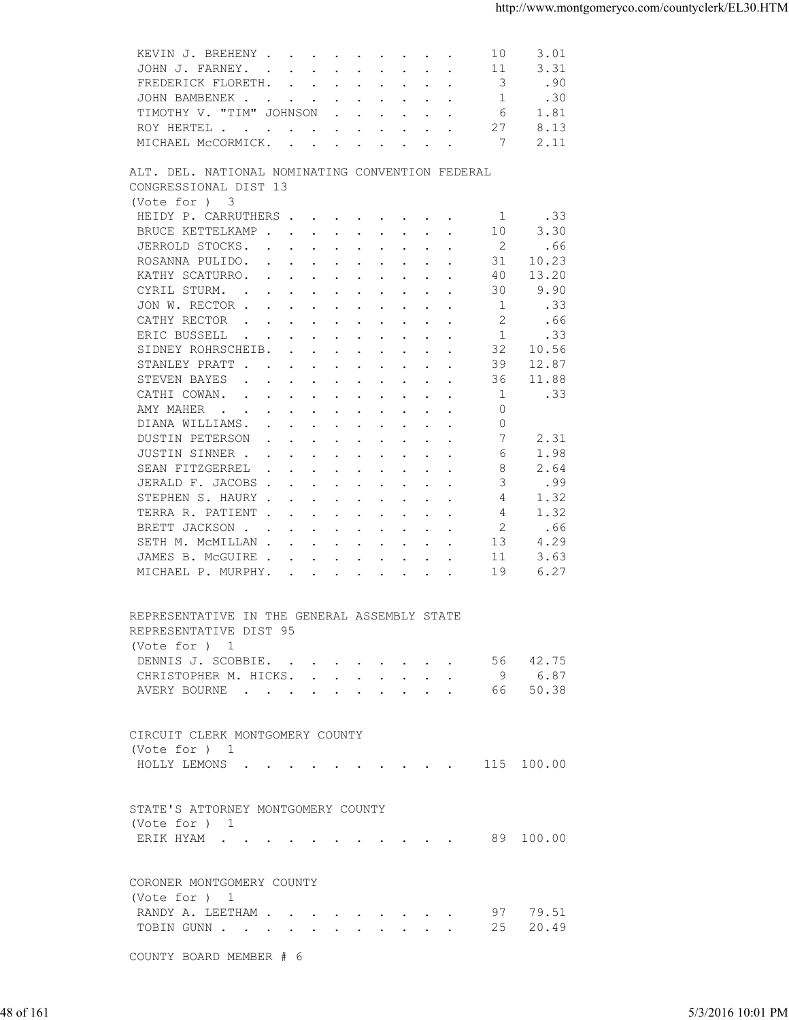| 3.31<br>JOHN J. FARNEY.<br>11<br>FREDERICK FLORETH.<br>3<br>.90<br>1<br>JOHN BAMBENEK<br>.30<br>TIMOTHY V. "TIM" JOHNSON<br>6<br>1.81<br>27<br>ROY HERTEL<br>8.13<br>7<br>2.11<br>MICHAEL McCORMICK.<br>ALT. DEL. NATIONAL NOMINATING CONVENTION FEDERAL<br>CONGRESSIONAL DIST 13<br>(Vote for ) 3<br>HEIDY P. CARRUTHERS<br>.33<br>-1<br>3.30<br>BRUCE KETTELKAMP<br>10<br>JERROLD STOCKS.<br>2<br>.66<br>10.23<br>ROSANNA PULIDO.<br>31<br>13.20<br>KATHY SCATURRO.<br>40<br>30<br>9.90<br>CYRIL STURM.<br>$\mathbf{1}$<br>JON W. RECTOR<br>.33<br>2<br>CATHY RECTOR<br>.66<br>$\mathbf{r}$ , $\mathbf{r}$ , $\mathbf{r}$ , $\mathbf{r}$ , $\mathbf{r}$ , $\mathbf{r}$ , $\mathbf{r}$ , $\mathbf{r}$<br>1<br>.33<br>ERIC BUSSELL<br>32<br>10.56<br>SIDNEY ROHRSCHEIB.<br>12.87<br>STANLEY PRATT<br>39<br>STEVEN BAYES<br>36<br>11.88<br>.33<br>CATHI COWAN.<br>1<br>AMY MAHER<br>0<br>$\circ$<br>DIANA WILLIAMS.<br>7<br>2.31<br>DUSTIN PETERSON<br>JUSTIN SINNER<br>6<br>1.98<br>8<br>2.64<br>SEAN FITZGERREL<br>3<br>.99<br>JERALD F. JACOBS<br>STEPHEN S. HAURY<br>4<br>1.32<br>$\overline{4}$<br>1.32<br>TERRA R. PATIENT<br>2<br>.66<br>BRETT JACKSON<br>4.29<br>SETH M. MCMILLAN<br>13<br>3.63<br>JAMES B. MCGUIRE<br>11<br>6.27<br>MICHAEL P. MURPHY.<br>19<br>REPRESENTATIVE IN THE GENERAL ASSEMBLY STATE<br>REPRESENTATIVE DIST 95<br>(Vote for ) 1<br>DENNIS J. SCOBBIE. 56 42.75<br>CHRISTOPHER M. HICKS. 9 6.87<br>AVERY BOURNE 66 50.38<br>CIRCUIT CLERK MONTGOMERY COUNTY<br>(Vote for ) 1<br>HOLLY LEMONS (CONSTRUITION CONSTRUITION CONSTRUITION CONSTRUITION CONSTRUITION CONSTRUITION CONSTRUITION CONSTRUITION CONSTRUITION CONSTRUITION CONSTRUITION CONSTRUITION CONSTRUITION CONSTRUITION CONSTRUITION CONSTRUITION<br>STATE'S ATTORNEY MONTGOMERY COUNTY<br>(Vote for ) 1<br>ERIK HYAM 89 100.00<br>CORONER MONTGOMERY COUNTY<br>(Vote for ) 1<br>RANDY A. LEETHAM 97 79.51<br>TOBIN GUNN 25 20.49<br>COUNTY BOARD MEMBER # 6<br>48 of 161 |  | KEVIN J. BREHENY<br>3.01<br>10 |                   |
|----------------------------------------------------------------------------------------------------------------------------------------------------------------------------------------------------------------------------------------------------------------------------------------------------------------------------------------------------------------------------------------------------------------------------------------------------------------------------------------------------------------------------------------------------------------------------------------------------------------------------------------------------------------------------------------------------------------------------------------------------------------------------------------------------------------------------------------------------------------------------------------------------------------------------------------------------------------------------------------------------------------------------------------------------------------------------------------------------------------------------------------------------------------------------------------------------------------------------------------------------------------------------------------------------------------------------------------------------------------------------------------------------------------------------------------------------------------------------------------------------------------------------------------------------------------------------------------------------------------------------------------------------------------------------------------------------------------------------------------------------------------------------------------------------------------------------------------------------------------------------------------------------------------------------------------------------------------------|--|--------------------------------|-------------------|
|                                                                                                                                                                                                                                                                                                                                                                                                                                                                                                                                                                                                                                                                                                                                                                                                                                                                                                                                                                                                                                                                                                                                                                                                                                                                                                                                                                                                                                                                                                                                                                                                                                                                                                                                                                                                                                                                                                                                                                      |  |                                |                   |
|                                                                                                                                                                                                                                                                                                                                                                                                                                                                                                                                                                                                                                                                                                                                                                                                                                                                                                                                                                                                                                                                                                                                                                                                                                                                                                                                                                                                                                                                                                                                                                                                                                                                                                                                                                                                                                                                                                                                                                      |  |                                |                   |
|                                                                                                                                                                                                                                                                                                                                                                                                                                                                                                                                                                                                                                                                                                                                                                                                                                                                                                                                                                                                                                                                                                                                                                                                                                                                                                                                                                                                                                                                                                                                                                                                                                                                                                                                                                                                                                                                                                                                                                      |  |                                |                   |
|                                                                                                                                                                                                                                                                                                                                                                                                                                                                                                                                                                                                                                                                                                                                                                                                                                                                                                                                                                                                                                                                                                                                                                                                                                                                                                                                                                                                                                                                                                                                                                                                                                                                                                                                                                                                                                                                                                                                                                      |  |                                |                   |
|                                                                                                                                                                                                                                                                                                                                                                                                                                                                                                                                                                                                                                                                                                                                                                                                                                                                                                                                                                                                                                                                                                                                                                                                                                                                                                                                                                                                                                                                                                                                                                                                                                                                                                                                                                                                                                                                                                                                                                      |  |                                |                   |
|                                                                                                                                                                                                                                                                                                                                                                                                                                                                                                                                                                                                                                                                                                                                                                                                                                                                                                                                                                                                                                                                                                                                                                                                                                                                                                                                                                                                                                                                                                                                                                                                                                                                                                                                                                                                                                                                                                                                                                      |  |                                |                   |
|                                                                                                                                                                                                                                                                                                                                                                                                                                                                                                                                                                                                                                                                                                                                                                                                                                                                                                                                                                                                                                                                                                                                                                                                                                                                                                                                                                                                                                                                                                                                                                                                                                                                                                                                                                                                                                                                                                                                                                      |  |                                |                   |
|                                                                                                                                                                                                                                                                                                                                                                                                                                                                                                                                                                                                                                                                                                                                                                                                                                                                                                                                                                                                                                                                                                                                                                                                                                                                                                                                                                                                                                                                                                                                                                                                                                                                                                                                                                                                                                                                                                                                                                      |  |                                |                   |
|                                                                                                                                                                                                                                                                                                                                                                                                                                                                                                                                                                                                                                                                                                                                                                                                                                                                                                                                                                                                                                                                                                                                                                                                                                                                                                                                                                                                                                                                                                                                                                                                                                                                                                                                                                                                                                                                                                                                                                      |  |                                |                   |
|                                                                                                                                                                                                                                                                                                                                                                                                                                                                                                                                                                                                                                                                                                                                                                                                                                                                                                                                                                                                                                                                                                                                                                                                                                                                                                                                                                                                                                                                                                                                                                                                                                                                                                                                                                                                                                                                                                                                                                      |  |                                |                   |
|                                                                                                                                                                                                                                                                                                                                                                                                                                                                                                                                                                                                                                                                                                                                                                                                                                                                                                                                                                                                                                                                                                                                                                                                                                                                                                                                                                                                                                                                                                                                                                                                                                                                                                                                                                                                                                                                                                                                                                      |  |                                |                   |
|                                                                                                                                                                                                                                                                                                                                                                                                                                                                                                                                                                                                                                                                                                                                                                                                                                                                                                                                                                                                                                                                                                                                                                                                                                                                                                                                                                                                                                                                                                                                                                                                                                                                                                                                                                                                                                                                                                                                                                      |  |                                |                   |
|                                                                                                                                                                                                                                                                                                                                                                                                                                                                                                                                                                                                                                                                                                                                                                                                                                                                                                                                                                                                                                                                                                                                                                                                                                                                                                                                                                                                                                                                                                                                                                                                                                                                                                                                                                                                                                                                                                                                                                      |  |                                |                   |
|                                                                                                                                                                                                                                                                                                                                                                                                                                                                                                                                                                                                                                                                                                                                                                                                                                                                                                                                                                                                                                                                                                                                                                                                                                                                                                                                                                                                                                                                                                                                                                                                                                                                                                                                                                                                                                                                                                                                                                      |  |                                |                   |
|                                                                                                                                                                                                                                                                                                                                                                                                                                                                                                                                                                                                                                                                                                                                                                                                                                                                                                                                                                                                                                                                                                                                                                                                                                                                                                                                                                                                                                                                                                                                                                                                                                                                                                                                                                                                                                                                                                                                                                      |  |                                |                   |
|                                                                                                                                                                                                                                                                                                                                                                                                                                                                                                                                                                                                                                                                                                                                                                                                                                                                                                                                                                                                                                                                                                                                                                                                                                                                                                                                                                                                                                                                                                                                                                                                                                                                                                                                                                                                                                                                                                                                                                      |  |                                |                   |
|                                                                                                                                                                                                                                                                                                                                                                                                                                                                                                                                                                                                                                                                                                                                                                                                                                                                                                                                                                                                                                                                                                                                                                                                                                                                                                                                                                                                                                                                                                                                                                                                                                                                                                                                                                                                                                                                                                                                                                      |  |                                |                   |
|                                                                                                                                                                                                                                                                                                                                                                                                                                                                                                                                                                                                                                                                                                                                                                                                                                                                                                                                                                                                                                                                                                                                                                                                                                                                                                                                                                                                                                                                                                                                                                                                                                                                                                                                                                                                                                                                                                                                                                      |  |                                |                   |
|                                                                                                                                                                                                                                                                                                                                                                                                                                                                                                                                                                                                                                                                                                                                                                                                                                                                                                                                                                                                                                                                                                                                                                                                                                                                                                                                                                                                                                                                                                                                                                                                                                                                                                                                                                                                                                                                                                                                                                      |  |                                |                   |
|                                                                                                                                                                                                                                                                                                                                                                                                                                                                                                                                                                                                                                                                                                                                                                                                                                                                                                                                                                                                                                                                                                                                                                                                                                                                                                                                                                                                                                                                                                                                                                                                                                                                                                                                                                                                                                                                                                                                                                      |  |                                |                   |
|                                                                                                                                                                                                                                                                                                                                                                                                                                                                                                                                                                                                                                                                                                                                                                                                                                                                                                                                                                                                                                                                                                                                                                                                                                                                                                                                                                                                                                                                                                                                                                                                                                                                                                                                                                                                                                                                                                                                                                      |  |                                |                   |
|                                                                                                                                                                                                                                                                                                                                                                                                                                                                                                                                                                                                                                                                                                                                                                                                                                                                                                                                                                                                                                                                                                                                                                                                                                                                                                                                                                                                                                                                                                                                                                                                                                                                                                                                                                                                                                                                                                                                                                      |  |                                |                   |
|                                                                                                                                                                                                                                                                                                                                                                                                                                                                                                                                                                                                                                                                                                                                                                                                                                                                                                                                                                                                                                                                                                                                                                                                                                                                                                                                                                                                                                                                                                                                                                                                                                                                                                                                                                                                                                                                                                                                                                      |  |                                |                   |
|                                                                                                                                                                                                                                                                                                                                                                                                                                                                                                                                                                                                                                                                                                                                                                                                                                                                                                                                                                                                                                                                                                                                                                                                                                                                                                                                                                                                                                                                                                                                                                                                                                                                                                                                                                                                                                                                                                                                                                      |  |                                |                   |
|                                                                                                                                                                                                                                                                                                                                                                                                                                                                                                                                                                                                                                                                                                                                                                                                                                                                                                                                                                                                                                                                                                                                                                                                                                                                                                                                                                                                                                                                                                                                                                                                                                                                                                                                                                                                                                                                                                                                                                      |  |                                |                   |
|                                                                                                                                                                                                                                                                                                                                                                                                                                                                                                                                                                                                                                                                                                                                                                                                                                                                                                                                                                                                                                                                                                                                                                                                                                                                                                                                                                                                                                                                                                                                                                                                                                                                                                                                                                                                                                                                                                                                                                      |  |                                |                   |
|                                                                                                                                                                                                                                                                                                                                                                                                                                                                                                                                                                                                                                                                                                                                                                                                                                                                                                                                                                                                                                                                                                                                                                                                                                                                                                                                                                                                                                                                                                                                                                                                                                                                                                                                                                                                                                                                                                                                                                      |  |                                |                   |
|                                                                                                                                                                                                                                                                                                                                                                                                                                                                                                                                                                                                                                                                                                                                                                                                                                                                                                                                                                                                                                                                                                                                                                                                                                                                                                                                                                                                                                                                                                                                                                                                                                                                                                                                                                                                                                                                                                                                                                      |  |                                |                   |
|                                                                                                                                                                                                                                                                                                                                                                                                                                                                                                                                                                                                                                                                                                                                                                                                                                                                                                                                                                                                                                                                                                                                                                                                                                                                                                                                                                                                                                                                                                                                                                                                                                                                                                                                                                                                                                                                                                                                                                      |  |                                |                   |
|                                                                                                                                                                                                                                                                                                                                                                                                                                                                                                                                                                                                                                                                                                                                                                                                                                                                                                                                                                                                                                                                                                                                                                                                                                                                                                                                                                                                                                                                                                                                                                                                                                                                                                                                                                                                                                                                                                                                                                      |  |                                |                   |
|                                                                                                                                                                                                                                                                                                                                                                                                                                                                                                                                                                                                                                                                                                                                                                                                                                                                                                                                                                                                                                                                                                                                                                                                                                                                                                                                                                                                                                                                                                                                                                                                                                                                                                                                                                                                                                                                                                                                                                      |  |                                |                   |
|                                                                                                                                                                                                                                                                                                                                                                                                                                                                                                                                                                                                                                                                                                                                                                                                                                                                                                                                                                                                                                                                                                                                                                                                                                                                                                                                                                                                                                                                                                                                                                                                                                                                                                                                                                                                                                                                                                                                                                      |  |                                |                   |
|                                                                                                                                                                                                                                                                                                                                                                                                                                                                                                                                                                                                                                                                                                                                                                                                                                                                                                                                                                                                                                                                                                                                                                                                                                                                                                                                                                                                                                                                                                                                                                                                                                                                                                                                                                                                                                                                                                                                                                      |  |                                |                   |
|                                                                                                                                                                                                                                                                                                                                                                                                                                                                                                                                                                                                                                                                                                                                                                                                                                                                                                                                                                                                                                                                                                                                                                                                                                                                                                                                                                                                                                                                                                                                                                                                                                                                                                                                                                                                                                                                                                                                                                      |  |                                |                   |
|                                                                                                                                                                                                                                                                                                                                                                                                                                                                                                                                                                                                                                                                                                                                                                                                                                                                                                                                                                                                                                                                                                                                                                                                                                                                                                                                                                                                                                                                                                                                                                                                                                                                                                                                                                                                                                                                                                                                                                      |  |                                |                   |
|                                                                                                                                                                                                                                                                                                                                                                                                                                                                                                                                                                                                                                                                                                                                                                                                                                                                                                                                                                                                                                                                                                                                                                                                                                                                                                                                                                                                                                                                                                                                                                                                                                                                                                                                                                                                                                                                                                                                                                      |  |                                |                   |
|                                                                                                                                                                                                                                                                                                                                                                                                                                                                                                                                                                                                                                                                                                                                                                                                                                                                                                                                                                                                                                                                                                                                                                                                                                                                                                                                                                                                                                                                                                                                                                                                                                                                                                                                                                                                                                                                                                                                                                      |  |                                |                   |
|                                                                                                                                                                                                                                                                                                                                                                                                                                                                                                                                                                                                                                                                                                                                                                                                                                                                                                                                                                                                                                                                                                                                                                                                                                                                                                                                                                                                                                                                                                                                                                                                                                                                                                                                                                                                                                                                                                                                                                      |  |                                |                   |
|                                                                                                                                                                                                                                                                                                                                                                                                                                                                                                                                                                                                                                                                                                                                                                                                                                                                                                                                                                                                                                                                                                                                                                                                                                                                                                                                                                                                                                                                                                                                                                                                                                                                                                                                                                                                                                                                                                                                                                      |  |                                |                   |
|                                                                                                                                                                                                                                                                                                                                                                                                                                                                                                                                                                                                                                                                                                                                                                                                                                                                                                                                                                                                                                                                                                                                                                                                                                                                                                                                                                                                                                                                                                                                                                                                                                                                                                                                                                                                                                                                                                                                                                      |  |                                |                   |
|                                                                                                                                                                                                                                                                                                                                                                                                                                                                                                                                                                                                                                                                                                                                                                                                                                                                                                                                                                                                                                                                                                                                                                                                                                                                                                                                                                                                                                                                                                                                                                                                                                                                                                                                                                                                                                                                                                                                                                      |  |                                |                   |
|                                                                                                                                                                                                                                                                                                                                                                                                                                                                                                                                                                                                                                                                                                                                                                                                                                                                                                                                                                                                                                                                                                                                                                                                                                                                                                                                                                                                                                                                                                                                                                                                                                                                                                                                                                                                                                                                                                                                                                      |  |                                |                   |
|                                                                                                                                                                                                                                                                                                                                                                                                                                                                                                                                                                                                                                                                                                                                                                                                                                                                                                                                                                                                                                                                                                                                                                                                                                                                                                                                                                                                                                                                                                                                                                                                                                                                                                                                                                                                                                                                                                                                                                      |  |                                |                   |
|                                                                                                                                                                                                                                                                                                                                                                                                                                                                                                                                                                                                                                                                                                                                                                                                                                                                                                                                                                                                                                                                                                                                                                                                                                                                                                                                                                                                                                                                                                                                                                                                                                                                                                                                                                                                                                                                                                                                                                      |  |                                |                   |
|                                                                                                                                                                                                                                                                                                                                                                                                                                                                                                                                                                                                                                                                                                                                                                                                                                                                                                                                                                                                                                                                                                                                                                                                                                                                                                                                                                                                                                                                                                                                                                                                                                                                                                                                                                                                                                                                                                                                                                      |  |                                |                   |
|                                                                                                                                                                                                                                                                                                                                                                                                                                                                                                                                                                                                                                                                                                                                                                                                                                                                                                                                                                                                                                                                                                                                                                                                                                                                                                                                                                                                                                                                                                                                                                                                                                                                                                                                                                                                                                                                                                                                                                      |  |                                |                   |
|                                                                                                                                                                                                                                                                                                                                                                                                                                                                                                                                                                                                                                                                                                                                                                                                                                                                                                                                                                                                                                                                                                                                                                                                                                                                                                                                                                                                                                                                                                                                                                                                                                                                                                                                                                                                                                                                                                                                                                      |  |                                |                   |
|                                                                                                                                                                                                                                                                                                                                                                                                                                                                                                                                                                                                                                                                                                                                                                                                                                                                                                                                                                                                                                                                                                                                                                                                                                                                                                                                                                                                                                                                                                                                                                                                                                                                                                                                                                                                                                                                                                                                                                      |  |                                |                   |
|                                                                                                                                                                                                                                                                                                                                                                                                                                                                                                                                                                                                                                                                                                                                                                                                                                                                                                                                                                                                                                                                                                                                                                                                                                                                                                                                                                                                                                                                                                                                                                                                                                                                                                                                                                                                                                                                                                                                                                      |  |                                |                   |
|                                                                                                                                                                                                                                                                                                                                                                                                                                                                                                                                                                                                                                                                                                                                                                                                                                                                                                                                                                                                                                                                                                                                                                                                                                                                                                                                                                                                                                                                                                                                                                                                                                                                                                                                                                                                                                                                                                                                                                      |  |                                |                   |
|                                                                                                                                                                                                                                                                                                                                                                                                                                                                                                                                                                                                                                                                                                                                                                                                                                                                                                                                                                                                                                                                                                                                                                                                                                                                                                                                                                                                                                                                                                                                                                                                                                                                                                                                                                                                                                                                                                                                                                      |  |                                |                   |
|                                                                                                                                                                                                                                                                                                                                                                                                                                                                                                                                                                                                                                                                                                                                                                                                                                                                                                                                                                                                                                                                                                                                                                                                                                                                                                                                                                                                                                                                                                                                                                                                                                                                                                                                                                                                                                                                                                                                                                      |  |                                |                   |
|                                                                                                                                                                                                                                                                                                                                                                                                                                                                                                                                                                                                                                                                                                                                                                                                                                                                                                                                                                                                                                                                                                                                                                                                                                                                                                                                                                                                                                                                                                                                                                                                                                                                                                                                                                                                                                                                                                                                                                      |  |                                |                   |
|                                                                                                                                                                                                                                                                                                                                                                                                                                                                                                                                                                                                                                                                                                                                                                                                                                                                                                                                                                                                                                                                                                                                                                                                                                                                                                                                                                                                                                                                                                                                                                                                                                                                                                                                                                                                                                                                                                                                                                      |  |                                |                   |
|                                                                                                                                                                                                                                                                                                                                                                                                                                                                                                                                                                                                                                                                                                                                                                                                                                                                                                                                                                                                                                                                                                                                                                                                                                                                                                                                                                                                                                                                                                                                                                                                                                                                                                                                                                                                                                                                                                                                                                      |  |                                |                   |
|                                                                                                                                                                                                                                                                                                                                                                                                                                                                                                                                                                                                                                                                                                                                                                                                                                                                                                                                                                                                                                                                                                                                                                                                                                                                                                                                                                                                                                                                                                                                                                                                                                                                                                                                                                                                                                                                                                                                                                      |  |                                |                   |
|                                                                                                                                                                                                                                                                                                                                                                                                                                                                                                                                                                                                                                                                                                                                                                                                                                                                                                                                                                                                                                                                                                                                                                                                                                                                                                                                                                                                                                                                                                                                                                                                                                                                                                                                                                                                                                                                                                                                                                      |  |                                |                   |
|                                                                                                                                                                                                                                                                                                                                                                                                                                                                                                                                                                                                                                                                                                                                                                                                                                                                                                                                                                                                                                                                                                                                                                                                                                                                                                                                                                                                                                                                                                                                                                                                                                                                                                                                                                                                                                                                                                                                                                      |  |                                |                   |
|                                                                                                                                                                                                                                                                                                                                                                                                                                                                                                                                                                                                                                                                                                                                                                                                                                                                                                                                                                                                                                                                                                                                                                                                                                                                                                                                                                                                                                                                                                                                                                                                                                                                                                                                                                                                                                                                                                                                                                      |  |                                |                   |
|                                                                                                                                                                                                                                                                                                                                                                                                                                                                                                                                                                                                                                                                                                                                                                                                                                                                                                                                                                                                                                                                                                                                                                                                                                                                                                                                                                                                                                                                                                                                                                                                                                                                                                                                                                                                                                                                                                                                                                      |  |                                |                   |
|                                                                                                                                                                                                                                                                                                                                                                                                                                                                                                                                                                                                                                                                                                                                                                                                                                                                                                                                                                                                                                                                                                                                                                                                                                                                                                                                                                                                                                                                                                                                                                                                                                                                                                                                                                                                                                                                                                                                                                      |  |                                | 5/3/2016 10:01 PM |
|                                                                                                                                                                                                                                                                                                                                                                                                                                                                                                                                                                                                                                                                                                                                                                                                                                                                                                                                                                                                                                                                                                                                                                                                                                                                                                                                                                                                                                                                                                                                                                                                                                                                                                                                                                                                                                                                                                                                                                      |  |                                |                   |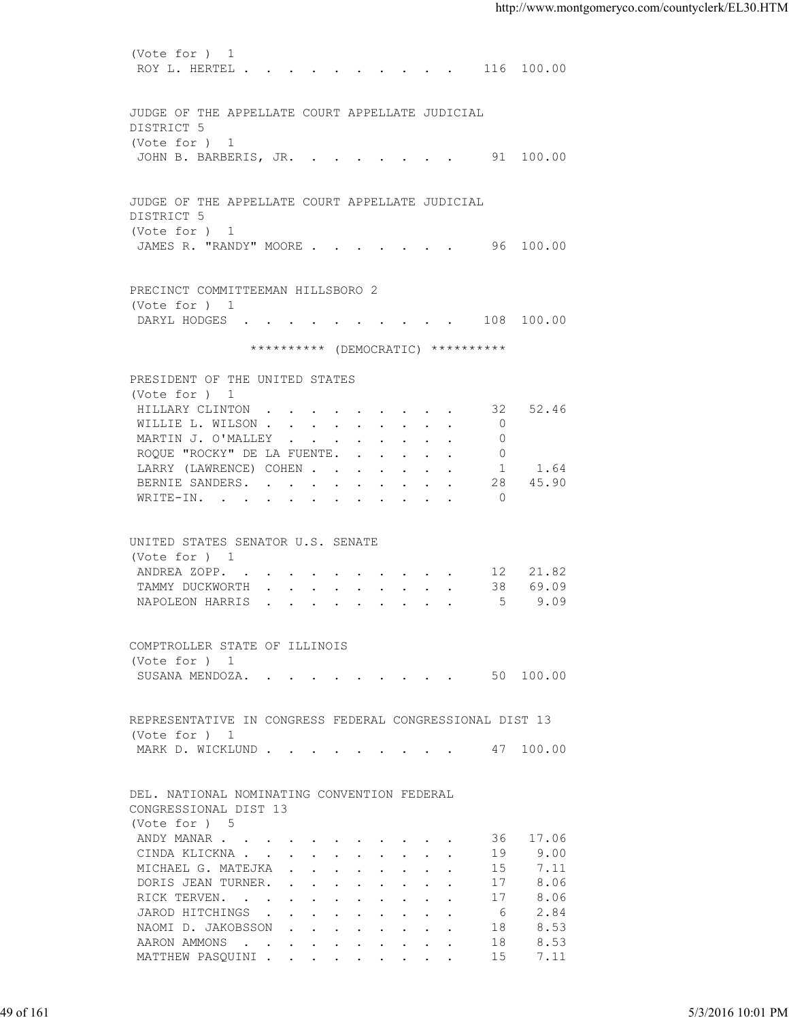(Vote for ) 1 ROY L. HERTEL . . . . . . . . . . 116 100.00 JUDGE OF THE APPELLATE COURT APPELLATE JUDICIAL DISTRICT 5 (Vote for ) 1 JOHN B. BARBERIS, JR. . . . . . . . 91 100.00 JUDGE OF THE APPELLATE COURT APPELLATE JUDICIAL DISTRICT 5 (Vote for ) 1 JAMES R. "RANDY" MOORE . . . . . . . 96 100.00 PRECINCT COMMITTEEMAN HILLSBORO 2 (Vote for ) 1 DARYL HODGES . . . . . . . . . . 108 100.00 \*\*\*\*\*\*\*\*\*\* (DEMOCRATIC) \*\*\*\*\*\*\*\*\*\* PRESIDENT OF THE UNITED STATES (Vote for ) 1 HILLARY CLINTON . . . . . . . . . 32 52.46 WILLIE L. WILSON . . . . . . . . . 0 MARTIN J. O'MALLEY . . . . . . . . 0 ROQUE "ROCKY" DE LA FUENTE. . . . . . 0<br>LARRY (LAWRENCE) COHEN . . . . . . . 1 1.64 LARRY (LAWRENCE) COHEN . . . . . . . 1 1.64<br>BERNIE SANDERS. . . . . . . . . . 28 45.90 BERNIE SANDERS. . . . . . . . . . 28<br>WRITE-IN. . . . . . . . . . . . . . . . 0 WRITE-IN. . . . . . . . . . . . UNITED STATES SENATOR U.S. SENATE (Vote for ) 1 ANDREA ZOPP. . . . . . . . . . . 12 21.82<br>TAMMY DUCKWORTH . . . . . . . . . 38 69.09 TAMMY DUCKWORTH . . . . . . . . . . NAPOLEON HARRIS . . . . . . . . . . 5 9.09 COMPTROLLER STATE OF ILLINOIS (Vote for ) 1 SUSANA MENDOZA. . . . . . . . . . 50 100.00 REPRESENTATIVE IN CONGRESS FEDERAL CONGRESSIONAL DIST 13 (Vote for ) 1 MARK D. WICKLUND . . . . . . . . . . 47 100.00 DEL. NATIONAL NOMINATING CONVENTION FEDERAL CONGRESSIONAL DIST 13 (Vote for ) 5 ANDY MANAR . . . . . . . . . . . . 36 17.06 CINDA KLICKNA . . . . . . . . . . 19 9.00 MICHAEL G. MATEJKA . . . . . . . . 15 7.11<br>DORIS JEAN TURNER. . . . . . . . . 17 8.06 DORIS JEAN TURNER. . . . . . . . . . 17 8.06<br>RICK TERVEN. . . . . . . . . . . 17 8.06 RICK TERVEN. . . . . . . . . . . 17 JAROD HITCHINGS . . . . . . . . . . 6 2.84<br>NAOMI D. JAKOBSSON . . . . . . . . 18 8.53 NAOMI D. JAKOBSSON . . . . . . . . AARON AMMONS . . . . . . . . . . . 18 8.53 MATTHEW PASQUINI . . . . . . . . . 15 7.11 49 of 161 5/3/2016 10:01 PM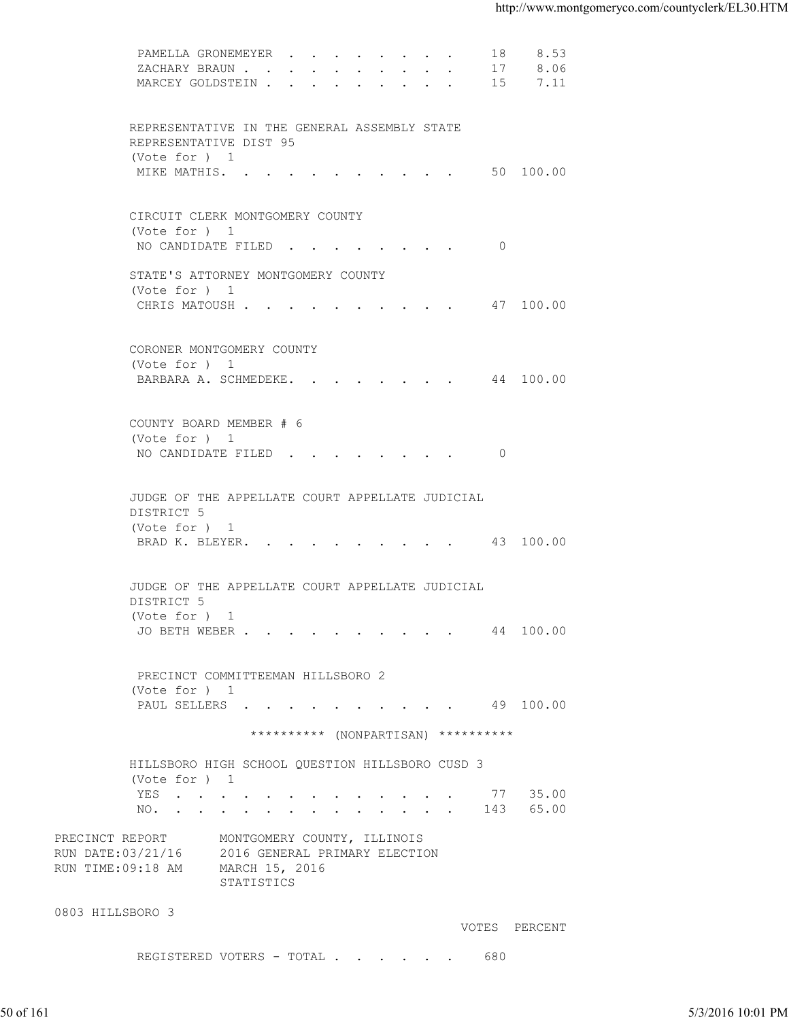| MARCEY GOLDSTEIN<br>15<br>7.11                                                                        |                   |
|-------------------------------------------------------------------------------------------------------|-------------------|
|                                                                                                       |                   |
| REPRESENTATIVE IN THE GENERAL ASSEMBLY STATE<br>REPRESENTATIVE DIST 95<br>(Vote for ) 1               |                   |
| MIKE MATHIS. 50 100.00                                                                                |                   |
| CIRCUIT CLERK MONTGOMERY COUNTY<br>(Vote for ) 1                                                      |                   |
| NO CANDIDATE FILED 0                                                                                  |                   |
| STATE'S ATTORNEY MONTGOMERY COUNTY<br>(Vote for ) 1<br>CHRIS MATOUSH 47 100.00                        |                   |
| CORONER MONTGOMERY COUNTY<br>(Vote for ) 1                                                            |                   |
| BARBARA A. SCHMEDEKE. 44 100.00                                                                       |                   |
| COUNTY BOARD MEMBER # 6<br>(Vote for ) 1                                                              |                   |
| NO CANDIDATE FILED 0                                                                                  |                   |
| JUDGE OF THE APPELLATE COURT APPELLATE JUDICIAL<br>DISTRICT 5                                         |                   |
| (Vote for ) 1<br>BRAD K. BLEYER. 43 100.00                                                            |                   |
| JUDGE OF THE APPELLATE COURT APPELLATE JUDICIAL<br>DISTRICT 5                                         |                   |
| (Vote for $)$ 1<br>JO BETH WEBER 44 100.00                                                            |                   |
| PRECINCT COMMITTEEMAN HILLSBORO 2<br>(Vote for ) 1                                                    |                   |
| PAUL SELLERS 49 100.00                                                                                |                   |
| ********** (NONPARTISAN) **********                                                                   |                   |
| HILLSBORO HIGH SCHOOL QUESTION HILLSBORO CUSD 3<br>(Vote for ) 1<br>YES 77 35.00                      |                   |
| NO. 143 65.00<br>PRECINCT REPORT<br>MONTGOMERY COUNTY, ILLINOIS                                       |                   |
| RUN DATE: 03/21/16 2016 GENERAL PRIMARY ELECTION<br>RUN TIME:09:18 AM<br>MARCH 15, 2016<br>STATISTICS |                   |
| 0803 HILLSBORO 3<br>VOTES PERCENT                                                                     |                   |
| REGISTERED VOTERS - TOTAL 680                                                                         |                   |
|                                                                                                       |                   |
| 50 of 161                                                                                             | 5/3/2016 10:01 PM |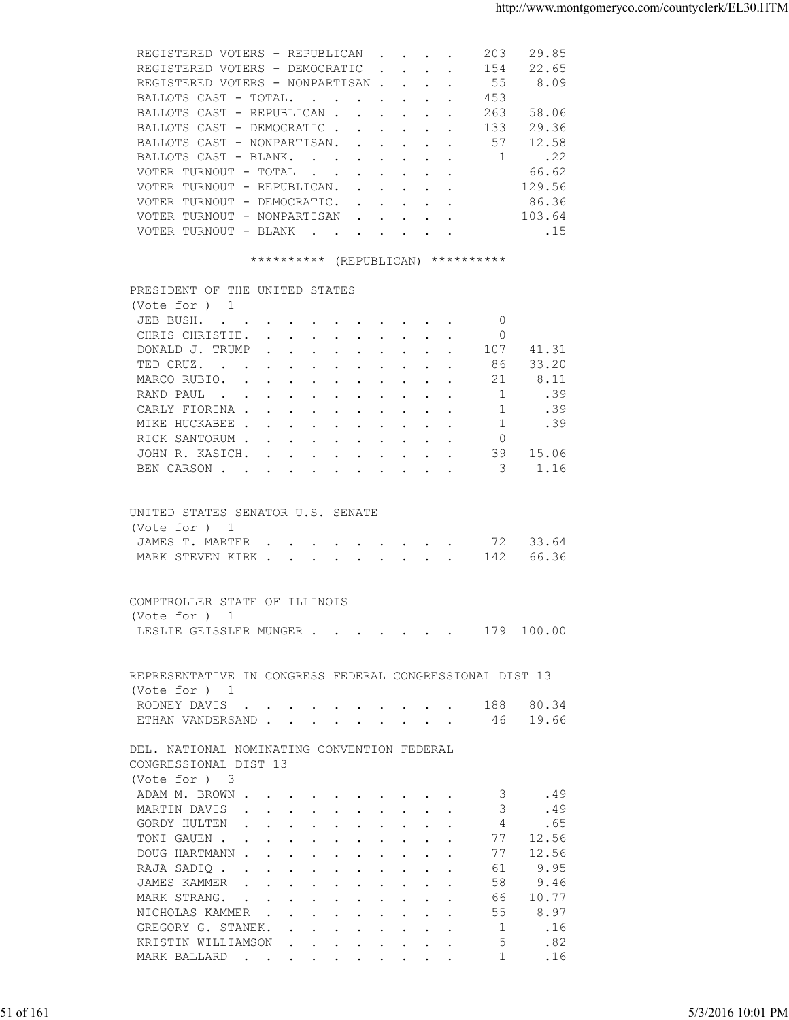| REGISTERED VOTERS - REPUBLICAN 203                                                                                           |  |  |                                                     | 29.85  |  |
|------------------------------------------------------------------------------------------------------------------------------|--|--|-----------------------------------------------------|--------|--|
| REGISTERED VOTERS - DEMOCRATIC 154                                                                                           |  |  |                                                     | 22.65  |  |
| REGISTERED VOTERS - NONPARTISAN 55                                                                                           |  |  |                                                     | 8.09   |  |
| BALLOTS CAST - TOTAL.                                                                                                        |  |  | 453                                                 |        |  |
| BALLOTS CAST - REPUBLICAN                                                                                                    |  |  | 263                                                 | 58.06  |  |
| BALLOTS CAST - DEMOCRATIC                                                                                                    |  |  | 133                                                 | 29.36  |  |
| BALLOTS CAST - NONPARTISAN. 57                                                                                               |  |  |                                                     | 12.58  |  |
| BALLOTS CAST - BLANK.                                                                                                        |  |  | $\mathbf{1}$                                        | .22    |  |
| VOTER TURNOUT - TOTAL 66.62                                                                                                  |  |  |                                                     |        |  |
|                                                                                                                              |  |  |                                                     |        |  |
| VOTER TURNOUT - REPUBLICAN.                                                                                                  |  |  |                                                     | 129.56 |  |
| VOTER TURNOUT - DEMOCRATIC. 86.36                                                                                            |  |  |                                                     |        |  |
| VOTER TURNOUT - NONPARTISAN                                                                                                  |  |  |                                                     | 103.64 |  |
| VOTER TURNOUT - BLANK 15                                                                                                     |  |  |                                                     |        |  |
| ********** (REPUBLICAN) **********<br>PRESIDENT OF THE UNITED STATES                                                         |  |  |                                                     |        |  |
| (Vote for ) 1                                                                                                                |  |  |                                                     |        |  |
| JEB BUSH.                                                                                                                    |  |  | 0                                                   |        |  |
| CHRIS CHRISTIE.                                                                                                              |  |  | 0                                                   |        |  |
| DONALD J. TRUMP                                                                                                              |  |  | $\cdot$ $\cdot$ $\cdot$ $\cdot$ $\cdot$ $\cdot$ 107 | 41.31  |  |
| TED CRUZ. 86                                                                                                                 |  |  |                                                     | 33.20  |  |
| MARCO RUBIO. 21                                                                                                              |  |  |                                                     | 8.11   |  |
| RAND PAUL<br>the contract of the contract of the contract of the contract of the contract of the contract of the contract of |  |  | $\mathbf{1}$                                        | .39    |  |
| CARLY FIORINA                                                                                                                |  |  | $\mathbf{1}$                                        | .39    |  |
|                                                                                                                              |  |  |                                                     |        |  |

|           | (Vote for $)$ 1                                                                                                                                   |                   |
|-----------|---------------------------------------------------------------------------------------------------------------------------------------------------|-------------------|
|           | $\overline{0}$<br>JEB BUSH.                                                                                                                       |                   |
|           | CHRIS CHRISTIE.<br>$\circ$                                                                                                                        |                   |
|           | DONALD J. TRUMP<br>107 41.31                                                                                                                      |                   |
|           | TED CRUZ.<br>33.20<br>86                                                                                                                          |                   |
|           | MARCO RUBIO.<br>8.11<br>21                                                                                                                        |                   |
|           |                                                                                                                                                   |                   |
|           | 1<br>.39<br>RAND PAUL                                                                                                                             |                   |
|           | CARLY FIORINA<br>$\overline{1}$<br>.39                                                                                                            |                   |
|           | 1<br>MIKE HUCKABEE<br>.39                                                                                                                         |                   |
|           | RICK SANTORUM<br>$\Omega$                                                                                                                         |                   |
|           | JOHN R. KASICH.<br>39 15.06                                                                                                                       |                   |
|           | BEN CARSON 3<br>1.16                                                                                                                              |                   |
|           |                                                                                                                                                   |                   |
|           | UNITED STATES SENATOR U.S. SENATE                                                                                                                 |                   |
|           | (Vote for ) 1                                                                                                                                     |                   |
|           | JAMES T. MARTER 72 33.64                                                                                                                          |                   |
|           | MARK STEVEN KIRK 142<br>66.36                                                                                                                     |                   |
|           |                                                                                                                                                   |                   |
|           |                                                                                                                                                   |                   |
|           | COMPTROLLER STATE OF ILLINOIS                                                                                                                     |                   |
|           | (Vote for ) 1                                                                                                                                     |                   |
|           | LESLIE GEISSLER MUNGER 179 100.00                                                                                                                 |                   |
|           |                                                                                                                                                   |                   |
|           |                                                                                                                                                   |                   |
|           | REPRESENTATIVE IN CONGRESS FEDERAL CONGRESSIONAL DIST 13                                                                                          |                   |
|           | (Vote for ) 1                                                                                                                                     |                   |
|           | RODNEY DAVIS 188 80.34                                                                                                                            |                   |
|           | ETHAN VANDERSAND 46 19.66                                                                                                                         |                   |
|           |                                                                                                                                                   |                   |
|           | DEL. NATIONAL NOMINATING CONVENTION FEDERAL                                                                                                       |                   |
|           | CONGRESSIONAL DIST 13                                                                                                                             |                   |
|           | (Vote for ) 3                                                                                                                                     |                   |
|           | ADAM M. BROWN<br>3.49                                                                                                                             |                   |
|           | $\mathcal{S}$<br>MARTIN DAVIS<br>.49                                                                                                              |                   |
|           | $\overline{4}$<br>GORDY HULTEN<br>.65                                                                                                             |                   |
|           | TONI GAUEN<br>77 12.56                                                                                                                            |                   |
|           | 77<br>12.56<br>DOUG HARTMANN                                                                                                                      |                   |
|           | 9.95<br>61<br>RAJA SADIQ                                                                                                                          |                   |
|           | 9.46<br>JAMES KAMMER<br>58                                                                                                                        |                   |
|           | 10.77<br>MARK STRANG.<br>66<br>the contract of the contract of the contract of the contract of the contract of the contract of the contract of    |                   |
|           | 8.97<br>NICHOLAS KAMMER<br>55                                                                                                                     |                   |
|           | GREGORY G. STANEK.<br>1<br>.16                                                                                                                    |                   |
|           | KRISTIN WILLIAMSON<br>.82<br>5<br>the contract of the contract of the contract of the contract of the contract of the contract of the contract of |                   |
|           | MARK BALLARD<br>.16<br>-1.                                                                                                                        |                   |
|           |                                                                                                                                                   |                   |
|           |                                                                                                                                                   |                   |
|           |                                                                                                                                                   |                   |
| 51 of 161 |                                                                                                                                                   | 5/3/2016 10:01 PM |
|           |                                                                                                                                                   |                   |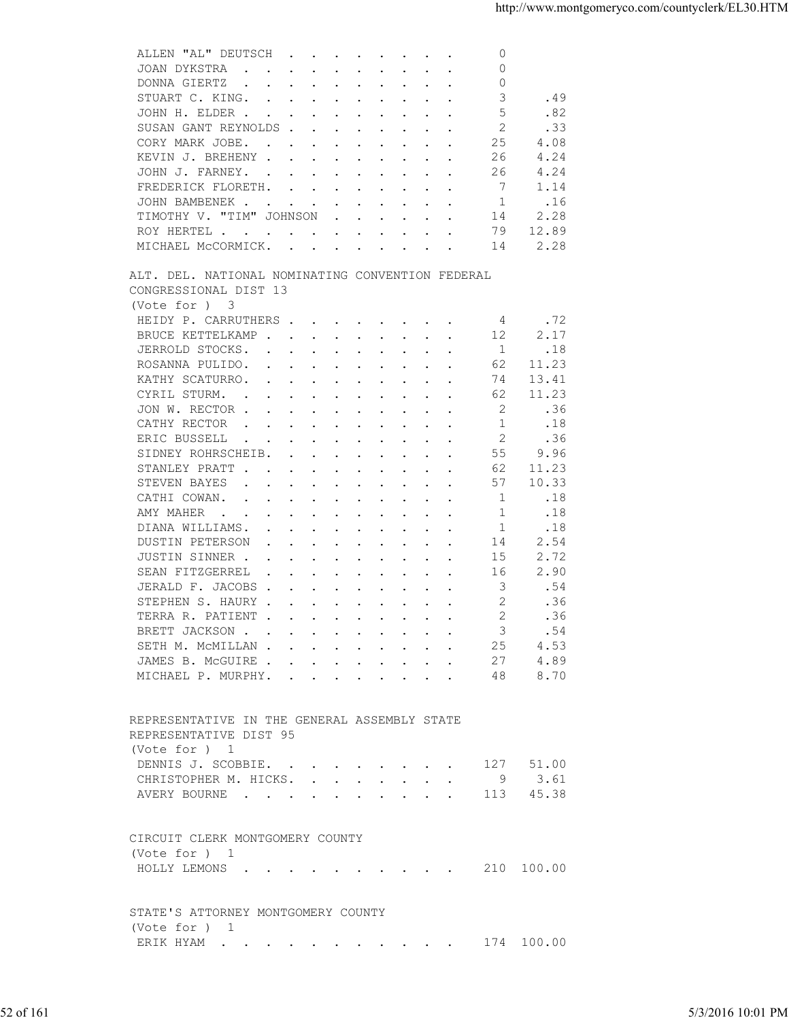| $\circ$<br>JOAN DYKSTRA<br>$\sim$ $\sim$<br>$\mathbf{r}$ , and $\mathbf{r}$ , and $\mathbf{r}$ , and $\mathbf{r}$ , and $\mathbf{r}$<br>$\circ$<br>DONNA GIERTZ<br>$\mathbf{r}$ , and $\mathbf{r}$ , and $\mathbf{r}$ , and $\mathbf{r}$ , and $\mathbf{r}$<br>3<br>.49<br>STUART C. KING.<br>5<br>.82<br>JOHN H. ELDER<br>2<br>.33<br>SUSAN GANT REYNOLDS<br>25<br>4.08<br>CORY MARK JOBE.<br>4.24<br>KEVIN J. BREHENY<br>26<br>$\mathbf{r}$ , $\mathbf{r}$ , $\mathbf{r}$ , $\mathbf{r}$ , $\mathbf{r}$<br>4.24<br>26<br>JOHN J. FARNEY.<br>7<br>1.14<br>FREDERICK FLORETH.<br>$\mathbf{r}$ , $\mathbf{r}$ , $\mathbf{r}$ , $\mathbf{r}$ , $\mathbf{r}$ , $\mathbf{r}$ , $\mathbf{r}$<br>JOHN BAMBENEK.<br>1<br>.16<br>$\mathbf{r}$ , $\mathbf{r}$ , $\mathbf{r}$ , $\mathbf{r}$ , $\mathbf{r}$<br>TIMOTHY V. "TIM" JOHNSON<br>2.28<br>14<br>$\mathbf{r}$ . The set of the set of the set of the set of the set of the set of the set of the set of the set of the set of the set of the set of the set of the set of the set of the set of the set of the set of the set of t<br>79<br>ROY HERTEL .<br>12.89<br>the contract of the contract of the contract of the contract of the contract of the contract of the contract of<br>2.28<br>MICHAEL MCCORMICK.<br>14<br>ALT. DEL. NATIONAL NOMINATING CONVENTION FEDERAL<br>CONGRESSIONAL DIST 13<br>(Vote for ) 3<br>HEIDY P. CARRUTHERS<br>.72<br>4<br>2.17<br>BRUCE KETTELKAMP.<br>12<br>$\sim$ $\sim$<br>$\mathbf{r}$ , $\mathbf{r}$ , $\mathbf{r}$<br>$\cdot$ $\cdot$<br>JERROLD STOCKS.<br>$\mathbf{1}$<br>.18<br>$\mathbf{r}$ , $\mathbf{r}$ , $\mathbf{r}$ , $\mathbf{r}$ , $\mathbf{r}$ , $\mathbf{r}$ , $\mathbf{r}$<br>ROSANNA PULIDO.<br>62<br>11.23<br><u>in the second contract of the second second</u><br>$\cdot$ $\cdot$ $\cdot$<br>KATHY SCATURRO.<br>74<br>13.41<br>$\mathbf{r}$ , $\mathbf{r}$ , $\mathbf{r}$ , $\mathbf{r}$ , $\mathbf{r}$<br><b>Contract Contract Service</b><br>CYRIL STURM.<br>11.23<br>62<br>$\mathbf{r}$ , and $\mathbf{r}$ , and $\mathbf{r}$ , and $\mathbf{r}$ , and $\mathbf{r}$<br>2<br>JON W. RECTOR<br>.36<br>1<br>CATHY RECTOR<br>.18<br>$\mathbf{r}$ , $\mathbf{r}$ , $\mathbf{r}$ , $\mathbf{r}$ , $\mathbf{r}$ , $\mathbf{r}$ , $\mathbf{r}$ , $\mathbf{r}$<br>2<br>.36<br>ERIC BUSSELL<br>the contract of the contract of the contract of the contract of the contract of the contract of the contract of<br>55<br>9.96<br>SIDNEY ROHRSCHEIB.<br>$\cdot$ $\cdot$ $\cdot$ $\cdot$ $\cdot$<br>$\ddot{\phantom{a}}$<br>$\sim$<br>STANLEY PRATT<br>62<br>11.23<br>$\cdot$ $\cdot$ $\cdot$ $\cdot$<br>$\sim$ $\sim$<br>10.33<br>STEVEN BAYES<br>57<br>the contract of the contract of the contract of the contract of the contract of the contract of the contract of<br>.18<br>CATHI COWAN.<br>-1<br>$\cdot$ $\cdot$<br>the contract of the contract of the contract of the contract of the contract of the contract of the contract of<br>AMY MAHER<br>.18<br>1<br>$\sim$<br>1<br>DIANA WILLIAMS.<br>.18<br>$\sim$<br>$\sim$<br>14<br>2.54<br><b>DUSTIN PETERSON</b><br>$\sim$ $\sim$<br>$\sim$<br>$\sim$ $\sim$ $\sim$ $\sim$ $\sim$<br>$\ddot{\phantom{a}}$<br>2.72<br>JUSTIN SINNER .<br>15<br>$\cdot$<br>$\mathbf{r}$ , $\mathbf{r}$ , $\mathbf{r}$ , $\mathbf{r}$ , $\mathbf{r}$<br>2.90<br>SEAN FITZGERREL<br>16<br>$\mathbf{r}$ , $\mathbf{r}$ , $\mathbf{r}$ , $\mathbf{r}$ , $\mathbf{r}$<br>$\cdot$ $\cdot$<br>$\ddot{\phantom{a}}$<br>3<br>JERALD F. JACOBS<br>.54<br>$\mathbf{r}$ , $\mathbf{r}$ , $\mathbf{r}$ , $\mathbf{r}$ , $\mathbf{r}$ , $\mathbf{r}$ , $\mathbf{r}$<br>$\ddot{\phantom{a}}$<br>2<br>.36<br>STEPHEN S. HAURY.<br>$\mathbf{r}$ , $\mathbf{r}$ , $\mathbf{r}$ , $\mathbf{r}$ , $\mathbf{r}$ , $\mathbf{r}$ , $\mathbf{r}$<br>2<br>.36<br>TERRA R. PATIENT<br>BRETT JACKSON<br>3<br>.54<br>4.53<br>25<br>SETH M. MCMILLAN<br>4.89<br>JAMES B. MCGUIRE<br>27<br>8.70<br>MICHAEL P. MURPHY.<br>48<br>REPRESENTATIVE IN THE GENERAL ASSEMBLY STATE<br>REPRESENTATIVE DIST 95<br>(Vote for ) 1<br>DENNIS J. SCOBBIE.<br>127 51.00<br>9 3.61<br>CHRISTOPHER M. HICKS.<br>AVERY BOURNE 113 45.38<br>CIRCUIT CLERK MONTGOMERY COUNTY<br>(Vote for ) 1<br>HOLLY LEMONS 210 100.00<br>STATE'S ATTORNEY MONTGOMERY COUNTY<br>(Vote for ) 1<br>ERIK HYAM 174 100.00 |           |                   |
|-----------------------------------------------------------------------------------------------------------------------------------------------------------------------------------------------------------------------------------------------------------------------------------------------------------------------------------------------------------------------------------------------------------------------------------------------------------------------------------------------------------------------------------------------------------------------------------------------------------------------------------------------------------------------------------------------------------------------------------------------------------------------------------------------------------------------------------------------------------------------------------------------------------------------------------------------------------------------------------------------------------------------------------------------------------------------------------------------------------------------------------------------------------------------------------------------------------------------------------------------------------------------------------------------------------------------------------------------------------------------------------------------------------------------------------------------------------------------------------------------------------------------------------------------------------------------------------------------------------------------------------------------------------------------------------------------------------------------------------------------------------------------------------------------------------------------------------------------------------------------------------------------------------------------------------------------------------------------------------------------------------------------------------------------------------------------------------------------------------------------------------------------------------------------------------------------------------------------------------------------------------------------------------------------------------------------------------------------------------------------------------------------------------------------------------------------------------------------------------------------------------------------------------------------------------------------------------------------------------------------------------------------------------------------------------------------------------------------------------------------------------------------------------------------------------------------------------------------------------------------------------------------------------------------------------------------------------------------------------------------------------------------------------------------------------------------------------------------------------------------------------------------------------------------------------------------------------------------------------------------------------------------------------------------------------------------------------------------------------------------------------------------------------------------------------------------------------------------------------------------------------------------------------------------------------------------------------------------------------------------------------------------------------------------------------------------------------------------------------------------------------------------------------------------------------------------------------------------------------------------------------------------------------------------------------------------------------------------------------------------------------------------------------------------------------------------------------------------------------------------------------------------------------------------------------------------------------------------------------------------------------------------------------------------|-----------|-------------------|
|                                                                                                                                                                                                                                                                                                                                                                                                                                                                                                                                                                                                                                                                                                                                                                                                                                                                                                                                                                                                                                                                                                                                                                                                                                                                                                                                                                                                                                                                                                                                                                                                                                                                                                                                                                                                                                                                                                                                                                                                                                                                                                                                                                                                                                                                                                                                                                                                                                                                                                                                                                                                                                                                                                                                                                                                                                                                                                                                                                                                                                                                                                                                                                                                                                                                                                                                                                                                                                                                                                                                                                                                                                                                                                                                                                                                                                                                                                                                                                                                                                                                                                                                                                                                                                                                                               |           |                   |
|                                                                                                                                                                                                                                                                                                                                                                                                                                                                                                                                                                                                                                                                                                                                                                                                                                                                                                                                                                                                                                                                                                                                                                                                                                                                                                                                                                                                                                                                                                                                                                                                                                                                                                                                                                                                                                                                                                                                                                                                                                                                                                                                                                                                                                                                                                                                                                                                                                                                                                                                                                                                                                                                                                                                                                                                                                                                                                                                                                                                                                                                                                                                                                                                                                                                                                                                                                                                                                                                                                                                                                                                                                                                                                                                                                                                                                                                                                                                                                                                                                                                                                                                                                                                                                                                                               |           |                   |
|                                                                                                                                                                                                                                                                                                                                                                                                                                                                                                                                                                                                                                                                                                                                                                                                                                                                                                                                                                                                                                                                                                                                                                                                                                                                                                                                                                                                                                                                                                                                                                                                                                                                                                                                                                                                                                                                                                                                                                                                                                                                                                                                                                                                                                                                                                                                                                                                                                                                                                                                                                                                                                                                                                                                                                                                                                                                                                                                                                                                                                                                                                                                                                                                                                                                                                                                                                                                                                                                                                                                                                                                                                                                                                                                                                                                                                                                                                                                                                                                                                                                                                                                                                                                                                                                                               |           |                   |
|                                                                                                                                                                                                                                                                                                                                                                                                                                                                                                                                                                                                                                                                                                                                                                                                                                                                                                                                                                                                                                                                                                                                                                                                                                                                                                                                                                                                                                                                                                                                                                                                                                                                                                                                                                                                                                                                                                                                                                                                                                                                                                                                                                                                                                                                                                                                                                                                                                                                                                                                                                                                                                                                                                                                                                                                                                                                                                                                                                                                                                                                                                                                                                                                                                                                                                                                                                                                                                                                                                                                                                                                                                                                                                                                                                                                                                                                                                                                                                                                                                                                                                                                                                                                                                                                                               |           |                   |
|                                                                                                                                                                                                                                                                                                                                                                                                                                                                                                                                                                                                                                                                                                                                                                                                                                                                                                                                                                                                                                                                                                                                                                                                                                                                                                                                                                                                                                                                                                                                                                                                                                                                                                                                                                                                                                                                                                                                                                                                                                                                                                                                                                                                                                                                                                                                                                                                                                                                                                                                                                                                                                                                                                                                                                                                                                                                                                                                                                                                                                                                                                                                                                                                                                                                                                                                                                                                                                                                                                                                                                                                                                                                                                                                                                                                                                                                                                                                                                                                                                                                                                                                                                                                                                                                                               |           |                   |
|                                                                                                                                                                                                                                                                                                                                                                                                                                                                                                                                                                                                                                                                                                                                                                                                                                                                                                                                                                                                                                                                                                                                                                                                                                                                                                                                                                                                                                                                                                                                                                                                                                                                                                                                                                                                                                                                                                                                                                                                                                                                                                                                                                                                                                                                                                                                                                                                                                                                                                                                                                                                                                                                                                                                                                                                                                                                                                                                                                                                                                                                                                                                                                                                                                                                                                                                                                                                                                                                                                                                                                                                                                                                                                                                                                                                                                                                                                                                                                                                                                                                                                                                                                                                                                                                                               |           |                   |
|                                                                                                                                                                                                                                                                                                                                                                                                                                                                                                                                                                                                                                                                                                                                                                                                                                                                                                                                                                                                                                                                                                                                                                                                                                                                                                                                                                                                                                                                                                                                                                                                                                                                                                                                                                                                                                                                                                                                                                                                                                                                                                                                                                                                                                                                                                                                                                                                                                                                                                                                                                                                                                                                                                                                                                                                                                                                                                                                                                                                                                                                                                                                                                                                                                                                                                                                                                                                                                                                                                                                                                                                                                                                                                                                                                                                                                                                                                                                                                                                                                                                                                                                                                                                                                                                                               |           |                   |
|                                                                                                                                                                                                                                                                                                                                                                                                                                                                                                                                                                                                                                                                                                                                                                                                                                                                                                                                                                                                                                                                                                                                                                                                                                                                                                                                                                                                                                                                                                                                                                                                                                                                                                                                                                                                                                                                                                                                                                                                                                                                                                                                                                                                                                                                                                                                                                                                                                                                                                                                                                                                                                                                                                                                                                                                                                                                                                                                                                                                                                                                                                                                                                                                                                                                                                                                                                                                                                                                                                                                                                                                                                                                                                                                                                                                                                                                                                                                                                                                                                                                                                                                                                                                                                                                                               |           |                   |
|                                                                                                                                                                                                                                                                                                                                                                                                                                                                                                                                                                                                                                                                                                                                                                                                                                                                                                                                                                                                                                                                                                                                                                                                                                                                                                                                                                                                                                                                                                                                                                                                                                                                                                                                                                                                                                                                                                                                                                                                                                                                                                                                                                                                                                                                                                                                                                                                                                                                                                                                                                                                                                                                                                                                                                                                                                                                                                                                                                                                                                                                                                                                                                                                                                                                                                                                                                                                                                                                                                                                                                                                                                                                                                                                                                                                                                                                                                                                                                                                                                                                                                                                                                                                                                                                                               |           |                   |
|                                                                                                                                                                                                                                                                                                                                                                                                                                                                                                                                                                                                                                                                                                                                                                                                                                                                                                                                                                                                                                                                                                                                                                                                                                                                                                                                                                                                                                                                                                                                                                                                                                                                                                                                                                                                                                                                                                                                                                                                                                                                                                                                                                                                                                                                                                                                                                                                                                                                                                                                                                                                                                                                                                                                                                                                                                                                                                                                                                                                                                                                                                                                                                                                                                                                                                                                                                                                                                                                                                                                                                                                                                                                                                                                                                                                                                                                                                                                                                                                                                                                                                                                                                                                                                                                                               |           |                   |
|                                                                                                                                                                                                                                                                                                                                                                                                                                                                                                                                                                                                                                                                                                                                                                                                                                                                                                                                                                                                                                                                                                                                                                                                                                                                                                                                                                                                                                                                                                                                                                                                                                                                                                                                                                                                                                                                                                                                                                                                                                                                                                                                                                                                                                                                                                                                                                                                                                                                                                                                                                                                                                                                                                                                                                                                                                                                                                                                                                                                                                                                                                                                                                                                                                                                                                                                                                                                                                                                                                                                                                                                                                                                                                                                                                                                                                                                                                                                                                                                                                                                                                                                                                                                                                                                                               |           |                   |
|                                                                                                                                                                                                                                                                                                                                                                                                                                                                                                                                                                                                                                                                                                                                                                                                                                                                                                                                                                                                                                                                                                                                                                                                                                                                                                                                                                                                                                                                                                                                                                                                                                                                                                                                                                                                                                                                                                                                                                                                                                                                                                                                                                                                                                                                                                                                                                                                                                                                                                                                                                                                                                                                                                                                                                                                                                                                                                                                                                                                                                                                                                                                                                                                                                                                                                                                                                                                                                                                                                                                                                                                                                                                                                                                                                                                                                                                                                                                                                                                                                                                                                                                                                                                                                                                                               |           |                   |
|                                                                                                                                                                                                                                                                                                                                                                                                                                                                                                                                                                                                                                                                                                                                                                                                                                                                                                                                                                                                                                                                                                                                                                                                                                                                                                                                                                                                                                                                                                                                                                                                                                                                                                                                                                                                                                                                                                                                                                                                                                                                                                                                                                                                                                                                                                                                                                                                                                                                                                                                                                                                                                                                                                                                                                                                                                                                                                                                                                                                                                                                                                                                                                                                                                                                                                                                                                                                                                                                                                                                                                                                                                                                                                                                                                                                                                                                                                                                                                                                                                                                                                                                                                                                                                                                                               |           |                   |
|                                                                                                                                                                                                                                                                                                                                                                                                                                                                                                                                                                                                                                                                                                                                                                                                                                                                                                                                                                                                                                                                                                                                                                                                                                                                                                                                                                                                                                                                                                                                                                                                                                                                                                                                                                                                                                                                                                                                                                                                                                                                                                                                                                                                                                                                                                                                                                                                                                                                                                                                                                                                                                                                                                                                                                                                                                                                                                                                                                                                                                                                                                                                                                                                                                                                                                                                                                                                                                                                                                                                                                                                                                                                                                                                                                                                                                                                                                                                                                                                                                                                                                                                                                                                                                                                                               |           |                   |
|                                                                                                                                                                                                                                                                                                                                                                                                                                                                                                                                                                                                                                                                                                                                                                                                                                                                                                                                                                                                                                                                                                                                                                                                                                                                                                                                                                                                                                                                                                                                                                                                                                                                                                                                                                                                                                                                                                                                                                                                                                                                                                                                                                                                                                                                                                                                                                                                                                                                                                                                                                                                                                                                                                                                                                                                                                                                                                                                                                                                                                                                                                                                                                                                                                                                                                                                                                                                                                                                                                                                                                                                                                                                                                                                                                                                                                                                                                                                                                                                                                                                                                                                                                                                                                                                                               |           |                   |
|                                                                                                                                                                                                                                                                                                                                                                                                                                                                                                                                                                                                                                                                                                                                                                                                                                                                                                                                                                                                                                                                                                                                                                                                                                                                                                                                                                                                                                                                                                                                                                                                                                                                                                                                                                                                                                                                                                                                                                                                                                                                                                                                                                                                                                                                                                                                                                                                                                                                                                                                                                                                                                                                                                                                                                                                                                                                                                                                                                                                                                                                                                                                                                                                                                                                                                                                                                                                                                                                                                                                                                                                                                                                                                                                                                                                                                                                                                                                                                                                                                                                                                                                                                                                                                                                                               |           |                   |
|                                                                                                                                                                                                                                                                                                                                                                                                                                                                                                                                                                                                                                                                                                                                                                                                                                                                                                                                                                                                                                                                                                                                                                                                                                                                                                                                                                                                                                                                                                                                                                                                                                                                                                                                                                                                                                                                                                                                                                                                                                                                                                                                                                                                                                                                                                                                                                                                                                                                                                                                                                                                                                                                                                                                                                                                                                                                                                                                                                                                                                                                                                                                                                                                                                                                                                                                                                                                                                                                                                                                                                                                                                                                                                                                                                                                                                                                                                                                                                                                                                                                                                                                                                                                                                                                                               |           |                   |
|                                                                                                                                                                                                                                                                                                                                                                                                                                                                                                                                                                                                                                                                                                                                                                                                                                                                                                                                                                                                                                                                                                                                                                                                                                                                                                                                                                                                                                                                                                                                                                                                                                                                                                                                                                                                                                                                                                                                                                                                                                                                                                                                                                                                                                                                                                                                                                                                                                                                                                                                                                                                                                                                                                                                                                                                                                                                                                                                                                                                                                                                                                                                                                                                                                                                                                                                                                                                                                                                                                                                                                                                                                                                                                                                                                                                                                                                                                                                                                                                                                                                                                                                                                                                                                                                                               |           |                   |
|                                                                                                                                                                                                                                                                                                                                                                                                                                                                                                                                                                                                                                                                                                                                                                                                                                                                                                                                                                                                                                                                                                                                                                                                                                                                                                                                                                                                                                                                                                                                                                                                                                                                                                                                                                                                                                                                                                                                                                                                                                                                                                                                                                                                                                                                                                                                                                                                                                                                                                                                                                                                                                                                                                                                                                                                                                                                                                                                                                                                                                                                                                                                                                                                                                                                                                                                                                                                                                                                                                                                                                                                                                                                                                                                                                                                                                                                                                                                                                                                                                                                                                                                                                                                                                                                                               |           |                   |
|                                                                                                                                                                                                                                                                                                                                                                                                                                                                                                                                                                                                                                                                                                                                                                                                                                                                                                                                                                                                                                                                                                                                                                                                                                                                                                                                                                                                                                                                                                                                                                                                                                                                                                                                                                                                                                                                                                                                                                                                                                                                                                                                                                                                                                                                                                                                                                                                                                                                                                                                                                                                                                                                                                                                                                                                                                                                                                                                                                                                                                                                                                                                                                                                                                                                                                                                                                                                                                                                                                                                                                                                                                                                                                                                                                                                                                                                                                                                                                                                                                                                                                                                                                                                                                                                                               |           |                   |
|                                                                                                                                                                                                                                                                                                                                                                                                                                                                                                                                                                                                                                                                                                                                                                                                                                                                                                                                                                                                                                                                                                                                                                                                                                                                                                                                                                                                                                                                                                                                                                                                                                                                                                                                                                                                                                                                                                                                                                                                                                                                                                                                                                                                                                                                                                                                                                                                                                                                                                                                                                                                                                                                                                                                                                                                                                                                                                                                                                                                                                                                                                                                                                                                                                                                                                                                                                                                                                                                                                                                                                                                                                                                                                                                                                                                                                                                                                                                                                                                                                                                                                                                                                                                                                                                                               |           |                   |
|                                                                                                                                                                                                                                                                                                                                                                                                                                                                                                                                                                                                                                                                                                                                                                                                                                                                                                                                                                                                                                                                                                                                                                                                                                                                                                                                                                                                                                                                                                                                                                                                                                                                                                                                                                                                                                                                                                                                                                                                                                                                                                                                                                                                                                                                                                                                                                                                                                                                                                                                                                                                                                                                                                                                                                                                                                                                                                                                                                                                                                                                                                                                                                                                                                                                                                                                                                                                                                                                                                                                                                                                                                                                                                                                                                                                                                                                                                                                                                                                                                                                                                                                                                                                                                                                                               |           |                   |
|                                                                                                                                                                                                                                                                                                                                                                                                                                                                                                                                                                                                                                                                                                                                                                                                                                                                                                                                                                                                                                                                                                                                                                                                                                                                                                                                                                                                                                                                                                                                                                                                                                                                                                                                                                                                                                                                                                                                                                                                                                                                                                                                                                                                                                                                                                                                                                                                                                                                                                                                                                                                                                                                                                                                                                                                                                                                                                                                                                                                                                                                                                                                                                                                                                                                                                                                                                                                                                                                                                                                                                                                                                                                                                                                                                                                                                                                                                                                                                                                                                                                                                                                                                                                                                                                                               |           |                   |
|                                                                                                                                                                                                                                                                                                                                                                                                                                                                                                                                                                                                                                                                                                                                                                                                                                                                                                                                                                                                                                                                                                                                                                                                                                                                                                                                                                                                                                                                                                                                                                                                                                                                                                                                                                                                                                                                                                                                                                                                                                                                                                                                                                                                                                                                                                                                                                                                                                                                                                                                                                                                                                                                                                                                                                                                                                                                                                                                                                                                                                                                                                                                                                                                                                                                                                                                                                                                                                                                                                                                                                                                                                                                                                                                                                                                                                                                                                                                                                                                                                                                                                                                                                                                                                                                                               |           |                   |
|                                                                                                                                                                                                                                                                                                                                                                                                                                                                                                                                                                                                                                                                                                                                                                                                                                                                                                                                                                                                                                                                                                                                                                                                                                                                                                                                                                                                                                                                                                                                                                                                                                                                                                                                                                                                                                                                                                                                                                                                                                                                                                                                                                                                                                                                                                                                                                                                                                                                                                                                                                                                                                                                                                                                                                                                                                                                                                                                                                                                                                                                                                                                                                                                                                                                                                                                                                                                                                                                                                                                                                                                                                                                                                                                                                                                                                                                                                                                                                                                                                                                                                                                                                                                                                                                                               |           |                   |
|                                                                                                                                                                                                                                                                                                                                                                                                                                                                                                                                                                                                                                                                                                                                                                                                                                                                                                                                                                                                                                                                                                                                                                                                                                                                                                                                                                                                                                                                                                                                                                                                                                                                                                                                                                                                                                                                                                                                                                                                                                                                                                                                                                                                                                                                                                                                                                                                                                                                                                                                                                                                                                                                                                                                                                                                                                                                                                                                                                                                                                                                                                                                                                                                                                                                                                                                                                                                                                                                                                                                                                                                                                                                                                                                                                                                                                                                                                                                                                                                                                                                                                                                                                                                                                                                                               |           |                   |
|                                                                                                                                                                                                                                                                                                                                                                                                                                                                                                                                                                                                                                                                                                                                                                                                                                                                                                                                                                                                                                                                                                                                                                                                                                                                                                                                                                                                                                                                                                                                                                                                                                                                                                                                                                                                                                                                                                                                                                                                                                                                                                                                                                                                                                                                                                                                                                                                                                                                                                                                                                                                                                                                                                                                                                                                                                                                                                                                                                                                                                                                                                                                                                                                                                                                                                                                                                                                                                                                                                                                                                                                                                                                                                                                                                                                                                                                                                                                                                                                                                                                                                                                                                                                                                                                                               |           |                   |
|                                                                                                                                                                                                                                                                                                                                                                                                                                                                                                                                                                                                                                                                                                                                                                                                                                                                                                                                                                                                                                                                                                                                                                                                                                                                                                                                                                                                                                                                                                                                                                                                                                                                                                                                                                                                                                                                                                                                                                                                                                                                                                                                                                                                                                                                                                                                                                                                                                                                                                                                                                                                                                                                                                                                                                                                                                                                                                                                                                                                                                                                                                                                                                                                                                                                                                                                                                                                                                                                                                                                                                                                                                                                                                                                                                                                                                                                                                                                                                                                                                                                                                                                                                                                                                                                                               |           |                   |
|                                                                                                                                                                                                                                                                                                                                                                                                                                                                                                                                                                                                                                                                                                                                                                                                                                                                                                                                                                                                                                                                                                                                                                                                                                                                                                                                                                                                                                                                                                                                                                                                                                                                                                                                                                                                                                                                                                                                                                                                                                                                                                                                                                                                                                                                                                                                                                                                                                                                                                                                                                                                                                                                                                                                                                                                                                                                                                                                                                                                                                                                                                                                                                                                                                                                                                                                                                                                                                                                                                                                                                                                                                                                                                                                                                                                                                                                                                                                                                                                                                                                                                                                                                                                                                                                                               |           |                   |
|                                                                                                                                                                                                                                                                                                                                                                                                                                                                                                                                                                                                                                                                                                                                                                                                                                                                                                                                                                                                                                                                                                                                                                                                                                                                                                                                                                                                                                                                                                                                                                                                                                                                                                                                                                                                                                                                                                                                                                                                                                                                                                                                                                                                                                                                                                                                                                                                                                                                                                                                                                                                                                                                                                                                                                                                                                                                                                                                                                                                                                                                                                                                                                                                                                                                                                                                                                                                                                                                                                                                                                                                                                                                                                                                                                                                                                                                                                                                                                                                                                                                                                                                                                                                                                                                                               |           |                   |
|                                                                                                                                                                                                                                                                                                                                                                                                                                                                                                                                                                                                                                                                                                                                                                                                                                                                                                                                                                                                                                                                                                                                                                                                                                                                                                                                                                                                                                                                                                                                                                                                                                                                                                                                                                                                                                                                                                                                                                                                                                                                                                                                                                                                                                                                                                                                                                                                                                                                                                                                                                                                                                                                                                                                                                                                                                                                                                                                                                                                                                                                                                                                                                                                                                                                                                                                                                                                                                                                                                                                                                                                                                                                                                                                                                                                                                                                                                                                                                                                                                                                                                                                                                                                                                                                                               |           |                   |
|                                                                                                                                                                                                                                                                                                                                                                                                                                                                                                                                                                                                                                                                                                                                                                                                                                                                                                                                                                                                                                                                                                                                                                                                                                                                                                                                                                                                                                                                                                                                                                                                                                                                                                                                                                                                                                                                                                                                                                                                                                                                                                                                                                                                                                                                                                                                                                                                                                                                                                                                                                                                                                                                                                                                                                                                                                                                                                                                                                                                                                                                                                                                                                                                                                                                                                                                                                                                                                                                                                                                                                                                                                                                                                                                                                                                                                                                                                                                                                                                                                                                                                                                                                                                                                                                                               |           |                   |
|                                                                                                                                                                                                                                                                                                                                                                                                                                                                                                                                                                                                                                                                                                                                                                                                                                                                                                                                                                                                                                                                                                                                                                                                                                                                                                                                                                                                                                                                                                                                                                                                                                                                                                                                                                                                                                                                                                                                                                                                                                                                                                                                                                                                                                                                                                                                                                                                                                                                                                                                                                                                                                                                                                                                                                                                                                                                                                                                                                                                                                                                                                                                                                                                                                                                                                                                                                                                                                                                                                                                                                                                                                                                                                                                                                                                                                                                                                                                                                                                                                                                                                                                                                                                                                                                                               |           |                   |
|                                                                                                                                                                                                                                                                                                                                                                                                                                                                                                                                                                                                                                                                                                                                                                                                                                                                                                                                                                                                                                                                                                                                                                                                                                                                                                                                                                                                                                                                                                                                                                                                                                                                                                                                                                                                                                                                                                                                                                                                                                                                                                                                                                                                                                                                                                                                                                                                                                                                                                                                                                                                                                                                                                                                                                                                                                                                                                                                                                                                                                                                                                                                                                                                                                                                                                                                                                                                                                                                                                                                                                                                                                                                                                                                                                                                                                                                                                                                                                                                                                                                                                                                                                                                                                                                                               |           |                   |
|                                                                                                                                                                                                                                                                                                                                                                                                                                                                                                                                                                                                                                                                                                                                                                                                                                                                                                                                                                                                                                                                                                                                                                                                                                                                                                                                                                                                                                                                                                                                                                                                                                                                                                                                                                                                                                                                                                                                                                                                                                                                                                                                                                                                                                                                                                                                                                                                                                                                                                                                                                                                                                                                                                                                                                                                                                                                                                                                                                                                                                                                                                                                                                                                                                                                                                                                                                                                                                                                                                                                                                                                                                                                                                                                                                                                                                                                                                                                                                                                                                                                                                                                                                                                                                                                                               |           |                   |
|                                                                                                                                                                                                                                                                                                                                                                                                                                                                                                                                                                                                                                                                                                                                                                                                                                                                                                                                                                                                                                                                                                                                                                                                                                                                                                                                                                                                                                                                                                                                                                                                                                                                                                                                                                                                                                                                                                                                                                                                                                                                                                                                                                                                                                                                                                                                                                                                                                                                                                                                                                                                                                                                                                                                                                                                                                                                                                                                                                                                                                                                                                                                                                                                                                                                                                                                                                                                                                                                                                                                                                                                                                                                                                                                                                                                                                                                                                                                                                                                                                                                                                                                                                                                                                                                                               |           |                   |
|                                                                                                                                                                                                                                                                                                                                                                                                                                                                                                                                                                                                                                                                                                                                                                                                                                                                                                                                                                                                                                                                                                                                                                                                                                                                                                                                                                                                                                                                                                                                                                                                                                                                                                                                                                                                                                                                                                                                                                                                                                                                                                                                                                                                                                                                                                                                                                                                                                                                                                                                                                                                                                                                                                                                                                                                                                                                                                                                                                                                                                                                                                                                                                                                                                                                                                                                                                                                                                                                                                                                                                                                                                                                                                                                                                                                                                                                                                                                                                                                                                                                                                                                                                                                                                                                                               |           |                   |
|                                                                                                                                                                                                                                                                                                                                                                                                                                                                                                                                                                                                                                                                                                                                                                                                                                                                                                                                                                                                                                                                                                                                                                                                                                                                                                                                                                                                                                                                                                                                                                                                                                                                                                                                                                                                                                                                                                                                                                                                                                                                                                                                                                                                                                                                                                                                                                                                                                                                                                                                                                                                                                                                                                                                                                                                                                                                                                                                                                                                                                                                                                                                                                                                                                                                                                                                                                                                                                                                                                                                                                                                                                                                                                                                                                                                                                                                                                                                                                                                                                                                                                                                                                                                                                                                                               |           |                   |
|                                                                                                                                                                                                                                                                                                                                                                                                                                                                                                                                                                                                                                                                                                                                                                                                                                                                                                                                                                                                                                                                                                                                                                                                                                                                                                                                                                                                                                                                                                                                                                                                                                                                                                                                                                                                                                                                                                                                                                                                                                                                                                                                                                                                                                                                                                                                                                                                                                                                                                                                                                                                                                                                                                                                                                                                                                                                                                                                                                                                                                                                                                                                                                                                                                                                                                                                                                                                                                                                                                                                                                                                                                                                                                                                                                                                                                                                                                                                                                                                                                                                                                                                                                                                                                                                                               |           |                   |
|                                                                                                                                                                                                                                                                                                                                                                                                                                                                                                                                                                                                                                                                                                                                                                                                                                                                                                                                                                                                                                                                                                                                                                                                                                                                                                                                                                                                                                                                                                                                                                                                                                                                                                                                                                                                                                                                                                                                                                                                                                                                                                                                                                                                                                                                                                                                                                                                                                                                                                                                                                                                                                                                                                                                                                                                                                                                                                                                                                                                                                                                                                                                                                                                                                                                                                                                                                                                                                                                                                                                                                                                                                                                                                                                                                                                                                                                                                                                                                                                                                                                                                                                                                                                                                                                                               |           |                   |
|                                                                                                                                                                                                                                                                                                                                                                                                                                                                                                                                                                                                                                                                                                                                                                                                                                                                                                                                                                                                                                                                                                                                                                                                                                                                                                                                                                                                                                                                                                                                                                                                                                                                                                                                                                                                                                                                                                                                                                                                                                                                                                                                                                                                                                                                                                                                                                                                                                                                                                                                                                                                                                                                                                                                                                                                                                                                                                                                                                                                                                                                                                                                                                                                                                                                                                                                                                                                                                                                                                                                                                                                                                                                                                                                                                                                                                                                                                                                                                                                                                                                                                                                                                                                                                                                                               |           |                   |
|                                                                                                                                                                                                                                                                                                                                                                                                                                                                                                                                                                                                                                                                                                                                                                                                                                                                                                                                                                                                                                                                                                                                                                                                                                                                                                                                                                                                                                                                                                                                                                                                                                                                                                                                                                                                                                                                                                                                                                                                                                                                                                                                                                                                                                                                                                                                                                                                                                                                                                                                                                                                                                                                                                                                                                                                                                                                                                                                                                                                                                                                                                                                                                                                                                                                                                                                                                                                                                                                                                                                                                                                                                                                                                                                                                                                                                                                                                                                                                                                                                                                                                                                                                                                                                                                                               |           |                   |
|                                                                                                                                                                                                                                                                                                                                                                                                                                                                                                                                                                                                                                                                                                                                                                                                                                                                                                                                                                                                                                                                                                                                                                                                                                                                                                                                                                                                                                                                                                                                                                                                                                                                                                                                                                                                                                                                                                                                                                                                                                                                                                                                                                                                                                                                                                                                                                                                                                                                                                                                                                                                                                                                                                                                                                                                                                                                                                                                                                                                                                                                                                                                                                                                                                                                                                                                                                                                                                                                                                                                                                                                                                                                                                                                                                                                                                                                                                                                                                                                                                                                                                                                                                                                                                                                                               |           |                   |
|                                                                                                                                                                                                                                                                                                                                                                                                                                                                                                                                                                                                                                                                                                                                                                                                                                                                                                                                                                                                                                                                                                                                                                                                                                                                                                                                                                                                                                                                                                                                                                                                                                                                                                                                                                                                                                                                                                                                                                                                                                                                                                                                                                                                                                                                                                                                                                                                                                                                                                                                                                                                                                                                                                                                                                                                                                                                                                                                                                                                                                                                                                                                                                                                                                                                                                                                                                                                                                                                                                                                                                                                                                                                                                                                                                                                                                                                                                                                                                                                                                                                                                                                                                                                                                                                                               |           |                   |
|                                                                                                                                                                                                                                                                                                                                                                                                                                                                                                                                                                                                                                                                                                                                                                                                                                                                                                                                                                                                                                                                                                                                                                                                                                                                                                                                                                                                                                                                                                                                                                                                                                                                                                                                                                                                                                                                                                                                                                                                                                                                                                                                                                                                                                                                                                                                                                                                                                                                                                                                                                                                                                                                                                                                                                                                                                                                                                                                                                                                                                                                                                                                                                                                                                                                                                                                                                                                                                                                                                                                                                                                                                                                                                                                                                                                                                                                                                                                                                                                                                                                                                                                                                                                                                                                                               |           |                   |
|                                                                                                                                                                                                                                                                                                                                                                                                                                                                                                                                                                                                                                                                                                                                                                                                                                                                                                                                                                                                                                                                                                                                                                                                                                                                                                                                                                                                                                                                                                                                                                                                                                                                                                                                                                                                                                                                                                                                                                                                                                                                                                                                                                                                                                                                                                                                                                                                                                                                                                                                                                                                                                                                                                                                                                                                                                                                                                                                                                                                                                                                                                                                                                                                                                                                                                                                                                                                                                                                                                                                                                                                                                                                                                                                                                                                                                                                                                                                                                                                                                                                                                                                                                                                                                                                                               |           |                   |
|                                                                                                                                                                                                                                                                                                                                                                                                                                                                                                                                                                                                                                                                                                                                                                                                                                                                                                                                                                                                                                                                                                                                                                                                                                                                                                                                                                                                                                                                                                                                                                                                                                                                                                                                                                                                                                                                                                                                                                                                                                                                                                                                                                                                                                                                                                                                                                                                                                                                                                                                                                                                                                                                                                                                                                                                                                                                                                                                                                                                                                                                                                                                                                                                                                                                                                                                                                                                                                                                                                                                                                                                                                                                                                                                                                                                                                                                                                                                                                                                                                                                                                                                                                                                                                                                                               | 52 of 161 | 5/3/2016 10:01 PM |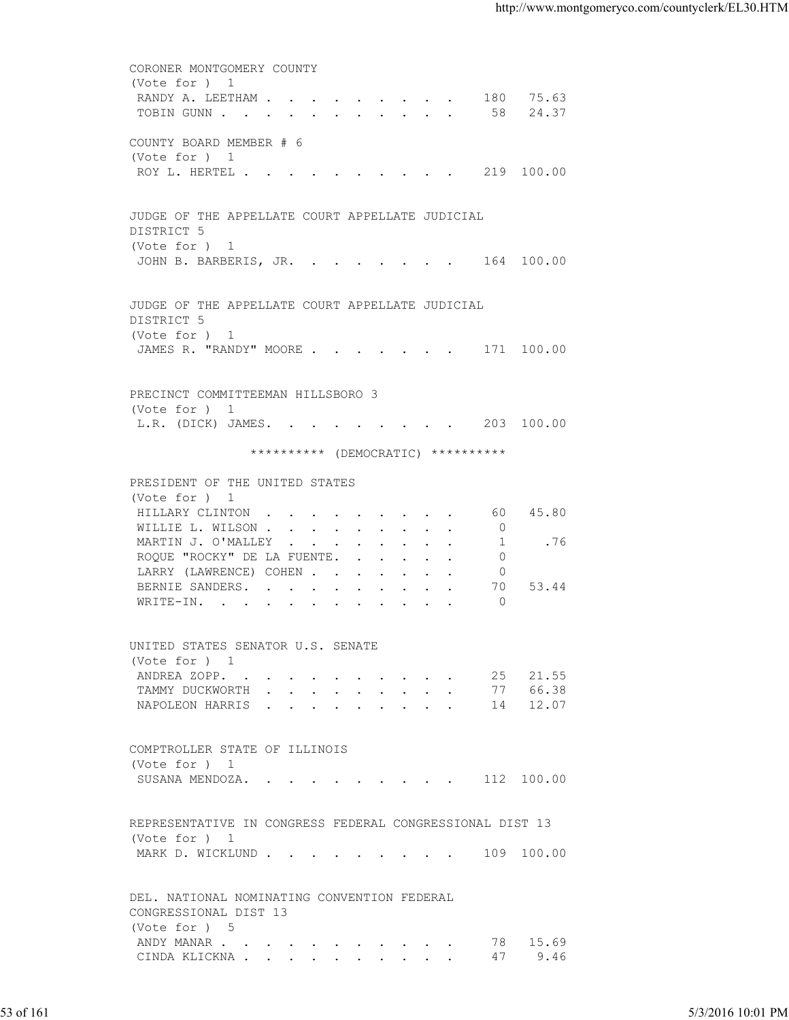|           | CORONER MONTGOMERY COUNTY                                                                             |                   |
|-----------|-------------------------------------------------------------------------------------------------------|-------------------|
|           | (Vote for ) 1<br>RANDY A. LEETHAM 180 75.63                                                           |                   |
|           | TOBIN GUNN 58 24.37                                                                                   |                   |
|           | COUNTY BOARD MEMBER # 6<br>(Vote for ) 1                                                              |                   |
|           | ROY L. HERTEL 219 100.00                                                                              |                   |
|           | JUDGE OF THE APPELLATE COURT APPELLATE JUDICIAL<br>DISTRICT 5<br>(Vote for ) 1                        |                   |
|           | JOHN B. BARBERIS, JR. 164 100.00                                                                      |                   |
|           | JUDGE OF THE APPELLATE COURT APPELLATE JUDICIAL<br>DISTRICT 5                                         |                   |
|           | (Vote for ) 1<br>JAMES R. "RANDY" MOORE 171 100.00                                                    |                   |
|           | PRECINCT COMMITTEEMAN HILLSBORO 3                                                                     |                   |
|           | (Vote for ) 1<br>L.R. (DICK) JAMES. 203 100.00                                                        |                   |
|           | ********** (DEMOCRATIC) **********                                                                    |                   |
|           | PRESIDENT OF THE UNITED STATES                                                                        |                   |
|           | (Vote for ) 1<br>HILLARY CLINTON 60 45.80                                                             |                   |
|           | WILLIE L. WILSON 0<br>.76<br>MARTIN J. O'MALLEY<br>$\sim$ 1<br>ROQUE "ROCKY" DE LA FUENTE.<br>$\circ$ |                   |
|           | LARRY (LAWRENCE) COHEN<br>$\circ$<br>53.44<br>BERNIE SANDERS.<br>70                                   |                   |
|           | $\overline{0}$<br>WRITE-IN.                                                                           |                   |
|           | UNITED STATES SENATOR U.S. SENATE<br>(Vote for ) 1                                                    |                   |
|           | ANDREA ZOPP. 25 21.55                                                                                 |                   |
|           | TAMMY DUCKWORTH 77 66.38                                                                              |                   |
|           | NAPOLEON HARRIS 14 12.07                                                                              |                   |
|           | COMPTROLLER STATE OF ILLINOIS<br>(Vote for ) 1                                                        |                   |
|           | SUSANA MENDOZA. 112 100.00                                                                            |                   |
|           | REPRESENTATIVE IN CONGRESS FEDERAL CONGRESSIONAL DIST 13<br>(Vote for ) 1                             |                   |
|           | MARK D. WICKLUND 109 100.00                                                                           |                   |
|           | DEL. NATIONAL NOMINATING CONVENTION FEDERAL<br>CONGRESSIONAL DIST 13<br>(Vote for ) 5                 |                   |
|           | ANDY MANAR 78 15.69<br>CINDA KLICKNA 47 9.46                                                          |                   |
|           |                                                                                                       |                   |
| 53 of 161 |                                                                                                       | 5/3/2016 10:01 PM |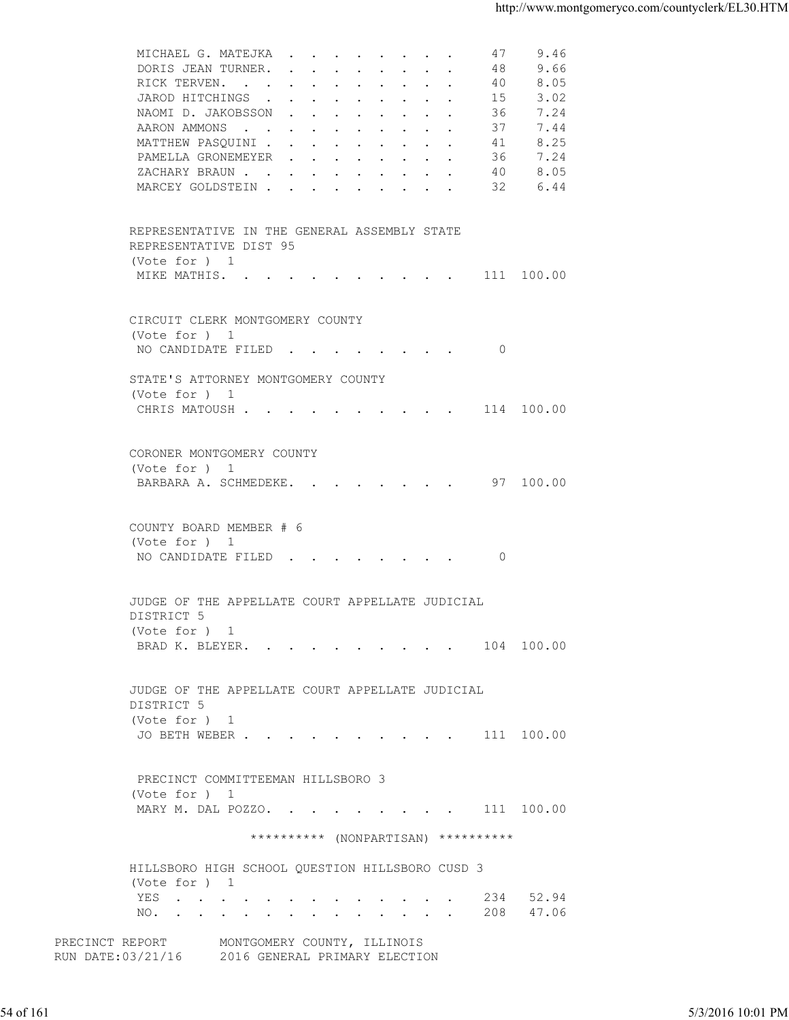| 8.05<br>RICK TERVEN.<br>40<br>3.02<br>JAROD HITCHINGS<br>15<br>7.24<br>NAOMI D. JAKOBSSON<br>36<br>7.44<br>AARON AMMONS<br>37<br>8.25<br>MATTHEW PASQUINI<br>41<br>PAMELLA GRONEMEYER<br>7.24<br>36<br>8.05<br>ZACHARY BRAUN<br>40<br>32<br>MARCEY GOLDSTEIN<br>6.44<br>REPRESENTATIVE IN THE GENERAL ASSEMBLY STATE<br>REPRESENTATIVE DIST 95<br>(Vote for ) 1<br>MIKE MATHIS. 111 100.00<br>CIRCUIT CLERK MONTGOMERY COUNTY<br>(Vote for ) 1<br>NO CANDIDATE FILED 0<br>STATE'S ATTORNEY MONTGOMERY COUNTY<br>(Vote for ) 1<br>CHRIS MATOUSH 114 100.00<br>CORONER MONTGOMERY COUNTY<br>(Vote for ) 1<br>BARBARA A. SCHMEDEKE. 97 100.00<br>COUNTY BOARD MEMBER # 6<br>(Vote for ) 1<br>NO CANDIDATE FILED 0<br>JUDGE OF THE APPELLATE COURT APPELLATE JUDICIAL<br>DISTRICT 5<br>(Vote for ) 1<br>BRAD K. BLEYER. 104 100.00<br>JUDGE OF THE APPELLATE COURT APPELLATE JUDICIAL<br>DISTRICT 5<br>(Vote for ) 1<br>JO BETH WEBER 111 100.00<br>PRECINCT COMMITTEEMAN HILLSBORO 3<br>(Vote for ) 1<br>MARY M. DAL POZZO. 111 100.00<br>********** (NONPARTISAN) **********<br>HILLSBORO HIGH SCHOOL QUESTION HILLSBORO CUSD 3<br>(Vote for ) 1<br>234 52.94<br>YES<br>208 47.06<br>NO.<br>PRECINCT REPORT MONTGOMERY COUNTY, ILLINOIS<br>RUN DATE: 03/21/16 2016 GENERAL PRIMARY ELECTION |                                |
|-------------------------------------------------------------------------------------------------------------------------------------------------------------------------------------------------------------------------------------------------------------------------------------------------------------------------------------------------------------------------------------------------------------------------------------------------------------------------------------------------------------------------------------------------------------------------------------------------------------------------------------------------------------------------------------------------------------------------------------------------------------------------------------------------------------------------------------------------------------------------------------------------------------------------------------------------------------------------------------------------------------------------------------------------------------------------------------------------------------------------------------------------------------------------------------------------------------------------------------------------------------------------------------------|--------------------------------|
|                                                                                                                                                                                                                                                                                                                                                                                                                                                                                                                                                                                                                                                                                                                                                                                                                                                                                                                                                                                                                                                                                                                                                                                                                                                                                           |                                |
|                                                                                                                                                                                                                                                                                                                                                                                                                                                                                                                                                                                                                                                                                                                                                                                                                                                                                                                                                                                                                                                                                                                                                                                                                                                                                           |                                |
|                                                                                                                                                                                                                                                                                                                                                                                                                                                                                                                                                                                                                                                                                                                                                                                                                                                                                                                                                                                                                                                                                                                                                                                                                                                                                           |                                |
|                                                                                                                                                                                                                                                                                                                                                                                                                                                                                                                                                                                                                                                                                                                                                                                                                                                                                                                                                                                                                                                                                                                                                                                                                                                                                           |                                |
|                                                                                                                                                                                                                                                                                                                                                                                                                                                                                                                                                                                                                                                                                                                                                                                                                                                                                                                                                                                                                                                                                                                                                                                                                                                                                           |                                |
|                                                                                                                                                                                                                                                                                                                                                                                                                                                                                                                                                                                                                                                                                                                                                                                                                                                                                                                                                                                                                                                                                                                                                                                                                                                                                           |                                |
|                                                                                                                                                                                                                                                                                                                                                                                                                                                                                                                                                                                                                                                                                                                                                                                                                                                                                                                                                                                                                                                                                                                                                                                                                                                                                           |                                |
|                                                                                                                                                                                                                                                                                                                                                                                                                                                                                                                                                                                                                                                                                                                                                                                                                                                                                                                                                                                                                                                                                                                                                                                                                                                                                           |                                |
|                                                                                                                                                                                                                                                                                                                                                                                                                                                                                                                                                                                                                                                                                                                                                                                                                                                                                                                                                                                                                                                                                                                                                                                                                                                                                           |                                |
|                                                                                                                                                                                                                                                                                                                                                                                                                                                                                                                                                                                                                                                                                                                                                                                                                                                                                                                                                                                                                                                                                                                                                                                                                                                                                           |                                |
|                                                                                                                                                                                                                                                                                                                                                                                                                                                                                                                                                                                                                                                                                                                                                                                                                                                                                                                                                                                                                                                                                                                                                                                                                                                                                           |                                |
|                                                                                                                                                                                                                                                                                                                                                                                                                                                                                                                                                                                                                                                                                                                                                                                                                                                                                                                                                                                                                                                                                                                                                                                                                                                                                           |                                |
|                                                                                                                                                                                                                                                                                                                                                                                                                                                                                                                                                                                                                                                                                                                                                                                                                                                                                                                                                                                                                                                                                                                                                                                                                                                                                           |                                |
|                                                                                                                                                                                                                                                                                                                                                                                                                                                                                                                                                                                                                                                                                                                                                                                                                                                                                                                                                                                                                                                                                                                                                                                                                                                                                           |                                |
|                                                                                                                                                                                                                                                                                                                                                                                                                                                                                                                                                                                                                                                                                                                                                                                                                                                                                                                                                                                                                                                                                                                                                                                                                                                                                           |                                |
|                                                                                                                                                                                                                                                                                                                                                                                                                                                                                                                                                                                                                                                                                                                                                                                                                                                                                                                                                                                                                                                                                                                                                                                                                                                                                           |                                |
|                                                                                                                                                                                                                                                                                                                                                                                                                                                                                                                                                                                                                                                                                                                                                                                                                                                                                                                                                                                                                                                                                                                                                                                                                                                                                           |                                |
|                                                                                                                                                                                                                                                                                                                                                                                                                                                                                                                                                                                                                                                                                                                                                                                                                                                                                                                                                                                                                                                                                                                                                                                                                                                                                           |                                |
|                                                                                                                                                                                                                                                                                                                                                                                                                                                                                                                                                                                                                                                                                                                                                                                                                                                                                                                                                                                                                                                                                                                                                                                                                                                                                           |                                |
|                                                                                                                                                                                                                                                                                                                                                                                                                                                                                                                                                                                                                                                                                                                                                                                                                                                                                                                                                                                                                                                                                                                                                                                                                                                                                           |                                |
|                                                                                                                                                                                                                                                                                                                                                                                                                                                                                                                                                                                                                                                                                                                                                                                                                                                                                                                                                                                                                                                                                                                                                                                                                                                                                           |                                |
|                                                                                                                                                                                                                                                                                                                                                                                                                                                                                                                                                                                                                                                                                                                                                                                                                                                                                                                                                                                                                                                                                                                                                                                                                                                                                           |                                |
|                                                                                                                                                                                                                                                                                                                                                                                                                                                                                                                                                                                                                                                                                                                                                                                                                                                                                                                                                                                                                                                                                                                                                                                                                                                                                           |                                |
|                                                                                                                                                                                                                                                                                                                                                                                                                                                                                                                                                                                                                                                                                                                                                                                                                                                                                                                                                                                                                                                                                                                                                                                                                                                                                           |                                |
|                                                                                                                                                                                                                                                                                                                                                                                                                                                                                                                                                                                                                                                                                                                                                                                                                                                                                                                                                                                                                                                                                                                                                                                                                                                                                           |                                |
|                                                                                                                                                                                                                                                                                                                                                                                                                                                                                                                                                                                                                                                                                                                                                                                                                                                                                                                                                                                                                                                                                                                                                                                                                                                                                           |                                |
|                                                                                                                                                                                                                                                                                                                                                                                                                                                                                                                                                                                                                                                                                                                                                                                                                                                                                                                                                                                                                                                                                                                                                                                                                                                                                           |                                |
|                                                                                                                                                                                                                                                                                                                                                                                                                                                                                                                                                                                                                                                                                                                                                                                                                                                                                                                                                                                                                                                                                                                                                                                                                                                                                           |                                |
|                                                                                                                                                                                                                                                                                                                                                                                                                                                                                                                                                                                                                                                                                                                                                                                                                                                                                                                                                                                                                                                                                                                                                                                                                                                                                           |                                |
|                                                                                                                                                                                                                                                                                                                                                                                                                                                                                                                                                                                                                                                                                                                                                                                                                                                                                                                                                                                                                                                                                                                                                                                                                                                                                           | 54 of 161<br>5/3/2016 10:01 PM |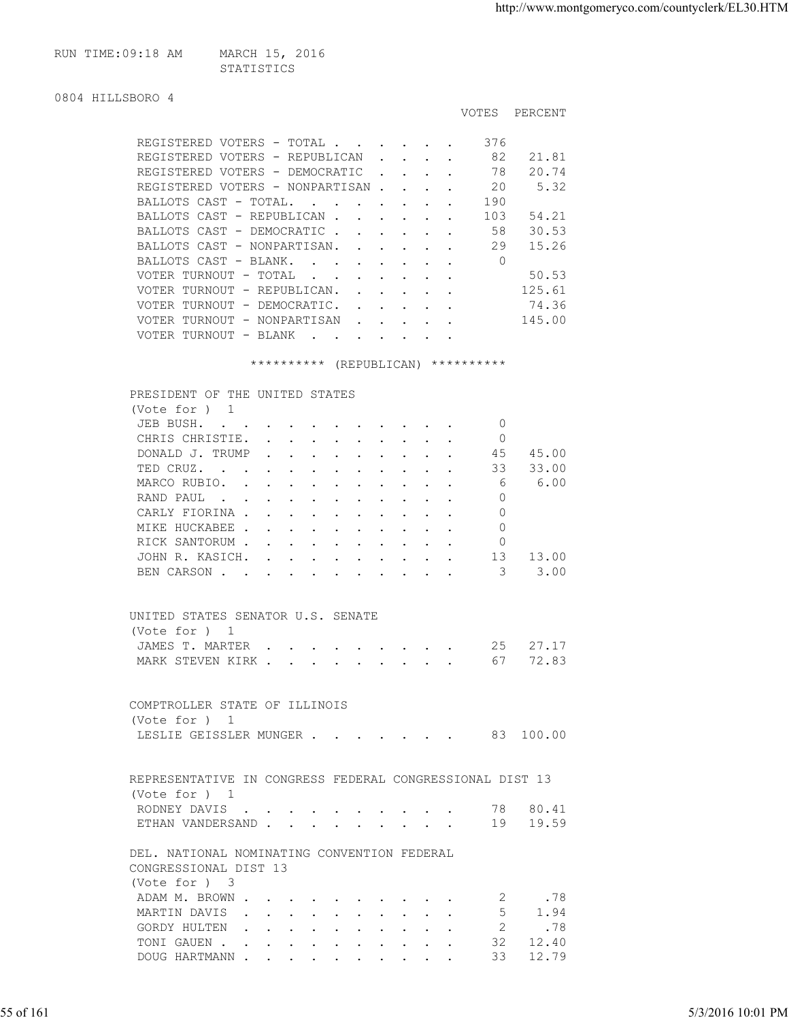```
RUN TIME:09:18 AM MARCH 15, 2016
                     STATISTICS
```

```
0804 HILLSBORO 4
```

|                                                          |        |  | <b>VOTES</b> | PERCENT |
|----------------------------------------------------------|--------|--|--------------|---------|
| REGISTERED VOTERS - TOTAL                                |        |  | 376          |         |
| REGISTERED VOTERS - REPUBLICAN                           |        |  | 82           | 21.81   |
| REGISTERED VOTERS - DEMOCRATIC                           |        |  | 78           | 20.74   |
| REGISTERED VOTERS - NONPARTISAN.                         |        |  | 20           | 5.32    |
| BALLOTS CAST - TOTAL.<br>$\sim$                          |        |  | 190          |         |
| BALLOTS CAST - REPUBLICAN                                | $\sim$ |  | 103          | 54.21   |
| BALLOTS CAST - DEMOCRATIC                                |        |  | 58           | 30.53   |
| BALLOTS CAST - NONPARTISAN.                              |        |  | 29           | 15.26   |
| BALLOTS CAST - BLANK.<br>$\mathbf{L} = \mathbf{L}$       |        |  | 0            |         |
| VOTER TURNOUT - TOTAL<br><b>Carl Carl Contract</b>       |        |  |              | 50.53   |
| VOTER TURNOUT - REPUBLICAN.                              |        |  |              | 125.61  |
| VOTER TURNOUT - DEMOCRATIC.                              |        |  |              | 74.36   |
| VOTER TURNOUT - NONPARTISAN<br>$\mathbf{L} = \mathbf{L}$ |        |  |              | 145.00  |
| VOTER TURNOUT - BLANK<br>$\sim$                          |        |  |              |         |

\*\*\*\*\*\*\*\*\*\* (REPUBLICAN) \*\*\*\*\*\*\*\*\*\*

| JEB BUSH.                                            |  |  |  |                         | $\Omega$ |          |  |
|------------------------------------------------------|--|--|--|-------------------------|----------|----------|--|
| CHRIS CHRISTIE.                                      |  |  |  |                         | 0        |          |  |
| DONALD J. TRUMP                                      |  |  |  |                         | 45       | 45.00    |  |
| TED CRUZ.                                            |  |  |  |                         | 33       | 33.00    |  |
| MARCO RUBIO.                                         |  |  |  |                         | 6        | 6.00     |  |
| RAND PAUL                                            |  |  |  |                         | 0        |          |  |
| CARLY FIORINA                                        |  |  |  |                         | $\Omega$ |          |  |
| MIKE HUCKABEE                                        |  |  |  | $\cdot$ $\cdot$ $\cdot$ | 0        |          |  |
| RICK SANTORUM                                        |  |  |  |                         | 0        |          |  |
| JOHN R. KASICH. 13                                   |  |  |  |                         |          | 13.00    |  |
| BEN CARSON                                           |  |  |  |                         | 3        | 3.00     |  |
| UNITED STATES SENATOR U.S. SENATE<br>(Vote for $)$ 1 |  |  |  | JAMES T. MARTER         |          | 25 27.17 |  |

|           | COMPTROLLER STATE OF ILLINOIS<br>(Vote for ) 1<br>LESLIE GEISSLER MUNGER 83 100.00                                                                                                                               |                   |
|-----------|------------------------------------------------------------------------------------------------------------------------------------------------------------------------------------------------------------------|-------------------|
|           | REPRESENTATIVE IN CONGRESS FEDERAL CONGRESSIONAL DIST 13                                                                                                                                                         |                   |
|           | (Vote for ) 1<br>RODNEY DAVIS 78 80.41                                                                                                                                                                           |                   |
|           | ETHAN VANDERSAND 19 19.59                                                                                                                                                                                        |                   |
|           | DEL. NATIONAL NOMINATING CONVENTION FEDERAL<br>CONGRESSIONAL DIST 13<br>(Vote for ) 3<br>2 .78<br>ADAM M. BROWN<br>MARTIN DAVIS<br>5 1.94<br>GORDY HULTEN 2 .78<br>TONI GAUEN 32 12.40<br>DOUG HARTMANN 33 12.79 |                   |
| 55 of 161 |                                                                                                                                                                                                                  | 5/3/2016 10:01 PM |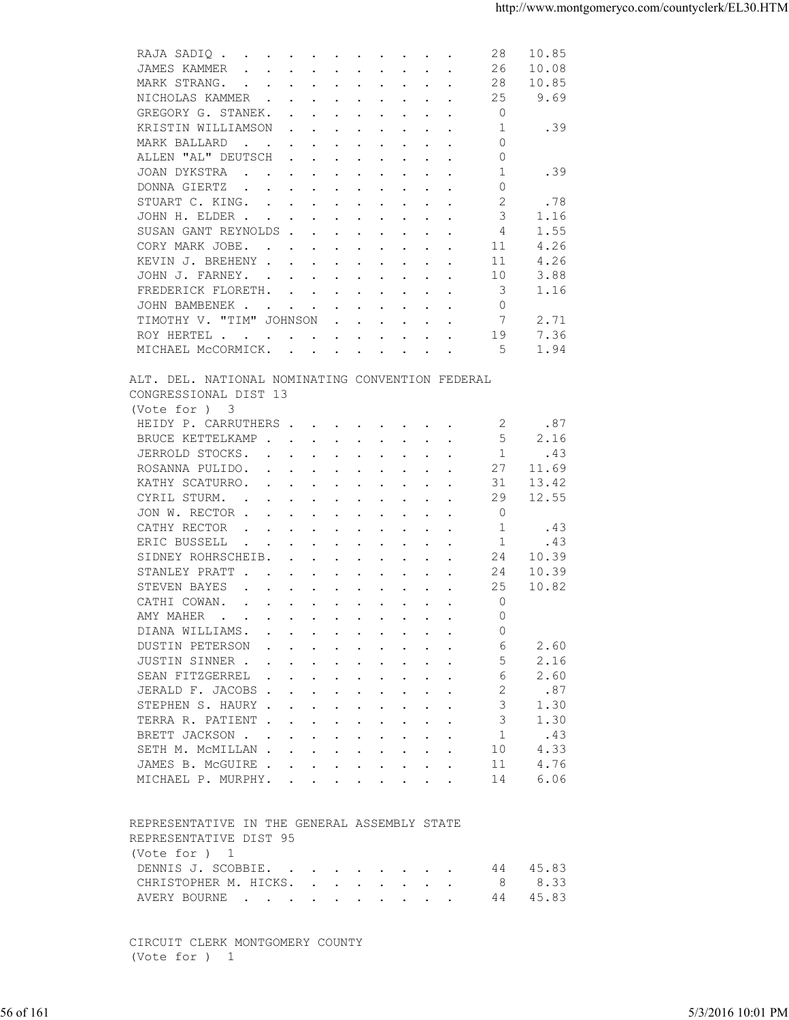| JAMES KAMMER<br>26<br>10.08<br>$\mathbf{r}$ , $\mathbf{r}$ , $\mathbf{r}$ , $\mathbf{r}$ , $\mathbf{r}$ , $\mathbf{r}$ , $\mathbf{r}$ , $\mathbf{r}$<br>MARK STRANG.<br>28<br>10.85<br>25<br>9.69<br>NICHOLAS KAMMER<br>$\Omega$<br>GREGORY G. STANEK.<br>$\mathbf{r}$ , and $\mathbf{r}$ , and $\mathbf{r}$ , and $\mathbf{r}$ , and $\mathbf{r}$<br>1<br>.39<br>KRISTIN WILLIAMSON<br>the contract of the contract of the contract of the contract of the contract of the contract of the contract of<br>$\circ$<br>MARK BALLARD<br>$\mathbf{r}$ , and $\mathbf{r}$ , and $\mathbf{r}$ , and $\mathbf{r}$ , and $\mathbf{r}$<br>ALLEN "AL" DEUTSCH<br>0<br>$\mathbf{r}$ , $\mathbf{r}$ , $\mathbf{r}$ , $\mathbf{r}$ , $\mathbf{r}$ , $\mathbf{r}$ , $\mathbf{r}$<br>JOAN DYKSTRA<br>-1<br>.39<br>$\mathbf{r}$ , and $\mathbf{r}$ , and $\mathbf{r}$ , and $\mathbf{r}$ , and $\mathbf{r}$<br>DONNA GIERTZ<br>0<br>$\mathbf{r}$ , and $\mathbf{r}$ , and $\mathbf{r}$ , and $\mathbf{r}$ , and $\mathbf{r}$<br>2<br>.78<br>STUART C. KING.<br>3<br>JOHN H. ELDER<br>1.16<br>1.55<br>SUSAN GANT REYNOLDS<br>4<br>4.26<br>CORY MARK JOBE.<br>11<br>the contract of the contract of the contract of the contract of the contract of the contract of the contract of<br>KEVIN J. BREHENY<br>11<br>4.26<br>JOHN J. FARNEY.<br>10<br>3.88<br>3<br>FREDERICK FLORETH.<br>1.16<br>JOHN BAMBENEK.<br>$\circ$<br>the contract of the contract of the contract of the contract of the contract of the contract of the contract of<br>TIMOTHY V. "TIM" JOHNSON<br>7<br>2.71<br>$\mathbf{r}$ , $\mathbf{r}$ , $\mathbf{r}$ , $\mathbf{r}$ , $\mathbf{r}$<br>7.36<br>19<br>ROY HERTEL<br>MICHAEL MCCORMICK.<br>1.94<br>-5<br>ALT. DEL. NATIONAL NOMINATING CONVENTION FEDERAL<br>CONGRESSIONAL DIST 13<br>(Vote for ) 3<br>HEIDY P. CARRUTHERS<br>2<br>.87<br>5<br>BRUCE KETTELKAMP<br>2.16<br>1<br>JERROLD STOCKS.<br>.43<br>ROSANNA PULIDO.<br>27<br>11.69<br>$\mathbf{r}$ . The contract of the contract of the contract of the contract of the contract of the contract of the contract of the contract of the contract of the contract of the contract of the contract of the contract of th<br>KATHY SCATURRO.<br>31<br>13.42<br>the contract of the contract of the contract of the contract of the contract of the contract of the contract of<br>12.55<br>CYRIL STURM.<br>29<br>the contract of the contract of the contract of the contract of the contract of the contract of the contract of<br>JON W. RECTOR<br>0<br>CATHY RECTOR<br>.43<br>-1<br>the contract of the contract of the contract of the contract of the contract of the contract of the contract of<br>ERIC BUSSELL<br>-1<br>.43<br>SIDNEY ROHRSCHEIB.<br>24<br>10.39<br>$\mathbf{r}$ , and $\mathbf{r}$ , and $\mathbf{r}$ , and $\mathbf{r}$ , and $\mathbf{r}$<br>STANLEY PRATT<br>24<br>10.39<br>$\mathbf{r}$ , and $\mathbf{r}$ , and $\mathbf{r}$ , and $\mathbf{r}$ , and $\mathbf{r}$<br>25<br>10.82<br>STEVEN BAYES<br>$\mathbf{r}$ , and $\mathbf{r}$ , and $\mathbf{r}$ , and $\mathbf{r}$ , and $\mathbf{r}$<br>CATHI COWAN.<br>$\circ$<br>$\mathbf{r} = \mathbf{r} + \mathbf{r} + \mathbf{r} + \mathbf{r} + \mathbf{r} + \mathbf{r} + \mathbf{r} + \mathbf{r} + \mathbf{r} + \mathbf{r} + \mathbf{r} + \mathbf{r} + \mathbf{r} + \mathbf{r} + \mathbf{r} + \mathbf{r} + \mathbf{r} + \mathbf{r} + \mathbf{r} + \mathbf{r} + \mathbf{r} + \mathbf{r} + \mathbf{r} + \mathbf{r} + \mathbf{r} + \mathbf{r} + \mathbf{r} + \mathbf{r} + \mathbf{r} + \mathbf{r} + \mathbf$<br>$\mathbf{0}$<br>AMY MAHER<br>DIANA WILLIAMS.<br>$\Omega$<br>DUSTIN PETERSON<br>6<br>2.60<br>2.16<br>JUSTIN SINNER<br>5<br>2.60<br>SEAN FITZGERREL<br>6<br>.87<br>JERALD F. JACOBS<br>2<br>STEPHEN S. HAURY<br>1.30<br>3<br>TERRA R. PATIENT<br>3<br>1.30<br>1<br>.43<br>BRETT JACKSON<br>4.33<br>SETH M. MCMILLAN<br>10<br>4.76<br>JAMES B. MCGUIRE<br>11<br>6.06<br>MICHAEL P. MURPHY.<br>14<br>REPRESENTATIVE IN THE GENERAL ASSEMBLY STATE<br>REPRESENTATIVE DIST 95<br>(Vote for ) 1<br>44 45.83<br>DENNIS J. SCOBBIE.<br>8.33<br>CHRISTOPHER M. HICKS.<br>8<br>45.83<br>AVERY BOURNE<br>44<br>CIRCUIT CLERK MONTGOMERY COUNTY<br>(Vote for ) 1<br>56 of 161<br>5/3/2016 10:01 PM | 28<br>10.85<br>RAJA SADIQ |  |
|---------------------------------------------------------------------------------------------------------------------------------------------------------------------------------------------------------------------------------------------------------------------------------------------------------------------------------------------------------------------------------------------------------------------------------------------------------------------------------------------------------------------------------------------------------------------------------------------------------------------------------------------------------------------------------------------------------------------------------------------------------------------------------------------------------------------------------------------------------------------------------------------------------------------------------------------------------------------------------------------------------------------------------------------------------------------------------------------------------------------------------------------------------------------------------------------------------------------------------------------------------------------------------------------------------------------------------------------------------------------------------------------------------------------------------------------------------------------------------------------------------------------------------------------------------------------------------------------------------------------------------------------------------------------------------------------------------------------------------------------------------------------------------------------------------------------------------------------------------------------------------------------------------------------------------------------------------------------------------------------------------------------------------------------------------------------------------------------------------------------------------------------------------------------------------------------------------------------------------------------------------------------------------------------------------------------------------------------------------------------------------------------------------------------------------------------------------------------------------------------------------------------------------------------------------------------------------------------------------------------------------------------------------------------------------------------------------------------------------------------------------------------------------------------------------------------------------------------------------------------------------------------------------------------------------------------------------------------------------------------------------------------------------------------------------------------------------------------------------------------------------------------------------------------------------------------------------------------------------------------------------------------------------------------------------------------------------------------------------------------------------------------------------------------------------------------------------------------------------------------------------------------------------------------------------------------------------------------------------------------------------------------------------------------------------------------------------------------------------------------------------------------------------------------------------------------------------------------------------------------------------------------------------------------------------------------------------------------------------------------------------------------------------------------------------------------------------------------------------------------------------------------------------------------------------------------------------------------------------------------|---------------------------|--|
|                                                                                                                                                                                                                                                                                                                                                                                                                                                                                                                                                                                                                                                                                                                                                                                                                                                                                                                                                                                                                                                                                                                                                                                                                                                                                                                                                                                                                                                                                                                                                                                                                                                                                                                                                                                                                                                                                                                                                                                                                                                                                                                                                                                                                                                                                                                                                                                                                                                                                                                                                                                                                                                                                                                                                                                                                                                                                                                                                                                                                                                                                                                                                                                                                                                                                                                                                                                                                                                                                                                                                                                                                                                                                                                                                                                                                                                                                                                                                                                                                                                                                                                                                                                                                                             |                           |  |
|                                                                                                                                                                                                                                                                                                                                                                                                                                                                                                                                                                                                                                                                                                                                                                                                                                                                                                                                                                                                                                                                                                                                                                                                                                                                                                                                                                                                                                                                                                                                                                                                                                                                                                                                                                                                                                                                                                                                                                                                                                                                                                                                                                                                                                                                                                                                                                                                                                                                                                                                                                                                                                                                                                                                                                                                                                                                                                                                                                                                                                                                                                                                                                                                                                                                                                                                                                                                                                                                                                                                                                                                                                                                                                                                                                                                                                                                                                                                                                                                                                                                                                                                                                                                                                             |                           |  |
|                                                                                                                                                                                                                                                                                                                                                                                                                                                                                                                                                                                                                                                                                                                                                                                                                                                                                                                                                                                                                                                                                                                                                                                                                                                                                                                                                                                                                                                                                                                                                                                                                                                                                                                                                                                                                                                                                                                                                                                                                                                                                                                                                                                                                                                                                                                                                                                                                                                                                                                                                                                                                                                                                                                                                                                                                                                                                                                                                                                                                                                                                                                                                                                                                                                                                                                                                                                                                                                                                                                                                                                                                                                                                                                                                                                                                                                                                                                                                                                                                                                                                                                                                                                                                                             |                           |  |
|                                                                                                                                                                                                                                                                                                                                                                                                                                                                                                                                                                                                                                                                                                                                                                                                                                                                                                                                                                                                                                                                                                                                                                                                                                                                                                                                                                                                                                                                                                                                                                                                                                                                                                                                                                                                                                                                                                                                                                                                                                                                                                                                                                                                                                                                                                                                                                                                                                                                                                                                                                                                                                                                                                                                                                                                                                                                                                                                                                                                                                                                                                                                                                                                                                                                                                                                                                                                                                                                                                                                                                                                                                                                                                                                                                                                                                                                                                                                                                                                                                                                                                                                                                                                                                             |                           |  |
|                                                                                                                                                                                                                                                                                                                                                                                                                                                                                                                                                                                                                                                                                                                                                                                                                                                                                                                                                                                                                                                                                                                                                                                                                                                                                                                                                                                                                                                                                                                                                                                                                                                                                                                                                                                                                                                                                                                                                                                                                                                                                                                                                                                                                                                                                                                                                                                                                                                                                                                                                                                                                                                                                                                                                                                                                                                                                                                                                                                                                                                                                                                                                                                                                                                                                                                                                                                                                                                                                                                                                                                                                                                                                                                                                                                                                                                                                                                                                                                                                                                                                                                                                                                                                                             |                           |  |
|                                                                                                                                                                                                                                                                                                                                                                                                                                                                                                                                                                                                                                                                                                                                                                                                                                                                                                                                                                                                                                                                                                                                                                                                                                                                                                                                                                                                                                                                                                                                                                                                                                                                                                                                                                                                                                                                                                                                                                                                                                                                                                                                                                                                                                                                                                                                                                                                                                                                                                                                                                                                                                                                                                                                                                                                                                                                                                                                                                                                                                                                                                                                                                                                                                                                                                                                                                                                                                                                                                                                                                                                                                                                                                                                                                                                                                                                                                                                                                                                                                                                                                                                                                                                                                             |                           |  |
|                                                                                                                                                                                                                                                                                                                                                                                                                                                                                                                                                                                                                                                                                                                                                                                                                                                                                                                                                                                                                                                                                                                                                                                                                                                                                                                                                                                                                                                                                                                                                                                                                                                                                                                                                                                                                                                                                                                                                                                                                                                                                                                                                                                                                                                                                                                                                                                                                                                                                                                                                                                                                                                                                                                                                                                                                                                                                                                                                                                                                                                                                                                                                                                                                                                                                                                                                                                                                                                                                                                                                                                                                                                                                                                                                                                                                                                                                                                                                                                                                                                                                                                                                                                                                                             |                           |  |
|                                                                                                                                                                                                                                                                                                                                                                                                                                                                                                                                                                                                                                                                                                                                                                                                                                                                                                                                                                                                                                                                                                                                                                                                                                                                                                                                                                                                                                                                                                                                                                                                                                                                                                                                                                                                                                                                                                                                                                                                                                                                                                                                                                                                                                                                                                                                                                                                                                                                                                                                                                                                                                                                                                                                                                                                                                                                                                                                                                                                                                                                                                                                                                                                                                                                                                                                                                                                                                                                                                                                                                                                                                                                                                                                                                                                                                                                                                                                                                                                                                                                                                                                                                                                                                             |                           |  |
|                                                                                                                                                                                                                                                                                                                                                                                                                                                                                                                                                                                                                                                                                                                                                                                                                                                                                                                                                                                                                                                                                                                                                                                                                                                                                                                                                                                                                                                                                                                                                                                                                                                                                                                                                                                                                                                                                                                                                                                                                                                                                                                                                                                                                                                                                                                                                                                                                                                                                                                                                                                                                                                                                                                                                                                                                                                                                                                                                                                                                                                                                                                                                                                                                                                                                                                                                                                                                                                                                                                                                                                                                                                                                                                                                                                                                                                                                                                                                                                                                                                                                                                                                                                                                                             |                           |  |
|                                                                                                                                                                                                                                                                                                                                                                                                                                                                                                                                                                                                                                                                                                                                                                                                                                                                                                                                                                                                                                                                                                                                                                                                                                                                                                                                                                                                                                                                                                                                                                                                                                                                                                                                                                                                                                                                                                                                                                                                                                                                                                                                                                                                                                                                                                                                                                                                                                                                                                                                                                                                                                                                                                                                                                                                                                                                                                                                                                                                                                                                                                                                                                                                                                                                                                                                                                                                                                                                                                                                                                                                                                                                                                                                                                                                                                                                                                                                                                                                                                                                                                                                                                                                                                             |                           |  |
|                                                                                                                                                                                                                                                                                                                                                                                                                                                                                                                                                                                                                                                                                                                                                                                                                                                                                                                                                                                                                                                                                                                                                                                                                                                                                                                                                                                                                                                                                                                                                                                                                                                                                                                                                                                                                                                                                                                                                                                                                                                                                                                                                                                                                                                                                                                                                                                                                                                                                                                                                                                                                                                                                                                                                                                                                                                                                                                                                                                                                                                                                                                                                                                                                                                                                                                                                                                                                                                                                                                                                                                                                                                                                                                                                                                                                                                                                                                                                                                                                                                                                                                                                                                                                                             |                           |  |
|                                                                                                                                                                                                                                                                                                                                                                                                                                                                                                                                                                                                                                                                                                                                                                                                                                                                                                                                                                                                                                                                                                                                                                                                                                                                                                                                                                                                                                                                                                                                                                                                                                                                                                                                                                                                                                                                                                                                                                                                                                                                                                                                                                                                                                                                                                                                                                                                                                                                                                                                                                                                                                                                                                                                                                                                                                                                                                                                                                                                                                                                                                                                                                                                                                                                                                                                                                                                                                                                                                                                                                                                                                                                                                                                                                                                                                                                                                                                                                                                                                                                                                                                                                                                                                             |                           |  |
|                                                                                                                                                                                                                                                                                                                                                                                                                                                                                                                                                                                                                                                                                                                                                                                                                                                                                                                                                                                                                                                                                                                                                                                                                                                                                                                                                                                                                                                                                                                                                                                                                                                                                                                                                                                                                                                                                                                                                                                                                                                                                                                                                                                                                                                                                                                                                                                                                                                                                                                                                                                                                                                                                                                                                                                                                                                                                                                                                                                                                                                                                                                                                                                                                                                                                                                                                                                                                                                                                                                                                                                                                                                                                                                                                                                                                                                                                                                                                                                                                                                                                                                                                                                                                                             |                           |  |
|                                                                                                                                                                                                                                                                                                                                                                                                                                                                                                                                                                                                                                                                                                                                                                                                                                                                                                                                                                                                                                                                                                                                                                                                                                                                                                                                                                                                                                                                                                                                                                                                                                                                                                                                                                                                                                                                                                                                                                                                                                                                                                                                                                                                                                                                                                                                                                                                                                                                                                                                                                                                                                                                                                                                                                                                                                                                                                                                                                                                                                                                                                                                                                                                                                                                                                                                                                                                                                                                                                                                                                                                                                                                                                                                                                                                                                                                                                                                                                                                                                                                                                                                                                                                                                             |                           |  |
|                                                                                                                                                                                                                                                                                                                                                                                                                                                                                                                                                                                                                                                                                                                                                                                                                                                                                                                                                                                                                                                                                                                                                                                                                                                                                                                                                                                                                                                                                                                                                                                                                                                                                                                                                                                                                                                                                                                                                                                                                                                                                                                                                                                                                                                                                                                                                                                                                                                                                                                                                                                                                                                                                                                                                                                                                                                                                                                                                                                                                                                                                                                                                                                                                                                                                                                                                                                                                                                                                                                                                                                                                                                                                                                                                                                                                                                                                                                                                                                                                                                                                                                                                                                                                                             |                           |  |
|                                                                                                                                                                                                                                                                                                                                                                                                                                                                                                                                                                                                                                                                                                                                                                                                                                                                                                                                                                                                                                                                                                                                                                                                                                                                                                                                                                                                                                                                                                                                                                                                                                                                                                                                                                                                                                                                                                                                                                                                                                                                                                                                                                                                                                                                                                                                                                                                                                                                                                                                                                                                                                                                                                                                                                                                                                                                                                                                                                                                                                                                                                                                                                                                                                                                                                                                                                                                                                                                                                                                                                                                                                                                                                                                                                                                                                                                                                                                                                                                                                                                                                                                                                                                                                             |                           |  |
|                                                                                                                                                                                                                                                                                                                                                                                                                                                                                                                                                                                                                                                                                                                                                                                                                                                                                                                                                                                                                                                                                                                                                                                                                                                                                                                                                                                                                                                                                                                                                                                                                                                                                                                                                                                                                                                                                                                                                                                                                                                                                                                                                                                                                                                                                                                                                                                                                                                                                                                                                                                                                                                                                                                                                                                                                                                                                                                                                                                                                                                                                                                                                                                                                                                                                                                                                                                                                                                                                                                                                                                                                                                                                                                                                                                                                                                                                                                                                                                                                                                                                                                                                                                                                                             |                           |  |
|                                                                                                                                                                                                                                                                                                                                                                                                                                                                                                                                                                                                                                                                                                                                                                                                                                                                                                                                                                                                                                                                                                                                                                                                                                                                                                                                                                                                                                                                                                                                                                                                                                                                                                                                                                                                                                                                                                                                                                                                                                                                                                                                                                                                                                                                                                                                                                                                                                                                                                                                                                                                                                                                                                                                                                                                                                                                                                                                                                                                                                                                                                                                                                                                                                                                                                                                                                                                                                                                                                                                                                                                                                                                                                                                                                                                                                                                                                                                                                                                                                                                                                                                                                                                                                             |                           |  |
|                                                                                                                                                                                                                                                                                                                                                                                                                                                                                                                                                                                                                                                                                                                                                                                                                                                                                                                                                                                                                                                                                                                                                                                                                                                                                                                                                                                                                                                                                                                                                                                                                                                                                                                                                                                                                                                                                                                                                                                                                                                                                                                                                                                                                                                                                                                                                                                                                                                                                                                                                                                                                                                                                                                                                                                                                                                                                                                                                                                                                                                                                                                                                                                                                                                                                                                                                                                                                                                                                                                                                                                                                                                                                                                                                                                                                                                                                                                                                                                                                                                                                                                                                                                                                                             |                           |  |
|                                                                                                                                                                                                                                                                                                                                                                                                                                                                                                                                                                                                                                                                                                                                                                                                                                                                                                                                                                                                                                                                                                                                                                                                                                                                                                                                                                                                                                                                                                                                                                                                                                                                                                                                                                                                                                                                                                                                                                                                                                                                                                                                                                                                                                                                                                                                                                                                                                                                                                                                                                                                                                                                                                                                                                                                                                                                                                                                                                                                                                                                                                                                                                                                                                                                                                                                                                                                                                                                                                                                                                                                                                                                                                                                                                                                                                                                                                                                                                                                                                                                                                                                                                                                                                             |                           |  |
|                                                                                                                                                                                                                                                                                                                                                                                                                                                                                                                                                                                                                                                                                                                                                                                                                                                                                                                                                                                                                                                                                                                                                                                                                                                                                                                                                                                                                                                                                                                                                                                                                                                                                                                                                                                                                                                                                                                                                                                                                                                                                                                                                                                                                                                                                                                                                                                                                                                                                                                                                                                                                                                                                                                                                                                                                                                                                                                                                                                                                                                                                                                                                                                                                                                                                                                                                                                                                                                                                                                                                                                                                                                                                                                                                                                                                                                                                                                                                                                                                                                                                                                                                                                                                                             |                           |  |
|                                                                                                                                                                                                                                                                                                                                                                                                                                                                                                                                                                                                                                                                                                                                                                                                                                                                                                                                                                                                                                                                                                                                                                                                                                                                                                                                                                                                                                                                                                                                                                                                                                                                                                                                                                                                                                                                                                                                                                                                                                                                                                                                                                                                                                                                                                                                                                                                                                                                                                                                                                                                                                                                                                                                                                                                                                                                                                                                                                                                                                                                                                                                                                                                                                                                                                                                                                                                                                                                                                                                                                                                                                                                                                                                                                                                                                                                                                                                                                                                                                                                                                                                                                                                                                             |                           |  |
|                                                                                                                                                                                                                                                                                                                                                                                                                                                                                                                                                                                                                                                                                                                                                                                                                                                                                                                                                                                                                                                                                                                                                                                                                                                                                                                                                                                                                                                                                                                                                                                                                                                                                                                                                                                                                                                                                                                                                                                                                                                                                                                                                                                                                                                                                                                                                                                                                                                                                                                                                                                                                                                                                                                                                                                                                                                                                                                                                                                                                                                                                                                                                                                                                                                                                                                                                                                                                                                                                                                                                                                                                                                                                                                                                                                                                                                                                                                                                                                                                                                                                                                                                                                                                                             |                           |  |
|                                                                                                                                                                                                                                                                                                                                                                                                                                                                                                                                                                                                                                                                                                                                                                                                                                                                                                                                                                                                                                                                                                                                                                                                                                                                                                                                                                                                                                                                                                                                                                                                                                                                                                                                                                                                                                                                                                                                                                                                                                                                                                                                                                                                                                                                                                                                                                                                                                                                                                                                                                                                                                                                                                                                                                                                                                                                                                                                                                                                                                                                                                                                                                                                                                                                                                                                                                                                                                                                                                                                                                                                                                                                                                                                                                                                                                                                                                                                                                                                                                                                                                                                                                                                                                             |                           |  |
|                                                                                                                                                                                                                                                                                                                                                                                                                                                                                                                                                                                                                                                                                                                                                                                                                                                                                                                                                                                                                                                                                                                                                                                                                                                                                                                                                                                                                                                                                                                                                                                                                                                                                                                                                                                                                                                                                                                                                                                                                                                                                                                                                                                                                                                                                                                                                                                                                                                                                                                                                                                                                                                                                                                                                                                                                                                                                                                                                                                                                                                                                                                                                                                                                                                                                                                                                                                                                                                                                                                                                                                                                                                                                                                                                                                                                                                                                                                                                                                                                                                                                                                                                                                                                                             |                           |  |
|                                                                                                                                                                                                                                                                                                                                                                                                                                                                                                                                                                                                                                                                                                                                                                                                                                                                                                                                                                                                                                                                                                                                                                                                                                                                                                                                                                                                                                                                                                                                                                                                                                                                                                                                                                                                                                                                                                                                                                                                                                                                                                                                                                                                                                                                                                                                                                                                                                                                                                                                                                                                                                                                                                                                                                                                                                                                                                                                                                                                                                                                                                                                                                                                                                                                                                                                                                                                                                                                                                                                                                                                                                                                                                                                                                                                                                                                                                                                                                                                                                                                                                                                                                                                                                             |                           |  |
|                                                                                                                                                                                                                                                                                                                                                                                                                                                                                                                                                                                                                                                                                                                                                                                                                                                                                                                                                                                                                                                                                                                                                                                                                                                                                                                                                                                                                                                                                                                                                                                                                                                                                                                                                                                                                                                                                                                                                                                                                                                                                                                                                                                                                                                                                                                                                                                                                                                                                                                                                                                                                                                                                                                                                                                                                                                                                                                                                                                                                                                                                                                                                                                                                                                                                                                                                                                                                                                                                                                                                                                                                                                                                                                                                                                                                                                                                                                                                                                                                                                                                                                                                                                                                                             |                           |  |
|                                                                                                                                                                                                                                                                                                                                                                                                                                                                                                                                                                                                                                                                                                                                                                                                                                                                                                                                                                                                                                                                                                                                                                                                                                                                                                                                                                                                                                                                                                                                                                                                                                                                                                                                                                                                                                                                                                                                                                                                                                                                                                                                                                                                                                                                                                                                                                                                                                                                                                                                                                                                                                                                                                                                                                                                                                                                                                                                                                                                                                                                                                                                                                                                                                                                                                                                                                                                                                                                                                                                                                                                                                                                                                                                                                                                                                                                                                                                                                                                                                                                                                                                                                                                                                             |                           |  |
|                                                                                                                                                                                                                                                                                                                                                                                                                                                                                                                                                                                                                                                                                                                                                                                                                                                                                                                                                                                                                                                                                                                                                                                                                                                                                                                                                                                                                                                                                                                                                                                                                                                                                                                                                                                                                                                                                                                                                                                                                                                                                                                                                                                                                                                                                                                                                                                                                                                                                                                                                                                                                                                                                                                                                                                                                                                                                                                                                                                                                                                                                                                                                                                                                                                                                                                                                                                                                                                                                                                                                                                                                                                                                                                                                                                                                                                                                                                                                                                                                                                                                                                                                                                                                                             |                           |  |
|                                                                                                                                                                                                                                                                                                                                                                                                                                                                                                                                                                                                                                                                                                                                                                                                                                                                                                                                                                                                                                                                                                                                                                                                                                                                                                                                                                                                                                                                                                                                                                                                                                                                                                                                                                                                                                                                                                                                                                                                                                                                                                                                                                                                                                                                                                                                                                                                                                                                                                                                                                                                                                                                                                                                                                                                                                                                                                                                                                                                                                                                                                                                                                                                                                                                                                                                                                                                                                                                                                                                                                                                                                                                                                                                                                                                                                                                                                                                                                                                                                                                                                                                                                                                                                             |                           |  |
|                                                                                                                                                                                                                                                                                                                                                                                                                                                                                                                                                                                                                                                                                                                                                                                                                                                                                                                                                                                                                                                                                                                                                                                                                                                                                                                                                                                                                                                                                                                                                                                                                                                                                                                                                                                                                                                                                                                                                                                                                                                                                                                                                                                                                                                                                                                                                                                                                                                                                                                                                                                                                                                                                                                                                                                                                                                                                                                                                                                                                                                                                                                                                                                                                                                                                                                                                                                                                                                                                                                                                                                                                                                                                                                                                                                                                                                                                                                                                                                                                                                                                                                                                                                                                                             |                           |  |
|                                                                                                                                                                                                                                                                                                                                                                                                                                                                                                                                                                                                                                                                                                                                                                                                                                                                                                                                                                                                                                                                                                                                                                                                                                                                                                                                                                                                                                                                                                                                                                                                                                                                                                                                                                                                                                                                                                                                                                                                                                                                                                                                                                                                                                                                                                                                                                                                                                                                                                                                                                                                                                                                                                                                                                                                                                                                                                                                                                                                                                                                                                                                                                                                                                                                                                                                                                                                                                                                                                                                                                                                                                                                                                                                                                                                                                                                                                                                                                                                                                                                                                                                                                                                                                             |                           |  |
|                                                                                                                                                                                                                                                                                                                                                                                                                                                                                                                                                                                                                                                                                                                                                                                                                                                                                                                                                                                                                                                                                                                                                                                                                                                                                                                                                                                                                                                                                                                                                                                                                                                                                                                                                                                                                                                                                                                                                                                                                                                                                                                                                                                                                                                                                                                                                                                                                                                                                                                                                                                                                                                                                                                                                                                                                                                                                                                                                                                                                                                                                                                                                                                                                                                                                                                                                                                                                                                                                                                                                                                                                                                                                                                                                                                                                                                                                                                                                                                                                                                                                                                                                                                                                                             |                           |  |
|                                                                                                                                                                                                                                                                                                                                                                                                                                                                                                                                                                                                                                                                                                                                                                                                                                                                                                                                                                                                                                                                                                                                                                                                                                                                                                                                                                                                                                                                                                                                                                                                                                                                                                                                                                                                                                                                                                                                                                                                                                                                                                                                                                                                                                                                                                                                                                                                                                                                                                                                                                                                                                                                                                                                                                                                                                                                                                                                                                                                                                                                                                                                                                                                                                                                                                                                                                                                                                                                                                                                                                                                                                                                                                                                                                                                                                                                                                                                                                                                                                                                                                                                                                                                                                             |                           |  |
|                                                                                                                                                                                                                                                                                                                                                                                                                                                                                                                                                                                                                                                                                                                                                                                                                                                                                                                                                                                                                                                                                                                                                                                                                                                                                                                                                                                                                                                                                                                                                                                                                                                                                                                                                                                                                                                                                                                                                                                                                                                                                                                                                                                                                                                                                                                                                                                                                                                                                                                                                                                                                                                                                                                                                                                                                                                                                                                                                                                                                                                                                                                                                                                                                                                                                                                                                                                                                                                                                                                                                                                                                                                                                                                                                                                                                                                                                                                                                                                                                                                                                                                                                                                                                                             |                           |  |
|                                                                                                                                                                                                                                                                                                                                                                                                                                                                                                                                                                                                                                                                                                                                                                                                                                                                                                                                                                                                                                                                                                                                                                                                                                                                                                                                                                                                                                                                                                                                                                                                                                                                                                                                                                                                                                                                                                                                                                                                                                                                                                                                                                                                                                                                                                                                                                                                                                                                                                                                                                                                                                                                                                                                                                                                                                                                                                                                                                                                                                                                                                                                                                                                                                                                                                                                                                                                                                                                                                                                                                                                                                                                                                                                                                                                                                                                                                                                                                                                                                                                                                                                                                                                                                             |                           |  |
|                                                                                                                                                                                                                                                                                                                                                                                                                                                                                                                                                                                                                                                                                                                                                                                                                                                                                                                                                                                                                                                                                                                                                                                                                                                                                                                                                                                                                                                                                                                                                                                                                                                                                                                                                                                                                                                                                                                                                                                                                                                                                                                                                                                                                                                                                                                                                                                                                                                                                                                                                                                                                                                                                                                                                                                                                                                                                                                                                                                                                                                                                                                                                                                                                                                                                                                                                                                                                                                                                                                                                                                                                                                                                                                                                                                                                                                                                                                                                                                                                                                                                                                                                                                                                                             |                           |  |
|                                                                                                                                                                                                                                                                                                                                                                                                                                                                                                                                                                                                                                                                                                                                                                                                                                                                                                                                                                                                                                                                                                                                                                                                                                                                                                                                                                                                                                                                                                                                                                                                                                                                                                                                                                                                                                                                                                                                                                                                                                                                                                                                                                                                                                                                                                                                                                                                                                                                                                                                                                                                                                                                                                                                                                                                                                                                                                                                                                                                                                                                                                                                                                                                                                                                                                                                                                                                                                                                                                                                                                                                                                                                                                                                                                                                                                                                                                                                                                                                                                                                                                                                                                                                                                             |                           |  |
|                                                                                                                                                                                                                                                                                                                                                                                                                                                                                                                                                                                                                                                                                                                                                                                                                                                                                                                                                                                                                                                                                                                                                                                                                                                                                                                                                                                                                                                                                                                                                                                                                                                                                                                                                                                                                                                                                                                                                                                                                                                                                                                                                                                                                                                                                                                                                                                                                                                                                                                                                                                                                                                                                                                                                                                                                                                                                                                                                                                                                                                                                                                                                                                                                                                                                                                                                                                                                                                                                                                                                                                                                                                                                                                                                                                                                                                                                                                                                                                                                                                                                                                                                                                                                                             |                           |  |
|                                                                                                                                                                                                                                                                                                                                                                                                                                                                                                                                                                                                                                                                                                                                                                                                                                                                                                                                                                                                                                                                                                                                                                                                                                                                                                                                                                                                                                                                                                                                                                                                                                                                                                                                                                                                                                                                                                                                                                                                                                                                                                                                                                                                                                                                                                                                                                                                                                                                                                                                                                                                                                                                                                                                                                                                                                                                                                                                                                                                                                                                                                                                                                                                                                                                                                                                                                                                                                                                                                                                                                                                                                                                                                                                                                                                                                                                                                                                                                                                                                                                                                                                                                                                                                             |                           |  |
|                                                                                                                                                                                                                                                                                                                                                                                                                                                                                                                                                                                                                                                                                                                                                                                                                                                                                                                                                                                                                                                                                                                                                                                                                                                                                                                                                                                                                                                                                                                                                                                                                                                                                                                                                                                                                                                                                                                                                                                                                                                                                                                                                                                                                                                                                                                                                                                                                                                                                                                                                                                                                                                                                                                                                                                                                                                                                                                                                                                                                                                                                                                                                                                                                                                                                                                                                                                                                                                                                                                                                                                                                                                                                                                                                                                                                                                                                                                                                                                                                                                                                                                                                                                                                                             |                           |  |
|                                                                                                                                                                                                                                                                                                                                                                                                                                                                                                                                                                                                                                                                                                                                                                                                                                                                                                                                                                                                                                                                                                                                                                                                                                                                                                                                                                                                                                                                                                                                                                                                                                                                                                                                                                                                                                                                                                                                                                                                                                                                                                                                                                                                                                                                                                                                                                                                                                                                                                                                                                                                                                                                                                                                                                                                                                                                                                                                                                                                                                                                                                                                                                                                                                                                                                                                                                                                                                                                                                                                                                                                                                                                                                                                                                                                                                                                                                                                                                                                                                                                                                                                                                                                                                             |                           |  |
|                                                                                                                                                                                                                                                                                                                                                                                                                                                                                                                                                                                                                                                                                                                                                                                                                                                                                                                                                                                                                                                                                                                                                                                                                                                                                                                                                                                                                                                                                                                                                                                                                                                                                                                                                                                                                                                                                                                                                                                                                                                                                                                                                                                                                                                                                                                                                                                                                                                                                                                                                                                                                                                                                                                                                                                                                                                                                                                                                                                                                                                                                                                                                                                                                                                                                                                                                                                                                                                                                                                                                                                                                                                                                                                                                                                                                                                                                                                                                                                                                                                                                                                                                                                                                                             |                           |  |
|                                                                                                                                                                                                                                                                                                                                                                                                                                                                                                                                                                                                                                                                                                                                                                                                                                                                                                                                                                                                                                                                                                                                                                                                                                                                                                                                                                                                                                                                                                                                                                                                                                                                                                                                                                                                                                                                                                                                                                                                                                                                                                                                                                                                                                                                                                                                                                                                                                                                                                                                                                                                                                                                                                                                                                                                                                                                                                                                                                                                                                                                                                                                                                                                                                                                                                                                                                                                                                                                                                                                                                                                                                                                                                                                                                                                                                                                                                                                                                                                                                                                                                                                                                                                                                             |                           |  |
|                                                                                                                                                                                                                                                                                                                                                                                                                                                                                                                                                                                                                                                                                                                                                                                                                                                                                                                                                                                                                                                                                                                                                                                                                                                                                                                                                                                                                                                                                                                                                                                                                                                                                                                                                                                                                                                                                                                                                                                                                                                                                                                                                                                                                                                                                                                                                                                                                                                                                                                                                                                                                                                                                                                                                                                                                                                                                                                                                                                                                                                                                                                                                                                                                                                                                                                                                                                                                                                                                                                                                                                                                                                                                                                                                                                                                                                                                                                                                                                                                                                                                                                                                                                                                                             |                           |  |
|                                                                                                                                                                                                                                                                                                                                                                                                                                                                                                                                                                                                                                                                                                                                                                                                                                                                                                                                                                                                                                                                                                                                                                                                                                                                                                                                                                                                                                                                                                                                                                                                                                                                                                                                                                                                                                                                                                                                                                                                                                                                                                                                                                                                                                                                                                                                                                                                                                                                                                                                                                                                                                                                                                                                                                                                                                                                                                                                                                                                                                                                                                                                                                                                                                                                                                                                                                                                                                                                                                                                                                                                                                                                                                                                                                                                                                                                                                                                                                                                                                                                                                                                                                                                                                             |                           |  |
|                                                                                                                                                                                                                                                                                                                                                                                                                                                                                                                                                                                                                                                                                                                                                                                                                                                                                                                                                                                                                                                                                                                                                                                                                                                                                                                                                                                                                                                                                                                                                                                                                                                                                                                                                                                                                                                                                                                                                                                                                                                                                                                                                                                                                                                                                                                                                                                                                                                                                                                                                                                                                                                                                                                                                                                                                                                                                                                                                                                                                                                                                                                                                                                                                                                                                                                                                                                                                                                                                                                                                                                                                                                                                                                                                                                                                                                                                                                                                                                                                                                                                                                                                                                                                                             |                           |  |
|                                                                                                                                                                                                                                                                                                                                                                                                                                                                                                                                                                                                                                                                                                                                                                                                                                                                                                                                                                                                                                                                                                                                                                                                                                                                                                                                                                                                                                                                                                                                                                                                                                                                                                                                                                                                                                                                                                                                                                                                                                                                                                                                                                                                                                                                                                                                                                                                                                                                                                                                                                                                                                                                                                                                                                                                                                                                                                                                                                                                                                                                                                                                                                                                                                                                                                                                                                                                                                                                                                                                                                                                                                                                                                                                                                                                                                                                                                                                                                                                                                                                                                                                                                                                                                             |                           |  |
|                                                                                                                                                                                                                                                                                                                                                                                                                                                                                                                                                                                                                                                                                                                                                                                                                                                                                                                                                                                                                                                                                                                                                                                                                                                                                                                                                                                                                                                                                                                                                                                                                                                                                                                                                                                                                                                                                                                                                                                                                                                                                                                                                                                                                                                                                                                                                                                                                                                                                                                                                                                                                                                                                                                                                                                                                                                                                                                                                                                                                                                                                                                                                                                                                                                                                                                                                                                                                                                                                                                                                                                                                                                                                                                                                                                                                                                                                                                                                                                                                                                                                                                                                                                                                                             |                           |  |
|                                                                                                                                                                                                                                                                                                                                                                                                                                                                                                                                                                                                                                                                                                                                                                                                                                                                                                                                                                                                                                                                                                                                                                                                                                                                                                                                                                                                                                                                                                                                                                                                                                                                                                                                                                                                                                                                                                                                                                                                                                                                                                                                                                                                                                                                                                                                                                                                                                                                                                                                                                                                                                                                                                                                                                                                                                                                                                                                                                                                                                                                                                                                                                                                                                                                                                                                                                                                                                                                                                                                                                                                                                                                                                                                                                                                                                                                                                                                                                                                                                                                                                                                                                                                                                             |                           |  |
|                                                                                                                                                                                                                                                                                                                                                                                                                                                                                                                                                                                                                                                                                                                                                                                                                                                                                                                                                                                                                                                                                                                                                                                                                                                                                                                                                                                                                                                                                                                                                                                                                                                                                                                                                                                                                                                                                                                                                                                                                                                                                                                                                                                                                                                                                                                                                                                                                                                                                                                                                                                                                                                                                                                                                                                                                                                                                                                                                                                                                                                                                                                                                                                                                                                                                                                                                                                                                                                                                                                                                                                                                                                                                                                                                                                                                                                                                                                                                                                                                                                                                                                                                                                                                                             |                           |  |
|                                                                                                                                                                                                                                                                                                                                                                                                                                                                                                                                                                                                                                                                                                                                                                                                                                                                                                                                                                                                                                                                                                                                                                                                                                                                                                                                                                                                                                                                                                                                                                                                                                                                                                                                                                                                                                                                                                                                                                                                                                                                                                                                                                                                                                                                                                                                                                                                                                                                                                                                                                                                                                                                                                                                                                                                                                                                                                                                                                                                                                                                                                                                                                                                                                                                                                                                                                                                                                                                                                                                                                                                                                                                                                                                                                                                                                                                                                                                                                                                                                                                                                                                                                                                                                             |                           |  |
|                                                                                                                                                                                                                                                                                                                                                                                                                                                                                                                                                                                                                                                                                                                                                                                                                                                                                                                                                                                                                                                                                                                                                                                                                                                                                                                                                                                                                                                                                                                                                                                                                                                                                                                                                                                                                                                                                                                                                                                                                                                                                                                                                                                                                                                                                                                                                                                                                                                                                                                                                                                                                                                                                                                                                                                                                                                                                                                                                                                                                                                                                                                                                                                                                                                                                                                                                                                                                                                                                                                                                                                                                                                                                                                                                                                                                                                                                                                                                                                                                                                                                                                                                                                                                                             |                           |  |
|                                                                                                                                                                                                                                                                                                                                                                                                                                                                                                                                                                                                                                                                                                                                                                                                                                                                                                                                                                                                                                                                                                                                                                                                                                                                                                                                                                                                                                                                                                                                                                                                                                                                                                                                                                                                                                                                                                                                                                                                                                                                                                                                                                                                                                                                                                                                                                                                                                                                                                                                                                                                                                                                                                                                                                                                                                                                                                                                                                                                                                                                                                                                                                                                                                                                                                                                                                                                                                                                                                                                                                                                                                                                                                                                                                                                                                                                                                                                                                                                                                                                                                                                                                                                                                             |                           |  |
|                                                                                                                                                                                                                                                                                                                                                                                                                                                                                                                                                                                                                                                                                                                                                                                                                                                                                                                                                                                                                                                                                                                                                                                                                                                                                                                                                                                                                                                                                                                                                                                                                                                                                                                                                                                                                                                                                                                                                                                                                                                                                                                                                                                                                                                                                                                                                                                                                                                                                                                                                                                                                                                                                                                                                                                                                                                                                                                                                                                                                                                                                                                                                                                                                                                                                                                                                                                                                                                                                                                                                                                                                                                                                                                                                                                                                                                                                                                                                                                                                                                                                                                                                                                                                                             |                           |  |
|                                                                                                                                                                                                                                                                                                                                                                                                                                                                                                                                                                                                                                                                                                                                                                                                                                                                                                                                                                                                                                                                                                                                                                                                                                                                                                                                                                                                                                                                                                                                                                                                                                                                                                                                                                                                                                                                                                                                                                                                                                                                                                                                                                                                                                                                                                                                                                                                                                                                                                                                                                                                                                                                                                                                                                                                                                                                                                                                                                                                                                                                                                                                                                                                                                                                                                                                                                                                                                                                                                                                                                                                                                                                                                                                                                                                                                                                                                                                                                                                                                                                                                                                                                                                                                             |                           |  |
|                                                                                                                                                                                                                                                                                                                                                                                                                                                                                                                                                                                                                                                                                                                                                                                                                                                                                                                                                                                                                                                                                                                                                                                                                                                                                                                                                                                                                                                                                                                                                                                                                                                                                                                                                                                                                                                                                                                                                                                                                                                                                                                                                                                                                                                                                                                                                                                                                                                                                                                                                                                                                                                                                                                                                                                                                                                                                                                                                                                                                                                                                                                                                                                                                                                                                                                                                                                                                                                                                                                                                                                                                                                                                                                                                                                                                                                                                                                                                                                                                                                                                                                                                                                                                                             |                           |  |
|                                                                                                                                                                                                                                                                                                                                                                                                                                                                                                                                                                                                                                                                                                                                                                                                                                                                                                                                                                                                                                                                                                                                                                                                                                                                                                                                                                                                                                                                                                                                                                                                                                                                                                                                                                                                                                                                                                                                                                                                                                                                                                                                                                                                                                                                                                                                                                                                                                                                                                                                                                                                                                                                                                                                                                                                                                                                                                                                                                                                                                                                                                                                                                                                                                                                                                                                                                                                                                                                                                                                                                                                                                                                                                                                                                                                                                                                                                                                                                                                                                                                                                                                                                                                                                             |                           |  |
|                                                                                                                                                                                                                                                                                                                                                                                                                                                                                                                                                                                                                                                                                                                                                                                                                                                                                                                                                                                                                                                                                                                                                                                                                                                                                                                                                                                                                                                                                                                                                                                                                                                                                                                                                                                                                                                                                                                                                                                                                                                                                                                                                                                                                                                                                                                                                                                                                                                                                                                                                                                                                                                                                                                                                                                                                                                                                                                                                                                                                                                                                                                                                                                                                                                                                                                                                                                                                                                                                                                                                                                                                                                                                                                                                                                                                                                                                                                                                                                                                                                                                                                                                                                                                                             |                           |  |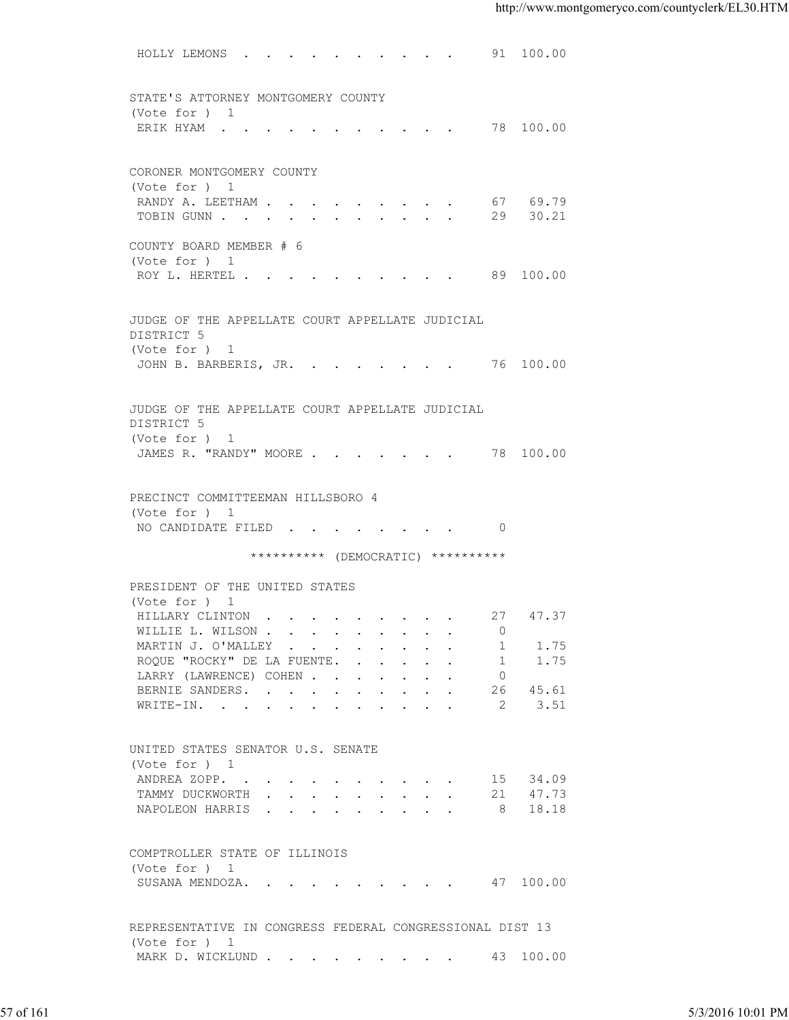| STATE'S ATTORNEY MONTGOMERY COUNTY<br>(Vote for ) 1<br>ERIK HYAM 78 100.00<br>CORONER MONTGOMERY COUNTY<br>(Vote for ) 1<br>RANDY A. LEETHAM 67 69.79<br>TOBIN GUNN 29 30.21<br>COUNTY BOARD MEMBER # 6<br>(Vote for ) 1<br>ROY L. HERTEL 89 100.00<br>JUDGE OF THE APPELLATE COURT APPELLATE JUDICIAL<br>DISTRICT 5<br>(Vote for ) 1<br>JOHN B. BARBERIS, JR. 76 100.00<br>JUDGE OF THE APPELLATE COURT APPELLATE JUDICIAL<br>DISTRICT 5<br>(Vote for ) 1<br>JAMES R. "RANDY" MOORE 78 100.00<br>PRECINCT COMMITTEEMAN HILLSBORO 4<br>(Vote for ) 1<br>NO CANDIDATE FILED 0<br>********** (DEMOCRATIC) **********<br>PRESIDENT OF THE UNITED STATES<br>(Vote for ) 1<br>HILLARY CLINTON 27 47.37<br>WILLIE L. WILSON<br>$\Omega$<br>MARTIN J. O'MALLEY<br>1.75<br>1<br>ROQUE "ROCKY" DE LA FUENTE.<br>1.75<br>$\sim$ 1<br>LARRY (LAWRENCE) COHEN<br>$\overline{0}$<br>45.61<br>BERNIE SANDERS.<br>26<br>3.51<br>WRITE-IN.<br>-2<br>UNITED STATES SENATOR U.S. SENATE<br>(Vote for ) 1<br>15 34.09<br>ANDREA ZOPP.<br>21 47.73<br>TAMMY DUCKWORTH<br>NAPOLEON HARRIS 8 18.18<br>COMPTROLLER STATE OF ILLINOIS<br>(Vote for ) 1<br>SUSANA MENDOZA. 47 100.00<br>REPRESENTATIVE IN CONGRESS FEDERAL CONGRESSIONAL DIST 13<br>(Vote for ) 1<br>MARK D. WICKLUND 43 100.00 | HOLLY LEMONS 91 100.00 |  |                   |
|------------------------------------------------------------------------------------------------------------------------------------------------------------------------------------------------------------------------------------------------------------------------------------------------------------------------------------------------------------------------------------------------------------------------------------------------------------------------------------------------------------------------------------------------------------------------------------------------------------------------------------------------------------------------------------------------------------------------------------------------------------------------------------------------------------------------------------------------------------------------------------------------------------------------------------------------------------------------------------------------------------------------------------------------------------------------------------------------------------------------------------------------------------------------------------------------------------------------------------------------------------------------|------------------------|--|-------------------|
|                                                                                                                                                                                                                                                                                                                                                                                                                                                                                                                                                                                                                                                                                                                                                                                                                                                                                                                                                                                                                                                                                                                                                                                                                                                                        |                        |  |                   |
|                                                                                                                                                                                                                                                                                                                                                                                                                                                                                                                                                                                                                                                                                                                                                                                                                                                                                                                                                                                                                                                                                                                                                                                                                                                                        |                        |  |                   |
|                                                                                                                                                                                                                                                                                                                                                                                                                                                                                                                                                                                                                                                                                                                                                                                                                                                                                                                                                                                                                                                                                                                                                                                                                                                                        |                        |  |                   |
|                                                                                                                                                                                                                                                                                                                                                                                                                                                                                                                                                                                                                                                                                                                                                                                                                                                                                                                                                                                                                                                                                                                                                                                                                                                                        |                        |  |                   |
|                                                                                                                                                                                                                                                                                                                                                                                                                                                                                                                                                                                                                                                                                                                                                                                                                                                                                                                                                                                                                                                                                                                                                                                                                                                                        |                        |  |                   |
|                                                                                                                                                                                                                                                                                                                                                                                                                                                                                                                                                                                                                                                                                                                                                                                                                                                                                                                                                                                                                                                                                                                                                                                                                                                                        |                        |  |                   |
|                                                                                                                                                                                                                                                                                                                                                                                                                                                                                                                                                                                                                                                                                                                                                                                                                                                                                                                                                                                                                                                                                                                                                                                                                                                                        |                        |  |                   |
|                                                                                                                                                                                                                                                                                                                                                                                                                                                                                                                                                                                                                                                                                                                                                                                                                                                                                                                                                                                                                                                                                                                                                                                                                                                                        |                        |  |                   |
|                                                                                                                                                                                                                                                                                                                                                                                                                                                                                                                                                                                                                                                                                                                                                                                                                                                                                                                                                                                                                                                                                                                                                                                                                                                                        |                        |  |                   |
|                                                                                                                                                                                                                                                                                                                                                                                                                                                                                                                                                                                                                                                                                                                                                                                                                                                                                                                                                                                                                                                                                                                                                                                                                                                                        |                        |  |                   |
|                                                                                                                                                                                                                                                                                                                                                                                                                                                                                                                                                                                                                                                                                                                                                                                                                                                                                                                                                                                                                                                                                                                                                                                                                                                                        |                        |  |                   |
|                                                                                                                                                                                                                                                                                                                                                                                                                                                                                                                                                                                                                                                                                                                                                                                                                                                                                                                                                                                                                                                                                                                                                                                                                                                                        |                        |  |                   |
|                                                                                                                                                                                                                                                                                                                                                                                                                                                                                                                                                                                                                                                                                                                                                                                                                                                                                                                                                                                                                                                                                                                                                                                                                                                                        |                        |  |                   |
|                                                                                                                                                                                                                                                                                                                                                                                                                                                                                                                                                                                                                                                                                                                                                                                                                                                                                                                                                                                                                                                                                                                                                                                                                                                                        |                        |  |                   |
|                                                                                                                                                                                                                                                                                                                                                                                                                                                                                                                                                                                                                                                                                                                                                                                                                                                                                                                                                                                                                                                                                                                                                                                                                                                                        |                        |  |                   |
|                                                                                                                                                                                                                                                                                                                                                                                                                                                                                                                                                                                                                                                                                                                                                                                                                                                                                                                                                                                                                                                                                                                                                                                                                                                                        |                        |  |                   |
|                                                                                                                                                                                                                                                                                                                                                                                                                                                                                                                                                                                                                                                                                                                                                                                                                                                                                                                                                                                                                                                                                                                                                                                                                                                                        |                        |  |                   |
|                                                                                                                                                                                                                                                                                                                                                                                                                                                                                                                                                                                                                                                                                                                                                                                                                                                                                                                                                                                                                                                                                                                                                                                                                                                                        |                        |  |                   |
|                                                                                                                                                                                                                                                                                                                                                                                                                                                                                                                                                                                                                                                                                                                                                                                                                                                                                                                                                                                                                                                                                                                                                                                                                                                                        |                        |  |                   |
|                                                                                                                                                                                                                                                                                                                                                                                                                                                                                                                                                                                                                                                                                                                                                                                                                                                                                                                                                                                                                                                                                                                                                                                                                                                                        |                        |  |                   |
|                                                                                                                                                                                                                                                                                                                                                                                                                                                                                                                                                                                                                                                                                                                                                                                                                                                                                                                                                                                                                                                                                                                                                                                                                                                                        |                        |  |                   |
|                                                                                                                                                                                                                                                                                                                                                                                                                                                                                                                                                                                                                                                                                                                                                                                                                                                                                                                                                                                                                                                                                                                                                                                                                                                                        |                        |  |                   |
|                                                                                                                                                                                                                                                                                                                                                                                                                                                                                                                                                                                                                                                                                                                                                                                                                                                                                                                                                                                                                                                                                                                                                                                                                                                                        |                        |  |                   |
|                                                                                                                                                                                                                                                                                                                                                                                                                                                                                                                                                                                                                                                                                                                                                                                                                                                                                                                                                                                                                                                                                                                                                                                                                                                                        |                        |  |                   |
|                                                                                                                                                                                                                                                                                                                                                                                                                                                                                                                                                                                                                                                                                                                                                                                                                                                                                                                                                                                                                                                                                                                                                                                                                                                                        |                        |  |                   |
|                                                                                                                                                                                                                                                                                                                                                                                                                                                                                                                                                                                                                                                                                                                                                                                                                                                                                                                                                                                                                                                                                                                                                                                                                                                                        |                        |  |                   |
|                                                                                                                                                                                                                                                                                                                                                                                                                                                                                                                                                                                                                                                                                                                                                                                                                                                                                                                                                                                                                                                                                                                                                                                                                                                                        |                        |  |                   |
|                                                                                                                                                                                                                                                                                                                                                                                                                                                                                                                                                                                                                                                                                                                                                                                                                                                                                                                                                                                                                                                                                                                                                                                                                                                                        |                        |  |                   |
|                                                                                                                                                                                                                                                                                                                                                                                                                                                                                                                                                                                                                                                                                                                                                                                                                                                                                                                                                                                                                                                                                                                                                                                                                                                                        |                        |  |                   |
|                                                                                                                                                                                                                                                                                                                                                                                                                                                                                                                                                                                                                                                                                                                                                                                                                                                                                                                                                                                                                                                                                                                                                                                                                                                                        |                        |  |                   |
|                                                                                                                                                                                                                                                                                                                                                                                                                                                                                                                                                                                                                                                                                                                                                                                                                                                                                                                                                                                                                                                                                                                                                                                                                                                                        |                        |  |                   |
|                                                                                                                                                                                                                                                                                                                                                                                                                                                                                                                                                                                                                                                                                                                                                                                                                                                                                                                                                                                                                                                                                                                                                                                                                                                                        |                        |  |                   |
|                                                                                                                                                                                                                                                                                                                                                                                                                                                                                                                                                                                                                                                                                                                                                                                                                                                                                                                                                                                                                                                                                                                                                                                                                                                                        |                        |  |                   |
|                                                                                                                                                                                                                                                                                                                                                                                                                                                                                                                                                                                                                                                                                                                                                                                                                                                                                                                                                                                                                                                                                                                                                                                                                                                                        |                        |  |                   |
|                                                                                                                                                                                                                                                                                                                                                                                                                                                                                                                                                                                                                                                                                                                                                                                                                                                                                                                                                                                                                                                                                                                                                                                                                                                                        |                        |  |                   |
|                                                                                                                                                                                                                                                                                                                                                                                                                                                                                                                                                                                                                                                                                                                                                                                                                                                                                                                                                                                                                                                                                                                                                                                                                                                                        |                        |  |                   |
|                                                                                                                                                                                                                                                                                                                                                                                                                                                                                                                                                                                                                                                                                                                                                                                                                                                                                                                                                                                                                                                                                                                                                                                                                                                                        |                        |  |                   |
|                                                                                                                                                                                                                                                                                                                                                                                                                                                                                                                                                                                                                                                                                                                                                                                                                                                                                                                                                                                                                                                                                                                                                                                                                                                                        |                        |  |                   |
|                                                                                                                                                                                                                                                                                                                                                                                                                                                                                                                                                                                                                                                                                                                                                                                                                                                                                                                                                                                                                                                                                                                                                                                                                                                                        |                        |  |                   |
|                                                                                                                                                                                                                                                                                                                                                                                                                                                                                                                                                                                                                                                                                                                                                                                                                                                                                                                                                                                                                                                                                                                                                                                                                                                                        |                        |  |                   |
|                                                                                                                                                                                                                                                                                                                                                                                                                                                                                                                                                                                                                                                                                                                                                                                                                                                                                                                                                                                                                                                                                                                                                                                                                                                                        |                        |  |                   |
|                                                                                                                                                                                                                                                                                                                                                                                                                                                                                                                                                                                                                                                                                                                                                                                                                                                                                                                                                                                                                                                                                                                                                                                                                                                                        |                        |  |                   |
|                                                                                                                                                                                                                                                                                                                                                                                                                                                                                                                                                                                                                                                                                                                                                                                                                                                                                                                                                                                                                                                                                                                                                                                                                                                                        |                        |  |                   |
|                                                                                                                                                                                                                                                                                                                                                                                                                                                                                                                                                                                                                                                                                                                                                                                                                                                                                                                                                                                                                                                                                                                                                                                                                                                                        |                        |  |                   |
|                                                                                                                                                                                                                                                                                                                                                                                                                                                                                                                                                                                                                                                                                                                                                                                                                                                                                                                                                                                                                                                                                                                                                                                                                                                                        |                        |  |                   |
|                                                                                                                                                                                                                                                                                                                                                                                                                                                                                                                                                                                                                                                                                                                                                                                                                                                                                                                                                                                                                                                                                                                                                                                                                                                                        |                        |  |                   |
|                                                                                                                                                                                                                                                                                                                                                                                                                                                                                                                                                                                                                                                                                                                                                                                                                                                                                                                                                                                                                                                                                                                                                                                                                                                                        |                        |  |                   |
|                                                                                                                                                                                                                                                                                                                                                                                                                                                                                                                                                                                                                                                                                                                                                                                                                                                                                                                                                                                                                                                                                                                                                                                                                                                                        |                        |  |                   |
| 57 of 161                                                                                                                                                                                                                                                                                                                                                                                                                                                                                                                                                                                                                                                                                                                                                                                                                                                                                                                                                                                                                                                                                                                                                                                                                                                              |                        |  | 5/3/2016 10:01 PM |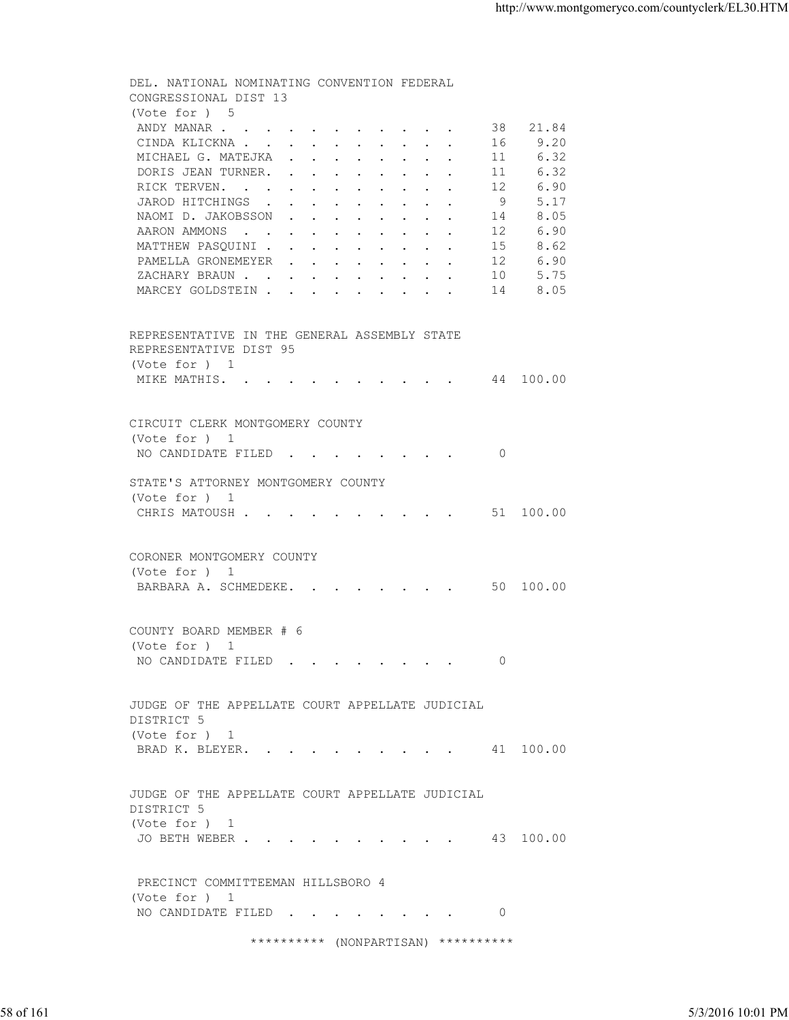DEL. NATIONAL NOMINATING CONVENTION FEDERAL CONGRESSIONAL DIST 13 (Vote for ) 5<br>ANDY MANAR . . 1 . . . . . . . . . . 38 21.84<br>. . . . . . . . . 16 9.20 CINDA KLICKNA . . . . . . . . . . 16 9.20<br>MICHAEL G. MATEJKA . . . . . . . . 11 6.32 MICHAEL G. MATEJKA . . . . . . . . 11 6.32<br>DORIS JEAN TURNER. . . . . . . . . 11 6.32 DORIS JEAN TURNER. . . . . . . . . 11 RICK TERVEN. . . . . . . . . . . 12 6.90 JAROD HITCHINGS . . . . . . . . . 9 5.17<br>NAOMI D. JAKOBSSON . . . . . . . . 14 8.05 NAOMI D. JAKOBSSON . . . . . . . . 14 8.05<br>AARON AMMONS . . . . . . . . . . 12 6.90 AARON AMMONS . . . . . . . . . . . MATTHEW PASQUINI . . . . . . . . . 15 8.62 PAMELLA GRONEMEYER . . . . . . . . 12 6.90 XACHARY BRAUN . . . . . . . . . . 10 5.75<br>MARCEY GOLDSTEIN . . . . . . . . . 14 8.05 MARCEY GOLDSTEIN . . . . . . . . . REPRESENTATIVE IN THE GENERAL ASSEMBLY STATE REPRESENTATIVE DIST 95 (Vote for ) 1 MIKE MATHIS. . . . . . . . . . . 44 100.00 CIRCUIT CLERK MONTGOMERY COUNTY (Vote for ) 1 NO CANDIDATE FILED . . . . . . . . 0 STATE'S ATTORNEY MONTGOMERY COUNTY (Vote for ) 1 CHRIS MATOUSH . . . . . . . . . . 51 100.00 CORONER MONTGOMERY COUNTY (Vote for ) 1 BARBARA A. SCHMEDEKE. . . . . . . . 50 100.00 COUNTY BOARD MEMBER # 6 (Vote for ) 1 NO CANDIDATE FILED . . . . . . . . 0 JUDGE OF THE APPELLATE COURT APPELLATE JUDICIAL DISTRICT 5 (Vote for ) 1 BRAD K. BLEYER. . . . . . . . . . 41 100.00 JUDGE OF THE APPELLATE COURT APPELLATE JUDICIAL DISTRICT 5 (Vote for ) 1 JO BETH WEBER . . . . . . . . . . 43 100.00 PRECINCT COMMITTEEMAN HILLSBORO 4 (Vote for ) 1 NO CANDIDATE FILED . . . . . . . . 0 \*\*\*\*\*\*\*\*\*\* (NONPARTISAN) \*\*\*\*\*\*\*\*\*\* JUDGE OF THE APPELLATE COURT APPELLATE JUDICIAL<br>
DISTRICT 5<br>
(Vote for ) 1<br>
BRAD K. BLEYER. . . . . . . . . . . . . . 41 100.00<br>
JUDGE OF THE APPELLATE COURT APPELLATE JUDICIAL<br>
1575TRICT of 1<br>
(Vote for ) 1<br>
JO BETH WEBER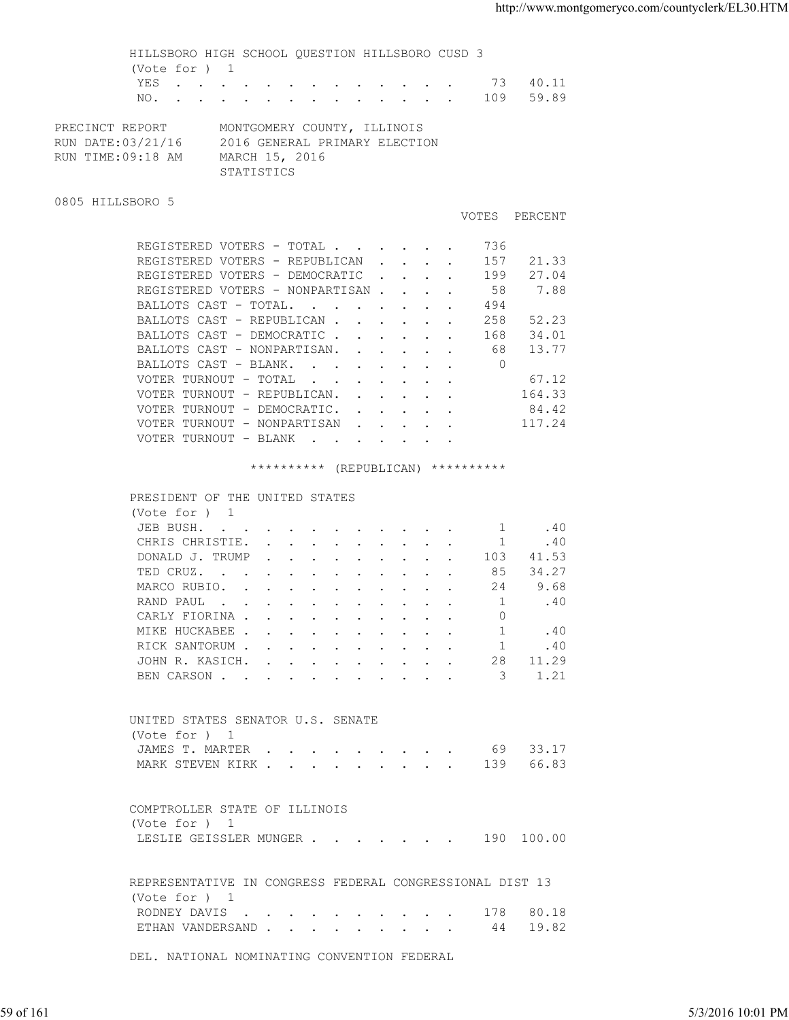|                                                           | YES 73 40.11<br>NO. 109 59.89                                                                                                                                                                                                                                                                                                                                                                               |  |
|-----------------------------------------------------------|-------------------------------------------------------------------------------------------------------------------------------------------------------------------------------------------------------------------------------------------------------------------------------------------------------------------------------------------------------------------------------------------------------------|--|
| PRECINCT REPORT<br>RUN DATE:03/21/16<br>RUN TIME:09:18 AM | MONTGOMERY COUNTY, ILLINOIS<br>2016 GENERAL PRIMARY ELECTION<br>MARCH 15, 2016<br>STATISTICS                                                                                                                                                                                                                                                                                                                |  |
| 0805 HILLSBORO 5                                          |                                                                                                                                                                                                                                                                                                                                                                                                             |  |
|                                                           | VOTES PERCENT                                                                                                                                                                                                                                                                                                                                                                                               |  |
|                                                           | REGISTERED VOTERS - TOTAL 736<br>REGISTERED VOTERS - REPUBLICAN 157<br>21.33<br>REGISTERED VOTERS - DEMOCRATIC 199<br>27.04<br>7.88<br>REGISTERED VOTERS - NONPARTISAN<br>58<br>BALLOTS CAST - TOTAL.<br>494<br>52.23<br>BALLOTS CAST - REPUBLICAN<br>258<br>BALLOTS CAST - DEMOCRATIC<br>168 34.01<br>13.77<br>BALLOTS CAST - NONPARTISAN. 68<br>BALLOTS CAST - BLANK. 0<br>VOTER TURNOUT - TOTAL<br>67.12 |  |
|                                                           | VOTER TURNOUT - REPUBLICAN. 164.33<br>VOTER TURNOUT - DEMOCRATIC. 84.42<br>VOTER TURNOUT - NONPARTISAN 117.24<br>VOTER TURNOUT - BLANK                                                                                                                                                                                                                                                                      |  |
|                                                           | ********** (REPUBLICAN) **********                                                                                                                                                                                                                                                                                                                                                                          |  |
| (Vote for ) 1<br>(Vote for ) 1                            | PRESIDENT OF THE UNITED STATES<br>JEB BUSH. 1 . 40<br>CHRIS CHRISTIE. 1<br>.40<br>DONALD J. TRUMP<br>103 41.53<br>TED CRUZ. 85 34.27<br>MARCO RUBIO. 24<br>9.68<br>$\mathbf{1}$<br>.40<br>RAND PAUL<br>CARLY FIORINA<br>0<br>MIKE HUCKABEE<br>.40<br>-1<br>RICK SANTORUM<br>.40<br>$\mathbf{1}$<br>JOHN R. KASICH.<br>28 11.29<br>1.21<br>BEN CARSON<br>3<br>UNITED STATES SENATOR U.S. SENATE              |  |
|                                                           | 69 33.17<br>JAMES T. MARTER<br>66.83<br>139<br>MARK STEVEN KIRK                                                                                                                                                                                                                                                                                                                                             |  |
| (Vote for ) 1                                             | COMPTROLLER STATE OF ILLINOIS<br>LESLIE GEISSLER MUNGER 190 100.00                                                                                                                                                                                                                                                                                                                                          |  |
| (Vote for ) 1                                             | REPRESENTATIVE IN CONGRESS FEDERAL CONGRESSIONAL DIST 13<br>80.18<br>RODNEY DAVIS<br>178<br>19.82<br>ETHAN VANDERSAND 44                                                                                                                                                                                                                                                                                    |  |
|                                                           | DEL. NATIONAL NOMINATING CONVENTION FEDERAL                                                                                                                                                                                                                                                                                                                                                                 |  |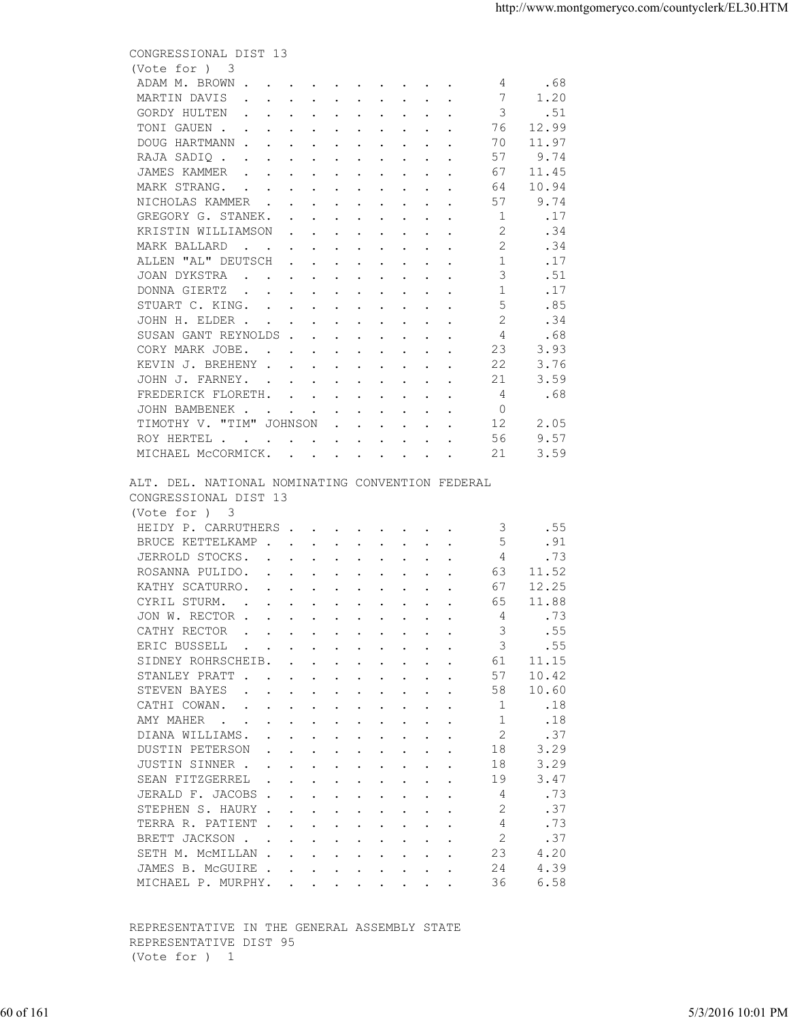|           | CONGRESSIONAL DIST 13<br>(Vote for ) 3<br>.68<br>ADAM M. BROWN<br>4 <sup>1</sup>                                        |                   |
|-----------|-------------------------------------------------------------------------------------------------------------------------|-------------------|
|           |                                                                                                                         |                   |
|           |                                                                                                                         |                   |
|           | MARTIN DAVIS<br>1.20<br>$\overline{7}$                                                                                  |                   |
|           | GORDY HULTEN<br>.51<br>$\overline{\mathbf{3}}$                                                                          |                   |
|           | TONI GAUEN<br>12.99<br>76                                                                                               |                   |
|           | 11.97<br>DOUG HARTMANN<br>70                                                                                            |                   |
|           | 9.74<br>RAJA SADIQ<br>57                                                                                                |                   |
|           | JAMES KAMMER<br>11.45<br>67                                                                                             |                   |
|           | MARK STRANG.<br>10.94<br>64                                                                                             |                   |
|           | NICHOLAS KAMMER<br>57<br>9.74<br>$\blacksquare$                                                                         |                   |
|           | GREGORY G. STANEK.<br>.17<br>2                                                                                          |                   |
|           | KRISTIN WILLIAMSON<br>.34<br>2<br>.34<br>MARK BALLARD                                                                   |                   |
|           | ALLEN "AL" DEUTSCH<br>$\sim$ 1<br>.17                                                                                   |                   |
|           | JOAN DYKSTRA<br>3<br>.51                                                                                                |                   |
|           | 1<br>.17<br>DONNA GIERTZ                                                                                                |                   |
|           | .85<br>STUART C. KING.                                                                                                  |                   |
|           | .34<br>JOHN H. ELDER                                                                                                    |                   |
|           | SUSAN GANT REYNOLDS<br>4<br>.68                                                                                         |                   |
|           | 23<br>CORY MARK JOBE.<br>3.93                                                                                           |                   |
|           | 22<br>KEVIN J. BREHENY<br>3.76                                                                                          |                   |
|           | JOHN J. FARNEY.<br>21<br>3.59                                                                                           |                   |
|           | FREDERICK FLORETH.<br>4<br>.68                                                                                          |                   |
|           | $\Omega$<br>JOHN BAMBENEK                                                                                               |                   |
|           | 12<br>TIMOTHY V. "TIM" JOHNSON<br>2.05                                                                                  |                   |
|           | 9.57<br>56<br>ROY HERTEL                                                                                                |                   |
|           | MICHAEL MCCORMICK.<br>3.59<br>-21                                                                                       |                   |
|           | ALT. DEL. NATIONAL NOMINATING CONVENTION FEDERAL<br>CONGRESSIONAL DIST 13<br>(Vote for ) 3                              |                   |
|           | HEIDY P. CARRUTHERS 3<br>.55                                                                                            |                   |
|           | -5<br>BRUCE KETTELKAMP<br>.91                                                                                           |                   |
|           | $\overline{4}$<br>JERROLD STOCKS.<br>.73                                                                                |                   |
|           | ROSANNA PULIDO.<br>63<br>11.52                                                                                          |                   |
|           | KATHY SCATURRO.<br>67<br>12.25                                                                                          |                   |
|           | CYRIL STURM.<br>11.88<br>65                                                                                             |                   |
|           | JON W. RECTOR<br>4<br>.73                                                                                               |                   |
|           | CATHY RECTOR<br>.55<br>3                                                                                                |                   |
|           | ERIC BUSSELL<br>.55<br>3                                                                                                |                   |
|           | SIDNEY ROHRSCHEIB.<br>11.15<br>61                                                                                       |                   |
|           | STANLEY PRATT<br>10.42<br>57                                                                                            |                   |
|           | STEVEN BAYES<br>58<br>10.60<br>$\mathbf{r}$ , and $\mathbf{r}$ , and $\mathbf{r}$ , and $\mathbf{r}$ , and $\mathbf{r}$ |                   |
|           | CATHI COWAN.<br>1<br>.18                                                                                                |                   |
|           | $\overline{1}$<br>.18<br>AMY MAHER                                                                                      |                   |
|           | 2<br>DIANA WILLIAMS.<br>.37                                                                                             |                   |
|           | 3.29<br>DUSTIN PETERSON<br>18<br>18<br>3.29                                                                             |                   |
|           | JUSTIN SINNER<br>3.47<br>SEAN FITZGERREL<br>19                                                                          |                   |
|           | JERALD F. JACOBS<br>.73<br>4                                                                                            |                   |
|           | .37<br>STEPHEN S. HAURY<br>2                                                                                            |                   |
|           | TERRA R. PATIENT<br>.73<br>4                                                                                            |                   |
|           | 2<br>.37<br>BRETT JACKSON                                                                                               |                   |
|           | 23<br>4.20<br>SETH M. MCMILLAN                                                                                          |                   |
|           | JAMES B. MCGUIRE<br>24<br>4.39                                                                                          |                   |
|           | 36<br>6.58<br>MICHAEL P. MURPHY.                                                                                        |                   |
|           |                                                                                                                         |                   |
|           | REPRESENTATIVE IN THE GENERAL ASSEMBLY STATE<br>REPRESENTATIVE DIST 95<br>(Vote for ) 1                                 |                   |
|           |                                                                                                                         |                   |
| 60 of 161 |                                                                                                                         | 5/3/2016 10:01 PM |
|           |                                                                                                                         |                   |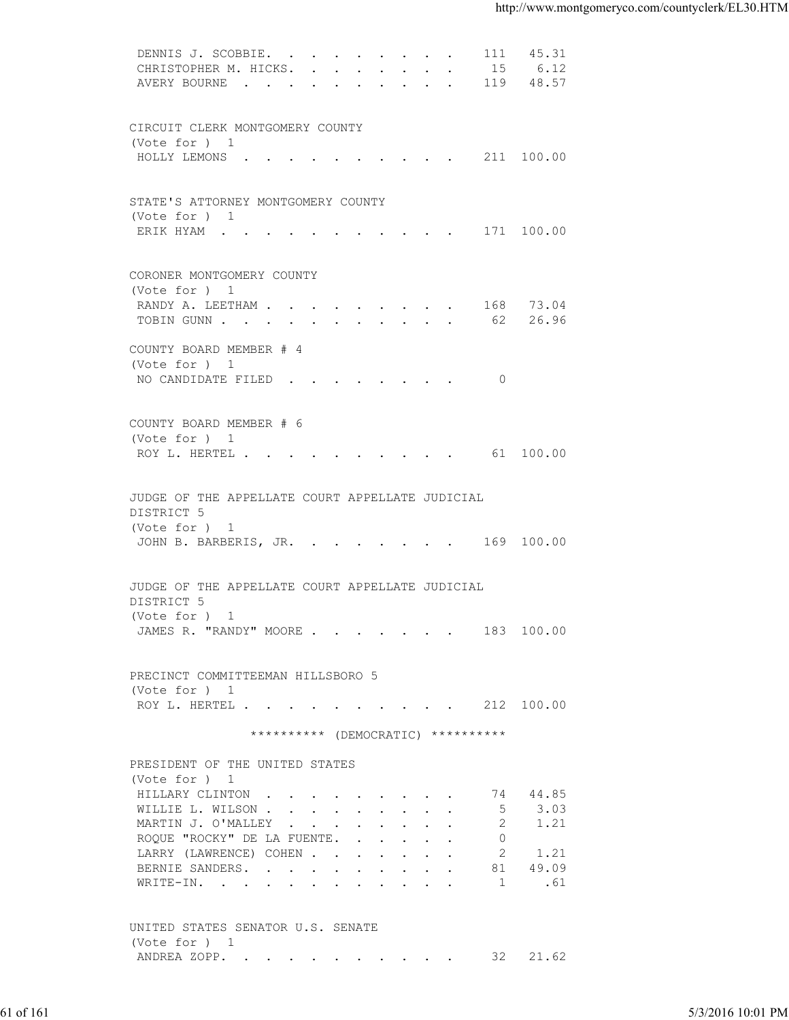| 15 6.12<br>CHRISTOPHER M. HICKS.<br>AVERY BOURNE 119 48.57<br>CIRCUIT CLERK MONTGOMERY COUNTY<br>(Vote for ) 1<br>HOLLY LEMONS 211 100.00<br>STATE'S ATTORNEY MONTGOMERY COUNTY<br>(Vote for ) 1<br>ERIK HYAM 171 100.00<br>CORONER MONTGOMERY COUNTY<br>(Vote for ) 1<br>RANDY A. LEETHAM 168 73.04<br>TOBIN GUNN 62 26.96<br>COUNTY BOARD MEMBER # 4<br>(Vote for ) 1<br>NO CANDIDATE FILED<br>$\overline{0}$<br>COUNTY BOARD MEMBER # 6<br>(Vote for ) 1<br>ROY L. HERTEL 61 100.00<br>JUDGE OF THE APPELLATE COURT APPELLATE JUDICIAL<br>DISTRICT 5<br>(Vote for ) 1<br>JOHN B. BARBERIS, JR. 169 100.00<br>JUDGE OF THE APPELLATE COURT APPELLATE JUDICIAL<br>DISTRICT 5<br>(Vote for ) 1<br>JAMES R. "RANDY" MOORE 183 100.00<br>PRECINCT COMMITTEEMAN HILLSBORO 5<br>(Vote for ) 1<br>ROY L. HERTEL 212 100.00<br>********** (DEMOCRATIC) **********<br>PRESIDENT OF THE UNITED STATES<br>(Vote for ) 1<br>74 44.85<br>HILLARY CLINTON<br>3.03<br>WILLIE L. WILSON<br>5<br>2<br>MARTIN J. O'MALLEY<br>1.21<br>ROQUE "ROCKY" DE LA FUENTE.<br>$\Omega$<br>2<br>LARRY (LAWRENCE) COHEN<br>1.21<br>81 49.09<br>BERNIE SANDERS.<br>$\overline{1}$<br>.61<br>WRITE-IN.<br>UNITED STATES SENATOR U.S. SENATE<br>(Vote for ) 1<br>ANDREA ZOPP. 32 21.62<br>5/3/2016 10:01 PM<br>61 of 161 |  |
|-------------------------------------------------------------------------------------------------------------------------------------------------------------------------------------------------------------------------------------------------------------------------------------------------------------------------------------------------------------------------------------------------------------------------------------------------------------------------------------------------------------------------------------------------------------------------------------------------------------------------------------------------------------------------------------------------------------------------------------------------------------------------------------------------------------------------------------------------------------------------------------------------------------------------------------------------------------------------------------------------------------------------------------------------------------------------------------------------------------------------------------------------------------------------------------------------------------------------------------------------------------------------------------------|--|
|                                                                                                                                                                                                                                                                                                                                                                                                                                                                                                                                                                                                                                                                                                                                                                                                                                                                                                                                                                                                                                                                                                                                                                                                                                                                                           |  |
|                                                                                                                                                                                                                                                                                                                                                                                                                                                                                                                                                                                                                                                                                                                                                                                                                                                                                                                                                                                                                                                                                                                                                                                                                                                                                           |  |
|                                                                                                                                                                                                                                                                                                                                                                                                                                                                                                                                                                                                                                                                                                                                                                                                                                                                                                                                                                                                                                                                                                                                                                                                                                                                                           |  |
|                                                                                                                                                                                                                                                                                                                                                                                                                                                                                                                                                                                                                                                                                                                                                                                                                                                                                                                                                                                                                                                                                                                                                                                                                                                                                           |  |
|                                                                                                                                                                                                                                                                                                                                                                                                                                                                                                                                                                                                                                                                                                                                                                                                                                                                                                                                                                                                                                                                                                                                                                                                                                                                                           |  |
|                                                                                                                                                                                                                                                                                                                                                                                                                                                                                                                                                                                                                                                                                                                                                                                                                                                                                                                                                                                                                                                                                                                                                                                                                                                                                           |  |
|                                                                                                                                                                                                                                                                                                                                                                                                                                                                                                                                                                                                                                                                                                                                                                                                                                                                                                                                                                                                                                                                                                                                                                                                                                                                                           |  |
|                                                                                                                                                                                                                                                                                                                                                                                                                                                                                                                                                                                                                                                                                                                                                                                                                                                                                                                                                                                                                                                                                                                                                                                                                                                                                           |  |
|                                                                                                                                                                                                                                                                                                                                                                                                                                                                                                                                                                                                                                                                                                                                                                                                                                                                                                                                                                                                                                                                                                                                                                                                                                                                                           |  |
|                                                                                                                                                                                                                                                                                                                                                                                                                                                                                                                                                                                                                                                                                                                                                                                                                                                                                                                                                                                                                                                                                                                                                                                                                                                                                           |  |
|                                                                                                                                                                                                                                                                                                                                                                                                                                                                                                                                                                                                                                                                                                                                                                                                                                                                                                                                                                                                                                                                                                                                                                                                                                                                                           |  |
|                                                                                                                                                                                                                                                                                                                                                                                                                                                                                                                                                                                                                                                                                                                                                                                                                                                                                                                                                                                                                                                                                                                                                                                                                                                                                           |  |
|                                                                                                                                                                                                                                                                                                                                                                                                                                                                                                                                                                                                                                                                                                                                                                                                                                                                                                                                                                                                                                                                                                                                                                                                                                                                                           |  |
|                                                                                                                                                                                                                                                                                                                                                                                                                                                                                                                                                                                                                                                                                                                                                                                                                                                                                                                                                                                                                                                                                                                                                                                                                                                                                           |  |
|                                                                                                                                                                                                                                                                                                                                                                                                                                                                                                                                                                                                                                                                                                                                                                                                                                                                                                                                                                                                                                                                                                                                                                                                                                                                                           |  |
|                                                                                                                                                                                                                                                                                                                                                                                                                                                                                                                                                                                                                                                                                                                                                                                                                                                                                                                                                                                                                                                                                                                                                                                                                                                                                           |  |
|                                                                                                                                                                                                                                                                                                                                                                                                                                                                                                                                                                                                                                                                                                                                                                                                                                                                                                                                                                                                                                                                                                                                                                                                                                                                                           |  |
|                                                                                                                                                                                                                                                                                                                                                                                                                                                                                                                                                                                                                                                                                                                                                                                                                                                                                                                                                                                                                                                                                                                                                                                                                                                                                           |  |
|                                                                                                                                                                                                                                                                                                                                                                                                                                                                                                                                                                                                                                                                                                                                                                                                                                                                                                                                                                                                                                                                                                                                                                                                                                                                                           |  |
|                                                                                                                                                                                                                                                                                                                                                                                                                                                                                                                                                                                                                                                                                                                                                                                                                                                                                                                                                                                                                                                                                                                                                                                                                                                                                           |  |
|                                                                                                                                                                                                                                                                                                                                                                                                                                                                                                                                                                                                                                                                                                                                                                                                                                                                                                                                                                                                                                                                                                                                                                                                                                                                                           |  |
|                                                                                                                                                                                                                                                                                                                                                                                                                                                                                                                                                                                                                                                                                                                                                                                                                                                                                                                                                                                                                                                                                                                                                                                                                                                                                           |  |
|                                                                                                                                                                                                                                                                                                                                                                                                                                                                                                                                                                                                                                                                                                                                                                                                                                                                                                                                                                                                                                                                                                                                                                                                                                                                                           |  |
|                                                                                                                                                                                                                                                                                                                                                                                                                                                                                                                                                                                                                                                                                                                                                                                                                                                                                                                                                                                                                                                                                                                                                                                                                                                                                           |  |
|                                                                                                                                                                                                                                                                                                                                                                                                                                                                                                                                                                                                                                                                                                                                                                                                                                                                                                                                                                                                                                                                                                                                                                                                                                                                                           |  |
|                                                                                                                                                                                                                                                                                                                                                                                                                                                                                                                                                                                                                                                                                                                                                                                                                                                                                                                                                                                                                                                                                                                                                                                                                                                                                           |  |
|                                                                                                                                                                                                                                                                                                                                                                                                                                                                                                                                                                                                                                                                                                                                                                                                                                                                                                                                                                                                                                                                                                                                                                                                                                                                                           |  |
|                                                                                                                                                                                                                                                                                                                                                                                                                                                                                                                                                                                                                                                                                                                                                                                                                                                                                                                                                                                                                                                                                                                                                                                                                                                                                           |  |
|                                                                                                                                                                                                                                                                                                                                                                                                                                                                                                                                                                                                                                                                                                                                                                                                                                                                                                                                                                                                                                                                                                                                                                                                                                                                                           |  |
|                                                                                                                                                                                                                                                                                                                                                                                                                                                                                                                                                                                                                                                                                                                                                                                                                                                                                                                                                                                                                                                                                                                                                                                                                                                                                           |  |
|                                                                                                                                                                                                                                                                                                                                                                                                                                                                                                                                                                                                                                                                                                                                                                                                                                                                                                                                                                                                                                                                                                                                                                                                                                                                                           |  |
|                                                                                                                                                                                                                                                                                                                                                                                                                                                                                                                                                                                                                                                                                                                                                                                                                                                                                                                                                                                                                                                                                                                                                                                                                                                                                           |  |
|                                                                                                                                                                                                                                                                                                                                                                                                                                                                                                                                                                                                                                                                                                                                                                                                                                                                                                                                                                                                                                                                                                                                                                                                                                                                                           |  |
|                                                                                                                                                                                                                                                                                                                                                                                                                                                                                                                                                                                                                                                                                                                                                                                                                                                                                                                                                                                                                                                                                                                                                                                                                                                                                           |  |
|                                                                                                                                                                                                                                                                                                                                                                                                                                                                                                                                                                                                                                                                                                                                                                                                                                                                                                                                                                                                                                                                                                                                                                                                                                                                                           |  |
|                                                                                                                                                                                                                                                                                                                                                                                                                                                                                                                                                                                                                                                                                                                                                                                                                                                                                                                                                                                                                                                                                                                                                                                                                                                                                           |  |
|                                                                                                                                                                                                                                                                                                                                                                                                                                                                                                                                                                                                                                                                                                                                                                                                                                                                                                                                                                                                                                                                                                                                                                                                                                                                                           |  |
|                                                                                                                                                                                                                                                                                                                                                                                                                                                                                                                                                                                                                                                                                                                                                                                                                                                                                                                                                                                                                                                                                                                                                                                                                                                                                           |  |
|                                                                                                                                                                                                                                                                                                                                                                                                                                                                                                                                                                                                                                                                                                                                                                                                                                                                                                                                                                                                                                                                                                                                                                                                                                                                                           |  |
|                                                                                                                                                                                                                                                                                                                                                                                                                                                                                                                                                                                                                                                                                                                                                                                                                                                                                                                                                                                                                                                                                                                                                                                                                                                                                           |  |
|                                                                                                                                                                                                                                                                                                                                                                                                                                                                                                                                                                                                                                                                                                                                                                                                                                                                                                                                                                                                                                                                                                                                                                                                                                                                                           |  |
|                                                                                                                                                                                                                                                                                                                                                                                                                                                                                                                                                                                                                                                                                                                                                                                                                                                                                                                                                                                                                                                                                                                                                                                                                                                                                           |  |
|                                                                                                                                                                                                                                                                                                                                                                                                                                                                                                                                                                                                                                                                                                                                                                                                                                                                                                                                                                                                                                                                                                                                                                                                                                                                                           |  |
|                                                                                                                                                                                                                                                                                                                                                                                                                                                                                                                                                                                                                                                                                                                                                                                                                                                                                                                                                                                                                                                                                                                                                                                                                                                                                           |  |
|                                                                                                                                                                                                                                                                                                                                                                                                                                                                                                                                                                                                                                                                                                                                                                                                                                                                                                                                                                                                                                                                                                                                                                                                                                                                                           |  |
|                                                                                                                                                                                                                                                                                                                                                                                                                                                                                                                                                                                                                                                                                                                                                                                                                                                                                                                                                                                                                                                                                                                                                                                                                                                                                           |  |
|                                                                                                                                                                                                                                                                                                                                                                                                                                                                                                                                                                                                                                                                                                                                                                                                                                                                                                                                                                                                                                                                                                                                                                                                                                                                                           |  |
|                                                                                                                                                                                                                                                                                                                                                                                                                                                                                                                                                                                                                                                                                                                                                                                                                                                                                                                                                                                                                                                                                                                                                                                                                                                                                           |  |
|                                                                                                                                                                                                                                                                                                                                                                                                                                                                                                                                                                                                                                                                                                                                                                                                                                                                                                                                                                                                                                                                                                                                                                                                                                                                                           |  |
|                                                                                                                                                                                                                                                                                                                                                                                                                                                                                                                                                                                                                                                                                                                                                                                                                                                                                                                                                                                                                                                                                                                                                                                                                                                                                           |  |
|                                                                                                                                                                                                                                                                                                                                                                                                                                                                                                                                                                                                                                                                                                                                                                                                                                                                                                                                                                                                                                                                                                                                                                                                                                                                                           |  |
|                                                                                                                                                                                                                                                                                                                                                                                                                                                                                                                                                                                                                                                                                                                                                                                                                                                                                                                                                                                                                                                                                                                                                                                                                                                                                           |  |
|                                                                                                                                                                                                                                                                                                                                                                                                                                                                                                                                                                                                                                                                                                                                                                                                                                                                                                                                                                                                                                                                                                                                                                                                                                                                                           |  |
|                                                                                                                                                                                                                                                                                                                                                                                                                                                                                                                                                                                                                                                                                                                                                                                                                                                                                                                                                                                                                                                                                                                                                                                                                                                                                           |  |
|                                                                                                                                                                                                                                                                                                                                                                                                                                                                                                                                                                                                                                                                                                                                                                                                                                                                                                                                                                                                                                                                                                                                                                                                                                                                                           |  |
|                                                                                                                                                                                                                                                                                                                                                                                                                                                                                                                                                                                                                                                                                                                                                                                                                                                                                                                                                                                                                                                                                                                                                                                                                                                                                           |  |
|                                                                                                                                                                                                                                                                                                                                                                                                                                                                                                                                                                                                                                                                                                                                                                                                                                                                                                                                                                                                                                                                                                                                                                                                                                                                                           |  |
|                                                                                                                                                                                                                                                                                                                                                                                                                                                                                                                                                                                                                                                                                                                                                                                                                                                                                                                                                                                                                                                                                                                                                                                                                                                                                           |  |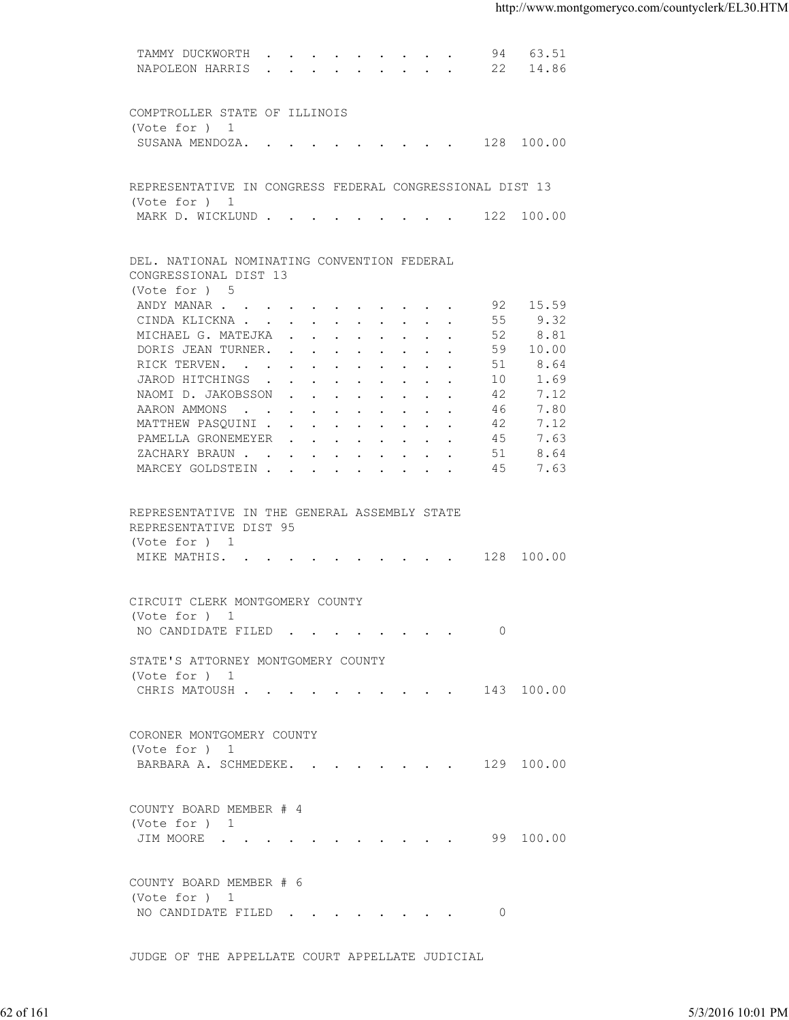| NAPOLEON HARRIS 22 14.86<br>COMPTROLLER STATE OF ILLINOIS<br>(Vote for ) 1<br>SUSANA MENDOZA. 128 100.00<br>REPRESENTATIVE IN CONGRESS FEDERAL CONGRESSIONAL DIST 13<br>(Vote for ) 1<br>MARK D. WICKLUND 122 100.00<br>DEL. NATIONAL NOMINATING CONVENTION FEDERAL<br>CONGRESSIONAL DIST 13<br>(Vote for ) 5<br>92 15.59<br>ANDY MANAR<br>9.32<br>CINDA KLICKNA<br>55<br>8.81<br>MICHAEL G. MATEJKA<br>52<br>DORIS JEAN TURNER.<br>59<br>10.00<br>8.64<br>RICK TERVEN.<br>51<br>JAROD HITCHINGS<br>1.69<br>10<br>NAOMI D. JAKOBSSON<br>7.12<br>42<br>46<br>7.80<br>AARON AMMONS<br>7.12<br>MATTHEW PASQUINI<br>42<br>45<br>7.63<br>PAMELLA GRONEMEYER<br>51<br>8.64<br>ZACHARY BRAUN.<br>MARCEY GOLDSTEIN<br>45<br>7.63<br>REPRESENTATIVE IN THE GENERAL ASSEMBLY STATE<br>REPRESENTATIVE DIST 95<br>(Vote for ) 1<br>MIKE MATHIS. 128 100.00<br>CIRCUIT CLERK MONTGOMERY COUNTY<br>(Vote for ) 1<br>NO CANDIDATE FILED 0<br>STATE'S ATTORNEY MONTGOMERY COUNTY<br>(Vote for ) 1<br>CHRIS MATOUSH 143 100.00<br>CORONER MONTGOMERY COUNTY<br>(Vote for ) 1<br>BARBARA A. SCHMEDEKE. 129 100.00<br>COUNTY BOARD MEMBER # 4<br>(Vote for ) 1<br>JIM MOORE 99 100.00<br>COUNTY BOARD MEMBER # 6<br>(Vote for ) 1<br>NO CANDIDATE FILED 0<br>JUDGE OF THE APPELLATE COURT APPELLATE JUDICIAL<br>5/3/2016 10:01 PM |  | 62 of 161 |  | TAMMY DUCKWORTH 94 63.51 |  |
|----------------------------------------------------------------------------------------------------------------------------------------------------------------------------------------------------------------------------------------------------------------------------------------------------------------------------------------------------------------------------------------------------------------------------------------------------------------------------------------------------------------------------------------------------------------------------------------------------------------------------------------------------------------------------------------------------------------------------------------------------------------------------------------------------------------------------------------------------------------------------------------------------------------------------------------------------------------------------------------------------------------------------------------------------------------------------------------------------------------------------------------------------------------------------------------------------------------------------------------------------------------------------------------------------------------|--|-----------|--|--------------------------|--|
|                                                                                                                                                                                                                                                                                                                                                                                                                                                                                                                                                                                                                                                                                                                                                                                                                                                                                                                                                                                                                                                                                                                                                                                                                                                                                                                |  |           |  |                          |  |
|                                                                                                                                                                                                                                                                                                                                                                                                                                                                                                                                                                                                                                                                                                                                                                                                                                                                                                                                                                                                                                                                                                                                                                                                                                                                                                                |  |           |  |                          |  |
|                                                                                                                                                                                                                                                                                                                                                                                                                                                                                                                                                                                                                                                                                                                                                                                                                                                                                                                                                                                                                                                                                                                                                                                                                                                                                                                |  |           |  |                          |  |
|                                                                                                                                                                                                                                                                                                                                                                                                                                                                                                                                                                                                                                                                                                                                                                                                                                                                                                                                                                                                                                                                                                                                                                                                                                                                                                                |  |           |  |                          |  |
|                                                                                                                                                                                                                                                                                                                                                                                                                                                                                                                                                                                                                                                                                                                                                                                                                                                                                                                                                                                                                                                                                                                                                                                                                                                                                                                |  |           |  |                          |  |
|                                                                                                                                                                                                                                                                                                                                                                                                                                                                                                                                                                                                                                                                                                                                                                                                                                                                                                                                                                                                                                                                                                                                                                                                                                                                                                                |  |           |  |                          |  |
|                                                                                                                                                                                                                                                                                                                                                                                                                                                                                                                                                                                                                                                                                                                                                                                                                                                                                                                                                                                                                                                                                                                                                                                                                                                                                                                |  |           |  |                          |  |
|                                                                                                                                                                                                                                                                                                                                                                                                                                                                                                                                                                                                                                                                                                                                                                                                                                                                                                                                                                                                                                                                                                                                                                                                                                                                                                                |  |           |  |                          |  |
|                                                                                                                                                                                                                                                                                                                                                                                                                                                                                                                                                                                                                                                                                                                                                                                                                                                                                                                                                                                                                                                                                                                                                                                                                                                                                                                |  |           |  |                          |  |
|                                                                                                                                                                                                                                                                                                                                                                                                                                                                                                                                                                                                                                                                                                                                                                                                                                                                                                                                                                                                                                                                                                                                                                                                                                                                                                                |  |           |  |                          |  |
|                                                                                                                                                                                                                                                                                                                                                                                                                                                                                                                                                                                                                                                                                                                                                                                                                                                                                                                                                                                                                                                                                                                                                                                                                                                                                                                |  |           |  |                          |  |
|                                                                                                                                                                                                                                                                                                                                                                                                                                                                                                                                                                                                                                                                                                                                                                                                                                                                                                                                                                                                                                                                                                                                                                                                                                                                                                                |  |           |  |                          |  |
|                                                                                                                                                                                                                                                                                                                                                                                                                                                                                                                                                                                                                                                                                                                                                                                                                                                                                                                                                                                                                                                                                                                                                                                                                                                                                                                |  |           |  |                          |  |
|                                                                                                                                                                                                                                                                                                                                                                                                                                                                                                                                                                                                                                                                                                                                                                                                                                                                                                                                                                                                                                                                                                                                                                                                                                                                                                                |  |           |  |                          |  |
|                                                                                                                                                                                                                                                                                                                                                                                                                                                                                                                                                                                                                                                                                                                                                                                                                                                                                                                                                                                                                                                                                                                                                                                                                                                                                                                |  |           |  |                          |  |
|                                                                                                                                                                                                                                                                                                                                                                                                                                                                                                                                                                                                                                                                                                                                                                                                                                                                                                                                                                                                                                                                                                                                                                                                                                                                                                                |  |           |  |                          |  |
|                                                                                                                                                                                                                                                                                                                                                                                                                                                                                                                                                                                                                                                                                                                                                                                                                                                                                                                                                                                                                                                                                                                                                                                                                                                                                                                |  |           |  |                          |  |
|                                                                                                                                                                                                                                                                                                                                                                                                                                                                                                                                                                                                                                                                                                                                                                                                                                                                                                                                                                                                                                                                                                                                                                                                                                                                                                                |  |           |  |                          |  |
|                                                                                                                                                                                                                                                                                                                                                                                                                                                                                                                                                                                                                                                                                                                                                                                                                                                                                                                                                                                                                                                                                                                                                                                                                                                                                                                |  |           |  |                          |  |
|                                                                                                                                                                                                                                                                                                                                                                                                                                                                                                                                                                                                                                                                                                                                                                                                                                                                                                                                                                                                                                                                                                                                                                                                                                                                                                                |  |           |  |                          |  |
|                                                                                                                                                                                                                                                                                                                                                                                                                                                                                                                                                                                                                                                                                                                                                                                                                                                                                                                                                                                                                                                                                                                                                                                                                                                                                                                |  |           |  |                          |  |
|                                                                                                                                                                                                                                                                                                                                                                                                                                                                                                                                                                                                                                                                                                                                                                                                                                                                                                                                                                                                                                                                                                                                                                                                                                                                                                                |  |           |  |                          |  |
|                                                                                                                                                                                                                                                                                                                                                                                                                                                                                                                                                                                                                                                                                                                                                                                                                                                                                                                                                                                                                                                                                                                                                                                                                                                                                                                |  |           |  |                          |  |
|                                                                                                                                                                                                                                                                                                                                                                                                                                                                                                                                                                                                                                                                                                                                                                                                                                                                                                                                                                                                                                                                                                                                                                                                                                                                                                                |  |           |  |                          |  |
|                                                                                                                                                                                                                                                                                                                                                                                                                                                                                                                                                                                                                                                                                                                                                                                                                                                                                                                                                                                                                                                                                                                                                                                                                                                                                                                |  |           |  |                          |  |
|                                                                                                                                                                                                                                                                                                                                                                                                                                                                                                                                                                                                                                                                                                                                                                                                                                                                                                                                                                                                                                                                                                                                                                                                                                                                                                                |  |           |  |                          |  |
|                                                                                                                                                                                                                                                                                                                                                                                                                                                                                                                                                                                                                                                                                                                                                                                                                                                                                                                                                                                                                                                                                                                                                                                                                                                                                                                |  |           |  |                          |  |
|                                                                                                                                                                                                                                                                                                                                                                                                                                                                                                                                                                                                                                                                                                                                                                                                                                                                                                                                                                                                                                                                                                                                                                                                                                                                                                                |  |           |  |                          |  |
|                                                                                                                                                                                                                                                                                                                                                                                                                                                                                                                                                                                                                                                                                                                                                                                                                                                                                                                                                                                                                                                                                                                                                                                                                                                                                                                |  |           |  |                          |  |
|                                                                                                                                                                                                                                                                                                                                                                                                                                                                                                                                                                                                                                                                                                                                                                                                                                                                                                                                                                                                                                                                                                                                                                                                                                                                                                                |  |           |  |                          |  |
|                                                                                                                                                                                                                                                                                                                                                                                                                                                                                                                                                                                                                                                                                                                                                                                                                                                                                                                                                                                                                                                                                                                                                                                                                                                                                                                |  |           |  |                          |  |
|                                                                                                                                                                                                                                                                                                                                                                                                                                                                                                                                                                                                                                                                                                                                                                                                                                                                                                                                                                                                                                                                                                                                                                                                                                                                                                                |  |           |  |                          |  |
|                                                                                                                                                                                                                                                                                                                                                                                                                                                                                                                                                                                                                                                                                                                                                                                                                                                                                                                                                                                                                                                                                                                                                                                                                                                                                                                |  |           |  |                          |  |
|                                                                                                                                                                                                                                                                                                                                                                                                                                                                                                                                                                                                                                                                                                                                                                                                                                                                                                                                                                                                                                                                                                                                                                                                                                                                                                                |  |           |  |                          |  |
|                                                                                                                                                                                                                                                                                                                                                                                                                                                                                                                                                                                                                                                                                                                                                                                                                                                                                                                                                                                                                                                                                                                                                                                                                                                                                                                |  |           |  |                          |  |
|                                                                                                                                                                                                                                                                                                                                                                                                                                                                                                                                                                                                                                                                                                                                                                                                                                                                                                                                                                                                                                                                                                                                                                                                                                                                                                                |  |           |  |                          |  |
|                                                                                                                                                                                                                                                                                                                                                                                                                                                                                                                                                                                                                                                                                                                                                                                                                                                                                                                                                                                                                                                                                                                                                                                                                                                                                                                |  |           |  |                          |  |
|                                                                                                                                                                                                                                                                                                                                                                                                                                                                                                                                                                                                                                                                                                                                                                                                                                                                                                                                                                                                                                                                                                                                                                                                                                                                                                                |  |           |  |                          |  |
|                                                                                                                                                                                                                                                                                                                                                                                                                                                                                                                                                                                                                                                                                                                                                                                                                                                                                                                                                                                                                                                                                                                                                                                                                                                                                                                |  |           |  |                          |  |
|                                                                                                                                                                                                                                                                                                                                                                                                                                                                                                                                                                                                                                                                                                                                                                                                                                                                                                                                                                                                                                                                                                                                                                                                                                                                                                                |  |           |  |                          |  |
|                                                                                                                                                                                                                                                                                                                                                                                                                                                                                                                                                                                                                                                                                                                                                                                                                                                                                                                                                                                                                                                                                                                                                                                                                                                                                                                |  |           |  |                          |  |
|                                                                                                                                                                                                                                                                                                                                                                                                                                                                                                                                                                                                                                                                                                                                                                                                                                                                                                                                                                                                                                                                                                                                                                                                                                                                                                                |  |           |  |                          |  |
|                                                                                                                                                                                                                                                                                                                                                                                                                                                                                                                                                                                                                                                                                                                                                                                                                                                                                                                                                                                                                                                                                                                                                                                                                                                                                                                |  |           |  |                          |  |
|                                                                                                                                                                                                                                                                                                                                                                                                                                                                                                                                                                                                                                                                                                                                                                                                                                                                                                                                                                                                                                                                                                                                                                                                                                                                                                                |  |           |  |                          |  |
|                                                                                                                                                                                                                                                                                                                                                                                                                                                                                                                                                                                                                                                                                                                                                                                                                                                                                                                                                                                                                                                                                                                                                                                                                                                                                                                |  |           |  |                          |  |
|                                                                                                                                                                                                                                                                                                                                                                                                                                                                                                                                                                                                                                                                                                                                                                                                                                                                                                                                                                                                                                                                                                                                                                                                                                                                                                                |  |           |  |                          |  |
|                                                                                                                                                                                                                                                                                                                                                                                                                                                                                                                                                                                                                                                                                                                                                                                                                                                                                                                                                                                                                                                                                                                                                                                                                                                                                                                |  |           |  |                          |  |
|                                                                                                                                                                                                                                                                                                                                                                                                                                                                                                                                                                                                                                                                                                                                                                                                                                                                                                                                                                                                                                                                                                                                                                                                                                                                                                                |  |           |  |                          |  |
|                                                                                                                                                                                                                                                                                                                                                                                                                                                                                                                                                                                                                                                                                                                                                                                                                                                                                                                                                                                                                                                                                                                                                                                                                                                                                                                |  |           |  |                          |  |
|                                                                                                                                                                                                                                                                                                                                                                                                                                                                                                                                                                                                                                                                                                                                                                                                                                                                                                                                                                                                                                                                                                                                                                                                                                                                                                                |  |           |  |                          |  |
|                                                                                                                                                                                                                                                                                                                                                                                                                                                                                                                                                                                                                                                                                                                                                                                                                                                                                                                                                                                                                                                                                                                                                                                                                                                                                                                |  |           |  |                          |  |
|                                                                                                                                                                                                                                                                                                                                                                                                                                                                                                                                                                                                                                                                                                                                                                                                                                                                                                                                                                                                                                                                                                                                                                                                                                                                                                                |  |           |  |                          |  |
|                                                                                                                                                                                                                                                                                                                                                                                                                                                                                                                                                                                                                                                                                                                                                                                                                                                                                                                                                                                                                                                                                                                                                                                                                                                                                                                |  |           |  |                          |  |
|                                                                                                                                                                                                                                                                                                                                                                                                                                                                                                                                                                                                                                                                                                                                                                                                                                                                                                                                                                                                                                                                                                                                                                                                                                                                                                                |  |           |  |                          |  |
|                                                                                                                                                                                                                                                                                                                                                                                                                                                                                                                                                                                                                                                                                                                                                                                                                                                                                                                                                                                                                                                                                                                                                                                                                                                                                                                |  |           |  |                          |  |
|                                                                                                                                                                                                                                                                                                                                                                                                                                                                                                                                                                                                                                                                                                                                                                                                                                                                                                                                                                                                                                                                                                                                                                                                                                                                                                                |  |           |  |                          |  |
|                                                                                                                                                                                                                                                                                                                                                                                                                                                                                                                                                                                                                                                                                                                                                                                                                                                                                                                                                                                                                                                                                                                                                                                                                                                                                                                |  |           |  |                          |  |
|                                                                                                                                                                                                                                                                                                                                                                                                                                                                                                                                                                                                                                                                                                                                                                                                                                                                                                                                                                                                                                                                                                                                                                                                                                                                                                                |  |           |  |                          |  |
|                                                                                                                                                                                                                                                                                                                                                                                                                                                                                                                                                                                                                                                                                                                                                                                                                                                                                                                                                                                                                                                                                                                                                                                                                                                                                                                |  |           |  |                          |  |
|                                                                                                                                                                                                                                                                                                                                                                                                                                                                                                                                                                                                                                                                                                                                                                                                                                                                                                                                                                                                                                                                                                                                                                                                                                                                                                                |  |           |  |                          |  |
|                                                                                                                                                                                                                                                                                                                                                                                                                                                                                                                                                                                                                                                                                                                                                                                                                                                                                                                                                                                                                                                                                                                                                                                                                                                                                                                |  |           |  |                          |  |
|                                                                                                                                                                                                                                                                                                                                                                                                                                                                                                                                                                                                                                                                                                                                                                                                                                                                                                                                                                                                                                                                                                                                                                                                                                                                                                                |  |           |  |                          |  |
|                                                                                                                                                                                                                                                                                                                                                                                                                                                                                                                                                                                                                                                                                                                                                                                                                                                                                                                                                                                                                                                                                                                                                                                                                                                                                                                |  |           |  |                          |  |
|                                                                                                                                                                                                                                                                                                                                                                                                                                                                                                                                                                                                                                                                                                                                                                                                                                                                                                                                                                                                                                                                                                                                                                                                                                                                                                                |  |           |  |                          |  |
|                                                                                                                                                                                                                                                                                                                                                                                                                                                                                                                                                                                                                                                                                                                                                                                                                                                                                                                                                                                                                                                                                                                                                                                                                                                                                                                |  |           |  |                          |  |
|                                                                                                                                                                                                                                                                                                                                                                                                                                                                                                                                                                                                                                                                                                                                                                                                                                                                                                                                                                                                                                                                                                                                                                                                                                                                                                                |  |           |  |                          |  |
|                                                                                                                                                                                                                                                                                                                                                                                                                                                                                                                                                                                                                                                                                                                                                                                                                                                                                                                                                                                                                                                                                                                                                                                                                                                                                                                |  |           |  |                          |  |
|                                                                                                                                                                                                                                                                                                                                                                                                                                                                                                                                                                                                                                                                                                                                                                                                                                                                                                                                                                                                                                                                                                                                                                                                                                                                                                                |  |           |  |                          |  |
|                                                                                                                                                                                                                                                                                                                                                                                                                                                                                                                                                                                                                                                                                                                                                                                                                                                                                                                                                                                                                                                                                                                                                                                                                                                                                                                |  |           |  |                          |  |
|                                                                                                                                                                                                                                                                                                                                                                                                                                                                                                                                                                                                                                                                                                                                                                                                                                                                                                                                                                                                                                                                                                                                                                                                                                                                                                                |  |           |  |                          |  |
|                                                                                                                                                                                                                                                                                                                                                                                                                                                                                                                                                                                                                                                                                                                                                                                                                                                                                                                                                                                                                                                                                                                                                                                                                                                                                                                |  |           |  |                          |  |
|                                                                                                                                                                                                                                                                                                                                                                                                                                                                                                                                                                                                                                                                                                                                                                                                                                                                                                                                                                                                                                                                                                                                                                                                                                                                                                                |  |           |  |                          |  |
|                                                                                                                                                                                                                                                                                                                                                                                                                                                                                                                                                                                                                                                                                                                                                                                                                                                                                                                                                                                                                                                                                                                                                                                                                                                                                                                |  |           |  |                          |  |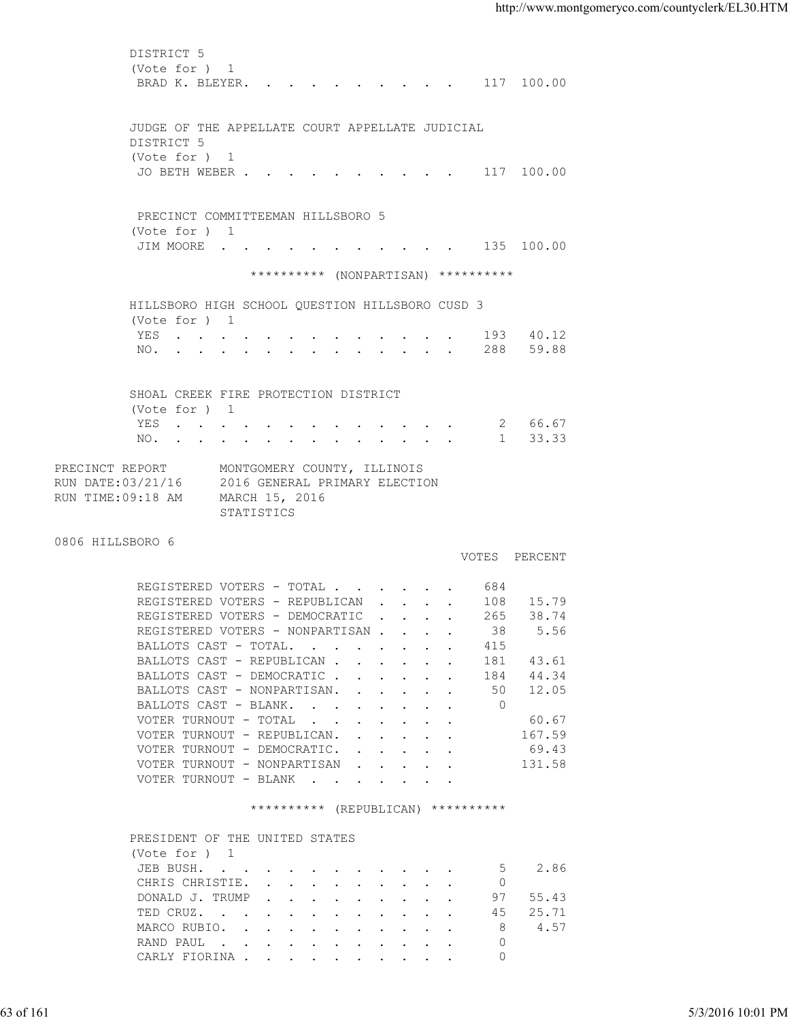| (Vote for ) 1<br>BRAD K. BLEYER. 117 100.00<br>JUDGE OF THE APPELLATE COURT APPELLATE JUDICIAL<br>DISTRICT 5<br>(Vote for ) 1<br>JO BETH WEBER 117 100.00<br>PRECINCT COMMITTEEMAN HILLSBORO 5<br>(Vote for ) 1<br>JIM MOORE 135 100.00<br>********** (NONPARTISAN) **********<br>HILLSBORO HIGH SCHOOL QUESTION HILLSBORO CUSD 3<br>(Vote for ) 1<br>YES 193 40.12<br>NO. 288 59.88<br>SHOAL CREEK FIRE PROTECTION DISTRICT<br>(Vote for ) 1<br>YES 2 66.67<br>NO. 1 33.33<br>PRECINCT REPORT<br>MONTGOMERY COUNTY, ILLINOIS<br>RUN DATE:03/21/16<br>2016 GENERAL PRIMARY ELECTION<br>RUN TIME:09:18 AM<br>MARCH 15, 2016<br>STATISTICS<br>0806 HILLSBORO 6<br>VOTES PERCENT<br>REGISTERED VOTERS - TOTAL 684<br>REGISTERED VOTERS - REPUBLICAN 108 15.79<br>REGISTERED VOTERS - DEMOCRATIC 265 38.74<br>5.56<br>REGISTERED VOTERS - NONPARTISAN<br>38<br>BALLOTS CAST - TOTAL.<br>415<br>BALLOTS CAST - REPUBLICAN<br>43.61<br>181<br>BALLOTS CAST - DEMOCRATIC<br>44.34<br>184<br>12.05<br>BALLOTS CAST - NONPARTISAN.<br>50<br>$\overline{0}$<br>BALLOTS CAST - BLANK.<br>60.67<br>VOTER TURNOUT - TOTAL<br>VOTER TURNOUT - REPUBLICAN.<br>167.59<br>69.43<br>VOTER TURNOUT - DEMOCRATIC.<br>VOTER TURNOUT - NONPARTISAN<br>131.58<br>VOTER TURNOUT - BLANK<br>********** (REPUBLICAN) **********<br>PRESIDENT OF THE UNITED STATES<br>(Vote for ) 1<br>2.86<br>JEB BUSH.<br>5<br>CHRIS CHRISTIE.<br>$\circ$<br>DONALD J. TRUMP<br>97<br>55.43<br>25.71<br>TED CRUZ.<br>45<br>4.57<br>MARCO RUBIO.<br>-8<br>$\circ$<br>RAND PAUL<br>CARLY FIORINA<br>$\mathbf{0}$<br>5/3/2016 10:01 PM | 63 of 161 |  |
|--------------------------------------------------------------------------------------------------------------------------------------------------------------------------------------------------------------------------------------------------------------------------------------------------------------------------------------------------------------------------------------------------------------------------------------------------------------------------------------------------------------------------------------------------------------------------------------------------------------------------------------------------------------------------------------------------------------------------------------------------------------------------------------------------------------------------------------------------------------------------------------------------------------------------------------------------------------------------------------------------------------------------------------------------------------------------------------------------------------------------------------------------------------------------------------------------------------------------------------------------------------------------------------------------------------------------------------------------------------------------------------------------------------------------------------------------------------------------------------------------------------------------------------------------------------------------------------------|-----------|--|
|                                                                                                                                                                                                                                                                                                                                                                                                                                                                                                                                                                                                                                                                                                                                                                                                                                                                                                                                                                                                                                                                                                                                                                                                                                                                                                                                                                                                                                                                                                                                                                                            |           |  |
|                                                                                                                                                                                                                                                                                                                                                                                                                                                                                                                                                                                                                                                                                                                                                                                                                                                                                                                                                                                                                                                                                                                                                                                                                                                                                                                                                                                                                                                                                                                                                                                            |           |  |
|                                                                                                                                                                                                                                                                                                                                                                                                                                                                                                                                                                                                                                                                                                                                                                                                                                                                                                                                                                                                                                                                                                                                                                                                                                                                                                                                                                                                                                                                                                                                                                                            |           |  |
|                                                                                                                                                                                                                                                                                                                                                                                                                                                                                                                                                                                                                                                                                                                                                                                                                                                                                                                                                                                                                                                                                                                                                                                                                                                                                                                                                                                                                                                                                                                                                                                            |           |  |
|                                                                                                                                                                                                                                                                                                                                                                                                                                                                                                                                                                                                                                                                                                                                                                                                                                                                                                                                                                                                                                                                                                                                                                                                                                                                                                                                                                                                                                                                                                                                                                                            |           |  |
|                                                                                                                                                                                                                                                                                                                                                                                                                                                                                                                                                                                                                                                                                                                                                                                                                                                                                                                                                                                                                                                                                                                                                                                                                                                                                                                                                                                                                                                                                                                                                                                            |           |  |
|                                                                                                                                                                                                                                                                                                                                                                                                                                                                                                                                                                                                                                                                                                                                                                                                                                                                                                                                                                                                                                                                                                                                                                                                                                                                                                                                                                                                                                                                                                                                                                                            |           |  |
|                                                                                                                                                                                                                                                                                                                                                                                                                                                                                                                                                                                                                                                                                                                                                                                                                                                                                                                                                                                                                                                                                                                                                                                                                                                                                                                                                                                                                                                                                                                                                                                            |           |  |
|                                                                                                                                                                                                                                                                                                                                                                                                                                                                                                                                                                                                                                                                                                                                                                                                                                                                                                                                                                                                                                                                                                                                                                                                                                                                                                                                                                                                                                                                                                                                                                                            |           |  |
|                                                                                                                                                                                                                                                                                                                                                                                                                                                                                                                                                                                                                                                                                                                                                                                                                                                                                                                                                                                                                                                                                                                                                                                                                                                                                                                                                                                                                                                                                                                                                                                            |           |  |
|                                                                                                                                                                                                                                                                                                                                                                                                                                                                                                                                                                                                                                                                                                                                                                                                                                                                                                                                                                                                                                                                                                                                                                                                                                                                                                                                                                                                                                                                                                                                                                                            |           |  |
|                                                                                                                                                                                                                                                                                                                                                                                                                                                                                                                                                                                                                                                                                                                                                                                                                                                                                                                                                                                                                                                                                                                                                                                                                                                                                                                                                                                                                                                                                                                                                                                            |           |  |
|                                                                                                                                                                                                                                                                                                                                                                                                                                                                                                                                                                                                                                                                                                                                                                                                                                                                                                                                                                                                                                                                                                                                                                                                                                                                                                                                                                                                                                                                                                                                                                                            |           |  |
|                                                                                                                                                                                                                                                                                                                                                                                                                                                                                                                                                                                                                                                                                                                                                                                                                                                                                                                                                                                                                                                                                                                                                                                                                                                                                                                                                                                                                                                                                                                                                                                            |           |  |
|                                                                                                                                                                                                                                                                                                                                                                                                                                                                                                                                                                                                                                                                                                                                                                                                                                                                                                                                                                                                                                                                                                                                                                                                                                                                                                                                                                                                                                                                                                                                                                                            |           |  |
|                                                                                                                                                                                                                                                                                                                                                                                                                                                                                                                                                                                                                                                                                                                                                                                                                                                                                                                                                                                                                                                                                                                                                                                                                                                                                                                                                                                                                                                                                                                                                                                            |           |  |
|                                                                                                                                                                                                                                                                                                                                                                                                                                                                                                                                                                                                                                                                                                                                                                                                                                                                                                                                                                                                                                                                                                                                                                                                                                                                                                                                                                                                                                                                                                                                                                                            |           |  |
|                                                                                                                                                                                                                                                                                                                                                                                                                                                                                                                                                                                                                                                                                                                                                                                                                                                                                                                                                                                                                                                                                                                                                                                                                                                                                                                                                                                                                                                                                                                                                                                            |           |  |
|                                                                                                                                                                                                                                                                                                                                                                                                                                                                                                                                                                                                                                                                                                                                                                                                                                                                                                                                                                                                                                                                                                                                                                                                                                                                                                                                                                                                                                                                                                                                                                                            |           |  |
|                                                                                                                                                                                                                                                                                                                                                                                                                                                                                                                                                                                                                                                                                                                                                                                                                                                                                                                                                                                                                                                                                                                                                                                                                                                                                                                                                                                                                                                                                                                                                                                            |           |  |
|                                                                                                                                                                                                                                                                                                                                                                                                                                                                                                                                                                                                                                                                                                                                                                                                                                                                                                                                                                                                                                                                                                                                                                                                                                                                                                                                                                                                                                                                                                                                                                                            |           |  |
|                                                                                                                                                                                                                                                                                                                                                                                                                                                                                                                                                                                                                                                                                                                                                                                                                                                                                                                                                                                                                                                                                                                                                                                                                                                                                                                                                                                                                                                                                                                                                                                            |           |  |
|                                                                                                                                                                                                                                                                                                                                                                                                                                                                                                                                                                                                                                                                                                                                                                                                                                                                                                                                                                                                                                                                                                                                                                                                                                                                                                                                                                                                                                                                                                                                                                                            |           |  |
|                                                                                                                                                                                                                                                                                                                                                                                                                                                                                                                                                                                                                                                                                                                                                                                                                                                                                                                                                                                                                                                                                                                                                                                                                                                                                                                                                                                                                                                                                                                                                                                            |           |  |
|                                                                                                                                                                                                                                                                                                                                                                                                                                                                                                                                                                                                                                                                                                                                                                                                                                                                                                                                                                                                                                                                                                                                                                                                                                                                                                                                                                                                                                                                                                                                                                                            |           |  |
|                                                                                                                                                                                                                                                                                                                                                                                                                                                                                                                                                                                                                                                                                                                                                                                                                                                                                                                                                                                                                                                                                                                                                                                                                                                                                                                                                                                                                                                                                                                                                                                            |           |  |
|                                                                                                                                                                                                                                                                                                                                                                                                                                                                                                                                                                                                                                                                                                                                                                                                                                                                                                                                                                                                                                                                                                                                                                                                                                                                                                                                                                                                                                                                                                                                                                                            |           |  |
|                                                                                                                                                                                                                                                                                                                                                                                                                                                                                                                                                                                                                                                                                                                                                                                                                                                                                                                                                                                                                                                                                                                                                                                                                                                                                                                                                                                                                                                                                                                                                                                            |           |  |
|                                                                                                                                                                                                                                                                                                                                                                                                                                                                                                                                                                                                                                                                                                                                                                                                                                                                                                                                                                                                                                                                                                                                                                                                                                                                                                                                                                                                                                                                                                                                                                                            |           |  |
|                                                                                                                                                                                                                                                                                                                                                                                                                                                                                                                                                                                                                                                                                                                                                                                                                                                                                                                                                                                                                                                                                                                                                                                                                                                                                                                                                                                                                                                                                                                                                                                            |           |  |
|                                                                                                                                                                                                                                                                                                                                                                                                                                                                                                                                                                                                                                                                                                                                                                                                                                                                                                                                                                                                                                                                                                                                                                                                                                                                                                                                                                                                                                                                                                                                                                                            |           |  |
|                                                                                                                                                                                                                                                                                                                                                                                                                                                                                                                                                                                                                                                                                                                                                                                                                                                                                                                                                                                                                                                                                                                                                                                                                                                                                                                                                                                                                                                                                                                                                                                            |           |  |
|                                                                                                                                                                                                                                                                                                                                                                                                                                                                                                                                                                                                                                                                                                                                                                                                                                                                                                                                                                                                                                                                                                                                                                                                                                                                                                                                                                                                                                                                                                                                                                                            |           |  |
|                                                                                                                                                                                                                                                                                                                                                                                                                                                                                                                                                                                                                                                                                                                                                                                                                                                                                                                                                                                                                                                                                                                                                                                                                                                                                                                                                                                                                                                                                                                                                                                            |           |  |
|                                                                                                                                                                                                                                                                                                                                                                                                                                                                                                                                                                                                                                                                                                                                                                                                                                                                                                                                                                                                                                                                                                                                                                                                                                                                                                                                                                                                                                                                                                                                                                                            |           |  |
|                                                                                                                                                                                                                                                                                                                                                                                                                                                                                                                                                                                                                                                                                                                                                                                                                                                                                                                                                                                                                                                                                                                                                                                                                                                                                                                                                                                                                                                                                                                                                                                            |           |  |
|                                                                                                                                                                                                                                                                                                                                                                                                                                                                                                                                                                                                                                                                                                                                                                                                                                                                                                                                                                                                                                                                                                                                                                                                                                                                                                                                                                                                                                                                                                                                                                                            |           |  |
|                                                                                                                                                                                                                                                                                                                                                                                                                                                                                                                                                                                                                                                                                                                                                                                                                                                                                                                                                                                                                                                                                                                                                                                                                                                                                                                                                                                                                                                                                                                                                                                            |           |  |
|                                                                                                                                                                                                                                                                                                                                                                                                                                                                                                                                                                                                                                                                                                                                                                                                                                                                                                                                                                                                                                                                                                                                                                                                                                                                                                                                                                                                                                                                                                                                                                                            |           |  |
|                                                                                                                                                                                                                                                                                                                                                                                                                                                                                                                                                                                                                                                                                                                                                                                                                                                                                                                                                                                                                                                                                                                                                                                                                                                                                                                                                                                                                                                                                                                                                                                            |           |  |
|                                                                                                                                                                                                                                                                                                                                                                                                                                                                                                                                                                                                                                                                                                                                                                                                                                                                                                                                                                                                                                                                                                                                                                                                                                                                                                                                                                                                                                                                                                                                                                                            |           |  |
|                                                                                                                                                                                                                                                                                                                                                                                                                                                                                                                                                                                                                                                                                                                                                                                                                                                                                                                                                                                                                                                                                                                                                                                                                                                                                                                                                                                                                                                                                                                                                                                            |           |  |
|                                                                                                                                                                                                                                                                                                                                                                                                                                                                                                                                                                                                                                                                                                                                                                                                                                                                                                                                                                                                                                                                                                                                                                                                                                                                                                                                                                                                                                                                                                                                                                                            |           |  |
|                                                                                                                                                                                                                                                                                                                                                                                                                                                                                                                                                                                                                                                                                                                                                                                                                                                                                                                                                                                                                                                                                                                                                                                                                                                                                                                                                                                                                                                                                                                                                                                            |           |  |
|                                                                                                                                                                                                                                                                                                                                                                                                                                                                                                                                                                                                                                                                                                                                                                                                                                                                                                                                                                                                                                                                                                                                                                                                                                                                                                                                                                                                                                                                                                                                                                                            |           |  |
|                                                                                                                                                                                                                                                                                                                                                                                                                                                                                                                                                                                                                                                                                                                                                                                                                                                                                                                                                                                                                                                                                                                                                                                                                                                                                                                                                                                                                                                                                                                                                                                            |           |  |
|                                                                                                                                                                                                                                                                                                                                                                                                                                                                                                                                                                                                                                                                                                                                                                                                                                                                                                                                                                                                                                                                                                                                                                                                                                                                                                                                                                                                                                                                                                                                                                                            |           |  |
|                                                                                                                                                                                                                                                                                                                                                                                                                                                                                                                                                                                                                                                                                                                                                                                                                                                                                                                                                                                                                                                                                                                                                                                                                                                                                                                                                                                                                                                                                                                                                                                            |           |  |
|                                                                                                                                                                                                                                                                                                                                                                                                                                                                                                                                                                                                                                                                                                                                                                                                                                                                                                                                                                                                                                                                                                                                                                                                                                                                                                                                                                                                                                                                                                                                                                                            |           |  |
|                                                                                                                                                                                                                                                                                                                                                                                                                                                                                                                                                                                                                                                                                                                                                                                                                                                                                                                                                                                                                                                                                                                                                                                                                                                                                                                                                                                                                                                                                                                                                                                            |           |  |
|                                                                                                                                                                                                                                                                                                                                                                                                                                                                                                                                                                                                                                                                                                                                                                                                                                                                                                                                                                                                                                                                                                                                                                                                                                                                                                                                                                                                                                                                                                                                                                                            |           |  |
|                                                                                                                                                                                                                                                                                                                                                                                                                                                                                                                                                                                                                                                                                                                                                                                                                                                                                                                                                                                                                                                                                                                                                                                                                                                                                                                                                                                                                                                                                                                                                                                            |           |  |
|                                                                                                                                                                                                                                                                                                                                                                                                                                                                                                                                                                                                                                                                                                                                                                                                                                                                                                                                                                                                                                                                                                                                                                                                                                                                                                                                                                                                                                                                                                                                                                                            |           |  |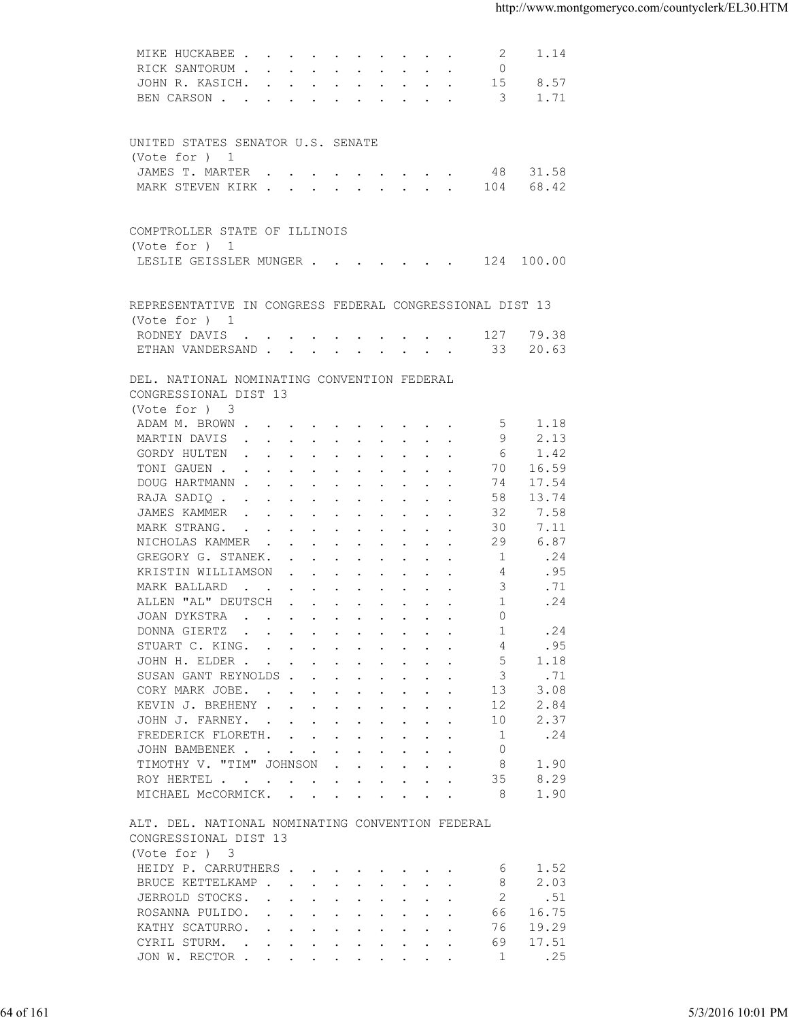|           | MIKE HUCKABEE<br>2<br>1.14                                                                                                                                                                                                                                                 |                   |
|-----------|----------------------------------------------------------------------------------------------------------------------------------------------------------------------------------------------------------------------------------------------------------------------------|-------------------|
|           | RICK SANTORUM<br>$\Omega$                                                                                                                                                                                                                                                  |                   |
|           | JOHN R. KASICH.<br>15<br>8.57                                                                                                                                                                                                                                              |                   |
|           | BEN CARSON 3<br>1.71                                                                                                                                                                                                                                                       |                   |
|           |                                                                                                                                                                                                                                                                            |                   |
|           |                                                                                                                                                                                                                                                                            |                   |
|           | UNITED STATES SENATOR U.S. SENATE                                                                                                                                                                                                                                          |                   |
|           | (Vote for ) 1                                                                                                                                                                                                                                                              |                   |
|           | JAMES T. MARTER<br>31.58<br>48                                                                                                                                                                                                                                             |                   |
|           | MARK STEVEN KIRK 104<br>68.42                                                                                                                                                                                                                                              |                   |
|           |                                                                                                                                                                                                                                                                            |                   |
|           | COMPTROLLER STATE OF ILLINOIS                                                                                                                                                                                                                                              |                   |
|           | (Vote for ) 1                                                                                                                                                                                                                                                              |                   |
|           | LESLIE GEISSLER MUNGER 124 100.00                                                                                                                                                                                                                                          |                   |
|           |                                                                                                                                                                                                                                                                            |                   |
|           |                                                                                                                                                                                                                                                                            |                   |
|           | REPRESENTATIVE IN CONGRESS FEDERAL CONGRESSIONAL DIST 13                                                                                                                                                                                                                   |                   |
|           | (Vote for ) 1                                                                                                                                                                                                                                                              |                   |
|           | 79.38<br>RODNEY DAVIS 127                                                                                                                                                                                                                                                  |                   |
|           | ETHAN VANDERSAND 33<br>20.63                                                                                                                                                                                                                                               |                   |
|           |                                                                                                                                                                                                                                                                            |                   |
|           | DEL. NATIONAL NOMINATING CONVENTION FEDERAL                                                                                                                                                                                                                                |                   |
|           | CONGRESSIONAL DIST 13                                                                                                                                                                                                                                                      |                   |
|           | (Vote for ) 3                                                                                                                                                                                                                                                              |                   |
|           | ADAM M. BROWN<br>-5<br>1.18                                                                                                                                                                                                                                                |                   |
|           | 9<br>2.13<br>MARTIN DAVIS                                                                                                                                                                                                                                                  |                   |
|           | GORDY HULTEN<br>6<br>1.42                                                                                                                                                                                                                                                  |                   |
|           | TONI GAUEN<br>70<br>16.59                                                                                                                                                                                                                                                  |                   |
|           | 17.54<br>DOUG HARTMANN<br>74                                                                                                                                                                                                                                               |                   |
|           | 58<br>13.74<br>RAJA SADIQ                                                                                                                                                                                                                                                  |                   |
|           | 7.58<br>JAMES KAMMER<br>32                                                                                                                                                                                                                                                 |                   |
|           | MARK STRANG.<br>30<br>7.11                                                                                                                                                                                                                                                 |                   |
|           | 6.87<br>NICHOLAS KAMMER<br>29                                                                                                                                                                                                                                              |                   |
|           | 1<br>.24<br>GREGORY G. STANEK.                                                                                                                                                                                                                                             |                   |
|           | KRISTIN WILLIAMSON<br>4<br>.95                                                                                                                                                                                                                                             |                   |
|           | 3<br>MARK BALLARD<br>.71                                                                                                                                                                                                                                                   |                   |
|           | ALLEN "AL" DEUTSCH<br>$\overline{1}$<br>.24                                                                                                                                                                                                                                |                   |
|           | JOAN DYKSTRA<br>$\Omega$                                                                                                                                                                                                                                                   |                   |
|           | DONNA GIERTZ<br>.24<br>the contract of the contract of the contract of the contract of the contract of the contract of the contract of<br>-1                                                                                                                               |                   |
|           | STUART C. KING.<br>.95<br>4                                                                                                                                                                                                                                                |                   |
|           | JOHN H. ELDER<br>5<br>1.18                                                                                                                                                                                                                                                 |                   |
|           | SUSAN GANT REYNOLDS<br>3<br>.71                                                                                                                                                                                                                                            |                   |
|           | 3.08<br>CORY MARK JOBE.<br>13                                                                                                                                                                                                                                              |                   |
|           | 2.84<br>KEVIN J. BREHENY<br>12                                                                                                                                                                                                                                             |                   |
|           | 2.37<br>JOHN J. FARNEY.<br>10                                                                                                                                                                                                                                              |                   |
|           | .24<br>FREDERICK FLORETH.<br>1                                                                                                                                                                                                                                             |                   |
|           | $\circ$<br>JOHN BAMBENEK                                                                                                                                                                                                                                                   |                   |
|           | TIMOTHY V. "TIM" JOHNSON<br>8<br>1.90<br>$\mathbf{r}$ . The contract of the contract of the contract of the contract of the contract of the contract of the contract of the contract of the contract of the contract of the contract of the contract of the contract of th |                   |
|           | 35<br>8.29<br>ROY HERTEL                                                                                                                                                                                                                                                   |                   |
|           | MICHAEL MCCORMICK.<br>-8<br>1.90                                                                                                                                                                                                                                           |                   |
|           |                                                                                                                                                                                                                                                                            |                   |
|           | ALT. DEL. NATIONAL NOMINATING CONVENTION FEDERAL                                                                                                                                                                                                                           |                   |
|           | CONGRESSIONAL DIST 13                                                                                                                                                                                                                                                      |                   |
|           | (Vote for ) 3                                                                                                                                                                                                                                                              |                   |
|           | HEIDY P. CARRUTHERS<br>1.52<br>6                                                                                                                                                                                                                                           |                   |
|           | 2.03<br>BRUCE KETTELKAMP<br>8                                                                                                                                                                                                                                              |                   |
|           | .51<br>JERROLD STOCKS.<br>2                                                                                                                                                                                                                                                |                   |
|           | 16.75<br>ROSANNA PULIDO.<br>66                                                                                                                                                                                                                                             |                   |
|           | KATHY SCATURRO.<br>19.29<br>76                                                                                                                                                                                                                                             |                   |
|           | 17.51<br>CYRIL STURM.<br>69                                                                                                                                                                                                                                                |                   |
|           | .25<br>JON W. RECTOR<br>1                                                                                                                                                                                                                                                  |                   |
|           |                                                                                                                                                                                                                                                                            |                   |
|           |                                                                                                                                                                                                                                                                            |                   |
|           |                                                                                                                                                                                                                                                                            |                   |
| 64 of 161 |                                                                                                                                                                                                                                                                            | 5/3/2016 10:01 PM |
|           |                                                                                                                                                                                                                                                                            |                   |
|           |                                                                                                                                                                                                                                                                            |                   |
|           |                                                                                                                                                                                                                                                                            |                   |
|           |                                                                                                                                                                                                                                                                            |                   |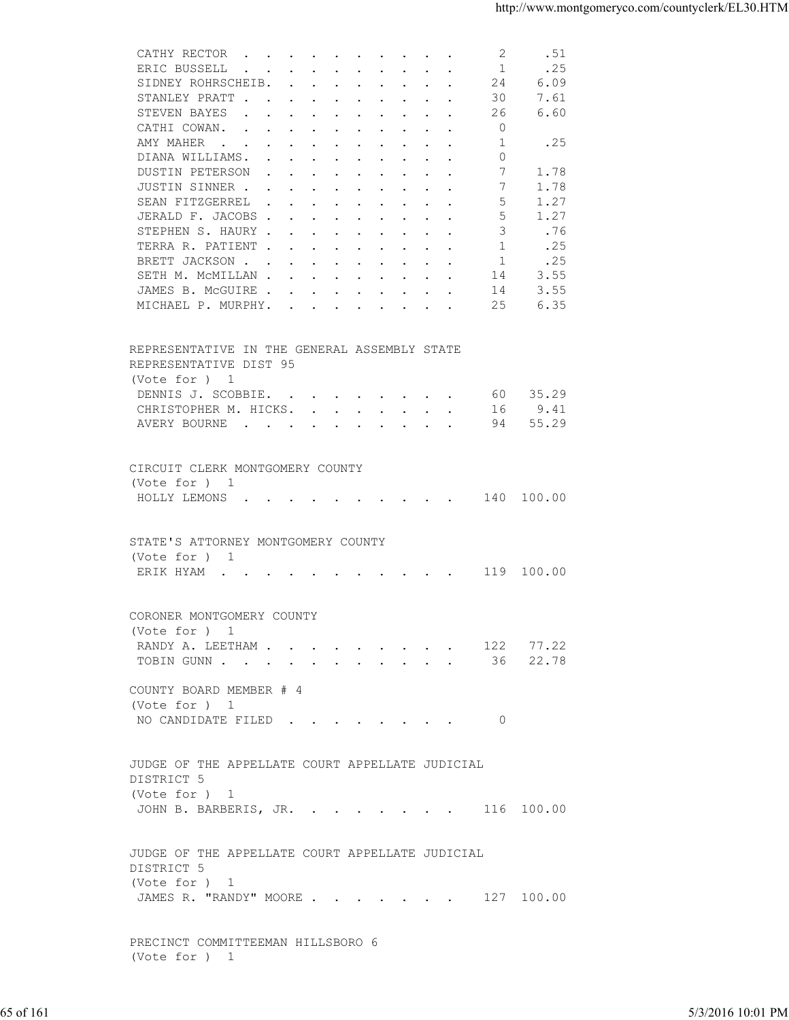|           | CATHY RECTOR<br>2<br>.51                                                                                                                                                                                                      |                   |
|-----------|-------------------------------------------------------------------------------------------------------------------------------------------------------------------------------------------------------------------------------|-------------------|
|           | ERIC BUSSELL<br>1<br>.25<br>$\mathbf{r}$ , and $\mathbf{r}$ , and $\mathbf{r}$ , and $\mathbf{r}$ , and $\mathbf{r}$<br>SIDNEY ROHRSCHEIB.<br>24<br>6.09                                                                      |                   |
|           | STANLEY PRATT<br>30<br>7.61                                                                                                                                                                                                   |                   |
|           | 6.60<br>STEVEN BAYES<br>26                                                                                                                                                                                                    |                   |
|           | CATHI COWAN.<br>$\overline{0}$                                                                                                                                                                                                |                   |
|           | .25<br>AMY MAHER<br>1                                                                                                                                                                                                         |                   |
|           | DIANA WILLIAMS.<br>0                                                                                                                                                                                                          |                   |
|           | 7<br>DUSTIN PETERSON<br>1.78                                                                                                                                                                                                  |                   |
|           | JUSTIN SINNER<br>7<br>1.78<br>.5                                                                                                                                                                                              |                   |
|           | 1.27<br>SEAN FITZGERREL<br>.5<br>JERALD F. JACOBS<br>1.27                                                                                                                                                                     |                   |
|           | 3<br>STEPHEN S. HAURY<br>.76                                                                                                                                                                                                  |                   |
|           | 1<br>TERRA R. PATIENT<br>.25                                                                                                                                                                                                  |                   |
|           | BRETT JACKSON<br>1<br>.25                                                                                                                                                                                                     |                   |
|           | 3.55<br>SETH M. MCMILLAN<br>14                                                                                                                                                                                                |                   |
|           | 3.55<br>JAMES B. MCGUIRE<br>14                                                                                                                                                                                                |                   |
|           | 6.35<br>MICHAEL P. MURPHY.<br>25                                                                                                                                                                                              |                   |
|           |                                                                                                                                                                                                                               |                   |
|           | REPRESENTATIVE IN THE GENERAL ASSEMBLY STATE                                                                                                                                                                                  |                   |
|           | REPRESENTATIVE DIST 95<br>(Vote for ) 1                                                                                                                                                                                       |                   |
|           | 60 35.29<br>DENNIS J. SCOBBIE.                                                                                                                                                                                                |                   |
|           | CHRISTOPHER M. HICKS.<br>9.41<br>16                                                                                                                                                                                           |                   |
|           | 55.29<br>AVERY BOURNE<br>94                                                                                                                                                                                                   |                   |
|           |                                                                                                                                                                                                                               |                   |
|           | CIRCUIT CLERK MONTGOMERY COUNTY                                                                                                                                                                                               |                   |
|           | (Vote for ) 1                                                                                                                                                                                                                 |                   |
|           | HOLLY LEMONS (CONSTRUITION CONSTRUITION CONSTRUITION CONSTRUITION CONSTRUITION CONSTRUITION CONSTRUITION CONSTRUITION CONSTRUITION CONSTRUITION CONSTRUITION CONSTRUITION CONSTRUITION CONSTRUITION CONSTRUITION CONSTRUITION |                   |
|           |                                                                                                                                                                                                                               |                   |
|           | STATE'S ATTORNEY MONTGOMERY COUNTY                                                                                                                                                                                            |                   |
|           | (Vote for ) 1                                                                                                                                                                                                                 |                   |
|           | ERIK HYAM 119 100.00                                                                                                                                                                                                          |                   |
|           |                                                                                                                                                                                                                               |                   |
|           | CORONER MONTGOMERY COUNTY                                                                                                                                                                                                     |                   |
|           | (Vote for ) 1                                                                                                                                                                                                                 |                   |
|           | 77.22<br>RANDY A. LEETHAM<br>122                                                                                                                                                                                              |                   |
|           | 22.78<br>TOBIN GUNN<br>36                                                                                                                                                                                                     |                   |
|           |                                                                                                                                                                                                                               |                   |
|           | COUNTY BOARD MEMBER # 4                                                                                                                                                                                                       |                   |
|           | (Vote for ) 1                                                                                                                                                                                                                 |                   |
|           | NO CANDIDATE FILED<br>- 0                                                                                                                                                                                                     |                   |
|           |                                                                                                                                                                                                                               |                   |
|           | JUDGE OF THE APPELLATE COURT APPELLATE JUDICIAL                                                                                                                                                                               |                   |
|           | DISTRICT 5                                                                                                                                                                                                                    |                   |
|           | (Vote for ) 1                                                                                                                                                                                                                 |                   |
|           | JOHN B. BARBERIS, JR. 116 100.00                                                                                                                                                                                              |                   |
|           |                                                                                                                                                                                                                               |                   |
|           | JUDGE OF THE APPELLATE COURT APPELLATE JUDICIAL                                                                                                                                                                               |                   |
|           | DISTRICT 5                                                                                                                                                                                                                    |                   |
|           | (Vote for ) 1                                                                                                                                                                                                                 |                   |
|           | JAMES R. "RANDY" MOORE 127 100.00                                                                                                                                                                                             |                   |
|           |                                                                                                                                                                                                                               |                   |
|           | PRECINCT COMMITTEEMAN HILLSBORO 6                                                                                                                                                                                             |                   |
|           | (Vote for ) 1                                                                                                                                                                                                                 |                   |
|           |                                                                                                                                                                                                                               |                   |
| 65 of 161 |                                                                                                                                                                                                                               | 5/3/2016 10:01 PM |
|           |                                                                                                                                                                                                                               |                   |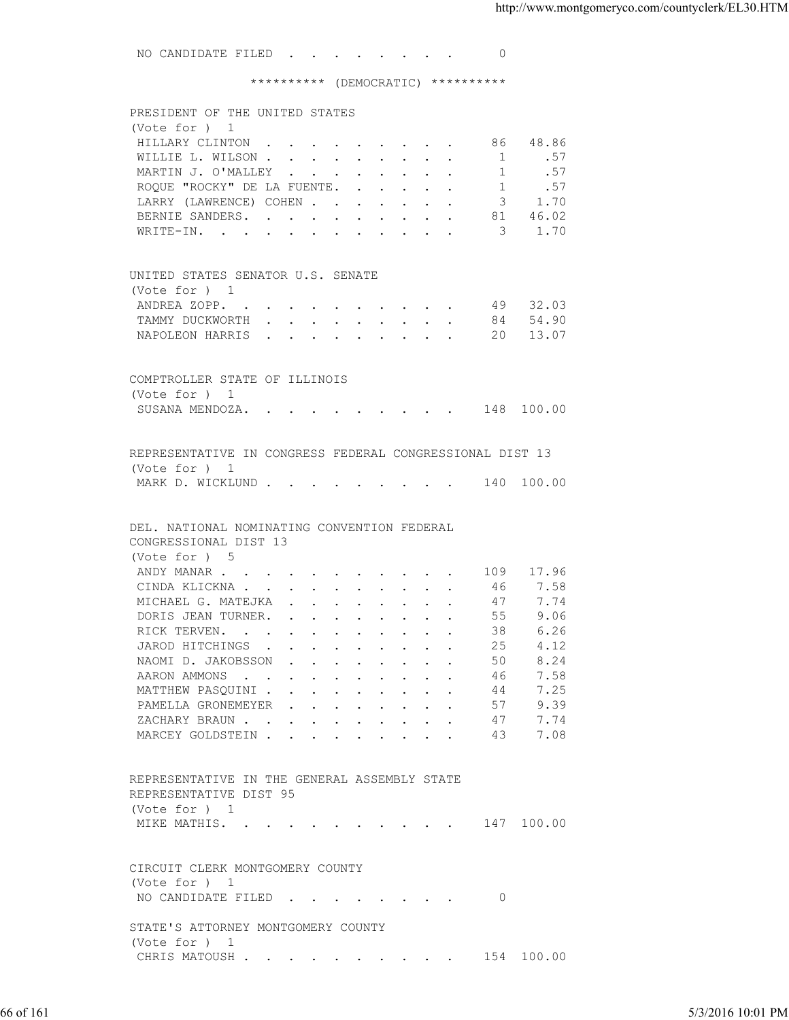NO CANDIDATE FILED . . . . . . . 0 \*\*\*\*\*\*\*\*\*\* (DEMOCRATIC) \*\*\*\*\*\*\*\*\*\* PRESIDENT OF THE UNITED STATES (Vote for ) 1 HILLARY CLINTON . . . . . . . . . 86 48.86<br>WILLIE L. WILSON . . . . . . . . . 1 .57 WILLIE L. WILSON . . . . . . . . . . MARTIN J. O'MALLEY . . . . . . . . . 1 . 57 ROQUE "ROCKY" DE LA FUENTE. . . . . . 1 .57 LARRY (LAWRENCE) COHEN . . . . . . . 3 1.70<br>BERNIE SANDERS. . . . . . . . . . 81 46.02 BERNIE SANDERS. . . . . . . . WRITE-IN. . . . . . . . . . . . 3 1.70 UNITED STATES SENATOR U.S. SENATE (Vote for ) 1 ANDREA ZOPP. . . . . . . . . . . 49 32.03 TAMMY DUCKWORTH . . . . . . . . . 84 54.90 NAPOLEON HARRIS . . . . . . . . . 20 13.07 COMPTROLLER STATE OF ILLINOIS (Vote for ) 1 SUSANA MENDOZA. . . . . . . . . . 148 100.00 REPRESENTATIVE IN CONGRESS FEDERAL CONGRESSIONAL DIST 13 (Vote for ) 1 MARK D. WICKLUND . . . . . . . . . 140 100.00 DEL. NATIONAL NOMINATING CONVENTION FEDERAL CONGRESSIONAL DIST 13 (Vote for ) 5 ANDY MANAR . . . . . . . . . . . 109 17.96 CINDA KLICKNA . . . . . . . . . . . 46 7.58 MICHAEL G. MATEJKA . . . . . . . . 47 7.74<br>DORIS JEAN TURNER. . . . . . . . . 55 9.06 DORIS JEAN TURNER. . . . . . . . . 55 9.06<br>RICK TERVEN. . . . . . . . . . . 38 6.26 RICK TERVEN. . . . . . . . . . . 38 6.26<br>JAROD HITCHINGS . . . . . . . . . 25 4.12 JAROD HITCHINGS . . . . . . . . . 25<br>NAOMI D. JAKOBSSON . . . . . . . . 50 NAOMI D. JAKOBSSON . . . . . . . . 50 8.24 AARON AMMONS . . . . . . . . . . 46 7.58 MATTHEW PASQUINI . . . . . . . . . 44 7.25<br>PAMELLA GRONEMEYER . . . . . . . . 57 9.39 PAMELLA GRONEMEYER . . . . . . . . 57 9.39<br>ZACHARY BRAUN . . . . . . . . . . 47 7.74 ZACHARY BRAUN . . . . . . . . . . MARCEY GOLDSTEIN . . . . . . . . . 43 7.08 REPRESENTATIVE IN THE GENERAL ASSEMBLY STATE REPRESENTATIVE DIST 95 (Vote for ) 1 MIKE MATHIS. . . . . . . . . . . 147 100.00 CIRCUIT CLERK MONTGOMERY COUNTY (Vote for ) 1 NO CANDIDATE FILED . . . . . . . . 0 66 of 161 5/3/2016 10:01 PM

 STATE'S ATTORNEY MONTGOMERY COUNTY (Vote for ) 1 CHRIS MATOUSH . . . . . . . . . . 154 100.00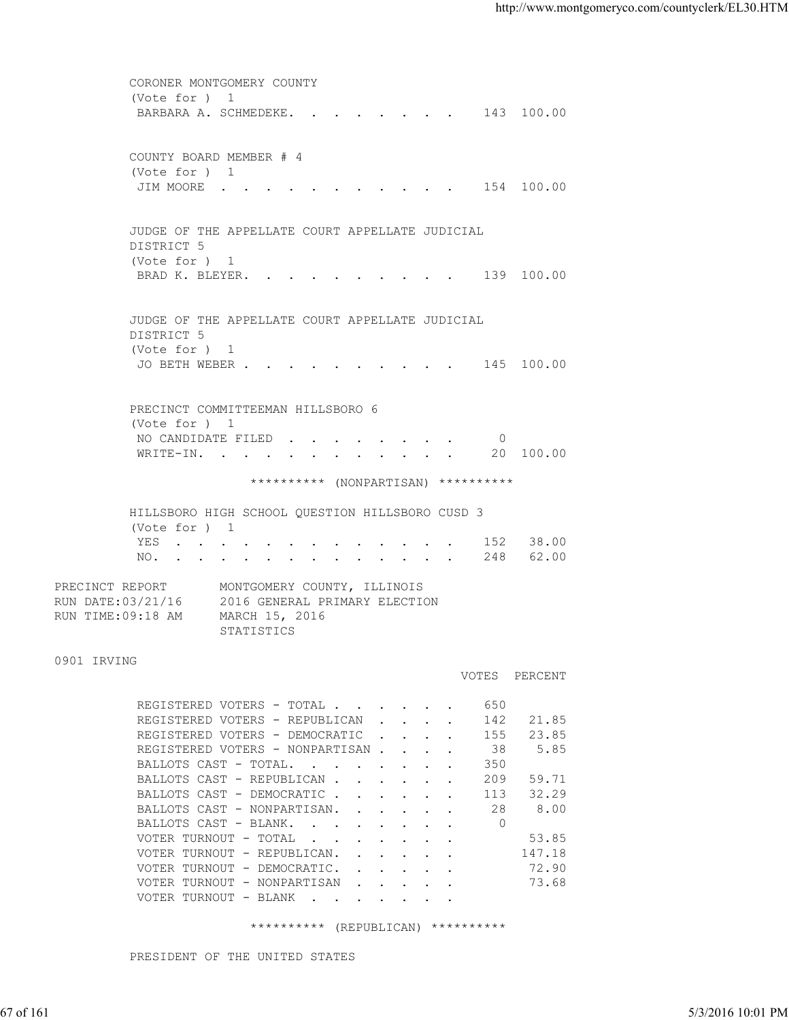CORONER MONTGOMERY COUNTY (Vote for ) 1 BARBARA A. SCHMEDEKE. . . . . . . . 143 100.00 COUNTY BOARD MEMBER # 4 (Vote for ) 1 JIM MOORE . . . . . . . . . . . 154 100.00 JUDGE OF THE APPELLATE COURT APPELLATE JUDICIAL DISTRICT 5 (Vote for ) 1 BRAD K. BLEYER. . . . . . . . . . 139 100.00 JUDGE OF THE APPELLATE COURT APPELLATE JUDICIAL DISTRICT 5 (Vote for ) 1 JO BETH WEBER . . . . . . . . . . 145 100.00 PRECINCT COMMITTEEMAN HILLSBORO 6 (Vote for ) 1 NO CANDIDATE FILED . . . . . . . . 0<br>WRITE-IN. . . . . . . . . . . . 20 100.00 WRITE-IN. . . . . . . . . . . . \*\*\*\*\*\*\*\*\*\* (NONPARTISAN) \*\*\*\*\*\*\*\*\*\* HILLSBORO HIGH SCHOOL QUESTION HILLSBORO CUSD 3 (Vote for ) 1 YES . . . . . . . . . . . . . 152 38.00 NO. . . . . . . . . . . . . . 248 62.00 PRECINCT REPORT MONTGOMERY COUNTY, ILLINOIS RUN DATE:03/21/16 2016 GENERAL PRIMARY ELECTION RUN TIME:09:18 AM MARCH 15, 2016 STATISTICS 0901 IRVING VOTES PERCENT REGISTERED VOTERS - TOTAL . . . . . . 650<br>REGISTERED VOTERS - REPUBLICAN . . . . 142 21.85 REGISTERED VOTERS - REPUBLICAN . . . . REGISTERED VOTERS - DEMOCRATIC . . . . 155 23.85 REGISTERED VOTERS - NONPARTISAN . . . . 38 5.85 BALLOTS CAST - TOTAL. . . . . . . . 350 BALLOTS CAST - REPUBLICAN . . . . . . 209 59.71<br>BALLOTS CAST - DEMOCRATIC . . . . . 113 32.29 BALLOTS CAST - DEMOCRATIC . . . . . . BALLOTS CAST - NONPARTISAN. . . . . . 28 8.00 BALLOTS CAST - BLANK. . . . . . . . 0 VOTER TURNOUT - TOTAL . . . . . . . . 53.85 VOTER TURNOUT - REPUBLICAN. . . . . . 147.18 VOTER TURNOUT - DEMOCRATIC. . . . . . 72.90 VOTER TURNOUT - NONPARTISAN . . . . . 73.68 VOTER TURNOUT - BLANK . . . 67 of 161 5/3/2016 10:01 PM

\*\*\*\*\*\*\*\*\*\* (REPUBLICAN) \*\*\*\*\*\*\*\*\*\*

PRESIDENT OF THE UNITED STATES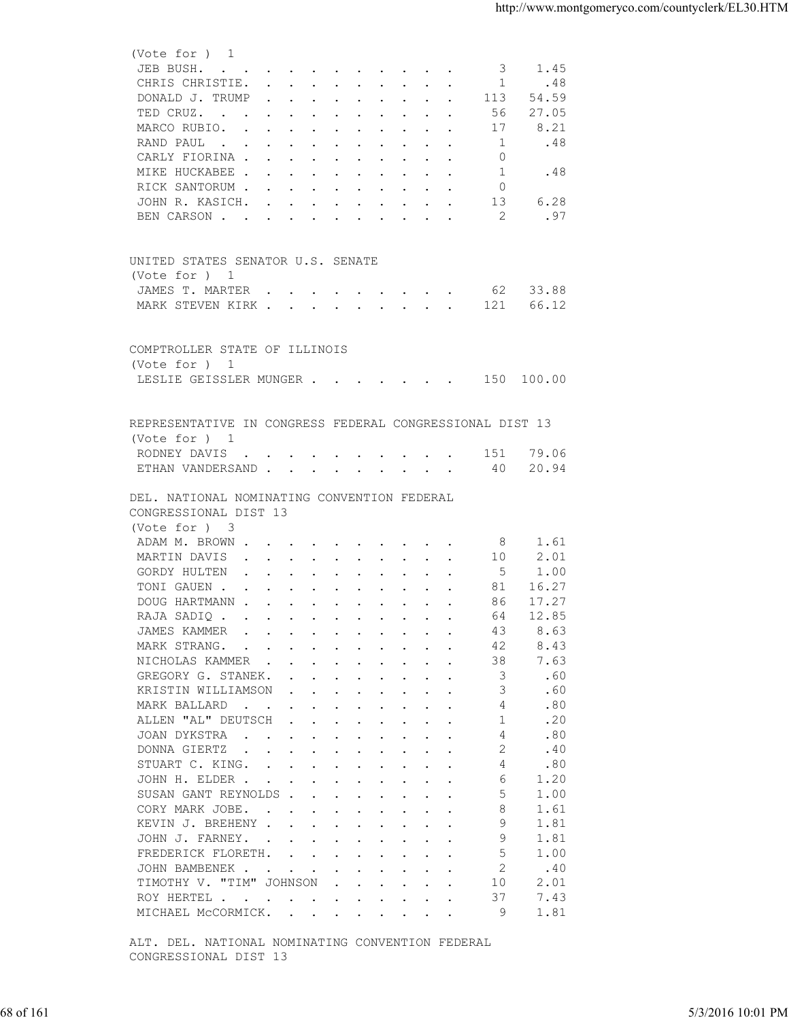| JEB BUSH.<br>1.45<br>3<br>CHRIS CHRISTIE.<br>$\overline{1}$<br>.48<br>DONALD J. TRUMP<br>113<br>54.59<br>27.05<br>TED CRUZ.<br>56<br>8.21<br>MARCO RUBIO.<br>17<br>1<br>.48<br>RAND PAUL<br>CARLY FIORINA<br>0<br>MIKE HUCKABEE<br>.48<br>1<br>RICK SANTORUM<br>0<br>6.28<br>13<br>JOHN R. KASICH.<br>.97<br>2<br>BEN CARSON<br>UNITED STATES SENATOR U.S. SENATE<br>(Vote for ) 1<br>62 33.88<br>JAMES T. MARTER<br>MARK STEVEN KIRK<br>66.12<br>121<br>COMPTROLLER STATE OF ILLINOIS<br>(Vote for ) 1<br>LESLIE GEISSLER MUNGER 150 100.00<br>REPRESENTATIVE IN CONGRESS FEDERAL CONGRESSIONAL DIST 13<br>(Vote for ) 1<br>RODNEY DAVIS<br>79.06<br>151<br>ETHAN VANDERSAND 40<br>20.94<br>DEL. NATIONAL NOMINATING CONVENTION FEDERAL<br>CONGRESSIONAL DIST 13<br>(Vote for ) 3<br>ADAM M. BROWN<br>1.61<br>8<br>2.01<br>MARTIN DAVIS<br>10<br>5<br>1.00<br>GORDY HULTEN<br>TONI GAUEN<br>81<br>16.27<br>17.27<br>DOUG HARTMANN<br>86<br>12.85<br>RAJA SADIQ<br>64<br>JAMES KAMMER<br>8.63<br>43<br>the contract of the contract of the contract of the contract of the contract of the contract of the contract of<br>MARK STRANG.<br>42<br>8.43<br>$\mathbf{r}$ , and $\mathbf{r}$ , and $\mathbf{r}$ , and $\mathbf{r}$ , and $\mathbf{r}$<br>38<br>7.63<br>NICHOLAS KAMMER<br>3<br>.60<br>GREGORY G. STANEK.<br>the contract of the contract of the contract of the contract of the contract of the contract of the contract of<br>3<br>.60<br>KRISTIN WILLIAMSON<br>the contract of the contract of the contract of the contract of the contract of the contract of the contract of<br>.80<br>MARK BALLARD<br>4<br>ALLEN "AL" DEUTSCH<br>.20<br>1<br>JOAN DYKSTRA<br>.80<br>4<br>2<br>.40<br>DONNA GIERTZ<br>.80<br>STUART C. KING.<br>4<br>JOHN H. ELDER<br>6<br>1.20<br>5<br>SUSAN GANT REYNOLDS<br>1.00<br>8<br>CORY MARK JOBE.<br>1.61<br>9<br>KEVIN J. BREHENY<br>1.81<br>9<br>JOHN J. FARNEY.<br>1.81<br>5<br>FREDERICK FLORETH.<br>1.00<br>2<br>.40<br>JOHN BAMBENEK<br>2.01<br>TIMOTHY V. "TIM" JOHNSON<br>10<br>ROY HERTEL<br>37<br>7.43<br>1.81<br>MICHAEL MCCORMICK.<br>9<br>ALT. DEL. NATIONAL NOMINATING CONVENTION FEDERAL<br>CONGRESSIONAL DIST 13<br>5/3/2016 10:01 PM<br>68 of 161 |  |
|-------------------------------------------------------------------------------------------------------------------------------------------------------------------------------------------------------------------------------------------------------------------------------------------------------------------------------------------------------------------------------------------------------------------------------------------------------------------------------------------------------------------------------------------------------------------------------------------------------------------------------------------------------------------------------------------------------------------------------------------------------------------------------------------------------------------------------------------------------------------------------------------------------------------------------------------------------------------------------------------------------------------------------------------------------------------------------------------------------------------------------------------------------------------------------------------------------------------------------------------------------------------------------------------------------------------------------------------------------------------------------------------------------------------------------------------------------------------------------------------------------------------------------------------------------------------------------------------------------------------------------------------------------------------------------------------------------------------------------------------------------------------------------------------------------------------------------------------------------------------------------------------------------------------------------------------------------------------------------------------------------------------------------------------------------------------------------------------------------------------------------------------------------------------------------------------------------------|--|
|                                                                                                                                                                                                                                                                                                                                                                                                                                                                                                                                                                                                                                                                                                                                                                                                                                                                                                                                                                                                                                                                                                                                                                                                                                                                                                                                                                                                                                                                                                                                                                                                                                                                                                                                                                                                                                                                                                                                                                                                                                                                                                                                                                                                             |  |
|                                                                                                                                                                                                                                                                                                                                                                                                                                                                                                                                                                                                                                                                                                                                                                                                                                                                                                                                                                                                                                                                                                                                                                                                                                                                                                                                                                                                                                                                                                                                                                                                                                                                                                                                                                                                                                                                                                                                                                                                                                                                                                                                                                                                             |  |
|                                                                                                                                                                                                                                                                                                                                                                                                                                                                                                                                                                                                                                                                                                                                                                                                                                                                                                                                                                                                                                                                                                                                                                                                                                                                                                                                                                                                                                                                                                                                                                                                                                                                                                                                                                                                                                                                                                                                                                                                                                                                                                                                                                                                             |  |
|                                                                                                                                                                                                                                                                                                                                                                                                                                                                                                                                                                                                                                                                                                                                                                                                                                                                                                                                                                                                                                                                                                                                                                                                                                                                                                                                                                                                                                                                                                                                                                                                                                                                                                                                                                                                                                                                                                                                                                                                                                                                                                                                                                                                             |  |
|                                                                                                                                                                                                                                                                                                                                                                                                                                                                                                                                                                                                                                                                                                                                                                                                                                                                                                                                                                                                                                                                                                                                                                                                                                                                                                                                                                                                                                                                                                                                                                                                                                                                                                                                                                                                                                                                                                                                                                                                                                                                                                                                                                                                             |  |
|                                                                                                                                                                                                                                                                                                                                                                                                                                                                                                                                                                                                                                                                                                                                                                                                                                                                                                                                                                                                                                                                                                                                                                                                                                                                                                                                                                                                                                                                                                                                                                                                                                                                                                                                                                                                                                                                                                                                                                                                                                                                                                                                                                                                             |  |
|                                                                                                                                                                                                                                                                                                                                                                                                                                                                                                                                                                                                                                                                                                                                                                                                                                                                                                                                                                                                                                                                                                                                                                                                                                                                                                                                                                                                                                                                                                                                                                                                                                                                                                                                                                                                                                                                                                                                                                                                                                                                                                                                                                                                             |  |
|                                                                                                                                                                                                                                                                                                                                                                                                                                                                                                                                                                                                                                                                                                                                                                                                                                                                                                                                                                                                                                                                                                                                                                                                                                                                                                                                                                                                                                                                                                                                                                                                                                                                                                                                                                                                                                                                                                                                                                                                                                                                                                                                                                                                             |  |
|                                                                                                                                                                                                                                                                                                                                                                                                                                                                                                                                                                                                                                                                                                                                                                                                                                                                                                                                                                                                                                                                                                                                                                                                                                                                                                                                                                                                                                                                                                                                                                                                                                                                                                                                                                                                                                                                                                                                                                                                                                                                                                                                                                                                             |  |
|                                                                                                                                                                                                                                                                                                                                                                                                                                                                                                                                                                                                                                                                                                                                                                                                                                                                                                                                                                                                                                                                                                                                                                                                                                                                                                                                                                                                                                                                                                                                                                                                                                                                                                                                                                                                                                                                                                                                                                                                                                                                                                                                                                                                             |  |
|                                                                                                                                                                                                                                                                                                                                                                                                                                                                                                                                                                                                                                                                                                                                                                                                                                                                                                                                                                                                                                                                                                                                                                                                                                                                                                                                                                                                                                                                                                                                                                                                                                                                                                                                                                                                                                                                                                                                                                                                                                                                                                                                                                                                             |  |
|                                                                                                                                                                                                                                                                                                                                                                                                                                                                                                                                                                                                                                                                                                                                                                                                                                                                                                                                                                                                                                                                                                                                                                                                                                                                                                                                                                                                                                                                                                                                                                                                                                                                                                                                                                                                                                                                                                                                                                                                                                                                                                                                                                                                             |  |
|                                                                                                                                                                                                                                                                                                                                                                                                                                                                                                                                                                                                                                                                                                                                                                                                                                                                                                                                                                                                                                                                                                                                                                                                                                                                                                                                                                                                                                                                                                                                                                                                                                                                                                                                                                                                                                                                                                                                                                                                                                                                                                                                                                                                             |  |
|                                                                                                                                                                                                                                                                                                                                                                                                                                                                                                                                                                                                                                                                                                                                                                                                                                                                                                                                                                                                                                                                                                                                                                                                                                                                                                                                                                                                                                                                                                                                                                                                                                                                                                                                                                                                                                                                                                                                                                                                                                                                                                                                                                                                             |  |
|                                                                                                                                                                                                                                                                                                                                                                                                                                                                                                                                                                                                                                                                                                                                                                                                                                                                                                                                                                                                                                                                                                                                                                                                                                                                                                                                                                                                                                                                                                                                                                                                                                                                                                                                                                                                                                                                                                                                                                                                                                                                                                                                                                                                             |  |
|                                                                                                                                                                                                                                                                                                                                                                                                                                                                                                                                                                                                                                                                                                                                                                                                                                                                                                                                                                                                                                                                                                                                                                                                                                                                                                                                                                                                                                                                                                                                                                                                                                                                                                                                                                                                                                                                                                                                                                                                                                                                                                                                                                                                             |  |
|                                                                                                                                                                                                                                                                                                                                                                                                                                                                                                                                                                                                                                                                                                                                                                                                                                                                                                                                                                                                                                                                                                                                                                                                                                                                                                                                                                                                                                                                                                                                                                                                                                                                                                                                                                                                                                                                                                                                                                                                                                                                                                                                                                                                             |  |
|                                                                                                                                                                                                                                                                                                                                                                                                                                                                                                                                                                                                                                                                                                                                                                                                                                                                                                                                                                                                                                                                                                                                                                                                                                                                                                                                                                                                                                                                                                                                                                                                                                                                                                                                                                                                                                                                                                                                                                                                                                                                                                                                                                                                             |  |
|                                                                                                                                                                                                                                                                                                                                                                                                                                                                                                                                                                                                                                                                                                                                                                                                                                                                                                                                                                                                                                                                                                                                                                                                                                                                                                                                                                                                                                                                                                                                                                                                                                                                                                                                                                                                                                                                                                                                                                                                                                                                                                                                                                                                             |  |
|                                                                                                                                                                                                                                                                                                                                                                                                                                                                                                                                                                                                                                                                                                                                                                                                                                                                                                                                                                                                                                                                                                                                                                                                                                                                                                                                                                                                                                                                                                                                                                                                                                                                                                                                                                                                                                                                                                                                                                                                                                                                                                                                                                                                             |  |
|                                                                                                                                                                                                                                                                                                                                                                                                                                                                                                                                                                                                                                                                                                                                                                                                                                                                                                                                                                                                                                                                                                                                                                                                                                                                                                                                                                                                                                                                                                                                                                                                                                                                                                                                                                                                                                                                                                                                                                                                                                                                                                                                                                                                             |  |
|                                                                                                                                                                                                                                                                                                                                                                                                                                                                                                                                                                                                                                                                                                                                                                                                                                                                                                                                                                                                                                                                                                                                                                                                                                                                                                                                                                                                                                                                                                                                                                                                                                                                                                                                                                                                                                                                                                                                                                                                                                                                                                                                                                                                             |  |
|                                                                                                                                                                                                                                                                                                                                                                                                                                                                                                                                                                                                                                                                                                                                                                                                                                                                                                                                                                                                                                                                                                                                                                                                                                                                                                                                                                                                                                                                                                                                                                                                                                                                                                                                                                                                                                                                                                                                                                                                                                                                                                                                                                                                             |  |
|                                                                                                                                                                                                                                                                                                                                                                                                                                                                                                                                                                                                                                                                                                                                                                                                                                                                                                                                                                                                                                                                                                                                                                                                                                                                                                                                                                                                                                                                                                                                                                                                                                                                                                                                                                                                                                                                                                                                                                                                                                                                                                                                                                                                             |  |
|                                                                                                                                                                                                                                                                                                                                                                                                                                                                                                                                                                                                                                                                                                                                                                                                                                                                                                                                                                                                                                                                                                                                                                                                                                                                                                                                                                                                                                                                                                                                                                                                                                                                                                                                                                                                                                                                                                                                                                                                                                                                                                                                                                                                             |  |
|                                                                                                                                                                                                                                                                                                                                                                                                                                                                                                                                                                                                                                                                                                                                                                                                                                                                                                                                                                                                                                                                                                                                                                                                                                                                                                                                                                                                                                                                                                                                                                                                                                                                                                                                                                                                                                                                                                                                                                                                                                                                                                                                                                                                             |  |
|                                                                                                                                                                                                                                                                                                                                                                                                                                                                                                                                                                                                                                                                                                                                                                                                                                                                                                                                                                                                                                                                                                                                                                                                                                                                                                                                                                                                                                                                                                                                                                                                                                                                                                                                                                                                                                                                                                                                                                                                                                                                                                                                                                                                             |  |
|                                                                                                                                                                                                                                                                                                                                                                                                                                                                                                                                                                                                                                                                                                                                                                                                                                                                                                                                                                                                                                                                                                                                                                                                                                                                                                                                                                                                                                                                                                                                                                                                                                                                                                                                                                                                                                                                                                                                                                                                                                                                                                                                                                                                             |  |
|                                                                                                                                                                                                                                                                                                                                                                                                                                                                                                                                                                                                                                                                                                                                                                                                                                                                                                                                                                                                                                                                                                                                                                                                                                                                                                                                                                                                                                                                                                                                                                                                                                                                                                                                                                                                                                                                                                                                                                                                                                                                                                                                                                                                             |  |
|                                                                                                                                                                                                                                                                                                                                                                                                                                                                                                                                                                                                                                                                                                                                                                                                                                                                                                                                                                                                                                                                                                                                                                                                                                                                                                                                                                                                                                                                                                                                                                                                                                                                                                                                                                                                                                                                                                                                                                                                                                                                                                                                                                                                             |  |
|                                                                                                                                                                                                                                                                                                                                                                                                                                                                                                                                                                                                                                                                                                                                                                                                                                                                                                                                                                                                                                                                                                                                                                                                                                                                                                                                                                                                                                                                                                                                                                                                                                                                                                                                                                                                                                                                                                                                                                                                                                                                                                                                                                                                             |  |
|                                                                                                                                                                                                                                                                                                                                                                                                                                                                                                                                                                                                                                                                                                                                                                                                                                                                                                                                                                                                                                                                                                                                                                                                                                                                                                                                                                                                                                                                                                                                                                                                                                                                                                                                                                                                                                                                                                                                                                                                                                                                                                                                                                                                             |  |
|                                                                                                                                                                                                                                                                                                                                                                                                                                                                                                                                                                                                                                                                                                                                                                                                                                                                                                                                                                                                                                                                                                                                                                                                                                                                                                                                                                                                                                                                                                                                                                                                                                                                                                                                                                                                                                                                                                                                                                                                                                                                                                                                                                                                             |  |
|                                                                                                                                                                                                                                                                                                                                                                                                                                                                                                                                                                                                                                                                                                                                                                                                                                                                                                                                                                                                                                                                                                                                                                                                                                                                                                                                                                                                                                                                                                                                                                                                                                                                                                                                                                                                                                                                                                                                                                                                                                                                                                                                                                                                             |  |
|                                                                                                                                                                                                                                                                                                                                                                                                                                                                                                                                                                                                                                                                                                                                                                                                                                                                                                                                                                                                                                                                                                                                                                                                                                                                                                                                                                                                                                                                                                                                                                                                                                                                                                                                                                                                                                                                                                                                                                                                                                                                                                                                                                                                             |  |
|                                                                                                                                                                                                                                                                                                                                                                                                                                                                                                                                                                                                                                                                                                                                                                                                                                                                                                                                                                                                                                                                                                                                                                                                                                                                                                                                                                                                                                                                                                                                                                                                                                                                                                                                                                                                                                                                                                                                                                                                                                                                                                                                                                                                             |  |
|                                                                                                                                                                                                                                                                                                                                                                                                                                                                                                                                                                                                                                                                                                                                                                                                                                                                                                                                                                                                                                                                                                                                                                                                                                                                                                                                                                                                                                                                                                                                                                                                                                                                                                                                                                                                                                                                                                                                                                                                                                                                                                                                                                                                             |  |
|                                                                                                                                                                                                                                                                                                                                                                                                                                                                                                                                                                                                                                                                                                                                                                                                                                                                                                                                                                                                                                                                                                                                                                                                                                                                                                                                                                                                                                                                                                                                                                                                                                                                                                                                                                                                                                                                                                                                                                                                                                                                                                                                                                                                             |  |
|                                                                                                                                                                                                                                                                                                                                                                                                                                                                                                                                                                                                                                                                                                                                                                                                                                                                                                                                                                                                                                                                                                                                                                                                                                                                                                                                                                                                                                                                                                                                                                                                                                                                                                                                                                                                                                                                                                                                                                                                                                                                                                                                                                                                             |  |
|                                                                                                                                                                                                                                                                                                                                                                                                                                                                                                                                                                                                                                                                                                                                                                                                                                                                                                                                                                                                                                                                                                                                                                                                                                                                                                                                                                                                                                                                                                                                                                                                                                                                                                                                                                                                                                                                                                                                                                                                                                                                                                                                                                                                             |  |
|                                                                                                                                                                                                                                                                                                                                                                                                                                                                                                                                                                                                                                                                                                                                                                                                                                                                                                                                                                                                                                                                                                                                                                                                                                                                                                                                                                                                                                                                                                                                                                                                                                                                                                                                                                                                                                                                                                                                                                                                                                                                                                                                                                                                             |  |
|                                                                                                                                                                                                                                                                                                                                                                                                                                                                                                                                                                                                                                                                                                                                                                                                                                                                                                                                                                                                                                                                                                                                                                                                                                                                                                                                                                                                                                                                                                                                                                                                                                                                                                                                                                                                                                                                                                                                                                                                                                                                                                                                                                                                             |  |
|                                                                                                                                                                                                                                                                                                                                                                                                                                                                                                                                                                                                                                                                                                                                                                                                                                                                                                                                                                                                                                                                                                                                                                                                                                                                                                                                                                                                                                                                                                                                                                                                                                                                                                                                                                                                                                                                                                                                                                                                                                                                                                                                                                                                             |  |
|                                                                                                                                                                                                                                                                                                                                                                                                                                                                                                                                                                                                                                                                                                                                                                                                                                                                                                                                                                                                                                                                                                                                                                                                                                                                                                                                                                                                                                                                                                                                                                                                                                                                                                                                                                                                                                                                                                                                                                                                                                                                                                                                                                                                             |  |
|                                                                                                                                                                                                                                                                                                                                                                                                                                                                                                                                                                                                                                                                                                                                                                                                                                                                                                                                                                                                                                                                                                                                                                                                                                                                                                                                                                                                                                                                                                                                                                                                                                                                                                                                                                                                                                                                                                                                                                                                                                                                                                                                                                                                             |  |
|                                                                                                                                                                                                                                                                                                                                                                                                                                                                                                                                                                                                                                                                                                                                                                                                                                                                                                                                                                                                                                                                                                                                                                                                                                                                                                                                                                                                                                                                                                                                                                                                                                                                                                                                                                                                                                                                                                                                                                                                                                                                                                                                                                                                             |  |
|                                                                                                                                                                                                                                                                                                                                                                                                                                                                                                                                                                                                                                                                                                                                                                                                                                                                                                                                                                                                                                                                                                                                                                                                                                                                                                                                                                                                                                                                                                                                                                                                                                                                                                                                                                                                                                                                                                                                                                                                                                                                                                                                                                                                             |  |
|                                                                                                                                                                                                                                                                                                                                                                                                                                                                                                                                                                                                                                                                                                                                                                                                                                                                                                                                                                                                                                                                                                                                                                                                                                                                                                                                                                                                                                                                                                                                                                                                                                                                                                                                                                                                                                                                                                                                                                                                                                                                                                                                                                                                             |  |
|                                                                                                                                                                                                                                                                                                                                                                                                                                                                                                                                                                                                                                                                                                                                                                                                                                                                                                                                                                                                                                                                                                                                                                                                                                                                                                                                                                                                                                                                                                                                                                                                                                                                                                                                                                                                                                                                                                                                                                                                                                                                                                                                                                                                             |  |
|                                                                                                                                                                                                                                                                                                                                                                                                                                                                                                                                                                                                                                                                                                                                                                                                                                                                                                                                                                                                                                                                                                                                                                                                                                                                                                                                                                                                                                                                                                                                                                                                                                                                                                                                                                                                                                                                                                                                                                                                                                                                                                                                                                                                             |  |
|                                                                                                                                                                                                                                                                                                                                                                                                                                                                                                                                                                                                                                                                                                                                                                                                                                                                                                                                                                                                                                                                                                                                                                                                                                                                                                                                                                                                                                                                                                                                                                                                                                                                                                                                                                                                                                                                                                                                                                                                                                                                                                                                                                                                             |  |
|                                                                                                                                                                                                                                                                                                                                                                                                                                                                                                                                                                                                                                                                                                                                                                                                                                                                                                                                                                                                                                                                                                                                                                                                                                                                                                                                                                                                                                                                                                                                                                                                                                                                                                                                                                                                                                                                                                                                                                                                                                                                                                                                                                                                             |  |
|                                                                                                                                                                                                                                                                                                                                                                                                                                                                                                                                                                                                                                                                                                                                                                                                                                                                                                                                                                                                                                                                                                                                                                                                                                                                                                                                                                                                                                                                                                                                                                                                                                                                                                                                                                                                                                                                                                                                                                                                                                                                                                                                                                                                             |  |
|                                                                                                                                                                                                                                                                                                                                                                                                                                                                                                                                                                                                                                                                                                                                                                                                                                                                                                                                                                                                                                                                                                                                                                                                                                                                                                                                                                                                                                                                                                                                                                                                                                                                                                                                                                                                                                                                                                                                                                                                                                                                                                                                                                                                             |  |
|                                                                                                                                                                                                                                                                                                                                                                                                                                                                                                                                                                                                                                                                                                                                                                                                                                                                                                                                                                                                                                                                                                                                                                                                                                                                                                                                                                                                                                                                                                                                                                                                                                                                                                                                                                                                                                                                                                                                                                                                                                                                                                                                                                                                             |  |
|                                                                                                                                                                                                                                                                                                                                                                                                                                                                                                                                                                                                                                                                                                                                                                                                                                                                                                                                                                                                                                                                                                                                                                                                                                                                                                                                                                                                                                                                                                                                                                                                                                                                                                                                                                                                                                                                                                                                                                                                                                                                                                                                                                                                             |  |
|                                                                                                                                                                                                                                                                                                                                                                                                                                                                                                                                                                                                                                                                                                                                                                                                                                                                                                                                                                                                                                                                                                                                                                                                                                                                                                                                                                                                                                                                                                                                                                                                                                                                                                                                                                                                                                                                                                                                                                                                                                                                                                                                                                                                             |  |
|                                                                                                                                                                                                                                                                                                                                                                                                                                                                                                                                                                                                                                                                                                                                                                                                                                                                                                                                                                                                                                                                                                                                                                                                                                                                                                                                                                                                                                                                                                                                                                                                                                                                                                                                                                                                                                                                                                                                                                                                                                                                                                                                                                                                             |  |
|                                                                                                                                                                                                                                                                                                                                                                                                                                                                                                                                                                                                                                                                                                                                                                                                                                                                                                                                                                                                                                                                                                                                                                                                                                                                                                                                                                                                                                                                                                                                                                                                                                                                                                                                                                                                                                                                                                                                                                                                                                                                                                                                                                                                             |  |
|                                                                                                                                                                                                                                                                                                                                                                                                                                                                                                                                                                                                                                                                                                                                                                                                                                                                                                                                                                                                                                                                                                                                                                                                                                                                                                                                                                                                                                                                                                                                                                                                                                                                                                                                                                                                                                                                                                                                                                                                                                                                                                                                                                                                             |  |
|                                                                                                                                                                                                                                                                                                                                                                                                                                                                                                                                                                                                                                                                                                                                                                                                                                                                                                                                                                                                                                                                                                                                                                                                                                                                                                                                                                                                                                                                                                                                                                                                                                                                                                                                                                                                                                                                                                                                                                                                                                                                                                                                                                                                             |  |
|                                                                                                                                                                                                                                                                                                                                                                                                                                                                                                                                                                                                                                                                                                                                                                                                                                                                                                                                                                                                                                                                                                                                                                                                                                                                                                                                                                                                                                                                                                                                                                                                                                                                                                                                                                                                                                                                                                                                                                                                                                                                                                                                                                                                             |  |
|                                                                                                                                                                                                                                                                                                                                                                                                                                                                                                                                                                                                                                                                                                                                                                                                                                                                                                                                                                                                                                                                                                                                                                                                                                                                                                                                                                                                                                                                                                                                                                                                                                                                                                                                                                                                                                                                                                                                                                                                                                                                                                                                                                                                             |  |
|                                                                                                                                                                                                                                                                                                                                                                                                                                                                                                                                                                                                                                                                                                                                                                                                                                                                                                                                                                                                                                                                                                                                                                                                                                                                                                                                                                                                                                                                                                                                                                                                                                                                                                                                                                                                                                                                                                                                                                                                                                                                                                                                                                                                             |  |
|                                                                                                                                                                                                                                                                                                                                                                                                                                                                                                                                                                                                                                                                                                                                                                                                                                                                                                                                                                                                                                                                                                                                                                                                                                                                                                                                                                                                                                                                                                                                                                                                                                                                                                                                                                                                                                                                                                                                                                                                                                                                                                                                                                                                             |  |
|                                                                                                                                                                                                                                                                                                                                                                                                                                                                                                                                                                                                                                                                                                                                                                                                                                                                                                                                                                                                                                                                                                                                                                                                                                                                                                                                                                                                                                                                                                                                                                                                                                                                                                                                                                                                                                                                                                                                                                                                                                                                                                                                                                                                             |  |
|                                                                                                                                                                                                                                                                                                                                                                                                                                                                                                                                                                                                                                                                                                                                                                                                                                                                                                                                                                                                                                                                                                                                                                                                                                                                                                                                                                                                                                                                                                                                                                                                                                                                                                                                                                                                                                                                                                                                                                                                                                                                                                                                                                                                             |  |
|                                                                                                                                                                                                                                                                                                                                                                                                                                                                                                                                                                                                                                                                                                                                                                                                                                                                                                                                                                                                                                                                                                                                                                                                                                                                                                                                                                                                                                                                                                                                                                                                                                                                                                                                                                                                                                                                                                                                                                                                                                                                                                                                                                                                             |  |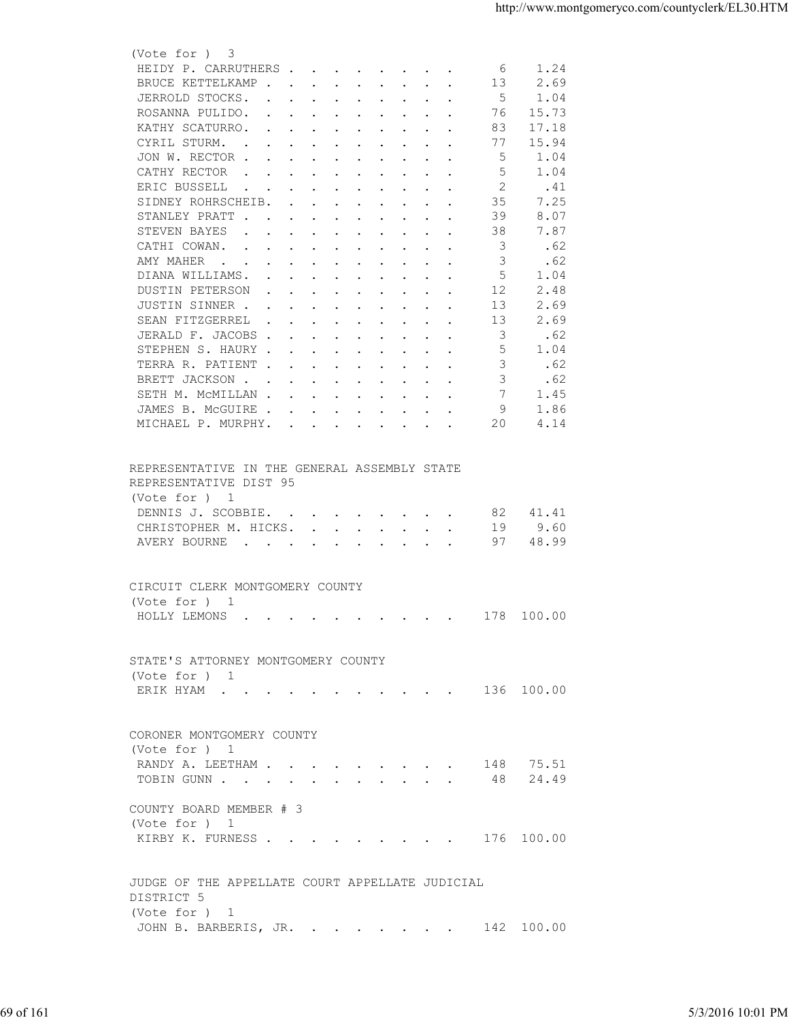| HEIDY P. CARRUTHERS<br>1.24<br>6<br>2.69<br>BRUCE KETTELKAMP<br>13<br>5<br>JERROLD STOCKS.<br>1.04<br>15.73<br>ROSANNA PULIDO.<br>76<br>17.18<br>KATHY SCATURRO.<br>83<br>15.94<br>CYRIL STURM.<br>77<br>1.04<br>JON W. RECTOR<br>-5<br>1.04<br>CATHY RECTOR<br>5<br>ERIC BUSSELL<br>2<br>.41<br>the contract of the contract of the contract of the contract of the contract of the contract of the contract of<br>SIDNEY ROHRSCHEIB.<br>35<br>7.25<br>39<br>8.07<br>STANLEY PRATT<br>STEVEN BAYES<br>38<br>7.87<br>$\mathbf{r}$ , and $\mathbf{r}$ , and $\mathbf{r}$ , and $\mathbf{r}$ , and $\mathbf{r}$<br>3<br>.62<br>CATHI COWAN.<br>3<br>AMY MAHER<br>.62<br>5<br>DIANA WILLIAMS.<br>1.04<br>12<br>2.48<br>DUSTIN PETERSON<br>2.69<br>JUSTIN SINNER<br>13<br>SEAN FITZGERREL<br>13<br>2.69<br>the contract of the contract of the contract of the contract of the contract of the contract of the contract of<br>3<br>.62<br>JERALD F. JACOBS<br>STEPHEN S. HAURY<br>5<br>1.04<br>.62<br>TERRA R. PATIENT<br>3<br>BRETT JACKSON<br>3<br>.62<br>7<br>SETH M. MCMILLAN<br>1.45<br>9<br>JAMES B. MCGUIRE<br>1.86<br>20<br>MICHAEL P. MURPHY.<br>4.14<br>REPRESENTATIVE IN THE GENERAL ASSEMBLY STATE<br>REPRESENTATIVE DIST 95<br>(Vote for ) 1<br>DENNIS J. SCOBBIE.<br>82<br>41.41<br>CHRISTOPHER M. HICKS.<br>9.60<br>19<br>AVERY BOURNE<br>97<br>48.99<br>CIRCUIT CLERK MONTGOMERY COUNTY<br>(Vote for ) 1<br>HOLLY LEMONS 178 100.00<br>STATE'S ATTORNEY MONTGOMERY COUNTY<br>(Vote for ) 1<br>ERIK HYAM 136 100.00<br>CORONER MONTGOMERY COUNTY<br>(Vote for ) 1<br>RANDY A. LEETHAM 148 75.51<br>TOBIN GUNN 48 24.49<br>COUNTY BOARD MEMBER # 3<br>(Vote for ) 1<br>KIRBY K. FURNESS 176 100.00<br>JUDGE OF THE APPELLATE COURT APPELLATE JUDICIAL<br>DISTRICT 5<br>(Vote for ) 1<br>JOHN B. BARBERIS, JR. 142 100.00<br>5/3/2016 10:01 PM | 69 of 161 |  | (Vote for ) 3 |  |
|---------------------------------------------------------------------------------------------------------------------------------------------------------------------------------------------------------------------------------------------------------------------------------------------------------------------------------------------------------------------------------------------------------------------------------------------------------------------------------------------------------------------------------------------------------------------------------------------------------------------------------------------------------------------------------------------------------------------------------------------------------------------------------------------------------------------------------------------------------------------------------------------------------------------------------------------------------------------------------------------------------------------------------------------------------------------------------------------------------------------------------------------------------------------------------------------------------------------------------------------------------------------------------------------------------------------------------------------------------------------------------------------------------------------------------------------------------------------------------------------------------------------------------------------------------------------------------------------------------------------------------------------------------------------------------------------------------------------------------------------------------------------------------------------------------------------------------------------------------|-----------|--|---------------|--|
|                                                                                                                                                                                                                                                                                                                                                                                                                                                                                                                                                                                                                                                                                                                                                                                                                                                                                                                                                                                                                                                                                                                                                                                                                                                                                                                                                                                                                                                                                                                                                                                                                                                                                                                                                                                                                                                         |           |  |               |  |
|                                                                                                                                                                                                                                                                                                                                                                                                                                                                                                                                                                                                                                                                                                                                                                                                                                                                                                                                                                                                                                                                                                                                                                                                                                                                                                                                                                                                                                                                                                                                                                                                                                                                                                                                                                                                                                                         |           |  |               |  |
|                                                                                                                                                                                                                                                                                                                                                                                                                                                                                                                                                                                                                                                                                                                                                                                                                                                                                                                                                                                                                                                                                                                                                                                                                                                                                                                                                                                                                                                                                                                                                                                                                                                                                                                                                                                                                                                         |           |  |               |  |
|                                                                                                                                                                                                                                                                                                                                                                                                                                                                                                                                                                                                                                                                                                                                                                                                                                                                                                                                                                                                                                                                                                                                                                                                                                                                                                                                                                                                                                                                                                                                                                                                                                                                                                                                                                                                                                                         |           |  |               |  |
|                                                                                                                                                                                                                                                                                                                                                                                                                                                                                                                                                                                                                                                                                                                                                                                                                                                                                                                                                                                                                                                                                                                                                                                                                                                                                                                                                                                                                                                                                                                                                                                                                                                                                                                                                                                                                                                         |           |  |               |  |
|                                                                                                                                                                                                                                                                                                                                                                                                                                                                                                                                                                                                                                                                                                                                                                                                                                                                                                                                                                                                                                                                                                                                                                                                                                                                                                                                                                                                                                                                                                                                                                                                                                                                                                                                                                                                                                                         |           |  |               |  |
|                                                                                                                                                                                                                                                                                                                                                                                                                                                                                                                                                                                                                                                                                                                                                                                                                                                                                                                                                                                                                                                                                                                                                                                                                                                                                                                                                                                                                                                                                                                                                                                                                                                                                                                                                                                                                                                         |           |  |               |  |
|                                                                                                                                                                                                                                                                                                                                                                                                                                                                                                                                                                                                                                                                                                                                                                                                                                                                                                                                                                                                                                                                                                                                                                                                                                                                                                                                                                                                                                                                                                                                                                                                                                                                                                                                                                                                                                                         |           |  |               |  |
|                                                                                                                                                                                                                                                                                                                                                                                                                                                                                                                                                                                                                                                                                                                                                                                                                                                                                                                                                                                                                                                                                                                                                                                                                                                                                                                                                                                                                                                                                                                                                                                                                                                                                                                                                                                                                                                         |           |  |               |  |
|                                                                                                                                                                                                                                                                                                                                                                                                                                                                                                                                                                                                                                                                                                                                                                                                                                                                                                                                                                                                                                                                                                                                                                                                                                                                                                                                                                                                                                                                                                                                                                                                                                                                                                                                                                                                                                                         |           |  |               |  |
|                                                                                                                                                                                                                                                                                                                                                                                                                                                                                                                                                                                                                                                                                                                                                                                                                                                                                                                                                                                                                                                                                                                                                                                                                                                                                                                                                                                                                                                                                                                                                                                                                                                                                                                                                                                                                                                         |           |  |               |  |
|                                                                                                                                                                                                                                                                                                                                                                                                                                                                                                                                                                                                                                                                                                                                                                                                                                                                                                                                                                                                                                                                                                                                                                                                                                                                                                                                                                                                                                                                                                                                                                                                                                                                                                                                                                                                                                                         |           |  |               |  |
|                                                                                                                                                                                                                                                                                                                                                                                                                                                                                                                                                                                                                                                                                                                                                                                                                                                                                                                                                                                                                                                                                                                                                                                                                                                                                                                                                                                                                                                                                                                                                                                                                                                                                                                                                                                                                                                         |           |  |               |  |
|                                                                                                                                                                                                                                                                                                                                                                                                                                                                                                                                                                                                                                                                                                                                                                                                                                                                                                                                                                                                                                                                                                                                                                                                                                                                                                                                                                                                                                                                                                                                                                                                                                                                                                                                                                                                                                                         |           |  |               |  |
|                                                                                                                                                                                                                                                                                                                                                                                                                                                                                                                                                                                                                                                                                                                                                                                                                                                                                                                                                                                                                                                                                                                                                                                                                                                                                                                                                                                                                                                                                                                                                                                                                                                                                                                                                                                                                                                         |           |  |               |  |
|                                                                                                                                                                                                                                                                                                                                                                                                                                                                                                                                                                                                                                                                                                                                                                                                                                                                                                                                                                                                                                                                                                                                                                                                                                                                                                                                                                                                                                                                                                                                                                                                                                                                                                                                                                                                                                                         |           |  |               |  |
|                                                                                                                                                                                                                                                                                                                                                                                                                                                                                                                                                                                                                                                                                                                                                                                                                                                                                                                                                                                                                                                                                                                                                                                                                                                                                                                                                                                                                                                                                                                                                                                                                                                                                                                                                                                                                                                         |           |  |               |  |
|                                                                                                                                                                                                                                                                                                                                                                                                                                                                                                                                                                                                                                                                                                                                                                                                                                                                                                                                                                                                                                                                                                                                                                                                                                                                                                                                                                                                                                                                                                                                                                                                                                                                                                                                                                                                                                                         |           |  |               |  |
|                                                                                                                                                                                                                                                                                                                                                                                                                                                                                                                                                                                                                                                                                                                                                                                                                                                                                                                                                                                                                                                                                                                                                                                                                                                                                                                                                                                                                                                                                                                                                                                                                                                                                                                                                                                                                                                         |           |  |               |  |
|                                                                                                                                                                                                                                                                                                                                                                                                                                                                                                                                                                                                                                                                                                                                                                                                                                                                                                                                                                                                                                                                                                                                                                                                                                                                                                                                                                                                                                                                                                                                                                                                                                                                                                                                                                                                                                                         |           |  |               |  |
|                                                                                                                                                                                                                                                                                                                                                                                                                                                                                                                                                                                                                                                                                                                                                                                                                                                                                                                                                                                                                                                                                                                                                                                                                                                                                                                                                                                                                                                                                                                                                                                                                                                                                                                                                                                                                                                         |           |  |               |  |
|                                                                                                                                                                                                                                                                                                                                                                                                                                                                                                                                                                                                                                                                                                                                                                                                                                                                                                                                                                                                                                                                                                                                                                                                                                                                                                                                                                                                                                                                                                                                                                                                                                                                                                                                                                                                                                                         |           |  |               |  |
|                                                                                                                                                                                                                                                                                                                                                                                                                                                                                                                                                                                                                                                                                                                                                                                                                                                                                                                                                                                                                                                                                                                                                                                                                                                                                                                                                                                                                                                                                                                                                                                                                                                                                                                                                                                                                                                         |           |  |               |  |
|                                                                                                                                                                                                                                                                                                                                                                                                                                                                                                                                                                                                                                                                                                                                                                                                                                                                                                                                                                                                                                                                                                                                                                                                                                                                                                                                                                                                                                                                                                                                                                                                                                                                                                                                                                                                                                                         |           |  |               |  |
|                                                                                                                                                                                                                                                                                                                                                                                                                                                                                                                                                                                                                                                                                                                                                                                                                                                                                                                                                                                                                                                                                                                                                                                                                                                                                                                                                                                                                                                                                                                                                                                                                                                                                                                                                                                                                                                         |           |  |               |  |
|                                                                                                                                                                                                                                                                                                                                                                                                                                                                                                                                                                                                                                                                                                                                                                                                                                                                                                                                                                                                                                                                                                                                                                                                                                                                                                                                                                                                                                                                                                                                                                                                                                                                                                                                                                                                                                                         |           |  |               |  |
|                                                                                                                                                                                                                                                                                                                                                                                                                                                                                                                                                                                                                                                                                                                                                                                                                                                                                                                                                                                                                                                                                                                                                                                                                                                                                                                                                                                                                                                                                                                                                                                                                                                                                                                                                                                                                                                         |           |  |               |  |
|                                                                                                                                                                                                                                                                                                                                                                                                                                                                                                                                                                                                                                                                                                                                                                                                                                                                                                                                                                                                                                                                                                                                                                                                                                                                                                                                                                                                                                                                                                                                                                                                                                                                                                                                                                                                                                                         |           |  |               |  |
|                                                                                                                                                                                                                                                                                                                                                                                                                                                                                                                                                                                                                                                                                                                                                                                                                                                                                                                                                                                                                                                                                                                                                                                                                                                                                                                                                                                                                                                                                                                                                                                                                                                                                                                                                                                                                                                         |           |  |               |  |
|                                                                                                                                                                                                                                                                                                                                                                                                                                                                                                                                                                                                                                                                                                                                                                                                                                                                                                                                                                                                                                                                                                                                                                                                                                                                                                                                                                                                                                                                                                                                                                                                                                                                                                                                                                                                                                                         |           |  |               |  |
|                                                                                                                                                                                                                                                                                                                                                                                                                                                                                                                                                                                                                                                                                                                                                                                                                                                                                                                                                                                                                                                                                                                                                                                                                                                                                                                                                                                                                                                                                                                                                                                                                                                                                                                                                                                                                                                         |           |  |               |  |
|                                                                                                                                                                                                                                                                                                                                                                                                                                                                                                                                                                                                                                                                                                                                                                                                                                                                                                                                                                                                                                                                                                                                                                                                                                                                                                                                                                                                                                                                                                                                                                                                                                                                                                                                                                                                                                                         |           |  |               |  |
|                                                                                                                                                                                                                                                                                                                                                                                                                                                                                                                                                                                                                                                                                                                                                                                                                                                                                                                                                                                                                                                                                                                                                                                                                                                                                                                                                                                                                                                                                                                                                                                                                                                                                                                                                                                                                                                         |           |  |               |  |
|                                                                                                                                                                                                                                                                                                                                                                                                                                                                                                                                                                                                                                                                                                                                                                                                                                                                                                                                                                                                                                                                                                                                                                                                                                                                                                                                                                                                                                                                                                                                                                                                                                                                                                                                                                                                                                                         |           |  |               |  |
|                                                                                                                                                                                                                                                                                                                                                                                                                                                                                                                                                                                                                                                                                                                                                                                                                                                                                                                                                                                                                                                                                                                                                                                                                                                                                                                                                                                                                                                                                                                                                                                                                                                                                                                                                                                                                                                         |           |  |               |  |
|                                                                                                                                                                                                                                                                                                                                                                                                                                                                                                                                                                                                                                                                                                                                                                                                                                                                                                                                                                                                                                                                                                                                                                                                                                                                                                                                                                                                                                                                                                                                                                                                                                                                                                                                                                                                                                                         |           |  |               |  |
|                                                                                                                                                                                                                                                                                                                                                                                                                                                                                                                                                                                                                                                                                                                                                                                                                                                                                                                                                                                                                                                                                                                                                                                                                                                                                                                                                                                                                                                                                                                                                                                                                                                                                                                                                                                                                                                         |           |  |               |  |
|                                                                                                                                                                                                                                                                                                                                                                                                                                                                                                                                                                                                                                                                                                                                                                                                                                                                                                                                                                                                                                                                                                                                                                                                                                                                                                                                                                                                                                                                                                                                                                                                                                                                                                                                                                                                                                                         |           |  |               |  |
|                                                                                                                                                                                                                                                                                                                                                                                                                                                                                                                                                                                                                                                                                                                                                                                                                                                                                                                                                                                                                                                                                                                                                                                                                                                                                                                                                                                                                                                                                                                                                                                                                                                                                                                                                                                                                                                         |           |  |               |  |
|                                                                                                                                                                                                                                                                                                                                                                                                                                                                                                                                                                                                                                                                                                                                                                                                                                                                                                                                                                                                                                                                                                                                                                                                                                                                                                                                                                                                                                                                                                                                                                                                                                                                                                                                                                                                                                                         |           |  |               |  |
|                                                                                                                                                                                                                                                                                                                                                                                                                                                                                                                                                                                                                                                                                                                                                                                                                                                                                                                                                                                                                                                                                                                                                                                                                                                                                                                                                                                                                                                                                                                                                                                                                                                                                                                                                                                                                                                         |           |  |               |  |
|                                                                                                                                                                                                                                                                                                                                                                                                                                                                                                                                                                                                                                                                                                                                                                                                                                                                                                                                                                                                                                                                                                                                                                                                                                                                                                                                                                                                                                                                                                                                                                                                                                                                                                                                                                                                                                                         |           |  |               |  |
|                                                                                                                                                                                                                                                                                                                                                                                                                                                                                                                                                                                                                                                                                                                                                                                                                                                                                                                                                                                                                                                                                                                                                                                                                                                                                                                                                                                                                                                                                                                                                                                                                                                                                                                                                                                                                                                         |           |  |               |  |
|                                                                                                                                                                                                                                                                                                                                                                                                                                                                                                                                                                                                                                                                                                                                                                                                                                                                                                                                                                                                                                                                                                                                                                                                                                                                                                                                                                                                                                                                                                                                                                                                                                                                                                                                                                                                                                                         |           |  |               |  |
|                                                                                                                                                                                                                                                                                                                                                                                                                                                                                                                                                                                                                                                                                                                                                                                                                                                                                                                                                                                                                                                                                                                                                                                                                                                                                                                                                                                                                                                                                                                                                                                                                                                                                                                                                                                                                                                         |           |  |               |  |
|                                                                                                                                                                                                                                                                                                                                                                                                                                                                                                                                                                                                                                                                                                                                                                                                                                                                                                                                                                                                                                                                                                                                                                                                                                                                                                                                                                                                                                                                                                                                                                                                                                                                                                                                                                                                                                                         |           |  |               |  |
|                                                                                                                                                                                                                                                                                                                                                                                                                                                                                                                                                                                                                                                                                                                                                                                                                                                                                                                                                                                                                                                                                                                                                                                                                                                                                                                                                                                                                                                                                                                                                                                                                                                                                                                                                                                                                                                         |           |  |               |  |
|                                                                                                                                                                                                                                                                                                                                                                                                                                                                                                                                                                                                                                                                                                                                                                                                                                                                                                                                                                                                                                                                                                                                                                                                                                                                                                                                                                                                                                                                                                                                                                                                                                                                                                                                                                                                                                                         |           |  |               |  |
|                                                                                                                                                                                                                                                                                                                                                                                                                                                                                                                                                                                                                                                                                                                                                                                                                                                                                                                                                                                                                                                                                                                                                                                                                                                                                                                                                                                                                                                                                                                                                                                                                                                                                                                                                                                                                                                         |           |  |               |  |
|                                                                                                                                                                                                                                                                                                                                                                                                                                                                                                                                                                                                                                                                                                                                                                                                                                                                                                                                                                                                                                                                                                                                                                                                                                                                                                                                                                                                                                                                                                                                                                                                                                                                                                                                                                                                                                                         |           |  |               |  |
|                                                                                                                                                                                                                                                                                                                                                                                                                                                                                                                                                                                                                                                                                                                                                                                                                                                                                                                                                                                                                                                                                                                                                                                                                                                                                                                                                                                                                                                                                                                                                                                                                                                                                                                                                                                                                                                         |           |  |               |  |
|                                                                                                                                                                                                                                                                                                                                                                                                                                                                                                                                                                                                                                                                                                                                                                                                                                                                                                                                                                                                                                                                                                                                                                                                                                                                                                                                                                                                                                                                                                                                                                                                                                                                                                                                                                                                                                                         |           |  |               |  |
|                                                                                                                                                                                                                                                                                                                                                                                                                                                                                                                                                                                                                                                                                                                                                                                                                                                                                                                                                                                                                                                                                                                                                                                                                                                                                                                                                                                                                                                                                                                                                                                                                                                                                                                                                                                                                                                         |           |  |               |  |
|                                                                                                                                                                                                                                                                                                                                                                                                                                                                                                                                                                                                                                                                                                                                                                                                                                                                                                                                                                                                                                                                                                                                                                                                                                                                                                                                                                                                                                                                                                                                                                                                                                                                                                                                                                                                                                                         |           |  |               |  |
|                                                                                                                                                                                                                                                                                                                                                                                                                                                                                                                                                                                                                                                                                                                                                                                                                                                                                                                                                                                                                                                                                                                                                                                                                                                                                                                                                                                                                                                                                                                                                                                                                                                                                                                                                                                                                                                         |           |  |               |  |
|                                                                                                                                                                                                                                                                                                                                                                                                                                                                                                                                                                                                                                                                                                                                                                                                                                                                                                                                                                                                                                                                                                                                                                                                                                                                                                                                                                                                                                                                                                                                                                                                                                                                                                                                                                                                                                                         |           |  |               |  |
|                                                                                                                                                                                                                                                                                                                                                                                                                                                                                                                                                                                                                                                                                                                                                                                                                                                                                                                                                                                                                                                                                                                                                                                                                                                                                                                                                                                                                                                                                                                                                                                                                                                                                                                                                                                                                                                         |           |  |               |  |
|                                                                                                                                                                                                                                                                                                                                                                                                                                                                                                                                                                                                                                                                                                                                                                                                                                                                                                                                                                                                                                                                                                                                                                                                                                                                                                                                                                                                                                                                                                                                                                                                                                                                                                                                                                                                                                                         |           |  |               |  |
|                                                                                                                                                                                                                                                                                                                                                                                                                                                                                                                                                                                                                                                                                                                                                                                                                                                                                                                                                                                                                                                                                                                                                                                                                                                                                                                                                                                                                                                                                                                                                                                                                                                                                                                                                                                                                                                         |           |  |               |  |
|                                                                                                                                                                                                                                                                                                                                                                                                                                                                                                                                                                                                                                                                                                                                                                                                                                                                                                                                                                                                                                                                                                                                                                                                                                                                                                                                                                                                                                                                                                                                                                                                                                                                                                                                                                                                                                                         |           |  |               |  |
|                                                                                                                                                                                                                                                                                                                                                                                                                                                                                                                                                                                                                                                                                                                                                                                                                                                                                                                                                                                                                                                                                                                                                                                                                                                                                                                                                                                                                                                                                                                                                                                                                                                                                                                                                                                                                                                         |           |  |               |  |
|                                                                                                                                                                                                                                                                                                                                                                                                                                                                                                                                                                                                                                                                                                                                                                                                                                                                                                                                                                                                                                                                                                                                                                                                                                                                                                                                                                                                                                                                                                                                                                                                                                                                                                                                                                                                                                                         |           |  |               |  |
|                                                                                                                                                                                                                                                                                                                                                                                                                                                                                                                                                                                                                                                                                                                                                                                                                                                                                                                                                                                                                                                                                                                                                                                                                                                                                                                                                                                                                                                                                                                                                                                                                                                                                                                                                                                                                                                         |           |  |               |  |
|                                                                                                                                                                                                                                                                                                                                                                                                                                                                                                                                                                                                                                                                                                                                                                                                                                                                                                                                                                                                                                                                                                                                                                                                                                                                                                                                                                                                                                                                                                                                                                                                                                                                                                                                                                                                                                                         |           |  |               |  |
|                                                                                                                                                                                                                                                                                                                                                                                                                                                                                                                                                                                                                                                                                                                                                                                                                                                                                                                                                                                                                                                                                                                                                                                                                                                                                                                                                                                                                                                                                                                                                                                                                                                                                                                                                                                                                                                         |           |  |               |  |
|                                                                                                                                                                                                                                                                                                                                                                                                                                                                                                                                                                                                                                                                                                                                                                                                                                                                                                                                                                                                                                                                                                                                                                                                                                                                                                                                                                                                                                                                                                                                                                                                                                                                                                                                                                                                                                                         |           |  |               |  |
|                                                                                                                                                                                                                                                                                                                                                                                                                                                                                                                                                                                                                                                                                                                                                                                                                                                                                                                                                                                                                                                                                                                                                                                                                                                                                                                                                                                                                                                                                                                                                                                                                                                                                                                                                                                                                                                         |           |  |               |  |
|                                                                                                                                                                                                                                                                                                                                                                                                                                                                                                                                                                                                                                                                                                                                                                                                                                                                                                                                                                                                                                                                                                                                                                                                                                                                                                                                                                                                                                                                                                                                                                                                                                                                                                                                                                                                                                                         |           |  |               |  |
|                                                                                                                                                                                                                                                                                                                                                                                                                                                                                                                                                                                                                                                                                                                                                                                                                                                                                                                                                                                                                                                                                                                                                                                                                                                                                                                                                                                                                                                                                                                                                                                                                                                                                                                                                                                                                                                         |           |  |               |  |
|                                                                                                                                                                                                                                                                                                                                                                                                                                                                                                                                                                                                                                                                                                                                                                                                                                                                                                                                                                                                                                                                                                                                                                                                                                                                                                                                                                                                                                                                                                                                                                                                                                                                                                                                                                                                                                                         |           |  |               |  |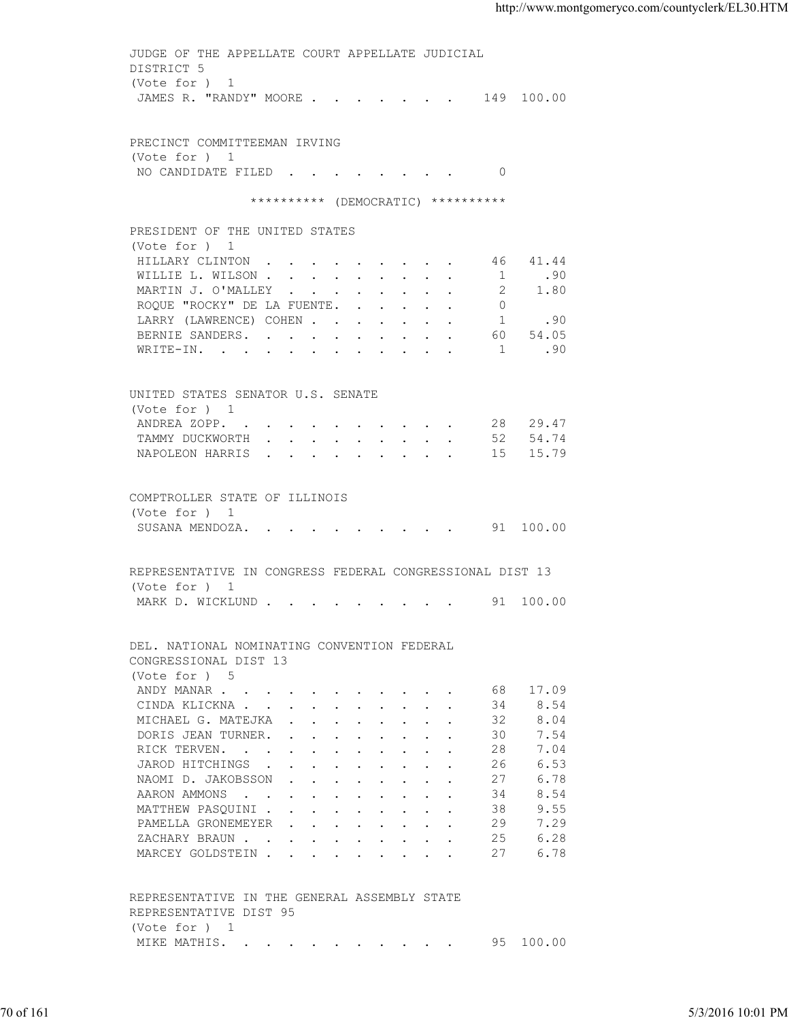| DISTRICT 5<br>(Vote for ) 1<br>JAMES R. "RANDY" MOORE 149 100.00<br>PRECINCT COMMITTEEMAN IRVING<br>(Vote for ) 1<br>NO CANDIDATE FILED 0<br>********** (DEMOCRATIC) **********<br>PRESIDENT OF THE UNITED STATES<br>(Vote for ) 1<br>HILLARY CLINTON 46 41.44<br>1 .90<br>WILLIE L. WILSON<br>$\overline{2}$<br>MARTIN J. O'MALLEY<br>1.80<br>$\overline{0}$<br>ROQUE "ROCKY" DE LA FUENTE.<br>1.90<br>LARRY (LAWRENCE) COHEN<br>BERNIE SANDERS. 60 54.05<br>WRITE-IN. 1 .90<br>UNITED STATES SENATOR U.S. SENATE<br>(Vote for ) 1<br>ANDREA ZOPP. 28 29.47<br>TAMMY DUCKWORTH 52 54.74<br>NAPOLEON HARRIS 15 15.79<br>COMPTROLLER STATE OF ILLINOIS<br>(Vote for ) 1<br>SUSANA MENDOZA. 91 100.00<br>REPRESENTATIVE IN CONGRESS FEDERAL CONGRESSIONAL DIST 13<br>(Vote for ) 1<br>MARK D. WICKLUND 91 100.00<br>DEL. NATIONAL NOMINATING CONVENTION FEDERAL<br>CONGRESSIONAL DIST 13<br>(Vote for ) 5<br>68 17.09<br>ANDY MANAR<br>8.54<br>CINDA KLICKNA<br>34<br>8.04<br>MICHAEL G. MATEJKA<br>32<br>7.54<br>DORIS JEAN TURNER.<br>30<br>7.04<br>RICK TERVEN.<br>28<br>6.53<br>JAROD HITCHINGS<br>26<br>6.78<br>NAOMI D. JAKOBSSON<br>27<br>8.54<br>AARON AMMONS<br>34<br>9.55<br>MATTHEW PASQUINI<br>38<br>29<br>7.29<br>PAMELLA GRONEMEYER<br>ZACHARY BRAUN.<br>25<br>6.28<br>27<br>6.78<br>MARCEY GOLDSTEIN<br>REPRESENTATIVE IN THE GENERAL ASSEMBLY STATE<br>REPRESENTATIVE DIST 95<br>(Vote for ) 1<br>MIKE MATHIS. 95 100.00<br>5/3/2016 10:01 PM | 70 of 161 |  | JUDGE OF THE APPELLATE COURT APPELLATE JUDICIAL |  |
|-------------------------------------------------------------------------------------------------------------------------------------------------------------------------------------------------------------------------------------------------------------------------------------------------------------------------------------------------------------------------------------------------------------------------------------------------------------------------------------------------------------------------------------------------------------------------------------------------------------------------------------------------------------------------------------------------------------------------------------------------------------------------------------------------------------------------------------------------------------------------------------------------------------------------------------------------------------------------------------------------------------------------------------------------------------------------------------------------------------------------------------------------------------------------------------------------------------------------------------------------------------------------------------------------------------------------------------------------------------------------------------------------------------------------------------------------------------|-----------|--|-------------------------------------------------|--|
|                                                                                                                                                                                                                                                                                                                                                                                                                                                                                                                                                                                                                                                                                                                                                                                                                                                                                                                                                                                                                                                                                                                                                                                                                                                                                                                                                                                                                                                             |           |  |                                                 |  |
|                                                                                                                                                                                                                                                                                                                                                                                                                                                                                                                                                                                                                                                                                                                                                                                                                                                                                                                                                                                                                                                                                                                                                                                                                                                                                                                                                                                                                                                             |           |  |                                                 |  |
|                                                                                                                                                                                                                                                                                                                                                                                                                                                                                                                                                                                                                                                                                                                                                                                                                                                                                                                                                                                                                                                                                                                                                                                                                                                                                                                                                                                                                                                             |           |  |                                                 |  |
|                                                                                                                                                                                                                                                                                                                                                                                                                                                                                                                                                                                                                                                                                                                                                                                                                                                                                                                                                                                                                                                                                                                                                                                                                                                                                                                                                                                                                                                             |           |  |                                                 |  |
|                                                                                                                                                                                                                                                                                                                                                                                                                                                                                                                                                                                                                                                                                                                                                                                                                                                                                                                                                                                                                                                                                                                                                                                                                                                                                                                                                                                                                                                             |           |  |                                                 |  |
|                                                                                                                                                                                                                                                                                                                                                                                                                                                                                                                                                                                                                                                                                                                                                                                                                                                                                                                                                                                                                                                                                                                                                                                                                                                                                                                                                                                                                                                             |           |  |                                                 |  |
|                                                                                                                                                                                                                                                                                                                                                                                                                                                                                                                                                                                                                                                                                                                                                                                                                                                                                                                                                                                                                                                                                                                                                                                                                                                                                                                                                                                                                                                             |           |  |                                                 |  |
|                                                                                                                                                                                                                                                                                                                                                                                                                                                                                                                                                                                                                                                                                                                                                                                                                                                                                                                                                                                                                                                                                                                                                                                                                                                                                                                                                                                                                                                             |           |  |                                                 |  |
|                                                                                                                                                                                                                                                                                                                                                                                                                                                                                                                                                                                                                                                                                                                                                                                                                                                                                                                                                                                                                                                                                                                                                                                                                                                                                                                                                                                                                                                             |           |  |                                                 |  |
|                                                                                                                                                                                                                                                                                                                                                                                                                                                                                                                                                                                                                                                                                                                                                                                                                                                                                                                                                                                                                                                                                                                                                                                                                                                                                                                                                                                                                                                             |           |  |                                                 |  |
|                                                                                                                                                                                                                                                                                                                                                                                                                                                                                                                                                                                                                                                                                                                                                                                                                                                                                                                                                                                                                                                                                                                                                                                                                                                                                                                                                                                                                                                             |           |  |                                                 |  |
|                                                                                                                                                                                                                                                                                                                                                                                                                                                                                                                                                                                                                                                                                                                                                                                                                                                                                                                                                                                                                                                                                                                                                                                                                                                                                                                                                                                                                                                             |           |  |                                                 |  |
|                                                                                                                                                                                                                                                                                                                                                                                                                                                                                                                                                                                                                                                                                                                                                                                                                                                                                                                                                                                                                                                                                                                                                                                                                                                                                                                                                                                                                                                             |           |  |                                                 |  |
|                                                                                                                                                                                                                                                                                                                                                                                                                                                                                                                                                                                                                                                                                                                                                                                                                                                                                                                                                                                                                                                                                                                                                                                                                                                                                                                                                                                                                                                             |           |  |                                                 |  |
|                                                                                                                                                                                                                                                                                                                                                                                                                                                                                                                                                                                                                                                                                                                                                                                                                                                                                                                                                                                                                                                                                                                                                                                                                                                                                                                                                                                                                                                             |           |  |                                                 |  |
|                                                                                                                                                                                                                                                                                                                                                                                                                                                                                                                                                                                                                                                                                                                                                                                                                                                                                                                                                                                                                                                                                                                                                                                                                                                                                                                                                                                                                                                             |           |  |                                                 |  |
|                                                                                                                                                                                                                                                                                                                                                                                                                                                                                                                                                                                                                                                                                                                                                                                                                                                                                                                                                                                                                                                                                                                                                                                                                                                                                                                                                                                                                                                             |           |  |                                                 |  |
|                                                                                                                                                                                                                                                                                                                                                                                                                                                                                                                                                                                                                                                                                                                                                                                                                                                                                                                                                                                                                                                                                                                                                                                                                                                                                                                                                                                                                                                             |           |  |                                                 |  |
|                                                                                                                                                                                                                                                                                                                                                                                                                                                                                                                                                                                                                                                                                                                                                                                                                                                                                                                                                                                                                                                                                                                                                                                                                                                                                                                                                                                                                                                             |           |  |                                                 |  |
|                                                                                                                                                                                                                                                                                                                                                                                                                                                                                                                                                                                                                                                                                                                                                                                                                                                                                                                                                                                                                                                                                                                                                                                                                                                                                                                                                                                                                                                             |           |  |                                                 |  |
|                                                                                                                                                                                                                                                                                                                                                                                                                                                                                                                                                                                                                                                                                                                                                                                                                                                                                                                                                                                                                                                                                                                                                                                                                                                                                                                                                                                                                                                             |           |  |                                                 |  |
|                                                                                                                                                                                                                                                                                                                                                                                                                                                                                                                                                                                                                                                                                                                                                                                                                                                                                                                                                                                                                                                                                                                                                                                                                                                                                                                                                                                                                                                             |           |  |                                                 |  |
|                                                                                                                                                                                                                                                                                                                                                                                                                                                                                                                                                                                                                                                                                                                                                                                                                                                                                                                                                                                                                                                                                                                                                                                                                                                                                                                                                                                                                                                             |           |  |                                                 |  |
|                                                                                                                                                                                                                                                                                                                                                                                                                                                                                                                                                                                                                                                                                                                                                                                                                                                                                                                                                                                                                                                                                                                                                                                                                                                                                                                                                                                                                                                             |           |  |                                                 |  |
|                                                                                                                                                                                                                                                                                                                                                                                                                                                                                                                                                                                                                                                                                                                                                                                                                                                                                                                                                                                                                                                                                                                                                                                                                                                                                                                                                                                                                                                             |           |  |                                                 |  |
|                                                                                                                                                                                                                                                                                                                                                                                                                                                                                                                                                                                                                                                                                                                                                                                                                                                                                                                                                                                                                                                                                                                                                                                                                                                                                                                                                                                                                                                             |           |  |                                                 |  |
|                                                                                                                                                                                                                                                                                                                                                                                                                                                                                                                                                                                                                                                                                                                                                                                                                                                                                                                                                                                                                                                                                                                                                                                                                                                                                                                                                                                                                                                             |           |  |                                                 |  |
|                                                                                                                                                                                                                                                                                                                                                                                                                                                                                                                                                                                                                                                                                                                                                                                                                                                                                                                                                                                                                                                                                                                                                                                                                                                                                                                                                                                                                                                             |           |  |                                                 |  |
|                                                                                                                                                                                                                                                                                                                                                                                                                                                                                                                                                                                                                                                                                                                                                                                                                                                                                                                                                                                                                                                                                                                                                                                                                                                                                                                                                                                                                                                             |           |  |                                                 |  |
|                                                                                                                                                                                                                                                                                                                                                                                                                                                                                                                                                                                                                                                                                                                                                                                                                                                                                                                                                                                                                                                                                                                                                                                                                                                                                                                                                                                                                                                             |           |  |                                                 |  |
|                                                                                                                                                                                                                                                                                                                                                                                                                                                                                                                                                                                                                                                                                                                                                                                                                                                                                                                                                                                                                                                                                                                                                                                                                                                                                                                                                                                                                                                             |           |  |                                                 |  |
|                                                                                                                                                                                                                                                                                                                                                                                                                                                                                                                                                                                                                                                                                                                                                                                                                                                                                                                                                                                                                                                                                                                                                                                                                                                                                                                                                                                                                                                             |           |  |                                                 |  |
|                                                                                                                                                                                                                                                                                                                                                                                                                                                                                                                                                                                                                                                                                                                                                                                                                                                                                                                                                                                                                                                                                                                                                                                                                                                                                                                                                                                                                                                             |           |  |                                                 |  |
|                                                                                                                                                                                                                                                                                                                                                                                                                                                                                                                                                                                                                                                                                                                                                                                                                                                                                                                                                                                                                                                                                                                                                                                                                                                                                                                                                                                                                                                             |           |  |                                                 |  |
|                                                                                                                                                                                                                                                                                                                                                                                                                                                                                                                                                                                                                                                                                                                                                                                                                                                                                                                                                                                                                                                                                                                                                                                                                                                                                                                                                                                                                                                             |           |  |                                                 |  |
|                                                                                                                                                                                                                                                                                                                                                                                                                                                                                                                                                                                                                                                                                                                                                                                                                                                                                                                                                                                                                                                                                                                                                                                                                                                                                                                                                                                                                                                             |           |  |                                                 |  |
|                                                                                                                                                                                                                                                                                                                                                                                                                                                                                                                                                                                                                                                                                                                                                                                                                                                                                                                                                                                                                                                                                                                                                                                                                                                                                                                                                                                                                                                             |           |  |                                                 |  |
|                                                                                                                                                                                                                                                                                                                                                                                                                                                                                                                                                                                                                                                                                                                                                                                                                                                                                                                                                                                                                                                                                                                                                                                                                                                                                                                                                                                                                                                             |           |  |                                                 |  |
|                                                                                                                                                                                                                                                                                                                                                                                                                                                                                                                                                                                                                                                                                                                                                                                                                                                                                                                                                                                                                                                                                                                                                                                                                                                                                                                                                                                                                                                             |           |  |                                                 |  |
|                                                                                                                                                                                                                                                                                                                                                                                                                                                                                                                                                                                                                                                                                                                                                                                                                                                                                                                                                                                                                                                                                                                                                                                                                                                                                                                                                                                                                                                             |           |  |                                                 |  |
|                                                                                                                                                                                                                                                                                                                                                                                                                                                                                                                                                                                                                                                                                                                                                                                                                                                                                                                                                                                                                                                                                                                                                                                                                                                                                                                                                                                                                                                             |           |  |                                                 |  |
|                                                                                                                                                                                                                                                                                                                                                                                                                                                                                                                                                                                                                                                                                                                                                                                                                                                                                                                                                                                                                                                                                                                                                                                                                                                                                                                                                                                                                                                             |           |  |                                                 |  |
|                                                                                                                                                                                                                                                                                                                                                                                                                                                                                                                                                                                                                                                                                                                                                                                                                                                                                                                                                                                                                                                                                                                                                                                                                                                                                                                                                                                                                                                             |           |  |                                                 |  |
|                                                                                                                                                                                                                                                                                                                                                                                                                                                                                                                                                                                                                                                                                                                                                                                                                                                                                                                                                                                                                                                                                                                                                                                                                                                                                                                                                                                                                                                             |           |  |                                                 |  |
|                                                                                                                                                                                                                                                                                                                                                                                                                                                                                                                                                                                                                                                                                                                                                                                                                                                                                                                                                                                                                                                                                                                                                                                                                                                                                                                                                                                                                                                             |           |  |                                                 |  |
|                                                                                                                                                                                                                                                                                                                                                                                                                                                                                                                                                                                                                                                                                                                                                                                                                                                                                                                                                                                                                                                                                                                                                                                                                                                                                                                                                                                                                                                             |           |  |                                                 |  |
|                                                                                                                                                                                                                                                                                                                                                                                                                                                                                                                                                                                                                                                                                                                                                                                                                                                                                                                                                                                                                                                                                                                                                                                                                                                                                                                                                                                                                                                             |           |  |                                                 |  |
|                                                                                                                                                                                                                                                                                                                                                                                                                                                                                                                                                                                                                                                                                                                                                                                                                                                                                                                                                                                                                                                                                                                                                                                                                                                                                                                                                                                                                                                             |           |  |                                                 |  |
|                                                                                                                                                                                                                                                                                                                                                                                                                                                                                                                                                                                                                                                                                                                                                                                                                                                                                                                                                                                                                                                                                                                                                                                                                                                                                                                                                                                                                                                             |           |  |                                                 |  |
|                                                                                                                                                                                                                                                                                                                                                                                                                                                                                                                                                                                                                                                                                                                                                                                                                                                                                                                                                                                                                                                                                                                                                                                                                                                                                                                                                                                                                                                             |           |  |                                                 |  |
|                                                                                                                                                                                                                                                                                                                                                                                                                                                                                                                                                                                                                                                                                                                                                                                                                                                                                                                                                                                                                                                                                                                                                                                                                                                                                                                                                                                                                                                             |           |  |                                                 |  |
|                                                                                                                                                                                                                                                                                                                                                                                                                                                                                                                                                                                                                                                                                                                                                                                                                                                                                                                                                                                                                                                                                                                                                                                                                                                                                                                                                                                                                                                             |           |  |                                                 |  |
|                                                                                                                                                                                                                                                                                                                                                                                                                                                                                                                                                                                                                                                                                                                                                                                                                                                                                                                                                                                                                                                                                                                                                                                                                                                                                                                                                                                                                                                             |           |  |                                                 |  |
|                                                                                                                                                                                                                                                                                                                                                                                                                                                                                                                                                                                                                                                                                                                                                                                                                                                                                                                                                                                                                                                                                                                                                                                                                                                                                                                                                                                                                                                             |           |  |                                                 |  |
|                                                                                                                                                                                                                                                                                                                                                                                                                                                                                                                                                                                                                                                                                                                                                                                                                                                                                                                                                                                                                                                                                                                                                                                                                                                                                                                                                                                                                                                             |           |  |                                                 |  |
|                                                                                                                                                                                                                                                                                                                                                                                                                                                                                                                                                                                                                                                                                                                                                                                                                                                                                                                                                                                                                                                                                                                                                                                                                                                                                                                                                                                                                                                             |           |  |                                                 |  |
|                                                                                                                                                                                                                                                                                                                                                                                                                                                                                                                                                                                                                                                                                                                                                                                                                                                                                                                                                                                                                                                                                                                                                                                                                                                                                                                                                                                                                                                             |           |  |                                                 |  |
|                                                                                                                                                                                                                                                                                                                                                                                                                                                                                                                                                                                                                                                                                                                                                                                                                                                                                                                                                                                                                                                                                                                                                                                                                                                                                                                                                                                                                                                             |           |  |                                                 |  |
|                                                                                                                                                                                                                                                                                                                                                                                                                                                                                                                                                                                                                                                                                                                                                                                                                                                                                                                                                                                                                                                                                                                                                                                                                                                                                                                                                                                                                                                             |           |  |                                                 |  |
|                                                                                                                                                                                                                                                                                                                                                                                                                                                                                                                                                                                                                                                                                                                                                                                                                                                                                                                                                                                                                                                                                                                                                                                                                                                                                                                                                                                                                                                             |           |  |                                                 |  |
|                                                                                                                                                                                                                                                                                                                                                                                                                                                                                                                                                                                                                                                                                                                                                                                                                                                                                                                                                                                                                                                                                                                                                                                                                                                                                                                                                                                                                                                             |           |  |                                                 |  |
|                                                                                                                                                                                                                                                                                                                                                                                                                                                                                                                                                                                                                                                                                                                                                                                                                                                                                                                                                                                                                                                                                                                                                                                                                                                                                                                                                                                                                                                             |           |  |                                                 |  |
|                                                                                                                                                                                                                                                                                                                                                                                                                                                                                                                                                                                                                                                                                                                                                                                                                                                                                                                                                                                                                                                                                                                                                                                                                                                                                                                                                                                                                                                             |           |  |                                                 |  |
|                                                                                                                                                                                                                                                                                                                                                                                                                                                                                                                                                                                                                                                                                                                                                                                                                                                                                                                                                                                                                                                                                                                                                                                                                                                                                                                                                                                                                                                             |           |  |                                                 |  |
|                                                                                                                                                                                                                                                                                                                                                                                                                                                                                                                                                                                                                                                                                                                                                                                                                                                                                                                                                                                                                                                                                                                                                                                                                                                                                                                                                                                                                                                             |           |  |                                                 |  |
|                                                                                                                                                                                                                                                                                                                                                                                                                                                                                                                                                                                                                                                                                                                                                                                                                                                                                                                                                                                                                                                                                                                                                                                                                                                                                                                                                                                                                                                             |           |  |                                                 |  |
|                                                                                                                                                                                                                                                                                                                                                                                                                                                                                                                                                                                                                                                                                                                                                                                                                                                                                                                                                                                                                                                                                                                                                                                                                                                                                                                                                                                                                                                             |           |  |                                                 |  |
|                                                                                                                                                                                                                                                                                                                                                                                                                                                                                                                                                                                                                                                                                                                                                                                                                                                                                                                                                                                                                                                                                                                                                                                                                                                                                                                                                                                                                                                             |           |  |                                                 |  |
|                                                                                                                                                                                                                                                                                                                                                                                                                                                                                                                                                                                                                                                                                                                                                                                                                                                                                                                                                                                                                                                                                                                                                                                                                                                                                                                                                                                                                                                             |           |  |                                                 |  |
|                                                                                                                                                                                                                                                                                                                                                                                                                                                                                                                                                                                                                                                                                                                                                                                                                                                                                                                                                                                                                                                                                                                                                                                                                                                                                                                                                                                                                                                             |           |  |                                                 |  |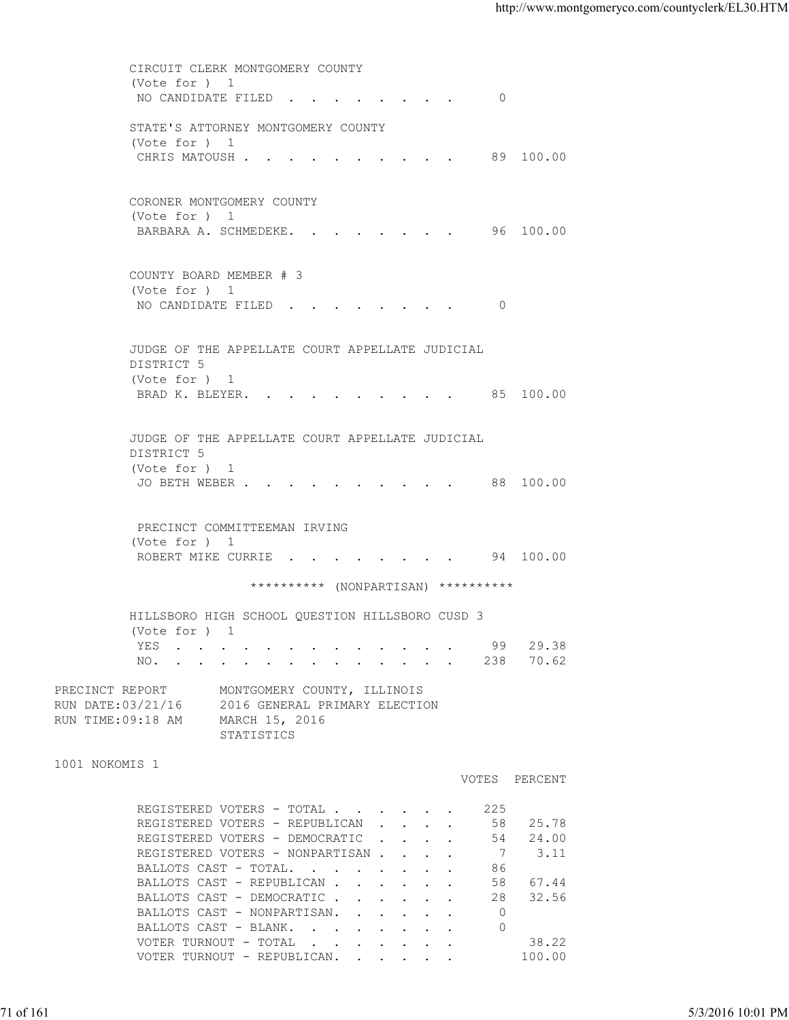CIRCUIT CLERK MONTGOMERY COUNTY (Vote for ) 1 NO CANDIDATE FILED . . . . . . . . 0 STATE'S ATTORNEY MONTGOMERY COUNTY (Vote for ) 1 CHRIS MATOUSH . . . . . . . . . . 89 100.00 CORONER MONTGOMERY COUNTY (Vote for ) 1 BARBARA A. SCHMEDEKE. . . . . . . . 96 100.00 COUNTY BOARD MEMBER # 3 (Vote for ) 1 NO CANDIDATE FILED . . . . . . . . 0 JUDGE OF THE APPELLATE COURT APPELLATE JUDICIAL DISTRICT 5 (Vote for ) 1 BRAD K. BLEYER. . . . . . . . . . 85 100.00 JUDGE OF THE APPELLATE COURT APPELLATE JUDICIAL DISTRICT 5 (Vote for ) 1 JO BETH WEBER . . . . . . . . . . 88 100.00 PRECINCT COMMITTEEMAN IRVING (Vote for ) 1 ROBERT MIKE CURRIE . . . . . . . . 94 100.00 \*\*\*\*\*\*\*\*\*\* (NONPARTISAN) \*\*\*\*\*\*\*\*\*\* HILLSBORO HIGH SCHOOL QUESTION HILLSBORO CUSD 3 (Vote for ) 1 YES . . . . . . . . . . . . . 99 29.38 NO. . . . . . . . . . . . . . 238 70.62 PRECINCT REPORT MONTGOMERY COUNTY, ILLINOIS RUN DATE:03/21/16 2016 GENERAL PRIMARY ELECTION RUN TIME:09:18 AM MARCH 15, 2016 STATISTICS 1001 NOKOMIS 1 VOTES PERCENT REGISTERED VOTERS - TOTAL . . . . . . 225 REGISTERED VOTERS - REPUBLICAN . . . . 58 25.78 REGISTERED VOTERS - DEMOCRATIC . . . . 54 24.00 REGISTERED VOTERS - NONPARTISAN . . . . 7 3.11 BALLOTS CAST - TOTAL. . . . . . . . 86<br>BALLOTS CAST - REPUBLICAN . . . . . . 58 67.44 BALLOTS CAST - REPUBLICAN . . . . . . BALLOTS CAST - DEMOCRATIC . . . . . 28 32.56 BALLOTS CAST - NONPARTISAN. . . . . . 0 BALLOTS CAST - BLANK. . . . . . . . 0 VOTER TURNOUT - TOTAL . . . . . . . . 38.22 VOTER TURNOUT - REPUBLICAN. . . . . . 100.00 71 of 161 5/3/2016 10:01 PM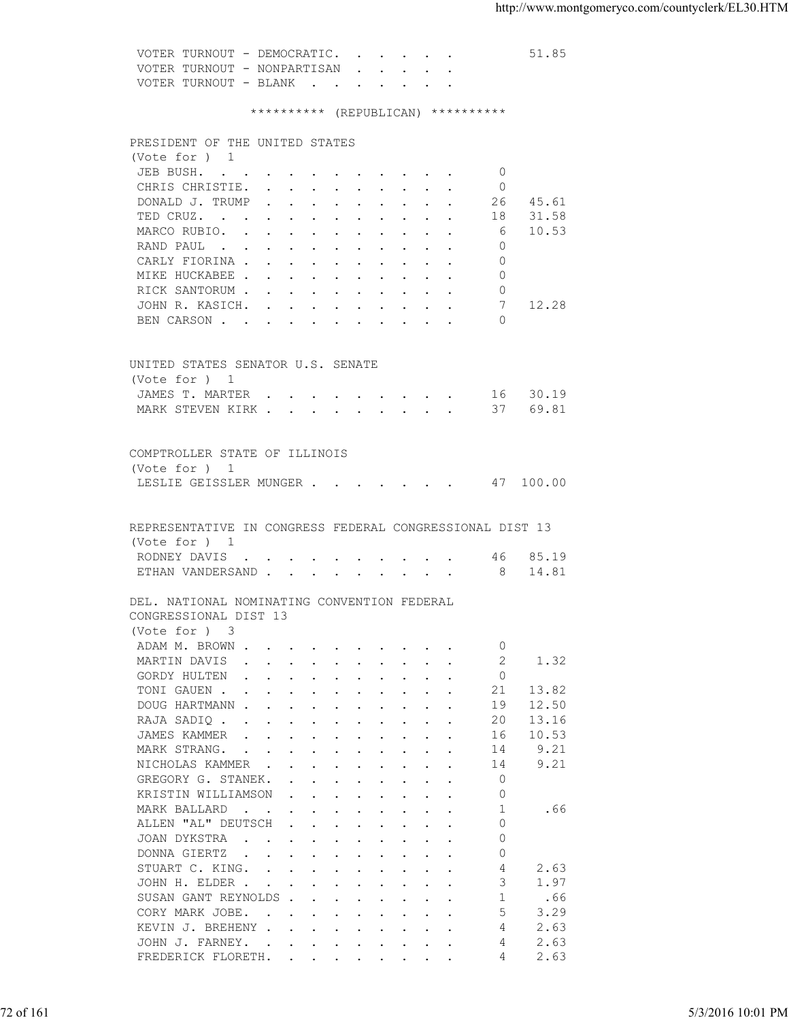VOTER TURNOUT - DEMOCRATIC. . . . . . 51.85 VOTER TURNOUT - NONPARTISAN . . . . . VOTER TURNOUT - BLANK . . . . . \*\*\*\*\*\*\*\*\*\* (REPUBLICAN) \*\*\*\*\*\*\*\*\*\* PRESIDENT OF THE UNITED STATES (Vote for ) 1 JEB BUSH. . . . . . . . . . . 0 CHRIS CHRISTIE. . . . . . . . . 0 DONALD J. TRUMP . . . . . . . . . . 26 45.61<br>TED CRUZ. . . . . . . . . . . . 18 31.58 TED CRUZ. . . . . . . . . . . . 18 MARCO RUBIO. . . . . . . . . . . . 6 10.53 RAND PAUL . . . . . . . . . . . 0 CARLY FIORINA . . . . . . . . . . 0 MIKE HUCKABEE . . . . . . . . . . 0 RICK SANTORUM . . . . . . . . . . . 0<br>JOHN R. KASICH. . . . . . . . . . . . 7 JOHN R. KASICH. . . . . . . . . . 7 12.28 BEN CARSON . . . . . . . . . . 0 UNITED STATES SENATOR U.S. SENATE (Vote for ) 1 JAMES T. MARTER . . . . . . . . . 16 30.19 MARK STEVEN KIRK . . . . . . . . . . 37 69.81 COMPTROLLER STATE OF ILLINOIS (Vote for ) 1 LESLIE GEISSLER MUNGER . . . . . . . 47 100.00 REPRESENTATIVE IN CONGRESS FEDERAL CONGRESSIONAL DIST 13 (Vote for ) 1 RODNEY DAVIS  $\ldots$  . . . . . . . . 46 85.19 ETHAN VANDERSAND . . . . . . . . . 8 14.81 DEL. NATIONAL NOMINATING CONVENTION FEDERAL CONGRESSIONAL DIST 13 (Vote for ) 3 ADAM M. BROWN . . . . . . . . . . . 0<br>MARTIN DAVIS . . . . . . . . . . 2 1.32 MARTIN DAVIS . . . . . . . . . . GORDY HULTEN . . . . . . . . . . 0 TONI GAUEN . . . . . . . . . . . 21 13.82 DOUG HARTMANN . . . . . . . . . . . 19 12.50<br>RAJA SADIO . . . . . . . . . . . 20 13.16 RAJA SADIO . . . . . . . . . . . JAMES KAMMER . . . . . . . . . . 16 10.53 MARK STRANG. . . . . . . . . . . 14 9.21 NICHOLAS KAMMER . . . . . . . . . 14 9.21 GREGORY G. STANEK. . . . . . . . . . 0<br>
FRISTIN WILLIAMSON . . . . . . . . 0 XRISTIN WILLIAMSON . . . . . . . . 0<br>MARK BALLARD . . . . . . . . . . 1 MARK BALLARD . . . . . . . . . . . 1 .66 ALLEN "AL" DEUTSCH . . . . . . . . 0 JOAN DYKSTRA . . . . . . . . . . 0 DONNA GIERTZ . . . . . . . . . 0 STUART C. KING. . . . . . . . . . 4 2.63 JOHN H. ELDER . . . . . . . . . . . 3 1.97 SUSAN GANT REYNOLDS . . . . . . . . 1 .66 CORY MARK JOBE. . . . . . . . . . 5 3.29 KEVIN J. BREHENY . . . . . . . . . 4 2.63 JOHN J. FARNEY. . . . . . . . . . . 4 2.63 72 of 161 5/3/2016 10:01 PM

FREDERICK FLORETH. . . . . . . . . 4 2.63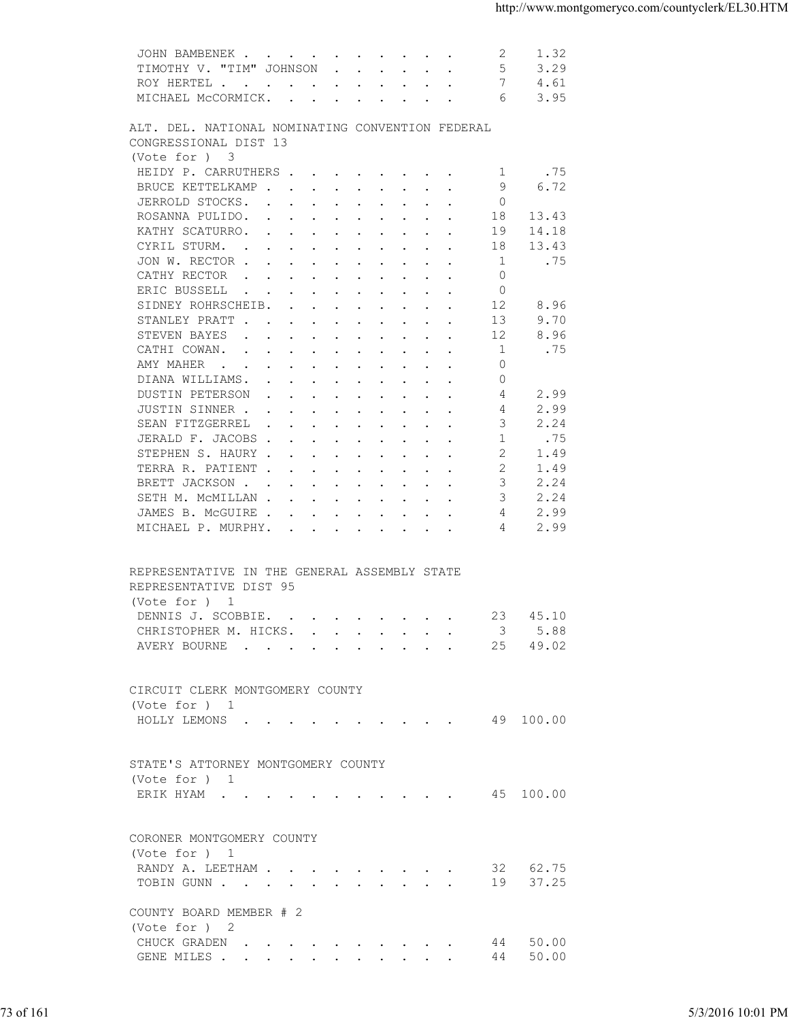| TIMOTHY V. "TIM" JOHNSON<br>.5<br>3.29<br>7<br>ROY HERTEL<br>4.61<br>MICHAEL MCCORMICK.<br>6<br>3.95<br>ALT. DEL. NATIONAL NOMINATING CONVENTION FEDERAL<br>CONGRESSIONAL DIST 13<br>(Vote for ) 3<br>HEIDY P. CARRUTHERS<br>.75<br>-1<br>6.72<br>BRUCE KETTELKAMP<br>9<br>JERROLD STOCKS.<br>$\circ$<br>ROSANNA PULIDO.<br>18<br>13.43<br>KATHY SCATURRO.<br>19<br>14.18<br>CYRIL STURM.<br>18<br>13.43<br>.75<br>JON W. RECTOR<br>- 1<br>CATHY RECTOR<br>$\Omega$<br>$\circ$<br>ERIC BUSSELL<br>the contract of the contract of the contract of the contract of the contract of the contract of the contract of<br>12<br>8.96<br>SIDNEY ROHRSCHEIB.<br>9.70<br>STANLEY PRATT<br>13<br>8.96<br>STEVEN BAYES<br>12<br>.75<br>CATHI COWAN.<br>1<br>AMY MAHER<br>$\mathbf{0}$<br>$\circ$<br>DIANA WILLIAMS.<br>DUSTIN PETERSON<br>2.99<br>4<br>JUSTIN SINNER<br>2.99<br>4<br>SEAN FITZGERREL<br>3<br>2.24<br>-1<br>.75<br>JERALD F. JACOBS<br>$\overline{2}$<br>STEPHEN S. HAURY<br>1.49<br>2<br>TERRA R. PATIENT<br>1.49<br>3<br>2.24<br>BRETT JACKSON<br>2.24<br>SETH M. MCMILLAN<br>3<br>2.99<br>JAMES B. MCGUIRE<br>4<br>2.99<br>MICHAEL P. MURPHY.<br>4<br>REPRESENTATIVE IN THE GENERAL ASSEMBLY STATE<br>REPRESENTATIVE DIST 95<br>(Vote for ) 1<br>DENNIS J. SCOBBIE.<br>23 45.10<br>CHRISTOPHER M. HICKS.<br>3<br>5.88<br>49.02<br>AVERY BOURNE 25<br>CIRCUIT CLERK MONTGOMERY COUNTY<br>(Vote for ) 1<br>HOLLY LEMONS (CONSTRUCTED AND ACCORDING A CONSTRUCTED ASSESSED A LOG AND A 29 100.00<br>STATE'S ATTORNEY MONTGOMERY COUNTY<br>(Vote for ) 1<br>ERIK HYAM 45 100.00<br>CORONER MONTGOMERY COUNTY<br>(Vote for ) 1<br>RANDY A. LEETHAM<br>32 62.75<br>37.25<br>TOBIN GUNN<br>19<br>COUNTY BOARD MEMBER # 2<br>(Vote for ) 2<br>44 50.00<br>CHUCK GRADEN<br>50.00<br>44<br>GENE MILES<br>73 of 161<br>5/3/2016 10:01 PM | JOHN BAMBENEK | 2 | 1.32 |  |
|---------------------------------------------------------------------------------------------------------------------------------------------------------------------------------------------------------------------------------------------------------------------------------------------------------------------------------------------------------------------------------------------------------------------------------------------------------------------------------------------------------------------------------------------------------------------------------------------------------------------------------------------------------------------------------------------------------------------------------------------------------------------------------------------------------------------------------------------------------------------------------------------------------------------------------------------------------------------------------------------------------------------------------------------------------------------------------------------------------------------------------------------------------------------------------------------------------------------------------------------------------------------------------------------------------------------------------------------------------------------------------------------------------------------------------------------------------------------------------------------------------------------------------------------------------------------------------------------------------------------------------------------------------------------------------------------------------------------------------------------------------------------------------------------------------------------------------------|---------------|---|------|--|
|                                                                                                                                                                                                                                                                                                                                                                                                                                                                                                                                                                                                                                                                                                                                                                                                                                                                                                                                                                                                                                                                                                                                                                                                                                                                                                                                                                                                                                                                                                                                                                                                                                                                                                                                                                                                                                       |               |   |      |  |
|                                                                                                                                                                                                                                                                                                                                                                                                                                                                                                                                                                                                                                                                                                                                                                                                                                                                                                                                                                                                                                                                                                                                                                                                                                                                                                                                                                                                                                                                                                                                                                                                                                                                                                                                                                                                                                       |               |   |      |  |
|                                                                                                                                                                                                                                                                                                                                                                                                                                                                                                                                                                                                                                                                                                                                                                                                                                                                                                                                                                                                                                                                                                                                                                                                                                                                                                                                                                                                                                                                                                                                                                                                                                                                                                                                                                                                                                       |               |   |      |  |
|                                                                                                                                                                                                                                                                                                                                                                                                                                                                                                                                                                                                                                                                                                                                                                                                                                                                                                                                                                                                                                                                                                                                                                                                                                                                                                                                                                                                                                                                                                                                                                                                                                                                                                                                                                                                                                       |               |   |      |  |
|                                                                                                                                                                                                                                                                                                                                                                                                                                                                                                                                                                                                                                                                                                                                                                                                                                                                                                                                                                                                                                                                                                                                                                                                                                                                                                                                                                                                                                                                                                                                                                                                                                                                                                                                                                                                                                       |               |   |      |  |
|                                                                                                                                                                                                                                                                                                                                                                                                                                                                                                                                                                                                                                                                                                                                                                                                                                                                                                                                                                                                                                                                                                                                                                                                                                                                                                                                                                                                                                                                                                                                                                                                                                                                                                                                                                                                                                       |               |   |      |  |
|                                                                                                                                                                                                                                                                                                                                                                                                                                                                                                                                                                                                                                                                                                                                                                                                                                                                                                                                                                                                                                                                                                                                                                                                                                                                                                                                                                                                                                                                                                                                                                                                                                                                                                                                                                                                                                       |               |   |      |  |
|                                                                                                                                                                                                                                                                                                                                                                                                                                                                                                                                                                                                                                                                                                                                                                                                                                                                                                                                                                                                                                                                                                                                                                                                                                                                                                                                                                                                                                                                                                                                                                                                                                                                                                                                                                                                                                       |               |   |      |  |
|                                                                                                                                                                                                                                                                                                                                                                                                                                                                                                                                                                                                                                                                                                                                                                                                                                                                                                                                                                                                                                                                                                                                                                                                                                                                                                                                                                                                                                                                                                                                                                                                                                                                                                                                                                                                                                       |               |   |      |  |
|                                                                                                                                                                                                                                                                                                                                                                                                                                                                                                                                                                                                                                                                                                                                                                                                                                                                                                                                                                                                                                                                                                                                                                                                                                                                                                                                                                                                                                                                                                                                                                                                                                                                                                                                                                                                                                       |               |   |      |  |
|                                                                                                                                                                                                                                                                                                                                                                                                                                                                                                                                                                                                                                                                                                                                                                                                                                                                                                                                                                                                                                                                                                                                                                                                                                                                                                                                                                                                                                                                                                                                                                                                                                                                                                                                                                                                                                       |               |   |      |  |
|                                                                                                                                                                                                                                                                                                                                                                                                                                                                                                                                                                                                                                                                                                                                                                                                                                                                                                                                                                                                                                                                                                                                                                                                                                                                                                                                                                                                                                                                                                                                                                                                                                                                                                                                                                                                                                       |               |   |      |  |
|                                                                                                                                                                                                                                                                                                                                                                                                                                                                                                                                                                                                                                                                                                                                                                                                                                                                                                                                                                                                                                                                                                                                                                                                                                                                                                                                                                                                                                                                                                                                                                                                                                                                                                                                                                                                                                       |               |   |      |  |
|                                                                                                                                                                                                                                                                                                                                                                                                                                                                                                                                                                                                                                                                                                                                                                                                                                                                                                                                                                                                                                                                                                                                                                                                                                                                                                                                                                                                                                                                                                                                                                                                                                                                                                                                                                                                                                       |               |   |      |  |
|                                                                                                                                                                                                                                                                                                                                                                                                                                                                                                                                                                                                                                                                                                                                                                                                                                                                                                                                                                                                                                                                                                                                                                                                                                                                                                                                                                                                                                                                                                                                                                                                                                                                                                                                                                                                                                       |               |   |      |  |
|                                                                                                                                                                                                                                                                                                                                                                                                                                                                                                                                                                                                                                                                                                                                                                                                                                                                                                                                                                                                                                                                                                                                                                                                                                                                                                                                                                                                                                                                                                                                                                                                                                                                                                                                                                                                                                       |               |   |      |  |
|                                                                                                                                                                                                                                                                                                                                                                                                                                                                                                                                                                                                                                                                                                                                                                                                                                                                                                                                                                                                                                                                                                                                                                                                                                                                                                                                                                                                                                                                                                                                                                                                                                                                                                                                                                                                                                       |               |   |      |  |
|                                                                                                                                                                                                                                                                                                                                                                                                                                                                                                                                                                                                                                                                                                                                                                                                                                                                                                                                                                                                                                                                                                                                                                                                                                                                                                                                                                                                                                                                                                                                                                                                                                                                                                                                                                                                                                       |               |   |      |  |
|                                                                                                                                                                                                                                                                                                                                                                                                                                                                                                                                                                                                                                                                                                                                                                                                                                                                                                                                                                                                                                                                                                                                                                                                                                                                                                                                                                                                                                                                                                                                                                                                                                                                                                                                                                                                                                       |               |   |      |  |
|                                                                                                                                                                                                                                                                                                                                                                                                                                                                                                                                                                                                                                                                                                                                                                                                                                                                                                                                                                                                                                                                                                                                                                                                                                                                                                                                                                                                                                                                                                                                                                                                                                                                                                                                                                                                                                       |               |   |      |  |
|                                                                                                                                                                                                                                                                                                                                                                                                                                                                                                                                                                                                                                                                                                                                                                                                                                                                                                                                                                                                                                                                                                                                                                                                                                                                                                                                                                                                                                                                                                                                                                                                                                                                                                                                                                                                                                       |               |   |      |  |
|                                                                                                                                                                                                                                                                                                                                                                                                                                                                                                                                                                                                                                                                                                                                                                                                                                                                                                                                                                                                                                                                                                                                                                                                                                                                                                                                                                                                                                                                                                                                                                                                                                                                                                                                                                                                                                       |               |   |      |  |
|                                                                                                                                                                                                                                                                                                                                                                                                                                                                                                                                                                                                                                                                                                                                                                                                                                                                                                                                                                                                                                                                                                                                                                                                                                                                                                                                                                                                                                                                                                                                                                                                                                                                                                                                                                                                                                       |               |   |      |  |
|                                                                                                                                                                                                                                                                                                                                                                                                                                                                                                                                                                                                                                                                                                                                                                                                                                                                                                                                                                                                                                                                                                                                                                                                                                                                                                                                                                                                                                                                                                                                                                                                                                                                                                                                                                                                                                       |               |   |      |  |
|                                                                                                                                                                                                                                                                                                                                                                                                                                                                                                                                                                                                                                                                                                                                                                                                                                                                                                                                                                                                                                                                                                                                                                                                                                                                                                                                                                                                                                                                                                                                                                                                                                                                                                                                                                                                                                       |               |   |      |  |
|                                                                                                                                                                                                                                                                                                                                                                                                                                                                                                                                                                                                                                                                                                                                                                                                                                                                                                                                                                                                                                                                                                                                                                                                                                                                                                                                                                                                                                                                                                                                                                                                                                                                                                                                                                                                                                       |               |   |      |  |
|                                                                                                                                                                                                                                                                                                                                                                                                                                                                                                                                                                                                                                                                                                                                                                                                                                                                                                                                                                                                                                                                                                                                                                                                                                                                                                                                                                                                                                                                                                                                                                                                                                                                                                                                                                                                                                       |               |   |      |  |
|                                                                                                                                                                                                                                                                                                                                                                                                                                                                                                                                                                                                                                                                                                                                                                                                                                                                                                                                                                                                                                                                                                                                                                                                                                                                                                                                                                                                                                                                                                                                                                                                                                                                                                                                                                                                                                       |               |   |      |  |
|                                                                                                                                                                                                                                                                                                                                                                                                                                                                                                                                                                                                                                                                                                                                                                                                                                                                                                                                                                                                                                                                                                                                                                                                                                                                                                                                                                                                                                                                                                                                                                                                                                                                                                                                                                                                                                       |               |   |      |  |
|                                                                                                                                                                                                                                                                                                                                                                                                                                                                                                                                                                                                                                                                                                                                                                                                                                                                                                                                                                                                                                                                                                                                                                                                                                                                                                                                                                                                                                                                                                                                                                                                                                                                                                                                                                                                                                       |               |   |      |  |
|                                                                                                                                                                                                                                                                                                                                                                                                                                                                                                                                                                                                                                                                                                                                                                                                                                                                                                                                                                                                                                                                                                                                                                                                                                                                                                                                                                                                                                                                                                                                                                                                                                                                                                                                                                                                                                       |               |   |      |  |
|                                                                                                                                                                                                                                                                                                                                                                                                                                                                                                                                                                                                                                                                                                                                                                                                                                                                                                                                                                                                                                                                                                                                                                                                                                                                                                                                                                                                                                                                                                                                                                                                                                                                                                                                                                                                                                       |               |   |      |  |
|                                                                                                                                                                                                                                                                                                                                                                                                                                                                                                                                                                                                                                                                                                                                                                                                                                                                                                                                                                                                                                                                                                                                                                                                                                                                                                                                                                                                                                                                                                                                                                                                                                                                                                                                                                                                                                       |               |   |      |  |
|                                                                                                                                                                                                                                                                                                                                                                                                                                                                                                                                                                                                                                                                                                                                                                                                                                                                                                                                                                                                                                                                                                                                                                                                                                                                                                                                                                                                                                                                                                                                                                                                                                                                                                                                                                                                                                       |               |   |      |  |
|                                                                                                                                                                                                                                                                                                                                                                                                                                                                                                                                                                                                                                                                                                                                                                                                                                                                                                                                                                                                                                                                                                                                                                                                                                                                                                                                                                                                                                                                                                                                                                                                                                                                                                                                                                                                                                       |               |   |      |  |
|                                                                                                                                                                                                                                                                                                                                                                                                                                                                                                                                                                                                                                                                                                                                                                                                                                                                                                                                                                                                                                                                                                                                                                                                                                                                                                                                                                                                                                                                                                                                                                                                                                                                                                                                                                                                                                       |               |   |      |  |
|                                                                                                                                                                                                                                                                                                                                                                                                                                                                                                                                                                                                                                                                                                                                                                                                                                                                                                                                                                                                                                                                                                                                                                                                                                                                                                                                                                                                                                                                                                                                                                                                                                                                                                                                                                                                                                       |               |   |      |  |
|                                                                                                                                                                                                                                                                                                                                                                                                                                                                                                                                                                                                                                                                                                                                                                                                                                                                                                                                                                                                                                                                                                                                                                                                                                                                                                                                                                                                                                                                                                                                                                                                                                                                                                                                                                                                                                       |               |   |      |  |
|                                                                                                                                                                                                                                                                                                                                                                                                                                                                                                                                                                                                                                                                                                                                                                                                                                                                                                                                                                                                                                                                                                                                                                                                                                                                                                                                                                                                                                                                                                                                                                                                                                                                                                                                                                                                                                       |               |   |      |  |
|                                                                                                                                                                                                                                                                                                                                                                                                                                                                                                                                                                                                                                                                                                                                                                                                                                                                                                                                                                                                                                                                                                                                                                                                                                                                                                                                                                                                                                                                                                                                                                                                                                                                                                                                                                                                                                       |               |   |      |  |
|                                                                                                                                                                                                                                                                                                                                                                                                                                                                                                                                                                                                                                                                                                                                                                                                                                                                                                                                                                                                                                                                                                                                                                                                                                                                                                                                                                                                                                                                                                                                                                                                                                                                                                                                                                                                                                       |               |   |      |  |
|                                                                                                                                                                                                                                                                                                                                                                                                                                                                                                                                                                                                                                                                                                                                                                                                                                                                                                                                                                                                                                                                                                                                                                                                                                                                                                                                                                                                                                                                                                                                                                                                                                                                                                                                                                                                                                       |               |   |      |  |
|                                                                                                                                                                                                                                                                                                                                                                                                                                                                                                                                                                                                                                                                                                                                                                                                                                                                                                                                                                                                                                                                                                                                                                                                                                                                                                                                                                                                                                                                                                                                                                                                                                                                                                                                                                                                                                       |               |   |      |  |
|                                                                                                                                                                                                                                                                                                                                                                                                                                                                                                                                                                                                                                                                                                                                                                                                                                                                                                                                                                                                                                                                                                                                                                                                                                                                                                                                                                                                                                                                                                                                                                                                                                                                                                                                                                                                                                       |               |   |      |  |
|                                                                                                                                                                                                                                                                                                                                                                                                                                                                                                                                                                                                                                                                                                                                                                                                                                                                                                                                                                                                                                                                                                                                                                                                                                                                                                                                                                                                                                                                                                                                                                                                                                                                                                                                                                                                                                       |               |   |      |  |
|                                                                                                                                                                                                                                                                                                                                                                                                                                                                                                                                                                                                                                                                                                                                                                                                                                                                                                                                                                                                                                                                                                                                                                                                                                                                                                                                                                                                                                                                                                                                                                                                                                                                                                                                                                                                                                       |               |   |      |  |
|                                                                                                                                                                                                                                                                                                                                                                                                                                                                                                                                                                                                                                                                                                                                                                                                                                                                                                                                                                                                                                                                                                                                                                                                                                                                                                                                                                                                                                                                                                                                                                                                                                                                                                                                                                                                                                       |               |   |      |  |
|                                                                                                                                                                                                                                                                                                                                                                                                                                                                                                                                                                                                                                                                                                                                                                                                                                                                                                                                                                                                                                                                                                                                                                                                                                                                                                                                                                                                                                                                                                                                                                                                                                                                                                                                                                                                                                       |               |   |      |  |
|                                                                                                                                                                                                                                                                                                                                                                                                                                                                                                                                                                                                                                                                                                                                                                                                                                                                                                                                                                                                                                                                                                                                                                                                                                                                                                                                                                                                                                                                                                                                                                                                                                                                                                                                                                                                                                       |               |   |      |  |
|                                                                                                                                                                                                                                                                                                                                                                                                                                                                                                                                                                                                                                                                                                                                                                                                                                                                                                                                                                                                                                                                                                                                                                                                                                                                                                                                                                                                                                                                                                                                                                                                                                                                                                                                                                                                                                       |               |   |      |  |
|                                                                                                                                                                                                                                                                                                                                                                                                                                                                                                                                                                                                                                                                                                                                                                                                                                                                                                                                                                                                                                                                                                                                                                                                                                                                                                                                                                                                                                                                                                                                                                                                                                                                                                                                                                                                                                       |               |   |      |  |
|                                                                                                                                                                                                                                                                                                                                                                                                                                                                                                                                                                                                                                                                                                                                                                                                                                                                                                                                                                                                                                                                                                                                                                                                                                                                                                                                                                                                                                                                                                                                                                                                                                                                                                                                                                                                                                       |               |   |      |  |
|                                                                                                                                                                                                                                                                                                                                                                                                                                                                                                                                                                                                                                                                                                                                                                                                                                                                                                                                                                                                                                                                                                                                                                                                                                                                                                                                                                                                                                                                                                                                                                                                                                                                                                                                                                                                                                       |               |   |      |  |
|                                                                                                                                                                                                                                                                                                                                                                                                                                                                                                                                                                                                                                                                                                                                                                                                                                                                                                                                                                                                                                                                                                                                                                                                                                                                                                                                                                                                                                                                                                                                                                                                                                                                                                                                                                                                                                       |               |   |      |  |
|                                                                                                                                                                                                                                                                                                                                                                                                                                                                                                                                                                                                                                                                                                                                                                                                                                                                                                                                                                                                                                                                                                                                                                                                                                                                                                                                                                                                                                                                                                                                                                                                                                                                                                                                                                                                                                       |               |   |      |  |
|                                                                                                                                                                                                                                                                                                                                                                                                                                                                                                                                                                                                                                                                                                                                                                                                                                                                                                                                                                                                                                                                                                                                                                                                                                                                                                                                                                                                                                                                                                                                                                                                                                                                                                                                                                                                                                       |               |   |      |  |
|                                                                                                                                                                                                                                                                                                                                                                                                                                                                                                                                                                                                                                                                                                                                                                                                                                                                                                                                                                                                                                                                                                                                                                                                                                                                                                                                                                                                                                                                                                                                                                                                                                                                                                                                                                                                                                       |               |   |      |  |
|                                                                                                                                                                                                                                                                                                                                                                                                                                                                                                                                                                                                                                                                                                                                                                                                                                                                                                                                                                                                                                                                                                                                                                                                                                                                                                                                                                                                                                                                                                                                                                                                                                                                                                                                                                                                                                       |               |   |      |  |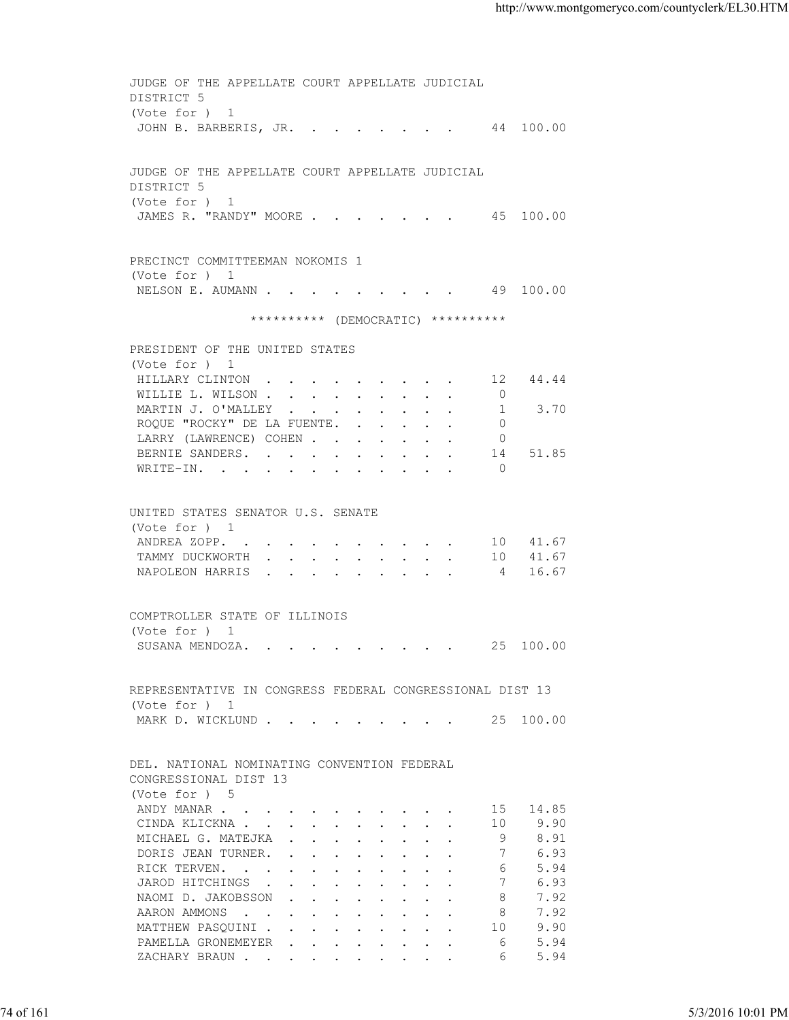JUDGE OF THE APPELLATE COURT APPELLATE JUDICIAL DISTRICT 5 (Vote for ) 1 JOHN B. BARBERIS, JR. . . . . . . . 44 100.00 JUDGE OF THE APPELLATE COURT APPELLATE JUDICIAL DISTRICT 5 (Vote for ) 1 JAMES R. "RANDY" MOORE . . . . . . . 45 100.00 PRECINCT COMMITTEEMAN NOKOMIS 1 (Vote for ) 1 NELSON E. AUMANN . . . . . . . . . . 49 100.00 \*\*\*\*\*\*\*\*\*\* (DEMOCRATIC) \*\*\*\*\*\*\*\*\*\* PRESIDENT OF THE UNITED STATES (Vote for ) 1 HILLARY CLINTON . . . . . . . . . 12 44.44 WILLIE L. WILSON . . . . . . . . . . 0<br>MARTIN J. O'MALLEY . . . . . . . . . 1 MARTIN J. O'MALLEY . . . . . . . . . 1 3.70 ROQUE "ROCKY" DE LA FUENTE. . . . . . 0 LARRY (LAWRENCE) COHEN . . . . . . 0 BERNIE SANDERS. . . . . . . . . . 14 51.85 WRITE-IN. . . . . . . . . . . 0 UNITED STATES SENATOR U.S. SENATE (Vote for ) 1 ANDREA ZOPP. . . . . . . . . . . 10 41.67 TAMMY DUCKWORTH . . . . . . . . . 10 41.67 NAPOLEON HARRIS . . . . . . . . . 4 16.67 COMPTROLLER STATE OF ILLINOIS (Vote for ) 1 SUSANA MENDOZA. . . . . . . . . . 25 100.00 REPRESENTATIVE IN CONGRESS FEDERAL CONGRESSIONAL DIST 13 (Vote for ) 1 MARK D. WICKLUND . . . . . . . . . 25 100.00 DEL. NATIONAL NOMINATING CONVENTION FEDERAL CONGRESSIONAL DIST 13 (Vote for ) 5 ANDY MANAR . . . . . . . . . . . . 15 14.85 CINDA KLICKNA . . . . . . . . . . 10 9.90 MICHAEL G. MATEJKA . . . . . . . . 9 8.91 DORIS JEAN TURNER. . . . . . . . . 7 6.93 RICK TERVEN. . . . . . . . . . . . 6 5.94<br>JAROD HITCHINGS . . . . . . . . . 7 6.93 JAROD HITCHINGS . . . . . . . . . 7 NAOMI D. JAKOBSSON . . . . . . . . 8 7.92 AARON AMMONS . . . . . . . . . . 8 7.92 MATTHEW PASQUINI . . . . . . . . . 10 9.90 PAMELLA GRONEMEYER . . . . . . . . 6 5.94 ZACHARY BRAUN . . . . . . . . . . . 6 5.94 74 of 161 5/3/2016 10:01 PM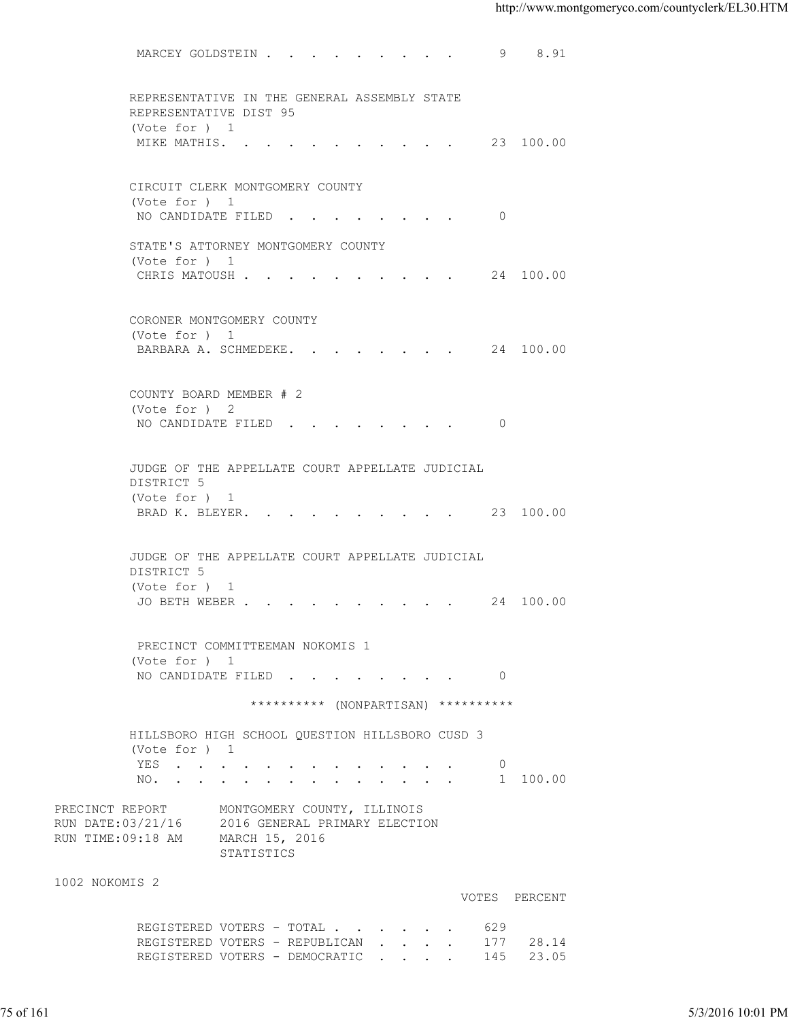MARCEY GOLDSTEIN . . . . . . . . . 9 8.91 REPRESENTATIVE IN THE GENERAL ASSEMBLY STATE REPRESENTATIVE DIST 95 (Vote for ) 1 MIKE MATHIS. . . . . . . . . . . 23 100.00 CIRCUIT CLERK MONTGOMERY COUNTY (Vote for ) 1 NO CANDIDATE FILED . . . . . . . . 0 STATE'S ATTORNEY MONTGOMERY COUNTY (Vote for ) 1 CHRIS MATOUSH . . . . . . . . . . 24 100.00 CORONER MONTGOMERY COUNTY (Vote for ) 1 BARBARA A. SCHMEDEKE. . . . . . . . 24 100.00 COUNTY BOARD MEMBER # 2 (Vote for ) 2 NO CANDIDATE FILED . . . . . . . . 0 JUDGE OF THE APPELLATE COURT APPELLATE JUDICIAL DISTRICT 5 (Vote for ) 1 BRAD K. BLEYER. . . . . . . . . . 23 100.00 JUDGE OF THE APPELLATE COURT APPELLATE JUDICIAL DISTRICT 5 (Vote for ) 1 JO BETH WEBER . . . . . . . . . . 24 100.00 PRECINCT COMMITTEEMAN NOKOMIS 1 (Vote for ) 1 NO CANDIDATE FILED . . . . . . . . 0 \*\*\*\*\*\*\*\*\*\* (NONPARTISAN) \*\*\*\*\*\*\*\*\*\* HILLSBORO HIGH SCHOOL QUESTION HILLSBORO CUSD 3 (Vote for ) 1 YES . . . . . . . . . . . . . 0 NO. . . . . . . . . . . . . . . 1 100.00 PRECINCT REPORT MONTGOMERY COUNTY, ILLINOIS RUN DATE:03/21/16 2016 GENERAL PRIMARY ELECTION RUN TIME:09:18 AM MARCH 15, 2016 STATISTICS 1002 NOKOMIS 2 VOTES PERCENT REGISTERED VOTERS - TOTAL . . . . . . 629 REGISTERED VOTERS - REPUBLICAN . . . . 177 28.14 REGISTERED VOTERS - DEMOCRATIC . . . . 145 23.05 75 of 161 5/3/2016 10:01 PM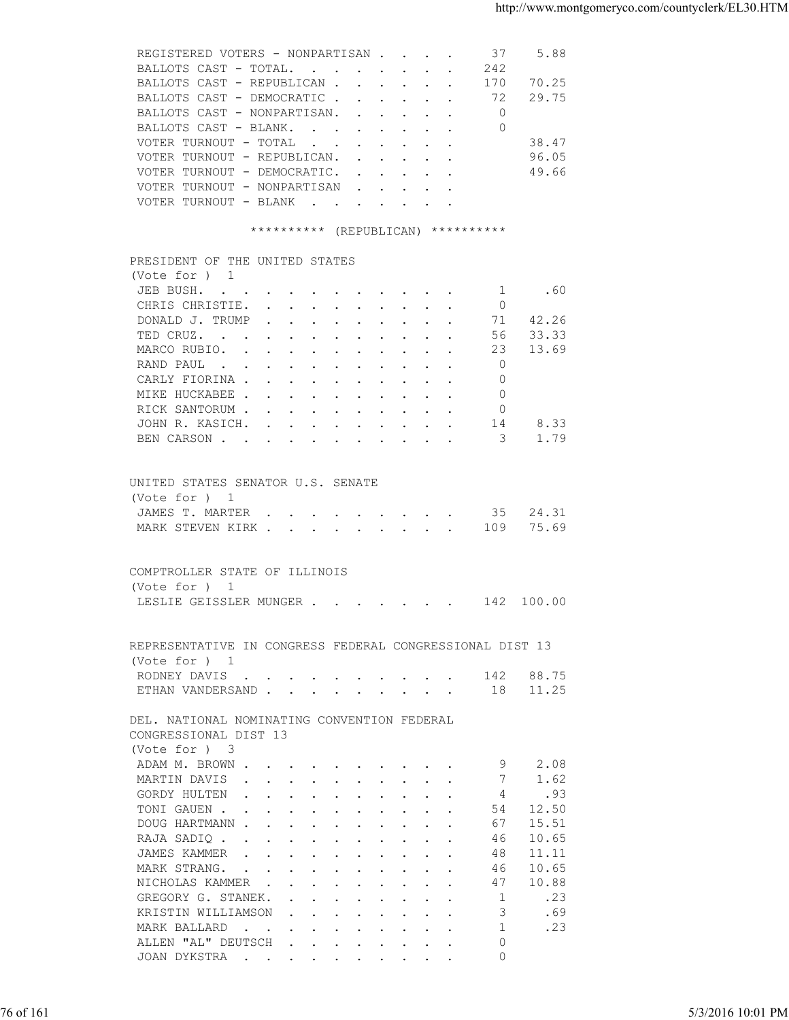|  | REGISTERED VOTERS - NONPARTISAN |  |  |  | 37  | 5.88  |
|--|---------------------------------|--|--|--|-----|-------|
|  | BALLOTS CAST - TOTAL            |  |  |  | 242 |       |
|  | BALLOTS CAST - REPUBLICAN       |  |  |  | 170 | 70.25 |
|  | BALLOTS CAST - DEMOCRATIC       |  |  |  | 72  | 29.75 |
|  | BALLOTS CAST - NONPARTISAN.     |  |  |  |     |       |
|  | BALLOTS CAST - BLANK.           |  |  |  | 0   |       |
|  | VOTER TURNOUT - TOTAL           |  |  |  |     | 38.47 |
|  | VOTER TURNOUT - REPUBLICAN.     |  |  |  |     | 96.05 |
|  | VOTER TURNOUT - DEMOCRATIC.     |  |  |  |     | 49.66 |
|  | VOTER TURNOUT - NONPARTISAN     |  |  |  |     |       |
|  | VOTER TURNOUT - BLANK           |  |  |  |     |       |
|  |                                 |  |  |  |     |       |

## \*\*\*\*\*\*\*\*\*\* (REPUBLICAN) \*\*\*\*\*\*\*\*\*\*

| (Note for ) 1<br>.60<br>JEB BUSH.<br>$\sim$ 1<br>CHRIS CHRISTIE.<br>$\overline{0}$<br>71 42.26<br>DONALD J. TRUMP<br>33.33<br>TED CRUZ.<br>56<br>13.69<br>MARCO RUBIO.<br>23<br>$\Omega$<br>RAND PAUL<br>CARLY FIORINA<br>$\Omega$<br>MIKE HUCKABEE<br>$\Omega$<br>RICK SANTORUM<br>$\Omega$<br>JOHN R. KASICH.<br>8.33<br>14<br>BEN CARSON 3<br>1.79<br>UNITED STATES SENATOR U.S. SENATE<br>(Vote for ) 1<br>JAMES T. MARTER 35 24.31<br>75.69<br>MARK STEVEN KIRK 109<br>COMPTROLLER STATE OF ILLINOIS<br>(Vote for ) 1<br>LESLIE GEISSLER MUNGER 142 100.00 |                   |
|-----------------------------------------------------------------------------------------------------------------------------------------------------------------------------------------------------------------------------------------------------------------------------------------------------------------------------------------------------------------------------------------------------------------------------------------------------------------------------------------------------------------------------------------------------------------|-------------------|
|                                                                                                                                                                                                                                                                                                                                                                                                                                                                                                                                                                 |                   |
|                                                                                                                                                                                                                                                                                                                                                                                                                                                                                                                                                                 |                   |
|                                                                                                                                                                                                                                                                                                                                                                                                                                                                                                                                                                 |                   |
|                                                                                                                                                                                                                                                                                                                                                                                                                                                                                                                                                                 |                   |
|                                                                                                                                                                                                                                                                                                                                                                                                                                                                                                                                                                 |                   |
|                                                                                                                                                                                                                                                                                                                                                                                                                                                                                                                                                                 |                   |
|                                                                                                                                                                                                                                                                                                                                                                                                                                                                                                                                                                 |                   |
|                                                                                                                                                                                                                                                                                                                                                                                                                                                                                                                                                                 |                   |
|                                                                                                                                                                                                                                                                                                                                                                                                                                                                                                                                                                 |                   |
|                                                                                                                                                                                                                                                                                                                                                                                                                                                                                                                                                                 |                   |
|                                                                                                                                                                                                                                                                                                                                                                                                                                                                                                                                                                 |                   |
|                                                                                                                                                                                                                                                                                                                                                                                                                                                                                                                                                                 |                   |
|                                                                                                                                                                                                                                                                                                                                                                                                                                                                                                                                                                 |                   |
|                                                                                                                                                                                                                                                                                                                                                                                                                                                                                                                                                                 |                   |
|                                                                                                                                                                                                                                                                                                                                                                                                                                                                                                                                                                 |                   |
|                                                                                                                                                                                                                                                                                                                                                                                                                                                                                                                                                                 |                   |
|                                                                                                                                                                                                                                                                                                                                                                                                                                                                                                                                                                 |                   |
|                                                                                                                                                                                                                                                                                                                                                                                                                                                                                                                                                                 |                   |
|                                                                                                                                                                                                                                                                                                                                                                                                                                                                                                                                                                 |                   |
|                                                                                                                                                                                                                                                                                                                                                                                                                                                                                                                                                                 |                   |
|                                                                                                                                                                                                                                                                                                                                                                                                                                                                                                                                                                 |                   |
| REPRESENTATIVE IN CONGRESS FEDERAL CONGRESSIONAL DIST 13                                                                                                                                                                                                                                                                                                                                                                                                                                                                                                        |                   |
| (Vote for ) 1                                                                                                                                                                                                                                                                                                                                                                                                                                                                                                                                                   |                   |
| RODNEY DAVIS 142 88.75                                                                                                                                                                                                                                                                                                                                                                                                                                                                                                                                          |                   |
| ETHAN VANDERSAND 18 11.25                                                                                                                                                                                                                                                                                                                                                                                                                                                                                                                                       |                   |
| DEL. NATIONAL NOMINATING CONVENTION FEDERAL                                                                                                                                                                                                                                                                                                                                                                                                                                                                                                                     |                   |
| CONGRESSIONAL DIST 13                                                                                                                                                                                                                                                                                                                                                                                                                                                                                                                                           |                   |
| (Vote for ) 3                                                                                                                                                                                                                                                                                                                                                                                                                                                                                                                                                   |                   |
| ADAM M. BROWN<br>- 9<br>2.08                                                                                                                                                                                                                                                                                                                                                                                                                                                                                                                                    |                   |
| MARTIN DAVIS 7<br>1.62                                                                                                                                                                                                                                                                                                                                                                                                                                                                                                                                          |                   |
| GORDY HULTEN<br>4<br>.93                                                                                                                                                                                                                                                                                                                                                                                                                                                                                                                                        |                   |
| TONI GAUEN<br>54 12.50                                                                                                                                                                                                                                                                                                                                                                                                                                                                                                                                          |                   |
| DOUG HARTMANN<br>15.51<br>67                                                                                                                                                                                                                                                                                                                                                                                                                                                                                                                                    |                   |
| 10.65<br>RAJA SADIQ<br>46                                                                                                                                                                                                                                                                                                                                                                                                                                                                                                                                       |                   |
| 11.11<br>JAMES KAMMER<br>48                                                                                                                                                                                                                                                                                                                                                                                                                                                                                                                                     |                   |
| MARK STRANG.<br>10.65<br>46                                                                                                                                                                                                                                                                                                                                                                                                                                                                                                                                     |                   |
| NICHOLAS KAMMER<br>10.88<br>47                                                                                                                                                                                                                                                                                                                                                                                                                                                                                                                                  |                   |
| GREGORY G. STANEK.<br>1<br>.23                                                                                                                                                                                                                                                                                                                                                                                                                                                                                                                                  |                   |
| 3<br>KRISTIN WILLIAMSON<br>.69<br>$\mathbf{r}$ , and $\mathbf{r}$ , and $\mathbf{r}$ , and $\mathbf{r}$                                                                                                                                                                                                                                                                                                                                                                                                                                                         |                   |
| MARK BALLARD<br>.23<br>$\overline{1}$                                                                                                                                                                                                                                                                                                                                                                                                                                                                                                                           |                   |
| ALLEN "AL" DEUTSCH<br>$\Omega$<br>$\mathbf{r}$ , $\mathbf{r}$ , $\mathbf{r}$ , $\mathbf{r}$ , $\mathbf{r}$ , $\mathbf{r}$                                                                                                                                                                                                                                                                                                                                                                                                                                       |                   |
| $\circ$<br>JOAN DYKSTRA                                                                                                                                                                                                                                                                                                                                                                                                                                                                                                                                         |                   |
|                                                                                                                                                                                                                                                                                                                                                                                                                                                                                                                                                                 |                   |
|                                                                                                                                                                                                                                                                                                                                                                                                                                                                                                                                                                 |                   |
| 76 of 161                                                                                                                                                                                                                                                                                                                                                                                                                                                                                                                                                       | 5/3/2016 10:01 PM |
|                                                                                                                                                                                                                                                                                                                                                                                                                                                                                                                                                                 |                   |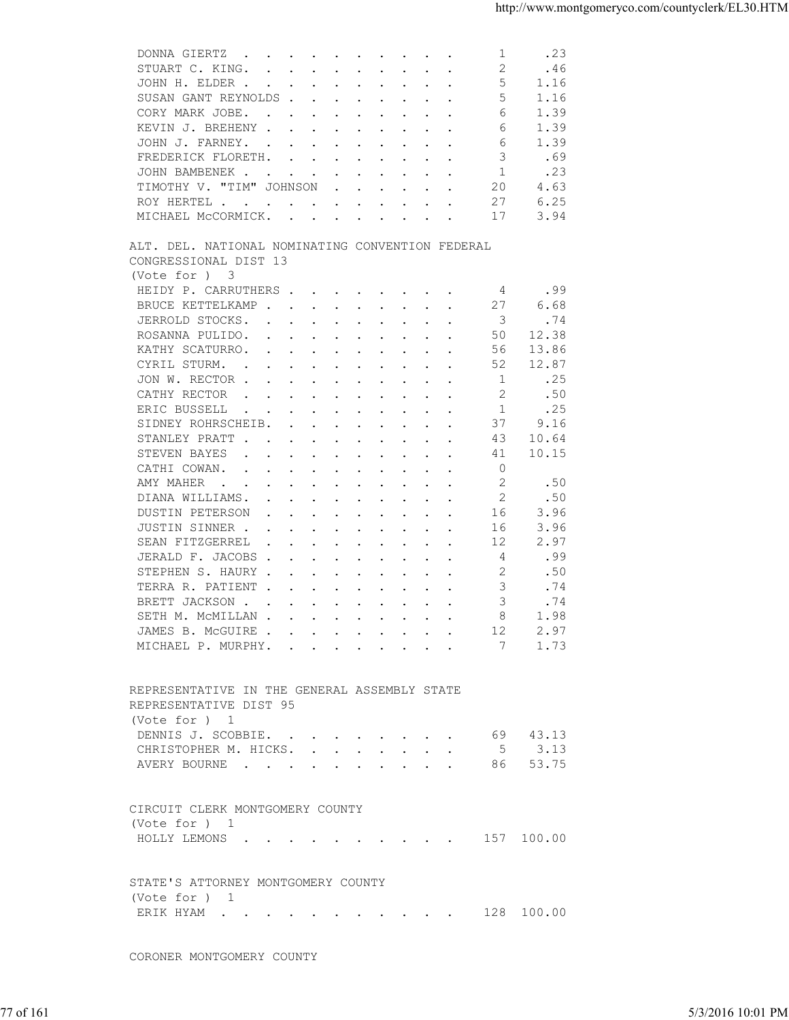| 2<br>.46<br>STUART C. KING.<br>5<br>1.16<br>JOHN H. ELDER<br>5<br>1.16<br>SUSAN GANT REYNOLDS<br>CORY MARK JOBE.<br>1.39<br>6<br>1.39<br>KEVIN J. BREHENY<br>6<br>1.39<br>JOHN J. FARNEY.<br>6<br>FREDERICK FLORETH.<br>3<br>.69<br>.23<br>$\mathbf{1}$<br>JOHN BAMBENEK<br>TIMOTHY V. "TIM" JOHNSON<br>20<br>4.63<br>$\mathbf{r}$ , $\mathbf{r}$ , $\mathbf{r}$ , $\mathbf{r}$ , $\mathbf{r}$ , $\mathbf{r}$<br>27<br>6.25<br>ROY HERTEL<br>MICHAEL MCCORMICK.<br>17<br>3.94<br>ALT. DEL. NATIONAL NOMINATING CONVENTION FEDERAL<br>CONGRESSIONAL DIST 13<br>(Vote for ) 3<br>.99<br>HEIDY P. CARRUTHERS<br>4<br>6.68<br>BRUCE KETTELKAMP<br>27<br>.74<br>JERROLD STOCKS.<br>3<br>$\mathbf{r}$ , and $\mathbf{r}$ , and $\mathbf{r}$ , and $\mathbf{r}$ , and $\mathbf{r}$<br>12.38<br>ROSANNA PULIDO.<br>50<br>$\mathbf{r}$ , $\mathbf{r}$ , $\mathbf{r}$ , $\mathbf{r}$<br>KATHY SCATURRO.<br>13.86<br>56<br>$\mathbf{a}$ and $\mathbf{a}$ are all $\mathbf{a}$ and $\mathbf{a}$ are all $\mathbf{a}$ and $\mathbf{a}$<br>CYRIL STURM.<br>52<br>12.87<br>$\mathbf{a}$ and $\mathbf{a}$ are a set of the set of the set of the set of the set of the set of the set of the set of the set of the set of the set of the set of the set of the set of the set of the set of the set of the set of<br>JON W. RECTOR<br>1<br>.25<br>CATHY RECTOR<br>2<br>.50<br>$\mathbf{r}$ . The set of the set of the set of the set of the set of the set of the set of the set of the set of the set of the set of the set of the set of the set of the set of the set of the set of the set of the set of t<br>ERIC BUSSELL<br>.25<br>-1<br>$\mathbf{r}$ . The contract of the contract of the contract of the contract of the contract of the contract of the contract of the contract of the contract of the contract of the contract of the contract of the contract of th<br>$\mathcal{L}^{\text{max}}$ and $\mathcal{L}^{\text{max}}$<br>37<br>SIDNEY ROHRSCHEIB.<br>9.16<br>$\mathbf{L}$<br>$\mathbf{r}$ , $\mathbf{r}$ , $\mathbf{r}$ , $\mathbf{r}$ , $\mathbf{r}$<br>STANLEY PRATT.<br>43<br>10.64<br>$\mathbf{r}$ , and $\mathbf{r}$ , and $\mathbf{r}$ , and $\mathbf{r}$ , and $\mathbf{r}$<br>10.15<br>STEVEN BAYES<br>41<br>$\mathbf{r}$ , and $\mathbf{r}$ , and $\mathbf{r}$ , and $\mathbf{r}$ , and $\mathbf{r}$<br>CATHI COWAN.<br>0<br>the contract of the contract of the contract of the contract of the contract of the contract of the contract of<br>2<br>AMY MAHER<br>.50<br>the contract of the contract of the contract of the contract of the contract of the contract of the contract of<br>.50<br>DIANA WILLIAMS.<br>2<br>DUSTIN PETERSON<br>16<br>3.96<br>$\cdot$ $\cdot$ $\cdot$<br>$\cdots$<br>JUSTIN SINNER .<br>3.96<br>16<br>the contract of the contract of the contract of the contract of the contract of the contract of the contract of<br>SEAN FITZGERREL<br>12<br>2.97<br>$\mathbf{r}$ , and $\mathbf{r}$ , and $\mathbf{r}$ , and $\mathbf{r}$ , and $\mathbf{r}$<br>JERALD F. JACOBS<br>4<br>.99<br>2<br>STEPHEN S. HAURY<br>.50<br>3<br>.74<br>TERRA R. PATIENT.<br>$\mathbf{r}$ , and $\mathbf{r}$ , and $\mathbf{r}$ , and $\mathbf{r}$<br>3<br>BRETT JACKSON.<br>.74<br>$\mathbf{r}$ , and $\mathbf{r}$ , and $\mathbf{r}$ , and $\mathbf{r}$ , and $\mathbf{r}$<br>8<br>1.98<br>SETH M. MCMILLAN<br>JAMES B. MCGUIRE<br>12<br>2.97<br>MICHAEL P. MURPHY. 7 1.73<br>REPRESENTATIVE IN THE GENERAL ASSEMBLY STATE<br>REPRESENTATIVE DIST 95<br>(Vote for ) 1<br>DENNIS J. SCOBBIE.<br>69 43.13<br>CHRISTOPHER M. HICKS. 5 3.13<br>AVERY BOURNE 86 53.75<br>CIRCUIT CLERK MONTGOMERY COUNTY<br>(Vote for ) 1<br>HOLLY LEMONS 157 100.00<br>STATE'S ATTORNEY MONTGOMERY COUNTY<br>(Vote for ) 1 |
|------------------------------------------------------------------------------------------------------------------------------------------------------------------------------------------------------------------------------------------------------------------------------------------------------------------------------------------------------------------------------------------------------------------------------------------------------------------------------------------------------------------------------------------------------------------------------------------------------------------------------------------------------------------------------------------------------------------------------------------------------------------------------------------------------------------------------------------------------------------------------------------------------------------------------------------------------------------------------------------------------------------------------------------------------------------------------------------------------------------------------------------------------------------------------------------------------------------------------------------------------------------------------------------------------------------------------------------------------------------------------------------------------------------------------------------------------------------------------------------------------------------------------------------------------------------------------------------------------------------------------------------------------------------------------------------------------------------------------------------------------------------------------------------------------------------------------------------------------------------------------------------------------------------------------------------------------------------------------------------------------------------------------------------------------------------------------------------------------------------------------------------------------------------------------------------------------------------------------------------------------------------------------------------------------------------------------------------------------------------------------------------------------------------------------------------------------------------------------------------------------------------------------------------------------------------------------------------------------------------------------------------------------------------------------------------------------------------------------------------------------------------------------------------------------------------------------------------------------------------------------------------------------------------------------------------------------------------------------------------------------------------------------------------------------------------------------------------------------------------------------------------------------------------------------------------------------------------------------------------------------------------------------------------------------------------------------------------------------------------------------------------------------------------------------------------------------------------------------------------------------------------------------------------------------------------------------------------------------------------------------------------------------------------------------------------------------------------------------------|
|                                                                                                                                                                                                                                                                                                                                                                                                                                                                                                                                                                                                                                                                                                                                                                                                                                                                                                                                                                                                                                                                                                                                                                                                                                                                                                                                                                                                                                                                                                                                                                                                                                                                                                                                                                                                                                                                                                                                                                                                                                                                                                                                                                                                                                                                                                                                                                                                                                                                                                                                                                                                                                                                                                                                                                                                                                                                                                                                                                                                                                                                                                                                                                                                                                                                                                                                                                                                                                                                                                                                                                                                                                                                                                                                    |
|                                                                                                                                                                                                                                                                                                                                                                                                                                                                                                                                                                                                                                                                                                                                                                                                                                                                                                                                                                                                                                                                                                                                                                                                                                                                                                                                                                                                                                                                                                                                                                                                                                                                                                                                                                                                                                                                                                                                                                                                                                                                                                                                                                                                                                                                                                                                                                                                                                                                                                                                                                                                                                                                                                                                                                                                                                                                                                                                                                                                                                                                                                                                                                                                                                                                                                                                                                                                                                                                                                                                                                                                                                                                                                                                    |
|                                                                                                                                                                                                                                                                                                                                                                                                                                                                                                                                                                                                                                                                                                                                                                                                                                                                                                                                                                                                                                                                                                                                                                                                                                                                                                                                                                                                                                                                                                                                                                                                                                                                                                                                                                                                                                                                                                                                                                                                                                                                                                                                                                                                                                                                                                                                                                                                                                                                                                                                                                                                                                                                                                                                                                                                                                                                                                                                                                                                                                                                                                                                                                                                                                                                                                                                                                                                                                                                                                                                                                                                                                                                                                                                    |
|                                                                                                                                                                                                                                                                                                                                                                                                                                                                                                                                                                                                                                                                                                                                                                                                                                                                                                                                                                                                                                                                                                                                                                                                                                                                                                                                                                                                                                                                                                                                                                                                                                                                                                                                                                                                                                                                                                                                                                                                                                                                                                                                                                                                                                                                                                                                                                                                                                                                                                                                                                                                                                                                                                                                                                                                                                                                                                                                                                                                                                                                                                                                                                                                                                                                                                                                                                                                                                                                                                                                                                                                                                                                                                                                    |
|                                                                                                                                                                                                                                                                                                                                                                                                                                                                                                                                                                                                                                                                                                                                                                                                                                                                                                                                                                                                                                                                                                                                                                                                                                                                                                                                                                                                                                                                                                                                                                                                                                                                                                                                                                                                                                                                                                                                                                                                                                                                                                                                                                                                                                                                                                                                                                                                                                                                                                                                                                                                                                                                                                                                                                                                                                                                                                                                                                                                                                                                                                                                                                                                                                                                                                                                                                                                                                                                                                                                                                                                                                                                                                                                    |
|                                                                                                                                                                                                                                                                                                                                                                                                                                                                                                                                                                                                                                                                                                                                                                                                                                                                                                                                                                                                                                                                                                                                                                                                                                                                                                                                                                                                                                                                                                                                                                                                                                                                                                                                                                                                                                                                                                                                                                                                                                                                                                                                                                                                                                                                                                                                                                                                                                                                                                                                                                                                                                                                                                                                                                                                                                                                                                                                                                                                                                                                                                                                                                                                                                                                                                                                                                                                                                                                                                                                                                                                                                                                                                                                    |
|                                                                                                                                                                                                                                                                                                                                                                                                                                                                                                                                                                                                                                                                                                                                                                                                                                                                                                                                                                                                                                                                                                                                                                                                                                                                                                                                                                                                                                                                                                                                                                                                                                                                                                                                                                                                                                                                                                                                                                                                                                                                                                                                                                                                                                                                                                                                                                                                                                                                                                                                                                                                                                                                                                                                                                                                                                                                                                                                                                                                                                                                                                                                                                                                                                                                                                                                                                                                                                                                                                                                                                                                                                                                                                                                    |
|                                                                                                                                                                                                                                                                                                                                                                                                                                                                                                                                                                                                                                                                                                                                                                                                                                                                                                                                                                                                                                                                                                                                                                                                                                                                                                                                                                                                                                                                                                                                                                                                                                                                                                                                                                                                                                                                                                                                                                                                                                                                                                                                                                                                                                                                                                                                                                                                                                                                                                                                                                                                                                                                                                                                                                                                                                                                                                                                                                                                                                                                                                                                                                                                                                                                                                                                                                                                                                                                                                                                                                                                                                                                                                                                    |
|                                                                                                                                                                                                                                                                                                                                                                                                                                                                                                                                                                                                                                                                                                                                                                                                                                                                                                                                                                                                                                                                                                                                                                                                                                                                                                                                                                                                                                                                                                                                                                                                                                                                                                                                                                                                                                                                                                                                                                                                                                                                                                                                                                                                                                                                                                                                                                                                                                                                                                                                                                                                                                                                                                                                                                                                                                                                                                                                                                                                                                                                                                                                                                                                                                                                                                                                                                                                                                                                                                                                                                                                                                                                                                                                    |
|                                                                                                                                                                                                                                                                                                                                                                                                                                                                                                                                                                                                                                                                                                                                                                                                                                                                                                                                                                                                                                                                                                                                                                                                                                                                                                                                                                                                                                                                                                                                                                                                                                                                                                                                                                                                                                                                                                                                                                                                                                                                                                                                                                                                                                                                                                                                                                                                                                                                                                                                                                                                                                                                                                                                                                                                                                                                                                                                                                                                                                                                                                                                                                                                                                                                                                                                                                                                                                                                                                                                                                                                                                                                                                                                    |
|                                                                                                                                                                                                                                                                                                                                                                                                                                                                                                                                                                                                                                                                                                                                                                                                                                                                                                                                                                                                                                                                                                                                                                                                                                                                                                                                                                                                                                                                                                                                                                                                                                                                                                                                                                                                                                                                                                                                                                                                                                                                                                                                                                                                                                                                                                                                                                                                                                                                                                                                                                                                                                                                                                                                                                                                                                                                                                                                                                                                                                                                                                                                                                                                                                                                                                                                                                                                                                                                                                                                                                                                                                                                                                                                    |
|                                                                                                                                                                                                                                                                                                                                                                                                                                                                                                                                                                                                                                                                                                                                                                                                                                                                                                                                                                                                                                                                                                                                                                                                                                                                                                                                                                                                                                                                                                                                                                                                                                                                                                                                                                                                                                                                                                                                                                                                                                                                                                                                                                                                                                                                                                                                                                                                                                                                                                                                                                                                                                                                                                                                                                                                                                                                                                                                                                                                                                                                                                                                                                                                                                                                                                                                                                                                                                                                                                                                                                                                                                                                                                                                    |
|                                                                                                                                                                                                                                                                                                                                                                                                                                                                                                                                                                                                                                                                                                                                                                                                                                                                                                                                                                                                                                                                                                                                                                                                                                                                                                                                                                                                                                                                                                                                                                                                                                                                                                                                                                                                                                                                                                                                                                                                                                                                                                                                                                                                                                                                                                                                                                                                                                                                                                                                                                                                                                                                                                                                                                                                                                                                                                                                                                                                                                                                                                                                                                                                                                                                                                                                                                                                                                                                                                                                                                                                                                                                                                                                    |
|                                                                                                                                                                                                                                                                                                                                                                                                                                                                                                                                                                                                                                                                                                                                                                                                                                                                                                                                                                                                                                                                                                                                                                                                                                                                                                                                                                                                                                                                                                                                                                                                                                                                                                                                                                                                                                                                                                                                                                                                                                                                                                                                                                                                                                                                                                                                                                                                                                                                                                                                                                                                                                                                                                                                                                                                                                                                                                                                                                                                                                                                                                                                                                                                                                                                                                                                                                                                                                                                                                                                                                                                                                                                                                                                    |
|                                                                                                                                                                                                                                                                                                                                                                                                                                                                                                                                                                                                                                                                                                                                                                                                                                                                                                                                                                                                                                                                                                                                                                                                                                                                                                                                                                                                                                                                                                                                                                                                                                                                                                                                                                                                                                                                                                                                                                                                                                                                                                                                                                                                                                                                                                                                                                                                                                                                                                                                                                                                                                                                                                                                                                                                                                                                                                                                                                                                                                                                                                                                                                                                                                                                                                                                                                                                                                                                                                                                                                                                                                                                                                                                    |
|                                                                                                                                                                                                                                                                                                                                                                                                                                                                                                                                                                                                                                                                                                                                                                                                                                                                                                                                                                                                                                                                                                                                                                                                                                                                                                                                                                                                                                                                                                                                                                                                                                                                                                                                                                                                                                                                                                                                                                                                                                                                                                                                                                                                                                                                                                                                                                                                                                                                                                                                                                                                                                                                                                                                                                                                                                                                                                                                                                                                                                                                                                                                                                                                                                                                                                                                                                                                                                                                                                                                                                                                                                                                                                                                    |
|                                                                                                                                                                                                                                                                                                                                                                                                                                                                                                                                                                                                                                                                                                                                                                                                                                                                                                                                                                                                                                                                                                                                                                                                                                                                                                                                                                                                                                                                                                                                                                                                                                                                                                                                                                                                                                                                                                                                                                                                                                                                                                                                                                                                                                                                                                                                                                                                                                                                                                                                                                                                                                                                                                                                                                                                                                                                                                                                                                                                                                                                                                                                                                                                                                                                                                                                                                                                                                                                                                                                                                                                                                                                                                                                    |
|                                                                                                                                                                                                                                                                                                                                                                                                                                                                                                                                                                                                                                                                                                                                                                                                                                                                                                                                                                                                                                                                                                                                                                                                                                                                                                                                                                                                                                                                                                                                                                                                                                                                                                                                                                                                                                                                                                                                                                                                                                                                                                                                                                                                                                                                                                                                                                                                                                                                                                                                                                                                                                                                                                                                                                                                                                                                                                                                                                                                                                                                                                                                                                                                                                                                                                                                                                                                                                                                                                                                                                                                                                                                                                                                    |
|                                                                                                                                                                                                                                                                                                                                                                                                                                                                                                                                                                                                                                                                                                                                                                                                                                                                                                                                                                                                                                                                                                                                                                                                                                                                                                                                                                                                                                                                                                                                                                                                                                                                                                                                                                                                                                                                                                                                                                                                                                                                                                                                                                                                                                                                                                                                                                                                                                                                                                                                                                                                                                                                                                                                                                                                                                                                                                                                                                                                                                                                                                                                                                                                                                                                                                                                                                                                                                                                                                                                                                                                                                                                                                                                    |
|                                                                                                                                                                                                                                                                                                                                                                                                                                                                                                                                                                                                                                                                                                                                                                                                                                                                                                                                                                                                                                                                                                                                                                                                                                                                                                                                                                                                                                                                                                                                                                                                                                                                                                                                                                                                                                                                                                                                                                                                                                                                                                                                                                                                                                                                                                                                                                                                                                                                                                                                                                                                                                                                                                                                                                                                                                                                                                                                                                                                                                                                                                                                                                                                                                                                                                                                                                                                                                                                                                                                                                                                                                                                                                                                    |
|                                                                                                                                                                                                                                                                                                                                                                                                                                                                                                                                                                                                                                                                                                                                                                                                                                                                                                                                                                                                                                                                                                                                                                                                                                                                                                                                                                                                                                                                                                                                                                                                                                                                                                                                                                                                                                                                                                                                                                                                                                                                                                                                                                                                                                                                                                                                                                                                                                                                                                                                                                                                                                                                                                                                                                                                                                                                                                                                                                                                                                                                                                                                                                                                                                                                                                                                                                                                                                                                                                                                                                                                                                                                                                                                    |
|                                                                                                                                                                                                                                                                                                                                                                                                                                                                                                                                                                                                                                                                                                                                                                                                                                                                                                                                                                                                                                                                                                                                                                                                                                                                                                                                                                                                                                                                                                                                                                                                                                                                                                                                                                                                                                                                                                                                                                                                                                                                                                                                                                                                                                                                                                                                                                                                                                                                                                                                                                                                                                                                                                                                                                                                                                                                                                                                                                                                                                                                                                                                                                                                                                                                                                                                                                                                                                                                                                                                                                                                                                                                                                                                    |
|                                                                                                                                                                                                                                                                                                                                                                                                                                                                                                                                                                                                                                                                                                                                                                                                                                                                                                                                                                                                                                                                                                                                                                                                                                                                                                                                                                                                                                                                                                                                                                                                                                                                                                                                                                                                                                                                                                                                                                                                                                                                                                                                                                                                                                                                                                                                                                                                                                                                                                                                                                                                                                                                                                                                                                                                                                                                                                                                                                                                                                                                                                                                                                                                                                                                                                                                                                                                                                                                                                                                                                                                                                                                                                                                    |
|                                                                                                                                                                                                                                                                                                                                                                                                                                                                                                                                                                                                                                                                                                                                                                                                                                                                                                                                                                                                                                                                                                                                                                                                                                                                                                                                                                                                                                                                                                                                                                                                                                                                                                                                                                                                                                                                                                                                                                                                                                                                                                                                                                                                                                                                                                                                                                                                                                                                                                                                                                                                                                                                                                                                                                                                                                                                                                                                                                                                                                                                                                                                                                                                                                                                                                                                                                                                                                                                                                                                                                                                                                                                                                                                    |
|                                                                                                                                                                                                                                                                                                                                                                                                                                                                                                                                                                                                                                                                                                                                                                                                                                                                                                                                                                                                                                                                                                                                                                                                                                                                                                                                                                                                                                                                                                                                                                                                                                                                                                                                                                                                                                                                                                                                                                                                                                                                                                                                                                                                                                                                                                                                                                                                                                                                                                                                                                                                                                                                                                                                                                                                                                                                                                                                                                                                                                                                                                                                                                                                                                                                                                                                                                                                                                                                                                                                                                                                                                                                                                                                    |
|                                                                                                                                                                                                                                                                                                                                                                                                                                                                                                                                                                                                                                                                                                                                                                                                                                                                                                                                                                                                                                                                                                                                                                                                                                                                                                                                                                                                                                                                                                                                                                                                                                                                                                                                                                                                                                                                                                                                                                                                                                                                                                                                                                                                                                                                                                                                                                                                                                                                                                                                                                                                                                                                                                                                                                                                                                                                                                                                                                                                                                                                                                                                                                                                                                                                                                                                                                                                                                                                                                                                                                                                                                                                                                                                    |
|                                                                                                                                                                                                                                                                                                                                                                                                                                                                                                                                                                                                                                                                                                                                                                                                                                                                                                                                                                                                                                                                                                                                                                                                                                                                                                                                                                                                                                                                                                                                                                                                                                                                                                                                                                                                                                                                                                                                                                                                                                                                                                                                                                                                                                                                                                                                                                                                                                                                                                                                                                                                                                                                                                                                                                                                                                                                                                                                                                                                                                                                                                                                                                                                                                                                                                                                                                                                                                                                                                                                                                                                                                                                                                                                    |
|                                                                                                                                                                                                                                                                                                                                                                                                                                                                                                                                                                                                                                                                                                                                                                                                                                                                                                                                                                                                                                                                                                                                                                                                                                                                                                                                                                                                                                                                                                                                                                                                                                                                                                                                                                                                                                                                                                                                                                                                                                                                                                                                                                                                                                                                                                                                                                                                                                                                                                                                                                                                                                                                                                                                                                                                                                                                                                                                                                                                                                                                                                                                                                                                                                                                                                                                                                                                                                                                                                                                                                                                                                                                                                                                    |
|                                                                                                                                                                                                                                                                                                                                                                                                                                                                                                                                                                                                                                                                                                                                                                                                                                                                                                                                                                                                                                                                                                                                                                                                                                                                                                                                                                                                                                                                                                                                                                                                                                                                                                                                                                                                                                                                                                                                                                                                                                                                                                                                                                                                                                                                                                                                                                                                                                                                                                                                                                                                                                                                                                                                                                                                                                                                                                                                                                                                                                                                                                                                                                                                                                                                                                                                                                                                                                                                                                                                                                                                                                                                                                                                    |
|                                                                                                                                                                                                                                                                                                                                                                                                                                                                                                                                                                                                                                                                                                                                                                                                                                                                                                                                                                                                                                                                                                                                                                                                                                                                                                                                                                                                                                                                                                                                                                                                                                                                                                                                                                                                                                                                                                                                                                                                                                                                                                                                                                                                                                                                                                                                                                                                                                                                                                                                                                                                                                                                                                                                                                                                                                                                                                                                                                                                                                                                                                                                                                                                                                                                                                                                                                                                                                                                                                                                                                                                                                                                                                                                    |
|                                                                                                                                                                                                                                                                                                                                                                                                                                                                                                                                                                                                                                                                                                                                                                                                                                                                                                                                                                                                                                                                                                                                                                                                                                                                                                                                                                                                                                                                                                                                                                                                                                                                                                                                                                                                                                                                                                                                                                                                                                                                                                                                                                                                                                                                                                                                                                                                                                                                                                                                                                                                                                                                                                                                                                                                                                                                                                                                                                                                                                                                                                                                                                                                                                                                                                                                                                                                                                                                                                                                                                                                                                                                                                                                    |
|                                                                                                                                                                                                                                                                                                                                                                                                                                                                                                                                                                                                                                                                                                                                                                                                                                                                                                                                                                                                                                                                                                                                                                                                                                                                                                                                                                                                                                                                                                                                                                                                                                                                                                                                                                                                                                                                                                                                                                                                                                                                                                                                                                                                                                                                                                                                                                                                                                                                                                                                                                                                                                                                                                                                                                                                                                                                                                                                                                                                                                                                                                                                                                                                                                                                                                                                                                                                                                                                                                                                                                                                                                                                                                                                    |
|                                                                                                                                                                                                                                                                                                                                                                                                                                                                                                                                                                                                                                                                                                                                                                                                                                                                                                                                                                                                                                                                                                                                                                                                                                                                                                                                                                                                                                                                                                                                                                                                                                                                                                                                                                                                                                                                                                                                                                                                                                                                                                                                                                                                                                                                                                                                                                                                                                                                                                                                                                                                                                                                                                                                                                                                                                                                                                                                                                                                                                                                                                                                                                                                                                                                                                                                                                                                                                                                                                                                                                                                                                                                                                                                    |
|                                                                                                                                                                                                                                                                                                                                                                                                                                                                                                                                                                                                                                                                                                                                                                                                                                                                                                                                                                                                                                                                                                                                                                                                                                                                                                                                                                                                                                                                                                                                                                                                                                                                                                                                                                                                                                                                                                                                                                                                                                                                                                                                                                                                                                                                                                                                                                                                                                                                                                                                                                                                                                                                                                                                                                                                                                                                                                                                                                                                                                                                                                                                                                                                                                                                                                                                                                                                                                                                                                                                                                                                                                                                                                                                    |
|                                                                                                                                                                                                                                                                                                                                                                                                                                                                                                                                                                                                                                                                                                                                                                                                                                                                                                                                                                                                                                                                                                                                                                                                                                                                                                                                                                                                                                                                                                                                                                                                                                                                                                                                                                                                                                                                                                                                                                                                                                                                                                                                                                                                                                                                                                                                                                                                                                                                                                                                                                                                                                                                                                                                                                                                                                                                                                                                                                                                                                                                                                                                                                                                                                                                                                                                                                                                                                                                                                                                                                                                                                                                                                                                    |
|                                                                                                                                                                                                                                                                                                                                                                                                                                                                                                                                                                                                                                                                                                                                                                                                                                                                                                                                                                                                                                                                                                                                                                                                                                                                                                                                                                                                                                                                                                                                                                                                                                                                                                                                                                                                                                                                                                                                                                                                                                                                                                                                                                                                                                                                                                                                                                                                                                                                                                                                                                                                                                                                                                                                                                                                                                                                                                                                                                                                                                                                                                                                                                                                                                                                                                                                                                                                                                                                                                                                                                                                                                                                                                                                    |
|                                                                                                                                                                                                                                                                                                                                                                                                                                                                                                                                                                                                                                                                                                                                                                                                                                                                                                                                                                                                                                                                                                                                                                                                                                                                                                                                                                                                                                                                                                                                                                                                                                                                                                                                                                                                                                                                                                                                                                                                                                                                                                                                                                                                                                                                                                                                                                                                                                                                                                                                                                                                                                                                                                                                                                                                                                                                                                                                                                                                                                                                                                                                                                                                                                                                                                                                                                                                                                                                                                                                                                                                                                                                                                                                    |
|                                                                                                                                                                                                                                                                                                                                                                                                                                                                                                                                                                                                                                                                                                                                                                                                                                                                                                                                                                                                                                                                                                                                                                                                                                                                                                                                                                                                                                                                                                                                                                                                                                                                                                                                                                                                                                                                                                                                                                                                                                                                                                                                                                                                                                                                                                                                                                                                                                                                                                                                                                                                                                                                                                                                                                                                                                                                                                                                                                                                                                                                                                                                                                                                                                                                                                                                                                                                                                                                                                                                                                                                                                                                                                                                    |
|                                                                                                                                                                                                                                                                                                                                                                                                                                                                                                                                                                                                                                                                                                                                                                                                                                                                                                                                                                                                                                                                                                                                                                                                                                                                                                                                                                                                                                                                                                                                                                                                                                                                                                                                                                                                                                                                                                                                                                                                                                                                                                                                                                                                                                                                                                                                                                                                                                                                                                                                                                                                                                                                                                                                                                                                                                                                                                                                                                                                                                                                                                                                                                                                                                                                                                                                                                                                                                                                                                                                                                                                                                                                                                                                    |
|                                                                                                                                                                                                                                                                                                                                                                                                                                                                                                                                                                                                                                                                                                                                                                                                                                                                                                                                                                                                                                                                                                                                                                                                                                                                                                                                                                                                                                                                                                                                                                                                                                                                                                                                                                                                                                                                                                                                                                                                                                                                                                                                                                                                                                                                                                                                                                                                                                                                                                                                                                                                                                                                                                                                                                                                                                                                                                                                                                                                                                                                                                                                                                                                                                                                                                                                                                                                                                                                                                                                                                                                                                                                                                                                    |
|                                                                                                                                                                                                                                                                                                                                                                                                                                                                                                                                                                                                                                                                                                                                                                                                                                                                                                                                                                                                                                                                                                                                                                                                                                                                                                                                                                                                                                                                                                                                                                                                                                                                                                                                                                                                                                                                                                                                                                                                                                                                                                                                                                                                                                                                                                                                                                                                                                                                                                                                                                                                                                                                                                                                                                                                                                                                                                                                                                                                                                                                                                                                                                                                                                                                                                                                                                                                                                                                                                                                                                                                                                                                                                                                    |
|                                                                                                                                                                                                                                                                                                                                                                                                                                                                                                                                                                                                                                                                                                                                                                                                                                                                                                                                                                                                                                                                                                                                                                                                                                                                                                                                                                                                                                                                                                                                                                                                                                                                                                                                                                                                                                                                                                                                                                                                                                                                                                                                                                                                                                                                                                                                                                                                                                                                                                                                                                                                                                                                                                                                                                                                                                                                                                                                                                                                                                                                                                                                                                                                                                                                                                                                                                                                                                                                                                                                                                                                                                                                                                                                    |
|                                                                                                                                                                                                                                                                                                                                                                                                                                                                                                                                                                                                                                                                                                                                                                                                                                                                                                                                                                                                                                                                                                                                                                                                                                                                                                                                                                                                                                                                                                                                                                                                                                                                                                                                                                                                                                                                                                                                                                                                                                                                                                                                                                                                                                                                                                                                                                                                                                                                                                                                                                                                                                                                                                                                                                                                                                                                                                                                                                                                                                                                                                                                                                                                                                                                                                                                                                                                                                                                                                                                                                                                                                                                                                                                    |
|                                                                                                                                                                                                                                                                                                                                                                                                                                                                                                                                                                                                                                                                                                                                                                                                                                                                                                                                                                                                                                                                                                                                                                                                                                                                                                                                                                                                                                                                                                                                                                                                                                                                                                                                                                                                                                                                                                                                                                                                                                                                                                                                                                                                                                                                                                                                                                                                                                                                                                                                                                                                                                                                                                                                                                                                                                                                                                                                                                                                                                                                                                                                                                                                                                                                                                                                                                                                                                                                                                                                                                                                                                                                                                                                    |
|                                                                                                                                                                                                                                                                                                                                                                                                                                                                                                                                                                                                                                                                                                                                                                                                                                                                                                                                                                                                                                                                                                                                                                                                                                                                                                                                                                                                                                                                                                                                                                                                                                                                                                                                                                                                                                                                                                                                                                                                                                                                                                                                                                                                                                                                                                                                                                                                                                                                                                                                                                                                                                                                                                                                                                                                                                                                                                                                                                                                                                                                                                                                                                                                                                                                                                                                                                                                                                                                                                                                                                                                                                                                                                                                    |
|                                                                                                                                                                                                                                                                                                                                                                                                                                                                                                                                                                                                                                                                                                                                                                                                                                                                                                                                                                                                                                                                                                                                                                                                                                                                                                                                                                                                                                                                                                                                                                                                                                                                                                                                                                                                                                                                                                                                                                                                                                                                                                                                                                                                                                                                                                                                                                                                                                                                                                                                                                                                                                                                                                                                                                                                                                                                                                                                                                                                                                                                                                                                                                                                                                                                                                                                                                                                                                                                                                                                                                                                                                                                                                                                    |
|                                                                                                                                                                                                                                                                                                                                                                                                                                                                                                                                                                                                                                                                                                                                                                                                                                                                                                                                                                                                                                                                                                                                                                                                                                                                                                                                                                                                                                                                                                                                                                                                                                                                                                                                                                                                                                                                                                                                                                                                                                                                                                                                                                                                                                                                                                                                                                                                                                                                                                                                                                                                                                                                                                                                                                                                                                                                                                                                                                                                                                                                                                                                                                                                                                                                                                                                                                                                                                                                                                                                                                                                                                                                                                                                    |
|                                                                                                                                                                                                                                                                                                                                                                                                                                                                                                                                                                                                                                                                                                                                                                                                                                                                                                                                                                                                                                                                                                                                                                                                                                                                                                                                                                                                                                                                                                                                                                                                                                                                                                                                                                                                                                                                                                                                                                                                                                                                                                                                                                                                                                                                                                                                                                                                                                                                                                                                                                                                                                                                                                                                                                                                                                                                                                                                                                                                                                                                                                                                                                                                                                                                                                                                                                                                                                                                                                                                                                                                                                                                                                                                    |
| ERIK HYAM 128 100.00                                                                                                                                                                                                                                                                                                                                                                                                                                                                                                                                                                                                                                                                                                                                                                                                                                                                                                                                                                                                                                                                                                                                                                                                                                                                                                                                                                                                                                                                                                                                                                                                                                                                                                                                                                                                                                                                                                                                                                                                                                                                                                                                                                                                                                                                                                                                                                                                                                                                                                                                                                                                                                                                                                                                                                                                                                                                                                                                                                                                                                                                                                                                                                                                                                                                                                                                                                                                                                                                                                                                                                                                                                                                                                               |
| CORONER MONTGOMERY COUNTY                                                                                                                                                                                                                                                                                                                                                                                                                                                                                                                                                                                                                                                                                                                                                                                                                                                                                                                                                                                                                                                                                                                                                                                                                                                                                                                                                                                                                                                                                                                                                                                                                                                                                                                                                                                                                                                                                                                                                                                                                                                                                                                                                                                                                                                                                                                                                                                                                                                                                                                                                                                                                                                                                                                                                                                                                                                                                                                                                                                                                                                                                                                                                                                                                                                                                                                                                                                                                                                                                                                                                                                                                                                                                                          |
|                                                                                                                                                                                                                                                                                                                                                                                                                                                                                                                                                                                                                                                                                                                                                                                                                                                                                                                                                                                                                                                                                                                                                                                                                                                                                                                                                                                                                                                                                                                                                                                                                                                                                                                                                                                                                                                                                                                                                                                                                                                                                                                                                                                                                                                                                                                                                                                                                                                                                                                                                                                                                                                                                                                                                                                                                                                                                                                                                                                                                                                                                                                                                                                                                                                                                                                                                                                                                                                                                                                                                                                                                                                                                                                                    |
|                                                                                                                                                                                                                                                                                                                                                                                                                                                                                                                                                                                                                                                                                                                                                                                                                                                                                                                                                                                                                                                                                                                                                                                                                                                                                                                                                                                                                                                                                                                                                                                                                                                                                                                                                                                                                                                                                                                                                                                                                                                                                                                                                                                                                                                                                                                                                                                                                                                                                                                                                                                                                                                                                                                                                                                                                                                                                                                                                                                                                                                                                                                                                                                                                                                                                                                                                                                                                                                                                                                                                                                                                                                                                                                                    |
| 77 of 161<br>5/3/2016 10:01 PM                                                                                                                                                                                                                                                                                                                                                                                                                                                                                                                                                                                                                                                                                                                                                                                                                                                                                                                                                                                                                                                                                                                                                                                                                                                                                                                                                                                                                                                                                                                                                                                                                                                                                                                                                                                                                                                                                                                                                                                                                                                                                                                                                                                                                                                                                                                                                                                                                                                                                                                                                                                                                                                                                                                                                                                                                                                                                                                                                                                                                                                                                                                                                                                                                                                                                                                                                                                                                                                                                                                                                                                                                                                                                                     |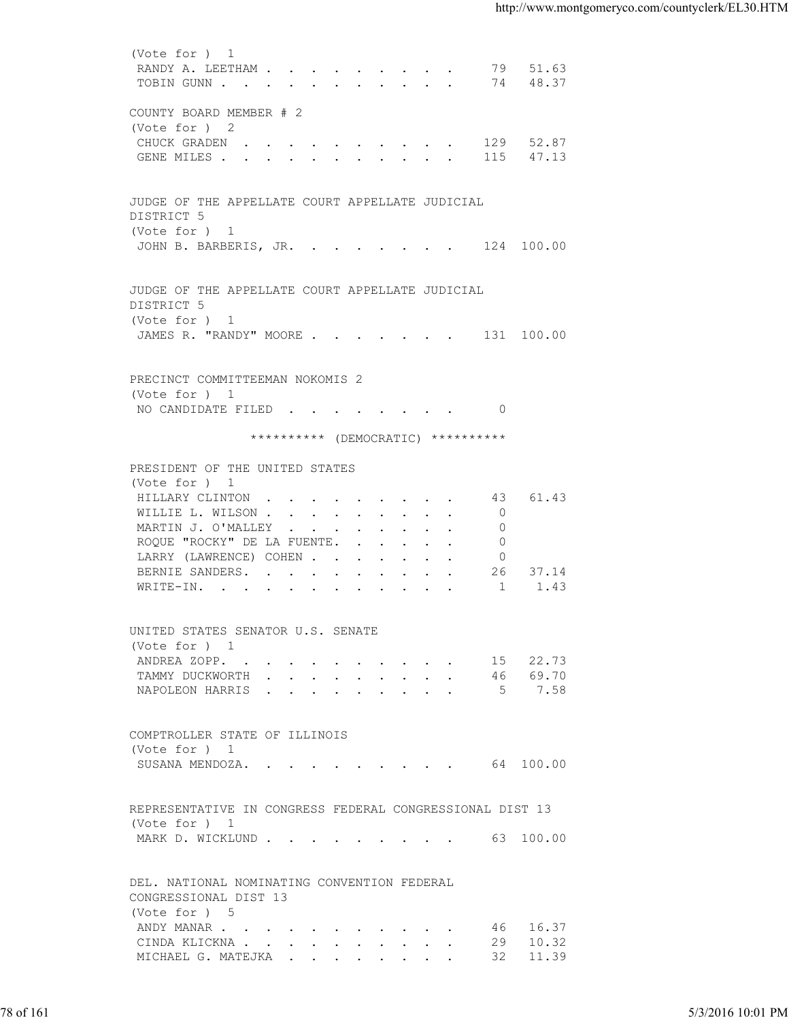| RANDY A. LEETHAM 79 51.63<br>TOBIN GUNN 74 48.37<br>COUNTY BOARD MEMBER # 2<br>(Vote for ) 2<br>CHUCK GRADEN 129 52.87<br>GENE MILES 115 47.13<br>JUDGE OF THE APPELLATE COURT APPELLATE JUDICIAL<br>DISTRICT 5<br>(Vote for ) 1<br>JOHN B. BARBERIS, JR. 124 100.00<br>JUDGE OF THE APPELLATE COURT APPELLATE JUDICIAL<br>DISTRICT 5<br>(Vote for ) 1<br>JAMES R. "RANDY" MOORE 131 100.00<br>PRECINCT COMMITTEEMAN NOKOMIS 2<br>(Vote for ) 1<br>NO CANDIDATE FILED 0<br>********** (DEMOCRATIC) **********<br>PRESIDENT OF THE UNITED STATES<br>(Vote for ) 1<br>43 61.43<br>HILLARY CLINTON<br>$\overline{0}$<br>WILLIE L. WILSON<br>MARTIN J. O'MALLEY<br>$\circ$<br>ROQUE "ROCKY" DE LA FUENTE.<br>0<br>LARRY (LAWRENCE) COHEN<br>$\circ$<br>26 37.14<br>BERNIE SANDERS.<br>1<br>1.43<br>WRITE-IN.<br>UNITED STATES SENATOR U.S. SENATE<br>(Vote for ) 1<br>ANDREA ZOPP.<br>15 22.73<br>TAMMY DUCKWORTH 46 69.70<br>NAPOLEON HARRIS 5 7.58<br>COMPTROLLER STATE OF ILLINOIS<br>(Vote for ) 1<br>SUSANA MENDOZA. 64 100.00<br>REPRESENTATIVE IN CONGRESS FEDERAL CONGRESSIONAL DIST 13<br>(Vote for ) 1<br>MARK D. WICKLUND 63 100.00<br>DEL. NATIONAL NOMINATING CONVENTION FEDERAL<br>CONGRESSIONAL DIST 13<br>(Vote for ) 5<br>46 16.37<br>ANDY MANAR<br>29 10.32<br>CINDA KLICKNA<br>32 11.39<br>MICHAEL G. MATEJKA<br>78 of 161<br>5/3/2016 10:01 PM |  |  |  |
|----------------------------------------------------------------------------------------------------------------------------------------------------------------------------------------------------------------------------------------------------------------------------------------------------------------------------------------------------------------------------------------------------------------------------------------------------------------------------------------------------------------------------------------------------------------------------------------------------------------------------------------------------------------------------------------------------------------------------------------------------------------------------------------------------------------------------------------------------------------------------------------------------------------------------------------------------------------------------------------------------------------------------------------------------------------------------------------------------------------------------------------------------------------------------------------------------------------------------------------------------------------------------------------------------------------------------------------------------------------|--|--|--|
|                                                                                                                                                                                                                                                                                                                                                                                                                                                                                                                                                                                                                                                                                                                                                                                                                                                                                                                                                                                                                                                                                                                                                                                                                                                                                                                                                                |  |  |  |
|                                                                                                                                                                                                                                                                                                                                                                                                                                                                                                                                                                                                                                                                                                                                                                                                                                                                                                                                                                                                                                                                                                                                                                                                                                                                                                                                                                |  |  |  |
|                                                                                                                                                                                                                                                                                                                                                                                                                                                                                                                                                                                                                                                                                                                                                                                                                                                                                                                                                                                                                                                                                                                                                                                                                                                                                                                                                                |  |  |  |
|                                                                                                                                                                                                                                                                                                                                                                                                                                                                                                                                                                                                                                                                                                                                                                                                                                                                                                                                                                                                                                                                                                                                                                                                                                                                                                                                                                |  |  |  |
|                                                                                                                                                                                                                                                                                                                                                                                                                                                                                                                                                                                                                                                                                                                                                                                                                                                                                                                                                                                                                                                                                                                                                                                                                                                                                                                                                                |  |  |  |
|                                                                                                                                                                                                                                                                                                                                                                                                                                                                                                                                                                                                                                                                                                                                                                                                                                                                                                                                                                                                                                                                                                                                                                                                                                                                                                                                                                |  |  |  |
|                                                                                                                                                                                                                                                                                                                                                                                                                                                                                                                                                                                                                                                                                                                                                                                                                                                                                                                                                                                                                                                                                                                                                                                                                                                                                                                                                                |  |  |  |
|                                                                                                                                                                                                                                                                                                                                                                                                                                                                                                                                                                                                                                                                                                                                                                                                                                                                                                                                                                                                                                                                                                                                                                                                                                                                                                                                                                |  |  |  |
|                                                                                                                                                                                                                                                                                                                                                                                                                                                                                                                                                                                                                                                                                                                                                                                                                                                                                                                                                                                                                                                                                                                                                                                                                                                                                                                                                                |  |  |  |
|                                                                                                                                                                                                                                                                                                                                                                                                                                                                                                                                                                                                                                                                                                                                                                                                                                                                                                                                                                                                                                                                                                                                                                                                                                                                                                                                                                |  |  |  |
|                                                                                                                                                                                                                                                                                                                                                                                                                                                                                                                                                                                                                                                                                                                                                                                                                                                                                                                                                                                                                                                                                                                                                                                                                                                                                                                                                                |  |  |  |
|                                                                                                                                                                                                                                                                                                                                                                                                                                                                                                                                                                                                                                                                                                                                                                                                                                                                                                                                                                                                                                                                                                                                                                                                                                                                                                                                                                |  |  |  |
|                                                                                                                                                                                                                                                                                                                                                                                                                                                                                                                                                                                                                                                                                                                                                                                                                                                                                                                                                                                                                                                                                                                                                                                                                                                                                                                                                                |  |  |  |
|                                                                                                                                                                                                                                                                                                                                                                                                                                                                                                                                                                                                                                                                                                                                                                                                                                                                                                                                                                                                                                                                                                                                                                                                                                                                                                                                                                |  |  |  |
|                                                                                                                                                                                                                                                                                                                                                                                                                                                                                                                                                                                                                                                                                                                                                                                                                                                                                                                                                                                                                                                                                                                                                                                                                                                                                                                                                                |  |  |  |
|                                                                                                                                                                                                                                                                                                                                                                                                                                                                                                                                                                                                                                                                                                                                                                                                                                                                                                                                                                                                                                                                                                                                                                                                                                                                                                                                                                |  |  |  |
|                                                                                                                                                                                                                                                                                                                                                                                                                                                                                                                                                                                                                                                                                                                                                                                                                                                                                                                                                                                                                                                                                                                                                                                                                                                                                                                                                                |  |  |  |
|                                                                                                                                                                                                                                                                                                                                                                                                                                                                                                                                                                                                                                                                                                                                                                                                                                                                                                                                                                                                                                                                                                                                                                                                                                                                                                                                                                |  |  |  |
|                                                                                                                                                                                                                                                                                                                                                                                                                                                                                                                                                                                                                                                                                                                                                                                                                                                                                                                                                                                                                                                                                                                                                                                                                                                                                                                                                                |  |  |  |
|                                                                                                                                                                                                                                                                                                                                                                                                                                                                                                                                                                                                                                                                                                                                                                                                                                                                                                                                                                                                                                                                                                                                                                                                                                                                                                                                                                |  |  |  |
|                                                                                                                                                                                                                                                                                                                                                                                                                                                                                                                                                                                                                                                                                                                                                                                                                                                                                                                                                                                                                                                                                                                                                                                                                                                                                                                                                                |  |  |  |
|                                                                                                                                                                                                                                                                                                                                                                                                                                                                                                                                                                                                                                                                                                                                                                                                                                                                                                                                                                                                                                                                                                                                                                                                                                                                                                                                                                |  |  |  |
|                                                                                                                                                                                                                                                                                                                                                                                                                                                                                                                                                                                                                                                                                                                                                                                                                                                                                                                                                                                                                                                                                                                                                                                                                                                                                                                                                                |  |  |  |
|                                                                                                                                                                                                                                                                                                                                                                                                                                                                                                                                                                                                                                                                                                                                                                                                                                                                                                                                                                                                                                                                                                                                                                                                                                                                                                                                                                |  |  |  |
|                                                                                                                                                                                                                                                                                                                                                                                                                                                                                                                                                                                                                                                                                                                                                                                                                                                                                                                                                                                                                                                                                                                                                                                                                                                                                                                                                                |  |  |  |
|                                                                                                                                                                                                                                                                                                                                                                                                                                                                                                                                                                                                                                                                                                                                                                                                                                                                                                                                                                                                                                                                                                                                                                                                                                                                                                                                                                |  |  |  |
|                                                                                                                                                                                                                                                                                                                                                                                                                                                                                                                                                                                                                                                                                                                                                                                                                                                                                                                                                                                                                                                                                                                                                                                                                                                                                                                                                                |  |  |  |
|                                                                                                                                                                                                                                                                                                                                                                                                                                                                                                                                                                                                                                                                                                                                                                                                                                                                                                                                                                                                                                                                                                                                                                                                                                                                                                                                                                |  |  |  |
|                                                                                                                                                                                                                                                                                                                                                                                                                                                                                                                                                                                                                                                                                                                                                                                                                                                                                                                                                                                                                                                                                                                                                                                                                                                                                                                                                                |  |  |  |
|                                                                                                                                                                                                                                                                                                                                                                                                                                                                                                                                                                                                                                                                                                                                                                                                                                                                                                                                                                                                                                                                                                                                                                                                                                                                                                                                                                |  |  |  |
|                                                                                                                                                                                                                                                                                                                                                                                                                                                                                                                                                                                                                                                                                                                                                                                                                                                                                                                                                                                                                                                                                                                                                                                                                                                                                                                                                                |  |  |  |
|                                                                                                                                                                                                                                                                                                                                                                                                                                                                                                                                                                                                                                                                                                                                                                                                                                                                                                                                                                                                                                                                                                                                                                                                                                                                                                                                                                |  |  |  |
|                                                                                                                                                                                                                                                                                                                                                                                                                                                                                                                                                                                                                                                                                                                                                                                                                                                                                                                                                                                                                                                                                                                                                                                                                                                                                                                                                                |  |  |  |
|                                                                                                                                                                                                                                                                                                                                                                                                                                                                                                                                                                                                                                                                                                                                                                                                                                                                                                                                                                                                                                                                                                                                                                                                                                                                                                                                                                |  |  |  |
|                                                                                                                                                                                                                                                                                                                                                                                                                                                                                                                                                                                                                                                                                                                                                                                                                                                                                                                                                                                                                                                                                                                                                                                                                                                                                                                                                                |  |  |  |
|                                                                                                                                                                                                                                                                                                                                                                                                                                                                                                                                                                                                                                                                                                                                                                                                                                                                                                                                                                                                                                                                                                                                                                                                                                                                                                                                                                |  |  |  |
|                                                                                                                                                                                                                                                                                                                                                                                                                                                                                                                                                                                                                                                                                                                                                                                                                                                                                                                                                                                                                                                                                                                                                                                                                                                                                                                                                                |  |  |  |
|                                                                                                                                                                                                                                                                                                                                                                                                                                                                                                                                                                                                                                                                                                                                                                                                                                                                                                                                                                                                                                                                                                                                                                                                                                                                                                                                                                |  |  |  |
|                                                                                                                                                                                                                                                                                                                                                                                                                                                                                                                                                                                                                                                                                                                                                                                                                                                                                                                                                                                                                                                                                                                                                                                                                                                                                                                                                                |  |  |  |
|                                                                                                                                                                                                                                                                                                                                                                                                                                                                                                                                                                                                                                                                                                                                                                                                                                                                                                                                                                                                                                                                                                                                                                                                                                                                                                                                                                |  |  |  |
|                                                                                                                                                                                                                                                                                                                                                                                                                                                                                                                                                                                                                                                                                                                                                                                                                                                                                                                                                                                                                                                                                                                                                                                                                                                                                                                                                                |  |  |  |
|                                                                                                                                                                                                                                                                                                                                                                                                                                                                                                                                                                                                                                                                                                                                                                                                                                                                                                                                                                                                                                                                                                                                                                                                                                                                                                                                                                |  |  |  |
|                                                                                                                                                                                                                                                                                                                                                                                                                                                                                                                                                                                                                                                                                                                                                                                                                                                                                                                                                                                                                                                                                                                                                                                                                                                                                                                                                                |  |  |  |
|                                                                                                                                                                                                                                                                                                                                                                                                                                                                                                                                                                                                                                                                                                                                                                                                                                                                                                                                                                                                                                                                                                                                                                                                                                                                                                                                                                |  |  |  |
|                                                                                                                                                                                                                                                                                                                                                                                                                                                                                                                                                                                                                                                                                                                                                                                                                                                                                                                                                                                                                                                                                                                                                                                                                                                                                                                                                                |  |  |  |
|                                                                                                                                                                                                                                                                                                                                                                                                                                                                                                                                                                                                                                                                                                                                                                                                                                                                                                                                                                                                                                                                                                                                                                                                                                                                                                                                                                |  |  |  |
|                                                                                                                                                                                                                                                                                                                                                                                                                                                                                                                                                                                                                                                                                                                                                                                                                                                                                                                                                                                                                                                                                                                                                                                                                                                                                                                                                                |  |  |  |
|                                                                                                                                                                                                                                                                                                                                                                                                                                                                                                                                                                                                                                                                                                                                                                                                                                                                                                                                                                                                                                                                                                                                                                                                                                                                                                                                                                |  |  |  |
|                                                                                                                                                                                                                                                                                                                                                                                                                                                                                                                                                                                                                                                                                                                                                                                                                                                                                                                                                                                                                                                                                                                                                                                                                                                                                                                                                                |  |  |  |
|                                                                                                                                                                                                                                                                                                                                                                                                                                                                                                                                                                                                                                                                                                                                                                                                                                                                                                                                                                                                                                                                                                                                                                                                                                                                                                                                                                |  |  |  |
|                                                                                                                                                                                                                                                                                                                                                                                                                                                                                                                                                                                                                                                                                                                                                                                                                                                                                                                                                                                                                                                                                                                                                                                                                                                                                                                                                                |  |  |  |
|                                                                                                                                                                                                                                                                                                                                                                                                                                                                                                                                                                                                                                                                                                                                                                                                                                                                                                                                                                                                                                                                                                                                                                                                                                                                                                                                                                |  |  |  |
|                                                                                                                                                                                                                                                                                                                                                                                                                                                                                                                                                                                                                                                                                                                                                                                                                                                                                                                                                                                                                                                                                                                                                                                                                                                                                                                                                                |  |  |  |
|                                                                                                                                                                                                                                                                                                                                                                                                                                                                                                                                                                                                                                                                                                                                                                                                                                                                                                                                                                                                                                                                                                                                                                                                                                                                                                                                                                |  |  |  |
|                                                                                                                                                                                                                                                                                                                                                                                                                                                                                                                                                                                                                                                                                                                                                                                                                                                                                                                                                                                                                                                                                                                                                                                                                                                                                                                                                                |  |  |  |
|                                                                                                                                                                                                                                                                                                                                                                                                                                                                                                                                                                                                                                                                                                                                                                                                                                                                                                                                                                                                                                                                                                                                                                                                                                                                                                                                                                |  |  |  |
|                                                                                                                                                                                                                                                                                                                                                                                                                                                                                                                                                                                                                                                                                                                                                                                                                                                                                                                                                                                                                                                                                                                                                                                                                                                                                                                                                                |  |  |  |
|                                                                                                                                                                                                                                                                                                                                                                                                                                                                                                                                                                                                                                                                                                                                                                                                                                                                                                                                                                                                                                                                                                                                                                                                                                                                                                                                                                |  |  |  |
|                                                                                                                                                                                                                                                                                                                                                                                                                                                                                                                                                                                                                                                                                                                                                                                                                                                                                                                                                                                                                                                                                                                                                                                                                                                                                                                                                                |  |  |  |
|                                                                                                                                                                                                                                                                                                                                                                                                                                                                                                                                                                                                                                                                                                                                                                                                                                                                                                                                                                                                                                                                                                                                                                                                                                                                                                                                                                |  |  |  |
|                                                                                                                                                                                                                                                                                                                                                                                                                                                                                                                                                                                                                                                                                                                                                                                                                                                                                                                                                                                                                                                                                                                                                                                                                                                                                                                                                                |  |  |  |
|                                                                                                                                                                                                                                                                                                                                                                                                                                                                                                                                                                                                                                                                                                                                                                                                                                                                                                                                                                                                                                                                                                                                                                                                                                                                                                                                                                |  |  |  |
|                                                                                                                                                                                                                                                                                                                                                                                                                                                                                                                                                                                                                                                                                                                                                                                                                                                                                                                                                                                                                                                                                                                                                                                                                                                                                                                                                                |  |  |  |
|                                                                                                                                                                                                                                                                                                                                                                                                                                                                                                                                                                                                                                                                                                                                                                                                                                                                                                                                                                                                                                                                                                                                                                                                                                                                                                                                                                |  |  |  |
|                                                                                                                                                                                                                                                                                                                                                                                                                                                                                                                                                                                                                                                                                                                                                                                                                                                                                                                                                                                                                                                                                                                                                                                                                                                                                                                                                                |  |  |  |
|                                                                                                                                                                                                                                                                                                                                                                                                                                                                                                                                                                                                                                                                                                                                                                                                                                                                                                                                                                                                                                                                                                                                                                                                                                                                                                                                                                |  |  |  |
|                                                                                                                                                                                                                                                                                                                                                                                                                                                                                                                                                                                                                                                                                                                                                                                                                                                                                                                                                                                                                                                                                                                                                                                                                                                                                                                                                                |  |  |  |
|                                                                                                                                                                                                                                                                                                                                                                                                                                                                                                                                                                                                                                                                                                                                                                                                                                                                                                                                                                                                                                                                                                                                                                                                                                                                                                                                                                |  |  |  |
|                                                                                                                                                                                                                                                                                                                                                                                                                                                                                                                                                                                                                                                                                                                                                                                                                                                                                                                                                                                                                                                                                                                                                                                                                                                                                                                                                                |  |  |  |
|                                                                                                                                                                                                                                                                                                                                                                                                                                                                                                                                                                                                                                                                                                                                                                                                                                                                                                                                                                                                                                                                                                                                                                                                                                                                                                                                                                |  |  |  |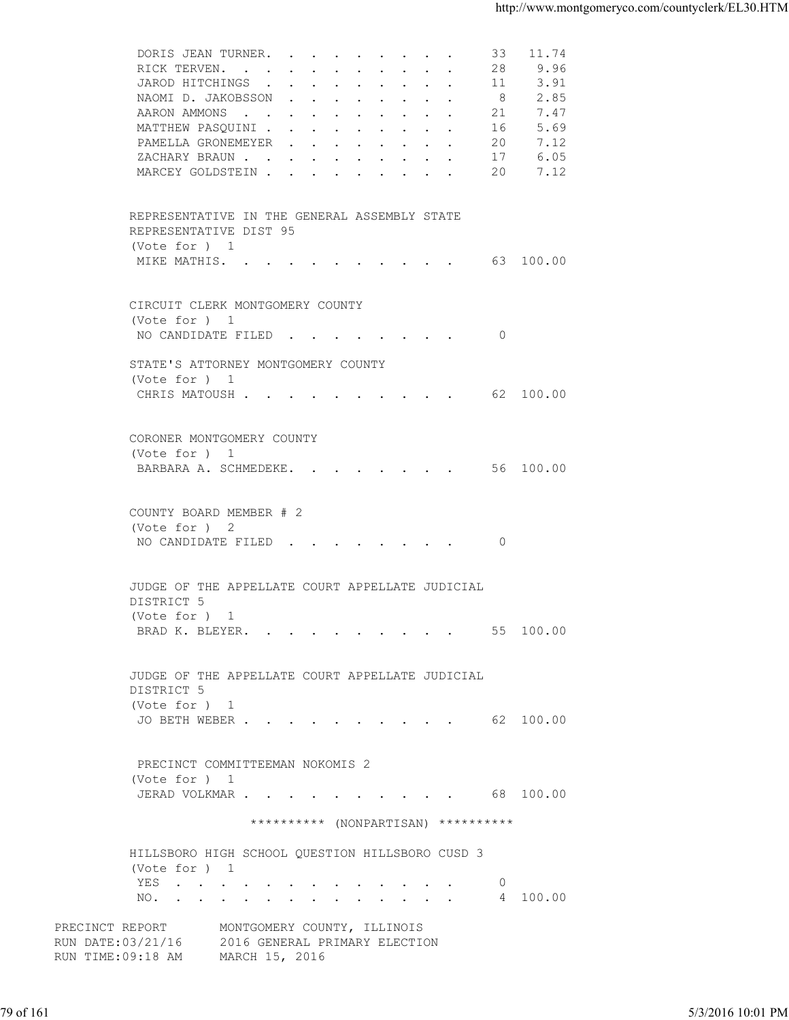| DORIS JEAN TURNER.<br>9.96<br>RICK TERVEN.<br>28<br>3.91<br>JAROD HITCHINGS<br>- 11<br>2.85<br>NAOMI D. JAKOBSSON<br>8<br>7.47<br>AARON AMMONS<br>21<br>MATTHEW PASQUINI<br>5.69<br>16<br>PAMELLA GRONEMEYER<br>7.12<br>20<br>6.05<br>ZACHARY BRAUN.<br>17<br>MARCEY GOLDSTEIN 20<br>7.12<br>REPRESENTATIVE IN THE GENERAL ASSEMBLY STATE<br>REPRESENTATIVE DIST 95<br>(Vote for ) 1<br>MIKE MATHIS. 63 100.00<br>CIRCUIT CLERK MONTGOMERY COUNTY<br>(Vote for ) 1<br>NO CANDIDATE FILED<br>$\overline{0}$<br>STATE'S ATTORNEY MONTGOMERY COUNTY<br>(Vote for ) 1<br>CHRIS MATOUSH 62 100.00<br>CORONER MONTGOMERY COUNTY<br>(Vote for ) 1<br>BARBARA A. SCHMEDEKE. 56 100.00<br>COUNTY BOARD MEMBER # 2<br>(Vote for ) 2<br>NO CANDIDATE FILED 0<br>JUDGE OF THE APPELLATE COURT APPELLATE JUDICIAL<br>DISTRICT 5<br>(Note for ) 1<br>BRAD K. BLEYER. 55 100.00<br>JUDGE OF THE APPELLATE COURT APPELLATE JUDICIAL<br>DISTRICT 5<br>(Vote for ) 1<br>JO BETH WEBER 62 100.00<br>PRECINCT COMMITTEEMAN NOKOMIS 2<br>(Vote for ) 1<br>JERAD VOLKMAR 68 100.00<br>********** (NONPARTISAN) **********<br>HILLSBORO HIGH SCHOOL QUESTION HILLSBORO CUSD 3<br>(Vote for ) 1<br>YES<br>$\circ$<br>4 100.00<br>NO.<br>PRECINCT REPORT<br>MONTGOMERY COUNTY, ILLINOIS<br>RUN DATE: 03/21/16 2016 GENERAL PRIMARY ELECTION<br>RUN TIME: 09:18 AM MARCH 15, 2016<br>5/3/2016 10:01 PM |           |  |
|------------------------------------------------------------------------------------------------------------------------------------------------------------------------------------------------------------------------------------------------------------------------------------------------------------------------------------------------------------------------------------------------------------------------------------------------------------------------------------------------------------------------------------------------------------------------------------------------------------------------------------------------------------------------------------------------------------------------------------------------------------------------------------------------------------------------------------------------------------------------------------------------------------------------------------------------------------------------------------------------------------------------------------------------------------------------------------------------------------------------------------------------------------------------------------------------------------------------------------------------------------------------------------------------------------------------------------------------------------------------------|-----------|--|
|                                                                                                                                                                                                                                                                                                                                                                                                                                                                                                                                                                                                                                                                                                                                                                                                                                                                                                                                                                                                                                                                                                                                                                                                                                                                                                                                                                              |           |  |
|                                                                                                                                                                                                                                                                                                                                                                                                                                                                                                                                                                                                                                                                                                                                                                                                                                                                                                                                                                                                                                                                                                                                                                                                                                                                                                                                                                              |           |  |
|                                                                                                                                                                                                                                                                                                                                                                                                                                                                                                                                                                                                                                                                                                                                                                                                                                                                                                                                                                                                                                                                                                                                                                                                                                                                                                                                                                              |           |  |
|                                                                                                                                                                                                                                                                                                                                                                                                                                                                                                                                                                                                                                                                                                                                                                                                                                                                                                                                                                                                                                                                                                                                                                                                                                                                                                                                                                              | 79 of 161 |  |
|                                                                                                                                                                                                                                                                                                                                                                                                                                                                                                                                                                                                                                                                                                                                                                                                                                                                                                                                                                                                                                                                                                                                                                                                                                                                                                                                                                              |           |  |
|                                                                                                                                                                                                                                                                                                                                                                                                                                                                                                                                                                                                                                                                                                                                                                                                                                                                                                                                                                                                                                                                                                                                                                                                                                                                                                                                                                              |           |  |
|                                                                                                                                                                                                                                                                                                                                                                                                                                                                                                                                                                                                                                                                                                                                                                                                                                                                                                                                                                                                                                                                                                                                                                                                                                                                                                                                                                              |           |  |
|                                                                                                                                                                                                                                                                                                                                                                                                                                                                                                                                                                                                                                                                                                                                                                                                                                                                                                                                                                                                                                                                                                                                                                                                                                                                                                                                                                              |           |  |
|                                                                                                                                                                                                                                                                                                                                                                                                                                                                                                                                                                                                                                                                                                                                                                                                                                                                                                                                                                                                                                                                                                                                                                                                                                                                                                                                                                              |           |  |
|                                                                                                                                                                                                                                                                                                                                                                                                                                                                                                                                                                                                                                                                                                                                                                                                                                                                                                                                                                                                                                                                                                                                                                                                                                                                                                                                                                              |           |  |
|                                                                                                                                                                                                                                                                                                                                                                                                                                                                                                                                                                                                                                                                                                                                                                                                                                                                                                                                                                                                                                                                                                                                                                                                                                                                                                                                                                              |           |  |
|                                                                                                                                                                                                                                                                                                                                                                                                                                                                                                                                                                                                                                                                                                                                                                                                                                                                                                                                                                                                                                                                                                                                                                                                                                                                                                                                                                              |           |  |
|                                                                                                                                                                                                                                                                                                                                                                                                                                                                                                                                                                                                                                                                                                                                                                                                                                                                                                                                                                                                                                                                                                                                                                                                                                                                                                                                                                              |           |  |
|                                                                                                                                                                                                                                                                                                                                                                                                                                                                                                                                                                                                                                                                                                                                                                                                                                                                                                                                                                                                                                                                                                                                                                                                                                                                                                                                                                              |           |  |
|                                                                                                                                                                                                                                                                                                                                                                                                                                                                                                                                                                                                                                                                                                                                                                                                                                                                                                                                                                                                                                                                                                                                                                                                                                                                                                                                                                              |           |  |
|                                                                                                                                                                                                                                                                                                                                                                                                                                                                                                                                                                                                                                                                                                                                                                                                                                                                                                                                                                                                                                                                                                                                                                                                                                                                                                                                                                              |           |  |
|                                                                                                                                                                                                                                                                                                                                                                                                                                                                                                                                                                                                                                                                                                                                                                                                                                                                                                                                                                                                                                                                                                                                                                                                                                                                                                                                                                              |           |  |
|                                                                                                                                                                                                                                                                                                                                                                                                                                                                                                                                                                                                                                                                                                                                                                                                                                                                                                                                                                                                                                                                                                                                                                                                                                                                                                                                                                              |           |  |
|                                                                                                                                                                                                                                                                                                                                                                                                                                                                                                                                                                                                                                                                                                                                                                                                                                                                                                                                                                                                                                                                                                                                                                                                                                                                                                                                                                              |           |  |
|                                                                                                                                                                                                                                                                                                                                                                                                                                                                                                                                                                                                                                                                                                                                                                                                                                                                                                                                                                                                                                                                                                                                                                                                                                                                                                                                                                              |           |  |
|                                                                                                                                                                                                                                                                                                                                                                                                                                                                                                                                                                                                                                                                                                                                                                                                                                                                                                                                                                                                                                                                                                                                                                                                                                                                                                                                                                              |           |  |
|                                                                                                                                                                                                                                                                                                                                                                                                                                                                                                                                                                                                                                                                                                                                                                                                                                                                                                                                                                                                                                                                                                                                                                                                                                                                                                                                                                              |           |  |
|                                                                                                                                                                                                                                                                                                                                                                                                                                                                                                                                                                                                                                                                                                                                                                                                                                                                                                                                                                                                                                                                                                                                                                                                                                                                                                                                                                              |           |  |
|                                                                                                                                                                                                                                                                                                                                                                                                                                                                                                                                                                                                                                                                                                                                                                                                                                                                                                                                                                                                                                                                                                                                                                                                                                                                                                                                                                              |           |  |
|                                                                                                                                                                                                                                                                                                                                                                                                                                                                                                                                                                                                                                                                                                                                                                                                                                                                                                                                                                                                                                                                                                                                                                                                                                                                                                                                                                              |           |  |
|                                                                                                                                                                                                                                                                                                                                                                                                                                                                                                                                                                                                                                                                                                                                                                                                                                                                                                                                                                                                                                                                                                                                                                                                                                                                                                                                                                              |           |  |
|                                                                                                                                                                                                                                                                                                                                                                                                                                                                                                                                                                                                                                                                                                                                                                                                                                                                                                                                                                                                                                                                                                                                                                                                                                                                                                                                                                              |           |  |
|                                                                                                                                                                                                                                                                                                                                                                                                                                                                                                                                                                                                                                                                                                                                                                                                                                                                                                                                                                                                                                                                                                                                                                                                                                                                                                                                                                              |           |  |
|                                                                                                                                                                                                                                                                                                                                                                                                                                                                                                                                                                                                                                                                                                                                                                                                                                                                                                                                                                                                                                                                                                                                                                                                                                                                                                                                                                              |           |  |
|                                                                                                                                                                                                                                                                                                                                                                                                                                                                                                                                                                                                                                                                                                                                                                                                                                                                                                                                                                                                                                                                                                                                                                                                                                                                                                                                                                              |           |  |
|                                                                                                                                                                                                                                                                                                                                                                                                                                                                                                                                                                                                                                                                                                                                                                                                                                                                                                                                                                                                                                                                                                                                                                                                                                                                                                                                                                              |           |  |
|                                                                                                                                                                                                                                                                                                                                                                                                                                                                                                                                                                                                                                                                                                                                                                                                                                                                                                                                                                                                                                                                                                                                                                                                                                                                                                                                                                              |           |  |
|                                                                                                                                                                                                                                                                                                                                                                                                                                                                                                                                                                                                                                                                                                                                                                                                                                                                                                                                                                                                                                                                                                                                                                                                                                                                                                                                                                              |           |  |
|                                                                                                                                                                                                                                                                                                                                                                                                                                                                                                                                                                                                                                                                                                                                                                                                                                                                                                                                                                                                                                                                                                                                                                                                                                                                                                                                                                              |           |  |
|                                                                                                                                                                                                                                                                                                                                                                                                                                                                                                                                                                                                                                                                                                                                                                                                                                                                                                                                                                                                                                                                                                                                                                                                                                                                                                                                                                              |           |  |
|                                                                                                                                                                                                                                                                                                                                                                                                                                                                                                                                                                                                                                                                                                                                                                                                                                                                                                                                                                                                                                                                                                                                                                                                                                                                                                                                                                              |           |  |
|                                                                                                                                                                                                                                                                                                                                                                                                                                                                                                                                                                                                                                                                                                                                                                                                                                                                                                                                                                                                                                                                                                                                                                                                                                                                                                                                                                              |           |  |
|                                                                                                                                                                                                                                                                                                                                                                                                                                                                                                                                                                                                                                                                                                                                                                                                                                                                                                                                                                                                                                                                                                                                                                                                                                                                                                                                                                              |           |  |
|                                                                                                                                                                                                                                                                                                                                                                                                                                                                                                                                                                                                                                                                                                                                                                                                                                                                                                                                                                                                                                                                                                                                                                                                                                                                                                                                                                              |           |  |
|                                                                                                                                                                                                                                                                                                                                                                                                                                                                                                                                                                                                                                                                                                                                                                                                                                                                                                                                                                                                                                                                                                                                                                                                                                                                                                                                                                              |           |  |
|                                                                                                                                                                                                                                                                                                                                                                                                                                                                                                                                                                                                                                                                                                                                                                                                                                                                                                                                                                                                                                                                                                                                                                                                                                                                                                                                                                              |           |  |
|                                                                                                                                                                                                                                                                                                                                                                                                                                                                                                                                                                                                                                                                                                                                                                                                                                                                                                                                                                                                                                                                                                                                                                                                                                                                                                                                                                              |           |  |
|                                                                                                                                                                                                                                                                                                                                                                                                                                                                                                                                                                                                                                                                                                                                                                                                                                                                                                                                                                                                                                                                                                                                                                                                                                                                                                                                                                              |           |  |
|                                                                                                                                                                                                                                                                                                                                                                                                                                                                                                                                                                                                                                                                                                                                                                                                                                                                                                                                                                                                                                                                                                                                                                                                                                                                                                                                                                              |           |  |
|                                                                                                                                                                                                                                                                                                                                                                                                                                                                                                                                                                                                                                                                                                                                                                                                                                                                                                                                                                                                                                                                                                                                                                                                                                                                                                                                                                              |           |  |
|                                                                                                                                                                                                                                                                                                                                                                                                                                                                                                                                                                                                                                                                                                                                                                                                                                                                                                                                                                                                                                                                                                                                                                                                                                                                                                                                                                              |           |  |
|                                                                                                                                                                                                                                                                                                                                                                                                                                                                                                                                                                                                                                                                                                                                                                                                                                                                                                                                                                                                                                                                                                                                                                                                                                                                                                                                                                              |           |  |
|                                                                                                                                                                                                                                                                                                                                                                                                                                                                                                                                                                                                                                                                                                                                                                                                                                                                                                                                                                                                                                                                                                                                                                                                                                                                                                                                                                              |           |  |
|                                                                                                                                                                                                                                                                                                                                                                                                                                                                                                                                                                                                                                                                                                                                                                                                                                                                                                                                                                                                                                                                                                                                                                                                                                                                                                                                                                              |           |  |
|                                                                                                                                                                                                                                                                                                                                                                                                                                                                                                                                                                                                                                                                                                                                                                                                                                                                                                                                                                                                                                                                                                                                                                                                                                                                                                                                                                              |           |  |
|                                                                                                                                                                                                                                                                                                                                                                                                                                                                                                                                                                                                                                                                                                                                                                                                                                                                                                                                                                                                                                                                                                                                                                                                                                                                                                                                                                              |           |  |
|                                                                                                                                                                                                                                                                                                                                                                                                                                                                                                                                                                                                                                                                                                                                                                                                                                                                                                                                                                                                                                                                                                                                                                                                                                                                                                                                                                              |           |  |
|                                                                                                                                                                                                                                                                                                                                                                                                                                                                                                                                                                                                                                                                                                                                                                                                                                                                                                                                                                                                                                                                                                                                                                                                                                                                                                                                                                              |           |  |
|                                                                                                                                                                                                                                                                                                                                                                                                                                                                                                                                                                                                                                                                                                                                                                                                                                                                                                                                                                                                                                                                                                                                                                                                                                                                                                                                                                              |           |  |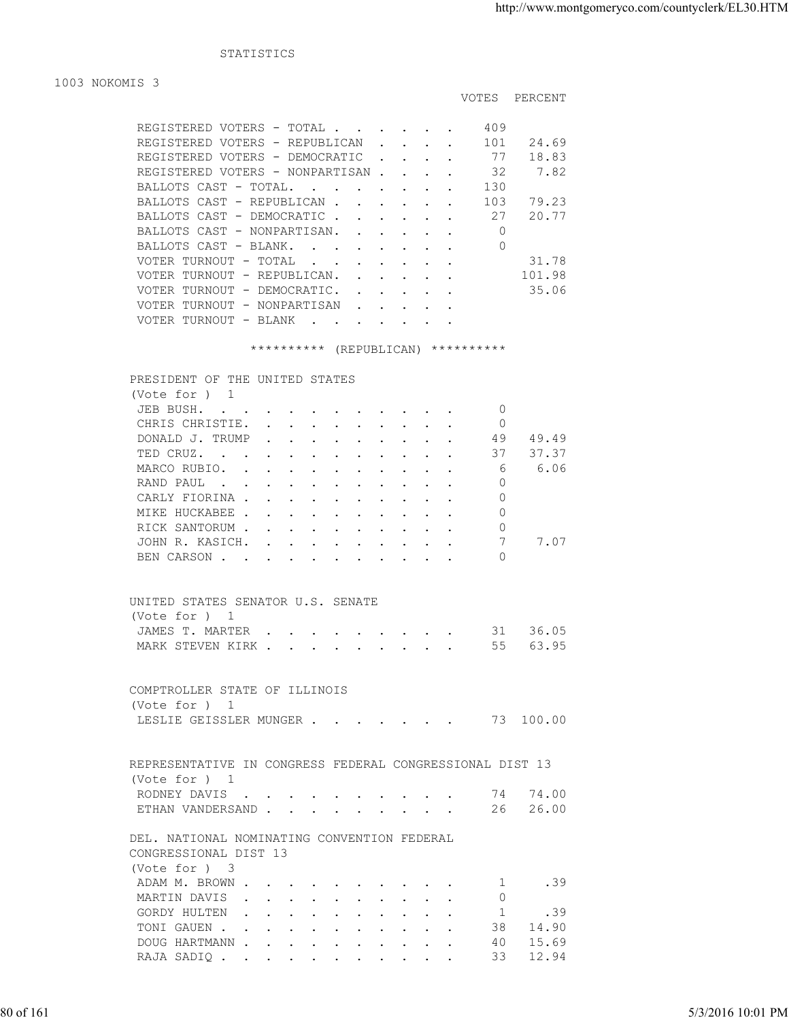STATISTICS

1003 NOKOMIS 3

| REGISTERED VOTERS - TOTAL                                                                                                                      |                           |                                                           |  | 409 |        |
|------------------------------------------------------------------------------------------------------------------------------------------------|---------------------------|-----------------------------------------------------------|--|-----|--------|
| REGISTERED VOTERS - REPUBLICAN                                                                                                                 | $\mathbf{L} = \mathbf{L}$ |                                                           |  | 101 | 24.69  |
| REGISTERED VOTERS - DEMOCRATIC                                                                                                                 |                           |                                                           |  | 77  | 18.83  |
| REGISTERED VOTERS - NONPARTISAN.                                                                                                               |                           | $\sim$ $\sim$ $\sim$                                      |  | 32  | 7.82   |
| BALLOTS CAST - TOTAL                                                                                                                           |                           |                                                           |  | 130 |        |
| BALLOTS CAST - REPUBLICAN.                                                                                                                     |                           | $\mathbf{r}$ , $\mathbf{r}$ , $\mathbf{r}$ , $\mathbf{r}$ |  | 103 | 79.23  |
| BALLOTS CAST - DEMOCRATIC.                                                                                                                     |                           |                                                           |  | 27  | 20.77  |
| BALLOTS CAST - NONPARTISAN.                                                                                                                    |                           |                                                           |  |     |        |
| BALLOTS CAST - BLANK.                                                                                                                          |                           |                                                           |  | 0   |        |
| VOTER TURNOUT - TOTAL                                                                                                                          |                           |                                                           |  |     | 31.78  |
| VOTER TURNOUT - REPUBLICAN.                                                                                                                    |                           | $\mathbf{r}$ , $\mathbf{r}$ , $\mathbf{r}$ , $\mathbf{r}$ |  |     | 101.98 |
| VOTER TURNOUT - DEMOCRATIC.<br>and the state of the state of the state of the state of the state of the state of the state of the state of the |                           |                                                           |  |     | 35.06  |
| VOTER TURNOUT - NONPARTISAN                                                                                                                    |                           |                                                           |  |     |        |
| VOTER TURNOUT - BLANK<br>. As we can assume that the contribution of $\mathcal{O}(10^6)$                                                       |                           |                                                           |  |     |        |

## \*\*\*\*\*\*\*\*\*\* (REPUBLICAN) \*\*\*\*\*\*\*\*\*\*

 PRESIDENT OF THE UNITED STATES (Vote for ) 1 JEB BUSH. . . . . . . . . . . 0 CHRIS CHRISTIE. . . . . . . . . . 0 DONALD J. TRUMP . . . . . . . . . 49 49.49<br>TED CRUZ. . . . . . . . . . . . 37 37.37 TED CRUZ. . . . . . . . . . . . . MARCO RUBIO. . . . . . . . . . . . 6 6.06<br>RAND PAUL . . . . . . . . . . . 0 RAND PAUL . . . . . . . . . . . . 0

| CARLY FIORINA 0        |  |  |  |  |  |  |
|------------------------|--|--|--|--|--|--|
| MIKE HUCKABEE 0        |  |  |  |  |  |  |
| RICK SANTORUM 0        |  |  |  |  |  |  |
| JOHN R. KASICH. 7 7.07 |  |  |  |  |  |  |
| BEN CARSON 0           |  |  |  |  |  |  |
|                        |  |  |  |  |  |  |

| UNITED STATES SENATOR U.S. SENATE |  |  |  |  |  |  |
|-----------------------------------|--|--|--|--|--|--|
| (Vote for ) 1                     |  |  |  |  |  |  |
| JAMES T. MARTER 31 36.05          |  |  |  |  |  |  |
| MARK STEVEN KIRK 55 63.95         |  |  |  |  |  |  |

|               | COMPTROLLER STATE OF ILLINOIS |  |  |  |           |
|---------------|-------------------------------|--|--|--|-----------|
| (Vote for ) 1 |                               |  |  |  |           |
|               | LESLIE GEISSLER MUNGER        |  |  |  | 73 100.00 |

|           | COMPTROLLER STATE OF ILLINOIS<br>(Vote for ) 1                            |                   |
|-----------|---------------------------------------------------------------------------|-------------------|
|           | LESLIE GEISSLER MUNGER 73 100.00                                          |                   |
|           | REPRESENTATIVE IN CONGRESS FEDERAL CONGRESSIONAL DIST 13<br>(Vote for ) 1 |                   |
|           | RODNEY DAVIS 74 74.00                                                     |                   |
|           | ETHAN VANDERSAND 26 26.00                                                 |                   |
|           |                                                                           |                   |
|           | DEL. NATIONAL NOMINATING CONVENTION FEDERAL                               |                   |
|           | CONGRESSIONAL DIST 13                                                     |                   |
|           | (Vote for ) 3                                                             |                   |
|           | .39<br>ADAM M. BROWN<br>and the state of the state                        |                   |
|           | MARTIN DAVIS<br>$\circ$<br>.39                                            |                   |
|           | GORDY HULTEN<br>$\sim$ 1<br>TONI GAUEN 38 14.90                           |                   |
|           | DOUG HARTMANN 40 15.69                                                    |                   |
|           | RAJA SADIQ 33 12.94                                                       |                   |
|           |                                                                           |                   |
|           |                                                                           |                   |
|           |                                                                           |                   |
| 80 of 161 |                                                                           | 5/3/2016 10:01 PM |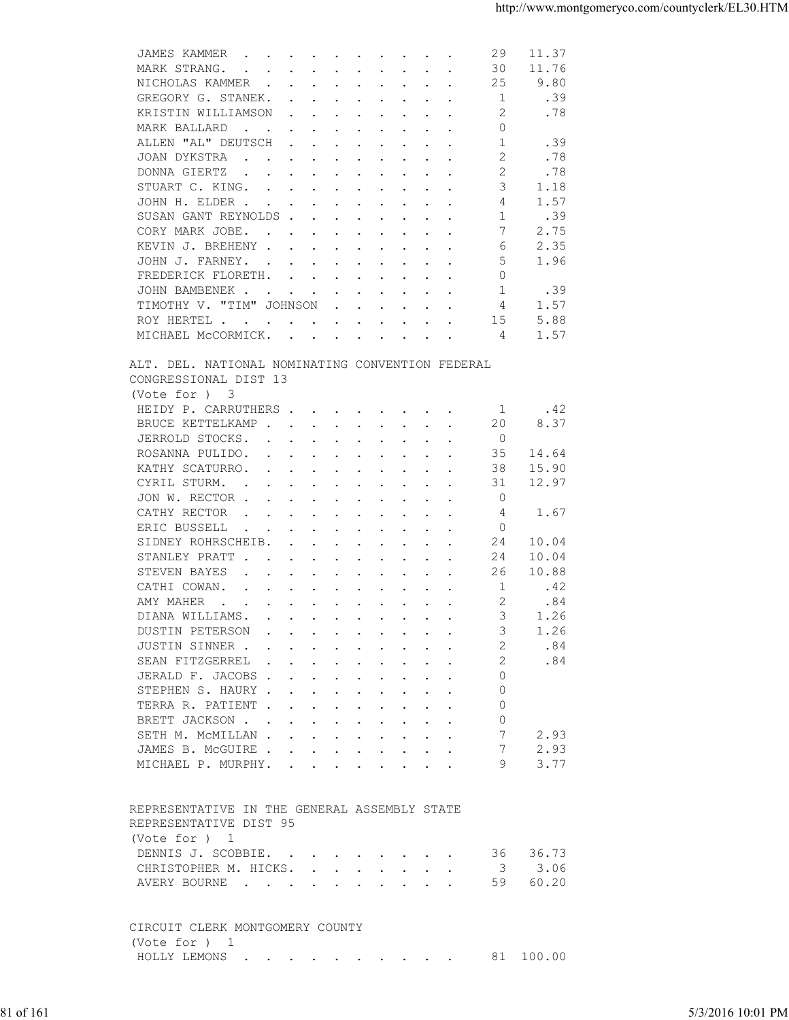| 30<br>11.76<br>MARK STRANG.<br>$\mathbf{L} = \mathbf{L}$<br>$\mathbf{r}$ , and $\mathbf{r}$ , and $\mathbf{r}$ , and $\mathbf{r}$ , and $\mathbf{r}$<br>25<br>9.80<br>NICHOLAS KAMMER<br>1<br>.39<br>GREGORY G. STANEK.<br>$\mathbf{r}$ . The contract of the contract of the contract of the contract of the contract of the contract of the contract of the contract of the contract of the contract of the contract of the contract of the contract of th<br>2<br>.78<br>KRISTIN WILLIAMSON<br>$\mathbf{r}$ . The contract of the contract of the contract of the contract of the contract of the contract of the contract of the contract of the contract of the contract of the contract of the contract of the contract of th<br>0<br>MARK BALLARD<br>$\mathbf{r}$ , and $\mathbf{r}$ , and $\mathbf{r}$ , and $\mathbf{r}$ , and $\mathbf{r}$<br>ALLEN "AL" DEUTSCH<br>$\mathbf{1}$<br>.39<br>$\cdots$<br>$\cdot$ $\cdot$<br>2<br>JOAN DYKSTRA<br>.78<br>$\mathbf{r}$ , and $\mathbf{r}$ , and $\mathbf{r}$ , and $\mathbf{r}$ , and $\mathbf{r}$<br>$\mathbf{r}$ . The set of $\mathbf{r}$<br>2<br>.78<br>DONNA GIERTZ<br>$\mathbf{a}$ and $\mathbf{a}$ are a set of the set of the set of the set of the set of the set of the set of the set of the set of the set of the set of the set of the set of the set of the set of the set of the set of the set of<br>3<br>1.18<br>STUART C. KING.<br>1.57<br>4<br>JOHN H. ELDER<br>-1<br>.39<br>SUSAN GANT REYNOLDS<br>7<br>2.75<br>CORY MARK JOBE.<br>the contract of the contract of the contract of the contract of the contract of the contract of the contract of<br>2.35<br>KEVIN J. BREHENY<br>6<br>5<br>JOHN J. FARNEY.<br>1.96<br>the contract of the contract of the contract of the contract of the contract of the contract of the contract of<br>$\Omega$<br>FREDERICK FLORETH.<br>$\mathbf{r}$ , and $\mathbf{r}$ , and $\mathbf{r}$ , and $\mathbf{r}$ , and $\mathbf{r}$<br>.39<br>1<br>JOHN BAMBENEK<br>1.57<br>TIMOTHY V. "TIM" JOHNSON<br>4<br>$\mathbf{r}$ , $\mathbf{r}$ , $\mathbf{r}$ , $\mathbf{r}$ , $\mathbf{r}$<br>5.88<br>ROY HERTEL<br>15<br>MICHAEL MCCORMICK.<br>1.57<br>4<br>ALT. DEL. NATIONAL NOMINATING CONVENTION FEDERAL<br>CONGRESSIONAL DIST 13<br>(Vote for ) 3<br>HEIDY P. CARRUTHERS<br>.42<br>-1<br>8.37<br>BRUCE KETTELKAMP.<br>20<br>$\mathbf{r}$ , $\mathbf{r}$ , $\mathbf{r}$ , $\mathbf{r}$ , $\mathbf{r}$ , $\mathbf{r}$<br>$\overline{0}$<br>JERROLD STOCKS.<br>the contract of the contract of the contract of the contract of the contract of the contract of the contract of<br>ROSANNA PULIDO.<br>35<br>14.64<br>$\mathbf{a}$ and $\mathbf{a}$ are a set of the set of the set of the set of the set of the set of the set of the set of the set of the set of the set of the set of the set of the set of the set of the set of the set of the set of<br>KATHY SCATURRO.<br>38<br>15.90<br>the contract of the contract of the contract of the contract of the contract of the contract of the contract of<br>12.97<br>CYRIL STURM.<br>31<br>the contract of the contract of the contract of the contract of the contract of the contract of the contract of<br>$\sim 100$ km s $^{-1}$<br>$\ddot{\phantom{0}}$<br>JON W. RECTOR<br>0<br>CATHY RECTOR<br>1.67<br>4<br>$\mathbf{r} = \mathbf{r} + \mathbf{r} + \mathbf{r} + \mathbf{r} + \mathbf{r} + \mathbf{r} + \mathbf{r} + \mathbf{r} + \mathbf{r} + \mathbf{r} + \mathbf{r} + \mathbf{r} + \mathbf{r} + \mathbf{r} + \mathbf{r} + \mathbf{r} + \mathbf{r} + \mathbf{r} + \mathbf{r} + \mathbf{r} + \mathbf{r} + \mathbf{r} + \mathbf{r} + \mathbf{r} + \mathbf{r} + \mathbf{r} + \mathbf{r} + \mathbf{r} + \mathbf{r} + \mathbf{r} + \mathbf$<br>ERIC BUSSELL<br>$\circ$<br>$\cdot$<br><b>Contract Contract</b><br>$\sim$ $\sim$ $\sim$<br>SIDNEY ROHRSCHEIB.<br>24<br>10.04<br>$\mathbf{r}$ , $\mathbf{r}$ , $\mathbf{r}$ , $\mathbf{r}$ , $\mathbf{r}$<br>$\sim$<br>$\sim$<br>STANLEY PRATT<br>24<br>10.04<br>$\sim$<br>the contract of the contract of the contract of the contract of the contract of the contract of the contract of<br>STEVEN BAYES<br>26<br>10.88<br>$\mathbf{r}$ , and $\mathbf{r}$ , and $\mathbf{r}$ , and $\mathbf{r}$ , and $\mathbf{r}$<br>CATHI COWAN.<br>-1<br>.42<br>$\mathbf{r}$ , $\mathbf{r}$ , $\mathbf{r}$ , $\mathbf{r}$ , $\mathbf{r}$ , $\mathbf{r}$ , $\mathbf{r}$ , $\mathbf{r}$<br>2<br>AMY MAHER<br>.84<br>the contract of the contract of the contract of the contract of the contract of the contract of the contract of<br>3<br>DIANA WILLIAMS.<br>1.26<br>DUSTIN PETERSON<br>$\mathbf{r}$ , and $\mathbf{r}$ , and $\mathbf{r}$ , and $\mathbf{r}$ , and $\mathbf{r}$<br>3<br>1.26<br>JUSTIN SINNER<br>.84<br>2<br>.84<br>SEAN FITZGERREL<br>2<br>JERALD F. JACOBS<br>0<br>$\circ$<br>STEPHEN S. HAURY<br>TERRA R. PATIENT<br>$\circ$<br>BRETT JACKSON<br>$\Omega$<br>7<br>2.93<br>SETH M. MCMILLAN<br>JAMES B. MCGUIRE<br>2.93<br>MICHAEL P. MURPHY.<br>9<br>3.77<br>REPRESENTATIVE IN THE GENERAL ASSEMBLY STATE<br>REPRESENTATIVE DIST 95<br>(Vote for ) 1<br>36.73<br>DENNIS J. SCOBBIE.<br>36<br>3.06<br>CHRISTOPHER M. HICKS.<br>$\overline{\mathbf{3}}$<br>59<br>60.20<br>AVERY BOURNE<br>CIRCUIT CLERK MONTGOMERY COUNTY<br>(Vote for ) 1<br>HOLLY LEMONS<br>81 100.00<br>5/3/2016 10:01 PM | 81 of 161 |  |  |
|-----------------------------------------------------------------------------------------------------------------------------------------------------------------------------------------------------------------------------------------------------------------------------------------------------------------------------------------------------------------------------------------------------------------------------------------------------------------------------------------------------------------------------------------------------------------------------------------------------------------------------------------------------------------------------------------------------------------------------------------------------------------------------------------------------------------------------------------------------------------------------------------------------------------------------------------------------------------------------------------------------------------------------------------------------------------------------------------------------------------------------------------------------------------------------------------------------------------------------------------------------------------------------------------------------------------------------------------------------------------------------------------------------------------------------------------------------------------------------------------------------------------------------------------------------------------------------------------------------------------------------------------------------------------------------------------------------------------------------------------------------------------------------------------------------------------------------------------------------------------------------------------------------------------------------------------------------------------------------------------------------------------------------------------------------------------------------------------------------------------------------------------------------------------------------------------------------------------------------------------------------------------------------------------------------------------------------------------------------------------------------------------------------------------------------------------------------------------------------------------------------------------------------------------------------------------------------------------------------------------------------------------------------------------------------------------------------------------------------------------------------------------------------------------------------------------------------------------------------------------------------------------------------------------------------------------------------------------------------------------------------------------------------------------------------------------------------------------------------------------------------------------------------------------------------------------------------------------------------------------------------------------------------------------------------------------------------------------------------------------------------------------------------------------------------------------------------------------------------------------------------------------------------------------------------------------------------------------------------------------------------------------------------------------------------------------------------------------------------------------------------------------------------------------------------------------------------------------------------------------------------------------------------------------------------------------------------------------------------------------------------------------------------------------------------------------------------------------------------------------------------------------------------------------------------------------------------------------------------------------------------------------------------------------------------------------------------------------------------------------------------------------------------------------------------------------------------------------------------------------------------------------------------------------------------------------------------------------------------------------------------------------------------------------------------------------------------------------------------------------------------------------------------------------------------------------------------------------------------------------------------------------------------------------------------------------------------------------------------------------------------------------------------------------------------------------------------------------------------------------------------------------------------------------------------------------------------------------------------------------------------------------------------------------------------------------------|-----------|--|--|
|                                                                                                                                                                                                                                                                                                                                                                                                                                                                                                                                                                                                                                                                                                                                                                                                                                                                                                                                                                                                                                                                                                                                                                                                                                                                                                                                                                                                                                                                                                                                                                                                                                                                                                                                                                                                                                                                                                                                                                                                                                                                                                                                                                                                                                                                                                                                                                                                                                                                                                                                                                                                                                                                                                                                                                                                                                                                                                                                                                                                                                                                                                                                                                                                                                                                                                                                                                                                                                                                                                                                                                                                                                                                                                                                                                                                                                                                                                                                                                                                                                                                                                                                                                                                                                                                                                                                                                                                                                                                                                                                                                                                                                                                                                                                                                                                                                                                                                                                                                                                                                                                                                                                                                                                                                                                                                                       |           |  |  |
|                                                                                                                                                                                                                                                                                                                                                                                                                                                                                                                                                                                                                                                                                                                                                                                                                                                                                                                                                                                                                                                                                                                                                                                                                                                                                                                                                                                                                                                                                                                                                                                                                                                                                                                                                                                                                                                                                                                                                                                                                                                                                                                                                                                                                                                                                                                                                                                                                                                                                                                                                                                                                                                                                                                                                                                                                                                                                                                                                                                                                                                                                                                                                                                                                                                                                                                                                                                                                                                                                                                                                                                                                                                                                                                                                                                                                                                                                                                                                                                                                                                                                                                                                                                                                                                                                                                                                                                                                                                                                                                                                                                                                                                                                                                                                                                                                                                                                                                                                                                                                                                                                                                                                                                                                                                                                                                       |           |  |  |
|                                                                                                                                                                                                                                                                                                                                                                                                                                                                                                                                                                                                                                                                                                                                                                                                                                                                                                                                                                                                                                                                                                                                                                                                                                                                                                                                                                                                                                                                                                                                                                                                                                                                                                                                                                                                                                                                                                                                                                                                                                                                                                                                                                                                                                                                                                                                                                                                                                                                                                                                                                                                                                                                                                                                                                                                                                                                                                                                                                                                                                                                                                                                                                                                                                                                                                                                                                                                                                                                                                                                                                                                                                                                                                                                                                                                                                                                                                                                                                                                                                                                                                                                                                                                                                                                                                                                                                                                                                                                                                                                                                                                                                                                                                                                                                                                                                                                                                                                                                                                                                                                                                                                                                                                                                                                                                                       |           |  |  |
|                                                                                                                                                                                                                                                                                                                                                                                                                                                                                                                                                                                                                                                                                                                                                                                                                                                                                                                                                                                                                                                                                                                                                                                                                                                                                                                                                                                                                                                                                                                                                                                                                                                                                                                                                                                                                                                                                                                                                                                                                                                                                                                                                                                                                                                                                                                                                                                                                                                                                                                                                                                                                                                                                                                                                                                                                                                                                                                                                                                                                                                                                                                                                                                                                                                                                                                                                                                                                                                                                                                                                                                                                                                                                                                                                                                                                                                                                                                                                                                                                                                                                                                                                                                                                                                                                                                                                                                                                                                                                                                                                                                                                                                                                                                                                                                                                                                                                                                                                                                                                                                                                                                                                                                                                                                                                                                       |           |  |  |
|                                                                                                                                                                                                                                                                                                                                                                                                                                                                                                                                                                                                                                                                                                                                                                                                                                                                                                                                                                                                                                                                                                                                                                                                                                                                                                                                                                                                                                                                                                                                                                                                                                                                                                                                                                                                                                                                                                                                                                                                                                                                                                                                                                                                                                                                                                                                                                                                                                                                                                                                                                                                                                                                                                                                                                                                                                                                                                                                                                                                                                                                                                                                                                                                                                                                                                                                                                                                                                                                                                                                                                                                                                                                                                                                                                                                                                                                                                                                                                                                                                                                                                                                                                                                                                                                                                                                                                                                                                                                                                                                                                                                                                                                                                                                                                                                                                                                                                                                                                                                                                                                                                                                                                                                                                                                                                                       |           |  |  |
|                                                                                                                                                                                                                                                                                                                                                                                                                                                                                                                                                                                                                                                                                                                                                                                                                                                                                                                                                                                                                                                                                                                                                                                                                                                                                                                                                                                                                                                                                                                                                                                                                                                                                                                                                                                                                                                                                                                                                                                                                                                                                                                                                                                                                                                                                                                                                                                                                                                                                                                                                                                                                                                                                                                                                                                                                                                                                                                                                                                                                                                                                                                                                                                                                                                                                                                                                                                                                                                                                                                                                                                                                                                                                                                                                                                                                                                                                                                                                                                                                                                                                                                                                                                                                                                                                                                                                                                                                                                                                                                                                                                                                                                                                                                                                                                                                                                                                                                                                                                                                                                                                                                                                                                                                                                                                                                       |           |  |  |
|                                                                                                                                                                                                                                                                                                                                                                                                                                                                                                                                                                                                                                                                                                                                                                                                                                                                                                                                                                                                                                                                                                                                                                                                                                                                                                                                                                                                                                                                                                                                                                                                                                                                                                                                                                                                                                                                                                                                                                                                                                                                                                                                                                                                                                                                                                                                                                                                                                                                                                                                                                                                                                                                                                                                                                                                                                                                                                                                                                                                                                                                                                                                                                                                                                                                                                                                                                                                                                                                                                                                                                                                                                                                                                                                                                                                                                                                                                                                                                                                                                                                                                                                                                                                                                                                                                                                                                                                                                                                                                                                                                                                                                                                                                                                                                                                                                                                                                                                                                                                                                                                                                                                                                                                                                                                                                                       |           |  |  |
|                                                                                                                                                                                                                                                                                                                                                                                                                                                                                                                                                                                                                                                                                                                                                                                                                                                                                                                                                                                                                                                                                                                                                                                                                                                                                                                                                                                                                                                                                                                                                                                                                                                                                                                                                                                                                                                                                                                                                                                                                                                                                                                                                                                                                                                                                                                                                                                                                                                                                                                                                                                                                                                                                                                                                                                                                                                                                                                                                                                                                                                                                                                                                                                                                                                                                                                                                                                                                                                                                                                                                                                                                                                                                                                                                                                                                                                                                                                                                                                                                                                                                                                                                                                                                                                                                                                                                                                                                                                                                                                                                                                                                                                                                                                                                                                                                                                                                                                                                                                                                                                                                                                                                                                                                                                                                                                       |           |  |  |
|                                                                                                                                                                                                                                                                                                                                                                                                                                                                                                                                                                                                                                                                                                                                                                                                                                                                                                                                                                                                                                                                                                                                                                                                                                                                                                                                                                                                                                                                                                                                                                                                                                                                                                                                                                                                                                                                                                                                                                                                                                                                                                                                                                                                                                                                                                                                                                                                                                                                                                                                                                                                                                                                                                                                                                                                                                                                                                                                                                                                                                                                                                                                                                                                                                                                                                                                                                                                                                                                                                                                                                                                                                                                                                                                                                                                                                                                                                                                                                                                                                                                                                                                                                                                                                                                                                                                                                                                                                                                                                                                                                                                                                                                                                                                                                                                                                                                                                                                                                                                                                                                                                                                                                                                                                                                                                                       |           |  |  |
|                                                                                                                                                                                                                                                                                                                                                                                                                                                                                                                                                                                                                                                                                                                                                                                                                                                                                                                                                                                                                                                                                                                                                                                                                                                                                                                                                                                                                                                                                                                                                                                                                                                                                                                                                                                                                                                                                                                                                                                                                                                                                                                                                                                                                                                                                                                                                                                                                                                                                                                                                                                                                                                                                                                                                                                                                                                                                                                                                                                                                                                                                                                                                                                                                                                                                                                                                                                                                                                                                                                                                                                                                                                                                                                                                                                                                                                                                                                                                                                                                                                                                                                                                                                                                                                                                                                                                                                                                                                                                                                                                                                                                                                                                                                                                                                                                                                                                                                                                                                                                                                                                                                                                                                                                                                                                                                       |           |  |  |
|                                                                                                                                                                                                                                                                                                                                                                                                                                                                                                                                                                                                                                                                                                                                                                                                                                                                                                                                                                                                                                                                                                                                                                                                                                                                                                                                                                                                                                                                                                                                                                                                                                                                                                                                                                                                                                                                                                                                                                                                                                                                                                                                                                                                                                                                                                                                                                                                                                                                                                                                                                                                                                                                                                                                                                                                                                                                                                                                                                                                                                                                                                                                                                                                                                                                                                                                                                                                                                                                                                                                                                                                                                                                                                                                                                                                                                                                                                                                                                                                                                                                                                                                                                                                                                                                                                                                                                                                                                                                                                                                                                                                                                                                                                                                                                                                                                                                                                                                                                                                                                                                                                                                                                                                                                                                                                                       |           |  |  |
|                                                                                                                                                                                                                                                                                                                                                                                                                                                                                                                                                                                                                                                                                                                                                                                                                                                                                                                                                                                                                                                                                                                                                                                                                                                                                                                                                                                                                                                                                                                                                                                                                                                                                                                                                                                                                                                                                                                                                                                                                                                                                                                                                                                                                                                                                                                                                                                                                                                                                                                                                                                                                                                                                                                                                                                                                                                                                                                                                                                                                                                                                                                                                                                                                                                                                                                                                                                                                                                                                                                                                                                                                                                                                                                                                                                                                                                                                                                                                                                                                                                                                                                                                                                                                                                                                                                                                                                                                                                                                                                                                                                                                                                                                                                                                                                                                                                                                                                                                                                                                                                                                                                                                                                                                                                                                                                       |           |  |  |
|                                                                                                                                                                                                                                                                                                                                                                                                                                                                                                                                                                                                                                                                                                                                                                                                                                                                                                                                                                                                                                                                                                                                                                                                                                                                                                                                                                                                                                                                                                                                                                                                                                                                                                                                                                                                                                                                                                                                                                                                                                                                                                                                                                                                                                                                                                                                                                                                                                                                                                                                                                                                                                                                                                                                                                                                                                                                                                                                                                                                                                                                                                                                                                                                                                                                                                                                                                                                                                                                                                                                                                                                                                                                                                                                                                                                                                                                                                                                                                                                                                                                                                                                                                                                                                                                                                                                                                                                                                                                                                                                                                                                                                                                                                                                                                                                                                                                                                                                                                                                                                                                                                                                                                                                                                                                                                                       |           |  |  |
|                                                                                                                                                                                                                                                                                                                                                                                                                                                                                                                                                                                                                                                                                                                                                                                                                                                                                                                                                                                                                                                                                                                                                                                                                                                                                                                                                                                                                                                                                                                                                                                                                                                                                                                                                                                                                                                                                                                                                                                                                                                                                                                                                                                                                                                                                                                                                                                                                                                                                                                                                                                                                                                                                                                                                                                                                                                                                                                                                                                                                                                                                                                                                                                                                                                                                                                                                                                                                                                                                                                                                                                                                                                                                                                                                                                                                                                                                                                                                                                                                                                                                                                                                                                                                                                                                                                                                                                                                                                                                                                                                                                                                                                                                                                                                                                                                                                                                                                                                                                                                                                                                                                                                                                                                                                                                                                       |           |  |  |
|                                                                                                                                                                                                                                                                                                                                                                                                                                                                                                                                                                                                                                                                                                                                                                                                                                                                                                                                                                                                                                                                                                                                                                                                                                                                                                                                                                                                                                                                                                                                                                                                                                                                                                                                                                                                                                                                                                                                                                                                                                                                                                                                                                                                                                                                                                                                                                                                                                                                                                                                                                                                                                                                                                                                                                                                                                                                                                                                                                                                                                                                                                                                                                                                                                                                                                                                                                                                                                                                                                                                                                                                                                                                                                                                                                                                                                                                                                                                                                                                                                                                                                                                                                                                                                                                                                                                                                                                                                                                                                                                                                                                                                                                                                                                                                                                                                                                                                                                                                                                                                                                                                                                                                                                                                                                                                                       |           |  |  |
|                                                                                                                                                                                                                                                                                                                                                                                                                                                                                                                                                                                                                                                                                                                                                                                                                                                                                                                                                                                                                                                                                                                                                                                                                                                                                                                                                                                                                                                                                                                                                                                                                                                                                                                                                                                                                                                                                                                                                                                                                                                                                                                                                                                                                                                                                                                                                                                                                                                                                                                                                                                                                                                                                                                                                                                                                                                                                                                                                                                                                                                                                                                                                                                                                                                                                                                                                                                                                                                                                                                                                                                                                                                                                                                                                                                                                                                                                                                                                                                                                                                                                                                                                                                                                                                                                                                                                                                                                                                                                                                                                                                                                                                                                                                                                                                                                                                                                                                                                                                                                                                                                                                                                                                                                                                                                                                       |           |  |  |
|                                                                                                                                                                                                                                                                                                                                                                                                                                                                                                                                                                                                                                                                                                                                                                                                                                                                                                                                                                                                                                                                                                                                                                                                                                                                                                                                                                                                                                                                                                                                                                                                                                                                                                                                                                                                                                                                                                                                                                                                                                                                                                                                                                                                                                                                                                                                                                                                                                                                                                                                                                                                                                                                                                                                                                                                                                                                                                                                                                                                                                                                                                                                                                                                                                                                                                                                                                                                                                                                                                                                                                                                                                                                                                                                                                                                                                                                                                                                                                                                                                                                                                                                                                                                                                                                                                                                                                                                                                                                                                                                                                                                                                                                                                                                                                                                                                                                                                                                                                                                                                                                                                                                                                                                                                                                                                                       |           |  |  |
|                                                                                                                                                                                                                                                                                                                                                                                                                                                                                                                                                                                                                                                                                                                                                                                                                                                                                                                                                                                                                                                                                                                                                                                                                                                                                                                                                                                                                                                                                                                                                                                                                                                                                                                                                                                                                                                                                                                                                                                                                                                                                                                                                                                                                                                                                                                                                                                                                                                                                                                                                                                                                                                                                                                                                                                                                                                                                                                                                                                                                                                                                                                                                                                                                                                                                                                                                                                                                                                                                                                                                                                                                                                                                                                                                                                                                                                                                                                                                                                                                                                                                                                                                                                                                                                                                                                                                                                                                                                                                                                                                                                                                                                                                                                                                                                                                                                                                                                                                                                                                                                                                                                                                                                                                                                                                                                       |           |  |  |
|                                                                                                                                                                                                                                                                                                                                                                                                                                                                                                                                                                                                                                                                                                                                                                                                                                                                                                                                                                                                                                                                                                                                                                                                                                                                                                                                                                                                                                                                                                                                                                                                                                                                                                                                                                                                                                                                                                                                                                                                                                                                                                                                                                                                                                                                                                                                                                                                                                                                                                                                                                                                                                                                                                                                                                                                                                                                                                                                                                                                                                                                                                                                                                                                                                                                                                                                                                                                                                                                                                                                                                                                                                                                                                                                                                                                                                                                                                                                                                                                                                                                                                                                                                                                                                                                                                                                                                                                                                                                                                                                                                                                                                                                                                                                                                                                                                                                                                                                                                                                                                                                                                                                                                                                                                                                                                                       |           |  |  |
|                                                                                                                                                                                                                                                                                                                                                                                                                                                                                                                                                                                                                                                                                                                                                                                                                                                                                                                                                                                                                                                                                                                                                                                                                                                                                                                                                                                                                                                                                                                                                                                                                                                                                                                                                                                                                                                                                                                                                                                                                                                                                                                                                                                                                                                                                                                                                                                                                                                                                                                                                                                                                                                                                                                                                                                                                                                                                                                                                                                                                                                                                                                                                                                                                                                                                                                                                                                                                                                                                                                                                                                                                                                                                                                                                                                                                                                                                                                                                                                                                                                                                                                                                                                                                                                                                                                                                                                                                                                                                                                                                                                                                                                                                                                                                                                                                                                                                                                                                                                                                                                                                                                                                                                                                                                                                                                       |           |  |  |
|                                                                                                                                                                                                                                                                                                                                                                                                                                                                                                                                                                                                                                                                                                                                                                                                                                                                                                                                                                                                                                                                                                                                                                                                                                                                                                                                                                                                                                                                                                                                                                                                                                                                                                                                                                                                                                                                                                                                                                                                                                                                                                                                                                                                                                                                                                                                                                                                                                                                                                                                                                                                                                                                                                                                                                                                                                                                                                                                                                                                                                                                                                                                                                                                                                                                                                                                                                                                                                                                                                                                                                                                                                                                                                                                                                                                                                                                                                                                                                                                                                                                                                                                                                                                                                                                                                                                                                                                                                                                                                                                                                                                                                                                                                                                                                                                                                                                                                                                                                                                                                                                                                                                                                                                                                                                                                                       |           |  |  |
|                                                                                                                                                                                                                                                                                                                                                                                                                                                                                                                                                                                                                                                                                                                                                                                                                                                                                                                                                                                                                                                                                                                                                                                                                                                                                                                                                                                                                                                                                                                                                                                                                                                                                                                                                                                                                                                                                                                                                                                                                                                                                                                                                                                                                                                                                                                                                                                                                                                                                                                                                                                                                                                                                                                                                                                                                                                                                                                                                                                                                                                                                                                                                                                                                                                                                                                                                                                                                                                                                                                                                                                                                                                                                                                                                                                                                                                                                                                                                                                                                                                                                                                                                                                                                                                                                                                                                                                                                                                                                                                                                                                                                                                                                                                                                                                                                                                                                                                                                                                                                                                                                                                                                                                                                                                                                                                       |           |  |  |
|                                                                                                                                                                                                                                                                                                                                                                                                                                                                                                                                                                                                                                                                                                                                                                                                                                                                                                                                                                                                                                                                                                                                                                                                                                                                                                                                                                                                                                                                                                                                                                                                                                                                                                                                                                                                                                                                                                                                                                                                                                                                                                                                                                                                                                                                                                                                                                                                                                                                                                                                                                                                                                                                                                                                                                                                                                                                                                                                                                                                                                                                                                                                                                                                                                                                                                                                                                                                                                                                                                                                                                                                                                                                                                                                                                                                                                                                                                                                                                                                                                                                                                                                                                                                                                                                                                                                                                                                                                                                                                                                                                                                                                                                                                                                                                                                                                                                                                                                                                                                                                                                                                                                                                                                                                                                                                                       |           |  |  |
|                                                                                                                                                                                                                                                                                                                                                                                                                                                                                                                                                                                                                                                                                                                                                                                                                                                                                                                                                                                                                                                                                                                                                                                                                                                                                                                                                                                                                                                                                                                                                                                                                                                                                                                                                                                                                                                                                                                                                                                                                                                                                                                                                                                                                                                                                                                                                                                                                                                                                                                                                                                                                                                                                                                                                                                                                                                                                                                                                                                                                                                                                                                                                                                                                                                                                                                                                                                                                                                                                                                                                                                                                                                                                                                                                                                                                                                                                                                                                                                                                                                                                                                                                                                                                                                                                                                                                                                                                                                                                                                                                                                                                                                                                                                                                                                                                                                                                                                                                                                                                                                                                                                                                                                                                                                                                                                       |           |  |  |
|                                                                                                                                                                                                                                                                                                                                                                                                                                                                                                                                                                                                                                                                                                                                                                                                                                                                                                                                                                                                                                                                                                                                                                                                                                                                                                                                                                                                                                                                                                                                                                                                                                                                                                                                                                                                                                                                                                                                                                                                                                                                                                                                                                                                                                                                                                                                                                                                                                                                                                                                                                                                                                                                                                                                                                                                                                                                                                                                                                                                                                                                                                                                                                                                                                                                                                                                                                                                                                                                                                                                                                                                                                                                                                                                                                                                                                                                                                                                                                                                                                                                                                                                                                                                                                                                                                                                                                                                                                                                                                                                                                                                                                                                                                                                                                                                                                                                                                                                                                                                                                                                                                                                                                                                                                                                                                                       |           |  |  |
|                                                                                                                                                                                                                                                                                                                                                                                                                                                                                                                                                                                                                                                                                                                                                                                                                                                                                                                                                                                                                                                                                                                                                                                                                                                                                                                                                                                                                                                                                                                                                                                                                                                                                                                                                                                                                                                                                                                                                                                                                                                                                                                                                                                                                                                                                                                                                                                                                                                                                                                                                                                                                                                                                                                                                                                                                                                                                                                                                                                                                                                                                                                                                                                                                                                                                                                                                                                                                                                                                                                                                                                                                                                                                                                                                                                                                                                                                                                                                                                                                                                                                                                                                                                                                                                                                                                                                                                                                                                                                                                                                                                                                                                                                                                                                                                                                                                                                                                                                                                                                                                                                                                                                                                                                                                                                                                       |           |  |  |
|                                                                                                                                                                                                                                                                                                                                                                                                                                                                                                                                                                                                                                                                                                                                                                                                                                                                                                                                                                                                                                                                                                                                                                                                                                                                                                                                                                                                                                                                                                                                                                                                                                                                                                                                                                                                                                                                                                                                                                                                                                                                                                                                                                                                                                                                                                                                                                                                                                                                                                                                                                                                                                                                                                                                                                                                                                                                                                                                                                                                                                                                                                                                                                                                                                                                                                                                                                                                                                                                                                                                                                                                                                                                                                                                                                                                                                                                                                                                                                                                                                                                                                                                                                                                                                                                                                                                                                                                                                                                                                                                                                                                                                                                                                                                                                                                                                                                                                                                                                                                                                                                                                                                                                                                                                                                                                                       |           |  |  |
|                                                                                                                                                                                                                                                                                                                                                                                                                                                                                                                                                                                                                                                                                                                                                                                                                                                                                                                                                                                                                                                                                                                                                                                                                                                                                                                                                                                                                                                                                                                                                                                                                                                                                                                                                                                                                                                                                                                                                                                                                                                                                                                                                                                                                                                                                                                                                                                                                                                                                                                                                                                                                                                                                                                                                                                                                                                                                                                                                                                                                                                                                                                                                                                                                                                                                                                                                                                                                                                                                                                                                                                                                                                                                                                                                                                                                                                                                                                                                                                                                                                                                                                                                                                                                                                                                                                                                                                                                                                                                                                                                                                                                                                                                                                                                                                                                                                                                                                                                                                                                                                                                                                                                                                                                                                                                                                       |           |  |  |
|                                                                                                                                                                                                                                                                                                                                                                                                                                                                                                                                                                                                                                                                                                                                                                                                                                                                                                                                                                                                                                                                                                                                                                                                                                                                                                                                                                                                                                                                                                                                                                                                                                                                                                                                                                                                                                                                                                                                                                                                                                                                                                                                                                                                                                                                                                                                                                                                                                                                                                                                                                                                                                                                                                                                                                                                                                                                                                                                                                                                                                                                                                                                                                                                                                                                                                                                                                                                                                                                                                                                                                                                                                                                                                                                                                                                                                                                                                                                                                                                                                                                                                                                                                                                                                                                                                                                                                                                                                                                                                                                                                                                                                                                                                                                                                                                                                                                                                                                                                                                                                                                                                                                                                                                                                                                                                                       |           |  |  |
|                                                                                                                                                                                                                                                                                                                                                                                                                                                                                                                                                                                                                                                                                                                                                                                                                                                                                                                                                                                                                                                                                                                                                                                                                                                                                                                                                                                                                                                                                                                                                                                                                                                                                                                                                                                                                                                                                                                                                                                                                                                                                                                                                                                                                                                                                                                                                                                                                                                                                                                                                                                                                                                                                                                                                                                                                                                                                                                                                                                                                                                                                                                                                                                                                                                                                                                                                                                                                                                                                                                                                                                                                                                                                                                                                                                                                                                                                                                                                                                                                                                                                                                                                                                                                                                                                                                                                                                                                                                                                                                                                                                                                                                                                                                                                                                                                                                                                                                                                                                                                                                                                                                                                                                                                                                                                                                       |           |  |  |
|                                                                                                                                                                                                                                                                                                                                                                                                                                                                                                                                                                                                                                                                                                                                                                                                                                                                                                                                                                                                                                                                                                                                                                                                                                                                                                                                                                                                                                                                                                                                                                                                                                                                                                                                                                                                                                                                                                                                                                                                                                                                                                                                                                                                                                                                                                                                                                                                                                                                                                                                                                                                                                                                                                                                                                                                                                                                                                                                                                                                                                                                                                                                                                                                                                                                                                                                                                                                                                                                                                                                                                                                                                                                                                                                                                                                                                                                                                                                                                                                                                                                                                                                                                                                                                                                                                                                                                                                                                                                                                                                                                                                                                                                                                                                                                                                                                                                                                                                                                                                                                                                                                                                                                                                                                                                                                                       |           |  |  |
|                                                                                                                                                                                                                                                                                                                                                                                                                                                                                                                                                                                                                                                                                                                                                                                                                                                                                                                                                                                                                                                                                                                                                                                                                                                                                                                                                                                                                                                                                                                                                                                                                                                                                                                                                                                                                                                                                                                                                                                                                                                                                                                                                                                                                                                                                                                                                                                                                                                                                                                                                                                                                                                                                                                                                                                                                                                                                                                                                                                                                                                                                                                                                                                                                                                                                                                                                                                                                                                                                                                                                                                                                                                                                                                                                                                                                                                                                                                                                                                                                                                                                                                                                                                                                                                                                                                                                                                                                                                                                                                                                                                                                                                                                                                                                                                                                                                                                                                                                                                                                                                                                                                                                                                                                                                                                                                       |           |  |  |
|                                                                                                                                                                                                                                                                                                                                                                                                                                                                                                                                                                                                                                                                                                                                                                                                                                                                                                                                                                                                                                                                                                                                                                                                                                                                                                                                                                                                                                                                                                                                                                                                                                                                                                                                                                                                                                                                                                                                                                                                                                                                                                                                                                                                                                                                                                                                                                                                                                                                                                                                                                                                                                                                                                                                                                                                                                                                                                                                                                                                                                                                                                                                                                                                                                                                                                                                                                                                                                                                                                                                                                                                                                                                                                                                                                                                                                                                                                                                                                                                                                                                                                                                                                                                                                                                                                                                                                                                                                                                                                                                                                                                                                                                                                                                                                                                                                                                                                                                                                                                                                                                                                                                                                                                                                                                                                                       |           |  |  |
|                                                                                                                                                                                                                                                                                                                                                                                                                                                                                                                                                                                                                                                                                                                                                                                                                                                                                                                                                                                                                                                                                                                                                                                                                                                                                                                                                                                                                                                                                                                                                                                                                                                                                                                                                                                                                                                                                                                                                                                                                                                                                                                                                                                                                                                                                                                                                                                                                                                                                                                                                                                                                                                                                                                                                                                                                                                                                                                                                                                                                                                                                                                                                                                                                                                                                                                                                                                                                                                                                                                                                                                                                                                                                                                                                                                                                                                                                                                                                                                                                                                                                                                                                                                                                                                                                                                                                                                                                                                                                                                                                                                                                                                                                                                                                                                                                                                                                                                                                                                                                                                                                                                                                                                                                                                                                                                       |           |  |  |
|                                                                                                                                                                                                                                                                                                                                                                                                                                                                                                                                                                                                                                                                                                                                                                                                                                                                                                                                                                                                                                                                                                                                                                                                                                                                                                                                                                                                                                                                                                                                                                                                                                                                                                                                                                                                                                                                                                                                                                                                                                                                                                                                                                                                                                                                                                                                                                                                                                                                                                                                                                                                                                                                                                                                                                                                                                                                                                                                                                                                                                                                                                                                                                                                                                                                                                                                                                                                                                                                                                                                                                                                                                                                                                                                                                                                                                                                                                                                                                                                                                                                                                                                                                                                                                                                                                                                                                                                                                                                                                                                                                                                                                                                                                                                                                                                                                                                                                                                                                                                                                                                                                                                                                                                                                                                                                                       |           |  |  |
|                                                                                                                                                                                                                                                                                                                                                                                                                                                                                                                                                                                                                                                                                                                                                                                                                                                                                                                                                                                                                                                                                                                                                                                                                                                                                                                                                                                                                                                                                                                                                                                                                                                                                                                                                                                                                                                                                                                                                                                                                                                                                                                                                                                                                                                                                                                                                                                                                                                                                                                                                                                                                                                                                                                                                                                                                                                                                                                                                                                                                                                                                                                                                                                                                                                                                                                                                                                                                                                                                                                                                                                                                                                                                                                                                                                                                                                                                                                                                                                                                                                                                                                                                                                                                                                                                                                                                                                                                                                                                                                                                                                                                                                                                                                                                                                                                                                                                                                                                                                                                                                                                                                                                                                                                                                                                                                       |           |  |  |
|                                                                                                                                                                                                                                                                                                                                                                                                                                                                                                                                                                                                                                                                                                                                                                                                                                                                                                                                                                                                                                                                                                                                                                                                                                                                                                                                                                                                                                                                                                                                                                                                                                                                                                                                                                                                                                                                                                                                                                                                                                                                                                                                                                                                                                                                                                                                                                                                                                                                                                                                                                                                                                                                                                                                                                                                                                                                                                                                                                                                                                                                                                                                                                                                                                                                                                                                                                                                                                                                                                                                                                                                                                                                                                                                                                                                                                                                                                                                                                                                                                                                                                                                                                                                                                                                                                                                                                                                                                                                                                                                                                                                                                                                                                                                                                                                                                                                                                                                                                                                                                                                                                                                                                                                                                                                                                                       |           |  |  |
|                                                                                                                                                                                                                                                                                                                                                                                                                                                                                                                                                                                                                                                                                                                                                                                                                                                                                                                                                                                                                                                                                                                                                                                                                                                                                                                                                                                                                                                                                                                                                                                                                                                                                                                                                                                                                                                                                                                                                                                                                                                                                                                                                                                                                                                                                                                                                                                                                                                                                                                                                                                                                                                                                                                                                                                                                                                                                                                                                                                                                                                                                                                                                                                                                                                                                                                                                                                                                                                                                                                                                                                                                                                                                                                                                                                                                                                                                                                                                                                                                                                                                                                                                                                                                                                                                                                                                                                                                                                                                                                                                                                                                                                                                                                                                                                                                                                                                                                                                                                                                                                                                                                                                                                                                                                                                                                       |           |  |  |
|                                                                                                                                                                                                                                                                                                                                                                                                                                                                                                                                                                                                                                                                                                                                                                                                                                                                                                                                                                                                                                                                                                                                                                                                                                                                                                                                                                                                                                                                                                                                                                                                                                                                                                                                                                                                                                                                                                                                                                                                                                                                                                                                                                                                                                                                                                                                                                                                                                                                                                                                                                                                                                                                                                                                                                                                                                                                                                                                                                                                                                                                                                                                                                                                                                                                                                                                                                                                                                                                                                                                                                                                                                                                                                                                                                                                                                                                                                                                                                                                                                                                                                                                                                                                                                                                                                                                                                                                                                                                                                                                                                                                                                                                                                                                                                                                                                                                                                                                                                                                                                                                                                                                                                                                                                                                                                                       |           |  |  |
|                                                                                                                                                                                                                                                                                                                                                                                                                                                                                                                                                                                                                                                                                                                                                                                                                                                                                                                                                                                                                                                                                                                                                                                                                                                                                                                                                                                                                                                                                                                                                                                                                                                                                                                                                                                                                                                                                                                                                                                                                                                                                                                                                                                                                                                                                                                                                                                                                                                                                                                                                                                                                                                                                                                                                                                                                                                                                                                                                                                                                                                                                                                                                                                                                                                                                                                                                                                                                                                                                                                                                                                                                                                                                                                                                                                                                                                                                                                                                                                                                                                                                                                                                                                                                                                                                                                                                                                                                                                                                                                                                                                                                                                                                                                                                                                                                                                                                                                                                                                                                                                                                                                                                                                                                                                                                                                       |           |  |  |
|                                                                                                                                                                                                                                                                                                                                                                                                                                                                                                                                                                                                                                                                                                                                                                                                                                                                                                                                                                                                                                                                                                                                                                                                                                                                                                                                                                                                                                                                                                                                                                                                                                                                                                                                                                                                                                                                                                                                                                                                                                                                                                                                                                                                                                                                                                                                                                                                                                                                                                                                                                                                                                                                                                                                                                                                                                                                                                                                                                                                                                                                                                                                                                                                                                                                                                                                                                                                                                                                                                                                                                                                                                                                                                                                                                                                                                                                                                                                                                                                                                                                                                                                                                                                                                                                                                                                                                                                                                                                                                                                                                                                                                                                                                                                                                                                                                                                                                                                                                                                                                                                                                                                                                                                                                                                                                                       |           |  |  |
|                                                                                                                                                                                                                                                                                                                                                                                                                                                                                                                                                                                                                                                                                                                                                                                                                                                                                                                                                                                                                                                                                                                                                                                                                                                                                                                                                                                                                                                                                                                                                                                                                                                                                                                                                                                                                                                                                                                                                                                                                                                                                                                                                                                                                                                                                                                                                                                                                                                                                                                                                                                                                                                                                                                                                                                                                                                                                                                                                                                                                                                                                                                                                                                                                                                                                                                                                                                                                                                                                                                                                                                                                                                                                                                                                                                                                                                                                                                                                                                                                                                                                                                                                                                                                                                                                                                                                                                                                                                                                                                                                                                                                                                                                                                                                                                                                                                                                                                                                                                                                                                                                                                                                                                                                                                                                                                       |           |  |  |
|                                                                                                                                                                                                                                                                                                                                                                                                                                                                                                                                                                                                                                                                                                                                                                                                                                                                                                                                                                                                                                                                                                                                                                                                                                                                                                                                                                                                                                                                                                                                                                                                                                                                                                                                                                                                                                                                                                                                                                                                                                                                                                                                                                                                                                                                                                                                                                                                                                                                                                                                                                                                                                                                                                                                                                                                                                                                                                                                                                                                                                                                                                                                                                                                                                                                                                                                                                                                                                                                                                                                                                                                                                                                                                                                                                                                                                                                                                                                                                                                                                                                                                                                                                                                                                                                                                                                                                                                                                                                                                                                                                                                                                                                                                                                                                                                                                                                                                                                                                                                                                                                                                                                                                                                                                                                                                                       |           |  |  |
|                                                                                                                                                                                                                                                                                                                                                                                                                                                                                                                                                                                                                                                                                                                                                                                                                                                                                                                                                                                                                                                                                                                                                                                                                                                                                                                                                                                                                                                                                                                                                                                                                                                                                                                                                                                                                                                                                                                                                                                                                                                                                                                                                                                                                                                                                                                                                                                                                                                                                                                                                                                                                                                                                                                                                                                                                                                                                                                                                                                                                                                                                                                                                                                                                                                                                                                                                                                                                                                                                                                                                                                                                                                                                                                                                                                                                                                                                                                                                                                                                                                                                                                                                                                                                                                                                                                                                                                                                                                                                                                                                                                                                                                                                                                                                                                                                                                                                                                                                                                                                                                                                                                                                                                                                                                                                                                       |           |  |  |
|                                                                                                                                                                                                                                                                                                                                                                                                                                                                                                                                                                                                                                                                                                                                                                                                                                                                                                                                                                                                                                                                                                                                                                                                                                                                                                                                                                                                                                                                                                                                                                                                                                                                                                                                                                                                                                                                                                                                                                                                                                                                                                                                                                                                                                                                                                                                                                                                                                                                                                                                                                                                                                                                                                                                                                                                                                                                                                                                                                                                                                                                                                                                                                                                                                                                                                                                                                                                                                                                                                                                                                                                                                                                                                                                                                                                                                                                                                                                                                                                                                                                                                                                                                                                                                                                                                                                                                                                                                                                                                                                                                                                                                                                                                                                                                                                                                                                                                                                                                                                                                                                                                                                                                                                                                                                                                                       |           |  |  |
|                                                                                                                                                                                                                                                                                                                                                                                                                                                                                                                                                                                                                                                                                                                                                                                                                                                                                                                                                                                                                                                                                                                                                                                                                                                                                                                                                                                                                                                                                                                                                                                                                                                                                                                                                                                                                                                                                                                                                                                                                                                                                                                                                                                                                                                                                                                                                                                                                                                                                                                                                                                                                                                                                                                                                                                                                                                                                                                                                                                                                                                                                                                                                                                                                                                                                                                                                                                                                                                                                                                                                                                                                                                                                                                                                                                                                                                                                                                                                                                                                                                                                                                                                                                                                                                                                                                                                                                                                                                                                                                                                                                                                                                                                                                                                                                                                                                                                                                                                                                                                                                                                                                                                                                                                                                                                                                       |           |  |  |
|                                                                                                                                                                                                                                                                                                                                                                                                                                                                                                                                                                                                                                                                                                                                                                                                                                                                                                                                                                                                                                                                                                                                                                                                                                                                                                                                                                                                                                                                                                                                                                                                                                                                                                                                                                                                                                                                                                                                                                                                                                                                                                                                                                                                                                                                                                                                                                                                                                                                                                                                                                                                                                                                                                                                                                                                                                                                                                                                                                                                                                                                                                                                                                                                                                                                                                                                                                                                                                                                                                                                                                                                                                                                                                                                                                                                                                                                                                                                                                                                                                                                                                                                                                                                                                                                                                                                                                                                                                                                                                                                                                                                                                                                                                                                                                                                                                                                                                                                                                                                                                                                                                                                                                                                                                                                                                                       |           |  |  |
|                                                                                                                                                                                                                                                                                                                                                                                                                                                                                                                                                                                                                                                                                                                                                                                                                                                                                                                                                                                                                                                                                                                                                                                                                                                                                                                                                                                                                                                                                                                                                                                                                                                                                                                                                                                                                                                                                                                                                                                                                                                                                                                                                                                                                                                                                                                                                                                                                                                                                                                                                                                                                                                                                                                                                                                                                                                                                                                                                                                                                                                                                                                                                                                                                                                                                                                                                                                                                                                                                                                                                                                                                                                                                                                                                                                                                                                                                                                                                                                                                                                                                                                                                                                                                                                                                                                                                                                                                                                                                                                                                                                                                                                                                                                                                                                                                                                                                                                                                                                                                                                                                                                                                                                                                                                                                                                       |           |  |  |
|                                                                                                                                                                                                                                                                                                                                                                                                                                                                                                                                                                                                                                                                                                                                                                                                                                                                                                                                                                                                                                                                                                                                                                                                                                                                                                                                                                                                                                                                                                                                                                                                                                                                                                                                                                                                                                                                                                                                                                                                                                                                                                                                                                                                                                                                                                                                                                                                                                                                                                                                                                                                                                                                                                                                                                                                                                                                                                                                                                                                                                                                                                                                                                                                                                                                                                                                                                                                                                                                                                                                                                                                                                                                                                                                                                                                                                                                                                                                                                                                                                                                                                                                                                                                                                                                                                                                                                                                                                                                                                                                                                                                                                                                                                                                                                                                                                                                                                                                                                                                                                                                                                                                                                                                                                                                                                                       |           |  |  |
|                                                                                                                                                                                                                                                                                                                                                                                                                                                                                                                                                                                                                                                                                                                                                                                                                                                                                                                                                                                                                                                                                                                                                                                                                                                                                                                                                                                                                                                                                                                                                                                                                                                                                                                                                                                                                                                                                                                                                                                                                                                                                                                                                                                                                                                                                                                                                                                                                                                                                                                                                                                                                                                                                                                                                                                                                                                                                                                                                                                                                                                                                                                                                                                                                                                                                                                                                                                                                                                                                                                                                                                                                                                                                                                                                                                                                                                                                                                                                                                                                                                                                                                                                                                                                                                                                                                                                                                                                                                                                                                                                                                                                                                                                                                                                                                                                                                                                                                                                                                                                                                                                                                                                                                                                                                                                                                       |           |  |  |
|                                                                                                                                                                                                                                                                                                                                                                                                                                                                                                                                                                                                                                                                                                                                                                                                                                                                                                                                                                                                                                                                                                                                                                                                                                                                                                                                                                                                                                                                                                                                                                                                                                                                                                                                                                                                                                                                                                                                                                                                                                                                                                                                                                                                                                                                                                                                                                                                                                                                                                                                                                                                                                                                                                                                                                                                                                                                                                                                                                                                                                                                                                                                                                                                                                                                                                                                                                                                                                                                                                                                                                                                                                                                                                                                                                                                                                                                                                                                                                                                                                                                                                                                                                                                                                                                                                                                                                                                                                                                                                                                                                                                                                                                                                                                                                                                                                                                                                                                                                                                                                                                                                                                                                                                                                                                                                                       |           |  |  |
|                                                                                                                                                                                                                                                                                                                                                                                                                                                                                                                                                                                                                                                                                                                                                                                                                                                                                                                                                                                                                                                                                                                                                                                                                                                                                                                                                                                                                                                                                                                                                                                                                                                                                                                                                                                                                                                                                                                                                                                                                                                                                                                                                                                                                                                                                                                                                                                                                                                                                                                                                                                                                                                                                                                                                                                                                                                                                                                                                                                                                                                                                                                                                                                                                                                                                                                                                                                                                                                                                                                                                                                                                                                                                                                                                                                                                                                                                                                                                                                                                                                                                                                                                                                                                                                                                                                                                                                                                                                                                                                                                                                                                                                                                                                                                                                                                                                                                                                                                                                                                                                                                                                                                                                                                                                                                                                       |           |  |  |
|                                                                                                                                                                                                                                                                                                                                                                                                                                                                                                                                                                                                                                                                                                                                                                                                                                                                                                                                                                                                                                                                                                                                                                                                                                                                                                                                                                                                                                                                                                                                                                                                                                                                                                                                                                                                                                                                                                                                                                                                                                                                                                                                                                                                                                                                                                                                                                                                                                                                                                                                                                                                                                                                                                                                                                                                                                                                                                                                                                                                                                                                                                                                                                                                                                                                                                                                                                                                                                                                                                                                                                                                                                                                                                                                                                                                                                                                                                                                                                                                                                                                                                                                                                                                                                                                                                                                                                                                                                                                                                                                                                                                                                                                                                                                                                                                                                                                                                                                                                                                                                                                                                                                                                                                                                                                                                                       |           |  |  |
|                                                                                                                                                                                                                                                                                                                                                                                                                                                                                                                                                                                                                                                                                                                                                                                                                                                                                                                                                                                                                                                                                                                                                                                                                                                                                                                                                                                                                                                                                                                                                                                                                                                                                                                                                                                                                                                                                                                                                                                                                                                                                                                                                                                                                                                                                                                                                                                                                                                                                                                                                                                                                                                                                                                                                                                                                                                                                                                                                                                                                                                                                                                                                                                                                                                                                                                                                                                                                                                                                                                                                                                                                                                                                                                                                                                                                                                                                                                                                                                                                                                                                                                                                                                                                                                                                                                                                                                                                                                                                                                                                                                                                                                                                                                                                                                                                                                                                                                                                                                                                                                                                                                                                                                                                                                                                                                       |           |  |  |
|                                                                                                                                                                                                                                                                                                                                                                                                                                                                                                                                                                                                                                                                                                                                                                                                                                                                                                                                                                                                                                                                                                                                                                                                                                                                                                                                                                                                                                                                                                                                                                                                                                                                                                                                                                                                                                                                                                                                                                                                                                                                                                                                                                                                                                                                                                                                                                                                                                                                                                                                                                                                                                                                                                                                                                                                                                                                                                                                                                                                                                                                                                                                                                                                                                                                                                                                                                                                                                                                                                                                                                                                                                                                                                                                                                                                                                                                                                                                                                                                                                                                                                                                                                                                                                                                                                                                                                                                                                                                                                                                                                                                                                                                                                                                                                                                                                                                                                                                                                                                                                                                                                                                                                                                                                                                                                                       |           |  |  |
|                                                                                                                                                                                                                                                                                                                                                                                                                                                                                                                                                                                                                                                                                                                                                                                                                                                                                                                                                                                                                                                                                                                                                                                                                                                                                                                                                                                                                                                                                                                                                                                                                                                                                                                                                                                                                                                                                                                                                                                                                                                                                                                                                                                                                                                                                                                                                                                                                                                                                                                                                                                                                                                                                                                                                                                                                                                                                                                                                                                                                                                                                                                                                                                                                                                                                                                                                                                                                                                                                                                                                                                                                                                                                                                                                                                                                                                                                                                                                                                                                                                                                                                                                                                                                                                                                                                                                                                                                                                                                                                                                                                                                                                                                                                                                                                                                                                                                                                                                                                                                                                                                                                                                                                                                                                                                                                       |           |  |  |
|                                                                                                                                                                                                                                                                                                                                                                                                                                                                                                                                                                                                                                                                                                                                                                                                                                                                                                                                                                                                                                                                                                                                                                                                                                                                                                                                                                                                                                                                                                                                                                                                                                                                                                                                                                                                                                                                                                                                                                                                                                                                                                                                                                                                                                                                                                                                                                                                                                                                                                                                                                                                                                                                                                                                                                                                                                                                                                                                                                                                                                                                                                                                                                                                                                                                                                                                                                                                                                                                                                                                                                                                                                                                                                                                                                                                                                                                                                                                                                                                                                                                                                                                                                                                                                                                                                                                                                                                                                                                                                                                                                                                                                                                                                                                                                                                                                                                                                                                                                                                                                                                                                                                                                                                                                                                                                                       |           |  |  |
|                                                                                                                                                                                                                                                                                                                                                                                                                                                                                                                                                                                                                                                                                                                                                                                                                                                                                                                                                                                                                                                                                                                                                                                                                                                                                                                                                                                                                                                                                                                                                                                                                                                                                                                                                                                                                                                                                                                                                                                                                                                                                                                                                                                                                                                                                                                                                                                                                                                                                                                                                                                                                                                                                                                                                                                                                                                                                                                                                                                                                                                                                                                                                                                                                                                                                                                                                                                                                                                                                                                                                                                                                                                                                                                                                                                                                                                                                                                                                                                                                                                                                                                                                                                                                                                                                                                                                                                                                                                                                                                                                                                                                                                                                                                                                                                                                                                                                                                                                                                                                                                                                                                                                                                                                                                                                                                       |           |  |  |
|                                                                                                                                                                                                                                                                                                                                                                                                                                                                                                                                                                                                                                                                                                                                                                                                                                                                                                                                                                                                                                                                                                                                                                                                                                                                                                                                                                                                                                                                                                                                                                                                                                                                                                                                                                                                                                                                                                                                                                                                                                                                                                                                                                                                                                                                                                                                                                                                                                                                                                                                                                                                                                                                                                                                                                                                                                                                                                                                                                                                                                                                                                                                                                                                                                                                                                                                                                                                                                                                                                                                                                                                                                                                                                                                                                                                                                                                                                                                                                                                                                                                                                                                                                                                                                                                                                                                                                                                                                                                                                                                                                                                                                                                                                                                                                                                                                                                                                                                                                                                                                                                                                                                                                                                                                                                                                                       |           |  |  |
|                                                                                                                                                                                                                                                                                                                                                                                                                                                                                                                                                                                                                                                                                                                                                                                                                                                                                                                                                                                                                                                                                                                                                                                                                                                                                                                                                                                                                                                                                                                                                                                                                                                                                                                                                                                                                                                                                                                                                                                                                                                                                                                                                                                                                                                                                                                                                                                                                                                                                                                                                                                                                                                                                                                                                                                                                                                                                                                                                                                                                                                                                                                                                                                                                                                                                                                                                                                                                                                                                                                                                                                                                                                                                                                                                                                                                                                                                                                                                                                                                                                                                                                                                                                                                                                                                                                                                                                                                                                                                                                                                                                                                                                                                                                                                                                                                                                                                                                                                                                                                                                                                                                                                                                                                                                                                                                       |           |  |  |
|                                                                                                                                                                                                                                                                                                                                                                                                                                                                                                                                                                                                                                                                                                                                                                                                                                                                                                                                                                                                                                                                                                                                                                                                                                                                                                                                                                                                                                                                                                                                                                                                                                                                                                                                                                                                                                                                                                                                                                                                                                                                                                                                                                                                                                                                                                                                                                                                                                                                                                                                                                                                                                                                                                                                                                                                                                                                                                                                                                                                                                                                                                                                                                                                                                                                                                                                                                                                                                                                                                                                                                                                                                                                                                                                                                                                                                                                                                                                                                                                                                                                                                                                                                                                                                                                                                                                                                                                                                                                                                                                                                                                                                                                                                                                                                                                                                                                                                                                                                                                                                                                                                                                                                                                                                                                                                                       |           |  |  |
|                                                                                                                                                                                                                                                                                                                                                                                                                                                                                                                                                                                                                                                                                                                                                                                                                                                                                                                                                                                                                                                                                                                                                                                                                                                                                                                                                                                                                                                                                                                                                                                                                                                                                                                                                                                                                                                                                                                                                                                                                                                                                                                                                                                                                                                                                                                                                                                                                                                                                                                                                                                                                                                                                                                                                                                                                                                                                                                                                                                                                                                                                                                                                                                                                                                                                                                                                                                                                                                                                                                                                                                                                                                                                                                                                                                                                                                                                                                                                                                                                                                                                                                                                                                                                                                                                                                                                                                                                                                                                                                                                                                                                                                                                                                                                                                                                                                                                                                                                                                                                                                                                                                                                                                                                                                                                                                       |           |  |  |
|                                                                                                                                                                                                                                                                                                                                                                                                                                                                                                                                                                                                                                                                                                                                                                                                                                                                                                                                                                                                                                                                                                                                                                                                                                                                                                                                                                                                                                                                                                                                                                                                                                                                                                                                                                                                                                                                                                                                                                                                                                                                                                                                                                                                                                                                                                                                                                                                                                                                                                                                                                                                                                                                                                                                                                                                                                                                                                                                                                                                                                                                                                                                                                                                                                                                                                                                                                                                                                                                                                                                                                                                                                                                                                                                                                                                                                                                                                                                                                                                                                                                                                                                                                                                                                                                                                                                                                                                                                                                                                                                                                                                                                                                                                                                                                                                                                                                                                                                                                                                                                                                                                                                                                                                                                                                                                                       |           |  |  |
|                                                                                                                                                                                                                                                                                                                                                                                                                                                                                                                                                                                                                                                                                                                                                                                                                                                                                                                                                                                                                                                                                                                                                                                                                                                                                                                                                                                                                                                                                                                                                                                                                                                                                                                                                                                                                                                                                                                                                                                                                                                                                                                                                                                                                                                                                                                                                                                                                                                                                                                                                                                                                                                                                                                                                                                                                                                                                                                                                                                                                                                                                                                                                                                                                                                                                                                                                                                                                                                                                                                                                                                                                                                                                                                                                                                                                                                                                                                                                                                                                                                                                                                                                                                                                                                                                                                                                                                                                                                                                                                                                                                                                                                                                                                                                                                                                                                                                                                                                                                                                                                                                                                                                                                                                                                                                                                       |           |  |  |
|                                                                                                                                                                                                                                                                                                                                                                                                                                                                                                                                                                                                                                                                                                                                                                                                                                                                                                                                                                                                                                                                                                                                                                                                                                                                                                                                                                                                                                                                                                                                                                                                                                                                                                                                                                                                                                                                                                                                                                                                                                                                                                                                                                                                                                                                                                                                                                                                                                                                                                                                                                                                                                                                                                                                                                                                                                                                                                                                                                                                                                                                                                                                                                                                                                                                                                                                                                                                                                                                                                                                                                                                                                                                                                                                                                                                                                                                                                                                                                                                                                                                                                                                                                                                                                                                                                                                                                                                                                                                                                                                                                                                                                                                                                                                                                                                                                                                                                                                                                                                                                                                                                                                                                                                                                                                                                                       |           |  |  |
|                                                                                                                                                                                                                                                                                                                                                                                                                                                                                                                                                                                                                                                                                                                                                                                                                                                                                                                                                                                                                                                                                                                                                                                                                                                                                                                                                                                                                                                                                                                                                                                                                                                                                                                                                                                                                                                                                                                                                                                                                                                                                                                                                                                                                                                                                                                                                                                                                                                                                                                                                                                                                                                                                                                                                                                                                                                                                                                                                                                                                                                                                                                                                                                                                                                                                                                                                                                                                                                                                                                                                                                                                                                                                                                                                                                                                                                                                                                                                                                                                                                                                                                                                                                                                                                                                                                                                                                                                                                                                                                                                                                                                                                                                                                                                                                                                                                                                                                                                                                                                                                                                                                                                                                                                                                                                                                       |           |  |  |
|                                                                                                                                                                                                                                                                                                                                                                                                                                                                                                                                                                                                                                                                                                                                                                                                                                                                                                                                                                                                                                                                                                                                                                                                                                                                                                                                                                                                                                                                                                                                                                                                                                                                                                                                                                                                                                                                                                                                                                                                                                                                                                                                                                                                                                                                                                                                                                                                                                                                                                                                                                                                                                                                                                                                                                                                                                                                                                                                                                                                                                                                                                                                                                                                                                                                                                                                                                                                                                                                                                                                                                                                                                                                                                                                                                                                                                                                                                                                                                                                                                                                                                                                                                                                                                                                                                                                                                                                                                                                                                                                                                                                                                                                                                                                                                                                                                                                                                                                                                                                                                                                                                                                                                                                                                                                                                                       |           |  |  |
|                                                                                                                                                                                                                                                                                                                                                                                                                                                                                                                                                                                                                                                                                                                                                                                                                                                                                                                                                                                                                                                                                                                                                                                                                                                                                                                                                                                                                                                                                                                                                                                                                                                                                                                                                                                                                                                                                                                                                                                                                                                                                                                                                                                                                                                                                                                                                                                                                                                                                                                                                                                                                                                                                                                                                                                                                                                                                                                                                                                                                                                                                                                                                                                                                                                                                                                                                                                                                                                                                                                                                                                                                                                                                                                                                                                                                                                                                                                                                                                                                                                                                                                                                                                                                                                                                                                                                                                                                                                                                                                                                                                                                                                                                                                                                                                                                                                                                                                                                                                                                                                                                                                                                                                                                                                                                                                       |           |  |  |
|                                                                                                                                                                                                                                                                                                                                                                                                                                                                                                                                                                                                                                                                                                                                                                                                                                                                                                                                                                                                                                                                                                                                                                                                                                                                                                                                                                                                                                                                                                                                                                                                                                                                                                                                                                                                                                                                                                                                                                                                                                                                                                                                                                                                                                                                                                                                                                                                                                                                                                                                                                                                                                                                                                                                                                                                                                                                                                                                                                                                                                                                                                                                                                                                                                                                                                                                                                                                                                                                                                                                                                                                                                                                                                                                                                                                                                                                                                                                                                                                                                                                                                                                                                                                                                                                                                                                                                                                                                                                                                                                                                                                                                                                                                                                                                                                                                                                                                                                                                                                                                                                                                                                                                                                                                                                                                                       |           |  |  |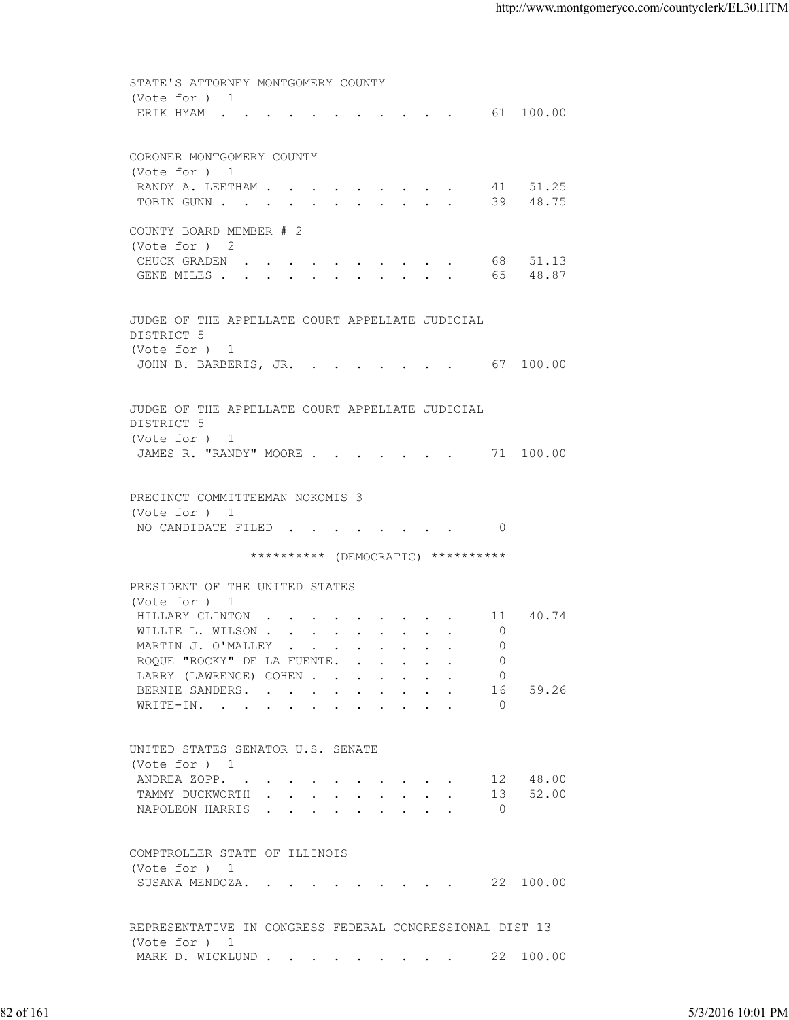STATE'S ATTORNEY MONTGOMERY COUNTY (Vote for ) 1 ERIK HYAM . . . . . . . . . . . . 61 100.00 CORONER MONTGOMERY COUNTY (Vote for ) 1 RANDY A. LEETHAM . . . . . . . . . 41 51.25 TOBIN GUNN . . . . . . . . . . . . 39 48.75 COUNTY BOARD MEMBER # 2 (Vote for ) 2 CHUCK GRADEN . . . . . . . . . . 68 51.13 GENE MILES . . . . . . . . . . . . 65 48.87 JUDGE OF THE APPELLATE COURT APPELLATE JUDICIAL DISTRICT 5 (Vote for ) 1 JOHN B. BARBERIS, JR. . . . . . . . 67 100.00 JUDGE OF THE APPELLATE COURT APPELLATE JUDICIAL DISTRICT 5 (Vote for ) 1 JAMES R. "RANDY" MOORE . . . . . . . 71 100.00 PRECINCT COMMITTEEMAN NOKOMIS 3 (Vote for ) 1 NO CANDIDATE FILED . . . . . . . . 0 \*\*\*\*\*\*\*\*\*\* (DEMOCRATIC) \*\*\*\*\*\*\*\*\*\* PRESIDENT OF THE UNITED STATES (Vote for ) 1 HILLARY CLINTON . . . . . . . . . 11 40.74 WILLIE L. WILSON . . . . . . . . . 0 MARTIN J. O'MALLEY . . . . . . . . . 0 ROQUE "ROCKY" DE LA FUENTE. . . . . . 0 LARRY (LAWRENCE) COHEN . . . . . . 0 BERNIE SANDERS. . . . . . . . . . 16 59.26 WRITE-IN. . . . . . . . . . . . 0 UNITED STATES SENATOR U.S. SENATE (Vote for ) 1 ANDREA ZOPP. . . . . . . . . . . 12 48.00<br>TAMMY DUCKWORTH . . . . . . . . . 13 52.00 TAMMY DUCKWORTH . . . . . . . . . . 13 52.00 NAPOLEON HARRIS . . . . . . . . . 0 COMPTROLLER STATE OF ILLINOIS (Vote for ) 1 SUSANA MENDOZA. . . . . . . . . . 22 100.00 REPRESENTATIVE IN CONGRESS FEDERAL CONGRESSIONAL DIST 13 (Vote for ) 1 MARK D. WICKLUND . . . . . . . . . 22 100.00 82 of 161 5/3/2016 10:01 PM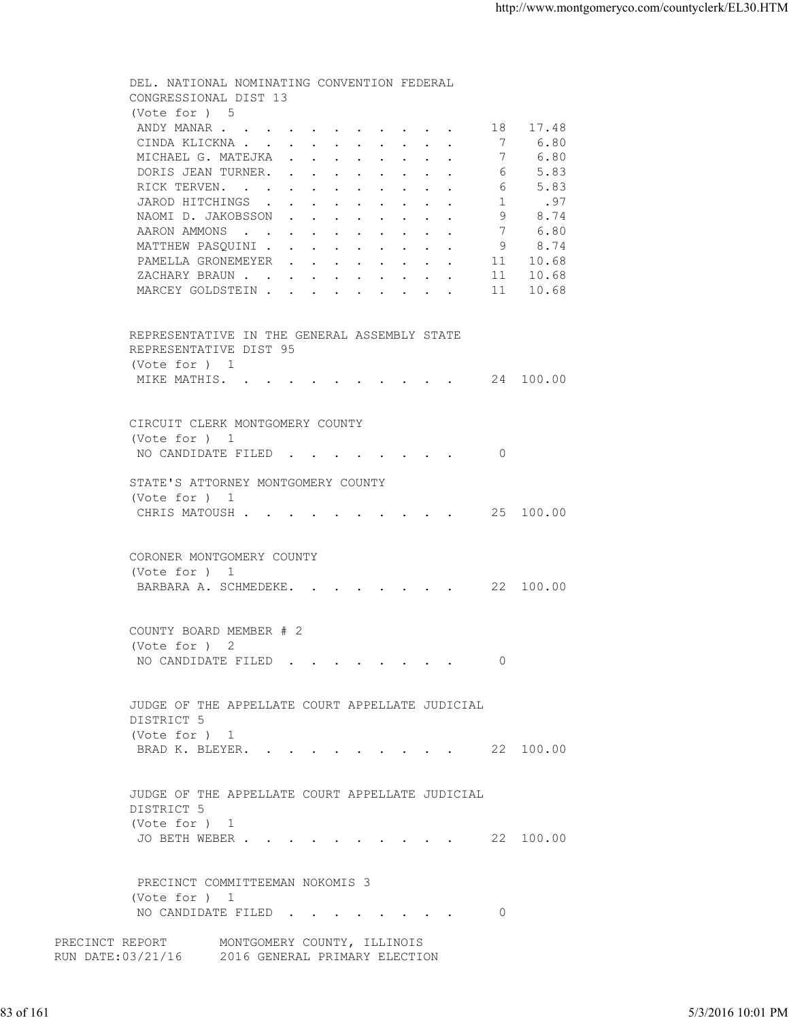DEL. NATIONAL NOMINATING CONVENTION FEDERAL CONGRESSIONAL DIST 13 (Vote for ) 5<br>ANDY MANAR . . 4. . . . . . . . . . . 18 17.48<br>. . . . . . . . . . 7 6.80 CINDA KLICKNA . . . . . . . . . . . 7 6.80<br>MICHAEL G. MATEJKA . . . . . . . . 7 6.80 MICHAEL G. MATEJKA . . . . . . . . DORIS JEAN TURNER. . . . . . . . . . 6 5.83 RICK TERVEN. . . . . . . . . . . 6 5.83 JAROD HITCHINGS . . . . . . . . . . 1 .97<br>NAOMI D. JAKOBSSON . . . . . . . . 9 8.74 NAOMI D. JAKOBSSON . . . . . . . . AARON AMMONS . . . . . . . . . . . 7 6.80 MATTHEW PASQUINI . . . . . . . . . 9 8.74 PAMELLA GRONEMEYER . . . . . . . . 11 10.68 XACHARY BRAUN . . . . . . . . . . 11 10.68<br>MARCEY GOLDSTEIN . . . . . . . . . 11 10.68 MARCEY GOLDSTEIN . . . . . . . . . REPRESENTATIVE IN THE GENERAL ASSEMBLY STATE REPRESENTATIVE DIST 95 (Vote for ) 1 MIKE MATHIS. . . . . . . . . . . 24 100.00 CIRCUIT CLERK MONTGOMERY COUNTY (Vote for ) 1 NO CANDIDATE FILED . . . . . . . . 0 STATE'S ATTORNEY MONTGOMERY COUNTY (Vote for ) 1 CHRIS MATOUSH . . . . . . . . . . 25 100.00 CORONER MONTGOMERY COUNTY (Vote for ) 1 BARBARA A. SCHMEDEKE. . . . . . . . 22 100.00 COUNTY BOARD MEMBER # 2 (Vote for ) 2 NO CANDIDATE FILED . . . . . . . . 0 JUDGE OF THE APPELLATE COURT APPELLATE JUDICIAL DISTRICT 5 (Vote for ) 1 BRAD K. BLEYER. . . . . . . . . . 22 100.00 JUDGE OF THE APPELLATE COURT APPELLATE JUDICIAL DISTRICT 5 (Vote for ) 1 JO BETH WEBER . . . . . . . . . . 22 100.00 PRECINCT COMMITTEEMAN NOKOMIS 3 (Vote for ) 1 NO CANDIDATE FILED . . . . . . . . 0 PRECINCT REPORT MONTGOMERY COUNTY, ILLINOIS RUN DATE:03/21/16 2016 GENERAL PRIMARY ELECTION 83 of 161 5/3/2016 10:01 PM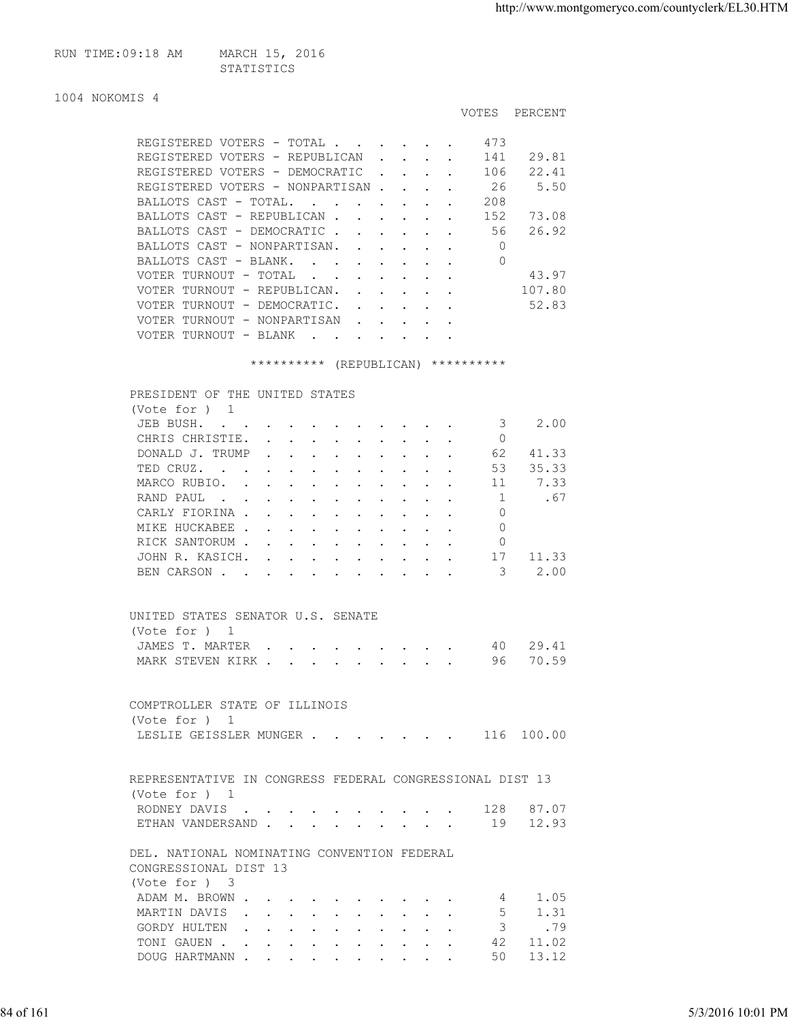| RUN TIME:09:18 AM | MARCH 15, 2016 |
|-------------------|----------------|
|                   | STATISTICS     |

|                                                   |                      |                                                           |  | <b>VOTES</b> | PERCENT |
|---------------------------------------------------|----------------------|-----------------------------------------------------------|--|--------------|---------|
| REGISTERED VOTERS - TOTAL                         |                      |                                                           |  | 473          |         |
| REGISTERED VOTERS - REPUBLICAN                    |                      | $\mathbf{r}$ , $\mathbf{r}$ , $\mathbf{r}$ , $\mathbf{r}$ |  | 141          | 29.81   |
| REGISTERED VOTERS - DEMOCRATIC                    |                      |                                                           |  | 106          | 22.41   |
| REGISTERED VOTERS - NONPARTISAN.                  |                      | $\sim$                                                    |  | 26           | 5.50    |
| BALLOTS CAST - TOTAL.<br><b>Contract Contract</b> |                      |                                                           |  | 208          |         |
| BALLOTS CAST - REPUBLICAN.                        |                      |                                                           |  | 152          | 73.08   |
| BALLOTS CAST - DEMOCRATIC                         |                      |                                                           |  | 56           | 26.92   |
| BALLOTS CAST - NONPARTISAN.                       |                      |                                                           |  | 0            |         |
| BALLOTS CAST - BLANK.<br>$\sim$ $\sim$            |                      |                                                           |  | 0            |         |
| VOTER TURNOUT - TOTAL<br>$\sim$                   |                      |                                                           |  |              | 43.97   |
| VOTER TURNOUT - REPUBLICAN.                       |                      | $\mathbf{r}$ and $\mathbf{r}$                             |  |              | 107.80  |
| VOTER TURNOUT - DEMOCRATIC.                       |                      |                                                           |  |              | 52.83   |
| VOTER TURNOUT - NONPARTISAN                       | $\sim$ $\sim$ $\sim$ |                                                           |  |              |         |
| VOTER TURNOUT - BLANK                             |                      |                                                           |  |              |         |
|                                                   |                      |                                                           |  |              |         |

## \*\*\*\*\*\*\*\*\*\* (REPUBLICAN) \*\*\*\*\*\*\*\*\*\*

| PRESIDENT OF THE UNITED STATES                                                                                                                                                                                                                 |                                                                                                                 |  |  |               |  |    |       |
|------------------------------------------------------------------------------------------------------------------------------------------------------------------------------------------------------------------------------------------------|-----------------------------------------------------------------------------------------------------------------|--|--|---------------|--|----|-------|
| (Vote for $)$ 1                                                                                                                                                                                                                                |                                                                                                                 |  |  |               |  |    |       |
| JEB BUSH.<br>the contract of the contract of the contract of the contract of the contract of the contract of the contract of                                                                                                                   |                                                                                                                 |  |  |               |  | 3  | 2.00  |
| CHRIS CHRISTIE.                                                                                                                                                                                                                                | the contract of the contract of the contract of the contract of the contract of the contract of the contract of |  |  |               |  | 0  |       |
| DONALD J. TRUMP                                                                                                                                                                                                                                |                                                                                                                 |  |  |               |  | 62 | 41.33 |
| TED CRUZ.<br>$\mathbf{r}$ . The set of the set of the set of the set of the set of the set of the set of the set of the set of the set of the set of the set of the set of the set of the set of the set of the set of the set of the set of t |                                                                                                                 |  |  | $\sim$ $\sim$ |  | 53 | 35.33 |
| MARCO RUBIO.                                                                                                                                                                                                                                   | $\mathbf{r}$ , $\mathbf{r}$ , $\mathbf{r}$ , $\mathbf{r}$                                                       |  |  |               |  | 11 | 7.33  |
| RAND PAUL<br>the contract of the contract of the contract of the contract of the contract of the contract of the contract of                                                                                                                   |                                                                                                                 |  |  |               |  |    | .67   |
| CARLY FIORINA                                                                                                                                                                                                                                  |                                                                                                                 |  |  |               |  | 0  |       |
| MIKE HUCKABEE                                                                                                                                                                                                                                  |                                                                                                                 |  |  |               |  |    |       |
| RICK SANTORUM                                                                                                                                                                                                                                  |                                                                                                                 |  |  |               |  | 0  |       |
| JOHN R. KASICH.                                                                                                                                                                                                                                |                                                                                                                 |  |  |               |  | 17 | 11.33 |
| BEN CARSON.                                                                                                                                                                                                                                    | $\sim$ $\sim$ $\sim$ $\sim$ $\sim$                                                                              |  |  |               |  | 3  | 2.00  |
|                                                                                                                                                                                                                                                |                                                                                                                 |  |  |               |  |    |       |

| UNITED STATES SENATOR U.S. SENATE |  |  |  |  |  |  |
|-----------------------------------|--|--|--|--|--|--|
| (Vote for ) 1                     |  |  |  |  |  |  |
| JAMES T. MARTER 40 29.41          |  |  |  |  |  |  |
| MARK STEVEN KIRK 96 70.59         |  |  |  |  |  |  |

| COMPTROLLER STATE OF ILLINOIS |  |  |  |  |  |            |
|-------------------------------|--|--|--|--|--|------------|
| (Vote for ) 1                 |  |  |  |  |  |            |
| LESLIE GEISSLER MUNGER        |  |  |  |  |  | 116 100.00 |

| REPRESENTATIVE IN CONGRESS FEDERAL CONGRESSIONAL DIST 13 |  |  |  |  |  |  |
|----------------------------------------------------------|--|--|--|--|--|--|
| (Vote for ) 1                                            |  |  |  |  |  |  |
| RODNEY DAVIS 128 87.07                                   |  |  |  |  |  |  |
| ETHAN VANDERSAND 19 12.93                                |  |  |  |  |  |  |

 DEL. NATIONAL NOMINATING CONVENTION FEDERAL CONGRESSIONAL DIST 13 (Vote for ) 3 ADAM M. BROWN . . . . . . . . . . . 4 1.05<br>MARTIN DAVIS . . . . . . . . . . 5 1.31 MARTIN DAVIS . . . . . . . . . . 5 GORDY HULTEN . . . . . . . . . . . 3 .79<br>TONI GAUEN . . . . . . . . . . . 42 11.02 TONI GAUEN . . . . . . . . . . . 42 11.02 84 of 161 5/3/2016 10:01 PM

DOUG HARTMANN . . . . . . . . . . . 50 13.12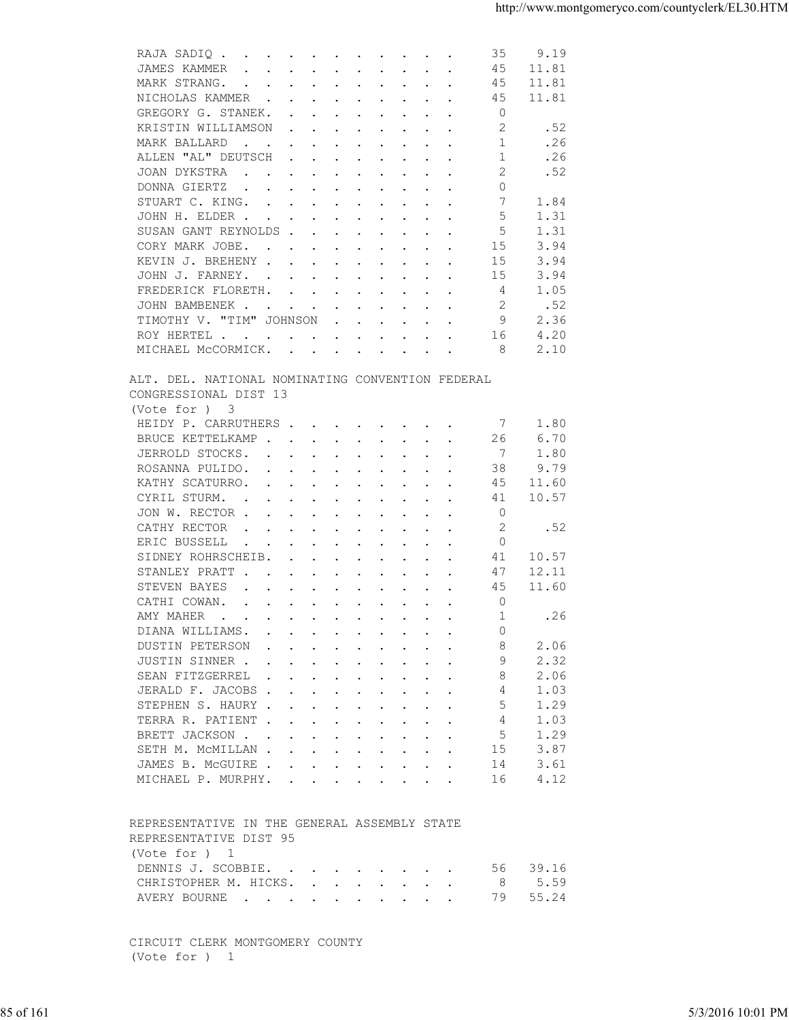| JAMES KAMMER<br>45<br>11.81<br>$\mathbf{r}$ , $\mathbf{r}$ , $\mathbf{r}$ , $\mathbf{r}$ , $\mathbf{r}$ , $\mathbf{r}$ , $\mathbf{r}$ , $\mathbf{r}$<br>MARK STRANG.<br>45<br>11.81<br>NICHOLAS KAMMER<br>11.81<br>45<br>$\Omega$<br>GREGORY G. STANEK.<br>2<br>.52<br>KRISTIN WILLIAMSON<br>$\mathbf{r}$ , and $\mathbf{r}$ , and $\mathbf{r}$ , and $\mathbf{r}$<br>.26<br>MARK BALLARD<br>1<br>$\mathbf{r}$ , and $\mathbf{r}$ , and $\mathbf{r}$ , and $\mathbf{r}$ , and $\mathbf{r}$<br>ALLEN "AL" DEUTSCH<br>.26<br>1<br>$\mathbf{r}$ , and $\mathbf{r}$ , and $\mathbf{r}$ , and $\mathbf{r}$<br>.52<br>JOAN DYKSTRA<br>2<br>$\mathbf{r}$ , and $\mathbf{r}$ , and $\mathbf{r}$ , and $\mathbf{r}$ , and $\mathbf{r}$<br>$\circ$<br>DONNA GIERTZ<br>the contract of the contract of the contract of the contract of the contract of the contract of the contract of<br>7<br>1.84<br>STUART C. KING.<br>5<br>JOHN H. ELDER<br>1.31<br>5<br>SUSAN GANT REYNOLDS<br>1.31<br>CORY MARK JOBE.<br>15<br>3.94<br>KEVIN J. BREHENY<br>15<br>3.94<br>JOHN J. FARNEY.<br>3.94<br>15<br>1.05<br>FREDERICK FLORETH.<br>4<br>2<br>.52<br>JOHN BAMBENEK .<br>the contract of the contract of the contract of the contract of the contract of the contract of the contract of<br>TIMOTHY V. "TIM" JOHNSON<br>9<br>2.36<br>$\mathbf{r}$ , $\mathbf{r}$ , $\mathbf{r}$ , $\mathbf{r}$ , $\mathbf{r}$<br>4.20<br>16<br>ROY HERTEL<br>MICHAEL MCCORMICK.<br>2.10<br>8<br>ALT. DEL. NATIONAL NOMINATING CONVENTION FEDERAL<br>CONGRESSIONAL DIST 13<br>(Vote for ) 3<br>HEIDY P. CARRUTHERS<br>1.80<br>-7<br>BRUCE KETTELKAMP<br>26<br>6.70<br>7<br>JERROLD STOCKS.<br>1.80<br>ROSANNA PULIDO.<br>38<br>9.79<br>$\mathbf{r}$ , and $\mathbf{r}$ , and $\mathbf{r}$ , and $\mathbf{r}$ , and $\mathbf{r}$<br>KATHY SCATURRO.<br>45<br>11.60<br>the contract of the contract of the contract of the contract of the contract of the contract of the contract of<br>10.57<br>CYRIL STURM.<br>41<br>the contract of the contract of the contract of the contract of the contract of the contract of the contract of<br>JON W. RECTOR<br>0<br>CATHY RECTOR<br>2<br>.52<br>the contract of the contract of the contract of the contract of the contract of the contract of the contract of<br>$\circ$<br>ERIC BUSSELL<br>$\mathbf{u} = \mathbf{u} + \mathbf{u} + \mathbf{u} + \mathbf{u} + \mathbf{u} + \mathbf{u} + \mathbf{u} + \mathbf{u} + \mathbf{u} + \mathbf{u} + \mathbf{u} + \mathbf{u} + \mathbf{u} + \mathbf{u} + \mathbf{u} + \mathbf{u} + \mathbf{u} + \mathbf{u} + \mathbf{u} + \mathbf{u} + \mathbf{u} + \mathbf{u} + \mathbf{u} + \mathbf{u} + \mathbf{u} + \mathbf{u} + \mathbf{u} + \mathbf{u} + \mathbf{u} + \mathbf{u} + \mathbf$<br>SIDNEY ROHRSCHEIB.<br>41<br>10.57<br>$\mathbf{r}$ . The contract of the contract of the contract of the contract of the contract of the contract of the contract of the contract of the contract of the contract of the contract of the contract of the contract of th<br>STANLEY PRATT<br>47<br>12.11<br>45<br>STEVEN BAYES<br>11.60<br>$\mathbf{r}$ , and $\mathbf{r}$ , and $\mathbf{r}$ , and $\mathbf{r}$ , and $\mathbf{r}$<br>CATHI COWAN.<br>$\circ$<br>$\mathbf{r}$ , $\mathbf{r}$ , $\mathbf{r}$ , $\mathbf{r}$ , $\mathbf{r}$ , $\mathbf{r}$ , $\mathbf{r}$<br>1<br>.26<br>AMY MAHER<br>DIANA WILLIAMS.<br>$\Omega$<br>DUSTIN PETERSON<br>8<br>2.06<br>2.32<br>JUSTIN SINNER<br>9<br>SEAN FITZGERREL<br>2.06<br>8<br>1.03<br>JERALD F. JACOBS<br>4<br>STEPHEN S. HAURY<br>1.29<br>5<br>TERRA R. PATIENT<br>1.03<br>4<br>5<br>1.29<br>BRETT JACKSON<br>3.87<br>SETH M. MCMILLAN<br>15<br>3.61<br>JAMES B. MCGUIRE<br>14<br>4.12<br>MICHAEL P. MURPHY.<br>16<br>REPRESENTATIVE IN THE GENERAL ASSEMBLY STATE<br>REPRESENTATIVE DIST 95<br>(Vote for ) 1<br>39.16<br>DENNIS J. SCOBBIE.<br>56<br>5.59<br>CHRISTOPHER M. HICKS.<br>8<br>55.24<br>AVERY BOURNE<br>79<br>CIRCUIT CLERK MONTGOMERY COUNTY<br>(Vote for ) 1<br>85 of 161<br>5/3/2016 10:01 PM |  | 35<br>9.19<br>RAJA SADIQ |  |
|---------------------------------------------------------------------------------------------------------------------------------------------------------------------------------------------------------------------------------------------------------------------------------------------------------------------------------------------------------------------------------------------------------------------------------------------------------------------------------------------------------------------------------------------------------------------------------------------------------------------------------------------------------------------------------------------------------------------------------------------------------------------------------------------------------------------------------------------------------------------------------------------------------------------------------------------------------------------------------------------------------------------------------------------------------------------------------------------------------------------------------------------------------------------------------------------------------------------------------------------------------------------------------------------------------------------------------------------------------------------------------------------------------------------------------------------------------------------------------------------------------------------------------------------------------------------------------------------------------------------------------------------------------------------------------------------------------------------------------------------------------------------------------------------------------------------------------------------------------------------------------------------------------------------------------------------------------------------------------------------------------------------------------------------------------------------------------------------------------------------------------------------------------------------------------------------------------------------------------------------------------------------------------------------------------------------------------------------------------------------------------------------------------------------------------------------------------------------------------------------------------------------------------------------------------------------------------------------------------------------------------------------------------------------------------------------------------------------------------------------------------------------------------------------------------------------------------------------------------------------------------------------------------------------------------------------------------------------------------------------------------------------------------------------------------------------------------------------------------------------------------------------------------------------------------------------------------------------------------------------------------------------------------------------------------------------------------------------------------------------------------------------------------------------------------------------------------------------------------------------------------------------------------------------------------------------------------------------------------------------------------------------------------------------------------------------------------------------------------------------------------------------------------------------------------------------------------------------------------------------------------------------------------------------------------------------------------------------------------------------------------|--|--------------------------|--|
|                                                                                                                                                                                                                                                                                                                                                                                                                                                                                                                                                                                                                                                                                                                                                                                                                                                                                                                                                                                                                                                                                                                                                                                                                                                                                                                                                                                                                                                                                                                                                                                                                                                                                                                                                                                                                                                                                                                                                                                                                                                                                                                                                                                                                                                                                                                                                                                                                                                                                                                                                                                                                                                                                                                                                                                                                                                                                                                                                                                                                                                                                                                                                                                                                                                                                                                                                                                                                                                                                                                                                                                                                                                                                                                                                                                                                                                                                                                                                                                                         |  |                          |  |
|                                                                                                                                                                                                                                                                                                                                                                                                                                                                                                                                                                                                                                                                                                                                                                                                                                                                                                                                                                                                                                                                                                                                                                                                                                                                                                                                                                                                                                                                                                                                                                                                                                                                                                                                                                                                                                                                                                                                                                                                                                                                                                                                                                                                                                                                                                                                                                                                                                                                                                                                                                                                                                                                                                                                                                                                                                                                                                                                                                                                                                                                                                                                                                                                                                                                                                                                                                                                                                                                                                                                                                                                                                                                                                                                                                                                                                                                                                                                                                                                         |  |                          |  |
|                                                                                                                                                                                                                                                                                                                                                                                                                                                                                                                                                                                                                                                                                                                                                                                                                                                                                                                                                                                                                                                                                                                                                                                                                                                                                                                                                                                                                                                                                                                                                                                                                                                                                                                                                                                                                                                                                                                                                                                                                                                                                                                                                                                                                                                                                                                                                                                                                                                                                                                                                                                                                                                                                                                                                                                                                                                                                                                                                                                                                                                                                                                                                                                                                                                                                                                                                                                                                                                                                                                                                                                                                                                                                                                                                                                                                                                                                                                                                                                                         |  |                          |  |
|                                                                                                                                                                                                                                                                                                                                                                                                                                                                                                                                                                                                                                                                                                                                                                                                                                                                                                                                                                                                                                                                                                                                                                                                                                                                                                                                                                                                                                                                                                                                                                                                                                                                                                                                                                                                                                                                                                                                                                                                                                                                                                                                                                                                                                                                                                                                                                                                                                                                                                                                                                                                                                                                                                                                                                                                                                                                                                                                                                                                                                                                                                                                                                                                                                                                                                                                                                                                                                                                                                                                                                                                                                                                                                                                                                                                                                                                                                                                                                                                         |  |                          |  |
|                                                                                                                                                                                                                                                                                                                                                                                                                                                                                                                                                                                                                                                                                                                                                                                                                                                                                                                                                                                                                                                                                                                                                                                                                                                                                                                                                                                                                                                                                                                                                                                                                                                                                                                                                                                                                                                                                                                                                                                                                                                                                                                                                                                                                                                                                                                                                                                                                                                                                                                                                                                                                                                                                                                                                                                                                                                                                                                                                                                                                                                                                                                                                                                                                                                                                                                                                                                                                                                                                                                                                                                                                                                                                                                                                                                                                                                                                                                                                                                                         |  |                          |  |
|                                                                                                                                                                                                                                                                                                                                                                                                                                                                                                                                                                                                                                                                                                                                                                                                                                                                                                                                                                                                                                                                                                                                                                                                                                                                                                                                                                                                                                                                                                                                                                                                                                                                                                                                                                                                                                                                                                                                                                                                                                                                                                                                                                                                                                                                                                                                                                                                                                                                                                                                                                                                                                                                                                                                                                                                                                                                                                                                                                                                                                                                                                                                                                                                                                                                                                                                                                                                                                                                                                                                                                                                                                                                                                                                                                                                                                                                                                                                                                                                         |  |                          |  |
|                                                                                                                                                                                                                                                                                                                                                                                                                                                                                                                                                                                                                                                                                                                                                                                                                                                                                                                                                                                                                                                                                                                                                                                                                                                                                                                                                                                                                                                                                                                                                                                                                                                                                                                                                                                                                                                                                                                                                                                                                                                                                                                                                                                                                                                                                                                                                                                                                                                                                                                                                                                                                                                                                                                                                                                                                                                                                                                                                                                                                                                                                                                                                                                                                                                                                                                                                                                                                                                                                                                                                                                                                                                                                                                                                                                                                                                                                                                                                                                                         |  |                          |  |
|                                                                                                                                                                                                                                                                                                                                                                                                                                                                                                                                                                                                                                                                                                                                                                                                                                                                                                                                                                                                                                                                                                                                                                                                                                                                                                                                                                                                                                                                                                                                                                                                                                                                                                                                                                                                                                                                                                                                                                                                                                                                                                                                                                                                                                                                                                                                                                                                                                                                                                                                                                                                                                                                                                                                                                                                                                                                                                                                                                                                                                                                                                                                                                                                                                                                                                                                                                                                                                                                                                                                                                                                                                                                                                                                                                                                                                                                                                                                                                                                         |  |                          |  |
|                                                                                                                                                                                                                                                                                                                                                                                                                                                                                                                                                                                                                                                                                                                                                                                                                                                                                                                                                                                                                                                                                                                                                                                                                                                                                                                                                                                                                                                                                                                                                                                                                                                                                                                                                                                                                                                                                                                                                                                                                                                                                                                                                                                                                                                                                                                                                                                                                                                                                                                                                                                                                                                                                                                                                                                                                                                                                                                                                                                                                                                                                                                                                                                                                                                                                                                                                                                                                                                                                                                                                                                                                                                                                                                                                                                                                                                                                                                                                                                                         |  |                          |  |
|                                                                                                                                                                                                                                                                                                                                                                                                                                                                                                                                                                                                                                                                                                                                                                                                                                                                                                                                                                                                                                                                                                                                                                                                                                                                                                                                                                                                                                                                                                                                                                                                                                                                                                                                                                                                                                                                                                                                                                                                                                                                                                                                                                                                                                                                                                                                                                                                                                                                                                                                                                                                                                                                                                                                                                                                                                                                                                                                                                                                                                                                                                                                                                                                                                                                                                                                                                                                                                                                                                                                                                                                                                                                                                                                                                                                                                                                                                                                                                                                         |  |                          |  |
|                                                                                                                                                                                                                                                                                                                                                                                                                                                                                                                                                                                                                                                                                                                                                                                                                                                                                                                                                                                                                                                                                                                                                                                                                                                                                                                                                                                                                                                                                                                                                                                                                                                                                                                                                                                                                                                                                                                                                                                                                                                                                                                                                                                                                                                                                                                                                                                                                                                                                                                                                                                                                                                                                                                                                                                                                                                                                                                                                                                                                                                                                                                                                                                                                                                                                                                                                                                                                                                                                                                                                                                                                                                                                                                                                                                                                                                                                                                                                                                                         |  |                          |  |
|                                                                                                                                                                                                                                                                                                                                                                                                                                                                                                                                                                                                                                                                                                                                                                                                                                                                                                                                                                                                                                                                                                                                                                                                                                                                                                                                                                                                                                                                                                                                                                                                                                                                                                                                                                                                                                                                                                                                                                                                                                                                                                                                                                                                                                                                                                                                                                                                                                                                                                                                                                                                                                                                                                                                                                                                                                                                                                                                                                                                                                                                                                                                                                                                                                                                                                                                                                                                                                                                                                                                                                                                                                                                                                                                                                                                                                                                                                                                                                                                         |  |                          |  |
|                                                                                                                                                                                                                                                                                                                                                                                                                                                                                                                                                                                                                                                                                                                                                                                                                                                                                                                                                                                                                                                                                                                                                                                                                                                                                                                                                                                                                                                                                                                                                                                                                                                                                                                                                                                                                                                                                                                                                                                                                                                                                                                                                                                                                                                                                                                                                                                                                                                                                                                                                                                                                                                                                                                                                                                                                                                                                                                                                                                                                                                                                                                                                                                                                                                                                                                                                                                                                                                                                                                                                                                                                                                                                                                                                                                                                                                                                                                                                                                                         |  |                          |  |
|                                                                                                                                                                                                                                                                                                                                                                                                                                                                                                                                                                                                                                                                                                                                                                                                                                                                                                                                                                                                                                                                                                                                                                                                                                                                                                                                                                                                                                                                                                                                                                                                                                                                                                                                                                                                                                                                                                                                                                                                                                                                                                                                                                                                                                                                                                                                                                                                                                                                                                                                                                                                                                                                                                                                                                                                                                                                                                                                                                                                                                                                                                                                                                                                                                                                                                                                                                                                                                                                                                                                                                                                                                                                                                                                                                                                                                                                                                                                                                                                         |  |                          |  |
|                                                                                                                                                                                                                                                                                                                                                                                                                                                                                                                                                                                                                                                                                                                                                                                                                                                                                                                                                                                                                                                                                                                                                                                                                                                                                                                                                                                                                                                                                                                                                                                                                                                                                                                                                                                                                                                                                                                                                                                                                                                                                                                                                                                                                                                                                                                                                                                                                                                                                                                                                                                                                                                                                                                                                                                                                                                                                                                                                                                                                                                                                                                                                                                                                                                                                                                                                                                                                                                                                                                                                                                                                                                                                                                                                                                                                                                                                                                                                                                                         |  |                          |  |
|                                                                                                                                                                                                                                                                                                                                                                                                                                                                                                                                                                                                                                                                                                                                                                                                                                                                                                                                                                                                                                                                                                                                                                                                                                                                                                                                                                                                                                                                                                                                                                                                                                                                                                                                                                                                                                                                                                                                                                                                                                                                                                                                                                                                                                                                                                                                                                                                                                                                                                                                                                                                                                                                                                                                                                                                                                                                                                                                                                                                                                                                                                                                                                                                                                                                                                                                                                                                                                                                                                                                                                                                                                                                                                                                                                                                                                                                                                                                                                                                         |  |                          |  |
|                                                                                                                                                                                                                                                                                                                                                                                                                                                                                                                                                                                                                                                                                                                                                                                                                                                                                                                                                                                                                                                                                                                                                                                                                                                                                                                                                                                                                                                                                                                                                                                                                                                                                                                                                                                                                                                                                                                                                                                                                                                                                                                                                                                                                                                                                                                                                                                                                                                                                                                                                                                                                                                                                                                                                                                                                                                                                                                                                                                                                                                                                                                                                                                                                                                                                                                                                                                                                                                                                                                                                                                                                                                                                                                                                                                                                                                                                                                                                                                                         |  |                          |  |
|                                                                                                                                                                                                                                                                                                                                                                                                                                                                                                                                                                                                                                                                                                                                                                                                                                                                                                                                                                                                                                                                                                                                                                                                                                                                                                                                                                                                                                                                                                                                                                                                                                                                                                                                                                                                                                                                                                                                                                                                                                                                                                                                                                                                                                                                                                                                                                                                                                                                                                                                                                                                                                                                                                                                                                                                                                                                                                                                                                                                                                                                                                                                                                                                                                                                                                                                                                                                                                                                                                                                                                                                                                                                                                                                                                                                                                                                                                                                                                                                         |  |                          |  |
|                                                                                                                                                                                                                                                                                                                                                                                                                                                                                                                                                                                                                                                                                                                                                                                                                                                                                                                                                                                                                                                                                                                                                                                                                                                                                                                                                                                                                                                                                                                                                                                                                                                                                                                                                                                                                                                                                                                                                                                                                                                                                                                                                                                                                                                                                                                                                                                                                                                                                                                                                                                                                                                                                                                                                                                                                                                                                                                                                                                                                                                                                                                                                                                                                                                                                                                                                                                                                                                                                                                                                                                                                                                                                                                                                                                                                                                                                                                                                                                                         |  |                          |  |
|                                                                                                                                                                                                                                                                                                                                                                                                                                                                                                                                                                                                                                                                                                                                                                                                                                                                                                                                                                                                                                                                                                                                                                                                                                                                                                                                                                                                                                                                                                                                                                                                                                                                                                                                                                                                                                                                                                                                                                                                                                                                                                                                                                                                                                                                                                                                                                                                                                                                                                                                                                                                                                                                                                                                                                                                                                                                                                                                                                                                                                                                                                                                                                                                                                                                                                                                                                                                                                                                                                                                                                                                                                                                                                                                                                                                                                                                                                                                                                                                         |  |                          |  |
|                                                                                                                                                                                                                                                                                                                                                                                                                                                                                                                                                                                                                                                                                                                                                                                                                                                                                                                                                                                                                                                                                                                                                                                                                                                                                                                                                                                                                                                                                                                                                                                                                                                                                                                                                                                                                                                                                                                                                                                                                                                                                                                                                                                                                                                                                                                                                                                                                                                                                                                                                                                                                                                                                                                                                                                                                                                                                                                                                                                                                                                                                                                                                                                                                                                                                                                                                                                                                                                                                                                                                                                                                                                                                                                                                                                                                                                                                                                                                                                                         |  |                          |  |
|                                                                                                                                                                                                                                                                                                                                                                                                                                                                                                                                                                                                                                                                                                                                                                                                                                                                                                                                                                                                                                                                                                                                                                                                                                                                                                                                                                                                                                                                                                                                                                                                                                                                                                                                                                                                                                                                                                                                                                                                                                                                                                                                                                                                                                                                                                                                                                                                                                                                                                                                                                                                                                                                                                                                                                                                                                                                                                                                                                                                                                                                                                                                                                                                                                                                                                                                                                                                                                                                                                                                                                                                                                                                                                                                                                                                                                                                                                                                                                                                         |  |                          |  |
|                                                                                                                                                                                                                                                                                                                                                                                                                                                                                                                                                                                                                                                                                                                                                                                                                                                                                                                                                                                                                                                                                                                                                                                                                                                                                                                                                                                                                                                                                                                                                                                                                                                                                                                                                                                                                                                                                                                                                                                                                                                                                                                                                                                                                                                                                                                                                                                                                                                                                                                                                                                                                                                                                                                                                                                                                                                                                                                                                                                                                                                                                                                                                                                                                                                                                                                                                                                                                                                                                                                                                                                                                                                                                                                                                                                                                                                                                                                                                                                                         |  |                          |  |
|                                                                                                                                                                                                                                                                                                                                                                                                                                                                                                                                                                                                                                                                                                                                                                                                                                                                                                                                                                                                                                                                                                                                                                                                                                                                                                                                                                                                                                                                                                                                                                                                                                                                                                                                                                                                                                                                                                                                                                                                                                                                                                                                                                                                                                                                                                                                                                                                                                                                                                                                                                                                                                                                                                                                                                                                                                                                                                                                                                                                                                                                                                                                                                                                                                                                                                                                                                                                                                                                                                                                                                                                                                                                                                                                                                                                                                                                                                                                                                                                         |  |                          |  |
|                                                                                                                                                                                                                                                                                                                                                                                                                                                                                                                                                                                                                                                                                                                                                                                                                                                                                                                                                                                                                                                                                                                                                                                                                                                                                                                                                                                                                                                                                                                                                                                                                                                                                                                                                                                                                                                                                                                                                                                                                                                                                                                                                                                                                                                                                                                                                                                                                                                                                                                                                                                                                                                                                                                                                                                                                                                                                                                                                                                                                                                                                                                                                                                                                                                                                                                                                                                                                                                                                                                                                                                                                                                                                                                                                                                                                                                                                                                                                                                                         |  |                          |  |
|                                                                                                                                                                                                                                                                                                                                                                                                                                                                                                                                                                                                                                                                                                                                                                                                                                                                                                                                                                                                                                                                                                                                                                                                                                                                                                                                                                                                                                                                                                                                                                                                                                                                                                                                                                                                                                                                                                                                                                                                                                                                                                                                                                                                                                                                                                                                                                                                                                                                                                                                                                                                                                                                                                                                                                                                                                                                                                                                                                                                                                                                                                                                                                                                                                                                                                                                                                                                                                                                                                                                                                                                                                                                                                                                                                                                                                                                                                                                                                                                         |  |                          |  |
|                                                                                                                                                                                                                                                                                                                                                                                                                                                                                                                                                                                                                                                                                                                                                                                                                                                                                                                                                                                                                                                                                                                                                                                                                                                                                                                                                                                                                                                                                                                                                                                                                                                                                                                                                                                                                                                                                                                                                                                                                                                                                                                                                                                                                                                                                                                                                                                                                                                                                                                                                                                                                                                                                                                                                                                                                                                                                                                                                                                                                                                                                                                                                                                                                                                                                                                                                                                                                                                                                                                                                                                                                                                                                                                                                                                                                                                                                                                                                                                                         |  |                          |  |
|                                                                                                                                                                                                                                                                                                                                                                                                                                                                                                                                                                                                                                                                                                                                                                                                                                                                                                                                                                                                                                                                                                                                                                                                                                                                                                                                                                                                                                                                                                                                                                                                                                                                                                                                                                                                                                                                                                                                                                                                                                                                                                                                                                                                                                                                                                                                                                                                                                                                                                                                                                                                                                                                                                                                                                                                                                                                                                                                                                                                                                                                                                                                                                                                                                                                                                                                                                                                                                                                                                                                                                                                                                                                                                                                                                                                                                                                                                                                                                                                         |  |                          |  |
|                                                                                                                                                                                                                                                                                                                                                                                                                                                                                                                                                                                                                                                                                                                                                                                                                                                                                                                                                                                                                                                                                                                                                                                                                                                                                                                                                                                                                                                                                                                                                                                                                                                                                                                                                                                                                                                                                                                                                                                                                                                                                                                                                                                                                                                                                                                                                                                                                                                                                                                                                                                                                                                                                                                                                                                                                                                                                                                                                                                                                                                                                                                                                                                                                                                                                                                                                                                                                                                                                                                                                                                                                                                                                                                                                                                                                                                                                                                                                                                                         |  |                          |  |
|                                                                                                                                                                                                                                                                                                                                                                                                                                                                                                                                                                                                                                                                                                                                                                                                                                                                                                                                                                                                                                                                                                                                                                                                                                                                                                                                                                                                                                                                                                                                                                                                                                                                                                                                                                                                                                                                                                                                                                                                                                                                                                                                                                                                                                                                                                                                                                                                                                                                                                                                                                                                                                                                                                                                                                                                                                                                                                                                                                                                                                                                                                                                                                                                                                                                                                                                                                                                                                                                                                                                                                                                                                                                                                                                                                                                                                                                                                                                                                                                         |  |                          |  |
|                                                                                                                                                                                                                                                                                                                                                                                                                                                                                                                                                                                                                                                                                                                                                                                                                                                                                                                                                                                                                                                                                                                                                                                                                                                                                                                                                                                                                                                                                                                                                                                                                                                                                                                                                                                                                                                                                                                                                                                                                                                                                                                                                                                                                                                                                                                                                                                                                                                                                                                                                                                                                                                                                                                                                                                                                                                                                                                                                                                                                                                                                                                                                                                                                                                                                                                                                                                                                                                                                                                                                                                                                                                                                                                                                                                                                                                                                                                                                                                                         |  |                          |  |
|                                                                                                                                                                                                                                                                                                                                                                                                                                                                                                                                                                                                                                                                                                                                                                                                                                                                                                                                                                                                                                                                                                                                                                                                                                                                                                                                                                                                                                                                                                                                                                                                                                                                                                                                                                                                                                                                                                                                                                                                                                                                                                                                                                                                                                                                                                                                                                                                                                                                                                                                                                                                                                                                                                                                                                                                                                                                                                                                                                                                                                                                                                                                                                                                                                                                                                                                                                                                                                                                                                                                                                                                                                                                                                                                                                                                                                                                                                                                                                                                         |  |                          |  |
|                                                                                                                                                                                                                                                                                                                                                                                                                                                                                                                                                                                                                                                                                                                                                                                                                                                                                                                                                                                                                                                                                                                                                                                                                                                                                                                                                                                                                                                                                                                                                                                                                                                                                                                                                                                                                                                                                                                                                                                                                                                                                                                                                                                                                                                                                                                                                                                                                                                                                                                                                                                                                                                                                                                                                                                                                                                                                                                                                                                                                                                                                                                                                                                                                                                                                                                                                                                                                                                                                                                                                                                                                                                                                                                                                                                                                                                                                                                                                                                                         |  |                          |  |
|                                                                                                                                                                                                                                                                                                                                                                                                                                                                                                                                                                                                                                                                                                                                                                                                                                                                                                                                                                                                                                                                                                                                                                                                                                                                                                                                                                                                                                                                                                                                                                                                                                                                                                                                                                                                                                                                                                                                                                                                                                                                                                                                                                                                                                                                                                                                                                                                                                                                                                                                                                                                                                                                                                                                                                                                                                                                                                                                                                                                                                                                                                                                                                                                                                                                                                                                                                                                                                                                                                                                                                                                                                                                                                                                                                                                                                                                                                                                                                                                         |  |                          |  |
|                                                                                                                                                                                                                                                                                                                                                                                                                                                                                                                                                                                                                                                                                                                                                                                                                                                                                                                                                                                                                                                                                                                                                                                                                                                                                                                                                                                                                                                                                                                                                                                                                                                                                                                                                                                                                                                                                                                                                                                                                                                                                                                                                                                                                                                                                                                                                                                                                                                                                                                                                                                                                                                                                                                                                                                                                                                                                                                                                                                                                                                                                                                                                                                                                                                                                                                                                                                                                                                                                                                                                                                                                                                                                                                                                                                                                                                                                                                                                                                                         |  |                          |  |
|                                                                                                                                                                                                                                                                                                                                                                                                                                                                                                                                                                                                                                                                                                                                                                                                                                                                                                                                                                                                                                                                                                                                                                                                                                                                                                                                                                                                                                                                                                                                                                                                                                                                                                                                                                                                                                                                                                                                                                                                                                                                                                                                                                                                                                                                                                                                                                                                                                                                                                                                                                                                                                                                                                                                                                                                                                                                                                                                                                                                                                                                                                                                                                                                                                                                                                                                                                                                                                                                                                                                                                                                                                                                                                                                                                                                                                                                                                                                                                                                         |  |                          |  |
|                                                                                                                                                                                                                                                                                                                                                                                                                                                                                                                                                                                                                                                                                                                                                                                                                                                                                                                                                                                                                                                                                                                                                                                                                                                                                                                                                                                                                                                                                                                                                                                                                                                                                                                                                                                                                                                                                                                                                                                                                                                                                                                                                                                                                                                                                                                                                                                                                                                                                                                                                                                                                                                                                                                                                                                                                                                                                                                                                                                                                                                                                                                                                                                                                                                                                                                                                                                                                                                                                                                                                                                                                                                                                                                                                                                                                                                                                                                                                                                                         |  |                          |  |
|                                                                                                                                                                                                                                                                                                                                                                                                                                                                                                                                                                                                                                                                                                                                                                                                                                                                                                                                                                                                                                                                                                                                                                                                                                                                                                                                                                                                                                                                                                                                                                                                                                                                                                                                                                                                                                                                                                                                                                                                                                                                                                                                                                                                                                                                                                                                                                                                                                                                                                                                                                                                                                                                                                                                                                                                                                                                                                                                                                                                                                                                                                                                                                                                                                                                                                                                                                                                                                                                                                                                                                                                                                                                                                                                                                                                                                                                                                                                                                                                         |  |                          |  |
|                                                                                                                                                                                                                                                                                                                                                                                                                                                                                                                                                                                                                                                                                                                                                                                                                                                                                                                                                                                                                                                                                                                                                                                                                                                                                                                                                                                                                                                                                                                                                                                                                                                                                                                                                                                                                                                                                                                                                                                                                                                                                                                                                                                                                                                                                                                                                                                                                                                                                                                                                                                                                                                                                                                                                                                                                                                                                                                                                                                                                                                                                                                                                                                                                                                                                                                                                                                                                                                                                                                                                                                                                                                                                                                                                                                                                                                                                                                                                                                                         |  |                          |  |
|                                                                                                                                                                                                                                                                                                                                                                                                                                                                                                                                                                                                                                                                                                                                                                                                                                                                                                                                                                                                                                                                                                                                                                                                                                                                                                                                                                                                                                                                                                                                                                                                                                                                                                                                                                                                                                                                                                                                                                                                                                                                                                                                                                                                                                                                                                                                                                                                                                                                                                                                                                                                                                                                                                                                                                                                                                                                                                                                                                                                                                                                                                                                                                                                                                                                                                                                                                                                                                                                                                                                                                                                                                                                                                                                                                                                                                                                                                                                                                                                         |  |                          |  |
|                                                                                                                                                                                                                                                                                                                                                                                                                                                                                                                                                                                                                                                                                                                                                                                                                                                                                                                                                                                                                                                                                                                                                                                                                                                                                                                                                                                                                                                                                                                                                                                                                                                                                                                                                                                                                                                                                                                                                                                                                                                                                                                                                                                                                                                                                                                                                                                                                                                                                                                                                                                                                                                                                                                                                                                                                                                                                                                                                                                                                                                                                                                                                                                                                                                                                                                                                                                                                                                                                                                                                                                                                                                                                                                                                                                                                                                                                                                                                                                                         |  |                          |  |
|                                                                                                                                                                                                                                                                                                                                                                                                                                                                                                                                                                                                                                                                                                                                                                                                                                                                                                                                                                                                                                                                                                                                                                                                                                                                                                                                                                                                                                                                                                                                                                                                                                                                                                                                                                                                                                                                                                                                                                                                                                                                                                                                                                                                                                                                                                                                                                                                                                                                                                                                                                                                                                                                                                                                                                                                                                                                                                                                                                                                                                                                                                                                                                                                                                                                                                                                                                                                                                                                                                                                                                                                                                                                                                                                                                                                                                                                                                                                                                                                         |  |                          |  |
|                                                                                                                                                                                                                                                                                                                                                                                                                                                                                                                                                                                                                                                                                                                                                                                                                                                                                                                                                                                                                                                                                                                                                                                                                                                                                                                                                                                                                                                                                                                                                                                                                                                                                                                                                                                                                                                                                                                                                                                                                                                                                                                                                                                                                                                                                                                                                                                                                                                                                                                                                                                                                                                                                                                                                                                                                                                                                                                                                                                                                                                                                                                                                                                                                                                                                                                                                                                                                                                                                                                                                                                                                                                                                                                                                                                                                                                                                                                                                                                                         |  |                          |  |
|                                                                                                                                                                                                                                                                                                                                                                                                                                                                                                                                                                                                                                                                                                                                                                                                                                                                                                                                                                                                                                                                                                                                                                                                                                                                                                                                                                                                                                                                                                                                                                                                                                                                                                                                                                                                                                                                                                                                                                                                                                                                                                                                                                                                                                                                                                                                                                                                                                                                                                                                                                                                                                                                                                                                                                                                                                                                                                                                                                                                                                                                                                                                                                                                                                                                                                                                                                                                                                                                                                                                                                                                                                                                                                                                                                                                                                                                                                                                                                                                         |  |                          |  |
|                                                                                                                                                                                                                                                                                                                                                                                                                                                                                                                                                                                                                                                                                                                                                                                                                                                                                                                                                                                                                                                                                                                                                                                                                                                                                                                                                                                                                                                                                                                                                                                                                                                                                                                                                                                                                                                                                                                                                                                                                                                                                                                                                                                                                                                                                                                                                                                                                                                                                                                                                                                                                                                                                                                                                                                                                                                                                                                                                                                                                                                                                                                                                                                                                                                                                                                                                                                                                                                                                                                                                                                                                                                                                                                                                                                                                                                                                                                                                                                                         |  |                          |  |
|                                                                                                                                                                                                                                                                                                                                                                                                                                                                                                                                                                                                                                                                                                                                                                                                                                                                                                                                                                                                                                                                                                                                                                                                                                                                                                                                                                                                                                                                                                                                                                                                                                                                                                                                                                                                                                                                                                                                                                                                                                                                                                                                                                                                                                                                                                                                                                                                                                                                                                                                                                                                                                                                                                                                                                                                                                                                                                                                                                                                                                                                                                                                                                                                                                                                                                                                                                                                                                                                                                                                                                                                                                                                                                                                                                                                                                                                                                                                                                                                         |  |                          |  |
|                                                                                                                                                                                                                                                                                                                                                                                                                                                                                                                                                                                                                                                                                                                                                                                                                                                                                                                                                                                                                                                                                                                                                                                                                                                                                                                                                                                                                                                                                                                                                                                                                                                                                                                                                                                                                                                                                                                                                                                                                                                                                                                                                                                                                                                                                                                                                                                                                                                                                                                                                                                                                                                                                                                                                                                                                                                                                                                                                                                                                                                                                                                                                                                                                                                                                                                                                                                                                                                                                                                                                                                                                                                                                                                                                                                                                                                                                                                                                                                                         |  |                          |  |
|                                                                                                                                                                                                                                                                                                                                                                                                                                                                                                                                                                                                                                                                                                                                                                                                                                                                                                                                                                                                                                                                                                                                                                                                                                                                                                                                                                                                                                                                                                                                                                                                                                                                                                                                                                                                                                                                                                                                                                                                                                                                                                                                                                                                                                                                                                                                                                                                                                                                                                                                                                                                                                                                                                                                                                                                                                                                                                                                                                                                                                                                                                                                                                                                                                                                                                                                                                                                                                                                                                                                                                                                                                                                                                                                                                                                                                                                                                                                                                                                         |  |                          |  |
|                                                                                                                                                                                                                                                                                                                                                                                                                                                                                                                                                                                                                                                                                                                                                                                                                                                                                                                                                                                                                                                                                                                                                                                                                                                                                                                                                                                                                                                                                                                                                                                                                                                                                                                                                                                                                                                                                                                                                                                                                                                                                                                                                                                                                                                                                                                                                                                                                                                                                                                                                                                                                                                                                                                                                                                                                                                                                                                                                                                                                                                                                                                                                                                                                                                                                                                                                                                                                                                                                                                                                                                                                                                                                                                                                                                                                                                                                                                                                                                                         |  |                          |  |
|                                                                                                                                                                                                                                                                                                                                                                                                                                                                                                                                                                                                                                                                                                                                                                                                                                                                                                                                                                                                                                                                                                                                                                                                                                                                                                                                                                                                                                                                                                                                                                                                                                                                                                                                                                                                                                                                                                                                                                                                                                                                                                                                                                                                                                                                                                                                                                                                                                                                                                                                                                                                                                                                                                                                                                                                                                                                                                                                                                                                                                                                                                                                                                                                                                                                                                                                                                                                                                                                                                                                                                                                                                                                                                                                                                                                                                                                                                                                                                                                         |  |                          |  |
|                                                                                                                                                                                                                                                                                                                                                                                                                                                                                                                                                                                                                                                                                                                                                                                                                                                                                                                                                                                                                                                                                                                                                                                                                                                                                                                                                                                                                                                                                                                                                                                                                                                                                                                                                                                                                                                                                                                                                                                                                                                                                                                                                                                                                                                                                                                                                                                                                                                                                                                                                                                                                                                                                                                                                                                                                                                                                                                                                                                                                                                                                                                                                                                                                                                                                                                                                                                                                                                                                                                                                                                                                                                                                                                                                                                                                                                                                                                                                                                                         |  |                          |  |
|                                                                                                                                                                                                                                                                                                                                                                                                                                                                                                                                                                                                                                                                                                                                                                                                                                                                                                                                                                                                                                                                                                                                                                                                                                                                                                                                                                                                                                                                                                                                                                                                                                                                                                                                                                                                                                                                                                                                                                                                                                                                                                                                                                                                                                                                                                                                                                                                                                                                                                                                                                                                                                                                                                                                                                                                                                                                                                                                                                                                                                                                                                                                                                                                                                                                                                                                                                                                                                                                                                                                                                                                                                                                                                                                                                                                                                                                                                                                                                                                         |  |                          |  |
|                                                                                                                                                                                                                                                                                                                                                                                                                                                                                                                                                                                                                                                                                                                                                                                                                                                                                                                                                                                                                                                                                                                                                                                                                                                                                                                                                                                                                                                                                                                                                                                                                                                                                                                                                                                                                                                                                                                                                                                                                                                                                                                                                                                                                                                                                                                                                                                                                                                                                                                                                                                                                                                                                                                                                                                                                                                                                                                                                                                                                                                                                                                                                                                                                                                                                                                                                                                                                                                                                                                                                                                                                                                                                                                                                                                                                                                                                                                                                                                                         |  |                          |  |
|                                                                                                                                                                                                                                                                                                                                                                                                                                                                                                                                                                                                                                                                                                                                                                                                                                                                                                                                                                                                                                                                                                                                                                                                                                                                                                                                                                                                                                                                                                                                                                                                                                                                                                                                                                                                                                                                                                                                                                                                                                                                                                                                                                                                                                                                                                                                                                                                                                                                                                                                                                                                                                                                                                                                                                                                                                                                                                                                                                                                                                                                                                                                                                                                                                                                                                                                                                                                                                                                                                                                                                                                                                                                                                                                                                                                                                                                                                                                                                                                         |  |                          |  |
|                                                                                                                                                                                                                                                                                                                                                                                                                                                                                                                                                                                                                                                                                                                                                                                                                                                                                                                                                                                                                                                                                                                                                                                                                                                                                                                                                                                                                                                                                                                                                                                                                                                                                                                                                                                                                                                                                                                                                                                                                                                                                                                                                                                                                                                                                                                                                                                                                                                                                                                                                                                                                                                                                                                                                                                                                                                                                                                                                                                                                                                                                                                                                                                                                                                                                                                                                                                                                                                                                                                                                                                                                                                                                                                                                                                                                                                                                                                                                                                                         |  |                          |  |
|                                                                                                                                                                                                                                                                                                                                                                                                                                                                                                                                                                                                                                                                                                                                                                                                                                                                                                                                                                                                                                                                                                                                                                                                                                                                                                                                                                                                                                                                                                                                                                                                                                                                                                                                                                                                                                                                                                                                                                                                                                                                                                                                                                                                                                                                                                                                                                                                                                                                                                                                                                                                                                                                                                                                                                                                                                                                                                                                                                                                                                                                                                                                                                                                                                                                                                                                                                                                                                                                                                                                                                                                                                                                                                                                                                                                                                                                                                                                                                                                         |  |                          |  |
|                                                                                                                                                                                                                                                                                                                                                                                                                                                                                                                                                                                                                                                                                                                                                                                                                                                                                                                                                                                                                                                                                                                                                                                                                                                                                                                                                                                                                                                                                                                                                                                                                                                                                                                                                                                                                                                                                                                                                                                                                                                                                                                                                                                                                                                                                                                                                                                                                                                                                                                                                                                                                                                                                                                                                                                                                                                                                                                                                                                                                                                                                                                                                                                                                                                                                                                                                                                                                                                                                                                                                                                                                                                                                                                                                                                                                                                                                                                                                                                                         |  |                          |  |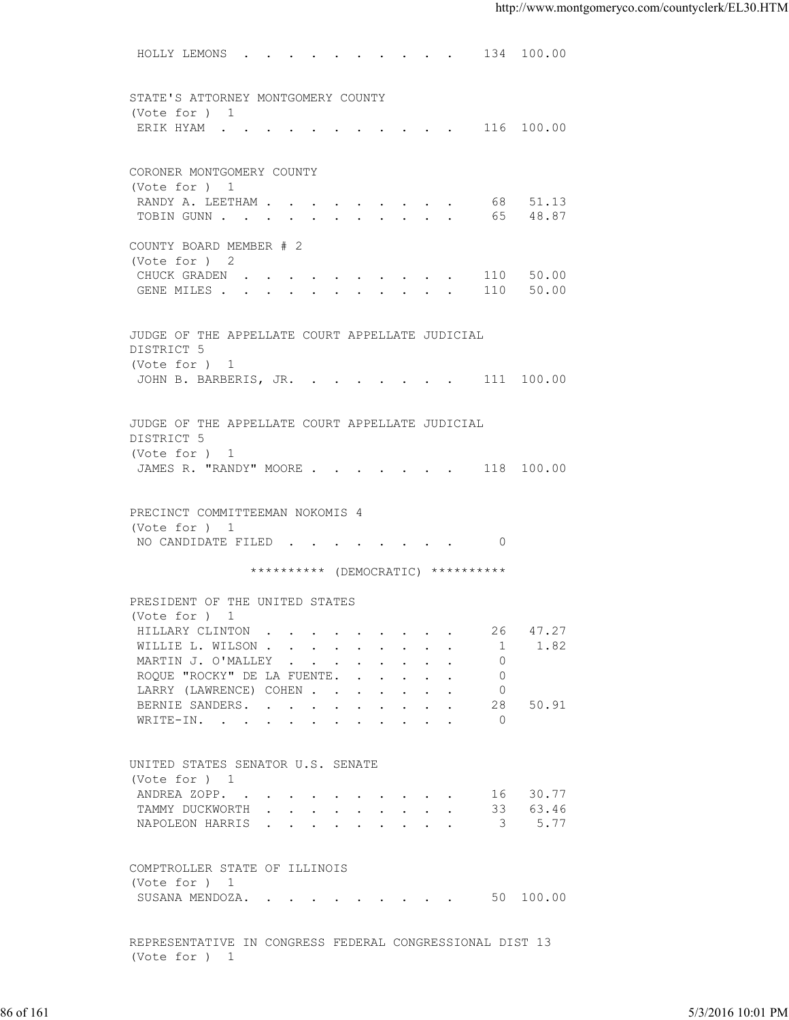HOLLY LEMONS . . . . . . . . . . 134 100.00 STATE'S ATTORNEY MONTGOMERY COUNTY (Vote for ) 1 ERIK HYAM . . . . . . . . . . . 116 100.00 CORONER MONTGOMERY COUNTY (Vote for ) 1 RANDY A. LEETHAM . . . . . . . . . . 68 51.13 TOBIN GUNN . . . . . . . . . . . 65 48.87 COUNTY BOARD MEMBER # 2 (Vote for ) 2 CHUCK GRADEN . . . . . . . . . . 110 50.00 GENE MILES . . . . . . . . . . . 110 50.00 JUDGE OF THE APPELLATE COURT APPELLATE JUDICIAL DISTRICT 5 (Vote for ) 1 JOHN B. BARBERIS, JR. . . . . . . . 111 100.00 JUDGE OF THE APPELLATE COURT APPELLATE JUDICIAL DISTRICT 5 (Vote for ) 1 JAMES R. "RANDY" MOORE . . . . . . . 118 100.00 PRECINCT COMMITTEEMAN NOKOMIS 4 (Vote for ) 1 NO CANDIDATE FILED . . . . . . . . 0 \*\*\*\*\*\*\*\*\*\* (DEMOCRATIC) \*\*\*\*\*\*\*\*\*\* PRESIDENT OF THE UNITED STATES (Vote for ) 1 HILLARY CLINTON . . . . . . . . . 26 47.27 WILLIE L. WILSON . . . . . . . . . . 1 1.82<br>MARTIN J. O'MALLEY . . . . . . . . 0 MARTIN J. O'MALLEY . . . . . . . . . 0<br>ROQUE "ROCKY" DE LA FUENTE. . . . . . . 0 ROQUE "ROCKY" DE LA FUENTE. . . . . . LARRY (LAWRENCE) COHEN . . . . . . . 0<br>BERNIE SANDERS. . . . . . . . . . 28  $\cdot$  . . . . . 28 50.91 WRITE-IN. . . . . . . . . . . 0 UNITED STATES SENATOR U.S. SENATE (Vote for ) 1 ANDREA ZOPP. . . . . . . . . . . 16 30.77<br>TAMMY DUCKWORTH . . . . . . . . . 33 63.46 TAMMY DUCKWORTH . . . . . . . . . . NAPOLEON HARRIS . . . . . . . . . 3 5.77 COMPTROLLER STATE OF ILLINOIS (Vote for ) 1 SUSANA MENDOZA. . . . . . . . . . 50 100.00 REPRESENTATIVE IN CONGRESS FEDERAL CONGRESSIONAL DIST 13 (Vote for ) 1 86 of 161 5/3/2016 10:01 PM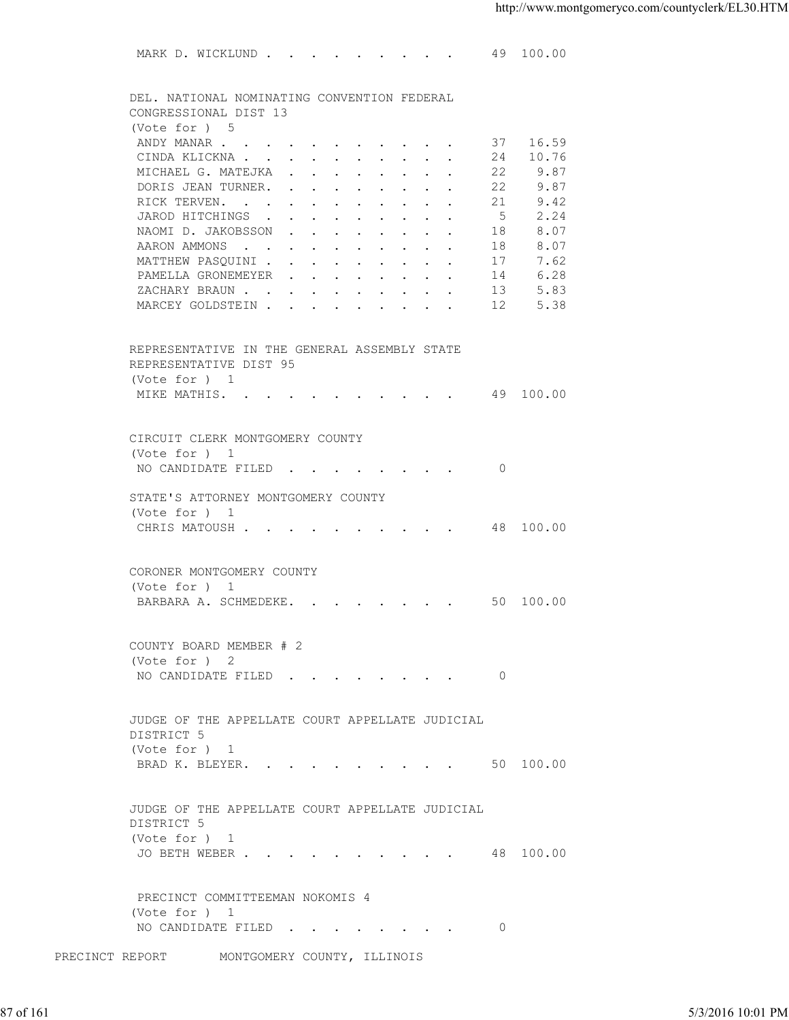MARK D. WICKLUND . . . . . . . . . 49 100.00 DEL. NATIONAL NOMINATING CONVENTION FEDERAL CONGRESSIONAL DIST 13 (Vote for ) 5<br>ANDY MANAR . . . . . . . . . . . 37 16.59 CINDA KLICKNA . . . . . . . . . . 24 10.76 MICHAEL G. MATEJKA . . . . . . . . 22 9.87 DORIS JEAN TURNER. . . . . . . . . 22 9.87 RICK TERVEN. . . . . . . . . . . 21 9.42<br>JAROD HITCHINGS . . . . . . . . . 5 2.24 JAROD HITCHINGS . . . . . . . . . . 5 2.24<br>NAOMI D. JAKOBSSON . . . . . . . . 18 8.07 NAOMI D. JAKOBSSON . . . . . . . . AARON AMMONS . . . . . . . . . . 18 8.07 MATTHEW PASQUINI . . . . . . . . . 17 7.62 PAMELLA GRONEMEYER . . . . . . . 14 6.28 XACHARY BRAUN . . . . . . . . . . 13 5.83<br>MARCEY GOLDSTEIN . . . . . . . . . 12 5.38 MARCEY GOLDSTEIN . . . . . . REPRESENTATIVE IN THE GENERAL ASSEMBLY STATE REPRESENTATIVE DIST 95 (Vote for ) 1 MIKE MATHIS. . . . . . . . . . . 49 100.00 CIRCUIT CLERK MONTGOMERY COUNTY (Vote for ) 1 NO CANDIDATE FILED . . . . . . . . 0 STATE'S ATTORNEY MONTGOMERY COUNTY (Vote for ) 1 CHRIS MATOUSH . . . . . . . . . . 48 100.00 CORONER MONTGOMERY COUNTY (Vote for ) 1 BARBARA A. SCHMEDEKE. . . . . . . . 50 100.00 COUNTY BOARD MEMBER # 2 (Vote for ) 2 NO CANDIDATE FILED . . . . . . . . 0 JUDGE OF THE APPELLATE COURT APPELLATE JUDICIAL DISTRICT 5 (Vote for ) 1 BRAD K. BLEYER. . . . . . . . . . 50 100.00 JUDGE OF THE APPELLATE COURT APPELLATE JUDICIAL DISTRICT 5 (Vote for ) 1 JO BETH WEBER . . . . . . . . . . 48 100.00 PRECINCT COMMITTEEMAN NOKOMIS 4 (Vote for ) 1 NO CANDIDATE FILED . . . . . . . . 0 NUMBE OF THE APPELLATE COURT APPELLATE JUDICIAL<br>
INSTRICT 5<br>
UNDER OF THE APPELLATE COURT APPELLATE JUDICIAL<br>
JUDGE OF THE APPELLATE COURT APPELLATE JUDICIAL<br>
DISTRICT 5<br>
(Vote for )<br>
JO BETH WEBER<br>
JO BETH WEBER<br>
NO CAMPI

PRECINCT REPORT MONTGOMERY COUNTY, ILLINOIS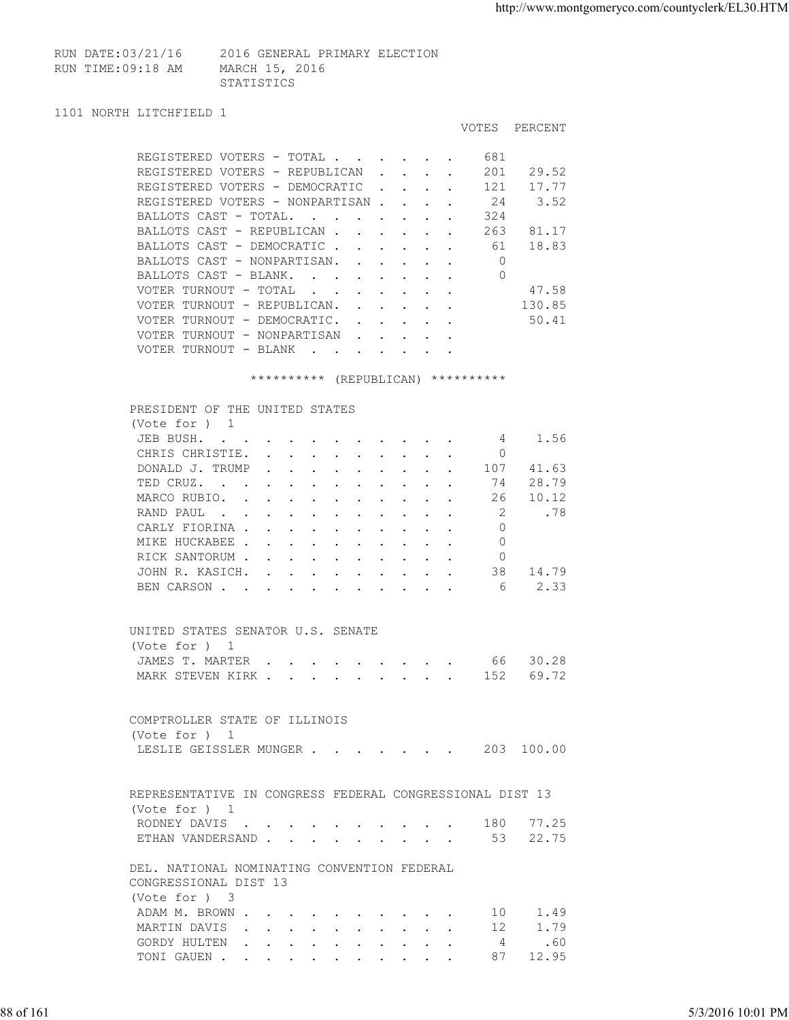RUN DATE:03/21/16 2016 GENERAL PRIMARY ELECTION RUN TIME:09:18 AM MARCH 15, 2016 STATISTICS **STATISTICS** 

```
1101 NORTH LITCHFIELD 1
```

|                                                                                                                                                                                                                                                                                |                               |                               |  | <b>VOTES</b> | PERCENT |
|--------------------------------------------------------------------------------------------------------------------------------------------------------------------------------------------------------------------------------------------------------------------------------|-------------------------------|-------------------------------|--|--------------|---------|
| REGISTERED VOTERS - TOTAL                                                                                                                                                                                                                                                      |                               |                               |  | 681          |         |
| REGISTERED VOTERS - REPUBLICAN                                                                                                                                                                                                                                                 |                               |                               |  | 201          | 29.52   |
| REGISTERED VOTERS - DEMOCRATIC                                                                                                                                                                                                                                                 | $\sim 10^{-10}$               |                               |  | 121          | 17.77   |
| REGISTERED VOTERS - NONPARTISAN.                                                                                                                                                                                                                                               |                               | $\mathbf{L}$ and $\mathbf{L}$ |  | 24           | 3.52    |
| BALLOTS CAST - TOTAL.<br>$\sim$                                                                                                                                                                                                                                                |                               |                               |  | 324          |         |
| BALLOTS CAST - REPUBLICAN.                                                                                                                                                                                                                                                     | $\sim$ $\sim$ $\sim$          |                               |  | 263          | 81.17   |
| BALLOTS CAST - DEMOCRATIC                                                                                                                                                                                                                                                      |                               |                               |  | 61           | 18.83   |
| BALLOTS CAST - NONPARTISAN.<br>$\mathbf{L} = \mathbf{L}$                                                                                                                                                                                                                       |                               |                               |  | 0            |         |
| BALLOTS CAST - BLANK.<br>$\mathbf{r}$ , $\mathbf{r}$ , $\mathbf{r}$ , $\mathbf{r}$                                                                                                                                                                                             |                               |                               |  | 0            |         |
| VOTER TURNOUT - TOTAL<br><b>Contract Street</b>                                                                                                                                                                                                                                |                               |                               |  |              | 47.58   |
| VOTER TURNOUT - REPUBLICAN.                                                                                                                                                                                                                                                    |                               |                               |  |              | 130.85  |
| VOTER TURNOUT - DEMOCRATIC.                                                                                                                                                                                                                                                    | $\mathbf{r}$ and $\mathbf{r}$ |                               |  |              | 50.41   |
| VOTER TURNOUT - NONPARTISAN<br>$\sim$ $\sim$                                                                                                                                                                                                                                   |                               |                               |  |              |         |
| VOTER TURNOUT - BLANK<br>$\ddot{\phantom{a}}$<br>. The contract of the contract of the contract of the contract of the contract of the contract of the contract of the contract of the contract of the contract of the contract of the contract of the contract of the contrac |                               |                               |  |              |         |

\*\*\*\*\*\*\*\*\*\* (REPUBLICAN) \*\*\*\*\*\*\*\*\*\*

| PRESIDENT OF THE UNITED STATES                                                                                                                                                                                                                 |                                                                       |        |               |               |        |  |     |       |
|------------------------------------------------------------------------------------------------------------------------------------------------------------------------------------------------------------------------------------------------|-----------------------------------------------------------------------|--------|---------------|---------------|--------|--|-----|-------|
| (Vote for $)$ 1                                                                                                                                                                                                                                |                                                                       |        |               |               |        |  |     |       |
| JEB BUSH.<br>$\mathbf{r}$ , $\mathbf{r}$ , $\mathbf{r}$ , $\mathbf{r}$ , $\mathbf{r}$ , $\mathbf{r}$                                                                                                                                           |                                                                       |        |               |               |        |  | 4   | 1.56  |
| CHRIS CHRISTIE.                                                                                                                                                                                                                                | $\mathbf{r}$ . The set of $\mathbf{r}$                                | $\sim$ |               |               |        |  | 0   |       |
| DONALD J. TRUMP                                                                                                                                                                                                                                | $\mathbf{r}$ , and $\mathbf{r}$ , and $\mathbf{r}$ , and $\mathbf{r}$ |        |               |               |        |  | 107 | 41.63 |
| TED CRUZ.<br>$\mathbf{r}$ . The contract of the contract of the contract of the contract of the contract of the contract of the contract of the contract of the contract of the contract of the contract of the contract of the contract of th |                                                                       |        |               |               |        |  | 74  | 28.79 |
| MARCO RUBIO.                                                                                                                                                                                                                                   | $\mathbf{r}$ , and $\mathbf{r}$ , and $\mathbf{r}$ , and $\mathbf{r}$ |        |               |               |        |  | 26  | 10.12 |
| RAND PAUL<br>$\mathbf{r}$ , $\mathbf{r}$ , $\mathbf{r}$ , $\mathbf{r}$ , $\mathbf{r}$                                                                                                                                                          |                                                                       |        | $\sim$ $\sim$ | $\sim$ $\sim$ | $\sim$ |  | 2   | .78   |
| CARLY FIORINA                                                                                                                                                                                                                                  |                                                                       |        |               |               |        |  | 0   |       |
| MIKE HUCKABEE                                                                                                                                                                                                                                  |                                                                       |        |               |               |        |  | 0   |       |
| RICK SANTORUM                                                                                                                                                                                                                                  |                                                                       |        |               |               |        |  |     |       |
| JOHN R. KASICH.                                                                                                                                                                                                                                | $\sim$ $\sim$ $\sim$ $\sim$ $\sim$                                    |        |               |               |        |  | 38  | 14.79 |
| BEN CARSON.                                                                                                                                                                                                                                    |                                                                       |        |               |               |        |  | 6   | 2.33  |

| UNITED STATES SENATOR U.S. SENATE |  |  |  |  |  |  |
|-----------------------------------|--|--|--|--|--|--|
| (Vote for ) 1                     |  |  |  |  |  |  |
| JAMES T. MARTER 66 30.28          |  |  |  |  |  |  |
| MARK STEVEN KIRK 152 69.72        |  |  |  |  |  |  |

|           | COMPTROLLER STATE OF ILLINOIS<br>(Vote for ) 1<br>LESLIE GEISSLER MUNGER 203 100.00                                                                                                                      |                   |
|-----------|----------------------------------------------------------------------------------------------------------------------------------------------------------------------------------------------------------|-------------------|
|           | REPRESENTATIVE IN CONGRESS FEDERAL CONGRESSIONAL DIST 13                                                                                                                                                 |                   |
|           | (Vote for ) 1<br>RODNEY DAVIS 180 77.25                                                                                                                                                                  |                   |
|           | ETHAN VANDERSAND 53 22.75                                                                                                                                                                                |                   |
|           | DEL. NATIONAL NOMINATING CONVENTION FEDERAL<br>CONGRESSIONAL DIST 13<br>(Vote for ) 3<br>10 1.49<br>ADAM M. BROWN<br>1.79<br>MARTIN DAVIS<br>12<br>GORDY HULTEN $\ldots$ 4 .60<br>TONI GAUEN<br>87 12.95 |                   |
| 88 of 161 |                                                                                                                                                                                                          | 5/3/2016 10:01 PM |

| (Vote for ) 3         |  |  |  |  |  |  |
|-----------------------|--|--|--|--|--|--|
| ADAM M. BROWN 10 1.49 |  |  |  |  |  |  |
| MARTIN DAVIS 12 1.79  |  |  |  |  |  |  |
| GORDY HULTEN 4 .60    |  |  |  |  |  |  |
| TONI GAUEN 87 12.95   |  |  |  |  |  |  |
|                       |  |  |  |  |  |  |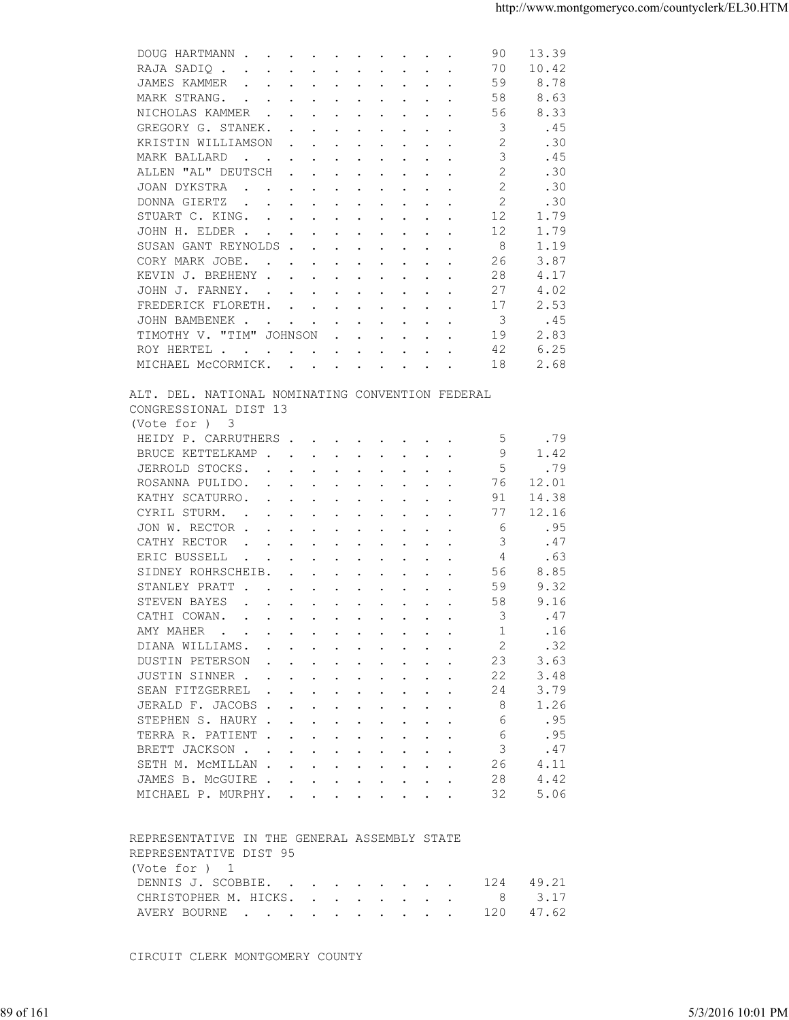| DOUG HARTMANN<br>10.42<br>RAJA SADIQ<br>70<br>JAMES KAMMER<br>59<br>8.78<br>and the contract of the contract of the<br>MARK STRANG.<br>58<br>8.63<br>$\mathbf{r}$ , and $\mathbf{r}$ , and $\mathbf{r}$ , and $\mathbf{r}$ , and $\mathbf{r}$<br>NICHOLAS KAMMER<br>56<br>8.33<br>3<br>GREGORY G. STANEK.<br>.45<br>2<br>KRISTIN WILLIAMSON<br>.30<br>3<br>.45<br>MARK BALLARD<br>the contract of the contract of the contract of the contract of the contract of the contract of the contract of<br>$\overline{2}$<br>ALLEN "AL" DEUTSCH<br>.30<br>$\mathbf{r}$ , and $\mathbf{r}$ , and $\mathbf{r}$ , and $\mathbf{r}$<br>2<br>.30<br>JOAN DYKSTRA<br>DONNA GIERTZ<br>2<br>.30<br>the contract of the contract of the contract of the contract of the contract of the contract of the contract of<br>STUART C. KING.<br>12<br>1.79<br>1.79<br>12<br>JOHN H. ELDER<br>8<br>SUSAN GANT REYNOLDS<br>1.19<br>26<br>3.87<br>CORY MARK JOBE.<br>KEVIN J. BREHENY<br>28<br>4.17<br>27<br>4.02<br>JOHN J. FARNEY.<br>2.53<br>FREDERICK FLORETH.<br>17<br>-3<br>.45<br>JOHN BAMBENEK<br>TIMOTHY V. "TIM" JOHNSON<br>2.83<br>19<br>6.25<br>42<br>ROY HERTEL<br>MICHAEL MCCORMICK.<br>2.68<br>18<br>ALT. DEL. NATIONAL NOMINATING CONVENTION FEDERAL<br>CONGRESSIONAL DIST 13<br>(Vote for ) 3<br>.79<br>HEIDY P. CARRUTHERS<br>5<br>9<br>BRUCE KETTELKAMP<br>1.42<br>.5<br>.79<br>JERROLD STOCKS.<br>ROSANNA PULIDO.<br>76<br>12.01<br>KATHY SCATURRO.<br>91<br>14.38<br>12.16<br>CYRIL STURM.<br>77<br>$\mathbf{r}$ . The contract of the contract of the contract of the contract of the contract of the contract of the contract of the contract of the contract of the contract of the contract of the contract of the contract of th<br>JON W. RECTOR<br>-6<br>.95<br>CATHY RECTOR<br>3<br>.47<br>$\mathbf{r}$ . The contribution of the contribution of the contribution of the contribution of the contribution of the contribution of the contribution of the contribution of the contribution of the contribution of the contri<br>ERIC BUSSELL<br>.63<br>4<br>$\mathbf{r}$ . The contract of the contract of the contract of the contract of the contract of the contract of the contract of the contract of the contract of the contract of the contract of the contract of the contract of th<br>8.85<br>SIDNEY ROHRSCHEIB.<br>56<br>59<br>9.32<br>STANLEY PRATT<br>58<br>STEVEN BAYES<br>9.16<br>3<br>.47<br>CATHI COWAN.<br>AMY MAHER<br>.16<br>1<br>2<br>DIANA WILLIAMS.<br>.32<br>DUSTIN PETERSON<br>23<br>3.63<br>3.48<br>JUSTIN SINNER<br>22<br>SEAN FITZGERREL<br>3.79<br>24<br>JERALD F. JACOBS<br>-8<br>1.26<br>STEPHEN S. HAURY<br>.95<br>6<br>.95<br>TERRA R. PATIENT<br>6<br>BRETT JACKSON<br>.47<br>3<br>SETH M. MCMILLAN<br>26<br>4.11<br>4.42<br>JAMES B. MCGUIRE<br>28<br>5.06<br>MICHAEL P. MURPHY.<br>32<br>REPRESENTATIVE IN THE GENERAL ASSEMBLY STATE<br>REPRESENTATIVE DIST 95<br>(Vote for $)$ 1<br>DENNIS J. SCOBBIE.<br>49.21<br>124<br>3.17<br>CHRISTOPHER M. HICKS.<br>- 8<br>47.62<br>AVERY BOURNE<br>120<br>CIRCUIT CLERK MONTGOMERY COUNTY<br>5/3/2016 10:01 PM |           |  |  |  |  |
|----------------------------------------------------------------------------------------------------------------------------------------------------------------------------------------------------------------------------------------------------------------------------------------------------------------------------------------------------------------------------------------------------------------------------------------------------------------------------------------------------------------------------------------------------------------------------------------------------------------------------------------------------------------------------------------------------------------------------------------------------------------------------------------------------------------------------------------------------------------------------------------------------------------------------------------------------------------------------------------------------------------------------------------------------------------------------------------------------------------------------------------------------------------------------------------------------------------------------------------------------------------------------------------------------------------------------------------------------------------------------------------------------------------------------------------------------------------------------------------------------------------------------------------------------------------------------------------------------------------------------------------------------------------------------------------------------------------------------------------------------------------------------------------------------------------------------------------------------------------------------------------------------------------------------------------------------------------------------------------------------------------------------------------------------------------------------------------------------------------------------------------------------------------------------------------------------------------------------------------------------------------------------------------------------------------------------------------------------------------------------------------------------------------------------------------------------------------------------------------------------------------------------------------------------------------------------------------------------------------------------------------------------------------------------------------------------------------------------------------------------------------------------------------------------------------------------------------------------------------------------------------------------------------------------------------------------------------------------------------------------------------------------------------------------------------------------------------------------|-----------|--|--|--|--|
|                                                                                                                                                                                                                                                                                                                                                                                                                                                                                                                                                                                                                                                                                                                                                                                                                                                                                                                                                                                                                                                                                                                                                                                                                                                                                                                                                                                                                                                                                                                                                                                                                                                                                                                                                                                                                                                                                                                                                                                                                                                                                                                                                                                                                                                                                                                                                                                                                                                                                                                                                                                                                                                                                                                                                                                                                                                                                                                                                                                                                                                                                                    |           |  |  |  |  |
|                                                                                                                                                                                                                                                                                                                                                                                                                                                                                                                                                                                                                                                                                                                                                                                                                                                                                                                                                                                                                                                                                                                                                                                                                                                                                                                                                                                                                                                                                                                                                                                                                                                                                                                                                                                                                                                                                                                                                                                                                                                                                                                                                                                                                                                                                                                                                                                                                                                                                                                                                                                                                                                                                                                                                                                                                                                                                                                                                                                                                                                                                                    |           |  |  |  |  |
|                                                                                                                                                                                                                                                                                                                                                                                                                                                                                                                                                                                                                                                                                                                                                                                                                                                                                                                                                                                                                                                                                                                                                                                                                                                                                                                                                                                                                                                                                                                                                                                                                                                                                                                                                                                                                                                                                                                                                                                                                                                                                                                                                                                                                                                                                                                                                                                                                                                                                                                                                                                                                                                                                                                                                                                                                                                                                                                                                                                                                                                                                                    |           |  |  |  |  |
|                                                                                                                                                                                                                                                                                                                                                                                                                                                                                                                                                                                                                                                                                                                                                                                                                                                                                                                                                                                                                                                                                                                                                                                                                                                                                                                                                                                                                                                                                                                                                                                                                                                                                                                                                                                                                                                                                                                                                                                                                                                                                                                                                                                                                                                                                                                                                                                                                                                                                                                                                                                                                                                                                                                                                                                                                                                                                                                                                                                                                                                                                                    |           |  |  |  |  |
|                                                                                                                                                                                                                                                                                                                                                                                                                                                                                                                                                                                                                                                                                                                                                                                                                                                                                                                                                                                                                                                                                                                                                                                                                                                                                                                                                                                                                                                                                                                                                                                                                                                                                                                                                                                                                                                                                                                                                                                                                                                                                                                                                                                                                                                                                                                                                                                                                                                                                                                                                                                                                                                                                                                                                                                                                                                                                                                                                                                                                                                                                                    |           |  |  |  |  |
|                                                                                                                                                                                                                                                                                                                                                                                                                                                                                                                                                                                                                                                                                                                                                                                                                                                                                                                                                                                                                                                                                                                                                                                                                                                                                                                                                                                                                                                                                                                                                                                                                                                                                                                                                                                                                                                                                                                                                                                                                                                                                                                                                                                                                                                                                                                                                                                                                                                                                                                                                                                                                                                                                                                                                                                                                                                                                                                                                                                                                                                                                                    |           |  |  |  |  |
|                                                                                                                                                                                                                                                                                                                                                                                                                                                                                                                                                                                                                                                                                                                                                                                                                                                                                                                                                                                                                                                                                                                                                                                                                                                                                                                                                                                                                                                                                                                                                                                                                                                                                                                                                                                                                                                                                                                                                                                                                                                                                                                                                                                                                                                                                                                                                                                                                                                                                                                                                                                                                                                                                                                                                                                                                                                                                                                                                                                                                                                                                                    |           |  |  |  |  |
|                                                                                                                                                                                                                                                                                                                                                                                                                                                                                                                                                                                                                                                                                                                                                                                                                                                                                                                                                                                                                                                                                                                                                                                                                                                                                                                                                                                                                                                                                                                                                                                                                                                                                                                                                                                                                                                                                                                                                                                                                                                                                                                                                                                                                                                                                                                                                                                                                                                                                                                                                                                                                                                                                                                                                                                                                                                                                                                                                                                                                                                                                                    |           |  |  |  |  |
|                                                                                                                                                                                                                                                                                                                                                                                                                                                                                                                                                                                                                                                                                                                                                                                                                                                                                                                                                                                                                                                                                                                                                                                                                                                                                                                                                                                                                                                                                                                                                                                                                                                                                                                                                                                                                                                                                                                                                                                                                                                                                                                                                                                                                                                                                                                                                                                                                                                                                                                                                                                                                                                                                                                                                                                                                                                                                                                                                                                                                                                                                                    |           |  |  |  |  |
|                                                                                                                                                                                                                                                                                                                                                                                                                                                                                                                                                                                                                                                                                                                                                                                                                                                                                                                                                                                                                                                                                                                                                                                                                                                                                                                                                                                                                                                                                                                                                                                                                                                                                                                                                                                                                                                                                                                                                                                                                                                                                                                                                                                                                                                                                                                                                                                                                                                                                                                                                                                                                                                                                                                                                                                                                                                                                                                                                                                                                                                                                                    |           |  |  |  |  |
|                                                                                                                                                                                                                                                                                                                                                                                                                                                                                                                                                                                                                                                                                                                                                                                                                                                                                                                                                                                                                                                                                                                                                                                                                                                                                                                                                                                                                                                                                                                                                                                                                                                                                                                                                                                                                                                                                                                                                                                                                                                                                                                                                                                                                                                                                                                                                                                                                                                                                                                                                                                                                                                                                                                                                                                                                                                                                                                                                                                                                                                                                                    |           |  |  |  |  |
|                                                                                                                                                                                                                                                                                                                                                                                                                                                                                                                                                                                                                                                                                                                                                                                                                                                                                                                                                                                                                                                                                                                                                                                                                                                                                                                                                                                                                                                                                                                                                                                                                                                                                                                                                                                                                                                                                                                                                                                                                                                                                                                                                                                                                                                                                                                                                                                                                                                                                                                                                                                                                                                                                                                                                                                                                                                                                                                                                                                                                                                                                                    |           |  |  |  |  |
|                                                                                                                                                                                                                                                                                                                                                                                                                                                                                                                                                                                                                                                                                                                                                                                                                                                                                                                                                                                                                                                                                                                                                                                                                                                                                                                                                                                                                                                                                                                                                                                                                                                                                                                                                                                                                                                                                                                                                                                                                                                                                                                                                                                                                                                                                                                                                                                                                                                                                                                                                                                                                                                                                                                                                                                                                                                                                                                                                                                                                                                                                                    |           |  |  |  |  |
|                                                                                                                                                                                                                                                                                                                                                                                                                                                                                                                                                                                                                                                                                                                                                                                                                                                                                                                                                                                                                                                                                                                                                                                                                                                                                                                                                                                                                                                                                                                                                                                                                                                                                                                                                                                                                                                                                                                                                                                                                                                                                                                                                                                                                                                                                                                                                                                                                                                                                                                                                                                                                                                                                                                                                                                                                                                                                                                                                                                                                                                                                                    |           |  |  |  |  |
|                                                                                                                                                                                                                                                                                                                                                                                                                                                                                                                                                                                                                                                                                                                                                                                                                                                                                                                                                                                                                                                                                                                                                                                                                                                                                                                                                                                                                                                                                                                                                                                                                                                                                                                                                                                                                                                                                                                                                                                                                                                                                                                                                                                                                                                                                                                                                                                                                                                                                                                                                                                                                                                                                                                                                                                                                                                                                                                                                                                                                                                                                                    |           |  |  |  |  |
|                                                                                                                                                                                                                                                                                                                                                                                                                                                                                                                                                                                                                                                                                                                                                                                                                                                                                                                                                                                                                                                                                                                                                                                                                                                                                                                                                                                                                                                                                                                                                                                                                                                                                                                                                                                                                                                                                                                                                                                                                                                                                                                                                                                                                                                                                                                                                                                                                                                                                                                                                                                                                                                                                                                                                                                                                                                                                                                                                                                                                                                                                                    |           |  |  |  |  |
|                                                                                                                                                                                                                                                                                                                                                                                                                                                                                                                                                                                                                                                                                                                                                                                                                                                                                                                                                                                                                                                                                                                                                                                                                                                                                                                                                                                                                                                                                                                                                                                                                                                                                                                                                                                                                                                                                                                                                                                                                                                                                                                                                                                                                                                                                                                                                                                                                                                                                                                                                                                                                                                                                                                                                                                                                                                                                                                                                                                                                                                                                                    |           |  |  |  |  |
|                                                                                                                                                                                                                                                                                                                                                                                                                                                                                                                                                                                                                                                                                                                                                                                                                                                                                                                                                                                                                                                                                                                                                                                                                                                                                                                                                                                                                                                                                                                                                                                                                                                                                                                                                                                                                                                                                                                                                                                                                                                                                                                                                                                                                                                                                                                                                                                                                                                                                                                                                                                                                                                                                                                                                                                                                                                                                                                                                                                                                                                                                                    |           |  |  |  |  |
|                                                                                                                                                                                                                                                                                                                                                                                                                                                                                                                                                                                                                                                                                                                                                                                                                                                                                                                                                                                                                                                                                                                                                                                                                                                                                                                                                                                                                                                                                                                                                                                                                                                                                                                                                                                                                                                                                                                                                                                                                                                                                                                                                                                                                                                                                                                                                                                                                                                                                                                                                                                                                                                                                                                                                                                                                                                                                                                                                                                                                                                                                                    |           |  |  |  |  |
|                                                                                                                                                                                                                                                                                                                                                                                                                                                                                                                                                                                                                                                                                                                                                                                                                                                                                                                                                                                                                                                                                                                                                                                                                                                                                                                                                                                                                                                                                                                                                                                                                                                                                                                                                                                                                                                                                                                                                                                                                                                                                                                                                                                                                                                                                                                                                                                                                                                                                                                                                                                                                                                                                                                                                                                                                                                                                                                                                                                                                                                                                                    |           |  |  |  |  |
|                                                                                                                                                                                                                                                                                                                                                                                                                                                                                                                                                                                                                                                                                                                                                                                                                                                                                                                                                                                                                                                                                                                                                                                                                                                                                                                                                                                                                                                                                                                                                                                                                                                                                                                                                                                                                                                                                                                                                                                                                                                                                                                                                                                                                                                                                                                                                                                                                                                                                                                                                                                                                                                                                                                                                                                                                                                                                                                                                                                                                                                                                                    |           |  |  |  |  |
|                                                                                                                                                                                                                                                                                                                                                                                                                                                                                                                                                                                                                                                                                                                                                                                                                                                                                                                                                                                                                                                                                                                                                                                                                                                                                                                                                                                                                                                                                                                                                                                                                                                                                                                                                                                                                                                                                                                                                                                                                                                                                                                                                                                                                                                                                                                                                                                                                                                                                                                                                                                                                                                                                                                                                                                                                                                                                                                                                                                                                                                                                                    |           |  |  |  |  |
|                                                                                                                                                                                                                                                                                                                                                                                                                                                                                                                                                                                                                                                                                                                                                                                                                                                                                                                                                                                                                                                                                                                                                                                                                                                                                                                                                                                                                                                                                                                                                                                                                                                                                                                                                                                                                                                                                                                                                                                                                                                                                                                                                                                                                                                                                                                                                                                                                                                                                                                                                                                                                                                                                                                                                                                                                                                                                                                                                                                                                                                                                                    |           |  |  |  |  |
|                                                                                                                                                                                                                                                                                                                                                                                                                                                                                                                                                                                                                                                                                                                                                                                                                                                                                                                                                                                                                                                                                                                                                                                                                                                                                                                                                                                                                                                                                                                                                                                                                                                                                                                                                                                                                                                                                                                                                                                                                                                                                                                                                                                                                                                                                                                                                                                                                                                                                                                                                                                                                                                                                                                                                                                                                                                                                                                                                                                                                                                                                                    |           |  |  |  |  |
|                                                                                                                                                                                                                                                                                                                                                                                                                                                                                                                                                                                                                                                                                                                                                                                                                                                                                                                                                                                                                                                                                                                                                                                                                                                                                                                                                                                                                                                                                                                                                                                                                                                                                                                                                                                                                                                                                                                                                                                                                                                                                                                                                                                                                                                                                                                                                                                                                                                                                                                                                                                                                                                                                                                                                                                                                                                                                                                                                                                                                                                                                                    |           |  |  |  |  |
|                                                                                                                                                                                                                                                                                                                                                                                                                                                                                                                                                                                                                                                                                                                                                                                                                                                                                                                                                                                                                                                                                                                                                                                                                                                                                                                                                                                                                                                                                                                                                                                                                                                                                                                                                                                                                                                                                                                                                                                                                                                                                                                                                                                                                                                                                                                                                                                                                                                                                                                                                                                                                                                                                                                                                                                                                                                                                                                                                                                                                                                                                                    |           |  |  |  |  |
|                                                                                                                                                                                                                                                                                                                                                                                                                                                                                                                                                                                                                                                                                                                                                                                                                                                                                                                                                                                                                                                                                                                                                                                                                                                                                                                                                                                                                                                                                                                                                                                                                                                                                                                                                                                                                                                                                                                                                                                                                                                                                                                                                                                                                                                                                                                                                                                                                                                                                                                                                                                                                                                                                                                                                                                                                                                                                                                                                                                                                                                                                                    |           |  |  |  |  |
|                                                                                                                                                                                                                                                                                                                                                                                                                                                                                                                                                                                                                                                                                                                                                                                                                                                                                                                                                                                                                                                                                                                                                                                                                                                                                                                                                                                                                                                                                                                                                                                                                                                                                                                                                                                                                                                                                                                                                                                                                                                                                                                                                                                                                                                                                                                                                                                                                                                                                                                                                                                                                                                                                                                                                                                                                                                                                                                                                                                                                                                                                                    |           |  |  |  |  |
|                                                                                                                                                                                                                                                                                                                                                                                                                                                                                                                                                                                                                                                                                                                                                                                                                                                                                                                                                                                                                                                                                                                                                                                                                                                                                                                                                                                                                                                                                                                                                                                                                                                                                                                                                                                                                                                                                                                                                                                                                                                                                                                                                                                                                                                                                                                                                                                                                                                                                                                                                                                                                                                                                                                                                                                                                                                                                                                                                                                                                                                                                                    |           |  |  |  |  |
|                                                                                                                                                                                                                                                                                                                                                                                                                                                                                                                                                                                                                                                                                                                                                                                                                                                                                                                                                                                                                                                                                                                                                                                                                                                                                                                                                                                                                                                                                                                                                                                                                                                                                                                                                                                                                                                                                                                                                                                                                                                                                                                                                                                                                                                                                                                                                                                                                                                                                                                                                                                                                                                                                                                                                                                                                                                                                                                                                                                                                                                                                                    |           |  |  |  |  |
|                                                                                                                                                                                                                                                                                                                                                                                                                                                                                                                                                                                                                                                                                                                                                                                                                                                                                                                                                                                                                                                                                                                                                                                                                                                                                                                                                                                                                                                                                                                                                                                                                                                                                                                                                                                                                                                                                                                                                                                                                                                                                                                                                                                                                                                                                                                                                                                                                                                                                                                                                                                                                                                                                                                                                                                                                                                                                                                                                                                                                                                                                                    |           |  |  |  |  |
|                                                                                                                                                                                                                                                                                                                                                                                                                                                                                                                                                                                                                                                                                                                                                                                                                                                                                                                                                                                                                                                                                                                                                                                                                                                                                                                                                                                                                                                                                                                                                                                                                                                                                                                                                                                                                                                                                                                                                                                                                                                                                                                                                                                                                                                                                                                                                                                                                                                                                                                                                                                                                                                                                                                                                                                                                                                                                                                                                                                                                                                                                                    |           |  |  |  |  |
|                                                                                                                                                                                                                                                                                                                                                                                                                                                                                                                                                                                                                                                                                                                                                                                                                                                                                                                                                                                                                                                                                                                                                                                                                                                                                                                                                                                                                                                                                                                                                                                                                                                                                                                                                                                                                                                                                                                                                                                                                                                                                                                                                                                                                                                                                                                                                                                                                                                                                                                                                                                                                                                                                                                                                                                                                                                                                                                                                                                                                                                                                                    |           |  |  |  |  |
|                                                                                                                                                                                                                                                                                                                                                                                                                                                                                                                                                                                                                                                                                                                                                                                                                                                                                                                                                                                                                                                                                                                                                                                                                                                                                                                                                                                                                                                                                                                                                                                                                                                                                                                                                                                                                                                                                                                                                                                                                                                                                                                                                                                                                                                                                                                                                                                                                                                                                                                                                                                                                                                                                                                                                                                                                                                                                                                                                                                                                                                                                                    |           |  |  |  |  |
|                                                                                                                                                                                                                                                                                                                                                                                                                                                                                                                                                                                                                                                                                                                                                                                                                                                                                                                                                                                                                                                                                                                                                                                                                                                                                                                                                                                                                                                                                                                                                                                                                                                                                                                                                                                                                                                                                                                                                                                                                                                                                                                                                                                                                                                                                                                                                                                                                                                                                                                                                                                                                                                                                                                                                                                                                                                                                                                                                                                                                                                                                                    |           |  |  |  |  |
|                                                                                                                                                                                                                                                                                                                                                                                                                                                                                                                                                                                                                                                                                                                                                                                                                                                                                                                                                                                                                                                                                                                                                                                                                                                                                                                                                                                                                                                                                                                                                                                                                                                                                                                                                                                                                                                                                                                                                                                                                                                                                                                                                                                                                                                                                                                                                                                                                                                                                                                                                                                                                                                                                                                                                                                                                                                                                                                                                                                                                                                                                                    |           |  |  |  |  |
|                                                                                                                                                                                                                                                                                                                                                                                                                                                                                                                                                                                                                                                                                                                                                                                                                                                                                                                                                                                                                                                                                                                                                                                                                                                                                                                                                                                                                                                                                                                                                                                                                                                                                                                                                                                                                                                                                                                                                                                                                                                                                                                                                                                                                                                                                                                                                                                                                                                                                                                                                                                                                                                                                                                                                                                                                                                                                                                                                                                                                                                                                                    |           |  |  |  |  |
|                                                                                                                                                                                                                                                                                                                                                                                                                                                                                                                                                                                                                                                                                                                                                                                                                                                                                                                                                                                                                                                                                                                                                                                                                                                                                                                                                                                                                                                                                                                                                                                                                                                                                                                                                                                                                                                                                                                                                                                                                                                                                                                                                                                                                                                                                                                                                                                                                                                                                                                                                                                                                                                                                                                                                                                                                                                                                                                                                                                                                                                                                                    |           |  |  |  |  |
|                                                                                                                                                                                                                                                                                                                                                                                                                                                                                                                                                                                                                                                                                                                                                                                                                                                                                                                                                                                                                                                                                                                                                                                                                                                                                                                                                                                                                                                                                                                                                                                                                                                                                                                                                                                                                                                                                                                                                                                                                                                                                                                                                                                                                                                                                                                                                                                                                                                                                                                                                                                                                                                                                                                                                                                                                                                                                                                                                                                                                                                                                                    |           |  |  |  |  |
|                                                                                                                                                                                                                                                                                                                                                                                                                                                                                                                                                                                                                                                                                                                                                                                                                                                                                                                                                                                                                                                                                                                                                                                                                                                                                                                                                                                                                                                                                                                                                                                                                                                                                                                                                                                                                                                                                                                                                                                                                                                                                                                                                                                                                                                                                                                                                                                                                                                                                                                                                                                                                                                                                                                                                                                                                                                                                                                                                                                                                                                                                                    |           |  |  |  |  |
|                                                                                                                                                                                                                                                                                                                                                                                                                                                                                                                                                                                                                                                                                                                                                                                                                                                                                                                                                                                                                                                                                                                                                                                                                                                                                                                                                                                                                                                                                                                                                                                                                                                                                                                                                                                                                                                                                                                                                                                                                                                                                                                                                                                                                                                                                                                                                                                                                                                                                                                                                                                                                                                                                                                                                                                                                                                                                                                                                                                                                                                                                                    |           |  |  |  |  |
|                                                                                                                                                                                                                                                                                                                                                                                                                                                                                                                                                                                                                                                                                                                                                                                                                                                                                                                                                                                                                                                                                                                                                                                                                                                                                                                                                                                                                                                                                                                                                                                                                                                                                                                                                                                                                                                                                                                                                                                                                                                                                                                                                                                                                                                                                                                                                                                                                                                                                                                                                                                                                                                                                                                                                                                                                                                                                                                                                                                                                                                                                                    |           |  |  |  |  |
|                                                                                                                                                                                                                                                                                                                                                                                                                                                                                                                                                                                                                                                                                                                                                                                                                                                                                                                                                                                                                                                                                                                                                                                                                                                                                                                                                                                                                                                                                                                                                                                                                                                                                                                                                                                                                                                                                                                                                                                                                                                                                                                                                                                                                                                                                                                                                                                                                                                                                                                                                                                                                                                                                                                                                                                                                                                                                                                                                                                                                                                                                                    |           |  |  |  |  |
|                                                                                                                                                                                                                                                                                                                                                                                                                                                                                                                                                                                                                                                                                                                                                                                                                                                                                                                                                                                                                                                                                                                                                                                                                                                                                                                                                                                                                                                                                                                                                                                                                                                                                                                                                                                                                                                                                                                                                                                                                                                                                                                                                                                                                                                                                                                                                                                                                                                                                                                                                                                                                                                                                                                                                                                                                                                                                                                                                                                                                                                                                                    |           |  |  |  |  |
|                                                                                                                                                                                                                                                                                                                                                                                                                                                                                                                                                                                                                                                                                                                                                                                                                                                                                                                                                                                                                                                                                                                                                                                                                                                                                                                                                                                                                                                                                                                                                                                                                                                                                                                                                                                                                                                                                                                                                                                                                                                                                                                                                                                                                                                                                                                                                                                                                                                                                                                                                                                                                                                                                                                                                                                                                                                                                                                                                                                                                                                                                                    |           |  |  |  |  |
|                                                                                                                                                                                                                                                                                                                                                                                                                                                                                                                                                                                                                                                                                                                                                                                                                                                                                                                                                                                                                                                                                                                                                                                                                                                                                                                                                                                                                                                                                                                                                                                                                                                                                                                                                                                                                                                                                                                                                                                                                                                                                                                                                                                                                                                                                                                                                                                                                                                                                                                                                                                                                                                                                                                                                                                                                                                                                                                                                                                                                                                                                                    |           |  |  |  |  |
|                                                                                                                                                                                                                                                                                                                                                                                                                                                                                                                                                                                                                                                                                                                                                                                                                                                                                                                                                                                                                                                                                                                                                                                                                                                                                                                                                                                                                                                                                                                                                                                                                                                                                                                                                                                                                                                                                                                                                                                                                                                                                                                                                                                                                                                                                                                                                                                                                                                                                                                                                                                                                                                                                                                                                                                                                                                                                                                                                                                                                                                                                                    |           |  |  |  |  |
|                                                                                                                                                                                                                                                                                                                                                                                                                                                                                                                                                                                                                                                                                                                                                                                                                                                                                                                                                                                                                                                                                                                                                                                                                                                                                                                                                                                                                                                                                                                                                                                                                                                                                                                                                                                                                                                                                                                                                                                                                                                                                                                                                                                                                                                                                                                                                                                                                                                                                                                                                                                                                                                                                                                                                                                                                                                                                                                                                                                                                                                                                                    |           |  |  |  |  |
|                                                                                                                                                                                                                                                                                                                                                                                                                                                                                                                                                                                                                                                                                                                                                                                                                                                                                                                                                                                                                                                                                                                                                                                                                                                                                                                                                                                                                                                                                                                                                                                                                                                                                                                                                                                                                                                                                                                                                                                                                                                                                                                                                                                                                                                                                                                                                                                                                                                                                                                                                                                                                                                                                                                                                                                                                                                                                                                                                                                                                                                                                                    |           |  |  |  |  |
|                                                                                                                                                                                                                                                                                                                                                                                                                                                                                                                                                                                                                                                                                                                                                                                                                                                                                                                                                                                                                                                                                                                                                                                                                                                                                                                                                                                                                                                                                                                                                                                                                                                                                                                                                                                                                                                                                                                                                                                                                                                                                                                                                                                                                                                                                                                                                                                                                                                                                                                                                                                                                                                                                                                                                                                                                                                                                                                                                                                                                                                                                                    |           |  |  |  |  |
|                                                                                                                                                                                                                                                                                                                                                                                                                                                                                                                                                                                                                                                                                                                                                                                                                                                                                                                                                                                                                                                                                                                                                                                                                                                                                                                                                                                                                                                                                                                                                                                                                                                                                                                                                                                                                                                                                                                                                                                                                                                                                                                                                                                                                                                                                                                                                                                                                                                                                                                                                                                                                                                                                                                                                                                                                                                                                                                                                                                                                                                                                                    |           |  |  |  |  |
|                                                                                                                                                                                                                                                                                                                                                                                                                                                                                                                                                                                                                                                                                                                                                                                                                                                                                                                                                                                                                                                                                                                                                                                                                                                                                                                                                                                                                                                                                                                                                                                                                                                                                                                                                                                                                                                                                                                                                                                                                                                                                                                                                                                                                                                                                                                                                                                                                                                                                                                                                                                                                                                                                                                                                                                                                                                                                                                                                                                                                                                                                                    |           |  |  |  |  |
|                                                                                                                                                                                                                                                                                                                                                                                                                                                                                                                                                                                                                                                                                                                                                                                                                                                                                                                                                                                                                                                                                                                                                                                                                                                                                                                                                                                                                                                                                                                                                                                                                                                                                                                                                                                                                                                                                                                                                                                                                                                                                                                                                                                                                                                                                                                                                                                                                                                                                                                                                                                                                                                                                                                                                                                                                                                                                                                                                                                                                                                                                                    |           |  |  |  |  |
|                                                                                                                                                                                                                                                                                                                                                                                                                                                                                                                                                                                                                                                                                                                                                                                                                                                                                                                                                                                                                                                                                                                                                                                                                                                                                                                                                                                                                                                                                                                                                                                                                                                                                                                                                                                                                                                                                                                                                                                                                                                                                                                                                                                                                                                                                                                                                                                                                                                                                                                                                                                                                                                                                                                                                                                                                                                                                                                                                                                                                                                                                                    |           |  |  |  |  |
|                                                                                                                                                                                                                                                                                                                                                                                                                                                                                                                                                                                                                                                                                                                                                                                                                                                                                                                                                                                                                                                                                                                                                                                                                                                                                                                                                                                                                                                                                                                                                                                                                                                                                                                                                                                                                                                                                                                                                                                                                                                                                                                                                                                                                                                                                                                                                                                                                                                                                                                                                                                                                                                                                                                                                                                                                                                                                                                                                                                                                                                                                                    |           |  |  |  |  |
|                                                                                                                                                                                                                                                                                                                                                                                                                                                                                                                                                                                                                                                                                                                                                                                                                                                                                                                                                                                                                                                                                                                                                                                                                                                                                                                                                                                                                                                                                                                                                                                                                                                                                                                                                                                                                                                                                                                                                                                                                                                                                                                                                                                                                                                                                                                                                                                                                                                                                                                                                                                                                                                                                                                                                                                                                                                                                                                                                                                                                                                                                                    |           |  |  |  |  |
|                                                                                                                                                                                                                                                                                                                                                                                                                                                                                                                                                                                                                                                                                                                                                                                                                                                                                                                                                                                                                                                                                                                                                                                                                                                                                                                                                                                                                                                                                                                                                                                                                                                                                                                                                                                                                                                                                                                                                                                                                                                                                                                                                                                                                                                                                                                                                                                                                                                                                                                                                                                                                                                                                                                                                                                                                                                                                                                                                                                                                                                                                                    |           |  |  |  |  |
|                                                                                                                                                                                                                                                                                                                                                                                                                                                                                                                                                                                                                                                                                                                                                                                                                                                                                                                                                                                                                                                                                                                                                                                                                                                                                                                                                                                                                                                                                                                                                                                                                                                                                                                                                                                                                                                                                                                                                                                                                                                                                                                                                                                                                                                                                                                                                                                                                                                                                                                                                                                                                                                                                                                                                                                                                                                                                                                                                                                                                                                                                                    |           |  |  |  |  |
|                                                                                                                                                                                                                                                                                                                                                                                                                                                                                                                                                                                                                                                                                                                                                                                                                                                                                                                                                                                                                                                                                                                                                                                                                                                                                                                                                                                                                                                                                                                                                                                                                                                                                                                                                                                                                                                                                                                                                                                                                                                                                                                                                                                                                                                                                                                                                                                                                                                                                                                                                                                                                                                                                                                                                                                                                                                                                                                                                                                                                                                                                                    |           |  |  |  |  |
|                                                                                                                                                                                                                                                                                                                                                                                                                                                                                                                                                                                                                                                                                                                                                                                                                                                                                                                                                                                                                                                                                                                                                                                                                                                                                                                                                                                                                                                                                                                                                                                                                                                                                                                                                                                                                                                                                                                                                                                                                                                                                                                                                                                                                                                                                                                                                                                                                                                                                                                                                                                                                                                                                                                                                                                                                                                                                                                                                                                                                                                                                                    |           |  |  |  |  |
|                                                                                                                                                                                                                                                                                                                                                                                                                                                                                                                                                                                                                                                                                                                                                                                                                                                                                                                                                                                                                                                                                                                                                                                                                                                                                                                                                                                                                                                                                                                                                                                                                                                                                                                                                                                                                                                                                                                                                                                                                                                                                                                                                                                                                                                                                                                                                                                                                                                                                                                                                                                                                                                                                                                                                                                                                                                                                                                                                                                                                                                                                                    |           |  |  |  |  |
|                                                                                                                                                                                                                                                                                                                                                                                                                                                                                                                                                                                                                                                                                                                                                                                                                                                                                                                                                                                                                                                                                                                                                                                                                                                                                                                                                                                                                                                                                                                                                                                                                                                                                                                                                                                                                                                                                                                                                                                                                                                                                                                                                                                                                                                                                                                                                                                                                                                                                                                                                                                                                                                                                                                                                                                                                                                                                                                                                                                                                                                                                                    |           |  |  |  |  |
|                                                                                                                                                                                                                                                                                                                                                                                                                                                                                                                                                                                                                                                                                                                                                                                                                                                                                                                                                                                                                                                                                                                                                                                                                                                                                                                                                                                                                                                                                                                                                                                                                                                                                                                                                                                                                                                                                                                                                                                                                                                                                                                                                                                                                                                                                                                                                                                                                                                                                                                                                                                                                                                                                                                                                                                                                                                                                                                                                                                                                                                                                                    | 89 of 161 |  |  |  |  |
|                                                                                                                                                                                                                                                                                                                                                                                                                                                                                                                                                                                                                                                                                                                                                                                                                                                                                                                                                                                                                                                                                                                                                                                                                                                                                                                                                                                                                                                                                                                                                                                                                                                                                                                                                                                                                                                                                                                                                                                                                                                                                                                                                                                                                                                                                                                                                                                                                                                                                                                                                                                                                                                                                                                                                                                                                                                                                                                                                                                                                                                                                                    |           |  |  |  |  |

## REPRESENTATIVE IN THE GENERAL ASSEMBLY STATE REPRESENTATIVE DIST 95

| (Vote for ) 1                |  |  |  |  |  |
|------------------------------|--|--|--|--|--|
| DENNIS J. SCOBBIE 124 49.21  |  |  |  |  |  |
| CHRISTOPHER M. HICKS. 8 3.17 |  |  |  |  |  |
| AVERY BOURNE 120 47.62       |  |  |  |  |  |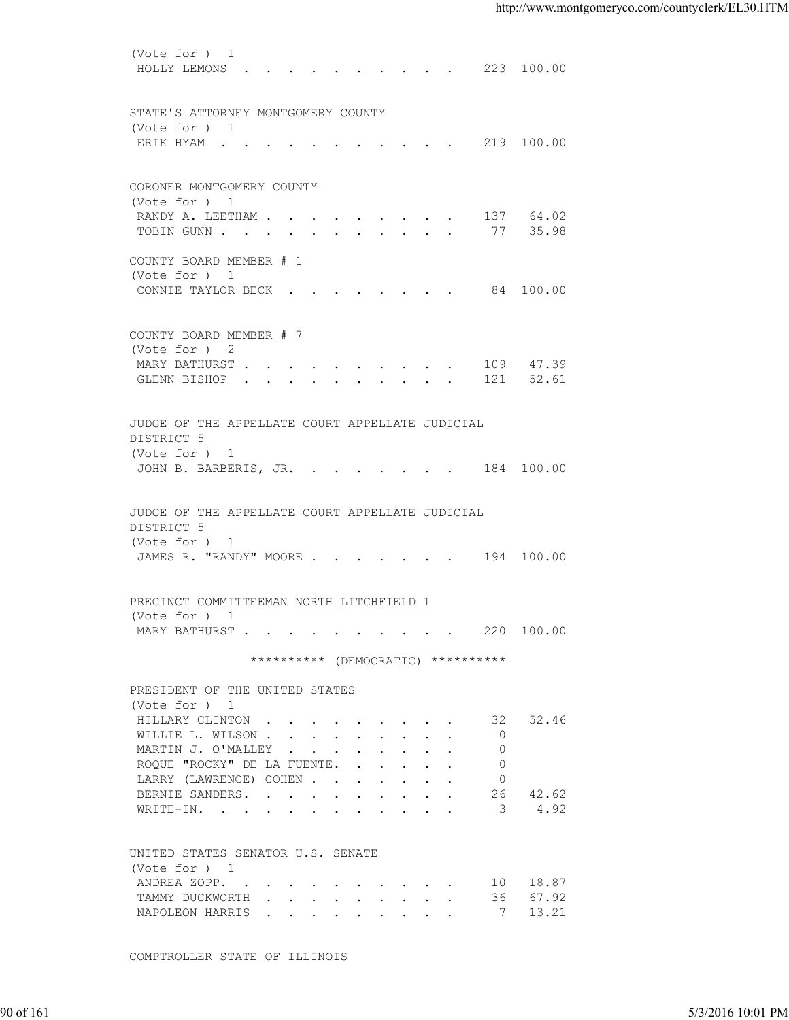(Vote for ) 1 HOLLY LEMONS . . . . . . . . . . 223 100.00 STATE'S ATTORNEY MONTGOMERY COUNTY (Vote for ) 1 ERIK HYAM . . . . . . . . . . . 219 100.00 CORONER MONTGOMERY COUNTY (Vote for ) 1 RANDY A. LEETHAM . . . . . . . . . . 137 64.02 TOBIN GUNN . . . . . . . . . . . . 77 35.98 COUNTY BOARD MEMBER # 1 (Vote for ) 1 CONNIE TAYLOR BECK . . . . . . . . 84 100.00 COUNTY BOARD MEMBER # 7 (Vote for ) 2 MARY BATHURST . . . . . . . . . . 109 47.39 GLENN BISHOP . . . . . . . . . . 121 52.61 JUDGE OF THE APPELLATE COURT APPELLATE JUDICIAL DISTRICT 5 (Vote for ) 1 JOHN B. BARBERIS, JR. . . . . . . . 184 100.00 JUDGE OF THE APPELLATE COURT APPELLATE JUDICIAL DISTRICT 5 (Vote for ) 1 JAMES R. "RANDY" MOORE . . . . . . . 194 100.00 PRECINCT COMMITTEEMAN NORTH LITCHFIELD 1 (Vote for ) 1 MARY BATHURST . . . . . . . . . . 220 100.00 \*\*\*\*\*\*\*\*\*\* (DEMOCRATIC) \*\*\*\*\*\*\*\*\*\* PRESIDENT OF THE UNITED STATES (Vote for ) 1 HILLARY CLINTON . . . . . . . . . 32 52.46 WILLIE L. WILSON . . . . . . . . . . 0 MARTIN J. O'MALLEY . . . . . . . . 0 ROQUE "ROCKY" DE LA FUENTE. . . . . . 0 LARRY (LAWRENCE) COHEN . . . . . . . 0<br>BERNIE SANDERS. . . . . . . . . . 26 BERNIE SANDERS. . . . . . . . . . 26 42.62 WRITE-IN. . . . . . . . . . . . 3 4.92 UNITED STATES SENATOR U.S. SENATE (Vote for ) 1 ANDREA ZOPP. . . . . . . . . . . 10 18.87<br>TAMMY DUCKWORTH . . . . . . . . . 36 67.92 TAMMY DUCKWORTH . . . . . . . . . NAPOLEON HARRIS . . . . . . . . . 7 13.21 90 of 161 5/3/2016 10:01 PM

COMPTROLLER STATE OF ILLINOIS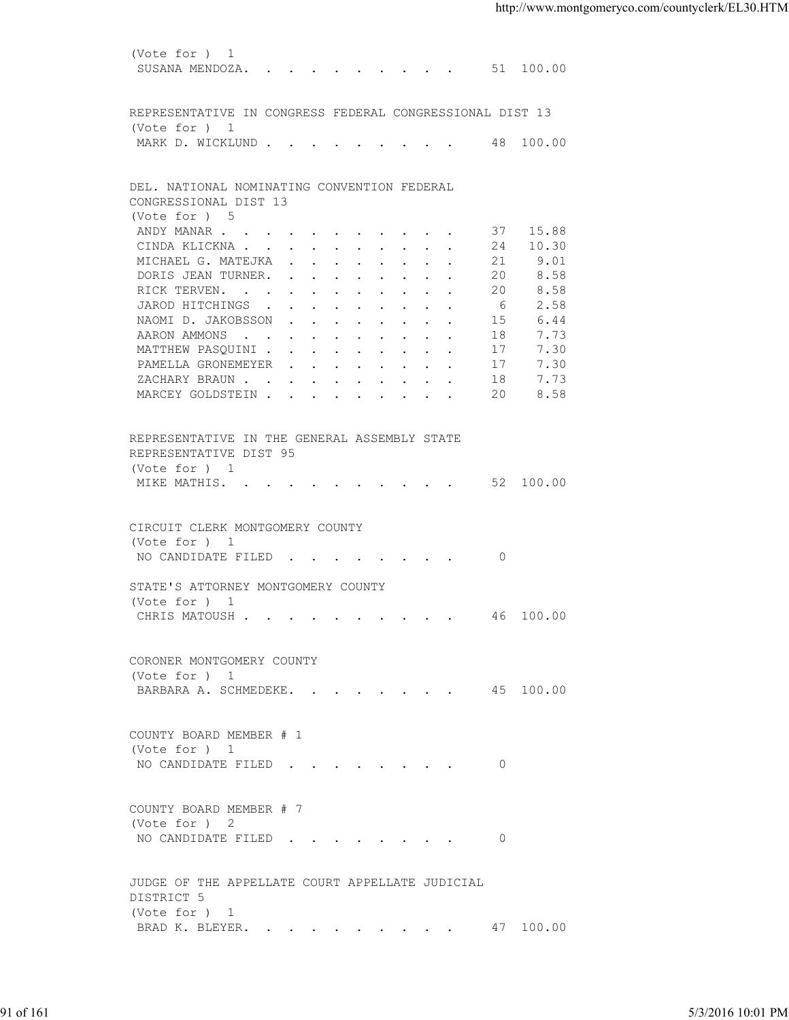(Vote for ) 1 SUSANA MENDOZA. . . . . . . . . . 51 100.00 REPRESENTATIVE IN CONGRESS FEDERAL CONGRESSIONAL DIST 13 (Vote for ) 1 MARK D. WICKLUND . . . . . . . . . 48 100.00 DEL. NATIONAL NOMINATING CONVENTION FEDERAL CONGRESSIONAL DIST 13 (Vote for ) 5<br>ANDY MANAR . . . . . . . . . . . 37 15.88 ANDY MANAR . . . . . . . . . . . . CINDA KLICKNA . . . . . . . . . . 24 10.30 MICHAEL G. MATEJKA . . . . . . . . 21 9.01 DORIS JEAN TURNER. . . . . . . . . 20 8.58 RICK TERVEN. . . . . . . . . . . 20 8.58<br>JAROD HITCHINGS . . . . . . . . . 6 2.58<br>NAOMI D. JAKOBSSON . . . . . . . 15 6.44 JAROD HITCHINGS . . . . . . . . . . 6<br>NAOMI D. JAKOBSSON . . . . . . . . 15 NAOMI D. JAKOBSSON . . . . . . . . AARON AMMONS . . . . . . . . . . 18 7.73 MATTHEW PASQUINI . . . . . . . . . 17 7.30 PAMELLA GRONEMEYER . . . . . . . . 17 7.30<br>ZACHARY BRAUN . . . . . . . . . . 18 7.73<br>MARCEY GOLDSTEIN . . . . . . . . 20 8.58 ZACHARY BRAUN . . . . . . . . . . MARCEY GOLDSTEIN . . . . . . . . . REPRESENTATIVE IN THE GENERAL ASSEMBLY STATE REPRESENTATIVE DIST 95 (Vote for ) 1 MIKE MATHIS. . . . . . . . . . . 52 100.00 CIRCUIT CLERK MONTGOMERY COUNTY (Vote for ) 1 NO CANDIDATE FILED . . . . . . . . 0 STATE'S ATTORNEY MONTGOMERY COUNTY (Vote for ) 1 CHRIS MATOUSH . . . . . . . . . . 46 100.00 CORONER MONTGOMERY COUNTY (Vote for ) 1 BARBARA A. SCHMEDEKE. . . . . . . . 45 100.00 COUNTY BOARD MEMBER # 1 (Vote for ) 1 NO CANDIDATE FILED . . . . . . . . 0 COUNTY BOARD MEMBER # 7 (Vote for ) 2 NO CANDIDATE FILED . . . . . . . . 0 JUDGE OF THE APPELLATE COURT APPELLATE JUDICIAL DISTRICT 5 (Vote for ) 1 BRAD K. BLEYER. . . . . . . . . . 47 100.00 PARARA A. SCHMEDEKE. . . . . . . . . . . . . 45 100.00<br>
COUNTY BOARD MEMBER # 1<br>
(Vote for ) 1<br>
NO CANDIDATE FILED . . . . . . . . . . . . 0<br>
COUNTY BOARD MEMBER # 7<br>
(Vote for ) 2<br>
NO CANDIDATE FILED . . . . . . . . . .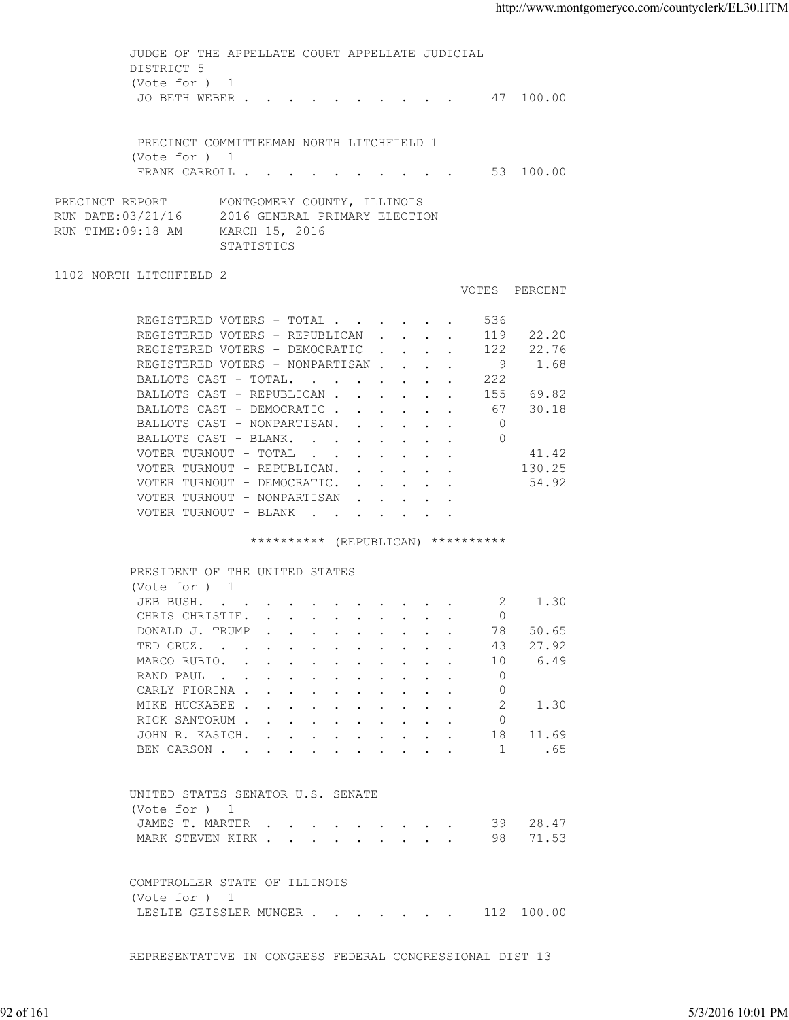JUDGE OF THE APPELLATE COURT APPELLATE JUDICIAL DISTRICT 5 (Vote for ) 1 JO BETH WEBER . . . . . . . . . . 47 100.00 PRECINCT COMMITTEEMAN NORTH LITCHFIELD 1 (Vote for ) 1 FRANK CARROLL . . . . . . . . . . 53 100.00 PRECINCT REPORT MONTGOMERY COUNTY, ILLINOIS RUN DATE:03/21/16 2016 GENERAL PRIMARY ELECTION RUN TIME:09:18 AM MARCH 15, 2016 STATISTICS 1102 NORTH LITCHFIELD 2 VOTES PERCENT REGISTERED VOTERS - TOTAL . . . . . . 536 REGISTERED VOTERS - REPUBLICAN . . . . 119 22.20 REGISTERED VOTERS - DEMOCRATIC . . . . 122 22.76 REGISTERED VOTERS - NONPARTISAN . . . . 9 1.68<br>BALLOTS CAST - TOTAL. . . . . . . . 222 BALLOTS CAST - TOTAL. . . . . . . . BALLOTS CAST - REPUBLICAN . . . . . . 155 69.82<br>BALLOTS CAST - DEMOCRATIC . . . . . . 67 30.18 BALLOTS CAST - DEMOCRATIC . . . . . . 67 30.18 BALLOTS CAST - NONPARTISAN. . . . . . 0 BALLOTS CAST - BLANK. . . . . . . . 0 VOTER TURNOUT - TOTAL . . . . . . . 41.42 VOTER TURNOUT - REPUBLICAN. . . . . . 130.25 VOTER TURNOUT - DEMOCRATIC. . . . . . 54.92 VOTER TURNOUT - NONPARTISAN . . . . . VOTER TURNOUT - BLANK . . . . . . . \*\*\*\*\*\*\*\*\*\* (REPUBLICAN) \*\*\*\*\*\*\*\*\*\* PRESIDENT OF THE UNITED STATES (Vote for ) 1 JEB BUSH. . . . . . . . . . . . 2 1.30 CHRIS CHRISTIE. . . . . . . . . . 0<br>DONALD J. TRUMP . . . . . . . . . . 78 50.65 DONALD J. TRUMP . . . . . . . . . . 78<br>TED CRUZ. . . . . . . . . . . . 43 TED CRUZ. . . . . . . . . . . . 43 27.92<br>MARCO RUBIO. . . . . . . . . . . 10 6.49 MARCO RUBIO. . . . . . . . . . . 10<br>RAND PAUL . . . . . . . . . . . . 0 RAND PAUL . . . . . . . . . . . . CARLY FIORINA . . . . . . . . . . 0<br>MIKE HUCKABEE . . . . . . . . . . 2 1.30 MIKE HUCKABEE . . . . RICK SANTORUM . . . . . . . . . . 0 JOHN R. KASICH. . . . . . . . . . . 18 11.69<br>BEN CARSON . . . . . . . . . . . 1 .65 BEN CARSON . . . . . . . . . . . UNITED STATES SENATOR U.S. SENATE (Vote for ) 1 JAMES T. MARTER . . . . . . . . . 39 28.47 MARK STEVEN KIRK . . . . . . . . . . 98 71.53 COMPTROLLER STATE OF ILLINOIS (Vote for ) 1 LESLIE GEISSLER MUNGER . . . . . . . 112 100.00 92 of 161 5/3/2016 10:01 PM

REPRESENTATIVE IN CONGRESS FEDERAL CONGRESSIONAL DIST 13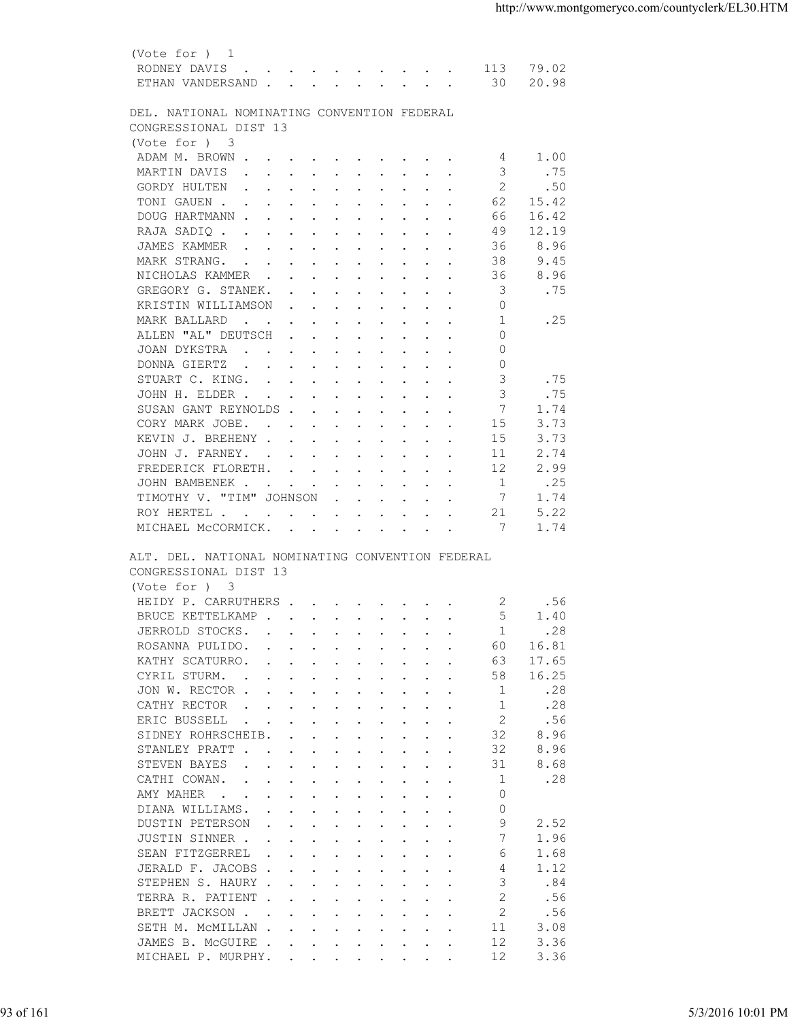| (Vote for ) 1                                                                                                                                   |                                                                                                                                                                                                                                                                                                                                                                                                                                                                                                                                                                                                                                                                                                                                                                                                                                                                                                                                                                                                                                                                                                                                                                                                                                                                                                                                                                                                            |
|-------------------------------------------------------------------------------------------------------------------------------------------------|------------------------------------------------------------------------------------------------------------------------------------------------------------------------------------------------------------------------------------------------------------------------------------------------------------------------------------------------------------------------------------------------------------------------------------------------------------------------------------------------------------------------------------------------------------------------------------------------------------------------------------------------------------------------------------------------------------------------------------------------------------------------------------------------------------------------------------------------------------------------------------------------------------------------------------------------------------------------------------------------------------------------------------------------------------------------------------------------------------------------------------------------------------------------------------------------------------------------------------------------------------------------------------------------------------------------------------------------------------------------------------------------------------|
| RODNEY DAVIS<br>113<br>79.02                                                                                                                    |                                                                                                                                                                                                                                                                                                                                                                                                                                                                                                                                                                                                                                                                                                                                                                                                                                                                                                                                                                                                                                                                                                                                                                                                                                                                                                                                                                                                            |
| 20.98<br>ETHAN VANDERSAND 30                                                                                                                    |                                                                                                                                                                                                                                                                                                                                                                                                                                                                                                                                                                                                                                                                                                                                                                                                                                                                                                                                                                                                                                                                                                                                                                                                                                                                                                                                                                                                            |
|                                                                                                                                                 |                                                                                                                                                                                                                                                                                                                                                                                                                                                                                                                                                                                                                                                                                                                                                                                                                                                                                                                                                                                                                                                                                                                                                                                                                                                                                                                                                                                                            |
|                                                                                                                                                 |                                                                                                                                                                                                                                                                                                                                                                                                                                                                                                                                                                                                                                                                                                                                                                                                                                                                                                                                                                                                                                                                                                                                                                                                                                                                                                                                                                                                            |
|                                                                                                                                                 |                                                                                                                                                                                                                                                                                                                                                                                                                                                                                                                                                                                                                                                                                                                                                                                                                                                                                                                                                                                                                                                                                                                                                                                                                                                                                                                                                                                                            |
|                                                                                                                                                 |                                                                                                                                                                                                                                                                                                                                                                                                                                                                                                                                                                                                                                                                                                                                                                                                                                                                                                                                                                                                                                                                                                                                                                                                                                                                                                                                                                                                            |
|                                                                                                                                                 |                                                                                                                                                                                                                                                                                                                                                                                                                                                                                                                                                                                                                                                                                                                                                                                                                                                                                                                                                                                                                                                                                                                                                                                                                                                                                                                                                                                                            |
| 2                                                                                                                                               |                                                                                                                                                                                                                                                                                                                                                                                                                                                                                                                                                                                                                                                                                                                                                                                                                                                                                                                                                                                                                                                                                                                                                                                                                                                                                                                                                                                                            |
| 62<br>15.42                                                                                                                                     |                                                                                                                                                                                                                                                                                                                                                                                                                                                                                                                                                                                                                                                                                                                                                                                                                                                                                                                                                                                                                                                                                                                                                                                                                                                                                                                                                                                                            |
| 16.42<br>DOUG HARTMANN<br>66                                                                                                                    |                                                                                                                                                                                                                                                                                                                                                                                                                                                                                                                                                                                                                                                                                                                                                                                                                                                                                                                                                                                                                                                                                                                                                                                                                                                                                                                                                                                                            |
| 12.19<br>RAJA SADIQ<br>49                                                                                                                       |                                                                                                                                                                                                                                                                                                                                                                                                                                                                                                                                                                                                                                                                                                                                                                                                                                                                                                                                                                                                                                                                                                                                                                                                                                                                                                                                                                                                            |
| 36<br>8.96<br>JAMES KAMMER                                                                                                                      |                                                                                                                                                                                                                                                                                                                                                                                                                                                                                                                                                                                                                                                                                                                                                                                                                                                                                                                                                                                                                                                                                                                                                                                                                                                                                                                                                                                                            |
| 9.45<br>MARK STRANG.<br>38                                                                                                                      |                                                                                                                                                                                                                                                                                                                                                                                                                                                                                                                                                                                                                                                                                                                                                                                                                                                                                                                                                                                                                                                                                                                                                                                                                                                                                                                                                                                                            |
| 36<br>8.96<br>NICHOLAS KAMMER                                                                                                                   |                                                                                                                                                                                                                                                                                                                                                                                                                                                                                                                                                                                                                                                                                                                                                                                                                                                                                                                                                                                                                                                                                                                                                                                                                                                                                                                                                                                                            |
|                                                                                                                                                 |                                                                                                                                                                                                                                                                                                                                                                                                                                                                                                                                                                                                                                                                                                                                                                                                                                                                                                                                                                                                                                                                                                                                                                                                                                                                                                                                                                                                            |
|                                                                                                                                                 |                                                                                                                                                                                                                                                                                                                                                                                                                                                                                                                                                                                                                                                                                                                                                                                                                                                                                                                                                                                                                                                                                                                                                                                                                                                                                                                                                                                                            |
|                                                                                                                                                 |                                                                                                                                                                                                                                                                                                                                                                                                                                                                                                                                                                                                                                                                                                                                                                                                                                                                                                                                                                                                                                                                                                                                                                                                                                                                                                                                                                                                            |
|                                                                                                                                                 |                                                                                                                                                                                                                                                                                                                                                                                                                                                                                                                                                                                                                                                                                                                                                                                                                                                                                                                                                                                                                                                                                                                                                                                                                                                                                                                                                                                                            |
|                                                                                                                                                 |                                                                                                                                                                                                                                                                                                                                                                                                                                                                                                                                                                                                                                                                                                                                                                                                                                                                                                                                                                                                                                                                                                                                                                                                                                                                                                                                                                                                            |
|                                                                                                                                                 |                                                                                                                                                                                                                                                                                                                                                                                                                                                                                                                                                                                                                                                                                                                                                                                                                                                                                                                                                                                                                                                                                                                                                                                                                                                                                                                                                                                                            |
|                                                                                                                                                 |                                                                                                                                                                                                                                                                                                                                                                                                                                                                                                                                                                                                                                                                                                                                                                                                                                                                                                                                                                                                                                                                                                                                                                                                                                                                                                                                                                                                            |
|                                                                                                                                                 |                                                                                                                                                                                                                                                                                                                                                                                                                                                                                                                                                                                                                                                                                                                                                                                                                                                                                                                                                                                                                                                                                                                                                                                                                                                                                                                                                                                                            |
|                                                                                                                                                 |                                                                                                                                                                                                                                                                                                                                                                                                                                                                                                                                                                                                                                                                                                                                                                                                                                                                                                                                                                                                                                                                                                                                                                                                                                                                                                                                                                                                            |
| 3.73<br>15                                                                                                                                      |                                                                                                                                                                                                                                                                                                                                                                                                                                                                                                                                                                                                                                                                                                                                                                                                                                                                                                                                                                                                                                                                                                                                                                                                                                                                                                                                                                                                            |
| 2.74<br>JOHN J. FARNEY.<br>11                                                                                                                   |                                                                                                                                                                                                                                                                                                                                                                                                                                                                                                                                                                                                                                                                                                                                                                                                                                                                                                                                                                                                                                                                                                                                                                                                                                                                                                                                                                                                            |
| 12<br>2.99<br>FREDERICK FLORETH.                                                                                                                |                                                                                                                                                                                                                                                                                                                                                                                                                                                                                                                                                                                                                                                                                                                                                                                                                                                                                                                                                                                                                                                                                                                                                                                                                                                                                                                                                                                                            |
| $\overline{1}$<br>.25<br>JOHN BAMBENEK                                                                                                          |                                                                                                                                                                                                                                                                                                                                                                                                                                                                                                                                                                                                                                                                                                                                                                                                                                                                                                                                                                                                                                                                                                                                                                                                                                                                                                                                                                                                            |
| TIMOTHY V. "TIM" JOHNSON<br>7<br>1.74                                                                                                           |                                                                                                                                                                                                                                                                                                                                                                                                                                                                                                                                                                                                                                                                                                                                                                                                                                                                                                                                                                                                                                                                                                                                                                                                                                                                                                                                                                                                            |
| ROY HERTEL<br>21<br>5.22                                                                                                                        |                                                                                                                                                                                                                                                                                                                                                                                                                                                                                                                                                                                                                                                                                                                                                                                                                                                                                                                                                                                                                                                                                                                                                                                                                                                                                                                                                                                                            |
| 1.74                                                                                                                                            |                                                                                                                                                                                                                                                                                                                                                                                                                                                                                                                                                                                                                                                                                                                                                                                                                                                                                                                                                                                                                                                                                                                                                                                                                                                                                                                                                                                                            |
| ALT. DEL. NATIONAL NOMINATING CONVENTION FEDERAL<br>CONGRESSIONAL DIST 13                                                                       |                                                                                                                                                                                                                                                                                                                                                                                                                                                                                                                                                                                                                                                                                                                                                                                                                                                                                                                                                                                                                                                                                                                                                                                                                                                                                                                                                                                                            |
| (Vote for ) 3                                                                                                                                   |                                                                                                                                                                                                                                                                                                                                                                                                                                                                                                                                                                                                                                                                                                                                                                                                                                                                                                                                                                                                                                                                                                                                                                                                                                                                                                                                                                                                            |
| .56                                                                                                                                             |                                                                                                                                                                                                                                                                                                                                                                                                                                                                                                                                                                                                                                                                                                                                                                                                                                                                                                                                                                                                                                                                                                                                                                                                                                                                                                                                                                                                            |
| 1.40                                                                                                                                            |                                                                                                                                                                                                                                                                                                                                                                                                                                                                                                                                                                                                                                                                                                                                                                                                                                                                                                                                                                                                                                                                                                                                                                                                                                                                                                                                                                                                            |
|                                                                                                                                                 |                                                                                                                                                                                                                                                                                                                                                                                                                                                                                                                                                                                                                                                                                                                                                                                                                                                                                                                                                                                                                                                                                                                                                                                                                                                                                                                                                                                                            |
|                                                                                                                                                 |                                                                                                                                                                                                                                                                                                                                                                                                                                                                                                                                                                                                                                                                                                                                                                                                                                                                                                                                                                                                                                                                                                                                                                                                                                                                                                                                                                                                            |
|                                                                                                                                                 |                                                                                                                                                                                                                                                                                                                                                                                                                                                                                                                                                                                                                                                                                                                                                                                                                                                                                                                                                                                                                                                                                                                                                                                                                                                                                                                                                                                                            |
|                                                                                                                                                 |                                                                                                                                                                                                                                                                                                                                                                                                                                                                                                                                                                                                                                                                                                                                                                                                                                                                                                                                                                                                                                                                                                                                                                                                                                                                                                                                                                                                            |
|                                                                                                                                                 |                                                                                                                                                                                                                                                                                                                                                                                                                                                                                                                                                                                                                                                                                                                                                                                                                                                                                                                                                                                                                                                                                                                                                                                                                                                                                                                                                                                                            |
|                                                                                                                                                 |                                                                                                                                                                                                                                                                                                                                                                                                                                                                                                                                                                                                                                                                                                                                                                                                                                                                                                                                                                                                                                                                                                                                                                                                                                                                                                                                                                                                            |
|                                                                                                                                                 |                                                                                                                                                                                                                                                                                                                                                                                                                                                                                                                                                                                                                                                                                                                                                                                                                                                                                                                                                                                                                                                                                                                                                                                                                                                                                                                                                                                                            |
| 32                                                                                                                                              |                                                                                                                                                                                                                                                                                                                                                                                                                                                                                                                                                                                                                                                                                                                                                                                                                                                                                                                                                                                                                                                                                                                                                                                                                                                                                                                                                                                                            |
| 8.68<br>STEVEN BAYES<br>31<br>the contract of the contract of the contract of the contract of the contract of the contract of the contract of   |                                                                                                                                                                                                                                                                                                                                                                                                                                                                                                                                                                                                                                                                                                                                                                                                                                                                                                                                                                                                                                                                                                                                                                                                                                                                                                                                                                                                            |
| .28<br>CATHI COWAN.<br>1                                                                                                                        |                                                                                                                                                                                                                                                                                                                                                                                                                                                                                                                                                                                                                                                                                                                                                                                                                                                                                                                                                                                                                                                                                                                                                                                                                                                                                                                                                                                                            |
| AMY MAHER<br>0                                                                                                                                  |                                                                                                                                                                                                                                                                                                                                                                                                                                                                                                                                                                                                                                                                                                                                                                                                                                                                                                                                                                                                                                                                                                                                                                                                                                                                                                                                                                                                            |
| 0<br>DIANA WILLIAMS.<br>$\mathbf{r}$ , and $\mathbf{r}$ , and $\mathbf{r}$ , and $\mathbf{r}$ , and $\mathbf{r}$                                |                                                                                                                                                                                                                                                                                                                                                                                                                                                                                                                                                                                                                                                                                                                                                                                                                                                                                                                                                                                                                                                                                                                                                                                                                                                                                                                                                                                                            |
| 9<br>2.52<br>DUSTIN PETERSON<br>the contract of the contract of the contract of the contract of the contract of the contract of the contract of |                                                                                                                                                                                                                                                                                                                                                                                                                                                                                                                                                                                                                                                                                                                                                                                                                                                                                                                                                                                                                                                                                                                                                                                                                                                                                                                                                                                                            |
| 7<br>JUSTIN SINNER<br>1.96                                                                                                                      |                                                                                                                                                                                                                                                                                                                                                                                                                                                                                                                                                                                                                                                                                                                                                                                                                                                                                                                                                                                                                                                                                                                                                                                                                                                                                                                                                                                                            |
| SEAN FITZGERREL<br>1.68<br>6<br>$\mathbf{r}$ , and $\mathbf{r}$ , and $\mathbf{r}$ , and $\mathbf{r}$ , and $\mathbf{r}$                        |                                                                                                                                                                                                                                                                                                                                                                                                                                                                                                                                                                                                                                                                                                                                                                                                                                                                                                                                                                                                                                                                                                                                                                                                                                                                                                                                                                                                            |
| JERALD F. JACOBS<br>4<br>1.12                                                                                                                   |                                                                                                                                                                                                                                                                                                                                                                                                                                                                                                                                                                                                                                                                                                                                                                                                                                                                                                                                                                                                                                                                                                                                                                                                                                                                                                                                                                                                            |
| 3<br>STEPHEN S. HAURY<br>.84                                                                                                                    |                                                                                                                                                                                                                                                                                                                                                                                                                                                                                                                                                                                                                                                                                                                                                                                                                                                                                                                                                                                                                                                                                                                                                                                                                                                                                                                                                                                                            |
| 2<br>.56<br>TERRA R. PATIENT                                                                                                                    |                                                                                                                                                                                                                                                                                                                                                                                                                                                                                                                                                                                                                                                                                                                                                                                                                                                                                                                                                                                                                                                                                                                                                                                                                                                                                                                                                                                                            |
| 2<br>BRETT JACKSON                                                                                                                              |                                                                                                                                                                                                                                                                                                                                                                                                                                                                                                                                                                                                                                                                                                                                                                                                                                                                                                                                                                                                                                                                                                                                                                                                                                                                                                                                                                                                            |
| SETH M. MCMILLAN<br>11<br>3.08                                                                                                                  |                                                                                                                                                                                                                                                                                                                                                                                                                                                                                                                                                                                                                                                                                                                                                                                                                                                                                                                                                                                                                                                                                                                                                                                                                                                                                                                                                                                                            |
| 12<br>3.36<br>JAMES B. MCGUIRE                                                                                                                  |                                                                                                                                                                                                                                                                                                                                                                                                                                                                                                                                                                                                                                                                                                                                                                                                                                                                                                                                                                                                                                                                                                                                                                                                                                                                                                                                                                                                            |
| 12<br>3.36<br>MICHAEL P. MURPHY.                                                                                                                |                                                                                                                                                                                                                                                                                                                                                                                                                                                                                                                                                                                                                                                                                                                                                                                                                                                                                                                                                                                                                                                                                                                                                                                                                                                                                                                                                                                                            |
|                                                                                                                                                 | DEL. NATIONAL NOMINATING CONVENTION FEDERAL<br>CONGRESSIONAL DIST 13<br>(Vote for ) 3<br>ADAM M. BROWN<br>1.00<br>4<br>MARTIN DAVIS<br>3<br>. 75<br>.50<br>GORDY HULTEN<br>TONI GAUEN<br>3<br>.75<br>GREGORY G. STANEK.<br>KRISTIN WILLIAMSON<br>$\Omega$<br>.25<br>$\overline{1}$<br>MARK BALLARD<br>ALLEN "AL" DEUTSCH<br>$\Omega$<br>JOAN DYKSTRA<br>$\Omega$<br>$\Omega$<br>DONNA GIERTZ<br>3<br>.75<br>STUART C. KING.<br>3<br>.75<br>JOHN H. ELDER<br>SUSAN GANT REYNOLDS<br>-7<br>1.74<br>CORY MARK JOBE.<br>15<br>3.73<br>KEVIN J. BREHENY<br>MICHAEL MCCORMICK. 7<br>HEIDY P. CARRUTHERS 2<br>BRUCE KETTELKAMP<br>.28<br>JERROLD STOCKS.<br>1<br>16.81<br>ROSANNA PULIDO.<br>60<br>$\mathbf{r}$ , and $\mathbf{r}$ , and $\mathbf{r}$ , and $\mathbf{r}$ , and $\mathbf{r}$<br>KATHY SCATURRO.<br>17.65<br>63<br>$\mathbf{r}$ , and $\mathbf{r}$ , and $\mathbf{r}$ , and $\mathbf{r}$ , and $\mathbf{r}$<br>CYRIL STURM.<br>16.25<br>58<br>.28<br>JON W. RECTOR<br>-1<br>.28<br>CATHY RECTOR<br>-1<br>$\mathbf{r}$ , and $\mathbf{r}$ , and $\mathbf{r}$ , and $\mathbf{r}$ , and $\mathbf{r}$<br>2<br>.56<br>ERIC BUSSELL<br>$\mathbf{r}$ , $\mathbf{r}$ , $\mathbf{r}$ , $\mathbf{r}$ , $\mathbf{r}$ , $\mathbf{r}$ , $\mathbf{r}$ , $\mathbf{r}$<br>32<br>8.96<br>SIDNEY ROHRSCHEIB.<br>$\mathbf{r}$ , and $\mathbf{r}$ , and $\mathbf{r}$ , and $\mathbf{r}$<br>8.96<br>STANLEY PRATT<br>.56 |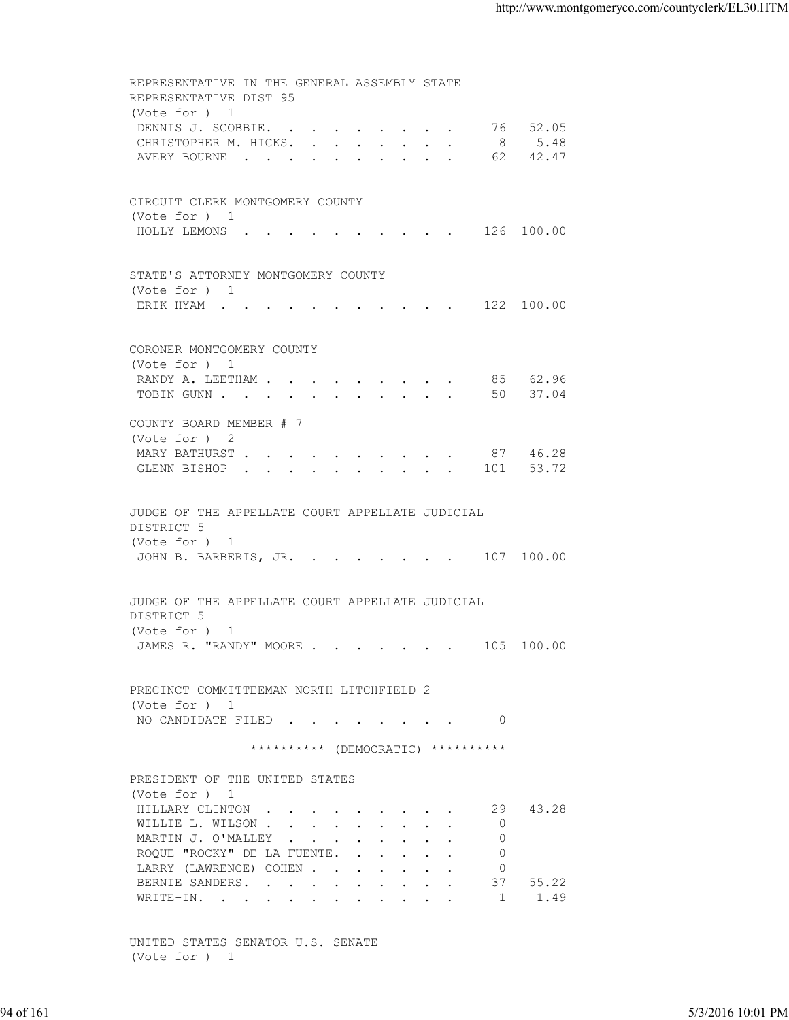REPRESENTATIVE IN THE GENERAL ASSEMBLY STATE REPRESENTATIVE DIST 95 (Vote for ) 1 DENNIS J. SCOBBIE. . . . . . . . . 76 52.05 CHRISTOPHER M. HICKS. . . . . . . . 8 5.48 AVERY BOURNE . . . . . . . . . . 62 42.47 CIRCUIT CLERK MONTGOMERY COUNTY (Vote for ) 1 HOLLY LEMONS . . . . . . . . . . 126 100.00 STATE'S ATTORNEY MONTGOMERY COUNTY (Vote for ) 1 ERIK HYAM . . . . . . . . . . . 122 100.00 CORONER MONTGOMERY COUNTY (Vote for ) 1 RANDY A. LEETHAM . . . . . . . . . . 85 62.96 TOBIN GUNN . . . . . . . . . . . 50 37.04 COUNTY BOARD MEMBER # 7 (Vote for ) 2 MARY BATHURST . . . . . . . . . . 87 46.28 GLENN BISHOP . . . . . . . . . . 101 53.72 JUDGE OF THE APPELLATE COURT APPELLATE JUDICIAL DISTRICT 5 (Vote for ) 1 JOHN B. BARBERIS, JR. . . . . . . . 107 100.00 JUDGE OF THE APPELLATE COURT APPELLATE JUDICIAL DISTRICT 5 (Vote for ) 1 JAMES R. "RANDY" MOORE . . . . . . . 105 100.00 PRECINCT COMMITTEEMAN NORTH LITCHFIELD 2 (Vote for ) 1 NO CANDIDATE FILED . . . . . . . . 0 \*\*\*\*\*\*\*\*\*\* (DEMOCRATIC) \*\*\*\*\*\*\*\*\*\* PRESIDENT OF THE UNITED STATES (Vote for ) 1 HILLARY CLINTON . . . . . . . . . 29 43.28 WILLIE L. WILSON .  $\cdot$  . . . . . . . . 0 MARTIN J. O'MALLEY . . . . . . . . 0 ROQUE "ROCKY" DE LA FUENTE. . . . . . 0 LARRY (LAWRENCE) COHEN . . . . . . . 0<br>BERNIE SANDERS. . . . . . . . . . 37 55.22 BERNIE SANDERS. . . . . . . . . . 37<br>WRITE-IN. . . . . . . . . . . . . . 1 WRITE-IN. . . . . . . . . . . . . 1 1.49 94 of 161 5/3/2016 10:01 PM

 UNITED STATES SENATOR U.S. SENATE (Vote for ) 1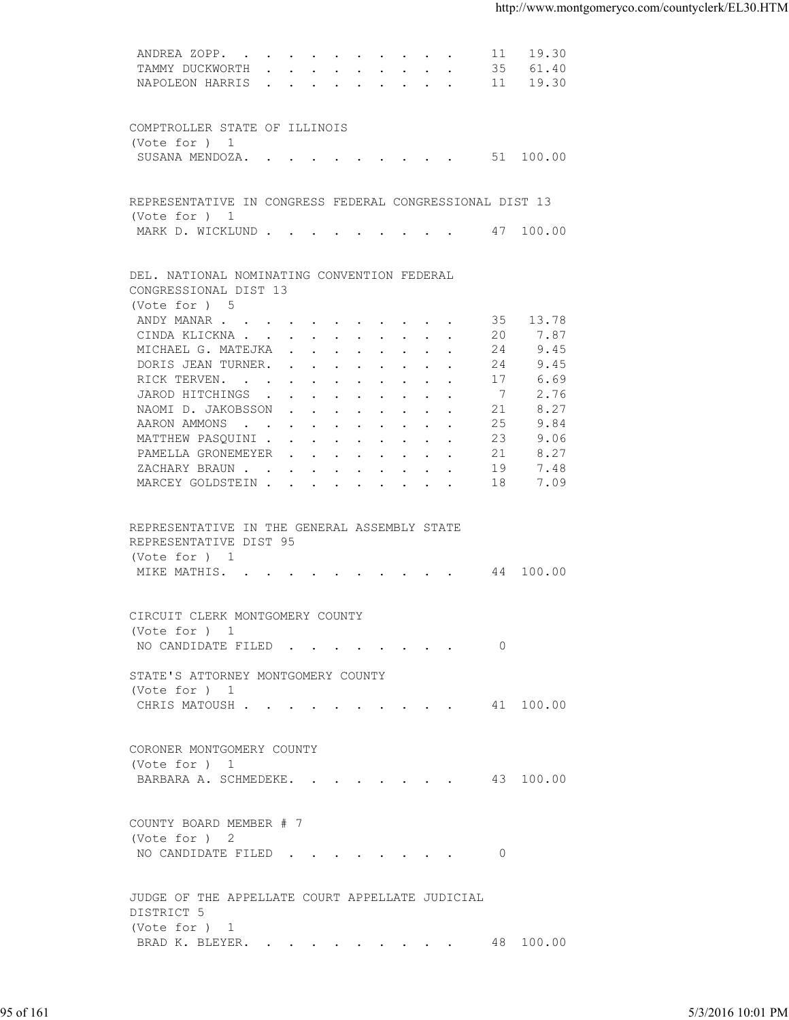| ANDREA ZOPP. 11 19.30                                    |    |          |                   |
|----------------------------------------------------------|----|----------|-------------------|
| TAMMY DUCKWORTH 35 61.40                                 |    |          |                   |
| NAPOLEON HARRIS 11 19.30                                 |    |          |                   |
|                                                          |    |          |                   |
|                                                          |    |          |                   |
| COMPTROLLER STATE OF ILLINOIS                            |    |          |                   |
| (Vote for $)$ 1                                          |    |          |                   |
| SUSANA MENDOZA. 51 100.00                                |    |          |                   |
|                                                          |    |          |                   |
|                                                          |    |          |                   |
| REPRESENTATIVE IN CONGRESS FEDERAL CONGRESSIONAL DIST 13 |    |          |                   |
| (Vote for ) 1                                            |    |          |                   |
| MARK D. WICKLUND 47 100.00                               |    |          |                   |
|                                                          |    |          |                   |
|                                                          |    |          |                   |
| DEL. NATIONAL NOMINATING CONVENTION FEDERAL              |    |          |                   |
| CONGRESSIONAL DIST 13                                    |    |          |                   |
| (Vote for ) 5                                            |    |          |                   |
| ANDY MANAR                                               |    | 35 13.78 |                   |
|                                                          |    |          |                   |
| CINDA KLICKNA                                            | 20 | 7.87     |                   |
| MICHAEL G. MATEJKA                                       | 24 | 9.45     |                   |
| DORIS JEAN TURNER.                                       | 24 | 9.45     |                   |
| RICK TERVEN.                                             | 17 | 6.69     |                   |
| JAROD HITCHINGS                                          | 7  | 2.76     |                   |
| NAOMI D. JAKOBSSON                                       | 21 | 8.27     |                   |
| AARON AMMONS                                             | 25 | 9.84     |                   |
| MATTHEW PASQUINI                                         | 23 | 9.06     |                   |
| PAMELLA GRONEMEYER                                       | 21 | 8.27     |                   |
| ZACHARY BRAUN.                                           | 19 | 7.48     |                   |
| MARCEY GOLDSTEIN                                         | 18 | 7.09     |                   |
|                                                          |    |          |                   |
|                                                          |    |          |                   |
| REPRESENTATIVE IN THE GENERAL ASSEMBLY STATE             |    |          |                   |
| REPRESENTATIVE DIST 95                                   |    |          |                   |
| (Vote for ) 1                                            |    |          |                   |
| MIKE MATHIS. 44 100.00                                   |    |          |                   |
|                                                          |    |          |                   |
|                                                          |    |          |                   |
| CIRCUIT CLERK MONTGOMERY COUNTY                          |    |          |                   |
|                                                          |    |          |                   |
| (Vote for ) 1                                            |    |          |                   |
| NO CANDIDATE FILED 0                                     |    |          |                   |
|                                                          |    |          |                   |
| STATE'S ATTORNEY MONTGOMERY COUNTY                       |    |          |                   |
| (Vote for ) 1                                            |    |          |                   |
| CHRIS MATOUSH 41 100.00                                  |    |          |                   |
|                                                          |    |          |                   |
|                                                          |    |          |                   |
| CORONER MONTGOMERY COUNTY                                |    |          |                   |
| (Vote for ) 1                                            |    |          |                   |
| BARBARA A. SCHMEDEKE. 43 100.00                          |    |          |                   |
|                                                          |    |          |                   |
|                                                          |    |          |                   |
|                                                          |    |          |                   |
| COUNTY BOARD MEMBER # 7                                  |    |          |                   |
| (Vote for ) 2                                            |    |          |                   |
| NO CANDIDATE FILED 0                                     |    |          |                   |
|                                                          |    |          |                   |
|                                                          |    |          |                   |
| JUDGE OF THE APPELLATE COURT APPELLATE JUDICIAL          |    |          |                   |
| DISTRICT 5                                               |    |          |                   |
| (Vote for ) 1                                            |    |          |                   |
| BRAD K. BLEYER. 48 100.00                                |    |          |                   |
|                                                          |    |          |                   |
|                                                          |    |          |                   |
|                                                          |    |          |                   |
|                                                          |    |          |                   |
|                                                          |    |          |                   |
|                                                          |    |          | 5/3/2016 10:01 PM |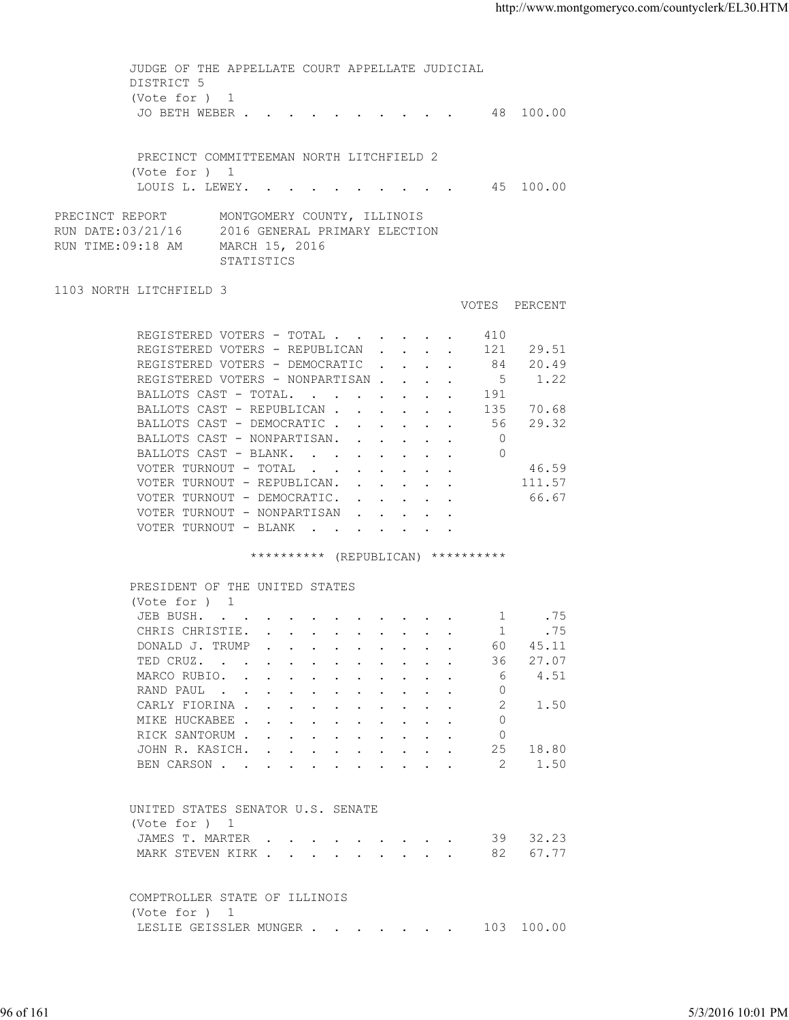| DISTRICT 5<br>(Vote for ) 1<br>JO BETH WEBER 48 100.00<br>PRECINCT COMMITTEEMAN NORTH LITCHFIELD 2<br>(Vote for ) 1<br>LOUIS L. LEWEY. 45 100.00<br>PRECINCT REPORT<br>MONTGOMERY COUNTY, ILLINOIS<br>RUN DATE:03/21/16 2016 GENERAL PRIMARY ELECTION<br>RUN TIME:09:18 AM<br>MARCH 15, 2016<br>STATISTICS<br>1103 NORTH LITCHFIELD 3<br>VOTES PERCENT<br>REGISTERED VOTERS - TOTAL<br>410<br>REGISTERED VOTERS - REPUBLICAN 121 29.51<br>REGISTERED VOTERS - DEMOCRATIC<br>84 20.49<br>REGISTERED VOTERS - NONPARTISAN<br>1.22<br>$5^{\circ}$<br>BALLOTS CAST - TOTAL.<br>191<br>BALLOTS CAST - REPUBLICAN<br>135 70.68<br>56 29.32<br>BALLOTS CAST - DEMOCRATIC<br>BALLOTS CAST - NONPARTISAN.<br>$\overline{0}$<br>BALLOTS CAST - BLANK.<br>$\Omega$<br>VOTER TURNOUT - TOTAL<br>46.59<br>111.57<br>VOTER TURNOUT - REPUBLICAN.<br>VOTER TURNOUT - DEMOCRATIC.<br>66.67<br>VOTER TURNOUT - NONPARTISAN<br>VOTER TURNOUT - BLANK<br>********** (REPUBLICAN) **********<br>PRESIDENT OF THE UNITED STATES<br>(Vote for ) 1<br>JEB BUSH. 1 . 75<br>CHRIS CHRISTIE. 1<br>.75<br>DONALD J. TRUMP<br>60<br>45.11<br>27.07<br>TED CRUZ.<br>36<br>4.51<br>MARCO RUBIO.<br>6<br>$\Omega$<br>RAND PAUL<br>2<br>1.50<br>CARLY FIORINA<br>MIKE HUCKABEE<br>$\Omega$<br>RICK SANTORUM<br>$\circ$<br>25<br>18.80<br>JOHN R. KASICH.<br>-2<br>1.50<br>BEN CARSON<br>UNITED STATES SENATOR U.S. SENATE<br>(Vote for ) 1<br>32.23<br>JAMES T. MARTER<br>39<br>67.77<br>MARK STEVEN KIRK<br>82<br>COMPTROLLER STATE OF ILLINOIS<br>(Vote for ) 1<br>LESLIE GEISSLER MUNGER<br>103 100.00<br>96 of 161<br>5/3/2016 10:01 PM |  |  |
|-------------------------------------------------------------------------------------------------------------------------------------------------------------------------------------------------------------------------------------------------------------------------------------------------------------------------------------------------------------------------------------------------------------------------------------------------------------------------------------------------------------------------------------------------------------------------------------------------------------------------------------------------------------------------------------------------------------------------------------------------------------------------------------------------------------------------------------------------------------------------------------------------------------------------------------------------------------------------------------------------------------------------------------------------------------------------------------------------------------------------------------------------------------------------------------------------------------------------------------------------------------------------------------------------------------------------------------------------------------------------------------------------------------------------------------------------------------------------------------------------------------------------------------------------------------------------------------------------------------|--|--|
|                                                                                                                                                                                                                                                                                                                                                                                                                                                                                                                                                                                                                                                                                                                                                                                                                                                                                                                                                                                                                                                                                                                                                                                                                                                                                                                                                                                                                                                                                                                                                                                                             |  |  |
|                                                                                                                                                                                                                                                                                                                                                                                                                                                                                                                                                                                                                                                                                                                                                                                                                                                                                                                                                                                                                                                                                                                                                                                                                                                                                                                                                                                                                                                                                                                                                                                                             |  |  |
|                                                                                                                                                                                                                                                                                                                                                                                                                                                                                                                                                                                                                                                                                                                                                                                                                                                                                                                                                                                                                                                                                                                                                                                                                                                                                                                                                                                                                                                                                                                                                                                                             |  |  |
|                                                                                                                                                                                                                                                                                                                                                                                                                                                                                                                                                                                                                                                                                                                                                                                                                                                                                                                                                                                                                                                                                                                                                                                                                                                                                                                                                                                                                                                                                                                                                                                                             |  |  |
|                                                                                                                                                                                                                                                                                                                                                                                                                                                                                                                                                                                                                                                                                                                                                                                                                                                                                                                                                                                                                                                                                                                                                                                                                                                                                                                                                                                                                                                                                                                                                                                                             |  |  |
|                                                                                                                                                                                                                                                                                                                                                                                                                                                                                                                                                                                                                                                                                                                                                                                                                                                                                                                                                                                                                                                                                                                                                                                                                                                                                                                                                                                                                                                                                                                                                                                                             |  |  |
|                                                                                                                                                                                                                                                                                                                                                                                                                                                                                                                                                                                                                                                                                                                                                                                                                                                                                                                                                                                                                                                                                                                                                                                                                                                                                                                                                                                                                                                                                                                                                                                                             |  |  |
|                                                                                                                                                                                                                                                                                                                                                                                                                                                                                                                                                                                                                                                                                                                                                                                                                                                                                                                                                                                                                                                                                                                                                                                                                                                                                                                                                                                                                                                                                                                                                                                                             |  |  |
|                                                                                                                                                                                                                                                                                                                                                                                                                                                                                                                                                                                                                                                                                                                                                                                                                                                                                                                                                                                                                                                                                                                                                                                                                                                                                                                                                                                                                                                                                                                                                                                                             |  |  |
|                                                                                                                                                                                                                                                                                                                                                                                                                                                                                                                                                                                                                                                                                                                                                                                                                                                                                                                                                                                                                                                                                                                                                                                                                                                                                                                                                                                                                                                                                                                                                                                                             |  |  |
|                                                                                                                                                                                                                                                                                                                                                                                                                                                                                                                                                                                                                                                                                                                                                                                                                                                                                                                                                                                                                                                                                                                                                                                                                                                                                                                                                                                                                                                                                                                                                                                                             |  |  |
|                                                                                                                                                                                                                                                                                                                                                                                                                                                                                                                                                                                                                                                                                                                                                                                                                                                                                                                                                                                                                                                                                                                                                                                                                                                                                                                                                                                                                                                                                                                                                                                                             |  |  |
|                                                                                                                                                                                                                                                                                                                                                                                                                                                                                                                                                                                                                                                                                                                                                                                                                                                                                                                                                                                                                                                                                                                                                                                                                                                                                                                                                                                                                                                                                                                                                                                                             |  |  |
|                                                                                                                                                                                                                                                                                                                                                                                                                                                                                                                                                                                                                                                                                                                                                                                                                                                                                                                                                                                                                                                                                                                                                                                                                                                                                                                                                                                                                                                                                                                                                                                                             |  |  |
|                                                                                                                                                                                                                                                                                                                                                                                                                                                                                                                                                                                                                                                                                                                                                                                                                                                                                                                                                                                                                                                                                                                                                                                                                                                                                                                                                                                                                                                                                                                                                                                                             |  |  |
|                                                                                                                                                                                                                                                                                                                                                                                                                                                                                                                                                                                                                                                                                                                                                                                                                                                                                                                                                                                                                                                                                                                                                                                                                                                                                                                                                                                                                                                                                                                                                                                                             |  |  |
|                                                                                                                                                                                                                                                                                                                                                                                                                                                                                                                                                                                                                                                                                                                                                                                                                                                                                                                                                                                                                                                                                                                                                                                                                                                                                                                                                                                                                                                                                                                                                                                                             |  |  |
|                                                                                                                                                                                                                                                                                                                                                                                                                                                                                                                                                                                                                                                                                                                                                                                                                                                                                                                                                                                                                                                                                                                                                                                                                                                                                                                                                                                                                                                                                                                                                                                                             |  |  |
|                                                                                                                                                                                                                                                                                                                                                                                                                                                                                                                                                                                                                                                                                                                                                                                                                                                                                                                                                                                                                                                                                                                                                                                                                                                                                                                                                                                                                                                                                                                                                                                                             |  |  |
|                                                                                                                                                                                                                                                                                                                                                                                                                                                                                                                                                                                                                                                                                                                                                                                                                                                                                                                                                                                                                                                                                                                                                                                                                                                                                                                                                                                                                                                                                                                                                                                                             |  |  |
|                                                                                                                                                                                                                                                                                                                                                                                                                                                                                                                                                                                                                                                                                                                                                                                                                                                                                                                                                                                                                                                                                                                                                                                                                                                                                                                                                                                                                                                                                                                                                                                                             |  |  |
|                                                                                                                                                                                                                                                                                                                                                                                                                                                                                                                                                                                                                                                                                                                                                                                                                                                                                                                                                                                                                                                                                                                                                                                                                                                                                                                                                                                                                                                                                                                                                                                                             |  |  |
|                                                                                                                                                                                                                                                                                                                                                                                                                                                                                                                                                                                                                                                                                                                                                                                                                                                                                                                                                                                                                                                                                                                                                                                                                                                                                                                                                                                                                                                                                                                                                                                                             |  |  |
|                                                                                                                                                                                                                                                                                                                                                                                                                                                                                                                                                                                                                                                                                                                                                                                                                                                                                                                                                                                                                                                                                                                                                                                                                                                                                                                                                                                                                                                                                                                                                                                                             |  |  |
|                                                                                                                                                                                                                                                                                                                                                                                                                                                                                                                                                                                                                                                                                                                                                                                                                                                                                                                                                                                                                                                                                                                                                                                                                                                                                                                                                                                                                                                                                                                                                                                                             |  |  |
|                                                                                                                                                                                                                                                                                                                                                                                                                                                                                                                                                                                                                                                                                                                                                                                                                                                                                                                                                                                                                                                                                                                                                                                                                                                                                                                                                                                                                                                                                                                                                                                                             |  |  |
|                                                                                                                                                                                                                                                                                                                                                                                                                                                                                                                                                                                                                                                                                                                                                                                                                                                                                                                                                                                                                                                                                                                                                                                                                                                                                                                                                                                                                                                                                                                                                                                                             |  |  |
|                                                                                                                                                                                                                                                                                                                                                                                                                                                                                                                                                                                                                                                                                                                                                                                                                                                                                                                                                                                                                                                                                                                                                                                                                                                                                                                                                                                                                                                                                                                                                                                                             |  |  |
|                                                                                                                                                                                                                                                                                                                                                                                                                                                                                                                                                                                                                                                                                                                                                                                                                                                                                                                                                                                                                                                                                                                                                                                                                                                                                                                                                                                                                                                                                                                                                                                                             |  |  |
|                                                                                                                                                                                                                                                                                                                                                                                                                                                                                                                                                                                                                                                                                                                                                                                                                                                                                                                                                                                                                                                                                                                                                                                                                                                                                                                                                                                                                                                                                                                                                                                                             |  |  |
|                                                                                                                                                                                                                                                                                                                                                                                                                                                                                                                                                                                                                                                                                                                                                                                                                                                                                                                                                                                                                                                                                                                                                                                                                                                                                                                                                                                                                                                                                                                                                                                                             |  |  |
|                                                                                                                                                                                                                                                                                                                                                                                                                                                                                                                                                                                                                                                                                                                                                                                                                                                                                                                                                                                                                                                                                                                                                                                                                                                                                                                                                                                                                                                                                                                                                                                                             |  |  |
|                                                                                                                                                                                                                                                                                                                                                                                                                                                                                                                                                                                                                                                                                                                                                                                                                                                                                                                                                                                                                                                                                                                                                                                                                                                                                                                                                                                                                                                                                                                                                                                                             |  |  |
|                                                                                                                                                                                                                                                                                                                                                                                                                                                                                                                                                                                                                                                                                                                                                                                                                                                                                                                                                                                                                                                                                                                                                                                                                                                                                                                                                                                                                                                                                                                                                                                                             |  |  |
|                                                                                                                                                                                                                                                                                                                                                                                                                                                                                                                                                                                                                                                                                                                                                                                                                                                                                                                                                                                                                                                                                                                                                                                                                                                                                                                                                                                                                                                                                                                                                                                                             |  |  |
|                                                                                                                                                                                                                                                                                                                                                                                                                                                                                                                                                                                                                                                                                                                                                                                                                                                                                                                                                                                                                                                                                                                                                                                                                                                                                                                                                                                                                                                                                                                                                                                                             |  |  |
|                                                                                                                                                                                                                                                                                                                                                                                                                                                                                                                                                                                                                                                                                                                                                                                                                                                                                                                                                                                                                                                                                                                                                                                                                                                                                                                                                                                                                                                                                                                                                                                                             |  |  |
|                                                                                                                                                                                                                                                                                                                                                                                                                                                                                                                                                                                                                                                                                                                                                                                                                                                                                                                                                                                                                                                                                                                                                                                                                                                                                                                                                                                                                                                                                                                                                                                                             |  |  |
|                                                                                                                                                                                                                                                                                                                                                                                                                                                                                                                                                                                                                                                                                                                                                                                                                                                                                                                                                                                                                                                                                                                                                                                                                                                                                                                                                                                                                                                                                                                                                                                                             |  |  |
|                                                                                                                                                                                                                                                                                                                                                                                                                                                                                                                                                                                                                                                                                                                                                                                                                                                                                                                                                                                                                                                                                                                                                                                                                                                                                                                                                                                                                                                                                                                                                                                                             |  |  |
|                                                                                                                                                                                                                                                                                                                                                                                                                                                                                                                                                                                                                                                                                                                                                                                                                                                                                                                                                                                                                                                                                                                                                                                                                                                                                                                                                                                                                                                                                                                                                                                                             |  |  |
|                                                                                                                                                                                                                                                                                                                                                                                                                                                                                                                                                                                                                                                                                                                                                                                                                                                                                                                                                                                                                                                                                                                                                                                                                                                                                                                                                                                                                                                                                                                                                                                                             |  |  |
|                                                                                                                                                                                                                                                                                                                                                                                                                                                                                                                                                                                                                                                                                                                                                                                                                                                                                                                                                                                                                                                                                                                                                                                                                                                                                                                                                                                                                                                                                                                                                                                                             |  |  |
|                                                                                                                                                                                                                                                                                                                                                                                                                                                                                                                                                                                                                                                                                                                                                                                                                                                                                                                                                                                                                                                                                                                                                                                                                                                                                                                                                                                                                                                                                                                                                                                                             |  |  |
|                                                                                                                                                                                                                                                                                                                                                                                                                                                                                                                                                                                                                                                                                                                                                                                                                                                                                                                                                                                                                                                                                                                                                                                                                                                                                                                                                                                                                                                                                                                                                                                                             |  |  |
|                                                                                                                                                                                                                                                                                                                                                                                                                                                                                                                                                                                                                                                                                                                                                                                                                                                                                                                                                                                                                                                                                                                                                                                                                                                                                                                                                                                                                                                                                                                                                                                                             |  |  |
|                                                                                                                                                                                                                                                                                                                                                                                                                                                                                                                                                                                                                                                                                                                                                                                                                                                                                                                                                                                                                                                                                                                                                                                                                                                                                                                                                                                                                                                                                                                                                                                                             |  |  |
|                                                                                                                                                                                                                                                                                                                                                                                                                                                                                                                                                                                                                                                                                                                                                                                                                                                                                                                                                                                                                                                                                                                                                                                                                                                                                                                                                                                                                                                                                                                                                                                                             |  |  |
|                                                                                                                                                                                                                                                                                                                                                                                                                                                                                                                                                                                                                                                                                                                                                                                                                                                                                                                                                                                                                                                                                                                                                                                                                                                                                                                                                                                                                                                                                                                                                                                                             |  |  |
|                                                                                                                                                                                                                                                                                                                                                                                                                                                                                                                                                                                                                                                                                                                                                                                                                                                                                                                                                                                                                                                                                                                                                                                                                                                                                                                                                                                                                                                                                                                                                                                                             |  |  |
|                                                                                                                                                                                                                                                                                                                                                                                                                                                                                                                                                                                                                                                                                                                                                                                                                                                                                                                                                                                                                                                                                                                                                                                                                                                                                                                                                                                                                                                                                                                                                                                                             |  |  |
|                                                                                                                                                                                                                                                                                                                                                                                                                                                                                                                                                                                                                                                                                                                                                                                                                                                                                                                                                                                                                                                                                                                                                                                                                                                                                                                                                                                                                                                                                                                                                                                                             |  |  |
|                                                                                                                                                                                                                                                                                                                                                                                                                                                                                                                                                                                                                                                                                                                                                                                                                                                                                                                                                                                                                                                                                                                                                                                                                                                                                                                                                                                                                                                                                                                                                                                                             |  |  |
|                                                                                                                                                                                                                                                                                                                                                                                                                                                                                                                                                                                                                                                                                                                                                                                                                                                                                                                                                                                                                                                                                                                                                                                                                                                                                                                                                                                                                                                                                                                                                                                                             |  |  |
|                                                                                                                                                                                                                                                                                                                                                                                                                                                                                                                                                                                                                                                                                                                                                                                                                                                                                                                                                                                                                                                                                                                                                                                                                                                                                                                                                                                                                                                                                                                                                                                                             |  |  |
|                                                                                                                                                                                                                                                                                                                                                                                                                                                                                                                                                                                                                                                                                                                                                                                                                                                                                                                                                                                                                                                                                                                                                                                                                                                                                                                                                                                                                                                                                                                                                                                                             |  |  |
|                                                                                                                                                                                                                                                                                                                                                                                                                                                                                                                                                                                                                                                                                                                                                                                                                                                                                                                                                                                                                                                                                                                                                                                                                                                                                                                                                                                                                                                                                                                                                                                                             |  |  |
|                                                                                                                                                                                                                                                                                                                                                                                                                                                                                                                                                                                                                                                                                                                                                                                                                                                                                                                                                                                                                                                                                                                                                                                                                                                                                                                                                                                                                                                                                                                                                                                                             |  |  |
|                                                                                                                                                                                                                                                                                                                                                                                                                                                                                                                                                                                                                                                                                                                                                                                                                                                                                                                                                                                                                                                                                                                                                                                                                                                                                                                                                                                                                                                                                                                                                                                                             |  |  |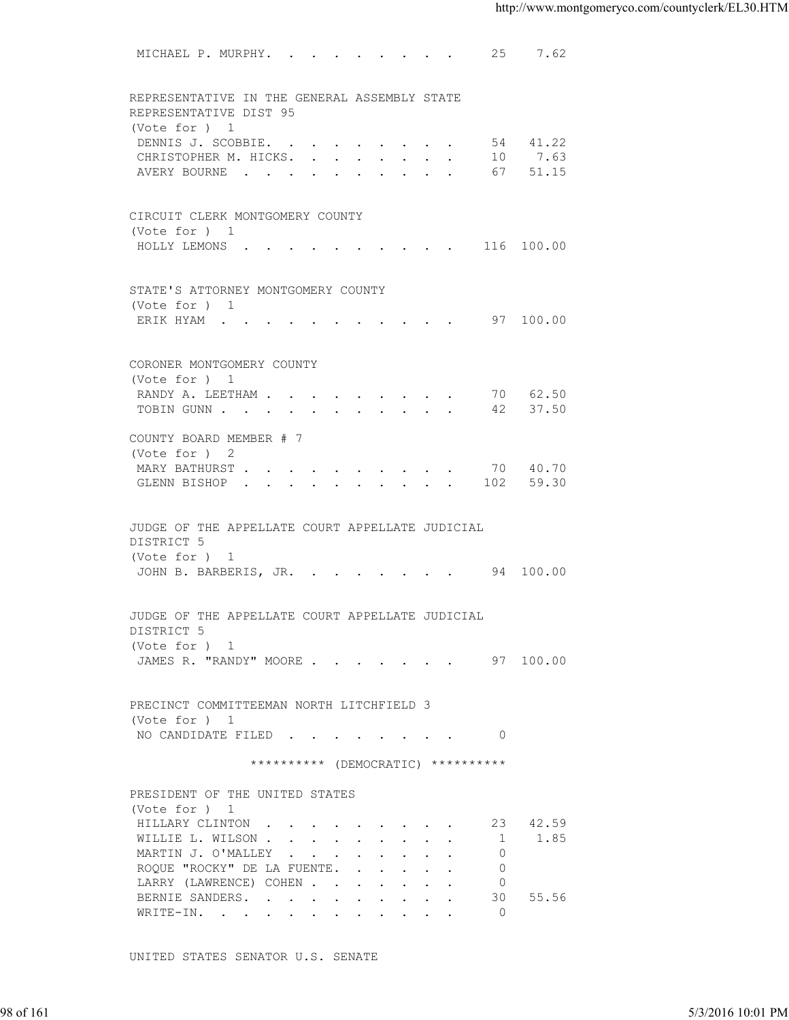| REPRESENTATIVE IN THE GENERAL ASSEMBLY STATE<br>REPRESENTATIVE DIST 95<br>(Vote for ) 1<br>54 41.22<br>DENNIS J. SCOBBIE.<br>CHRISTOPHER M. HICKS. 10 7.63<br>AVERY BOURNE 67 51.15<br>CIRCUIT CLERK MONTGOMERY COUNTY<br>(Vote for ) 1<br>HOLLY LEMONS 116 100.00<br>STATE'S ATTORNEY MONTGOMERY COUNTY<br>(Vote for ) 1<br>ERIK HYAM 97 100.00<br>CORONER MONTGOMERY COUNTY<br>(Vote for ) 1<br>RANDY A. LEETHAM 70 62.50<br>TOBIN GUNN 42 37.50<br>COUNTY BOARD MEMBER # 7<br>(Vote for ) 2<br>MARY BATHURST 70 40.70<br>GLENN BISHOP 102 59.30<br>JUDGE OF THE APPELLATE COURT APPELLATE JUDICIAL<br>DISTRICT 5<br>(Vote for ) 1<br>JOHN B. BARBERIS, JR. 94 100.00<br>JUDGE OF THE APPELLATE COURT APPELLATE JUDICIAL<br>DISTRICT 5<br>(Vote for $)$ 1<br>JAMES R. "RANDY" MOORE 97 100.00<br>PRECINCT COMMITTEEMAN NORTH LITCHFIELD 3<br>(Vote for ) 1<br>NO CANDIDATE FILED 0<br>********** (DEMOCRATIC) **********<br>PRESIDENT OF THE UNITED STATES<br>(Vote for ) 1<br>HILLARY CLINTON<br>23 42.59<br>1.85<br>WILLIE L. WILSON<br>$\overline{1}$<br>MARTIN J. O'MALLEY<br>$\circ$<br>ROQUE "ROCKY" DE LA FUENTE.<br>0<br>LARRY (LAWRENCE) COHEN<br>$\circ$<br>BERNIE SANDERS.<br>30 55.56<br>WRITE-IN.<br>$\bigcap$<br>UNITED STATES SENATOR U.S. SENATE<br>5/3/2016 10:01 PM | 98 of 161 |  |  |
|-----------------------------------------------------------------------------------------------------------------------------------------------------------------------------------------------------------------------------------------------------------------------------------------------------------------------------------------------------------------------------------------------------------------------------------------------------------------------------------------------------------------------------------------------------------------------------------------------------------------------------------------------------------------------------------------------------------------------------------------------------------------------------------------------------------------------------------------------------------------------------------------------------------------------------------------------------------------------------------------------------------------------------------------------------------------------------------------------------------------------------------------------------------------------------------------------------------------------------------------------------------------------------------------|-----------|--|--|
|                                                                                                                                                                                                                                                                                                                                                                                                                                                                                                                                                                                                                                                                                                                                                                                                                                                                                                                                                                                                                                                                                                                                                                                                                                                                                         |           |  |  |
|                                                                                                                                                                                                                                                                                                                                                                                                                                                                                                                                                                                                                                                                                                                                                                                                                                                                                                                                                                                                                                                                                                                                                                                                                                                                                         |           |  |  |
|                                                                                                                                                                                                                                                                                                                                                                                                                                                                                                                                                                                                                                                                                                                                                                                                                                                                                                                                                                                                                                                                                                                                                                                                                                                                                         |           |  |  |
|                                                                                                                                                                                                                                                                                                                                                                                                                                                                                                                                                                                                                                                                                                                                                                                                                                                                                                                                                                                                                                                                                                                                                                                                                                                                                         |           |  |  |
|                                                                                                                                                                                                                                                                                                                                                                                                                                                                                                                                                                                                                                                                                                                                                                                                                                                                                                                                                                                                                                                                                                                                                                                                                                                                                         |           |  |  |
|                                                                                                                                                                                                                                                                                                                                                                                                                                                                                                                                                                                                                                                                                                                                                                                                                                                                                                                                                                                                                                                                                                                                                                                                                                                                                         |           |  |  |
|                                                                                                                                                                                                                                                                                                                                                                                                                                                                                                                                                                                                                                                                                                                                                                                                                                                                                                                                                                                                                                                                                                                                                                                                                                                                                         |           |  |  |
|                                                                                                                                                                                                                                                                                                                                                                                                                                                                                                                                                                                                                                                                                                                                                                                                                                                                                                                                                                                                                                                                                                                                                                                                                                                                                         |           |  |  |
|                                                                                                                                                                                                                                                                                                                                                                                                                                                                                                                                                                                                                                                                                                                                                                                                                                                                                                                                                                                                                                                                                                                                                                                                                                                                                         |           |  |  |
|                                                                                                                                                                                                                                                                                                                                                                                                                                                                                                                                                                                                                                                                                                                                                                                                                                                                                                                                                                                                                                                                                                                                                                                                                                                                                         |           |  |  |
|                                                                                                                                                                                                                                                                                                                                                                                                                                                                                                                                                                                                                                                                                                                                                                                                                                                                                                                                                                                                                                                                                                                                                                                                                                                                                         |           |  |  |
|                                                                                                                                                                                                                                                                                                                                                                                                                                                                                                                                                                                                                                                                                                                                                                                                                                                                                                                                                                                                                                                                                                                                                                                                                                                                                         |           |  |  |
|                                                                                                                                                                                                                                                                                                                                                                                                                                                                                                                                                                                                                                                                                                                                                                                                                                                                                                                                                                                                                                                                                                                                                                                                                                                                                         |           |  |  |
|                                                                                                                                                                                                                                                                                                                                                                                                                                                                                                                                                                                                                                                                                                                                                                                                                                                                                                                                                                                                                                                                                                                                                                                                                                                                                         |           |  |  |
|                                                                                                                                                                                                                                                                                                                                                                                                                                                                                                                                                                                                                                                                                                                                                                                                                                                                                                                                                                                                                                                                                                                                                                                                                                                                                         |           |  |  |
|                                                                                                                                                                                                                                                                                                                                                                                                                                                                                                                                                                                                                                                                                                                                                                                                                                                                                                                                                                                                                                                                                                                                                                                                                                                                                         |           |  |  |
|                                                                                                                                                                                                                                                                                                                                                                                                                                                                                                                                                                                                                                                                                                                                                                                                                                                                                                                                                                                                                                                                                                                                                                                                                                                                                         |           |  |  |
|                                                                                                                                                                                                                                                                                                                                                                                                                                                                                                                                                                                                                                                                                                                                                                                                                                                                                                                                                                                                                                                                                                                                                                                                                                                                                         |           |  |  |
|                                                                                                                                                                                                                                                                                                                                                                                                                                                                                                                                                                                                                                                                                                                                                                                                                                                                                                                                                                                                                                                                                                                                                                                                                                                                                         |           |  |  |
|                                                                                                                                                                                                                                                                                                                                                                                                                                                                                                                                                                                                                                                                                                                                                                                                                                                                                                                                                                                                                                                                                                                                                                                                                                                                                         |           |  |  |
|                                                                                                                                                                                                                                                                                                                                                                                                                                                                                                                                                                                                                                                                                                                                                                                                                                                                                                                                                                                                                                                                                                                                                                                                                                                                                         |           |  |  |
|                                                                                                                                                                                                                                                                                                                                                                                                                                                                                                                                                                                                                                                                                                                                                                                                                                                                                                                                                                                                                                                                                                                                                                                                                                                                                         |           |  |  |
|                                                                                                                                                                                                                                                                                                                                                                                                                                                                                                                                                                                                                                                                                                                                                                                                                                                                                                                                                                                                                                                                                                                                                                                                                                                                                         |           |  |  |
|                                                                                                                                                                                                                                                                                                                                                                                                                                                                                                                                                                                                                                                                                                                                                                                                                                                                                                                                                                                                                                                                                                                                                                                                                                                                                         |           |  |  |
|                                                                                                                                                                                                                                                                                                                                                                                                                                                                                                                                                                                                                                                                                                                                                                                                                                                                                                                                                                                                                                                                                                                                                                                                                                                                                         |           |  |  |
|                                                                                                                                                                                                                                                                                                                                                                                                                                                                                                                                                                                                                                                                                                                                                                                                                                                                                                                                                                                                                                                                                                                                                                                                                                                                                         |           |  |  |
|                                                                                                                                                                                                                                                                                                                                                                                                                                                                                                                                                                                                                                                                                                                                                                                                                                                                                                                                                                                                                                                                                                                                                                                                                                                                                         |           |  |  |
|                                                                                                                                                                                                                                                                                                                                                                                                                                                                                                                                                                                                                                                                                                                                                                                                                                                                                                                                                                                                                                                                                                                                                                                                                                                                                         |           |  |  |
|                                                                                                                                                                                                                                                                                                                                                                                                                                                                                                                                                                                                                                                                                                                                                                                                                                                                                                                                                                                                                                                                                                                                                                                                                                                                                         |           |  |  |
|                                                                                                                                                                                                                                                                                                                                                                                                                                                                                                                                                                                                                                                                                                                                                                                                                                                                                                                                                                                                                                                                                                                                                                                                                                                                                         |           |  |  |
|                                                                                                                                                                                                                                                                                                                                                                                                                                                                                                                                                                                                                                                                                                                                                                                                                                                                                                                                                                                                                                                                                                                                                                                                                                                                                         |           |  |  |
|                                                                                                                                                                                                                                                                                                                                                                                                                                                                                                                                                                                                                                                                                                                                                                                                                                                                                                                                                                                                                                                                                                                                                                                                                                                                                         |           |  |  |
|                                                                                                                                                                                                                                                                                                                                                                                                                                                                                                                                                                                                                                                                                                                                                                                                                                                                                                                                                                                                                                                                                                                                                                                                                                                                                         |           |  |  |
|                                                                                                                                                                                                                                                                                                                                                                                                                                                                                                                                                                                                                                                                                                                                                                                                                                                                                                                                                                                                                                                                                                                                                                                                                                                                                         |           |  |  |
|                                                                                                                                                                                                                                                                                                                                                                                                                                                                                                                                                                                                                                                                                                                                                                                                                                                                                                                                                                                                                                                                                                                                                                                                                                                                                         |           |  |  |
|                                                                                                                                                                                                                                                                                                                                                                                                                                                                                                                                                                                                                                                                                                                                                                                                                                                                                                                                                                                                                                                                                                                                                                                                                                                                                         |           |  |  |
|                                                                                                                                                                                                                                                                                                                                                                                                                                                                                                                                                                                                                                                                                                                                                                                                                                                                                                                                                                                                                                                                                                                                                                                                                                                                                         |           |  |  |
|                                                                                                                                                                                                                                                                                                                                                                                                                                                                                                                                                                                                                                                                                                                                                                                                                                                                                                                                                                                                                                                                                                                                                                                                                                                                                         |           |  |  |
|                                                                                                                                                                                                                                                                                                                                                                                                                                                                                                                                                                                                                                                                                                                                                                                                                                                                                                                                                                                                                                                                                                                                                                                                                                                                                         |           |  |  |
|                                                                                                                                                                                                                                                                                                                                                                                                                                                                                                                                                                                                                                                                                                                                                                                                                                                                                                                                                                                                                                                                                                                                                                                                                                                                                         |           |  |  |
|                                                                                                                                                                                                                                                                                                                                                                                                                                                                                                                                                                                                                                                                                                                                                                                                                                                                                                                                                                                                                                                                                                                                                                                                                                                                                         |           |  |  |
|                                                                                                                                                                                                                                                                                                                                                                                                                                                                                                                                                                                                                                                                                                                                                                                                                                                                                                                                                                                                                                                                                                                                                                                                                                                                                         |           |  |  |
|                                                                                                                                                                                                                                                                                                                                                                                                                                                                                                                                                                                                                                                                                                                                                                                                                                                                                                                                                                                                                                                                                                                                                                                                                                                                                         |           |  |  |
|                                                                                                                                                                                                                                                                                                                                                                                                                                                                                                                                                                                                                                                                                                                                                                                                                                                                                                                                                                                                                                                                                                                                                                                                                                                                                         |           |  |  |
|                                                                                                                                                                                                                                                                                                                                                                                                                                                                                                                                                                                                                                                                                                                                                                                                                                                                                                                                                                                                                                                                                                                                                                                                                                                                                         |           |  |  |
|                                                                                                                                                                                                                                                                                                                                                                                                                                                                                                                                                                                                                                                                                                                                                                                                                                                                                                                                                                                                                                                                                                                                                                                                                                                                                         |           |  |  |
|                                                                                                                                                                                                                                                                                                                                                                                                                                                                                                                                                                                                                                                                                                                                                                                                                                                                                                                                                                                                                                                                                                                                                                                                                                                                                         |           |  |  |
|                                                                                                                                                                                                                                                                                                                                                                                                                                                                                                                                                                                                                                                                                                                                                                                                                                                                                                                                                                                                                                                                                                                                                                                                                                                                                         |           |  |  |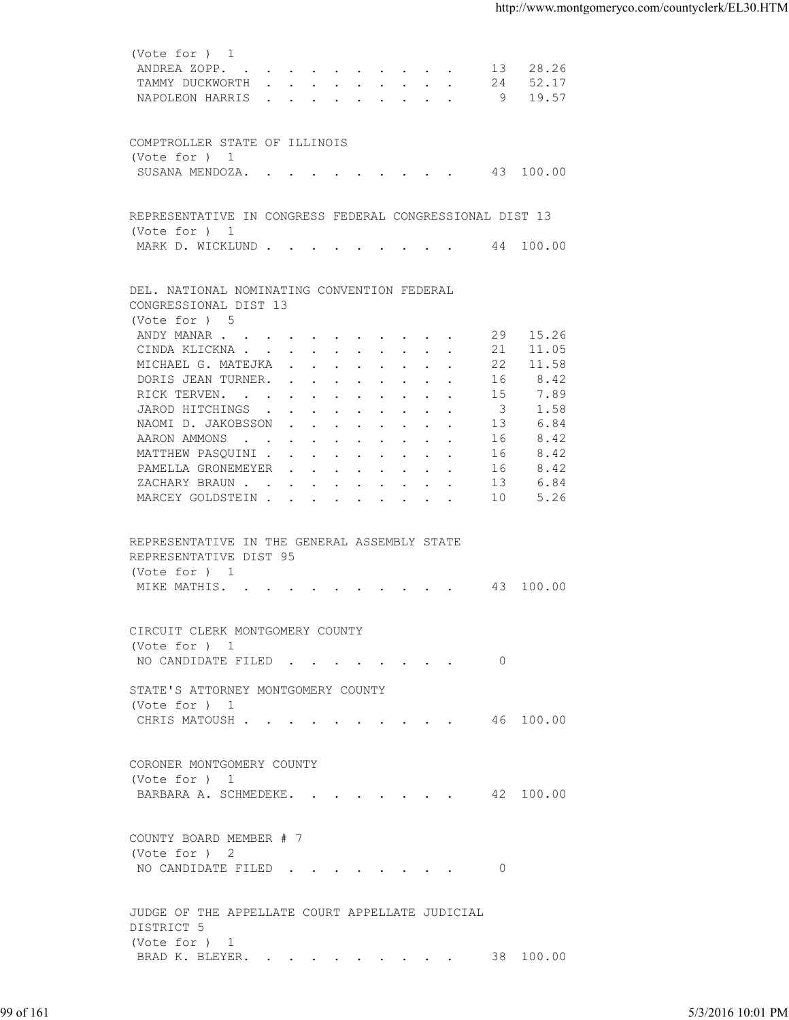|           | (Vote for ) 1                                            |                         |          |                   |
|-----------|----------------------------------------------------------|-------------------------|----------|-------------------|
|           | ANDREA ZOPP. 13 28.26                                    |                         |          |                   |
|           | TAMMY DUCKWORTH 24 52.17                                 |                         |          |                   |
|           | NAPOLEON HARRIS 9 19.57                                  |                         |          |                   |
|           |                                                          |                         |          |                   |
|           |                                                          |                         |          |                   |
|           | COMPTROLLER STATE OF ILLINOIS<br>(Vote for ) 1           |                         |          |                   |
|           | SUSANA MENDOZA. 43 100.00                                |                         |          |                   |
|           |                                                          |                         |          |                   |
|           |                                                          |                         |          |                   |
|           | REPRESENTATIVE IN CONGRESS FEDERAL CONGRESSIONAL DIST 13 |                         |          |                   |
|           | (Vote for ) 1                                            |                         |          |                   |
|           | MARK D. WICKLUND 44 100.00                               |                         |          |                   |
|           |                                                          |                         |          |                   |
|           | DEL. NATIONAL NOMINATING CONVENTION FEDERAL              |                         |          |                   |
|           | CONGRESSIONAL DIST 13                                    |                         |          |                   |
|           | (Vote for ) 5                                            |                         |          |                   |
|           | ANDY MANAR                                               |                         | 29 15.26 |                   |
|           | CINDA KLICKNA 21 11.05                                   |                         |          |                   |
|           | MICHAEL G. MATEJKA                                       |                         | 22 11.58 |                   |
|           | DORIS JEAN TURNER.                                       | 16                      | 8.42     |                   |
|           | RICK TERVEN.                                             | 15                      | 7.89     |                   |
|           | JAROD HITCHINGS                                          | $\overline{\mathbf{3}}$ | 1.58     |                   |
|           | NAOMI D. JAKOBSSON                                       | 13                      | 6.84     |                   |
|           | AARON AMMONS                                             | 16                      | 8.42     |                   |
|           | MATTHEW PASQUINI                                         | 16                      | 8.42     |                   |
|           | PAMELLA GRONEMEYER                                       | 16                      | 8.42     |                   |
|           | ZACHARY BRAUN                                            | 13                      | 6.84     |                   |
|           | MARCEY GOLDSTEIN 10                                      |                         | 5.26     |                   |
|           |                                                          |                         |          |                   |
|           |                                                          |                         |          |                   |
|           | REPRESENTATIVE IN THE GENERAL ASSEMBLY STATE             |                         |          |                   |
|           | REPRESENTATIVE DIST 95                                   |                         |          |                   |
|           | (Vote for ) 1                                            |                         |          |                   |
|           | MIKE MATHIS. 43 100.00                                   |                         |          |                   |
|           |                                                          |                         |          |                   |
|           | CIRCUIT CLERK MONTGOMERY COUNTY                          |                         |          |                   |
|           | (Vote for ) 1                                            |                         |          |                   |
|           | NO CANDIDATE FILED 0                                     |                         |          |                   |
|           |                                                          |                         |          |                   |
|           | STATE'S ATTORNEY MONTGOMERY COUNTY                       |                         |          |                   |
|           | (Vote for ) 1                                            |                         |          |                   |
|           | CHRIS MATOUSH 46 100.00                                  |                         |          |                   |
|           |                                                          |                         |          |                   |
|           |                                                          |                         |          |                   |
|           | CORONER MONTGOMERY COUNTY                                |                         |          |                   |
|           | (Vote for ) 1                                            |                         |          |                   |
|           | BARBARA A. SCHMEDEKE. 42 100.00                          |                         |          |                   |
|           |                                                          |                         |          |                   |
|           | COUNTY BOARD MEMBER # 7                                  |                         |          |                   |
|           | (Vote for ) 2                                            |                         |          |                   |
|           | NO CANDIDATE FILED 0                                     |                         |          |                   |
|           |                                                          |                         |          |                   |
|           | JUDGE OF THE APPELLATE COURT APPELLATE JUDICIAL          |                         |          |                   |
|           | DISTRICT 5                                               |                         |          |                   |
|           |                                                          |                         |          |                   |
|           | (Vote for ) 1<br>BRAD K. BLEYER. 38 100.00               |                         |          |                   |
|           |                                                          |                         |          |                   |
|           |                                                          |                         |          |                   |
| 99 of 161 |                                                          |                         |          | 5/3/2016 10:01 PM |
|           |                                                          |                         |          |                   |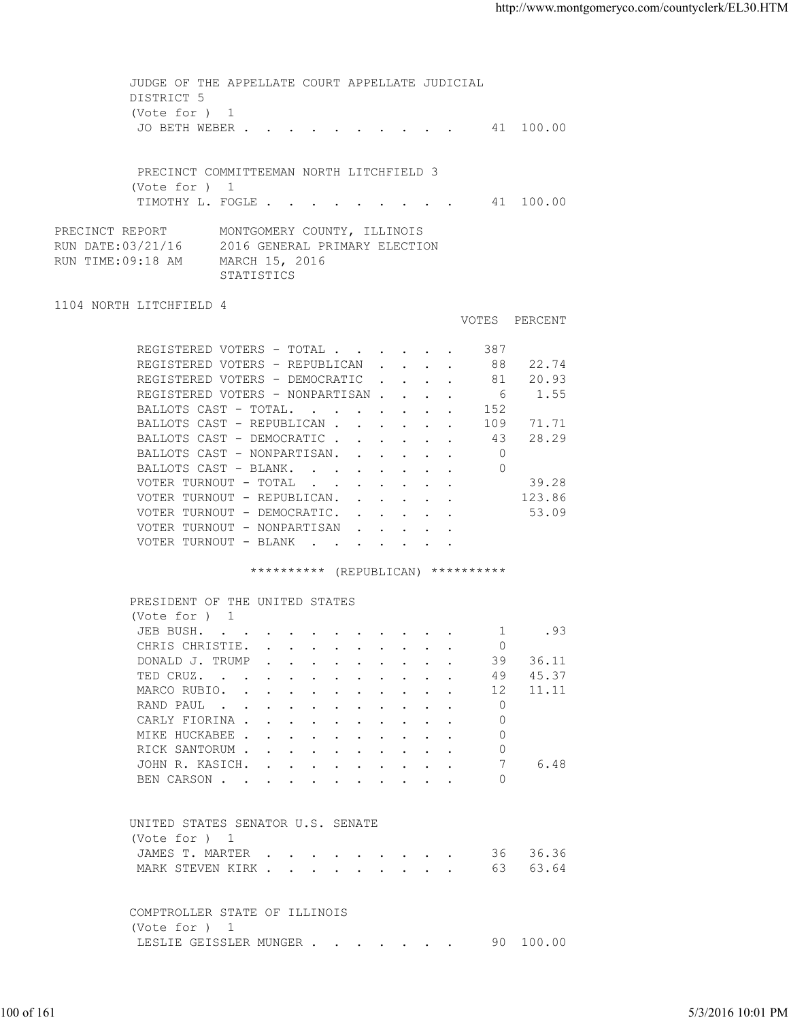JUDGE OF THE APPELLATE COURT APPELLATE JUDICIAL DISTRICT 5 (Vote for ) 1 JO BETH WEBER . . . . . . . . . . 41 100.00 PRECINCT COMMITTEEMAN NORTH LITCHFIELD 3 (Vote for ) 1 TIMOTHY L. FOGLE . . . . . . . . . 41 100.00 PRECINCT REPORT MONTGOMERY COUNTY, ILLINOIS RUN DATE:03/21/16 2016 GENERAL PRIMARY ELECTION RUN TIME:09:18 AM MARCH 15, 2016 STATISTICS 1104 NORTH LITCHFIELD 4 VOTES PERCENT REGISTERED VOTERS - TOTAL . . . . . . 387 REGISTERED VOTERS - REPUBLICAN . . . . 88 22.74 REGISTERED VOTERS - DEMOCRATIC . . . . 81 20.93 REGISTERED VOTERS - NONPARTISAN . . . . 6 1.55 BALLOTS CAST - TOTAL. . . . . . . . 152 BALLOTS CAST - REPUBLICAN . . . . . . 109 71.71<br>BALLOTS CAST - DEMOCRATIC . . . . . . 43 28.29 BALLOTS CAST - DEMOCRATIC . . . . . . 43<br>BALLOTS CAST - NONPARTISAN. . . . . . 0 BALLOTS CAST - NONPARTISAN. . . . . . BALLOTS CAST - BLANK. . . . . . . . 0 VOTER TURNOUT - TOTAL . . . . . . . . 39.28 VOTER TURNOUT - REPUBLICAN. . . . . . 123.86 VOTER TURNOUT - DEMOCRATIC. . . . . . 53.09 VOTER TURNOUT - NONPARTISAN . . . . VOTER TURNOUT - BLANK . . . \*\*\*\*\*\*\*\*\*\* (REPUBLICAN) \*\*\*\*\*\*\*\*\*\* PRESIDENT OF THE UNITED STATES (Vote for ) 1<br>JEB BUSH. . . . . . . . . . . . 1 .93 JEB BUSH. . . . . . . . . . . . . CHRIS CHRISTIE. . . . . . . . . . 0 DONALD J. TRUMP . . . . . . . . . . 39 36.11 TED CRUZ. . . . . . . . . . . . 49 45.37 MARCO RUBIO. . . . . . . . . . . 12 11.11 RAND PAUL . . . . . . . . . . . 0 CARLY FIORINA . . . . . . . . . . 0 MIKE HUCKABEE . . . . . . . . . . 0 RICK SANTORUM . . . . . . . . . . 0 JOHN R. KASICH. . . . . . . . . . 7 6.48 BEN CARSON . . . . . . . . . . . 0 UNITED STATES SENATOR U.S. SENATE (Vote for ) 1 JAMES T. MARTER . . . . . . . . . . 36 36.36 MARK STEVEN KIRK . . . . . . . . . . 63 63.64 COMPTROLLER STATE OF ILLINOIS (Vote for ) 1 LESLIE GEISSLER MUNGER . . . . . . . 90 100.00 100 of 161 5/3/2016 10:01 PM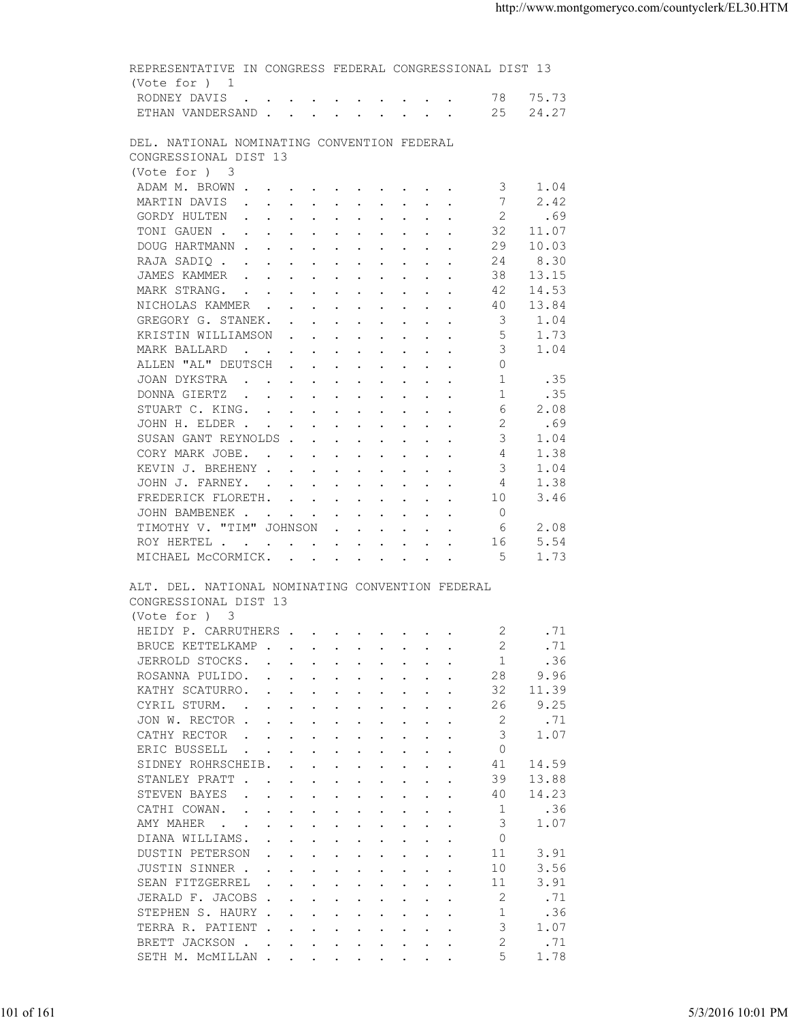| DEL. NATIONAL NOMINATING CONVENTION FEDERAL<br>CONGRESSIONAL DIST 13<br>(Vote for ) 3<br>ADAM M. BROWN<br>3<br>1.04<br>2.42<br>MARTIN DAVIS<br>2<br>GORDY HULTEN<br>.69<br>TONI GAUEN<br>32<br>11.07<br>DOUG HARTMANN<br>29<br>10.03<br>24<br>8.30<br>RAJA SADIQ<br>JAMES KAMMER<br>38<br>13.15<br>14.53<br>MARK STRANG.<br>42<br>NICHOLAS KAMMER<br>13.84<br>40<br>GREGORY G. STANEK.<br>- 3<br>1.04<br>-5<br>1.73<br>KRISTIN WILLIAMSON<br>MARK BALLARD<br>3<br>1.04<br>ALLEN "AL" DEUTSCH<br>$\circ$<br>JOAN DYKSTRA<br>1<br>.35<br>$\mathbf{1}$<br>.35<br>DONNA GIERTZ<br>6<br>2.08<br>STUART C. KING.<br>2<br>JOHN H. ELDER<br>.69<br>3<br>SUSAN GANT REYNOLDS<br>1.04<br>$\overline{4}$<br>CORY MARK JOBE.<br>1.38<br>3<br>1.04<br>KEVIN J. BREHENY<br>JOHN J. FARNEY.<br>1.38<br>4<br>3.46<br>FREDERICK FLORETH.<br>10<br>$\overline{0}$<br>JOHN BAMBENEK<br>2.08<br>TIMOTHY V. "TIM" JOHNSON<br>- 6<br>ROY HERTEL<br>5.54<br>16<br>1.73<br>MICHAEL MCCORMICK.<br>- 5<br>ALT. DEL. NATIONAL NOMINATING CONVENTION FEDERAL<br>CONGRESSIONAL DIST 13<br>(Vote for ) 3<br>HEIDY P. CARRUTHERS 2<br>.71<br>2<br>.71<br>BRUCE KETTELKAMP<br>-1<br>.36<br>JERROLD STOCKS.<br>$\mathbf{r}$ , and $\mathbf{r}$ , and $\mathbf{r}$ , and $\mathbf{r}$<br>28<br>9.96<br>ROSANNA PULIDO.<br>32<br>KATHY SCATURRO.<br>11.39<br>26<br>9.25<br>CYRIL STURM.<br>$\mathbf{r} = \mathbf{r} + \mathbf{r} + \mathbf{r} + \mathbf{r} + \mathbf{r} + \mathbf{r} + \mathbf{r} + \mathbf{r} + \mathbf{r} + \mathbf{r} + \mathbf{r} + \mathbf{r} + \mathbf{r} + \mathbf{r} + \mathbf{r} + \mathbf{r} + \mathbf{r} + \mathbf{r} + \mathbf{r} + \mathbf{r} + \mathbf{r} + \mathbf{r} + \mathbf{r} + \mathbf{r} + \mathbf{r} + \mathbf{r} + \mathbf{r} + \mathbf{r} + \mathbf{r} + \mathbf{r} + \mathbf$<br>JON W. RECTOR<br>2<br>.71<br>3<br>1.07<br>CATHY RECTOR<br>the contract of the contract of the contract of the contract of the contract of the contract of the contract of<br>ERIC BUSSELL<br>$\circ$<br>$\mathbf{r}$ . The contract of the contract of the contract of the contract of the contract of the contract of the contract of the contract of the contract of the contract of the contract of the contract of the contract of th<br>$\sim 10^{-10}$ and $\sim 10^{-10}$<br>$\sim$<br>SIDNEY ROHRSCHEIB.<br>41<br>14.59<br>$\sim$ $\sim$<br>$\ddot{\phantom{a}}$<br>$\ddot{\phantom{a}}$<br>39<br>13.88<br>STANLEY PRATT<br>$\mathbf{r}$ . The set of $\mathbf{r}$<br>$\mathbf{r} = \mathbf{r} + \mathbf{r} + \mathbf{r} + \mathbf{r} + \mathbf{r} + \mathbf{r}$<br>$\sim$<br>STEVEN BAYES<br>40<br>14.23<br>$\cdot$ $\cdot$<br>$\mathbf{r}$ , and $\mathbf{r}$ , and $\mathbf{r}$ , and $\mathbf{r}$<br>$\sim$<br>$\sim$<br>CATHI COWAN.<br>-1<br>.36<br>$\mathbf{L} = \mathbf{L}$<br>the contract of the contract of the contract of the contract of the contract of the contract of the contract of<br>3<br>1.07<br>AMY MAHER<br>$\mathbf{r}$ , and $\mathbf{r}$ , and $\mathbf{r}$ , and $\mathbf{r}$<br>$\sim$ $\sim$<br>$\ddot{\phantom{0}}$<br>$\circ$<br>DIANA WILLIAMS.<br>$\mathbf{r}$ , and $\mathbf{r}$ , and $\mathbf{r}$ , and $\mathbf{r}$<br>11<br>3.91<br><b>DUSTIN PETERSON</b><br>$\mathbf{r} = \mathbf{r} - \mathbf{r}$ , and $\mathbf{r} = \mathbf{r} - \mathbf{r}$ , and $\mathbf{r} = \mathbf{r} - \mathbf{r}$<br>3.56<br>JUSTIN SINNER .<br>10<br>the contract of the contract of the contract of the contract of the contract of the contract of the contract of<br>3.91<br>SEAN FITZGERREL<br>11<br>2<br>.71<br>JERALD F. JACOBS<br>STEPHEN S. HAURY<br>.36<br>1<br>3<br>TERRA R. PATIENT<br>1.07<br>BRETT JACKSON .<br>2<br>.71<br>the contract of the contract of the contract of the contract of the contract of the contract of the contract of<br>1.78<br>5 | SETH M. MCMILLAN | 5/3/2016 10:01 PM |  |            | (Vote for ) 1<br>RODNEY DAVIS 78 75.73<br>ETHAN VANDERSAND 25 24.27 |  |  |  |
|--------------------------------------------------------------------------------------------------------------------------------------------------------------------------------------------------------------------------------------------------------------------------------------------------------------------------------------------------------------------------------------------------------------------------------------------------------------------------------------------------------------------------------------------------------------------------------------------------------------------------------------------------------------------------------------------------------------------------------------------------------------------------------------------------------------------------------------------------------------------------------------------------------------------------------------------------------------------------------------------------------------------------------------------------------------------------------------------------------------------------------------------------------------------------------------------------------------------------------------------------------------------------------------------------------------------------------------------------------------------------------------------------------------------------------------------------------------------------------------------------------------------------------------------------------------------------------------------------------------------------------------------------------------------------------------------------------------------------------------------------------------------------------------------------------------------------------------------------------------------------------------------------------------------------------------------------------------------------------------------------------------------------------------------------------------------------------------------------------------------------------------------------------------------------------------------------------------------------------------------------------------------------------------------------------------------------------------------------------------------------------------------------------------------------------------------------------------------------------------------------------------------------------------------------------------------------------------------------------------------------------------------------------------------------------------------------------------------------------------------------------------------------------------------------------------------------------------------------------------------------------------------------------------------------------------------------------------------------------------------------------------------------------------------------------------------------------------------------------------------------------------------------------------------------------------------------------------------------------------------------------------------------------------------------------------------------------------------------------------------------------------------------------------------------------------------------------------------------------------------------------------------------------------------------------------------------------------------------------------------------------------------------------------------------------------------------------------------------------------------------------------------------------------------|------------------|-------------------|--|------------|---------------------------------------------------------------------|--|--|--|
|                                                                                                                                                                                                                                                                                                                                                                                                                                                                                                                                                                                                                                                                                                                                                                                                                                                                                                                                                                                                                                                                                                                                                                                                                                                                                                                                                                                                                                                                                                                                                                                                                                                                                                                                                                                                                                                                                                                                                                                                                                                                                                                                                                                                                                                                                                                                                                                                                                                                                                                                                                                                                                                                                                                                                                                                                                                                                                                                                                                                                                                                                                                                                                                                                                                                                                                                                                                                                                                                                                                                                                                                                                                                                                                                                                                            |                  |                   |  |            |                                                                     |  |  |  |
|                                                                                                                                                                                                                                                                                                                                                                                                                                                                                                                                                                                                                                                                                                                                                                                                                                                                                                                                                                                                                                                                                                                                                                                                                                                                                                                                                                                                                                                                                                                                                                                                                                                                                                                                                                                                                                                                                                                                                                                                                                                                                                                                                                                                                                                                                                                                                                                                                                                                                                                                                                                                                                                                                                                                                                                                                                                                                                                                                                                                                                                                                                                                                                                                                                                                                                                                                                                                                                                                                                                                                                                                                                                                                                                                                                                            |                  |                   |  |            |                                                                     |  |  |  |
|                                                                                                                                                                                                                                                                                                                                                                                                                                                                                                                                                                                                                                                                                                                                                                                                                                                                                                                                                                                                                                                                                                                                                                                                                                                                                                                                                                                                                                                                                                                                                                                                                                                                                                                                                                                                                                                                                                                                                                                                                                                                                                                                                                                                                                                                                                                                                                                                                                                                                                                                                                                                                                                                                                                                                                                                                                                                                                                                                                                                                                                                                                                                                                                                                                                                                                                                                                                                                                                                                                                                                                                                                                                                                                                                                                                            |                  |                   |  |            |                                                                     |  |  |  |
|                                                                                                                                                                                                                                                                                                                                                                                                                                                                                                                                                                                                                                                                                                                                                                                                                                                                                                                                                                                                                                                                                                                                                                                                                                                                                                                                                                                                                                                                                                                                                                                                                                                                                                                                                                                                                                                                                                                                                                                                                                                                                                                                                                                                                                                                                                                                                                                                                                                                                                                                                                                                                                                                                                                                                                                                                                                                                                                                                                                                                                                                                                                                                                                                                                                                                                                                                                                                                                                                                                                                                                                                                                                                                                                                                                                            |                  |                   |  |            |                                                                     |  |  |  |
|                                                                                                                                                                                                                                                                                                                                                                                                                                                                                                                                                                                                                                                                                                                                                                                                                                                                                                                                                                                                                                                                                                                                                                                                                                                                                                                                                                                                                                                                                                                                                                                                                                                                                                                                                                                                                                                                                                                                                                                                                                                                                                                                                                                                                                                                                                                                                                                                                                                                                                                                                                                                                                                                                                                                                                                                                                                                                                                                                                                                                                                                                                                                                                                                                                                                                                                                                                                                                                                                                                                                                                                                                                                                                                                                                                                            |                  |                   |  |            |                                                                     |  |  |  |
|                                                                                                                                                                                                                                                                                                                                                                                                                                                                                                                                                                                                                                                                                                                                                                                                                                                                                                                                                                                                                                                                                                                                                                                                                                                                                                                                                                                                                                                                                                                                                                                                                                                                                                                                                                                                                                                                                                                                                                                                                                                                                                                                                                                                                                                                                                                                                                                                                                                                                                                                                                                                                                                                                                                                                                                                                                                                                                                                                                                                                                                                                                                                                                                                                                                                                                                                                                                                                                                                                                                                                                                                                                                                                                                                                                                            |                  |                   |  |            |                                                                     |  |  |  |
|                                                                                                                                                                                                                                                                                                                                                                                                                                                                                                                                                                                                                                                                                                                                                                                                                                                                                                                                                                                                                                                                                                                                                                                                                                                                                                                                                                                                                                                                                                                                                                                                                                                                                                                                                                                                                                                                                                                                                                                                                                                                                                                                                                                                                                                                                                                                                                                                                                                                                                                                                                                                                                                                                                                                                                                                                                                                                                                                                                                                                                                                                                                                                                                                                                                                                                                                                                                                                                                                                                                                                                                                                                                                                                                                                                                            |                  |                   |  |            |                                                                     |  |  |  |
|                                                                                                                                                                                                                                                                                                                                                                                                                                                                                                                                                                                                                                                                                                                                                                                                                                                                                                                                                                                                                                                                                                                                                                                                                                                                                                                                                                                                                                                                                                                                                                                                                                                                                                                                                                                                                                                                                                                                                                                                                                                                                                                                                                                                                                                                                                                                                                                                                                                                                                                                                                                                                                                                                                                                                                                                                                                                                                                                                                                                                                                                                                                                                                                                                                                                                                                                                                                                                                                                                                                                                                                                                                                                                                                                                                                            |                  |                   |  |            |                                                                     |  |  |  |
|                                                                                                                                                                                                                                                                                                                                                                                                                                                                                                                                                                                                                                                                                                                                                                                                                                                                                                                                                                                                                                                                                                                                                                                                                                                                                                                                                                                                                                                                                                                                                                                                                                                                                                                                                                                                                                                                                                                                                                                                                                                                                                                                                                                                                                                                                                                                                                                                                                                                                                                                                                                                                                                                                                                                                                                                                                                                                                                                                                                                                                                                                                                                                                                                                                                                                                                                                                                                                                                                                                                                                                                                                                                                                                                                                                                            |                  |                   |  |            |                                                                     |  |  |  |
|                                                                                                                                                                                                                                                                                                                                                                                                                                                                                                                                                                                                                                                                                                                                                                                                                                                                                                                                                                                                                                                                                                                                                                                                                                                                                                                                                                                                                                                                                                                                                                                                                                                                                                                                                                                                                                                                                                                                                                                                                                                                                                                                                                                                                                                                                                                                                                                                                                                                                                                                                                                                                                                                                                                                                                                                                                                                                                                                                                                                                                                                                                                                                                                                                                                                                                                                                                                                                                                                                                                                                                                                                                                                                                                                                                                            |                  |                   |  |            |                                                                     |  |  |  |
|                                                                                                                                                                                                                                                                                                                                                                                                                                                                                                                                                                                                                                                                                                                                                                                                                                                                                                                                                                                                                                                                                                                                                                                                                                                                                                                                                                                                                                                                                                                                                                                                                                                                                                                                                                                                                                                                                                                                                                                                                                                                                                                                                                                                                                                                                                                                                                                                                                                                                                                                                                                                                                                                                                                                                                                                                                                                                                                                                                                                                                                                                                                                                                                                                                                                                                                                                                                                                                                                                                                                                                                                                                                                                                                                                                                            |                  |                   |  |            |                                                                     |  |  |  |
|                                                                                                                                                                                                                                                                                                                                                                                                                                                                                                                                                                                                                                                                                                                                                                                                                                                                                                                                                                                                                                                                                                                                                                                                                                                                                                                                                                                                                                                                                                                                                                                                                                                                                                                                                                                                                                                                                                                                                                                                                                                                                                                                                                                                                                                                                                                                                                                                                                                                                                                                                                                                                                                                                                                                                                                                                                                                                                                                                                                                                                                                                                                                                                                                                                                                                                                                                                                                                                                                                                                                                                                                                                                                                                                                                                                            |                  |                   |  |            |                                                                     |  |  |  |
|                                                                                                                                                                                                                                                                                                                                                                                                                                                                                                                                                                                                                                                                                                                                                                                                                                                                                                                                                                                                                                                                                                                                                                                                                                                                                                                                                                                                                                                                                                                                                                                                                                                                                                                                                                                                                                                                                                                                                                                                                                                                                                                                                                                                                                                                                                                                                                                                                                                                                                                                                                                                                                                                                                                                                                                                                                                                                                                                                                                                                                                                                                                                                                                                                                                                                                                                                                                                                                                                                                                                                                                                                                                                                                                                                                                            |                  |                   |  |            |                                                                     |  |  |  |
|                                                                                                                                                                                                                                                                                                                                                                                                                                                                                                                                                                                                                                                                                                                                                                                                                                                                                                                                                                                                                                                                                                                                                                                                                                                                                                                                                                                                                                                                                                                                                                                                                                                                                                                                                                                                                                                                                                                                                                                                                                                                                                                                                                                                                                                                                                                                                                                                                                                                                                                                                                                                                                                                                                                                                                                                                                                                                                                                                                                                                                                                                                                                                                                                                                                                                                                                                                                                                                                                                                                                                                                                                                                                                                                                                                                            |                  |                   |  |            |                                                                     |  |  |  |
|                                                                                                                                                                                                                                                                                                                                                                                                                                                                                                                                                                                                                                                                                                                                                                                                                                                                                                                                                                                                                                                                                                                                                                                                                                                                                                                                                                                                                                                                                                                                                                                                                                                                                                                                                                                                                                                                                                                                                                                                                                                                                                                                                                                                                                                                                                                                                                                                                                                                                                                                                                                                                                                                                                                                                                                                                                                                                                                                                                                                                                                                                                                                                                                                                                                                                                                                                                                                                                                                                                                                                                                                                                                                                                                                                                                            |                  |                   |  |            |                                                                     |  |  |  |
|                                                                                                                                                                                                                                                                                                                                                                                                                                                                                                                                                                                                                                                                                                                                                                                                                                                                                                                                                                                                                                                                                                                                                                                                                                                                                                                                                                                                                                                                                                                                                                                                                                                                                                                                                                                                                                                                                                                                                                                                                                                                                                                                                                                                                                                                                                                                                                                                                                                                                                                                                                                                                                                                                                                                                                                                                                                                                                                                                                                                                                                                                                                                                                                                                                                                                                                                                                                                                                                                                                                                                                                                                                                                                                                                                                                            |                  |                   |  |            |                                                                     |  |  |  |
|                                                                                                                                                                                                                                                                                                                                                                                                                                                                                                                                                                                                                                                                                                                                                                                                                                                                                                                                                                                                                                                                                                                                                                                                                                                                                                                                                                                                                                                                                                                                                                                                                                                                                                                                                                                                                                                                                                                                                                                                                                                                                                                                                                                                                                                                                                                                                                                                                                                                                                                                                                                                                                                                                                                                                                                                                                                                                                                                                                                                                                                                                                                                                                                                                                                                                                                                                                                                                                                                                                                                                                                                                                                                                                                                                                                            |                  |                   |  |            |                                                                     |  |  |  |
|                                                                                                                                                                                                                                                                                                                                                                                                                                                                                                                                                                                                                                                                                                                                                                                                                                                                                                                                                                                                                                                                                                                                                                                                                                                                                                                                                                                                                                                                                                                                                                                                                                                                                                                                                                                                                                                                                                                                                                                                                                                                                                                                                                                                                                                                                                                                                                                                                                                                                                                                                                                                                                                                                                                                                                                                                                                                                                                                                                                                                                                                                                                                                                                                                                                                                                                                                                                                                                                                                                                                                                                                                                                                                                                                                                                            |                  |                   |  |            |                                                                     |  |  |  |
|                                                                                                                                                                                                                                                                                                                                                                                                                                                                                                                                                                                                                                                                                                                                                                                                                                                                                                                                                                                                                                                                                                                                                                                                                                                                                                                                                                                                                                                                                                                                                                                                                                                                                                                                                                                                                                                                                                                                                                                                                                                                                                                                                                                                                                                                                                                                                                                                                                                                                                                                                                                                                                                                                                                                                                                                                                                                                                                                                                                                                                                                                                                                                                                                                                                                                                                                                                                                                                                                                                                                                                                                                                                                                                                                                                                            |                  |                   |  |            |                                                                     |  |  |  |
|                                                                                                                                                                                                                                                                                                                                                                                                                                                                                                                                                                                                                                                                                                                                                                                                                                                                                                                                                                                                                                                                                                                                                                                                                                                                                                                                                                                                                                                                                                                                                                                                                                                                                                                                                                                                                                                                                                                                                                                                                                                                                                                                                                                                                                                                                                                                                                                                                                                                                                                                                                                                                                                                                                                                                                                                                                                                                                                                                                                                                                                                                                                                                                                                                                                                                                                                                                                                                                                                                                                                                                                                                                                                                                                                                                                            |                  |                   |  |            |                                                                     |  |  |  |
|                                                                                                                                                                                                                                                                                                                                                                                                                                                                                                                                                                                                                                                                                                                                                                                                                                                                                                                                                                                                                                                                                                                                                                                                                                                                                                                                                                                                                                                                                                                                                                                                                                                                                                                                                                                                                                                                                                                                                                                                                                                                                                                                                                                                                                                                                                                                                                                                                                                                                                                                                                                                                                                                                                                                                                                                                                                                                                                                                                                                                                                                                                                                                                                                                                                                                                                                                                                                                                                                                                                                                                                                                                                                                                                                                                                            |                  |                   |  |            |                                                                     |  |  |  |
|                                                                                                                                                                                                                                                                                                                                                                                                                                                                                                                                                                                                                                                                                                                                                                                                                                                                                                                                                                                                                                                                                                                                                                                                                                                                                                                                                                                                                                                                                                                                                                                                                                                                                                                                                                                                                                                                                                                                                                                                                                                                                                                                                                                                                                                                                                                                                                                                                                                                                                                                                                                                                                                                                                                                                                                                                                                                                                                                                                                                                                                                                                                                                                                                                                                                                                                                                                                                                                                                                                                                                                                                                                                                                                                                                                                            |                  |                   |  |            |                                                                     |  |  |  |
|                                                                                                                                                                                                                                                                                                                                                                                                                                                                                                                                                                                                                                                                                                                                                                                                                                                                                                                                                                                                                                                                                                                                                                                                                                                                                                                                                                                                                                                                                                                                                                                                                                                                                                                                                                                                                                                                                                                                                                                                                                                                                                                                                                                                                                                                                                                                                                                                                                                                                                                                                                                                                                                                                                                                                                                                                                                                                                                                                                                                                                                                                                                                                                                                                                                                                                                                                                                                                                                                                                                                                                                                                                                                                                                                                                                            |                  |                   |  |            |                                                                     |  |  |  |
|                                                                                                                                                                                                                                                                                                                                                                                                                                                                                                                                                                                                                                                                                                                                                                                                                                                                                                                                                                                                                                                                                                                                                                                                                                                                                                                                                                                                                                                                                                                                                                                                                                                                                                                                                                                                                                                                                                                                                                                                                                                                                                                                                                                                                                                                                                                                                                                                                                                                                                                                                                                                                                                                                                                                                                                                                                                                                                                                                                                                                                                                                                                                                                                                                                                                                                                                                                                                                                                                                                                                                                                                                                                                                                                                                                                            |                  |                   |  |            |                                                                     |  |  |  |
|                                                                                                                                                                                                                                                                                                                                                                                                                                                                                                                                                                                                                                                                                                                                                                                                                                                                                                                                                                                                                                                                                                                                                                                                                                                                                                                                                                                                                                                                                                                                                                                                                                                                                                                                                                                                                                                                                                                                                                                                                                                                                                                                                                                                                                                                                                                                                                                                                                                                                                                                                                                                                                                                                                                                                                                                                                                                                                                                                                                                                                                                                                                                                                                                                                                                                                                                                                                                                                                                                                                                                                                                                                                                                                                                                                                            |                  |                   |  |            |                                                                     |  |  |  |
|                                                                                                                                                                                                                                                                                                                                                                                                                                                                                                                                                                                                                                                                                                                                                                                                                                                                                                                                                                                                                                                                                                                                                                                                                                                                                                                                                                                                                                                                                                                                                                                                                                                                                                                                                                                                                                                                                                                                                                                                                                                                                                                                                                                                                                                                                                                                                                                                                                                                                                                                                                                                                                                                                                                                                                                                                                                                                                                                                                                                                                                                                                                                                                                                                                                                                                                                                                                                                                                                                                                                                                                                                                                                                                                                                                                            |                  |                   |  |            |                                                                     |  |  |  |
|                                                                                                                                                                                                                                                                                                                                                                                                                                                                                                                                                                                                                                                                                                                                                                                                                                                                                                                                                                                                                                                                                                                                                                                                                                                                                                                                                                                                                                                                                                                                                                                                                                                                                                                                                                                                                                                                                                                                                                                                                                                                                                                                                                                                                                                                                                                                                                                                                                                                                                                                                                                                                                                                                                                                                                                                                                                                                                                                                                                                                                                                                                                                                                                                                                                                                                                                                                                                                                                                                                                                                                                                                                                                                                                                                                                            |                  |                   |  |            |                                                                     |  |  |  |
|                                                                                                                                                                                                                                                                                                                                                                                                                                                                                                                                                                                                                                                                                                                                                                                                                                                                                                                                                                                                                                                                                                                                                                                                                                                                                                                                                                                                                                                                                                                                                                                                                                                                                                                                                                                                                                                                                                                                                                                                                                                                                                                                                                                                                                                                                                                                                                                                                                                                                                                                                                                                                                                                                                                                                                                                                                                                                                                                                                                                                                                                                                                                                                                                                                                                                                                                                                                                                                                                                                                                                                                                                                                                                                                                                                                            |                  |                   |  |            |                                                                     |  |  |  |
|                                                                                                                                                                                                                                                                                                                                                                                                                                                                                                                                                                                                                                                                                                                                                                                                                                                                                                                                                                                                                                                                                                                                                                                                                                                                                                                                                                                                                                                                                                                                                                                                                                                                                                                                                                                                                                                                                                                                                                                                                                                                                                                                                                                                                                                                                                                                                                                                                                                                                                                                                                                                                                                                                                                                                                                                                                                                                                                                                                                                                                                                                                                                                                                                                                                                                                                                                                                                                                                                                                                                                                                                                                                                                                                                                                                            |                  |                   |  |            |                                                                     |  |  |  |
|                                                                                                                                                                                                                                                                                                                                                                                                                                                                                                                                                                                                                                                                                                                                                                                                                                                                                                                                                                                                                                                                                                                                                                                                                                                                                                                                                                                                                                                                                                                                                                                                                                                                                                                                                                                                                                                                                                                                                                                                                                                                                                                                                                                                                                                                                                                                                                                                                                                                                                                                                                                                                                                                                                                                                                                                                                                                                                                                                                                                                                                                                                                                                                                                                                                                                                                                                                                                                                                                                                                                                                                                                                                                                                                                                                                            |                  |                   |  |            |                                                                     |  |  |  |
|                                                                                                                                                                                                                                                                                                                                                                                                                                                                                                                                                                                                                                                                                                                                                                                                                                                                                                                                                                                                                                                                                                                                                                                                                                                                                                                                                                                                                                                                                                                                                                                                                                                                                                                                                                                                                                                                                                                                                                                                                                                                                                                                                                                                                                                                                                                                                                                                                                                                                                                                                                                                                                                                                                                                                                                                                                                                                                                                                                                                                                                                                                                                                                                                                                                                                                                                                                                                                                                                                                                                                                                                                                                                                                                                                                                            |                  |                   |  |            |                                                                     |  |  |  |
|                                                                                                                                                                                                                                                                                                                                                                                                                                                                                                                                                                                                                                                                                                                                                                                                                                                                                                                                                                                                                                                                                                                                                                                                                                                                                                                                                                                                                                                                                                                                                                                                                                                                                                                                                                                                                                                                                                                                                                                                                                                                                                                                                                                                                                                                                                                                                                                                                                                                                                                                                                                                                                                                                                                                                                                                                                                                                                                                                                                                                                                                                                                                                                                                                                                                                                                                                                                                                                                                                                                                                                                                                                                                                                                                                                                            |                  |                   |  |            |                                                                     |  |  |  |
|                                                                                                                                                                                                                                                                                                                                                                                                                                                                                                                                                                                                                                                                                                                                                                                                                                                                                                                                                                                                                                                                                                                                                                                                                                                                                                                                                                                                                                                                                                                                                                                                                                                                                                                                                                                                                                                                                                                                                                                                                                                                                                                                                                                                                                                                                                                                                                                                                                                                                                                                                                                                                                                                                                                                                                                                                                                                                                                                                                                                                                                                                                                                                                                                                                                                                                                                                                                                                                                                                                                                                                                                                                                                                                                                                                                            |                  |                   |  |            |                                                                     |  |  |  |
|                                                                                                                                                                                                                                                                                                                                                                                                                                                                                                                                                                                                                                                                                                                                                                                                                                                                                                                                                                                                                                                                                                                                                                                                                                                                                                                                                                                                                                                                                                                                                                                                                                                                                                                                                                                                                                                                                                                                                                                                                                                                                                                                                                                                                                                                                                                                                                                                                                                                                                                                                                                                                                                                                                                                                                                                                                                                                                                                                                                                                                                                                                                                                                                                                                                                                                                                                                                                                                                                                                                                                                                                                                                                                                                                                                                            |                  |                   |  |            |                                                                     |  |  |  |
|                                                                                                                                                                                                                                                                                                                                                                                                                                                                                                                                                                                                                                                                                                                                                                                                                                                                                                                                                                                                                                                                                                                                                                                                                                                                                                                                                                                                                                                                                                                                                                                                                                                                                                                                                                                                                                                                                                                                                                                                                                                                                                                                                                                                                                                                                                                                                                                                                                                                                                                                                                                                                                                                                                                                                                                                                                                                                                                                                                                                                                                                                                                                                                                                                                                                                                                                                                                                                                                                                                                                                                                                                                                                                                                                                                                            |                  |                   |  |            |                                                                     |  |  |  |
|                                                                                                                                                                                                                                                                                                                                                                                                                                                                                                                                                                                                                                                                                                                                                                                                                                                                                                                                                                                                                                                                                                                                                                                                                                                                                                                                                                                                                                                                                                                                                                                                                                                                                                                                                                                                                                                                                                                                                                                                                                                                                                                                                                                                                                                                                                                                                                                                                                                                                                                                                                                                                                                                                                                                                                                                                                                                                                                                                                                                                                                                                                                                                                                                                                                                                                                                                                                                                                                                                                                                                                                                                                                                                                                                                                                            |                  |                   |  |            |                                                                     |  |  |  |
|                                                                                                                                                                                                                                                                                                                                                                                                                                                                                                                                                                                                                                                                                                                                                                                                                                                                                                                                                                                                                                                                                                                                                                                                                                                                                                                                                                                                                                                                                                                                                                                                                                                                                                                                                                                                                                                                                                                                                                                                                                                                                                                                                                                                                                                                                                                                                                                                                                                                                                                                                                                                                                                                                                                                                                                                                                                                                                                                                                                                                                                                                                                                                                                                                                                                                                                                                                                                                                                                                                                                                                                                                                                                                                                                                                                            |                  |                   |  |            |                                                                     |  |  |  |
|                                                                                                                                                                                                                                                                                                                                                                                                                                                                                                                                                                                                                                                                                                                                                                                                                                                                                                                                                                                                                                                                                                                                                                                                                                                                                                                                                                                                                                                                                                                                                                                                                                                                                                                                                                                                                                                                                                                                                                                                                                                                                                                                                                                                                                                                                                                                                                                                                                                                                                                                                                                                                                                                                                                                                                                                                                                                                                                                                                                                                                                                                                                                                                                                                                                                                                                                                                                                                                                                                                                                                                                                                                                                                                                                                                                            |                  |                   |  |            |                                                                     |  |  |  |
|                                                                                                                                                                                                                                                                                                                                                                                                                                                                                                                                                                                                                                                                                                                                                                                                                                                                                                                                                                                                                                                                                                                                                                                                                                                                                                                                                                                                                                                                                                                                                                                                                                                                                                                                                                                                                                                                                                                                                                                                                                                                                                                                                                                                                                                                                                                                                                                                                                                                                                                                                                                                                                                                                                                                                                                                                                                                                                                                                                                                                                                                                                                                                                                                                                                                                                                                                                                                                                                                                                                                                                                                                                                                                                                                                                                            |                  |                   |  |            |                                                                     |  |  |  |
|                                                                                                                                                                                                                                                                                                                                                                                                                                                                                                                                                                                                                                                                                                                                                                                                                                                                                                                                                                                                                                                                                                                                                                                                                                                                                                                                                                                                                                                                                                                                                                                                                                                                                                                                                                                                                                                                                                                                                                                                                                                                                                                                                                                                                                                                                                                                                                                                                                                                                                                                                                                                                                                                                                                                                                                                                                                                                                                                                                                                                                                                                                                                                                                                                                                                                                                                                                                                                                                                                                                                                                                                                                                                                                                                                                                            |                  |                   |  |            |                                                                     |  |  |  |
|                                                                                                                                                                                                                                                                                                                                                                                                                                                                                                                                                                                                                                                                                                                                                                                                                                                                                                                                                                                                                                                                                                                                                                                                                                                                                                                                                                                                                                                                                                                                                                                                                                                                                                                                                                                                                                                                                                                                                                                                                                                                                                                                                                                                                                                                                                                                                                                                                                                                                                                                                                                                                                                                                                                                                                                                                                                                                                                                                                                                                                                                                                                                                                                                                                                                                                                                                                                                                                                                                                                                                                                                                                                                                                                                                                                            |                  |                   |  |            |                                                                     |  |  |  |
|                                                                                                                                                                                                                                                                                                                                                                                                                                                                                                                                                                                                                                                                                                                                                                                                                                                                                                                                                                                                                                                                                                                                                                                                                                                                                                                                                                                                                                                                                                                                                                                                                                                                                                                                                                                                                                                                                                                                                                                                                                                                                                                                                                                                                                                                                                                                                                                                                                                                                                                                                                                                                                                                                                                                                                                                                                                                                                                                                                                                                                                                                                                                                                                                                                                                                                                                                                                                                                                                                                                                                                                                                                                                                                                                                                                            |                  |                   |  |            |                                                                     |  |  |  |
|                                                                                                                                                                                                                                                                                                                                                                                                                                                                                                                                                                                                                                                                                                                                                                                                                                                                                                                                                                                                                                                                                                                                                                                                                                                                                                                                                                                                                                                                                                                                                                                                                                                                                                                                                                                                                                                                                                                                                                                                                                                                                                                                                                                                                                                                                                                                                                                                                                                                                                                                                                                                                                                                                                                                                                                                                                                                                                                                                                                                                                                                                                                                                                                                                                                                                                                                                                                                                                                                                                                                                                                                                                                                                                                                                                                            |                  |                   |  |            |                                                                     |  |  |  |
|                                                                                                                                                                                                                                                                                                                                                                                                                                                                                                                                                                                                                                                                                                                                                                                                                                                                                                                                                                                                                                                                                                                                                                                                                                                                                                                                                                                                                                                                                                                                                                                                                                                                                                                                                                                                                                                                                                                                                                                                                                                                                                                                                                                                                                                                                                                                                                                                                                                                                                                                                                                                                                                                                                                                                                                                                                                                                                                                                                                                                                                                                                                                                                                                                                                                                                                                                                                                                                                                                                                                                                                                                                                                                                                                                                                            |                  |                   |  |            |                                                                     |  |  |  |
|                                                                                                                                                                                                                                                                                                                                                                                                                                                                                                                                                                                                                                                                                                                                                                                                                                                                                                                                                                                                                                                                                                                                                                                                                                                                                                                                                                                                                                                                                                                                                                                                                                                                                                                                                                                                                                                                                                                                                                                                                                                                                                                                                                                                                                                                                                                                                                                                                                                                                                                                                                                                                                                                                                                                                                                                                                                                                                                                                                                                                                                                                                                                                                                                                                                                                                                                                                                                                                                                                                                                                                                                                                                                                                                                                                                            |                  |                   |  |            |                                                                     |  |  |  |
|                                                                                                                                                                                                                                                                                                                                                                                                                                                                                                                                                                                                                                                                                                                                                                                                                                                                                                                                                                                                                                                                                                                                                                                                                                                                                                                                                                                                                                                                                                                                                                                                                                                                                                                                                                                                                                                                                                                                                                                                                                                                                                                                                                                                                                                                                                                                                                                                                                                                                                                                                                                                                                                                                                                                                                                                                                                                                                                                                                                                                                                                                                                                                                                                                                                                                                                                                                                                                                                                                                                                                                                                                                                                                                                                                                                            |                  |                   |  |            |                                                                     |  |  |  |
|                                                                                                                                                                                                                                                                                                                                                                                                                                                                                                                                                                                                                                                                                                                                                                                                                                                                                                                                                                                                                                                                                                                                                                                                                                                                                                                                                                                                                                                                                                                                                                                                                                                                                                                                                                                                                                                                                                                                                                                                                                                                                                                                                                                                                                                                                                                                                                                                                                                                                                                                                                                                                                                                                                                                                                                                                                                                                                                                                                                                                                                                                                                                                                                                                                                                                                                                                                                                                                                                                                                                                                                                                                                                                                                                                                                            |                  |                   |  |            |                                                                     |  |  |  |
|                                                                                                                                                                                                                                                                                                                                                                                                                                                                                                                                                                                                                                                                                                                                                                                                                                                                                                                                                                                                                                                                                                                                                                                                                                                                                                                                                                                                                                                                                                                                                                                                                                                                                                                                                                                                                                                                                                                                                                                                                                                                                                                                                                                                                                                                                                                                                                                                                                                                                                                                                                                                                                                                                                                                                                                                                                                                                                                                                                                                                                                                                                                                                                                                                                                                                                                                                                                                                                                                                                                                                                                                                                                                                                                                                                                            |                  |                   |  |            |                                                                     |  |  |  |
|                                                                                                                                                                                                                                                                                                                                                                                                                                                                                                                                                                                                                                                                                                                                                                                                                                                                                                                                                                                                                                                                                                                                                                                                                                                                                                                                                                                                                                                                                                                                                                                                                                                                                                                                                                                                                                                                                                                                                                                                                                                                                                                                                                                                                                                                                                                                                                                                                                                                                                                                                                                                                                                                                                                                                                                                                                                                                                                                                                                                                                                                                                                                                                                                                                                                                                                                                                                                                                                                                                                                                                                                                                                                                                                                                                                            |                  |                   |  |            |                                                                     |  |  |  |
|                                                                                                                                                                                                                                                                                                                                                                                                                                                                                                                                                                                                                                                                                                                                                                                                                                                                                                                                                                                                                                                                                                                                                                                                                                                                                                                                                                                                                                                                                                                                                                                                                                                                                                                                                                                                                                                                                                                                                                                                                                                                                                                                                                                                                                                                                                                                                                                                                                                                                                                                                                                                                                                                                                                                                                                                                                                                                                                                                                                                                                                                                                                                                                                                                                                                                                                                                                                                                                                                                                                                                                                                                                                                                                                                                                                            |                  |                   |  |            |                                                                     |  |  |  |
|                                                                                                                                                                                                                                                                                                                                                                                                                                                                                                                                                                                                                                                                                                                                                                                                                                                                                                                                                                                                                                                                                                                                                                                                                                                                                                                                                                                                                                                                                                                                                                                                                                                                                                                                                                                                                                                                                                                                                                                                                                                                                                                                                                                                                                                                                                                                                                                                                                                                                                                                                                                                                                                                                                                                                                                                                                                                                                                                                                                                                                                                                                                                                                                                                                                                                                                                                                                                                                                                                                                                                                                                                                                                                                                                                                                            |                  |                   |  | 101 of 161 |                                                                     |  |  |  |
|                                                                                                                                                                                                                                                                                                                                                                                                                                                                                                                                                                                                                                                                                                                                                                                                                                                                                                                                                                                                                                                                                                                                                                                                                                                                                                                                                                                                                                                                                                                                                                                                                                                                                                                                                                                                                                                                                                                                                                                                                                                                                                                                                                                                                                                                                                                                                                                                                                                                                                                                                                                                                                                                                                                                                                                                                                                                                                                                                                                                                                                                                                                                                                                                                                                                                                                                                                                                                                                                                                                                                                                                                                                                                                                                                                                            |                  |                   |  |            |                                                                     |  |  |  |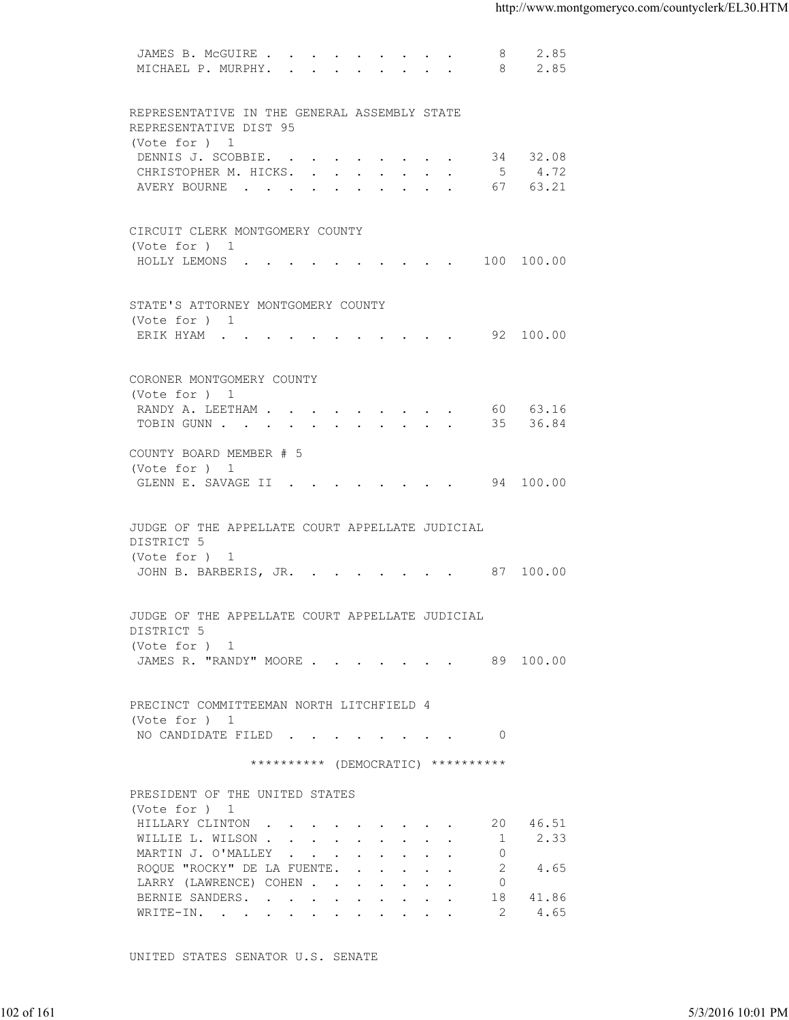| 2.85<br>MICHAEL P. MURPHY.<br>8<br>REPRESENTATIVE IN THE GENERAL ASSEMBLY STATE<br>REPRESENTATIVE DIST 95<br>(Vote for ) 1<br>34 32.08<br>DENNIS J. SCOBBIE.<br>CHRISTOPHER M. HICKS. 5 4.72<br>AVERY BOURNE 67 63.21<br>CIRCUIT CLERK MONTGOMERY COUNTY<br>(Vote for ) 1<br>HOLLY LEMONS (CONSTRUITION CONSTRUITION CONSTRUITION CONSTRUITION CONSTRUITION CONSTRUITION CONSTRUITION CONSTRUITION CONSTRUITION CONSTRUITION CONSTRUITION CONSTRUITION CONSTRUITION CONSTRUITION CONSTRUITION CONSTRUITION<br>STATE'S ATTORNEY MONTGOMERY COUNTY<br>(Vote for ) 1<br>ERIK HYAM 92 100.00<br>CORONER MONTGOMERY COUNTY<br>(Vote for ) 1<br>RANDY A. LEETHAM 60 63.16<br>TOBIN GUNN 35 36.84<br>COUNTY BOARD MEMBER # 5<br>(Vote for ) 1<br>GLENN E. SAVAGE II 94 100.00<br>JUDGE OF THE APPELLATE COURT APPELLATE JUDICIAL<br>DISTRICT 5<br>(Vote for ) 1<br>JOHN B. BARBERIS, JR. 87 100.00<br>JUDGE OF THE APPELLATE COURT APPELLATE JUDICIAL<br>DISTRICT 5<br>(Vote for ) 1<br>JAMES R. "RANDY" MOORE 89 100.00<br>PRECINCT COMMITTEEMAN NORTH LITCHFIELD 4<br>(Vote for ) 1<br>NO CANDIDATE FILED 0<br>********** (DEMOCRATIC) **********<br>PRESIDENT OF THE UNITED STATES<br>(Vote for ) 1<br>20 46.51<br>HILLARY CLINTON<br>2.33<br>WILLIE L. WILSON<br>$\overline{1}$<br>MARTIN J. O'MALLEY<br>$\Omega$<br>ROQUE "ROCKY" DE LA FUENTE.<br>2<br>4.65<br>LARRY (LAWRENCE) COHEN<br>$\overline{0}$<br>BERNIE SANDERS.<br>18<br>41.86<br>4.65<br>-2<br>WRITE-IN.<br>UNITED STATES SENATOR U.S. SENATE | 102 of 161 | 5/3/2016 10:01 PM | JAMES B. MCGUIRE | 8 | 2.85 |  |
|----------------------------------------------------------------------------------------------------------------------------------------------------------------------------------------------------------------------------------------------------------------------------------------------------------------------------------------------------------------------------------------------------------------------------------------------------------------------------------------------------------------------------------------------------------------------------------------------------------------------------------------------------------------------------------------------------------------------------------------------------------------------------------------------------------------------------------------------------------------------------------------------------------------------------------------------------------------------------------------------------------------------------------------------------------------------------------------------------------------------------------------------------------------------------------------------------------------------------------------------------------------------------------------------------------------------------------------------------------------------------------------------------------------------------------------------------------------------------------------------------------|------------|-------------------|------------------|---|------|--|
|                                                                                                                                                                                                                                                                                                                                                                                                                                                                                                                                                                                                                                                                                                                                                                                                                                                                                                                                                                                                                                                                                                                                                                                                                                                                                                                                                                                                                                                                                                          |            |                   |                  |   |      |  |
|                                                                                                                                                                                                                                                                                                                                                                                                                                                                                                                                                                                                                                                                                                                                                                                                                                                                                                                                                                                                                                                                                                                                                                                                                                                                                                                                                                                                                                                                                                          |            |                   |                  |   |      |  |
|                                                                                                                                                                                                                                                                                                                                                                                                                                                                                                                                                                                                                                                                                                                                                                                                                                                                                                                                                                                                                                                                                                                                                                                                                                                                                                                                                                                                                                                                                                          |            |                   |                  |   |      |  |
|                                                                                                                                                                                                                                                                                                                                                                                                                                                                                                                                                                                                                                                                                                                                                                                                                                                                                                                                                                                                                                                                                                                                                                                                                                                                                                                                                                                                                                                                                                          |            |                   |                  |   |      |  |
|                                                                                                                                                                                                                                                                                                                                                                                                                                                                                                                                                                                                                                                                                                                                                                                                                                                                                                                                                                                                                                                                                                                                                                                                                                                                                                                                                                                                                                                                                                          |            |                   |                  |   |      |  |
|                                                                                                                                                                                                                                                                                                                                                                                                                                                                                                                                                                                                                                                                                                                                                                                                                                                                                                                                                                                                                                                                                                                                                                                                                                                                                                                                                                                                                                                                                                          |            |                   |                  |   |      |  |
|                                                                                                                                                                                                                                                                                                                                                                                                                                                                                                                                                                                                                                                                                                                                                                                                                                                                                                                                                                                                                                                                                                                                                                                                                                                                                                                                                                                                                                                                                                          |            |                   |                  |   |      |  |
|                                                                                                                                                                                                                                                                                                                                                                                                                                                                                                                                                                                                                                                                                                                                                                                                                                                                                                                                                                                                                                                                                                                                                                                                                                                                                                                                                                                                                                                                                                          |            |                   |                  |   |      |  |
|                                                                                                                                                                                                                                                                                                                                                                                                                                                                                                                                                                                                                                                                                                                                                                                                                                                                                                                                                                                                                                                                                                                                                                                                                                                                                                                                                                                                                                                                                                          |            |                   |                  |   |      |  |
|                                                                                                                                                                                                                                                                                                                                                                                                                                                                                                                                                                                                                                                                                                                                                                                                                                                                                                                                                                                                                                                                                                                                                                                                                                                                                                                                                                                                                                                                                                          |            |                   |                  |   |      |  |
|                                                                                                                                                                                                                                                                                                                                                                                                                                                                                                                                                                                                                                                                                                                                                                                                                                                                                                                                                                                                                                                                                                                                                                                                                                                                                                                                                                                                                                                                                                          |            |                   |                  |   |      |  |
|                                                                                                                                                                                                                                                                                                                                                                                                                                                                                                                                                                                                                                                                                                                                                                                                                                                                                                                                                                                                                                                                                                                                                                                                                                                                                                                                                                                                                                                                                                          |            |                   |                  |   |      |  |
|                                                                                                                                                                                                                                                                                                                                                                                                                                                                                                                                                                                                                                                                                                                                                                                                                                                                                                                                                                                                                                                                                                                                                                                                                                                                                                                                                                                                                                                                                                          |            |                   |                  |   |      |  |
|                                                                                                                                                                                                                                                                                                                                                                                                                                                                                                                                                                                                                                                                                                                                                                                                                                                                                                                                                                                                                                                                                                                                                                                                                                                                                                                                                                                                                                                                                                          |            |                   |                  |   |      |  |
|                                                                                                                                                                                                                                                                                                                                                                                                                                                                                                                                                                                                                                                                                                                                                                                                                                                                                                                                                                                                                                                                                                                                                                                                                                                                                                                                                                                                                                                                                                          |            |                   |                  |   |      |  |
|                                                                                                                                                                                                                                                                                                                                                                                                                                                                                                                                                                                                                                                                                                                                                                                                                                                                                                                                                                                                                                                                                                                                                                                                                                                                                                                                                                                                                                                                                                          |            |                   |                  |   |      |  |
|                                                                                                                                                                                                                                                                                                                                                                                                                                                                                                                                                                                                                                                                                                                                                                                                                                                                                                                                                                                                                                                                                                                                                                                                                                                                                                                                                                                                                                                                                                          |            |                   |                  |   |      |  |
|                                                                                                                                                                                                                                                                                                                                                                                                                                                                                                                                                                                                                                                                                                                                                                                                                                                                                                                                                                                                                                                                                                                                                                                                                                                                                                                                                                                                                                                                                                          |            |                   |                  |   |      |  |
|                                                                                                                                                                                                                                                                                                                                                                                                                                                                                                                                                                                                                                                                                                                                                                                                                                                                                                                                                                                                                                                                                                                                                                                                                                                                                                                                                                                                                                                                                                          |            |                   |                  |   |      |  |
|                                                                                                                                                                                                                                                                                                                                                                                                                                                                                                                                                                                                                                                                                                                                                                                                                                                                                                                                                                                                                                                                                                                                                                                                                                                                                                                                                                                                                                                                                                          |            |                   |                  |   |      |  |
|                                                                                                                                                                                                                                                                                                                                                                                                                                                                                                                                                                                                                                                                                                                                                                                                                                                                                                                                                                                                                                                                                                                                                                                                                                                                                                                                                                                                                                                                                                          |            |                   |                  |   |      |  |
|                                                                                                                                                                                                                                                                                                                                                                                                                                                                                                                                                                                                                                                                                                                                                                                                                                                                                                                                                                                                                                                                                                                                                                                                                                                                                                                                                                                                                                                                                                          |            |                   |                  |   |      |  |
|                                                                                                                                                                                                                                                                                                                                                                                                                                                                                                                                                                                                                                                                                                                                                                                                                                                                                                                                                                                                                                                                                                                                                                                                                                                                                                                                                                                                                                                                                                          |            |                   |                  |   |      |  |
|                                                                                                                                                                                                                                                                                                                                                                                                                                                                                                                                                                                                                                                                                                                                                                                                                                                                                                                                                                                                                                                                                                                                                                                                                                                                                                                                                                                                                                                                                                          |            |                   |                  |   |      |  |
|                                                                                                                                                                                                                                                                                                                                                                                                                                                                                                                                                                                                                                                                                                                                                                                                                                                                                                                                                                                                                                                                                                                                                                                                                                                                                                                                                                                                                                                                                                          |            |                   |                  |   |      |  |
|                                                                                                                                                                                                                                                                                                                                                                                                                                                                                                                                                                                                                                                                                                                                                                                                                                                                                                                                                                                                                                                                                                                                                                                                                                                                                                                                                                                                                                                                                                          |            |                   |                  |   |      |  |
|                                                                                                                                                                                                                                                                                                                                                                                                                                                                                                                                                                                                                                                                                                                                                                                                                                                                                                                                                                                                                                                                                                                                                                                                                                                                                                                                                                                                                                                                                                          |            |                   |                  |   |      |  |
|                                                                                                                                                                                                                                                                                                                                                                                                                                                                                                                                                                                                                                                                                                                                                                                                                                                                                                                                                                                                                                                                                                                                                                                                                                                                                                                                                                                                                                                                                                          |            |                   |                  |   |      |  |
|                                                                                                                                                                                                                                                                                                                                                                                                                                                                                                                                                                                                                                                                                                                                                                                                                                                                                                                                                                                                                                                                                                                                                                                                                                                                                                                                                                                                                                                                                                          |            |                   |                  |   |      |  |
|                                                                                                                                                                                                                                                                                                                                                                                                                                                                                                                                                                                                                                                                                                                                                                                                                                                                                                                                                                                                                                                                                                                                                                                                                                                                                                                                                                                                                                                                                                          |            |                   |                  |   |      |  |
|                                                                                                                                                                                                                                                                                                                                                                                                                                                                                                                                                                                                                                                                                                                                                                                                                                                                                                                                                                                                                                                                                                                                                                                                                                                                                                                                                                                                                                                                                                          |            |                   |                  |   |      |  |
|                                                                                                                                                                                                                                                                                                                                                                                                                                                                                                                                                                                                                                                                                                                                                                                                                                                                                                                                                                                                                                                                                                                                                                                                                                                                                                                                                                                                                                                                                                          |            |                   |                  |   |      |  |
|                                                                                                                                                                                                                                                                                                                                                                                                                                                                                                                                                                                                                                                                                                                                                                                                                                                                                                                                                                                                                                                                                                                                                                                                                                                                                                                                                                                                                                                                                                          |            |                   |                  |   |      |  |
|                                                                                                                                                                                                                                                                                                                                                                                                                                                                                                                                                                                                                                                                                                                                                                                                                                                                                                                                                                                                                                                                                                                                                                                                                                                                                                                                                                                                                                                                                                          |            |                   |                  |   |      |  |
|                                                                                                                                                                                                                                                                                                                                                                                                                                                                                                                                                                                                                                                                                                                                                                                                                                                                                                                                                                                                                                                                                                                                                                                                                                                                                                                                                                                                                                                                                                          |            |                   |                  |   |      |  |
|                                                                                                                                                                                                                                                                                                                                                                                                                                                                                                                                                                                                                                                                                                                                                                                                                                                                                                                                                                                                                                                                                                                                                                                                                                                                                                                                                                                                                                                                                                          |            |                   |                  |   |      |  |
|                                                                                                                                                                                                                                                                                                                                                                                                                                                                                                                                                                                                                                                                                                                                                                                                                                                                                                                                                                                                                                                                                                                                                                                                                                                                                                                                                                                                                                                                                                          |            |                   |                  |   |      |  |
|                                                                                                                                                                                                                                                                                                                                                                                                                                                                                                                                                                                                                                                                                                                                                                                                                                                                                                                                                                                                                                                                                                                                                                                                                                                                                                                                                                                                                                                                                                          |            |                   |                  |   |      |  |
|                                                                                                                                                                                                                                                                                                                                                                                                                                                                                                                                                                                                                                                                                                                                                                                                                                                                                                                                                                                                                                                                                                                                                                                                                                                                                                                                                                                                                                                                                                          |            |                   |                  |   |      |  |
|                                                                                                                                                                                                                                                                                                                                                                                                                                                                                                                                                                                                                                                                                                                                                                                                                                                                                                                                                                                                                                                                                                                                                                                                                                                                                                                                                                                                                                                                                                          |            |                   |                  |   |      |  |
|                                                                                                                                                                                                                                                                                                                                                                                                                                                                                                                                                                                                                                                                                                                                                                                                                                                                                                                                                                                                                                                                                                                                                                                                                                                                                                                                                                                                                                                                                                          |            |                   |                  |   |      |  |
|                                                                                                                                                                                                                                                                                                                                                                                                                                                                                                                                                                                                                                                                                                                                                                                                                                                                                                                                                                                                                                                                                                                                                                                                                                                                                                                                                                                                                                                                                                          |            |                   |                  |   |      |  |
|                                                                                                                                                                                                                                                                                                                                                                                                                                                                                                                                                                                                                                                                                                                                                                                                                                                                                                                                                                                                                                                                                                                                                                                                                                                                                                                                                                                                                                                                                                          |            |                   |                  |   |      |  |
|                                                                                                                                                                                                                                                                                                                                                                                                                                                                                                                                                                                                                                                                                                                                                                                                                                                                                                                                                                                                                                                                                                                                                                                                                                                                                                                                                                                                                                                                                                          |            |                   |                  |   |      |  |
|                                                                                                                                                                                                                                                                                                                                                                                                                                                                                                                                                                                                                                                                                                                                                                                                                                                                                                                                                                                                                                                                                                                                                                                                                                                                                                                                                                                                                                                                                                          |            |                   |                  |   |      |  |
|                                                                                                                                                                                                                                                                                                                                                                                                                                                                                                                                                                                                                                                                                                                                                                                                                                                                                                                                                                                                                                                                                                                                                                                                                                                                                                                                                                                                                                                                                                          |            |                   |                  |   |      |  |
|                                                                                                                                                                                                                                                                                                                                                                                                                                                                                                                                                                                                                                                                                                                                                                                                                                                                                                                                                                                                                                                                                                                                                                                                                                                                                                                                                                                                                                                                                                          |            |                   |                  |   |      |  |
|                                                                                                                                                                                                                                                                                                                                                                                                                                                                                                                                                                                                                                                                                                                                                                                                                                                                                                                                                                                                                                                                                                                                                                                                                                                                                                                                                                                                                                                                                                          |            |                   |                  |   |      |  |
|                                                                                                                                                                                                                                                                                                                                                                                                                                                                                                                                                                                                                                                                                                                                                                                                                                                                                                                                                                                                                                                                                                                                                                                                                                                                                                                                                                                                                                                                                                          |            |                   |                  |   |      |  |
|                                                                                                                                                                                                                                                                                                                                                                                                                                                                                                                                                                                                                                                                                                                                                                                                                                                                                                                                                                                                                                                                                                                                                                                                                                                                                                                                                                                                                                                                                                          |            |                   |                  |   |      |  |
|                                                                                                                                                                                                                                                                                                                                                                                                                                                                                                                                                                                                                                                                                                                                                                                                                                                                                                                                                                                                                                                                                                                                                                                                                                                                                                                                                                                                                                                                                                          |            |                   |                  |   |      |  |
|                                                                                                                                                                                                                                                                                                                                                                                                                                                                                                                                                                                                                                                                                                                                                                                                                                                                                                                                                                                                                                                                                                                                                                                                                                                                                                                                                                                                                                                                                                          |            |                   |                  |   |      |  |
|                                                                                                                                                                                                                                                                                                                                                                                                                                                                                                                                                                                                                                                                                                                                                                                                                                                                                                                                                                                                                                                                                                                                                                                                                                                                                                                                                                                                                                                                                                          |            |                   |                  |   |      |  |
|                                                                                                                                                                                                                                                                                                                                                                                                                                                                                                                                                                                                                                                                                                                                                                                                                                                                                                                                                                                                                                                                                                                                                                                                                                                                                                                                                                                                                                                                                                          |            |                   |                  |   |      |  |
|                                                                                                                                                                                                                                                                                                                                                                                                                                                                                                                                                                                                                                                                                                                                                                                                                                                                                                                                                                                                                                                                                                                                                                                                                                                                                                                                                                                                                                                                                                          |            |                   |                  |   |      |  |
|                                                                                                                                                                                                                                                                                                                                                                                                                                                                                                                                                                                                                                                                                                                                                                                                                                                                                                                                                                                                                                                                                                                                                                                                                                                                                                                                                                                                                                                                                                          |            |                   |                  |   |      |  |
|                                                                                                                                                                                                                                                                                                                                                                                                                                                                                                                                                                                                                                                                                                                                                                                                                                                                                                                                                                                                                                                                                                                                                                                                                                                                                                                                                                                                                                                                                                          |            |                   |                  |   |      |  |
|                                                                                                                                                                                                                                                                                                                                                                                                                                                                                                                                                                                                                                                                                                                                                                                                                                                                                                                                                                                                                                                                                                                                                                                                                                                                                                                                                                                                                                                                                                          |            |                   |                  |   |      |  |
|                                                                                                                                                                                                                                                                                                                                                                                                                                                                                                                                                                                                                                                                                                                                                                                                                                                                                                                                                                                                                                                                                                                                                                                                                                                                                                                                                                                                                                                                                                          |            |                   |                  |   |      |  |
|                                                                                                                                                                                                                                                                                                                                                                                                                                                                                                                                                                                                                                                                                                                                                                                                                                                                                                                                                                                                                                                                                                                                                                                                                                                                                                                                                                                                                                                                                                          |            |                   |                  |   |      |  |
|                                                                                                                                                                                                                                                                                                                                                                                                                                                                                                                                                                                                                                                                                                                                                                                                                                                                                                                                                                                                                                                                                                                                                                                                                                                                                                                                                                                                                                                                                                          |            |                   |                  |   |      |  |
|                                                                                                                                                                                                                                                                                                                                                                                                                                                                                                                                                                                                                                                                                                                                                                                                                                                                                                                                                                                                                                                                                                                                                                                                                                                                                                                                                                                                                                                                                                          |            |                   |                  |   |      |  |
|                                                                                                                                                                                                                                                                                                                                                                                                                                                                                                                                                                                                                                                                                                                                                                                                                                                                                                                                                                                                                                                                                                                                                                                                                                                                                                                                                                                                                                                                                                          |            |                   |                  |   |      |  |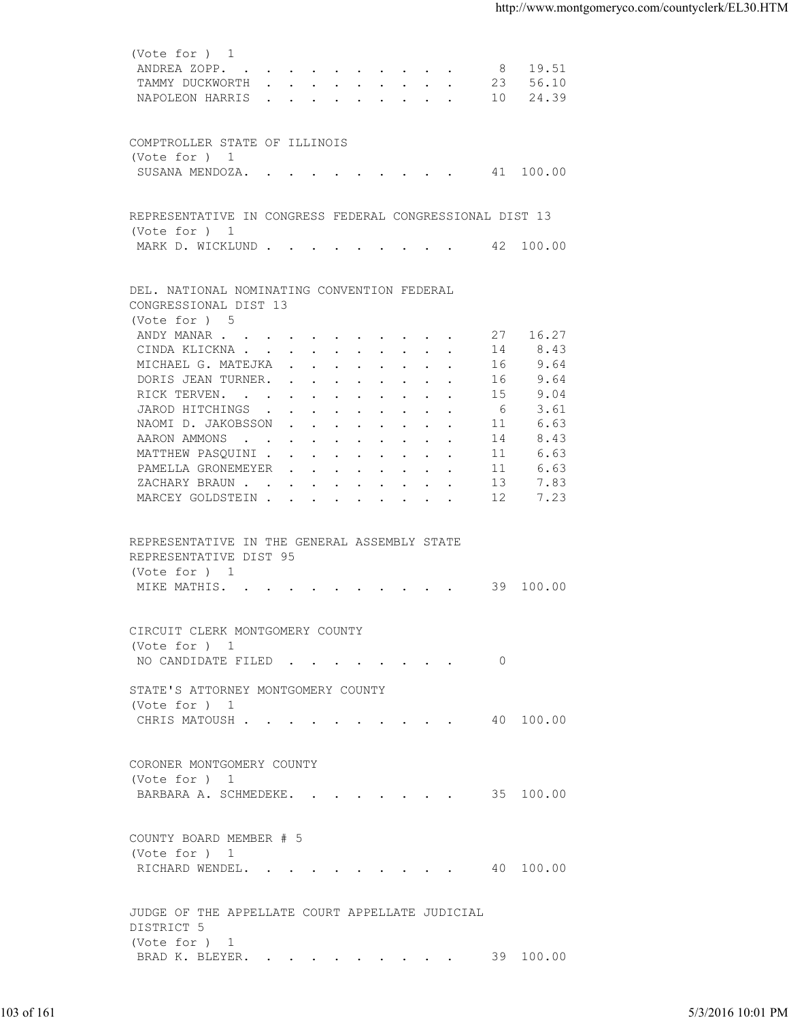| ANDREA ZOPP. 8 19.51<br>TAMMY DUCKWORTH 23 56.10<br>NAPOLEON HARRIS 10 24.39<br>COMPTROLLER STATE OF ILLINOIS<br>(Vote for ) 1<br>SUSANA MENDOZA. 41 100.00<br>REPRESENTATIVE IN CONGRESS FEDERAL CONGRESSIONAL DIST 13<br>(Vote for ) 1<br>MARK D. WICKLUND 42 100.00<br>DEL. NATIONAL NOMINATING CONVENTION FEDERAL<br>CONGRESSIONAL DIST 13<br>(Vote for ) 5<br>ANDY MANAR 27 16.27<br>CINDA KLICKNA<br>8.43<br>14<br>9.64<br>MICHAEL G. MATEJKA<br>16<br>9.64<br>DORIS JEAN TURNER.<br>16<br>9.04<br>RICK TERVEN.<br>-15<br>3.61<br>JAROD HITCHINGS<br>- 6<br>NAOMI D. JAKOBSSON<br>6.63<br>11<br>8.43<br>AARON AMMONS<br>14<br>MATTHEW PASQUINI<br>6.63<br>11<br>6.63<br>PAMELLA GRONEMEYER<br>11<br>7.83<br>ZACHARY BRAUN<br>13<br>MARCEY GOLDSTEIN 12<br>7.23<br>REPRESENTATIVE IN THE GENERAL ASSEMBLY STATE<br>REPRESENTATIVE DIST 95<br>(Vote for ) 1<br>MIKE MATHIS. 39 100.00<br>CIRCUIT CLERK MONTGOMERY COUNTY<br>(Vote for ) 1<br>NO CANDIDATE FILED 0<br>STATE'S ATTORNEY MONTGOMERY COUNTY<br>(Vote for ) 1<br>CHRIS MATOUSH 40 100.00<br>CORONER MONTGOMERY COUNTY<br>(Vote for ) 1<br>BARBARA A. SCHMEDEKE. 35 100.00<br>COUNTY BOARD MEMBER # 5<br>(Vote for ) 1<br>RICHARD WENDEL. 40 100.00<br>JUDGE OF THE APPELLATE COURT APPELLATE JUDICIAL<br>DISTRICT 5<br>(Vote for ) 1<br>BRAD K. BLEYER. 39 100.00 | 103 of 161 |  |                   |
|----------------------------------------------------------------------------------------------------------------------------------------------------------------------------------------------------------------------------------------------------------------------------------------------------------------------------------------------------------------------------------------------------------------------------------------------------------------------------------------------------------------------------------------------------------------------------------------------------------------------------------------------------------------------------------------------------------------------------------------------------------------------------------------------------------------------------------------------------------------------------------------------------------------------------------------------------------------------------------------------------------------------------------------------------------------------------------------------------------------------------------------------------------------------------------------------------------------------------------------------------------------------------------------------------------------------------------|------------|--|-------------------|
|                                                                                                                                                                                                                                                                                                                                                                                                                                                                                                                                                                                                                                                                                                                                                                                                                                                                                                                                                                                                                                                                                                                                                                                                                                                                                                                                  |            |  |                   |
|                                                                                                                                                                                                                                                                                                                                                                                                                                                                                                                                                                                                                                                                                                                                                                                                                                                                                                                                                                                                                                                                                                                                                                                                                                                                                                                                  |            |  |                   |
|                                                                                                                                                                                                                                                                                                                                                                                                                                                                                                                                                                                                                                                                                                                                                                                                                                                                                                                                                                                                                                                                                                                                                                                                                                                                                                                                  |            |  |                   |
|                                                                                                                                                                                                                                                                                                                                                                                                                                                                                                                                                                                                                                                                                                                                                                                                                                                                                                                                                                                                                                                                                                                                                                                                                                                                                                                                  |            |  |                   |
|                                                                                                                                                                                                                                                                                                                                                                                                                                                                                                                                                                                                                                                                                                                                                                                                                                                                                                                                                                                                                                                                                                                                                                                                                                                                                                                                  |            |  |                   |
|                                                                                                                                                                                                                                                                                                                                                                                                                                                                                                                                                                                                                                                                                                                                                                                                                                                                                                                                                                                                                                                                                                                                                                                                                                                                                                                                  |            |  |                   |
|                                                                                                                                                                                                                                                                                                                                                                                                                                                                                                                                                                                                                                                                                                                                                                                                                                                                                                                                                                                                                                                                                                                                                                                                                                                                                                                                  |            |  |                   |
|                                                                                                                                                                                                                                                                                                                                                                                                                                                                                                                                                                                                                                                                                                                                                                                                                                                                                                                                                                                                                                                                                                                                                                                                                                                                                                                                  |            |  |                   |
|                                                                                                                                                                                                                                                                                                                                                                                                                                                                                                                                                                                                                                                                                                                                                                                                                                                                                                                                                                                                                                                                                                                                                                                                                                                                                                                                  |            |  |                   |
|                                                                                                                                                                                                                                                                                                                                                                                                                                                                                                                                                                                                                                                                                                                                                                                                                                                                                                                                                                                                                                                                                                                                                                                                                                                                                                                                  |            |  |                   |
|                                                                                                                                                                                                                                                                                                                                                                                                                                                                                                                                                                                                                                                                                                                                                                                                                                                                                                                                                                                                                                                                                                                                                                                                                                                                                                                                  |            |  |                   |
|                                                                                                                                                                                                                                                                                                                                                                                                                                                                                                                                                                                                                                                                                                                                                                                                                                                                                                                                                                                                                                                                                                                                                                                                                                                                                                                                  |            |  |                   |
|                                                                                                                                                                                                                                                                                                                                                                                                                                                                                                                                                                                                                                                                                                                                                                                                                                                                                                                                                                                                                                                                                                                                                                                                                                                                                                                                  |            |  |                   |
|                                                                                                                                                                                                                                                                                                                                                                                                                                                                                                                                                                                                                                                                                                                                                                                                                                                                                                                                                                                                                                                                                                                                                                                                                                                                                                                                  |            |  |                   |
|                                                                                                                                                                                                                                                                                                                                                                                                                                                                                                                                                                                                                                                                                                                                                                                                                                                                                                                                                                                                                                                                                                                                                                                                                                                                                                                                  |            |  |                   |
|                                                                                                                                                                                                                                                                                                                                                                                                                                                                                                                                                                                                                                                                                                                                                                                                                                                                                                                                                                                                                                                                                                                                                                                                                                                                                                                                  |            |  |                   |
|                                                                                                                                                                                                                                                                                                                                                                                                                                                                                                                                                                                                                                                                                                                                                                                                                                                                                                                                                                                                                                                                                                                                                                                                                                                                                                                                  |            |  |                   |
|                                                                                                                                                                                                                                                                                                                                                                                                                                                                                                                                                                                                                                                                                                                                                                                                                                                                                                                                                                                                                                                                                                                                                                                                                                                                                                                                  |            |  |                   |
|                                                                                                                                                                                                                                                                                                                                                                                                                                                                                                                                                                                                                                                                                                                                                                                                                                                                                                                                                                                                                                                                                                                                                                                                                                                                                                                                  |            |  |                   |
|                                                                                                                                                                                                                                                                                                                                                                                                                                                                                                                                                                                                                                                                                                                                                                                                                                                                                                                                                                                                                                                                                                                                                                                                                                                                                                                                  |            |  |                   |
|                                                                                                                                                                                                                                                                                                                                                                                                                                                                                                                                                                                                                                                                                                                                                                                                                                                                                                                                                                                                                                                                                                                                                                                                                                                                                                                                  |            |  |                   |
|                                                                                                                                                                                                                                                                                                                                                                                                                                                                                                                                                                                                                                                                                                                                                                                                                                                                                                                                                                                                                                                                                                                                                                                                                                                                                                                                  |            |  |                   |
|                                                                                                                                                                                                                                                                                                                                                                                                                                                                                                                                                                                                                                                                                                                                                                                                                                                                                                                                                                                                                                                                                                                                                                                                                                                                                                                                  |            |  |                   |
|                                                                                                                                                                                                                                                                                                                                                                                                                                                                                                                                                                                                                                                                                                                                                                                                                                                                                                                                                                                                                                                                                                                                                                                                                                                                                                                                  |            |  |                   |
|                                                                                                                                                                                                                                                                                                                                                                                                                                                                                                                                                                                                                                                                                                                                                                                                                                                                                                                                                                                                                                                                                                                                                                                                                                                                                                                                  |            |  |                   |
|                                                                                                                                                                                                                                                                                                                                                                                                                                                                                                                                                                                                                                                                                                                                                                                                                                                                                                                                                                                                                                                                                                                                                                                                                                                                                                                                  |            |  |                   |
|                                                                                                                                                                                                                                                                                                                                                                                                                                                                                                                                                                                                                                                                                                                                                                                                                                                                                                                                                                                                                                                                                                                                                                                                                                                                                                                                  |            |  |                   |
|                                                                                                                                                                                                                                                                                                                                                                                                                                                                                                                                                                                                                                                                                                                                                                                                                                                                                                                                                                                                                                                                                                                                                                                                                                                                                                                                  |            |  |                   |
|                                                                                                                                                                                                                                                                                                                                                                                                                                                                                                                                                                                                                                                                                                                                                                                                                                                                                                                                                                                                                                                                                                                                                                                                                                                                                                                                  |            |  |                   |
|                                                                                                                                                                                                                                                                                                                                                                                                                                                                                                                                                                                                                                                                                                                                                                                                                                                                                                                                                                                                                                                                                                                                                                                                                                                                                                                                  |            |  |                   |
|                                                                                                                                                                                                                                                                                                                                                                                                                                                                                                                                                                                                                                                                                                                                                                                                                                                                                                                                                                                                                                                                                                                                                                                                                                                                                                                                  |            |  |                   |
|                                                                                                                                                                                                                                                                                                                                                                                                                                                                                                                                                                                                                                                                                                                                                                                                                                                                                                                                                                                                                                                                                                                                                                                                                                                                                                                                  |            |  |                   |
|                                                                                                                                                                                                                                                                                                                                                                                                                                                                                                                                                                                                                                                                                                                                                                                                                                                                                                                                                                                                                                                                                                                                                                                                                                                                                                                                  |            |  |                   |
|                                                                                                                                                                                                                                                                                                                                                                                                                                                                                                                                                                                                                                                                                                                                                                                                                                                                                                                                                                                                                                                                                                                                                                                                                                                                                                                                  |            |  |                   |
|                                                                                                                                                                                                                                                                                                                                                                                                                                                                                                                                                                                                                                                                                                                                                                                                                                                                                                                                                                                                                                                                                                                                                                                                                                                                                                                                  |            |  |                   |
|                                                                                                                                                                                                                                                                                                                                                                                                                                                                                                                                                                                                                                                                                                                                                                                                                                                                                                                                                                                                                                                                                                                                                                                                                                                                                                                                  |            |  |                   |
|                                                                                                                                                                                                                                                                                                                                                                                                                                                                                                                                                                                                                                                                                                                                                                                                                                                                                                                                                                                                                                                                                                                                                                                                                                                                                                                                  |            |  |                   |
|                                                                                                                                                                                                                                                                                                                                                                                                                                                                                                                                                                                                                                                                                                                                                                                                                                                                                                                                                                                                                                                                                                                                                                                                                                                                                                                                  |            |  |                   |
|                                                                                                                                                                                                                                                                                                                                                                                                                                                                                                                                                                                                                                                                                                                                                                                                                                                                                                                                                                                                                                                                                                                                                                                                                                                                                                                                  |            |  |                   |
|                                                                                                                                                                                                                                                                                                                                                                                                                                                                                                                                                                                                                                                                                                                                                                                                                                                                                                                                                                                                                                                                                                                                                                                                                                                                                                                                  |            |  |                   |
|                                                                                                                                                                                                                                                                                                                                                                                                                                                                                                                                                                                                                                                                                                                                                                                                                                                                                                                                                                                                                                                                                                                                                                                                                                                                                                                                  |            |  |                   |
|                                                                                                                                                                                                                                                                                                                                                                                                                                                                                                                                                                                                                                                                                                                                                                                                                                                                                                                                                                                                                                                                                                                                                                                                                                                                                                                                  |            |  |                   |
|                                                                                                                                                                                                                                                                                                                                                                                                                                                                                                                                                                                                                                                                                                                                                                                                                                                                                                                                                                                                                                                                                                                                                                                                                                                                                                                                  |            |  |                   |
|                                                                                                                                                                                                                                                                                                                                                                                                                                                                                                                                                                                                                                                                                                                                                                                                                                                                                                                                                                                                                                                                                                                                                                                                                                                                                                                                  |            |  |                   |
|                                                                                                                                                                                                                                                                                                                                                                                                                                                                                                                                                                                                                                                                                                                                                                                                                                                                                                                                                                                                                                                                                                                                                                                                                                                                                                                                  |            |  |                   |
|                                                                                                                                                                                                                                                                                                                                                                                                                                                                                                                                                                                                                                                                                                                                                                                                                                                                                                                                                                                                                                                                                                                                                                                                                                                                                                                                  |            |  |                   |
|                                                                                                                                                                                                                                                                                                                                                                                                                                                                                                                                                                                                                                                                                                                                                                                                                                                                                                                                                                                                                                                                                                                                                                                                                                                                                                                                  |            |  |                   |
|                                                                                                                                                                                                                                                                                                                                                                                                                                                                                                                                                                                                                                                                                                                                                                                                                                                                                                                                                                                                                                                                                                                                                                                                                                                                                                                                  |            |  |                   |
|                                                                                                                                                                                                                                                                                                                                                                                                                                                                                                                                                                                                                                                                                                                                                                                                                                                                                                                                                                                                                                                                                                                                                                                                                                                                                                                                  |            |  |                   |
|                                                                                                                                                                                                                                                                                                                                                                                                                                                                                                                                                                                                                                                                                                                                                                                                                                                                                                                                                                                                                                                                                                                                                                                                                                                                                                                                  |            |  |                   |
|                                                                                                                                                                                                                                                                                                                                                                                                                                                                                                                                                                                                                                                                                                                                                                                                                                                                                                                                                                                                                                                                                                                                                                                                                                                                                                                                  |            |  |                   |
|                                                                                                                                                                                                                                                                                                                                                                                                                                                                                                                                                                                                                                                                                                                                                                                                                                                                                                                                                                                                                                                                                                                                                                                                                                                                                                                                  |            |  |                   |
|                                                                                                                                                                                                                                                                                                                                                                                                                                                                                                                                                                                                                                                                                                                                                                                                                                                                                                                                                                                                                                                                                                                                                                                                                                                                                                                                  |            |  |                   |
|                                                                                                                                                                                                                                                                                                                                                                                                                                                                                                                                                                                                                                                                                                                                                                                                                                                                                                                                                                                                                                                                                                                                                                                                                                                                                                                                  |            |  |                   |
|                                                                                                                                                                                                                                                                                                                                                                                                                                                                                                                                                                                                                                                                                                                                                                                                                                                                                                                                                                                                                                                                                                                                                                                                                                                                                                                                  |            |  |                   |
|                                                                                                                                                                                                                                                                                                                                                                                                                                                                                                                                                                                                                                                                                                                                                                                                                                                                                                                                                                                                                                                                                                                                                                                                                                                                                                                                  |            |  |                   |
|                                                                                                                                                                                                                                                                                                                                                                                                                                                                                                                                                                                                                                                                                                                                                                                                                                                                                                                                                                                                                                                                                                                                                                                                                                                                                                                                  |            |  |                   |
|                                                                                                                                                                                                                                                                                                                                                                                                                                                                                                                                                                                                                                                                                                                                                                                                                                                                                                                                                                                                                                                                                                                                                                                                                                                                                                                                  |            |  |                   |
|                                                                                                                                                                                                                                                                                                                                                                                                                                                                                                                                                                                                                                                                                                                                                                                                                                                                                                                                                                                                                                                                                                                                                                                                                                                                                                                                  |            |  |                   |
|                                                                                                                                                                                                                                                                                                                                                                                                                                                                                                                                                                                                                                                                                                                                                                                                                                                                                                                                                                                                                                                                                                                                                                                                                                                                                                                                  |            |  |                   |
|                                                                                                                                                                                                                                                                                                                                                                                                                                                                                                                                                                                                                                                                                                                                                                                                                                                                                                                                                                                                                                                                                                                                                                                                                                                                                                                                  |            |  | 5/3/2016 10:01 PM |
|                                                                                                                                                                                                                                                                                                                                                                                                                                                                                                                                                                                                                                                                                                                                                                                                                                                                                                                                                                                                                                                                                                                                                                                                                                                                                                                                  |            |  |                   |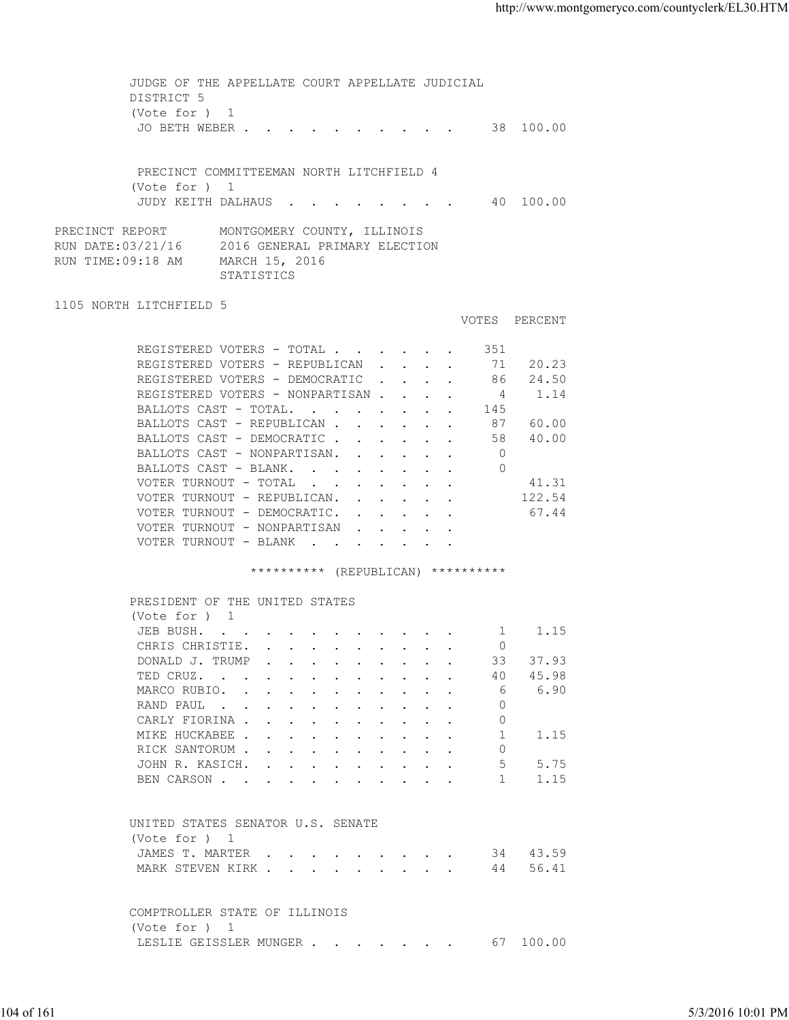| DISTRICT 5<br>(Vote for ) 1<br>JO BETH WEBER 38 100.00<br>PRECINCT COMMITTEEMAN NORTH LITCHFIELD 4<br>(Vote for ) 1<br>JUDY KEITH DALHAUS 40 100.00<br>PRECINCT REPORT<br>MONTGOMERY COUNTY, ILLINOIS<br>RUN DATE:03/21/16<br>2016 GENERAL PRIMARY ELECTION<br>RUN TIME:09:18 AM<br>MARCH 15, 2016<br>STATISTICS<br>1105 NORTH LITCHFIELD 5<br>VOTES PERCENT<br>351<br>REGISTERED VOTERS - TOTAL<br>REGISTERED VOTERS - REPUBLICAN<br>71 20.23<br>86 24.50<br>REGISTERED VOTERS - DEMOCRATIC<br>REGISTERED VOTERS - NONPARTISAN<br>$\overline{4}$<br>1.14<br>BALLOTS CAST - TOTAL.<br>145<br>BALLOTS CAST - REPUBLICAN<br>87 60.00<br>58 40.00<br>BALLOTS CAST - DEMOCRATIC<br>$\overline{0}$<br>BALLOTS CAST - NONPARTISAN.<br>$\bigcirc$<br>BALLOTS CAST - BLANK.<br>VOTER TURNOUT - TOTAL<br>41.31<br>VOTER TURNOUT - REPUBLICAN.<br>122.54<br>VOTER TURNOUT - DEMOCRATIC.<br>67.44<br>VOTER TURNOUT - NONPARTISAN<br>VOTER TURNOUT - BLANK<br>********** (REPUBLICAN) **********<br>PRESIDENT OF THE UNITED STATES<br>(Vote for ) 1<br>JEB BUSH. 1 1.15<br>CHRIS CHRISTIE.<br>$\circ$<br>DONALD J. TRUMP<br>33<br>37.93<br>and the contract of the contract of the contract of the contract of the contract of the contract of the contract of the contract of the contract of the contract of the contract of the contract of the contract of the contra<br>45.98<br>TED CRUZ.<br>40<br>6.90<br>MARCO RUBIO.<br>6<br>RAND PAUL<br>0<br>CARLY FIORINA<br>0<br>MIKE HUCKABEE<br>1<br>1.15<br>RICK SANTORUM<br>0<br>5<br>5.75<br>JOHN R. KASICH.<br>1.15<br>BEN CARSON<br>$\mathbf{1}$<br>UNITED STATES SENATOR U.S. SENATE<br>(Vote for ) 1<br>34 43.59<br>JAMES T. MARTER<br>56.41<br>MARK STEVEN KIRK<br>44<br>COMPTROLLER STATE OF ILLINOIS<br>(Vote for ) 1<br>67 100.00<br>LESLIE GEISSLER MUNGER<br>5/3/2016 10:01 PM |  |  |  |
|--------------------------------------------------------------------------------------------------------------------------------------------------------------------------------------------------------------------------------------------------------------------------------------------------------------------------------------------------------------------------------------------------------------------------------------------------------------------------------------------------------------------------------------------------------------------------------------------------------------------------------------------------------------------------------------------------------------------------------------------------------------------------------------------------------------------------------------------------------------------------------------------------------------------------------------------------------------------------------------------------------------------------------------------------------------------------------------------------------------------------------------------------------------------------------------------------------------------------------------------------------------------------------------------------------------------------------------------------------------------------------------------------------------------------------------------------------------------------------------------------------------------------------------------------------------------------------------------------------------------------------------------------------------------------------------------------------------------------------------------------------------------------------------------------------------------------------|--|--|--|
|                                                                                                                                                                                                                                                                                                                                                                                                                                                                                                                                                                                                                                                                                                                                                                                                                                                                                                                                                                                                                                                                                                                                                                                                                                                                                                                                                                                                                                                                                                                                                                                                                                                                                                                                                                                                                                |  |  |  |
|                                                                                                                                                                                                                                                                                                                                                                                                                                                                                                                                                                                                                                                                                                                                                                                                                                                                                                                                                                                                                                                                                                                                                                                                                                                                                                                                                                                                                                                                                                                                                                                                                                                                                                                                                                                                                                |  |  |  |
|                                                                                                                                                                                                                                                                                                                                                                                                                                                                                                                                                                                                                                                                                                                                                                                                                                                                                                                                                                                                                                                                                                                                                                                                                                                                                                                                                                                                                                                                                                                                                                                                                                                                                                                                                                                                                                |  |  |  |
|                                                                                                                                                                                                                                                                                                                                                                                                                                                                                                                                                                                                                                                                                                                                                                                                                                                                                                                                                                                                                                                                                                                                                                                                                                                                                                                                                                                                                                                                                                                                                                                                                                                                                                                                                                                                                                |  |  |  |
|                                                                                                                                                                                                                                                                                                                                                                                                                                                                                                                                                                                                                                                                                                                                                                                                                                                                                                                                                                                                                                                                                                                                                                                                                                                                                                                                                                                                                                                                                                                                                                                                                                                                                                                                                                                                                                |  |  |  |
|                                                                                                                                                                                                                                                                                                                                                                                                                                                                                                                                                                                                                                                                                                                                                                                                                                                                                                                                                                                                                                                                                                                                                                                                                                                                                                                                                                                                                                                                                                                                                                                                                                                                                                                                                                                                                                |  |  |  |
|                                                                                                                                                                                                                                                                                                                                                                                                                                                                                                                                                                                                                                                                                                                                                                                                                                                                                                                                                                                                                                                                                                                                                                                                                                                                                                                                                                                                                                                                                                                                                                                                                                                                                                                                                                                                                                |  |  |  |
|                                                                                                                                                                                                                                                                                                                                                                                                                                                                                                                                                                                                                                                                                                                                                                                                                                                                                                                                                                                                                                                                                                                                                                                                                                                                                                                                                                                                                                                                                                                                                                                                                                                                                                                                                                                                                                |  |  |  |
|                                                                                                                                                                                                                                                                                                                                                                                                                                                                                                                                                                                                                                                                                                                                                                                                                                                                                                                                                                                                                                                                                                                                                                                                                                                                                                                                                                                                                                                                                                                                                                                                                                                                                                                                                                                                                                |  |  |  |
|                                                                                                                                                                                                                                                                                                                                                                                                                                                                                                                                                                                                                                                                                                                                                                                                                                                                                                                                                                                                                                                                                                                                                                                                                                                                                                                                                                                                                                                                                                                                                                                                                                                                                                                                                                                                                                |  |  |  |
|                                                                                                                                                                                                                                                                                                                                                                                                                                                                                                                                                                                                                                                                                                                                                                                                                                                                                                                                                                                                                                                                                                                                                                                                                                                                                                                                                                                                                                                                                                                                                                                                                                                                                                                                                                                                                                |  |  |  |
|                                                                                                                                                                                                                                                                                                                                                                                                                                                                                                                                                                                                                                                                                                                                                                                                                                                                                                                                                                                                                                                                                                                                                                                                                                                                                                                                                                                                                                                                                                                                                                                                                                                                                                                                                                                                                                |  |  |  |
|                                                                                                                                                                                                                                                                                                                                                                                                                                                                                                                                                                                                                                                                                                                                                                                                                                                                                                                                                                                                                                                                                                                                                                                                                                                                                                                                                                                                                                                                                                                                                                                                                                                                                                                                                                                                                                |  |  |  |
|                                                                                                                                                                                                                                                                                                                                                                                                                                                                                                                                                                                                                                                                                                                                                                                                                                                                                                                                                                                                                                                                                                                                                                                                                                                                                                                                                                                                                                                                                                                                                                                                                                                                                                                                                                                                                                |  |  |  |
|                                                                                                                                                                                                                                                                                                                                                                                                                                                                                                                                                                                                                                                                                                                                                                                                                                                                                                                                                                                                                                                                                                                                                                                                                                                                                                                                                                                                                                                                                                                                                                                                                                                                                                                                                                                                                                |  |  |  |
|                                                                                                                                                                                                                                                                                                                                                                                                                                                                                                                                                                                                                                                                                                                                                                                                                                                                                                                                                                                                                                                                                                                                                                                                                                                                                                                                                                                                                                                                                                                                                                                                                                                                                                                                                                                                                                |  |  |  |
|                                                                                                                                                                                                                                                                                                                                                                                                                                                                                                                                                                                                                                                                                                                                                                                                                                                                                                                                                                                                                                                                                                                                                                                                                                                                                                                                                                                                                                                                                                                                                                                                                                                                                                                                                                                                                                |  |  |  |
|                                                                                                                                                                                                                                                                                                                                                                                                                                                                                                                                                                                                                                                                                                                                                                                                                                                                                                                                                                                                                                                                                                                                                                                                                                                                                                                                                                                                                                                                                                                                                                                                                                                                                                                                                                                                                                |  |  |  |
|                                                                                                                                                                                                                                                                                                                                                                                                                                                                                                                                                                                                                                                                                                                                                                                                                                                                                                                                                                                                                                                                                                                                                                                                                                                                                                                                                                                                                                                                                                                                                                                                                                                                                                                                                                                                                                |  |  |  |
|                                                                                                                                                                                                                                                                                                                                                                                                                                                                                                                                                                                                                                                                                                                                                                                                                                                                                                                                                                                                                                                                                                                                                                                                                                                                                                                                                                                                                                                                                                                                                                                                                                                                                                                                                                                                                                |  |  |  |
|                                                                                                                                                                                                                                                                                                                                                                                                                                                                                                                                                                                                                                                                                                                                                                                                                                                                                                                                                                                                                                                                                                                                                                                                                                                                                                                                                                                                                                                                                                                                                                                                                                                                                                                                                                                                                                |  |  |  |
|                                                                                                                                                                                                                                                                                                                                                                                                                                                                                                                                                                                                                                                                                                                                                                                                                                                                                                                                                                                                                                                                                                                                                                                                                                                                                                                                                                                                                                                                                                                                                                                                                                                                                                                                                                                                                                |  |  |  |
|                                                                                                                                                                                                                                                                                                                                                                                                                                                                                                                                                                                                                                                                                                                                                                                                                                                                                                                                                                                                                                                                                                                                                                                                                                                                                                                                                                                                                                                                                                                                                                                                                                                                                                                                                                                                                                |  |  |  |
|                                                                                                                                                                                                                                                                                                                                                                                                                                                                                                                                                                                                                                                                                                                                                                                                                                                                                                                                                                                                                                                                                                                                                                                                                                                                                                                                                                                                                                                                                                                                                                                                                                                                                                                                                                                                                                |  |  |  |
|                                                                                                                                                                                                                                                                                                                                                                                                                                                                                                                                                                                                                                                                                                                                                                                                                                                                                                                                                                                                                                                                                                                                                                                                                                                                                                                                                                                                                                                                                                                                                                                                                                                                                                                                                                                                                                |  |  |  |
|                                                                                                                                                                                                                                                                                                                                                                                                                                                                                                                                                                                                                                                                                                                                                                                                                                                                                                                                                                                                                                                                                                                                                                                                                                                                                                                                                                                                                                                                                                                                                                                                                                                                                                                                                                                                                                |  |  |  |
|                                                                                                                                                                                                                                                                                                                                                                                                                                                                                                                                                                                                                                                                                                                                                                                                                                                                                                                                                                                                                                                                                                                                                                                                                                                                                                                                                                                                                                                                                                                                                                                                                                                                                                                                                                                                                                |  |  |  |
|                                                                                                                                                                                                                                                                                                                                                                                                                                                                                                                                                                                                                                                                                                                                                                                                                                                                                                                                                                                                                                                                                                                                                                                                                                                                                                                                                                                                                                                                                                                                                                                                                                                                                                                                                                                                                                |  |  |  |
|                                                                                                                                                                                                                                                                                                                                                                                                                                                                                                                                                                                                                                                                                                                                                                                                                                                                                                                                                                                                                                                                                                                                                                                                                                                                                                                                                                                                                                                                                                                                                                                                                                                                                                                                                                                                                                |  |  |  |
|                                                                                                                                                                                                                                                                                                                                                                                                                                                                                                                                                                                                                                                                                                                                                                                                                                                                                                                                                                                                                                                                                                                                                                                                                                                                                                                                                                                                                                                                                                                                                                                                                                                                                                                                                                                                                                |  |  |  |
| 104 of 161                                                                                                                                                                                                                                                                                                                                                                                                                                                                                                                                                                                                                                                                                                                                                                                                                                                                                                                                                                                                                                                                                                                                                                                                                                                                                                                                                                                                                                                                                                                                                                                                                                                                                                                                                                                                                     |  |  |  |
|                                                                                                                                                                                                                                                                                                                                                                                                                                                                                                                                                                                                                                                                                                                                                                                                                                                                                                                                                                                                                                                                                                                                                                                                                                                                                                                                                                                                                                                                                                                                                                                                                                                                                                                                                                                                                                |  |  |  |
|                                                                                                                                                                                                                                                                                                                                                                                                                                                                                                                                                                                                                                                                                                                                                                                                                                                                                                                                                                                                                                                                                                                                                                                                                                                                                                                                                                                                                                                                                                                                                                                                                                                                                                                                                                                                                                |  |  |  |
|                                                                                                                                                                                                                                                                                                                                                                                                                                                                                                                                                                                                                                                                                                                                                                                                                                                                                                                                                                                                                                                                                                                                                                                                                                                                                                                                                                                                                                                                                                                                                                                                                                                                                                                                                                                                                                |  |  |  |
|                                                                                                                                                                                                                                                                                                                                                                                                                                                                                                                                                                                                                                                                                                                                                                                                                                                                                                                                                                                                                                                                                                                                                                                                                                                                                                                                                                                                                                                                                                                                                                                                                                                                                                                                                                                                                                |  |  |  |
|                                                                                                                                                                                                                                                                                                                                                                                                                                                                                                                                                                                                                                                                                                                                                                                                                                                                                                                                                                                                                                                                                                                                                                                                                                                                                                                                                                                                                                                                                                                                                                                                                                                                                                                                                                                                                                |  |  |  |
|                                                                                                                                                                                                                                                                                                                                                                                                                                                                                                                                                                                                                                                                                                                                                                                                                                                                                                                                                                                                                                                                                                                                                                                                                                                                                                                                                                                                                                                                                                                                                                                                                                                                                                                                                                                                                                |  |  |  |
|                                                                                                                                                                                                                                                                                                                                                                                                                                                                                                                                                                                                                                                                                                                                                                                                                                                                                                                                                                                                                                                                                                                                                                                                                                                                                                                                                                                                                                                                                                                                                                                                                                                                                                                                                                                                                                |  |  |  |
|                                                                                                                                                                                                                                                                                                                                                                                                                                                                                                                                                                                                                                                                                                                                                                                                                                                                                                                                                                                                                                                                                                                                                                                                                                                                                                                                                                                                                                                                                                                                                                                                                                                                                                                                                                                                                                |  |  |  |
|                                                                                                                                                                                                                                                                                                                                                                                                                                                                                                                                                                                                                                                                                                                                                                                                                                                                                                                                                                                                                                                                                                                                                                                                                                                                                                                                                                                                                                                                                                                                                                                                                                                                                                                                                                                                                                |  |  |  |
|                                                                                                                                                                                                                                                                                                                                                                                                                                                                                                                                                                                                                                                                                                                                                                                                                                                                                                                                                                                                                                                                                                                                                                                                                                                                                                                                                                                                                                                                                                                                                                                                                                                                                                                                                                                                                                |  |  |  |
|                                                                                                                                                                                                                                                                                                                                                                                                                                                                                                                                                                                                                                                                                                                                                                                                                                                                                                                                                                                                                                                                                                                                                                                                                                                                                                                                                                                                                                                                                                                                                                                                                                                                                                                                                                                                                                |  |  |  |
|                                                                                                                                                                                                                                                                                                                                                                                                                                                                                                                                                                                                                                                                                                                                                                                                                                                                                                                                                                                                                                                                                                                                                                                                                                                                                                                                                                                                                                                                                                                                                                                                                                                                                                                                                                                                                                |  |  |  |
|                                                                                                                                                                                                                                                                                                                                                                                                                                                                                                                                                                                                                                                                                                                                                                                                                                                                                                                                                                                                                                                                                                                                                                                                                                                                                                                                                                                                                                                                                                                                                                                                                                                                                                                                                                                                                                |  |  |  |
|                                                                                                                                                                                                                                                                                                                                                                                                                                                                                                                                                                                                                                                                                                                                                                                                                                                                                                                                                                                                                                                                                                                                                                                                                                                                                                                                                                                                                                                                                                                                                                                                                                                                                                                                                                                                                                |  |  |  |
|                                                                                                                                                                                                                                                                                                                                                                                                                                                                                                                                                                                                                                                                                                                                                                                                                                                                                                                                                                                                                                                                                                                                                                                                                                                                                                                                                                                                                                                                                                                                                                                                                                                                                                                                                                                                                                |  |  |  |
|                                                                                                                                                                                                                                                                                                                                                                                                                                                                                                                                                                                                                                                                                                                                                                                                                                                                                                                                                                                                                                                                                                                                                                                                                                                                                                                                                                                                                                                                                                                                                                                                                                                                                                                                                                                                                                |  |  |  |
|                                                                                                                                                                                                                                                                                                                                                                                                                                                                                                                                                                                                                                                                                                                                                                                                                                                                                                                                                                                                                                                                                                                                                                                                                                                                                                                                                                                                                                                                                                                                                                                                                                                                                                                                                                                                                                |  |  |  |
|                                                                                                                                                                                                                                                                                                                                                                                                                                                                                                                                                                                                                                                                                                                                                                                                                                                                                                                                                                                                                                                                                                                                                                                                                                                                                                                                                                                                                                                                                                                                                                                                                                                                                                                                                                                                                                |  |  |  |
|                                                                                                                                                                                                                                                                                                                                                                                                                                                                                                                                                                                                                                                                                                                                                                                                                                                                                                                                                                                                                                                                                                                                                                                                                                                                                                                                                                                                                                                                                                                                                                                                                                                                                                                                                                                                                                |  |  |  |
|                                                                                                                                                                                                                                                                                                                                                                                                                                                                                                                                                                                                                                                                                                                                                                                                                                                                                                                                                                                                                                                                                                                                                                                                                                                                                                                                                                                                                                                                                                                                                                                                                                                                                                                                                                                                                                |  |  |  |
|                                                                                                                                                                                                                                                                                                                                                                                                                                                                                                                                                                                                                                                                                                                                                                                                                                                                                                                                                                                                                                                                                                                                                                                                                                                                                                                                                                                                                                                                                                                                                                                                                                                                                                                                                                                                                                |  |  |  |
|                                                                                                                                                                                                                                                                                                                                                                                                                                                                                                                                                                                                                                                                                                                                                                                                                                                                                                                                                                                                                                                                                                                                                                                                                                                                                                                                                                                                                                                                                                                                                                                                                                                                                                                                                                                                                                |  |  |  |
|                                                                                                                                                                                                                                                                                                                                                                                                                                                                                                                                                                                                                                                                                                                                                                                                                                                                                                                                                                                                                                                                                                                                                                                                                                                                                                                                                                                                                                                                                                                                                                                                                                                                                                                                                                                                                                |  |  |  |
|                                                                                                                                                                                                                                                                                                                                                                                                                                                                                                                                                                                                                                                                                                                                                                                                                                                                                                                                                                                                                                                                                                                                                                                                                                                                                                                                                                                                                                                                                                                                                                                                                                                                                                                                                                                                                                |  |  |  |
|                                                                                                                                                                                                                                                                                                                                                                                                                                                                                                                                                                                                                                                                                                                                                                                                                                                                                                                                                                                                                                                                                                                                                                                                                                                                                                                                                                                                                                                                                                                                                                                                                                                                                                                                                                                                                                |  |  |  |
|                                                                                                                                                                                                                                                                                                                                                                                                                                                                                                                                                                                                                                                                                                                                                                                                                                                                                                                                                                                                                                                                                                                                                                                                                                                                                                                                                                                                                                                                                                                                                                                                                                                                                                                                                                                                                                |  |  |  |
|                                                                                                                                                                                                                                                                                                                                                                                                                                                                                                                                                                                                                                                                                                                                                                                                                                                                                                                                                                                                                                                                                                                                                                                                                                                                                                                                                                                                                                                                                                                                                                                                                                                                                                                                                                                                                                |  |  |  |
|                                                                                                                                                                                                                                                                                                                                                                                                                                                                                                                                                                                                                                                                                                                                                                                                                                                                                                                                                                                                                                                                                                                                                                                                                                                                                                                                                                                                                                                                                                                                                                                                                                                                                                                                                                                                                                |  |  |  |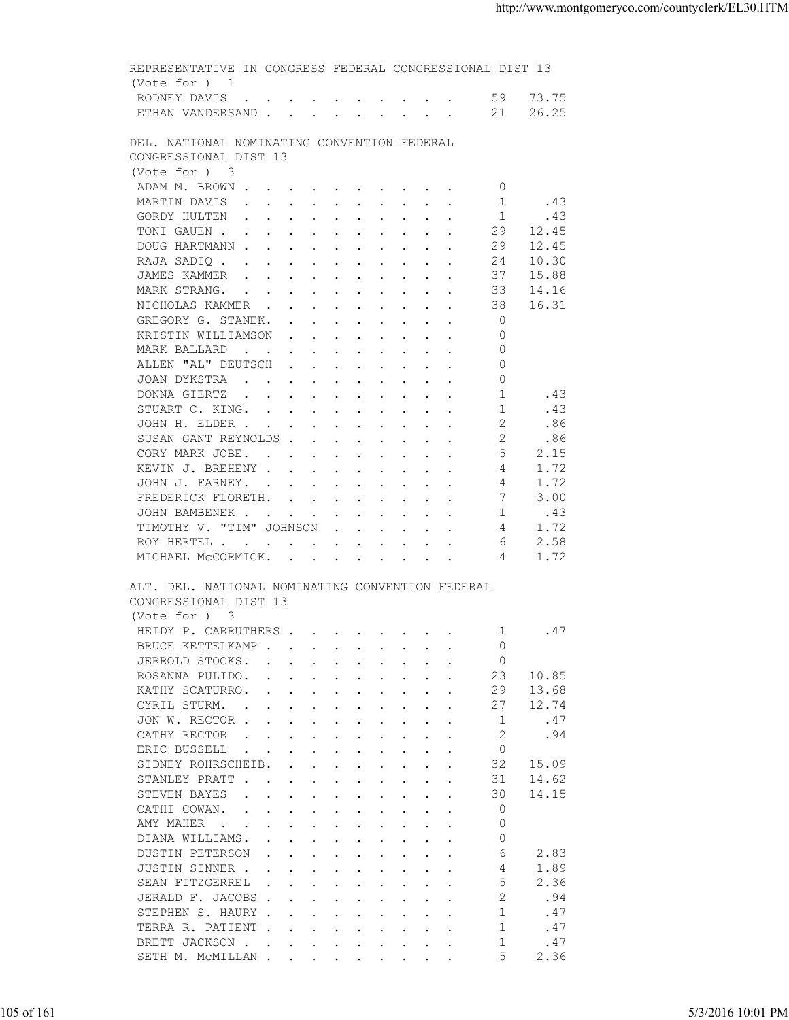| (Vote for $)$ 1<br>RODNEY DAVIS 59 73.75<br>ETHAN VANDERSAND 21<br>26.25                                                                                                                                                                                                                                                                                                                                                                                    |                   |
|-------------------------------------------------------------------------------------------------------------------------------------------------------------------------------------------------------------------------------------------------------------------------------------------------------------------------------------------------------------------------------------------------------------------------------------------------------------|-------------------|
|                                                                                                                                                                                                                                                                                                                                                                                                                                                             |                   |
| DEL. NATIONAL NOMINATING CONVENTION FEDERAL<br>CONGRESSIONAL DIST 13                                                                                                                                                                                                                                                                                                                                                                                        |                   |
| (Vote for ) 3                                                                                                                                                                                                                                                                                                                                                                                                                                               |                   |
| ADAM M. BROWN<br>$\circ$                                                                                                                                                                                                                                                                                                                                                                                                                                    |                   |
| .43<br>MARTIN DAVIS<br>1                                                                                                                                                                                                                                                                                                                                                                                                                                    |                   |
| GORDY HULTEN<br>1<br>.43<br>TONI GAUEN<br>29<br>12.45                                                                                                                                                                                                                                                                                                                                                                                                       |                   |
| DOUG HARTMANN<br>29<br>12.45                                                                                                                                                                                                                                                                                                                                                                                                                                |                   |
| 10.30<br>RAJA SADIQ<br>24                                                                                                                                                                                                                                                                                                                                                                                                                                   |                   |
| JAMES KAMMER<br>37<br>15.88                                                                                                                                                                                                                                                                                                                                                                                                                                 |                   |
| MARK STRANG.<br>14.16<br>33                                                                                                                                                                                                                                                                                                                                                                                                                                 |                   |
| 16.31<br>NICHOLAS KAMMER<br>38                                                                                                                                                                                                                                                                                                                                                                                                                              |                   |
| $\overline{0}$<br>GREGORY G. STANEK.                                                                                                                                                                                                                                                                                                                                                                                                                        |                   |
| $\circ$<br>KRISTIN WILLIAMSON                                                                                                                                                                                                                                                                                                                                                                                                                               |                   |
| $\circ$<br>MARK BALLARD                                                                                                                                                                                                                                                                                                                                                                                                                                     |                   |
| ALLEN "AL" DEUTSCH<br>$\circ$                                                                                                                                                                                                                                                                                                                                                                                                                               |                   |
| JOAN DYKSTRA<br>0<br>1                                                                                                                                                                                                                                                                                                                                                                                                                                      |                   |
| DONNA GIERTZ<br>.43<br>1<br>.43<br>STUART C. KING.                                                                                                                                                                                                                                                                                                                                                                                                          |                   |
| 2<br>JOHN H. ELDER<br>.86                                                                                                                                                                                                                                                                                                                                                                                                                                   |                   |
| 2<br>SUSAN GANT REYNOLDS<br>.86                                                                                                                                                                                                                                                                                                                                                                                                                             |                   |
| $5^{\circ}$<br>2.15<br>CORY MARK JOBE.                                                                                                                                                                                                                                                                                                                                                                                                                      |                   |
| KEVIN J. BREHENY<br>4<br>1.72                                                                                                                                                                                                                                                                                                                                                                                                                               |                   |
| 1.72<br>JOHN J. FARNEY.<br>4                                                                                                                                                                                                                                                                                                                                                                                                                                |                   |
| 7<br>3.00<br>FREDERICK FLORETH.                                                                                                                                                                                                                                                                                                                                                                                                                             |                   |
| JOHN BAMBENEK<br>1<br>.43                                                                                                                                                                                                                                                                                                                                                                                                                                   |                   |
| TIMOTHY V. "TIM" JOHNSON<br>1.72<br>4                                                                                                                                                                                                                                                                                                                                                                                                                       |                   |
| 2.58<br>ROY HERTEL<br>6<br>1.72<br>MICHAEL MCCORMICK.<br>4                                                                                                                                                                                                                                                                                                                                                                                                  |                   |
| (Vote for ) 3<br>HEIDY P. CARRUTHERS 1 . 47                                                                                                                                                                                                                                                                                                                                                                                                                 |                   |
| $\Omega$<br>BRUCE KETTELKAMP                                                                                                                                                                                                                                                                                                                                                                                                                                |                   |
| $\Omega$<br>JERROLD STOCKS.<br>$\mathbf{r}$ , and $\mathbf{r}$ , and $\mathbf{r}$ , and $\mathbf{r}$                                                                                                                                                                                                                                                                                                                                                        |                   |
| 23<br>ROSANNA PULIDO.<br>10.85<br>$\mathbf{r}$ , and $\mathbf{r}$ , and $\mathbf{r}$ , and $\mathbf{r}$ , and $\mathbf{r}$<br>13.68<br>KATHY SCATURRO.<br>29<br>$\mathbf{r}$ , $\mathbf{r}$ , $\mathbf{r}$ , $\mathbf{r}$ , $\mathbf{r}$ , $\mathbf{r}$ , $\mathbf{r}$                                                                                                                                                                                      |                   |
| CYRIL STURM.<br>27<br>12.74<br>$\mathbf{r} = \mathbf{r} + \mathbf{r} + \mathbf{r} + \mathbf{r} + \mathbf{r} + \mathbf{r} + \mathbf{r} + \mathbf{r} + \mathbf{r} + \mathbf{r} + \mathbf{r} + \mathbf{r} + \mathbf{r} + \mathbf{r} + \mathbf{r} + \mathbf{r} + \mathbf{r} + \mathbf{r} + \mathbf{r} + \mathbf{r} + \mathbf{r} + \mathbf{r} + \mathbf{r} + \mathbf{r} + \mathbf{r} + \mathbf{r} + \mathbf{r} + \mathbf{r} + \mathbf{r} + \mathbf{r} + \mathbf$ |                   |
| JON W. RECTOR<br>.47<br>-1                                                                                                                                                                                                                                                                                                                                                                                                                                  |                   |
| 2<br>.94<br>CATHY RECTOR<br>$\mathbf{r}$ , $\mathbf{r}$ , $\mathbf{r}$ , $\mathbf{r}$ , $\mathbf{r}$                                                                                                                                                                                                                                                                                                                                                        |                   |
| ERIC BUSSELL<br>$\circ$<br>$\sim 100$ km s $^{-1}$<br>$\mathbf{r}$ . The set of $\mathbf{r}$<br>$\sim$                                                                                                                                                                                                                                                                                                                                                      |                   |
| SIDNEY ROHRSCHEIB.<br>32<br>15.09<br>$\sim$<br>$\cdot$<br>$\ddot{\phantom{a}}$<br>$\ddot{\phantom{a}}$                                                                                                                                                                                                                                                                                                                                                      |                   |
| 31<br>STANLEY PRATT<br>14.62<br>$\cdot$ $\cdot$<br>$\mathbf{r} = \mathbf{r} + \mathbf{r} + \mathbf{r} + \mathbf{r} + \mathbf{r} + \mathbf{r}$<br>$\sim$                                                                                                                                                                                                                                                                                                     |                   |
| STEVEN BAYES<br>30<br>14.15<br>$\cdot$ $\cdot$<br>$\mathbf{r}$ , and $\mathbf{r}$ , and $\mathbf{r}$ , and $\mathbf{r}$<br>$\sim$<br>$\sim$                                                                                                                                                                                                                                                                                                                 |                   |
| $\circ$<br>CATHI COWAN.<br>$\mathbf{L} = \mathbf{L}$<br>the contract of the contract of the contract of the contract of the contract of the contract of the contract of                                                                                                                                                                                                                                                                                     |                   |
| $\circ$<br>AMY MAHER<br>$\mathbf{r}$ , and $\mathbf{r}$ , and $\mathbf{r}$ , and $\mathbf{r}$ , and $\mathbf{r}$<br>$\ddot{\phantom{0}}$<br>$\circ$                                                                                                                                                                                                                                                                                                         |                   |
| DIANA WILLIAMS.<br>$\mathbf{r}$ , and $\mathbf{r}$ , and $\mathbf{r}$ , and $\mathbf{r}$<br><b>DUSTIN PETERSON</b><br>6<br>2.83<br>$\mathbf{r}$ , and $\mathbf{r}$ , and $\mathbf{r}$ , and $\mathbf{r}$ , and $\mathbf{r}$                                                                                                                                                                                                                                 |                   |
| 1.89<br>JUSTIN SINNER .<br>4<br>the contract of the contract of the contract of the contract of the contract of the contract of the contract of                                                                                                                                                                                                                                                                                                             |                   |
| 5<br>2.36<br>SEAN FITZGERREL                                                                                                                                                                                                                                                                                                                                                                                                                                |                   |
| .94<br>JERALD F. JACOBS<br>2                                                                                                                                                                                                                                                                                                                                                                                                                                |                   |
| STEPHEN S. HAURY<br>.47<br>-1                                                                                                                                                                                                                                                                                                                                                                                                                               |                   |
| $\mathbf{1}$<br>.47<br>TERRA R. PATIENT                                                                                                                                                                                                                                                                                                                                                                                                                     |                   |
| BRETT JACKSON .<br>$\overline{1}$<br>.47<br>and the contract of the contract of the contract of the contract of the contract of the contract of the contract of the contract of the contract of the contract of the contract of the contract of the contract of the contra                                                                                                                                                                                  |                   |
| 5<br>2.36<br>SETH M. MCMILLAN                                                                                                                                                                                                                                                                                                                                                                                                                               |                   |
|                                                                                                                                                                                                                                                                                                                                                                                                                                                             |                   |
|                                                                                                                                                                                                                                                                                                                                                                                                                                                             | 5/3/2016 10:01 PM |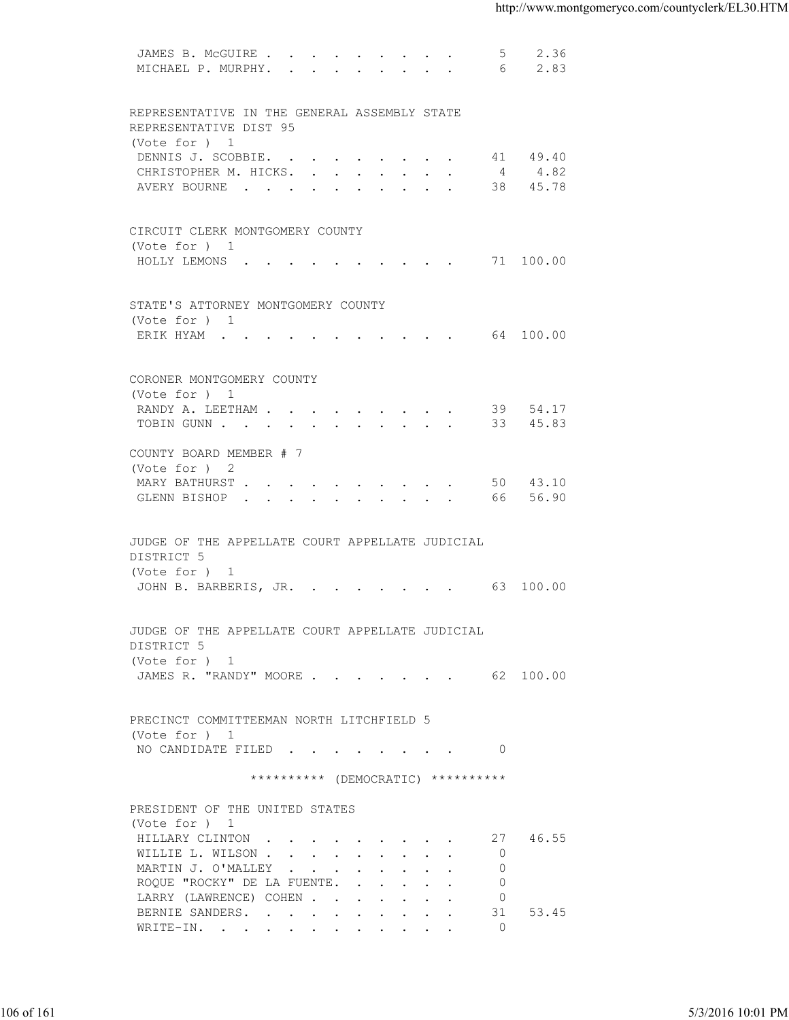| MICHAEL P. MURPHY.<br>2.83<br>6<br>REPRESENTATIVE IN THE GENERAL ASSEMBLY STATE<br>REPRESENTATIVE DIST 95<br>(Vote for ) 1<br>DENNIS J. SCOBBIE. 41 49.40<br>CHRISTOPHER M. HICKS. 4 4.82<br>AVERY BOURNE 38 45.78<br>CIRCUIT CLERK MONTGOMERY COUNTY<br>(Vote for ) 1<br>HOLLY LEMONS 71 100.00<br>STATE'S ATTORNEY MONTGOMERY COUNTY<br>(Vote for ) 1<br>ERIK HYAM 64 100.00<br>CORONER MONTGOMERY COUNTY<br>(Vote for ) 1<br>RANDY A. LEETHAM 39 54.17<br>TOBIN GUNN 33 45.83<br>COUNTY BOARD MEMBER # 7<br>(Vote for ) 2<br>MARY BATHURST 50 43.10<br>GLENN BISHOP 66 56.90<br>JUDGE OF THE APPELLATE COURT APPELLATE JUDICIAL<br>DISTRICT 5<br>(Vote for ) 1<br>JOHN B. BARBERIS, JR. 63 100.00<br>JUDGE OF THE APPELLATE COURT APPELLATE JUDICIAL<br>DISTRICT 5<br>(Vote for ) 1<br>JAMES R. "RANDY" MOORE 62 100.00<br>PRECINCT COMMITTEEMAN NORTH LITCHFIELD 5<br>(Vote for ) 1<br>NO CANDIDATE FILED 0<br>********** (DEMOCRATIC) **********<br>PRESIDENT OF THE UNITED STATES<br>(Vote for ) 1<br>27 46.55<br>HILLARY CLINTON<br>$\overline{0}$<br>WILLIE L. WILSON<br>$\Omega$<br>MARTIN J. O'MALLEY<br>$\overline{0}$<br>ROQUE "ROCKY" DE LA FUENTE.<br>LARRY (LAWRENCE) COHEN<br>$\overline{0}$<br>53.45<br>BERNIE SANDERS.<br>31<br>$\overline{0}$<br>WRITE-IN. | 5/3/2016 10:01 PM | JAMES B. MCGUIRE | 5 | 2.36 |  |
|-------------------------------------------------------------------------------------------------------------------------------------------------------------------------------------------------------------------------------------------------------------------------------------------------------------------------------------------------------------------------------------------------------------------------------------------------------------------------------------------------------------------------------------------------------------------------------------------------------------------------------------------------------------------------------------------------------------------------------------------------------------------------------------------------------------------------------------------------------------------------------------------------------------------------------------------------------------------------------------------------------------------------------------------------------------------------------------------------------------------------------------------------------------------------------------------------------------------------------------------------------------------------------|-------------------|------------------|---|------|--|
|                                                                                                                                                                                                                                                                                                                                                                                                                                                                                                                                                                                                                                                                                                                                                                                                                                                                                                                                                                                                                                                                                                                                                                                                                                                                               |                   |                  |   |      |  |
|                                                                                                                                                                                                                                                                                                                                                                                                                                                                                                                                                                                                                                                                                                                                                                                                                                                                                                                                                                                                                                                                                                                                                                                                                                                                               |                   |                  |   |      |  |
| 106 of 161                                                                                                                                                                                                                                                                                                                                                                                                                                                                                                                                                                                                                                                                                                                                                                                                                                                                                                                                                                                                                                                                                                                                                                                                                                                                    |                   |                  |   |      |  |
|                                                                                                                                                                                                                                                                                                                                                                                                                                                                                                                                                                                                                                                                                                                                                                                                                                                                                                                                                                                                                                                                                                                                                                                                                                                                               |                   |                  |   |      |  |
|                                                                                                                                                                                                                                                                                                                                                                                                                                                                                                                                                                                                                                                                                                                                                                                                                                                                                                                                                                                                                                                                                                                                                                                                                                                                               |                   |                  |   |      |  |
|                                                                                                                                                                                                                                                                                                                                                                                                                                                                                                                                                                                                                                                                                                                                                                                                                                                                                                                                                                                                                                                                                                                                                                                                                                                                               |                   |                  |   |      |  |
|                                                                                                                                                                                                                                                                                                                                                                                                                                                                                                                                                                                                                                                                                                                                                                                                                                                                                                                                                                                                                                                                                                                                                                                                                                                                               |                   |                  |   |      |  |
|                                                                                                                                                                                                                                                                                                                                                                                                                                                                                                                                                                                                                                                                                                                                                                                                                                                                                                                                                                                                                                                                                                                                                                                                                                                                               |                   |                  |   |      |  |
|                                                                                                                                                                                                                                                                                                                                                                                                                                                                                                                                                                                                                                                                                                                                                                                                                                                                                                                                                                                                                                                                                                                                                                                                                                                                               |                   |                  |   |      |  |
|                                                                                                                                                                                                                                                                                                                                                                                                                                                                                                                                                                                                                                                                                                                                                                                                                                                                                                                                                                                                                                                                                                                                                                                                                                                                               |                   |                  |   |      |  |
|                                                                                                                                                                                                                                                                                                                                                                                                                                                                                                                                                                                                                                                                                                                                                                                                                                                                                                                                                                                                                                                                                                                                                                                                                                                                               |                   |                  |   |      |  |
|                                                                                                                                                                                                                                                                                                                                                                                                                                                                                                                                                                                                                                                                                                                                                                                                                                                                                                                                                                                                                                                                                                                                                                                                                                                                               |                   |                  |   |      |  |
|                                                                                                                                                                                                                                                                                                                                                                                                                                                                                                                                                                                                                                                                                                                                                                                                                                                                                                                                                                                                                                                                                                                                                                                                                                                                               |                   |                  |   |      |  |
|                                                                                                                                                                                                                                                                                                                                                                                                                                                                                                                                                                                                                                                                                                                                                                                                                                                                                                                                                                                                                                                                                                                                                                                                                                                                               |                   |                  |   |      |  |
|                                                                                                                                                                                                                                                                                                                                                                                                                                                                                                                                                                                                                                                                                                                                                                                                                                                                                                                                                                                                                                                                                                                                                                                                                                                                               |                   |                  |   |      |  |
|                                                                                                                                                                                                                                                                                                                                                                                                                                                                                                                                                                                                                                                                                                                                                                                                                                                                                                                                                                                                                                                                                                                                                                                                                                                                               |                   |                  |   |      |  |
|                                                                                                                                                                                                                                                                                                                                                                                                                                                                                                                                                                                                                                                                                                                                                                                                                                                                                                                                                                                                                                                                                                                                                                                                                                                                               |                   |                  |   |      |  |
|                                                                                                                                                                                                                                                                                                                                                                                                                                                                                                                                                                                                                                                                                                                                                                                                                                                                                                                                                                                                                                                                                                                                                                                                                                                                               |                   |                  |   |      |  |
|                                                                                                                                                                                                                                                                                                                                                                                                                                                                                                                                                                                                                                                                                                                                                                                                                                                                                                                                                                                                                                                                                                                                                                                                                                                                               |                   |                  |   |      |  |
|                                                                                                                                                                                                                                                                                                                                                                                                                                                                                                                                                                                                                                                                                                                                                                                                                                                                                                                                                                                                                                                                                                                                                                                                                                                                               |                   |                  |   |      |  |
|                                                                                                                                                                                                                                                                                                                                                                                                                                                                                                                                                                                                                                                                                                                                                                                                                                                                                                                                                                                                                                                                                                                                                                                                                                                                               |                   |                  |   |      |  |
|                                                                                                                                                                                                                                                                                                                                                                                                                                                                                                                                                                                                                                                                                                                                                                                                                                                                                                                                                                                                                                                                                                                                                                                                                                                                               |                   |                  |   |      |  |
|                                                                                                                                                                                                                                                                                                                                                                                                                                                                                                                                                                                                                                                                                                                                                                                                                                                                                                                                                                                                                                                                                                                                                                                                                                                                               |                   |                  |   |      |  |
|                                                                                                                                                                                                                                                                                                                                                                                                                                                                                                                                                                                                                                                                                                                                                                                                                                                                                                                                                                                                                                                                                                                                                                                                                                                                               |                   |                  |   |      |  |
|                                                                                                                                                                                                                                                                                                                                                                                                                                                                                                                                                                                                                                                                                                                                                                                                                                                                                                                                                                                                                                                                                                                                                                                                                                                                               |                   |                  |   |      |  |
|                                                                                                                                                                                                                                                                                                                                                                                                                                                                                                                                                                                                                                                                                                                                                                                                                                                                                                                                                                                                                                                                                                                                                                                                                                                                               |                   |                  |   |      |  |
|                                                                                                                                                                                                                                                                                                                                                                                                                                                                                                                                                                                                                                                                                                                                                                                                                                                                                                                                                                                                                                                                                                                                                                                                                                                                               |                   |                  |   |      |  |
|                                                                                                                                                                                                                                                                                                                                                                                                                                                                                                                                                                                                                                                                                                                                                                                                                                                                                                                                                                                                                                                                                                                                                                                                                                                                               |                   |                  |   |      |  |
|                                                                                                                                                                                                                                                                                                                                                                                                                                                                                                                                                                                                                                                                                                                                                                                                                                                                                                                                                                                                                                                                                                                                                                                                                                                                               |                   |                  |   |      |  |
|                                                                                                                                                                                                                                                                                                                                                                                                                                                                                                                                                                                                                                                                                                                                                                                                                                                                                                                                                                                                                                                                                                                                                                                                                                                                               |                   |                  |   |      |  |
|                                                                                                                                                                                                                                                                                                                                                                                                                                                                                                                                                                                                                                                                                                                                                                                                                                                                                                                                                                                                                                                                                                                                                                                                                                                                               |                   |                  |   |      |  |
|                                                                                                                                                                                                                                                                                                                                                                                                                                                                                                                                                                                                                                                                                                                                                                                                                                                                                                                                                                                                                                                                                                                                                                                                                                                                               |                   |                  |   |      |  |
|                                                                                                                                                                                                                                                                                                                                                                                                                                                                                                                                                                                                                                                                                                                                                                                                                                                                                                                                                                                                                                                                                                                                                                                                                                                                               |                   |                  |   |      |  |
|                                                                                                                                                                                                                                                                                                                                                                                                                                                                                                                                                                                                                                                                                                                                                                                                                                                                                                                                                                                                                                                                                                                                                                                                                                                                               |                   |                  |   |      |  |
|                                                                                                                                                                                                                                                                                                                                                                                                                                                                                                                                                                                                                                                                                                                                                                                                                                                                                                                                                                                                                                                                                                                                                                                                                                                                               |                   |                  |   |      |  |
|                                                                                                                                                                                                                                                                                                                                                                                                                                                                                                                                                                                                                                                                                                                                                                                                                                                                                                                                                                                                                                                                                                                                                                                                                                                                               |                   |                  |   |      |  |
|                                                                                                                                                                                                                                                                                                                                                                                                                                                                                                                                                                                                                                                                                                                                                                                                                                                                                                                                                                                                                                                                                                                                                                                                                                                                               |                   |                  |   |      |  |
|                                                                                                                                                                                                                                                                                                                                                                                                                                                                                                                                                                                                                                                                                                                                                                                                                                                                                                                                                                                                                                                                                                                                                                                                                                                                               |                   |                  |   |      |  |
|                                                                                                                                                                                                                                                                                                                                                                                                                                                                                                                                                                                                                                                                                                                                                                                                                                                                                                                                                                                                                                                                                                                                                                                                                                                                               |                   |                  |   |      |  |
|                                                                                                                                                                                                                                                                                                                                                                                                                                                                                                                                                                                                                                                                                                                                                                                                                                                                                                                                                                                                                                                                                                                                                                                                                                                                               |                   |                  |   |      |  |
|                                                                                                                                                                                                                                                                                                                                                                                                                                                                                                                                                                                                                                                                                                                                                                                                                                                                                                                                                                                                                                                                                                                                                                                                                                                                               |                   |                  |   |      |  |
|                                                                                                                                                                                                                                                                                                                                                                                                                                                                                                                                                                                                                                                                                                                                                                                                                                                                                                                                                                                                                                                                                                                                                                                                                                                                               |                   |                  |   |      |  |
|                                                                                                                                                                                                                                                                                                                                                                                                                                                                                                                                                                                                                                                                                                                                                                                                                                                                                                                                                                                                                                                                                                                                                                                                                                                                               |                   |                  |   |      |  |
|                                                                                                                                                                                                                                                                                                                                                                                                                                                                                                                                                                                                                                                                                                                                                                                                                                                                                                                                                                                                                                                                                                                                                                                                                                                                               |                   |                  |   |      |  |
|                                                                                                                                                                                                                                                                                                                                                                                                                                                                                                                                                                                                                                                                                                                                                                                                                                                                                                                                                                                                                                                                                                                                                                                                                                                                               |                   |                  |   |      |  |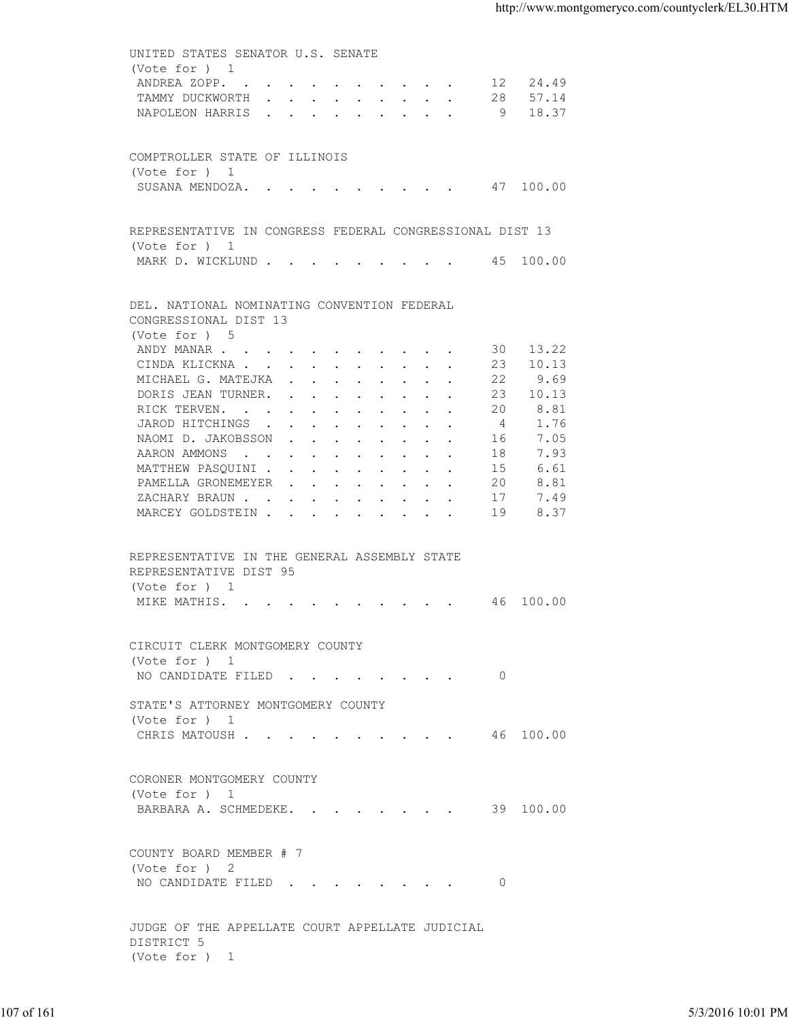UNITED STATES SENATOR U.S. SENATE (Vote for ) 1 ANDREA ZOPP. . . . . . . . . . . 12 24.49 TAMMY DUCKWORTH . . . . . . . . . 28 57.14 NAPOLEON HARRIS . . . . . . . . . 9 18.37 COMPTROLLER STATE OF ILLINOIS (Vote for ) 1 SUSANA MENDOZA. . . . . . . . . . 47 100.00 REPRESENTATIVE IN CONGRESS FEDERAL CONGRESSIONAL DIST 13 (Vote for ) 1 MARK D. WICKLUND . . . . . . . . . 45 100.00 DEL. NATIONAL NOMINATING CONVENTION FEDERAL CONGRESSIONAL DIST 13 (Vote for ) 5 ANDY MANAR . . . . . . . . . . . . 30 13.22 CINDA KLICKNA . . . . . . . . . . 23 10.13<br>MICHAEL G. MATEJKA . . . . . . . . 22 9.69 MICHAEL G. MATEJKA . . . . . . . . 22 9.69<br>DORIS JEAN TURNER. . . . . . . . . 23 10.13 DORIS JEAN TURNER. . . . . . . . . 23 10.13<br>RICK TERVEN. . . . . . . . . . . 20 8.81 RICK TERVEN. . . . . . . . . . . JAROD HITCHINGS . . . . . . . . . 4 1.76 NAOMI D. JAKOBSSON . . . . . . . . 16 7.05<br>AARON AMMONS . . . . . . . . . . . 18 7.93 AARON AMMONS . . . . . . . . . . . 18 7.93<br>MATTHEW PASQUINI . . . . . . . . . 15 6.61 MATTHEW PASQUINI . . . . . . . . . 15 6.61<br>PAMELLA GRONEMEYER . . . . . . . . 20 8.81 PAMELLA GRONEMEYER . . . . . . . . 20<br>ZACHARY BRAUN . . . . . . . . . . 17 ZACHARY BRAUN . . . . . . . . . . 17 7.49 MARCEY GOLDSTEIN . . . . . . . . . 19 8.37 REPRESENTATIVE IN THE GENERAL ASSEMBLY STATE REPRESENTATIVE DIST 95 (Vote for ) 1 MIKE MATHIS. . . . . . . . . . . 46 100.00 CIRCUIT CLERK MONTGOMERY COUNTY (Vote for ) 1 NO CANDIDATE FILED . . . . . . . . 0 STATE'S ATTORNEY MONTGOMERY COUNTY (Vote for ) 1 CHRIS MATOUSH . . . . . . . . . . 46 100.00 CORONER MONTGOMERY COUNTY (Vote for ) 1 BARBARA A. SCHMEDEKE. . . . . . . . 39 100.00 COUNTY BOARD MEMBER # 7 (Vote for ) 2 NO CANDIDATE FILED . . . . . . . . 0 JUDGE OF THE APPELLATE COURT APPELLATE JUDICIAL DISTRICT 5 (Vote for ) 1 107 of 161 5/3/2016 10:01 PM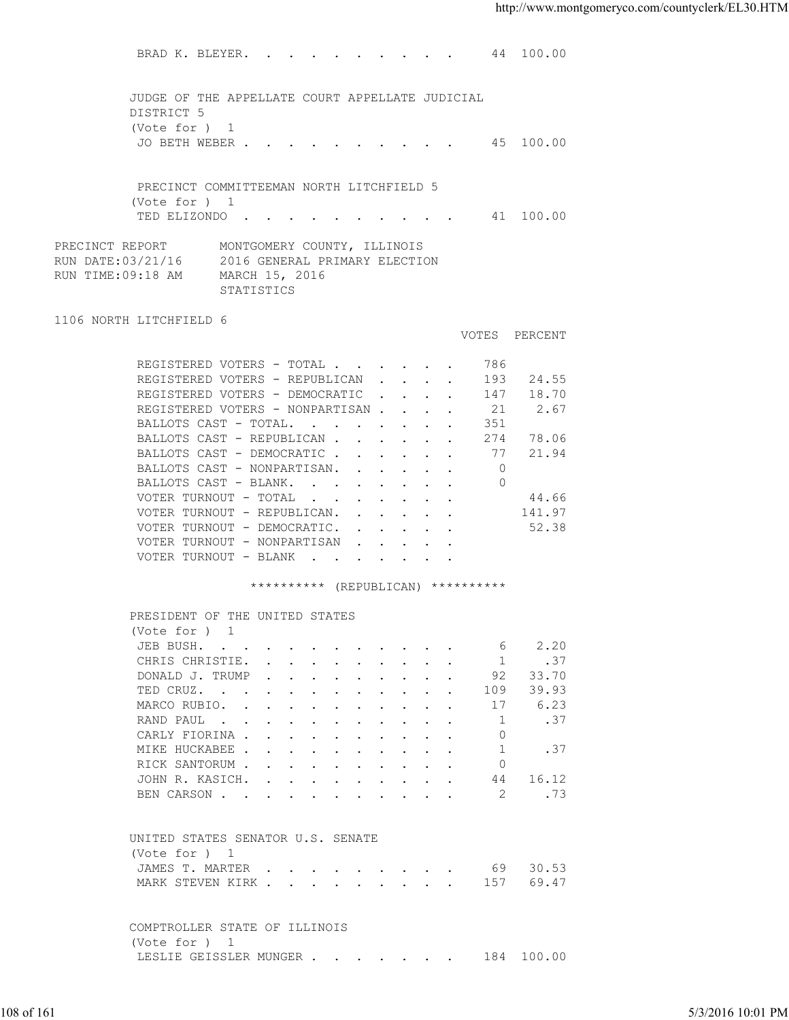BRAD K. BLEYER. . . . . . . . . . 44 100.00 JUDGE OF THE APPELLATE COURT APPELLATE JUDICIAL DISTRICT 5 (Vote for ) 1 JO BETH WEBER . . . . . . . . . . 45 100.00 PRECINCT COMMITTEEMAN NORTH LITCHFIELD 5 (Vote for ) 1 TED ELIZONDO . . . . . . . . . . 41 100.00 PRECINCT REPORT MONTGOMERY COUNTY, ILLINOIS RUN DATE:03/21/16 2016 GENERAL PRIMARY ELECTION RUN TIME:09:18 AM MARCH 15, 2016 STATISTICS 1106 NORTH LITCHFIELD 6 VOTES PERCENT REGISTERED VOTERS - TOTAL . . . . . . 786 REGISTERED VOTERS - REPUBLICAN . . . . 193 24.55<br>REGISTERED VOTERS - DEMOCRATIC . . . . 147 18.70 REGISTERED VOTERS - DEMOCRATIC . . . . 147 REGISTERED VOTERS - NONPARTISAN . . . . 21 2.67 BALLOTS CAST - TOTAL. . . . . . . . 351<br>BALLOTS CAST - REPUBLICAN . . . . . . 274 78.06 BALLOTS CAST - REPUBLICAN . . . . . . BALLOTS CAST - DEMOCRATIC . . . . . . 77 21.94<br>BALLOTS CAST - NONPARTISAN. . . . . . 0<br>BALLOTS CAST - BLANK. . . . . . . . 0 BALLOTS CAST - NONPARTISAN. . . . . . BALLOTS CAST - BLANK. . . . . . . . VOTER TURNOUT - TOTAL . . . . . . . 44.66 VOTER TURNOUT - REPUBLICAN. . . . . . 141.97 VOTER TURNOUT - DEMOCRATIC. . . . . . 52.38 VOTER TURNOUT - NONPARTISAN . . . VOTER TURNOUT - BLANK . . . \*\*\*\*\*\*\*\*\*\* (REPUBLICAN) \*\*\*\*\*\*\*\*\*\* PRESIDENT OF THE UNITED STATES (Vote for ) 1 JEB BUSH. . . . . . . . . . . . . 6 2.20 CHRIS CHRISTIE. . . . . . . . . . . 1 .37<br>DONALD J. TRUMP . . . . . . . . . 92 33.70 DONALD J. TRUMP . . . . . . . . . TED CRUZ. . . . . . . . . . . . 109 39.93 MARCO RUBIO. . . . . . . . . . . 17 6.23 RAND PAUL . . . . . . . . . . . . 1 . 37 CARLY FIORINA . . . . . . . . . . . 0<br>MIKE HUCKABEE . . . . . . . . . . . 1 . 37 MIKE HUCKABEE . . . . . . . . . . 1 RICK SANTORUM . . . . . . . . . . 0 JOHN R. KASICH. . . . . . . . . . 44 16.12<br>BEN CARSON . . . . . . . . . . . 2 .73 BEN CARSON . . . . . . . . . . . . UNITED STATES SENATOR U.S. SENATE (Vote for ) 1 JAMES T. MARTER . . . . . . . . . 69 30.53 MARK STEVEN KIRK . . . . . . . . . 157 69.47 COMPTROLLER STATE OF ILLINOIS (Vote for ) 1 LESLIE GEISSLER MUNGER . . . . . . . 184 100.00 108 of 161 5/3/2016 10:01 PM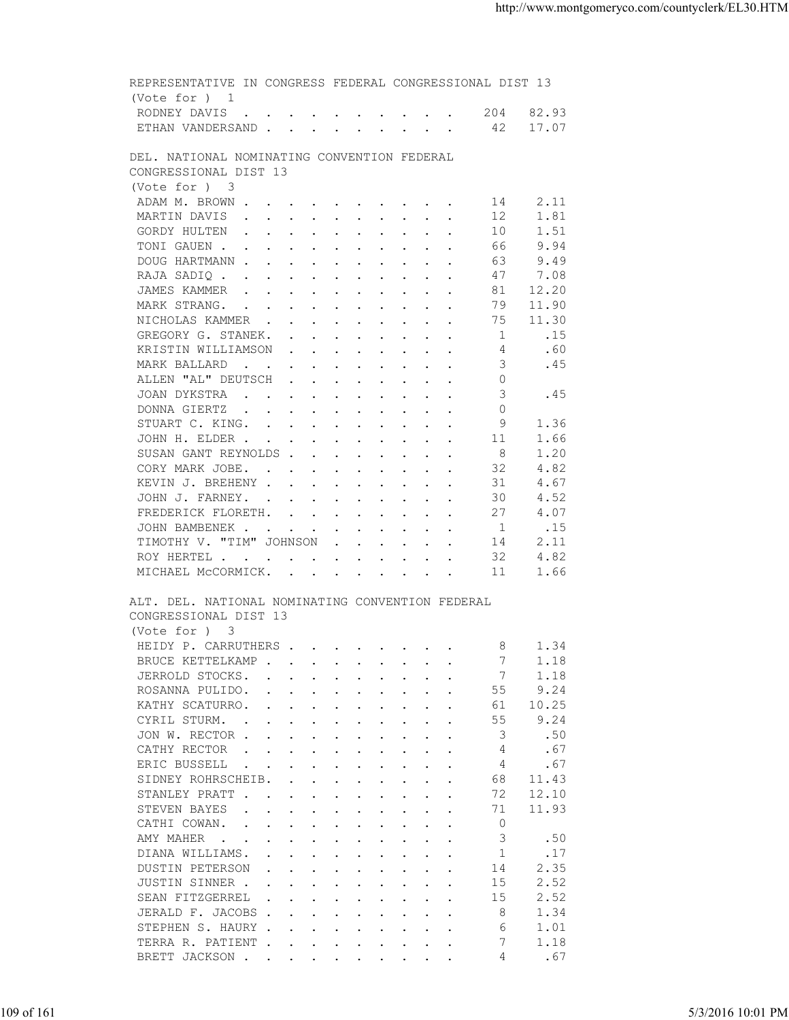| 17.07<br>ETHAN VANDERSAND 42<br>DEL. NATIONAL NOMINATING CONVENTION FEDERAL<br>CONGRESSIONAL DIST 13<br>(Vote for ) 3<br>2.11<br>ADAM M. BROWN<br>14<br>1.81<br>MARTIN DAVIS<br>12<br>GORDY HULTEN<br>10<br>1.51<br>9.94<br>TONI GAUEN<br>66<br>DOUG HARTMANN<br>9.49<br>63.<br>47<br>7.08<br>RAJA SADIQ<br>12.20<br>81<br>JAMES KAMMER<br>79<br>11.90<br>MARK STRANG.<br>NICHOLAS KAMMER<br>11.30<br>75<br>.15<br>GREGORY G. STANEK.<br>1<br>KRISTIN WILLIAMSON<br>.60<br>4<br>MARK BALLARD<br>.45<br>3<br>ALLEN "AL" DEUTSCH<br>$\circ$<br>the contract of the contract of the contract of the contract of the contract of the contract of the contract of<br>JOAN DYKSTRA<br>3<br>.45<br>$\Omega$<br>DONNA GIERTZ<br>STUART C. KING.<br>9<br>1.36<br>JOHN H. ELDER<br>1.66<br>-11<br>SUSAN GANT REYNOLDS<br>-8<br>1.20<br>32<br>4.82<br>CORY MARK JOBE.<br>4.67<br>KEVIN J. BREHENY<br>31<br>4.52<br>JOHN J. FARNEY.<br>30<br>4.07<br>FREDERICK FLORETH.<br>27<br>.15<br>JOHN BAMBENEK<br>-1<br>TIMOTHY V. "TIM" JOHNSON<br>2.11<br>14<br>4.82<br>32<br>ROY HERTEL<br>11<br>MICHAEL MCCORMICK.<br>1.66<br>ALT. DEL. NATIONAL NOMINATING CONVENTION FEDERAL<br>CONGRESSIONAL DIST 13<br>(Vote for ) 3<br>HEIDY P. CARRUTHERS<br>- 8<br>1.34<br>BRUCE KETTELKAMP<br>1.18<br>$\mathbf{r} = \mathbf{r} + \mathbf{r} + \mathbf{r} + \mathbf{r} + \mathbf{r} + \mathbf{r} + \mathbf{r} + \mathbf{r} + \mathbf{r} + \mathbf{r} + \mathbf{r} + \mathbf{r} + \mathbf{r} + \mathbf{r} + \mathbf{r} + \mathbf{r} + \mathbf{r} + \mathbf{r} + \mathbf{r} + \mathbf{r} + \mathbf{r} + \mathbf{r} + \mathbf{r} + \mathbf{r} + \mathbf{r} + \mathbf{r} + \mathbf{r} + \mathbf{r} + \mathbf{r} + \mathbf{r} + \mathbf$<br>JERROLD STOCKS.<br>1.18<br>$\mathbf{r}$ , and $\mathbf{r}$ , and $\mathbf{r}$ , and $\mathbf{r}$<br>9.24<br>55<br>ROSANNA PULIDO.<br>the contract of the contract of the contract of the contract of the contract of the contract of the contract of<br>10.25<br>KATHY SCATURRO.<br>61<br>$\mathbf{r}$ , and $\mathbf{r}$ , and $\mathbf{r}$ , and $\mathbf{r}$ , and $\mathbf{r}$<br>9.24<br>CYRIL STURM.<br>55<br>$\mathbf{r}$ . The set of the set of the set of the set of the set of the set of the set of the set of the set of the set of the set of the set of the set of the set of the set of the set of the set of the set of the set of t<br>JON W. RECTOR<br>3<br>.50<br>CATHY RECTOR<br>.67<br>4<br>$\mathbf{r}$ , and $\mathbf{r}$ , and $\mathbf{r}$ , and $\mathbf{r}$ , and $\mathbf{r}$<br>ERIC BUSSELL<br>.67<br>4<br>$\mathbf{r}$ , and $\mathbf{r}$ , and $\mathbf{r}$ , and $\mathbf{r}$ , and $\mathbf{r}$<br>$\cdot$ $\cdot$<br>SIDNEY ROHRSCHEIB.<br>68<br>11.43<br>$\mathbf{r}$ , $\mathbf{r}$ , $\mathbf{r}$ , $\mathbf{r}$ , $\mathbf{r}$ , $\mathbf{r}$ , $\mathbf{r}$<br>72<br>12.10<br>STANLEY PRATT<br>STEVEN BAYES<br>71<br>11.93<br>$\mathbf{r}$ , $\mathbf{r}$ , $\mathbf{r}$ , $\mathbf{r}$ , $\mathbf{r}$ , $\mathbf{r}$ , $\mathbf{r}$<br>$\circ$<br>CATHI COWAN.<br>$\mathbf{r}$ , $\mathbf{r}$ , $\mathbf{r}$ , $\mathbf{r}$ , $\mathbf{r}$ , $\mathbf{r}$ , $\mathbf{r}$ , $\mathbf{r}$<br>3<br>AMY MAHER<br>.50<br>the contract of the contract of the contract of the contract of the contract of the contract of the contract of<br>DIANA WILLIAMS.<br>-1<br>.17<br>2.35<br>DUSTIN PETERSON<br>14<br>$\mathbf{r}$ , and $\mathbf{r}$ , and $\mathbf{r}$ , and $\mathbf{r}$ , and $\mathbf{r}$<br>15<br>2.52<br>JUSTIN SINNER.<br>the contract of the contract of the contract of the contract of the contract of the contract of the contract of<br>2.52<br>SEAN FITZGERREL<br>15<br>JERALD F. JACOBS<br>8<br>1.34<br>STEPHEN S. HAURY<br>6<br>1.01<br>TERRA R. PATIENT<br>7<br>1.18<br>.67<br>BRETT JACKSON<br>4 | RODNEY DAVIS | 204 82.93 |  |
|-----------------------------------------------------------------------------------------------------------------------------------------------------------------------------------------------------------------------------------------------------------------------------------------------------------------------------------------------------------------------------------------------------------------------------------------------------------------------------------------------------------------------------------------------------------------------------------------------------------------------------------------------------------------------------------------------------------------------------------------------------------------------------------------------------------------------------------------------------------------------------------------------------------------------------------------------------------------------------------------------------------------------------------------------------------------------------------------------------------------------------------------------------------------------------------------------------------------------------------------------------------------------------------------------------------------------------------------------------------------------------------------------------------------------------------------------------------------------------------------------------------------------------------------------------------------------------------------------------------------------------------------------------------------------------------------------------------------------------------------------------------------------------------------------------------------------------------------------------------------------------------------------------------------------------------------------------------------------------------------------------------------------------------------------------------------------------------------------------------------------------------------------------------------------------------------------------------------------------------------------------------------------------------------------------------------------------------------------------------------------------------------------------------------------------------------------------------------------------------------------------------------------------------------------------------------------------------------------------------------------------------------------------------------------------------------------------------------------------------------------------------------------------------------------------------------------------------------------------------------------------------------------------------------------------------------------------------------------------------------------------------------------------------------------------------------------------------------------------------------------------------------------------------------------------------------------------------------------------------------------------------------------------------------------------------------------------------------------------------------------------------------------------------------------------------------------------------------------------------------------------------------------------------------------------------------------------------------------------------------------------------------------------------------------------------------------------------------------------------------------------------------------------|--------------|-----------|--|
|                                                                                                                                                                                                                                                                                                                                                                                                                                                                                                                                                                                                                                                                                                                                                                                                                                                                                                                                                                                                                                                                                                                                                                                                                                                                                                                                                                                                                                                                                                                                                                                                                                                                                                                                                                                                                                                                                                                                                                                                                                                                                                                                                                                                                                                                                                                                                                                                                                                                                                                                                                                                                                                                                                                                                                                                                                                                                                                                                                                                                                                                                                                                                                                                                                                                                                                                                                                                                                                                                                                                                                                                                                                                                                                                                                             |              |           |  |
|                                                                                                                                                                                                                                                                                                                                                                                                                                                                                                                                                                                                                                                                                                                                                                                                                                                                                                                                                                                                                                                                                                                                                                                                                                                                                                                                                                                                                                                                                                                                                                                                                                                                                                                                                                                                                                                                                                                                                                                                                                                                                                                                                                                                                                                                                                                                                                                                                                                                                                                                                                                                                                                                                                                                                                                                                                                                                                                                                                                                                                                                                                                                                                                                                                                                                                                                                                                                                                                                                                                                                                                                                                                                                                                                                                             |              |           |  |
|                                                                                                                                                                                                                                                                                                                                                                                                                                                                                                                                                                                                                                                                                                                                                                                                                                                                                                                                                                                                                                                                                                                                                                                                                                                                                                                                                                                                                                                                                                                                                                                                                                                                                                                                                                                                                                                                                                                                                                                                                                                                                                                                                                                                                                                                                                                                                                                                                                                                                                                                                                                                                                                                                                                                                                                                                                                                                                                                                                                                                                                                                                                                                                                                                                                                                                                                                                                                                                                                                                                                                                                                                                                                                                                                                                             |              |           |  |
|                                                                                                                                                                                                                                                                                                                                                                                                                                                                                                                                                                                                                                                                                                                                                                                                                                                                                                                                                                                                                                                                                                                                                                                                                                                                                                                                                                                                                                                                                                                                                                                                                                                                                                                                                                                                                                                                                                                                                                                                                                                                                                                                                                                                                                                                                                                                                                                                                                                                                                                                                                                                                                                                                                                                                                                                                                                                                                                                                                                                                                                                                                                                                                                                                                                                                                                                                                                                                                                                                                                                                                                                                                                                                                                                                                             |              |           |  |
|                                                                                                                                                                                                                                                                                                                                                                                                                                                                                                                                                                                                                                                                                                                                                                                                                                                                                                                                                                                                                                                                                                                                                                                                                                                                                                                                                                                                                                                                                                                                                                                                                                                                                                                                                                                                                                                                                                                                                                                                                                                                                                                                                                                                                                                                                                                                                                                                                                                                                                                                                                                                                                                                                                                                                                                                                                                                                                                                                                                                                                                                                                                                                                                                                                                                                                                                                                                                                                                                                                                                                                                                                                                                                                                                                                             |              |           |  |
|                                                                                                                                                                                                                                                                                                                                                                                                                                                                                                                                                                                                                                                                                                                                                                                                                                                                                                                                                                                                                                                                                                                                                                                                                                                                                                                                                                                                                                                                                                                                                                                                                                                                                                                                                                                                                                                                                                                                                                                                                                                                                                                                                                                                                                                                                                                                                                                                                                                                                                                                                                                                                                                                                                                                                                                                                                                                                                                                                                                                                                                                                                                                                                                                                                                                                                                                                                                                                                                                                                                                                                                                                                                                                                                                                                             |              |           |  |
|                                                                                                                                                                                                                                                                                                                                                                                                                                                                                                                                                                                                                                                                                                                                                                                                                                                                                                                                                                                                                                                                                                                                                                                                                                                                                                                                                                                                                                                                                                                                                                                                                                                                                                                                                                                                                                                                                                                                                                                                                                                                                                                                                                                                                                                                                                                                                                                                                                                                                                                                                                                                                                                                                                                                                                                                                                                                                                                                                                                                                                                                                                                                                                                                                                                                                                                                                                                                                                                                                                                                                                                                                                                                                                                                                                             |              |           |  |
|                                                                                                                                                                                                                                                                                                                                                                                                                                                                                                                                                                                                                                                                                                                                                                                                                                                                                                                                                                                                                                                                                                                                                                                                                                                                                                                                                                                                                                                                                                                                                                                                                                                                                                                                                                                                                                                                                                                                                                                                                                                                                                                                                                                                                                                                                                                                                                                                                                                                                                                                                                                                                                                                                                                                                                                                                                                                                                                                                                                                                                                                                                                                                                                                                                                                                                                                                                                                                                                                                                                                                                                                                                                                                                                                                                             |              |           |  |
|                                                                                                                                                                                                                                                                                                                                                                                                                                                                                                                                                                                                                                                                                                                                                                                                                                                                                                                                                                                                                                                                                                                                                                                                                                                                                                                                                                                                                                                                                                                                                                                                                                                                                                                                                                                                                                                                                                                                                                                                                                                                                                                                                                                                                                                                                                                                                                                                                                                                                                                                                                                                                                                                                                                                                                                                                                                                                                                                                                                                                                                                                                                                                                                                                                                                                                                                                                                                                                                                                                                                                                                                                                                                                                                                                                             |              |           |  |
|                                                                                                                                                                                                                                                                                                                                                                                                                                                                                                                                                                                                                                                                                                                                                                                                                                                                                                                                                                                                                                                                                                                                                                                                                                                                                                                                                                                                                                                                                                                                                                                                                                                                                                                                                                                                                                                                                                                                                                                                                                                                                                                                                                                                                                                                                                                                                                                                                                                                                                                                                                                                                                                                                                                                                                                                                                                                                                                                                                                                                                                                                                                                                                                                                                                                                                                                                                                                                                                                                                                                                                                                                                                                                                                                                                             |              |           |  |
|                                                                                                                                                                                                                                                                                                                                                                                                                                                                                                                                                                                                                                                                                                                                                                                                                                                                                                                                                                                                                                                                                                                                                                                                                                                                                                                                                                                                                                                                                                                                                                                                                                                                                                                                                                                                                                                                                                                                                                                                                                                                                                                                                                                                                                                                                                                                                                                                                                                                                                                                                                                                                                                                                                                                                                                                                                                                                                                                                                                                                                                                                                                                                                                                                                                                                                                                                                                                                                                                                                                                                                                                                                                                                                                                                                             |              |           |  |
|                                                                                                                                                                                                                                                                                                                                                                                                                                                                                                                                                                                                                                                                                                                                                                                                                                                                                                                                                                                                                                                                                                                                                                                                                                                                                                                                                                                                                                                                                                                                                                                                                                                                                                                                                                                                                                                                                                                                                                                                                                                                                                                                                                                                                                                                                                                                                                                                                                                                                                                                                                                                                                                                                                                                                                                                                                                                                                                                                                                                                                                                                                                                                                                                                                                                                                                                                                                                                                                                                                                                                                                                                                                                                                                                                                             |              |           |  |
|                                                                                                                                                                                                                                                                                                                                                                                                                                                                                                                                                                                                                                                                                                                                                                                                                                                                                                                                                                                                                                                                                                                                                                                                                                                                                                                                                                                                                                                                                                                                                                                                                                                                                                                                                                                                                                                                                                                                                                                                                                                                                                                                                                                                                                                                                                                                                                                                                                                                                                                                                                                                                                                                                                                                                                                                                                                                                                                                                                                                                                                                                                                                                                                                                                                                                                                                                                                                                                                                                                                                                                                                                                                                                                                                                                             |              |           |  |
|                                                                                                                                                                                                                                                                                                                                                                                                                                                                                                                                                                                                                                                                                                                                                                                                                                                                                                                                                                                                                                                                                                                                                                                                                                                                                                                                                                                                                                                                                                                                                                                                                                                                                                                                                                                                                                                                                                                                                                                                                                                                                                                                                                                                                                                                                                                                                                                                                                                                                                                                                                                                                                                                                                                                                                                                                                                                                                                                                                                                                                                                                                                                                                                                                                                                                                                                                                                                                                                                                                                                                                                                                                                                                                                                                                             |              |           |  |
|                                                                                                                                                                                                                                                                                                                                                                                                                                                                                                                                                                                                                                                                                                                                                                                                                                                                                                                                                                                                                                                                                                                                                                                                                                                                                                                                                                                                                                                                                                                                                                                                                                                                                                                                                                                                                                                                                                                                                                                                                                                                                                                                                                                                                                                                                                                                                                                                                                                                                                                                                                                                                                                                                                                                                                                                                                                                                                                                                                                                                                                                                                                                                                                                                                                                                                                                                                                                                                                                                                                                                                                                                                                                                                                                                                             |              |           |  |
|                                                                                                                                                                                                                                                                                                                                                                                                                                                                                                                                                                                                                                                                                                                                                                                                                                                                                                                                                                                                                                                                                                                                                                                                                                                                                                                                                                                                                                                                                                                                                                                                                                                                                                                                                                                                                                                                                                                                                                                                                                                                                                                                                                                                                                                                                                                                                                                                                                                                                                                                                                                                                                                                                                                                                                                                                                                                                                                                                                                                                                                                                                                                                                                                                                                                                                                                                                                                                                                                                                                                                                                                                                                                                                                                                                             |              |           |  |
|                                                                                                                                                                                                                                                                                                                                                                                                                                                                                                                                                                                                                                                                                                                                                                                                                                                                                                                                                                                                                                                                                                                                                                                                                                                                                                                                                                                                                                                                                                                                                                                                                                                                                                                                                                                                                                                                                                                                                                                                                                                                                                                                                                                                                                                                                                                                                                                                                                                                                                                                                                                                                                                                                                                                                                                                                                                                                                                                                                                                                                                                                                                                                                                                                                                                                                                                                                                                                                                                                                                                                                                                                                                                                                                                                                             |              |           |  |
|                                                                                                                                                                                                                                                                                                                                                                                                                                                                                                                                                                                                                                                                                                                                                                                                                                                                                                                                                                                                                                                                                                                                                                                                                                                                                                                                                                                                                                                                                                                                                                                                                                                                                                                                                                                                                                                                                                                                                                                                                                                                                                                                                                                                                                                                                                                                                                                                                                                                                                                                                                                                                                                                                                                                                                                                                                                                                                                                                                                                                                                                                                                                                                                                                                                                                                                                                                                                                                                                                                                                                                                                                                                                                                                                                                             |              |           |  |
|                                                                                                                                                                                                                                                                                                                                                                                                                                                                                                                                                                                                                                                                                                                                                                                                                                                                                                                                                                                                                                                                                                                                                                                                                                                                                                                                                                                                                                                                                                                                                                                                                                                                                                                                                                                                                                                                                                                                                                                                                                                                                                                                                                                                                                                                                                                                                                                                                                                                                                                                                                                                                                                                                                                                                                                                                                                                                                                                                                                                                                                                                                                                                                                                                                                                                                                                                                                                                                                                                                                                                                                                                                                                                                                                                                             |              |           |  |
|                                                                                                                                                                                                                                                                                                                                                                                                                                                                                                                                                                                                                                                                                                                                                                                                                                                                                                                                                                                                                                                                                                                                                                                                                                                                                                                                                                                                                                                                                                                                                                                                                                                                                                                                                                                                                                                                                                                                                                                                                                                                                                                                                                                                                                                                                                                                                                                                                                                                                                                                                                                                                                                                                                                                                                                                                                                                                                                                                                                                                                                                                                                                                                                                                                                                                                                                                                                                                                                                                                                                                                                                                                                                                                                                                                             |              |           |  |
|                                                                                                                                                                                                                                                                                                                                                                                                                                                                                                                                                                                                                                                                                                                                                                                                                                                                                                                                                                                                                                                                                                                                                                                                                                                                                                                                                                                                                                                                                                                                                                                                                                                                                                                                                                                                                                                                                                                                                                                                                                                                                                                                                                                                                                                                                                                                                                                                                                                                                                                                                                                                                                                                                                                                                                                                                                                                                                                                                                                                                                                                                                                                                                                                                                                                                                                                                                                                                                                                                                                                                                                                                                                                                                                                                                             |              |           |  |
|                                                                                                                                                                                                                                                                                                                                                                                                                                                                                                                                                                                                                                                                                                                                                                                                                                                                                                                                                                                                                                                                                                                                                                                                                                                                                                                                                                                                                                                                                                                                                                                                                                                                                                                                                                                                                                                                                                                                                                                                                                                                                                                                                                                                                                                                                                                                                                                                                                                                                                                                                                                                                                                                                                                                                                                                                                                                                                                                                                                                                                                                                                                                                                                                                                                                                                                                                                                                                                                                                                                                                                                                                                                                                                                                                                             |              |           |  |
|                                                                                                                                                                                                                                                                                                                                                                                                                                                                                                                                                                                                                                                                                                                                                                                                                                                                                                                                                                                                                                                                                                                                                                                                                                                                                                                                                                                                                                                                                                                                                                                                                                                                                                                                                                                                                                                                                                                                                                                                                                                                                                                                                                                                                                                                                                                                                                                                                                                                                                                                                                                                                                                                                                                                                                                                                                                                                                                                                                                                                                                                                                                                                                                                                                                                                                                                                                                                                                                                                                                                                                                                                                                                                                                                                                             |              |           |  |
|                                                                                                                                                                                                                                                                                                                                                                                                                                                                                                                                                                                                                                                                                                                                                                                                                                                                                                                                                                                                                                                                                                                                                                                                                                                                                                                                                                                                                                                                                                                                                                                                                                                                                                                                                                                                                                                                                                                                                                                                                                                                                                                                                                                                                                                                                                                                                                                                                                                                                                                                                                                                                                                                                                                                                                                                                                                                                                                                                                                                                                                                                                                                                                                                                                                                                                                                                                                                                                                                                                                                                                                                                                                                                                                                                                             |              |           |  |
|                                                                                                                                                                                                                                                                                                                                                                                                                                                                                                                                                                                                                                                                                                                                                                                                                                                                                                                                                                                                                                                                                                                                                                                                                                                                                                                                                                                                                                                                                                                                                                                                                                                                                                                                                                                                                                                                                                                                                                                                                                                                                                                                                                                                                                                                                                                                                                                                                                                                                                                                                                                                                                                                                                                                                                                                                                                                                                                                                                                                                                                                                                                                                                                                                                                                                                                                                                                                                                                                                                                                                                                                                                                                                                                                                                             |              |           |  |
|                                                                                                                                                                                                                                                                                                                                                                                                                                                                                                                                                                                                                                                                                                                                                                                                                                                                                                                                                                                                                                                                                                                                                                                                                                                                                                                                                                                                                                                                                                                                                                                                                                                                                                                                                                                                                                                                                                                                                                                                                                                                                                                                                                                                                                                                                                                                                                                                                                                                                                                                                                                                                                                                                                                                                                                                                                                                                                                                                                                                                                                                                                                                                                                                                                                                                                                                                                                                                                                                                                                                                                                                                                                                                                                                                                             |              |           |  |
|                                                                                                                                                                                                                                                                                                                                                                                                                                                                                                                                                                                                                                                                                                                                                                                                                                                                                                                                                                                                                                                                                                                                                                                                                                                                                                                                                                                                                                                                                                                                                                                                                                                                                                                                                                                                                                                                                                                                                                                                                                                                                                                                                                                                                                                                                                                                                                                                                                                                                                                                                                                                                                                                                                                                                                                                                                                                                                                                                                                                                                                                                                                                                                                                                                                                                                                                                                                                                                                                                                                                                                                                                                                                                                                                                                             |              |           |  |
|                                                                                                                                                                                                                                                                                                                                                                                                                                                                                                                                                                                                                                                                                                                                                                                                                                                                                                                                                                                                                                                                                                                                                                                                                                                                                                                                                                                                                                                                                                                                                                                                                                                                                                                                                                                                                                                                                                                                                                                                                                                                                                                                                                                                                                                                                                                                                                                                                                                                                                                                                                                                                                                                                                                                                                                                                                                                                                                                                                                                                                                                                                                                                                                                                                                                                                                                                                                                                                                                                                                                                                                                                                                                                                                                                                             |              |           |  |
|                                                                                                                                                                                                                                                                                                                                                                                                                                                                                                                                                                                                                                                                                                                                                                                                                                                                                                                                                                                                                                                                                                                                                                                                                                                                                                                                                                                                                                                                                                                                                                                                                                                                                                                                                                                                                                                                                                                                                                                                                                                                                                                                                                                                                                                                                                                                                                                                                                                                                                                                                                                                                                                                                                                                                                                                                                                                                                                                                                                                                                                                                                                                                                                                                                                                                                                                                                                                                                                                                                                                                                                                                                                                                                                                                                             |              |           |  |
|                                                                                                                                                                                                                                                                                                                                                                                                                                                                                                                                                                                                                                                                                                                                                                                                                                                                                                                                                                                                                                                                                                                                                                                                                                                                                                                                                                                                                                                                                                                                                                                                                                                                                                                                                                                                                                                                                                                                                                                                                                                                                                                                                                                                                                                                                                                                                                                                                                                                                                                                                                                                                                                                                                                                                                                                                                                                                                                                                                                                                                                                                                                                                                                                                                                                                                                                                                                                                                                                                                                                                                                                                                                                                                                                                                             |              |           |  |
|                                                                                                                                                                                                                                                                                                                                                                                                                                                                                                                                                                                                                                                                                                                                                                                                                                                                                                                                                                                                                                                                                                                                                                                                                                                                                                                                                                                                                                                                                                                                                                                                                                                                                                                                                                                                                                                                                                                                                                                                                                                                                                                                                                                                                                                                                                                                                                                                                                                                                                                                                                                                                                                                                                                                                                                                                                                                                                                                                                                                                                                                                                                                                                                                                                                                                                                                                                                                                                                                                                                                                                                                                                                                                                                                                                             |              |           |  |
|                                                                                                                                                                                                                                                                                                                                                                                                                                                                                                                                                                                                                                                                                                                                                                                                                                                                                                                                                                                                                                                                                                                                                                                                                                                                                                                                                                                                                                                                                                                                                                                                                                                                                                                                                                                                                                                                                                                                                                                                                                                                                                                                                                                                                                                                                                                                                                                                                                                                                                                                                                                                                                                                                                                                                                                                                                                                                                                                                                                                                                                                                                                                                                                                                                                                                                                                                                                                                                                                                                                                                                                                                                                                                                                                                                             |              |           |  |
|                                                                                                                                                                                                                                                                                                                                                                                                                                                                                                                                                                                                                                                                                                                                                                                                                                                                                                                                                                                                                                                                                                                                                                                                                                                                                                                                                                                                                                                                                                                                                                                                                                                                                                                                                                                                                                                                                                                                                                                                                                                                                                                                                                                                                                                                                                                                                                                                                                                                                                                                                                                                                                                                                                                                                                                                                                                                                                                                                                                                                                                                                                                                                                                                                                                                                                                                                                                                                                                                                                                                                                                                                                                                                                                                                                             |              |           |  |
|                                                                                                                                                                                                                                                                                                                                                                                                                                                                                                                                                                                                                                                                                                                                                                                                                                                                                                                                                                                                                                                                                                                                                                                                                                                                                                                                                                                                                                                                                                                                                                                                                                                                                                                                                                                                                                                                                                                                                                                                                                                                                                                                                                                                                                                                                                                                                                                                                                                                                                                                                                                                                                                                                                                                                                                                                                                                                                                                                                                                                                                                                                                                                                                                                                                                                                                                                                                                                                                                                                                                                                                                                                                                                                                                                                             |              |           |  |
|                                                                                                                                                                                                                                                                                                                                                                                                                                                                                                                                                                                                                                                                                                                                                                                                                                                                                                                                                                                                                                                                                                                                                                                                                                                                                                                                                                                                                                                                                                                                                                                                                                                                                                                                                                                                                                                                                                                                                                                                                                                                                                                                                                                                                                                                                                                                                                                                                                                                                                                                                                                                                                                                                                                                                                                                                                                                                                                                                                                                                                                                                                                                                                                                                                                                                                                                                                                                                                                                                                                                                                                                                                                                                                                                                                             |              |           |  |
|                                                                                                                                                                                                                                                                                                                                                                                                                                                                                                                                                                                                                                                                                                                                                                                                                                                                                                                                                                                                                                                                                                                                                                                                                                                                                                                                                                                                                                                                                                                                                                                                                                                                                                                                                                                                                                                                                                                                                                                                                                                                                                                                                                                                                                                                                                                                                                                                                                                                                                                                                                                                                                                                                                                                                                                                                                                                                                                                                                                                                                                                                                                                                                                                                                                                                                                                                                                                                                                                                                                                                                                                                                                                                                                                                                             |              |           |  |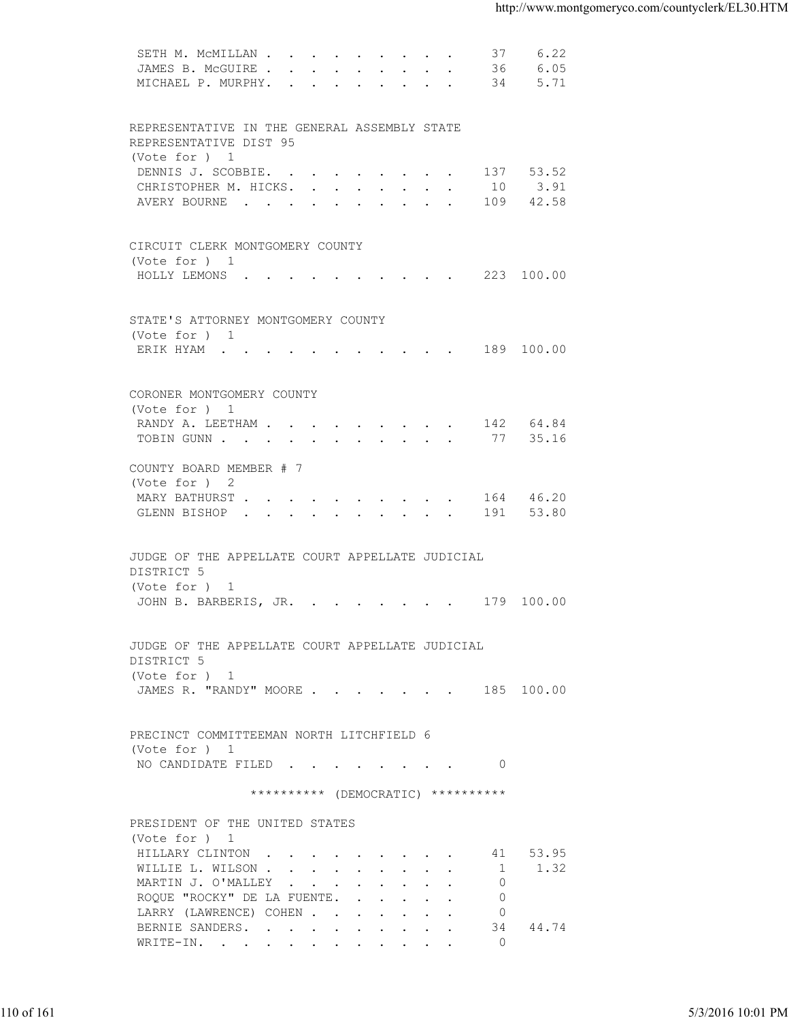| 6.05<br>JAMES B. MCGUIRE<br>36<br>MICHAEL P. MURPHY. 34<br>5.71<br>REPRESENTATIVE IN THE GENERAL ASSEMBLY STATE<br>REPRESENTATIVE DIST 95<br>(Vote for ) 1<br>137 53.52<br>DENNIS J. SCOBBIE.<br>3.91<br>CHRISTOPHER M. HICKS.<br>10<br>AVERY BOURNE 109 42.58<br>CIRCUIT CLERK MONTGOMERY COUNTY<br>(Vote for ) 1<br>HOLLY LEMONS (COMPARISOR (COMPARISOR ) (COMPARISOR ) (COMPARISOR ) (COMPARISOR ) (COMPARISOR ) (COMPARISOR )<br>STATE'S ATTORNEY MONTGOMERY COUNTY<br>(Vote for ) 1<br>ERIK HYAM 189 100.00<br>CORONER MONTGOMERY COUNTY<br>(Vote for ) 1<br>RANDY A. LEETHAM 142 64.84<br>35.16<br>TOBIN GUNN 77<br>COUNTY BOARD MEMBER # 7<br>(Vote for ) 2<br>MARY BATHURST 164 46.20<br>GLENN BISHOP 191 53.80<br>JUDGE OF THE APPELLATE COURT APPELLATE JUDICIAL<br>DISTRICT 5<br>(Vote for ) 1<br>JOHN B. BARBERIS, JR. 179 100.00<br>JUDGE OF THE APPELLATE COURT APPELLATE JUDICIAL<br>DISTRICT 5<br>(Vote for ) 1<br>JAMES R. "RANDY" MOORE 185 100.00<br>PRECINCT COMMITTEEMAN NORTH LITCHFIELD 6<br>(Vote for ) 1<br>NO CANDIDATE FILED 0<br>********** (DEMOCRATIC) **********<br>PRESIDENT OF THE UNITED STATES<br>(Vote for ) 1<br>HILLARY CLINTON<br>41 53.95<br>1 1.32<br>WILLIE L. WILSON<br>MARTIN J. O'MALLEY<br>$\overline{0}$<br>ROQUE "ROCKY" DE LA FUENTE.<br>$\circ$<br>LARRY (LAWRENCE) COHEN<br>$\circ$<br>34 44.74<br>BERNIE SANDERS.<br>$\overline{0}$<br>WRITE-IN.<br>110 of 161<br>5/3/2016 10:01 PM |  |
|------------------------------------------------------------------------------------------------------------------------------------------------------------------------------------------------------------------------------------------------------------------------------------------------------------------------------------------------------------------------------------------------------------------------------------------------------------------------------------------------------------------------------------------------------------------------------------------------------------------------------------------------------------------------------------------------------------------------------------------------------------------------------------------------------------------------------------------------------------------------------------------------------------------------------------------------------------------------------------------------------------------------------------------------------------------------------------------------------------------------------------------------------------------------------------------------------------------------------------------------------------------------------------------------------------------------------------------------------------------------------------------------------------------------------------------|--|
|                                                                                                                                                                                                                                                                                                                                                                                                                                                                                                                                                                                                                                                                                                                                                                                                                                                                                                                                                                                                                                                                                                                                                                                                                                                                                                                                                                                                                                          |  |
|                                                                                                                                                                                                                                                                                                                                                                                                                                                                                                                                                                                                                                                                                                                                                                                                                                                                                                                                                                                                                                                                                                                                                                                                                                                                                                                                                                                                                                          |  |
|                                                                                                                                                                                                                                                                                                                                                                                                                                                                                                                                                                                                                                                                                                                                                                                                                                                                                                                                                                                                                                                                                                                                                                                                                                                                                                                                                                                                                                          |  |
|                                                                                                                                                                                                                                                                                                                                                                                                                                                                                                                                                                                                                                                                                                                                                                                                                                                                                                                                                                                                                                                                                                                                                                                                                                                                                                                                                                                                                                          |  |
|                                                                                                                                                                                                                                                                                                                                                                                                                                                                                                                                                                                                                                                                                                                                                                                                                                                                                                                                                                                                                                                                                                                                                                                                                                                                                                                                                                                                                                          |  |
|                                                                                                                                                                                                                                                                                                                                                                                                                                                                                                                                                                                                                                                                                                                                                                                                                                                                                                                                                                                                                                                                                                                                                                                                                                                                                                                                                                                                                                          |  |
|                                                                                                                                                                                                                                                                                                                                                                                                                                                                                                                                                                                                                                                                                                                                                                                                                                                                                                                                                                                                                                                                                                                                                                                                                                                                                                                                                                                                                                          |  |
|                                                                                                                                                                                                                                                                                                                                                                                                                                                                                                                                                                                                                                                                                                                                                                                                                                                                                                                                                                                                                                                                                                                                                                                                                                                                                                                                                                                                                                          |  |
|                                                                                                                                                                                                                                                                                                                                                                                                                                                                                                                                                                                                                                                                                                                                                                                                                                                                                                                                                                                                                                                                                                                                                                                                                                                                                                                                                                                                                                          |  |
|                                                                                                                                                                                                                                                                                                                                                                                                                                                                                                                                                                                                                                                                                                                                                                                                                                                                                                                                                                                                                                                                                                                                                                                                                                                                                                                                                                                                                                          |  |
|                                                                                                                                                                                                                                                                                                                                                                                                                                                                                                                                                                                                                                                                                                                                                                                                                                                                                                                                                                                                                                                                                                                                                                                                                                                                                                                                                                                                                                          |  |
|                                                                                                                                                                                                                                                                                                                                                                                                                                                                                                                                                                                                                                                                                                                                                                                                                                                                                                                                                                                                                                                                                                                                                                                                                                                                                                                                                                                                                                          |  |
|                                                                                                                                                                                                                                                                                                                                                                                                                                                                                                                                                                                                                                                                                                                                                                                                                                                                                                                                                                                                                                                                                                                                                                                                                                                                                                                                                                                                                                          |  |
|                                                                                                                                                                                                                                                                                                                                                                                                                                                                                                                                                                                                                                                                                                                                                                                                                                                                                                                                                                                                                                                                                                                                                                                                                                                                                                                                                                                                                                          |  |
|                                                                                                                                                                                                                                                                                                                                                                                                                                                                                                                                                                                                                                                                                                                                                                                                                                                                                                                                                                                                                                                                                                                                                                                                                                                                                                                                                                                                                                          |  |
|                                                                                                                                                                                                                                                                                                                                                                                                                                                                                                                                                                                                                                                                                                                                                                                                                                                                                                                                                                                                                                                                                                                                                                                                                                                                                                                                                                                                                                          |  |
|                                                                                                                                                                                                                                                                                                                                                                                                                                                                                                                                                                                                                                                                                                                                                                                                                                                                                                                                                                                                                                                                                                                                                                                                                                                                                                                                                                                                                                          |  |
|                                                                                                                                                                                                                                                                                                                                                                                                                                                                                                                                                                                                                                                                                                                                                                                                                                                                                                                                                                                                                                                                                                                                                                                                                                                                                                                                                                                                                                          |  |
|                                                                                                                                                                                                                                                                                                                                                                                                                                                                                                                                                                                                                                                                                                                                                                                                                                                                                                                                                                                                                                                                                                                                                                                                                                                                                                                                                                                                                                          |  |
|                                                                                                                                                                                                                                                                                                                                                                                                                                                                                                                                                                                                                                                                                                                                                                                                                                                                                                                                                                                                                                                                                                                                                                                                                                                                                                                                                                                                                                          |  |
|                                                                                                                                                                                                                                                                                                                                                                                                                                                                                                                                                                                                                                                                                                                                                                                                                                                                                                                                                                                                                                                                                                                                                                                                                                                                                                                                                                                                                                          |  |
|                                                                                                                                                                                                                                                                                                                                                                                                                                                                                                                                                                                                                                                                                                                                                                                                                                                                                                                                                                                                                                                                                                                                                                                                                                                                                                                                                                                                                                          |  |
|                                                                                                                                                                                                                                                                                                                                                                                                                                                                                                                                                                                                                                                                                                                                                                                                                                                                                                                                                                                                                                                                                                                                                                                                                                                                                                                                                                                                                                          |  |
|                                                                                                                                                                                                                                                                                                                                                                                                                                                                                                                                                                                                                                                                                                                                                                                                                                                                                                                                                                                                                                                                                                                                                                                                                                                                                                                                                                                                                                          |  |
|                                                                                                                                                                                                                                                                                                                                                                                                                                                                                                                                                                                                                                                                                                                                                                                                                                                                                                                                                                                                                                                                                                                                                                                                                                                                                                                                                                                                                                          |  |
|                                                                                                                                                                                                                                                                                                                                                                                                                                                                                                                                                                                                                                                                                                                                                                                                                                                                                                                                                                                                                                                                                                                                                                                                                                                                                                                                                                                                                                          |  |
|                                                                                                                                                                                                                                                                                                                                                                                                                                                                                                                                                                                                                                                                                                                                                                                                                                                                                                                                                                                                                                                                                                                                                                                                                                                                                                                                                                                                                                          |  |
|                                                                                                                                                                                                                                                                                                                                                                                                                                                                                                                                                                                                                                                                                                                                                                                                                                                                                                                                                                                                                                                                                                                                                                                                                                                                                                                                                                                                                                          |  |
|                                                                                                                                                                                                                                                                                                                                                                                                                                                                                                                                                                                                                                                                                                                                                                                                                                                                                                                                                                                                                                                                                                                                                                                                                                                                                                                                                                                                                                          |  |
|                                                                                                                                                                                                                                                                                                                                                                                                                                                                                                                                                                                                                                                                                                                                                                                                                                                                                                                                                                                                                                                                                                                                                                                                                                                                                                                                                                                                                                          |  |
|                                                                                                                                                                                                                                                                                                                                                                                                                                                                                                                                                                                                                                                                                                                                                                                                                                                                                                                                                                                                                                                                                                                                                                                                                                                                                                                                                                                                                                          |  |
|                                                                                                                                                                                                                                                                                                                                                                                                                                                                                                                                                                                                                                                                                                                                                                                                                                                                                                                                                                                                                                                                                                                                                                                                                                                                                                                                                                                                                                          |  |
|                                                                                                                                                                                                                                                                                                                                                                                                                                                                                                                                                                                                                                                                                                                                                                                                                                                                                                                                                                                                                                                                                                                                                                                                                                                                                                                                                                                                                                          |  |
|                                                                                                                                                                                                                                                                                                                                                                                                                                                                                                                                                                                                                                                                                                                                                                                                                                                                                                                                                                                                                                                                                                                                                                                                                                                                                                                                                                                                                                          |  |
|                                                                                                                                                                                                                                                                                                                                                                                                                                                                                                                                                                                                                                                                                                                                                                                                                                                                                                                                                                                                                                                                                                                                                                                                                                                                                                                                                                                                                                          |  |
|                                                                                                                                                                                                                                                                                                                                                                                                                                                                                                                                                                                                                                                                                                                                                                                                                                                                                                                                                                                                                                                                                                                                                                                                                                                                                                                                                                                                                                          |  |
|                                                                                                                                                                                                                                                                                                                                                                                                                                                                                                                                                                                                                                                                                                                                                                                                                                                                                                                                                                                                                                                                                                                                                                                                                                                                                                                                                                                                                                          |  |
|                                                                                                                                                                                                                                                                                                                                                                                                                                                                                                                                                                                                                                                                                                                                                                                                                                                                                                                                                                                                                                                                                                                                                                                                                                                                                                                                                                                                                                          |  |
|                                                                                                                                                                                                                                                                                                                                                                                                                                                                                                                                                                                                                                                                                                                                                                                                                                                                                                                                                                                                                                                                                                                                                                                                                                                                                                                                                                                                                                          |  |
|                                                                                                                                                                                                                                                                                                                                                                                                                                                                                                                                                                                                                                                                                                                                                                                                                                                                                                                                                                                                                                                                                                                                                                                                                                                                                                                                                                                                                                          |  |
|                                                                                                                                                                                                                                                                                                                                                                                                                                                                                                                                                                                                                                                                                                                                                                                                                                                                                                                                                                                                                                                                                                                                                                                                                                                                                                                                                                                                                                          |  |
|                                                                                                                                                                                                                                                                                                                                                                                                                                                                                                                                                                                                                                                                                                                                                                                                                                                                                                                                                                                                                                                                                                                                                                                                                                                                                                                                                                                                                                          |  |
|                                                                                                                                                                                                                                                                                                                                                                                                                                                                                                                                                                                                                                                                                                                                                                                                                                                                                                                                                                                                                                                                                                                                                                                                                                                                                                                                                                                                                                          |  |
|                                                                                                                                                                                                                                                                                                                                                                                                                                                                                                                                                                                                                                                                                                                                                                                                                                                                                                                                                                                                                                                                                                                                                                                                                                                                                                                                                                                                                                          |  |
|                                                                                                                                                                                                                                                                                                                                                                                                                                                                                                                                                                                                                                                                                                                                                                                                                                                                                                                                                                                                                                                                                                                                                                                                                                                                                                                                                                                                                                          |  |
|                                                                                                                                                                                                                                                                                                                                                                                                                                                                                                                                                                                                                                                                                                                                                                                                                                                                                                                                                                                                                                                                                                                                                                                                                                                                                                                                                                                                                                          |  |
|                                                                                                                                                                                                                                                                                                                                                                                                                                                                                                                                                                                                                                                                                                                                                                                                                                                                                                                                                                                                                                                                                                                                                                                                                                                                                                                                                                                                                                          |  |
|                                                                                                                                                                                                                                                                                                                                                                                                                                                                                                                                                                                                                                                                                                                                                                                                                                                                                                                                                                                                                                                                                                                                                                                                                                                                                                                                                                                                                                          |  |
|                                                                                                                                                                                                                                                                                                                                                                                                                                                                                                                                                                                                                                                                                                                                                                                                                                                                                                                                                                                                                                                                                                                                                                                                                                                                                                                                                                                                                                          |  |
|                                                                                                                                                                                                                                                                                                                                                                                                                                                                                                                                                                                                                                                                                                                                                                                                                                                                                                                                                                                                                                                                                                                                                                                                                                                                                                                                                                                                                                          |  |
|                                                                                                                                                                                                                                                                                                                                                                                                                                                                                                                                                                                                                                                                                                                                                                                                                                                                                                                                                                                                                                                                                                                                                                                                                                                                                                                                                                                                                                          |  |
|                                                                                                                                                                                                                                                                                                                                                                                                                                                                                                                                                                                                                                                                                                                                                                                                                                                                                                                                                                                                                                                                                                                                                                                                                                                                                                                                                                                                                                          |  |
|                                                                                                                                                                                                                                                                                                                                                                                                                                                                                                                                                                                                                                                                                                                                                                                                                                                                                                                                                                                                                                                                                                                                                                                                                                                                                                                                                                                                                                          |  |
|                                                                                                                                                                                                                                                                                                                                                                                                                                                                                                                                                                                                                                                                                                                                                                                                                                                                                                                                                                                                                                                                                                                                                                                                                                                                                                                                                                                                                                          |  |
|                                                                                                                                                                                                                                                                                                                                                                                                                                                                                                                                                                                                                                                                                                                                                                                                                                                                                                                                                                                                                                                                                                                                                                                                                                                                                                                                                                                                                                          |  |
|                                                                                                                                                                                                                                                                                                                                                                                                                                                                                                                                                                                                                                                                                                                                                                                                                                                                                                                                                                                                                                                                                                                                                                                                                                                                                                                                                                                                                                          |  |
|                                                                                                                                                                                                                                                                                                                                                                                                                                                                                                                                                                                                                                                                                                                                                                                                                                                                                                                                                                                                                                                                                                                                                                                                                                                                                                                                                                                                                                          |  |
|                                                                                                                                                                                                                                                                                                                                                                                                                                                                                                                                                                                                                                                                                                                                                                                                                                                                                                                                                                                                                                                                                                                                                                                                                                                                                                                                                                                                                                          |  |
|                                                                                                                                                                                                                                                                                                                                                                                                                                                                                                                                                                                                                                                                                                                                                                                                                                                                                                                                                                                                                                                                                                                                                                                                                                                                                                                                                                                                                                          |  |
|                                                                                                                                                                                                                                                                                                                                                                                                                                                                                                                                                                                                                                                                                                                                                                                                                                                                                                                                                                                                                                                                                                                                                                                                                                                                                                                                                                                                                                          |  |
|                                                                                                                                                                                                                                                                                                                                                                                                                                                                                                                                                                                                                                                                                                                                                                                                                                                                                                                                                                                                                                                                                                                                                                                                                                                                                                                                                                                                                                          |  |
|                                                                                                                                                                                                                                                                                                                                                                                                                                                                                                                                                                                                                                                                                                                                                                                                                                                                                                                                                                                                                                                                                                                                                                                                                                                                                                                                                                                                                                          |  |
|                                                                                                                                                                                                                                                                                                                                                                                                                                                                                                                                                                                                                                                                                                                                                                                                                                                                                                                                                                                                                                                                                                                                                                                                                                                                                                                                                                                                                                          |  |
|                                                                                                                                                                                                                                                                                                                                                                                                                                                                                                                                                                                                                                                                                                                                                                                                                                                                                                                                                                                                                                                                                                                                                                                                                                                                                                                                                                                                                                          |  |
|                                                                                                                                                                                                                                                                                                                                                                                                                                                                                                                                                                                                                                                                                                                                                                                                                                                                                                                                                                                                                                                                                                                                                                                                                                                                                                                                                                                                                                          |  |
|                                                                                                                                                                                                                                                                                                                                                                                                                                                                                                                                                                                                                                                                                                                                                                                                                                                                                                                                                                                                                                                                                                                                                                                                                                                                                                                                                                                                                                          |  |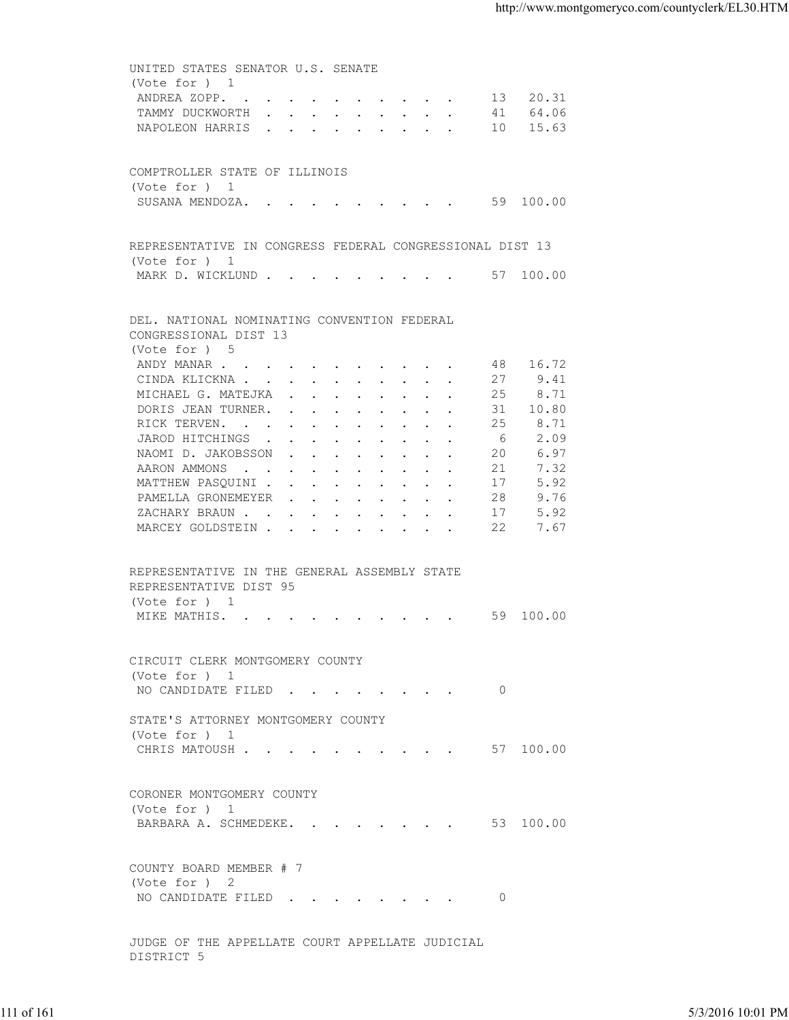UNITED STATES SENATOR U.S. SENATE (Vote for ) 1 ANDREA ZOPP. . . . . . . . . . . 13 20.31 TAMMY DUCKWORTH . . . . . . . . . 41 64.06<br>NAPOLEON HARRIS . . . . . . . . . 10 15.63 NAPOLEON HARRIS . . . . . . . . . COMPTROLLER STATE OF ILLINOIS (Vote for ) 1 SUSANA MENDOZA. . . . . . . . . . 59 100.00 REPRESENTATIVE IN CONGRESS FEDERAL CONGRESSIONAL DIST 13 (Vote for ) 1 MARK D. WICKLUND . . . . . . . . . . 57 100.00 DEL. NATIONAL NOMINATING CONVENTION FEDERAL CONGRESSIONAL DIST 13 (Vote for ) 5<br>ANDY MANAR . . . . . . . . . . . 48 16.72 CINDA KLICKNA . . . . . . . . . . 27 9.41<br>MICHAEL G. MATEJKA . . . . . . . . 25 8.71 MICHAEL G. MATEJKA . . . . . . . . 25 DORIS JEAN TURNER. . . . . . . . . 31 10.80 RICK TERVEN. . . . . . . . . . . 25 8.71 JAROD HITCHINGS . . . . . . . . . . 6 2.09<br>NAOMI D. JAKOBSSON . . . . . . . . 20 6.97 NAOMI D. JAKOBSSON . . . . . . . . 20 6.97<br>AARON AMMONS . . . . . . . . . . 21 7.32 AARON AMMONS . . . . . . . . . . 21 7.32<br>MATTHEW PASQUINI . . . . . . . . . 17 5.92 MATTHEW PASQUINI . . . . . . . . . 17<br>PAMELLA GRONEMEYER . . . . . . . . 28 PAMELLA GRONEMEYER . . . . . . . . 28 9.76 ZACHARY BRAUN . . . . . . . . . . . 17 5.92 MARCEY GOLDSTEIN . . . . . . . . . 22 7.67 REPRESENTATIVE IN THE GENERAL ASSEMBLY STATE REPRESENTATIVE DIST 95 (Vote for ) 1 MIKE MATHIS. . . . . . . . . . . . 59 100.00 CIRCUIT CLERK MONTGOMERY COUNTY (Vote for ) 1 NO CANDIDATE FILED . . . . . . . . 0 STATE'S ATTORNEY MONTGOMERY COUNTY (Vote for ) 1 CHRIS MATOUSH . . . . . . . . . . 57 100.00 CORONER MONTGOMERY COUNTY (Vote for ) 1 BARBARA A. SCHMEDEKE. . . . . . . . 53 100.00 COUNTY BOARD MEMBER # 7 (Vote for ) 2 NO CANDIDATE FILED . . . . . . . . 0 JUDGE OF THE APPELLATE COURT APPELLATE JUDICIAL 111 of 161 5/3/2016 10:01 PM

DISTRICT 5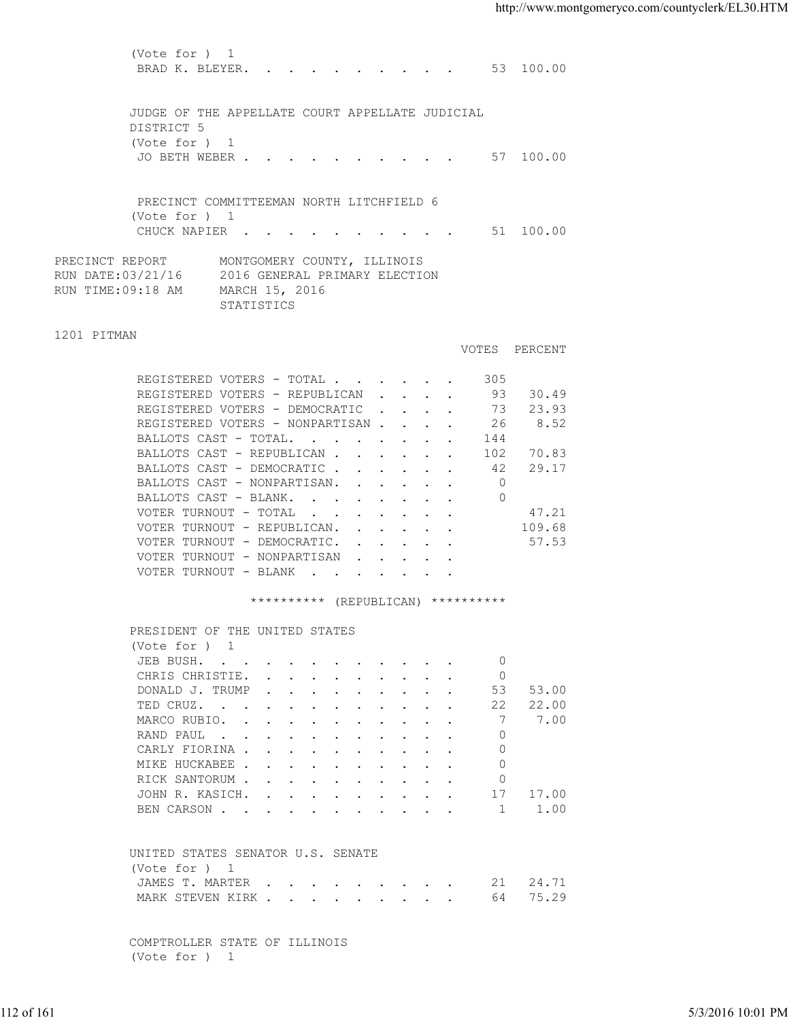(Vote for ) 1 BRAD K. BLEYER. . . . . . . . . . 53 100.00 JUDGE OF THE APPELLATE COURT APPELLATE JUDICIAL DISTRICT 5 (Vote for ) 1 JO BETH WEBER . . . . . . . . . . . 57 100.00 PRECINCT COMMITTEEMAN NORTH LITCHFIELD 6 (Vote for ) 1 CHUCK NAPIER . . . . . . . . . . 51 100.00 PRECINCT REPORT MONTGOMERY COUNTY, ILLINOIS RUN DATE:03/21/16 2016 GENERAL PRIMARY ELECTION RUN TIME:09:18 AM MARCH 15, 2016 STATISTICS 1201 PITMAN VOTES PERCENT REGISTERED VOTERS - TOTAL . . . . . . 305 REGISTERED VOTERS - REPUBLICAN . . . . 93 30.49<br>REGISTERED VOTERS - DEMOCRATIC . . . . 73 23.93 REGISTERED VOTERS - DEMOCRATIC . . . . 73 REGISTERED VOTERS - NONPARTISAN . . . . 26 8.52 BALLOTS CAST - TOTAL. . . . . . . . 144 BALLOTS CAST - REPUBLICAN . . . . . . 102 70.83<br>BALLOTS CAST - DEMOCRATIC . . . . . . 42 29.17 BALLOTS CAST - DEMOCRATIC . . . . . . BALLOTS CAST - NONPARTISAN. . . . . . 0<br>BALLOTS CAST - BLANK. . . . . . . . . 0 BALLOTS CAST - BLANK. . . . . . . . VOTER TURNOUT - TOTAL . . . . . . . 47.21 VOTER TURNOUT - REPUBLICAN. . . . . . 109.68 VOTER TURNOUT - DEMOCRATIC. . . . . . 57.53 VOTER TURNOUT - NONPARTISAN . . . . VOTER TURNOUT - BLANK . . . . . \*\*\*\*\*\*\*\*\*\* (REPUBLICAN) \*\*\*\*\*\*\*\*\*\* PRESIDENT OF THE UNITED STATES (Vote for ) 1 JEB BUSH. . . . . . . . . . . . 0 CHRIS CHRISTIE. . . . . . . . . 0 DONALD J. TRUMP . . . . . . . . . . 53 53.00 TED CRUZ. . . . . . . . . . . . 22 22.00 MARCO RUBIO. . . . . . . . . . . 7 7.00 RAND PAUL . . . . . . . . . . . 0 CARLY FIORINA . . . . . . . . . . 0 MIKE HUCKABEE . . . . . . . . . . 0 RICK SANTORUM . . . . . . . . . . 0 JOHN R. KASICH. . . . . . . . . . . 17 17.00<br>BEN CARSON . . . . . . . . . . . 1 1.00 BEN CARSON . . . . . . . . . . . . 1 1.00 UNITED STATES SENATOR U.S. SENATE (Vote for ) 1 JAMES T. MARTER . . . . . . . . . 21 24.71 MARK STEVEN KIRK . . . . . . . . . . 64 75.29 112 of 161 5/3/2016 10:01 PM

 COMPTROLLER STATE OF ILLINOIS (Vote for ) 1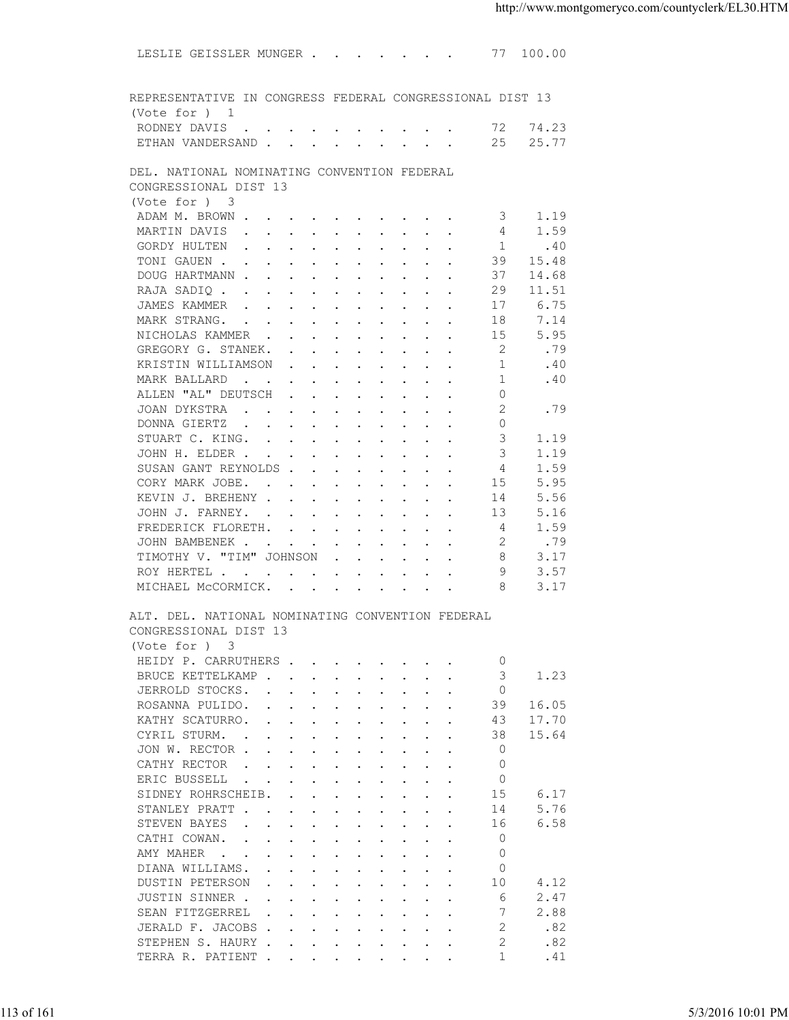| REPRESENTATIVE IN CONGRESS FEDERAL CONGRESSIONAL DIST 13<br>(Vote for ) 1                                                                                                                                                                                              |  |
|------------------------------------------------------------------------------------------------------------------------------------------------------------------------------------------------------------------------------------------------------------------------|--|
| RODNEY DAVIS 72 74.23                                                                                                                                                                                                                                                  |  |
| ETHAN VANDERSAND 25<br>25.77                                                                                                                                                                                                                                           |  |
| DEL. NATIONAL NOMINATING CONVENTION FEDERAL                                                                                                                                                                                                                            |  |
| CONGRESSIONAL DIST 13                                                                                                                                                                                                                                                  |  |
| (Vote for ) 3                                                                                                                                                                                                                                                          |  |
| 1.19<br>ADAM M. BROWN<br>3                                                                                                                                                                                                                                             |  |
| 1.59<br>MARTIN DAVIS<br>4                                                                                                                                                                                                                                              |  |
| GORDY HULTEN<br>1<br>.40                                                                                                                                                                                                                                               |  |
| 39<br>15.48<br>TONIGAUEN                                                                                                                                                                                                                                               |  |
| 37<br>DOUG HARTMANN<br>14.68                                                                                                                                                                                                                                           |  |
| 29<br>11.51<br>RAJA SADIQ                                                                                                                                                                                                                                              |  |
| 17<br>6.75                                                                                                                                                                                                                                                             |  |
| 7.14<br>MARK STRANG.<br>18<br>15<br>5.95<br>NICHOLAS KAMMER                                                                                                                                                                                                            |  |
| -2<br>.79<br>GREGORY G. STANEK.                                                                                                                                                                                                                                        |  |
| KRISTIN WILLIAMSON<br>.40<br>1                                                                                                                                                                                                                                         |  |
| 1<br>.40<br>MARK BALLARD                                                                                                                                                                                                                                               |  |
| ALLEN "AL" DEUTSCH<br>$\circ$                                                                                                                                                                                                                                          |  |
| 2<br>JOAN DYKSTRA<br>.79                                                                                                                                                                                                                                               |  |
| $\Omega$<br>DONNA GIERTZ                                                                                                                                                                                                                                               |  |
| 3<br>STUART C. KING.<br>1.19                                                                                                                                                                                                                                           |  |
| 3<br>JOHN H. ELDER<br>1.19                                                                                                                                                                                                                                             |  |
| SUSAN GANT REYNOLDS<br>4<br>1.59                                                                                                                                                                                                                                       |  |
| CORY MARK JOBE.<br>5.95<br>15                                                                                                                                                                                                                                          |  |
| 5.56<br>KEVIN J. BREHENY<br>14                                                                                                                                                                                                                                         |  |
| 13<br>5.16<br>JOHN J. FARNEY.                                                                                                                                                                                                                                          |  |
| 1.59<br>FREDERICK FLORETH.<br>4                                                                                                                                                                                                                                        |  |
| 2<br>.79<br>JOHN BAMBENEK                                                                                                                                                                                                                                              |  |
| TIMOTHY V. "TIM" JOHNSON<br>8<br>3.17                                                                                                                                                                                                                                  |  |
| ROY HERTEL<br>9<br>3.57                                                                                                                                                                                                                                                |  |
| MICHAEL MCCORMICK.<br>8<br>3.17                                                                                                                                                                                                                                        |  |
| ALT. DEL. NATIONAL NOMINATING CONVENTION FEDERAL                                                                                                                                                                                                                       |  |
| CONGRESSIONAL DIST 13<br>(Vote for ) 3<br>0                                                                                                                                                                                                                            |  |
| HEIDY P. CARRUTHERS<br>3<br>BRUCE KETTELKAMP<br>1.23                                                                                                                                                                                                                   |  |
| $\Omega$<br>JERROLD STOCKS.<br>$\mathbf{r}$ , and $\mathbf{r}$ , and $\mathbf{r}$ , and $\mathbf{r}$ , and $\mathbf{r}$                                                                                                                                                |  |
| 39<br>ROSANNA PULIDO.<br>16.05                                                                                                                                                                                                                                         |  |
| 17.70<br>KATHY SCATURRO.<br>43                                                                                                                                                                                                                                         |  |
| CYRIL STURM.<br>38<br>15.64<br>the contract of the contract of the contract of the contract of the contract of the contract of the contract of                                                                                                                         |  |
| $\mathbf 0$<br>JON W. RECTOR                                                                                                                                                                                                                                           |  |
| $\circ$<br>CATHY RECTOR<br>the contract of the contract of the contract of the contract of the contract of the contract of the contract of                                                                                                                             |  |
| $\circ$<br>ERIC BUSSELL<br>$\mathbf{r}$ , and $\mathbf{r}$ , and $\mathbf{r}$ , and $\mathbf{r}$ , and $\mathbf{r}$                                                                                                                                                    |  |
| 15<br>SIDNEY ROHRSCHEIB.<br>6.17<br>$\mathbf{r}$ . The contract of the contract of the contract of the contract of the contract of the contract of the contract of the contract of the contract of the contract of the contract of the contract of the contract of th  |  |
| 14<br>5.76<br>STANLEY PRATT                                                                                                                                                                                                                                            |  |
| STEVEN BAYES<br>16<br>6.58<br>the contract of the contract of the contract of the contract of the contract of the contract of the contract of                                                                                                                          |  |
| $\circ$<br>CATHI COWAN.<br>$\mathbf{r}$ , and $\mathbf{r}$ , and $\mathbf{r}$ , and $\mathbf{r}$ , and $\mathbf{r}$                                                                                                                                                    |  |
| $\Omega$<br>AMY MAHER                                                                                                                                                                                                                                                  |  |
| $\circ$<br>DIANA WILLIAMS.<br>the contract of the contract of the contract of the contract of the contract of the contract of the contract of                                                                                                                          |  |
| DUSTIN PETERSON<br>10<br>4.12<br>$\mathbf{a}$ and $\mathbf{a}$ are a set of the set of the set of the set of the set of the set of the set of the set of the set of the set of the set of the set of the set of the set of the set of the set of the set of the set of |  |
| 2.47<br>JUSTIN SINNER<br>6                                                                                                                                                                                                                                             |  |
| 2.88<br>SEAN FITZGERREL<br>$\mathbf{a}$ and $\mathbf{a}$ are a set of the set of the set of the set of the set of the set of the set of the set of the set of the set of the set of the set of the set of the set of the set of the set of the set of the set of       |  |
| 2<br>.82<br>JERALD F. JACOBS                                                                                                                                                                                                                                           |  |
| 2<br>STEPHEN S. HAURY<br>.82<br>$\overline{1}$<br>TERRA R. PATIENT<br>.41                                                                                                                                                                                              |  |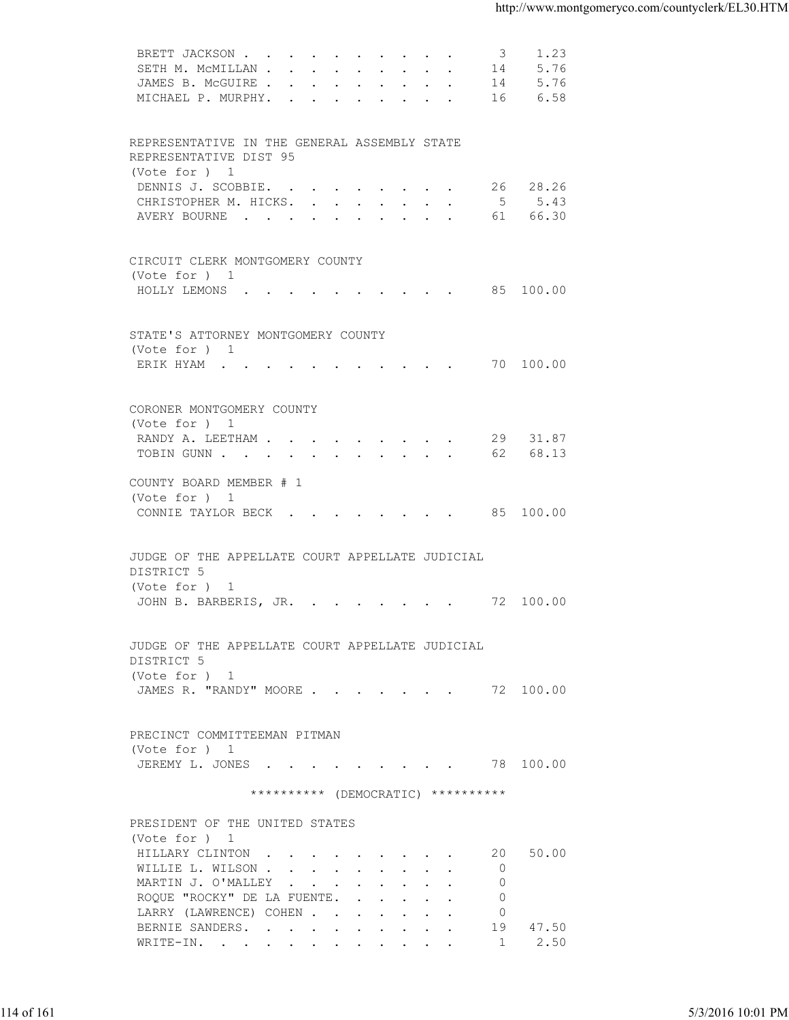| SETH M. MCMILLAN 14<br>5.76<br>JAMES B. MCGUIRE 14<br>5.76<br>MICHAEL P. MURPHY. 16<br>6.58<br>REPRESENTATIVE IN THE GENERAL ASSEMBLY STATE<br>REPRESENTATIVE DIST 95<br>(Vote for ) 1<br>26 28.26<br>DENNIS J. SCOBBIE.<br>CHRISTOPHER M. HICKS. 5 5.43<br>61 66.30<br>AVERY BOURNE<br>CIRCUIT CLERK MONTGOMERY COUNTY<br>(Vote for ) 1<br>HOLLY LEMONS 85 100.00<br>STATE'S ATTORNEY MONTGOMERY COUNTY<br>(Vote for ) 1<br>ERIK HYAM 70 100.00<br>CORONER MONTGOMERY COUNTY<br>(Vote for ) 1<br>RANDY A. LEETHAM 29 31.87<br>TOBIN GUNN 62 68.13<br>COUNTY BOARD MEMBER # 1<br>(Vote for ) 1<br>CONNIE TAYLOR BECK 85 100.00<br>JUDGE OF THE APPELLATE COURT APPELLATE JUDICIAL<br>DISTRICT 5<br>(Vote for ) 1<br>JOHN B. BARBERIS, JR. 72 100.00<br>JUDGE OF THE APPELLATE COURT APPELLATE JUDICIAL<br>DISTRICT 5<br>(Vote for ) 1<br>JAMES R. "RANDY" MOORE 72 100.00<br>PRECINCT COMMITTEEMAN PITMAN<br>(Vote for ) 1<br>JEREMY L. JONES 78 100.00<br>********** (DEMOCRATIC) **********<br>PRESIDENT OF THE UNITED STATES<br>(Vote for ) 1<br>HILLARY CLINTON<br>20 50.00<br>WILLIE L. WILSON<br>$\overline{0}$<br>MARTIN J. O'MALLEY<br>$\circ$<br>ROQUE "ROCKY" DE LA FUENTE.<br>$\circ$<br>LARRY (LAWRENCE) COHEN<br>$\overline{0}$<br>BERNIE SANDERS.<br>19 47.50<br>WRITE-IN.<br>1 2.50 | 5/3/2016 10:01 PM | 114 of 161 | BRETT JACKSON<br>$\mathcal{S}$ | 1.23 |
|----------------------------------------------------------------------------------------------------------------------------------------------------------------------------------------------------------------------------------------------------------------------------------------------------------------------------------------------------------------------------------------------------------------------------------------------------------------------------------------------------------------------------------------------------------------------------------------------------------------------------------------------------------------------------------------------------------------------------------------------------------------------------------------------------------------------------------------------------------------------------------------------------------------------------------------------------------------------------------------------------------------------------------------------------------------------------------------------------------------------------------------------------------------------------------------------------------------------------------------------------------------------------------------------------|-------------------|------------|--------------------------------|------|
|                                                                                                                                                                                                                                                                                                                                                                                                                                                                                                                                                                                                                                                                                                                                                                                                                                                                                                                                                                                                                                                                                                                                                                                                                                                                                                    |                   |            |                                |      |
|                                                                                                                                                                                                                                                                                                                                                                                                                                                                                                                                                                                                                                                                                                                                                                                                                                                                                                                                                                                                                                                                                                                                                                                                                                                                                                    |                   |            |                                |      |
|                                                                                                                                                                                                                                                                                                                                                                                                                                                                                                                                                                                                                                                                                                                                                                                                                                                                                                                                                                                                                                                                                                                                                                                                                                                                                                    |                   |            |                                |      |
|                                                                                                                                                                                                                                                                                                                                                                                                                                                                                                                                                                                                                                                                                                                                                                                                                                                                                                                                                                                                                                                                                                                                                                                                                                                                                                    |                   |            |                                |      |
|                                                                                                                                                                                                                                                                                                                                                                                                                                                                                                                                                                                                                                                                                                                                                                                                                                                                                                                                                                                                                                                                                                                                                                                                                                                                                                    |                   |            |                                |      |
|                                                                                                                                                                                                                                                                                                                                                                                                                                                                                                                                                                                                                                                                                                                                                                                                                                                                                                                                                                                                                                                                                                                                                                                                                                                                                                    |                   |            |                                |      |
|                                                                                                                                                                                                                                                                                                                                                                                                                                                                                                                                                                                                                                                                                                                                                                                                                                                                                                                                                                                                                                                                                                                                                                                                                                                                                                    |                   |            |                                |      |
|                                                                                                                                                                                                                                                                                                                                                                                                                                                                                                                                                                                                                                                                                                                                                                                                                                                                                                                                                                                                                                                                                                                                                                                                                                                                                                    |                   |            |                                |      |
|                                                                                                                                                                                                                                                                                                                                                                                                                                                                                                                                                                                                                                                                                                                                                                                                                                                                                                                                                                                                                                                                                                                                                                                                                                                                                                    |                   |            |                                |      |
|                                                                                                                                                                                                                                                                                                                                                                                                                                                                                                                                                                                                                                                                                                                                                                                                                                                                                                                                                                                                                                                                                                                                                                                                                                                                                                    |                   |            |                                |      |
|                                                                                                                                                                                                                                                                                                                                                                                                                                                                                                                                                                                                                                                                                                                                                                                                                                                                                                                                                                                                                                                                                                                                                                                                                                                                                                    |                   |            |                                |      |
|                                                                                                                                                                                                                                                                                                                                                                                                                                                                                                                                                                                                                                                                                                                                                                                                                                                                                                                                                                                                                                                                                                                                                                                                                                                                                                    |                   |            |                                |      |
|                                                                                                                                                                                                                                                                                                                                                                                                                                                                                                                                                                                                                                                                                                                                                                                                                                                                                                                                                                                                                                                                                                                                                                                                                                                                                                    |                   |            |                                |      |
|                                                                                                                                                                                                                                                                                                                                                                                                                                                                                                                                                                                                                                                                                                                                                                                                                                                                                                                                                                                                                                                                                                                                                                                                                                                                                                    |                   |            |                                |      |
|                                                                                                                                                                                                                                                                                                                                                                                                                                                                                                                                                                                                                                                                                                                                                                                                                                                                                                                                                                                                                                                                                                                                                                                                                                                                                                    |                   |            |                                |      |
|                                                                                                                                                                                                                                                                                                                                                                                                                                                                                                                                                                                                                                                                                                                                                                                                                                                                                                                                                                                                                                                                                                                                                                                                                                                                                                    |                   |            |                                |      |
|                                                                                                                                                                                                                                                                                                                                                                                                                                                                                                                                                                                                                                                                                                                                                                                                                                                                                                                                                                                                                                                                                                                                                                                                                                                                                                    |                   |            |                                |      |
|                                                                                                                                                                                                                                                                                                                                                                                                                                                                                                                                                                                                                                                                                                                                                                                                                                                                                                                                                                                                                                                                                                                                                                                                                                                                                                    |                   |            |                                |      |
|                                                                                                                                                                                                                                                                                                                                                                                                                                                                                                                                                                                                                                                                                                                                                                                                                                                                                                                                                                                                                                                                                                                                                                                                                                                                                                    |                   |            |                                |      |
|                                                                                                                                                                                                                                                                                                                                                                                                                                                                                                                                                                                                                                                                                                                                                                                                                                                                                                                                                                                                                                                                                                                                                                                                                                                                                                    |                   |            |                                |      |
|                                                                                                                                                                                                                                                                                                                                                                                                                                                                                                                                                                                                                                                                                                                                                                                                                                                                                                                                                                                                                                                                                                                                                                                                                                                                                                    |                   |            |                                |      |
|                                                                                                                                                                                                                                                                                                                                                                                                                                                                                                                                                                                                                                                                                                                                                                                                                                                                                                                                                                                                                                                                                                                                                                                                                                                                                                    |                   |            |                                |      |
|                                                                                                                                                                                                                                                                                                                                                                                                                                                                                                                                                                                                                                                                                                                                                                                                                                                                                                                                                                                                                                                                                                                                                                                                                                                                                                    |                   |            |                                |      |
|                                                                                                                                                                                                                                                                                                                                                                                                                                                                                                                                                                                                                                                                                                                                                                                                                                                                                                                                                                                                                                                                                                                                                                                                                                                                                                    |                   |            |                                |      |
|                                                                                                                                                                                                                                                                                                                                                                                                                                                                                                                                                                                                                                                                                                                                                                                                                                                                                                                                                                                                                                                                                                                                                                                                                                                                                                    |                   |            |                                |      |
|                                                                                                                                                                                                                                                                                                                                                                                                                                                                                                                                                                                                                                                                                                                                                                                                                                                                                                                                                                                                                                                                                                                                                                                                                                                                                                    |                   |            |                                |      |
|                                                                                                                                                                                                                                                                                                                                                                                                                                                                                                                                                                                                                                                                                                                                                                                                                                                                                                                                                                                                                                                                                                                                                                                                                                                                                                    |                   |            |                                |      |
|                                                                                                                                                                                                                                                                                                                                                                                                                                                                                                                                                                                                                                                                                                                                                                                                                                                                                                                                                                                                                                                                                                                                                                                                                                                                                                    |                   |            |                                |      |
|                                                                                                                                                                                                                                                                                                                                                                                                                                                                                                                                                                                                                                                                                                                                                                                                                                                                                                                                                                                                                                                                                                                                                                                                                                                                                                    |                   |            |                                |      |
|                                                                                                                                                                                                                                                                                                                                                                                                                                                                                                                                                                                                                                                                                                                                                                                                                                                                                                                                                                                                                                                                                                                                                                                                                                                                                                    |                   |            |                                |      |
|                                                                                                                                                                                                                                                                                                                                                                                                                                                                                                                                                                                                                                                                                                                                                                                                                                                                                                                                                                                                                                                                                                                                                                                                                                                                                                    |                   |            |                                |      |
|                                                                                                                                                                                                                                                                                                                                                                                                                                                                                                                                                                                                                                                                                                                                                                                                                                                                                                                                                                                                                                                                                                                                                                                                                                                                                                    |                   |            |                                |      |
|                                                                                                                                                                                                                                                                                                                                                                                                                                                                                                                                                                                                                                                                                                                                                                                                                                                                                                                                                                                                                                                                                                                                                                                                                                                                                                    |                   |            |                                |      |
|                                                                                                                                                                                                                                                                                                                                                                                                                                                                                                                                                                                                                                                                                                                                                                                                                                                                                                                                                                                                                                                                                                                                                                                                                                                                                                    |                   |            |                                |      |
|                                                                                                                                                                                                                                                                                                                                                                                                                                                                                                                                                                                                                                                                                                                                                                                                                                                                                                                                                                                                                                                                                                                                                                                                                                                                                                    |                   |            |                                |      |
|                                                                                                                                                                                                                                                                                                                                                                                                                                                                                                                                                                                                                                                                                                                                                                                                                                                                                                                                                                                                                                                                                                                                                                                                                                                                                                    |                   |            |                                |      |
|                                                                                                                                                                                                                                                                                                                                                                                                                                                                                                                                                                                                                                                                                                                                                                                                                                                                                                                                                                                                                                                                                                                                                                                                                                                                                                    |                   |            |                                |      |
|                                                                                                                                                                                                                                                                                                                                                                                                                                                                                                                                                                                                                                                                                                                                                                                                                                                                                                                                                                                                                                                                                                                                                                                                                                                                                                    |                   |            |                                |      |
|                                                                                                                                                                                                                                                                                                                                                                                                                                                                                                                                                                                                                                                                                                                                                                                                                                                                                                                                                                                                                                                                                                                                                                                                                                                                                                    |                   |            |                                |      |
|                                                                                                                                                                                                                                                                                                                                                                                                                                                                                                                                                                                                                                                                                                                                                                                                                                                                                                                                                                                                                                                                                                                                                                                                                                                                                                    |                   |            |                                |      |
|                                                                                                                                                                                                                                                                                                                                                                                                                                                                                                                                                                                                                                                                                                                                                                                                                                                                                                                                                                                                                                                                                                                                                                                                                                                                                                    |                   |            |                                |      |
|                                                                                                                                                                                                                                                                                                                                                                                                                                                                                                                                                                                                                                                                                                                                                                                                                                                                                                                                                                                                                                                                                                                                                                                                                                                                                                    |                   |            |                                |      |
|                                                                                                                                                                                                                                                                                                                                                                                                                                                                                                                                                                                                                                                                                                                                                                                                                                                                                                                                                                                                                                                                                                                                                                                                                                                                                                    |                   |            |                                |      |
|                                                                                                                                                                                                                                                                                                                                                                                                                                                                                                                                                                                                                                                                                                                                                                                                                                                                                                                                                                                                                                                                                                                                                                                                                                                                                                    |                   |            |                                |      |
|                                                                                                                                                                                                                                                                                                                                                                                                                                                                                                                                                                                                                                                                                                                                                                                                                                                                                                                                                                                                                                                                                                                                                                                                                                                                                                    |                   |            |                                |      |
|                                                                                                                                                                                                                                                                                                                                                                                                                                                                                                                                                                                                                                                                                                                                                                                                                                                                                                                                                                                                                                                                                                                                                                                                                                                                                                    |                   |            |                                |      |
|                                                                                                                                                                                                                                                                                                                                                                                                                                                                                                                                                                                                                                                                                                                                                                                                                                                                                                                                                                                                                                                                                                                                                                                                                                                                                                    |                   |            |                                |      |
|                                                                                                                                                                                                                                                                                                                                                                                                                                                                                                                                                                                                                                                                                                                                                                                                                                                                                                                                                                                                                                                                                                                                                                                                                                                                                                    |                   |            |                                |      |
|                                                                                                                                                                                                                                                                                                                                                                                                                                                                                                                                                                                                                                                                                                                                                                                                                                                                                                                                                                                                                                                                                                                                                                                                                                                                                                    |                   |            |                                |      |
|                                                                                                                                                                                                                                                                                                                                                                                                                                                                                                                                                                                                                                                                                                                                                                                                                                                                                                                                                                                                                                                                                                                                                                                                                                                                                                    |                   |            |                                |      |
|                                                                                                                                                                                                                                                                                                                                                                                                                                                                                                                                                                                                                                                                                                                                                                                                                                                                                                                                                                                                                                                                                                                                                                                                                                                                                                    |                   |            |                                |      |
|                                                                                                                                                                                                                                                                                                                                                                                                                                                                                                                                                                                                                                                                                                                                                                                                                                                                                                                                                                                                                                                                                                                                                                                                                                                                                                    |                   |            |                                |      |
|                                                                                                                                                                                                                                                                                                                                                                                                                                                                                                                                                                                                                                                                                                                                                                                                                                                                                                                                                                                                                                                                                                                                                                                                                                                                                                    |                   |            |                                |      |
|                                                                                                                                                                                                                                                                                                                                                                                                                                                                                                                                                                                                                                                                                                                                                                                                                                                                                                                                                                                                                                                                                                                                                                                                                                                                                                    |                   |            |                                |      |
|                                                                                                                                                                                                                                                                                                                                                                                                                                                                                                                                                                                                                                                                                                                                                                                                                                                                                                                                                                                                                                                                                                                                                                                                                                                                                                    |                   |            |                                |      |
|                                                                                                                                                                                                                                                                                                                                                                                                                                                                                                                                                                                                                                                                                                                                                                                                                                                                                                                                                                                                                                                                                                                                                                                                                                                                                                    |                   |            |                                |      |
|                                                                                                                                                                                                                                                                                                                                                                                                                                                                                                                                                                                                                                                                                                                                                                                                                                                                                                                                                                                                                                                                                                                                                                                                                                                                                                    |                   |            |                                |      |
|                                                                                                                                                                                                                                                                                                                                                                                                                                                                                                                                                                                                                                                                                                                                                                                                                                                                                                                                                                                                                                                                                                                                                                                                                                                                                                    |                   |            |                                |      |
|                                                                                                                                                                                                                                                                                                                                                                                                                                                                                                                                                                                                                                                                                                                                                                                                                                                                                                                                                                                                                                                                                                                                                                                                                                                                                                    |                   |            |                                |      |
|                                                                                                                                                                                                                                                                                                                                                                                                                                                                                                                                                                                                                                                                                                                                                                                                                                                                                                                                                                                                                                                                                                                                                                                                                                                                                                    |                   |            |                                |      |
|                                                                                                                                                                                                                                                                                                                                                                                                                                                                                                                                                                                                                                                                                                                                                                                                                                                                                                                                                                                                                                                                                                                                                                                                                                                                                                    |                   |            |                                |      |
|                                                                                                                                                                                                                                                                                                                                                                                                                                                                                                                                                                                                                                                                                                                                                                                                                                                                                                                                                                                                                                                                                                                                                                                                                                                                                                    |                   |            |                                |      |
|                                                                                                                                                                                                                                                                                                                                                                                                                                                                                                                                                                                                                                                                                                                                                                                                                                                                                                                                                                                                                                                                                                                                                                                                                                                                                                    |                   |            |                                |      |
|                                                                                                                                                                                                                                                                                                                                                                                                                                                                                                                                                                                                                                                                                                                                                                                                                                                                                                                                                                                                                                                                                                                                                                                                                                                                                                    |                   |            |                                |      |
|                                                                                                                                                                                                                                                                                                                                                                                                                                                                                                                                                                                                                                                                                                                                                                                                                                                                                                                                                                                                                                                                                                                                                                                                                                                                                                    |                   |            |                                |      |
|                                                                                                                                                                                                                                                                                                                                                                                                                                                                                                                                                                                                                                                                                                                                                                                                                                                                                                                                                                                                                                                                                                                                                                                                                                                                                                    |                   |            |                                |      |
|                                                                                                                                                                                                                                                                                                                                                                                                                                                                                                                                                                                                                                                                                                                                                                                                                                                                                                                                                                                                                                                                                                                                                                                                                                                                                                    |                   |            |                                |      |
|                                                                                                                                                                                                                                                                                                                                                                                                                                                                                                                                                                                                                                                                                                                                                                                                                                                                                                                                                                                                                                                                                                                                                                                                                                                                                                    |                   |            |                                |      |
|                                                                                                                                                                                                                                                                                                                                                                                                                                                                                                                                                                                                                                                                                                                                                                                                                                                                                                                                                                                                                                                                                                                                                                                                                                                                                                    |                   |            |                                |      |
|                                                                                                                                                                                                                                                                                                                                                                                                                                                                                                                                                                                                                                                                                                                                                                                                                                                                                                                                                                                                                                                                                                                                                                                                                                                                                                    |                   |            |                                |      |
|                                                                                                                                                                                                                                                                                                                                                                                                                                                                                                                                                                                                                                                                                                                                                                                                                                                                                                                                                                                                                                                                                                                                                                                                                                                                                                    |                   |            |                                |      |
|                                                                                                                                                                                                                                                                                                                                                                                                                                                                                                                                                                                                                                                                                                                                                                                                                                                                                                                                                                                                                                                                                                                                                                                                                                                                                                    |                   |            |                                |      |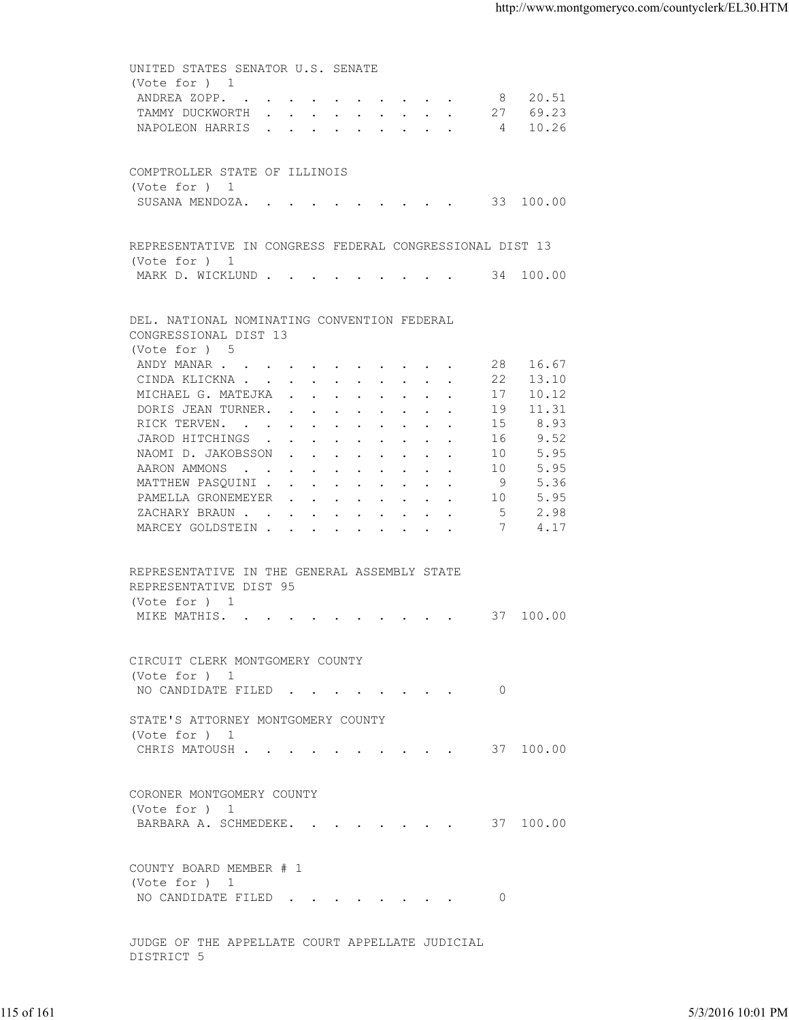UNITED STATES SENATOR U.S. SENATE (Vote for ) 1 ANDREA ZOPP. . . . . . . . . . . 8 20.51 TAMMY DUCKWORTH . . . . . . . . . 27 69.23<br>NAPOLEON HARRIS . . . . . . . . . 4 10.26 NAPOLEON HARRIS . . . . . . . . . COMPTROLLER STATE OF ILLINOIS (Vote for ) 1 SUSANA MENDOZA. . . . . . . . . . 33 100.00 REPRESENTATIVE IN CONGRESS FEDERAL CONGRESSIONAL DIST 13 (Vote for ) 1 MARK D. WICKLUND . . . . . . . . . . 34 100.00 DEL. NATIONAL NOMINATING CONVENTION FEDERAL CONGRESSIONAL DIST 13 (Vote for ) 5<br>ANDY MANAR . . . 4. . . . . . . . . . 28 16.67<br>22 13.10 CINDA KLICKNA . . . . . . . . . . MICHAEL G. MATEJKA . . . . . . . . 17 10.12 DORIS JEAN TURNER. . . . . . . . . 19 11.31 RICK TERVEN. . . . . . . . . . . 15 8.93 JAROD HITCHINGS . . . . . . . . . 16 9.52<br>NAOMI D. JAKOBSSON . . . . . . . . 10 5.95 NAOMI D. JAKOBSSON . . . . . . . . 10 5.95<br>AARON AMMONS . . . . . . . . . . 10 5.95 AARON AMMONS . . . . . . . . . . . 10 5.95<br>MATTHEW PASQUINI . . . . . . . . . 9 5.36 MATTHEW PASQUINI . . . . . . . . . 9 PAMELLA GRONEMEYER . . . . . . . . 10 5.95<br>ZACHARY BRAUN . . . . . . . . . . . 5 2.98 ZACHARY BRAUN . . . . . . . . . . MARCEY GOLDSTEIN . . . . . . . . . 7 4.17 REPRESENTATIVE IN THE GENERAL ASSEMBLY STATE REPRESENTATIVE DIST 95 (Vote for ) 1 MIKE MATHIS. . . . . . . . . . . 37 100.00 CIRCUIT CLERK MONTGOMERY COUNTY (Vote for ) 1 NO CANDIDATE FILED . . . . . . . . 0 STATE'S ATTORNEY MONTGOMERY COUNTY (Vote for ) 1 CHRIS MATOUSH . . . . . . . . . . 37 100.00 CORONER MONTGOMERY COUNTY (Vote for ) 1 BARBARA A. SCHMEDEKE. . . . . . . . 37 100.00 COUNTY BOARD MEMBER # 1 (Vote for ) 1 NO CANDIDATE FILED . . . . . . . . 0 JUDGE OF THE APPELLATE COURT APPELLATE JUDICIAL 115 of 161 5/3/2016 10:01 PM

DISTRICT 5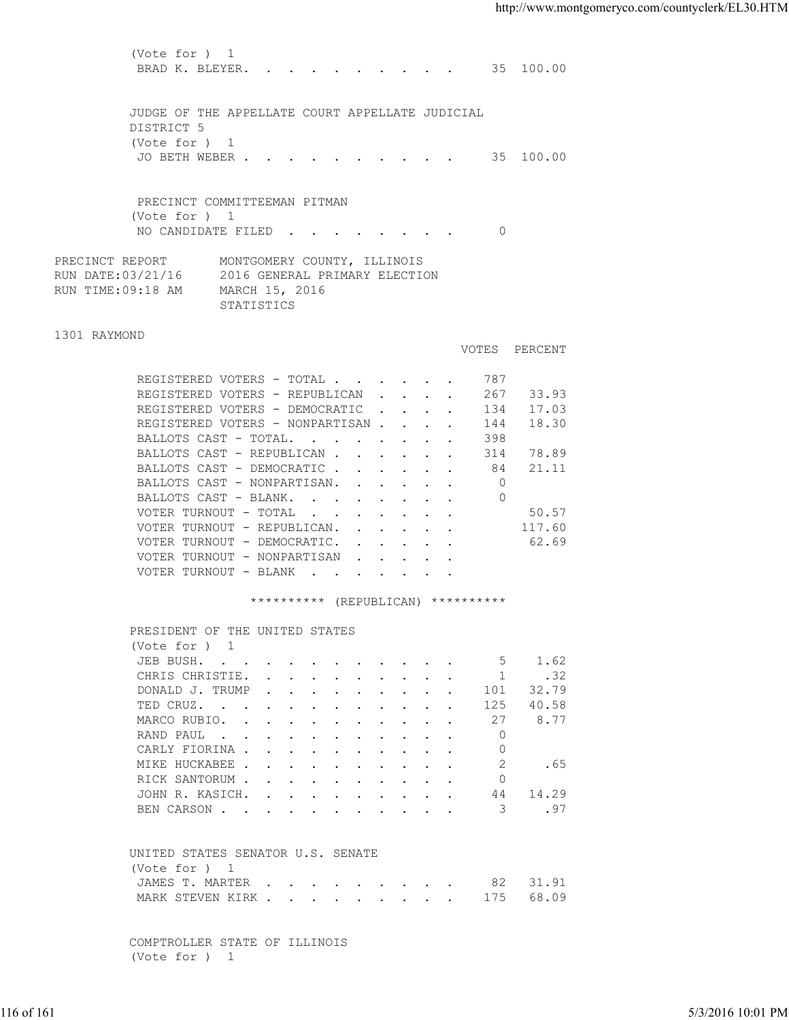(Vote for ) 1 BRAD K. BLEYER. . . . . . . . . . 35 100.00 JUDGE OF THE APPELLATE COURT APPELLATE JUDICIAL DISTRICT 5 (Vote for ) 1 JO BETH WEBER . . . . . . . . . . 35 100.00 PRECINCT COMMITTEEMAN PITMAN (Vote for ) 1 NO CANDIDATE FILED . . . . . . . 0 PRECINCT REPORT MONTGOMERY COUNTY, ILLINOIS RUN DATE:03/21/16 2016 GENERAL PRIMARY ELECTION RUN TIME:09:18 AM MARCH 15, 2016 STATISTICS 1301 RAYMOND VOTES PERCENT REGISTERED VOTERS - TOTAL . . . . . . 787 REGISTERED VOTERS - REPUBLICAN . . . . 267 33.93 REGISTERED VOTERS - DEMOCRATIC . . . . 134 17.03 REGISTERED VOTERS - NONPARTISAN . . . . 144 18.30 BALLOTS CAST - TOTAL. . . . . . . . 398 BALLOTS CAST - REPUBLICAN . . . . . . 314 78.89<br>BALLOTS CAST - DEMOCRATIC . . . . . . 84 21.11 BALLOTS CAST - DEMOCRATIC . . . . . . BALLOTS CAST - NONPARTISAN. . . . . . 0 BALLOTS CAST - BLANK. . . . . . . . VOTER TURNOUT - TOTAL . . . . . . . . 50.57 VOTER TURNOUT - REPUBLICAN. . . . . . 117.60 VOTER TURNOUT - DEMOCRATIC. . . . . . 62.69 VOTER TURNOUT - NONPARTISAN . . . . VOTER TURNOUT - BLANK . . . . . \*\*\*\*\*\*\*\*\*\* (REPUBLICAN) \*\*\*\*\*\*\*\*\*\* PRESIDENT OF THE UNITED STATES (Vote for ) 1 JEB BUSH. . . . . . . . . . . . 5 1.62 CHRIS CHRISTIE. . . . . . . . . . 1 .32 DONALD J. TRUMP . . . . . . . . . . 101 32.79 TED CRUZ. . . . . . . . . . . . 125 40.58 MARCO RUBIO. . . . . . . . . . . 27 8.77 RAND PAUL . . . . . . . . . . . 0<br>CARLY FIORINA . . . . . . . . . . 0 CARLY FIORINA . . . . . . . . . . MIKE HUCKABEE . . . . . . . . . . . 2 . 65 RICK SANTORUM . . . . . . . . . . . 0<br>JOHN R. KASICH. . . . . . . . . . 44 14.29 JOHN R. KASICH. . . . . . . . . . BEN CARSON . . . . . . . . . . . . 3 .97 UNITED STATES SENATOR U.S. SENATE (Vote for ) 1 JAMES T. MARTER . . . . . . . . . 82 31.91 MARK STEVEN KIRK . . . . . . . . . 175 68.09 116 of 161 5/3/2016 10:01 PM

 COMPTROLLER STATE OF ILLINOIS (Vote for ) 1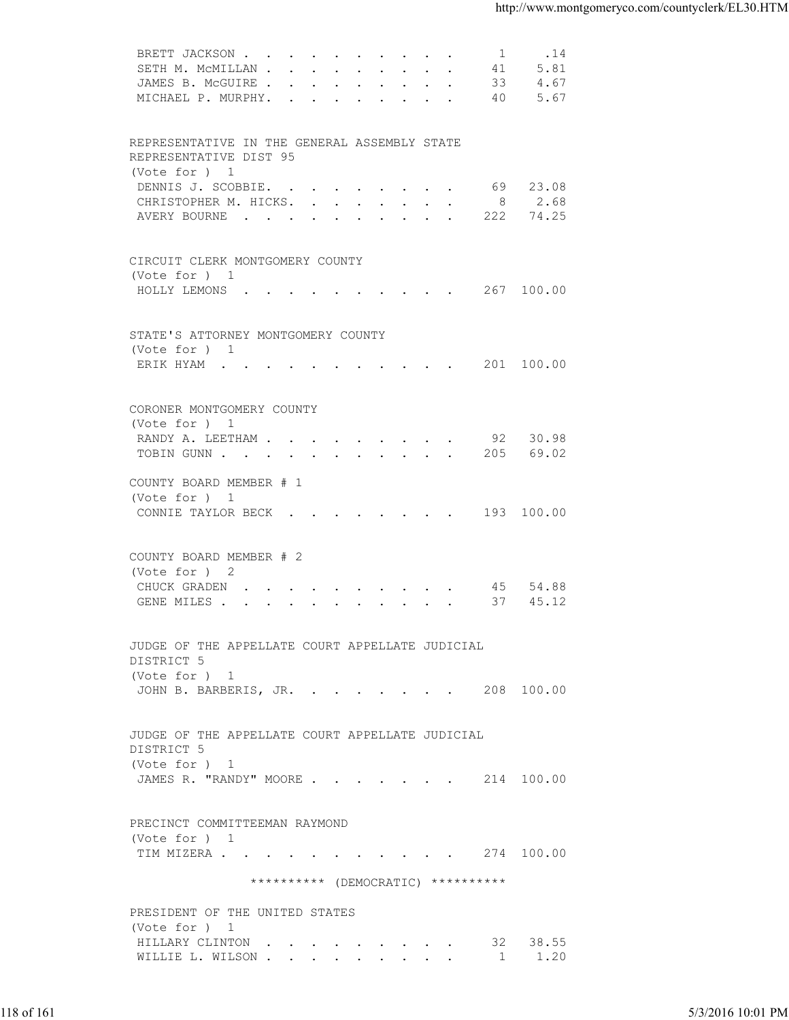| 5.81<br>SETH M. MCMILLAN<br>41<br>JAMES B. MCGUIRE 33<br>4.67<br>5.67<br>MICHAEL P. MURPHY. 40<br>REPRESENTATIVE IN THE GENERAL ASSEMBLY STATE<br>REPRESENTATIVE DIST 95<br>(Vote for ) 1<br>69 23.08<br>DENNIS J. SCOBBIE.<br>CHRISTOPHER M. HICKS. 8 2.68<br>AVERY BOURNE 222<br>74.25<br>CIRCUIT CLERK MONTGOMERY COUNTY<br>(Vote for ) 1<br>HOLLY LEMONS 267 100.00<br>STATE'S ATTORNEY MONTGOMERY COUNTY<br>(Vote for ) 1<br>ERIK HYAM 201 100.00<br>CORONER MONTGOMERY COUNTY<br>(Vote for ) 1<br>RANDY A. LEETHAM 92 30.98<br>TOBIN GUNN 205 69.02<br>COUNTY BOARD MEMBER # 1<br>(Vote for ) 1<br>CONNIE TAYLOR BECK 193 100.00<br>COUNTY BOARD MEMBER # 2<br>(Vote for ) 2<br>CHUCK GRADEN 45 54.88<br>45.12<br>GENE MILES 37<br>JUDGE OF THE APPELLATE COURT APPELLATE JUDICIAL<br>DISTRICT 5<br>(Vote for ) 1<br>JOHN B. BARBERIS, JR. 208 100.00<br>JUDGE OF THE APPELLATE COURT APPELLATE JUDICIAL<br>DISTRICT 5<br>(Vote for ) 1<br>JAMES R. "RANDY" MOORE 214 100.00<br>PRECINCT COMMITTEEMAN RAYMOND<br>(Vote for ) 1<br>TIM MIZERA 274 100.00<br>********** (DEMOCRATIC) **********<br>PRESIDENT OF THE UNITED STATES<br>(Vote for ) 1<br>HILLARY CLINTON 32 38.55<br>WILLIE L. WILSON 1 1.20<br>5/3/2016 10:01 PM |  |  |
|------------------------------------------------------------------------------------------------------------------------------------------------------------------------------------------------------------------------------------------------------------------------------------------------------------------------------------------------------------------------------------------------------------------------------------------------------------------------------------------------------------------------------------------------------------------------------------------------------------------------------------------------------------------------------------------------------------------------------------------------------------------------------------------------------------------------------------------------------------------------------------------------------------------------------------------------------------------------------------------------------------------------------------------------------------------------------------------------------------------------------------------------------------------------------------------------------------------------------------|--|--|
| 118 of 161                                                                                                                                                                                                                                                                                                                                                                                                                                                                                                                                                                                                                                                                                                                                                                                                                                                                                                                                                                                                                                                                                                                                                                                                                         |  |  |
|                                                                                                                                                                                                                                                                                                                                                                                                                                                                                                                                                                                                                                                                                                                                                                                                                                                                                                                                                                                                                                                                                                                                                                                                                                    |  |  |
|                                                                                                                                                                                                                                                                                                                                                                                                                                                                                                                                                                                                                                                                                                                                                                                                                                                                                                                                                                                                                                                                                                                                                                                                                                    |  |  |
|                                                                                                                                                                                                                                                                                                                                                                                                                                                                                                                                                                                                                                                                                                                                                                                                                                                                                                                                                                                                                                                                                                                                                                                                                                    |  |  |
|                                                                                                                                                                                                                                                                                                                                                                                                                                                                                                                                                                                                                                                                                                                                                                                                                                                                                                                                                                                                                                                                                                                                                                                                                                    |  |  |
|                                                                                                                                                                                                                                                                                                                                                                                                                                                                                                                                                                                                                                                                                                                                                                                                                                                                                                                                                                                                                                                                                                                                                                                                                                    |  |  |
|                                                                                                                                                                                                                                                                                                                                                                                                                                                                                                                                                                                                                                                                                                                                                                                                                                                                                                                                                                                                                                                                                                                                                                                                                                    |  |  |
|                                                                                                                                                                                                                                                                                                                                                                                                                                                                                                                                                                                                                                                                                                                                                                                                                                                                                                                                                                                                                                                                                                                                                                                                                                    |  |  |
|                                                                                                                                                                                                                                                                                                                                                                                                                                                                                                                                                                                                                                                                                                                                                                                                                                                                                                                                                                                                                                                                                                                                                                                                                                    |  |  |
|                                                                                                                                                                                                                                                                                                                                                                                                                                                                                                                                                                                                                                                                                                                                                                                                                                                                                                                                                                                                                                                                                                                                                                                                                                    |  |  |
|                                                                                                                                                                                                                                                                                                                                                                                                                                                                                                                                                                                                                                                                                                                                                                                                                                                                                                                                                                                                                                                                                                                                                                                                                                    |  |  |
|                                                                                                                                                                                                                                                                                                                                                                                                                                                                                                                                                                                                                                                                                                                                                                                                                                                                                                                                                                                                                                                                                                                                                                                                                                    |  |  |
|                                                                                                                                                                                                                                                                                                                                                                                                                                                                                                                                                                                                                                                                                                                                                                                                                                                                                                                                                                                                                                                                                                                                                                                                                                    |  |  |
|                                                                                                                                                                                                                                                                                                                                                                                                                                                                                                                                                                                                                                                                                                                                                                                                                                                                                                                                                                                                                                                                                                                                                                                                                                    |  |  |
|                                                                                                                                                                                                                                                                                                                                                                                                                                                                                                                                                                                                                                                                                                                                                                                                                                                                                                                                                                                                                                                                                                                                                                                                                                    |  |  |
|                                                                                                                                                                                                                                                                                                                                                                                                                                                                                                                                                                                                                                                                                                                                                                                                                                                                                                                                                                                                                                                                                                                                                                                                                                    |  |  |
|                                                                                                                                                                                                                                                                                                                                                                                                                                                                                                                                                                                                                                                                                                                                                                                                                                                                                                                                                                                                                                                                                                                                                                                                                                    |  |  |
|                                                                                                                                                                                                                                                                                                                                                                                                                                                                                                                                                                                                                                                                                                                                                                                                                                                                                                                                                                                                                                                                                                                                                                                                                                    |  |  |
|                                                                                                                                                                                                                                                                                                                                                                                                                                                                                                                                                                                                                                                                                                                                                                                                                                                                                                                                                                                                                                                                                                                                                                                                                                    |  |  |
|                                                                                                                                                                                                                                                                                                                                                                                                                                                                                                                                                                                                                                                                                                                                                                                                                                                                                                                                                                                                                                                                                                                                                                                                                                    |  |  |
|                                                                                                                                                                                                                                                                                                                                                                                                                                                                                                                                                                                                                                                                                                                                                                                                                                                                                                                                                                                                                                                                                                                                                                                                                                    |  |  |
|                                                                                                                                                                                                                                                                                                                                                                                                                                                                                                                                                                                                                                                                                                                                                                                                                                                                                                                                                                                                                                                                                                                                                                                                                                    |  |  |
|                                                                                                                                                                                                                                                                                                                                                                                                                                                                                                                                                                                                                                                                                                                                                                                                                                                                                                                                                                                                                                                                                                                                                                                                                                    |  |  |
|                                                                                                                                                                                                                                                                                                                                                                                                                                                                                                                                                                                                                                                                                                                                                                                                                                                                                                                                                                                                                                                                                                                                                                                                                                    |  |  |
|                                                                                                                                                                                                                                                                                                                                                                                                                                                                                                                                                                                                                                                                                                                                                                                                                                                                                                                                                                                                                                                                                                                                                                                                                                    |  |  |
|                                                                                                                                                                                                                                                                                                                                                                                                                                                                                                                                                                                                                                                                                                                                                                                                                                                                                                                                                                                                                                                                                                                                                                                                                                    |  |  |
|                                                                                                                                                                                                                                                                                                                                                                                                                                                                                                                                                                                                                                                                                                                                                                                                                                                                                                                                                                                                                                                                                                                                                                                                                                    |  |  |
|                                                                                                                                                                                                                                                                                                                                                                                                                                                                                                                                                                                                                                                                                                                                                                                                                                                                                                                                                                                                                                                                                                                                                                                                                                    |  |  |
|                                                                                                                                                                                                                                                                                                                                                                                                                                                                                                                                                                                                                                                                                                                                                                                                                                                                                                                                                                                                                                                                                                                                                                                                                                    |  |  |
|                                                                                                                                                                                                                                                                                                                                                                                                                                                                                                                                                                                                                                                                                                                                                                                                                                                                                                                                                                                                                                                                                                                                                                                                                                    |  |  |
|                                                                                                                                                                                                                                                                                                                                                                                                                                                                                                                                                                                                                                                                                                                                                                                                                                                                                                                                                                                                                                                                                                                                                                                                                                    |  |  |
|                                                                                                                                                                                                                                                                                                                                                                                                                                                                                                                                                                                                                                                                                                                                                                                                                                                                                                                                                                                                                                                                                                                                                                                                                                    |  |  |
|                                                                                                                                                                                                                                                                                                                                                                                                                                                                                                                                                                                                                                                                                                                                                                                                                                                                                                                                                                                                                                                                                                                                                                                                                                    |  |  |
|                                                                                                                                                                                                                                                                                                                                                                                                                                                                                                                                                                                                                                                                                                                                                                                                                                                                                                                                                                                                                                                                                                                                                                                                                                    |  |  |
|                                                                                                                                                                                                                                                                                                                                                                                                                                                                                                                                                                                                                                                                                                                                                                                                                                                                                                                                                                                                                                                                                                                                                                                                                                    |  |  |
|                                                                                                                                                                                                                                                                                                                                                                                                                                                                                                                                                                                                                                                                                                                                                                                                                                                                                                                                                                                                                                                                                                                                                                                                                                    |  |  |
|                                                                                                                                                                                                                                                                                                                                                                                                                                                                                                                                                                                                                                                                                                                                                                                                                                                                                                                                                                                                                                                                                                                                                                                                                                    |  |  |
|                                                                                                                                                                                                                                                                                                                                                                                                                                                                                                                                                                                                                                                                                                                                                                                                                                                                                                                                                                                                                                                                                                                                                                                                                                    |  |  |
|                                                                                                                                                                                                                                                                                                                                                                                                                                                                                                                                                                                                                                                                                                                                                                                                                                                                                                                                                                                                                                                                                                                                                                                                                                    |  |  |
|                                                                                                                                                                                                                                                                                                                                                                                                                                                                                                                                                                                                                                                                                                                                                                                                                                                                                                                                                                                                                                                                                                                                                                                                                                    |  |  |
|                                                                                                                                                                                                                                                                                                                                                                                                                                                                                                                                                                                                                                                                                                                                                                                                                                                                                                                                                                                                                                                                                                                                                                                                                                    |  |  |
|                                                                                                                                                                                                                                                                                                                                                                                                                                                                                                                                                                                                                                                                                                                                                                                                                                                                                                                                                                                                                                                                                                                                                                                                                                    |  |  |
|                                                                                                                                                                                                                                                                                                                                                                                                                                                                                                                                                                                                                                                                                                                                                                                                                                                                                                                                                                                                                                                                                                                                                                                                                                    |  |  |
|                                                                                                                                                                                                                                                                                                                                                                                                                                                                                                                                                                                                                                                                                                                                                                                                                                                                                                                                                                                                                                                                                                                                                                                                                                    |  |  |
|                                                                                                                                                                                                                                                                                                                                                                                                                                                                                                                                                                                                                                                                                                                                                                                                                                                                                                                                                                                                                                                                                                                                                                                                                                    |  |  |
|                                                                                                                                                                                                                                                                                                                                                                                                                                                                                                                                                                                                                                                                                                                                                                                                                                                                                                                                                                                                                                                                                                                                                                                                                                    |  |  |
|                                                                                                                                                                                                                                                                                                                                                                                                                                                                                                                                                                                                                                                                                                                                                                                                                                                                                                                                                                                                                                                                                                                                                                                                                                    |  |  |
|                                                                                                                                                                                                                                                                                                                                                                                                                                                                                                                                                                                                                                                                                                                                                                                                                                                                                                                                                                                                                                                                                                                                                                                                                                    |  |  |
|                                                                                                                                                                                                                                                                                                                                                                                                                                                                                                                                                                                                                                                                                                                                                                                                                                                                                                                                                                                                                                                                                                                                                                                                                                    |  |  |
|                                                                                                                                                                                                                                                                                                                                                                                                                                                                                                                                                                                                                                                                                                                                                                                                                                                                                                                                                                                                                                                                                                                                                                                                                                    |  |  |
|                                                                                                                                                                                                                                                                                                                                                                                                                                                                                                                                                                                                                                                                                                                                                                                                                                                                                                                                                                                                                                                                                                                                                                                                                                    |  |  |
|                                                                                                                                                                                                                                                                                                                                                                                                                                                                                                                                                                                                                                                                                                                                                                                                                                                                                                                                                                                                                                                                                                                                                                                                                                    |  |  |
|                                                                                                                                                                                                                                                                                                                                                                                                                                                                                                                                                                                                                                                                                                                                                                                                                                                                                                                                                                                                                                                                                                                                                                                                                                    |  |  |
|                                                                                                                                                                                                                                                                                                                                                                                                                                                                                                                                                                                                                                                                                                                                                                                                                                                                                                                                                                                                                                                                                                                                                                                                                                    |  |  |
|                                                                                                                                                                                                                                                                                                                                                                                                                                                                                                                                                                                                                                                                                                                                                                                                                                                                                                                                                                                                                                                                                                                                                                                                                                    |  |  |
|                                                                                                                                                                                                                                                                                                                                                                                                                                                                                                                                                                                                                                                                                                                                                                                                                                                                                                                                                                                                                                                                                                                                                                                                                                    |  |  |
|                                                                                                                                                                                                                                                                                                                                                                                                                                                                                                                                                                                                                                                                                                                                                                                                                                                                                                                                                                                                                                                                                                                                                                                                                                    |  |  |
|                                                                                                                                                                                                                                                                                                                                                                                                                                                                                                                                                                                                                                                                                                                                                                                                                                                                                                                                                                                                                                                                                                                                                                                                                                    |  |  |
|                                                                                                                                                                                                                                                                                                                                                                                                                                                                                                                                                                                                                                                                                                                                                                                                                                                                                                                                                                                                                                                                                                                                                                                                                                    |  |  |
|                                                                                                                                                                                                                                                                                                                                                                                                                                                                                                                                                                                                                                                                                                                                                                                                                                                                                                                                                                                                                                                                                                                                                                                                                                    |  |  |
|                                                                                                                                                                                                                                                                                                                                                                                                                                                                                                                                                                                                                                                                                                                                                                                                                                                                                                                                                                                                                                                                                                                                                                                                                                    |  |  |
|                                                                                                                                                                                                                                                                                                                                                                                                                                                                                                                                                                                                                                                                                                                                                                                                                                                                                                                                                                                                                                                                                                                                                                                                                                    |  |  |
|                                                                                                                                                                                                                                                                                                                                                                                                                                                                                                                                                                                                                                                                                                                                                                                                                                                                                                                                                                                                                                                                                                                                                                                                                                    |  |  |
|                                                                                                                                                                                                                                                                                                                                                                                                                                                                                                                                                                                                                                                                                                                                                                                                                                                                                                                                                                                                                                                                                                                                                                                                                                    |  |  |
|                                                                                                                                                                                                                                                                                                                                                                                                                                                                                                                                                                                                                                                                                                                                                                                                                                                                                                                                                                                                                                                                                                                                                                                                                                    |  |  |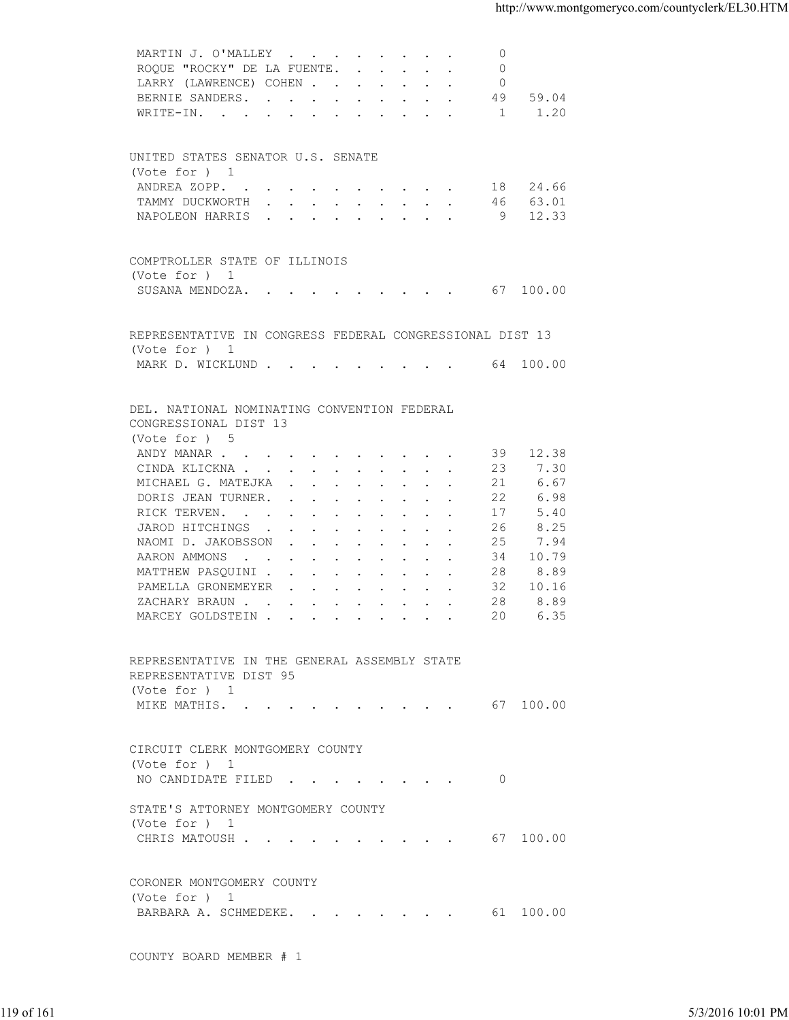| ROQUE "ROCKY" DE LA FUENTE.<br>$\Omega$<br>LARRY (LAWRENCE) COHEN<br>$\overline{0}$<br>BERNIE SANDERS.<br>49 59.04<br>WRITE-IN. 1<br>1.20<br>UNITED STATES SENATOR U.S. SENATE<br>(Vote for ) 1<br>ANDREA ZOPP. 18 24.66<br>TAMMY DUCKWORTH 46 63.01<br>NAPOLEON HARRIS 9 12.33<br>COMPTROLLER STATE OF ILLINOIS<br>(Vote for ) 1<br>SUSANA MENDOZA. 67 100.00<br>REPRESENTATIVE IN CONGRESS FEDERAL CONGRESSIONAL DIST 13<br>(Vote for ) 1<br>MARK D. WICKLUND 64 100.00<br>DEL. NATIONAL NOMINATING CONVENTION FEDERAL<br>CONGRESSIONAL DIST 13<br>(Vote for ) 5<br>ANDY MANAR<br>39 12.38<br>CINDA KLICKNA<br>23<br>7.30<br>MICHAEL G. MATEJKA<br>21<br>6.67<br>6.98<br>DORIS JEAN TURNER.<br>22<br>RICK TERVEN.<br>5.40<br>17<br>8.25<br>JAROD HITCHINGS<br>26<br>7.94<br>NAOMI D. JAKOBSSON<br>25<br>AARON AMMONS<br>34<br>10.79<br>8.89<br>MATTHEW PASQUINI<br>28<br>32<br>PAMELLA GRONEMEYER<br>10.16<br>ZACHARY BRAUN.<br>28<br>8.89<br>MARCEY GOLDSTEIN<br>20<br>6.35<br>REPRESENTATIVE IN THE GENERAL ASSEMBLY STATE<br>REPRESENTATIVE DIST 95<br>(Vote for ) 1<br>MIKE MATHIS. 67 100.00<br>CIRCUIT CLERK MONTGOMERY COUNTY<br>(Vote for ) 1<br>NO CANDIDATE FILED 0<br>STATE'S ATTORNEY MONTGOMERY COUNTY<br>(Vote for ) 1<br>CHRIS MATOUSH 67 100.00<br>CORONER MONTGOMERY COUNTY<br>(Vote for ) 1<br>BARBARA A. SCHMEDEKE. 61 100.00 | MARTIN J. O'MALLEY      | $\Omega$ |                   |
|----------------------------------------------------------------------------------------------------------------------------------------------------------------------------------------------------------------------------------------------------------------------------------------------------------------------------------------------------------------------------------------------------------------------------------------------------------------------------------------------------------------------------------------------------------------------------------------------------------------------------------------------------------------------------------------------------------------------------------------------------------------------------------------------------------------------------------------------------------------------------------------------------------------------------------------------------------------------------------------------------------------------------------------------------------------------------------------------------------------------------------------------------------------------------------------------------------------------------------------------------------------------------------------------------------------------------------------------------|-------------------------|----------|-------------------|
|                                                                                                                                                                                                                                                                                                                                                                                                                                                                                                                                                                                                                                                                                                                                                                                                                                                                                                                                                                                                                                                                                                                                                                                                                                                                                                                                                    |                         |          |                   |
|                                                                                                                                                                                                                                                                                                                                                                                                                                                                                                                                                                                                                                                                                                                                                                                                                                                                                                                                                                                                                                                                                                                                                                                                                                                                                                                                                    |                         |          |                   |
|                                                                                                                                                                                                                                                                                                                                                                                                                                                                                                                                                                                                                                                                                                                                                                                                                                                                                                                                                                                                                                                                                                                                                                                                                                                                                                                                                    |                         |          |                   |
|                                                                                                                                                                                                                                                                                                                                                                                                                                                                                                                                                                                                                                                                                                                                                                                                                                                                                                                                                                                                                                                                                                                                                                                                                                                                                                                                                    |                         |          |                   |
|                                                                                                                                                                                                                                                                                                                                                                                                                                                                                                                                                                                                                                                                                                                                                                                                                                                                                                                                                                                                                                                                                                                                                                                                                                                                                                                                                    |                         |          |                   |
|                                                                                                                                                                                                                                                                                                                                                                                                                                                                                                                                                                                                                                                                                                                                                                                                                                                                                                                                                                                                                                                                                                                                                                                                                                                                                                                                                    |                         |          |                   |
|                                                                                                                                                                                                                                                                                                                                                                                                                                                                                                                                                                                                                                                                                                                                                                                                                                                                                                                                                                                                                                                                                                                                                                                                                                                                                                                                                    |                         |          |                   |
|                                                                                                                                                                                                                                                                                                                                                                                                                                                                                                                                                                                                                                                                                                                                                                                                                                                                                                                                                                                                                                                                                                                                                                                                                                                                                                                                                    |                         |          |                   |
|                                                                                                                                                                                                                                                                                                                                                                                                                                                                                                                                                                                                                                                                                                                                                                                                                                                                                                                                                                                                                                                                                                                                                                                                                                                                                                                                                    |                         |          |                   |
|                                                                                                                                                                                                                                                                                                                                                                                                                                                                                                                                                                                                                                                                                                                                                                                                                                                                                                                                                                                                                                                                                                                                                                                                                                                                                                                                                    |                         |          |                   |
|                                                                                                                                                                                                                                                                                                                                                                                                                                                                                                                                                                                                                                                                                                                                                                                                                                                                                                                                                                                                                                                                                                                                                                                                                                                                                                                                                    |                         |          |                   |
|                                                                                                                                                                                                                                                                                                                                                                                                                                                                                                                                                                                                                                                                                                                                                                                                                                                                                                                                                                                                                                                                                                                                                                                                                                                                                                                                                    |                         |          |                   |
|                                                                                                                                                                                                                                                                                                                                                                                                                                                                                                                                                                                                                                                                                                                                                                                                                                                                                                                                                                                                                                                                                                                                                                                                                                                                                                                                                    |                         |          |                   |
|                                                                                                                                                                                                                                                                                                                                                                                                                                                                                                                                                                                                                                                                                                                                                                                                                                                                                                                                                                                                                                                                                                                                                                                                                                                                                                                                                    |                         |          |                   |
|                                                                                                                                                                                                                                                                                                                                                                                                                                                                                                                                                                                                                                                                                                                                                                                                                                                                                                                                                                                                                                                                                                                                                                                                                                                                                                                                                    |                         |          |                   |
|                                                                                                                                                                                                                                                                                                                                                                                                                                                                                                                                                                                                                                                                                                                                                                                                                                                                                                                                                                                                                                                                                                                                                                                                                                                                                                                                                    |                         |          |                   |
|                                                                                                                                                                                                                                                                                                                                                                                                                                                                                                                                                                                                                                                                                                                                                                                                                                                                                                                                                                                                                                                                                                                                                                                                                                                                                                                                                    |                         |          |                   |
|                                                                                                                                                                                                                                                                                                                                                                                                                                                                                                                                                                                                                                                                                                                                                                                                                                                                                                                                                                                                                                                                                                                                                                                                                                                                                                                                                    |                         |          |                   |
|                                                                                                                                                                                                                                                                                                                                                                                                                                                                                                                                                                                                                                                                                                                                                                                                                                                                                                                                                                                                                                                                                                                                                                                                                                                                                                                                                    |                         |          |                   |
|                                                                                                                                                                                                                                                                                                                                                                                                                                                                                                                                                                                                                                                                                                                                                                                                                                                                                                                                                                                                                                                                                                                                                                                                                                                                                                                                                    |                         |          |                   |
|                                                                                                                                                                                                                                                                                                                                                                                                                                                                                                                                                                                                                                                                                                                                                                                                                                                                                                                                                                                                                                                                                                                                                                                                                                                                                                                                                    |                         |          |                   |
|                                                                                                                                                                                                                                                                                                                                                                                                                                                                                                                                                                                                                                                                                                                                                                                                                                                                                                                                                                                                                                                                                                                                                                                                                                                                                                                                                    |                         |          |                   |
|                                                                                                                                                                                                                                                                                                                                                                                                                                                                                                                                                                                                                                                                                                                                                                                                                                                                                                                                                                                                                                                                                                                                                                                                                                                                                                                                                    |                         |          |                   |
|                                                                                                                                                                                                                                                                                                                                                                                                                                                                                                                                                                                                                                                                                                                                                                                                                                                                                                                                                                                                                                                                                                                                                                                                                                                                                                                                                    |                         |          |                   |
|                                                                                                                                                                                                                                                                                                                                                                                                                                                                                                                                                                                                                                                                                                                                                                                                                                                                                                                                                                                                                                                                                                                                                                                                                                                                                                                                                    |                         |          |                   |
|                                                                                                                                                                                                                                                                                                                                                                                                                                                                                                                                                                                                                                                                                                                                                                                                                                                                                                                                                                                                                                                                                                                                                                                                                                                                                                                                                    |                         |          |                   |
|                                                                                                                                                                                                                                                                                                                                                                                                                                                                                                                                                                                                                                                                                                                                                                                                                                                                                                                                                                                                                                                                                                                                                                                                                                                                                                                                                    |                         |          |                   |
|                                                                                                                                                                                                                                                                                                                                                                                                                                                                                                                                                                                                                                                                                                                                                                                                                                                                                                                                                                                                                                                                                                                                                                                                                                                                                                                                                    |                         |          |                   |
|                                                                                                                                                                                                                                                                                                                                                                                                                                                                                                                                                                                                                                                                                                                                                                                                                                                                                                                                                                                                                                                                                                                                                                                                                                                                                                                                                    |                         |          |                   |
|                                                                                                                                                                                                                                                                                                                                                                                                                                                                                                                                                                                                                                                                                                                                                                                                                                                                                                                                                                                                                                                                                                                                                                                                                                                                                                                                                    |                         |          |                   |
|                                                                                                                                                                                                                                                                                                                                                                                                                                                                                                                                                                                                                                                                                                                                                                                                                                                                                                                                                                                                                                                                                                                                                                                                                                                                                                                                                    |                         |          |                   |
|                                                                                                                                                                                                                                                                                                                                                                                                                                                                                                                                                                                                                                                                                                                                                                                                                                                                                                                                                                                                                                                                                                                                                                                                                                                                                                                                                    |                         |          |                   |
|                                                                                                                                                                                                                                                                                                                                                                                                                                                                                                                                                                                                                                                                                                                                                                                                                                                                                                                                                                                                                                                                                                                                                                                                                                                                                                                                                    |                         |          |                   |
|                                                                                                                                                                                                                                                                                                                                                                                                                                                                                                                                                                                                                                                                                                                                                                                                                                                                                                                                                                                                                                                                                                                                                                                                                                                                                                                                                    |                         |          |                   |
|                                                                                                                                                                                                                                                                                                                                                                                                                                                                                                                                                                                                                                                                                                                                                                                                                                                                                                                                                                                                                                                                                                                                                                                                                                                                                                                                                    |                         |          |                   |
|                                                                                                                                                                                                                                                                                                                                                                                                                                                                                                                                                                                                                                                                                                                                                                                                                                                                                                                                                                                                                                                                                                                                                                                                                                                                                                                                                    |                         |          |                   |
|                                                                                                                                                                                                                                                                                                                                                                                                                                                                                                                                                                                                                                                                                                                                                                                                                                                                                                                                                                                                                                                                                                                                                                                                                                                                                                                                                    |                         |          |                   |
|                                                                                                                                                                                                                                                                                                                                                                                                                                                                                                                                                                                                                                                                                                                                                                                                                                                                                                                                                                                                                                                                                                                                                                                                                                                                                                                                                    |                         |          |                   |
|                                                                                                                                                                                                                                                                                                                                                                                                                                                                                                                                                                                                                                                                                                                                                                                                                                                                                                                                                                                                                                                                                                                                                                                                                                                                                                                                                    |                         |          |                   |
|                                                                                                                                                                                                                                                                                                                                                                                                                                                                                                                                                                                                                                                                                                                                                                                                                                                                                                                                                                                                                                                                                                                                                                                                                                                                                                                                                    |                         |          |                   |
|                                                                                                                                                                                                                                                                                                                                                                                                                                                                                                                                                                                                                                                                                                                                                                                                                                                                                                                                                                                                                                                                                                                                                                                                                                                                                                                                                    |                         |          |                   |
|                                                                                                                                                                                                                                                                                                                                                                                                                                                                                                                                                                                                                                                                                                                                                                                                                                                                                                                                                                                                                                                                                                                                                                                                                                                                                                                                                    |                         |          |                   |
|                                                                                                                                                                                                                                                                                                                                                                                                                                                                                                                                                                                                                                                                                                                                                                                                                                                                                                                                                                                                                                                                                                                                                                                                                                                                                                                                                    |                         |          |                   |
|                                                                                                                                                                                                                                                                                                                                                                                                                                                                                                                                                                                                                                                                                                                                                                                                                                                                                                                                                                                                                                                                                                                                                                                                                                                                                                                                                    |                         |          |                   |
|                                                                                                                                                                                                                                                                                                                                                                                                                                                                                                                                                                                                                                                                                                                                                                                                                                                                                                                                                                                                                                                                                                                                                                                                                                                                                                                                                    |                         |          |                   |
|                                                                                                                                                                                                                                                                                                                                                                                                                                                                                                                                                                                                                                                                                                                                                                                                                                                                                                                                                                                                                                                                                                                                                                                                                                                                                                                                                    |                         |          |                   |
|                                                                                                                                                                                                                                                                                                                                                                                                                                                                                                                                                                                                                                                                                                                                                                                                                                                                                                                                                                                                                                                                                                                                                                                                                                                                                                                                                    |                         |          |                   |
|                                                                                                                                                                                                                                                                                                                                                                                                                                                                                                                                                                                                                                                                                                                                                                                                                                                                                                                                                                                                                                                                                                                                                                                                                                                                                                                                                    |                         |          |                   |
|                                                                                                                                                                                                                                                                                                                                                                                                                                                                                                                                                                                                                                                                                                                                                                                                                                                                                                                                                                                                                                                                                                                                                                                                                                                                                                                                                    |                         |          |                   |
|                                                                                                                                                                                                                                                                                                                                                                                                                                                                                                                                                                                                                                                                                                                                                                                                                                                                                                                                                                                                                                                                                                                                                                                                                                                                                                                                                    |                         |          |                   |
|                                                                                                                                                                                                                                                                                                                                                                                                                                                                                                                                                                                                                                                                                                                                                                                                                                                                                                                                                                                                                                                                                                                                                                                                                                                                                                                                                    |                         |          |                   |
|                                                                                                                                                                                                                                                                                                                                                                                                                                                                                                                                                                                                                                                                                                                                                                                                                                                                                                                                                                                                                                                                                                                                                                                                                                                                                                                                                    | COUNTY BOARD MEMBER # 1 |          |                   |
|                                                                                                                                                                                                                                                                                                                                                                                                                                                                                                                                                                                                                                                                                                                                                                                                                                                                                                                                                                                                                                                                                                                                                                                                                                                                                                                                                    |                         |          |                   |
|                                                                                                                                                                                                                                                                                                                                                                                                                                                                                                                                                                                                                                                                                                                                                                                                                                                                                                                                                                                                                                                                                                                                                                                                                                                                                                                                                    |                         |          |                   |
| 119 of 161                                                                                                                                                                                                                                                                                                                                                                                                                                                                                                                                                                                                                                                                                                                                                                                                                                                                                                                                                                                                                                                                                                                                                                                                                                                                                                                                         |                         |          | 5/3/2016 10:01 PM |
|                                                                                                                                                                                                                                                                                                                                                                                                                                                                                                                                                                                                                                                                                                                                                                                                                                                                                                                                                                                                                                                                                                                                                                                                                                                                                                                                                    |                         |          |                   |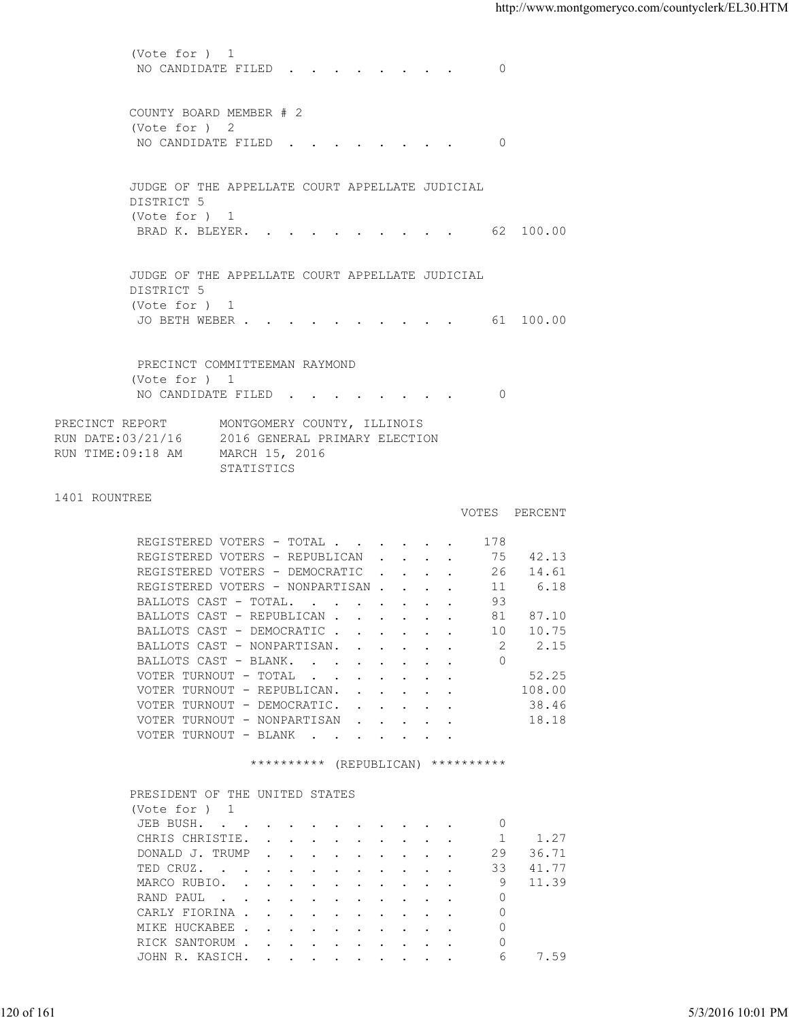(Vote for ) 1 NO CANDIDATE FILED . . . . . . . . 0 COUNTY BOARD MEMBER # 2 (Vote for ) 2 NO CANDIDATE FILED . . . . . . . . 0 JUDGE OF THE APPELLATE COURT APPELLATE JUDICIAL DISTRICT 5 (Vote for ) 1 BRAD K. BLEYER. . . . . . . . . . . 62 100.00 JUDGE OF THE APPELLATE COURT APPELLATE JUDICIAL DISTRICT 5 (Vote for ) 1 JO BETH WEBER . . . . . . . . . . 61 100.00 PRECINCT COMMITTEEMAN RAYMOND (Vote for ) 1 NO CANDIDATE FILED . . . . . . . . 0 PRECINCT REPORT MONTGOMERY COUNTY, ILLINOIS RUN DATE:03/21/16 2016 GENERAL PRIMARY ELECTION RUN TIME:09:18 AM MARCH 15, 2016 STATISTICS 1401 ROUNTREE VOTES PERCENT REGISTERED VOTERS - TOTAL . . . . . . 178 REGISTERED VOTERS - REPUBLICAN . . . . 75 42.13<br>REGISTERED VOTERS - DEMOCRATIC . . . . 26 14.61 REGISTERED VOTERS - DEMOCRATIC . . . . 26 REGISTERED VOTERS - NONPARTISAN . . . . 11 6.18 BALLOTS CAST - TOTAL. . . . . . . . 93<br>BALLOTS CAST - REPUBLICAN . . . . . . 81 87.10 BALLOTS CAST - REPUBLICAN . . . . . . 81 87.10<br>BALLOTS CAST - DEMOCRATIC . . . . . . 10 10.75 BALLOTS CAST - DEMOCRATIC . . . . . . BALLOTS CAST - NONPARTISAN. . . . . . 2 2.15<br>BALLOTS CAST - BLANK. . . . . . . . 0 BALLOTS CAST - BLANK. . . . . . . . VOTER TURNOUT - TOTAL . . . . . . . . 52.25 VOTER TURNOUT - REPUBLICAN. . . . . . 108.00 VOTER TURNOUT - DEMOCRATIC. . . . . . 38.46 VOTER TURNOUT - NONPARTISAN . . . . . 18.18 VOTER TURNOUT - BLANK . . . . . \*\*\*\*\*\*\*\*\*\* (REPUBLICAN) \*\*\*\*\*\*\*\*\*\* PRESIDENT OF THE UNITED STATES (Vote for ) 1 JEB BUSH. . . . . . . . . . . . 0 CHRIS CHRISTIE. . . . . . . . . . 1 1.27 DONALD J. TRUMP . . . . . . . . . 29 36.71 TED CRUZ. . . . . . . . . . . . 33 41.77<br>MARCO RUBIO. . . . . . . . . . . 9 11.39 MARCO RUBIO. . . . . . . . . . . 9 RAND PAUL . . . . . . . . . . . 0 CARLY FIORINA . . . . . . . . . . 0 MIKE HUCKABEE . . . . . . . . . . 0 RICK SANTORUM . . . . . . . . . . 0 JOHN R. KASICH. . . . . . . . . . . 6 7.59 120 of 161 5/3/2016 10:01 PM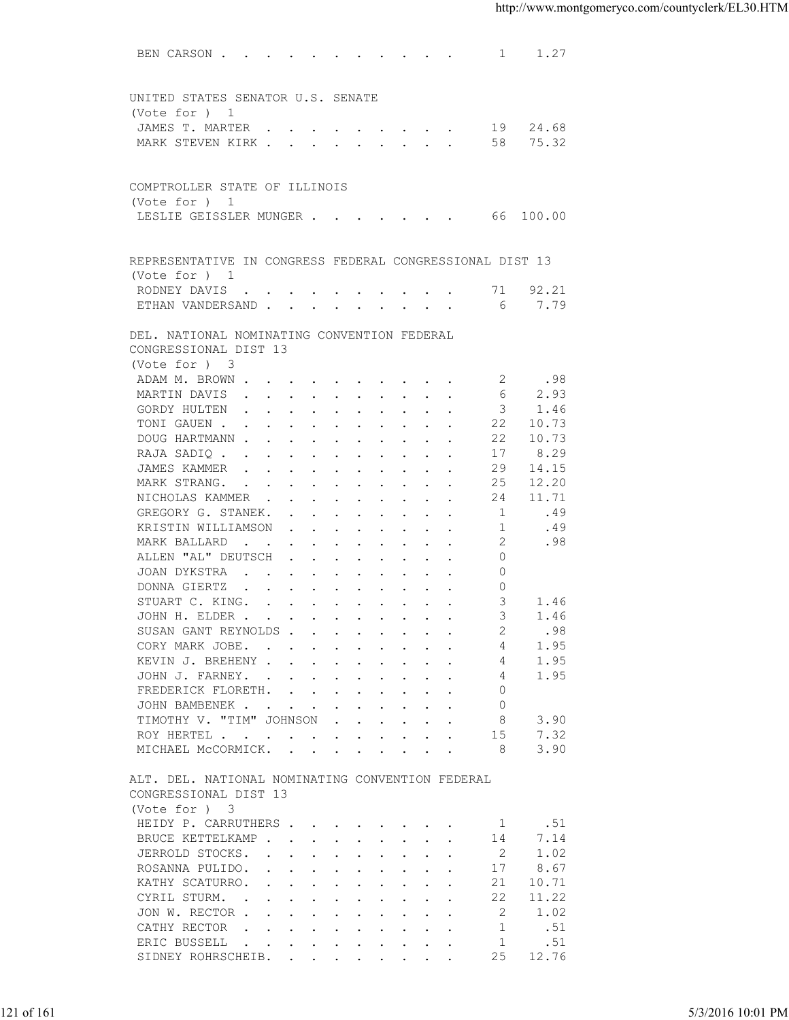| UNITED STATES SENATOR U.S. SENATE<br>(Vote for ) 1<br>JAMES T. MARTER 19 24.68<br>75.32<br>MARK STEVEN KIRK 58<br>COMPTROLLER STATE OF ILLINOIS<br>(Vote for ) 1<br>LESLIE GEISSLER MUNGER 66 100.00<br>REPRESENTATIVE IN CONGRESS FEDERAL CONGRESSIONAL DIST 13<br>(Vote for ) 1<br>RODNEY DAVIS 71 92.21<br>ETHAN VANDERSAND 6<br>7.79<br>DEL. NATIONAL NOMINATING CONVENTION FEDERAL<br>CONGRESSIONAL DIST 13<br>(Vote for ) 3<br>ADAM M. BROWN<br>2<br>.98<br>6<br>MARTIN DAVIS<br>2.93<br>3<br>GORDY HULTEN<br>1.46<br>TONI GAUEN<br>22<br>10.73<br>DOUG HARTMANN<br>22<br>10.73<br>17<br>8.29<br>RAJA SADIQ<br>29<br>14.15<br>JAMES KAMMER<br>25<br>12.20<br>MARK STRANG.<br>24<br>11.71<br>NICHOLAS KAMMER<br>.49<br>GREGORY G. STANEK.<br>1<br>KRISTIN WILLIAMSON<br>1<br>.49<br>2<br>.98<br>MARK BALLARD<br>ALLEN "AL" DEUTSCH<br>$\Omega$<br>JOAN DYKSTRA<br>$\circ$<br>DONNA GIERTZ<br>$\Omega$<br>STUART C. KING.<br>3<br>1.46<br>3<br>1.46<br>JOHN H. ELDER<br>SUSAN GANT REYNOLDS<br>.98<br>1.95<br>CORY MARK JOBE.<br>4<br>1.95<br>KEVIN J. BREHENY<br>4<br>1.95<br>JOHN J. FARNEY.<br>4<br>FREDERICK FLORETH.<br>0<br>JOHN BAMBENEK<br>$\circ$<br>TIMOTHY V. "TIM" JOHNSON<br>8<br>3.90<br>$\mathbf{r}$ , $\mathbf{r}$ , $\mathbf{r}$ , $\mathbf{r}$ , $\mathbf{r}$<br>ROY HERTEL<br>15<br>7.32<br>MICHAEL MCCORMICK.<br>8<br>3.90<br>ALT. DEL. NATIONAL NOMINATING CONVENTION FEDERAL<br>CONGRESSIONAL DIST 13<br>(Vote for ) 3<br>HEIDY P. CARRUTHERS<br>.51<br>1<br>7.14<br>BRUCE KETTELKAMP<br>14<br>JERROLD STOCKS.<br>1.02<br>2<br>8.67<br>ROSANNA PULIDO.<br>17<br>KATHY SCATURRO.<br>21<br>10.71<br>CYRIL STURM.<br>22<br>11.22<br>JON W. RECTOR<br>2<br>1.02<br>CATHY RECTOR<br>$\mathbf{r}$<br>-1<br>.51<br>ERIC BUSSELL<br>$\mathbf{r}$ , and $\mathbf{r}$ , and $\mathbf{r}$ , and $\mathbf{r}$ , and $\mathbf{r}$<br>-1<br>.51<br>12.76<br>SIDNEY ROHRSCHEIB.<br>25<br>$\mathbf{r}$ , $\mathbf{r}$ , $\mathbf{r}$ , $\mathbf{r}$ , $\mathbf{r}$ , $\mathbf{r}$<br>5/3/2016 10:01 PM | 121 of 161 |  |
|------------------------------------------------------------------------------------------------------------------------------------------------------------------------------------------------------------------------------------------------------------------------------------------------------------------------------------------------------------------------------------------------------------------------------------------------------------------------------------------------------------------------------------------------------------------------------------------------------------------------------------------------------------------------------------------------------------------------------------------------------------------------------------------------------------------------------------------------------------------------------------------------------------------------------------------------------------------------------------------------------------------------------------------------------------------------------------------------------------------------------------------------------------------------------------------------------------------------------------------------------------------------------------------------------------------------------------------------------------------------------------------------------------------------------------------------------------------------------------------------------------------------------------------------------------------------------------------------------------------------------------------------------------------------------------------------------------------------------------------------------------------------------------------------------------------------------------------------------------------------------------------------------------------------------------------------------------------------------------------------------------------|------------|--|
|                                                                                                                                                                                                                                                                                                                                                                                                                                                                                                                                                                                                                                                                                                                                                                                                                                                                                                                                                                                                                                                                                                                                                                                                                                                                                                                                                                                                                                                                                                                                                                                                                                                                                                                                                                                                                                                                                                                                                                                                                  |            |  |
|                                                                                                                                                                                                                                                                                                                                                                                                                                                                                                                                                                                                                                                                                                                                                                                                                                                                                                                                                                                                                                                                                                                                                                                                                                                                                                                                                                                                                                                                                                                                                                                                                                                                                                                                                                                                                                                                                                                                                                                                                  |            |  |
|                                                                                                                                                                                                                                                                                                                                                                                                                                                                                                                                                                                                                                                                                                                                                                                                                                                                                                                                                                                                                                                                                                                                                                                                                                                                                                                                                                                                                                                                                                                                                                                                                                                                                                                                                                                                                                                                                                                                                                                                                  |            |  |
|                                                                                                                                                                                                                                                                                                                                                                                                                                                                                                                                                                                                                                                                                                                                                                                                                                                                                                                                                                                                                                                                                                                                                                                                                                                                                                                                                                                                                                                                                                                                                                                                                                                                                                                                                                                                                                                                                                                                                                                                                  |            |  |
|                                                                                                                                                                                                                                                                                                                                                                                                                                                                                                                                                                                                                                                                                                                                                                                                                                                                                                                                                                                                                                                                                                                                                                                                                                                                                                                                                                                                                                                                                                                                                                                                                                                                                                                                                                                                                                                                                                                                                                                                                  |            |  |
|                                                                                                                                                                                                                                                                                                                                                                                                                                                                                                                                                                                                                                                                                                                                                                                                                                                                                                                                                                                                                                                                                                                                                                                                                                                                                                                                                                                                                                                                                                                                                                                                                                                                                                                                                                                                                                                                                                                                                                                                                  |            |  |
|                                                                                                                                                                                                                                                                                                                                                                                                                                                                                                                                                                                                                                                                                                                                                                                                                                                                                                                                                                                                                                                                                                                                                                                                                                                                                                                                                                                                                                                                                                                                                                                                                                                                                                                                                                                                                                                                                                                                                                                                                  |            |  |
|                                                                                                                                                                                                                                                                                                                                                                                                                                                                                                                                                                                                                                                                                                                                                                                                                                                                                                                                                                                                                                                                                                                                                                                                                                                                                                                                                                                                                                                                                                                                                                                                                                                                                                                                                                                                                                                                                                                                                                                                                  |            |  |
|                                                                                                                                                                                                                                                                                                                                                                                                                                                                                                                                                                                                                                                                                                                                                                                                                                                                                                                                                                                                                                                                                                                                                                                                                                                                                                                                                                                                                                                                                                                                                                                                                                                                                                                                                                                                                                                                                                                                                                                                                  |            |  |
|                                                                                                                                                                                                                                                                                                                                                                                                                                                                                                                                                                                                                                                                                                                                                                                                                                                                                                                                                                                                                                                                                                                                                                                                                                                                                                                                                                                                                                                                                                                                                                                                                                                                                                                                                                                                                                                                                                                                                                                                                  |            |  |
|                                                                                                                                                                                                                                                                                                                                                                                                                                                                                                                                                                                                                                                                                                                                                                                                                                                                                                                                                                                                                                                                                                                                                                                                                                                                                                                                                                                                                                                                                                                                                                                                                                                                                                                                                                                                                                                                                                                                                                                                                  |            |  |
|                                                                                                                                                                                                                                                                                                                                                                                                                                                                                                                                                                                                                                                                                                                                                                                                                                                                                                                                                                                                                                                                                                                                                                                                                                                                                                                                                                                                                                                                                                                                                                                                                                                                                                                                                                                                                                                                                                                                                                                                                  |            |  |
|                                                                                                                                                                                                                                                                                                                                                                                                                                                                                                                                                                                                                                                                                                                                                                                                                                                                                                                                                                                                                                                                                                                                                                                                                                                                                                                                                                                                                                                                                                                                                                                                                                                                                                                                                                                                                                                                                                                                                                                                                  |            |  |
|                                                                                                                                                                                                                                                                                                                                                                                                                                                                                                                                                                                                                                                                                                                                                                                                                                                                                                                                                                                                                                                                                                                                                                                                                                                                                                                                                                                                                                                                                                                                                                                                                                                                                                                                                                                                                                                                                                                                                                                                                  |            |  |
|                                                                                                                                                                                                                                                                                                                                                                                                                                                                                                                                                                                                                                                                                                                                                                                                                                                                                                                                                                                                                                                                                                                                                                                                                                                                                                                                                                                                                                                                                                                                                                                                                                                                                                                                                                                                                                                                                                                                                                                                                  |            |  |
|                                                                                                                                                                                                                                                                                                                                                                                                                                                                                                                                                                                                                                                                                                                                                                                                                                                                                                                                                                                                                                                                                                                                                                                                                                                                                                                                                                                                                                                                                                                                                                                                                                                                                                                                                                                                                                                                                                                                                                                                                  |            |  |
|                                                                                                                                                                                                                                                                                                                                                                                                                                                                                                                                                                                                                                                                                                                                                                                                                                                                                                                                                                                                                                                                                                                                                                                                                                                                                                                                                                                                                                                                                                                                                                                                                                                                                                                                                                                                                                                                                                                                                                                                                  |            |  |
|                                                                                                                                                                                                                                                                                                                                                                                                                                                                                                                                                                                                                                                                                                                                                                                                                                                                                                                                                                                                                                                                                                                                                                                                                                                                                                                                                                                                                                                                                                                                                                                                                                                                                                                                                                                                                                                                                                                                                                                                                  |            |  |
|                                                                                                                                                                                                                                                                                                                                                                                                                                                                                                                                                                                                                                                                                                                                                                                                                                                                                                                                                                                                                                                                                                                                                                                                                                                                                                                                                                                                                                                                                                                                                                                                                                                                                                                                                                                                                                                                                                                                                                                                                  |            |  |
|                                                                                                                                                                                                                                                                                                                                                                                                                                                                                                                                                                                                                                                                                                                                                                                                                                                                                                                                                                                                                                                                                                                                                                                                                                                                                                                                                                                                                                                                                                                                                                                                                                                                                                                                                                                                                                                                                                                                                                                                                  |            |  |
|                                                                                                                                                                                                                                                                                                                                                                                                                                                                                                                                                                                                                                                                                                                                                                                                                                                                                                                                                                                                                                                                                                                                                                                                                                                                                                                                                                                                                                                                                                                                                                                                                                                                                                                                                                                                                                                                                                                                                                                                                  |            |  |
|                                                                                                                                                                                                                                                                                                                                                                                                                                                                                                                                                                                                                                                                                                                                                                                                                                                                                                                                                                                                                                                                                                                                                                                                                                                                                                                                                                                                                                                                                                                                                                                                                                                                                                                                                                                                                                                                                                                                                                                                                  |            |  |
|                                                                                                                                                                                                                                                                                                                                                                                                                                                                                                                                                                                                                                                                                                                                                                                                                                                                                                                                                                                                                                                                                                                                                                                                                                                                                                                                                                                                                                                                                                                                                                                                                                                                                                                                                                                                                                                                                                                                                                                                                  |            |  |
|                                                                                                                                                                                                                                                                                                                                                                                                                                                                                                                                                                                                                                                                                                                                                                                                                                                                                                                                                                                                                                                                                                                                                                                                                                                                                                                                                                                                                                                                                                                                                                                                                                                                                                                                                                                                                                                                                                                                                                                                                  |            |  |
|                                                                                                                                                                                                                                                                                                                                                                                                                                                                                                                                                                                                                                                                                                                                                                                                                                                                                                                                                                                                                                                                                                                                                                                                                                                                                                                                                                                                                                                                                                                                                                                                                                                                                                                                                                                                                                                                                                                                                                                                                  |            |  |
|                                                                                                                                                                                                                                                                                                                                                                                                                                                                                                                                                                                                                                                                                                                                                                                                                                                                                                                                                                                                                                                                                                                                                                                                                                                                                                                                                                                                                                                                                                                                                                                                                                                                                                                                                                                                                                                                                                                                                                                                                  |            |  |
|                                                                                                                                                                                                                                                                                                                                                                                                                                                                                                                                                                                                                                                                                                                                                                                                                                                                                                                                                                                                                                                                                                                                                                                                                                                                                                                                                                                                                                                                                                                                                                                                                                                                                                                                                                                                                                                                                                                                                                                                                  |            |  |
|                                                                                                                                                                                                                                                                                                                                                                                                                                                                                                                                                                                                                                                                                                                                                                                                                                                                                                                                                                                                                                                                                                                                                                                                                                                                                                                                                                                                                                                                                                                                                                                                                                                                                                                                                                                                                                                                                                                                                                                                                  |            |  |
|                                                                                                                                                                                                                                                                                                                                                                                                                                                                                                                                                                                                                                                                                                                                                                                                                                                                                                                                                                                                                                                                                                                                                                                                                                                                                                                                                                                                                                                                                                                                                                                                                                                                                                                                                                                                                                                                                                                                                                                                                  |            |  |
|                                                                                                                                                                                                                                                                                                                                                                                                                                                                                                                                                                                                                                                                                                                                                                                                                                                                                                                                                                                                                                                                                                                                                                                                                                                                                                                                                                                                                                                                                                                                                                                                                                                                                                                                                                                                                                                                                                                                                                                                                  |            |  |
|                                                                                                                                                                                                                                                                                                                                                                                                                                                                                                                                                                                                                                                                                                                                                                                                                                                                                                                                                                                                                                                                                                                                                                                                                                                                                                                                                                                                                                                                                                                                                                                                                                                                                                                                                                                                                                                                                                                                                                                                                  |            |  |
|                                                                                                                                                                                                                                                                                                                                                                                                                                                                                                                                                                                                                                                                                                                                                                                                                                                                                                                                                                                                                                                                                                                                                                                                                                                                                                                                                                                                                                                                                                                                                                                                                                                                                                                                                                                                                                                                                                                                                                                                                  |            |  |
|                                                                                                                                                                                                                                                                                                                                                                                                                                                                                                                                                                                                                                                                                                                                                                                                                                                                                                                                                                                                                                                                                                                                                                                                                                                                                                                                                                                                                                                                                                                                                                                                                                                                                                                                                                                                                                                                                                                                                                                                                  |            |  |
|                                                                                                                                                                                                                                                                                                                                                                                                                                                                                                                                                                                                                                                                                                                                                                                                                                                                                                                                                                                                                                                                                                                                                                                                                                                                                                                                                                                                                                                                                                                                                                                                                                                                                                                                                                                                                                                                                                                                                                                                                  |            |  |
|                                                                                                                                                                                                                                                                                                                                                                                                                                                                                                                                                                                                                                                                                                                                                                                                                                                                                                                                                                                                                                                                                                                                                                                                                                                                                                                                                                                                                                                                                                                                                                                                                                                                                                                                                                                                                                                                                                                                                                                                                  |            |  |
|                                                                                                                                                                                                                                                                                                                                                                                                                                                                                                                                                                                                                                                                                                                                                                                                                                                                                                                                                                                                                                                                                                                                                                                                                                                                                                                                                                                                                                                                                                                                                                                                                                                                                                                                                                                                                                                                                                                                                                                                                  |            |  |
|                                                                                                                                                                                                                                                                                                                                                                                                                                                                                                                                                                                                                                                                                                                                                                                                                                                                                                                                                                                                                                                                                                                                                                                                                                                                                                                                                                                                                                                                                                                                                                                                                                                                                                                                                                                                                                                                                                                                                                                                                  |            |  |
|                                                                                                                                                                                                                                                                                                                                                                                                                                                                                                                                                                                                                                                                                                                                                                                                                                                                                                                                                                                                                                                                                                                                                                                                                                                                                                                                                                                                                                                                                                                                                                                                                                                                                                                                                                                                                                                                                                                                                                                                                  |            |  |
|                                                                                                                                                                                                                                                                                                                                                                                                                                                                                                                                                                                                                                                                                                                                                                                                                                                                                                                                                                                                                                                                                                                                                                                                                                                                                                                                                                                                                                                                                                                                                                                                                                                                                                                                                                                                                                                                                                                                                                                                                  |            |  |
|                                                                                                                                                                                                                                                                                                                                                                                                                                                                                                                                                                                                                                                                                                                                                                                                                                                                                                                                                                                                                                                                                                                                                                                                                                                                                                                                                                                                                                                                                                                                                                                                                                                                                                                                                                                                                                                                                                                                                                                                                  |            |  |
|                                                                                                                                                                                                                                                                                                                                                                                                                                                                                                                                                                                                                                                                                                                                                                                                                                                                                                                                                                                                                                                                                                                                                                                                                                                                                                                                                                                                                                                                                                                                                                                                                                                                                                                                                                                                                                                                                                                                                                                                                  |            |  |
|                                                                                                                                                                                                                                                                                                                                                                                                                                                                                                                                                                                                                                                                                                                                                                                                                                                                                                                                                                                                                                                                                                                                                                                                                                                                                                                                                                                                                                                                                                                                                                                                                                                                                                                                                                                                                                                                                                                                                                                                                  |            |  |
|                                                                                                                                                                                                                                                                                                                                                                                                                                                                                                                                                                                                                                                                                                                                                                                                                                                                                                                                                                                                                                                                                                                                                                                                                                                                                                                                                                                                                                                                                                                                                                                                                                                                                                                                                                                                                                                                                                                                                                                                                  |            |  |
|                                                                                                                                                                                                                                                                                                                                                                                                                                                                                                                                                                                                                                                                                                                                                                                                                                                                                                                                                                                                                                                                                                                                                                                                                                                                                                                                                                                                                                                                                                                                                                                                                                                                                                                                                                                                                                                                                                                                                                                                                  |            |  |
|                                                                                                                                                                                                                                                                                                                                                                                                                                                                                                                                                                                                                                                                                                                                                                                                                                                                                                                                                                                                                                                                                                                                                                                                                                                                                                                                                                                                                                                                                                                                                                                                                                                                                                                                                                                                                                                                                                                                                                                                                  |            |  |
|                                                                                                                                                                                                                                                                                                                                                                                                                                                                                                                                                                                                                                                                                                                                                                                                                                                                                                                                                                                                                                                                                                                                                                                                                                                                                                                                                                                                                                                                                                                                                                                                                                                                                                                                                                                                                                                                                                                                                                                                                  |            |  |
|                                                                                                                                                                                                                                                                                                                                                                                                                                                                                                                                                                                                                                                                                                                                                                                                                                                                                                                                                                                                                                                                                                                                                                                                                                                                                                                                                                                                                                                                                                                                                                                                                                                                                                                                                                                                                                                                                                                                                                                                                  |            |  |
|                                                                                                                                                                                                                                                                                                                                                                                                                                                                                                                                                                                                                                                                                                                                                                                                                                                                                                                                                                                                                                                                                                                                                                                                                                                                                                                                                                                                                                                                                                                                                                                                                                                                                                                                                                                                                                                                                                                                                                                                                  |            |  |
|                                                                                                                                                                                                                                                                                                                                                                                                                                                                                                                                                                                                                                                                                                                                                                                                                                                                                                                                                                                                                                                                                                                                                                                                                                                                                                                                                                                                                                                                                                                                                                                                                                                                                                                                                                                                                                                                                                                                                                                                                  |            |  |
|                                                                                                                                                                                                                                                                                                                                                                                                                                                                                                                                                                                                                                                                                                                                                                                                                                                                                                                                                                                                                                                                                                                                                                                                                                                                                                                                                                                                                                                                                                                                                                                                                                                                                                                                                                                                                                                                                                                                                                                                                  |            |  |
|                                                                                                                                                                                                                                                                                                                                                                                                                                                                                                                                                                                                                                                                                                                                                                                                                                                                                                                                                                                                                                                                                                                                                                                                                                                                                                                                                                                                                                                                                                                                                                                                                                                                                                                                                                                                                                                                                                                                                                                                                  |            |  |
|                                                                                                                                                                                                                                                                                                                                                                                                                                                                                                                                                                                                                                                                                                                                                                                                                                                                                                                                                                                                                                                                                                                                                                                                                                                                                                                                                                                                                                                                                                                                                                                                                                                                                                                                                                                                                                                                                                                                                                                                                  |            |  |
|                                                                                                                                                                                                                                                                                                                                                                                                                                                                                                                                                                                                                                                                                                                                                                                                                                                                                                                                                                                                                                                                                                                                                                                                                                                                                                                                                                                                                                                                                                                                                                                                                                                                                                                                                                                                                                                                                                                                                                                                                  |            |  |
|                                                                                                                                                                                                                                                                                                                                                                                                                                                                                                                                                                                                                                                                                                                                                                                                                                                                                                                                                                                                                                                                                                                                                                                                                                                                                                                                                                                                                                                                                                                                                                                                                                                                                                                                                                                                                                                                                                                                                                                                                  |            |  |
|                                                                                                                                                                                                                                                                                                                                                                                                                                                                                                                                                                                                                                                                                                                                                                                                                                                                                                                                                                                                                                                                                                                                                                                                                                                                                                                                                                                                                                                                                                                                                                                                                                                                                                                                                                                                                                                                                                                                                                                                                  |            |  |
|                                                                                                                                                                                                                                                                                                                                                                                                                                                                                                                                                                                                                                                                                                                                                                                                                                                                                                                                                                                                                                                                                                                                                                                                                                                                                                                                                                                                                                                                                                                                                                                                                                                                                                                                                                                                                                                                                                                                                                                                                  |            |  |
|                                                                                                                                                                                                                                                                                                                                                                                                                                                                                                                                                                                                                                                                                                                                                                                                                                                                                                                                                                                                                                                                                                                                                                                                                                                                                                                                                                                                                                                                                                                                                                                                                                                                                                                                                                                                                                                                                                                                                                                                                  |            |  |
|                                                                                                                                                                                                                                                                                                                                                                                                                                                                                                                                                                                                                                                                                                                                                                                                                                                                                                                                                                                                                                                                                                                                                                                                                                                                                                                                                                                                                                                                                                                                                                                                                                                                                                                                                                                                                                                                                                                                                                                                                  |            |  |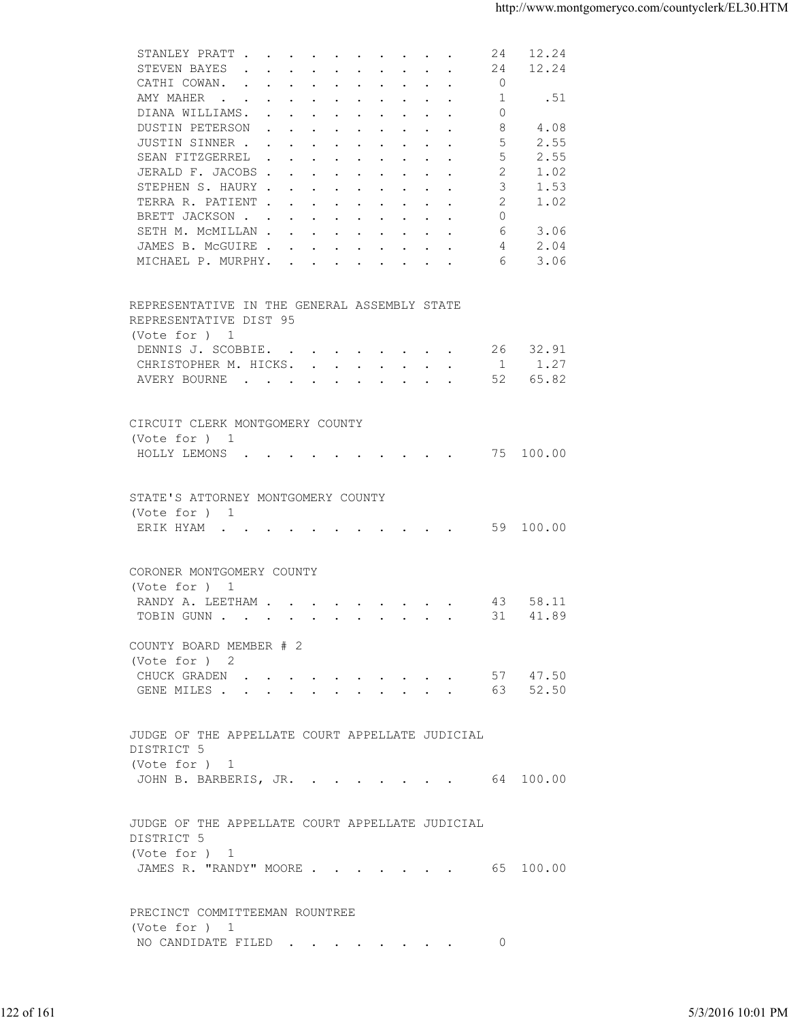| 12.24<br>STEVEN BAYES<br>24<br>$\mathbf{r}$ , and $\mathbf{r}$ , and $\mathbf{r}$ , and $\mathbf{r}$ , and $\mathbf{r}$<br>CATHI COWAN.<br>$\overline{0}$<br>1<br>AMY MAHER<br>.51<br>$\Omega$<br>DIANA WILLIAMS.<br>8<br>4.08<br>DUSTIN PETERSON<br>5<br>2.55<br>JUSTIN SINNER<br>2.55<br>SEAN FITZGERREL<br>5<br>1.02<br>JERALD F. JACOBS<br>2<br>3<br>STEPHEN S. HAURY<br>1.53<br>2<br>1.02<br>TERRA R. PATIENT<br>BRETT JACKSON<br>$\Omega$<br>3.06<br>SETH M. MCMILLAN<br>6<br>2.04<br>JAMES B. MCGUIRE<br>4<br>3.06<br>MICHAEL P. MURPHY.<br>6<br>REPRESENTATIVE IN THE GENERAL ASSEMBLY STATE<br>REPRESENTATIVE DIST 95<br>(Vote for ) 1<br>DENNIS J. SCOBBIE.<br>26 32.91<br>CHRISTOPHER M. HICKS. 1 1.27<br>52<br>65.82<br>AVERY BOURNE<br>CIRCUIT CLERK MONTGOMERY COUNTY<br>(Vote for ) 1<br>HOLLY LEMONS 75 100.00<br>STATE'S ATTORNEY MONTGOMERY COUNTY<br>(Vote for ) 1<br>ERIK HYAM 59 100.00<br>CORONER MONTGOMERY COUNTY<br>(Vote for ) 1<br>RANDY A. LEETHAM<br>58.11<br>43<br>TOBIN GUNN 31 41.89<br>COUNTY BOARD MEMBER # 2<br>(Vote for ) 2<br>CHUCK GRADEN 57 47.50<br>GENE MILES 63 52.50<br>JUDGE OF THE APPELLATE COURT APPELLATE JUDICIAL<br>DISTRICT 5<br>(Vote for ) 1<br>JOHN B. BARBERIS, JR. 64 100.00<br>JUDGE OF THE APPELLATE COURT APPELLATE JUDICIAL<br>DISTRICT 5<br>(Vote for ) 1<br>JAMES R. "RANDY" MOORE 65 100.00<br>PRECINCT COMMITTEEMAN ROUNTREE<br>(Vote for ) 1<br>NO CANDIDATE FILED 0<br>5/3/2016 10:01 PM |            | STANLEY PRATT | 24 12.24 |  |
|-------------------------------------------------------------------------------------------------------------------------------------------------------------------------------------------------------------------------------------------------------------------------------------------------------------------------------------------------------------------------------------------------------------------------------------------------------------------------------------------------------------------------------------------------------------------------------------------------------------------------------------------------------------------------------------------------------------------------------------------------------------------------------------------------------------------------------------------------------------------------------------------------------------------------------------------------------------------------------------------------------------------------------------------------------------------------------------------------------------------------------------------------------------------------------------------------------------------------------------------------------------------------------------------------------------------------------------------------------------------------------------------------------------------------------------------------------------|------------|---------------|----------|--|
|                                                                                                                                                                                                                                                                                                                                                                                                                                                                                                                                                                                                                                                                                                                                                                                                                                                                                                                                                                                                                                                                                                                                                                                                                                                                                                                                                                                                                                                             |            |               |          |  |
|                                                                                                                                                                                                                                                                                                                                                                                                                                                                                                                                                                                                                                                                                                                                                                                                                                                                                                                                                                                                                                                                                                                                                                                                                                                                                                                                                                                                                                                             |            |               |          |  |
|                                                                                                                                                                                                                                                                                                                                                                                                                                                                                                                                                                                                                                                                                                                                                                                                                                                                                                                                                                                                                                                                                                                                                                                                                                                                                                                                                                                                                                                             |            |               |          |  |
|                                                                                                                                                                                                                                                                                                                                                                                                                                                                                                                                                                                                                                                                                                                                                                                                                                                                                                                                                                                                                                                                                                                                                                                                                                                                                                                                                                                                                                                             | 122 of 161 |               |          |  |
|                                                                                                                                                                                                                                                                                                                                                                                                                                                                                                                                                                                                                                                                                                                                                                                                                                                                                                                                                                                                                                                                                                                                                                                                                                                                                                                                                                                                                                                             |            |               |          |  |
|                                                                                                                                                                                                                                                                                                                                                                                                                                                                                                                                                                                                                                                                                                                                                                                                                                                                                                                                                                                                                                                                                                                                                                                                                                                                                                                                                                                                                                                             |            |               |          |  |
|                                                                                                                                                                                                                                                                                                                                                                                                                                                                                                                                                                                                                                                                                                                                                                                                                                                                                                                                                                                                                                                                                                                                                                                                                                                                                                                                                                                                                                                             |            |               |          |  |
|                                                                                                                                                                                                                                                                                                                                                                                                                                                                                                                                                                                                                                                                                                                                                                                                                                                                                                                                                                                                                                                                                                                                                                                                                                                                                                                                                                                                                                                             |            |               |          |  |
|                                                                                                                                                                                                                                                                                                                                                                                                                                                                                                                                                                                                                                                                                                                                                                                                                                                                                                                                                                                                                                                                                                                                                                                                                                                                                                                                                                                                                                                             |            |               |          |  |
|                                                                                                                                                                                                                                                                                                                                                                                                                                                                                                                                                                                                                                                                                                                                                                                                                                                                                                                                                                                                                                                                                                                                                                                                                                                                                                                                                                                                                                                             |            |               |          |  |
|                                                                                                                                                                                                                                                                                                                                                                                                                                                                                                                                                                                                                                                                                                                                                                                                                                                                                                                                                                                                                                                                                                                                                                                                                                                                                                                                                                                                                                                             |            |               |          |  |
|                                                                                                                                                                                                                                                                                                                                                                                                                                                                                                                                                                                                                                                                                                                                                                                                                                                                                                                                                                                                                                                                                                                                                                                                                                                                                                                                                                                                                                                             |            |               |          |  |
|                                                                                                                                                                                                                                                                                                                                                                                                                                                                                                                                                                                                                                                                                                                                                                                                                                                                                                                                                                                                                                                                                                                                                                                                                                                                                                                                                                                                                                                             |            |               |          |  |
|                                                                                                                                                                                                                                                                                                                                                                                                                                                                                                                                                                                                                                                                                                                                                                                                                                                                                                                                                                                                                                                                                                                                                                                                                                                                                                                                                                                                                                                             |            |               |          |  |
|                                                                                                                                                                                                                                                                                                                                                                                                                                                                                                                                                                                                                                                                                                                                                                                                                                                                                                                                                                                                                                                                                                                                                                                                                                                                                                                                                                                                                                                             |            |               |          |  |
|                                                                                                                                                                                                                                                                                                                                                                                                                                                                                                                                                                                                                                                                                                                                                                                                                                                                                                                                                                                                                                                                                                                                                                                                                                                                                                                                                                                                                                                             |            |               |          |  |
|                                                                                                                                                                                                                                                                                                                                                                                                                                                                                                                                                                                                                                                                                                                                                                                                                                                                                                                                                                                                                                                                                                                                                                                                                                                                                                                                                                                                                                                             |            |               |          |  |
|                                                                                                                                                                                                                                                                                                                                                                                                                                                                                                                                                                                                                                                                                                                                                                                                                                                                                                                                                                                                                                                                                                                                                                                                                                                                                                                                                                                                                                                             |            |               |          |  |
|                                                                                                                                                                                                                                                                                                                                                                                                                                                                                                                                                                                                                                                                                                                                                                                                                                                                                                                                                                                                                                                                                                                                                                                                                                                                                                                                                                                                                                                             |            |               |          |  |
|                                                                                                                                                                                                                                                                                                                                                                                                                                                                                                                                                                                                                                                                                                                                                                                                                                                                                                                                                                                                                                                                                                                                                                                                                                                                                                                                                                                                                                                             |            |               |          |  |
|                                                                                                                                                                                                                                                                                                                                                                                                                                                                                                                                                                                                                                                                                                                                                                                                                                                                                                                                                                                                                                                                                                                                                                                                                                                                                                                                                                                                                                                             |            |               |          |  |
|                                                                                                                                                                                                                                                                                                                                                                                                                                                                                                                                                                                                                                                                                                                                                                                                                                                                                                                                                                                                                                                                                                                                                                                                                                                                                                                                                                                                                                                             |            |               |          |  |
|                                                                                                                                                                                                                                                                                                                                                                                                                                                                                                                                                                                                                                                                                                                                                                                                                                                                                                                                                                                                                                                                                                                                                                                                                                                                                                                                                                                                                                                             |            |               |          |  |
|                                                                                                                                                                                                                                                                                                                                                                                                                                                                                                                                                                                                                                                                                                                                                                                                                                                                                                                                                                                                                                                                                                                                                                                                                                                                                                                                                                                                                                                             |            |               |          |  |
|                                                                                                                                                                                                                                                                                                                                                                                                                                                                                                                                                                                                                                                                                                                                                                                                                                                                                                                                                                                                                                                                                                                                                                                                                                                                                                                                                                                                                                                             |            |               |          |  |
|                                                                                                                                                                                                                                                                                                                                                                                                                                                                                                                                                                                                                                                                                                                                                                                                                                                                                                                                                                                                                                                                                                                                                                                                                                                                                                                                                                                                                                                             |            |               |          |  |
|                                                                                                                                                                                                                                                                                                                                                                                                                                                                                                                                                                                                                                                                                                                                                                                                                                                                                                                                                                                                                                                                                                                                                                                                                                                                                                                                                                                                                                                             |            |               |          |  |
|                                                                                                                                                                                                                                                                                                                                                                                                                                                                                                                                                                                                                                                                                                                                                                                                                                                                                                                                                                                                                                                                                                                                                                                                                                                                                                                                                                                                                                                             |            |               |          |  |
|                                                                                                                                                                                                                                                                                                                                                                                                                                                                                                                                                                                                                                                                                                                                                                                                                                                                                                                                                                                                                                                                                                                                                                                                                                                                                                                                                                                                                                                             |            |               |          |  |
|                                                                                                                                                                                                                                                                                                                                                                                                                                                                                                                                                                                                                                                                                                                                                                                                                                                                                                                                                                                                                                                                                                                                                                                                                                                                                                                                                                                                                                                             |            |               |          |  |
|                                                                                                                                                                                                                                                                                                                                                                                                                                                                                                                                                                                                                                                                                                                                                                                                                                                                                                                                                                                                                                                                                                                                                                                                                                                                                                                                                                                                                                                             |            |               |          |  |
|                                                                                                                                                                                                                                                                                                                                                                                                                                                                                                                                                                                                                                                                                                                                                                                                                                                                                                                                                                                                                                                                                                                                                                                                                                                                                                                                                                                                                                                             |            |               |          |  |
|                                                                                                                                                                                                                                                                                                                                                                                                                                                                                                                                                                                                                                                                                                                                                                                                                                                                                                                                                                                                                                                                                                                                                                                                                                                                                                                                                                                                                                                             |            |               |          |  |
|                                                                                                                                                                                                                                                                                                                                                                                                                                                                                                                                                                                                                                                                                                                                                                                                                                                                                                                                                                                                                                                                                                                                                                                                                                                                                                                                                                                                                                                             |            |               |          |  |
|                                                                                                                                                                                                                                                                                                                                                                                                                                                                                                                                                                                                                                                                                                                                                                                                                                                                                                                                                                                                                                                                                                                                                                                                                                                                                                                                                                                                                                                             |            |               |          |  |
|                                                                                                                                                                                                                                                                                                                                                                                                                                                                                                                                                                                                                                                                                                                                                                                                                                                                                                                                                                                                                                                                                                                                                                                                                                                                                                                                                                                                                                                             |            |               |          |  |
|                                                                                                                                                                                                                                                                                                                                                                                                                                                                                                                                                                                                                                                                                                                                                                                                                                                                                                                                                                                                                                                                                                                                                                                                                                                                                                                                                                                                                                                             |            |               |          |  |
|                                                                                                                                                                                                                                                                                                                                                                                                                                                                                                                                                                                                                                                                                                                                                                                                                                                                                                                                                                                                                                                                                                                                                                                                                                                                                                                                                                                                                                                             |            |               |          |  |
|                                                                                                                                                                                                                                                                                                                                                                                                                                                                                                                                                                                                                                                                                                                                                                                                                                                                                                                                                                                                                                                                                                                                                                                                                                                                                                                                                                                                                                                             |            |               |          |  |
|                                                                                                                                                                                                                                                                                                                                                                                                                                                                                                                                                                                                                                                                                                                                                                                                                                                                                                                                                                                                                                                                                                                                                                                                                                                                                                                                                                                                                                                             |            |               |          |  |
|                                                                                                                                                                                                                                                                                                                                                                                                                                                                                                                                                                                                                                                                                                                                                                                                                                                                                                                                                                                                                                                                                                                                                                                                                                                                                                                                                                                                                                                             |            |               |          |  |
|                                                                                                                                                                                                                                                                                                                                                                                                                                                                                                                                                                                                                                                                                                                                                                                                                                                                                                                                                                                                                                                                                                                                                                                                                                                                                                                                                                                                                                                             |            |               |          |  |
|                                                                                                                                                                                                                                                                                                                                                                                                                                                                                                                                                                                                                                                                                                                                                                                                                                                                                                                                                                                                                                                                                                                                                                                                                                                                                                                                                                                                                                                             |            |               |          |  |
|                                                                                                                                                                                                                                                                                                                                                                                                                                                                                                                                                                                                                                                                                                                                                                                                                                                                                                                                                                                                                                                                                                                                                                                                                                                                                                                                                                                                                                                             |            |               |          |  |
|                                                                                                                                                                                                                                                                                                                                                                                                                                                                                                                                                                                                                                                                                                                                                                                                                                                                                                                                                                                                                                                                                                                                                                                                                                                                                                                                                                                                                                                             |            |               |          |  |
|                                                                                                                                                                                                                                                                                                                                                                                                                                                                                                                                                                                                                                                                                                                                                                                                                                                                                                                                                                                                                                                                                                                                                                                                                                                                                                                                                                                                                                                             |            |               |          |  |
|                                                                                                                                                                                                                                                                                                                                                                                                                                                                                                                                                                                                                                                                                                                                                                                                                                                                                                                                                                                                                                                                                                                                                                                                                                                                                                                                                                                                                                                             |            |               |          |  |
|                                                                                                                                                                                                                                                                                                                                                                                                                                                                                                                                                                                                                                                                                                                                                                                                                                                                                                                                                                                                                                                                                                                                                                                                                                                                                                                                                                                                                                                             |            |               |          |  |
|                                                                                                                                                                                                                                                                                                                                                                                                                                                                                                                                                                                                                                                                                                                                                                                                                                                                                                                                                                                                                                                                                                                                                                                                                                                                                                                                                                                                                                                             |            |               |          |  |
|                                                                                                                                                                                                                                                                                                                                                                                                                                                                                                                                                                                                                                                                                                                                                                                                                                                                                                                                                                                                                                                                                                                                                                                                                                                                                                                                                                                                                                                             |            |               |          |  |
|                                                                                                                                                                                                                                                                                                                                                                                                                                                                                                                                                                                                                                                                                                                                                                                                                                                                                                                                                                                                                                                                                                                                                                                                                                                                                                                                                                                                                                                             |            |               |          |  |
|                                                                                                                                                                                                                                                                                                                                                                                                                                                                                                                                                                                                                                                                                                                                                                                                                                                                                                                                                                                                                                                                                                                                                                                                                                                                                                                                                                                                                                                             |            |               |          |  |
|                                                                                                                                                                                                                                                                                                                                                                                                                                                                                                                                                                                                                                                                                                                                                                                                                                                                                                                                                                                                                                                                                                                                                                                                                                                                                                                                                                                                                                                             |            |               |          |  |
|                                                                                                                                                                                                                                                                                                                                                                                                                                                                                                                                                                                                                                                                                                                                                                                                                                                                                                                                                                                                                                                                                                                                                                                                                                                                                                                                                                                                                                                             |            |               |          |  |
|                                                                                                                                                                                                                                                                                                                                                                                                                                                                                                                                                                                                                                                                                                                                                                                                                                                                                                                                                                                                                                                                                                                                                                                                                                                                                                                                                                                                                                                             |            |               |          |  |
|                                                                                                                                                                                                                                                                                                                                                                                                                                                                                                                                                                                                                                                                                                                                                                                                                                                                                                                                                                                                                                                                                                                                                                                                                                                                                                                                                                                                                                                             |            |               |          |  |
|                                                                                                                                                                                                                                                                                                                                                                                                                                                                                                                                                                                                                                                                                                                                                                                                                                                                                                                                                                                                                                                                                                                                                                                                                                                                                                                                                                                                                                                             |            |               |          |  |
|                                                                                                                                                                                                                                                                                                                                                                                                                                                                                                                                                                                                                                                                                                                                                                                                                                                                                                                                                                                                                                                                                                                                                                                                                                                                                                                                                                                                                                                             |            |               |          |  |
|                                                                                                                                                                                                                                                                                                                                                                                                                                                                                                                                                                                                                                                                                                                                                                                                                                                                                                                                                                                                                                                                                                                                                                                                                                                                                                                                                                                                                                                             |            |               |          |  |
|                                                                                                                                                                                                                                                                                                                                                                                                                                                                                                                                                                                                                                                                                                                                                                                                                                                                                                                                                                                                                                                                                                                                                                                                                                                                                                                                                                                                                                                             |            |               |          |  |
|                                                                                                                                                                                                                                                                                                                                                                                                                                                                                                                                                                                                                                                                                                                                                                                                                                                                                                                                                                                                                                                                                                                                                                                                                                                                                                                                                                                                                                                             |            |               |          |  |
|                                                                                                                                                                                                                                                                                                                                                                                                                                                                                                                                                                                                                                                                                                                                                                                                                                                                                                                                                                                                                                                                                                                                                                                                                                                                                                                                                                                                                                                             |            |               |          |  |
|                                                                                                                                                                                                                                                                                                                                                                                                                                                                                                                                                                                                                                                                                                                                                                                                                                                                                                                                                                                                                                                                                                                                                                                                                                                                                                                                                                                                                                                             |            |               |          |  |
|                                                                                                                                                                                                                                                                                                                                                                                                                                                                                                                                                                                                                                                                                                                                                                                                                                                                                                                                                                                                                                                                                                                                                                                                                                                                                                                                                                                                                                                             |            |               |          |  |
|                                                                                                                                                                                                                                                                                                                                                                                                                                                                                                                                                                                                                                                                                                                                                                                                                                                                                                                                                                                                                                                                                                                                                                                                                                                                                                                                                                                                                                                             |            |               |          |  |
|                                                                                                                                                                                                                                                                                                                                                                                                                                                                                                                                                                                                                                                                                                                                                                                                                                                                                                                                                                                                                                                                                                                                                                                                                                                                                                                                                                                                                                                             |            |               |          |  |
|                                                                                                                                                                                                                                                                                                                                                                                                                                                                                                                                                                                                                                                                                                                                                                                                                                                                                                                                                                                                                                                                                                                                                                                                                                                                                                                                                                                                                                                             |            |               |          |  |
|                                                                                                                                                                                                                                                                                                                                                                                                                                                                                                                                                                                                                                                                                                                                                                                                                                                                                                                                                                                                                                                                                                                                                                                                                                                                                                                                                                                                                                                             |            |               |          |  |
|                                                                                                                                                                                                                                                                                                                                                                                                                                                                                                                                                                                                                                                                                                                                                                                                                                                                                                                                                                                                                                                                                                                                                                                                                                                                                                                                                                                                                                                             |            |               |          |  |
|                                                                                                                                                                                                                                                                                                                                                                                                                                                                                                                                                                                                                                                                                                                                                                                                                                                                                                                                                                                                                                                                                                                                                                                                                                                                                                                                                                                                                                                             |            |               |          |  |
|                                                                                                                                                                                                                                                                                                                                                                                                                                                                                                                                                                                                                                                                                                                                                                                                                                                                                                                                                                                                                                                                                                                                                                                                                                                                                                                                                                                                                                                             |            |               |          |  |
|                                                                                                                                                                                                                                                                                                                                                                                                                                                                                                                                                                                                                                                                                                                                                                                                                                                                                                                                                                                                                                                                                                                                                                                                                                                                                                                                                                                                                                                             |            |               |          |  |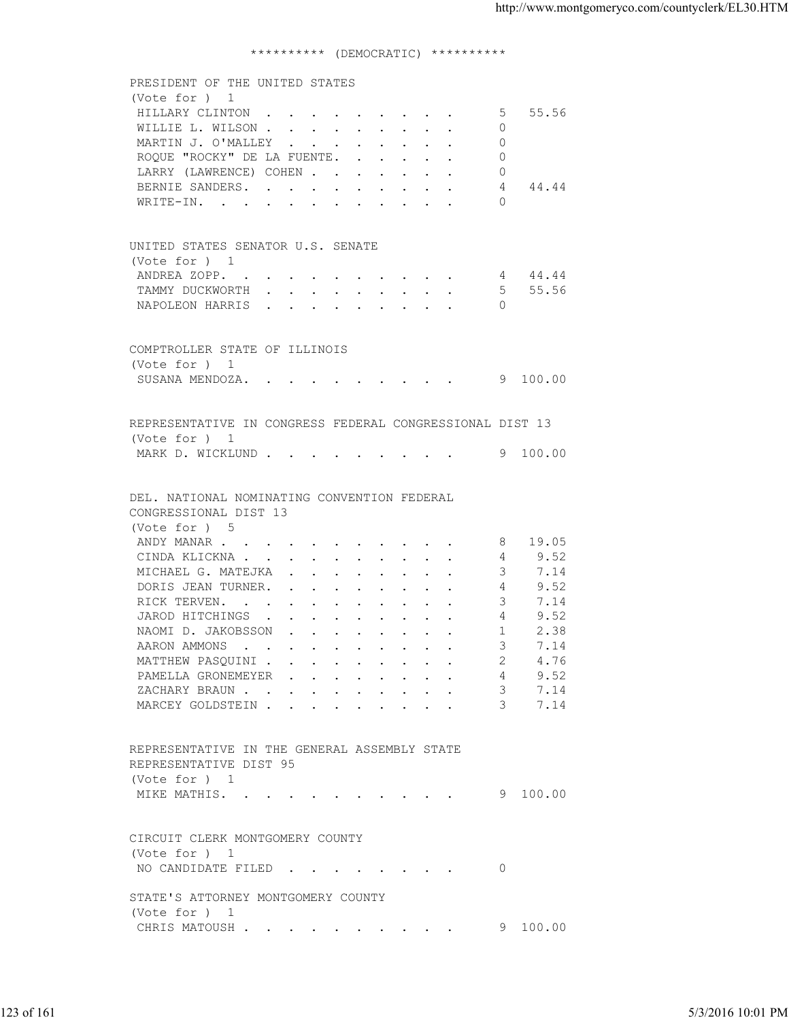## \*\*\*\*\*\*\*\*\*\* (DEMOCRATIC) \*\*\*\*\*\*\*\*\*\*

| (Vote for ) 1<br>HILLARY CLINTON<br>5 55.56<br>WILLIE L. WILSON<br>$\circ$<br>MARTIN J. O'MALLEY<br>$\Omega$<br>ROQUE "ROCKY" DE LA FUENTE.<br>$\Omega$<br>LARRY (LAWRENCE) COHEN<br>$\Omega$<br>BERNIE SANDERS. 4 44.44<br>WRITE-IN.<br>$\bigcap$<br>UNITED STATES SENATOR U.S. SENATE<br>(Vote for ) 1<br>ANDREA ZOPP. 4 44.44<br>TAMMY DUCKWORTH 5 55.56<br>NAPOLEON HARRIS<br>$\Omega$<br>COMPTROLLER STATE OF ILLINOIS<br>(Vote for ) 1<br>SUSANA MENDOZA. 9 100.00<br>REPRESENTATIVE IN CONGRESS FEDERAL CONGRESSIONAL DIST 13<br>(Vote for ) 1<br>MARK D. WICKLUND 9 100.00<br>DEL. NATIONAL NOMINATING CONVENTION FEDERAL<br>CONGRESSIONAL DIST 13<br>(Vote for ) 5<br>ANDY MANAR 8 19.05<br>CINDA KLICKNA<br>9.52<br>4<br>MICHAEL G. MATEJKA<br>3<br>7.14<br>9.52<br>DORIS JEAN TURNER.<br>4<br>3<br>7.14<br>RICK TERVEN.<br>9.52<br>JAROD HITCHINGS<br>4<br>2.38<br>NAOMID.JAKOBSSON<br>$\sim$ 1<br>7.14<br>AARON AMMONS<br>3<br>MATTHEW PASQUINI<br>4.76<br>PAMELLA GRONEMEYER<br>9.52<br>4<br>ZACHARY BRAUN<br>3<br>7.14<br>3<br>7.14<br>MARCEY GOLDSTEIN<br>REPRESENTATIVE IN THE GENERAL ASSEMBLY STATE<br>REPRESENTATIVE DIST 95<br>(Vote for ) 1<br>MIKE MATHIS.<br>9 100.00<br>CIRCUIT CLERK MONTGOMERY COUNTY<br>(Vote for ) 1<br>NO CANDIDATE FILED<br>$\overline{0}$<br>STATE'S ATTORNEY MONTGOMERY COUNTY<br>(Vote for ) 1<br>9 100.00<br>CHRIS MATOUSH |            | 5/3/2016 10:01 PM | PRESIDENT OF THE UNITED STATES |  |
|------------------------------------------------------------------------------------------------------------------------------------------------------------------------------------------------------------------------------------------------------------------------------------------------------------------------------------------------------------------------------------------------------------------------------------------------------------------------------------------------------------------------------------------------------------------------------------------------------------------------------------------------------------------------------------------------------------------------------------------------------------------------------------------------------------------------------------------------------------------------------------------------------------------------------------------------------------------------------------------------------------------------------------------------------------------------------------------------------------------------------------------------------------------------------------------------------------------------------------------------------------------------------------------------------------------------------------------------------------------------------|------------|-------------------|--------------------------------|--|
|                                                                                                                                                                                                                                                                                                                                                                                                                                                                                                                                                                                                                                                                                                                                                                                                                                                                                                                                                                                                                                                                                                                                                                                                                                                                                                                                                                              | 123 of 161 |                   |                                |  |
|                                                                                                                                                                                                                                                                                                                                                                                                                                                                                                                                                                                                                                                                                                                                                                                                                                                                                                                                                                                                                                                                                                                                                                                                                                                                                                                                                                              |            |                   |                                |  |
|                                                                                                                                                                                                                                                                                                                                                                                                                                                                                                                                                                                                                                                                                                                                                                                                                                                                                                                                                                                                                                                                                                                                                                                                                                                                                                                                                                              |            |                   |                                |  |
|                                                                                                                                                                                                                                                                                                                                                                                                                                                                                                                                                                                                                                                                                                                                                                                                                                                                                                                                                                                                                                                                                                                                                                                                                                                                                                                                                                              |            |                   |                                |  |
|                                                                                                                                                                                                                                                                                                                                                                                                                                                                                                                                                                                                                                                                                                                                                                                                                                                                                                                                                                                                                                                                                                                                                                                                                                                                                                                                                                              |            |                   |                                |  |
|                                                                                                                                                                                                                                                                                                                                                                                                                                                                                                                                                                                                                                                                                                                                                                                                                                                                                                                                                                                                                                                                                                                                                                                                                                                                                                                                                                              |            |                   |                                |  |
|                                                                                                                                                                                                                                                                                                                                                                                                                                                                                                                                                                                                                                                                                                                                                                                                                                                                                                                                                                                                                                                                                                                                                                                                                                                                                                                                                                              |            |                   |                                |  |
|                                                                                                                                                                                                                                                                                                                                                                                                                                                                                                                                                                                                                                                                                                                                                                                                                                                                                                                                                                                                                                                                                                                                                                                                                                                                                                                                                                              |            |                   |                                |  |
|                                                                                                                                                                                                                                                                                                                                                                                                                                                                                                                                                                                                                                                                                                                                                                                                                                                                                                                                                                                                                                                                                                                                                                                                                                                                                                                                                                              |            |                   |                                |  |
|                                                                                                                                                                                                                                                                                                                                                                                                                                                                                                                                                                                                                                                                                                                                                                                                                                                                                                                                                                                                                                                                                                                                                                                                                                                                                                                                                                              |            |                   |                                |  |
|                                                                                                                                                                                                                                                                                                                                                                                                                                                                                                                                                                                                                                                                                                                                                                                                                                                                                                                                                                                                                                                                                                                                                                                                                                                                                                                                                                              |            |                   |                                |  |
|                                                                                                                                                                                                                                                                                                                                                                                                                                                                                                                                                                                                                                                                                                                                                                                                                                                                                                                                                                                                                                                                                                                                                                                                                                                                                                                                                                              |            |                   |                                |  |
|                                                                                                                                                                                                                                                                                                                                                                                                                                                                                                                                                                                                                                                                                                                                                                                                                                                                                                                                                                                                                                                                                                                                                                                                                                                                                                                                                                              |            |                   |                                |  |
|                                                                                                                                                                                                                                                                                                                                                                                                                                                                                                                                                                                                                                                                                                                                                                                                                                                                                                                                                                                                                                                                                                                                                                                                                                                                                                                                                                              |            |                   |                                |  |
|                                                                                                                                                                                                                                                                                                                                                                                                                                                                                                                                                                                                                                                                                                                                                                                                                                                                                                                                                                                                                                                                                                                                                                                                                                                                                                                                                                              |            |                   |                                |  |
|                                                                                                                                                                                                                                                                                                                                                                                                                                                                                                                                                                                                                                                                                                                                                                                                                                                                                                                                                                                                                                                                                                                                                                                                                                                                                                                                                                              |            |                   |                                |  |
|                                                                                                                                                                                                                                                                                                                                                                                                                                                                                                                                                                                                                                                                                                                                                                                                                                                                                                                                                                                                                                                                                                                                                                                                                                                                                                                                                                              |            |                   |                                |  |
|                                                                                                                                                                                                                                                                                                                                                                                                                                                                                                                                                                                                                                                                                                                                                                                                                                                                                                                                                                                                                                                                                                                                                                                                                                                                                                                                                                              |            |                   |                                |  |
|                                                                                                                                                                                                                                                                                                                                                                                                                                                                                                                                                                                                                                                                                                                                                                                                                                                                                                                                                                                                                                                                                                                                                                                                                                                                                                                                                                              |            |                   |                                |  |
|                                                                                                                                                                                                                                                                                                                                                                                                                                                                                                                                                                                                                                                                                                                                                                                                                                                                                                                                                                                                                                                                                                                                                                                                                                                                                                                                                                              |            |                   |                                |  |
|                                                                                                                                                                                                                                                                                                                                                                                                                                                                                                                                                                                                                                                                                                                                                                                                                                                                                                                                                                                                                                                                                                                                                                                                                                                                                                                                                                              |            |                   |                                |  |
|                                                                                                                                                                                                                                                                                                                                                                                                                                                                                                                                                                                                                                                                                                                                                                                                                                                                                                                                                                                                                                                                                                                                                                                                                                                                                                                                                                              |            |                   |                                |  |
|                                                                                                                                                                                                                                                                                                                                                                                                                                                                                                                                                                                                                                                                                                                                                                                                                                                                                                                                                                                                                                                                                                                                                                                                                                                                                                                                                                              |            |                   |                                |  |
|                                                                                                                                                                                                                                                                                                                                                                                                                                                                                                                                                                                                                                                                                                                                                                                                                                                                                                                                                                                                                                                                                                                                                                                                                                                                                                                                                                              |            |                   |                                |  |
|                                                                                                                                                                                                                                                                                                                                                                                                                                                                                                                                                                                                                                                                                                                                                                                                                                                                                                                                                                                                                                                                                                                                                                                                                                                                                                                                                                              |            |                   |                                |  |
|                                                                                                                                                                                                                                                                                                                                                                                                                                                                                                                                                                                                                                                                                                                                                                                                                                                                                                                                                                                                                                                                                                                                                                                                                                                                                                                                                                              |            |                   |                                |  |
|                                                                                                                                                                                                                                                                                                                                                                                                                                                                                                                                                                                                                                                                                                                                                                                                                                                                                                                                                                                                                                                                                                                                                                                                                                                                                                                                                                              |            |                   |                                |  |
|                                                                                                                                                                                                                                                                                                                                                                                                                                                                                                                                                                                                                                                                                                                                                                                                                                                                                                                                                                                                                                                                                                                                                                                                                                                                                                                                                                              |            |                   |                                |  |
|                                                                                                                                                                                                                                                                                                                                                                                                                                                                                                                                                                                                                                                                                                                                                                                                                                                                                                                                                                                                                                                                                                                                                                                                                                                                                                                                                                              |            |                   |                                |  |
|                                                                                                                                                                                                                                                                                                                                                                                                                                                                                                                                                                                                                                                                                                                                                                                                                                                                                                                                                                                                                                                                                                                                                                                                                                                                                                                                                                              |            |                   |                                |  |
|                                                                                                                                                                                                                                                                                                                                                                                                                                                                                                                                                                                                                                                                                                                                                                                                                                                                                                                                                                                                                                                                                                                                                                                                                                                                                                                                                                              |            |                   |                                |  |
|                                                                                                                                                                                                                                                                                                                                                                                                                                                                                                                                                                                                                                                                                                                                                                                                                                                                                                                                                                                                                                                                                                                                                                                                                                                                                                                                                                              |            |                   |                                |  |
|                                                                                                                                                                                                                                                                                                                                                                                                                                                                                                                                                                                                                                                                                                                                                                                                                                                                                                                                                                                                                                                                                                                                                                                                                                                                                                                                                                              |            |                   |                                |  |
|                                                                                                                                                                                                                                                                                                                                                                                                                                                                                                                                                                                                                                                                                                                                                                                                                                                                                                                                                                                                                                                                                                                                                                                                                                                                                                                                                                              |            |                   |                                |  |
|                                                                                                                                                                                                                                                                                                                                                                                                                                                                                                                                                                                                                                                                                                                                                                                                                                                                                                                                                                                                                                                                                                                                                                                                                                                                                                                                                                              |            |                   |                                |  |
|                                                                                                                                                                                                                                                                                                                                                                                                                                                                                                                                                                                                                                                                                                                                                                                                                                                                                                                                                                                                                                                                                                                                                                                                                                                                                                                                                                              |            |                   |                                |  |
|                                                                                                                                                                                                                                                                                                                                                                                                                                                                                                                                                                                                                                                                                                                                                                                                                                                                                                                                                                                                                                                                                                                                                                                                                                                                                                                                                                              |            |                   |                                |  |
|                                                                                                                                                                                                                                                                                                                                                                                                                                                                                                                                                                                                                                                                                                                                                                                                                                                                                                                                                                                                                                                                                                                                                                                                                                                                                                                                                                              |            |                   |                                |  |
|                                                                                                                                                                                                                                                                                                                                                                                                                                                                                                                                                                                                                                                                                                                                                                                                                                                                                                                                                                                                                                                                                                                                                                                                                                                                                                                                                                              |            |                   |                                |  |
|                                                                                                                                                                                                                                                                                                                                                                                                                                                                                                                                                                                                                                                                                                                                                                                                                                                                                                                                                                                                                                                                                                                                                                                                                                                                                                                                                                              |            |                   |                                |  |
|                                                                                                                                                                                                                                                                                                                                                                                                                                                                                                                                                                                                                                                                                                                                                                                                                                                                                                                                                                                                                                                                                                                                                                                                                                                                                                                                                                              |            |                   |                                |  |
|                                                                                                                                                                                                                                                                                                                                                                                                                                                                                                                                                                                                                                                                                                                                                                                                                                                                                                                                                                                                                                                                                                                                                                                                                                                                                                                                                                              |            |                   |                                |  |
|                                                                                                                                                                                                                                                                                                                                                                                                                                                                                                                                                                                                                                                                                                                                                                                                                                                                                                                                                                                                                                                                                                                                                                                                                                                                                                                                                                              |            |                   |                                |  |
|                                                                                                                                                                                                                                                                                                                                                                                                                                                                                                                                                                                                                                                                                                                                                                                                                                                                                                                                                                                                                                                                                                                                                                                                                                                                                                                                                                              |            |                   |                                |  |
|                                                                                                                                                                                                                                                                                                                                                                                                                                                                                                                                                                                                                                                                                                                                                                                                                                                                                                                                                                                                                                                                                                                                                                                                                                                                                                                                                                              |            |                   |                                |  |
|                                                                                                                                                                                                                                                                                                                                                                                                                                                                                                                                                                                                                                                                                                                                                                                                                                                                                                                                                                                                                                                                                                                                                                                                                                                                                                                                                                              |            |                   |                                |  |
|                                                                                                                                                                                                                                                                                                                                                                                                                                                                                                                                                                                                                                                                                                                                                                                                                                                                                                                                                                                                                                                                                                                                                                                                                                                                                                                                                                              |            |                   |                                |  |
|                                                                                                                                                                                                                                                                                                                                                                                                                                                                                                                                                                                                                                                                                                                                                                                                                                                                                                                                                                                                                                                                                                                                                                                                                                                                                                                                                                              |            |                   |                                |  |
|                                                                                                                                                                                                                                                                                                                                                                                                                                                                                                                                                                                                                                                                                                                                                                                                                                                                                                                                                                                                                                                                                                                                                                                                                                                                                                                                                                              |            |                   |                                |  |
|                                                                                                                                                                                                                                                                                                                                                                                                                                                                                                                                                                                                                                                                                                                                                                                                                                                                                                                                                                                                                                                                                                                                                                                                                                                                                                                                                                              |            |                   |                                |  |
|                                                                                                                                                                                                                                                                                                                                                                                                                                                                                                                                                                                                                                                                                                                                                                                                                                                                                                                                                                                                                                                                                                                                                                                                                                                                                                                                                                              |            |                   |                                |  |
|                                                                                                                                                                                                                                                                                                                                                                                                                                                                                                                                                                                                                                                                                                                                                                                                                                                                                                                                                                                                                                                                                                                                                                                                                                                                                                                                                                              |            |                   |                                |  |
|                                                                                                                                                                                                                                                                                                                                                                                                                                                                                                                                                                                                                                                                                                                                                                                                                                                                                                                                                                                                                                                                                                                                                                                                                                                                                                                                                                              |            |                   |                                |  |
|                                                                                                                                                                                                                                                                                                                                                                                                                                                                                                                                                                                                                                                                                                                                                                                                                                                                                                                                                                                                                                                                                                                                                                                                                                                                                                                                                                              |            |                   |                                |  |
|                                                                                                                                                                                                                                                                                                                                                                                                                                                                                                                                                                                                                                                                                                                                                                                                                                                                                                                                                                                                                                                                                                                                                                                                                                                                                                                                                                              |            |                   |                                |  |
|                                                                                                                                                                                                                                                                                                                                                                                                                                                                                                                                                                                                                                                                                                                                                                                                                                                                                                                                                                                                                                                                                                                                                                                                                                                                                                                                                                              |            |                   |                                |  |
|                                                                                                                                                                                                                                                                                                                                                                                                                                                                                                                                                                                                                                                                                                                                                                                                                                                                                                                                                                                                                                                                                                                                                                                                                                                                                                                                                                              |            |                   |                                |  |
|                                                                                                                                                                                                                                                                                                                                                                                                                                                                                                                                                                                                                                                                                                                                                                                                                                                                                                                                                                                                                                                                                                                                                                                                                                                                                                                                                                              |            |                   |                                |  |
|                                                                                                                                                                                                                                                                                                                                                                                                                                                                                                                                                                                                                                                                                                                                                                                                                                                                                                                                                                                                                                                                                                                                                                                                                                                                                                                                                                              |            |                   |                                |  |
|                                                                                                                                                                                                                                                                                                                                                                                                                                                                                                                                                                                                                                                                                                                                                                                                                                                                                                                                                                                                                                                                                                                                                                                                                                                                                                                                                                              |            |                   |                                |  |
|                                                                                                                                                                                                                                                                                                                                                                                                                                                                                                                                                                                                                                                                                                                                                                                                                                                                                                                                                                                                                                                                                                                                                                                                                                                                                                                                                                              |            |                   |                                |  |
|                                                                                                                                                                                                                                                                                                                                                                                                                                                                                                                                                                                                                                                                                                                                                                                                                                                                                                                                                                                                                                                                                                                                                                                                                                                                                                                                                                              |            |                   |                                |  |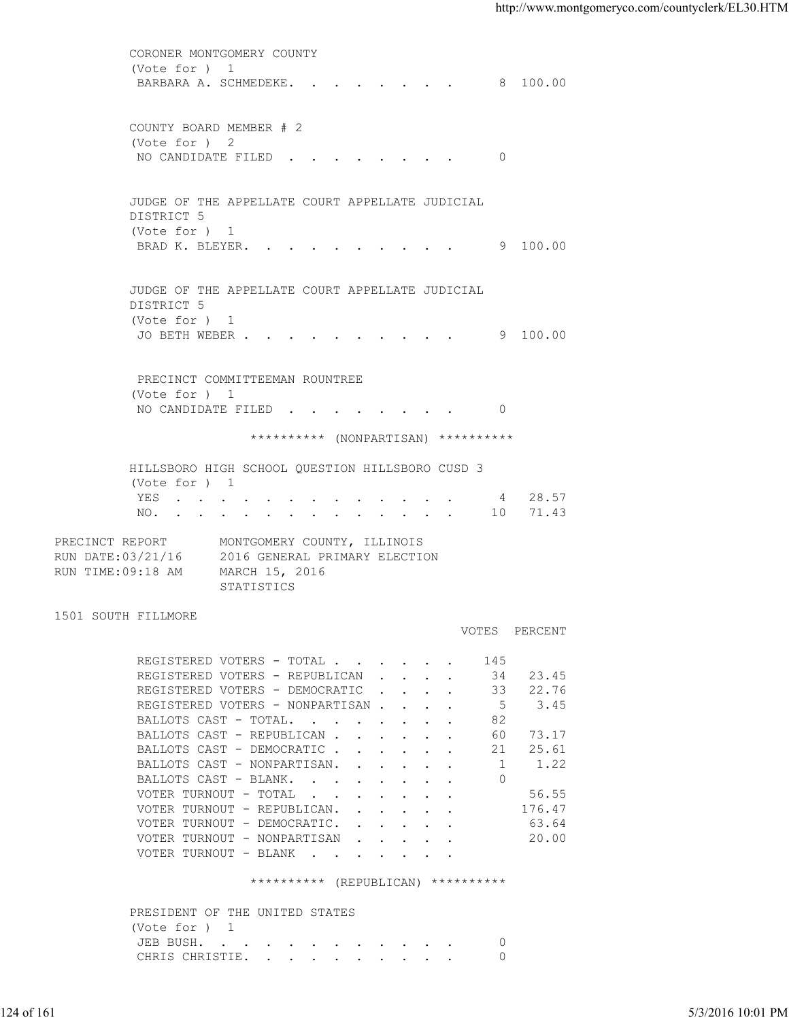CORONER MONTGOMERY COUNTY (Vote for ) 1 BARBARA A. SCHMEDEKE. . . . . . . . 8 100.00 COUNTY BOARD MEMBER # 2 (Vote for ) 2 NO CANDIDATE FILED . . . . . . . . 0 JUDGE OF THE APPELLATE COURT APPELLATE JUDICIAL DISTRICT 5 (Vote for ) 1 BRAD K. BLEYER. . . . . . . . . . 9 100.00 JUDGE OF THE APPELLATE COURT APPELLATE JUDICIAL DISTRICT 5 (Vote for ) 1 JO BETH WEBER . . . . . . . . . . 9 100.00 PRECINCT COMMITTEEMAN ROUNTREE (Vote for ) 1 NO CANDIDATE FILED . . . . . . . . 0 \*\*\*\*\*\*\*\*\*\* (NONPARTISAN) \*\*\*\*\*\*\*\*\*\* HILLSBORO HIGH SCHOOL QUESTION HILLSBORO CUSD 3 (Vote for ) 1 YES . . . . . . . . . . . . . 4 28.57 NO. . . . . . . . . . . . . . 10 71.43 PRECINCT REPORT MONTGOMERY COUNTY, ILLINOIS RUN DATE:03/21/16 2016 GENERAL PRIMARY ELECTION RUN TIME:09:18 AM MARCH 15, 2016 STATISTICS **STATISTICS** 1501 SOUTH FILLMORE VOTES PERCENT REGISTERED VOTERS - TOTAL . . . . . . 145<br>REGISTERED VOTERS - REPUBLICAN . . . . 34 23.45 REGISTERED VOTERS - REPUBLICAN . . . . 34 23.45<br>REGISTERED VOTERS - DEMOCRATIC . . . . 33 22.76 REGISTERED VOTERS - DEMOCRATIC . . . . 33 22.76<br>REGISTERED VOTERS - NONPARTISAN . . . . 5 3.45 REGISTERED VOTERS - NONPARTISAN . . . . 5<br>RALLOTS CAST - TOTAL. . . . . . . . 82 BALLOTS CAST - TOTAL. . . . . . . . BALLOTS CAST - REPUBLICAN . . . . . . 60 73.17 BALLOTS CAST - DEMOCRATIC . . . . . . 21 25.61<br>BALLOTS CAST - NONPARTISAN. . . . . . 1 1.22 BALLOTS CAST - NONPARTISAN. . . . . . BALLOTS CAST - BLANK. . . . . . . . 0 VOTER TURNOUT - TOTAL . . . . . . . . 56.55 VOTER TURNOUT - REPUBLICAN. . . . . . 176.47 VOTER TURNOUT - DEMOCRATIC. . . . . . 63.64 VOTER TURNOUT - NONPARTISAN . . . . . 20.00 VOTER TURNOUT - BLANK . . . . . . . \*\*\*\*\*\*\*\*\*\* (REPUBLICAN) \*\*\*\*\*\*\*\*\*\* NEGISTERED VOTERS - DEMOCRATIC<br>
REGISTERED VOTERS - DEMOCRATIC<br>
REGISTERED VOTERS - DEMOCRATIC<br>
REGISTERED VOTERS - DEMOCRATIC<br>
REALLOTS CAST - REVIBILICAN<br>
RALLOTS CAST - DEMOCRATIC<br>
PALLOTS CAST - DEMOCRATIC<br>
PALLOTS CAS

 PRESIDENT OF THE UNITED STATES (Vote for ) 1 JEB BUSH. . . . . . . . . . . . 0 CHRIS CHRISTIE. . . . . . . . . . 0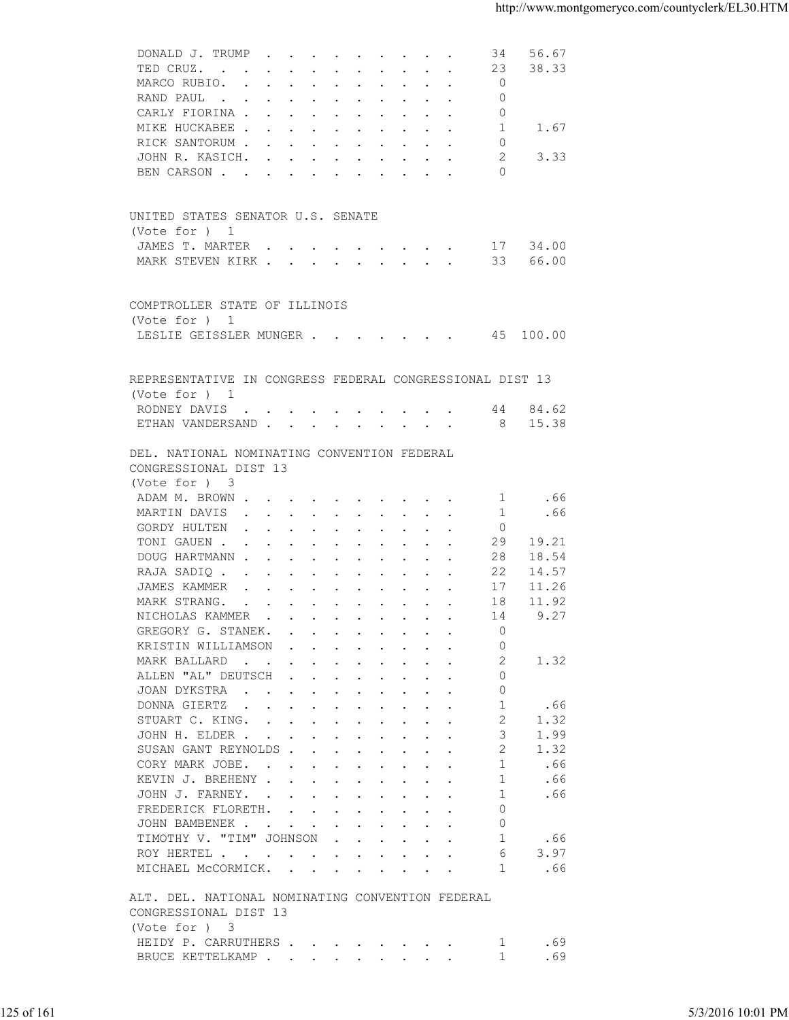| 38.33<br>$\Omega$<br>MARCO RUBIO.<br>$\Omega$<br>RAND PAUL<br>$\mathbf{0}$<br>CARLY FIORINA<br>MIKE HUCKABEE<br>1.67<br>1<br>RICK SANTORUM<br>0<br>3.33<br>2<br>JOHN R. KASICH.<br>$\circ$<br>BEN CARSON<br>UNITED STATES SENATOR U.S. SENATE<br>(Vote for ) 1<br>34.00<br>JAMES T. MARTER<br>17<br>66.00<br>MARK STEVEN KIRK<br>33<br>COMPTROLLER STATE OF ILLINOIS<br>(Vote for ) 1<br>LESLIE GEISSLER MUNGER 45 100.00<br>REPRESENTATIVE IN CONGRESS FEDERAL CONGRESSIONAL DIST 13<br>(Vote for ) 1<br>RODNEY DAVIS<br>44 84.62<br>ETHAN VANDERSAND<br>- 8<br>15.38<br>DEL. NATIONAL NOMINATING CONVENTION FEDERAL<br>CONGRESSIONAL DIST 13<br>(Vote for ) 3<br>.66<br>ADAM M. BROWN<br>-1<br>.66<br>MARTIN DAVIS<br>1<br>$\mathbf 0$<br>GORDY HULTEN<br>19.21<br>TONI GAUEN<br>29<br>DOUG HARTMANN<br>18.54<br>28<br>22<br>14.57<br>RAJA SADIQ<br>JAMES KAMMER<br>17<br>11.26<br>$\mathbf{r}$ , and $\mathbf{r}$ , and $\mathbf{r}$ , and $\mathbf{r}$ , and $\mathbf{r}$<br>11.92<br>MARK STRANG.<br>18<br>9.27<br>NICHOLAS KAMMER<br>14<br>GREGORY G. STANEK.<br>$\Omega$<br>the contract of the contract of the contract of the contract of the contract of the contract of the contract of<br>KRISTIN WILLIAMSON<br>$\Omega$<br>2<br>1.32<br>MARK BALLARD<br>ALLEN "AL" DEUTSCH<br>0<br>JOAN DYKSTRA<br>0<br>DONNA GIERTZ<br>1<br>.66<br>$\overline{2}$<br>1.32<br>STUART C. KING.<br>3<br>1.99<br>JOHN H. ELDER<br>SUSAN GANT REYNOLDS<br>2<br>1.32<br>CORY MARK JOBE.<br>-1<br>.66<br>1<br>KEVIN J. BREHENY<br>.66<br>JOHN J. FARNEY.<br>1<br>.66<br>$\Omega$<br>FREDERICK FLORETH.<br>$\circ$<br>JOHN BAMBENEK<br>TIMOTHY V. "TIM" JOHNSON<br>1<br>.66<br>3.97<br>ROY HERTEL<br>6<br>.66<br>MICHAEL MCCORMICK.<br>1<br>ALT. DEL. NATIONAL NOMINATING CONVENTION FEDERAL<br>CONGRESSIONAL DIST 13<br>(Vote for ) 3<br>HEIDY P. CARRUTHERS<br>.69<br>- 1<br>.69<br>BRUCE KETTELKAMP<br>-1 | 125 of 161 | DONALD J. TRUMP<br>34 | 56.67             |
|----------------------------------------------------------------------------------------------------------------------------------------------------------------------------------------------------------------------------------------------------------------------------------------------------------------------------------------------------------------------------------------------------------------------------------------------------------------------------------------------------------------------------------------------------------------------------------------------------------------------------------------------------------------------------------------------------------------------------------------------------------------------------------------------------------------------------------------------------------------------------------------------------------------------------------------------------------------------------------------------------------------------------------------------------------------------------------------------------------------------------------------------------------------------------------------------------------------------------------------------------------------------------------------------------------------------------------------------------------------------------------------------------------------------------------------------------------------------------------------------------------------------------------------------------------------------------------------------------------------------------------------------------------------------------------------------------------------------------------------------------------------------------------------------------------------------------------------------------------------------------------------------------|------------|-----------------------|-------------------|
|                                                                                                                                                                                                                                                                                                                                                                                                                                                                                                                                                                                                                                                                                                                                                                                                                                                                                                                                                                                                                                                                                                                                                                                                                                                                                                                                                                                                                                                                                                                                                                                                                                                                                                                                                                                                                                                                                                    |            | TED CRUZ.<br>23       |                   |
|                                                                                                                                                                                                                                                                                                                                                                                                                                                                                                                                                                                                                                                                                                                                                                                                                                                                                                                                                                                                                                                                                                                                                                                                                                                                                                                                                                                                                                                                                                                                                                                                                                                                                                                                                                                                                                                                                                    |            |                       |                   |
|                                                                                                                                                                                                                                                                                                                                                                                                                                                                                                                                                                                                                                                                                                                                                                                                                                                                                                                                                                                                                                                                                                                                                                                                                                                                                                                                                                                                                                                                                                                                                                                                                                                                                                                                                                                                                                                                                                    |            |                       |                   |
|                                                                                                                                                                                                                                                                                                                                                                                                                                                                                                                                                                                                                                                                                                                                                                                                                                                                                                                                                                                                                                                                                                                                                                                                                                                                                                                                                                                                                                                                                                                                                                                                                                                                                                                                                                                                                                                                                                    |            |                       |                   |
|                                                                                                                                                                                                                                                                                                                                                                                                                                                                                                                                                                                                                                                                                                                                                                                                                                                                                                                                                                                                                                                                                                                                                                                                                                                                                                                                                                                                                                                                                                                                                                                                                                                                                                                                                                                                                                                                                                    |            |                       |                   |
|                                                                                                                                                                                                                                                                                                                                                                                                                                                                                                                                                                                                                                                                                                                                                                                                                                                                                                                                                                                                                                                                                                                                                                                                                                                                                                                                                                                                                                                                                                                                                                                                                                                                                                                                                                                                                                                                                                    |            |                       |                   |
|                                                                                                                                                                                                                                                                                                                                                                                                                                                                                                                                                                                                                                                                                                                                                                                                                                                                                                                                                                                                                                                                                                                                                                                                                                                                                                                                                                                                                                                                                                                                                                                                                                                                                                                                                                                                                                                                                                    |            |                       |                   |
|                                                                                                                                                                                                                                                                                                                                                                                                                                                                                                                                                                                                                                                                                                                                                                                                                                                                                                                                                                                                                                                                                                                                                                                                                                                                                                                                                                                                                                                                                                                                                                                                                                                                                                                                                                                                                                                                                                    |            |                       |                   |
|                                                                                                                                                                                                                                                                                                                                                                                                                                                                                                                                                                                                                                                                                                                                                                                                                                                                                                                                                                                                                                                                                                                                                                                                                                                                                                                                                                                                                                                                                                                                                                                                                                                                                                                                                                                                                                                                                                    |            |                       |                   |
|                                                                                                                                                                                                                                                                                                                                                                                                                                                                                                                                                                                                                                                                                                                                                                                                                                                                                                                                                                                                                                                                                                                                                                                                                                                                                                                                                                                                                                                                                                                                                                                                                                                                                                                                                                                                                                                                                                    |            |                       |                   |
|                                                                                                                                                                                                                                                                                                                                                                                                                                                                                                                                                                                                                                                                                                                                                                                                                                                                                                                                                                                                                                                                                                                                                                                                                                                                                                                                                                                                                                                                                                                                                                                                                                                                                                                                                                                                                                                                                                    |            |                       |                   |
|                                                                                                                                                                                                                                                                                                                                                                                                                                                                                                                                                                                                                                                                                                                                                                                                                                                                                                                                                                                                                                                                                                                                                                                                                                                                                                                                                                                                                                                                                                                                                                                                                                                                                                                                                                                                                                                                                                    |            |                       |                   |
|                                                                                                                                                                                                                                                                                                                                                                                                                                                                                                                                                                                                                                                                                                                                                                                                                                                                                                                                                                                                                                                                                                                                                                                                                                                                                                                                                                                                                                                                                                                                                                                                                                                                                                                                                                                                                                                                                                    |            |                       |                   |
|                                                                                                                                                                                                                                                                                                                                                                                                                                                                                                                                                                                                                                                                                                                                                                                                                                                                                                                                                                                                                                                                                                                                                                                                                                                                                                                                                                                                                                                                                                                                                                                                                                                                                                                                                                                                                                                                                                    |            |                       |                   |
|                                                                                                                                                                                                                                                                                                                                                                                                                                                                                                                                                                                                                                                                                                                                                                                                                                                                                                                                                                                                                                                                                                                                                                                                                                                                                                                                                                                                                                                                                                                                                                                                                                                                                                                                                                                                                                                                                                    |            |                       |                   |
|                                                                                                                                                                                                                                                                                                                                                                                                                                                                                                                                                                                                                                                                                                                                                                                                                                                                                                                                                                                                                                                                                                                                                                                                                                                                                                                                                                                                                                                                                                                                                                                                                                                                                                                                                                                                                                                                                                    |            |                       |                   |
|                                                                                                                                                                                                                                                                                                                                                                                                                                                                                                                                                                                                                                                                                                                                                                                                                                                                                                                                                                                                                                                                                                                                                                                                                                                                                                                                                                                                                                                                                                                                                                                                                                                                                                                                                                                                                                                                                                    |            |                       |                   |
|                                                                                                                                                                                                                                                                                                                                                                                                                                                                                                                                                                                                                                                                                                                                                                                                                                                                                                                                                                                                                                                                                                                                                                                                                                                                                                                                                                                                                                                                                                                                                                                                                                                                                                                                                                                                                                                                                                    |            |                       |                   |
|                                                                                                                                                                                                                                                                                                                                                                                                                                                                                                                                                                                                                                                                                                                                                                                                                                                                                                                                                                                                                                                                                                                                                                                                                                                                                                                                                                                                                                                                                                                                                                                                                                                                                                                                                                                                                                                                                                    |            |                       |                   |
|                                                                                                                                                                                                                                                                                                                                                                                                                                                                                                                                                                                                                                                                                                                                                                                                                                                                                                                                                                                                                                                                                                                                                                                                                                                                                                                                                                                                                                                                                                                                                                                                                                                                                                                                                                                                                                                                                                    |            |                       |                   |
|                                                                                                                                                                                                                                                                                                                                                                                                                                                                                                                                                                                                                                                                                                                                                                                                                                                                                                                                                                                                                                                                                                                                                                                                                                                                                                                                                                                                                                                                                                                                                                                                                                                                                                                                                                                                                                                                                                    |            |                       |                   |
|                                                                                                                                                                                                                                                                                                                                                                                                                                                                                                                                                                                                                                                                                                                                                                                                                                                                                                                                                                                                                                                                                                                                                                                                                                                                                                                                                                                                                                                                                                                                                                                                                                                                                                                                                                                                                                                                                                    |            |                       |                   |
|                                                                                                                                                                                                                                                                                                                                                                                                                                                                                                                                                                                                                                                                                                                                                                                                                                                                                                                                                                                                                                                                                                                                                                                                                                                                                                                                                                                                                                                                                                                                                                                                                                                                                                                                                                                                                                                                                                    |            |                       |                   |
|                                                                                                                                                                                                                                                                                                                                                                                                                                                                                                                                                                                                                                                                                                                                                                                                                                                                                                                                                                                                                                                                                                                                                                                                                                                                                                                                                                                                                                                                                                                                                                                                                                                                                                                                                                                                                                                                                                    |            |                       |                   |
|                                                                                                                                                                                                                                                                                                                                                                                                                                                                                                                                                                                                                                                                                                                                                                                                                                                                                                                                                                                                                                                                                                                                                                                                                                                                                                                                                                                                                                                                                                                                                                                                                                                                                                                                                                                                                                                                                                    |            |                       |                   |
|                                                                                                                                                                                                                                                                                                                                                                                                                                                                                                                                                                                                                                                                                                                                                                                                                                                                                                                                                                                                                                                                                                                                                                                                                                                                                                                                                                                                                                                                                                                                                                                                                                                                                                                                                                                                                                                                                                    |            |                       |                   |
|                                                                                                                                                                                                                                                                                                                                                                                                                                                                                                                                                                                                                                                                                                                                                                                                                                                                                                                                                                                                                                                                                                                                                                                                                                                                                                                                                                                                                                                                                                                                                                                                                                                                                                                                                                                                                                                                                                    |            |                       |                   |
|                                                                                                                                                                                                                                                                                                                                                                                                                                                                                                                                                                                                                                                                                                                                                                                                                                                                                                                                                                                                                                                                                                                                                                                                                                                                                                                                                                                                                                                                                                                                                                                                                                                                                                                                                                                                                                                                                                    |            |                       |                   |
|                                                                                                                                                                                                                                                                                                                                                                                                                                                                                                                                                                                                                                                                                                                                                                                                                                                                                                                                                                                                                                                                                                                                                                                                                                                                                                                                                                                                                                                                                                                                                                                                                                                                                                                                                                                                                                                                                                    |            |                       |                   |
|                                                                                                                                                                                                                                                                                                                                                                                                                                                                                                                                                                                                                                                                                                                                                                                                                                                                                                                                                                                                                                                                                                                                                                                                                                                                                                                                                                                                                                                                                                                                                                                                                                                                                                                                                                                                                                                                                                    |            |                       |                   |
|                                                                                                                                                                                                                                                                                                                                                                                                                                                                                                                                                                                                                                                                                                                                                                                                                                                                                                                                                                                                                                                                                                                                                                                                                                                                                                                                                                                                                                                                                                                                                                                                                                                                                                                                                                                                                                                                                                    |            |                       |                   |
|                                                                                                                                                                                                                                                                                                                                                                                                                                                                                                                                                                                                                                                                                                                                                                                                                                                                                                                                                                                                                                                                                                                                                                                                                                                                                                                                                                                                                                                                                                                                                                                                                                                                                                                                                                                                                                                                                                    |            |                       |                   |
|                                                                                                                                                                                                                                                                                                                                                                                                                                                                                                                                                                                                                                                                                                                                                                                                                                                                                                                                                                                                                                                                                                                                                                                                                                                                                                                                                                                                                                                                                                                                                                                                                                                                                                                                                                                                                                                                                                    |            |                       |                   |
|                                                                                                                                                                                                                                                                                                                                                                                                                                                                                                                                                                                                                                                                                                                                                                                                                                                                                                                                                                                                                                                                                                                                                                                                                                                                                                                                                                                                                                                                                                                                                                                                                                                                                                                                                                                                                                                                                                    |            |                       |                   |
|                                                                                                                                                                                                                                                                                                                                                                                                                                                                                                                                                                                                                                                                                                                                                                                                                                                                                                                                                                                                                                                                                                                                                                                                                                                                                                                                                                                                                                                                                                                                                                                                                                                                                                                                                                                                                                                                                                    |            |                       |                   |
|                                                                                                                                                                                                                                                                                                                                                                                                                                                                                                                                                                                                                                                                                                                                                                                                                                                                                                                                                                                                                                                                                                                                                                                                                                                                                                                                                                                                                                                                                                                                                                                                                                                                                                                                                                                                                                                                                                    |            |                       |                   |
|                                                                                                                                                                                                                                                                                                                                                                                                                                                                                                                                                                                                                                                                                                                                                                                                                                                                                                                                                                                                                                                                                                                                                                                                                                                                                                                                                                                                                                                                                                                                                                                                                                                                                                                                                                                                                                                                                                    |            |                       |                   |
|                                                                                                                                                                                                                                                                                                                                                                                                                                                                                                                                                                                                                                                                                                                                                                                                                                                                                                                                                                                                                                                                                                                                                                                                                                                                                                                                                                                                                                                                                                                                                                                                                                                                                                                                                                                                                                                                                                    |            |                       |                   |
|                                                                                                                                                                                                                                                                                                                                                                                                                                                                                                                                                                                                                                                                                                                                                                                                                                                                                                                                                                                                                                                                                                                                                                                                                                                                                                                                                                                                                                                                                                                                                                                                                                                                                                                                                                                                                                                                                                    |            |                       |                   |
|                                                                                                                                                                                                                                                                                                                                                                                                                                                                                                                                                                                                                                                                                                                                                                                                                                                                                                                                                                                                                                                                                                                                                                                                                                                                                                                                                                                                                                                                                                                                                                                                                                                                                                                                                                                                                                                                                                    |            |                       |                   |
|                                                                                                                                                                                                                                                                                                                                                                                                                                                                                                                                                                                                                                                                                                                                                                                                                                                                                                                                                                                                                                                                                                                                                                                                                                                                                                                                                                                                                                                                                                                                                                                                                                                                                                                                                                                                                                                                                                    |            |                       |                   |
|                                                                                                                                                                                                                                                                                                                                                                                                                                                                                                                                                                                                                                                                                                                                                                                                                                                                                                                                                                                                                                                                                                                                                                                                                                                                                                                                                                                                                                                                                                                                                                                                                                                                                                                                                                                                                                                                                                    |            |                       |                   |
|                                                                                                                                                                                                                                                                                                                                                                                                                                                                                                                                                                                                                                                                                                                                                                                                                                                                                                                                                                                                                                                                                                                                                                                                                                                                                                                                                                                                                                                                                                                                                                                                                                                                                                                                                                                                                                                                                                    |            |                       |                   |
|                                                                                                                                                                                                                                                                                                                                                                                                                                                                                                                                                                                                                                                                                                                                                                                                                                                                                                                                                                                                                                                                                                                                                                                                                                                                                                                                                                                                                                                                                                                                                                                                                                                                                                                                                                                                                                                                                                    |            |                       |                   |
|                                                                                                                                                                                                                                                                                                                                                                                                                                                                                                                                                                                                                                                                                                                                                                                                                                                                                                                                                                                                                                                                                                                                                                                                                                                                                                                                                                                                                                                                                                                                                                                                                                                                                                                                                                                                                                                                                                    |            |                       |                   |
|                                                                                                                                                                                                                                                                                                                                                                                                                                                                                                                                                                                                                                                                                                                                                                                                                                                                                                                                                                                                                                                                                                                                                                                                                                                                                                                                                                                                                                                                                                                                                                                                                                                                                                                                                                                                                                                                                                    |            |                       |                   |
|                                                                                                                                                                                                                                                                                                                                                                                                                                                                                                                                                                                                                                                                                                                                                                                                                                                                                                                                                                                                                                                                                                                                                                                                                                                                                                                                                                                                                                                                                                                                                                                                                                                                                                                                                                                                                                                                                                    |            |                       |                   |
|                                                                                                                                                                                                                                                                                                                                                                                                                                                                                                                                                                                                                                                                                                                                                                                                                                                                                                                                                                                                                                                                                                                                                                                                                                                                                                                                                                                                                                                                                                                                                                                                                                                                                                                                                                                                                                                                                                    |            |                       |                   |
|                                                                                                                                                                                                                                                                                                                                                                                                                                                                                                                                                                                                                                                                                                                                                                                                                                                                                                                                                                                                                                                                                                                                                                                                                                                                                                                                                                                                                                                                                                                                                                                                                                                                                                                                                                                                                                                                                                    |            |                       |                   |
|                                                                                                                                                                                                                                                                                                                                                                                                                                                                                                                                                                                                                                                                                                                                                                                                                                                                                                                                                                                                                                                                                                                                                                                                                                                                                                                                                                                                                                                                                                                                                                                                                                                                                                                                                                                                                                                                                                    |            |                       |                   |
|                                                                                                                                                                                                                                                                                                                                                                                                                                                                                                                                                                                                                                                                                                                                                                                                                                                                                                                                                                                                                                                                                                                                                                                                                                                                                                                                                                                                                                                                                                                                                                                                                                                                                                                                                                                                                                                                                                    |            |                       |                   |
|                                                                                                                                                                                                                                                                                                                                                                                                                                                                                                                                                                                                                                                                                                                                                                                                                                                                                                                                                                                                                                                                                                                                                                                                                                                                                                                                                                                                                                                                                                                                                                                                                                                                                                                                                                                                                                                                                                    |            |                       |                   |
|                                                                                                                                                                                                                                                                                                                                                                                                                                                                                                                                                                                                                                                                                                                                                                                                                                                                                                                                                                                                                                                                                                                                                                                                                                                                                                                                                                                                                                                                                                                                                                                                                                                                                                                                                                                                                                                                                                    |            |                       |                   |
|                                                                                                                                                                                                                                                                                                                                                                                                                                                                                                                                                                                                                                                                                                                                                                                                                                                                                                                                                                                                                                                                                                                                                                                                                                                                                                                                                                                                                                                                                                                                                                                                                                                                                                                                                                                                                                                                                                    |            |                       |                   |
|                                                                                                                                                                                                                                                                                                                                                                                                                                                                                                                                                                                                                                                                                                                                                                                                                                                                                                                                                                                                                                                                                                                                                                                                                                                                                                                                                                                                                                                                                                                                                                                                                                                                                                                                                                                                                                                                                                    |            |                       |                   |
|                                                                                                                                                                                                                                                                                                                                                                                                                                                                                                                                                                                                                                                                                                                                                                                                                                                                                                                                                                                                                                                                                                                                                                                                                                                                                                                                                                                                                                                                                                                                                                                                                                                                                                                                                                                                                                                                                                    |            |                       |                   |
|                                                                                                                                                                                                                                                                                                                                                                                                                                                                                                                                                                                                                                                                                                                                                                                                                                                                                                                                                                                                                                                                                                                                                                                                                                                                                                                                                                                                                                                                                                                                                                                                                                                                                                                                                                                                                                                                                                    |            |                       |                   |
|                                                                                                                                                                                                                                                                                                                                                                                                                                                                                                                                                                                                                                                                                                                                                                                                                                                                                                                                                                                                                                                                                                                                                                                                                                                                                                                                                                                                                                                                                                                                                                                                                                                                                                                                                                                                                                                                                                    |            |                       |                   |
|                                                                                                                                                                                                                                                                                                                                                                                                                                                                                                                                                                                                                                                                                                                                                                                                                                                                                                                                                                                                                                                                                                                                                                                                                                                                                                                                                                                                                                                                                                                                                                                                                                                                                                                                                                                                                                                                                                    |            |                       |                   |
|                                                                                                                                                                                                                                                                                                                                                                                                                                                                                                                                                                                                                                                                                                                                                                                                                                                                                                                                                                                                                                                                                                                                                                                                                                                                                                                                                                                                                                                                                                                                                                                                                                                                                                                                                                                                                                                                                                    |            |                       |                   |
|                                                                                                                                                                                                                                                                                                                                                                                                                                                                                                                                                                                                                                                                                                                                                                                                                                                                                                                                                                                                                                                                                                                                                                                                                                                                                                                                                                                                                                                                                                                                                                                                                                                                                                                                                                                                                                                                                                    |            |                       |                   |
|                                                                                                                                                                                                                                                                                                                                                                                                                                                                                                                                                                                                                                                                                                                                                                                                                                                                                                                                                                                                                                                                                                                                                                                                                                                                                                                                                                                                                                                                                                                                                                                                                                                                                                                                                                                                                                                                                                    |            |                       |                   |
|                                                                                                                                                                                                                                                                                                                                                                                                                                                                                                                                                                                                                                                                                                                                                                                                                                                                                                                                                                                                                                                                                                                                                                                                                                                                                                                                                                                                                                                                                                                                                                                                                                                                                                                                                                                                                                                                                                    |            |                       | 5/3/2016 10:01 PM |
|                                                                                                                                                                                                                                                                                                                                                                                                                                                                                                                                                                                                                                                                                                                                                                                                                                                                                                                                                                                                                                                                                                                                                                                                                                                                                                                                                                                                                                                                                                                                                                                                                                                                                                                                                                                                                                                                                                    |            |                       |                   |
|                                                                                                                                                                                                                                                                                                                                                                                                                                                                                                                                                                                                                                                                                                                                                                                                                                                                                                                                                                                                                                                                                                                                                                                                                                                                                                                                                                                                                                                                                                                                                                                                                                                                                                                                                                                                                                                                                                    |            |                       |                   |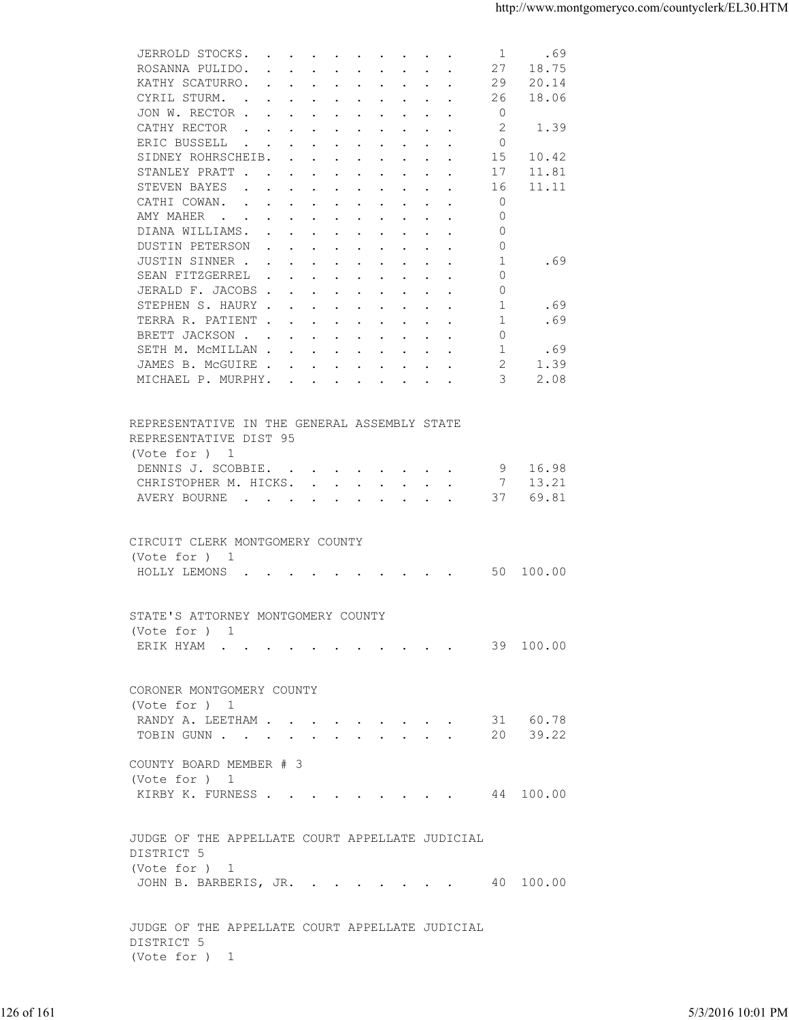| 27<br>18.75<br>ROSANNA PULIDO.<br>KATHY SCATURRO.<br>29<br>20.14<br>18.06<br>CYRIL STURM.<br>26<br>JON W. RECTOR<br>$\circ$<br>2<br>CATHY RECTOR<br>1.39<br>$\mathbf{r}$ , and $\mathbf{r}$ , and $\mathbf{r}$ , and $\mathbf{r}$ , and $\mathbf{r}$<br>ERIC BUSSELL<br>$\Omega$<br>the contract of the contract of the contract of the contract of the contract of the contract of the contract of<br>SIDNEY ROHRSCHEIB.<br>15<br>10.42<br>STANLEY PRATT<br>11.81<br>17<br>11.11<br>STEVEN BAYES<br>16<br>the contract of the contract of the contract of the contract of the contract of the contract of the contract of<br>CATHI COWAN.<br>$\mathbf 0$<br>$\circ$<br>AMY MAHER<br>$\Omega$<br>DIANA WILLIAMS.<br>DUSTIN PETERSON<br>$\mathbf{0}$<br>JUSTIN SINNER<br>-1<br>.69<br>SEAN FITZGERREL<br>$\Omega$<br>JERALD F. JACOBS<br>$\circ$<br>1<br>STEPHEN S. HAURY<br>.69<br>.69<br>TERRA R. PATIENT<br>1<br>BRETT JACKSON<br>$\circ$<br>SETH M. MCMILLAN<br>1<br>.69<br>1.39<br>JAMES B. MCGUIRE<br>2<br>3<br>2.08<br>MICHAEL P. MURPHY.<br>REPRESENTATIVE IN THE GENERAL ASSEMBLY STATE<br>REPRESENTATIVE DIST 95<br>(Vote for ) 1<br>9 16.98<br>DENNIS J. SCOBBIE.<br>13.21<br>CHRISTOPHER M. HICKS.<br>$\overline{7}$<br>69.81<br>AVERY BOURNE<br>37<br>CIRCUIT CLERK MONTGOMERY COUNTY<br>(Vote for $)$ 1<br>HOLLY LEMONS 50 100.00<br>STATE'S ATTORNEY MONTGOMERY COUNTY<br>(Vote for ) 1<br>ERIK HYAM 39 100.00<br>CORONER MONTGOMERY COUNTY<br>(Vote for ) 1<br>RANDY A. LEETHAM 31 60.78<br>TOBIN GUNN 20 39.22<br>COUNTY BOARD MEMBER # 3<br>(Vote for ) 1<br>KIRBY K. FURNESS 44 100.00<br>JUDGE OF THE APPELLATE COURT APPELLATE JUDICIAL<br>DISTRICT 5<br>(Vote for ) 1<br>JOHN B. BARBERIS, JR. 40 100.00<br>JUDGE OF THE APPELLATE COURT APPELLATE JUDICIAL<br>DISTRICT 5<br>(Vote for ) 1<br>5/3/2016 10:01 PM |  |  |
|--------------------------------------------------------------------------------------------------------------------------------------------------------------------------------------------------------------------------------------------------------------------------------------------------------------------------------------------------------------------------------------------------------------------------------------------------------------------------------------------------------------------------------------------------------------------------------------------------------------------------------------------------------------------------------------------------------------------------------------------------------------------------------------------------------------------------------------------------------------------------------------------------------------------------------------------------------------------------------------------------------------------------------------------------------------------------------------------------------------------------------------------------------------------------------------------------------------------------------------------------------------------------------------------------------------------------------------------------------------------------------------------------------------------------------------------------------------------------------------------------------------------------------------------------------------------------------------------------------------------------------------------------------------------------------------------------------------------------------------------------------------------------------------------------------------------------------------|--|--|
|                                                                                                                                                                                                                                                                                                                                                                                                                                                                                                                                                                                                                                                                                                                                                                                                                                                                                                                                                                                                                                                                                                                                                                                                                                                                                                                                                                                                                                                                                                                                                                                                                                                                                                                                                                                                                                      |  |  |
|                                                                                                                                                                                                                                                                                                                                                                                                                                                                                                                                                                                                                                                                                                                                                                                                                                                                                                                                                                                                                                                                                                                                                                                                                                                                                                                                                                                                                                                                                                                                                                                                                                                                                                                                                                                                                                      |  |  |
|                                                                                                                                                                                                                                                                                                                                                                                                                                                                                                                                                                                                                                                                                                                                                                                                                                                                                                                                                                                                                                                                                                                                                                                                                                                                                                                                                                                                                                                                                                                                                                                                                                                                                                                                                                                                                                      |  |  |
|                                                                                                                                                                                                                                                                                                                                                                                                                                                                                                                                                                                                                                                                                                                                                                                                                                                                                                                                                                                                                                                                                                                                                                                                                                                                                                                                                                                                                                                                                                                                                                                                                                                                                                                                                                                                                                      |  |  |
|                                                                                                                                                                                                                                                                                                                                                                                                                                                                                                                                                                                                                                                                                                                                                                                                                                                                                                                                                                                                                                                                                                                                                                                                                                                                                                                                                                                                                                                                                                                                                                                                                                                                                                                                                                                                                                      |  |  |
|                                                                                                                                                                                                                                                                                                                                                                                                                                                                                                                                                                                                                                                                                                                                                                                                                                                                                                                                                                                                                                                                                                                                                                                                                                                                                                                                                                                                                                                                                                                                                                                                                                                                                                                                                                                                                                      |  |  |
|                                                                                                                                                                                                                                                                                                                                                                                                                                                                                                                                                                                                                                                                                                                                                                                                                                                                                                                                                                                                                                                                                                                                                                                                                                                                                                                                                                                                                                                                                                                                                                                                                                                                                                                                                                                                                                      |  |  |
|                                                                                                                                                                                                                                                                                                                                                                                                                                                                                                                                                                                                                                                                                                                                                                                                                                                                                                                                                                                                                                                                                                                                                                                                                                                                                                                                                                                                                                                                                                                                                                                                                                                                                                                                                                                                                                      |  |  |
|                                                                                                                                                                                                                                                                                                                                                                                                                                                                                                                                                                                                                                                                                                                                                                                                                                                                                                                                                                                                                                                                                                                                                                                                                                                                                                                                                                                                                                                                                                                                                                                                                                                                                                                                                                                                                                      |  |  |
|                                                                                                                                                                                                                                                                                                                                                                                                                                                                                                                                                                                                                                                                                                                                                                                                                                                                                                                                                                                                                                                                                                                                                                                                                                                                                                                                                                                                                                                                                                                                                                                                                                                                                                                                                                                                                                      |  |  |
|                                                                                                                                                                                                                                                                                                                                                                                                                                                                                                                                                                                                                                                                                                                                                                                                                                                                                                                                                                                                                                                                                                                                                                                                                                                                                                                                                                                                                                                                                                                                                                                                                                                                                                                                                                                                                                      |  |  |
|                                                                                                                                                                                                                                                                                                                                                                                                                                                                                                                                                                                                                                                                                                                                                                                                                                                                                                                                                                                                                                                                                                                                                                                                                                                                                                                                                                                                                                                                                                                                                                                                                                                                                                                                                                                                                                      |  |  |
|                                                                                                                                                                                                                                                                                                                                                                                                                                                                                                                                                                                                                                                                                                                                                                                                                                                                                                                                                                                                                                                                                                                                                                                                                                                                                                                                                                                                                                                                                                                                                                                                                                                                                                                                                                                                                                      |  |  |
|                                                                                                                                                                                                                                                                                                                                                                                                                                                                                                                                                                                                                                                                                                                                                                                                                                                                                                                                                                                                                                                                                                                                                                                                                                                                                                                                                                                                                                                                                                                                                                                                                                                                                                                                                                                                                                      |  |  |
|                                                                                                                                                                                                                                                                                                                                                                                                                                                                                                                                                                                                                                                                                                                                                                                                                                                                                                                                                                                                                                                                                                                                                                                                                                                                                                                                                                                                                                                                                                                                                                                                                                                                                                                                                                                                                                      |  |  |
|                                                                                                                                                                                                                                                                                                                                                                                                                                                                                                                                                                                                                                                                                                                                                                                                                                                                                                                                                                                                                                                                                                                                                                                                                                                                                                                                                                                                                                                                                                                                                                                                                                                                                                                                                                                                                                      |  |  |
|                                                                                                                                                                                                                                                                                                                                                                                                                                                                                                                                                                                                                                                                                                                                                                                                                                                                                                                                                                                                                                                                                                                                                                                                                                                                                                                                                                                                                                                                                                                                                                                                                                                                                                                                                                                                                                      |  |  |
|                                                                                                                                                                                                                                                                                                                                                                                                                                                                                                                                                                                                                                                                                                                                                                                                                                                                                                                                                                                                                                                                                                                                                                                                                                                                                                                                                                                                                                                                                                                                                                                                                                                                                                                                                                                                                                      |  |  |
|                                                                                                                                                                                                                                                                                                                                                                                                                                                                                                                                                                                                                                                                                                                                                                                                                                                                                                                                                                                                                                                                                                                                                                                                                                                                                                                                                                                                                                                                                                                                                                                                                                                                                                                                                                                                                                      |  |  |
|                                                                                                                                                                                                                                                                                                                                                                                                                                                                                                                                                                                                                                                                                                                                                                                                                                                                                                                                                                                                                                                                                                                                                                                                                                                                                                                                                                                                                                                                                                                                                                                                                                                                                                                                                                                                                                      |  |  |
|                                                                                                                                                                                                                                                                                                                                                                                                                                                                                                                                                                                                                                                                                                                                                                                                                                                                                                                                                                                                                                                                                                                                                                                                                                                                                                                                                                                                                                                                                                                                                                                                                                                                                                                                                                                                                                      |  |  |
|                                                                                                                                                                                                                                                                                                                                                                                                                                                                                                                                                                                                                                                                                                                                                                                                                                                                                                                                                                                                                                                                                                                                                                                                                                                                                                                                                                                                                                                                                                                                                                                                                                                                                                                                                                                                                                      |  |  |
|                                                                                                                                                                                                                                                                                                                                                                                                                                                                                                                                                                                                                                                                                                                                                                                                                                                                                                                                                                                                                                                                                                                                                                                                                                                                                                                                                                                                                                                                                                                                                                                                                                                                                                                                                                                                                                      |  |  |
|                                                                                                                                                                                                                                                                                                                                                                                                                                                                                                                                                                                                                                                                                                                                                                                                                                                                                                                                                                                                                                                                                                                                                                                                                                                                                                                                                                                                                                                                                                                                                                                                                                                                                                                                                                                                                                      |  |  |
| 126 of 161                                                                                                                                                                                                                                                                                                                                                                                                                                                                                                                                                                                                                                                                                                                                                                                                                                                                                                                                                                                                                                                                                                                                                                                                                                                                                                                                                                                                                                                                                                                                                                                                                                                                                                                                                                                                                           |  |  |
|                                                                                                                                                                                                                                                                                                                                                                                                                                                                                                                                                                                                                                                                                                                                                                                                                                                                                                                                                                                                                                                                                                                                                                                                                                                                                                                                                                                                                                                                                                                                                                                                                                                                                                                                                                                                                                      |  |  |
|                                                                                                                                                                                                                                                                                                                                                                                                                                                                                                                                                                                                                                                                                                                                                                                                                                                                                                                                                                                                                                                                                                                                                                                                                                                                                                                                                                                                                                                                                                                                                                                                                                                                                                                                                                                                                                      |  |  |
|                                                                                                                                                                                                                                                                                                                                                                                                                                                                                                                                                                                                                                                                                                                                                                                                                                                                                                                                                                                                                                                                                                                                                                                                                                                                                                                                                                                                                                                                                                                                                                                                                                                                                                                                                                                                                                      |  |  |
|                                                                                                                                                                                                                                                                                                                                                                                                                                                                                                                                                                                                                                                                                                                                                                                                                                                                                                                                                                                                                                                                                                                                                                                                                                                                                                                                                                                                                                                                                                                                                                                                                                                                                                                                                                                                                                      |  |  |
|                                                                                                                                                                                                                                                                                                                                                                                                                                                                                                                                                                                                                                                                                                                                                                                                                                                                                                                                                                                                                                                                                                                                                                                                                                                                                                                                                                                                                                                                                                                                                                                                                                                                                                                                                                                                                                      |  |  |
|                                                                                                                                                                                                                                                                                                                                                                                                                                                                                                                                                                                                                                                                                                                                                                                                                                                                                                                                                                                                                                                                                                                                                                                                                                                                                                                                                                                                                                                                                                                                                                                                                                                                                                                                                                                                                                      |  |  |
|                                                                                                                                                                                                                                                                                                                                                                                                                                                                                                                                                                                                                                                                                                                                                                                                                                                                                                                                                                                                                                                                                                                                                                                                                                                                                                                                                                                                                                                                                                                                                                                                                                                                                                                                                                                                                                      |  |  |
|                                                                                                                                                                                                                                                                                                                                                                                                                                                                                                                                                                                                                                                                                                                                                                                                                                                                                                                                                                                                                                                                                                                                                                                                                                                                                                                                                                                                                                                                                                                                                                                                                                                                                                                                                                                                                                      |  |  |
|                                                                                                                                                                                                                                                                                                                                                                                                                                                                                                                                                                                                                                                                                                                                                                                                                                                                                                                                                                                                                                                                                                                                                                                                                                                                                                                                                                                                                                                                                                                                                                                                                                                                                                                                                                                                                                      |  |  |
|                                                                                                                                                                                                                                                                                                                                                                                                                                                                                                                                                                                                                                                                                                                                                                                                                                                                                                                                                                                                                                                                                                                                                                                                                                                                                                                                                                                                                                                                                                                                                                                                                                                                                                                                                                                                                                      |  |  |
|                                                                                                                                                                                                                                                                                                                                                                                                                                                                                                                                                                                                                                                                                                                                                                                                                                                                                                                                                                                                                                                                                                                                                                                                                                                                                                                                                                                                                                                                                                                                                                                                                                                                                                                                                                                                                                      |  |  |
|                                                                                                                                                                                                                                                                                                                                                                                                                                                                                                                                                                                                                                                                                                                                                                                                                                                                                                                                                                                                                                                                                                                                                                                                                                                                                                                                                                                                                                                                                                                                                                                                                                                                                                                                                                                                                                      |  |  |
|                                                                                                                                                                                                                                                                                                                                                                                                                                                                                                                                                                                                                                                                                                                                                                                                                                                                                                                                                                                                                                                                                                                                                                                                                                                                                                                                                                                                                                                                                                                                                                                                                                                                                                                                                                                                                                      |  |  |
|                                                                                                                                                                                                                                                                                                                                                                                                                                                                                                                                                                                                                                                                                                                                                                                                                                                                                                                                                                                                                                                                                                                                                                                                                                                                                                                                                                                                                                                                                                                                                                                                                                                                                                                                                                                                                                      |  |  |
|                                                                                                                                                                                                                                                                                                                                                                                                                                                                                                                                                                                                                                                                                                                                                                                                                                                                                                                                                                                                                                                                                                                                                                                                                                                                                                                                                                                                                                                                                                                                                                                                                                                                                                                                                                                                                                      |  |  |
|                                                                                                                                                                                                                                                                                                                                                                                                                                                                                                                                                                                                                                                                                                                                                                                                                                                                                                                                                                                                                                                                                                                                                                                                                                                                                                                                                                                                                                                                                                                                                                                                                                                                                                                                                                                                                                      |  |  |
|                                                                                                                                                                                                                                                                                                                                                                                                                                                                                                                                                                                                                                                                                                                                                                                                                                                                                                                                                                                                                                                                                                                                                                                                                                                                                                                                                                                                                                                                                                                                                                                                                                                                                                                                                                                                                                      |  |  |
|                                                                                                                                                                                                                                                                                                                                                                                                                                                                                                                                                                                                                                                                                                                                                                                                                                                                                                                                                                                                                                                                                                                                                                                                                                                                                                                                                                                                                                                                                                                                                                                                                                                                                                                                                                                                                                      |  |  |
|                                                                                                                                                                                                                                                                                                                                                                                                                                                                                                                                                                                                                                                                                                                                                                                                                                                                                                                                                                                                                                                                                                                                                                                                                                                                                                                                                                                                                                                                                                                                                                                                                                                                                                                                                                                                                                      |  |  |
|                                                                                                                                                                                                                                                                                                                                                                                                                                                                                                                                                                                                                                                                                                                                                                                                                                                                                                                                                                                                                                                                                                                                                                                                                                                                                                                                                                                                                                                                                                                                                                                                                                                                                                                                                                                                                                      |  |  |
|                                                                                                                                                                                                                                                                                                                                                                                                                                                                                                                                                                                                                                                                                                                                                                                                                                                                                                                                                                                                                                                                                                                                                                                                                                                                                                                                                                                                                                                                                                                                                                                                                                                                                                                                                                                                                                      |  |  |
|                                                                                                                                                                                                                                                                                                                                                                                                                                                                                                                                                                                                                                                                                                                                                                                                                                                                                                                                                                                                                                                                                                                                                                                                                                                                                                                                                                                                                                                                                                                                                                                                                                                                                                                                                                                                                                      |  |  |
|                                                                                                                                                                                                                                                                                                                                                                                                                                                                                                                                                                                                                                                                                                                                                                                                                                                                                                                                                                                                                                                                                                                                                                                                                                                                                                                                                                                                                                                                                                                                                                                                                                                                                                                                                                                                                                      |  |  |
|                                                                                                                                                                                                                                                                                                                                                                                                                                                                                                                                                                                                                                                                                                                                                                                                                                                                                                                                                                                                                                                                                                                                                                                                                                                                                                                                                                                                                                                                                                                                                                                                                                                                                                                                                                                                                                      |  |  |
|                                                                                                                                                                                                                                                                                                                                                                                                                                                                                                                                                                                                                                                                                                                                                                                                                                                                                                                                                                                                                                                                                                                                                                                                                                                                                                                                                                                                                                                                                                                                                                                                                                                                                                                                                                                                                                      |  |  |
|                                                                                                                                                                                                                                                                                                                                                                                                                                                                                                                                                                                                                                                                                                                                                                                                                                                                                                                                                                                                                                                                                                                                                                                                                                                                                                                                                                                                                                                                                                                                                                                                                                                                                                                                                                                                                                      |  |  |
|                                                                                                                                                                                                                                                                                                                                                                                                                                                                                                                                                                                                                                                                                                                                                                                                                                                                                                                                                                                                                                                                                                                                                                                                                                                                                                                                                                                                                                                                                                                                                                                                                                                                                                                                                                                                                                      |  |  |
|                                                                                                                                                                                                                                                                                                                                                                                                                                                                                                                                                                                                                                                                                                                                                                                                                                                                                                                                                                                                                                                                                                                                                                                                                                                                                                                                                                                                                                                                                                                                                                                                                                                                                                                                                                                                                                      |  |  |
|                                                                                                                                                                                                                                                                                                                                                                                                                                                                                                                                                                                                                                                                                                                                                                                                                                                                                                                                                                                                                                                                                                                                                                                                                                                                                                                                                                                                                                                                                                                                                                                                                                                                                                                                                                                                                                      |  |  |
|                                                                                                                                                                                                                                                                                                                                                                                                                                                                                                                                                                                                                                                                                                                                                                                                                                                                                                                                                                                                                                                                                                                                                                                                                                                                                                                                                                                                                                                                                                                                                                                                                                                                                                                                                                                                                                      |  |  |
|                                                                                                                                                                                                                                                                                                                                                                                                                                                                                                                                                                                                                                                                                                                                                                                                                                                                                                                                                                                                                                                                                                                                                                                                                                                                                                                                                                                                                                                                                                                                                                                                                                                                                                                                                                                                                                      |  |  |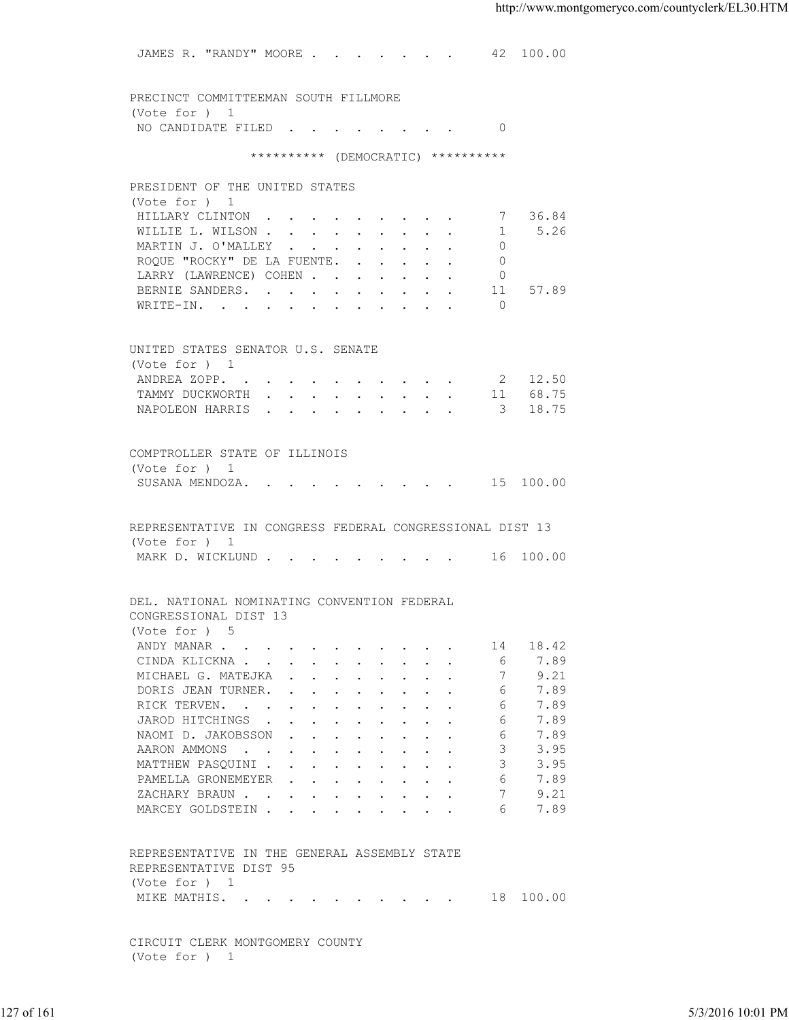JAMES R. "RANDY" MOORE . . . . . . . 42 100.00 PRECINCT COMMITTEEMAN SOUTH FILLMORE (Vote for ) 1 NO CANDIDATE FILED . . . . . . . . 0 \*\*\*\*\*\*\*\*\*\* (DEMOCRATIC) \*\*\*\*\*\*\*\*\*\* PRESIDENT OF THE UNITED STATES (Vote for ) 1 HILLARY CLINTON . . . . . . . . . 7 36.84 WILLIE L. WILSON . . . . . . . . . . 1 5.26 MARTIN J. O'MALLEY . . . . . . . . . 0 ROQUE "ROCKY" DE LA FUENTE. . . . . . 0 LARRY (LAWRENCE) COHEN . . . . . . 0 BERNIE SANDERS. . . . . . . . . . 11 57.89 WRITE-IN. . . . . . . . . . . . 0 UNITED STATES SENATOR U.S. SENATE (Vote for ) 1 ANDREA ZOPP. . . . . . . . . . 2 12.50 TAMMY DUCKWORTH . . . . . . . . . 11 68.75 NAPOLEON HARRIS . . . . . . . . . 3 18.75 COMPTROLLER STATE OF ILLINOIS (Vote for ) 1 SUSANA MENDOZA. . . . . . . . . . 15 100.00 REPRESENTATIVE IN CONGRESS FEDERAL CONGRESSIONAL DIST 13 (Vote for ) 1 MARK D. WICKLUND . . . . . . . . . 16 100.00 DEL. NATIONAL NOMINATING CONVENTION FEDERAL CONGRESSIONAL DIST 13 (Vote for ) 5 ANDY MANAR . . . . . . . . . . . . 14 18.42<br>CINDA KLICKNA . . . . . . . . . . . 6 7.89 CINDA KLICKNA . . . . . . . . . . MICHAEL G. MATEJKA . . . . . . . . 7 9.21 DORIS JEAN TURNER. . . . . . . . . . 6 7.89<br>RICK TERVEN. . . . . . . . . . . . 6 7.89 RICK TERVEN. . . . . . . . . . . . 6 7.89<br>TAROD HITCHINGS . . . . . . . . . 6 7.89 JAROD HITCHINGS . . . . . . . . . NAOMI D. JAKOBSSON . . . . . . . . . 6 7.89<br>AARON AMMONS . . . . . . . . . . 3 3.95 AARON AMMONS . . . . . . . . . . . 3 MATTHEW PASQUINI . . . . . . . . . 3 3.95 PAMELLA GRONEMEYER . . . . . . . . 6 7.89<br>ZACHARY BRAUN . . . . . . . . . . . 7 9.21 XACHARY BRAUN . . . . . . . . . . 7 9.21<br>MARCEY GOLDSTEIN . . . . . . . . . 6 7.89 MARCEY GOLDSTEIN . . . . . . . . . REPRESENTATIVE IN THE GENERAL ASSEMBLY STATE REPRESENTATIVE DIST 95 (Vote for ) 1 MIKE MATHIS. . . . . . . . . . . 18 100.00 CIRCUIT CLERK MONTGOMERY COUNTY (Vote for ) 1 ENDINE CONSIDERED TO MARRIAL CONSIDERATION CONSIDERED AND TURNER.<br>
THE TREVEN WANTED AND TURNER CONSIDER THE CONSIDERATION CONSIDERATION CONSIDERATION CONSIDERATION CONSIDERATION CONSIDERATION CONSIDER SARROLLY STATES AND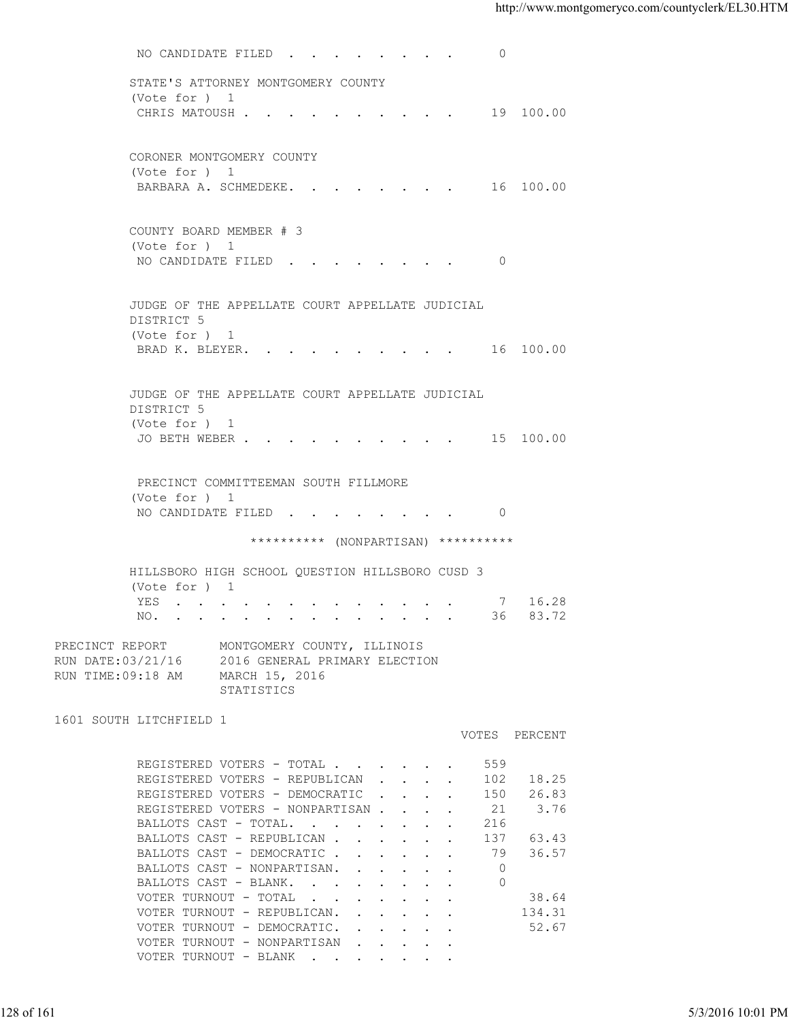NO CANDIDATE FILED . . . . . . . 0 STATE'S ATTORNEY MONTGOMERY COUNTY (Vote for ) 1 CHRIS MATOUSH . . . . . . . . . . 19 100.00 CORONER MONTGOMERY COUNTY (Vote for ) 1 BARBARA A. SCHMEDEKE. . . . . . . . 16 100.00 COUNTY BOARD MEMBER # 3 (Vote for ) 1 NO CANDIDATE FILED . . . . . . . . 0 JUDGE OF THE APPELLATE COURT APPELLATE JUDICIAL DISTRICT 5 (Vote for ) 1 BRAD K. BLEYER. . . . . . . . . . 16 100.00 JUDGE OF THE APPELLATE COURT APPELLATE JUDICIAL DISTRICT 5 (Vote for ) 1 JO BETH WEBER . . . . . . . . . . 15 100.00 PRECINCT COMMITTEEMAN SOUTH FILLMORE (Vote for ) 1 NO CANDIDATE FILED . . . . . . . . 0 \*\*\*\*\*\*\*\*\*\* (NONPARTISAN) \*\*\*\*\*\*\*\*\*\* HILLSBORO HIGH SCHOOL QUESTION HILLSBORO CUSD 3 (Vote for ) 1 YES . . . . . . . . . . . . . . 7 16.28<br>NO. . . . . . . . . . . . . . 36 83.72 NO. . . . . . . . . . . . . . . PRECINCT REPORT MONTGOMERY COUNTY, ILLINOIS RUN DATE:03/21/16 2016 GENERAL PRIMARY ELECTION RUN TIME:09:18 AM MARCH 15, 2016 STATISTICS 1601 SOUTH LITCHFIELD 1 VOTES PERCENT REGISTERED VOTERS - TOTAL . . . . . . 559 REGISTERED VOTERS - REPUBLICAN . . . . 102 18.25 REGISTERED VOTERS - DEMOCRATIC . . . . 150 26.83 REGISTERED VOTERS - NONPARTISAN . . . . 21 3.76 BALLOTS CAST - TOTAL. . . . . . . . 216<br>BALLOTS CAST - REPUBLICAN . . . . . . 137 63.43 BALLOTS CAST - REPUBLICAN . . . . . . BALLOTS CAST - DEMOCRATIC . . . . . 79 36.57 BALLOTS CAST - NONPARTISAN. . . . . . 0<br>BALLOTS CAST - BLANK. . . . . . . . 0 BALLOTS CAST - BLANK. . . . . . VOTER TURNOUT - TOTAL . . . . . . . . 38.64 VOTER TURNOUT - REPUBLICAN. . . . . . 134.31 VOTER TURNOUT - DEMOCRATIC. . . . . . 52.67 VOTER TURNOUT - NONPARTISAN . . . . VOTER TURNOUT - BLANK . . . 128 of 161 5/3/2016 10:01 PM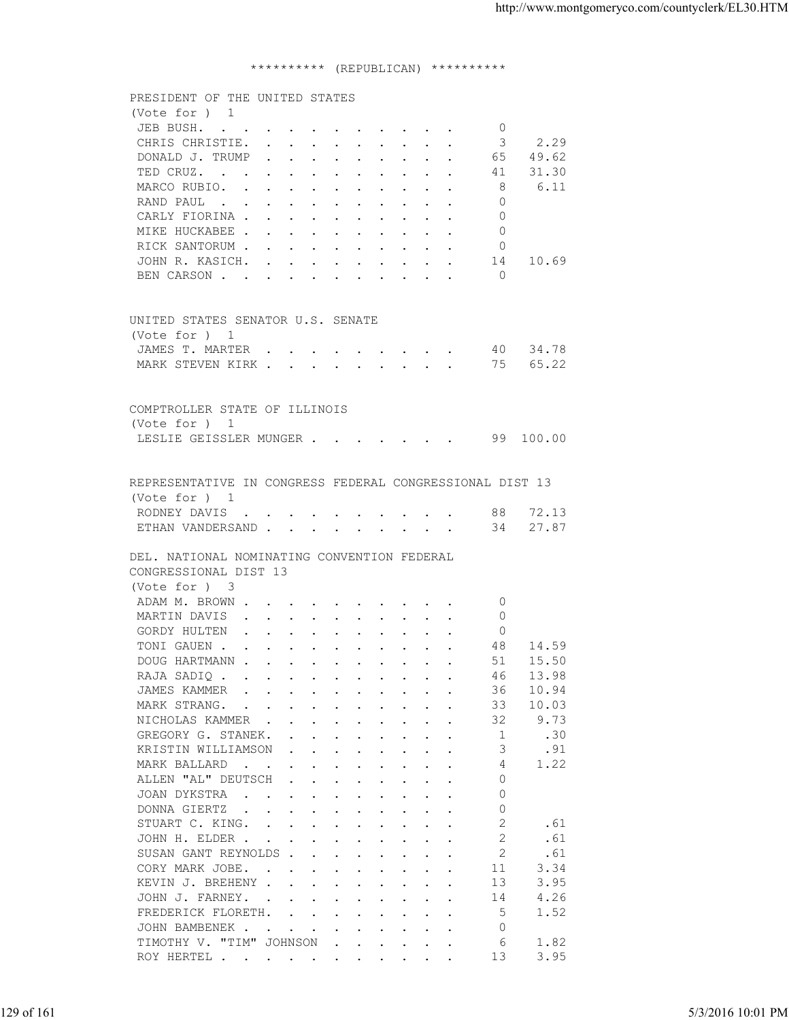## \*\*\*\*\*\*\*\*\*\* (REPUBLICAN) \*\*\*\*\*\*\*\*\*\*

| (Note for ) 1<br>JEB BUSH.<br>$\circ$<br>2.29<br>CHRIS CHRISTIE.<br>3<br>DONALD J. TRUMP<br>49.62<br>65<br>31.30<br>TED CRUZ.<br>41<br>MARCO RUBIO.<br>8<br>6.11<br>RAND PAUL<br>$\Omega$<br>CARLY FIORINA<br>$\Omega$<br>$\Omega$<br>MIKE HUCKABEE<br>RICK SANTORUM<br>$\circ$<br>JOHN R. KASICH.<br>14 10.69<br>$\bigcap$<br>BEN CARSON<br>UNITED STATES SENATOR U.S. SENATE<br>(Vote for ) 1<br>JAMES T. MARTER 40 34.78<br>MARK STEVEN KIRK 75 65.22<br>COMPTROLLER STATE OF ILLINOIS<br>(Vote for ) 1<br>LESLIE GEISSLER MUNGER 99 100.00<br>REPRESENTATIVE IN CONGRESS FEDERAL CONGRESSIONAL DIST 13<br>(Vote for ) 1<br>RODNEY DAVIS 88 72.13<br>ETHAN VANDERSAND 34 27.87<br>DEL. NATIONAL NOMINATING CONVENTION FEDERAL<br>CONGRESSIONAL DIST 13<br>(Vote for ) 3<br>ADAM M. BROWN<br>$\circ$<br>MARTIN DAVIS<br>0<br>GORDY HULTEN<br>$\Omega$<br>TONI GAUEN<br>48 14.59<br>DOUG HARTMANN<br>51 15.50<br>13.98<br>RAJA SADIQ<br>46<br>10.94<br>JAMES KAMMER<br>$\mathbf{r}$ , and $\mathbf{r}$ , and $\mathbf{r}$ , and $\mathbf{r}$ , and $\mathbf{r}$<br>36<br>10.03<br>MARK STRANG.<br>33<br>NICHOLAS KAMMER<br>32<br>9.73<br>GREGORY G. STANEK.<br>-1<br>.30<br>3<br>KRISTIN WILLIAMSON<br>.91<br>1.22<br>MARK BALLARD<br>4<br>ALLEN "AL" DEUTSCH<br>$\Omega$<br>$\Omega$<br>JOAN DYKSTRA<br>$\Omega$<br>DONNA GIERTZ<br>2<br>.61<br>STUART C. KING.<br>2<br>.61<br>JOHN H. ELDER<br>2<br>.61<br>SUSAN GANT REYNOLDS<br>11<br>3.34<br>CORY MARK JOBE.<br>KEVIN J. BREHENY<br>13<br>3.95<br>4.26<br>JOHN J. FARNEY.<br>14<br>5<br>FREDERICK FLORETH.<br>1.52<br>$\Omega$<br>JOHN BAMBENEK<br>TIMOTHY V. "TIM" JOHNSON<br>6<br>1.82<br>3.95<br>13<br>ROY HERTEL<br>5/3/2016 10:01 PM | 129 of 161 |  |                                |  |
|-------------------------------------------------------------------------------------------------------------------------------------------------------------------------------------------------------------------------------------------------------------------------------------------------------------------------------------------------------------------------------------------------------------------------------------------------------------------------------------------------------------------------------------------------------------------------------------------------------------------------------------------------------------------------------------------------------------------------------------------------------------------------------------------------------------------------------------------------------------------------------------------------------------------------------------------------------------------------------------------------------------------------------------------------------------------------------------------------------------------------------------------------------------------------------------------------------------------------------------------------------------------------------------------------------------------------------------------------------------------------------------------------------------------------------------------------------------------------------------------------------------------------------------------------------------------------------------------------------------------------------------------------------------------------------------------------|------------|--|--------------------------------|--|
|                                                                                                                                                                                                                                                                                                                                                                                                                                                                                                                                                                                                                                                                                                                                                                                                                                                                                                                                                                                                                                                                                                                                                                                                                                                                                                                                                                                                                                                                                                                                                                                                                                                                                                 |            |  | PRESIDENT OF THE UNITED STATES |  |
|                                                                                                                                                                                                                                                                                                                                                                                                                                                                                                                                                                                                                                                                                                                                                                                                                                                                                                                                                                                                                                                                                                                                                                                                                                                                                                                                                                                                                                                                                                                                                                                                                                                                                                 |            |  |                                |  |
|                                                                                                                                                                                                                                                                                                                                                                                                                                                                                                                                                                                                                                                                                                                                                                                                                                                                                                                                                                                                                                                                                                                                                                                                                                                                                                                                                                                                                                                                                                                                                                                                                                                                                                 |            |  |                                |  |
|                                                                                                                                                                                                                                                                                                                                                                                                                                                                                                                                                                                                                                                                                                                                                                                                                                                                                                                                                                                                                                                                                                                                                                                                                                                                                                                                                                                                                                                                                                                                                                                                                                                                                                 |            |  |                                |  |
|                                                                                                                                                                                                                                                                                                                                                                                                                                                                                                                                                                                                                                                                                                                                                                                                                                                                                                                                                                                                                                                                                                                                                                                                                                                                                                                                                                                                                                                                                                                                                                                                                                                                                                 |            |  |                                |  |
|                                                                                                                                                                                                                                                                                                                                                                                                                                                                                                                                                                                                                                                                                                                                                                                                                                                                                                                                                                                                                                                                                                                                                                                                                                                                                                                                                                                                                                                                                                                                                                                                                                                                                                 |            |  |                                |  |
|                                                                                                                                                                                                                                                                                                                                                                                                                                                                                                                                                                                                                                                                                                                                                                                                                                                                                                                                                                                                                                                                                                                                                                                                                                                                                                                                                                                                                                                                                                                                                                                                                                                                                                 |            |  |                                |  |
|                                                                                                                                                                                                                                                                                                                                                                                                                                                                                                                                                                                                                                                                                                                                                                                                                                                                                                                                                                                                                                                                                                                                                                                                                                                                                                                                                                                                                                                                                                                                                                                                                                                                                                 |            |  |                                |  |
|                                                                                                                                                                                                                                                                                                                                                                                                                                                                                                                                                                                                                                                                                                                                                                                                                                                                                                                                                                                                                                                                                                                                                                                                                                                                                                                                                                                                                                                                                                                                                                                                                                                                                                 |            |  |                                |  |
|                                                                                                                                                                                                                                                                                                                                                                                                                                                                                                                                                                                                                                                                                                                                                                                                                                                                                                                                                                                                                                                                                                                                                                                                                                                                                                                                                                                                                                                                                                                                                                                                                                                                                                 |            |  |                                |  |
|                                                                                                                                                                                                                                                                                                                                                                                                                                                                                                                                                                                                                                                                                                                                                                                                                                                                                                                                                                                                                                                                                                                                                                                                                                                                                                                                                                                                                                                                                                                                                                                                                                                                                                 |            |  |                                |  |
|                                                                                                                                                                                                                                                                                                                                                                                                                                                                                                                                                                                                                                                                                                                                                                                                                                                                                                                                                                                                                                                                                                                                                                                                                                                                                                                                                                                                                                                                                                                                                                                                                                                                                                 |            |  |                                |  |
|                                                                                                                                                                                                                                                                                                                                                                                                                                                                                                                                                                                                                                                                                                                                                                                                                                                                                                                                                                                                                                                                                                                                                                                                                                                                                                                                                                                                                                                                                                                                                                                                                                                                                                 |            |  |                                |  |
|                                                                                                                                                                                                                                                                                                                                                                                                                                                                                                                                                                                                                                                                                                                                                                                                                                                                                                                                                                                                                                                                                                                                                                                                                                                                                                                                                                                                                                                                                                                                                                                                                                                                                                 |            |  |                                |  |
|                                                                                                                                                                                                                                                                                                                                                                                                                                                                                                                                                                                                                                                                                                                                                                                                                                                                                                                                                                                                                                                                                                                                                                                                                                                                                                                                                                                                                                                                                                                                                                                                                                                                                                 |            |  |                                |  |
|                                                                                                                                                                                                                                                                                                                                                                                                                                                                                                                                                                                                                                                                                                                                                                                                                                                                                                                                                                                                                                                                                                                                                                                                                                                                                                                                                                                                                                                                                                                                                                                                                                                                                                 |            |  |                                |  |
|                                                                                                                                                                                                                                                                                                                                                                                                                                                                                                                                                                                                                                                                                                                                                                                                                                                                                                                                                                                                                                                                                                                                                                                                                                                                                                                                                                                                                                                                                                                                                                                                                                                                                                 |            |  |                                |  |
|                                                                                                                                                                                                                                                                                                                                                                                                                                                                                                                                                                                                                                                                                                                                                                                                                                                                                                                                                                                                                                                                                                                                                                                                                                                                                                                                                                                                                                                                                                                                                                                                                                                                                                 |            |  |                                |  |
|                                                                                                                                                                                                                                                                                                                                                                                                                                                                                                                                                                                                                                                                                                                                                                                                                                                                                                                                                                                                                                                                                                                                                                                                                                                                                                                                                                                                                                                                                                                                                                                                                                                                                                 |            |  |                                |  |
|                                                                                                                                                                                                                                                                                                                                                                                                                                                                                                                                                                                                                                                                                                                                                                                                                                                                                                                                                                                                                                                                                                                                                                                                                                                                                                                                                                                                                                                                                                                                                                                                                                                                                                 |            |  |                                |  |
|                                                                                                                                                                                                                                                                                                                                                                                                                                                                                                                                                                                                                                                                                                                                                                                                                                                                                                                                                                                                                                                                                                                                                                                                                                                                                                                                                                                                                                                                                                                                                                                                                                                                                                 |            |  |                                |  |
|                                                                                                                                                                                                                                                                                                                                                                                                                                                                                                                                                                                                                                                                                                                                                                                                                                                                                                                                                                                                                                                                                                                                                                                                                                                                                                                                                                                                                                                                                                                                                                                                                                                                                                 |            |  |                                |  |
|                                                                                                                                                                                                                                                                                                                                                                                                                                                                                                                                                                                                                                                                                                                                                                                                                                                                                                                                                                                                                                                                                                                                                                                                                                                                                                                                                                                                                                                                                                                                                                                                                                                                                                 |            |  |                                |  |
|                                                                                                                                                                                                                                                                                                                                                                                                                                                                                                                                                                                                                                                                                                                                                                                                                                                                                                                                                                                                                                                                                                                                                                                                                                                                                                                                                                                                                                                                                                                                                                                                                                                                                                 |            |  |                                |  |
|                                                                                                                                                                                                                                                                                                                                                                                                                                                                                                                                                                                                                                                                                                                                                                                                                                                                                                                                                                                                                                                                                                                                                                                                                                                                                                                                                                                                                                                                                                                                                                                                                                                                                                 |            |  |                                |  |
|                                                                                                                                                                                                                                                                                                                                                                                                                                                                                                                                                                                                                                                                                                                                                                                                                                                                                                                                                                                                                                                                                                                                                                                                                                                                                                                                                                                                                                                                                                                                                                                                                                                                                                 |            |  |                                |  |
|                                                                                                                                                                                                                                                                                                                                                                                                                                                                                                                                                                                                                                                                                                                                                                                                                                                                                                                                                                                                                                                                                                                                                                                                                                                                                                                                                                                                                                                                                                                                                                                                                                                                                                 |            |  |                                |  |
|                                                                                                                                                                                                                                                                                                                                                                                                                                                                                                                                                                                                                                                                                                                                                                                                                                                                                                                                                                                                                                                                                                                                                                                                                                                                                                                                                                                                                                                                                                                                                                                                                                                                                                 |            |  |                                |  |
|                                                                                                                                                                                                                                                                                                                                                                                                                                                                                                                                                                                                                                                                                                                                                                                                                                                                                                                                                                                                                                                                                                                                                                                                                                                                                                                                                                                                                                                                                                                                                                                                                                                                                                 |            |  |                                |  |
|                                                                                                                                                                                                                                                                                                                                                                                                                                                                                                                                                                                                                                                                                                                                                                                                                                                                                                                                                                                                                                                                                                                                                                                                                                                                                                                                                                                                                                                                                                                                                                                                                                                                                                 |            |  |                                |  |
|                                                                                                                                                                                                                                                                                                                                                                                                                                                                                                                                                                                                                                                                                                                                                                                                                                                                                                                                                                                                                                                                                                                                                                                                                                                                                                                                                                                                                                                                                                                                                                                                                                                                                                 |            |  |                                |  |
|                                                                                                                                                                                                                                                                                                                                                                                                                                                                                                                                                                                                                                                                                                                                                                                                                                                                                                                                                                                                                                                                                                                                                                                                                                                                                                                                                                                                                                                                                                                                                                                                                                                                                                 |            |  |                                |  |
|                                                                                                                                                                                                                                                                                                                                                                                                                                                                                                                                                                                                                                                                                                                                                                                                                                                                                                                                                                                                                                                                                                                                                                                                                                                                                                                                                                                                                                                                                                                                                                                                                                                                                                 |            |  |                                |  |
|                                                                                                                                                                                                                                                                                                                                                                                                                                                                                                                                                                                                                                                                                                                                                                                                                                                                                                                                                                                                                                                                                                                                                                                                                                                                                                                                                                                                                                                                                                                                                                                                                                                                                                 |            |  |                                |  |
|                                                                                                                                                                                                                                                                                                                                                                                                                                                                                                                                                                                                                                                                                                                                                                                                                                                                                                                                                                                                                                                                                                                                                                                                                                                                                                                                                                                                                                                                                                                                                                                                                                                                                                 |            |  |                                |  |
|                                                                                                                                                                                                                                                                                                                                                                                                                                                                                                                                                                                                                                                                                                                                                                                                                                                                                                                                                                                                                                                                                                                                                                                                                                                                                                                                                                                                                                                                                                                                                                                                                                                                                                 |            |  |                                |  |
|                                                                                                                                                                                                                                                                                                                                                                                                                                                                                                                                                                                                                                                                                                                                                                                                                                                                                                                                                                                                                                                                                                                                                                                                                                                                                                                                                                                                                                                                                                                                                                                                                                                                                                 |            |  |                                |  |
|                                                                                                                                                                                                                                                                                                                                                                                                                                                                                                                                                                                                                                                                                                                                                                                                                                                                                                                                                                                                                                                                                                                                                                                                                                                                                                                                                                                                                                                                                                                                                                                                                                                                                                 |            |  |                                |  |
|                                                                                                                                                                                                                                                                                                                                                                                                                                                                                                                                                                                                                                                                                                                                                                                                                                                                                                                                                                                                                                                                                                                                                                                                                                                                                                                                                                                                                                                                                                                                                                                                                                                                                                 |            |  |                                |  |
|                                                                                                                                                                                                                                                                                                                                                                                                                                                                                                                                                                                                                                                                                                                                                                                                                                                                                                                                                                                                                                                                                                                                                                                                                                                                                                                                                                                                                                                                                                                                                                                                                                                                                                 |            |  |                                |  |
|                                                                                                                                                                                                                                                                                                                                                                                                                                                                                                                                                                                                                                                                                                                                                                                                                                                                                                                                                                                                                                                                                                                                                                                                                                                                                                                                                                                                                                                                                                                                                                                                                                                                                                 |            |  |                                |  |
|                                                                                                                                                                                                                                                                                                                                                                                                                                                                                                                                                                                                                                                                                                                                                                                                                                                                                                                                                                                                                                                                                                                                                                                                                                                                                                                                                                                                                                                                                                                                                                                                                                                                                                 |            |  |                                |  |
|                                                                                                                                                                                                                                                                                                                                                                                                                                                                                                                                                                                                                                                                                                                                                                                                                                                                                                                                                                                                                                                                                                                                                                                                                                                                                                                                                                                                                                                                                                                                                                                                                                                                                                 |            |  |                                |  |
|                                                                                                                                                                                                                                                                                                                                                                                                                                                                                                                                                                                                                                                                                                                                                                                                                                                                                                                                                                                                                                                                                                                                                                                                                                                                                                                                                                                                                                                                                                                                                                                                                                                                                                 |            |  |                                |  |
|                                                                                                                                                                                                                                                                                                                                                                                                                                                                                                                                                                                                                                                                                                                                                                                                                                                                                                                                                                                                                                                                                                                                                                                                                                                                                                                                                                                                                                                                                                                                                                                                                                                                                                 |            |  |                                |  |
|                                                                                                                                                                                                                                                                                                                                                                                                                                                                                                                                                                                                                                                                                                                                                                                                                                                                                                                                                                                                                                                                                                                                                                                                                                                                                                                                                                                                                                                                                                                                                                                                                                                                                                 |            |  |                                |  |
|                                                                                                                                                                                                                                                                                                                                                                                                                                                                                                                                                                                                                                                                                                                                                                                                                                                                                                                                                                                                                                                                                                                                                                                                                                                                                                                                                                                                                                                                                                                                                                                                                                                                                                 |            |  |                                |  |
|                                                                                                                                                                                                                                                                                                                                                                                                                                                                                                                                                                                                                                                                                                                                                                                                                                                                                                                                                                                                                                                                                                                                                                                                                                                                                                                                                                                                                                                                                                                                                                                                                                                                                                 |            |  |                                |  |
|                                                                                                                                                                                                                                                                                                                                                                                                                                                                                                                                                                                                                                                                                                                                                                                                                                                                                                                                                                                                                                                                                                                                                                                                                                                                                                                                                                                                                                                                                                                                                                                                                                                                                                 |            |  |                                |  |
|                                                                                                                                                                                                                                                                                                                                                                                                                                                                                                                                                                                                                                                                                                                                                                                                                                                                                                                                                                                                                                                                                                                                                                                                                                                                                                                                                                                                                                                                                                                                                                                                                                                                                                 |            |  |                                |  |
|                                                                                                                                                                                                                                                                                                                                                                                                                                                                                                                                                                                                                                                                                                                                                                                                                                                                                                                                                                                                                                                                                                                                                                                                                                                                                                                                                                                                                                                                                                                                                                                                                                                                                                 |            |  |                                |  |
|                                                                                                                                                                                                                                                                                                                                                                                                                                                                                                                                                                                                                                                                                                                                                                                                                                                                                                                                                                                                                                                                                                                                                                                                                                                                                                                                                                                                                                                                                                                                                                                                                                                                                                 |            |  |                                |  |
|                                                                                                                                                                                                                                                                                                                                                                                                                                                                                                                                                                                                                                                                                                                                                                                                                                                                                                                                                                                                                                                                                                                                                                                                                                                                                                                                                                                                                                                                                                                                                                                                                                                                                                 |            |  |                                |  |
|                                                                                                                                                                                                                                                                                                                                                                                                                                                                                                                                                                                                                                                                                                                                                                                                                                                                                                                                                                                                                                                                                                                                                                                                                                                                                                                                                                                                                                                                                                                                                                                                                                                                                                 |            |  |                                |  |
|                                                                                                                                                                                                                                                                                                                                                                                                                                                                                                                                                                                                                                                                                                                                                                                                                                                                                                                                                                                                                                                                                                                                                                                                                                                                                                                                                                                                                                                                                                                                                                                                                                                                                                 |            |  |                                |  |
|                                                                                                                                                                                                                                                                                                                                                                                                                                                                                                                                                                                                                                                                                                                                                                                                                                                                                                                                                                                                                                                                                                                                                                                                                                                                                                                                                                                                                                                                                                                                                                                                                                                                                                 |            |  |                                |  |
|                                                                                                                                                                                                                                                                                                                                                                                                                                                                                                                                                                                                                                                                                                                                                                                                                                                                                                                                                                                                                                                                                                                                                                                                                                                                                                                                                                                                                                                                                                                                                                                                                                                                                                 |            |  |                                |  |
|                                                                                                                                                                                                                                                                                                                                                                                                                                                                                                                                                                                                                                                                                                                                                                                                                                                                                                                                                                                                                                                                                                                                                                                                                                                                                                                                                                                                                                                                                                                                                                                                                                                                                                 |            |  |                                |  |
|                                                                                                                                                                                                                                                                                                                                                                                                                                                                                                                                                                                                                                                                                                                                                                                                                                                                                                                                                                                                                                                                                                                                                                                                                                                                                                                                                                                                                                                                                                                                                                                                                                                                                                 |            |  |                                |  |
|                                                                                                                                                                                                                                                                                                                                                                                                                                                                                                                                                                                                                                                                                                                                                                                                                                                                                                                                                                                                                                                                                                                                                                                                                                                                                                                                                                                                                                                                                                                                                                                                                                                                                                 |            |  |                                |  |
|                                                                                                                                                                                                                                                                                                                                                                                                                                                                                                                                                                                                                                                                                                                                                                                                                                                                                                                                                                                                                                                                                                                                                                                                                                                                                                                                                                                                                                                                                                                                                                                                                                                                                                 |            |  |                                |  |
|                                                                                                                                                                                                                                                                                                                                                                                                                                                                                                                                                                                                                                                                                                                                                                                                                                                                                                                                                                                                                                                                                                                                                                                                                                                                                                                                                                                                                                                                                                                                                                                                                                                                                                 |            |  |                                |  |
|                                                                                                                                                                                                                                                                                                                                                                                                                                                                                                                                                                                                                                                                                                                                                                                                                                                                                                                                                                                                                                                                                                                                                                                                                                                                                                                                                                                                                                                                                                                                                                                                                                                                                                 |            |  |                                |  |
|                                                                                                                                                                                                                                                                                                                                                                                                                                                                                                                                                                                                                                                                                                                                                                                                                                                                                                                                                                                                                                                                                                                                                                                                                                                                                                                                                                                                                                                                                                                                                                                                                                                                                                 |            |  |                                |  |
|                                                                                                                                                                                                                                                                                                                                                                                                                                                                                                                                                                                                                                                                                                                                                                                                                                                                                                                                                                                                                                                                                                                                                                                                                                                                                                                                                                                                                                                                                                                                                                                                                                                                                                 |            |  |                                |  |
|                                                                                                                                                                                                                                                                                                                                                                                                                                                                                                                                                                                                                                                                                                                                                                                                                                                                                                                                                                                                                                                                                                                                                                                                                                                                                                                                                                                                                                                                                                                                                                                                                                                                                                 |            |  |                                |  |
|                                                                                                                                                                                                                                                                                                                                                                                                                                                                                                                                                                                                                                                                                                                                                                                                                                                                                                                                                                                                                                                                                                                                                                                                                                                                                                                                                                                                                                                                                                                                                                                                                                                                                                 |            |  |                                |  |
|                                                                                                                                                                                                                                                                                                                                                                                                                                                                                                                                                                                                                                                                                                                                                                                                                                                                                                                                                                                                                                                                                                                                                                                                                                                                                                                                                                                                                                                                                                                                                                                                                                                                                                 |            |  |                                |  |
|                                                                                                                                                                                                                                                                                                                                                                                                                                                                                                                                                                                                                                                                                                                                                                                                                                                                                                                                                                                                                                                                                                                                                                                                                                                                                                                                                                                                                                                                                                                                                                                                                                                                                                 |            |  |                                |  |
|                                                                                                                                                                                                                                                                                                                                                                                                                                                                                                                                                                                                                                                                                                                                                                                                                                                                                                                                                                                                                                                                                                                                                                                                                                                                                                                                                                                                                                                                                                                                                                                                                                                                                                 |            |  |                                |  |
|                                                                                                                                                                                                                                                                                                                                                                                                                                                                                                                                                                                                                                                                                                                                                                                                                                                                                                                                                                                                                                                                                                                                                                                                                                                                                                                                                                                                                                                                                                                                                                                                                                                                                                 |            |  |                                |  |
|                                                                                                                                                                                                                                                                                                                                                                                                                                                                                                                                                                                                                                                                                                                                                                                                                                                                                                                                                                                                                                                                                                                                                                                                                                                                                                                                                                                                                                                                                                                                                                                                                                                                                                 |            |  |                                |  |
|                                                                                                                                                                                                                                                                                                                                                                                                                                                                                                                                                                                                                                                                                                                                                                                                                                                                                                                                                                                                                                                                                                                                                                                                                                                                                                                                                                                                                                                                                                                                                                                                                                                                                                 |            |  |                                |  |
|                                                                                                                                                                                                                                                                                                                                                                                                                                                                                                                                                                                                                                                                                                                                                                                                                                                                                                                                                                                                                                                                                                                                                                                                                                                                                                                                                                                                                                                                                                                                                                                                                                                                                                 |            |  |                                |  |
|                                                                                                                                                                                                                                                                                                                                                                                                                                                                                                                                                                                                                                                                                                                                                                                                                                                                                                                                                                                                                                                                                                                                                                                                                                                                                                                                                                                                                                                                                                                                                                                                                                                                                                 |            |  |                                |  |
|                                                                                                                                                                                                                                                                                                                                                                                                                                                                                                                                                                                                                                                                                                                                                                                                                                                                                                                                                                                                                                                                                                                                                                                                                                                                                                                                                                                                                                                                                                                                                                                                                                                                                                 |            |  |                                |  |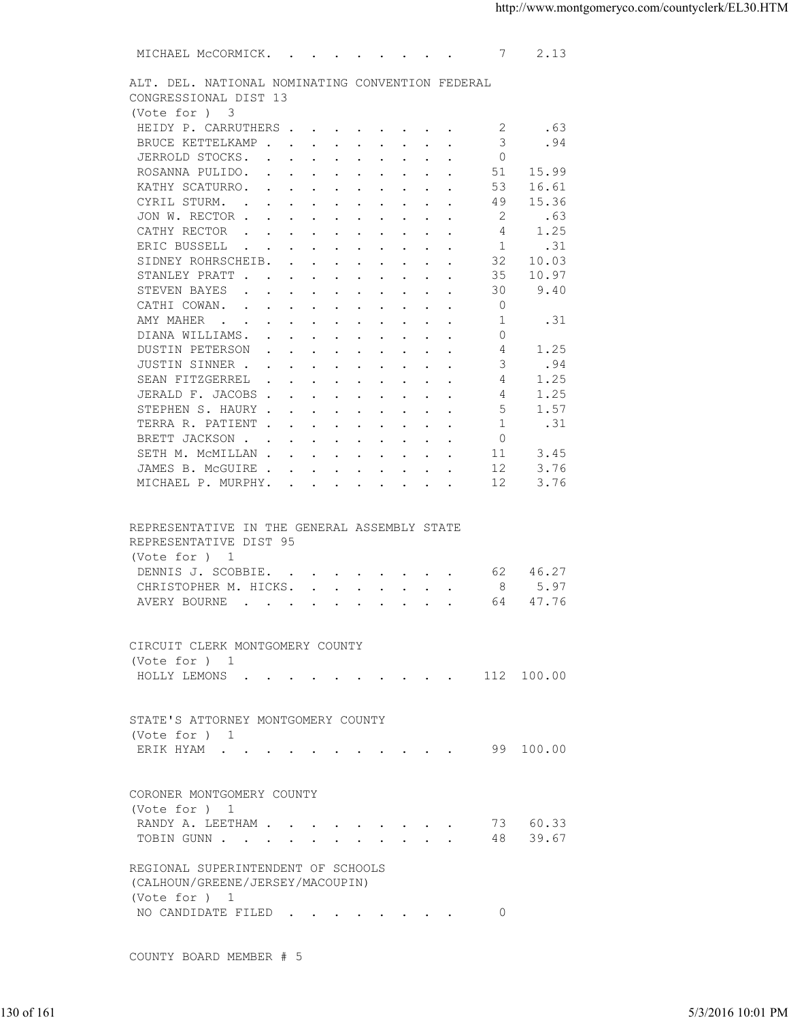| ALT. DEL. NATIONAL NOMINATING CONVENTION FEDERAL<br>CONGRESSIONAL DIST 13<br>(Vote for ) 3<br>HEIDY P. CARRUTHERS<br>.63<br>-2<br>3<br>.94<br>BRUCE KETTELKAMP<br>$\Omega$<br>JERROLD STOCKS.<br>ROSANNA PULIDO.<br>51<br>15.99<br>KATHY SCATURRO.<br>53<br>16.61<br>CYRIL STURM.<br>49<br>15.36<br>JON W. RECTOR<br>2<br>.63<br>1.25<br>CATHY RECTOR<br>4<br>ERIC BUSSELL<br>1<br>.31<br>$\mathbf{r}$ . The contract of the contract of the contract of the contract of the contract of the contract of the contract of the contract of the contract of the contract of the contract of the contract of the contract of th<br>32<br>SIDNEY ROHRSCHEIB.<br>10.03<br>35<br>10.97<br>STANLEY PRATT<br>9.40<br>STEVEN BAYES<br>30<br>$\mathbf{r}$ , and $\mathbf{r}$ , and $\mathbf{r}$ , and $\mathbf{r}$ , and $\mathbf{r}$<br>$\circ$<br>CATHI COWAN.<br>1<br>AMY MAHER<br>.31<br>DIANA WILLIAMS.<br>$\Omega$<br>1.25<br>DUSTIN PETERSON<br>4<br>JUSTIN SINNER<br>.94<br>3<br>1.25<br>SEAN FITZGERREL<br>4<br>JERALD F. JACOBS<br>1.25<br>4<br>STEPHEN S. HAURY<br>5<br>1.57<br>1<br>.31<br>TERRA R. PATIENT<br>$\Omega$<br>BRETT JACKSON<br>3.45<br>SETH M. MCMILLAN<br>11<br>3.76<br>JAMES B. MCGUIRE<br>12<br>12<br>3.76<br>MICHAEL P. MURPHY.<br>REPRESENTATIVE IN THE GENERAL ASSEMBLY STATE<br>REPRESENTATIVE DIST 95<br>(Vote for ) 1<br>DENNIS J. SCOBBIE.<br>46.27<br>62<br>8<br>5.97<br>CHRISTOPHER M. HICKS.<br>47.76<br>AVERY BOURNE<br>the contract of the contract of the contract of the contract of the contract of the contract of the contract of<br>64<br>CIRCUIT CLERK MONTGOMERY COUNTY<br>(Vote for ) 1<br>HOLLY LEMONS 112 100.00<br>STATE'S ATTORNEY MONTGOMERY COUNTY<br>(Vote for ) 1<br>ERIK HYAM 99 100.00<br>CORONER MONTGOMERY COUNTY<br>(Vote for ) 1<br>RANDY A. LEETHAM 73 60.33<br>TOBIN GUNN 48 39.67<br>REGIONAL SUPERINTENDENT OF SCHOOLS<br>(CALHOUN/GREENE/JERSEY/MACOUPIN)<br>(Vote for ) 1<br>NO CANDIDATE FILED 0<br>COUNTY BOARD MEMBER # 5<br>5/3/2016 10:01 PM |  |  |
|-------------------------------------------------------------------------------------------------------------------------------------------------------------------------------------------------------------------------------------------------------------------------------------------------------------------------------------------------------------------------------------------------------------------------------------------------------------------------------------------------------------------------------------------------------------------------------------------------------------------------------------------------------------------------------------------------------------------------------------------------------------------------------------------------------------------------------------------------------------------------------------------------------------------------------------------------------------------------------------------------------------------------------------------------------------------------------------------------------------------------------------------------------------------------------------------------------------------------------------------------------------------------------------------------------------------------------------------------------------------------------------------------------------------------------------------------------------------------------------------------------------------------------------------------------------------------------------------------------------------------------------------------------------------------------------------------------------------------------------------------------------------------------------------------------------------------------------------------------------------------------------------------------------------------------------------------------------------------------------------------------------|--|--|
|                                                                                                                                                                                                                                                                                                                                                                                                                                                                                                                                                                                                                                                                                                                                                                                                                                                                                                                                                                                                                                                                                                                                                                                                                                                                                                                                                                                                                                                                                                                                                                                                                                                                                                                                                                                                                                                                                                                                                                                                             |  |  |
|                                                                                                                                                                                                                                                                                                                                                                                                                                                                                                                                                                                                                                                                                                                                                                                                                                                                                                                                                                                                                                                                                                                                                                                                                                                                                                                                                                                                                                                                                                                                                                                                                                                                                                                                                                                                                                                                                                                                                                                                             |  |  |
|                                                                                                                                                                                                                                                                                                                                                                                                                                                                                                                                                                                                                                                                                                                                                                                                                                                                                                                                                                                                                                                                                                                                                                                                                                                                                                                                                                                                                                                                                                                                                                                                                                                                                                                                                                                                                                                                                                                                                                                                             |  |  |
| 130 of 161                                                                                                                                                                                                                                                                                                                                                                                                                                                                                                                                                                                                                                                                                                                                                                                                                                                                                                                                                                                                                                                                                                                                                                                                                                                                                                                                                                                                                                                                                                                                                                                                                                                                                                                                                                                                                                                                                                                                                                                                  |  |  |
|                                                                                                                                                                                                                                                                                                                                                                                                                                                                                                                                                                                                                                                                                                                                                                                                                                                                                                                                                                                                                                                                                                                                                                                                                                                                                                                                                                                                                                                                                                                                                                                                                                                                                                                                                                                                                                                                                                                                                                                                             |  |  |
|                                                                                                                                                                                                                                                                                                                                                                                                                                                                                                                                                                                                                                                                                                                                                                                                                                                                                                                                                                                                                                                                                                                                                                                                                                                                                                                                                                                                                                                                                                                                                                                                                                                                                                                                                                                                                                                                                                                                                                                                             |  |  |
|                                                                                                                                                                                                                                                                                                                                                                                                                                                                                                                                                                                                                                                                                                                                                                                                                                                                                                                                                                                                                                                                                                                                                                                                                                                                                                                                                                                                                                                                                                                                                                                                                                                                                                                                                                                                                                                                                                                                                                                                             |  |  |
|                                                                                                                                                                                                                                                                                                                                                                                                                                                                                                                                                                                                                                                                                                                                                                                                                                                                                                                                                                                                                                                                                                                                                                                                                                                                                                                                                                                                                                                                                                                                                                                                                                                                                                                                                                                                                                                                                                                                                                                                             |  |  |
|                                                                                                                                                                                                                                                                                                                                                                                                                                                                                                                                                                                                                                                                                                                                                                                                                                                                                                                                                                                                                                                                                                                                                                                                                                                                                                                                                                                                                                                                                                                                                                                                                                                                                                                                                                                                                                                                                                                                                                                                             |  |  |
|                                                                                                                                                                                                                                                                                                                                                                                                                                                                                                                                                                                                                                                                                                                                                                                                                                                                                                                                                                                                                                                                                                                                                                                                                                                                                                                                                                                                                                                                                                                                                                                                                                                                                                                                                                                                                                                                                                                                                                                                             |  |  |
|                                                                                                                                                                                                                                                                                                                                                                                                                                                                                                                                                                                                                                                                                                                                                                                                                                                                                                                                                                                                                                                                                                                                                                                                                                                                                                                                                                                                                                                                                                                                                                                                                                                                                                                                                                                                                                                                                                                                                                                                             |  |  |
|                                                                                                                                                                                                                                                                                                                                                                                                                                                                                                                                                                                                                                                                                                                                                                                                                                                                                                                                                                                                                                                                                                                                                                                                                                                                                                                                                                                                                                                                                                                                                                                                                                                                                                                                                                                                                                                                                                                                                                                                             |  |  |
|                                                                                                                                                                                                                                                                                                                                                                                                                                                                                                                                                                                                                                                                                                                                                                                                                                                                                                                                                                                                                                                                                                                                                                                                                                                                                                                                                                                                                                                                                                                                                                                                                                                                                                                                                                                                                                                                                                                                                                                                             |  |  |
|                                                                                                                                                                                                                                                                                                                                                                                                                                                                                                                                                                                                                                                                                                                                                                                                                                                                                                                                                                                                                                                                                                                                                                                                                                                                                                                                                                                                                                                                                                                                                                                                                                                                                                                                                                                                                                                                                                                                                                                                             |  |  |
|                                                                                                                                                                                                                                                                                                                                                                                                                                                                                                                                                                                                                                                                                                                                                                                                                                                                                                                                                                                                                                                                                                                                                                                                                                                                                                                                                                                                                                                                                                                                                                                                                                                                                                                                                                                                                                                                                                                                                                                                             |  |  |
|                                                                                                                                                                                                                                                                                                                                                                                                                                                                                                                                                                                                                                                                                                                                                                                                                                                                                                                                                                                                                                                                                                                                                                                                                                                                                                                                                                                                                                                                                                                                                                                                                                                                                                                                                                                                                                                                                                                                                                                                             |  |  |
|                                                                                                                                                                                                                                                                                                                                                                                                                                                                                                                                                                                                                                                                                                                                                                                                                                                                                                                                                                                                                                                                                                                                                                                                                                                                                                                                                                                                                                                                                                                                                                                                                                                                                                                                                                                                                                                                                                                                                                                                             |  |  |
|                                                                                                                                                                                                                                                                                                                                                                                                                                                                                                                                                                                                                                                                                                                                                                                                                                                                                                                                                                                                                                                                                                                                                                                                                                                                                                                                                                                                                                                                                                                                                                                                                                                                                                                                                                                                                                                                                                                                                                                                             |  |  |
|                                                                                                                                                                                                                                                                                                                                                                                                                                                                                                                                                                                                                                                                                                                                                                                                                                                                                                                                                                                                                                                                                                                                                                                                                                                                                                                                                                                                                                                                                                                                                                                                                                                                                                                                                                                                                                                                                                                                                                                                             |  |  |
|                                                                                                                                                                                                                                                                                                                                                                                                                                                                                                                                                                                                                                                                                                                                                                                                                                                                                                                                                                                                                                                                                                                                                                                                                                                                                                                                                                                                                                                                                                                                                                                                                                                                                                                                                                                                                                                                                                                                                                                                             |  |  |
|                                                                                                                                                                                                                                                                                                                                                                                                                                                                                                                                                                                                                                                                                                                                                                                                                                                                                                                                                                                                                                                                                                                                                                                                                                                                                                                                                                                                                                                                                                                                                                                                                                                                                                                                                                                                                                                                                                                                                                                                             |  |  |
|                                                                                                                                                                                                                                                                                                                                                                                                                                                                                                                                                                                                                                                                                                                                                                                                                                                                                                                                                                                                                                                                                                                                                                                                                                                                                                                                                                                                                                                                                                                                                                                                                                                                                                                                                                                                                                                                                                                                                                                                             |  |  |
|                                                                                                                                                                                                                                                                                                                                                                                                                                                                                                                                                                                                                                                                                                                                                                                                                                                                                                                                                                                                                                                                                                                                                                                                                                                                                                                                                                                                                                                                                                                                                                                                                                                                                                                                                                                                                                                                                                                                                                                                             |  |  |
|                                                                                                                                                                                                                                                                                                                                                                                                                                                                                                                                                                                                                                                                                                                                                                                                                                                                                                                                                                                                                                                                                                                                                                                                                                                                                                                                                                                                                                                                                                                                                                                                                                                                                                                                                                                                                                                                                                                                                                                                             |  |  |
|                                                                                                                                                                                                                                                                                                                                                                                                                                                                                                                                                                                                                                                                                                                                                                                                                                                                                                                                                                                                                                                                                                                                                                                                                                                                                                                                                                                                                                                                                                                                                                                                                                                                                                                                                                                                                                                                                                                                                                                                             |  |  |
|                                                                                                                                                                                                                                                                                                                                                                                                                                                                                                                                                                                                                                                                                                                                                                                                                                                                                                                                                                                                                                                                                                                                                                                                                                                                                                                                                                                                                                                                                                                                                                                                                                                                                                                                                                                                                                                                                                                                                                                                             |  |  |
|                                                                                                                                                                                                                                                                                                                                                                                                                                                                                                                                                                                                                                                                                                                                                                                                                                                                                                                                                                                                                                                                                                                                                                                                                                                                                                                                                                                                                                                                                                                                                                                                                                                                                                                                                                                                                                                                                                                                                                                                             |  |  |
|                                                                                                                                                                                                                                                                                                                                                                                                                                                                                                                                                                                                                                                                                                                                                                                                                                                                                                                                                                                                                                                                                                                                                                                                                                                                                                                                                                                                                                                                                                                                                                                                                                                                                                                                                                                                                                                                                                                                                                                                             |  |  |
|                                                                                                                                                                                                                                                                                                                                                                                                                                                                                                                                                                                                                                                                                                                                                                                                                                                                                                                                                                                                                                                                                                                                                                                                                                                                                                                                                                                                                                                                                                                                                                                                                                                                                                                                                                                                                                                                                                                                                                                                             |  |  |
|                                                                                                                                                                                                                                                                                                                                                                                                                                                                                                                                                                                                                                                                                                                                                                                                                                                                                                                                                                                                                                                                                                                                                                                                                                                                                                                                                                                                                                                                                                                                                                                                                                                                                                                                                                                                                                                                                                                                                                                                             |  |  |
|                                                                                                                                                                                                                                                                                                                                                                                                                                                                                                                                                                                                                                                                                                                                                                                                                                                                                                                                                                                                                                                                                                                                                                                                                                                                                                                                                                                                                                                                                                                                                                                                                                                                                                                                                                                                                                                                                                                                                                                                             |  |  |
|                                                                                                                                                                                                                                                                                                                                                                                                                                                                                                                                                                                                                                                                                                                                                                                                                                                                                                                                                                                                                                                                                                                                                                                                                                                                                                                                                                                                                                                                                                                                                                                                                                                                                                                                                                                                                                                                                                                                                                                                             |  |  |
|                                                                                                                                                                                                                                                                                                                                                                                                                                                                                                                                                                                                                                                                                                                                                                                                                                                                                                                                                                                                                                                                                                                                                                                                                                                                                                                                                                                                                                                                                                                                                                                                                                                                                                                                                                                                                                                                                                                                                                                                             |  |  |
|                                                                                                                                                                                                                                                                                                                                                                                                                                                                                                                                                                                                                                                                                                                                                                                                                                                                                                                                                                                                                                                                                                                                                                                                                                                                                                                                                                                                                                                                                                                                                                                                                                                                                                                                                                                                                                                                                                                                                                                                             |  |  |
|                                                                                                                                                                                                                                                                                                                                                                                                                                                                                                                                                                                                                                                                                                                                                                                                                                                                                                                                                                                                                                                                                                                                                                                                                                                                                                                                                                                                                                                                                                                                                                                                                                                                                                                                                                                                                                                                                                                                                                                                             |  |  |
|                                                                                                                                                                                                                                                                                                                                                                                                                                                                                                                                                                                                                                                                                                                                                                                                                                                                                                                                                                                                                                                                                                                                                                                                                                                                                                                                                                                                                                                                                                                                                                                                                                                                                                                                                                                                                                                                                                                                                                                                             |  |  |
|                                                                                                                                                                                                                                                                                                                                                                                                                                                                                                                                                                                                                                                                                                                                                                                                                                                                                                                                                                                                                                                                                                                                                                                                                                                                                                                                                                                                                                                                                                                                                                                                                                                                                                                                                                                                                                                                                                                                                                                                             |  |  |
|                                                                                                                                                                                                                                                                                                                                                                                                                                                                                                                                                                                                                                                                                                                                                                                                                                                                                                                                                                                                                                                                                                                                                                                                                                                                                                                                                                                                                                                                                                                                                                                                                                                                                                                                                                                                                                                                                                                                                                                                             |  |  |
|                                                                                                                                                                                                                                                                                                                                                                                                                                                                                                                                                                                                                                                                                                                                                                                                                                                                                                                                                                                                                                                                                                                                                                                                                                                                                                                                                                                                                                                                                                                                                                                                                                                                                                                                                                                                                                                                                                                                                                                                             |  |  |
|                                                                                                                                                                                                                                                                                                                                                                                                                                                                                                                                                                                                                                                                                                                                                                                                                                                                                                                                                                                                                                                                                                                                                                                                                                                                                                                                                                                                                                                                                                                                                                                                                                                                                                                                                                                                                                                                                                                                                                                                             |  |  |
|                                                                                                                                                                                                                                                                                                                                                                                                                                                                                                                                                                                                                                                                                                                                                                                                                                                                                                                                                                                                                                                                                                                                                                                                                                                                                                                                                                                                                                                                                                                                                                                                                                                                                                                                                                                                                                                                                                                                                                                                             |  |  |
|                                                                                                                                                                                                                                                                                                                                                                                                                                                                                                                                                                                                                                                                                                                                                                                                                                                                                                                                                                                                                                                                                                                                                                                                                                                                                                                                                                                                                                                                                                                                                                                                                                                                                                                                                                                                                                                                                                                                                                                                             |  |  |
|                                                                                                                                                                                                                                                                                                                                                                                                                                                                                                                                                                                                                                                                                                                                                                                                                                                                                                                                                                                                                                                                                                                                                                                                                                                                                                                                                                                                                                                                                                                                                                                                                                                                                                                                                                                                                                                                                                                                                                                                             |  |  |
|                                                                                                                                                                                                                                                                                                                                                                                                                                                                                                                                                                                                                                                                                                                                                                                                                                                                                                                                                                                                                                                                                                                                                                                                                                                                                                                                                                                                                                                                                                                                                                                                                                                                                                                                                                                                                                                                                                                                                                                                             |  |  |
|                                                                                                                                                                                                                                                                                                                                                                                                                                                                                                                                                                                                                                                                                                                                                                                                                                                                                                                                                                                                                                                                                                                                                                                                                                                                                                                                                                                                                                                                                                                                                                                                                                                                                                                                                                                                                                                                                                                                                                                                             |  |  |
|                                                                                                                                                                                                                                                                                                                                                                                                                                                                                                                                                                                                                                                                                                                                                                                                                                                                                                                                                                                                                                                                                                                                                                                                                                                                                                                                                                                                                                                                                                                                                                                                                                                                                                                                                                                                                                                                                                                                                                                                             |  |  |
|                                                                                                                                                                                                                                                                                                                                                                                                                                                                                                                                                                                                                                                                                                                                                                                                                                                                                                                                                                                                                                                                                                                                                                                                                                                                                                                                                                                                                                                                                                                                                                                                                                                                                                                                                                                                                                                                                                                                                                                                             |  |  |
|                                                                                                                                                                                                                                                                                                                                                                                                                                                                                                                                                                                                                                                                                                                                                                                                                                                                                                                                                                                                                                                                                                                                                                                                                                                                                                                                                                                                                                                                                                                                                                                                                                                                                                                                                                                                                                                                                                                                                                                                             |  |  |
|                                                                                                                                                                                                                                                                                                                                                                                                                                                                                                                                                                                                                                                                                                                                                                                                                                                                                                                                                                                                                                                                                                                                                                                                                                                                                                                                                                                                                                                                                                                                                                                                                                                                                                                                                                                                                                                                                                                                                                                                             |  |  |
|                                                                                                                                                                                                                                                                                                                                                                                                                                                                                                                                                                                                                                                                                                                                                                                                                                                                                                                                                                                                                                                                                                                                                                                                                                                                                                                                                                                                                                                                                                                                                                                                                                                                                                                                                                                                                                                                                                                                                                                                             |  |  |
|                                                                                                                                                                                                                                                                                                                                                                                                                                                                                                                                                                                                                                                                                                                                                                                                                                                                                                                                                                                                                                                                                                                                                                                                                                                                                                                                                                                                                                                                                                                                                                                                                                                                                                                                                                                                                                                                                                                                                                                                             |  |  |
|                                                                                                                                                                                                                                                                                                                                                                                                                                                                                                                                                                                                                                                                                                                                                                                                                                                                                                                                                                                                                                                                                                                                                                                                                                                                                                                                                                                                                                                                                                                                                                                                                                                                                                                                                                                                                                                                                                                                                                                                             |  |  |
|                                                                                                                                                                                                                                                                                                                                                                                                                                                                                                                                                                                                                                                                                                                                                                                                                                                                                                                                                                                                                                                                                                                                                                                                                                                                                                                                                                                                                                                                                                                                                                                                                                                                                                                                                                                                                                                                                                                                                                                                             |  |  |
|                                                                                                                                                                                                                                                                                                                                                                                                                                                                                                                                                                                                                                                                                                                                                                                                                                                                                                                                                                                                                                                                                                                                                                                                                                                                                                                                                                                                                                                                                                                                                                                                                                                                                                                                                                                                                                                                                                                                                                                                             |  |  |
|                                                                                                                                                                                                                                                                                                                                                                                                                                                                                                                                                                                                                                                                                                                                                                                                                                                                                                                                                                                                                                                                                                                                                                                                                                                                                                                                                                                                                                                                                                                                                                                                                                                                                                                                                                                                                                                                                                                                                                                                             |  |  |
|                                                                                                                                                                                                                                                                                                                                                                                                                                                                                                                                                                                                                                                                                                                                                                                                                                                                                                                                                                                                                                                                                                                                                                                                                                                                                                                                                                                                                                                                                                                                                                                                                                                                                                                                                                                                                                                                                                                                                                                                             |  |  |
|                                                                                                                                                                                                                                                                                                                                                                                                                                                                                                                                                                                                                                                                                                                                                                                                                                                                                                                                                                                                                                                                                                                                                                                                                                                                                                                                                                                                                                                                                                                                                                                                                                                                                                                                                                                                                                                                                                                                                                                                             |  |  |
|                                                                                                                                                                                                                                                                                                                                                                                                                                                                                                                                                                                                                                                                                                                                                                                                                                                                                                                                                                                                                                                                                                                                                                                                                                                                                                                                                                                                                                                                                                                                                                                                                                                                                                                                                                                                                                                                                                                                                                                                             |  |  |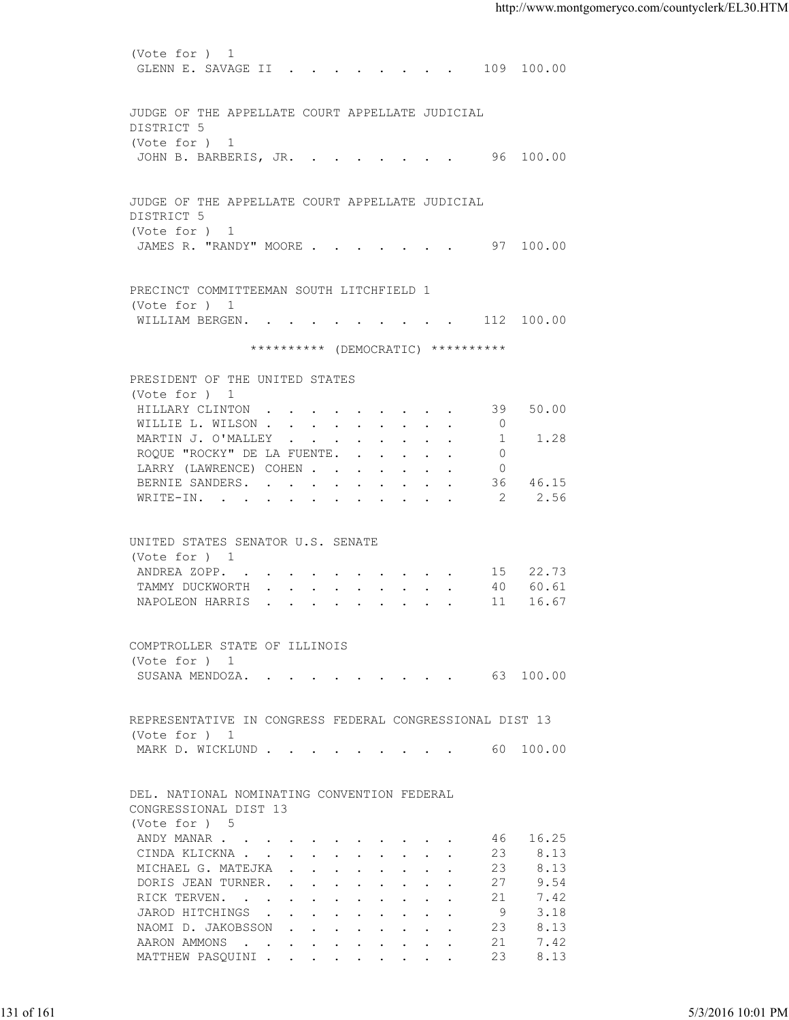(Vote for ) 1 GLENN E. SAVAGE II . . . . . . . . 109 100.00 JUDGE OF THE APPELLATE COURT APPELLATE JUDICIAL DISTRICT 5 (Vote for ) 1 JOHN B. BARBERIS, JR. . . . . . . . 96 100.00 JUDGE OF THE APPELLATE COURT APPELLATE JUDICIAL DISTRICT 5 (Vote for ) 1 JAMES R. "RANDY" MOORE . . . . . . . 97 100.00 PRECINCT COMMITTEEMAN SOUTH LITCHFIELD 1 (Vote for ) 1 WILLIAM BERGEN. . . . . . . . . . 112 100.00 \*\*\*\*\*\*\*\*\*\* (DEMOCRATIC) \*\*\*\*\*\*\*\*\*\* PRESIDENT OF THE UNITED STATES (Vote for ) 1 HILLARY CLINTON . . . . . . . . . 39 50.00<br>WILLIE L. WILSON . . . . . . . . . 0 WILLIE L. WILSON . . . . . . . . . MARTIN J. O'MALLEY . . . . . . . . . 1 1.28 ROQUE "ROCKY" DE LA FUENTE. . . . . . 0 LARRY (LAWRENCE) COHEN . . . . . . . 0<br>BERNIE SANDERS. . . . . . . . . . 36 46.15 BERNIE SANDERS. . . . . . . . . . WRITE-IN. . . . . . . . . . . . 2 2.56 UNITED STATES SENATOR U.S. SENATE (Vote for ) 1 ANDREA ZOPP. . . . . . . . . . . 15 22.73 TAMMY DUCKWORTH . . . . . . . . . 40 60.61 NAPOLEON HARRIS . . . . . . . . . 11 16.67 COMPTROLLER STATE OF ILLINOIS (Vote for ) 1 SUSANA MENDOZA. . . . . . . . . . 63 100.00 REPRESENTATIVE IN CONGRESS FEDERAL CONGRESSIONAL DIST 13 (Vote for ) 1 MARK D. WICKLUND . . . . . . . . . . 60 100.00 DEL. NATIONAL NOMINATING CONVENTION FEDERAL CONGRESSIONAL DIST 13 (Vote for ) 5 ANDY MANAR . . . . . . . . . . . . 46 16.25 CINDA KLICKNA . . . . . . . . . . 23 8.13 MICHAEL G. MATEJKA . . . . . . . . 23 8.13<br>DORIS JEAN TURNER. . . . . . . . . 27 9.54 DORIS JEAN TURNER. . . . . . . . . 27 9.54<br>RICK TERVEN. . . . . . . . . . . 21 7.42 RICK TERVEN. . . . . . . . . . . 21 7.42<br>JAROD HITCHINGS . . . . . . . . . 9 3.18 JAROD HITCHINGS . . . . . . . . . . 9<br>NAOMI D. JAKOBSSON . . . . . . . . 23 NAOMI D. JAKOBSSON . . . . . . . . 23 8.13 AARON AMMONS . . . . . . . . . . 21 7.42 MATTHEW PASQUINI . . . . . . . . . 23 8.13 131 of 161 5/3/2016 10:01 PM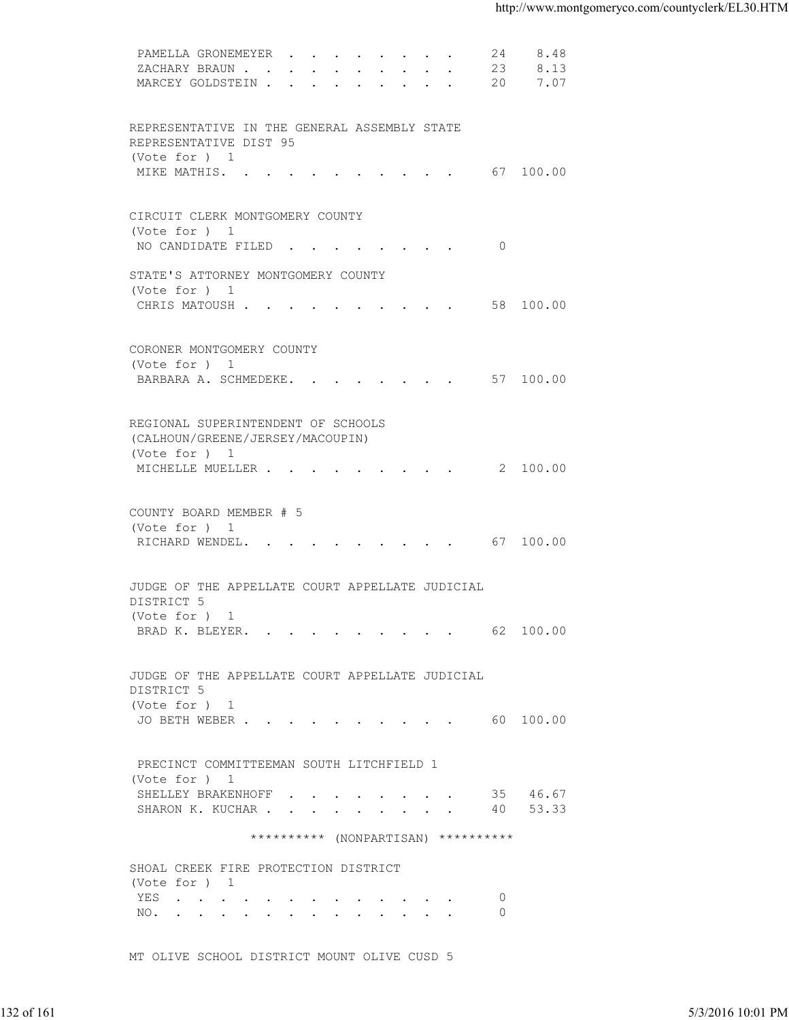| 8.13<br>ZACHARY BRAUN<br>23<br>MARCEY GOLDSTEIN 20<br>7.07<br>REPRESENTATIVE IN THE GENERAL ASSEMBLY STATE<br>REPRESENTATIVE DIST 95<br>(Vote for ) 1<br>MIKE MATHIS. 67 100.00<br>CIRCUIT CLERK MONTGOMERY COUNTY<br>(Vote for ) 1<br>NO CANDIDATE FILED 0<br>STATE'S ATTORNEY MONTGOMERY COUNTY<br>(Vote for ) 1<br>CHRIS MATOUSH 58 100.00<br>CORONER MONTGOMERY COUNTY<br>(Vote for ) 1<br>BARBARA A. SCHMEDEKE. 57 100.00<br>REGIONAL SUPERINTENDENT OF SCHOOLS<br>(CALHOUN/GREENE/JERSEY/MACOUPIN)<br>(Vote for ) 1<br>MICHELLE MUELLER 2 100.00<br>COUNTY BOARD MEMBER # 5<br>(Vote for ) 1<br>RICHARD WENDEL. 67 100.00<br>JUDGE OF THE APPELLATE COURT APPELLATE JUDICIAL<br>DISTRICT 5<br>(Vote for ) 1<br>BRAD K. BLEYER. 62 100.00<br>JUDGE OF THE APPELLATE COURT APPELLATE JUDICIAL<br>DISTRICT 5<br>(Vote for ) 1<br>JO BETH WEBER 60 100.00<br>PRECINCT COMMITTEEMAN SOUTH LITCHFIELD 1<br>(Vote for ) 1<br>SHELLEY BRAKENHOFF 35 46.67<br>SHARON K. KUCHAR 40 53.33<br>********** (NONPARTISAN) **********<br>SHOAL CREEK FIRE PROTECTION DISTRICT<br>(Vote for ) 1<br>$\circ$<br>YES<br>$\circ$<br>NO.<br>MT OLIVE SCHOOL DISTRICT MOUNT OLIVE CUSD 5 |
|-------------------------------------------------------------------------------------------------------------------------------------------------------------------------------------------------------------------------------------------------------------------------------------------------------------------------------------------------------------------------------------------------------------------------------------------------------------------------------------------------------------------------------------------------------------------------------------------------------------------------------------------------------------------------------------------------------------------------------------------------------------------------------------------------------------------------------------------------------------------------------------------------------------------------------------------------------------------------------------------------------------------------------------------------------------------------------------------------------------------------------------------------------------------------|
|                                                                                                                                                                                                                                                                                                                                                                                                                                                                                                                                                                                                                                                                                                                                                                                                                                                                                                                                                                                                                                                                                                                                                                         |
|                                                                                                                                                                                                                                                                                                                                                                                                                                                                                                                                                                                                                                                                                                                                                                                                                                                                                                                                                                                                                                                                                                                                                                         |
|                                                                                                                                                                                                                                                                                                                                                                                                                                                                                                                                                                                                                                                                                                                                                                                                                                                                                                                                                                                                                                                                                                                                                                         |
|                                                                                                                                                                                                                                                                                                                                                                                                                                                                                                                                                                                                                                                                                                                                                                                                                                                                                                                                                                                                                                                                                                                                                                         |
|                                                                                                                                                                                                                                                                                                                                                                                                                                                                                                                                                                                                                                                                                                                                                                                                                                                                                                                                                                                                                                                                                                                                                                         |
|                                                                                                                                                                                                                                                                                                                                                                                                                                                                                                                                                                                                                                                                                                                                                                                                                                                                                                                                                                                                                                                                                                                                                                         |
|                                                                                                                                                                                                                                                                                                                                                                                                                                                                                                                                                                                                                                                                                                                                                                                                                                                                                                                                                                                                                                                                                                                                                                         |
|                                                                                                                                                                                                                                                                                                                                                                                                                                                                                                                                                                                                                                                                                                                                                                                                                                                                                                                                                                                                                                                                                                                                                                         |
|                                                                                                                                                                                                                                                                                                                                                                                                                                                                                                                                                                                                                                                                                                                                                                                                                                                                                                                                                                                                                                                                                                                                                                         |
|                                                                                                                                                                                                                                                                                                                                                                                                                                                                                                                                                                                                                                                                                                                                                                                                                                                                                                                                                                                                                                                                                                                                                                         |
|                                                                                                                                                                                                                                                                                                                                                                                                                                                                                                                                                                                                                                                                                                                                                                                                                                                                                                                                                                                                                                                                                                                                                                         |
|                                                                                                                                                                                                                                                                                                                                                                                                                                                                                                                                                                                                                                                                                                                                                                                                                                                                                                                                                                                                                                                                                                                                                                         |
|                                                                                                                                                                                                                                                                                                                                                                                                                                                                                                                                                                                                                                                                                                                                                                                                                                                                                                                                                                                                                                                                                                                                                                         |
|                                                                                                                                                                                                                                                                                                                                                                                                                                                                                                                                                                                                                                                                                                                                                                                                                                                                                                                                                                                                                                                                                                                                                                         |
|                                                                                                                                                                                                                                                                                                                                                                                                                                                                                                                                                                                                                                                                                                                                                                                                                                                                                                                                                                                                                                                                                                                                                                         |
|                                                                                                                                                                                                                                                                                                                                                                                                                                                                                                                                                                                                                                                                                                                                                                                                                                                                                                                                                                                                                                                                                                                                                                         |
|                                                                                                                                                                                                                                                                                                                                                                                                                                                                                                                                                                                                                                                                                                                                                                                                                                                                                                                                                                                                                                                                                                                                                                         |
|                                                                                                                                                                                                                                                                                                                                                                                                                                                                                                                                                                                                                                                                                                                                                                                                                                                                                                                                                                                                                                                                                                                                                                         |
|                                                                                                                                                                                                                                                                                                                                                                                                                                                                                                                                                                                                                                                                                                                                                                                                                                                                                                                                                                                                                                                                                                                                                                         |
|                                                                                                                                                                                                                                                                                                                                                                                                                                                                                                                                                                                                                                                                                                                                                                                                                                                                                                                                                                                                                                                                                                                                                                         |
|                                                                                                                                                                                                                                                                                                                                                                                                                                                                                                                                                                                                                                                                                                                                                                                                                                                                                                                                                                                                                                                                                                                                                                         |
|                                                                                                                                                                                                                                                                                                                                                                                                                                                                                                                                                                                                                                                                                                                                                                                                                                                                                                                                                                                                                                                                                                                                                                         |
|                                                                                                                                                                                                                                                                                                                                                                                                                                                                                                                                                                                                                                                                                                                                                                                                                                                                                                                                                                                                                                                                                                                                                                         |
|                                                                                                                                                                                                                                                                                                                                                                                                                                                                                                                                                                                                                                                                                                                                                                                                                                                                                                                                                                                                                                                                                                                                                                         |
|                                                                                                                                                                                                                                                                                                                                                                                                                                                                                                                                                                                                                                                                                                                                                                                                                                                                                                                                                                                                                                                                                                                                                                         |
|                                                                                                                                                                                                                                                                                                                                                                                                                                                                                                                                                                                                                                                                                                                                                                                                                                                                                                                                                                                                                                                                                                                                                                         |
|                                                                                                                                                                                                                                                                                                                                                                                                                                                                                                                                                                                                                                                                                                                                                                                                                                                                                                                                                                                                                                                                                                                                                                         |
|                                                                                                                                                                                                                                                                                                                                                                                                                                                                                                                                                                                                                                                                                                                                                                                                                                                                                                                                                                                                                                                                                                                                                                         |
|                                                                                                                                                                                                                                                                                                                                                                                                                                                                                                                                                                                                                                                                                                                                                                                                                                                                                                                                                                                                                                                                                                                                                                         |
|                                                                                                                                                                                                                                                                                                                                                                                                                                                                                                                                                                                                                                                                                                                                                                                                                                                                                                                                                                                                                                                                                                                                                                         |
|                                                                                                                                                                                                                                                                                                                                                                                                                                                                                                                                                                                                                                                                                                                                                                                                                                                                                                                                                                                                                                                                                                                                                                         |
|                                                                                                                                                                                                                                                                                                                                                                                                                                                                                                                                                                                                                                                                                                                                                                                                                                                                                                                                                                                                                                                                                                                                                                         |
|                                                                                                                                                                                                                                                                                                                                                                                                                                                                                                                                                                                                                                                                                                                                                                                                                                                                                                                                                                                                                                                                                                                                                                         |
|                                                                                                                                                                                                                                                                                                                                                                                                                                                                                                                                                                                                                                                                                                                                                                                                                                                                                                                                                                                                                                                                                                                                                                         |
|                                                                                                                                                                                                                                                                                                                                                                                                                                                                                                                                                                                                                                                                                                                                                                                                                                                                                                                                                                                                                                                                                                                                                                         |
|                                                                                                                                                                                                                                                                                                                                                                                                                                                                                                                                                                                                                                                                                                                                                                                                                                                                                                                                                                                                                                                                                                                                                                         |
|                                                                                                                                                                                                                                                                                                                                                                                                                                                                                                                                                                                                                                                                                                                                                                                                                                                                                                                                                                                                                                                                                                                                                                         |
|                                                                                                                                                                                                                                                                                                                                                                                                                                                                                                                                                                                                                                                                                                                                                                                                                                                                                                                                                                                                                                                                                                                                                                         |
|                                                                                                                                                                                                                                                                                                                                                                                                                                                                                                                                                                                                                                                                                                                                                                                                                                                                                                                                                                                                                                                                                                                                                                         |
|                                                                                                                                                                                                                                                                                                                                                                                                                                                                                                                                                                                                                                                                                                                                                                                                                                                                                                                                                                                                                                                                                                                                                                         |
|                                                                                                                                                                                                                                                                                                                                                                                                                                                                                                                                                                                                                                                                                                                                                                                                                                                                                                                                                                                                                                                                                                                                                                         |
|                                                                                                                                                                                                                                                                                                                                                                                                                                                                                                                                                                                                                                                                                                                                                                                                                                                                                                                                                                                                                                                                                                                                                                         |
|                                                                                                                                                                                                                                                                                                                                                                                                                                                                                                                                                                                                                                                                                                                                                                                                                                                                                                                                                                                                                                                                                                                                                                         |
|                                                                                                                                                                                                                                                                                                                                                                                                                                                                                                                                                                                                                                                                                                                                                                                                                                                                                                                                                                                                                                                                                                                                                                         |
|                                                                                                                                                                                                                                                                                                                                                                                                                                                                                                                                                                                                                                                                                                                                                                                                                                                                                                                                                                                                                                                                                                                                                                         |
|                                                                                                                                                                                                                                                                                                                                                                                                                                                                                                                                                                                                                                                                                                                                                                                                                                                                                                                                                                                                                                                                                                                                                                         |
|                                                                                                                                                                                                                                                                                                                                                                                                                                                                                                                                                                                                                                                                                                                                                                                                                                                                                                                                                                                                                                                                                                                                                                         |
| 132 of 161<br>5/3/2016 10:01 PM                                                                                                                                                                                                                                                                                                                                                                                                                                                                                                                                                                                                                                                                                                                                                                                                                                                                                                                                                                                                                                                                                                                                         |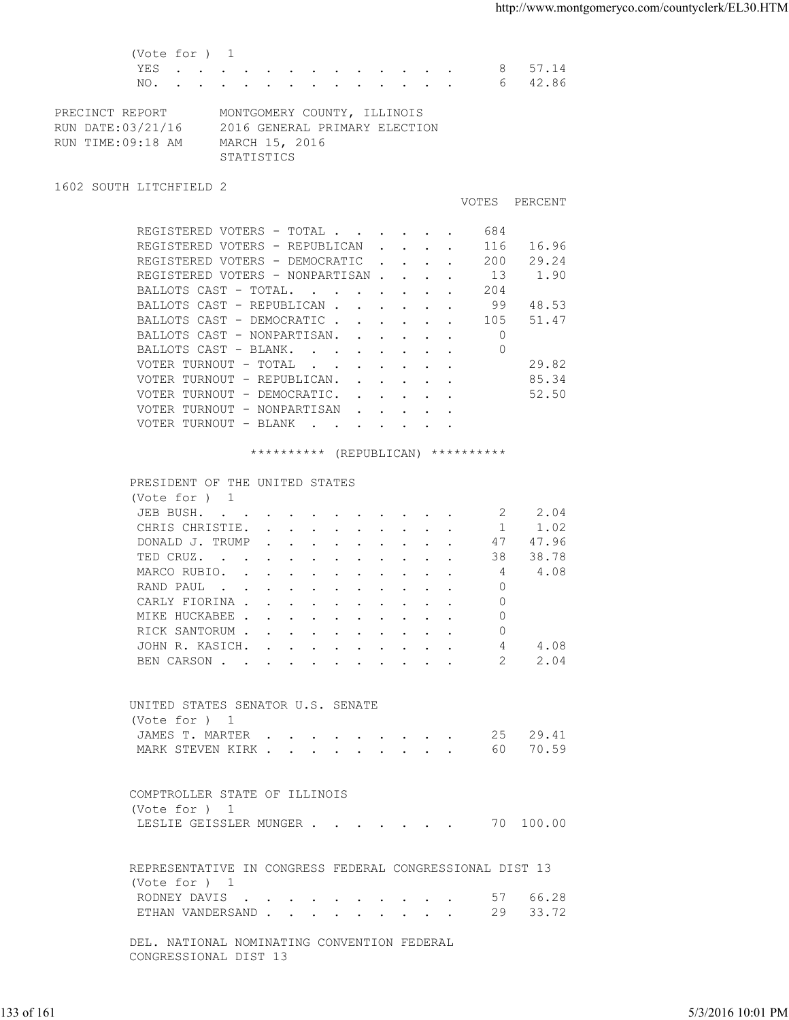(Vote for ) 1 YES . . . . . . . . . . . . . 8 57.14 NO. . . . . . . . . . . . . . . 6 42.86 PRECINCT REPORT MONTGOMERY COUNTY, ILLINOIS RUN DATE:03/21/16 2016 GENERAL PRIMARY ELECTION RUN TIME:09:18 AM MARCH 15, 2016 STATISTICS 1602 SOUTH LITCHFIELD 2 VOTES PERCENT REGISTERED VOTERS - TOTAL . . . . . . 684 REGISTERED VOTERS - REPUBLICAN . . . . 116 16.96 REGISTERED VOTERS - DEMOCRATIC . . . . 200 29.24 REGISTERED VOTERS - NONPARTISAN . . . . 13 1.90<br>BALLOTS CAST - TOTAL. . . . . . . . 204 BALLOTS CAST - TOTAL. . . . . . . . 204<br>BALLOTS CAST - REPUBLICAN . . . . . . 99 48.53<br>ALLOTS CAST - REPUBLICAN . . . . . . 105 51.47 BALLOTS CAST - REPUBLICAN . . BALLOTS CAST - DEMOCRATIC . . . . . . 105 51.47<br>BALLOTS CAST - NONPARTISAN. . . . . . 0 BALLOTS CAST - NONPARTISAN. . . . . . BALLOTS CAST - BLANK. . . . . . . . 0 VOTER TURNOUT - TOTAL . . . . . . . 29.82 VOTER TURNOUT - REPUBLICAN. . . . . . 85.34 VOTER TURNOUT - DEMOCRATIC. . . . . . 52.50 VOTER TURNOUT - NONPARTISAN . . . . . VOTER TURNOUT - BLANK . . . . . . . \*\*\*\*\*\*\*\*\*\* (REPUBLICAN) \*\*\*\*\*\*\*\*\*\* PRESIDENT OF THE UNITED STATES (Vote for ) 1 JEB BUSH. . . . . . . . . . . . 2 2.04 CHRIS CHRISTIE. . . . . . . . . . 1 1.02<br>DONALD J. TRUMP . . . . . . . . . 47 47.96 DONALD J. TRUMP . . . . . . . . . . TED CRUZ. . . . . . . . . . . . 38 38.78<br>MARCO RUBIO. . . . . . . . . . . 4 4.08 MARCO RUBIO. . . . . . . . . . . . 4 4.08<br>RAND PAUL . . . . . . . . . . . 0 RAND PAUL . . . . . . . . . . . CARLY FIORINA . . . . . . . . . . 0 MIKE HUCKABEE . . . . . . . . . . 0 RICK SANTORUM . . . . . . . . . . 0 JOHN R. KASICH. . . . . . . . . . 4 4.08<br>BEN CARSON . . . . . . . . . . . 2 2.04 BEN CARSON . . . . . . . . . . . 2 2.04 UNITED STATES SENATOR U.S. SENATE (Vote for ) 1 JAMES T. MARTER . . . . . . . . . 25 29.41 MARK STEVEN KIRK . . . . . . . . . . 60 70.59 COMPTROLLER STATE OF ILLINOIS (Vote for ) 1 LESLIE GEISSLER MUNGER . . . . . . . 70 100.00 REPRESENTATIVE IN CONGRESS FEDERAL CONGRESSIONAL DIST 13 (Vote for ) 1 RODNEY DAVIS . . . . . . . . . . . 57 66.28 ETHAN VANDERSAND . . . . . . . . . 29 33.72 DEL. NATIONAL NOMINATING CONVENTION FEDERAL CONGRESSIONAL DIST 13 133 of 161 5/3/2016 10:01 PM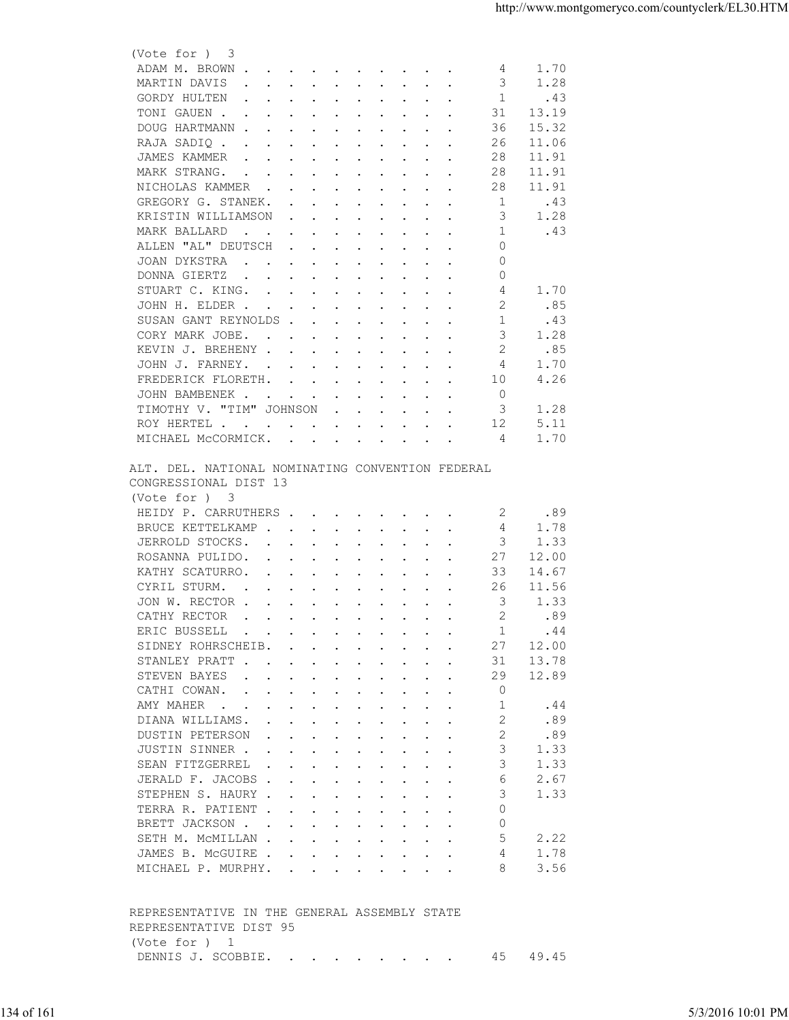| (Vote for ) 3                                                                                                                                                                                                                                                                                                                                                                                                                                              |  |
|------------------------------------------------------------------------------------------------------------------------------------------------------------------------------------------------------------------------------------------------------------------------------------------------------------------------------------------------------------------------------------------------------------------------------------------------------------|--|
| 1.70<br>ADAM M. BROWN<br>4                                                                                                                                                                                                                                                                                                                                                                                                                                 |  |
| 3<br>1.28<br>MARTIN DAVIS<br>$\mathbf{r}$ , and $\mathbf{r}$ , and $\mathbf{r}$ , and $\mathbf{r}$ , and $\mathbf{r}$                                                                                                                                                                                                                                                                                                                                      |  |
| 1<br>GORDY HULTEN<br>.43<br>the contract of the contract of the contract of the contract of the contract of the contract of the contract of                                                                                                                                                                                                                                                                                                                |  |
| TONI GAUEN .<br>31<br>13.19<br>the contract of the contract of the contract of the contract of the contract of the contract of the contract of                                                                                                                                                                                                                                                                                                             |  |
| DOUG HARTMANN<br>15.32<br>36                                                                                                                                                                                                                                                                                                                                                                                                                               |  |
| 26<br>11.06<br>RAJA SADIQ.<br>$\mathbf{r} = \mathbf{r} + \mathbf{r} + \mathbf{r} + \mathbf{r} + \mathbf{r} + \mathbf{r} + \mathbf{r} + \mathbf{r} + \mathbf{r} + \mathbf{r} + \mathbf{r} + \mathbf{r} + \mathbf{r} + \mathbf{r} + \mathbf{r} + \mathbf{r} + \mathbf{r} + \mathbf{r} + \mathbf{r} + \mathbf{r} + \mathbf{r} + \mathbf{r} + \mathbf{r} + \mathbf{r} + \mathbf{r} + \mathbf{r} + \mathbf{r} + \mathbf{r} + \mathbf{r} + \mathbf{r} + \mathbf$ |  |
|                                                                                                                                                                                                                                                                                                                                                                                                                                                            |  |
| JAMES KAMMER<br>28<br>11.91<br>the contract of the contract of the contract of the contract of the contract of the contract of the contract of                                                                                                                                                                                                                                                                                                             |  |
| MARK STRANG.<br>28<br>11.91<br>$\mathbf{r}$ , and $\mathbf{r}$ , and $\mathbf{r}$ , and $\mathbf{r}$ , and $\mathbf{r}$                                                                                                                                                                                                                                                                                                                                    |  |
| 28<br>11.91<br>NICHOLAS KAMMER                                                                                                                                                                                                                                                                                                                                                                                                                             |  |
| GREGORY G. STANEK.<br>1<br>.43<br>the contract of the contract of the contract of the contract of the contract of the contract of the contract of                                                                                                                                                                                                                                                                                                          |  |
| 3<br>1.28<br>KRISTIN WILLIAMSON<br>$\mathbf{r}$ , and $\mathbf{r}$ , and $\mathbf{r}$ , and $\mathbf{r}$                                                                                                                                                                                                                                                                                                                                                   |  |
| .43<br>MARK BALLARD<br>-1<br>$\mathbf{r}$ , $\mathbf{r}$ , $\mathbf{r}$ , $\mathbf{r}$ , $\mathbf{r}$ , $\mathbf{r}$ , $\mathbf{r}$ , $\mathbf{r}$                                                                                                                                                                                                                                                                                                         |  |
| ALLEN "AL" DEUTSCH<br>$\Omega$<br>$\mathbf{r}$ , $\mathbf{r}$ , $\mathbf{r}$ , $\mathbf{r}$ , $\mathbf{r}$ , $\mathbf{r}$ , $\mathbf{r}$                                                                                                                                                                                                                                                                                                                   |  |
| $\circ$<br>JOAN DYKSTRA<br>the contract of the contract of the contract of the contract of the contract of the contract of the contract of                                                                                                                                                                                                                                                                                                                 |  |
| $\circ$<br>DONNA GIERTZ<br>the contract of the contract of the contract of the contract of the contract of the contract of the contract of                                                                                                                                                                                                                                                                                                                 |  |
| STUART C. KING.<br>1.70<br>4                                                                                                                                                                                                                                                                                                                                                                                                                               |  |
|                                                                                                                                                                                                                                                                                                                                                                                                                                                            |  |
| 2<br>.85<br>JOHN H. ELDER                                                                                                                                                                                                                                                                                                                                                                                                                                  |  |
| .43<br>SUSAN GANT REYNOLDS<br>1                                                                                                                                                                                                                                                                                                                                                                                                                            |  |
| CORY MARK JOBE.<br>3<br>1.28                                                                                                                                                                                                                                                                                                                                                                                                                               |  |
| .85<br>KEVIN J. BREHENY<br>2                                                                                                                                                                                                                                                                                                                                                                                                                               |  |
| JOHN J. FARNEY.<br>1.70<br>4                                                                                                                                                                                                                                                                                                                                                                                                                               |  |
| 4.26<br>FREDERICK FLORETH.<br>10                                                                                                                                                                                                                                                                                                                                                                                                                           |  |
| $\Omega$<br>JOHN BAMBENEK                                                                                                                                                                                                                                                                                                                                                                                                                                  |  |
| TIMOTHY V. "TIM" JOHNSON<br>3<br>1.28<br>$\mathbf{r}$ . The contract of the contract of the contract of the contract of the contract of the contract of the contract of the contract of the contract of the contract of the contract of the contract of the contract of th                                                                                                                                                                                 |  |
| 12<br>5.11<br>ROY HERTEL                                                                                                                                                                                                                                                                                                                                                                                                                                   |  |
|                                                                                                                                                                                                                                                                                                                                                                                                                                                            |  |
| 1.70<br>MICHAEL McCORMICK.<br>4                                                                                                                                                                                                                                                                                                                                                                                                                            |  |
| ALT. DEL. NATIONAL NOMINATING CONVENTION FEDERAL<br>CONGRESSIONAL DIST 13<br>(Vote for ) 3                                                                                                                                                                                                                                                                                                                                                                 |  |
| HEIDY P. CARRUTHERS<br>.89<br>2                                                                                                                                                                                                                                                                                                                                                                                                                            |  |
| BRUCE KETTELKAMP<br>4<br>1.78                                                                                                                                                                                                                                                                                                                                                                                                                              |  |
|                                                                                                                                                                                                                                                                                                                                                                                                                                                            |  |
| JERROLD STOCKS.<br>3<br>1.33<br>$\mathbf{r}$ , $\mathbf{r}$ , $\mathbf{r}$ , $\mathbf{r}$ , $\mathbf{r}$ , $\mathbf{r}$ , $\mathbf{r}$                                                                                                                                                                                                                                                                                                                     |  |
| ROSANNA PULIDO.<br>27<br>12.00<br>$\mathbf{r}$ , $\mathbf{r}$ , $\mathbf{r}$ , $\mathbf{r}$ , $\mathbf{r}$ , $\mathbf{r}$ , $\mathbf{r}$                                                                                                                                                                                                                                                                                                                   |  |
| KATHY SCATURRO.<br>33<br>14.67<br>$\mathbf{r}$ , and $\mathbf{r}$ , and $\mathbf{r}$ , and $\mathbf{r}$ , and $\mathbf{r}$                                                                                                                                                                                                                                                                                                                                 |  |
| CYRIL STURM.<br>26<br>11.56<br>$\mathbf{r}$ , and $\mathbf{r}$ , and $\mathbf{r}$ , and $\mathbf{r}$ , and $\mathbf{r}$                                                                                                                                                                                                                                                                                                                                    |  |
| 3<br>1.33<br>JON W. RECTOR                                                                                                                                                                                                                                                                                                                                                                                                                                 |  |
| 2<br>CATHY RECTOR<br>.89<br>the contract of the contract of the contract of the contract of the contract of the contract of the contract of                                                                                                                                                                                                                                                                                                                |  |
| ERIC BUSSELL<br>1<br>.44<br>$\mathbf{r}$ , and $\mathbf{r}$ , and $\mathbf{r}$ , and $\mathbf{r}$ , and $\mathbf{r}$                                                                                                                                                                                                                                                                                                                                       |  |
| 12.00<br>SIDNEY ROHRSCHEIB.<br>27                                                                                                                                                                                                                                                                                                                                                                                                                          |  |
|                                                                                                                                                                                                                                                                                                                                                                                                                                                            |  |
| 13.78<br>STANLEY PRATT<br>31                                                                                                                                                                                                                                                                                                                                                                                                                               |  |
| 12.89<br>STEVEN BAYES<br>29<br>the contract of the contract of the contract of the contract of the contract of the contract of the contract of                                                                                                                                                                                                                                                                                                             |  |
| CATHI COWAN.<br>0                                                                                                                                                                                                                                                                                                                                                                                                                                          |  |
| AMY MAHER<br>1<br>.44                                                                                                                                                                                                                                                                                                                                                                                                                                      |  |
| DIANA WILLIAMS.<br>.89                                                                                                                                                                                                                                                                                                                                                                                                                                     |  |
| $\overline{2}$<br>.89<br>DUSTIN PETERSON<br>$\mathbf{r}$ , and $\mathbf{r}$ , and $\mathbf{r}$ , and $\mathbf{r}$ , and $\mathbf{r}$                                                                                                                                                                                                                                                                                                                       |  |
|                                                                                                                                                                                                                                                                                                                                                                                                                                                            |  |
| JUSTIN SINNER<br>3<br>1.33                                                                                                                                                                                                                                                                                                                                                                                                                                 |  |
| SEAN FITZGERREL<br>3<br>1.33<br>$\mathbf{r}$ , $\mathbf{r}$ , $\mathbf{r}$ , $\mathbf{r}$ , $\mathbf{r}$ , $\mathbf{r}$ , $\mathbf{r}$                                                                                                                                                                                                                                                                                                                     |  |
| 2.67<br>JERALD F. JACOBS<br>6                                                                                                                                                                                                                                                                                                                                                                                                                              |  |
| 3<br>STEPHEN S. HAURY<br>1.33                                                                                                                                                                                                                                                                                                                                                                                                                              |  |
| $\Omega$<br>TERRA R. PATIENT                                                                                                                                                                                                                                                                                                                                                                                                                               |  |
| $\Omega$<br>BRETT JACKSON                                                                                                                                                                                                                                                                                                                                                                                                                                  |  |
|                                                                                                                                                                                                                                                                                                                                                                                                                                                            |  |
| SETH M. MCMILLAN<br>5<br>2.22                                                                                                                                                                                                                                                                                                                                                                                                                              |  |
| 1.78<br>JAMES B. MCGUIRE<br>4                                                                                                                                                                                                                                                                                                                                                                                                                              |  |
| 3.56<br>MICHAEL P. MURPHY.<br>8                                                                                                                                                                                                                                                                                                                                                                                                                            |  |
| REPRESENTATIVE IN THE GENERAL ASSEMBLY STATE<br>REPRESENTATIVE DIST 95                                                                                                                                                                                                                                                                                                                                                                                     |  |
|                                                                                                                                                                                                                                                                                                                                                                                                                                                            |  |
| (Vote for ) 1                                                                                                                                                                                                                                                                                                                                                                                                                                              |  |
|                                                                                                                                                                                                                                                                                                                                                                                                                                                            |  |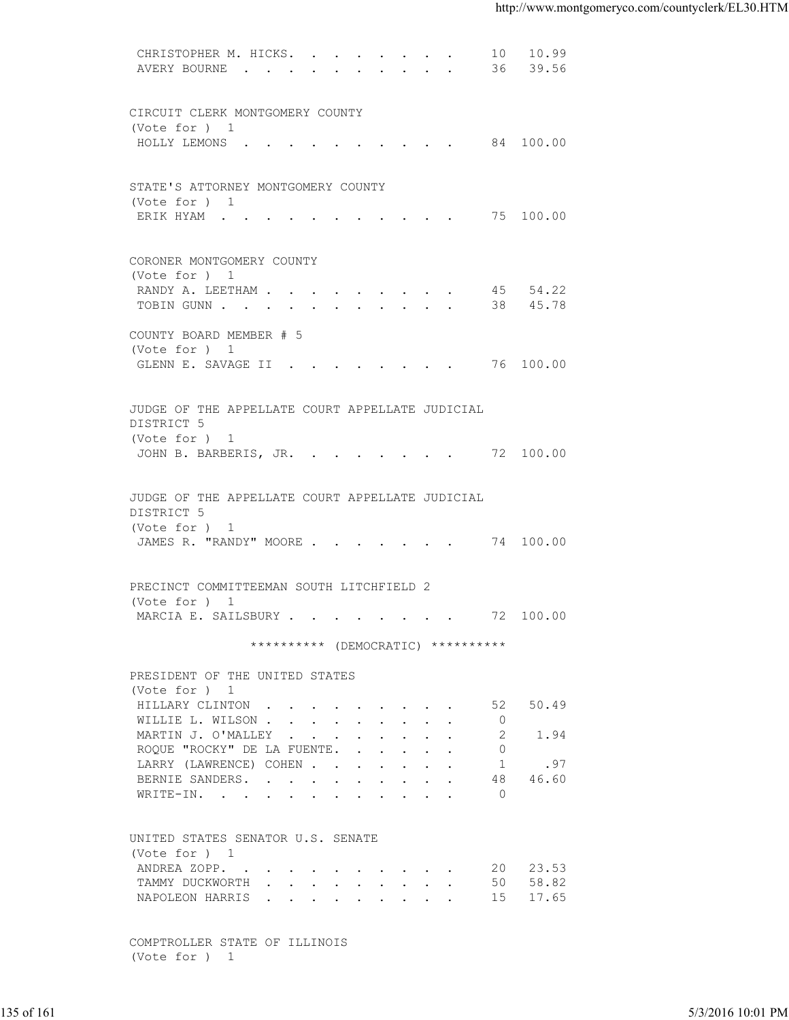| AVERY BOURNE 36 39.56<br>CIRCUIT CLERK MONTGOMERY COUNTY<br>(Vote for ) 1<br>HOLLY LEMONS 84 100.00<br>STATE'S ATTORNEY MONTGOMERY COUNTY<br>(Vote for ) 1<br>ERIK HYAM 75 100.00<br>CORONER MONTGOMERY COUNTY<br>(Vote for ) 1<br>RANDY A. LEETHAM 45 54.22<br>TOBIN GUNN 38 45.78<br>COUNTY BOARD MEMBER # 5<br>(Vote for ) 1<br>GLENN E. SAVAGE II 76 100.00<br>JUDGE OF THE APPELLATE COURT APPELLATE JUDICIAL<br>DISTRICT 5<br>(Vote for ) 1<br>JOHN B. BARBERIS, JR. 72 100.00<br>JUDGE OF THE APPELLATE COURT APPELLATE JUDICIAL<br>DISTRICT 5<br>(Vote for ) 1<br>JAMES R. "RANDY" MOORE 74 100.00<br>PRECINCT COMMITTEEMAN SOUTH LITCHFIELD 2<br>(Vote for ) 1<br>MARCIA E. SAILSBURY 72 100.00<br>********** (DEMOCRATIC) **********<br>PRESIDENT OF THE UNITED STATES<br>(Vote for ) 1<br>HILLARY CLINTON 52 50.49<br>WILLIE L. WILSON<br>$\overline{0}$<br>$\overline{\phantom{0}}^2$<br>1.94<br>MARTIN J. O'MALLEY<br>ROQUE "ROCKY" DE LA FUENTE.<br>$\circ$<br>LARRY (LAWRENCE) COHEN<br>1.97<br>48 46.60<br>BERNIE SANDERS.<br>$\overline{0}$<br>WRITE-IN.<br>UNITED STATES SENATOR U.S. SENATE<br>(Vote for ) 1<br>ANDREA ZOPP. 20 23.53<br>TAMMY DUCKWORTH 50 58.82<br>NAPOLEON HARRIS 15 17.65<br>COMPTROLLER STATE OF ILLINOIS<br>(Vote for ) 1 |                   |
|--------------------------------------------------------------------------------------------------------------------------------------------------------------------------------------------------------------------------------------------------------------------------------------------------------------------------------------------------------------------------------------------------------------------------------------------------------------------------------------------------------------------------------------------------------------------------------------------------------------------------------------------------------------------------------------------------------------------------------------------------------------------------------------------------------------------------------------------------------------------------------------------------------------------------------------------------------------------------------------------------------------------------------------------------------------------------------------------------------------------------------------------------------------------------------------------------------------------------------------------------------------------|-------------------|
|                                                                                                                                                                                                                                                                                                                                                                                                                                                                                                                                                                                                                                                                                                                                                                                                                                                                                                                                                                                                                                                                                                                                                                                                                                                                    |                   |
|                                                                                                                                                                                                                                                                                                                                                                                                                                                                                                                                                                                                                                                                                                                                                                                                                                                                                                                                                                                                                                                                                                                                                                                                                                                                    |                   |
|                                                                                                                                                                                                                                                                                                                                                                                                                                                                                                                                                                                                                                                                                                                                                                                                                                                                                                                                                                                                                                                                                                                                                                                                                                                                    |                   |
|                                                                                                                                                                                                                                                                                                                                                                                                                                                                                                                                                                                                                                                                                                                                                                                                                                                                                                                                                                                                                                                                                                                                                                                                                                                                    |                   |
|                                                                                                                                                                                                                                                                                                                                                                                                                                                                                                                                                                                                                                                                                                                                                                                                                                                                                                                                                                                                                                                                                                                                                                                                                                                                    |                   |
|                                                                                                                                                                                                                                                                                                                                                                                                                                                                                                                                                                                                                                                                                                                                                                                                                                                                                                                                                                                                                                                                                                                                                                                                                                                                    |                   |
|                                                                                                                                                                                                                                                                                                                                                                                                                                                                                                                                                                                                                                                                                                                                                                                                                                                                                                                                                                                                                                                                                                                                                                                                                                                                    |                   |
|                                                                                                                                                                                                                                                                                                                                                                                                                                                                                                                                                                                                                                                                                                                                                                                                                                                                                                                                                                                                                                                                                                                                                                                                                                                                    |                   |
|                                                                                                                                                                                                                                                                                                                                                                                                                                                                                                                                                                                                                                                                                                                                                                                                                                                                                                                                                                                                                                                                                                                                                                                                                                                                    |                   |
|                                                                                                                                                                                                                                                                                                                                                                                                                                                                                                                                                                                                                                                                                                                                                                                                                                                                                                                                                                                                                                                                                                                                                                                                                                                                    |                   |
|                                                                                                                                                                                                                                                                                                                                                                                                                                                                                                                                                                                                                                                                                                                                                                                                                                                                                                                                                                                                                                                                                                                                                                                                                                                                    |                   |
|                                                                                                                                                                                                                                                                                                                                                                                                                                                                                                                                                                                                                                                                                                                                                                                                                                                                                                                                                                                                                                                                                                                                                                                                                                                                    |                   |
|                                                                                                                                                                                                                                                                                                                                                                                                                                                                                                                                                                                                                                                                                                                                                                                                                                                                                                                                                                                                                                                                                                                                                                                                                                                                    |                   |
|                                                                                                                                                                                                                                                                                                                                                                                                                                                                                                                                                                                                                                                                                                                                                                                                                                                                                                                                                                                                                                                                                                                                                                                                                                                                    |                   |
|                                                                                                                                                                                                                                                                                                                                                                                                                                                                                                                                                                                                                                                                                                                                                                                                                                                                                                                                                                                                                                                                                                                                                                                                                                                                    |                   |
|                                                                                                                                                                                                                                                                                                                                                                                                                                                                                                                                                                                                                                                                                                                                                                                                                                                                                                                                                                                                                                                                                                                                                                                                                                                                    |                   |
|                                                                                                                                                                                                                                                                                                                                                                                                                                                                                                                                                                                                                                                                                                                                                                                                                                                                                                                                                                                                                                                                                                                                                                                                                                                                    |                   |
|                                                                                                                                                                                                                                                                                                                                                                                                                                                                                                                                                                                                                                                                                                                                                                                                                                                                                                                                                                                                                                                                                                                                                                                                                                                                    |                   |
|                                                                                                                                                                                                                                                                                                                                                                                                                                                                                                                                                                                                                                                                                                                                                                                                                                                                                                                                                                                                                                                                                                                                                                                                                                                                    |                   |
|                                                                                                                                                                                                                                                                                                                                                                                                                                                                                                                                                                                                                                                                                                                                                                                                                                                                                                                                                                                                                                                                                                                                                                                                                                                                    |                   |
|                                                                                                                                                                                                                                                                                                                                                                                                                                                                                                                                                                                                                                                                                                                                                                                                                                                                                                                                                                                                                                                                                                                                                                                                                                                                    |                   |
|                                                                                                                                                                                                                                                                                                                                                                                                                                                                                                                                                                                                                                                                                                                                                                                                                                                                                                                                                                                                                                                                                                                                                                                                                                                                    |                   |
|                                                                                                                                                                                                                                                                                                                                                                                                                                                                                                                                                                                                                                                                                                                                                                                                                                                                                                                                                                                                                                                                                                                                                                                                                                                                    |                   |
|                                                                                                                                                                                                                                                                                                                                                                                                                                                                                                                                                                                                                                                                                                                                                                                                                                                                                                                                                                                                                                                                                                                                                                                                                                                                    |                   |
|                                                                                                                                                                                                                                                                                                                                                                                                                                                                                                                                                                                                                                                                                                                                                                                                                                                                                                                                                                                                                                                                                                                                                                                                                                                                    |                   |
|                                                                                                                                                                                                                                                                                                                                                                                                                                                                                                                                                                                                                                                                                                                                                                                                                                                                                                                                                                                                                                                                                                                                                                                                                                                                    |                   |
|                                                                                                                                                                                                                                                                                                                                                                                                                                                                                                                                                                                                                                                                                                                                                                                                                                                                                                                                                                                                                                                                                                                                                                                                                                                                    |                   |
|                                                                                                                                                                                                                                                                                                                                                                                                                                                                                                                                                                                                                                                                                                                                                                                                                                                                                                                                                                                                                                                                                                                                                                                                                                                                    |                   |
|                                                                                                                                                                                                                                                                                                                                                                                                                                                                                                                                                                                                                                                                                                                                                                                                                                                                                                                                                                                                                                                                                                                                                                                                                                                                    |                   |
|                                                                                                                                                                                                                                                                                                                                                                                                                                                                                                                                                                                                                                                                                                                                                                                                                                                                                                                                                                                                                                                                                                                                                                                                                                                                    |                   |
|                                                                                                                                                                                                                                                                                                                                                                                                                                                                                                                                                                                                                                                                                                                                                                                                                                                                                                                                                                                                                                                                                                                                                                                                                                                                    |                   |
|                                                                                                                                                                                                                                                                                                                                                                                                                                                                                                                                                                                                                                                                                                                                                                                                                                                                                                                                                                                                                                                                                                                                                                                                                                                                    |                   |
|                                                                                                                                                                                                                                                                                                                                                                                                                                                                                                                                                                                                                                                                                                                                                                                                                                                                                                                                                                                                                                                                                                                                                                                                                                                                    |                   |
|                                                                                                                                                                                                                                                                                                                                                                                                                                                                                                                                                                                                                                                                                                                                                                                                                                                                                                                                                                                                                                                                                                                                                                                                                                                                    |                   |
|                                                                                                                                                                                                                                                                                                                                                                                                                                                                                                                                                                                                                                                                                                                                                                                                                                                                                                                                                                                                                                                                                                                                                                                                                                                                    |                   |
|                                                                                                                                                                                                                                                                                                                                                                                                                                                                                                                                                                                                                                                                                                                                                                                                                                                                                                                                                                                                                                                                                                                                                                                                                                                                    |                   |
|                                                                                                                                                                                                                                                                                                                                                                                                                                                                                                                                                                                                                                                                                                                                                                                                                                                                                                                                                                                                                                                                                                                                                                                                                                                                    |                   |
|                                                                                                                                                                                                                                                                                                                                                                                                                                                                                                                                                                                                                                                                                                                                                                                                                                                                                                                                                                                                                                                                                                                                                                                                                                                                    |                   |
|                                                                                                                                                                                                                                                                                                                                                                                                                                                                                                                                                                                                                                                                                                                                                                                                                                                                                                                                                                                                                                                                                                                                                                                                                                                                    |                   |
|                                                                                                                                                                                                                                                                                                                                                                                                                                                                                                                                                                                                                                                                                                                                                                                                                                                                                                                                                                                                                                                                                                                                                                                                                                                                    |                   |
|                                                                                                                                                                                                                                                                                                                                                                                                                                                                                                                                                                                                                                                                                                                                                                                                                                                                                                                                                                                                                                                                                                                                                                                                                                                                    |                   |
|                                                                                                                                                                                                                                                                                                                                                                                                                                                                                                                                                                                                                                                                                                                                                                                                                                                                                                                                                                                                                                                                                                                                                                                                                                                                    |                   |
| 135 of 161                                                                                                                                                                                                                                                                                                                                                                                                                                                                                                                                                                                                                                                                                                                                                                                                                                                                                                                                                                                                                                                                                                                                                                                                                                                         | 5/3/2016 10:01 PM |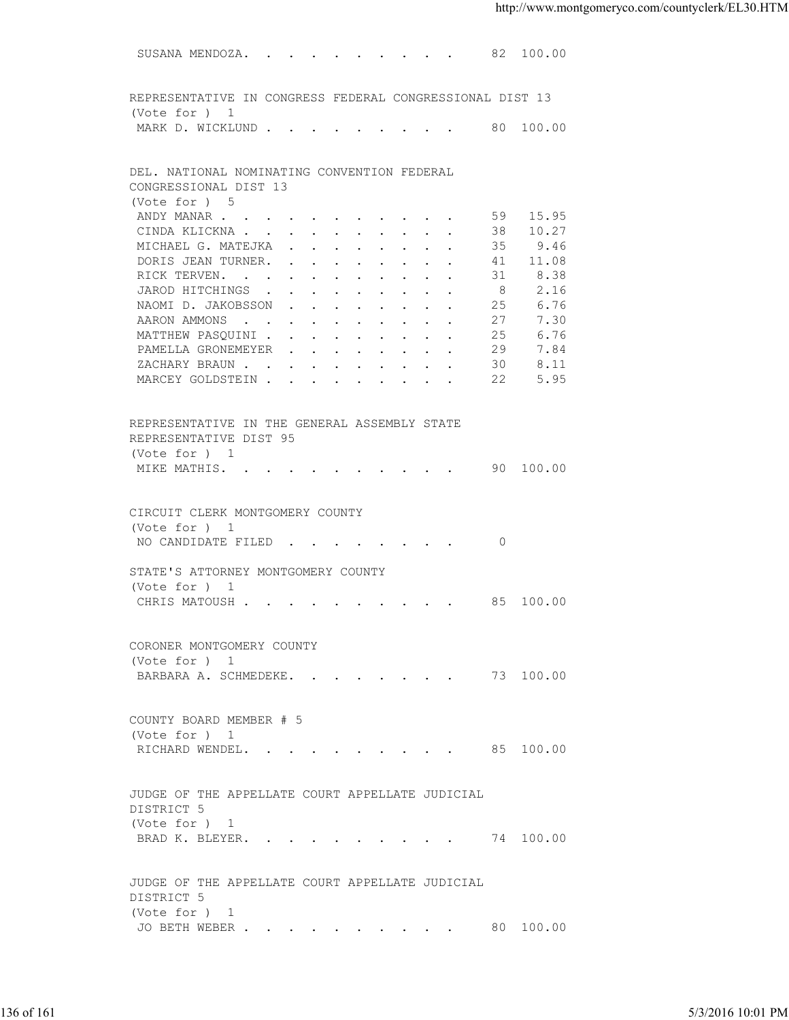SUSANA MENDOZA. . . . . . . . . . 82 100.00 REPRESENTATIVE IN CONGRESS FEDERAL CONGRESSIONAL DIST 13 (Vote for ) 1 MARK D. WICKLUND . . . . . . . . . . 80 100.00 DEL. NATIONAL NOMINATING CONVENTION FEDERAL CONGRESSIONAL DIST 13 (Vote for ) 5<br>ANDY MANAR . . . . . . . . . . . 59<br>CINDA KLICKNA . . . . . . . . . 38 ANDY MANAR . . . . . . . . . . . . 59 15.95 CINDA KLICKNA . . . . . . . . . . 38 10.27 MICHAEL G. MATEJKA . . . . . . . . 35 9.46 DORIS JEAN TURNER. . . . . . . . . 41 11.08 RICK TERVEN. . . . . . . . . . . 31 8.38<br>JAROD HITCHINGS . . . . . . . . . 8 2.16 JAROD HITCHINGS . . . . . . . . . 8 2.16<br>NAOMI D. JAKOBSSON . . . . . . . . 25 6.76<br>AARON AMMONS . . . . . . . . . . 27 7.30 NAOMI D. JAKOBSSON . . . . . . . . AARON AMMONS . . . . . . . . . . MATTHEW PASQUINI . . . . . . . . . 25 6.76 PAMELLA GRONEMEYER . . . . . . . 29 7.84 XACHARY BRAUN . . . . . . . . . . . 30 8.11<br>MARCEY GOLDSTEIN . . . . . . . . . 22 5.95 MARCEY GOLDSTEIN . . . . . . . . . REPRESENTATIVE IN THE GENERAL ASSEMBLY STATE REPRESENTATIVE DIST 95 (Vote for ) 1 MIKE MATHIS. . . . . . . . . . . 90 100.00 CIRCUIT CLERK MONTGOMERY COUNTY (Vote for ) 1 NO CANDIDATE FILED . . . . . . . . 0 STATE'S ATTORNEY MONTGOMERY COUNTY (Vote for ) 1 CHRIS MATOUSH . . . . . . . . . . 85 100.00 CORONER MONTGOMERY COUNTY (Vote for ) 1 BARBARA A. SCHMEDEKE. . . . . . . . 73 100.00 COUNTY BOARD MEMBER # 5 (Vote for ) 1 RICHARD WENDEL. . . . . . . . . . 85 100.00 JUDGE OF THE APPELLATE COURT APPELLATE JUDICIAL DISTRICT 5 (Vote for ) 1 BRAD K. BLEYER. . . . . . . . . . 74 100.00 JUDGE OF THE APPELLATE COURT APPELLATE JUDICIAL DISTRICT 5 (Vote for ) 1 JO BETH WEBER . . . . . . . . . . 80 100.00 136 of 161 5/3/2016 10:01 PM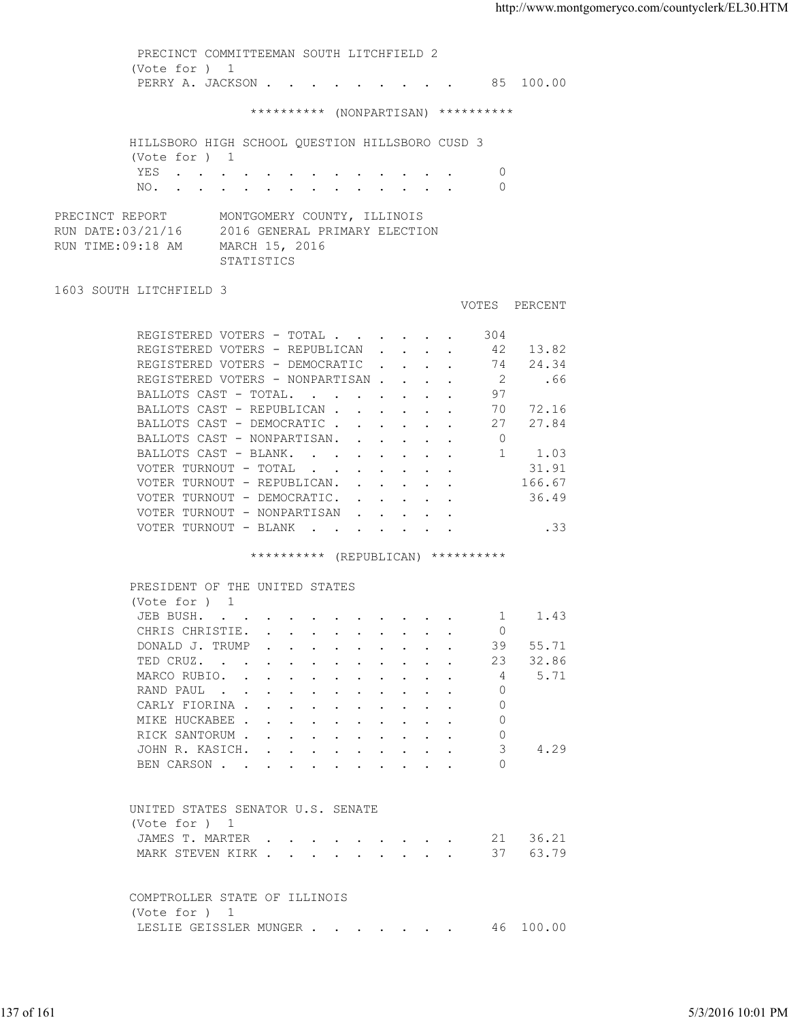(Vote for ) 1 PERRY A. JACKSON . . . . . . . . . 85 100.00 \*\*\*\*\*\*\*\*\*\* (NONPARTISAN) \*\*\*\*\*\*\*\*\*\* HILLSBORO HIGH SCHOOL QUESTION HILLSBORO CUSD 3 (Vote for ) 1 YES . . . . . . . . . . . . . 0 NO. . . . . . . . . . . . . . 0 PRECINCT REPORT MONTGOMERY COUNTY, ILLINOIS RUN DATE:03/21/16 2016 GENERAL PRIMARY ELECTION RUN TIME:09:18 AM MARCH 15, 2016 STATISTICS 1603 SOUTH LITCHFIELD 3 VOTES PERCENT REGISTERED VOTERS - TOTAL . . . . . . 304 REGISTERED VOTERS - REPUBLICAN . . . . 42 13.82<br>REGISTERED VOTERS - DEMOCRATIC . . . . 74 24.34 REGISTERED VOTERS - DEMOCRATIC . . . . 74 24.34 REGISTERED VOTERS - NONPARTISAN . . . . 2 . . 66 BALLOTS CAST - TOTAL. . . . . . . . 97 BALLOTS CAST - REPUBLICAN . . . . . . 70 72.16 BALLOTS CAST - DEMOCRATIC . . . . . . 27 27.84 BALLOTS CAST - NONPARTISAN. . . . . . 0<br>BALLOTS CAST - BLANK. . . . . . . . 1 1.03 BALLOTS CAST - BLANK. . . . . . . . . 1 1.03<br>VOTER TURNOUT - TOTAL . . . . . . . . 31.91 VOTER TURNOUT - TOTAL . . . . . . . . 31.91<br>VOTER TURNOUT - REPUBLICAN. . . . . . 166.67 VOTER TURNOUT - REPUBLICAN. . . . . . 166.67<br>VOTER TURNOUT - DEMOCRATIC. . . . . . . 36.49 VOTER TURNOUT - DEMOCRATIC. . . . . . VOTER TURNOUT - NONPARTISAN . . . . . VOTER TURNOUT - BLANK . . . . . . . . . . . . 33 \*\*\*\*\*\*\*\*\*\* (REPUBLICAN) \*\*\*\*\*\*\*\*\*\* PRESIDENT OF THE UNITED STATES (Vote for ) 1<br>JEB BUSH. . . JEB BUSH. . . . . . . . . . . . 1 1.43 CHRIS CHRISTIE. . . . . . . . . . 0 DONALD J. TRUMP . . . . . . . . . . 39 55.71<br>TED CRUZ. . . . . . . . . . . . 23 32.86 TED CRUZ. . . . . . . . . . . . MARCO RUBIO. . . . . . . . . . . 4 5.71 RAND PAUL . . . . . . . . . . . 0 CARLY FIORINA . . . . . . . . . . . 0 MIKE HUCKABEE . . . . . . . . . 0 RICK SANTORUM . . . . . . . . . . . 0<br>JOHN R. KASICH. . . . . . . . . . 3 JOHN R. KASICH. . . . . . . . . . 3 4.29 BEN CARSON . . . . . . . . . . . 0 UNITED STATES SENATOR U.S. SENATE (Vote for ) 1 JAMES T. MARTER . . . . . . . . . 21 36.21 MARK STEVEN KIRK . . . . . . . . . . 37 63.79 COMPTROLLER STATE OF ILLINOIS (Vote for ) 1 LESLIE GEISSLER MUNGER . . . . . . 46 100.00 137 of 161 5/3/2016 10:01 PM

PRECINCT COMMITTEEMAN SOUTH LITCHFIELD 2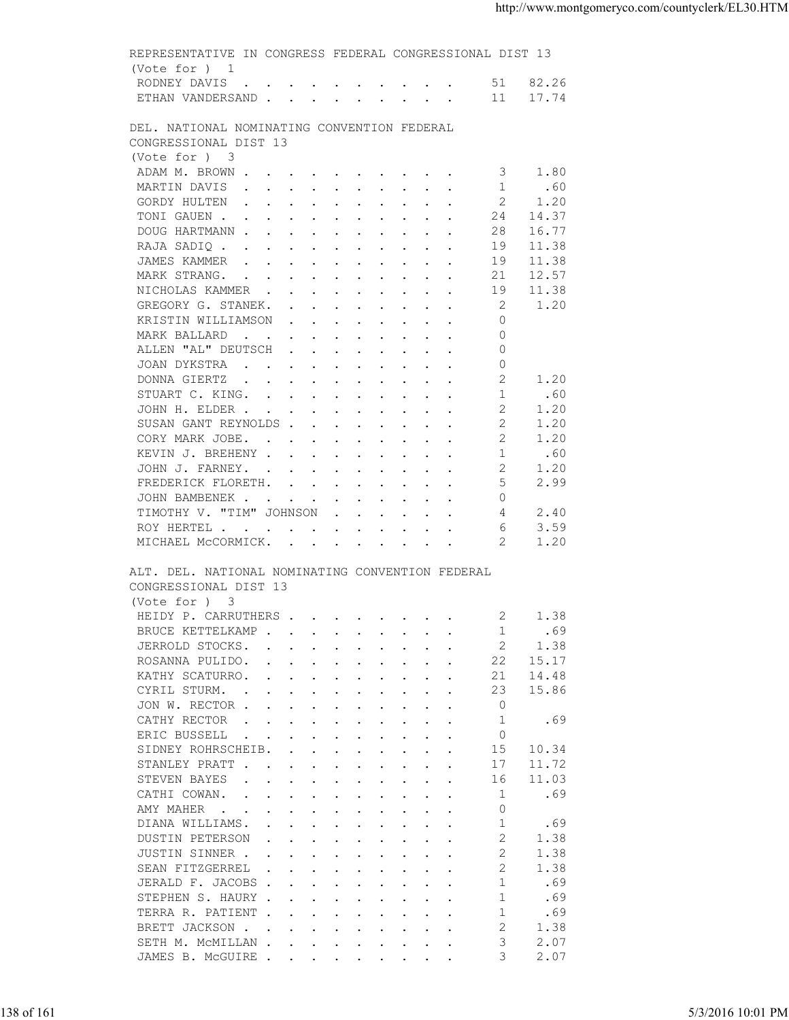| (Vote for ) 1                                                                                                                                                                                                                                                      |  |
|--------------------------------------------------------------------------------------------------------------------------------------------------------------------------------------------------------------------------------------------------------------------|--|
|                                                                                                                                                                                                                                                                    |  |
| RODNEY DAVIS 51 82.26                                                                                                                                                                                                                                              |  |
| ETHAN VANDERSAND 11 17.74                                                                                                                                                                                                                                          |  |
| DEL. NATIONAL NOMINATING CONVENTION FEDERAL<br>CONGRESSIONAL DIST 13                                                                                                                                                                                               |  |
| (Vote for ) 3                                                                                                                                                                                                                                                      |  |
| ADAM M. BROWN<br>3 1.80                                                                                                                                                                                                                                            |  |
| MARTIN DAVIS 1 .60                                                                                                                                                                                                                                                 |  |
| 2<br>GORDY HULTEN<br>1.20                                                                                                                                                                                                                                          |  |
| TONI GAUEN<br>24 14.37                                                                                                                                                                                                                                             |  |
| DOUG HARTMANN<br>28<br>16.77                                                                                                                                                                                                                                       |  |
| RAJA SADIQ<br>19<br>11.38                                                                                                                                                                                                                                          |  |
| JAMES KAMMER<br>11.38<br>19<br>12.57<br>21                                                                                                                                                                                                                         |  |
| MARK STRANG.<br>11.38<br>NICHOLAS KAMMER<br>19                                                                                                                                                                                                                     |  |
| 1.20<br>2<br>GREGORY G. STANEK.                                                                                                                                                                                                                                    |  |
| KRISTIN WILLIAMSON<br>$\Omega$                                                                                                                                                                                                                                     |  |
| $\Omega$<br>MARK BALLARD                                                                                                                                                                                                                                           |  |
| ALLEN "AL" DEUTSCH<br>$\Omega$                                                                                                                                                                                                                                     |  |
| JOAN DYKSTRA<br>$\Omega$                                                                                                                                                                                                                                           |  |
| 2<br>DONNA GIERTZ<br>1.20                                                                                                                                                                                                                                          |  |
| 1<br>STUART C. KING.<br>.60                                                                                                                                                                                                                                        |  |
| 2<br>JOHN H. ELDER<br>1.20                                                                                                                                                                                                                                         |  |
| SUSAN GANT REYNOLDS<br>2<br>1.20                                                                                                                                                                                                                                   |  |
| -2<br>1.20<br>CORY MARK JOBE.                                                                                                                                                                                                                                      |  |
| KEVIN J. BREHENY<br>.60<br>1                                                                                                                                                                                                                                       |  |
| JOHN J. FARNEY.<br>-2<br>1.20<br>5<br>2.99                                                                                                                                                                                                                         |  |
| FREDERICK FLORETH.<br>$\Omega$<br>JOHN BAMBENEK                                                                                                                                                                                                                    |  |
| TIMOTHY V. "TIM" JOHNSON<br>4<br>2.40                                                                                                                                                                                                                              |  |
| ROY HERTEL<br>6<br>3.59                                                                                                                                                                                                                                            |  |
|                                                                                                                                                                                                                                                                    |  |
| MICHAEL MCCORMICK.<br>2<br>1.20<br>ALT. DEL. NATIONAL NOMINATING CONVENTION FEDERAL                                                                                                                                                                                |  |
| CONGRESSIONAL DIST 13<br>(Vote for ) 3<br>1.38<br>$\sim$ 2                                                                                                                                                                                                         |  |
| HEIDY P. CARRUTHERS<br>BRUCE KETTELKAMP<br>.69<br>1                                                                                                                                                                                                                |  |
| 1.38<br>JERROLD STOCKS.<br>2<br>$\mathbf{r}$ , $\mathbf{r}$ , $\mathbf{r}$ , $\mathbf{r}$ , $\mathbf{r}$ , $\mathbf{r}$ , $\mathbf{r}$                                                                                                                             |  |
| ROSANNA PULIDO.<br>22<br>15.17                                                                                                                                                                                                                                     |  |
| KATHY SCATURRO.<br>21<br>14.48<br>$\mathbf{r}$ , and $\mathbf{r}$ , and $\mathbf{r}$ , and $\mathbf{r}$ , and $\mathbf{r}$                                                                                                                                         |  |
| 15.86<br>CYRIL STURM.<br>23                                                                                                                                                                                                                                        |  |
| JON W. RECTOR<br>$\Omega$                                                                                                                                                                                                                                          |  |
| CATHY RECTOR<br>-1<br>.69<br>$\mathbf{a}$ and $\mathbf{a}$ are a set of the set of the set of the set of the set of the set of the set of the set of the set of the set of the set of the set of the set of the set of the set of the set of the set of the set of |  |
| $\mathbf 0$<br>ERIC BUSSELL<br>$\mathbf{r}$ , $\mathbf{r}$ , $\mathbf{r}$ , $\mathbf{r}$ , $\mathbf{r}$ , $\mathbf{r}$ , $\mathbf{r}$ , $\mathbf{r}$                                                                                                               |  |
| 10.34<br>SIDNEY ROHRSCHEIB.<br>15<br>$\mathbf{r}$ , $\mathbf{r}$ , $\mathbf{r}$ , $\mathbf{r}$ , $\mathbf{r}$ , $\mathbf{r}$ , $\mathbf{r}$<br>17                                                                                                                  |  |
| STANLEY PRATT<br>11.72<br>STEVEN BAYES<br>11.03<br>16<br>$\mathbf{r}$ , and $\mathbf{r}$ , and $\mathbf{r}$ , and $\mathbf{r}$ , and $\mathbf{r}$                                                                                                                  |  |
| CATHI COWAN.<br>.69<br>-1<br>the contract of the contract of the contract of the contract of the contract of the contract of the contract of                                                                                                                       |  |
| AMY MAHER<br>0                                                                                                                                                                                                                                                     |  |
| -1<br>.69<br>DIANA WILLIAMS.<br>$\mathbf{r}$ , $\mathbf{r}$ , $\mathbf{r}$ , $\mathbf{r}$ , $\mathbf{r}$ , $\mathbf{r}$ , $\mathbf{r}$                                                                                                                             |  |
| 2<br>1.38<br>DUSTIN PETERSON<br>$\mathbf{r}$ , and $\mathbf{r}$ , and $\mathbf{r}$ , and $\mathbf{r}$ , and $\mathbf{r}$                                                                                                                                           |  |
| 2<br>1.38<br>JUSTIN SINNER.<br>$\mathbf{r}$ , and $\mathbf{r}$ , and $\mathbf{r}$ , and $\mathbf{r}$ , and $\mathbf{r}$                                                                                                                                            |  |
| 2<br>SEAN FITZGERREL<br>1.38<br>$\mathbf{r}$ , and $\mathbf{r}$ , and $\mathbf{r}$ , and $\mathbf{r}$                                                                                                                                                              |  |
| JERALD F. JACOBS<br>$\overline{1}$<br>.69                                                                                                                                                                                                                          |  |
| STEPHEN S. HAURY<br>-1<br>.69                                                                                                                                                                                                                                      |  |
| -1<br>TERRA R. PATIENT<br>.69                                                                                                                                                                                                                                      |  |
| 2<br>BRETT JACKSON<br>1.38                                                                                                                                                                                                                                         |  |
| 3<br>2.07<br>SETH M. MCMILLAN<br>3<br>2.07<br>JAMES B. MCGUIRE                                                                                                                                                                                                     |  |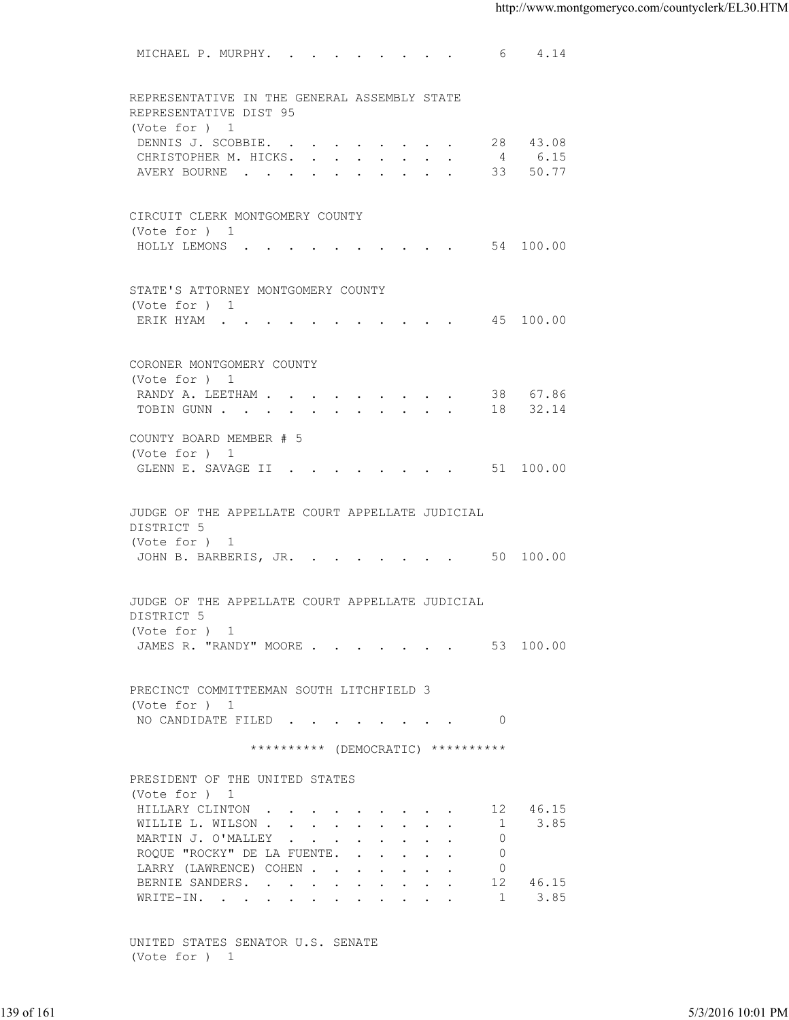|            | MICHAEL P. MURPHY. 6 4.14                                              |                |          |      |                   |
|------------|------------------------------------------------------------------------|----------------|----------|------|-------------------|
|            |                                                                        |                |          |      |                   |
|            | REPRESENTATIVE IN THE GENERAL ASSEMBLY STATE<br>REPRESENTATIVE DIST 95 |                |          |      |                   |
|            | (Vote for ) 1<br>DENNIS J. SCOBBIE.                                    |                | 28 43.08 |      |                   |
|            | CHRISTOPHER M. HICKS. 4 6.15                                           |                |          |      |                   |
|            | AVERY BOURNE 33 50.77                                                  |                |          |      |                   |
|            |                                                                        |                |          |      |                   |
|            | CIRCUIT CLERK MONTGOMERY COUNTY                                        |                |          |      |                   |
|            | (Vote for ) 1<br>HOLLY LEMONS 54 100.00                                |                |          |      |                   |
|            |                                                                        |                |          |      |                   |
|            | STATE'S ATTORNEY MONTGOMERY COUNTY                                     |                |          |      |                   |
|            | (Vote for ) 1                                                          |                |          |      |                   |
|            | ERIK HYAM 45 100.00                                                    |                |          |      |                   |
|            | CORONER MONTGOMERY COUNTY                                              |                |          |      |                   |
|            | (Vote for ) 1                                                          |                |          |      |                   |
|            | RANDY A. LEETHAM 38 67.86                                              |                |          |      |                   |
|            | TOBIN GUNN 18 32.14                                                    |                |          |      |                   |
|            | COUNTY BOARD MEMBER # 5<br>(Vote for ) 1                               |                |          |      |                   |
|            | GLENN E. SAVAGE II 51 100.00                                           |                |          |      |                   |
|            |                                                                        |                |          |      |                   |
|            | JUDGE OF THE APPELLATE COURT APPELLATE JUDICIAL                        |                |          |      |                   |
|            | DISTRICT 5                                                             |                |          |      |                   |
|            | (Vote for ) 1<br>JOHN B. BARBERIS, JR. 50 100.00                       |                |          |      |                   |
|            |                                                                        |                |          |      |                   |
|            | JUDGE OF THE APPELLATE COURT APPELLATE JUDICIAL                        |                |          |      |                   |
|            | DISTRICT 5                                                             |                |          |      |                   |
|            | (Vote for ) 1                                                          |                |          |      |                   |
|            | JAMES R. "RANDY" MOORE 53 100.00                                       |                |          |      |                   |
|            |                                                                        |                |          |      |                   |
|            | PRECINCT COMMITTEEMAN SOUTH LITCHFIELD 3                               |                |          |      |                   |
|            | (Vote for ) 1<br>NO CANDIDATE FILED 0                                  |                |          |      |                   |
|            |                                                                        |                |          |      |                   |
|            | ********** (DEMOCRATIC) **********                                     |                |          |      |                   |
|            | PRESIDENT OF THE UNITED STATES                                         |                |          |      |                   |
|            | (Vote for ) 1<br>HILLARY CLINTON                                       |                | 12 46.15 |      |                   |
|            | WILLIE L. WILSON                                                       | $\overline{1}$ |          | 3.85 |                   |
|            | MARTIN J. O'MALLEY                                                     | $\circ$        |          |      |                   |
|            | ROQUE "ROCKY" DE LA FUENTE.                                            | $\overline{0}$ |          |      |                   |
|            | LARRY (LAWRENCE) COHEN                                                 | $\circ$        |          |      |                   |
|            | BERNIE SANDERS.<br>WRITE-IN.                                           | 12<br>1        | 46.15    | 3.85 |                   |
|            |                                                                        |                |          |      |                   |
|            | UNITED STATES SENATOR U.S. SENATE                                      |                |          |      |                   |
|            | (Vote for ) 1                                                          |                |          |      |                   |
|            |                                                                        |                |          |      |                   |
| 139 of 161 |                                                                        |                |          |      | 5/3/2016 10:01 PM |
|            |                                                                        |                |          |      |                   |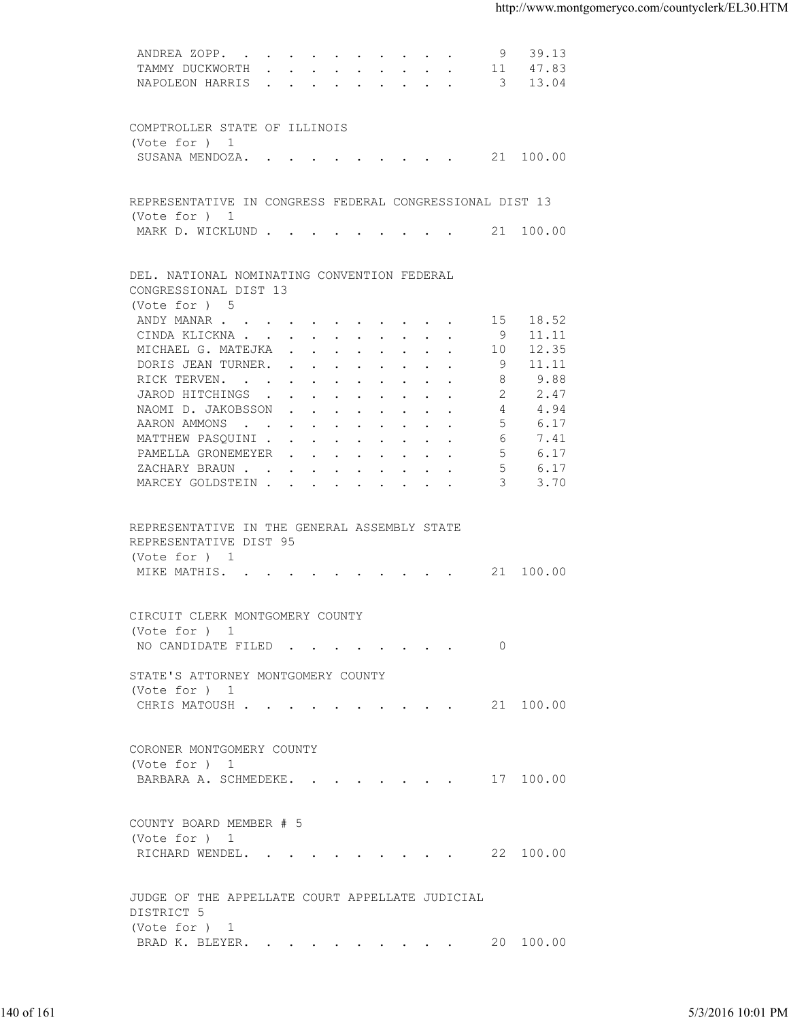| TAMMY DUCKWORTH 11 47.83<br>NAPOLEON HARRIS 3 13.04<br>COMPTROLLER STATE OF ILLINOIS<br>(Vote for ) 1<br>SUSANA MENDOZA. 21 100.00<br>REPRESENTATIVE IN CONGRESS FEDERAL CONGRESSIONAL DIST 13<br>(Vote for ) 1<br>MARK D. WICKLUND 21 100.00<br>DEL. NATIONAL NOMINATING CONVENTION FEDERAL<br>CONGRESSIONAL DIST 13<br>(Vote for ) 5<br>15 18.52<br>ANDY MANAR<br>CINDA KLICKNA<br>9 11.11<br>MICHAEL G. MATEJKA<br>12.35<br>10<br>11.11<br>DORIS JEAN TURNER.<br>- 9<br>9.88<br>RICK TERVEN.<br>8<br>JAROD HITCHINGS<br>2.47<br>2<br>NAOMI D. JAKOBSSON<br>$\overline{4}$<br>4.94<br>5<br>AARON AMMONS<br>6.17<br>MATTHEW PASQUINI<br>6<br>7.41<br>.5<br>PAMELLA GRONEMEYER<br>6.17<br>5<br>6.17<br>ZACHARY BRAUN.<br>MARCEY GOLDSTEIN<br>$\mathcal{E}$<br>3.70<br>REPRESENTATIVE IN THE GENERAL ASSEMBLY STATE<br>REPRESENTATIVE DIST 95<br>(Vote for ) 1<br>MIKE MATHIS. 21 100.00<br>CIRCUIT CLERK MONTGOMERY COUNTY<br>(Vote for ) 1<br>NO CANDIDATE FILED 0<br>STATE'S ATTORNEY MONTGOMERY COUNTY<br>(Vote for ) 1<br>CHRIS MATOUSH 21 100.00<br>CORONER MONTGOMERY COUNTY<br>(Vote for ) 1<br>BARBARA A. SCHMEDEKE. 17 100.00<br>COUNTY BOARD MEMBER # 5<br>(Vote for ) 1<br>RICHARD WENDEL. 22 100.00<br>JUDGE OF THE APPELLATE COURT APPELLATE JUDICIAL<br>DISTRICT 5<br>(Vote for ) 1<br>BRAD K. BLEYER. 20 100.00<br>5/3/2016 10:01 PM | 140 of 161 |  |  |  |
|-----------------------------------------------------------------------------------------------------------------------------------------------------------------------------------------------------------------------------------------------------------------------------------------------------------------------------------------------------------------------------------------------------------------------------------------------------------------------------------------------------------------------------------------------------------------------------------------------------------------------------------------------------------------------------------------------------------------------------------------------------------------------------------------------------------------------------------------------------------------------------------------------------------------------------------------------------------------------------------------------------------------------------------------------------------------------------------------------------------------------------------------------------------------------------------------------------------------------------------------------------------------------------------------------------------------------------------------------------|------------|--|--|--|
|                                                                                                                                                                                                                                                                                                                                                                                                                                                                                                                                                                                                                                                                                                                                                                                                                                                                                                                                                                                                                                                                                                                                                                                                                                                                                                                                                     |            |  |  |  |
|                                                                                                                                                                                                                                                                                                                                                                                                                                                                                                                                                                                                                                                                                                                                                                                                                                                                                                                                                                                                                                                                                                                                                                                                                                                                                                                                                     |            |  |  |  |
|                                                                                                                                                                                                                                                                                                                                                                                                                                                                                                                                                                                                                                                                                                                                                                                                                                                                                                                                                                                                                                                                                                                                                                                                                                                                                                                                                     |            |  |  |  |
|                                                                                                                                                                                                                                                                                                                                                                                                                                                                                                                                                                                                                                                                                                                                                                                                                                                                                                                                                                                                                                                                                                                                                                                                                                                                                                                                                     |            |  |  |  |
|                                                                                                                                                                                                                                                                                                                                                                                                                                                                                                                                                                                                                                                                                                                                                                                                                                                                                                                                                                                                                                                                                                                                                                                                                                                                                                                                                     |            |  |  |  |
|                                                                                                                                                                                                                                                                                                                                                                                                                                                                                                                                                                                                                                                                                                                                                                                                                                                                                                                                                                                                                                                                                                                                                                                                                                                                                                                                                     |            |  |  |  |
|                                                                                                                                                                                                                                                                                                                                                                                                                                                                                                                                                                                                                                                                                                                                                                                                                                                                                                                                                                                                                                                                                                                                                                                                                                                                                                                                                     |            |  |  |  |
|                                                                                                                                                                                                                                                                                                                                                                                                                                                                                                                                                                                                                                                                                                                                                                                                                                                                                                                                                                                                                                                                                                                                                                                                                                                                                                                                                     |            |  |  |  |
|                                                                                                                                                                                                                                                                                                                                                                                                                                                                                                                                                                                                                                                                                                                                                                                                                                                                                                                                                                                                                                                                                                                                                                                                                                                                                                                                                     |            |  |  |  |
|                                                                                                                                                                                                                                                                                                                                                                                                                                                                                                                                                                                                                                                                                                                                                                                                                                                                                                                                                                                                                                                                                                                                                                                                                                                                                                                                                     |            |  |  |  |
|                                                                                                                                                                                                                                                                                                                                                                                                                                                                                                                                                                                                                                                                                                                                                                                                                                                                                                                                                                                                                                                                                                                                                                                                                                                                                                                                                     |            |  |  |  |
|                                                                                                                                                                                                                                                                                                                                                                                                                                                                                                                                                                                                                                                                                                                                                                                                                                                                                                                                                                                                                                                                                                                                                                                                                                                                                                                                                     |            |  |  |  |
|                                                                                                                                                                                                                                                                                                                                                                                                                                                                                                                                                                                                                                                                                                                                                                                                                                                                                                                                                                                                                                                                                                                                                                                                                                                                                                                                                     |            |  |  |  |
|                                                                                                                                                                                                                                                                                                                                                                                                                                                                                                                                                                                                                                                                                                                                                                                                                                                                                                                                                                                                                                                                                                                                                                                                                                                                                                                                                     |            |  |  |  |
|                                                                                                                                                                                                                                                                                                                                                                                                                                                                                                                                                                                                                                                                                                                                                                                                                                                                                                                                                                                                                                                                                                                                                                                                                                                                                                                                                     |            |  |  |  |
|                                                                                                                                                                                                                                                                                                                                                                                                                                                                                                                                                                                                                                                                                                                                                                                                                                                                                                                                                                                                                                                                                                                                                                                                                                                                                                                                                     |            |  |  |  |
|                                                                                                                                                                                                                                                                                                                                                                                                                                                                                                                                                                                                                                                                                                                                                                                                                                                                                                                                                                                                                                                                                                                                                                                                                                                                                                                                                     |            |  |  |  |
|                                                                                                                                                                                                                                                                                                                                                                                                                                                                                                                                                                                                                                                                                                                                                                                                                                                                                                                                                                                                                                                                                                                                                                                                                                                                                                                                                     |            |  |  |  |
|                                                                                                                                                                                                                                                                                                                                                                                                                                                                                                                                                                                                                                                                                                                                                                                                                                                                                                                                                                                                                                                                                                                                                                                                                                                                                                                                                     |            |  |  |  |
|                                                                                                                                                                                                                                                                                                                                                                                                                                                                                                                                                                                                                                                                                                                                                                                                                                                                                                                                                                                                                                                                                                                                                                                                                                                                                                                                                     |            |  |  |  |
|                                                                                                                                                                                                                                                                                                                                                                                                                                                                                                                                                                                                                                                                                                                                                                                                                                                                                                                                                                                                                                                                                                                                                                                                                                                                                                                                                     |            |  |  |  |
|                                                                                                                                                                                                                                                                                                                                                                                                                                                                                                                                                                                                                                                                                                                                                                                                                                                                                                                                                                                                                                                                                                                                                                                                                                                                                                                                                     |            |  |  |  |
|                                                                                                                                                                                                                                                                                                                                                                                                                                                                                                                                                                                                                                                                                                                                                                                                                                                                                                                                                                                                                                                                                                                                                                                                                                                                                                                                                     |            |  |  |  |
|                                                                                                                                                                                                                                                                                                                                                                                                                                                                                                                                                                                                                                                                                                                                                                                                                                                                                                                                                                                                                                                                                                                                                                                                                                                                                                                                                     |            |  |  |  |
|                                                                                                                                                                                                                                                                                                                                                                                                                                                                                                                                                                                                                                                                                                                                                                                                                                                                                                                                                                                                                                                                                                                                                                                                                                                                                                                                                     |            |  |  |  |
|                                                                                                                                                                                                                                                                                                                                                                                                                                                                                                                                                                                                                                                                                                                                                                                                                                                                                                                                                                                                                                                                                                                                                                                                                                                                                                                                                     |            |  |  |  |
|                                                                                                                                                                                                                                                                                                                                                                                                                                                                                                                                                                                                                                                                                                                                                                                                                                                                                                                                                                                                                                                                                                                                                                                                                                                                                                                                                     |            |  |  |  |
|                                                                                                                                                                                                                                                                                                                                                                                                                                                                                                                                                                                                                                                                                                                                                                                                                                                                                                                                                                                                                                                                                                                                                                                                                                                                                                                                                     |            |  |  |  |
|                                                                                                                                                                                                                                                                                                                                                                                                                                                                                                                                                                                                                                                                                                                                                                                                                                                                                                                                                                                                                                                                                                                                                                                                                                                                                                                                                     |            |  |  |  |
|                                                                                                                                                                                                                                                                                                                                                                                                                                                                                                                                                                                                                                                                                                                                                                                                                                                                                                                                                                                                                                                                                                                                                                                                                                                                                                                                                     |            |  |  |  |
|                                                                                                                                                                                                                                                                                                                                                                                                                                                                                                                                                                                                                                                                                                                                                                                                                                                                                                                                                                                                                                                                                                                                                                                                                                                                                                                                                     |            |  |  |  |
|                                                                                                                                                                                                                                                                                                                                                                                                                                                                                                                                                                                                                                                                                                                                                                                                                                                                                                                                                                                                                                                                                                                                                                                                                                                                                                                                                     |            |  |  |  |
|                                                                                                                                                                                                                                                                                                                                                                                                                                                                                                                                                                                                                                                                                                                                                                                                                                                                                                                                                                                                                                                                                                                                                                                                                                                                                                                                                     |            |  |  |  |
|                                                                                                                                                                                                                                                                                                                                                                                                                                                                                                                                                                                                                                                                                                                                                                                                                                                                                                                                                                                                                                                                                                                                                                                                                                                                                                                                                     |            |  |  |  |
|                                                                                                                                                                                                                                                                                                                                                                                                                                                                                                                                                                                                                                                                                                                                                                                                                                                                                                                                                                                                                                                                                                                                                                                                                                                                                                                                                     |            |  |  |  |
|                                                                                                                                                                                                                                                                                                                                                                                                                                                                                                                                                                                                                                                                                                                                                                                                                                                                                                                                                                                                                                                                                                                                                                                                                                                                                                                                                     |            |  |  |  |
|                                                                                                                                                                                                                                                                                                                                                                                                                                                                                                                                                                                                                                                                                                                                                                                                                                                                                                                                                                                                                                                                                                                                                                                                                                                                                                                                                     |            |  |  |  |
|                                                                                                                                                                                                                                                                                                                                                                                                                                                                                                                                                                                                                                                                                                                                                                                                                                                                                                                                                                                                                                                                                                                                                                                                                                                                                                                                                     |            |  |  |  |
|                                                                                                                                                                                                                                                                                                                                                                                                                                                                                                                                                                                                                                                                                                                                                                                                                                                                                                                                                                                                                                                                                                                                                                                                                                                                                                                                                     |            |  |  |  |
|                                                                                                                                                                                                                                                                                                                                                                                                                                                                                                                                                                                                                                                                                                                                                                                                                                                                                                                                                                                                                                                                                                                                                                                                                                                                                                                                                     |            |  |  |  |
|                                                                                                                                                                                                                                                                                                                                                                                                                                                                                                                                                                                                                                                                                                                                                                                                                                                                                                                                                                                                                                                                                                                                                                                                                                                                                                                                                     |            |  |  |  |
|                                                                                                                                                                                                                                                                                                                                                                                                                                                                                                                                                                                                                                                                                                                                                                                                                                                                                                                                                                                                                                                                                                                                                                                                                                                                                                                                                     |            |  |  |  |
|                                                                                                                                                                                                                                                                                                                                                                                                                                                                                                                                                                                                                                                                                                                                                                                                                                                                                                                                                                                                                                                                                                                                                                                                                                                                                                                                                     |            |  |  |  |
|                                                                                                                                                                                                                                                                                                                                                                                                                                                                                                                                                                                                                                                                                                                                                                                                                                                                                                                                                                                                                                                                                                                                                                                                                                                                                                                                                     |            |  |  |  |
|                                                                                                                                                                                                                                                                                                                                                                                                                                                                                                                                                                                                                                                                                                                                                                                                                                                                                                                                                                                                                                                                                                                                                                                                                                                                                                                                                     |            |  |  |  |
|                                                                                                                                                                                                                                                                                                                                                                                                                                                                                                                                                                                                                                                                                                                                                                                                                                                                                                                                                                                                                                                                                                                                                                                                                                                                                                                                                     |            |  |  |  |
|                                                                                                                                                                                                                                                                                                                                                                                                                                                                                                                                                                                                                                                                                                                                                                                                                                                                                                                                                                                                                                                                                                                                                                                                                                                                                                                                                     |            |  |  |  |
|                                                                                                                                                                                                                                                                                                                                                                                                                                                                                                                                                                                                                                                                                                                                                                                                                                                                                                                                                                                                                                                                                                                                                                                                                                                                                                                                                     |            |  |  |  |
|                                                                                                                                                                                                                                                                                                                                                                                                                                                                                                                                                                                                                                                                                                                                                                                                                                                                                                                                                                                                                                                                                                                                                                                                                                                                                                                                                     |            |  |  |  |
|                                                                                                                                                                                                                                                                                                                                                                                                                                                                                                                                                                                                                                                                                                                                                                                                                                                                                                                                                                                                                                                                                                                                                                                                                                                                                                                                                     |            |  |  |  |
|                                                                                                                                                                                                                                                                                                                                                                                                                                                                                                                                                                                                                                                                                                                                                                                                                                                                                                                                                                                                                                                                                                                                                                                                                                                                                                                                                     |            |  |  |  |
|                                                                                                                                                                                                                                                                                                                                                                                                                                                                                                                                                                                                                                                                                                                                                                                                                                                                                                                                                                                                                                                                                                                                                                                                                                                                                                                                                     |            |  |  |  |
|                                                                                                                                                                                                                                                                                                                                                                                                                                                                                                                                                                                                                                                                                                                                                                                                                                                                                                                                                                                                                                                                                                                                                                                                                                                                                                                                                     |            |  |  |  |
|                                                                                                                                                                                                                                                                                                                                                                                                                                                                                                                                                                                                                                                                                                                                                                                                                                                                                                                                                                                                                                                                                                                                                                                                                                                                                                                                                     |            |  |  |  |
|                                                                                                                                                                                                                                                                                                                                                                                                                                                                                                                                                                                                                                                                                                                                                                                                                                                                                                                                                                                                                                                                                                                                                                                                                                                                                                                                                     |            |  |  |  |
|                                                                                                                                                                                                                                                                                                                                                                                                                                                                                                                                                                                                                                                                                                                                                                                                                                                                                                                                                                                                                                                                                                                                                                                                                                                                                                                                                     |            |  |  |  |
|                                                                                                                                                                                                                                                                                                                                                                                                                                                                                                                                                                                                                                                                                                                                                                                                                                                                                                                                                                                                                                                                                                                                                                                                                                                                                                                                                     |            |  |  |  |
|                                                                                                                                                                                                                                                                                                                                                                                                                                                                                                                                                                                                                                                                                                                                                                                                                                                                                                                                                                                                                                                                                                                                                                                                                                                                                                                                                     |            |  |  |  |
|                                                                                                                                                                                                                                                                                                                                                                                                                                                                                                                                                                                                                                                                                                                                                                                                                                                                                                                                                                                                                                                                                                                                                                                                                                                                                                                                                     |            |  |  |  |
|                                                                                                                                                                                                                                                                                                                                                                                                                                                                                                                                                                                                                                                                                                                                                                                                                                                                                                                                                                                                                                                                                                                                                                                                                                                                                                                                                     |            |  |  |  |
|                                                                                                                                                                                                                                                                                                                                                                                                                                                                                                                                                                                                                                                                                                                                                                                                                                                                                                                                                                                                                                                                                                                                                                                                                                                                                                                                                     |            |  |  |  |
|                                                                                                                                                                                                                                                                                                                                                                                                                                                                                                                                                                                                                                                                                                                                                                                                                                                                                                                                                                                                                                                                                                                                                                                                                                                                                                                                                     |            |  |  |  |
|                                                                                                                                                                                                                                                                                                                                                                                                                                                                                                                                                                                                                                                                                                                                                                                                                                                                                                                                                                                                                                                                                                                                                                                                                                                                                                                                                     |            |  |  |  |
|                                                                                                                                                                                                                                                                                                                                                                                                                                                                                                                                                                                                                                                                                                                                                                                                                                                                                                                                                                                                                                                                                                                                                                                                                                                                                                                                                     |            |  |  |  |
|                                                                                                                                                                                                                                                                                                                                                                                                                                                                                                                                                                                                                                                                                                                                                                                                                                                                                                                                                                                                                                                                                                                                                                                                                                                                                                                                                     |            |  |  |  |
|                                                                                                                                                                                                                                                                                                                                                                                                                                                                                                                                                                                                                                                                                                                                                                                                                                                                                                                                                                                                                                                                                                                                                                                                                                                                                                                                                     |            |  |  |  |
|                                                                                                                                                                                                                                                                                                                                                                                                                                                                                                                                                                                                                                                                                                                                                                                                                                                                                                                                                                                                                                                                                                                                                                                                                                                                                                                                                     |            |  |  |  |
|                                                                                                                                                                                                                                                                                                                                                                                                                                                                                                                                                                                                                                                                                                                                                                                                                                                                                                                                                                                                                                                                                                                                                                                                                                                                                                                                                     |            |  |  |  |
|                                                                                                                                                                                                                                                                                                                                                                                                                                                                                                                                                                                                                                                                                                                                                                                                                                                                                                                                                                                                                                                                                                                                                                                                                                                                                                                                                     |            |  |  |  |
|                                                                                                                                                                                                                                                                                                                                                                                                                                                                                                                                                                                                                                                                                                                                                                                                                                                                                                                                                                                                                                                                                                                                                                                                                                                                                                                                                     |            |  |  |  |
|                                                                                                                                                                                                                                                                                                                                                                                                                                                                                                                                                                                                                                                                                                                                                                                                                                                                                                                                                                                                                                                                                                                                                                                                                                                                                                                                                     |            |  |  |  |
|                                                                                                                                                                                                                                                                                                                                                                                                                                                                                                                                                                                                                                                                                                                                                                                                                                                                                                                                                                                                                                                                                                                                                                                                                                                                                                                                                     |            |  |  |  |
|                                                                                                                                                                                                                                                                                                                                                                                                                                                                                                                                                                                                                                                                                                                                                                                                                                                                                                                                                                                                                                                                                                                                                                                                                                                                                                                                                     |            |  |  |  |
|                                                                                                                                                                                                                                                                                                                                                                                                                                                                                                                                                                                                                                                                                                                                                                                                                                                                                                                                                                                                                                                                                                                                                                                                                                                                                                                                                     |            |  |  |  |
|                                                                                                                                                                                                                                                                                                                                                                                                                                                                                                                                                                                                                                                                                                                                                                                                                                                                                                                                                                                                                                                                                                                                                                                                                                                                                                                                                     |            |  |  |  |
|                                                                                                                                                                                                                                                                                                                                                                                                                                                                                                                                                                                                                                                                                                                                                                                                                                                                                                                                                                                                                                                                                                                                                                                                                                                                                                                                                     |            |  |  |  |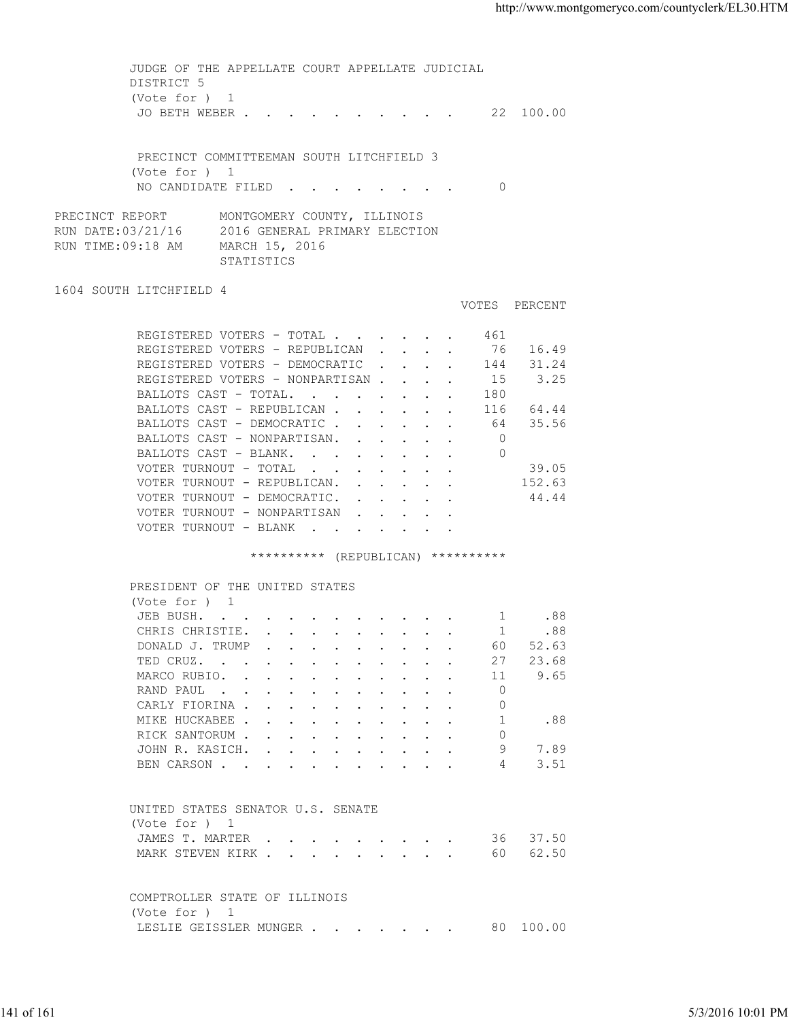JUDGE OF THE APPELLATE COURT APPELLATE JUDICIAL DISTRICT 5 (Vote for ) 1 JO BETH WEBER . . . . . . . . . . 22 100.00 PRECINCT COMMITTEEMAN SOUTH LITCHFIELD 3 (Vote for ) 1 NO CANDIDATE FILED . . . . . . . 0 PRECINCT REPORT MONTGOMERY COUNTY, ILLINOIS<br>RUN DATE:03/21/16 2016 GENERAL PRIMARY ELECTIO 2016 GENERAL PRIMARY ELECTION RUN TIME:09:18 AM MARCH 15, 2016 STATISTICS 1604 SOUTH LITCHFIELD 4 VOTES PERCENT REGISTERED VOTERS - TOTAL . . . . . . 461 REGISTERED VOTERS - REPUBLICAN . . . . 76 16.49 REGISTERED VOTERS - DEMOCRATIC . . . . 144 31.24 REGISTERED VOTERS - NONPARTISAN . . . . 15 3.25<br>BALLOTS CAST - TOTAL. . . . . . . 180 BALLOTS CAST - TOTAL. . . . . . . . BALLOTS CAST - REPUBLICAN . . . . . . 116 64.44 BALLOTS CAST - DEMOCRATIC . . . . . . 64 35.56 BALLOTS CAST - NONPARTISAN. . . . . . 0 BALLOTS CAST - BLANK. . . . . . . . 0 VOTER TURNOUT - TOTAL . . . . . . . . 39.05 VOTER TURNOUT - REPUBLICAN. . . . . . 152.63 VOTER TURNOUT - DEMOCRATIC. . . . . . 44.44 VOTER TURNOUT - NONPARTISAN . . . . . VOTER TURNOUT - BLANK . . . . . \*\*\*\*\*\*\*\*\*\*\* (REPUBLICAN) \*\*\*\*\*\*\*\*\*\* PRESIDENT OF THE UNITED STATES (Vote for ) 1 JEB BUSH. . . . . . . . . . . . 1 .88<br>CHRIS CHRISTIE. . . . . . . . . . 1 .88 CHRIS CHRISTIE. . . . . . . . . . . 1 .88<br>DONALD J. TRUMP . . . . . . . . . . 60 52.63 DONALD J. TRUMP . . . . . . . . . . 60 TED CRUZ. . . . . . . . . . . . 27 23.68<br>MARCO RUBIO. . . . . . . . . . . 11 9.65 MARCO RUBIO. . . . . . . . . . . RAND PAUL . . . . . . . . . . . . 0<br>CARLY FIORINA CARLY FIORINA . . . . . . . . . . . 0<br>MIKE HUCKABEE . . . . . . . . . . 1 MIKE HUCKABEE . . . . . . . . . . . 1 .88 RICK SANTORUM . . . . . . . . . . 0 JOHN R. KASICH. . . . . . . . . . 9 7.89 BEN CARSON . . . . . . . . . . . . 4 3.51 UNITED STATES SENATOR U.S. SENATE (Vote for ) 1 JAMES T. MARTER . . . . . . . . . . 36 37.50 MARK STEVEN KIRK . . . . . . . . . . 60 62.50 COMPTROLLER STATE OF ILLINOIS (Vote for ) 1 LESLIE GEISSLER MUNGER . . . . . . 80 100.00 141 of 161 5/3/2016 10:01 PM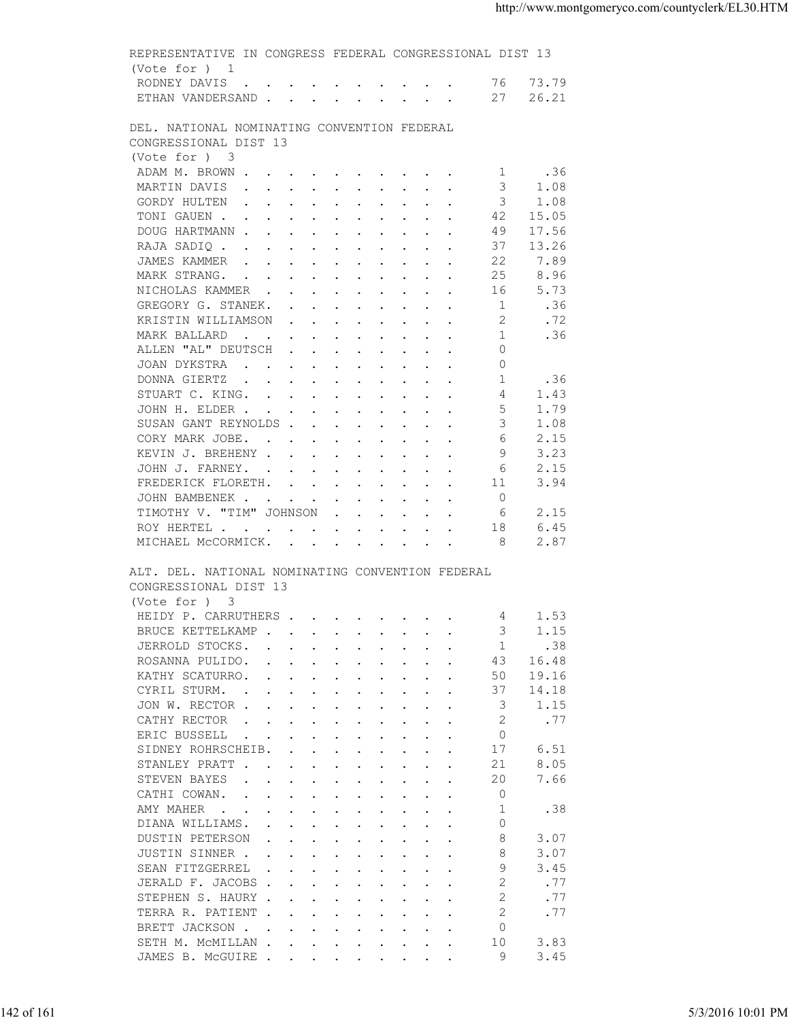| (Vote for ) 1<br>RODNEY DAVIS 76 73.79                                                                                          |                                                                                                                                                                                                                                   |  |                                                                                                                                                                                                                                                                                                               |                                                                                                                            |                                                   |  |
|---------------------------------------------------------------------------------------------------------------------------------|-----------------------------------------------------------------------------------------------------------------------------------------------------------------------------------------------------------------------------------|--|---------------------------------------------------------------------------------------------------------------------------------------------------------------------------------------------------------------------------------------------------------------------------------------------------------------|----------------------------------------------------------------------------------------------------------------------------|---------------------------------------------------|--|
|                                                                                                                                 |                                                                                                                                                                                                                                   |  |                                                                                                                                                                                                                                                                                                               |                                                                                                                            |                                                   |  |
|                                                                                                                                 |                                                                                                                                                                                                                                   |  |                                                                                                                                                                                                                                                                                                               |                                                                                                                            |                                                   |  |
| ETHAN VANDERSAND 27 26.21                                                                                                       |                                                                                                                                                                                                                                   |  |                                                                                                                                                                                                                                                                                                               |                                                                                                                            |                                                   |  |
|                                                                                                                                 |                                                                                                                                                                                                                                   |  |                                                                                                                                                                                                                                                                                                               |                                                                                                                            |                                                   |  |
| CONGRESSIONAL DIST 13                                                                                                           |                                                                                                                                                                                                                                   |  |                                                                                                                                                                                                                                                                                                               |                                                                                                                            |                                                   |  |
| (Vote for ) 3                                                                                                                   |                                                                                                                                                                                                                                   |  |                                                                                                                                                                                                                                                                                                               |                                                                                                                            |                                                   |  |
|                                                                                                                                 |                                                                                                                                                                                                                                   |  |                                                                                                                                                                                                                                                                                                               |                                                                                                                            |                                                   |  |
|                                                                                                                                 |                                                                                                                                                                                                                                   |  |                                                                                                                                                                                                                                                                                                               | 1.08                                                                                                                       |                                                   |  |
|                                                                                                                                 |                                                                                                                                                                                                                                   |  |                                                                                                                                                                                                                                                                                                               | 1.08                                                                                                                       |                                                   |  |
|                                                                                                                                 |                                                                                                                                                                                                                                   |  |                                                                                                                                                                                                                                                                                                               |                                                                                                                            |                                                   |  |
|                                                                                                                                 |                                                                                                                                                                                                                                   |  | 49                                                                                                                                                                                                                                                                                                            | 17.56                                                                                                                      |                                                   |  |
|                                                                                                                                 |                                                                                                                                                                                                                                   |  | 37                                                                                                                                                                                                                                                                                                            | 13.26                                                                                                                      |                                                   |  |
|                                                                                                                                 |                                                                                                                                                                                                                                   |  | 22                                                                                                                                                                                                                                                                                                            | 7.89                                                                                                                       |                                                   |  |
|                                                                                                                                 |                                                                                                                                                                                                                                   |  | 25                                                                                                                                                                                                                                                                                                            | 8.96                                                                                                                       |                                                   |  |
|                                                                                                                                 |                                                                                                                                                                                                                                   |  | 16                                                                                                                                                                                                                                                                                                            | 5.73                                                                                                                       |                                                   |  |
|                                                                                                                                 |                                                                                                                                                                                                                                   |  | $\overline{1}$                                                                                                                                                                                                                                                                                                | .36                                                                                                                        |                                                   |  |
|                                                                                                                                 |                                                                                                                                                                                                                                   |  | 2                                                                                                                                                                                                                                                                                                             | .72                                                                                                                        |                                                   |  |
|                                                                                                                                 |                                                                                                                                                                                                                                   |  | $\overline{1}$                                                                                                                                                                                                                                                                                                | .36                                                                                                                        |                                                   |  |
|                                                                                                                                 |                                                                                                                                                                                                                                   |  | $\Omega$                                                                                                                                                                                                                                                                                                      |                                                                                                                            |                                                   |  |
|                                                                                                                                 |                                                                                                                                                                                                                                   |  | $\Omega$                                                                                                                                                                                                                                                                                                      |                                                                                                                            |                                                   |  |
|                                                                                                                                 |                                                                                                                                                                                                                                   |  | 1                                                                                                                                                                                                                                                                                                             | .36                                                                                                                        |                                                   |  |
|                                                                                                                                 |                                                                                                                                                                                                                                   |  | 4                                                                                                                                                                                                                                                                                                             | 1.43                                                                                                                       |                                                   |  |
|                                                                                                                                 |                                                                                                                                                                                                                                   |  | - 5                                                                                                                                                                                                                                                                                                           | 1.79                                                                                                                       |                                                   |  |
|                                                                                                                                 |                                                                                                                                                                                                                                   |  | 3                                                                                                                                                                                                                                                                                                             | 1.08                                                                                                                       |                                                   |  |
|                                                                                                                                 |                                                                                                                                                                                                                                   |  | 6                                                                                                                                                                                                                                                                                                             | 2.15                                                                                                                       |                                                   |  |
|                                                                                                                                 |                                                                                                                                                                                                                                   |  | -9                                                                                                                                                                                                                                                                                                            | 3.23                                                                                                                       |                                                   |  |
|                                                                                                                                 |                                                                                                                                                                                                                                   |  | 6                                                                                                                                                                                                                                                                                                             | 2.15                                                                                                                       |                                                   |  |
|                                                                                                                                 |                                                                                                                                                                                                                                   |  | 11                                                                                                                                                                                                                                                                                                            | 3.94                                                                                                                       |                                                   |  |
|                                                                                                                                 |                                                                                                                                                                                                                                   |  | $\overline{0}$                                                                                                                                                                                                                                                                                                |                                                                                                                            |                                                   |  |
| TIMOTHY V. "TIM" JOHNSON                                                                                                        |                                                                                                                                                                                                                                   |  | - 6                                                                                                                                                                                                                                                                                                           | 2.15                                                                                                                       |                                                   |  |
|                                                                                                                                 |                                                                                                                                                                                                                                   |  |                                                                                                                                                                                                                                                                                                               | 6.45                                                                                                                       |                                                   |  |
|                                                                                                                                 |                                                                                                                                                                                                                                   |  |                                                                                                                                                                                                                                                                                                               |                                                                                                                            |                                                   |  |
| ROY HERTEL 18<br>MICHAEL MCCORMICK. 8<br>ALT. DEL. NATIONAL NOMINATING CONVENTION FEDERAL<br>CONGRESSIONAL DIST 13              |                                                                                                                                                                                                                                   |  |                                                                                                                                                                                                                                                                                                               | 2.87                                                                                                                       |                                                   |  |
| (Vote for ) 3<br>HEIDY P. CARRUTHERS                                                                                            |                                                                                                                                                                                                                                   |  |                                                                                                                                                                                                                                                                                                               | 4 1.53                                                                                                                     |                                                   |  |
| BRUCE KETTELKAMP                                                                                                                |                                                                                                                                                                                                                                   |  | 3                                                                                                                                                                                                                                                                                                             | 1.15                                                                                                                       |                                                   |  |
| JERROLD STOCKS.                                                                                                                 | $\mathbf{r}$ , and $\mathbf{r}$ , and $\mathbf{r}$ , and $\mathbf{r}$ , and $\mathbf{r}$                                                                                                                                          |  | -1                                                                                                                                                                                                                                                                                                            | .38                                                                                                                        |                                                   |  |
| ROSANNA PULIDO.                                                                                                                 |                                                                                                                                                                                                                                   |  | 43                                                                                                                                                                                                                                                                                                            | 16.48                                                                                                                      |                                                   |  |
| KATHY SCATURRO.                                                                                                                 |                                                                                                                                                                                                                                   |  | 50                                                                                                                                                                                                                                                                                                            | 19.16                                                                                                                      |                                                   |  |
| CYRIL STURM.                                                                                                                    |                                                                                                                                                                                                                                   |  | 37                                                                                                                                                                                                                                                                                                            | 14.18                                                                                                                      |                                                   |  |
| JON W. RECTOR                                                                                                                   |                                                                                                                                                                                                                                   |  | 3                                                                                                                                                                                                                                                                                                             | 1.15                                                                                                                       |                                                   |  |
| CATHY RECTOR<br>$\mathbf{r}$ , and $\mathbf{r}$ , and $\mathbf{r}$ , and $\mathbf{r}$ , and $\mathbf{r}$                        |                                                                                                                                                                                                                                   |  | 2                                                                                                                                                                                                                                                                                                             | .77                                                                                                                        |                                                   |  |
| ERIC BUSSELL<br>the contract of the contract of the contract of the contract of the contract of the contract of the contract of |                                                                                                                                                                                                                                   |  | $\circ$                                                                                                                                                                                                                                                                                                       |                                                                                                                            |                                                   |  |
| SIDNEY ROHRSCHEIB.                                                                                                              | $\mathbf{r}$ , and $\mathbf{r}$ , and $\mathbf{r}$ , and $\mathbf{r}$ , and $\mathbf{r}$                                                                                                                                          |  | 17                                                                                                                                                                                                                                                                                                            | 6.51                                                                                                                       |                                                   |  |
| STANLEY PRATT                                                                                                                   |                                                                                                                                                                                                                                   |  | 21                                                                                                                                                                                                                                                                                                            | 8.05                                                                                                                       |                                                   |  |
| STEVEN BAYES<br>the contract of the contract of the contract of the contract of the contract of the contract of the contract of |                                                                                                                                                                                                                                   |  | 20                                                                                                                                                                                                                                                                                                            | 7.66                                                                                                                       |                                                   |  |
| CATHI COWAN.                                                                                                                    |                                                                                                                                                                                                                                   |  | $\circ$                                                                                                                                                                                                                                                                                                       |                                                                                                                            |                                                   |  |
| AMY MAHER                                                                                                                       |                                                                                                                                                                                                                                   |  | -1                                                                                                                                                                                                                                                                                                            | .38                                                                                                                        |                                                   |  |
| DIANA WILLIAMS.                                                                                                                 |                                                                                                                                                                                                                                   |  | $\circ$                                                                                                                                                                                                                                                                                                       |                                                                                                                            |                                                   |  |
| DUSTIN PETERSON                                                                                                                 | $\mathbf{r}$ , and $\mathbf{r}$ , and $\mathbf{r}$ , and $\mathbf{r}$ , and $\mathbf{r}$                                                                                                                                          |  | 8                                                                                                                                                                                                                                                                                                             | 3.07                                                                                                                       |                                                   |  |
| JUSTIN SINNER                                                                                                                   |                                                                                                                                                                                                                                   |  | 8                                                                                                                                                                                                                                                                                                             | 3.07                                                                                                                       |                                                   |  |
| SEAN FITZGERREL                                                                                                                 | $\mathbf{r}$ . The set of the set of the set of the set of the set of the set of the set of the set of the set of the set of the set of the set of the set of the set of the set of the set of the set of the set of the set of t |  | 9                                                                                                                                                                                                                                                                                                             | 3.45                                                                                                                       |                                                   |  |
| JERALD F. JACOBS                                                                                                                |                                                                                                                                                                                                                                   |  | $\overline{2}$                                                                                                                                                                                                                                                                                                | .77                                                                                                                        |                                                   |  |
| STEPHEN S. HAURY                                                                                                                |                                                                                                                                                                                                                                   |  | $\overline{2}$                                                                                                                                                                                                                                                                                                | .77                                                                                                                        |                                                   |  |
| TERRA R. PATIENT                                                                                                                |                                                                                                                                                                                                                                   |  | $\overline{2}$                                                                                                                                                                                                                                                                                                | .77                                                                                                                        |                                                   |  |
| BRETT JACKSON                                                                                                                   |                                                                                                                                                                                                                                   |  | $\Omega$                                                                                                                                                                                                                                                                                                      |                                                                                                                            |                                                   |  |
| SETH M. MCMILLAN<br>JAMES B. MCGUIRE                                                                                            |                                                                                                                                                                                                                                   |  | 10<br>9                                                                                                                                                                                                                                                                                                       | 3.83<br>3.45                                                                                                               |                                                   |  |
|                                                                                                                                 |                                                                                                                                                                                                                                   |  | DEL. NATIONAL NOMINATING CONVENTION FEDERAL<br>DOUG HARTMANN<br>RAJA SADIQ<br>JAMES KAMMER<br>MARK STRANG.<br>NICHOLAS KAMMER<br>GREGORY G. STANEK.<br>KRISTIN WILLIAMSON<br>MARK BALLARD<br>ALLEN "AL" DEUTSCH<br>JOAN DYKSTRA<br>KEVIN J. BREHENY<br>JOHN J. FARNEY.<br>FREDERICK FLORETH.<br>JOHN BAMBENEK | GORDY HULTEN 3<br>TONI GAUEN<br>DONNA GIERTZ<br>STUART C. KING.<br>JOHN H. ELDER<br>SUSAN GANT REYNOLDS<br>CORY MARK JOBE. | ADAM M. BROWN 1 .36<br>MARTIN DAVIS 3<br>42 15.05 |  |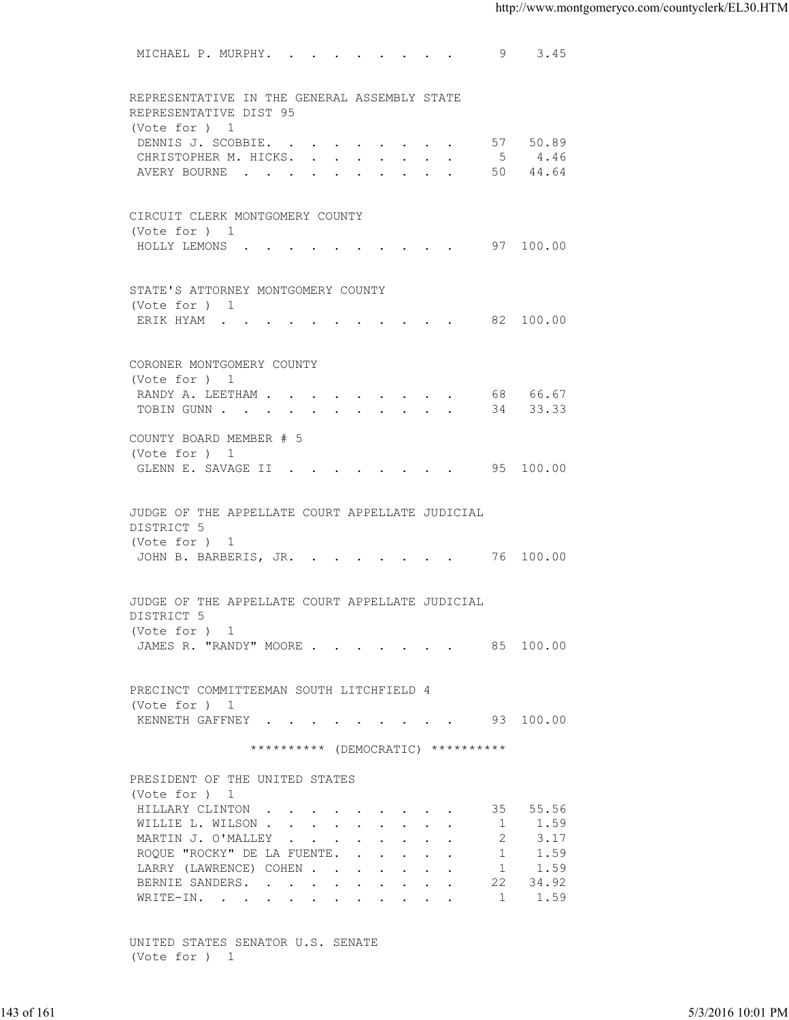|            | MICHAEL P. MURPHY. 9 3.45                                              |                |                |                   |
|------------|------------------------------------------------------------------------|----------------|----------------|-------------------|
|            |                                                                        |                |                |                   |
|            | REPRESENTATIVE IN THE GENERAL ASSEMBLY STATE<br>REPRESENTATIVE DIST 95 |                |                |                   |
|            | (Vote for ) 1<br>DENNIS J. SCOBBIE.                                    |                | 57 50.89       |                   |
|            | CHRISTOPHER M. HICKS. 5 4.46                                           |                |                |                   |
|            | AVERY BOURNE 50 44.64                                                  |                |                |                   |
|            |                                                                        |                |                |                   |
|            | CIRCUIT CLERK MONTGOMERY COUNTY                                        |                |                |                   |
|            | (Vote for ) 1                                                          |                |                |                   |
|            | HOLLY LEMONS 97 100.00                                                 |                |                |                   |
|            |                                                                        |                |                |                   |
|            | STATE'S ATTORNEY MONTGOMERY COUNTY<br>(Vote for ) 1                    |                |                |                   |
|            | ERIK HYAM 82 100.00                                                    |                |                |                   |
|            |                                                                        |                |                |                   |
|            | CORONER MONTGOMERY COUNTY                                              |                |                |                   |
|            | (Vote for ) 1                                                          |                |                |                   |
|            | RANDY A. LEETHAM 68 66.67                                              |                |                |                   |
|            | TOBIN GUNN 34 33.33                                                    |                |                |                   |
|            | COUNTY BOARD MEMBER # 5                                                |                |                |                   |
|            | (Vote for ) 1<br>GLENN E. SAVAGE II 95 100.00                          |                |                |                   |
|            |                                                                        |                |                |                   |
|            | JUDGE OF THE APPELLATE COURT APPELLATE JUDICIAL                        |                |                |                   |
|            | DISTRICT 5                                                             |                |                |                   |
|            | (Vote for ) 1                                                          |                |                |                   |
|            | JOHN B. BARBERIS, JR. 76 100.00                                        |                |                |                   |
|            |                                                                        |                |                |                   |
|            | JUDGE OF THE APPELLATE COURT APPELLATE JUDICIAL<br>DISTRICT 5          |                |                |                   |
|            | (Vote for ) 1                                                          |                |                |                   |
|            | JAMES R. "RANDY" MOORE 85 100.00                                       |                |                |                   |
|            |                                                                        |                |                |                   |
|            | PRECINCT COMMITTEEMAN SOUTH LITCHFIELD 4                               |                |                |                   |
|            | (Vote for ) 1                                                          |                |                |                   |
|            | KENNETH GAFFNEY 93 100.00                                              |                |                |                   |
|            | ********** (DEMOCRATIC) **********                                     |                |                |                   |
|            | PRESIDENT OF THE UNITED STATES                                         |                |                |                   |
|            | (Vote for ) 1                                                          |                |                |                   |
|            | HILLARY CLINTON                                                        |                | 35 55.56       |                   |
|            | WILLIE L. WILSON<br>MARTIN J. O'MALLEY                                 | $\overline{2}$ | 1 1.59<br>3.17 |                   |
|            | ROQUE "ROCKY" DE LA FUENTE.                                            | $\overline{1}$ | 1.59           |                   |
|            | LARRY (LAWRENCE) COHEN                                                 |                | 1 1.59         |                   |
|            | BERNIE SANDERS.                                                        |                | 22 34.92       |                   |
|            | WRITE-IN.                                                              | $\overline{1}$ | 1.59           |                   |
|            |                                                                        |                |                |                   |
|            | UNITED STATES SENATOR U.S. SENATE<br>(Vote for ) 1                     |                |                |                   |
|            |                                                                        |                |                |                   |
|            |                                                                        |                |                |                   |
| 143 of 161 |                                                                        |                |                | 5/3/2016 10:01 PM |
|            |                                                                        |                |                |                   |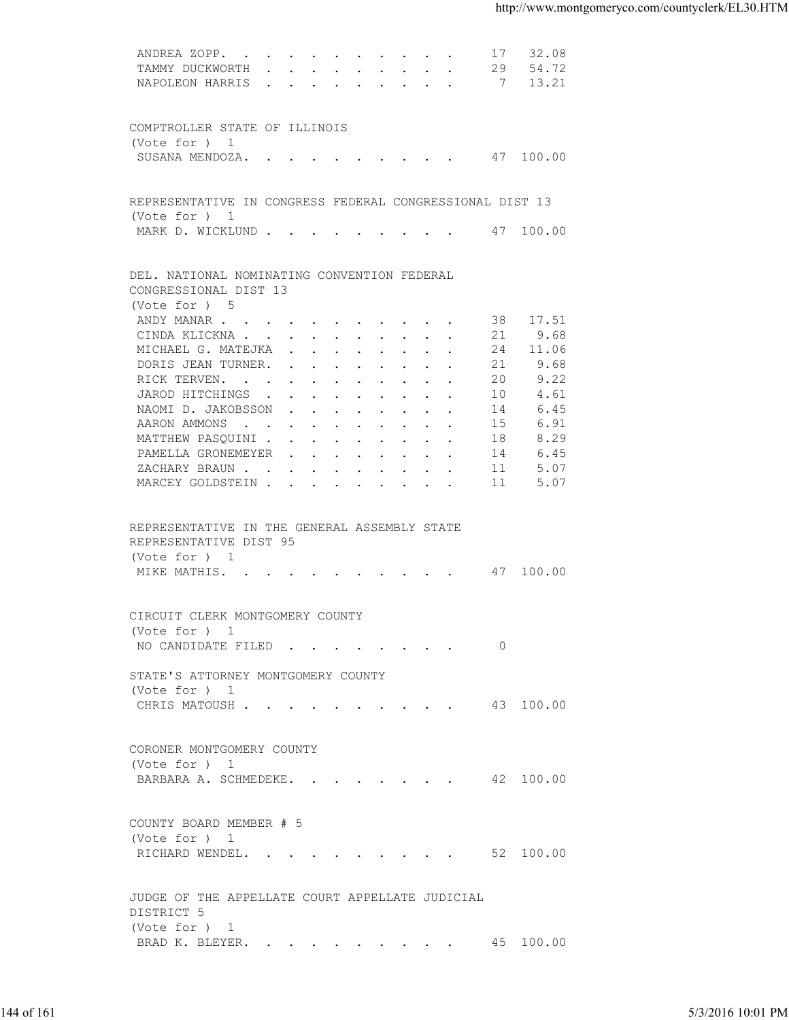|            | ANDREA ZOPP.                                             |    | 17 32.08 |                   |
|------------|----------------------------------------------------------|----|----------|-------------------|
|            | TAMMY DUCKWORTH 29 54.72                                 |    |          |                   |
|            | NAPOLEON HARRIS 7 13.21                                  |    |          |                   |
|            |                                                          |    |          |                   |
|            |                                                          |    |          |                   |
|            | COMPTROLLER STATE OF ILLINOIS                            |    |          |                   |
|            | (Vote for $)$ 1                                          |    |          |                   |
|            | SUSANA MENDOZA. 47 100.00                                |    |          |                   |
|            |                                                          |    |          |                   |
|            |                                                          |    |          |                   |
|            | REPRESENTATIVE IN CONGRESS FEDERAL CONGRESSIONAL DIST 13 |    |          |                   |
|            | (Vote for ) 1                                            |    |          |                   |
|            | MARK D. WICKLUND 47 100.00                               |    |          |                   |
|            |                                                          |    |          |                   |
|            | DEL. NATIONAL NOMINATING CONVENTION FEDERAL              |    |          |                   |
|            | CONGRESSIONAL DIST 13                                    |    |          |                   |
|            | (Vote for ) 5                                            |    |          |                   |
|            | ANDY MANAR                                               |    | 38 17.51 |                   |
|            | CINDA KLICKNA                                            | 21 | 9.68     |                   |
|            | MICHAEL G. MATEJKA                                       | 24 | 11.06    |                   |
|            | DORIS JEAN TURNER.                                       | 21 | 9.68     |                   |
|            | RICK TERVEN.                                             | 20 | 9.22     |                   |
|            | JAROD HITCHINGS                                          | 10 | 4.61     |                   |
|            | NAOMI D. JAKOBSSON                                       | 14 | 6.45     |                   |
|            | AARON AMMONS                                             | 15 | 6.91     |                   |
|            | MATTHEW PASQUINI                                         | 18 | 8.29     |                   |
|            |                                                          | 14 | 6.45     |                   |
|            | PAMELLA GRONEMEYER<br>ZACHARY BRAUN.                     | 11 | 5.07     |                   |
|            | MARCEY GOLDSTEIN                                         | 11 | 5.07     |                   |
|            |                                                          |    |          |                   |
|            |                                                          |    |          |                   |
|            | REPRESENTATIVE IN THE GENERAL ASSEMBLY STATE             |    |          |                   |
|            | REPRESENTATIVE DIST 95                                   |    |          |                   |
|            | (Vote for ) 1                                            |    |          |                   |
|            | MIKE MATHIS. 47 100.00                                   |    |          |                   |
|            |                                                          |    |          |                   |
|            |                                                          |    |          |                   |
|            | CIRCUIT CLERK MONTGOMERY COUNTY                          |    |          |                   |
|            | (Vote for ) 1                                            |    |          |                   |
|            | NO CANDIDATE FILED 0                                     |    |          |                   |
|            |                                                          |    |          |                   |
|            | STATE'S ATTORNEY MONTGOMERY COUNTY                       |    |          |                   |
|            | (Vote for ) 1                                            |    |          |                   |
|            | CHRIS MATOUSH 43 100.00                                  |    |          |                   |
|            |                                                          |    |          |                   |
|            |                                                          |    |          |                   |
|            | CORONER MONTGOMERY COUNTY                                |    |          |                   |
|            | (Vote for ) 1                                            |    |          |                   |
|            | BARBARA A. SCHMEDEKE. 42 100.00                          |    |          |                   |
|            |                                                          |    |          |                   |
|            |                                                          |    |          |                   |
|            | COUNTY BOARD MEMBER # 5                                  |    |          |                   |
|            | (Vote for ) 1                                            |    |          |                   |
|            | RICHARD WENDEL. 52 100.00                                |    |          |                   |
|            |                                                          |    |          |                   |
|            |                                                          |    |          |                   |
|            | JUDGE OF THE APPELLATE COURT APPELLATE JUDICIAL          |    |          |                   |
|            | DISTRICT 5                                               |    |          |                   |
|            | (Vote for ) 1                                            |    |          |                   |
|            | BRAD K. BLEYER. 45 100.00                                |    |          |                   |
|            |                                                          |    |          |                   |
|            |                                                          |    |          |                   |
|            |                                                          |    |          |                   |
| 144 of 161 |                                                          |    |          |                   |
|            |                                                          |    |          | 5/3/2016 10:01 PM |
|            |                                                          |    |          |                   |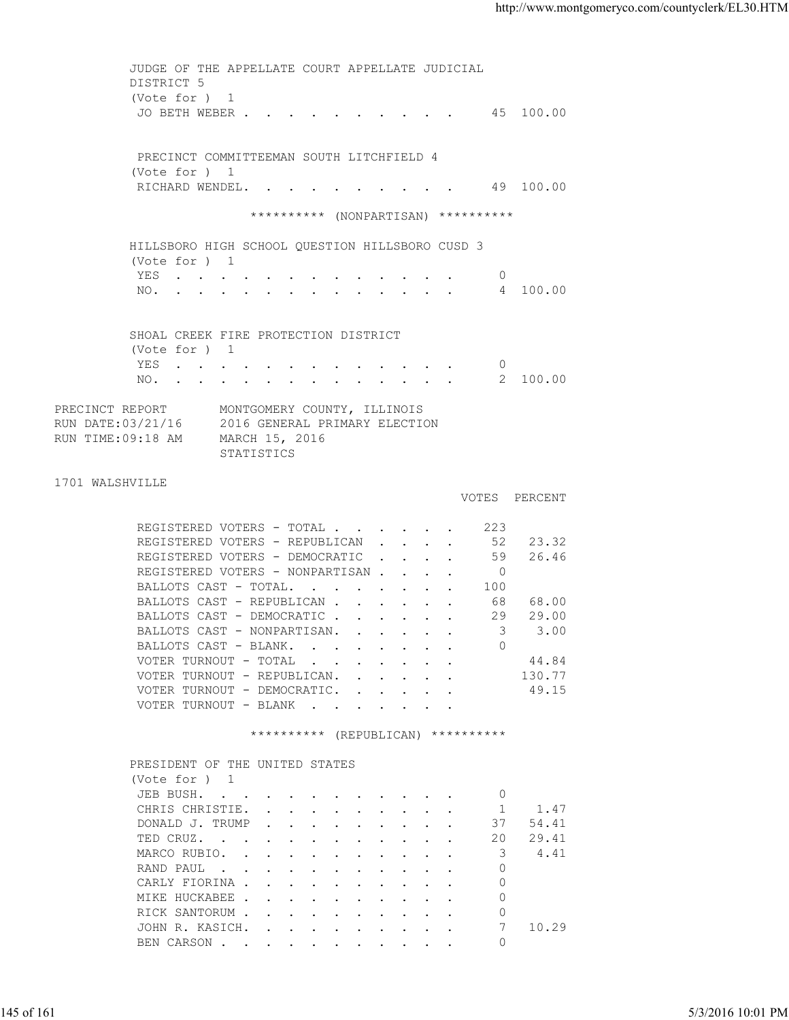| (Vote for ) 1<br>JO BETH WEBER 45 100.00<br>PRECINCT COMMITTEEMAN SOUTH LITCHFIELD 4<br>(Vote for ) 1<br>RICHARD WENDEL. 49 100.00<br>********** (NONPARTISAN) **********<br>HILLSBORO HIGH SCHOOL QUESTION HILLSBORO CUSD 3<br>(Vote for ) 1<br>YES<br>$\circ$<br>4 100.00<br>NO.<br>SHOAL CREEK FIRE PROTECTION DISTRICT<br>(Vote for ) 1<br>YES<br>$\overline{0}$<br>NO. 2 100.00<br>PRECINCT REPORT<br>MONTGOMERY COUNTY, ILLINOIS<br>RUN DATE:03/21/16 2016 GENERAL PRIMARY ELECTION<br>RUN TIME: 09:18 AM MARCH 15, 2016<br>STATISTICS<br>1701 WALSHVILLE<br>VOTES PERCENT<br>REGISTERED VOTERS - TOTAL 223<br>REGISTERED VOTERS - REPUBLICAN 52 23.32<br>REGISTERED VOTERS - DEMOCRATIC 59 26.46<br>REGISTERED VOTERS - NONPARTISAN<br>$\overline{0}$<br>BALLOTS CAST - TOTAL.<br>100<br>BALLOTS CAST - REPUBLICAN 68 68.00<br>BALLOTS CAST - DEMOCRATIC 29 29.00<br>$\overline{\mathbf{3}}$<br>3.00<br>BALLOTS CAST - NONPARTISAN.<br>$\Omega$<br>BALLOTS CAST - BLANK.<br>VOTER TURNOUT - TOTAL<br>44.84<br>$\mathbf{r}$ . The contract of the contract of the contract of the contract of the contract of the contract of the contract of the contract of the contract of the contract of the contract of the contract of the contract of th<br>VOTER TURNOUT - REPUBLICAN.<br>130.77<br>VOTER TURNOUT - DEMOCRATIC.<br>49.15<br>$\mathbf{r}$ , $\mathbf{r}$ , $\mathbf{r}$ , $\mathbf{r}$ , $\mathbf{r}$<br>VOTER TURNOUT - BLANK<br>********** (REPUBLICAN) **********<br>PRESIDENT OF THE UNITED STATES<br>(Vote for ) 1<br>JEB BUSH.<br>0<br>CHRIS CHRISTIE.<br>1.47<br>1<br>DONALD J. TRUMP<br>37<br>54.41<br>TED CRUZ.<br>20<br>29.41<br>3<br>MARCO RUBIO.<br>4.41<br>RAND PAUL<br>$\Omega$<br>CARLY FIORINA<br>$\mathbf{0}$<br>$\circ$<br>MIKE HUCKABEE<br>RICK SANTORUM<br>0<br>JOHN R. KASICH.<br>7<br>10.29<br>$\Omega$<br>BEN CARSON<br>5/3/2016 10:01 PM |            | JUDGE OF THE APPELLATE COURT APPELLATE JUDICIAL |  |
|--------------------------------------------------------------------------------------------------------------------------------------------------------------------------------------------------------------------------------------------------------------------------------------------------------------------------------------------------------------------------------------------------------------------------------------------------------------------------------------------------------------------------------------------------------------------------------------------------------------------------------------------------------------------------------------------------------------------------------------------------------------------------------------------------------------------------------------------------------------------------------------------------------------------------------------------------------------------------------------------------------------------------------------------------------------------------------------------------------------------------------------------------------------------------------------------------------------------------------------------------------------------------------------------------------------------------------------------------------------------------------------------------------------------------------------------------------------------------------------------------------------------------------------------------------------------------------------------------------------------------------------------------------------------------------------------------------------------------------------------------------------------------------------------------------------------------------------------------------------------------------|------------|-------------------------------------------------|--|
|                                                                                                                                                                                                                                                                                                                                                                                                                                                                                                                                                                                                                                                                                                                                                                                                                                                                                                                                                                                                                                                                                                                                                                                                                                                                                                                                                                                                                                                                                                                                                                                                                                                                                                                                                                                                                                                                                |            | DISTRICT 5                                      |  |
|                                                                                                                                                                                                                                                                                                                                                                                                                                                                                                                                                                                                                                                                                                                                                                                                                                                                                                                                                                                                                                                                                                                                                                                                                                                                                                                                                                                                                                                                                                                                                                                                                                                                                                                                                                                                                                                                                |            |                                                 |  |
|                                                                                                                                                                                                                                                                                                                                                                                                                                                                                                                                                                                                                                                                                                                                                                                                                                                                                                                                                                                                                                                                                                                                                                                                                                                                                                                                                                                                                                                                                                                                                                                                                                                                                                                                                                                                                                                                                |            |                                                 |  |
|                                                                                                                                                                                                                                                                                                                                                                                                                                                                                                                                                                                                                                                                                                                                                                                                                                                                                                                                                                                                                                                                                                                                                                                                                                                                                                                                                                                                                                                                                                                                                                                                                                                                                                                                                                                                                                                                                |            |                                                 |  |
|                                                                                                                                                                                                                                                                                                                                                                                                                                                                                                                                                                                                                                                                                                                                                                                                                                                                                                                                                                                                                                                                                                                                                                                                                                                                                                                                                                                                                                                                                                                                                                                                                                                                                                                                                                                                                                                                                |            |                                                 |  |
|                                                                                                                                                                                                                                                                                                                                                                                                                                                                                                                                                                                                                                                                                                                                                                                                                                                                                                                                                                                                                                                                                                                                                                                                                                                                                                                                                                                                                                                                                                                                                                                                                                                                                                                                                                                                                                                                                |            |                                                 |  |
|                                                                                                                                                                                                                                                                                                                                                                                                                                                                                                                                                                                                                                                                                                                                                                                                                                                                                                                                                                                                                                                                                                                                                                                                                                                                                                                                                                                                                                                                                                                                                                                                                                                                                                                                                                                                                                                                                |            |                                                 |  |
|                                                                                                                                                                                                                                                                                                                                                                                                                                                                                                                                                                                                                                                                                                                                                                                                                                                                                                                                                                                                                                                                                                                                                                                                                                                                                                                                                                                                                                                                                                                                                                                                                                                                                                                                                                                                                                                                                |            |                                                 |  |
|                                                                                                                                                                                                                                                                                                                                                                                                                                                                                                                                                                                                                                                                                                                                                                                                                                                                                                                                                                                                                                                                                                                                                                                                                                                                                                                                                                                                                                                                                                                                                                                                                                                                                                                                                                                                                                                                                |            |                                                 |  |
|                                                                                                                                                                                                                                                                                                                                                                                                                                                                                                                                                                                                                                                                                                                                                                                                                                                                                                                                                                                                                                                                                                                                                                                                                                                                                                                                                                                                                                                                                                                                                                                                                                                                                                                                                                                                                                                                                | 145 of 161 |                                                 |  |
|                                                                                                                                                                                                                                                                                                                                                                                                                                                                                                                                                                                                                                                                                                                                                                                                                                                                                                                                                                                                                                                                                                                                                                                                                                                                                                                                                                                                                                                                                                                                                                                                                                                                                                                                                                                                                                                                                |            |                                                 |  |
|                                                                                                                                                                                                                                                                                                                                                                                                                                                                                                                                                                                                                                                                                                                                                                                                                                                                                                                                                                                                                                                                                                                                                                                                                                                                                                                                                                                                                                                                                                                                                                                                                                                                                                                                                                                                                                                                                |            |                                                 |  |
|                                                                                                                                                                                                                                                                                                                                                                                                                                                                                                                                                                                                                                                                                                                                                                                                                                                                                                                                                                                                                                                                                                                                                                                                                                                                                                                                                                                                                                                                                                                                                                                                                                                                                                                                                                                                                                                                                |            |                                                 |  |
|                                                                                                                                                                                                                                                                                                                                                                                                                                                                                                                                                                                                                                                                                                                                                                                                                                                                                                                                                                                                                                                                                                                                                                                                                                                                                                                                                                                                                                                                                                                                                                                                                                                                                                                                                                                                                                                                                |            |                                                 |  |
|                                                                                                                                                                                                                                                                                                                                                                                                                                                                                                                                                                                                                                                                                                                                                                                                                                                                                                                                                                                                                                                                                                                                                                                                                                                                                                                                                                                                                                                                                                                                                                                                                                                                                                                                                                                                                                                                                |            |                                                 |  |
|                                                                                                                                                                                                                                                                                                                                                                                                                                                                                                                                                                                                                                                                                                                                                                                                                                                                                                                                                                                                                                                                                                                                                                                                                                                                                                                                                                                                                                                                                                                                                                                                                                                                                                                                                                                                                                                                                |            |                                                 |  |
|                                                                                                                                                                                                                                                                                                                                                                                                                                                                                                                                                                                                                                                                                                                                                                                                                                                                                                                                                                                                                                                                                                                                                                                                                                                                                                                                                                                                                                                                                                                                                                                                                                                                                                                                                                                                                                                                                |            |                                                 |  |
|                                                                                                                                                                                                                                                                                                                                                                                                                                                                                                                                                                                                                                                                                                                                                                                                                                                                                                                                                                                                                                                                                                                                                                                                                                                                                                                                                                                                                                                                                                                                                                                                                                                                                                                                                                                                                                                                                |            |                                                 |  |
|                                                                                                                                                                                                                                                                                                                                                                                                                                                                                                                                                                                                                                                                                                                                                                                                                                                                                                                                                                                                                                                                                                                                                                                                                                                                                                                                                                                                                                                                                                                                                                                                                                                                                                                                                                                                                                                                                |            |                                                 |  |
|                                                                                                                                                                                                                                                                                                                                                                                                                                                                                                                                                                                                                                                                                                                                                                                                                                                                                                                                                                                                                                                                                                                                                                                                                                                                                                                                                                                                                                                                                                                                                                                                                                                                                                                                                                                                                                                                                |            |                                                 |  |
|                                                                                                                                                                                                                                                                                                                                                                                                                                                                                                                                                                                                                                                                                                                                                                                                                                                                                                                                                                                                                                                                                                                                                                                                                                                                                                                                                                                                                                                                                                                                                                                                                                                                                                                                                                                                                                                                                |            |                                                 |  |
|                                                                                                                                                                                                                                                                                                                                                                                                                                                                                                                                                                                                                                                                                                                                                                                                                                                                                                                                                                                                                                                                                                                                                                                                                                                                                                                                                                                                                                                                                                                                                                                                                                                                                                                                                                                                                                                                                |            |                                                 |  |
|                                                                                                                                                                                                                                                                                                                                                                                                                                                                                                                                                                                                                                                                                                                                                                                                                                                                                                                                                                                                                                                                                                                                                                                                                                                                                                                                                                                                                                                                                                                                                                                                                                                                                                                                                                                                                                                                                |            |                                                 |  |
|                                                                                                                                                                                                                                                                                                                                                                                                                                                                                                                                                                                                                                                                                                                                                                                                                                                                                                                                                                                                                                                                                                                                                                                                                                                                                                                                                                                                                                                                                                                                                                                                                                                                                                                                                                                                                                                                                |            |                                                 |  |
|                                                                                                                                                                                                                                                                                                                                                                                                                                                                                                                                                                                                                                                                                                                                                                                                                                                                                                                                                                                                                                                                                                                                                                                                                                                                                                                                                                                                                                                                                                                                                                                                                                                                                                                                                                                                                                                                                |            |                                                 |  |
|                                                                                                                                                                                                                                                                                                                                                                                                                                                                                                                                                                                                                                                                                                                                                                                                                                                                                                                                                                                                                                                                                                                                                                                                                                                                                                                                                                                                                                                                                                                                                                                                                                                                                                                                                                                                                                                                                |            |                                                 |  |
|                                                                                                                                                                                                                                                                                                                                                                                                                                                                                                                                                                                                                                                                                                                                                                                                                                                                                                                                                                                                                                                                                                                                                                                                                                                                                                                                                                                                                                                                                                                                                                                                                                                                                                                                                                                                                                                                                |            |                                                 |  |
|                                                                                                                                                                                                                                                                                                                                                                                                                                                                                                                                                                                                                                                                                                                                                                                                                                                                                                                                                                                                                                                                                                                                                                                                                                                                                                                                                                                                                                                                                                                                                                                                                                                                                                                                                                                                                                                                                |            |                                                 |  |
|                                                                                                                                                                                                                                                                                                                                                                                                                                                                                                                                                                                                                                                                                                                                                                                                                                                                                                                                                                                                                                                                                                                                                                                                                                                                                                                                                                                                                                                                                                                                                                                                                                                                                                                                                                                                                                                                                |            |                                                 |  |
|                                                                                                                                                                                                                                                                                                                                                                                                                                                                                                                                                                                                                                                                                                                                                                                                                                                                                                                                                                                                                                                                                                                                                                                                                                                                                                                                                                                                                                                                                                                                                                                                                                                                                                                                                                                                                                                                                |            |                                                 |  |
|                                                                                                                                                                                                                                                                                                                                                                                                                                                                                                                                                                                                                                                                                                                                                                                                                                                                                                                                                                                                                                                                                                                                                                                                                                                                                                                                                                                                                                                                                                                                                                                                                                                                                                                                                                                                                                                                                |            |                                                 |  |
|                                                                                                                                                                                                                                                                                                                                                                                                                                                                                                                                                                                                                                                                                                                                                                                                                                                                                                                                                                                                                                                                                                                                                                                                                                                                                                                                                                                                                                                                                                                                                                                                                                                                                                                                                                                                                                                                                |            |                                                 |  |
|                                                                                                                                                                                                                                                                                                                                                                                                                                                                                                                                                                                                                                                                                                                                                                                                                                                                                                                                                                                                                                                                                                                                                                                                                                                                                                                                                                                                                                                                                                                                                                                                                                                                                                                                                                                                                                                                                |            |                                                 |  |
|                                                                                                                                                                                                                                                                                                                                                                                                                                                                                                                                                                                                                                                                                                                                                                                                                                                                                                                                                                                                                                                                                                                                                                                                                                                                                                                                                                                                                                                                                                                                                                                                                                                                                                                                                                                                                                                                                |            |                                                 |  |
|                                                                                                                                                                                                                                                                                                                                                                                                                                                                                                                                                                                                                                                                                                                                                                                                                                                                                                                                                                                                                                                                                                                                                                                                                                                                                                                                                                                                                                                                                                                                                                                                                                                                                                                                                                                                                                                                                |            |                                                 |  |
|                                                                                                                                                                                                                                                                                                                                                                                                                                                                                                                                                                                                                                                                                                                                                                                                                                                                                                                                                                                                                                                                                                                                                                                                                                                                                                                                                                                                                                                                                                                                                                                                                                                                                                                                                                                                                                                                                |            |                                                 |  |
|                                                                                                                                                                                                                                                                                                                                                                                                                                                                                                                                                                                                                                                                                                                                                                                                                                                                                                                                                                                                                                                                                                                                                                                                                                                                                                                                                                                                                                                                                                                                                                                                                                                                                                                                                                                                                                                                                |            |                                                 |  |
|                                                                                                                                                                                                                                                                                                                                                                                                                                                                                                                                                                                                                                                                                                                                                                                                                                                                                                                                                                                                                                                                                                                                                                                                                                                                                                                                                                                                                                                                                                                                                                                                                                                                                                                                                                                                                                                                                |            |                                                 |  |
|                                                                                                                                                                                                                                                                                                                                                                                                                                                                                                                                                                                                                                                                                                                                                                                                                                                                                                                                                                                                                                                                                                                                                                                                                                                                                                                                                                                                                                                                                                                                                                                                                                                                                                                                                                                                                                                                                |            |                                                 |  |
|                                                                                                                                                                                                                                                                                                                                                                                                                                                                                                                                                                                                                                                                                                                                                                                                                                                                                                                                                                                                                                                                                                                                                                                                                                                                                                                                                                                                                                                                                                                                                                                                                                                                                                                                                                                                                                                                                |            |                                                 |  |
|                                                                                                                                                                                                                                                                                                                                                                                                                                                                                                                                                                                                                                                                                                                                                                                                                                                                                                                                                                                                                                                                                                                                                                                                                                                                                                                                                                                                                                                                                                                                                                                                                                                                                                                                                                                                                                                                                |            |                                                 |  |
|                                                                                                                                                                                                                                                                                                                                                                                                                                                                                                                                                                                                                                                                                                                                                                                                                                                                                                                                                                                                                                                                                                                                                                                                                                                                                                                                                                                                                                                                                                                                                                                                                                                                                                                                                                                                                                                                                |            |                                                 |  |
|                                                                                                                                                                                                                                                                                                                                                                                                                                                                                                                                                                                                                                                                                                                                                                                                                                                                                                                                                                                                                                                                                                                                                                                                                                                                                                                                                                                                                                                                                                                                                                                                                                                                                                                                                                                                                                                                                |            |                                                 |  |
|                                                                                                                                                                                                                                                                                                                                                                                                                                                                                                                                                                                                                                                                                                                                                                                                                                                                                                                                                                                                                                                                                                                                                                                                                                                                                                                                                                                                                                                                                                                                                                                                                                                                                                                                                                                                                                                                                |            |                                                 |  |
|                                                                                                                                                                                                                                                                                                                                                                                                                                                                                                                                                                                                                                                                                                                                                                                                                                                                                                                                                                                                                                                                                                                                                                                                                                                                                                                                                                                                                                                                                                                                                                                                                                                                                                                                                                                                                                                                                |            |                                                 |  |
|                                                                                                                                                                                                                                                                                                                                                                                                                                                                                                                                                                                                                                                                                                                                                                                                                                                                                                                                                                                                                                                                                                                                                                                                                                                                                                                                                                                                                                                                                                                                                                                                                                                                                                                                                                                                                                                                                |            |                                                 |  |
|                                                                                                                                                                                                                                                                                                                                                                                                                                                                                                                                                                                                                                                                                                                                                                                                                                                                                                                                                                                                                                                                                                                                                                                                                                                                                                                                                                                                                                                                                                                                                                                                                                                                                                                                                                                                                                                                                |            |                                                 |  |
|                                                                                                                                                                                                                                                                                                                                                                                                                                                                                                                                                                                                                                                                                                                                                                                                                                                                                                                                                                                                                                                                                                                                                                                                                                                                                                                                                                                                                                                                                                                                                                                                                                                                                                                                                                                                                                                                                |            |                                                 |  |
|                                                                                                                                                                                                                                                                                                                                                                                                                                                                                                                                                                                                                                                                                                                                                                                                                                                                                                                                                                                                                                                                                                                                                                                                                                                                                                                                                                                                                                                                                                                                                                                                                                                                                                                                                                                                                                                                                |            |                                                 |  |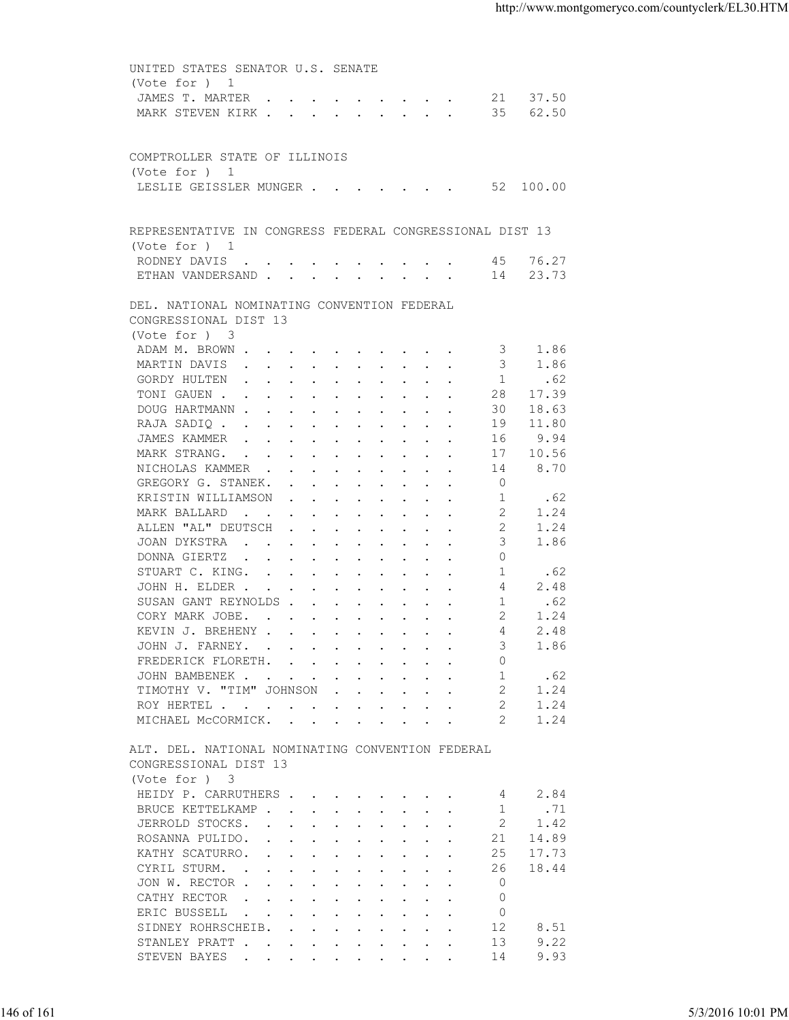| JAMES T. MARTER 21 37.50<br>MARK STEVEN KIRK 35<br>62.50<br>COMPTROLLER STATE OF ILLINOIS<br>(Vote for ) 1<br>LESLIE GEISSLER MUNGER 52 100.00<br>REPRESENTATIVE IN CONGRESS FEDERAL CONGRESSIONAL DIST 13<br>(Vote for $)$ 1<br>RODNEY DAVIS 45 76.27<br>ETHAN VANDERSAND 14 23.73<br>DEL. NATIONAL NOMINATING CONVENTION FEDERAL<br>CONGRESSIONAL DIST 13<br>(Vote for ) 3<br>ADAM M. BROWN<br>1.86<br>3<br>MARTIN DAVIS<br>1.86<br>3<br>1<br>GORDY HULTEN<br>.62<br>TONI GAUEN<br>28<br>17.39<br>DOUG HARTMANN<br>30<br>18.63<br>RAJA SADIQ<br>11.80<br>19<br>9.94<br>JAMES KAMMER<br>16<br>17<br>10.56<br>MARK STRANG.<br>8.70<br>14<br>NICHOLAS KAMMER<br>GREGORY G. STANEK.<br>$\overline{0}$<br>.62<br>KRISTIN WILLIAMSON<br>1<br>MARK BALLARD<br>2<br>1.24<br>ALLEN "AL" DEUTSCH<br>2<br>1.24<br>3<br>1.86<br>JOAN DYKSTRA<br>$\circ$<br>DONNA GIERTZ<br>STUART C. KING.<br>1<br>.62<br>4<br>2.48<br>JOHN H. ELDER<br>SUSAN GANT REYNOLDS<br>1<br>.62<br>CORY MARK JOBE.<br>2<br>1.24<br>2.48<br>KEVIN J. BREHENY<br>4<br>JOHN J. FARNEY.<br>3<br>1.86<br>FREDERICK FLORETH.<br>$\Omega$<br>.62<br>JOHN BAMBENEK.<br>1<br>$\mathbf{r}$ , and $\mathbf{r}$ , and $\mathbf{r}$ , and $\mathbf{r}$ , and $\mathbf{r}$<br>TIMOTHY V. "TIM" JOHNSON<br>1.24<br>2<br>$\mathbf{r}$ . The set of the set of $\mathbf{r}$<br>1.24<br>ROY HERTEL<br>2<br>MICHAEL MCCORMICK.<br>1.24<br>ALT. DEL. NATIONAL NOMINATING CONVENTION FEDERAL<br>CONGRESSIONAL DIST 13<br>(Vote for ) 3<br>HEIDY P. CARRUTHERS<br>2.84<br>4<br>.71<br>BRUCE KETTELKAMP<br>1<br>2<br>1.42<br>JERROLD STOCKS.<br>$\mathbf{r}$ , and $\mathbf{r}$ , and $\mathbf{r}$ , and $\mathbf{r}$ , and $\mathbf{r}$<br>ROSANNA PULIDO.<br>21<br>14.89<br>$\mathbf{r}$ . The contract of the contract of the contract of the contract of the contract of the contract of the contract of the contract of the contract of the contract of the contract of the contract of the contract of th<br>KATHY SCATURRO.<br>17.73<br>25<br>$\mathbf{r}$ . The contract of the contract of the contract of the contract of the contract of the contract of the contract of the contract of the contract of the contract of the contract of the contract of the contract of th<br>18.44<br>CYRIL STURM.<br>26<br>the contract of the contract of the contract of the contract of the contract of the contract of the contract of<br>JON W. RECTOR<br>0<br>CATHY RECTOR<br>$\circ$<br>$\mathbf{r}$ , and $\mathbf{r}$ , and $\mathbf{r}$ , and $\mathbf{r}$ , and $\mathbf{r}$<br>ERIC BUSSELL<br>$\circ$<br>the contract of the contract of the contract of the contract of the contract of the contract of the contract of<br>SIDNEY ROHRSCHEIB.<br>12<br>8.51<br>$\mathbf{r}$ , $\mathbf{r}$ , $\mathbf{r}$ , $\mathbf{r}$ , $\mathbf{r}$ , $\mathbf{r}$ , $\mathbf{r}$<br>13<br>9.22<br>STANLEY PRATT<br>9.93<br>STEVEN BAYES<br>14<br>the contract of the contract of the contract of the contract of the contract of the contract of the contract of<br>146 of 161<br>5/3/2016 10:01 PM | UNITED STATES SENATOR U.S. SENATE |  |  |
|---------------------------------------------------------------------------------------------------------------------------------------------------------------------------------------------------------------------------------------------------------------------------------------------------------------------------------------------------------------------------------------------------------------------------------------------------------------------------------------------------------------------------------------------------------------------------------------------------------------------------------------------------------------------------------------------------------------------------------------------------------------------------------------------------------------------------------------------------------------------------------------------------------------------------------------------------------------------------------------------------------------------------------------------------------------------------------------------------------------------------------------------------------------------------------------------------------------------------------------------------------------------------------------------------------------------------------------------------------------------------------------------------------------------------------------------------------------------------------------------------------------------------------------------------------------------------------------------------------------------------------------------------------------------------------------------------------------------------------------------------------------------------------------------------------------------------------------------------------------------------------------------------------------------------------------------------------------------------------------------------------------------------------------------------------------------------------------------------------------------------------------------------------------------------------------------------------------------------------------------------------------------------------------------------------------------------------------------------------------------------------------------------------------------------------------------------------------------------------------------------------------------------------------------------------------------------------------------------------------------------------------------------------------------------------------------------------------------------------------------------------------------------------------------------------------------------------------------------------------------------------------------------------------------------------------------------------------------------------------------------------------------------------------------|-----------------------------------|--|--|
|                                                                                                                                                                                                                                                                                                                                                                                                                                                                                                                                                                                                                                                                                                                                                                                                                                                                                                                                                                                                                                                                                                                                                                                                                                                                                                                                                                                                                                                                                                                                                                                                                                                                                                                                                                                                                                                                                                                                                                                                                                                                                                                                                                                                                                                                                                                                                                                                                                                                                                                                                                                                                                                                                                                                                                                                                                                                                                                                                                                                                                             | (Vote for ) 1                     |  |  |
|                                                                                                                                                                                                                                                                                                                                                                                                                                                                                                                                                                                                                                                                                                                                                                                                                                                                                                                                                                                                                                                                                                                                                                                                                                                                                                                                                                                                                                                                                                                                                                                                                                                                                                                                                                                                                                                                                                                                                                                                                                                                                                                                                                                                                                                                                                                                                                                                                                                                                                                                                                                                                                                                                                                                                                                                                                                                                                                                                                                                                                             |                                   |  |  |
|                                                                                                                                                                                                                                                                                                                                                                                                                                                                                                                                                                                                                                                                                                                                                                                                                                                                                                                                                                                                                                                                                                                                                                                                                                                                                                                                                                                                                                                                                                                                                                                                                                                                                                                                                                                                                                                                                                                                                                                                                                                                                                                                                                                                                                                                                                                                                                                                                                                                                                                                                                                                                                                                                                                                                                                                                                                                                                                                                                                                                                             |                                   |  |  |
|                                                                                                                                                                                                                                                                                                                                                                                                                                                                                                                                                                                                                                                                                                                                                                                                                                                                                                                                                                                                                                                                                                                                                                                                                                                                                                                                                                                                                                                                                                                                                                                                                                                                                                                                                                                                                                                                                                                                                                                                                                                                                                                                                                                                                                                                                                                                                                                                                                                                                                                                                                                                                                                                                                                                                                                                                                                                                                                                                                                                                                             |                                   |  |  |
|                                                                                                                                                                                                                                                                                                                                                                                                                                                                                                                                                                                                                                                                                                                                                                                                                                                                                                                                                                                                                                                                                                                                                                                                                                                                                                                                                                                                                                                                                                                                                                                                                                                                                                                                                                                                                                                                                                                                                                                                                                                                                                                                                                                                                                                                                                                                                                                                                                                                                                                                                                                                                                                                                                                                                                                                                                                                                                                                                                                                                                             |                                   |  |  |
|                                                                                                                                                                                                                                                                                                                                                                                                                                                                                                                                                                                                                                                                                                                                                                                                                                                                                                                                                                                                                                                                                                                                                                                                                                                                                                                                                                                                                                                                                                                                                                                                                                                                                                                                                                                                                                                                                                                                                                                                                                                                                                                                                                                                                                                                                                                                                                                                                                                                                                                                                                                                                                                                                                                                                                                                                                                                                                                                                                                                                                             |                                   |  |  |
|                                                                                                                                                                                                                                                                                                                                                                                                                                                                                                                                                                                                                                                                                                                                                                                                                                                                                                                                                                                                                                                                                                                                                                                                                                                                                                                                                                                                                                                                                                                                                                                                                                                                                                                                                                                                                                                                                                                                                                                                                                                                                                                                                                                                                                                                                                                                                                                                                                                                                                                                                                                                                                                                                                                                                                                                                                                                                                                                                                                                                                             |                                   |  |  |
|                                                                                                                                                                                                                                                                                                                                                                                                                                                                                                                                                                                                                                                                                                                                                                                                                                                                                                                                                                                                                                                                                                                                                                                                                                                                                                                                                                                                                                                                                                                                                                                                                                                                                                                                                                                                                                                                                                                                                                                                                                                                                                                                                                                                                                                                                                                                                                                                                                                                                                                                                                                                                                                                                                                                                                                                                                                                                                                                                                                                                                             |                                   |  |  |
|                                                                                                                                                                                                                                                                                                                                                                                                                                                                                                                                                                                                                                                                                                                                                                                                                                                                                                                                                                                                                                                                                                                                                                                                                                                                                                                                                                                                                                                                                                                                                                                                                                                                                                                                                                                                                                                                                                                                                                                                                                                                                                                                                                                                                                                                                                                                                                                                                                                                                                                                                                                                                                                                                                                                                                                                                                                                                                                                                                                                                                             |                                   |  |  |
|                                                                                                                                                                                                                                                                                                                                                                                                                                                                                                                                                                                                                                                                                                                                                                                                                                                                                                                                                                                                                                                                                                                                                                                                                                                                                                                                                                                                                                                                                                                                                                                                                                                                                                                                                                                                                                                                                                                                                                                                                                                                                                                                                                                                                                                                                                                                                                                                                                                                                                                                                                                                                                                                                                                                                                                                                                                                                                                                                                                                                                             |                                   |  |  |
|                                                                                                                                                                                                                                                                                                                                                                                                                                                                                                                                                                                                                                                                                                                                                                                                                                                                                                                                                                                                                                                                                                                                                                                                                                                                                                                                                                                                                                                                                                                                                                                                                                                                                                                                                                                                                                                                                                                                                                                                                                                                                                                                                                                                                                                                                                                                                                                                                                                                                                                                                                                                                                                                                                                                                                                                                                                                                                                                                                                                                                             |                                   |  |  |
|                                                                                                                                                                                                                                                                                                                                                                                                                                                                                                                                                                                                                                                                                                                                                                                                                                                                                                                                                                                                                                                                                                                                                                                                                                                                                                                                                                                                                                                                                                                                                                                                                                                                                                                                                                                                                                                                                                                                                                                                                                                                                                                                                                                                                                                                                                                                                                                                                                                                                                                                                                                                                                                                                                                                                                                                                                                                                                                                                                                                                                             |                                   |  |  |
|                                                                                                                                                                                                                                                                                                                                                                                                                                                                                                                                                                                                                                                                                                                                                                                                                                                                                                                                                                                                                                                                                                                                                                                                                                                                                                                                                                                                                                                                                                                                                                                                                                                                                                                                                                                                                                                                                                                                                                                                                                                                                                                                                                                                                                                                                                                                                                                                                                                                                                                                                                                                                                                                                                                                                                                                                                                                                                                                                                                                                                             |                                   |  |  |
|                                                                                                                                                                                                                                                                                                                                                                                                                                                                                                                                                                                                                                                                                                                                                                                                                                                                                                                                                                                                                                                                                                                                                                                                                                                                                                                                                                                                                                                                                                                                                                                                                                                                                                                                                                                                                                                                                                                                                                                                                                                                                                                                                                                                                                                                                                                                                                                                                                                                                                                                                                                                                                                                                                                                                                                                                                                                                                                                                                                                                                             |                                   |  |  |
|                                                                                                                                                                                                                                                                                                                                                                                                                                                                                                                                                                                                                                                                                                                                                                                                                                                                                                                                                                                                                                                                                                                                                                                                                                                                                                                                                                                                                                                                                                                                                                                                                                                                                                                                                                                                                                                                                                                                                                                                                                                                                                                                                                                                                                                                                                                                                                                                                                                                                                                                                                                                                                                                                                                                                                                                                                                                                                                                                                                                                                             |                                   |  |  |
|                                                                                                                                                                                                                                                                                                                                                                                                                                                                                                                                                                                                                                                                                                                                                                                                                                                                                                                                                                                                                                                                                                                                                                                                                                                                                                                                                                                                                                                                                                                                                                                                                                                                                                                                                                                                                                                                                                                                                                                                                                                                                                                                                                                                                                                                                                                                                                                                                                                                                                                                                                                                                                                                                                                                                                                                                                                                                                                                                                                                                                             |                                   |  |  |
|                                                                                                                                                                                                                                                                                                                                                                                                                                                                                                                                                                                                                                                                                                                                                                                                                                                                                                                                                                                                                                                                                                                                                                                                                                                                                                                                                                                                                                                                                                                                                                                                                                                                                                                                                                                                                                                                                                                                                                                                                                                                                                                                                                                                                                                                                                                                                                                                                                                                                                                                                                                                                                                                                                                                                                                                                                                                                                                                                                                                                                             |                                   |  |  |
|                                                                                                                                                                                                                                                                                                                                                                                                                                                                                                                                                                                                                                                                                                                                                                                                                                                                                                                                                                                                                                                                                                                                                                                                                                                                                                                                                                                                                                                                                                                                                                                                                                                                                                                                                                                                                                                                                                                                                                                                                                                                                                                                                                                                                                                                                                                                                                                                                                                                                                                                                                                                                                                                                                                                                                                                                                                                                                                                                                                                                                             |                                   |  |  |
|                                                                                                                                                                                                                                                                                                                                                                                                                                                                                                                                                                                                                                                                                                                                                                                                                                                                                                                                                                                                                                                                                                                                                                                                                                                                                                                                                                                                                                                                                                                                                                                                                                                                                                                                                                                                                                                                                                                                                                                                                                                                                                                                                                                                                                                                                                                                                                                                                                                                                                                                                                                                                                                                                                                                                                                                                                                                                                                                                                                                                                             |                                   |  |  |
|                                                                                                                                                                                                                                                                                                                                                                                                                                                                                                                                                                                                                                                                                                                                                                                                                                                                                                                                                                                                                                                                                                                                                                                                                                                                                                                                                                                                                                                                                                                                                                                                                                                                                                                                                                                                                                                                                                                                                                                                                                                                                                                                                                                                                                                                                                                                                                                                                                                                                                                                                                                                                                                                                                                                                                                                                                                                                                                                                                                                                                             |                                   |  |  |
|                                                                                                                                                                                                                                                                                                                                                                                                                                                                                                                                                                                                                                                                                                                                                                                                                                                                                                                                                                                                                                                                                                                                                                                                                                                                                                                                                                                                                                                                                                                                                                                                                                                                                                                                                                                                                                                                                                                                                                                                                                                                                                                                                                                                                                                                                                                                                                                                                                                                                                                                                                                                                                                                                                                                                                                                                                                                                                                                                                                                                                             |                                   |  |  |
|                                                                                                                                                                                                                                                                                                                                                                                                                                                                                                                                                                                                                                                                                                                                                                                                                                                                                                                                                                                                                                                                                                                                                                                                                                                                                                                                                                                                                                                                                                                                                                                                                                                                                                                                                                                                                                                                                                                                                                                                                                                                                                                                                                                                                                                                                                                                                                                                                                                                                                                                                                                                                                                                                                                                                                                                                                                                                                                                                                                                                                             |                                   |  |  |
|                                                                                                                                                                                                                                                                                                                                                                                                                                                                                                                                                                                                                                                                                                                                                                                                                                                                                                                                                                                                                                                                                                                                                                                                                                                                                                                                                                                                                                                                                                                                                                                                                                                                                                                                                                                                                                                                                                                                                                                                                                                                                                                                                                                                                                                                                                                                                                                                                                                                                                                                                                                                                                                                                                                                                                                                                                                                                                                                                                                                                                             |                                   |  |  |
|                                                                                                                                                                                                                                                                                                                                                                                                                                                                                                                                                                                                                                                                                                                                                                                                                                                                                                                                                                                                                                                                                                                                                                                                                                                                                                                                                                                                                                                                                                                                                                                                                                                                                                                                                                                                                                                                                                                                                                                                                                                                                                                                                                                                                                                                                                                                                                                                                                                                                                                                                                                                                                                                                                                                                                                                                                                                                                                                                                                                                                             |                                   |  |  |
|                                                                                                                                                                                                                                                                                                                                                                                                                                                                                                                                                                                                                                                                                                                                                                                                                                                                                                                                                                                                                                                                                                                                                                                                                                                                                                                                                                                                                                                                                                                                                                                                                                                                                                                                                                                                                                                                                                                                                                                                                                                                                                                                                                                                                                                                                                                                                                                                                                                                                                                                                                                                                                                                                                                                                                                                                                                                                                                                                                                                                                             |                                   |  |  |
|                                                                                                                                                                                                                                                                                                                                                                                                                                                                                                                                                                                                                                                                                                                                                                                                                                                                                                                                                                                                                                                                                                                                                                                                                                                                                                                                                                                                                                                                                                                                                                                                                                                                                                                                                                                                                                                                                                                                                                                                                                                                                                                                                                                                                                                                                                                                                                                                                                                                                                                                                                                                                                                                                                                                                                                                                                                                                                                                                                                                                                             |                                   |  |  |
|                                                                                                                                                                                                                                                                                                                                                                                                                                                                                                                                                                                                                                                                                                                                                                                                                                                                                                                                                                                                                                                                                                                                                                                                                                                                                                                                                                                                                                                                                                                                                                                                                                                                                                                                                                                                                                                                                                                                                                                                                                                                                                                                                                                                                                                                                                                                                                                                                                                                                                                                                                                                                                                                                                                                                                                                                                                                                                                                                                                                                                             |                                   |  |  |
|                                                                                                                                                                                                                                                                                                                                                                                                                                                                                                                                                                                                                                                                                                                                                                                                                                                                                                                                                                                                                                                                                                                                                                                                                                                                                                                                                                                                                                                                                                                                                                                                                                                                                                                                                                                                                                                                                                                                                                                                                                                                                                                                                                                                                                                                                                                                                                                                                                                                                                                                                                                                                                                                                                                                                                                                                                                                                                                                                                                                                                             |                                   |  |  |
|                                                                                                                                                                                                                                                                                                                                                                                                                                                                                                                                                                                                                                                                                                                                                                                                                                                                                                                                                                                                                                                                                                                                                                                                                                                                                                                                                                                                                                                                                                                                                                                                                                                                                                                                                                                                                                                                                                                                                                                                                                                                                                                                                                                                                                                                                                                                                                                                                                                                                                                                                                                                                                                                                                                                                                                                                                                                                                                                                                                                                                             |                                   |  |  |
|                                                                                                                                                                                                                                                                                                                                                                                                                                                                                                                                                                                                                                                                                                                                                                                                                                                                                                                                                                                                                                                                                                                                                                                                                                                                                                                                                                                                                                                                                                                                                                                                                                                                                                                                                                                                                                                                                                                                                                                                                                                                                                                                                                                                                                                                                                                                                                                                                                                                                                                                                                                                                                                                                                                                                                                                                                                                                                                                                                                                                                             |                                   |  |  |
|                                                                                                                                                                                                                                                                                                                                                                                                                                                                                                                                                                                                                                                                                                                                                                                                                                                                                                                                                                                                                                                                                                                                                                                                                                                                                                                                                                                                                                                                                                                                                                                                                                                                                                                                                                                                                                                                                                                                                                                                                                                                                                                                                                                                                                                                                                                                                                                                                                                                                                                                                                                                                                                                                                                                                                                                                                                                                                                                                                                                                                             |                                   |  |  |
|                                                                                                                                                                                                                                                                                                                                                                                                                                                                                                                                                                                                                                                                                                                                                                                                                                                                                                                                                                                                                                                                                                                                                                                                                                                                                                                                                                                                                                                                                                                                                                                                                                                                                                                                                                                                                                                                                                                                                                                                                                                                                                                                                                                                                                                                                                                                                                                                                                                                                                                                                                                                                                                                                                                                                                                                                                                                                                                                                                                                                                             |                                   |  |  |
|                                                                                                                                                                                                                                                                                                                                                                                                                                                                                                                                                                                                                                                                                                                                                                                                                                                                                                                                                                                                                                                                                                                                                                                                                                                                                                                                                                                                                                                                                                                                                                                                                                                                                                                                                                                                                                                                                                                                                                                                                                                                                                                                                                                                                                                                                                                                                                                                                                                                                                                                                                                                                                                                                                                                                                                                                                                                                                                                                                                                                                             |                                   |  |  |
|                                                                                                                                                                                                                                                                                                                                                                                                                                                                                                                                                                                                                                                                                                                                                                                                                                                                                                                                                                                                                                                                                                                                                                                                                                                                                                                                                                                                                                                                                                                                                                                                                                                                                                                                                                                                                                                                                                                                                                                                                                                                                                                                                                                                                                                                                                                                                                                                                                                                                                                                                                                                                                                                                                                                                                                                                                                                                                                                                                                                                                             |                                   |  |  |
|                                                                                                                                                                                                                                                                                                                                                                                                                                                                                                                                                                                                                                                                                                                                                                                                                                                                                                                                                                                                                                                                                                                                                                                                                                                                                                                                                                                                                                                                                                                                                                                                                                                                                                                                                                                                                                                                                                                                                                                                                                                                                                                                                                                                                                                                                                                                                                                                                                                                                                                                                                                                                                                                                                                                                                                                                                                                                                                                                                                                                                             |                                   |  |  |
|                                                                                                                                                                                                                                                                                                                                                                                                                                                                                                                                                                                                                                                                                                                                                                                                                                                                                                                                                                                                                                                                                                                                                                                                                                                                                                                                                                                                                                                                                                                                                                                                                                                                                                                                                                                                                                                                                                                                                                                                                                                                                                                                                                                                                                                                                                                                                                                                                                                                                                                                                                                                                                                                                                                                                                                                                                                                                                                                                                                                                                             |                                   |  |  |
|                                                                                                                                                                                                                                                                                                                                                                                                                                                                                                                                                                                                                                                                                                                                                                                                                                                                                                                                                                                                                                                                                                                                                                                                                                                                                                                                                                                                                                                                                                                                                                                                                                                                                                                                                                                                                                                                                                                                                                                                                                                                                                                                                                                                                                                                                                                                                                                                                                                                                                                                                                                                                                                                                                                                                                                                                                                                                                                                                                                                                                             |                                   |  |  |
|                                                                                                                                                                                                                                                                                                                                                                                                                                                                                                                                                                                                                                                                                                                                                                                                                                                                                                                                                                                                                                                                                                                                                                                                                                                                                                                                                                                                                                                                                                                                                                                                                                                                                                                                                                                                                                                                                                                                                                                                                                                                                                                                                                                                                                                                                                                                                                                                                                                                                                                                                                                                                                                                                                                                                                                                                                                                                                                                                                                                                                             |                                   |  |  |
|                                                                                                                                                                                                                                                                                                                                                                                                                                                                                                                                                                                                                                                                                                                                                                                                                                                                                                                                                                                                                                                                                                                                                                                                                                                                                                                                                                                                                                                                                                                                                                                                                                                                                                                                                                                                                                                                                                                                                                                                                                                                                                                                                                                                                                                                                                                                                                                                                                                                                                                                                                                                                                                                                                                                                                                                                                                                                                                                                                                                                                             |                                   |  |  |
|                                                                                                                                                                                                                                                                                                                                                                                                                                                                                                                                                                                                                                                                                                                                                                                                                                                                                                                                                                                                                                                                                                                                                                                                                                                                                                                                                                                                                                                                                                                                                                                                                                                                                                                                                                                                                                                                                                                                                                                                                                                                                                                                                                                                                                                                                                                                                                                                                                                                                                                                                                                                                                                                                                                                                                                                                                                                                                                                                                                                                                             |                                   |  |  |
|                                                                                                                                                                                                                                                                                                                                                                                                                                                                                                                                                                                                                                                                                                                                                                                                                                                                                                                                                                                                                                                                                                                                                                                                                                                                                                                                                                                                                                                                                                                                                                                                                                                                                                                                                                                                                                                                                                                                                                                                                                                                                                                                                                                                                                                                                                                                                                                                                                                                                                                                                                                                                                                                                                                                                                                                                                                                                                                                                                                                                                             |                                   |  |  |
|                                                                                                                                                                                                                                                                                                                                                                                                                                                                                                                                                                                                                                                                                                                                                                                                                                                                                                                                                                                                                                                                                                                                                                                                                                                                                                                                                                                                                                                                                                                                                                                                                                                                                                                                                                                                                                                                                                                                                                                                                                                                                                                                                                                                                                                                                                                                                                                                                                                                                                                                                                                                                                                                                                                                                                                                                                                                                                                                                                                                                                             |                                   |  |  |
|                                                                                                                                                                                                                                                                                                                                                                                                                                                                                                                                                                                                                                                                                                                                                                                                                                                                                                                                                                                                                                                                                                                                                                                                                                                                                                                                                                                                                                                                                                                                                                                                                                                                                                                                                                                                                                                                                                                                                                                                                                                                                                                                                                                                                                                                                                                                                                                                                                                                                                                                                                                                                                                                                                                                                                                                                                                                                                                                                                                                                                             |                                   |  |  |
|                                                                                                                                                                                                                                                                                                                                                                                                                                                                                                                                                                                                                                                                                                                                                                                                                                                                                                                                                                                                                                                                                                                                                                                                                                                                                                                                                                                                                                                                                                                                                                                                                                                                                                                                                                                                                                                                                                                                                                                                                                                                                                                                                                                                                                                                                                                                                                                                                                                                                                                                                                                                                                                                                                                                                                                                                                                                                                                                                                                                                                             |                                   |  |  |
|                                                                                                                                                                                                                                                                                                                                                                                                                                                                                                                                                                                                                                                                                                                                                                                                                                                                                                                                                                                                                                                                                                                                                                                                                                                                                                                                                                                                                                                                                                                                                                                                                                                                                                                                                                                                                                                                                                                                                                                                                                                                                                                                                                                                                                                                                                                                                                                                                                                                                                                                                                                                                                                                                                                                                                                                                                                                                                                                                                                                                                             |                                   |  |  |
|                                                                                                                                                                                                                                                                                                                                                                                                                                                                                                                                                                                                                                                                                                                                                                                                                                                                                                                                                                                                                                                                                                                                                                                                                                                                                                                                                                                                                                                                                                                                                                                                                                                                                                                                                                                                                                                                                                                                                                                                                                                                                                                                                                                                                                                                                                                                                                                                                                                                                                                                                                                                                                                                                                                                                                                                                                                                                                                                                                                                                                             |                                   |  |  |
|                                                                                                                                                                                                                                                                                                                                                                                                                                                                                                                                                                                                                                                                                                                                                                                                                                                                                                                                                                                                                                                                                                                                                                                                                                                                                                                                                                                                                                                                                                                                                                                                                                                                                                                                                                                                                                                                                                                                                                                                                                                                                                                                                                                                                                                                                                                                                                                                                                                                                                                                                                                                                                                                                                                                                                                                                                                                                                                                                                                                                                             |                                   |  |  |
|                                                                                                                                                                                                                                                                                                                                                                                                                                                                                                                                                                                                                                                                                                                                                                                                                                                                                                                                                                                                                                                                                                                                                                                                                                                                                                                                                                                                                                                                                                                                                                                                                                                                                                                                                                                                                                                                                                                                                                                                                                                                                                                                                                                                                                                                                                                                                                                                                                                                                                                                                                                                                                                                                                                                                                                                                                                                                                                                                                                                                                             |                                   |  |  |
|                                                                                                                                                                                                                                                                                                                                                                                                                                                                                                                                                                                                                                                                                                                                                                                                                                                                                                                                                                                                                                                                                                                                                                                                                                                                                                                                                                                                                                                                                                                                                                                                                                                                                                                                                                                                                                                                                                                                                                                                                                                                                                                                                                                                                                                                                                                                                                                                                                                                                                                                                                                                                                                                                                                                                                                                                                                                                                                                                                                                                                             |                                   |  |  |
|                                                                                                                                                                                                                                                                                                                                                                                                                                                                                                                                                                                                                                                                                                                                                                                                                                                                                                                                                                                                                                                                                                                                                                                                                                                                                                                                                                                                                                                                                                                                                                                                                                                                                                                                                                                                                                                                                                                                                                                                                                                                                                                                                                                                                                                                                                                                                                                                                                                                                                                                                                                                                                                                                                                                                                                                                                                                                                                                                                                                                                             |                                   |  |  |
|                                                                                                                                                                                                                                                                                                                                                                                                                                                                                                                                                                                                                                                                                                                                                                                                                                                                                                                                                                                                                                                                                                                                                                                                                                                                                                                                                                                                                                                                                                                                                                                                                                                                                                                                                                                                                                                                                                                                                                                                                                                                                                                                                                                                                                                                                                                                                                                                                                                                                                                                                                                                                                                                                                                                                                                                                                                                                                                                                                                                                                             |                                   |  |  |
|                                                                                                                                                                                                                                                                                                                                                                                                                                                                                                                                                                                                                                                                                                                                                                                                                                                                                                                                                                                                                                                                                                                                                                                                                                                                                                                                                                                                                                                                                                                                                                                                                                                                                                                                                                                                                                                                                                                                                                                                                                                                                                                                                                                                                                                                                                                                                                                                                                                                                                                                                                                                                                                                                                                                                                                                                                                                                                                                                                                                                                             |                                   |  |  |
|                                                                                                                                                                                                                                                                                                                                                                                                                                                                                                                                                                                                                                                                                                                                                                                                                                                                                                                                                                                                                                                                                                                                                                                                                                                                                                                                                                                                                                                                                                                                                                                                                                                                                                                                                                                                                                                                                                                                                                                                                                                                                                                                                                                                                                                                                                                                                                                                                                                                                                                                                                                                                                                                                                                                                                                                                                                                                                                                                                                                                                             |                                   |  |  |
|                                                                                                                                                                                                                                                                                                                                                                                                                                                                                                                                                                                                                                                                                                                                                                                                                                                                                                                                                                                                                                                                                                                                                                                                                                                                                                                                                                                                                                                                                                                                                                                                                                                                                                                                                                                                                                                                                                                                                                                                                                                                                                                                                                                                                                                                                                                                                                                                                                                                                                                                                                                                                                                                                                                                                                                                                                                                                                                                                                                                                                             |                                   |  |  |
|                                                                                                                                                                                                                                                                                                                                                                                                                                                                                                                                                                                                                                                                                                                                                                                                                                                                                                                                                                                                                                                                                                                                                                                                                                                                                                                                                                                                                                                                                                                                                                                                                                                                                                                                                                                                                                                                                                                                                                                                                                                                                                                                                                                                                                                                                                                                                                                                                                                                                                                                                                                                                                                                                                                                                                                                                                                                                                                                                                                                                                             |                                   |  |  |
|                                                                                                                                                                                                                                                                                                                                                                                                                                                                                                                                                                                                                                                                                                                                                                                                                                                                                                                                                                                                                                                                                                                                                                                                                                                                                                                                                                                                                                                                                                                                                                                                                                                                                                                                                                                                                                                                                                                                                                                                                                                                                                                                                                                                                                                                                                                                                                                                                                                                                                                                                                                                                                                                                                                                                                                                                                                                                                                                                                                                                                             |                                   |  |  |
|                                                                                                                                                                                                                                                                                                                                                                                                                                                                                                                                                                                                                                                                                                                                                                                                                                                                                                                                                                                                                                                                                                                                                                                                                                                                                                                                                                                                                                                                                                                                                                                                                                                                                                                                                                                                                                                                                                                                                                                                                                                                                                                                                                                                                                                                                                                                                                                                                                                                                                                                                                                                                                                                                                                                                                                                                                                                                                                                                                                                                                             |                                   |  |  |
|                                                                                                                                                                                                                                                                                                                                                                                                                                                                                                                                                                                                                                                                                                                                                                                                                                                                                                                                                                                                                                                                                                                                                                                                                                                                                                                                                                                                                                                                                                                                                                                                                                                                                                                                                                                                                                                                                                                                                                                                                                                                                                                                                                                                                                                                                                                                                                                                                                                                                                                                                                                                                                                                                                                                                                                                                                                                                                                                                                                                                                             |                                   |  |  |
|                                                                                                                                                                                                                                                                                                                                                                                                                                                                                                                                                                                                                                                                                                                                                                                                                                                                                                                                                                                                                                                                                                                                                                                                                                                                                                                                                                                                                                                                                                                                                                                                                                                                                                                                                                                                                                                                                                                                                                                                                                                                                                                                                                                                                                                                                                                                                                                                                                                                                                                                                                                                                                                                                                                                                                                                                                                                                                                                                                                                                                             |                                   |  |  |
|                                                                                                                                                                                                                                                                                                                                                                                                                                                                                                                                                                                                                                                                                                                                                                                                                                                                                                                                                                                                                                                                                                                                                                                                                                                                                                                                                                                                                                                                                                                                                                                                                                                                                                                                                                                                                                                                                                                                                                                                                                                                                                                                                                                                                                                                                                                                                                                                                                                                                                                                                                                                                                                                                                                                                                                                                                                                                                                                                                                                                                             |                                   |  |  |
|                                                                                                                                                                                                                                                                                                                                                                                                                                                                                                                                                                                                                                                                                                                                                                                                                                                                                                                                                                                                                                                                                                                                                                                                                                                                                                                                                                                                                                                                                                                                                                                                                                                                                                                                                                                                                                                                                                                                                                                                                                                                                                                                                                                                                                                                                                                                                                                                                                                                                                                                                                                                                                                                                                                                                                                                                                                                                                                                                                                                                                             |                                   |  |  |
|                                                                                                                                                                                                                                                                                                                                                                                                                                                                                                                                                                                                                                                                                                                                                                                                                                                                                                                                                                                                                                                                                                                                                                                                                                                                                                                                                                                                                                                                                                                                                                                                                                                                                                                                                                                                                                                                                                                                                                                                                                                                                                                                                                                                                                                                                                                                                                                                                                                                                                                                                                                                                                                                                                                                                                                                                                                                                                                                                                                                                                             |                                   |  |  |
|                                                                                                                                                                                                                                                                                                                                                                                                                                                                                                                                                                                                                                                                                                                                                                                                                                                                                                                                                                                                                                                                                                                                                                                                                                                                                                                                                                                                                                                                                                                                                                                                                                                                                                                                                                                                                                                                                                                                                                                                                                                                                                                                                                                                                                                                                                                                                                                                                                                                                                                                                                                                                                                                                                                                                                                                                                                                                                                                                                                                                                             |                                   |  |  |
|                                                                                                                                                                                                                                                                                                                                                                                                                                                                                                                                                                                                                                                                                                                                                                                                                                                                                                                                                                                                                                                                                                                                                                                                                                                                                                                                                                                                                                                                                                                                                                                                                                                                                                                                                                                                                                                                                                                                                                                                                                                                                                                                                                                                                                                                                                                                                                                                                                                                                                                                                                                                                                                                                                                                                                                                                                                                                                                                                                                                                                             |                                   |  |  |
|                                                                                                                                                                                                                                                                                                                                                                                                                                                                                                                                                                                                                                                                                                                                                                                                                                                                                                                                                                                                                                                                                                                                                                                                                                                                                                                                                                                                                                                                                                                                                                                                                                                                                                                                                                                                                                                                                                                                                                                                                                                                                                                                                                                                                                                                                                                                                                                                                                                                                                                                                                                                                                                                                                                                                                                                                                                                                                                                                                                                                                             |                                   |  |  |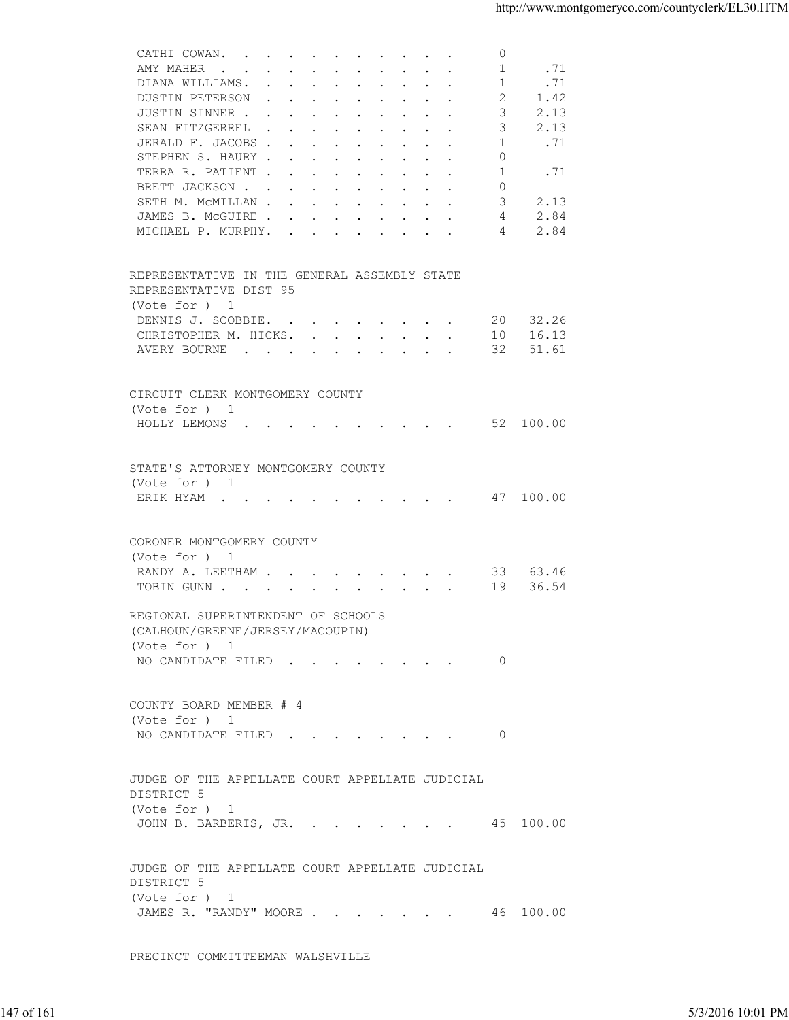| 1<br>.71<br>AMY MAHER<br>1<br>.71<br>DIANA WILLIAMS.<br>DUSTIN PETERSON<br>2<br>1.42<br>JUSTIN SINNER<br>3<br>2.13<br>3<br>2.13<br>SEAN FITZGERREL<br>.71<br>JERALD F. JACOBS<br>1<br>STEPHEN S. HAURY<br>0<br>1<br>TERRA R. PATIENT<br>.71<br>$\Omega$<br>BRETT JACKSON<br>3<br>2.13<br>SETH M. MCMILLAN<br>JAMES B. MCGUIRE<br>2.84<br>4<br>2.84<br>MICHAEL P. MURPHY.<br>4<br>REPRESENTATIVE IN THE GENERAL ASSEMBLY STATE<br>REPRESENTATIVE DIST 95<br>(Vote for ) 1<br>20 32.26<br>DENNIS J. SCOBBIE.<br>10 16.13<br>CHRISTOPHER M. HICKS.<br>32 51.61<br>AVERY BOURNE<br>CIRCUIT CLERK MONTGOMERY COUNTY<br>(Vote for ) 1<br>HOLLY LEMONS 52 100.00<br>STATE'S ATTORNEY MONTGOMERY COUNTY<br>(Vote for ) 1<br>ERIK HYAM 47 100.00<br>CORONER MONTGOMERY COUNTY<br>(Vote for ) 1<br>RANDY A. LEETHAM 33 63.46<br>TOBIN GUNN 19<br>36.54<br>REGIONAL SUPERINTENDENT OF SCHOOLS<br>(CALHOUN/GREENE/JERSEY/MACOUPIN)<br>(Vote for $)$ 1<br>NO CANDIDATE FILED 0<br>COUNTY BOARD MEMBER # 4<br>(Vote for ) 1<br>NO CANDIDATE FILED 0<br>JUDGE OF THE APPELLATE COURT APPELLATE JUDICIAL<br>DISTRICT 5<br>(Vote for ) 1<br>JOHN B. BARBERIS, JR. 45 100.00<br>JUDGE OF THE APPELLATE COURT APPELLATE JUDICIAL<br>DISTRICT 5<br>(Vote for ) 1<br>JAMES R. "RANDY" MOORE 46 100.00<br>PRECINCT COMMITTEEMAN WALSHVILLE | 5/3/2016 10:01 PM | CATHI COWAN. | $\circ$ |  |
|----------------------------------------------------------------------------------------------------------------------------------------------------------------------------------------------------------------------------------------------------------------------------------------------------------------------------------------------------------------------------------------------------------------------------------------------------------------------------------------------------------------------------------------------------------------------------------------------------------------------------------------------------------------------------------------------------------------------------------------------------------------------------------------------------------------------------------------------------------------------------------------------------------------------------------------------------------------------------------------------------------------------------------------------------------------------------------------------------------------------------------------------------------------------------------------------------------------------------------------------------------------------------------------------------------------------|-------------------|--------------|---------|--|
| 147 of 161                                                                                                                                                                                                                                                                                                                                                                                                                                                                                                                                                                                                                                                                                                                                                                                                                                                                                                                                                                                                                                                                                                                                                                                                                                                                                                           |                   |              |         |  |
|                                                                                                                                                                                                                                                                                                                                                                                                                                                                                                                                                                                                                                                                                                                                                                                                                                                                                                                                                                                                                                                                                                                                                                                                                                                                                                                      |                   |              |         |  |
|                                                                                                                                                                                                                                                                                                                                                                                                                                                                                                                                                                                                                                                                                                                                                                                                                                                                                                                                                                                                                                                                                                                                                                                                                                                                                                                      |                   |              |         |  |
|                                                                                                                                                                                                                                                                                                                                                                                                                                                                                                                                                                                                                                                                                                                                                                                                                                                                                                                                                                                                                                                                                                                                                                                                                                                                                                                      |                   |              |         |  |
|                                                                                                                                                                                                                                                                                                                                                                                                                                                                                                                                                                                                                                                                                                                                                                                                                                                                                                                                                                                                                                                                                                                                                                                                                                                                                                                      |                   |              |         |  |
|                                                                                                                                                                                                                                                                                                                                                                                                                                                                                                                                                                                                                                                                                                                                                                                                                                                                                                                                                                                                                                                                                                                                                                                                                                                                                                                      |                   |              |         |  |
|                                                                                                                                                                                                                                                                                                                                                                                                                                                                                                                                                                                                                                                                                                                                                                                                                                                                                                                                                                                                                                                                                                                                                                                                                                                                                                                      |                   |              |         |  |
|                                                                                                                                                                                                                                                                                                                                                                                                                                                                                                                                                                                                                                                                                                                                                                                                                                                                                                                                                                                                                                                                                                                                                                                                                                                                                                                      |                   |              |         |  |
|                                                                                                                                                                                                                                                                                                                                                                                                                                                                                                                                                                                                                                                                                                                                                                                                                                                                                                                                                                                                                                                                                                                                                                                                                                                                                                                      |                   |              |         |  |
|                                                                                                                                                                                                                                                                                                                                                                                                                                                                                                                                                                                                                                                                                                                                                                                                                                                                                                                                                                                                                                                                                                                                                                                                                                                                                                                      |                   |              |         |  |
|                                                                                                                                                                                                                                                                                                                                                                                                                                                                                                                                                                                                                                                                                                                                                                                                                                                                                                                                                                                                                                                                                                                                                                                                                                                                                                                      |                   |              |         |  |
|                                                                                                                                                                                                                                                                                                                                                                                                                                                                                                                                                                                                                                                                                                                                                                                                                                                                                                                                                                                                                                                                                                                                                                                                                                                                                                                      |                   |              |         |  |
|                                                                                                                                                                                                                                                                                                                                                                                                                                                                                                                                                                                                                                                                                                                                                                                                                                                                                                                                                                                                                                                                                                                                                                                                                                                                                                                      |                   |              |         |  |
|                                                                                                                                                                                                                                                                                                                                                                                                                                                                                                                                                                                                                                                                                                                                                                                                                                                                                                                                                                                                                                                                                                                                                                                                                                                                                                                      |                   |              |         |  |
|                                                                                                                                                                                                                                                                                                                                                                                                                                                                                                                                                                                                                                                                                                                                                                                                                                                                                                                                                                                                                                                                                                                                                                                                                                                                                                                      |                   |              |         |  |
|                                                                                                                                                                                                                                                                                                                                                                                                                                                                                                                                                                                                                                                                                                                                                                                                                                                                                                                                                                                                                                                                                                                                                                                                                                                                                                                      |                   |              |         |  |
|                                                                                                                                                                                                                                                                                                                                                                                                                                                                                                                                                                                                                                                                                                                                                                                                                                                                                                                                                                                                                                                                                                                                                                                                                                                                                                                      |                   |              |         |  |
|                                                                                                                                                                                                                                                                                                                                                                                                                                                                                                                                                                                                                                                                                                                                                                                                                                                                                                                                                                                                                                                                                                                                                                                                                                                                                                                      |                   |              |         |  |
|                                                                                                                                                                                                                                                                                                                                                                                                                                                                                                                                                                                                                                                                                                                                                                                                                                                                                                                                                                                                                                                                                                                                                                                                                                                                                                                      |                   |              |         |  |
|                                                                                                                                                                                                                                                                                                                                                                                                                                                                                                                                                                                                                                                                                                                                                                                                                                                                                                                                                                                                                                                                                                                                                                                                                                                                                                                      |                   |              |         |  |
|                                                                                                                                                                                                                                                                                                                                                                                                                                                                                                                                                                                                                                                                                                                                                                                                                                                                                                                                                                                                                                                                                                                                                                                                                                                                                                                      |                   |              |         |  |
|                                                                                                                                                                                                                                                                                                                                                                                                                                                                                                                                                                                                                                                                                                                                                                                                                                                                                                                                                                                                                                                                                                                                                                                                                                                                                                                      |                   |              |         |  |
|                                                                                                                                                                                                                                                                                                                                                                                                                                                                                                                                                                                                                                                                                                                                                                                                                                                                                                                                                                                                                                                                                                                                                                                                                                                                                                                      |                   |              |         |  |
|                                                                                                                                                                                                                                                                                                                                                                                                                                                                                                                                                                                                                                                                                                                                                                                                                                                                                                                                                                                                                                                                                                                                                                                                                                                                                                                      |                   |              |         |  |
|                                                                                                                                                                                                                                                                                                                                                                                                                                                                                                                                                                                                                                                                                                                                                                                                                                                                                                                                                                                                                                                                                                                                                                                                                                                                                                                      |                   |              |         |  |
|                                                                                                                                                                                                                                                                                                                                                                                                                                                                                                                                                                                                                                                                                                                                                                                                                                                                                                                                                                                                                                                                                                                                                                                                                                                                                                                      |                   |              |         |  |
|                                                                                                                                                                                                                                                                                                                                                                                                                                                                                                                                                                                                                                                                                                                                                                                                                                                                                                                                                                                                                                                                                                                                                                                                                                                                                                                      |                   |              |         |  |
|                                                                                                                                                                                                                                                                                                                                                                                                                                                                                                                                                                                                                                                                                                                                                                                                                                                                                                                                                                                                                                                                                                                                                                                                                                                                                                                      |                   |              |         |  |
|                                                                                                                                                                                                                                                                                                                                                                                                                                                                                                                                                                                                                                                                                                                                                                                                                                                                                                                                                                                                                                                                                                                                                                                                                                                                                                                      |                   |              |         |  |
|                                                                                                                                                                                                                                                                                                                                                                                                                                                                                                                                                                                                                                                                                                                                                                                                                                                                                                                                                                                                                                                                                                                                                                                                                                                                                                                      |                   |              |         |  |
|                                                                                                                                                                                                                                                                                                                                                                                                                                                                                                                                                                                                                                                                                                                                                                                                                                                                                                                                                                                                                                                                                                                                                                                                                                                                                                                      |                   |              |         |  |
|                                                                                                                                                                                                                                                                                                                                                                                                                                                                                                                                                                                                                                                                                                                                                                                                                                                                                                                                                                                                                                                                                                                                                                                                                                                                                                                      |                   |              |         |  |
|                                                                                                                                                                                                                                                                                                                                                                                                                                                                                                                                                                                                                                                                                                                                                                                                                                                                                                                                                                                                                                                                                                                                                                                                                                                                                                                      |                   |              |         |  |
|                                                                                                                                                                                                                                                                                                                                                                                                                                                                                                                                                                                                                                                                                                                                                                                                                                                                                                                                                                                                                                                                                                                                                                                                                                                                                                                      |                   |              |         |  |
|                                                                                                                                                                                                                                                                                                                                                                                                                                                                                                                                                                                                                                                                                                                                                                                                                                                                                                                                                                                                                                                                                                                                                                                                                                                                                                                      |                   |              |         |  |
|                                                                                                                                                                                                                                                                                                                                                                                                                                                                                                                                                                                                                                                                                                                                                                                                                                                                                                                                                                                                                                                                                                                                                                                                                                                                                                                      |                   |              |         |  |
|                                                                                                                                                                                                                                                                                                                                                                                                                                                                                                                                                                                                                                                                                                                                                                                                                                                                                                                                                                                                                                                                                                                                                                                                                                                                                                                      |                   |              |         |  |
|                                                                                                                                                                                                                                                                                                                                                                                                                                                                                                                                                                                                                                                                                                                                                                                                                                                                                                                                                                                                                                                                                                                                                                                                                                                                                                                      |                   |              |         |  |
|                                                                                                                                                                                                                                                                                                                                                                                                                                                                                                                                                                                                                                                                                                                                                                                                                                                                                                                                                                                                                                                                                                                                                                                                                                                                                                                      |                   |              |         |  |
|                                                                                                                                                                                                                                                                                                                                                                                                                                                                                                                                                                                                                                                                                                                                                                                                                                                                                                                                                                                                                                                                                                                                                                                                                                                                                                                      |                   |              |         |  |
|                                                                                                                                                                                                                                                                                                                                                                                                                                                                                                                                                                                                                                                                                                                                                                                                                                                                                                                                                                                                                                                                                                                                                                                                                                                                                                                      |                   |              |         |  |
|                                                                                                                                                                                                                                                                                                                                                                                                                                                                                                                                                                                                                                                                                                                                                                                                                                                                                                                                                                                                                                                                                                                                                                                                                                                                                                                      |                   |              |         |  |
|                                                                                                                                                                                                                                                                                                                                                                                                                                                                                                                                                                                                                                                                                                                                                                                                                                                                                                                                                                                                                                                                                                                                                                                                                                                                                                                      |                   |              |         |  |
|                                                                                                                                                                                                                                                                                                                                                                                                                                                                                                                                                                                                                                                                                                                                                                                                                                                                                                                                                                                                                                                                                                                                                                                                                                                                                                                      |                   |              |         |  |
|                                                                                                                                                                                                                                                                                                                                                                                                                                                                                                                                                                                                                                                                                                                                                                                                                                                                                                                                                                                                                                                                                                                                                                                                                                                                                                                      |                   |              |         |  |
|                                                                                                                                                                                                                                                                                                                                                                                                                                                                                                                                                                                                                                                                                                                                                                                                                                                                                                                                                                                                                                                                                                                                                                                                                                                                                                                      |                   |              |         |  |
|                                                                                                                                                                                                                                                                                                                                                                                                                                                                                                                                                                                                                                                                                                                                                                                                                                                                                                                                                                                                                                                                                                                                                                                                                                                                                                                      |                   |              |         |  |
|                                                                                                                                                                                                                                                                                                                                                                                                                                                                                                                                                                                                                                                                                                                                                                                                                                                                                                                                                                                                                                                                                                                                                                                                                                                                                                                      |                   |              |         |  |
|                                                                                                                                                                                                                                                                                                                                                                                                                                                                                                                                                                                                                                                                                                                                                                                                                                                                                                                                                                                                                                                                                                                                                                                                                                                                                                                      |                   |              |         |  |
|                                                                                                                                                                                                                                                                                                                                                                                                                                                                                                                                                                                                                                                                                                                                                                                                                                                                                                                                                                                                                                                                                                                                                                                                                                                                                                                      |                   |              |         |  |
|                                                                                                                                                                                                                                                                                                                                                                                                                                                                                                                                                                                                                                                                                                                                                                                                                                                                                                                                                                                                                                                                                                                                                                                                                                                                                                                      |                   |              |         |  |
|                                                                                                                                                                                                                                                                                                                                                                                                                                                                                                                                                                                                                                                                                                                                                                                                                                                                                                                                                                                                                                                                                                                                                                                                                                                                                                                      |                   |              |         |  |
|                                                                                                                                                                                                                                                                                                                                                                                                                                                                                                                                                                                                                                                                                                                                                                                                                                                                                                                                                                                                                                                                                                                                                                                                                                                                                                                      |                   |              |         |  |
|                                                                                                                                                                                                                                                                                                                                                                                                                                                                                                                                                                                                                                                                                                                                                                                                                                                                                                                                                                                                                                                                                                                                                                                                                                                                                                                      |                   |              |         |  |
|                                                                                                                                                                                                                                                                                                                                                                                                                                                                                                                                                                                                                                                                                                                                                                                                                                                                                                                                                                                                                                                                                                                                                                                                                                                                                                                      |                   |              |         |  |
|                                                                                                                                                                                                                                                                                                                                                                                                                                                                                                                                                                                                                                                                                                                                                                                                                                                                                                                                                                                                                                                                                                                                                                                                                                                                                                                      |                   |              |         |  |
|                                                                                                                                                                                                                                                                                                                                                                                                                                                                                                                                                                                                                                                                                                                                                                                                                                                                                                                                                                                                                                                                                                                                                                                                                                                                                                                      |                   |              |         |  |
|                                                                                                                                                                                                                                                                                                                                                                                                                                                                                                                                                                                                                                                                                                                                                                                                                                                                                                                                                                                                                                                                                                                                                                                                                                                                                                                      |                   |              |         |  |
|                                                                                                                                                                                                                                                                                                                                                                                                                                                                                                                                                                                                                                                                                                                                                                                                                                                                                                                                                                                                                                                                                                                                                                                                                                                                                                                      |                   |              |         |  |
|                                                                                                                                                                                                                                                                                                                                                                                                                                                                                                                                                                                                                                                                                                                                                                                                                                                                                                                                                                                                                                                                                                                                                                                                                                                                                                                      |                   |              |         |  |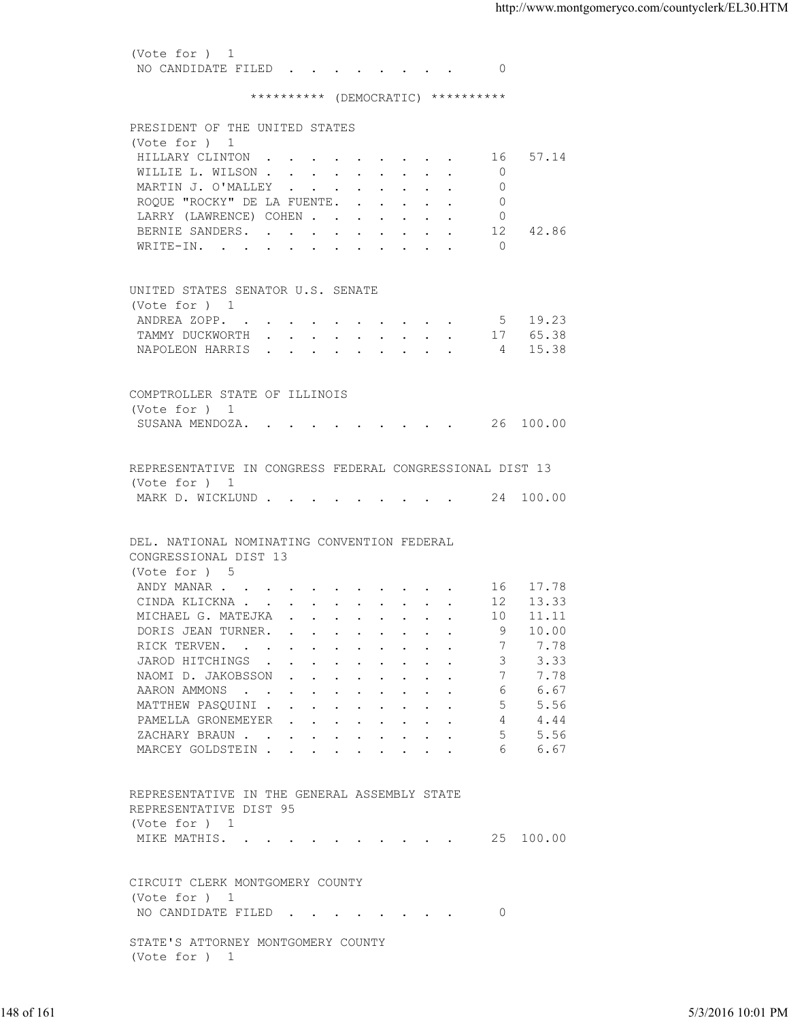(Vote for ) 1 NO CANDIDATE FILED . . . . . . . . 0

## \*\*\*\*\*\*\*\*\*\* (DEMOCRATIC) \*\*\*\*\*\*\*\*\*\*

| (Vote for ) 1<br>HILLARY CLINTON 16 57.14<br>$\overline{0}$<br>WILLIE L. WILSON<br>MARTIN J. O'MALLEY<br>$\Omega$<br>ROQUE "ROCKY" DE LA FUENTE.<br>$\Omega$<br>LARRY (LAWRENCE) COHEN<br>- 0<br>42.86<br>BERNIE SANDERS.<br>12<br>WRITE-IN. 0<br>UNITED STATES SENATOR U.S. SENATE<br>(Vote for ) 1<br>ANDREA ZOPP. 5 19.23<br>TAMMY DUCKWORTH 17 65.38<br>NAPOLEON HARRIS 4 15.38<br>COMPTROLLER STATE OF ILLINOIS<br>(Note for ) 1<br>SUSANA MENDOZA. 26 100.00<br>REPRESENTATIVE IN CONGRESS FEDERAL CONGRESSIONAL DIST 13<br>(Vote for ) 1<br>MARK D. WICKLUND 24 100.00<br>DEL. NATIONAL NOMINATING CONVENTION FEDERAL<br>CONGRESSIONAL DIST 13<br>(Vote for ) 5<br>ANDY MANAR 16 17.78<br>CINDA KLICKNA 12 13.33<br>MICHAEL G. MATEJKA 10 11.11<br>10.00<br>DORIS JEAN TURNER. 9<br>7.78<br>RICK TERVEN. 7<br>3, 3, 33<br>JAROD HITCHINGS<br>7.78<br>NAOMID.JAKOBSSON<br>7<br>6 6.67<br>AARON AMMONS<br>MATTHEW PASQUINI<br>5.56<br>4.44<br>PAMELLA GRONEMEYER<br>5, 5.56<br>ZACHARY BRAUN.<br>MARCEY GOLDSTEIN<br>6.67<br>6<br>REPRESENTATIVE IN THE GENERAL ASSEMBLY STATE<br>REPRESENTATIVE DIST 95<br>(Vote for ) 1<br>MIKE MATHIS. 25 100.00<br>CIRCUIT CLERK MONTGOMERY COUNTY<br>(Vote for ) 1<br>NO CANDIDATE FILED<br>$\overline{0}$<br>STATE'S ATTORNEY MONTGOMERY COUNTY<br>(Vote for ) 1 | PRESIDENT OF THE UNITED STATES |  |                   |
|-------------------------------------------------------------------------------------------------------------------------------------------------------------------------------------------------------------------------------------------------------------------------------------------------------------------------------------------------------------------------------------------------------------------------------------------------------------------------------------------------------------------------------------------------------------------------------------------------------------------------------------------------------------------------------------------------------------------------------------------------------------------------------------------------------------------------------------------------------------------------------------------------------------------------------------------------------------------------------------------------------------------------------------------------------------------------------------------------------------------------------------------------------------------------------------------------------------------------------------------------------------------------------------------------------------|--------------------------------|--|-------------------|
|                                                                                                                                                                                                                                                                                                                                                                                                                                                                                                                                                                                                                                                                                                                                                                                                                                                                                                                                                                                                                                                                                                                                                                                                                                                                                                             |                                |  |                   |
|                                                                                                                                                                                                                                                                                                                                                                                                                                                                                                                                                                                                                                                                                                                                                                                                                                                                                                                                                                                                                                                                                                                                                                                                                                                                                                             |                                |  |                   |
|                                                                                                                                                                                                                                                                                                                                                                                                                                                                                                                                                                                                                                                                                                                                                                                                                                                                                                                                                                                                                                                                                                                                                                                                                                                                                                             |                                |  |                   |
|                                                                                                                                                                                                                                                                                                                                                                                                                                                                                                                                                                                                                                                                                                                                                                                                                                                                                                                                                                                                                                                                                                                                                                                                                                                                                                             |                                |  |                   |
|                                                                                                                                                                                                                                                                                                                                                                                                                                                                                                                                                                                                                                                                                                                                                                                                                                                                                                                                                                                                                                                                                                                                                                                                                                                                                                             |                                |  |                   |
|                                                                                                                                                                                                                                                                                                                                                                                                                                                                                                                                                                                                                                                                                                                                                                                                                                                                                                                                                                                                                                                                                                                                                                                                                                                                                                             |                                |  |                   |
|                                                                                                                                                                                                                                                                                                                                                                                                                                                                                                                                                                                                                                                                                                                                                                                                                                                                                                                                                                                                                                                                                                                                                                                                                                                                                                             |                                |  |                   |
|                                                                                                                                                                                                                                                                                                                                                                                                                                                                                                                                                                                                                                                                                                                                                                                                                                                                                                                                                                                                                                                                                                                                                                                                                                                                                                             |                                |  |                   |
|                                                                                                                                                                                                                                                                                                                                                                                                                                                                                                                                                                                                                                                                                                                                                                                                                                                                                                                                                                                                                                                                                                                                                                                                                                                                                                             |                                |  |                   |
|                                                                                                                                                                                                                                                                                                                                                                                                                                                                                                                                                                                                                                                                                                                                                                                                                                                                                                                                                                                                                                                                                                                                                                                                                                                                                                             |                                |  |                   |
|                                                                                                                                                                                                                                                                                                                                                                                                                                                                                                                                                                                                                                                                                                                                                                                                                                                                                                                                                                                                                                                                                                                                                                                                                                                                                                             |                                |  |                   |
|                                                                                                                                                                                                                                                                                                                                                                                                                                                                                                                                                                                                                                                                                                                                                                                                                                                                                                                                                                                                                                                                                                                                                                                                                                                                                                             |                                |  |                   |
|                                                                                                                                                                                                                                                                                                                                                                                                                                                                                                                                                                                                                                                                                                                                                                                                                                                                                                                                                                                                                                                                                                                                                                                                                                                                                                             |                                |  |                   |
|                                                                                                                                                                                                                                                                                                                                                                                                                                                                                                                                                                                                                                                                                                                                                                                                                                                                                                                                                                                                                                                                                                                                                                                                                                                                                                             |                                |  |                   |
|                                                                                                                                                                                                                                                                                                                                                                                                                                                                                                                                                                                                                                                                                                                                                                                                                                                                                                                                                                                                                                                                                                                                                                                                                                                                                                             |                                |  |                   |
|                                                                                                                                                                                                                                                                                                                                                                                                                                                                                                                                                                                                                                                                                                                                                                                                                                                                                                                                                                                                                                                                                                                                                                                                                                                                                                             |                                |  |                   |
|                                                                                                                                                                                                                                                                                                                                                                                                                                                                                                                                                                                                                                                                                                                                                                                                                                                                                                                                                                                                                                                                                                                                                                                                                                                                                                             |                                |  |                   |
|                                                                                                                                                                                                                                                                                                                                                                                                                                                                                                                                                                                                                                                                                                                                                                                                                                                                                                                                                                                                                                                                                                                                                                                                                                                                                                             |                                |  |                   |
|                                                                                                                                                                                                                                                                                                                                                                                                                                                                                                                                                                                                                                                                                                                                                                                                                                                                                                                                                                                                                                                                                                                                                                                                                                                                                                             |                                |  |                   |
|                                                                                                                                                                                                                                                                                                                                                                                                                                                                                                                                                                                                                                                                                                                                                                                                                                                                                                                                                                                                                                                                                                                                                                                                                                                                                                             |                                |  |                   |
|                                                                                                                                                                                                                                                                                                                                                                                                                                                                                                                                                                                                                                                                                                                                                                                                                                                                                                                                                                                                                                                                                                                                                                                                                                                                                                             |                                |  |                   |
|                                                                                                                                                                                                                                                                                                                                                                                                                                                                                                                                                                                                                                                                                                                                                                                                                                                                                                                                                                                                                                                                                                                                                                                                                                                                                                             |                                |  |                   |
|                                                                                                                                                                                                                                                                                                                                                                                                                                                                                                                                                                                                                                                                                                                                                                                                                                                                                                                                                                                                                                                                                                                                                                                                                                                                                                             |                                |  |                   |
|                                                                                                                                                                                                                                                                                                                                                                                                                                                                                                                                                                                                                                                                                                                                                                                                                                                                                                                                                                                                                                                                                                                                                                                                                                                                                                             |                                |  |                   |
|                                                                                                                                                                                                                                                                                                                                                                                                                                                                                                                                                                                                                                                                                                                                                                                                                                                                                                                                                                                                                                                                                                                                                                                                                                                                                                             |                                |  |                   |
|                                                                                                                                                                                                                                                                                                                                                                                                                                                                                                                                                                                                                                                                                                                                                                                                                                                                                                                                                                                                                                                                                                                                                                                                                                                                                                             |                                |  |                   |
|                                                                                                                                                                                                                                                                                                                                                                                                                                                                                                                                                                                                                                                                                                                                                                                                                                                                                                                                                                                                                                                                                                                                                                                                                                                                                                             |                                |  |                   |
|                                                                                                                                                                                                                                                                                                                                                                                                                                                                                                                                                                                                                                                                                                                                                                                                                                                                                                                                                                                                                                                                                                                                                                                                                                                                                                             |                                |  |                   |
|                                                                                                                                                                                                                                                                                                                                                                                                                                                                                                                                                                                                                                                                                                                                                                                                                                                                                                                                                                                                                                                                                                                                                                                                                                                                                                             |                                |  |                   |
|                                                                                                                                                                                                                                                                                                                                                                                                                                                                                                                                                                                                                                                                                                                                                                                                                                                                                                                                                                                                                                                                                                                                                                                                                                                                                                             |                                |  |                   |
|                                                                                                                                                                                                                                                                                                                                                                                                                                                                                                                                                                                                                                                                                                                                                                                                                                                                                                                                                                                                                                                                                                                                                                                                                                                                                                             |                                |  |                   |
|                                                                                                                                                                                                                                                                                                                                                                                                                                                                                                                                                                                                                                                                                                                                                                                                                                                                                                                                                                                                                                                                                                                                                                                                                                                                                                             |                                |  |                   |
|                                                                                                                                                                                                                                                                                                                                                                                                                                                                                                                                                                                                                                                                                                                                                                                                                                                                                                                                                                                                                                                                                                                                                                                                                                                                                                             |                                |  |                   |
|                                                                                                                                                                                                                                                                                                                                                                                                                                                                                                                                                                                                                                                                                                                                                                                                                                                                                                                                                                                                                                                                                                                                                                                                                                                                                                             |                                |  |                   |
|                                                                                                                                                                                                                                                                                                                                                                                                                                                                                                                                                                                                                                                                                                                                                                                                                                                                                                                                                                                                                                                                                                                                                                                                                                                                                                             |                                |  |                   |
|                                                                                                                                                                                                                                                                                                                                                                                                                                                                                                                                                                                                                                                                                                                                                                                                                                                                                                                                                                                                                                                                                                                                                                                                                                                                                                             |                                |  |                   |
|                                                                                                                                                                                                                                                                                                                                                                                                                                                                                                                                                                                                                                                                                                                                                                                                                                                                                                                                                                                                                                                                                                                                                                                                                                                                                                             |                                |  |                   |
|                                                                                                                                                                                                                                                                                                                                                                                                                                                                                                                                                                                                                                                                                                                                                                                                                                                                                                                                                                                                                                                                                                                                                                                                                                                                                                             |                                |  |                   |
|                                                                                                                                                                                                                                                                                                                                                                                                                                                                                                                                                                                                                                                                                                                                                                                                                                                                                                                                                                                                                                                                                                                                                                                                                                                                                                             |                                |  |                   |
|                                                                                                                                                                                                                                                                                                                                                                                                                                                                                                                                                                                                                                                                                                                                                                                                                                                                                                                                                                                                                                                                                                                                                                                                                                                                                                             |                                |  |                   |
|                                                                                                                                                                                                                                                                                                                                                                                                                                                                                                                                                                                                                                                                                                                                                                                                                                                                                                                                                                                                                                                                                                                                                                                                                                                                                                             |                                |  |                   |
|                                                                                                                                                                                                                                                                                                                                                                                                                                                                                                                                                                                                                                                                                                                                                                                                                                                                                                                                                                                                                                                                                                                                                                                                                                                                                                             |                                |  |                   |
|                                                                                                                                                                                                                                                                                                                                                                                                                                                                                                                                                                                                                                                                                                                                                                                                                                                                                                                                                                                                                                                                                                                                                                                                                                                                                                             |                                |  |                   |
|                                                                                                                                                                                                                                                                                                                                                                                                                                                                                                                                                                                                                                                                                                                                                                                                                                                                                                                                                                                                                                                                                                                                                                                                                                                                                                             |                                |  |                   |
|                                                                                                                                                                                                                                                                                                                                                                                                                                                                                                                                                                                                                                                                                                                                                                                                                                                                                                                                                                                                                                                                                                                                                                                                                                                                                                             |                                |  |                   |
|                                                                                                                                                                                                                                                                                                                                                                                                                                                                                                                                                                                                                                                                                                                                                                                                                                                                                                                                                                                                                                                                                                                                                                                                                                                                                                             |                                |  |                   |
|                                                                                                                                                                                                                                                                                                                                                                                                                                                                                                                                                                                                                                                                                                                                                                                                                                                                                                                                                                                                                                                                                                                                                                                                                                                                                                             |                                |  |                   |
|                                                                                                                                                                                                                                                                                                                                                                                                                                                                                                                                                                                                                                                                                                                                                                                                                                                                                                                                                                                                                                                                                                                                                                                                                                                                                                             |                                |  |                   |
| 148 of 161                                                                                                                                                                                                                                                                                                                                                                                                                                                                                                                                                                                                                                                                                                                                                                                                                                                                                                                                                                                                                                                                                                                                                                                                                                                                                                  |                                |  | 5/3/2016 10:01 PM |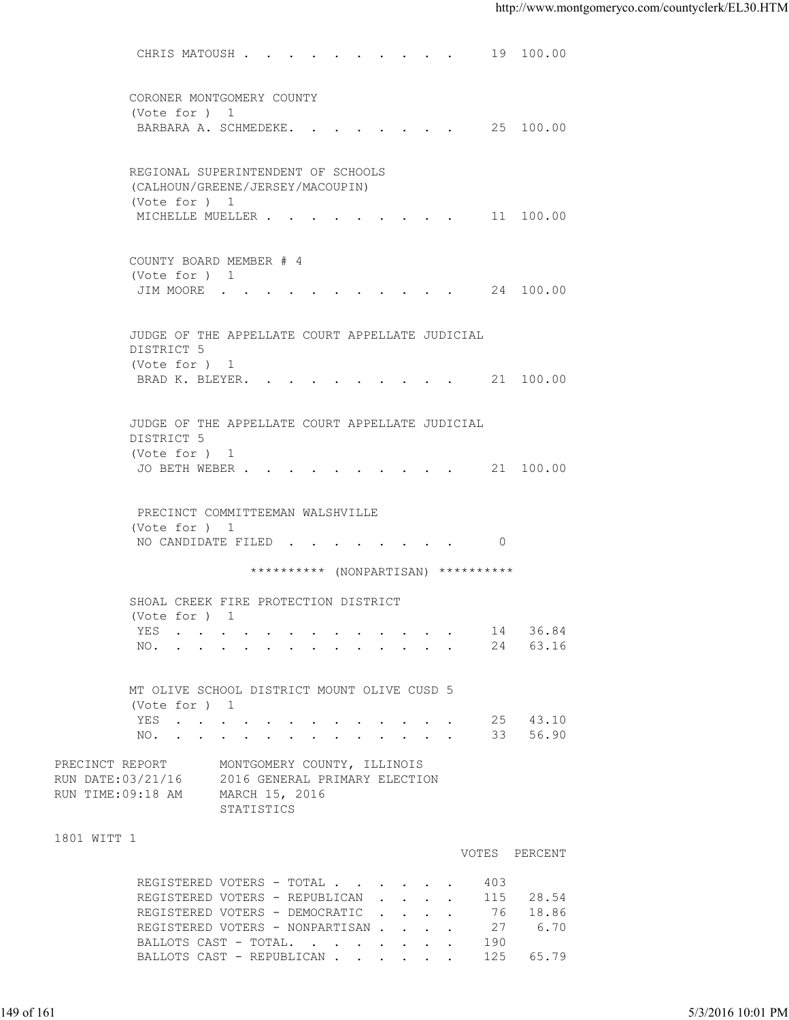| CORONER MONTGOMERY COUNTY<br>(Vote for ) 1<br>BARBARA A. SCHMEDEKE. 25 100.00<br>REGIONAL SUPERINTENDENT OF SCHOOLS<br>(CALHOUN/GREENE/JERSEY/MACOUPIN)<br>(Vote for ) 1<br>MICHELLE MUELLER 11 100.00<br>COUNTY BOARD MEMBER # 4<br>(Vote for ) 1<br>JIM MOORE 24 100.00<br>JUDGE OF THE APPELLATE COURT APPELLATE JUDICIAL<br>DISTRICT 5<br>(Vote for ) 1<br>BRAD K. BLEYER. 21 100.00<br>JUDGE OF THE APPELLATE COURT APPELLATE JUDICIAL<br>DISTRICT 5<br>(Vote for ) 1<br>JO BETH WEBER 21 100.00<br>PRECINCT COMMITTEEMAN WALSHVILLE<br>(Vote for ) 1<br>NO CANDIDATE FILED 0<br>********** (NONPARTISAN) **********<br>SHOAL CREEK FIRE PROTECTION DISTRICT<br>(Vote for ) 1<br>36.84<br>14<br>YES<br>the contract of the contract of the contract of the contract of the contract of the contract of the contract of<br>24 63.16<br>NO.<br>MT OLIVE SCHOOL DISTRICT MOUNT OLIVE CUSD 5<br>(Vote for ) 1<br>25 43.10<br>YES<br>33 56.90<br>NO.<br>PRECINCT REPORT<br>MONTGOMERY COUNTY, ILLINOIS<br>RUN DATE: 03/21/16 2016 GENERAL PRIMARY ELECTION<br>RUN TIME:09:18 AM<br>MARCH 15, 2016<br>STATISTICS<br>1801 WITT 1<br>VOTES PERCENT<br>REGISTERED VOTERS - TOTAL<br>403<br>REGISTERED VOTERS - REPUBLICAN<br>115 28.54<br>76 18.86<br>REGISTERED VOTERS - DEMOCRATIC<br>27<br>REGISTERED VOTERS - NONPARTISAN<br>6.70<br>BALLOTS CAST - TOTAL.<br>190<br>125 65.79<br>BALLOTS CAST - REPUBLICAN | 5/3/2016 10:01 PM |  | CHRIS MATOUSH 19 100.00 |  |  |
|-------------------------------------------------------------------------------------------------------------------------------------------------------------------------------------------------------------------------------------------------------------------------------------------------------------------------------------------------------------------------------------------------------------------------------------------------------------------------------------------------------------------------------------------------------------------------------------------------------------------------------------------------------------------------------------------------------------------------------------------------------------------------------------------------------------------------------------------------------------------------------------------------------------------------------------------------------------------------------------------------------------------------------------------------------------------------------------------------------------------------------------------------------------------------------------------------------------------------------------------------------------------------------------------------------------------------------------------------------------------------------------------------------------|-------------------|--|-------------------------|--|--|
|                                                                                                                                                                                                                                                                                                                                                                                                                                                                                                                                                                                                                                                                                                                                                                                                                                                                                                                                                                                                                                                                                                                                                                                                                                                                                                                                                                                                             |                   |  |                         |  |  |
|                                                                                                                                                                                                                                                                                                                                                                                                                                                                                                                                                                                                                                                                                                                                                                                                                                                                                                                                                                                                                                                                                                                                                                                                                                                                                                                                                                                                             |                   |  |                         |  |  |
|                                                                                                                                                                                                                                                                                                                                                                                                                                                                                                                                                                                                                                                                                                                                                                                                                                                                                                                                                                                                                                                                                                                                                                                                                                                                                                                                                                                                             |                   |  |                         |  |  |
|                                                                                                                                                                                                                                                                                                                                                                                                                                                                                                                                                                                                                                                                                                                                                                                                                                                                                                                                                                                                                                                                                                                                                                                                                                                                                                                                                                                                             |                   |  |                         |  |  |
|                                                                                                                                                                                                                                                                                                                                                                                                                                                                                                                                                                                                                                                                                                                                                                                                                                                                                                                                                                                                                                                                                                                                                                                                                                                                                                                                                                                                             |                   |  |                         |  |  |
|                                                                                                                                                                                                                                                                                                                                                                                                                                                                                                                                                                                                                                                                                                                                                                                                                                                                                                                                                                                                                                                                                                                                                                                                                                                                                                                                                                                                             |                   |  |                         |  |  |
|                                                                                                                                                                                                                                                                                                                                                                                                                                                                                                                                                                                                                                                                                                                                                                                                                                                                                                                                                                                                                                                                                                                                                                                                                                                                                                                                                                                                             |                   |  |                         |  |  |
|                                                                                                                                                                                                                                                                                                                                                                                                                                                                                                                                                                                                                                                                                                                                                                                                                                                                                                                                                                                                                                                                                                                                                                                                                                                                                                                                                                                                             |                   |  |                         |  |  |
|                                                                                                                                                                                                                                                                                                                                                                                                                                                                                                                                                                                                                                                                                                                                                                                                                                                                                                                                                                                                                                                                                                                                                                                                                                                                                                                                                                                                             |                   |  |                         |  |  |
|                                                                                                                                                                                                                                                                                                                                                                                                                                                                                                                                                                                                                                                                                                                                                                                                                                                                                                                                                                                                                                                                                                                                                                                                                                                                                                                                                                                                             |                   |  |                         |  |  |
|                                                                                                                                                                                                                                                                                                                                                                                                                                                                                                                                                                                                                                                                                                                                                                                                                                                                                                                                                                                                                                                                                                                                                                                                                                                                                                                                                                                                             |                   |  |                         |  |  |
|                                                                                                                                                                                                                                                                                                                                                                                                                                                                                                                                                                                                                                                                                                                                                                                                                                                                                                                                                                                                                                                                                                                                                                                                                                                                                                                                                                                                             |                   |  |                         |  |  |
|                                                                                                                                                                                                                                                                                                                                                                                                                                                                                                                                                                                                                                                                                                                                                                                                                                                                                                                                                                                                                                                                                                                                                                                                                                                                                                                                                                                                             |                   |  |                         |  |  |
|                                                                                                                                                                                                                                                                                                                                                                                                                                                                                                                                                                                                                                                                                                                                                                                                                                                                                                                                                                                                                                                                                                                                                                                                                                                                                                                                                                                                             |                   |  |                         |  |  |
| 149 of 161                                                                                                                                                                                                                                                                                                                                                                                                                                                                                                                                                                                                                                                                                                                                                                                                                                                                                                                                                                                                                                                                                                                                                                                                                                                                                                                                                                                                  |                   |  |                         |  |  |
|                                                                                                                                                                                                                                                                                                                                                                                                                                                                                                                                                                                                                                                                                                                                                                                                                                                                                                                                                                                                                                                                                                                                                                                                                                                                                                                                                                                                             |                   |  |                         |  |  |
|                                                                                                                                                                                                                                                                                                                                                                                                                                                                                                                                                                                                                                                                                                                                                                                                                                                                                                                                                                                                                                                                                                                                                                                                                                                                                                                                                                                                             |                   |  |                         |  |  |
|                                                                                                                                                                                                                                                                                                                                                                                                                                                                                                                                                                                                                                                                                                                                                                                                                                                                                                                                                                                                                                                                                                                                                                                                                                                                                                                                                                                                             |                   |  |                         |  |  |
|                                                                                                                                                                                                                                                                                                                                                                                                                                                                                                                                                                                                                                                                                                                                                                                                                                                                                                                                                                                                                                                                                                                                                                                                                                                                                                                                                                                                             |                   |  |                         |  |  |
|                                                                                                                                                                                                                                                                                                                                                                                                                                                                                                                                                                                                                                                                                                                                                                                                                                                                                                                                                                                                                                                                                                                                                                                                                                                                                                                                                                                                             |                   |  |                         |  |  |
|                                                                                                                                                                                                                                                                                                                                                                                                                                                                                                                                                                                                                                                                                                                                                                                                                                                                                                                                                                                                                                                                                                                                                                                                                                                                                                                                                                                                             |                   |  |                         |  |  |
|                                                                                                                                                                                                                                                                                                                                                                                                                                                                                                                                                                                                                                                                                                                                                                                                                                                                                                                                                                                                                                                                                                                                                                                                                                                                                                                                                                                                             |                   |  |                         |  |  |
|                                                                                                                                                                                                                                                                                                                                                                                                                                                                                                                                                                                                                                                                                                                                                                                                                                                                                                                                                                                                                                                                                                                                                                                                                                                                                                                                                                                                             |                   |  |                         |  |  |
|                                                                                                                                                                                                                                                                                                                                                                                                                                                                                                                                                                                                                                                                                                                                                                                                                                                                                                                                                                                                                                                                                                                                                                                                                                                                                                                                                                                                             |                   |  |                         |  |  |
|                                                                                                                                                                                                                                                                                                                                                                                                                                                                                                                                                                                                                                                                                                                                                                                                                                                                                                                                                                                                                                                                                                                                                                                                                                                                                                                                                                                                             |                   |  |                         |  |  |
|                                                                                                                                                                                                                                                                                                                                                                                                                                                                                                                                                                                                                                                                                                                                                                                                                                                                                                                                                                                                                                                                                                                                                                                                                                                                                                                                                                                                             |                   |  |                         |  |  |
|                                                                                                                                                                                                                                                                                                                                                                                                                                                                                                                                                                                                                                                                                                                                                                                                                                                                                                                                                                                                                                                                                                                                                                                                                                                                                                                                                                                                             |                   |  |                         |  |  |
|                                                                                                                                                                                                                                                                                                                                                                                                                                                                                                                                                                                                                                                                                                                                                                                                                                                                                                                                                                                                                                                                                                                                                                                                                                                                                                                                                                                                             |                   |  |                         |  |  |
|                                                                                                                                                                                                                                                                                                                                                                                                                                                                                                                                                                                                                                                                                                                                                                                                                                                                                                                                                                                                                                                                                                                                                                                                                                                                                                                                                                                                             |                   |  |                         |  |  |
|                                                                                                                                                                                                                                                                                                                                                                                                                                                                                                                                                                                                                                                                                                                                                                                                                                                                                                                                                                                                                                                                                                                                                                                                                                                                                                                                                                                                             |                   |  |                         |  |  |
|                                                                                                                                                                                                                                                                                                                                                                                                                                                                                                                                                                                                                                                                                                                                                                                                                                                                                                                                                                                                                                                                                                                                                                                                                                                                                                                                                                                                             |                   |  |                         |  |  |
|                                                                                                                                                                                                                                                                                                                                                                                                                                                                                                                                                                                                                                                                                                                                                                                                                                                                                                                                                                                                                                                                                                                                                                                                                                                                                                                                                                                                             |                   |  |                         |  |  |
|                                                                                                                                                                                                                                                                                                                                                                                                                                                                                                                                                                                                                                                                                                                                                                                                                                                                                                                                                                                                                                                                                                                                                                                                                                                                                                                                                                                                             |                   |  |                         |  |  |
|                                                                                                                                                                                                                                                                                                                                                                                                                                                                                                                                                                                                                                                                                                                                                                                                                                                                                                                                                                                                                                                                                                                                                                                                                                                                                                                                                                                                             |                   |  |                         |  |  |
|                                                                                                                                                                                                                                                                                                                                                                                                                                                                                                                                                                                                                                                                                                                                                                                                                                                                                                                                                                                                                                                                                                                                                                                                                                                                                                                                                                                                             |                   |  |                         |  |  |
|                                                                                                                                                                                                                                                                                                                                                                                                                                                                                                                                                                                                                                                                                                                                                                                                                                                                                                                                                                                                                                                                                                                                                                                                                                                                                                                                                                                                             |                   |  |                         |  |  |
|                                                                                                                                                                                                                                                                                                                                                                                                                                                                                                                                                                                                                                                                                                                                                                                                                                                                                                                                                                                                                                                                                                                                                                                                                                                                                                                                                                                                             |                   |  |                         |  |  |
|                                                                                                                                                                                                                                                                                                                                                                                                                                                                                                                                                                                                                                                                                                                                                                                                                                                                                                                                                                                                                                                                                                                                                                                                                                                                                                                                                                                                             |                   |  |                         |  |  |
|                                                                                                                                                                                                                                                                                                                                                                                                                                                                                                                                                                                                                                                                                                                                                                                                                                                                                                                                                                                                                                                                                                                                                                                                                                                                                                                                                                                                             |                   |  |                         |  |  |
|                                                                                                                                                                                                                                                                                                                                                                                                                                                                                                                                                                                                                                                                                                                                                                                                                                                                                                                                                                                                                                                                                                                                                                                                                                                                                                                                                                                                             |                   |  |                         |  |  |
|                                                                                                                                                                                                                                                                                                                                                                                                                                                                                                                                                                                                                                                                                                                                                                                                                                                                                                                                                                                                                                                                                                                                                                                                                                                                                                                                                                                                             |                   |  |                         |  |  |
|                                                                                                                                                                                                                                                                                                                                                                                                                                                                                                                                                                                                                                                                                                                                                                                                                                                                                                                                                                                                                                                                                                                                                                                                                                                                                                                                                                                                             |                   |  |                         |  |  |
|                                                                                                                                                                                                                                                                                                                                                                                                                                                                                                                                                                                                                                                                                                                                                                                                                                                                                                                                                                                                                                                                                                                                                                                                                                                                                                                                                                                                             |                   |  |                         |  |  |
|                                                                                                                                                                                                                                                                                                                                                                                                                                                                                                                                                                                                                                                                                                                                                                                                                                                                                                                                                                                                                                                                                                                                                                                                                                                                                                                                                                                                             |                   |  |                         |  |  |
|                                                                                                                                                                                                                                                                                                                                                                                                                                                                                                                                                                                                                                                                                                                                                                                                                                                                                                                                                                                                                                                                                                                                                                                                                                                                                                                                                                                                             |                   |  |                         |  |  |
|                                                                                                                                                                                                                                                                                                                                                                                                                                                                                                                                                                                                                                                                                                                                                                                                                                                                                                                                                                                                                                                                                                                                                                                                                                                                                                                                                                                                             |                   |  |                         |  |  |
|                                                                                                                                                                                                                                                                                                                                                                                                                                                                                                                                                                                                                                                                                                                                                                                                                                                                                                                                                                                                                                                                                                                                                                                                                                                                                                                                                                                                             |                   |  |                         |  |  |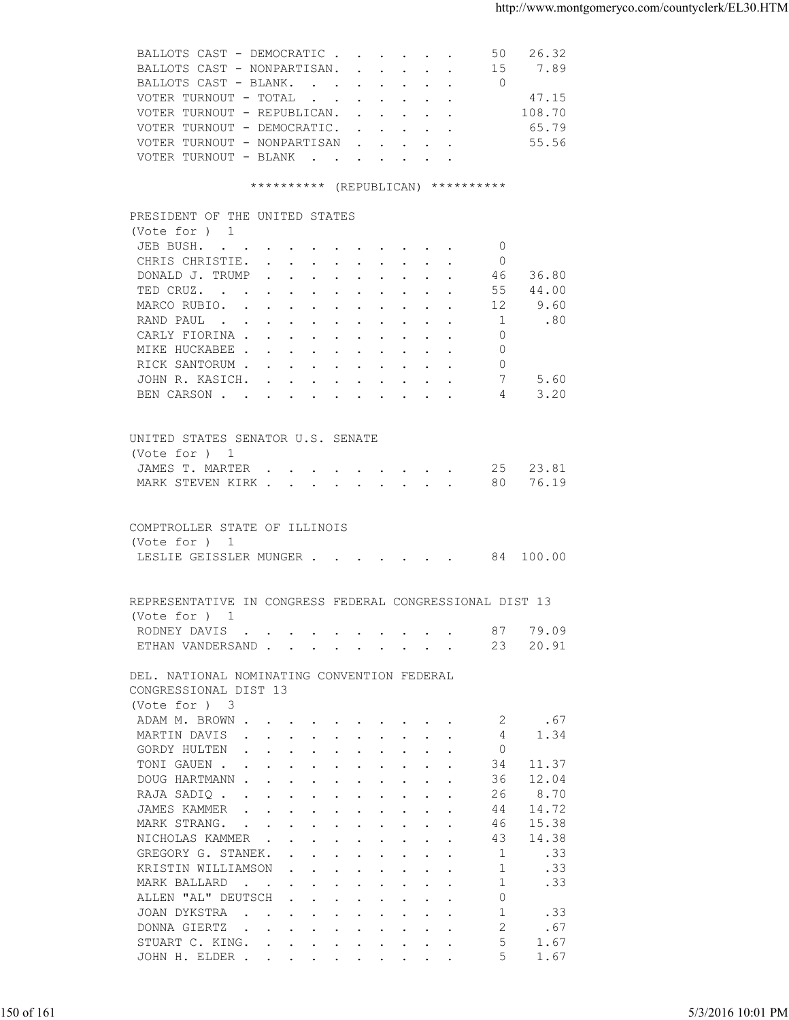| BALLOTS CAST - DEMOCRATIC<br>50 26.32<br>7.89<br>BALLOTS CAST - NONPARTISAN. 15<br>BALLOTS CAST - BLANK.<br>$\overline{0}$<br>VOTER TURNOUT - TOTAL $\cdot \cdot \cdot \cdot \cdot \cdot$<br>47.15<br>108.70<br>VOTER TURNOUT - REPUBLICAN.<br>VOTER TURNOUT - DEMOCRATIC.<br>65.79<br>VOTER TURNOUT - NONPARTISAN<br>55.56<br>VOTER TURNOUT - BLANK<br>********** (REPUBLICAN) **********<br>PRESIDENT OF THE UNITED STATES<br>(Vote for $)$ 1<br>JEB BUSH.<br>$\circ$<br>CHRIS CHRISTIE.<br>- 0<br>DONALD J. TRUMP<br>36.80<br>46<br>44.00<br>TED CRUZ.<br>55<br>9.60<br>MARCO RUBIO.<br>12<br>1<br>.80<br>RAND PAUL<br>CARLY FIORINA<br>$\Omega$<br>MIKE HUCKABEE<br>$\circ$<br>RICK SANTORUM<br>$\Omega$<br>JOHN R. KASICH.<br>7<br>5.60<br>3.20<br>BEN CARSON<br>4<br>UNITED STATES SENATOR U.S. SENATE<br>(Vote for ) 1<br>JAMES T. MARTER 25 23.81<br>76.19<br>MARK STEVEN KIRK 80<br>COMPTROLLER STATE OF ILLINOIS<br>(Vote for ) 1<br>LESLIE GEISSLER MUNGER 84 100.00<br>REPRESENTATIVE IN CONGRESS FEDERAL CONGRESSIONAL DIST 13<br>(Vote for ) 1<br>79.09<br>RODNEY DAVIS<br>87<br>20.91<br>ETHAN VANDERSAND<br>23<br>DEL. NATIONAL NOMINATING CONVENTION FEDERAL<br>CONGRESSIONAL DIST 13<br>(Vote for ) 3<br>ADAM M. BROWN<br>.67<br>2<br>MARTIN DAVIS<br>4<br>1.34<br>$\Omega$<br>GORDY HULTEN<br>TONI GAUEN<br>34<br>11.37<br>36<br>12.04<br>DOUG HARTMANN<br>8.70<br>26<br>RAJA SADIQ<br>14.72<br>JAMES KAMMER<br>44<br>15.38<br>MARK STRANG.<br>46<br>14.38<br>43<br>NICHOLAS KAMMER<br>1<br>.33<br>GREGORY G. STANEK.<br>KRISTIN WILLIAMSON<br>-1<br>.33<br>MARK BALLARD<br>-1<br>.33<br>ALLEN "AL" DEUTSCH<br>$\Omega$<br>$\mathbf{1}$<br>JOAN DYKSTRA<br>.33<br>2<br>DONNA GIERTZ<br>.67<br>5<br>STUART C. KING.<br>1.67<br>5<br>1.67<br>JOHN H. ELDER<br>5/3/2016 10:01 PM | 150 of 161 |  |  |
|--------------------------------------------------------------------------------------------------------------------------------------------------------------------------------------------------------------------------------------------------------------------------------------------------------------------------------------------------------------------------------------------------------------------------------------------------------------------------------------------------------------------------------------------------------------------------------------------------------------------------------------------------------------------------------------------------------------------------------------------------------------------------------------------------------------------------------------------------------------------------------------------------------------------------------------------------------------------------------------------------------------------------------------------------------------------------------------------------------------------------------------------------------------------------------------------------------------------------------------------------------------------------------------------------------------------------------------------------------------------------------------------------------------------------------------------------------------------------------------------------------------------------------------------------------------------------------------------------------------------------------------------------------------------------------------------------------------------------------------------------------------------------------------------------|------------|--|--|
|                                                                                                                                                                                                                                                                                                                                                                                                                                                                                                                                                                                                                                                                                                                                                                                                                                                                                                                                                                                                                                                                                                                                                                                                                                                                                                                                                                                                                                                                                                                                                                                                                                                                                                                                                                                                  |            |  |  |
|                                                                                                                                                                                                                                                                                                                                                                                                                                                                                                                                                                                                                                                                                                                                                                                                                                                                                                                                                                                                                                                                                                                                                                                                                                                                                                                                                                                                                                                                                                                                                                                                                                                                                                                                                                                                  |            |  |  |
|                                                                                                                                                                                                                                                                                                                                                                                                                                                                                                                                                                                                                                                                                                                                                                                                                                                                                                                                                                                                                                                                                                                                                                                                                                                                                                                                                                                                                                                                                                                                                                                                                                                                                                                                                                                                  |            |  |  |
|                                                                                                                                                                                                                                                                                                                                                                                                                                                                                                                                                                                                                                                                                                                                                                                                                                                                                                                                                                                                                                                                                                                                                                                                                                                                                                                                                                                                                                                                                                                                                                                                                                                                                                                                                                                                  |            |  |  |
|                                                                                                                                                                                                                                                                                                                                                                                                                                                                                                                                                                                                                                                                                                                                                                                                                                                                                                                                                                                                                                                                                                                                                                                                                                                                                                                                                                                                                                                                                                                                                                                                                                                                                                                                                                                                  |            |  |  |
|                                                                                                                                                                                                                                                                                                                                                                                                                                                                                                                                                                                                                                                                                                                                                                                                                                                                                                                                                                                                                                                                                                                                                                                                                                                                                                                                                                                                                                                                                                                                                                                                                                                                                                                                                                                                  |            |  |  |
|                                                                                                                                                                                                                                                                                                                                                                                                                                                                                                                                                                                                                                                                                                                                                                                                                                                                                                                                                                                                                                                                                                                                                                                                                                                                                                                                                                                                                                                                                                                                                                                                                                                                                                                                                                                                  |            |  |  |
|                                                                                                                                                                                                                                                                                                                                                                                                                                                                                                                                                                                                                                                                                                                                                                                                                                                                                                                                                                                                                                                                                                                                                                                                                                                                                                                                                                                                                                                                                                                                                                                                                                                                                                                                                                                                  |            |  |  |
|                                                                                                                                                                                                                                                                                                                                                                                                                                                                                                                                                                                                                                                                                                                                                                                                                                                                                                                                                                                                                                                                                                                                                                                                                                                                                                                                                                                                                                                                                                                                                                                                                                                                                                                                                                                                  |            |  |  |
|                                                                                                                                                                                                                                                                                                                                                                                                                                                                                                                                                                                                                                                                                                                                                                                                                                                                                                                                                                                                                                                                                                                                                                                                                                                                                                                                                                                                                                                                                                                                                                                                                                                                                                                                                                                                  |            |  |  |
|                                                                                                                                                                                                                                                                                                                                                                                                                                                                                                                                                                                                                                                                                                                                                                                                                                                                                                                                                                                                                                                                                                                                                                                                                                                                                                                                                                                                                                                                                                                                                                                                                                                                                                                                                                                                  |            |  |  |
|                                                                                                                                                                                                                                                                                                                                                                                                                                                                                                                                                                                                                                                                                                                                                                                                                                                                                                                                                                                                                                                                                                                                                                                                                                                                                                                                                                                                                                                                                                                                                                                                                                                                                                                                                                                                  |            |  |  |
|                                                                                                                                                                                                                                                                                                                                                                                                                                                                                                                                                                                                                                                                                                                                                                                                                                                                                                                                                                                                                                                                                                                                                                                                                                                                                                                                                                                                                                                                                                                                                                                                                                                                                                                                                                                                  |            |  |  |
|                                                                                                                                                                                                                                                                                                                                                                                                                                                                                                                                                                                                                                                                                                                                                                                                                                                                                                                                                                                                                                                                                                                                                                                                                                                                                                                                                                                                                                                                                                                                                                                                                                                                                                                                                                                                  |            |  |  |
|                                                                                                                                                                                                                                                                                                                                                                                                                                                                                                                                                                                                                                                                                                                                                                                                                                                                                                                                                                                                                                                                                                                                                                                                                                                                                                                                                                                                                                                                                                                                                                                                                                                                                                                                                                                                  |            |  |  |
|                                                                                                                                                                                                                                                                                                                                                                                                                                                                                                                                                                                                                                                                                                                                                                                                                                                                                                                                                                                                                                                                                                                                                                                                                                                                                                                                                                                                                                                                                                                                                                                                                                                                                                                                                                                                  |            |  |  |
|                                                                                                                                                                                                                                                                                                                                                                                                                                                                                                                                                                                                                                                                                                                                                                                                                                                                                                                                                                                                                                                                                                                                                                                                                                                                                                                                                                                                                                                                                                                                                                                                                                                                                                                                                                                                  |            |  |  |
|                                                                                                                                                                                                                                                                                                                                                                                                                                                                                                                                                                                                                                                                                                                                                                                                                                                                                                                                                                                                                                                                                                                                                                                                                                                                                                                                                                                                                                                                                                                                                                                                                                                                                                                                                                                                  |            |  |  |
|                                                                                                                                                                                                                                                                                                                                                                                                                                                                                                                                                                                                                                                                                                                                                                                                                                                                                                                                                                                                                                                                                                                                                                                                                                                                                                                                                                                                                                                                                                                                                                                                                                                                                                                                                                                                  |            |  |  |
|                                                                                                                                                                                                                                                                                                                                                                                                                                                                                                                                                                                                                                                                                                                                                                                                                                                                                                                                                                                                                                                                                                                                                                                                                                                                                                                                                                                                                                                                                                                                                                                                                                                                                                                                                                                                  |            |  |  |
|                                                                                                                                                                                                                                                                                                                                                                                                                                                                                                                                                                                                                                                                                                                                                                                                                                                                                                                                                                                                                                                                                                                                                                                                                                                                                                                                                                                                                                                                                                                                                                                                                                                                                                                                                                                                  |            |  |  |
|                                                                                                                                                                                                                                                                                                                                                                                                                                                                                                                                                                                                                                                                                                                                                                                                                                                                                                                                                                                                                                                                                                                                                                                                                                                                                                                                                                                                                                                                                                                                                                                                                                                                                                                                                                                                  |            |  |  |
|                                                                                                                                                                                                                                                                                                                                                                                                                                                                                                                                                                                                                                                                                                                                                                                                                                                                                                                                                                                                                                                                                                                                                                                                                                                                                                                                                                                                                                                                                                                                                                                                                                                                                                                                                                                                  |            |  |  |
|                                                                                                                                                                                                                                                                                                                                                                                                                                                                                                                                                                                                                                                                                                                                                                                                                                                                                                                                                                                                                                                                                                                                                                                                                                                                                                                                                                                                                                                                                                                                                                                                                                                                                                                                                                                                  |            |  |  |
|                                                                                                                                                                                                                                                                                                                                                                                                                                                                                                                                                                                                                                                                                                                                                                                                                                                                                                                                                                                                                                                                                                                                                                                                                                                                                                                                                                                                                                                                                                                                                                                                                                                                                                                                                                                                  |            |  |  |
|                                                                                                                                                                                                                                                                                                                                                                                                                                                                                                                                                                                                                                                                                                                                                                                                                                                                                                                                                                                                                                                                                                                                                                                                                                                                                                                                                                                                                                                                                                                                                                                                                                                                                                                                                                                                  |            |  |  |
|                                                                                                                                                                                                                                                                                                                                                                                                                                                                                                                                                                                                                                                                                                                                                                                                                                                                                                                                                                                                                                                                                                                                                                                                                                                                                                                                                                                                                                                                                                                                                                                                                                                                                                                                                                                                  |            |  |  |
|                                                                                                                                                                                                                                                                                                                                                                                                                                                                                                                                                                                                                                                                                                                                                                                                                                                                                                                                                                                                                                                                                                                                                                                                                                                                                                                                                                                                                                                                                                                                                                                                                                                                                                                                                                                                  |            |  |  |
|                                                                                                                                                                                                                                                                                                                                                                                                                                                                                                                                                                                                                                                                                                                                                                                                                                                                                                                                                                                                                                                                                                                                                                                                                                                                                                                                                                                                                                                                                                                                                                                                                                                                                                                                                                                                  |            |  |  |
|                                                                                                                                                                                                                                                                                                                                                                                                                                                                                                                                                                                                                                                                                                                                                                                                                                                                                                                                                                                                                                                                                                                                                                                                                                                                                                                                                                                                                                                                                                                                                                                                                                                                                                                                                                                                  |            |  |  |
|                                                                                                                                                                                                                                                                                                                                                                                                                                                                                                                                                                                                                                                                                                                                                                                                                                                                                                                                                                                                                                                                                                                                                                                                                                                                                                                                                                                                                                                                                                                                                                                                                                                                                                                                                                                                  |            |  |  |
|                                                                                                                                                                                                                                                                                                                                                                                                                                                                                                                                                                                                                                                                                                                                                                                                                                                                                                                                                                                                                                                                                                                                                                                                                                                                                                                                                                                                                                                                                                                                                                                                                                                                                                                                                                                                  |            |  |  |
|                                                                                                                                                                                                                                                                                                                                                                                                                                                                                                                                                                                                                                                                                                                                                                                                                                                                                                                                                                                                                                                                                                                                                                                                                                                                                                                                                                                                                                                                                                                                                                                                                                                                                                                                                                                                  |            |  |  |
|                                                                                                                                                                                                                                                                                                                                                                                                                                                                                                                                                                                                                                                                                                                                                                                                                                                                                                                                                                                                                                                                                                                                                                                                                                                                                                                                                                                                                                                                                                                                                                                                                                                                                                                                                                                                  |            |  |  |
|                                                                                                                                                                                                                                                                                                                                                                                                                                                                                                                                                                                                                                                                                                                                                                                                                                                                                                                                                                                                                                                                                                                                                                                                                                                                                                                                                                                                                                                                                                                                                                                                                                                                                                                                                                                                  |            |  |  |
|                                                                                                                                                                                                                                                                                                                                                                                                                                                                                                                                                                                                                                                                                                                                                                                                                                                                                                                                                                                                                                                                                                                                                                                                                                                                                                                                                                                                                                                                                                                                                                                                                                                                                                                                                                                                  |            |  |  |
|                                                                                                                                                                                                                                                                                                                                                                                                                                                                                                                                                                                                                                                                                                                                                                                                                                                                                                                                                                                                                                                                                                                                                                                                                                                                                                                                                                                                                                                                                                                                                                                                                                                                                                                                                                                                  |            |  |  |
|                                                                                                                                                                                                                                                                                                                                                                                                                                                                                                                                                                                                                                                                                                                                                                                                                                                                                                                                                                                                                                                                                                                                                                                                                                                                                                                                                                                                                                                                                                                                                                                                                                                                                                                                                                                                  |            |  |  |
|                                                                                                                                                                                                                                                                                                                                                                                                                                                                                                                                                                                                                                                                                                                                                                                                                                                                                                                                                                                                                                                                                                                                                                                                                                                                                                                                                                                                                                                                                                                                                                                                                                                                                                                                                                                                  |            |  |  |
|                                                                                                                                                                                                                                                                                                                                                                                                                                                                                                                                                                                                                                                                                                                                                                                                                                                                                                                                                                                                                                                                                                                                                                                                                                                                                                                                                                                                                                                                                                                                                                                                                                                                                                                                                                                                  |            |  |  |
|                                                                                                                                                                                                                                                                                                                                                                                                                                                                                                                                                                                                                                                                                                                                                                                                                                                                                                                                                                                                                                                                                                                                                                                                                                                                                                                                                                                                                                                                                                                                                                                                                                                                                                                                                                                                  |            |  |  |
|                                                                                                                                                                                                                                                                                                                                                                                                                                                                                                                                                                                                                                                                                                                                                                                                                                                                                                                                                                                                                                                                                                                                                                                                                                                                                                                                                                                                                                                                                                                                                                                                                                                                                                                                                                                                  |            |  |  |
|                                                                                                                                                                                                                                                                                                                                                                                                                                                                                                                                                                                                                                                                                                                                                                                                                                                                                                                                                                                                                                                                                                                                                                                                                                                                                                                                                                                                                                                                                                                                                                                                                                                                                                                                                                                                  |            |  |  |
|                                                                                                                                                                                                                                                                                                                                                                                                                                                                                                                                                                                                                                                                                                                                                                                                                                                                                                                                                                                                                                                                                                                                                                                                                                                                                                                                                                                                                                                                                                                                                                                                                                                                                                                                                                                                  |            |  |  |
|                                                                                                                                                                                                                                                                                                                                                                                                                                                                                                                                                                                                                                                                                                                                                                                                                                                                                                                                                                                                                                                                                                                                                                                                                                                                                                                                                                                                                                                                                                                                                                                                                                                                                                                                                                                                  |            |  |  |
|                                                                                                                                                                                                                                                                                                                                                                                                                                                                                                                                                                                                                                                                                                                                                                                                                                                                                                                                                                                                                                                                                                                                                                                                                                                                                                                                                                                                                                                                                                                                                                                                                                                                                                                                                                                                  |            |  |  |
|                                                                                                                                                                                                                                                                                                                                                                                                                                                                                                                                                                                                                                                                                                                                                                                                                                                                                                                                                                                                                                                                                                                                                                                                                                                                                                                                                                                                                                                                                                                                                                                                                                                                                                                                                                                                  |            |  |  |
|                                                                                                                                                                                                                                                                                                                                                                                                                                                                                                                                                                                                                                                                                                                                                                                                                                                                                                                                                                                                                                                                                                                                                                                                                                                                                                                                                                                                                                                                                                                                                                                                                                                                                                                                                                                                  |            |  |  |
|                                                                                                                                                                                                                                                                                                                                                                                                                                                                                                                                                                                                                                                                                                                                                                                                                                                                                                                                                                                                                                                                                                                                                                                                                                                                                                                                                                                                                                                                                                                                                                                                                                                                                                                                                                                                  |            |  |  |
|                                                                                                                                                                                                                                                                                                                                                                                                                                                                                                                                                                                                                                                                                                                                                                                                                                                                                                                                                                                                                                                                                                                                                                                                                                                                                                                                                                                                                                                                                                                                                                                                                                                                                                                                                                                                  |            |  |  |
|                                                                                                                                                                                                                                                                                                                                                                                                                                                                                                                                                                                                                                                                                                                                                                                                                                                                                                                                                                                                                                                                                                                                                                                                                                                                                                                                                                                                                                                                                                                                                                                                                                                                                                                                                                                                  |            |  |  |
|                                                                                                                                                                                                                                                                                                                                                                                                                                                                                                                                                                                                                                                                                                                                                                                                                                                                                                                                                                                                                                                                                                                                                                                                                                                                                                                                                                                                                                                                                                                                                                                                                                                                                                                                                                                                  |            |  |  |
|                                                                                                                                                                                                                                                                                                                                                                                                                                                                                                                                                                                                                                                                                                                                                                                                                                                                                                                                                                                                                                                                                                                                                                                                                                                                                                                                                                                                                                                                                                                                                                                                                                                                                                                                                                                                  |            |  |  |
|                                                                                                                                                                                                                                                                                                                                                                                                                                                                                                                                                                                                                                                                                                                                                                                                                                                                                                                                                                                                                                                                                                                                                                                                                                                                                                                                                                                                                                                                                                                                                                                                                                                                                                                                                                                                  |            |  |  |
|                                                                                                                                                                                                                                                                                                                                                                                                                                                                                                                                                                                                                                                                                                                                                                                                                                                                                                                                                                                                                                                                                                                                                                                                                                                                                                                                                                                                                                                                                                                                                                                                                                                                                                                                                                                                  |            |  |  |
|                                                                                                                                                                                                                                                                                                                                                                                                                                                                                                                                                                                                                                                                                                                                                                                                                                                                                                                                                                                                                                                                                                                                                                                                                                                                                                                                                                                                                                                                                                                                                                                                                                                                                                                                                                                                  |            |  |  |
|                                                                                                                                                                                                                                                                                                                                                                                                                                                                                                                                                                                                                                                                                                                                                                                                                                                                                                                                                                                                                                                                                                                                                                                                                                                                                                                                                                                                                                                                                                                                                                                                                                                                                                                                                                                                  |            |  |  |
|                                                                                                                                                                                                                                                                                                                                                                                                                                                                                                                                                                                                                                                                                                                                                                                                                                                                                                                                                                                                                                                                                                                                                                                                                                                                                                                                                                                                                                                                                                                                                                                                                                                                                                                                                                                                  |            |  |  |
|                                                                                                                                                                                                                                                                                                                                                                                                                                                                                                                                                                                                                                                                                                                                                                                                                                                                                                                                                                                                                                                                                                                                                                                                                                                                                                                                                                                                                                                                                                                                                                                                                                                                                                                                                                                                  |            |  |  |
|                                                                                                                                                                                                                                                                                                                                                                                                                                                                                                                                                                                                                                                                                                                                                                                                                                                                                                                                                                                                                                                                                                                                                                                                                                                                                                                                                                                                                                                                                                                                                                                                                                                                                                                                                                                                  |            |  |  |
|                                                                                                                                                                                                                                                                                                                                                                                                                                                                                                                                                                                                                                                                                                                                                                                                                                                                                                                                                                                                                                                                                                                                                                                                                                                                                                                                                                                                                                                                                                                                                                                                                                                                                                                                                                                                  |            |  |  |
|                                                                                                                                                                                                                                                                                                                                                                                                                                                                                                                                                                                                                                                                                                                                                                                                                                                                                                                                                                                                                                                                                                                                                                                                                                                                                                                                                                                                                                                                                                                                                                                                                                                                                                                                                                                                  |            |  |  |
|                                                                                                                                                                                                                                                                                                                                                                                                                                                                                                                                                                                                                                                                                                                                                                                                                                                                                                                                                                                                                                                                                                                                                                                                                                                                                                                                                                                                                                                                                                                                                                                                                                                                                                                                                                                                  |            |  |  |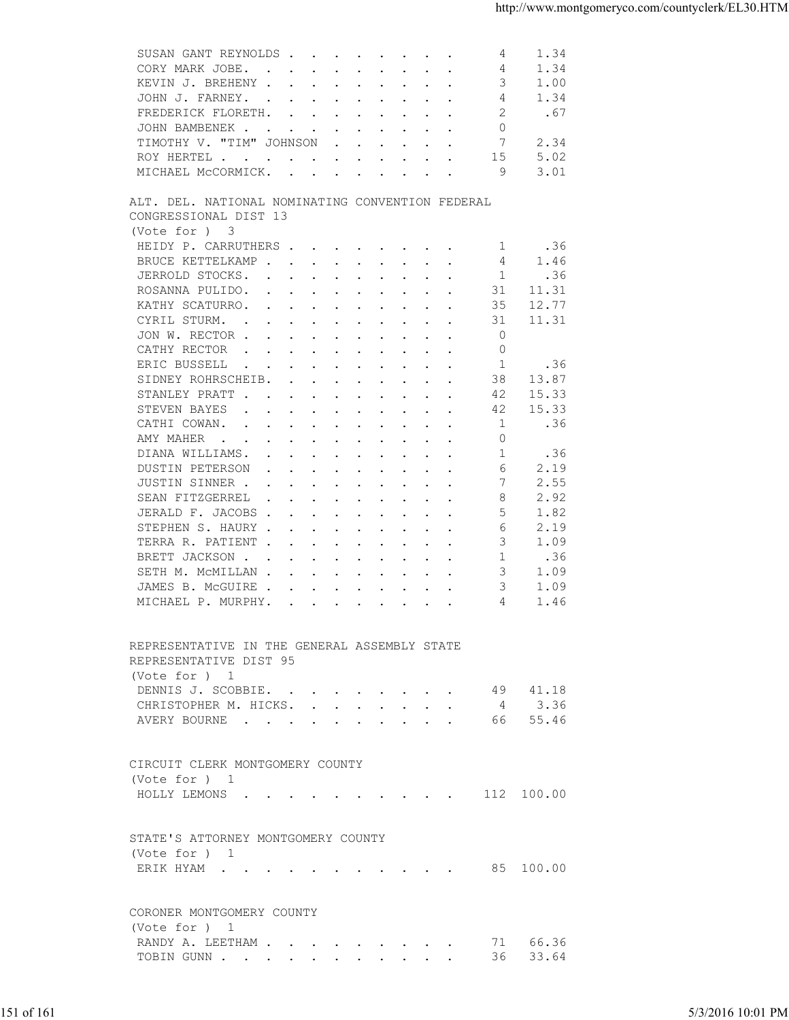| 4<br>KEVIN J. BREHENY<br>3<br>1.00<br>1.34<br>JOHN J. FARNEY.<br>4<br>2<br>FREDERICK FLORETH.<br>.67<br>JOHN BAMBENEK<br>$\mathbf{0}$<br>TIMOTHY V. "TIM" JOHNSON<br>7<br>2.34<br>$\mathbf{r}$ , $\mathbf{r}$ , $\mathbf{r}$ , $\mathbf{r}$ , $\mathbf{r}$<br>5.02<br>15<br>ROY HERTEL<br>MICHAEL MCCORMICK.<br>9<br>3.01<br>ALT. DEL. NATIONAL NOMINATING CONVENTION FEDERAL<br>CONGRESSIONAL DIST 13<br>(Vote for ) 3<br>HEIDY P. CARRUTHERS<br>.36<br>1<br>BRUCE KETTELKAMP<br>1.46<br>4<br>JERROLD STOCKS.<br>.36<br>1<br>ROSANNA PULIDO.<br>31<br>11.31<br>KATHY SCATURRO.<br>35<br>12.77<br>11.31<br>CYRIL STURM.<br>31<br>the contract of the contract of the contract of the contract of the contract of the contract of the contract of<br>JON W. RECTOR<br>$\mathbf 0$<br>CATHY RECTOR<br>$\circ$<br>the contract of the contract of the contract of the contract of the contract of the contract of the contract of<br>ERIC BUSSELL<br>1<br>.36<br>$\mathbf{r}$ , and $\mathbf{r}$ , and $\mathbf{r}$ , and $\mathbf{r}$ , and $\mathbf{r}$<br>SIDNEY ROHRSCHEIB.<br>38<br>13.87<br>STANLEY PRATT<br>15.33<br>42<br>15.33<br>STEVEN BAYES<br>42<br>$\mathbf{r}$ , $\mathbf{r}$ , $\mathbf{r}$ , $\mathbf{r}$ , $\mathbf{r}$ , $\mathbf{r}$ , $\mathbf{r}$ , $\mathbf{r}$<br>1<br>CATHI COWAN.<br>.36<br>$\mathbf{r}$ , and $\mathbf{r}$ , and $\mathbf{r}$ , and $\mathbf{r}$ , and $\mathbf{r}$<br>$\circ$<br>AMY MAHER<br>the contract of the contract of the contract of the contract of the contract of the contract of the contract of<br>-1<br>DIANA WILLIAMS.<br>.36<br>DUSTIN PETERSON<br>2.19<br>6<br>2.55<br>JUSTIN SINNER<br>7<br>2.92<br>SEAN FITZGERREL<br>8<br>$\mathbf{a}$ and $\mathbf{a}$ are all $\mathbf{a}$ and $\mathbf{a}$ are all $\mathbf{a}$ and $\mathbf{a}$<br>JERALD F. JACOBS<br>5<br>1.82<br>STEPHEN S. HAURY<br>2.19<br>6<br>TERRA R. PATIENT<br>3<br>1.09<br>BRETT JACKSON<br>-1<br>.36<br>3<br>SETH M. MCMILLAN<br>1.09<br>3<br>1.09<br>JAMES B. MCGUIRE<br>MICHAEL P. MURPHY.<br>1.46<br>4<br>REPRESENTATIVE IN THE GENERAL ASSEMBLY STATE<br>REPRESENTATIVE DIST 95<br>(Vote for ) 1<br>DENNIS J. SCOBBIE. 49 41.18<br>CHRISTOPHER M. HICKS. 4 3.36<br>AVERY BOURNE 66 55.46<br>CIRCUIT CLERK MONTGOMERY COUNTY<br>(Vote for ) 1<br>HOLLY LEMONS 112 100.00<br>STATE'S ATTORNEY MONTGOMERY COUNTY<br>(Vote for ) 1<br>ERIK HYAM 85 100.00<br>CORONER MONTGOMERY COUNTY<br>(Vote for ) 1<br>RANDY A. LEETHAM 71 66.36<br>TOBIN GUNN 36 33.64<br>151 of 161<br>5/3/2016 10:01 PM | SUSAN GANT REYNOLDS<br>1.34<br>4 |  |
|------------------------------------------------------------------------------------------------------------------------------------------------------------------------------------------------------------------------------------------------------------------------------------------------------------------------------------------------------------------------------------------------------------------------------------------------------------------------------------------------------------------------------------------------------------------------------------------------------------------------------------------------------------------------------------------------------------------------------------------------------------------------------------------------------------------------------------------------------------------------------------------------------------------------------------------------------------------------------------------------------------------------------------------------------------------------------------------------------------------------------------------------------------------------------------------------------------------------------------------------------------------------------------------------------------------------------------------------------------------------------------------------------------------------------------------------------------------------------------------------------------------------------------------------------------------------------------------------------------------------------------------------------------------------------------------------------------------------------------------------------------------------------------------------------------------------------------------------------------------------------------------------------------------------------------------------------------------------------------------------------------------------------------------------------------------------------------------------------------------------------------------------------------------------------------------------------------------------------------------------------------------------------------------------------------------------------------------------------------------------------------------------------------------------------------------------------------------------------------------------------------------------------|----------------------------------|--|
|                                                                                                                                                                                                                                                                                                                                                                                                                                                                                                                                                                                                                                                                                                                                                                                                                                                                                                                                                                                                                                                                                                                                                                                                                                                                                                                                                                                                                                                                                                                                                                                                                                                                                                                                                                                                                                                                                                                                                                                                                                                                                                                                                                                                                                                                                                                                                                                                                                                                                                                              | CORY MARK JOBE.<br>1.34          |  |
|                                                                                                                                                                                                                                                                                                                                                                                                                                                                                                                                                                                                                                                                                                                                                                                                                                                                                                                                                                                                                                                                                                                                                                                                                                                                                                                                                                                                                                                                                                                                                                                                                                                                                                                                                                                                                                                                                                                                                                                                                                                                                                                                                                                                                                                                                                                                                                                                                                                                                                                              |                                  |  |
|                                                                                                                                                                                                                                                                                                                                                                                                                                                                                                                                                                                                                                                                                                                                                                                                                                                                                                                                                                                                                                                                                                                                                                                                                                                                                                                                                                                                                                                                                                                                                                                                                                                                                                                                                                                                                                                                                                                                                                                                                                                                                                                                                                                                                                                                                                                                                                                                                                                                                                                              |                                  |  |
|                                                                                                                                                                                                                                                                                                                                                                                                                                                                                                                                                                                                                                                                                                                                                                                                                                                                                                                                                                                                                                                                                                                                                                                                                                                                                                                                                                                                                                                                                                                                                                                                                                                                                                                                                                                                                                                                                                                                                                                                                                                                                                                                                                                                                                                                                                                                                                                                                                                                                                                              |                                  |  |
|                                                                                                                                                                                                                                                                                                                                                                                                                                                                                                                                                                                                                                                                                                                                                                                                                                                                                                                                                                                                                                                                                                                                                                                                                                                                                                                                                                                                                                                                                                                                                                                                                                                                                                                                                                                                                                                                                                                                                                                                                                                                                                                                                                                                                                                                                                                                                                                                                                                                                                                              |                                  |  |
|                                                                                                                                                                                                                                                                                                                                                                                                                                                                                                                                                                                                                                                                                                                                                                                                                                                                                                                                                                                                                                                                                                                                                                                                                                                                                                                                                                                                                                                                                                                                                                                                                                                                                                                                                                                                                                                                                                                                                                                                                                                                                                                                                                                                                                                                                                                                                                                                                                                                                                                              |                                  |  |
|                                                                                                                                                                                                                                                                                                                                                                                                                                                                                                                                                                                                                                                                                                                                                                                                                                                                                                                                                                                                                                                                                                                                                                                                                                                                                                                                                                                                                                                                                                                                                                                                                                                                                                                                                                                                                                                                                                                                                                                                                                                                                                                                                                                                                                                                                                                                                                                                                                                                                                                              |                                  |  |
|                                                                                                                                                                                                                                                                                                                                                                                                                                                                                                                                                                                                                                                                                                                                                                                                                                                                                                                                                                                                                                                                                                                                                                                                                                                                                                                                                                                                                                                                                                                                                                                                                                                                                                                                                                                                                                                                                                                                                                                                                                                                                                                                                                                                                                                                                                                                                                                                                                                                                                                              |                                  |  |
|                                                                                                                                                                                                                                                                                                                                                                                                                                                                                                                                                                                                                                                                                                                                                                                                                                                                                                                                                                                                                                                                                                                                                                                                                                                                                                                                                                                                                                                                                                                                                                                                                                                                                                                                                                                                                                                                                                                                                                                                                                                                                                                                                                                                                                                                                                                                                                                                                                                                                                                              |                                  |  |
|                                                                                                                                                                                                                                                                                                                                                                                                                                                                                                                                                                                                                                                                                                                                                                                                                                                                                                                                                                                                                                                                                                                                                                                                                                                                                                                                                                                                                                                                                                                                                                                                                                                                                                                                                                                                                                                                                                                                                                                                                                                                                                                                                                                                                                                                                                                                                                                                                                                                                                                              |                                  |  |
|                                                                                                                                                                                                                                                                                                                                                                                                                                                                                                                                                                                                                                                                                                                                                                                                                                                                                                                                                                                                                                                                                                                                                                                                                                                                                                                                                                                                                                                                                                                                                                                                                                                                                                                                                                                                                                                                                                                                                                                                                                                                                                                                                                                                                                                                                                                                                                                                                                                                                                                              |                                  |  |
|                                                                                                                                                                                                                                                                                                                                                                                                                                                                                                                                                                                                                                                                                                                                                                                                                                                                                                                                                                                                                                                                                                                                                                                                                                                                                                                                                                                                                                                                                                                                                                                                                                                                                                                                                                                                                                                                                                                                                                                                                                                                                                                                                                                                                                                                                                                                                                                                                                                                                                                              |                                  |  |
|                                                                                                                                                                                                                                                                                                                                                                                                                                                                                                                                                                                                                                                                                                                                                                                                                                                                                                                                                                                                                                                                                                                                                                                                                                                                                                                                                                                                                                                                                                                                                                                                                                                                                                                                                                                                                                                                                                                                                                                                                                                                                                                                                                                                                                                                                                                                                                                                                                                                                                                              |                                  |  |
|                                                                                                                                                                                                                                                                                                                                                                                                                                                                                                                                                                                                                                                                                                                                                                                                                                                                                                                                                                                                                                                                                                                                                                                                                                                                                                                                                                                                                                                                                                                                                                                                                                                                                                                                                                                                                                                                                                                                                                                                                                                                                                                                                                                                                                                                                                                                                                                                                                                                                                                              |                                  |  |
|                                                                                                                                                                                                                                                                                                                                                                                                                                                                                                                                                                                                                                                                                                                                                                                                                                                                                                                                                                                                                                                                                                                                                                                                                                                                                                                                                                                                                                                                                                                                                                                                                                                                                                                                                                                                                                                                                                                                                                                                                                                                                                                                                                                                                                                                                                                                                                                                                                                                                                                              |                                  |  |
|                                                                                                                                                                                                                                                                                                                                                                                                                                                                                                                                                                                                                                                                                                                                                                                                                                                                                                                                                                                                                                                                                                                                                                                                                                                                                                                                                                                                                                                                                                                                                                                                                                                                                                                                                                                                                                                                                                                                                                                                                                                                                                                                                                                                                                                                                                                                                                                                                                                                                                                              |                                  |  |
|                                                                                                                                                                                                                                                                                                                                                                                                                                                                                                                                                                                                                                                                                                                                                                                                                                                                                                                                                                                                                                                                                                                                                                                                                                                                                                                                                                                                                                                                                                                                                                                                                                                                                                                                                                                                                                                                                                                                                                                                                                                                                                                                                                                                                                                                                                                                                                                                                                                                                                                              |                                  |  |
|                                                                                                                                                                                                                                                                                                                                                                                                                                                                                                                                                                                                                                                                                                                                                                                                                                                                                                                                                                                                                                                                                                                                                                                                                                                                                                                                                                                                                                                                                                                                                                                                                                                                                                                                                                                                                                                                                                                                                                                                                                                                                                                                                                                                                                                                                                                                                                                                                                                                                                                              |                                  |  |
|                                                                                                                                                                                                                                                                                                                                                                                                                                                                                                                                                                                                                                                                                                                                                                                                                                                                                                                                                                                                                                                                                                                                                                                                                                                                                                                                                                                                                                                                                                                                                                                                                                                                                                                                                                                                                                                                                                                                                                                                                                                                                                                                                                                                                                                                                                                                                                                                                                                                                                                              |                                  |  |
|                                                                                                                                                                                                                                                                                                                                                                                                                                                                                                                                                                                                                                                                                                                                                                                                                                                                                                                                                                                                                                                                                                                                                                                                                                                                                                                                                                                                                                                                                                                                                                                                                                                                                                                                                                                                                                                                                                                                                                                                                                                                                                                                                                                                                                                                                                                                                                                                                                                                                                                              |                                  |  |
|                                                                                                                                                                                                                                                                                                                                                                                                                                                                                                                                                                                                                                                                                                                                                                                                                                                                                                                                                                                                                                                                                                                                                                                                                                                                                                                                                                                                                                                                                                                                                                                                                                                                                                                                                                                                                                                                                                                                                                                                                                                                                                                                                                                                                                                                                                                                                                                                                                                                                                                              |                                  |  |
|                                                                                                                                                                                                                                                                                                                                                                                                                                                                                                                                                                                                                                                                                                                                                                                                                                                                                                                                                                                                                                                                                                                                                                                                                                                                                                                                                                                                                                                                                                                                                                                                                                                                                                                                                                                                                                                                                                                                                                                                                                                                                                                                                                                                                                                                                                                                                                                                                                                                                                                              |                                  |  |
|                                                                                                                                                                                                                                                                                                                                                                                                                                                                                                                                                                                                                                                                                                                                                                                                                                                                                                                                                                                                                                                                                                                                                                                                                                                                                                                                                                                                                                                                                                                                                                                                                                                                                                                                                                                                                                                                                                                                                                                                                                                                                                                                                                                                                                                                                                                                                                                                                                                                                                                              |                                  |  |
|                                                                                                                                                                                                                                                                                                                                                                                                                                                                                                                                                                                                                                                                                                                                                                                                                                                                                                                                                                                                                                                                                                                                                                                                                                                                                                                                                                                                                                                                                                                                                                                                                                                                                                                                                                                                                                                                                                                                                                                                                                                                                                                                                                                                                                                                                                                                                                                                                                                                                                                              |                                  |  |
|                                                                                                                                                                                                                                                                                                                                                                                                                                                                                                                                                                                                                                                                                                                                                                                                                                                                                                                                                                                                                                                                                                                                                                                                                                                                                                                                                                                                                                                                                                                                                                                                                                                                                                                                                                                                                                                                                                                                                                                                                                                                                                                                                                                                                                                                                                                                                                                                                                                                                                                              |                                  |  |
|                                                                                                                                                                                                                                                                                                                                                                                                                                                                                                                                                                                                                                                                                                                                                                                                                                                                                                                                                                                                                                                                                                                                                                                                                                                                                                                                                                                                                                                                                                                                                                                                                                                                                                                                                                                                                                                                                                                                                                                                                                                                                                                                                                                                                                                                                                                                                                                                                                                                                                                              |                                  |  |
|                                                                                                                                                                                                                                                                                                                                                                                                                                                                                                                                                                                                                                                                                                                                                                                                                                                                                                                                                                                                                                                                                                                                                                                                                                                                                                                                                                                                                                                                                                                                                                                                                                                                                                                                                                                                                                                                                                                                                                                                                                                                                                                                                                                                                                                                                                                                                                                                                                                                                                                              |                                  |  |
|                                                                                                                                                                                                                                                                                                                                                                                                                                                                                                                                                                                                                                                                                                                                                                                                                                                                                                                                                                                                                                                                                                                                                                                                                                                                                                                                                                                                                                                                                                                                                                                                                                                                                                                                                                                                                                                                                                                                                                                                                                                                                                                                                                                                                                                                                                                                                                                                                                                                                                                              |                                  |  |
|                                                                                                                                                                                                                                                                                                                                                                                                                                                                                                                                                                                                                                                                                                                                                                                                                                                                                                                                                                                                                                                                                                                                                                                                                                                                                                                                                                                                                                                                                                                                                                                                                                                                                                                                                                                                                                                                                                                                                                                                                                                                                                                                                                                                                                                                                                                                                                                                                                                                                                                              |                                  |  |
|                                                                                                                                                                                                                                                                                                                                                                                                                                                                                                                                                                                                                                                                                                                                                                                                                                                                                                                                                                                                                                                                                                                                                                                                                                                                                                                                                                                                                                                                                                                                                                                                                                                                                                                                                                                                                                                                                                                                                                                                                                                                                                                                                                                                                                                                                                                                                                                                                                                                                                                              |                                  |  |
|                                                                                                                                                                                                                                                                                                                                                                                                                                                                                                                                                                                                                                                                                                                                                                                                                                                                                                                                                                                                                                                                                                                                                                                                                                                                                                                                                                                                                                                                                                                                                                                                                                                                                                                                                                                                                                                                                                                                                                                                                                                                                                                                                                                                                                                                                                                                                                                                                                                                                                                              |                                  |  |
|                                                                                                                                                                                                                                                                                                                                                                                                                                                                                                                                                                                                                                                                                                                                                                                                                                                                                                                                                                                                                                                                                                                                                                                                                                                                                                                                                                                                                                                                                                                                                                                                                                                                                                                                                                                                                                                                                                                                                                                                                                                                                                                                                                                                                                                                                                                                                                                                                                                                                                                              |                                  |  |
|                                                                                                                                                                                                                                                                                                                                                                                                                                                                                                                                                                                                                                                                                                                                                                                                                                                                                                                                                                                                                                                                                                                                                                                                                                                                                                                                                                                                                                                                                                                                                                                                                                                                                                                                                                                                                                                                                                                                                                                                                                                                                                                                                                                                                                                                                                                                                                                                                                                                                                                              |                                  |  |
|                                                                                                                                                                                                                                                                                                                                                                                                                                                                                                                                                                                                                                                                                                                                                                                                                                                                                                                                                                                                                                                                                                                                                                                                                                                                                                                                                                                                                                                                                                                                                                                                                                                                                                                                                                                                                                                                                                                                                                                                                                                                                                                                                                                                                                                                                                                                                                                                                                                                                                                              |                                  |  |
|                                                                                                                                                                                                                                                                                                                                                                                                                                                                                                                                                                                                                                                                                                                                                                                                                                                                                                                                                                                                                                                                                                                                                                                                                                                                                                                                                                                                                                                                                                                                                                                                                                                                                                                                                                                                                                                                                                                                                                                                                                                                                                                                                                                                                                                                                                                                                                                                                                                                                                                              |                                  |  |
|                                                                                                                                                                                                                                                                                                                                                                                                                                                                                                                                                                                                                                                                                                                                                                                                                                                                                                                                                                                                                                                                                                                                                                                                                                                                                                                                                                                                                                                                                                                                                                                                                                                                                                                                                                                                                                                                                                                                                                                                                                                                                                                                                                                                                                                                                                                                                                                                                                                                                                                              |                                  |  |
|                                                                                                                                                                                                                                                                                                                                                                                                                                                                                                                                                                                                                                                                                                                                                                                                                                                                                                                                                                                                                                                                                                                                                                                                                                                                                                                                                                                                                                                                                                                                                                                                                                                                                                                                                                                                                                                                                                                                                                                                                                                                                                                                                                                                                                                                                                                                                                                                                                                                                                                              |                                  |  |
|                                                                                                                                                                                                                                                                                                                                                                                                                                                                                                                                                                                                                                                                                                                                                                                                                                                                                                                                                                                                                                                                                                                                                                                                                                                                                                                                                                                                                                                                                                                                                                                                                                                                                                                                                                                                                                                                                                                                                                                                                                                                                                                                                                                                                                                                                                                                                                                                                                                                                                                              |                                  |  |
|                                                                                                                                                                                                                                                                                                                                                                                                                                                                                                                                                                                                                                                                                                                                                                                                                                                                                                                                                                                                                                                                                                                                                                                                                                                                                                                                                                                                                                                                                                                                                                                                                                                                                                                                                                                                                                                                                                                                                                                                                                                                                                                                                                                                                                                                                                                                                                                                                                                                                                                              |                                  |  |
|                                                                                                                                                                                                                                                                                                                                                                                                                                                                                                                                                                                                                                                                                                                                                                                                                                                                                                                                                                                                                                                                                                                                                                                                                                                                                                                                                                                                                                                                                                                                                                                                                                                                                                                                                                                                                                                                                                                                                                                                                                                                                                                                                                                                                                                                                                                                                                                                                                                                                                                              |                                  |  |
|                                                                                                                                                                                                                                                                                                                                                                                                                                                                                                                                                                                                                                                                                                                                                                                                                                                                                                                                                                                                                                                                                                                                                                                                                                                                                                                                                                                                                                                                                                                                                                                                                                                                                                                                                                                                                                                                                                                                                                                                                                                                                                                                                                                                                                                                                                                                                                                                                                                                                                                              |                                  |  |
|                                                                                                                                                                                                                                                                                                                                                                                                                                                                                                                                                                                                                                                                                                                                                                                                                                                                                                                                                                                                                                                                                                                                                                                                                                                                                                                                                                                                                                                                                                                                                                                                                                                                                                                                                                                                                                                                                                                                                                                                                                                                                                                                                                                                                                                                                                                                                                                                                                                                                                                              |                                  |  |
|                                                                                                                                                                                                                                                                                                                                                                                                                                                                                                                                                                                                                                                                                                                                                                                                                                                                                                                                                                                                                                                                                                                                                                                                                                                                                                                                                                                                                                                                                                                                                                                                                                                                                                                                                                                                                                                                                                                                                                                                                                                                                                                                                                                                                                                                                                                                                                                                                                                                                                                              |                                  |  |
|                                                                                                                                                                                                                                                                                                                                                                                                                                                                                                                                                                                                                                                                                                                                                                                                                                                                                                                                                                                                                                                                                                                                                                                                                                                                                                                                                                                                                                                                                                                                                                                                                                                                                                                                                                                                                                                                                                                                                                                                                                                                                                                                                                                                                                                                                                                                                                                                                                                                                                                              |                                  |  |
|                                                                                                                                                                                                                                                                                                                                                                                                                                                                                                                                                                                                                                                                                                                                                                                                                                                                                                                                                                                                                                                                                                                                                                                                                                                                                                                                                                                                                                                                                                                                                                                                                                                                                                                                                                                                                                                                                                                                                                                                                                                                                                                                                                                                                                                                                                                                                                                                                                                                                                                              |                                  |  |
|                                                                                                                                                                                                                                                                                                                                                                                                                                                                                                                                                                                                                                                                                                                                                                                                                                                                                                                                                                                                                                                                                                                                                                                                                                                                                                                                                                                                                                                                                                                                                                                                                                                                                                                                                                                                                                                                                                                                                                                                                                                                                                                                                                                                                                                                                                                                                                                                                                                                                                                              |                                  |  |
|                                                                                                                                                                                                                                                                                                                                                                                                                                                                                                                                                                                                                                                                                                                                                                                                                                                                                                                                                                                                                                                                                                                                                                                                                                                                                                                                                                                                                                                                                                                                                                                                                                                                                                                                                                                                                                                                                                                                                                                                                                                                                                                                                                                                                                                                                                                                                                                                                                                                                                                              |                                  |  |
|                                                                                                                                                                                                                                                                                                                                                                                                                                                                                                                                                                                                                                                                                                                                                                                                                                                                                                                                                                                                                                                                                                                                                                                                                                                                                                                                                                                                                                                                                                                                                                                                                                                                                                                                                                                                                                                                                                                                                                                                                                                                                                                                                                                                                                                                                                                                                                                                                                                                                                                              |                                  |  |
|                                                                                                                                                                                                                                                                                                                                                                                                                                                                                                                                                                                                                                                                                                                                                                                                                                                                                                                                                                                                                                                                                                                                                                                                                                                                                                                                                                                                                                                                                                                                                                                                                                                                                                                                                                                                                                                                                                                                                                                                                                                                                                                                                                                                                                                                                                                                                                                                                                                                                                                              |                                  |  |
|                                                                                                                                                                                                                                                                                                                                                                                                                                                                                                                                                                                                                                                                                                                                                                                                                                                                                                                                                                                                                                                                                                                                                                                                                                                                                                                                                                                                                                                                                                                                                                                                                                                                                                                                                                                                                                                                                                                                                                                                                                                                                                                                                                                                                                                                                                                                                                                                                                                                                                                              |                                  |  |
|                                                                                                                                                                                                                                                                                                                                                                                                                                                                                                                                                                                                                                                                                                                                                                                                                                                                                                                                                                                                                                                                                                                                                                                                                                                                                                                                                                                                                                                                                                                                                                                                                                                                                                                                                                                                                                                                                                                                                                                                                                                                                                                                                                                                                                                                                                                                                                                                                                                                                                                              |                                  |  |
|                                                                                                                                                                                                                                                                                                                                                                                                                                                                                                                                                                                                                                                                                                                                                                                                                                                                                                                                                                                                                                                                                                                                                                                                                                                                                                                                                                                                                                                                                                                                                                                                                                                                                                                                                                                                                                                                                                                                                                                                                                                                                                                                                                                                                                                                                                                                                                                                                                                                                                                              |                                  |  |
|                                                                                                                                                                                                                                                                                                                                                                                                                                                                                                                                                                                                                                                                                                                                                                                                                                                                                                                                                                                                                                                                                                                                                                                                                                                                                                                                                                                                                                                                                                                                                                                                                                                                                                                                                                                                                                                                                                                                                                                                                                                                                                                                                                                                                                                                                                                                                                                                                                                                                                                              |                                  |  |
|                                                                                                                                                                                                                                                                                                                                                                                                                                                                                                                                                                                                                                                                                                                                                                                                                                                                                                                                                                                                                                                                                                                                                                                                                                                                                                                                                                                                                                                                                                                                                                                                                                                                                                                                                                                                                                                                                                                                                                                                                                                                                                                                                                                                                                                                                                                                                                                                                                                                                                                              |                                  |  |
|                                                                                                                                                                                                                                                                                                                                                                                                                                                                                                                                                                                                                                                                                                                                                                                                                                                                                                                                                                                                                                                                                                                                                                                                                                                                                                                                                                                                                                                                                                                                                                                                                                                                                                                                                                                                                                                                                                                                                                                                                                                                                                                                                                                                                                                                                                                                                                                                                                                                                                                              |                                  |  |
|                                                                                                                                                                                                                                                                                                                                                                                                                                                                                                                                                                                                                                                                                                                                                                                                                                                                                                                                                                                                                                                                                                                                                                                                                                                                                                                                                                                                                                                                                                                                                                                                                                                                                                                                                                                                                                                                                                                                                                                                                                                                                                                                                                                                                                                                                                                                                                                                                                                                                                                              |                                  |  |
|                                                                                                                                                                                                                                                                                                                                                                                                                                                                                                                                                                                                                                                                                                                                                                                                                                                                                                                                                                                                                                                                                                                                                                                                                                                                                                                                                                                                                                                                                                                                                                                                                                                                                                                                                                                                                                                                                                                                                                                                                                                                                                                                                                                                                                                                                                                                                                                                                                                                                                                              |                                  |  |
|                                                                                                                                                                                                                                                                                                                                                                                                                                                                                                                                                                                                                                                                                                                                                                                                                                                                                                                                                                                                                                                                                                                                                                                                                                                                                                                                                                                                                                                                                                                                                                                                                                                                                                                                                                                                                                                                                                                                                                                                                                                                                                                                                                                                                                                                                                                                                                                                                                                                                                                              |                                  |  |
|                                                                                                                                                                                                                                                                                                                                                                                                                                                                                                                                                                                                                                                                                                                                                                                                                                                                                                                                                                                                                                                                                                                                                                                                                                                                                                                                                                                                                                                                                                                                                                                                                                                                                                                                                                                                                                                                                                                                                                                                                                                                                                                                                                                                                                                                                                                                                                                                                                                                                                                              |                                  |  |
|                                                                                                                                                                                                                                                                                                                                                                                                                                                                                                                                                                                                                                                                                                                                                                                                                                                                                                                                                                                                                                                                                                                                                                                                                                                                                                                                                                                                                                                                                                                                                                                                                                                                                                                                                                                                                                                                                                                                                                                                                                                                                                                                                                                                                                                                                                                                                                                                                                                                                                                              |                                  |  |
|                                                                                                                                                                                                                                                                                                                                                                                                                                                                                                                                                                                                                                                                                                                                                                                                                                                                                                                                                                                                                                                                                                                                                                                                                                                                                                                                                                                                                                                                                                                                                                                                                                                                                                                                                                                                                                                                                                                                                                                                                                                                                                                                                                                                                                                                                                                                                                                                                                                                                                                              |                                  |  |
|                                                                                                                                                                                                                                                                                                                                                                                                                                                                                                                                                                                                                                                                                                                                                                                                                                                                                                                                                                                                                                                                                                                                                                                                                                                                                                                                                                                                                                                                                                                                                                                                                                                                                                                                                                                                                                                                                                                                                                                                                                                                                                                                                                                                                                                                                                                                                                                                                                                                                                                              |                                  |  |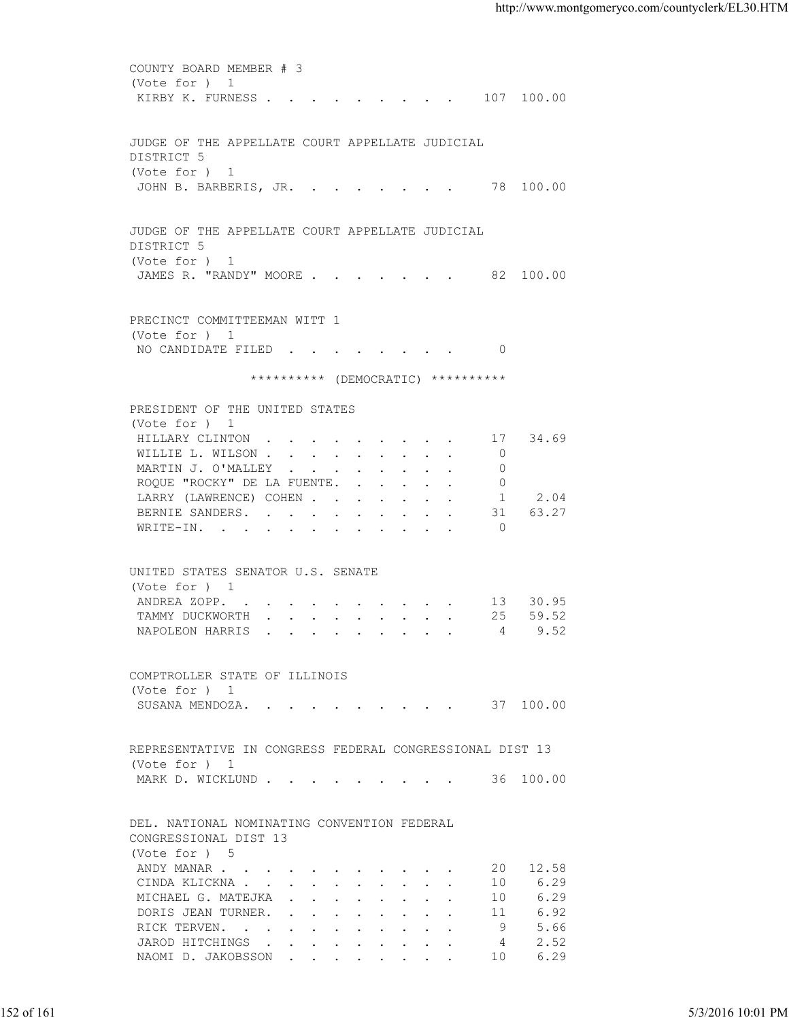COUNTY BOARD MEMBER # 3 (Vote for ) 1 KIRBY K. FURNESS . . . . . . . . . 107 100.00 JUDGE OF THE APPELLATE COURT APPELLATE JUDICIAL DISTRICT 5 (Vote for ) 1 JOHN B. BARBERIS, JR. . . . . . . . 78 100.00 JUDGE OF THE APPELLATE COURT APPELLATE JUDICIAL DISTRICT 5 (Vote for ) 1 JAMES R. "RANDY" MOORE . . . . . . . 82 100.00 PRECINCT COMMITTEEMAN WITT 1 (Vote for ) 1 NO CANDIDATE FILED . . . . . . . . 0 \*\*\*\*\*\*\*\*\*\* (DEMOCRATIC) \*\*\*\*\*\*\*\*\*\* PRESIDENT OF THE UNITED STATES (Vote for ) 1 HILLARY CLINTON . . . . . . . . . 17 34.69 WILLIE L. WILSON . . . . . . . . . 0 MARTIN J. O'MALLEY . . . . . . . . 0 ROQUE "ROCKY" DE LA FUENTE. . . . . . 0 LARRY (LAWRENCE) COHEN . . . . . . . 1 2.04 BERNIE SANDERS. . . . . . . . . . 31 63.27 WRITE-IN. . . . . . . . . . . . 0 UNITED STATES SENATOR U.S. SENATE (Vote for ) 1 ANDREA ZOPP. . . . . . . . . . . 13 30.95 TAMMY DUCKWORTH . . . . . . . . . 25 59.52 NAPOLEON HARRIS . . . . . . . . . 4 9.52 COMPTROLLER STATE OF ILLINOIS (Vote for ) 1 SUSANA MENDOZA. . . . . . . . . . 37 100.00 REPRESENTATIVE IN CONGRESS FEDERAL CONGRESSIONAL DIST 13 (Vote for ) 1 MARK D. WICKLUND . . . . . . . . . . 36 100.00 DEL. NATIONAL NOMINATING CONVENTION FEDERAL CONGRESSIONAL DIST 13 (Vote for ) 5 ANDY MANAR . . . . . . . . . . . . 20 12.58<br>CINDA KLICKNA . . . . . . . . . . . 10 6.29 CINDA KLICKNA . . . . . . . . . . 10 6.29 MICHAEL G. MATEJKA . . . . . . . . 10 6.29 DORIS JEAN TURNER. . . . . . . . . 11 6.92 RICK TERVEN. . . . . . . . . . . 9 5.66 JAROD HITCHINGS . . . . . . . . . 4 2.52 NAOMI D. JAKOBSSON . . . . . . . . . 10 6.29 VOCE FOR THE ONE CONCRETE TO UNIT OF THE SERVE SUPERINT THE SUPERINT ONE CONCRETE THE SUPERINT ONE CONCRETE THE SUPERINT ONE CONCRETE THE SUPERINT ON THE SUPERINT ON THE SUPERINT ON THE SUPERINT ON THE SUPERINT ON THE SUPE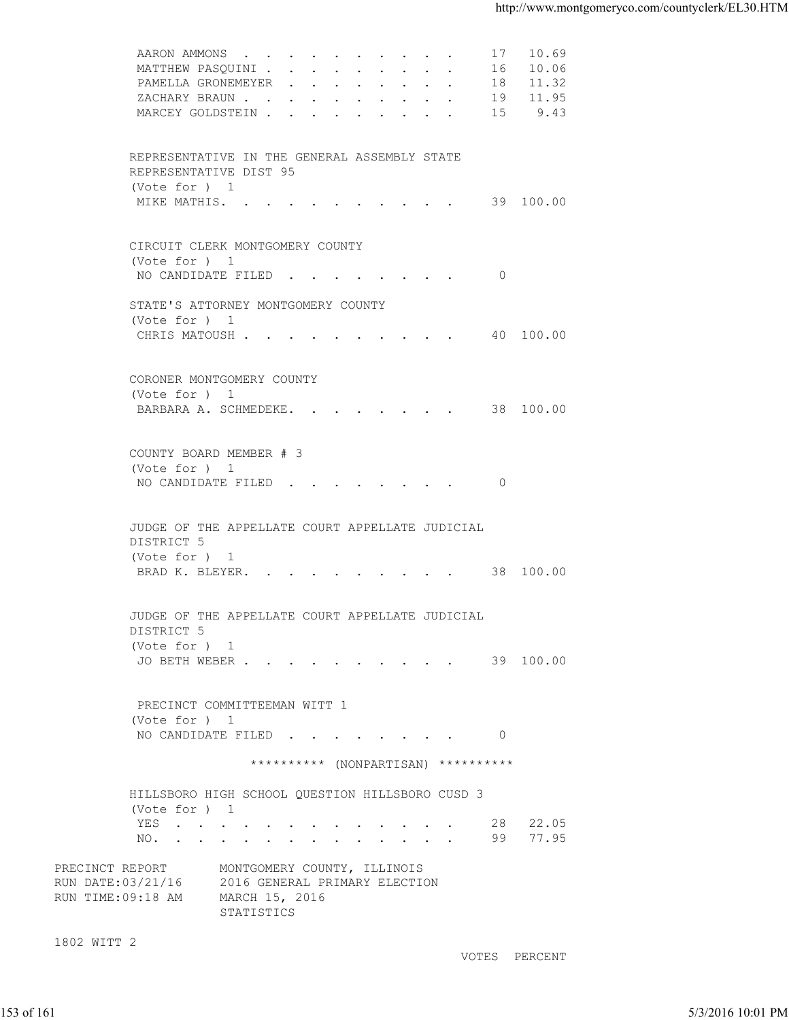| 16 10.06<br>MATTHEW PASQUINI<br>PAMELLA GRONEMEYER 18 11.32<br>ZACHARY BRAUN 19 11.95<br>MARCEY GOLDSTEIN 15 9.43<br>REPRESENTATIVE IN THE GENERAL ASSEMBLY STATE<br>REPRESENTATIVE DIST 95<br>(Vote for ) 1<br>MIKE MATHIS. 39 100.00<br>CIRCUIT CLERK MONTGOMERY COUNTY<br>(Vote for ) 1<br>NO CANDIDATE FILED 0<br>STATE'S ATTORNEY MONTGOMERY COUNTY<br>(Vote for ) 1<br>CHRIS MATOUSH 40 100.00<br>CORONER MONTGOMERY COUNTY<br>(Vote for ) 1<br>BARBARA A. SCHMEDEKE. 38 100.00<br>COUNTY BOARD MEMBER # 3<br>(Vote for ) 1<br>NO CANDIDATE FILED 0<br>JUDGE OF THE APPELLATE COURT APPELLATE JUDICIAL<br>DISTRICT 5<br>(Vote for ) 1<br>BRAD K. BLEYER. 38 100.00<br>JUDGE OF THE APPELLATE COURT APPELLATE JUDICIAL<br>DISTRICT 5<br>(Vote for ) 1<br>JO BETH WEBER 39 100.00<br>PRECINCT COMMITTEEMAN WITT 1<br>(Vote for ) 1<br>NO CANDIDATE FILED<br>$\overline{0}$<br>********** (NONPARTISAN) **********<br>HILLSBORO HIGH SCHOOL QUESTION HILLSBORO CUSD 3<br>(Vote for ) 1<br>28 22.05<br>YES<br>99 77.95<br>NO.<br>MONTGOMERY COUNTY, ILLINOIS<br>2016 GENERAL PRIMARY ELECTION<br>MARCH 15, 2016<br>STATISTICS<br>VOTES PERCENT |            |  | AARON AMMONS | 17 10.69 |                   |
|--------------------------------------------------------------------------------------------------------------------------------------------------------------------------------------------------------------------------------------------------------------------------------------------------------------------------------------------------------------------------------------------------------------------------------------------------------------------------------------------------------------------------------------------------------------------------------------------------------------------------------------------------------------------------------------------------------------------------------------------------------------------------------------------------------------------------------------------------------------------------------------------------------------------------------------------------------------------------------------------------------------------------------------------------------------------------------------------------------------------------------------------------|------------|--|--------------|----------|-------------------|
| PRECINCT REPORT<br>RUN DATE: 03/21/16<br>RUN TIME:09:18 AM<br>1802 WITT 2                                                                                                                                                                                                                                                                                                                                                                                                                                                                                                                                                                                                                                                                                                                                                                                                                                                                                                                                                                                                                                                                        |            |  |              |          |                   |
|                                                                                                                                                                                                                                                                                                                                                                                                                                                                                                                                                                                                                                                                                                                                                                                                                                                                                                                                                                                                                                                                                                                                                  |            |  |              |          |                   |
|                                                                                                                                                                                                                                                                                                                                                                                                                                                                                                                                                                                                                                                                                                                                                                                                                                                                                                                                                                                                                                                                                                                                                  |            |  |              |          |                   |
|                                                                                                                                                                                                                                                                                                                                                                                                                                                                                                                                                                                                                                                                                                                                                                                                                                                                                                                                                                                                                                                                                                                                                  |            |  |              |          |                   |
|                                                                                                                                                                                                                                                                                                                                                                                                                                                                                                                                                                                                                                                                                                                                                                                                                                                                                                                                                                                                                                                                                                                                                  |            |  |              |          |                   |
|                                                                                                                                                                                                                                                                                                                                                                                                                                                                                                                                                                                                                                                                                                                                                                                                                                                                                                                                                                                                                                                                                                                                                  |            |  |              |          |                   |
|                                                                                                                                                                                                                                                                                                                                                                                                                                                                                                                                                                                                                                                                                                                                                                                                                                                                                                                                                                                                                                                                                                                                                  |            |  |              |          |                   |
|                                                                                                                                                                                                                                                                                                                                                                                                                                                                                                                                                                                                                                                                                                                                                                                                                                                                                                                                                                                                                                                                                                                                                  |            |  |              |          |                   |
|                                                                                                                                                                                                                                                                                                                                                                                                                                                                                                                                                                                                                                                                                                                                                                                                                                                                                                                                                                                                                                                                                                                                                  |            |  |              |          |                   |
|                                                                                                                                                                                                                                                                                                                                                                                                                                                                                                                                                                                                                                                                                                                                                                                                                                                                                                                                                                                                                                                                                                                                                  |            |  |              |          |                   |
|                                                                                                                                                                                                                                                                                                                                                                                                                                                                                                                                                                                                                                                                                                                                                                                                                                                                                                                                                                                                                                                                                                                                                  |            |  |              |          |                   |
|                                                                                                                                                                                                                                                                                                                                                                                                                                                                                                                                                                                                                                                                                                                                                                                                                                                                                                                                                                                                                                                                                                                                                  |            |  |              |          |                   |
|                                                                                                                                                                                                                                                                                                                                                                                                                                                                                                                                                                                                                                                                                                                                                                                                                                                                                                                                                                                                                                                                                                                                                  |            |  |              |          |                   |
|                                                                                                                                                                                                                                                                                                                                                                                                                                                                                                                                                                                                                                                                                                                                                                                                                                                                                                                                                                                                                                                                                                                                                  |            |  |              |          |                   |
|                                                                                                                                                                                                                                                                                                                                                                                                                                                                                                                                                                                                                                                                                                                                                                                                                                                                                                                                                                                                                                                                                                                                                  | 153 of 161 |  |              |          |                   |
|                                                                                                                                                                                                                                                                                                                                                                                                                                                                                                                                                                                                                                                                                                                                                                                                                                                                                                                                                                                                                                                                                                                                                  |            |  |              |          |                   |
|                                                                                                                                                                                                                                                                                                                                                                                                                                                                                                                                                                                                                                                                                                                                                                                                                                                                                                                                                                                                                                                                                                                                                  |            |  |              |          |                   |
|                                                                                                                                                                                                                                                                                                                                                                                                                                                                                                                                                                                                                                                                                                                                                                                                                                                                                                                                                                                                                                                                                                                                                  |            |  |              |          |                   |
|                                                                                                                                                                                                                                                                                                                                                                                                                                                                                                                                                                                                                                                                                                                                                                                                                                                                                                                                                                                                                                                                                                                                                  |            |  |              |          |                   |
|                                                                                                                                                                                                                                                                                                                                                                                                                                                                                                                                                                                                                                                                                                                                                                                                                                                                                                                                                                                                                                                                                                                                                  |            |  |              |          |                   |
|                                                                                                                                                                                                                                                                                                                                                                                                                                                                                                                                                                                                                                                                                                                                                                                                                                                                                                                                                                                                                                                                                                                                                  |            |  |              |          |                   |
|                                                                                                                                                                                                                                                                                                                                                                                                                                                                                                                                                                                                                                                                                                                                                                                                                                                                                                                                                                                                                                                                                                                                                  |            |  |              |          |                   |
|                                                                                                                                                                                                                                                                                                                                                                                                                                                                                                                                                                                                                                                                                                                                                                                                                                                                                                                                                                                                                                                                                                                                                  |            |  |              |          |                   |
|                                                                                                                                                                                                                                                                                                                                                                                                                                                                                                                                                                                                                                                                                                                                                                                                                                                                                                                                                                                                                                                                                                                                                  |            |  |              |          |                   |
|                                                                                                                                                                                                                                                                                                                                                                                                                                                                                                                                                                                                                                                                                                                                                                                                                                                                                                                                                                                                                                                                                                                                                  |            |  |              |          |                   |
|                                                                                                                                                                                                                                                                                                                                                                                                                                                                                                                                                                                                                                                                                                                                                                                                                                                                                                                                                                                                                                                                                                                                                  |            |  |              |          |                   |
|                                                                                                                                                                                                                                                                                                                                                                                                                                                                                                                                                                                                                                                                                                                                                                                                                                                                                                                                                                                                                                                                                                                                                  |            |  |              |          |                   |
|                                                                                                                                                                                                                                                                                                                                                                                                                                                                                                                                                                                                                                                                                                                                                                                                                                                                                                                                                                                                                                                                                                                                                  |            |  |              |          |                   |
|                                                                                                                                                                                                                                                                                                                                                                                                                                                                                                                                                                                                                                                                                                                                                                                                                                                                                                                                                                                                                                                                                                                                                  |            |  |              |          |                   |
|                                                                                                                                                                                                                                                                                                                                                                                                                                                                                                                                                                                                                                                                                                                                                                                                                                                                                                                                                                                                                                                                                                                                                  |            |  |              |          |                   |
|                                                                                                                                                                                                                                                                                                                                                                                                                                                                                                                                                                                                                                                                                                                                                                                                                                                                                                                                                                                                                                                                                                                                                  |            |  |              |          |                   |
|                                                                                                                                                                                                                                                                                                                                                                                                                                                                                                                                                                                                                                                                                                                                                                                                                                                                                                                                                                                                                                                                                                                                                  |            |  |              |          |                   |
|                                                                                                                                                                                                                                                                                                                                                                                                                                                                                                                                                                                                                                                                                                                                                                                                                                                                                                                                                                                                                                                                                                                                                  |            |  |              |          |                   |
|                                                                                                                                                                                                                                                                                                                                                                                                                                                                                                                                                                                                                                                                                                                                                                                                                                                                                                                                                                                                                                                                                                                                                  |            |  |              |          |                   |
|                                                                                                                                                                                                                                                                                                                                                                                                                                                                                                                                                                                                                                                                                                                                                                                                                                                                                                                                                                                                                                                                                                                                                  |            |  |              |          |                   |
|                                                                                                                                                                                                                                                                                                                                                                                                                                                                                                                                                                                                                                                                                                                                                                                                                                                                                                                                                                                                                                                                                                                                                  |            |  |              |          |                   |
|                                                                                                                                                                                                                                                                                                                                                                                                                                                                                                                                                                                                                                                                                                                                                                                                                                                                                                                                                                                                                                                                                                                                                  |            |  |              |          |                   |
|                                                                                                                                                                                                                                                                                                                                                                                                                                                                                                                                                                                                                                                                                                                                                                                                                                                                                                                                                                                                                                                                                                                                                  |            |  |              |          |                   |
|                                                                                                                                                                                                                                                                                                                                                                                                                                                                                                                                                                                                                                                                                                                                                                                                                                                                                                                                                                                                                                                                                                                                                  |            |  |              |          |                   |
|                                                                                                                                                                                                                                                                                                                                                                                                                                                                                                                                                                                                                                                                                                                                                                                                                                                                                                                                                                                                                                                                                                                                                  |            |  |              |          |                   |
|                                                                                                                                                                                                                                                                                                                                                                                                                                                                                                                                                                                                                                                                                                                                                                                                                                                                                                                                                                                                                                                                                                                                                  |            |  |              |          |                   |
|                                                                                                                                                                                                                                                                                                                                                                                                                                                                                                                                                                                                                                                                                                                                                                                                                                                                                                                                                                                                                                                                                                                                                  |            |  |              |          | 5/3/2016 10:01 PM |
|                                                                                                                                                                                                                                                                                                                                                                                                                                                                                                                                                                                                                                                                                                                                                                                                                                                                                                                                                                                                                                                                                                                                                  |            |  |              |          |                   |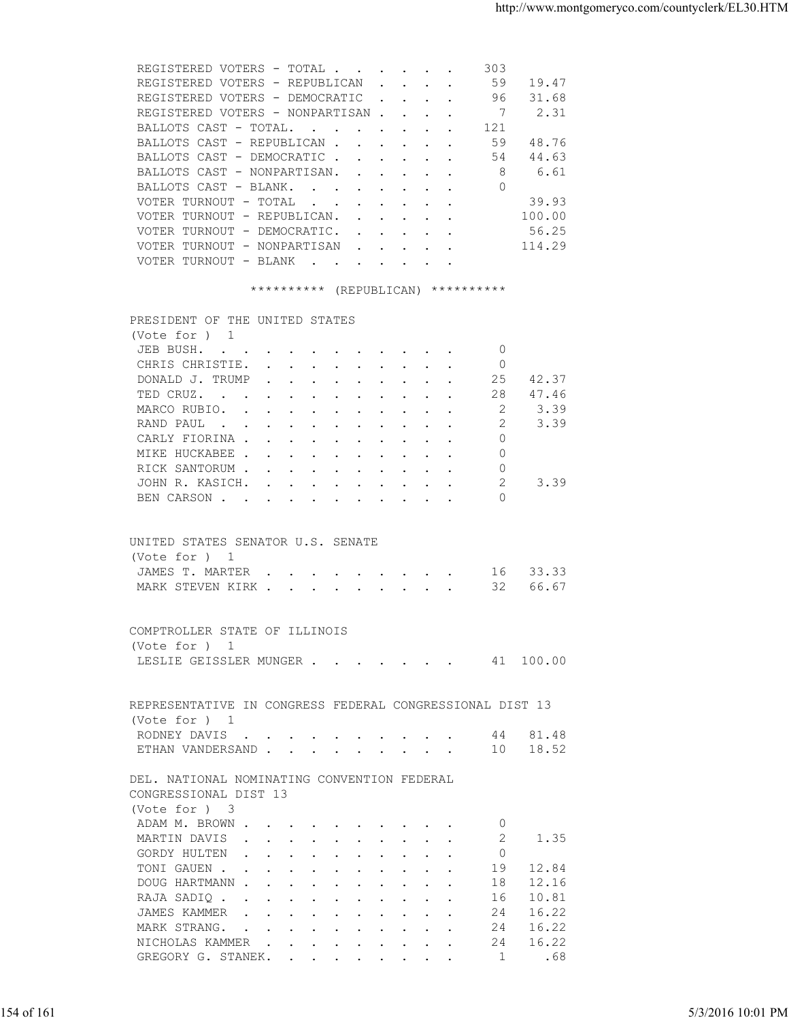| REGISTERED VOTERS - TOTAL                            |                                                           |                                    |  | 303 |        |
|------------------------------------------------------|-----------------------------------------------------------|------------------------------------|--|-----|--------|
| REGISTERED VOTERS - REPUBLICAN                       |                                                           |                                    |  | 59  | 19.47  |
| REGISTERED VOTERS - DEMOCRATIC                       |                                                           |                                    |  | 96  | 31.68  |
| REGISTERED VOTERS - NONPARTISAN                      |                                                           |                                    |  |     | 7 2.31 |
| BALLOTS CAST - TOTAL                                 |                                                           |                                    |  | 121 |        |
| BALLOTS CAST - REPUBLICAN.                           | $\mathbf{L} = \mathbf{L} \mathbf{L}$                      |                                    |  | 59  | 48.76  |
| BALLOTS CAST - DEMOCRATIC                            |                                                           |                                    |  | 54  | 44.63  |
| BALLOTS CAST - NONPARTISAN.                          |                                                           |                                    |  | 8   | 6.61   |
| BALLOTS CAST - BLANK                                 |                                                           |                                    |  | 0   |        |
| VOTER TURNOUT - TOTAL<br>$\sim$ $\sim$ $\sim$ $\sim$ |                                                           | $\sim$ $\sim$ $\sim$ $\sim$ $\sim$ |  |     | 39.93  |
| VOTER TURNOUT - REPUBLICAN.                          | $\mathbf{r}$ , $\mathbf{r}$ , $\mathbf{r}$ , $\mathbf{r}$ |                                    |  |     | 100.00 |
| VOTER TURNOUT - DEMOCRATIC.                          |                                                           |                                    |  |     | 56.25  |
| VOTER TURNOUT - NONPARTISAN                          |                                                           |                                    |  |     | 114.29 |
| VOTER TURNOUT - BLANK<br>$\sim$ $\sim$               |                                                           |                                    |  |     |        |
|                                                      |                                                           |                                    |  |     |        |

## \*\*\*\*\*\*\*\*\*\* (REPUBLICAN) \*\*\*\*\*\*\*\*\*\*

|            | PRESIDENT OF THE UNITED STATES                           |                   |
|------------|----------------------------------------------------------|-------------------|
|            | (Note for ) 1                                            |                   |
|            | $\overline{0}$<br>JEB BUSH.                              |                   |
|            | CHRIS CHRISTIE.<br>$\circ$                               |                   |
|            | DONALD J. TRUMP<br>25 42.37                              |                   |
|            | 47.46<br>TED CRUZ.<br>28                                 |                   |
|            | MARCO RUBIO.<br>2<br>3.39                                |                   |
|            | 2<br>3.39<br>RAND PAUL                                   |                   |
|            | CARLY FIORINA<br>$\Omega$                                |                   |
|            | $\Omega$<br>MIKE HUCKABEE                                |                   |
|            | RICK SANTORUM<br>0                                       |                   |
|            | 2<br>3.39<br>JOHN R. KASICH.                             |                   |
|            | $\Omega$<br>BEN CARSON                                   |                   |
|            |                                                          |                   |
|            |                                                          |                   |
|            | UNITED STATES SENATOR U.S. SENATE                        |                   |
|            | (Vote for ) 1                                            |                   |
|            | JAMES T. MARTER 16 33.33                                 |                   |
|            | MARK STEVEN KIRK 32 66.67                                |                   |
|            |                                                          |                   |
|            |                                                          |                   |
|            | COMPTROLLER STATE OF ILLINOIS                            |                   |
|            | (Vote for ) 1                                            |                   |
|            | LESLIE GEISSLER MUNGER 41 100.00                         |                   |
|            |                                                          |                   |
|            | REPRESENTATIVE IN CONGRESS FEDERAL CONGRESSIONAL DIST 13 |                   |
|            | (Vote for ) 1                                            |                   |
|            | RODNEY DAVIS 44 81.48                                    |                   |
|            | ETHAN VANDERSAND 10 18.52                                |                   |
|            |                                                          |                   |
|            | DEL. NATIONAL NOMINATING CONVENTION FEDERAL              |                   |
|            | CONGRESSIONAL DIST 13                                    |                   |
|            | (Vote for ) 3                                            |                   |
|            | ADAM M. BROWN<br>- 0                                     |                   |
|            | MARTIN DAVIS<br>-2<br>1.35                               |                   |
|            | $\Omega$<br>GORDY HULTEN                                 |                   |
|            | TONI GAUEN<br>19 12.84                                   |                   |
|            |                                                          |                   |
|            | DOUG HARTMANN<br>12.16<br>18                             |                   |
|            | 10.81<br>RAJA SADIQ<br>16                                |                   |
|            | 16.22<br>JAMES KAMMER<br>24                              |                   |
|            | 16.22<br>MARK STRANG.<br>24                              |                   |
|            | 16.22<br>NICHOLAS KAMMER<br>24                           |                   |
|            | GREGORY G. STANEK.<br>1<br>.68                           |                   |
|            |                                                          |                   |
|            |                                                          |                   |
| 154 of 161 |                                                          | 5/3/2016 10:01 PM |
|            |                                                          |                   |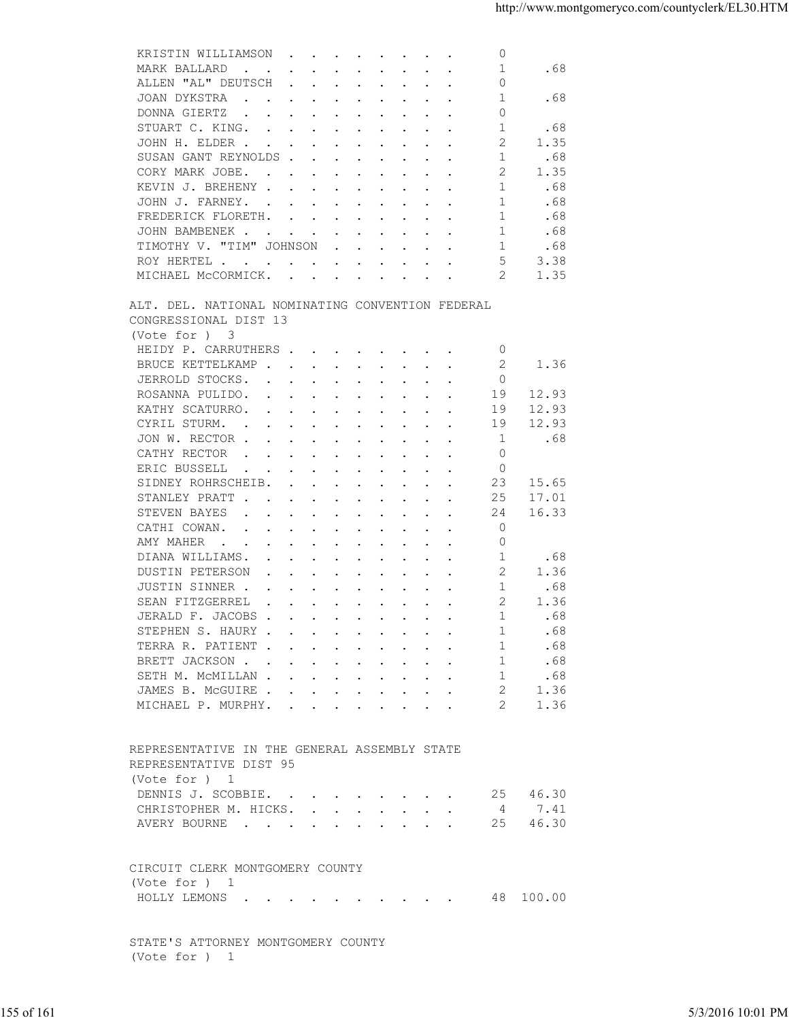| $\mathbf{r}$ , $\mathbf{r}$ , $\mathbf{r}$ , $\mathbf{r}$<br>ALLEN "AL" DEUTSCH<br>$\circ$<br>$\cdot$ $\cdot$ $\cdot$ $\cdot$ $\cdot$<br>$\ddot{\phantom{a}}$<br>$\sim$ $\sim$<br>$\mathbf{1}$<br>.68<br>JOAN DYKSTRA<br>$\sim$ $\sim$<br>$\mathbf{r}$ , $\mathbf{r}$ , $\mathbf{r}$<br>$\sim$ $\sim$<br>$\sim$ $\sim$ $\sim$<br>$\circ$<br>DONNA GIERTZ<br>$\mathbf{r}$ , $\mathbf{r}$ , $\mathbf{r}$ , $\mathbf{r}$ , $\mathbf{r}$<br>.68<br>STUART C. KING.<br>-1<br>$\cdot$ $\cdot$ $\cdot$ $\cdot$ $\cdot$<br>$\sim$ $\sim$ $\sim$<br>2<br>1.35<br>JOHN H. ELDER<br>$\cdot$ $\cdot$ $\cdot$ $\cdot$ $\cdot$<br>$\sim$ $\sim$<br>SUSAN GANT REYNOLDS.<br>-1<br>.68<br>$\sim$<br>2<br>1.35<br>CORY MARK JOBE.<br>$\cdot$ $\cdot$ $\cdot$ $\cdot$ $\cdot$<br>KEVIN J. BREHENY<br>1<br>.68<br>$\cdot$<br>$\sim$<br>$\sim$ $\sim$<br>1<br>JOHN J. FARNEY.<br>.68<br>the contract of the contract of the contract of the contract of the contract of the contract of the contract of<br>$\cdot$ $\cdot$ $\cdot$ $\cdot$<br>-1<br>.68<br>FREDERICK FLORETH.<br>$\mathbf{r}$ . The contract of the contract of the contract of the contract of the contract of the contract of the contract of the contract of the contract of the contract of the contract of the contract of the contract of th<br>1<br>JOHN BAMBENEK.<br>.68<br>$\mathbf{r}$ . The contract of the contract of the contract of the contract of the contract of the contract of the contract of the contract of the contract of the contract of the contract of the contract of the contract of th<br><b>Carl Carl Carl</b><br>$\mathbf{1}$<br>TIMOTHY V. "TIM" JOHNSON<br>.68<br>$\mathbf{r}$ , $\mathbf{r}$ , $\mathbf{r}$ , $\mathbf{r}$ , $\mathbf{r}$<br>5<br>3.38<br>ROY HERTEL<br>MICHAEL MCCORMICK.<br>2<br>1.35<br>and the contract of the contract of the contract of the contract of the contract of the contract of the contract of the contract of the contract of the contract of the contract of the contract of the contract of the contra<br>ALT. DEL. NATIONAL NOMINATING CONVENTION FEDERAL<br>CONGRESSIONAL DIST 13<br>(Vote for ) 3<br>HEIDY P. CARRUTHERS<br>0<br>BRUCE KETTELKAMP.<br>2<br>1.36<br>$\sim$<br>$\sim$ $\sim$<br>JERROLD STOCKS.<br>$\circ$<br>$\sim$<br>ROSANNA PULIDO.<br>19<br>12.93<br>$\mathbf{r}$ , $\mathbf{r}$ , $\mathbf{r}$<br>KATHY SCATURRO.<br>19<br>12.93<br>$\cdot$ $\cdot$ $\cdot$ $\cdot$ $\cdot$<br>$\mathbf{r}$<br>$\sim$<br>$\sim$<br>$\sim$<br>CYRIL STURM.<br>19<br>12.93<br>$\ddot{\phantom{a}}$<br>$\mathbf{r}$ , $\mathbf{r}$ , $\mathbf{r}$ , $\mathbf{r}$<br>$\sim$ $\sim$ $\sim$ $\sim$<br>1<br>JON W. RECTOR .<br>.68<br>$\ddot{\phantom{a}}$<br>$\cdot$ $\cdot$<br>$\cdots$<br>$\ddot{\phantom{0}}$<br>$\circ$<br>CATHY RECTOR<br>$\ddot{\phantom{1}}$<br>$\cdots$<br>$\cdot$ $\cdot$ $\cdot$<br>$\sim$<br>$\circ$<br>ERIC BUSSELL<br>$\sim$<br>$\cdots$<br>SIDNEY ROHRSCHEIB.<br>23<br>15.65<br>$\sim$<br>$\cdot$ $\cdot$ $\cdot$ $\cdot$ $\cdot$<br>17.01<br>STANLEY PRATT.<br>25<br>$\cdot$ $\cdot$ $\cdot$ $\cdot$ $\cdot$<br>$\sim$<br>$\sim$<br>$\sim$<br>$\cdot$ $\cdot$<br>STEVEN BAYES<br>16.33<br>24<br>$\sim$ $\sim$<br>CATHI COWAN.<br>$\mathbf 0$<br>$\ddot{\phantom{a}}$<br>$\sim$<br>$\sim$ $\sim$<br>$\circ$<br>AMY MAHER<br>$\sim$ $\sim$ $\sim$ $\sim$<br>$\sim$<br>DIANA WILLIAMS.<br>-1<br>.68<br>$\ddot{\phantom{a}}$<br>2<br>1.36<br>DUSTIN PETERSON<br>$\sim$<br>$\sim$ $\sim$ $\sim$<br>$\sim$<br>$\sim$<br>$\sim$<br>$\sim$<br>1<br>JUSTIN SINNER .<br>.68<br>$\cdot$ $\cdot$ $\cdot$<br>$\mathbf{r}$ , and $\mathbf{r}$ , and $\mathbf{r}$ , and $\mathbf{r}$<br>2<br>SEAN FITZGERREL<br>1.36<br>$\mathbf{r}$ , $\mathbf{r}$ , $\mathbf{r}$ , $\mathbf{r}$ , $\mathbf{r}$ , $\mathbf{r}$ , $\mathbf{r}$<br>1<br>JERALD F. JACOBS<br>.68<br>STEPHEN S. HAURY<br>.68<br>TERRA R. PATIENT<br>.68<br>$\mathbf{1}$<br>BRETT JACKSON<br>.68<br>$\sim$ 1<br>.68<br>SETH M. MCMILLAN<br>$\sim$ 1<br>1.36<br>JAMES B. MCGUIRE<br>2<br>MICHAEL P. MURPHY.<br>2<br>1.36<br>REPRESENTATIVE IN THE GENERAL ASSEMBLY STATE<br>REPRESENTATIVE DIST 95<br>(Vote for ) 1<br>DENNIS J. SCOBBIE.<br>25 46.30<br>4 7.41<br>CHRISTOPHER M. HICKS.<br>AVERY BOURNE 25 46.30<br>CIRCUIT CLERK MONTGOMERY COUNTY<br>(Vote for ) 1<br>48 100.00<br>HOLLY LEMONS<br>STATE'S ATTORNEY MONTGOMERY COUNTY<br>(Vote for ) 1<br>155 of 161<br>5/3/2016 10:01 PM | KRISTIN WILLIAMSON<br>$\circ$<br>$\mathbf{r}$ , and $\mathbf{r}$ , and $\mathbf{r}$ , and $\mathbf{r}$ |  |
|---------------------------------------------------------------------------------------------------------------------------------------------------------------------------------------------------------------------------------------------------------------------------------------------------------------------------------------------------------------------------------------------------------------------------------------------------------------------------------------------------------------------------------------------------------------------------------------------------------------------------------------------------------------------------------------------------------------------------------------------------------------------------------------------------------------------------------------------------------------------------------------------------------------------------------------------------------------------------------------------------------------------------------------------------------------------------------------------------------------------------------------------------------------------------------------------------------------------------------------------------------------------------------------------------------------------------------------------------------------------------------------------------------------------------------------------------------------------------------------------------------------------------------------------------------------------------------------------------------------------------------------------------------------------------------------------------------------------------------------------------------------------------------------------------------------------------------------------------------------------------------------------------------------------------------------------------------------------------------------------------------------------------------------------------------------------------------------------------------------------------------------------------------------------------------------------------------------------------------------------------------------------------------------------------------------------------------------------------------------------------------------------------------------------------------------------------------------------------------------------------------------------------------------------------------------------------------------------------------------------------------------------------------------------------------------------------------------------------------------------------------------------------------------------------------------------------------------------------------------------------------------------------------------------------------------------------------------------------------------------------------------------------------------------------------------------------------------------------------------------------------------------------------------------------------------------------------------------------------------------------------------------------------------------------------------------------------------------------------------------------------------------------------------------------------------------------------------------------------------------------------------------------------------------------------------------------------------------------------------------------------------------------------------------------------------------------------------------------------------------------------------------------------------------------------------------------------------------------------------------------------------------------------------------------------------------------------------------------------------------------------------------------------------------------------------------------------------------------------------------------------------------------------------------------------------------------------------------------------------------------------------------------------------------------------------------------------------------------------------------------------------------|--------------------------------------------------------------------------------------------------------|--|
|                                                                                                                                                                                                                                                                                                                                                                                                                                                                                                                                                                                                                                                                                                                                                                                                                                                                                                                                                                                                                                                                                                                                                                                                                                                                                                                                                                                                                                                                                                                                                                                                                                                                                                                                                                                                                                                                                                                                                                                                                                                                                                                                                                                                                                                                                                                                                                                                                                                                                                                                                                                                                                                                                                                                                                                                                                                                                                                                                                                                                                                                                                                                                                                                                                                                                                                                                                                                                                                                                                                                                                                                                                                                                                                                                                                                                                                                                                                                                                                                                                                                                                                                                                                                                                                                                                                                                                                             | 1<br>.68<br>MARK BALLARD                                                                               |  |
|                                                                                                                                                                                                                                                                                                                                                                                                                                                                                                                                                                                                                                                                                                                                                                                                                                                                                                                                                                                                                                                                                                                                                                                                                                                                                                                                                                                                                                                                                                                                                                                                                                                                                                                                                                                                                                                                                                                                                                                                                                                                                                                                                                                                                                                                                                                                                                                                                                                                                                                                                                                                                                                                                                                                                                                                                                                                                                                                                                                                                                                                                                                                                                                                                                                                                                                                                                                                                                                                                                                                                                                                                                                                                                                                                                                                                                                                                                                                                                                                                                                                                                                                                                                                                                                                                                                                                                                             |                                                                                                        |  |
|                                                                                                                                                                                                                                                                                                                                                                                                                                                                                                                                                                                                                                                                                                                                                                                                                                                                                                                                                                                                                                                                                                                                                                                                                                                                                                                                                                                                                                                                                                                                                                                                                                                                                                                                                                                                                                                                                                                                                                                                                                                                                                                                                                                                                                                                                                                                                                                                                                                                                                                                                                                                                                                                                                                                                                                                                                                                                                                                                                                                                                                                                                                                                                                                                                                                                                                                                                                                                                                                                                                                                                                                                                                                                                                                                                                                                                                                                                                                                                                                                                                                                                                                                                                                                                                                                                                                                                                             |                                                                                                        |  |
|                                                                                                                                                                                                                                                                                                                                                                                                                                                                                                                                                                                                                                                                                                                                                                                                                                                                                                                                                                                                                                                                                                                                                                                                                                                                                                                                                                                                                                                                                                                                                                                                                                                                                                                                                                                                                                                                                                                                                                                                                                                                                                                                                                                                                                                                                                                                                                                                                                                                                                                                                                                                                                                                                                                                                                                                                                                                                                                                                                                                                                                                                                                                                                                                                                                                                                                                                                                                                                                                                                                                                                                                                                                                                                                                                                                                                                                                                                                                                                                                                                                                                                                                                                                                                                                                                                                                                                                             |                                                                                                        |  |
|                                                                                                                                                                                                                                                                                                                                                                                                                                                                                                                                                                                                                                                                                                                                                                                                                                                                                                                                                                                                                                                                                                                                                                                                                                                                                                                                                                                                                                                                                                                                                                                                                                                                                                                                                                                                                                                                                                                                                                                                                                                                                                                                                                                                                                                                                                                                                                                                                                                                                                                                                                                                                                                                                                                                                                                                                                                                                                                                                                                                                                                                                                                                                                                                                                                                                                                                                                                                                                                                                                                                                                                                                                                                                                                                                                                                                                                                                                                                                                                                                                                                                                                                                                                                                                                                                                                                                                                             |                                                                                                        |  |
|                                                                                                                                                                                                                                                                                                                                                                                                                                                                                                                                                                                                                                                                                                                                                                                                                                                                                                                                                                                                                                                                                                                                                                                                                                                                                                                                                                                                                                                                                                                                                                                                                                                                                                                                                                                                                                                                                                                                                                                                                                                                                                                                                                                                                                                                                                                                                                                                                                                                                                                                                                                                                                                                                                                                                                                                                                                                                                                                                                                                                                                                                                                                                                                                                                                                                                                                                                                                                                                                                                                                                                                                                                                                                                                                                                                                                                                                                                                                                                                                                                                                                                                                                                                                                                                                                                                                                                                             |                                                                                                        |  |
|                                                                                                                                                                                                                                                                                                                                                                                                                                                                                                                                                                                                                                                                                                                                                                                                                                                                                                                                                                                                                                                                                                                                                                                                                                                                                                                                                                                                                                                                                                                                                                                                                                                                                                                                                                                                                                                                                                                                                                                                                                                                                                                                                                                                                                                                                                                                                                                                                                                                                                                                                                                                                                                                                                                                                                                                                                                                                                                                                                                                                                                                                                                                                                                                                                                                                                                                                                                                                                                                                                                                                                                                                                                                                                                                                                                                                                                                                                                                                                                                                                                                                                                                                                                                                                                                                                                                                                                             |                                                                                                        |  |
|                                                                                                                                                                                                                                                                                                                                                                                                                                                                                                                                                                                                                                                                                                                                                                                                                                                                                                                                                                                                                                                                                                                                                                                                                                                                                                                                                                                                                                                                                                                                                                                                                                                                                                                                                                                                                                                                                                                                                                                                                                                                                                                                                                                                                                                                                                                                                                                                                                                                                                                                                                                                                                                                                                                                                                                                                                                                                                                                                                                                                                                                                                                                                                                                                                                                                                                                                                                                                                                                                                                                                                                                                                                                                                                                                                                                                                                                                                                                                                                                                                                                                                                                                                                                                                                                                                                                                                                             |                                                                                                        |  |
|                                                                                                                                                                                                                                                                                                                                                                                                                                                                                                                                                                                                                                                                                                                                                                                                                                                                                                                                                                                                                                                                                                                                                                                                                                                                                                                                                                                                                                                                                                                                                                                                                                                                                                                                                                                                                                                                                                                                                                                                                                                                                                                                                                                                                                                                                                                                                                                                                                                                                                                                                                                                                                                                                                                                                                                                                                                                                                                                                                                                                                                                                                                                                                                                                                                                                                                                                                                                                                                                                                                                                                                                                                                                                                                                                                                                                                                                                                                                                                                                                                                                                                                                                                                                                                                                                                                                                                                             |                                                                                                        |  |
|                                                                                                                                                                                                                                                                                                                                                                                                                                                                                                                                                                                                                                                                                                                                                                                                                                                                                                                                                                                                                                                                                                                                                                                                                                                                                                                                                                                                                                                                                                                                                                                                                                                                                                                                                                                                                                                                                                                                                                                                                                                                                                                                                                                                                                                                                                                                                                                                                                                                                                                                                                                                                                                                                                                                                                                                                                                                                                                                                                                                                                                                                                                                                                                                                                                                                                                                                                                                                                                                                                                                                                                                                                                                                                                                                                                                                                                                                                                                                                                                                                                                                                                                                                                                                                                                                                                                                                                             |                                                                                                        |  |
|                                                                                                                                                                                                                                                                                                                                                                                                                                                                                                                                                                                                                                                                                                                                                                                                                                                                                                                                                                                                                                                                                                                                                                                                                                                                                                                                                                                                                                                                                                                                                                                                                                                                                                                                                                                                                                                                                                                                                                                                                                                                                                                                                                                                                                                                                                                                                                                                                                                                                                                                                                                                                                                                                                                                                                                                                                                                                                                                                                                                                                                                                                                                                                                                                                                                                                                                                                                                                                                                                                                                                                                                                                                                                                                                                                                                                                                                                                                                                                                                                                                                                                                                                                                                                                                                                                                                                                                             |                                                                                                        |  |
|                                                                                                                                                                                                                                                                                                                                                                                                                                                                                                                                                                                                                                                                                                                                                                                                                                                                                                                                                                                                                                                                                                                                                                                                                                                                                                                                                                                                                                                                                                                                                                                                                                                                                                                                                                                                                                                                                                                                                                                                                                                                                                                                                                                                                                                                                                                                                                                                                                                                                                                                                                                                                                                                                                                                                                                                                                                                                                                                                                                                                                                                                                                                                                                                                                                                                                                                                                                                                                                                                                                                                                                                                                                                                                                                                                                                                                                                                                                                                                                                                                                                                                                                                                                                                                                                                                                                                                                             |                                                                                                        |  |
|                                                                                                                                                                                                                                                                                                                                                                                                                                                                                                                                                                                                                                                                                                                                                                                                                                                                                                                                                                                                                                                                                                                                                                                                                                                                                                                                                                                                                                                                                                                                                                                                                                                                                                                                                                                                                                                                                                                                                                                                                                                                                                                                                                                                                                                                                                                                                                                                                                                                                                                                                                                                                                                                                                                                                                                                                                                                                                                                                                                                                                                                                                                                                                                                                                                                                                                                                                                                                                                                                                                                                                                                                                                                                                                                                                                                                                                                                                                                                                                                                                                                                                                                                                                                                                                                                                                                                                                             |                                                                                                        |  |
|                                                                                                                                                                                                                                                                                                                                                                                                                                                                                                                                                                                                                                                                                                                                                                                                                                                                                                                                                                                                                                                                                                                                                                                                                                                                                                                                                                                                                                                                                                                                                                                                                                                                                                                                                                                                                                                                                                                                                                                                                                                                                                                                                                                                                                                                                                                                                                                                                                                                                                                                                                                                                                                                                                                                                                                                                                                                                                                                                                                                                                                                                                                                                                                                                                                                                                                                                                                                                                                                                                                                                                                                                                                                                                                                                                                                                                                                                                                                                                                                                                                                                                                                                                                                                                                                                                                                                                                             |                                                                                                        |  |
|                                                                                                                                                                                                                                                                                                                                                                                                                                                                                                                                                                                                                                                                                                                                                                                                                                                                                                                                                                                                                                                                                                                                                                                                                                                                                                                                                                                                                                                                                                                                                                                                                                                                                                                                                                                                                                                                                                                                                                                                                                                                                                                                                                                                                                                                                                                                                                                                                                                                                                                                                                                                                                                                                                                                                                                                                                                                                                                                                                                                                                                                                                                                                                                                                                                                                                                                                                                                                                                                                                                                                                                                                                                                                                                                                                                                                                                                                                                                                                                                                                                                                                                                                                                                                                                                                                                                                                                             |                                                                                                        |  |
|                                                                                                                                                                                                                                                                                                                                                                                                                                                                                                                                                                                                                                                                                                                                                                                                                                                                                                                                                                                                                                                                                                                                                                                                                                                                                                                                                                                                                                                                                                                                                                                                                                                                                                                                                                                                                                                                                                                                                                                                                                                                                                                                                                                                                                                                                                                                                                                                                                                                                                                                                                                                                                                                                                                                                                                                                                                                                                                                                                                                                                                                                                                                                                                                                                                                                                                                                                                                                                                                                                                                                                                                                                                                                                                                                                                                                                                                                                                                                                                                                                                                                                                                                                                                                                                                                                                                                                                             |                                                                                                        |  |
|                                                                                                                                                                                                                                                                                                                                                                                                                                                                                                                                                                                                                                                                                                                                                                                                                                                                                                                                                                                                                                                                                                                                                                                                                                                                                                                                                                                                                                                                                                                                                                                                                                                                                                                                                                                                                                                                                                                                                                                                                                                                                                                                                                                                                                                                                                                                                                                                                                                                                                                                                                                                                                                                                                                                                                                                                                                                                                                                                                                                                                                                                                                                                                                                                                                                                                                                                                                                                                                                                                                                                                                                                                                                                                                                                                                                                                                                                                                                                                                                                                                                                                                                                                                                                                                                                                                                                                                             |                                                                                                        |  |
|                                                                                                                                                                                                                                                                                                                                                                                                                                                                                                                                                                                                                                                                                                                                                                                                                                                                                                                                                                                                                                                                                                                                                                                                                                                                                                                                                                                                                                                                                                                                                                                                                                                                                                                                                                                                                                                                                                                                                                                                                                                                                                                                                                                                                                                                                                                                                                                                                                                                                                                                                                                                                                                                                                                                                                                                                                                                                                                                                                                                                                                                                                                                                                                                                                                                                                                                                                                                                                                                                                                                                                                                                                                                                                                                                                                                                                                                                                                                                                                                                                                                                                                                                                                                                                                                                                                                                                                             |                                                                                                        |  |
|                                                                                                                                                                                                                                                                                                                                                                                                                                                                                                                                                                                                                                                                                                                                                                                                                                                                                                                                                                                                                                                                                                                                                                                                                                                                                                                                                                                                                                                                                                                                                                                                                                                                                                                                                                                                                                                                                                                                                                                                                                                                                                                                                                                                                                                                                                                                                                                                                                                                                                                                                                                                                                                                                                                                                                                                                                                                                                                                                                                                                                                                                                                                                                                                                                                                                                                                                                                                                                                                                                                                                                                                                                                                                                                                                                                                                                                                                                                                                                                                                                                                                                                                                                                                                                                                                                                                                                                             |                                                                                                        |  |
|                                                                                                                                                                                                                                                                                                                                                                                                                                                                                                                                                                                                                                                                                                                                                                                                                                                                                                                                                                                                                                                                                                                                                                                                                                                                                                                                                                                                                                                                                                                                                                                                                                                                                                                                                                                                                                                                                                                                                                                                                                                                                                                                                                                                                                                                                                                                                                                                                                                                                                                                                                                                                                                                                                                                                                                                                                                                                                                                                                                                                                                                                                                                                                                                                                                                                                                                                                                                                                                                                                                                                                                                                                                                                                                                                                                                                                                                                                                                                                                                                                                                                                                                                                                                                                                                                                                                                                                             |                                                                                                        |  |
|                                                                                                                                                                                                                                                                                                                                                                                                                                                                                                                                                                                                                                                                                                                                                                                                                                                                                                                                                                                                                                                                                                                                                                                                                                                                                                                                                                                                                                                                                                                                                                                                                                                                                                                                                                                                                                                                                                                                                                                                                                                                                                                                                                                                                                                                                                                                                                                                                                                                                                                                                                                                                                                                                                                                                                                                                                                                                                                                                                                                                                                                                                                                                                                                                                                                                                                                                                                                                                                                                                                                                                                                                                                                                                                                                                                                                                                                                                                                                                                                                                                                                                                                                                                                                                                                                                                                                                                             |                                                                                                        |  |
|                                                                                                                                                                                                                                                                                                                                                                                                                                                                                                                                                                                                                                                                                                                                                                                                                                                                                                                                                                                                                                                                                                                                                                                                                                                                                                                                                                                                                                                                                                                                                                                                                                                                                                                                                                                                                                                                                                                                                                                                                                                                                                                                                                                                                                                                                                                                                                                                                                                                                                                                                                                                                                                                                                                                                                                                                                                                                                                                                                                                                                                                                                                                                                                                                                                                                                                                                                                                                                                                                                                                                                                                                                                                                                                                                                                                                                                                                                                                                                                                                                                                                                                                                                                                                                                                                                                                                                                             |                                                                                                        |  |
|                                                                                                                                                                                                                                                                                                                                                                                                                                                                                                                                                                                                                                                                                                                                                                                                                                                                                                                                                                                                                                                                                                                                                                                                                                                                                                                                                                                                                                                                                                                                                                                                                                                                                                                                                                                                                                                                                                                                                                                                                                                                                                                                                                                                                                                                                                                                                                                                                                                                                                                                                                                                                                                                                                                                                                                                                                                                                                                                                                                                                                                                                                                                                                                                                                                                                                                                                                                                                                                                                                                                                                                                                                                                                                                                                                                                                                                                                                                                                                                                                                                                                                                                                                                                                                                                                                                                                                                             |                                                                                                        |  |
|                                                                                                                                                                                                                                                                                                                                                                                                                                                                                                                                                                                                                                                                                                                                                                                                                                                                                                                                                                                                                                                                                                                                                                                                                                                                                                                                                                                                                                                                                                                                                                                                                                                                                                                                                                                                                                                                                                                                                                                                                                                                                                                                                                                                                                                                                                                                                                                                                                                                                                                                                                                                                                                                                                                                                                                                                                                                                                                                                                                                                                                                                                                                                                                                                                                                                                                                                                                                                                                                                                                                                                                                                                                                                                                                                                                                                                                                                                                                                                                                                                                                                                                                                                                                                                                                                                                                                                                             |                                                                                                        |  |
|                                                                                                                                                                                                                                                                                                                                                                                                                                                                                                                                                                                                                                                                                                                                                                                                                                                                                                                                                                                                                                                                                                                                                                                                                                                                                                                                                                                                                                                                                                                                                                                                                                                                                                                                                                                                                                                                                                                                                                                                                                                                                                                                                                                                                                                                                                                                                                                                                                                                                                                                                                                                                                                                                                                                                                                                                                                                                                                                                                                                                                                                                                                                                                                                                                                                                                                                                                                                                                                                                                                                                                                                                                                                                                                                                                                                                                                                                                                                                                                                                                                                                                                                                                                                                                                                                                                                                                                             |                                                                                                        |  |
|                                                                                                                                                                                                                                                                                                                                                                                                                                                                                                                                                                                                                                                                                                                                                                                                                                                                                                                                                                                                                                                                                                                                                                                                                                                                                                                                                                                                                                                                                                                                                                                                                                                                                                                                                                                                                                                                                                                                                                                                                                                                                                                                                                                                                                                                                                                                                                                                                                                                                                                                                                                                                                                                                                                                                                                                                                                                                                                                                                                                                                                                                                                                                                                                                                                                                                                                                                                                                                                                                                                                                                                                                                                                                                                                                                                                                                                                                                                                                                                                                                                                                                                                                                                                                                                                                                                                                                                             |                                                                                                        |  |
|                                                                                                                                                                                                                                                                                                                                                                                                                                                                                                                                                                                                                                                                                                                                                                                                                                                                                                                                                                                                                                                                                                                                                                                                                                                                                                                                                                                                                                                                                                                                                                                                                                                                                                                                                                                                                                                                                                                                                                                                                                                                                                                                                                                                                                                                                                                                                                                                                                                                                                                                                                                                                                                                                                                                                                                                                                                                                                                                                                                                                                                                                                                                                                                                                                                                                                                                                                                                                                                                                                                                                                                                                                                                                                                                                                                                                                                                                                                                                                                                                                                                                                                                                                                                                                                                                                                                                                                             |                                                                                                        |  |
|                                                                                                                                                                                                                                                                                                                                                                                                                                                                                                                                                                                                                                                                                                                                                                                                                                                                                                                                                                                                                                                                                                                                                                                                                                                                                                                                                                                                                                                                                                                                                                                                                                                                                                                                                                                                                                                                                                                                                                                                                                                                                                                                                                                                                                                                                                                                                                                                                                                                                                                                                                                                                                                                                                                                                                                                                                                                                                                                                                                                                                                                                                                                                                                                                                                                                                                                                                                                                                                                                                                                                                                                                                                                                                                                                                                                                                                                                                                                                                                                                                                                                                                                                                                                                                                                                                                                                                                             |                                                                                                        |  |
|                                                                                                                                                                                                                                                                                                                                                                                                                                                                                                                                                                                                                                                                                                                                                                                                                                                                                                                                                                                                                                                                                                                                                                                                                                                                                                                                                                                                                                                                                                                                                                                                                                                                                                                                                                                                                                                                                                                                                                                                                                                                                                                                                                                                                                                                                                                                                                                                                                                                                                                                                                                                                                                                                                                                                                                                                                                                                                                                                                                                                                                                                                                                                                                                                                                                                                                                                                                                                                                                                                                                                                                                                                                                                                                                                                                                                                                                                                                                                                                                                                                                                                                                                                                                                                                                                                                                                                                             |                                                                                                        |  |
|                                                                                                                                                                                                                                                                                                                                                                                                                                                                                                                                                                                                                                                                                                                                                                                                                                                                                                                                                                                                                                                                                                                                                                                                                                                                                                                                                                                                                                                                                                                                                                                                                                                                                                                                                                                                                                                                                                                                                                                                                                                                                                                                                                                                                                                                                                                                                                                                                                                                                                                                                                                                                                                                                                                                                                                                                                                                                                                                                                                                                                                                                                                                                                                                                                                                                                                                                                                                                                                                                                                                                                                                                                                                                                                                                                                                                                                                                                                                                                                                                                                                                                                                                                                                                                                                                                                                                                                             |                                                                                                        |  |
|                                                                                                                                                                                                                                                                                                                                                                                                                                                                                                                                                                                                                                                                                                                                                                                                                                                                                                                                                                                                                                                                                                                                                                                                                                                                                                                                                                                                                                                                                                                                                                                                                                                                                                                                                                                                                                                                                                                                                                                                                                                                                                                                                                                                                                                                                                                                                                                                                                                                                                                                                                                                                                                                                                                                                                                                                                                                                                                                                                                                                                                                                                                                                                                                                                                                                                                                                                                                                                                                                                                                                                                                                                                                                                                                                                                                                                                                                                                                                                                                                                                                                                                                                                                                                                                                                                                                                                                             |                                                                                                        |  |
|                                                                                                                                                                                                                                                                                                                                                                                                                                                                                                                                                                                                                                                                                                                                                                                                                                                                                                                                                                                                                                                                                                                                                                                                                                                                                                                                                                                                                                                                                                                                                                                                                                                                                                                                                                                                                                                                                                                                                                                                                                                                                                                                                                                                                                                                                                                                                                                                                                                                                                                                                                                                                                                                                                                                                                                                                                                                                                                                                                                                                                                                                                                                                                                                                                                                                                                                                                                                                                                                                                                                                                                                                                                                                                                                                                                                                                                                                                                                                                                                                                                                                                                                                                                                                                                                                                                                                                                             |                                                                                                        |  |
|                                                                                                                                                                                                                                                                                                                                                                                                                                                                                                                                                                                                                                                                                                                                                                                                                                                                                                                                                                                                                                                                                                                                                                                                                                                                                                                                                                                                                                                                                                                                                                                                                                                                                                                                                                                                                                                                                                                                                                                                                                                                                                                                                                                                                                                                                                                                                                                                                                                                                                                                                                                                                                                                                                                                                                                                                                                                                                                                                                                                                                                                                                                                                                                                                                                                                                                                                                                                                                                                                                                                                                                                                                                                                                                                                                                                                                                                                                                                                                                                                                                                                                                                                                                                                                                                                                                                                                                             |                                                                                                        |  |
|                                                                                                                                                                                                                                                                                                                                                                                                                                                                                                                                                                                                                                                                                                                                                                                                                                                                                                                                                                                                                                                                                                                                                                                                                                                                                                                                                                                                                                                                                                                                                                                                                                                                                                                                                                                                                                                                                                                                                                                                                                                                                                                                                                                                                                                                                                                                                                                                                                                                                                                                                                                                                                                                                                                                                                                                                                                                                                                                                                                                                                                                                                                                                                                                                                                                                                                                                                                                                                                                                                                                                                                                                                                                                                                                                                                                                                                                                                                                                                                                                                                                                                                                                                                                                                                                                                                                                                                             |                                                                                                        |  |
|                                                                                                                                                                                                                                                                                                                                                                                                                                                                                                                                                                                                                                                                                                                                                                                                                                                                                                                                                                                                                                                                                                                                                                                                                                                                                                                                                                                                                                                                                                                                                                                                                                                                                                                                                                                                                                                                                                                                                                                                                                                                                                                                                                                                                                                                                                                                                                                                                                                                                                                                                                                                                                                                                                                                                                                                                                                                                                                                                                                                                                                                                                                                                                                                                                                                                                                                                                                                                                                                                                                                                                                                                                                                                                                                                                                                                                                                                                                                                                                                                                                                                                                                                                                                                                                                                                                                                                                             |                                                                                                        |  |
|                                                                                                                                                                                                                                                                                                                                                                                                                                                                                                                                                                                                                                                                                                                                                                                                                                                                                                                                                                                                                                                                                                                                                                                                                                                                                                                                                                                                                                                                                                                                                                                                                                                                                                                                                                                                                                                                                                                                                                                                                                                                                                                                                                                                                                                                                                                                                                                                                                                                                                                                                                                                                                                                                                                                                                                                                                                                                                                                                                                                                                                                                                                                                                                                                                                                                                                                                                                                                                                                                                                                                                                                                                                                                                                                                                                                                                                                                                                                                                                                                                                                                                                                                                                                                                                                                                                                                                                             |                                                                                                        |  |
|                                                                                                                                                                                                                                                                                                                                                                                                                                                                                                                                                                                                                                                                                                                                                                                                                                                                                                                                                                                                                                                                                                                                                                                                                                                                                                                                                                                                                                                                                                                                                                                                                                                                                                                                                                                                                                                                                                                                                                                                                                                                                                                                                                                                                                                                                                                                                                                                                                                                                                                                                                                                                                                                                                                                                                                                                                                                                                                                                                                                                                                                                                                                                                                                                                                                                                                                                                                                                                                                                                                                                                                                                                                                                                                                                                                                                                                                                                                                                                                                                                                                                                                                                                                                                                                                                                                                                                                             |                                                                                                        |  |
|                                                                                                                                                                                                                                                                                                                                                                                                                                                                                                                                                                                                                                                                                                                                                                                                                                                                                                                                                                                                                                                                                                                                                                                                                                                                                                                                                                                                                                                                                                                                                                                                                                                                                                                                                                                                                                                                                                                                                                                                                                                                                                                                                                                                                                                                                                                                                                                                                                                                                                                                                                                                                                                                                                                                                                                                                                                                                                                                                                                                                                                                                                                                                                                                                                                                                                                                                                                                                                                                                                                                                                                                                                                                                                                                                                                                                                                                                                                                                                                                                                                                                                                                                                                                                                                                                                                                                                                             |                                                                                                        |  |
|                                                                                                                                                                                                                                                                                                                                                                                                                                                                                                                                                                                                                                                                                                                                                                                                                                                                                                                                                                                                                                                                                                                                                                                                                                                                                                                                                                                                                                                                                                                                                                                                                                                                                                                                                                                                                                                                                                                                                                                                                                                                                                                                                                                                                                                                                                                                                                                                                                                                                                                                                                                                                                                                                                                                                                                                                                                                                                                                                                                                                                                                                                                                                                                                                                                                                                                                                                                                                                                                                                                                                                                                                                                                                                                                                                                                                                                                                                                                                                                                                                                                                                                                                                                                                                                                                                                                                                                             |                                                                                                        |  |
|                                                                                                                                                                                                                                                                                                                                                                                                                                                                                                                                                                                                                                                                                                                                                                                                                                                                                                                                                                                                                                                                                                                                                                                                                                                                                                                                                                                                                                                                                                                                                                                                                                                                                                                                                                                                                                                                                                                                                                                                                                                                                                                                                                                                                                                                                                                                                                                                                                                                                                                                                                                                                                                                                                                                                                                                                                                                                                                                                                                                                                                                                                                                                                                                                                                                                                                                                                                                                                                                                                                                                                                                                                                                                                                                                                                                                                                                                                                                                                                                                                                                                                                                                                                                                                                                                                                                                                                             |                                                                                                        |  |
|                                                                                                                                                                                                                                                                                                                                                                                                                                                                                                                                                                                                                                                                                                                                                                                                                                                                                                                                                                                                                                                                                                                                                                                                                                                                                                                                                                                                                                                                                                                                                                                                                                                                                                                                                                                                                                                                                                                                                                                                                                                                                                                                                                                                                                                                                                                                                                                                                                                                                                                                                                                                                                                                                                                                                                                                                                                                                                                                                                                                                                                                                                                                                                                                                                                                                                                                                                                                                                                                                                                                                                                                                                                                                                                                                                                                                                                                                                                                                                                                                                                                                                                                                                                                                                                                                                                                                                                             |                                                                                                        |  |
|                                                                                                                                                                                                                                                                                                                                                                                                                                                                                                                                                                                                                                                                                                                                                                                                                                                                                                                                                                                                                                                                                                                                                                                                                                                                                                                                                                                                                                                                                                                                                                                                                                                                                                                                                                                                                                                                                                                                                                                                                                                                                                                                                                                                                                                                                                                                                                                                                                                                                                                                                                                                                                                                                                                                                                                                                                                                                                                                                                                                                                                                                                                                                                                                                                                                                                                                                                                                                                                                                                                                                                                                                                                                                                                                                                                                                                                                                                                                                                                                                                                                                                                                                                                                                                                                                                                                                                                             |                                                                                                        |  |
|                                                                                                                                                                                                                                                                                                                                                                                                                                                                                                                                                                                                                                                                                                                                                                                                                                                                                                                                                                                                                                                                                                                                                                                                                                                                                                                                                                                                                                                                                                                                                                                                                                                                                                                                                                                                                                                                                                                                                                                                                                                                                                                                                                                                                                                                                                                                                                                                                                                                                                                                                                                                                                                                                                                                                                                                                                                                                                                                                                                                                                                                                                                                                                                                                                                                                                                                                                                                                                                                                                                                                                                                                                                                                                                                                                                                                                                                                                                                                                                                                                                                                                                                                                                                                                                                                                                                                                                             |                                                                                                        |  |
|                                                                                                                                                                                                                                                                                                                                                                                                                                                                                                                                                                                                                                                                                                                                                                                                                                                                                                                                                                                                                                                                                                                                                                                                                                                                                                                                                                                                                                                                                                                                                                                                                                                                                                                                                                                                                                                                                                                                                                                                                                                                                                                                                                                                                                                                                                                                                                                                                                                                                                                                                                                                                                                                                                                                                                                                                                                                                                                                                                                                                                                                                                                                                                                                                                                                                                                                                                                                                                                                                                                                                                                                                                                                                                                                                                                                                                                                                                                                                                                                                                                                                                                                                                                                                                                                                                                                                                                             |                                                                                                        |  |
|                                                                                                                                                                                                                                                                                                                                                                                                                                                                                                                                                                                                                                                                                                                                                                                                                                                                                                                                                                                                                                                                                                                                                                                                                                                                                                                                                                                                                                                                                                                                                                                                                                                                                                                                                                                                                                                                                                                                                                                                                                                                                                                                                                                                                                                                                                                                                                                                                                                                                                                                                                                                                                                                                                                                                                                                                                                                                                                                                                                                                                                                                                                                                                                                                                                                                                                                                                                                                                                                                                                                                                                                                                                                                                                                                                                                                                                                                                                                                                                                                                                                                                                                                                                                                                                                                                                                                                                             |                                                                                                        |  |
|                                                                                                                                                                                                                                                                                                                                                                                                                                                                                                                                                                                                                                                                                                                                                                                                                                                                                                                                                                                                                                                                                                                                                                                                                                                                                                                                                                                                                                                                                                                                                                                                                                                                                                                                                                                                                                                                                                                                                                                                                                                                                                                                                                                                                                                                                                                                                                                                                                                                                                                                                                                                                                                                                                                                                                                                                                                                                                                                                                                                                                                                                                                                                                                                                                                                                                                                                                                                                                                                                                                                                                                                                                                                                                                                                                                                                                                                                                                                                                                                                                                                                                                                                                                                                                                                                                                                                                                             |                                                                                                        |  |
|                                                                                                                                                                                                                                                                                                                                                                                                                                                                                                                                                                                                                                                                                                                                                                                                                                                                                                                                                                                                                                                                                                                                                                                                                                                                                                                                                                                                                                                                                                                                                                                                                                                                                                                                                                                                                                                                                                                                                                                                                                                                                                                                                                                                                                                                                                                                                                                                                                                                                                                                                                                                                                                                                                                                                                                                                                                                                                                                                                                                                                                                                                                                                                                                                                                                                                                                                                                                                                                                                                                                                                                                                                                                                                                                                                                                                                                                                                                                                                                                                                                                                                                                                                                                                                                                                                                                                                                             |                                                                                                        |  |
|                                                                                                                                                                                                                                                                                                                                                                                                                                                                                                                                                                                                                                                                                                                                                                                                                                                                                                                                                                                                                                                                                                                                                                                                                                                                                                                                                                                                                                                                                                                                                                                                                                                                                                                                                                                                                                                                                                                                                                                                                                                                                                                                                                                                                                                                                                                                                                                                                                                                                                                                                                                                                                                                                                                                                                                                                                                                                                                                                                                                                                                                                                                                                                                                                                                                                                                                                                                                                                                                                                                                                                                                                                                                                                                                                                                                                                                                                                                                                                                                                                                                                                                                                                                                                                                                                                                                                                                             |                                                                                                        |  |
|                                                                                                                                                                                                                                                                                                                                                                                                                                                                                                                                                                                                                                                                                                                                                                                                                                                                                                                                                                                                                                                                                                                                                                                                                                                                                                                                                                                                                                                                                                                                                                                                                                                                                                                                                                                                                                                                                                                                                                                                                                                                                                                                                                                                                                                                                                                                                                                                                                                                                                                                                                                                                                                                                                                                                                                                                                                                                                                                                                                                                                                                                                                                                                                                                                                                                                                                                                                                                                                                                                                                                                                                                                                                                                                                                                                                                                                                                                                                                                                                                                                                                                                                                                                                                                                                                                                                                                                             |                                                                                                        |  |
|                                                                                                                                                                                                                                                                                                                                                                                                                                                                                                                                                                                                                                                                                                                                                                                                                                                                                                                                                                                                                                                                                                                                                                                                                                                                                                                                                                                                                                                                                                                                                                                                                                                                                                                                                                                                                                                                                                                                                                                                                                                                                                                                                                                                                                                                                                                                                                                                                                                                                                                                                                                                                                                                                                                                                                                                                                                                                                                                                                                                                                                                                                                                                                                                                                                                                                                                                                                                                                                                                                                                                                                                                                                                                                                                                                                                                                                                                                                                                                                                                                                                                                                                                                                                                                                                                                                                                                                             |                                                                                                        |  |
|                                                                                                                                                                                                                                                                                                                                                                                                                                                                                                                                                                                                                                                                                                                                                                                                                                                                                                                                                                                                                                                                                                                                                                                                                                                                                                                                                                                                                                                                                                                                                                                                                                                                                                                                                                                                                                                                                                                                                                                                                                                                                                                                                                                                                                                                                                                                                                                                                                                                                                                                                                                                                                                                                                                                                                                                                                                                                                                                                                                                                                                                                                                                                                                                                                                                                                                                                                                                                                                                                                                                                                                                                                                                                                                                                                                                                                                                                                                                                                                                                                                                                                                                                                                                                                                                                                                                                                                             |                                                                                                        |  |
|                                                                                                                                                                                                                                                                                                                                                                                                                                                                                                                                                                                                                                                                                                                                                                                                                                                                                                                                                                                                                                                                                                                                                                                                                                                                                                                                                                                                                                                                                                                                                                                                                                                                                                                                                                                                                                                                                                                                                                                                                                                                                                                                                                                                                                                                                                                                                                                                                                                                                                                                                                                                                                                                                                                                                                                                                                                                                                                                                                                                                                                                                                                                                                                                                                                                                                                                                                                                                                                                                                                                                                                                                                                                                                                                                                                                                                                                                                                                                                                                                                                                                                                                                                                                                                                                                                                                                                                             |                                                                                                        |  |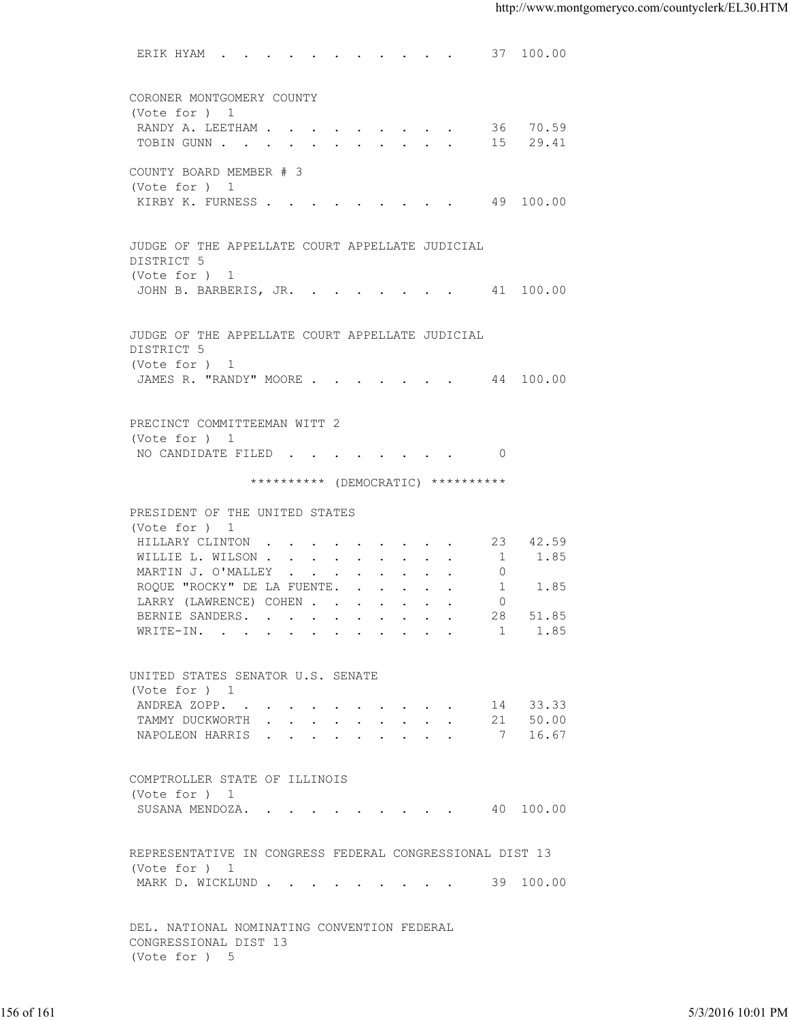ERIK HYAM . . . . . . . . . . . . 37 100.00 CORONER MONTGOMERY COUNTY (Vote for ) 1 RANDY A. LEETHAM . . . . . . . . . . 36 70.59<br>TOBIN GUNN . . . . . . . . . . . . 15 29.41 TOBIN GUNN . . . . . . . . . . . . COUNTY BOARD MEMBER # 3 (Vote for ) 1 KIRBY K. FURNESS . . . . . . . . . . 49 100.00 JUDGE OF THE APPELLATE COURT APPELLATE JUDICIAL DISTRICT 5 (Vote for ) 1 JOHN B. BARBERIS, JR. . . . . . . . 41 100.00 JUDGE OF THE APPELLATE COURT APPELLATE JUDICIAL DISTRICT 5 (Vote for ) 1 JAMES R. "RANDY" MOORE . . . . . . . 44 100.00 PRECINCT COMMITTEEMAN WITT 2 (Vote for ) 1 NO CANDIDATE FILED . . . . . . . . 0 \*\*\*\*\*\*\*\*\*\* (DEMOCRATIC) \*\*\*\*\*\*\*\*\*\* PRESIDENT OF THE UNITED STATES (Vote for ) 1 HILLARY CLINTON . . . . . . . . . 23 42.59<br>WILLIE L. WILSON . . . . . . . . . 1 1.85 WILLIE L. WILSON . . . . . . . . . . 1 1.85<br>MARTIN J. O'MALLEY . . . . . . . . 0 MARTIN J. O'MALLEY . . . . . . . . . ROQUE "ROCKY" DE LA FUENTE. . . . . . 1 1.85 LARRY (LAWRENCE) COHEN . . . . . . . 0 BERNIE SANDERS. . . . . . . . . . 28 51.85<br>WRITE-IN. . . . . . . . . . . . 1 1.85 WRITE-IN. . . . . . . . . . . . UNITED STATES SENATOR U.S. SENATE (Vote for ) 1 ANDREA ZOPP. . . . . . . . . . . 14 33.33<br>TAMMY DUCKWORTH . . . . . . . . . 21 50.00 TAMMY DUCKWORTH . . . . . . . . . . NAPOLEON HARRIS . . . . . . . . . 7 16.67 COMPTROLLER STATE OF ILLINOIS (Vote for ) 1 SUSANA MENDOZA. . . . . . . . . . 40 100.00 REPRESENTATIVE IN CONGRESS FEDERAL CONGRESSIONAL DIST 13 (Vote for ) 1 MARK D. WICKLUND . . . . . . . . . . 39 100.00 DEL. NATIONAL NOMINATING CONVENTION FEDERAL CONGRESSIONAL DIST 13 (Vote for ) 5 VIOLE FOR DUID CONTROLLER SOPEN CONTROLLER SOPEN CONTROLLER SOPEN CONTROLLER SOPEN CONTROLLER STATE OF ILLINOIS<br>
TAMPY DUCKWORTH<br>
COMPTROLLER STATE OF ILLINOIS<br>
(VOLE FOR ) 1<br>
SUGRANA MENDOZA. . . . . . . . . . . . . . . .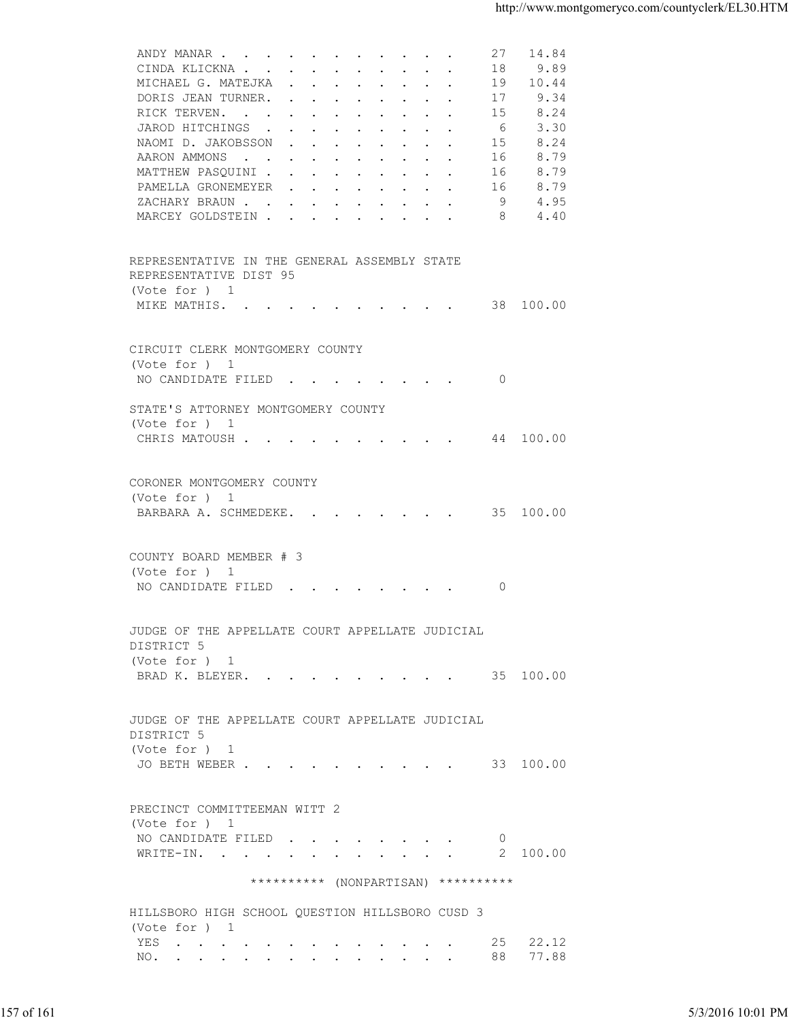| 9.89<br>CINDA KLICKNA<br>18<br>10.44<br>MICHAEL G. MATEJKA<br>19<br>DORIS JEAN TURNER.<br>17<br>9.34<br>8.24<br>RICK TERVEN.<br>15<br>3.30<br>JAROD HITCHINGS<br>- 6<br>8.24<br>NAOMI D. JAKOBSSON<br>15<br>8.79<br>AARON AMMONS<br>16<br>MATTHEW PASQUINI<br>8.79<br>16<br>8.79<br>PAMELLA GRONEMEYER<br>16<br>-9<br>4.95<br>ZACHARY BRAUN.<br>MARCEY GOLDSTEIN<br>4.40<br>8<br>REPRESENTATIVE IN THE GENERAL ASSEMBLY STATE<br>REPRESENTATIVE DIST 95<br>(Vote for ) 1<br>MIKE MATHIS. 38 100.00<br>CIRCUIT CLERK MONTGOMERY COUNTY<br>(Vote for ) 1<br>NO CANDIDATE FILED<br>- 0<br>STATE'S ATTORNEY MONTGOMERY COUNTY<br>(Vote for ) 1<br>CHRIS MATOUSH 44 100.00 |                   |
|-----------------------------------------------------------------------------------------------------------------------------------------------------------------------------------------------------------------------------------------------------------------------------------------------------------------------------------------------------------------------------------------------------------------------------------------------------------------------------------------------------------------------------------------------------------------------------------------------------------------------------------------------------------------------|-------------------|
|                                                                                                                                                                                                                                                                                                                                                                                                                                                                                                                                                                                                                                                                       |                   |
|                                                                                                                                                                                                                                                                                                                                                                                                                                                                                                                                                                                                                                                                       |                   |
|                                                                                                                                                                                                                                                                                                                                                                                                                                                                                                                                                                                                                                                                       |                   |
|                                                                                                                                                                                                                                                                                                                                                                                                                                                                                                                                                                                                                                                                       |                   |
|                                                                                                                                                                                                                                                                                                                                                                                                                                                                                                                                                                                                                                                                       |                   |
|                                                                                                                                                                                                                                                                                                                                                                                                                                                                                                                                                                                                                                                                       |                   |
|                                                                                                                                                                                                                                                                                                                                                                                                                                                                                                                                                                                                                                                                       |                   |
|                                                                                                                                                                                                                                                                                                                                                                                                                                                                                                                                                                                                                                                                       |                   |
|                                                                                                                                                                                                                                                                                                                                                                                                                                                                                                                                                                                                                                                                       |                   |
|                                                                                                                                                                                                                                                                                                                                                                                                                                                                                                                                                                                                                                                                       |                   |
|                                                                                                                                                                                                                                                                                                                                                                                                                                                                                                                                                                                                                                                                       |                   |
|                                                                                                                                                                                                                                                                                                                                                                                                                                                                                                                                                                                                                                                                       |                   |
|                                                                                                                                                                                                                                                                                                                                                                                                                                                                                                                                                                                                                                                                       |                   |
|                                                                                                                                                                                                                                                                                                                                                                                                                                                                                                                                                                                                                                                                       |                   |
|                                                                                                                                                                                                                                                                                                                                                                                                                                                                                                                                                                                                                                                                       |                   |
|                                                                                                                                                                                                                                                                                                                                                                                                                                                                                                                                                                                                                                                                       |                   |
|                                                                                                                                                                                                                                                                                                                                                                                                                                                                                                                                                                                                                                                                       |                   |
|                                                                                                                                                                                                                                                                                                                                                                                                                                                                                                                                                                                                                                                                       |                   |
|                                                                                                                                                                                                                                                                                                                                                                                                                                                                                                                                                                                                                                                                       |                   |
|                                                                                                                                                                                                                                                                                                                                                                                                                                                                                                                                                                                                                                                                       |                   |
|                                                                                                                                                                                                                                                                                                                                                                                                                                                                                                                                                                                                                                                                       |                   |
|                                                                                                                                                                                                                                                                                                                                                                                                                                                                                                                                                                                                                                                                       |                   |
| CORONER MONTGOMERY COUNTY<br>(Vote for ) 1                                                                                                                                                                                                                                                                                                                                                                                                                                                                                                                                                                                                                            |                   |
| BARBARA A. SCHMEDEKE. 35 100.00                                                                                                                                                                                                                                                                                                                                                                                                                                                                                                                                                                                                                                       |                   |
|                                                                                                                                                                                                                                                                                                                                                                                                                                                                                                                                                                                                                                                                       |                   |
| COUNTY BOARD MEMBER # 3                                                                                                                                                                                                                                                                                                                                                                                                                                                                                                                                                                                                                                               |                   |
| (Vote for ) 1                                                                                                                                                                                                                                                                                                                                                                                                                                                                                                                                                                                                                                                         |                   |
| NO CANDIDATE FILED<br>- 0                                                                                                                                                                                                                                                                                                                                                                                                                                                                                                                                                                                                                                             |                   |
|                                                                                                                                                                                                                                                                                                                                                                                                                                                                                                                                                                                                                                                                       |                   |
| JUDGE OF THE APPELLATE COURT APPELLATE JUDICIAL                                                                                                                                                                                                                                                                                                                                                                                                                                                                                                                                                                                                                       |                   |
| DISTRICT 5                                                                                                                                                                                                                                                                                                                                                                                                                                                                                                                                                                                                                                                            |                   |
| (Vote for ) 1<br>BRAD K. BLEYER. 35 100.00                                                                                                                                                                                                                                                                                                                                                                                                                                                                                                                                                                                                                            |                   |
|                                                                                                                                                                                                                                                                                                                                                                                                                                                                                                                                                                                                                                                                       |                   |
|                                                                                                                                                                                                                                                                                                                                                                                                                                                                                                                                                                                                                                                                       |                   |
| JUDGE OF THE APPELLATE COURT APPELLATE JUDICIAL<br>DISTRICT 5                                                                                                                                                                                                                                                                                                                                                                                                                                                                                                                                                                                                         |                   |
| (Vote for ) 1                                                                                                                                                                                                                                                                                                                                                                                                                                                                                                                                                                                                                                                         |                   |
| JO BETH WEBER 33 100.00                                                                                                                                                                                                                                                                                                                                                                                                                                                                                                                                                                                                                                               |                   |
|                                                                                                                                                                                                                                                                                                                                                                                                                                                                                                                                                                                                                                                                       |                   |
| PRECINCT COMMITTEEMAN WITT 2                                                                                                                                                                                                                                                                                                                                                                                                                                                                                                                                                                                                                                          |                   |
| (Vote for ) 1                                                                                                                                                                                                                                                                                                                                                                                                                                                                                                                                                                                                                                                         |                   |
| NO CANDIDATE FILED<br>$\overline{0}$                                                                                                                                                                                                                                                                                                                                                                                                                                                                                                                                                                                                                                  |                   |
| WRITE-IN. 2 100.00                                                                                                                                                                                                                                                                                                                                                                                                                                                                                                                                                                                                                                                    |                   |
| ********** (NONPARTISAN) **********                                                                                                                                                                                                                                                                                                                                                                                                                                                                                                                                                                                                                                   |                   |
| HILLSBORO HIGH SCHOOL QUESTION HILLSBORO CUSD 3                                                                                                                                                                                                                                                                                                                                                                                                                                                                                                                                                                                                                       |                   |
| (Vote for ) 1                                                                                                                                                                                                                                                                                                                                                                                                                                                                                                                                                                                                                                                         |                   |
| YES 25 22.12                                                                                                                                                                                                                                                                                                                                                                                                                                                                                                                                                                                                                                                          |                   |
| NO. 88 77.88                                                                                                                                                                                                                                                                                                                                                                                                                                                                                                                                                                                                                                                          |                   |
|                                                                                                                                                                                                                                                                                                                                                                                                                                                                                                                                                                                                                                                                       |                   |
|                                                                                                                                                                                                                                                                                                                                                                                                                                                                                                                                                                                                                                                                       |                   |
| 157 of 161                                                                                                                                                                                                                                                                                                                                                                                                                                                                                                                                                                                                                                                            | 5/3/2016 10:01 PM |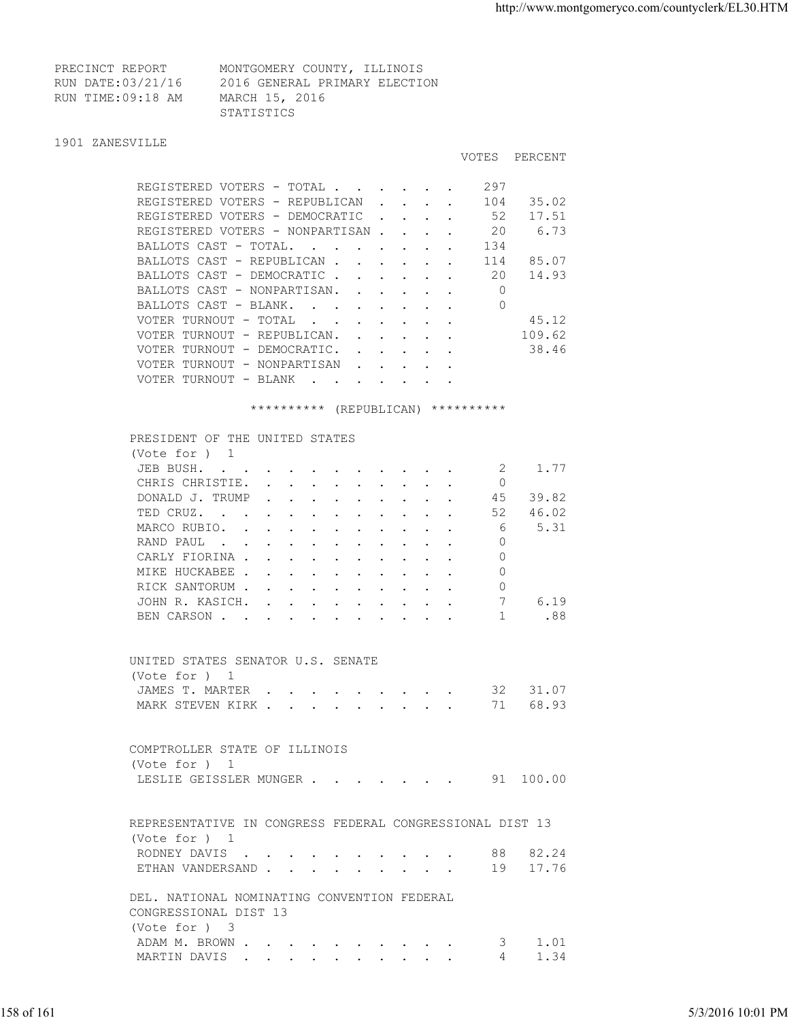VOTES PERCENT

| PRECINCT REPORT   | MONTGOMERY COUNTY, ILLINOIS   |  |
|-------------------|-------------------------------|--|
| RUN DATE:03/21/16 | 2016 GENERAL PRIMARY ELECTION |  |
| RUN TIME:09:18 AM | MARCH 15, 2016                |  |
|                   | STATISTICS                    |  |

## 1901 ZANESVILLE

| REGISTERED VOTERS - TOTAL        |                          |                                      |        |  | 297 |        |
|----------------------------------|--------------------------|--------------------------------------|--------|--|-----|--------|
| REGISTERED VOTERS - REPUBLICAN   |                          |                                      |        |  | 104 | 35.02  |
| REGISTERED VOTERS - DEMOCRATIC   |                          |                                      | $\sim$ |  | 52  | 17.51  |
| REGISTERED VOTERS - NONPARTISAN. |                          |                                      |        |  | 20  | 6.73   |
| BALLOTS CAST - TOTAL.            | <b>Contract Contract</b> | and the state of the state of the    |        |  | 134 |        |
| BALLOTS CAST - REPUBLICAN        |                          |                                      |        |  | 114 | 85.07  |
| BALLOTS CAST - DEMOCRATIC.       |                          |                                      |        |  | 20  | 14.93  |
| BALLOTS CAST - NONPARTISAN.      |                          | $\mathbf{L} = \mathbf{L}$            |        |  |     |        |
| BALLOTS CAST - BLANK.            | <b>Contract Contract</b> |                                      |        |  | 0   |        |
| VOTER TURNOUT - TOTAL            |                          |                                      |        |  |     | 45.12  |
| VOTER TURNOUT - REPUBLICAN.      |                          | $\mathbf{L} = \mathbf{L}$            |        |  |     | 109.62 |
| VOTER TURNOUT - DEMOCRATIC.      |                          | $\sim$                               |        |  |     | 38.46  |
| VOTER TURNOUT - NONPARTISAN      |                          | $\mathbf{L} = \mathbf{L} \mathbf{L}$ |        |  |     |        |
| VOTER TURNOUT - BLANK            | $\sim 100$ km s $^{-1}$  | $\sim$ $\sim$ $\sim$ $\sim$ $\sim$   |        |  |     |        |

\*\*\*\*\*\*\*\*\*\* (REPUBLICAN) \*\*\*\*\*\*\*\*\*\*

| (Vote for $)$ 1<br>JEB BUSH.<br>1.77<br>- 2<br>CHRIS CHRISTIE.<br>$\Omega$<br>45<br>39.82<br>DONALD J. TRUMP<br>46.02<br>TED CRUZ.<br>52<br>5.31<br>6<br>MARCO RUBIO.<br>RAND PAUL<br>$\Omega$<br>$\Omega$<br>CARLY FIORINA<br>MIKE HUCKABEE<br>$\Omega$<br>$\circ$<br>RICK SANTORUM<br>7<br>6.19<br>JOHN R. KASICH.<br>.88<br>BEN CARSON<br>1<br>UNITED STATES SENATOR U.S. SENATE<br>(Vote for ) 1<br>JAMES T. MARTER 32 31.07<br>MARK STEVEN KIRK 71 68.93<br>COMPTROLLER STATE OF ILLINOIS<br>(Vote for ) 1<br>LESLIE GEISSLER MUNGER 91 100.00<br>REPRESENTATIVE IN CONGRESS FEDERAL CONGRESSIONAL DIST 13<br>(Vote for ) 1<br>RODNEY DAVIS 88 82.24<br>ETHAN VANDERSAND 19 17.76<br>DEL. NATIONAL NOMINATING CONVENTION FEDERAL<br>CONGRESSIONAL DIST 13<br>(Vote for ) 3<br>ADAM M. BROWN<br>1.01<br>3<br>1.34<br>MARTIN DAVIS<br>4 |            |                   |
|--------------------------------------------------------------------------------------------------------------------------------------------------------------------------------------------------------------------------------------------------------------------------------------------------------------------------------------------------------------------------------------------------------------------------------------------------------------------------------------------------------------------------------------------------------------------------------------------------------------------------------------------------------------------------------------------------------------------------------------------------------------------------------------------------------------------------------------------|------------|-------------------|
|                                                                                                                                                                                                                                                                                                                                                                                                                                                                                                                                                                                                                                                                                                                                                                                                                                            |            |                   |
|                                                                                                                                                                                                                                                                                                                                                                                                                                                                                                                                                                                                                                                                                                                                                                                                                                            |            |                   |
|                                                                                                                                                                                                                                                                                                                                                                                                                                                                                                                                                                                                                                                                                                                                                                                                                                            |            |                   |
|                                                                                                                                                                                                                                                                                                                                                                                                                                                                                                                                                                                                                                                                                                                                                                                                                                            |            |                   |
|                                                                                                                                                                                                                                                                                                                                                                                                                                                                                                                                                                                                                                                                                                                                                                                                                                            |            |                   |
|                                                                                                                                                                                                                                                                                                                                                                                                                                                                                                                                                                                                                                                                                                                                                                                                                                            |            |                   |
|                                                                                                                                                                                                                                                                                                                                                                                                                                                                                                                                                                                                                                                                                                                                                                                                                                            |            |                   |
|                                                                                                                                                                                                                                                                                                                                                                                                                                                                                                                                                                                                                                                                                                                                                                                                                                            |            |                   |
|                                                                                                                                                                                                                                                                                                                                                                                                                                                                                                                                                                                                                                                                                                                                                                                                                                            |            |                   |
|                                                                                                                                                                                                                                                                                                                                                                                                                                                                                                                                                                                                                                                                                                                                                                                                                                            |            |                   |
|                                                                                                                                                                                                                                                                                                                                                                                                                                                                                                                                                                                                                                                                                                                                                                                                                                            |            |                   |
|                                                                                                                                                                                                                                                                                                                                                                                                                                                                                                                                                                                                                                                                                                                                                                                                                                            |            |                   |
|                                                                                                                                                                                                                                                                                                                                                                                                                                                                                                                                                                                                                                                                                                                                                                                                                                            |            |                   |
|                                                                                                                                                                                                                                                                                                                                                                                                                                                                                                                                                                                                                                                                                                                                                                                                                                            |            |                   |
|                                                                                                                                                                                                                                                                                                                                                                                                                                                                                                                                                                                                                                                                                                                                                                                                                                            |            |                   |
|                                                                                                                                                                                                                                                                                                                                                                                                                                                                                                                                                                                                                                                                                                                                                                                                                                            |            |                   |
|                                                                                                                                                                                                                                                                                                                                                                                                                                                                                                                                                                                                                                                                                                                                                                                                                                            |            |                   |
|                                                                                                                                                                                                                                                                                                                                                                                                                                                                                                                                                                                                                                                                                                                                                                                                                                            |            |                   |
|                                                                                                                                                                                                                                                                                                                                                                                                                                                                                                                                                                                                                                                                                                                                                                                                                                            |            |                   |
|                                                                                                                                                                                                                                                                                                                                                                                                                                                                                                                                                                                                                                                                                                                                                                                                                                            |            |                   |
|                                                                                                                                                                                                                                                                                                                                                                                                                                                                                                                                                                                                                                                                                                                                                                                                                                            |            |                   |
|                                                                                                                                                                                                                                                                                                                                                                                                                                                                                                                                                                                                                                                                                                                                                                                                                                            |            |                   |
|                                                                                                                                                                                                                                                                                                                                                                                                                                                                                                                                                                                                                                                                                                                                                                                                                                            |            |                   |
|                                                                                                                                                                                                                                                                                                                                                                                                                                                                                                                                                                                                                                                                                                                                                                                                                                            |            |                   |
|                                                                                                                                                                                                                                                                                                                                                                                                                                                                                                                                                                                                                                                                                                                                                                                                                                            |            |                   |
|                                                                                                                                                                                                                                                                                                                                                                                                                                                                                                                                                                                                                                                                                                                                                                                                                                            |            |                   |
|                                                                                                                                                                                                                                                                                                                                                                                                                                                                                                                                                                                                                                                                                                                                                                                                                                            |            |                   |
|                                                                                                                                                                                                                                                                                                                                                                                                                                                                                                                                                                                                                                                                                                                                                                                                                                            |            |                   |
|                                                                                                                                                                                                                                                                                                                                                                                                                                                                                                                                                                                                                                                                                                                                                                                                                                            |            |                   |
|                                                                                                                                                                                                                                                                                                                                                                                                                                                                                                                                                                                                                                                                                                                                                                                                                                            |            |                   |
|                                                                                                                                                                                                                                                                                                                                                                                                                                                                                                                                                                                                                                                                                                                                                                                                                                            |            |                   |
|                                                                                                                                                                                                                                                                                                                                                                                                                                                                                                                                                                                                                                                                                                                                                                                                                                            |            |                   |
|                                                                                                                                                                                                                                                                                                                                                                                                                                                                                                                                                                                                                                                                                                                                                                                                                                            |            |                   |
|                                                                                                                                                                                                                                                                                                                                                                                                                                                                                                                                                                                                                                                                                                                                                                                                                                            |            |                   |
|                                                                                                                                                                                                                                                                                                                                                                                                                                                                                                                                                                                                                                                                                                                                                                                                                                            |            |                   |
|                                                                                                                                                                                                                                                                                                                                                                                                                                                                                                                                                                                                                                                                                                                                                                                                                                            | 158 of 161 | 5/3/2016 10:01 PM |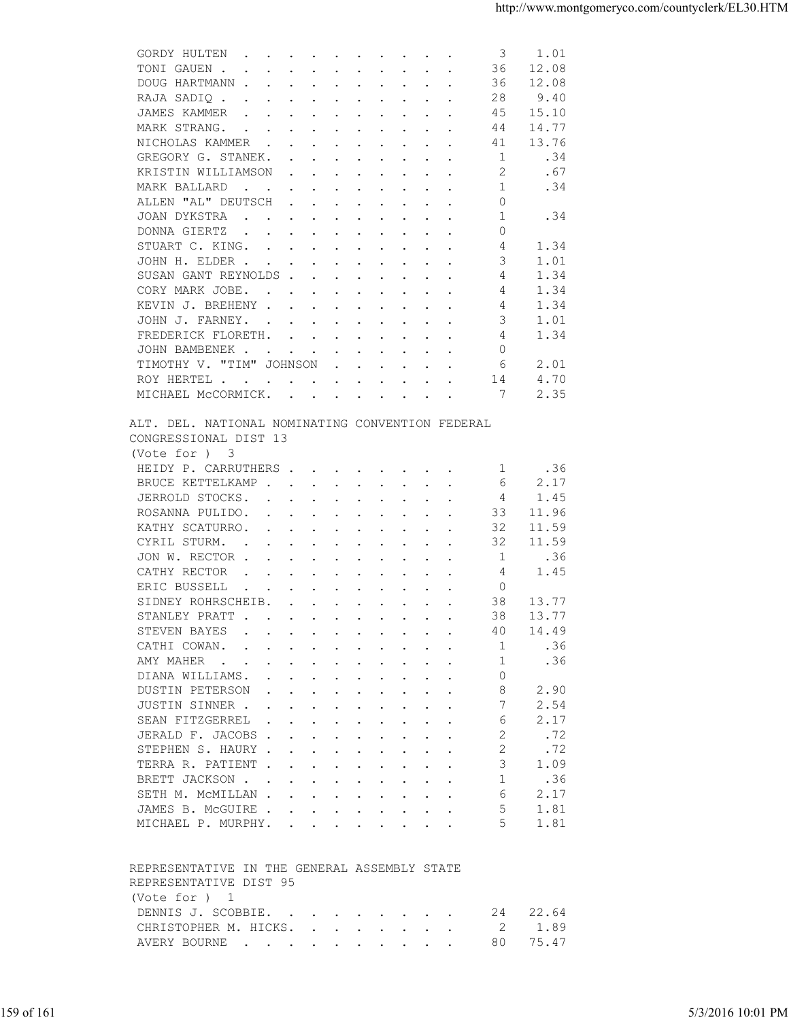|                                                                                                                                                                                                                                                                             | 1.01  |
|-----------------------------------------------------------------------------------------------------------------------------------------------------------------------------------------------------------------------------------------------------------------------------|-------|
| TONI GAUEN.<br>36<br>$\mathbf{r}$ , and $\mathbf{r}$ , and $\mathbf{r}$ , and $\mathbf{r}$ , and $\mathbf{r}$ , and $\mathbf{r}$                                                                                                                                            | 12.08 |
| DOUG HARTMANN<br>36                                                                                                                                                                                                                                                         | 12.08 |
| 28<br>RAJA SADIQ                                                                                                                                                                                                                                                            | 9.40  |
| JAMES KAMMER<br>45<br>the contract of the contract of the contract of the contract of the contract of the contract of the contract of                                                                                                                                       | 15.10 |
| MARK STRANG.<br>44<br>$\mathbf{a}$ and $\mathbf{a}$ are a set of the set of the set of the set of the set of the set of the set of the set of the set of the set of the set of the set of the set of the set of the set of the set of the set of the set of                 | 14.77 |
|                                                                                                                                                                                                                                                                             |       |
| NICHOLAS KAMMER<br>41                                                                                                                                                                                                                                                       | 13.76 |
| GREGORY G. STANEK.<br>-1                                                                                                                                                                                                                                                    | .34   |
| KRISTIN WILLIAMSON<br>2                                                                                                                                                                                                                                                     | .67   |
| 1<br>MARK BALLARD<br>the contract of the contract of the contract of the contract of the contract of the contract of the contract of                                                                                                                                        | .34   |
| ALLEN "AL" DEUTSCH<br>0<br>$\mathbf{r}$ . The set of the set of the set of the set of the set of the set of the set of the set of the set of the set of the set of the set of the set of the set of the set of the set of the set of the set of the set of t                |       |
| 1<br>JOAN DYKSTRA                                                                                                                                                                                                                                                           | .34   |
| $\Omega$<br>DONNA GIERTZ<br>$\mathbf{r}$ , and $\mathbf{r}$ , and $\mathbf{r}$ , and $\mathbf{r}$ , and $\mathbf{r}$                                                                                                                                                        |       |
| STUART C. KING.<br>4                                                                                                                                                                                                                                                        | 1.34  |
| JOHN H. ELDER<br>3                                                                                                                                                                                                                                                          | 1.01  |
| SUSAN GANT REYNOLDS<br>4                                                                                                                                                                                                                                                    | 1.34  |
|                                                                                                                                                                                                                                                                             |       |
| CORY MARK JOBE.<br>4                                                                                                                                                                                                                                                        | 1.34  |
| KEVIN J. BREHENY<br>4                                                                                                                                                                                                                                                       | 1.34  |
| JOHN J. FARNEY.<br>3                                                                                                                                                                                                                                                        | 1.01  |
| FREDERICK FLORETH.<br>4                                                                                                                                                                                                                                                     | 1.34  |
| $\mathbf{0}$<br>JOHN BAMBENEK                                                                                                                                                                                                                                               |       |
| TIMOTHY V. "TIM" JOHNSON<br>6                                                                                                                                                                                                                                               | 2.01  |
| 14<br>ROY HERTEL                                                                                                                                                                                                                                                            | 4.70  |
| MICHAEL MCCORMICK.<br>7                                                                                                                                                                                                                                                     | 2.35  |
|                                                                                                                                                                                                                                                                             |       |
| ALT. DEL. NATIONAL NOMINATING CONVENTION FEDERAL<br>CONGRESSIONAL DIST 13<br>(Vote for ) 3                                                                                                                                                                                  |       |
| HEIDY P. CARRUTHERS<br>1                                                                                                                                                                                                                                                    | .36   |
| BRUCE KETTELKAMP<br>6                                                                                                                                                                                                                                                       | 2.17  |
| JERROLD STOCKS.<br>4                                                                                                                                                                                                                                                        | 1.45  |
| 33                                                                                                                                                                                                                                                                          | 11.96 |
| ROSANNA PULIDO.                                                                                                                                                                                                                                                             |       |
| KATHY SCATURRO.<br>32                                                                                                                                                                                                                                                       | 11.59 |
| CYRIL STURM.<br>32<br>$\mathbf{r}$ . The contract of the contract of the contract of the contract of the contract of the contract of the contract of the contract of the contract of the contract of the contract of the contract of the contract of th                     | 11.59 |
| 1<br>JON W. RECTOR                                                                                                                                                                                                                                                          | .36   |
| CATHY RECTOR<br>4<br>$\mathbf{r}$ . The set of the set of the set of the set of the set of the set of the set of the set of the set of the set of the set of the set of the set of the set of the set of the set of the set of the set of the set of t                      | 1.45  |
| $\overline{0}$<br>ERIC BUSSELL<br>$\mathcal{A}^{\mathcal{A}}$ . The set of the set of the set of the set of the set of the set of the set of the set of the set of the set of the set of the set of the set of the set of the set of the set of the set of the set of the s |       |
| 38<br>SIDNEY ROHRSCHEIB.                                                                                                                                                                                                                                                    | 13.77 |
| STANLEY PRATT<br>38                                                                                                                                                                                                                                                         | 13.77 |
| STEVEN BAYES<br>$\mathbf{a}$ and $\mathbf{a}$ are a set of the set of the set of the set of the set of the set of the set of the set of the set of the set of the set of the set of the set of the set of the set of the set of the set of the set of<br>40                 | 14.49 |
|                                                                                                                                                                                                                                                                             |       |
| CATHI COWAN.<br>1<br>$\mathbf{r}$ , and $\mathbf{r}$ , and $\mathbf{r}$ , and $\mathbf{r}$ , and $\mathbf{r}$                                                                                                                                                               | .36   |
| AMY MAHER<br>-1                                                                                                                                                                                                                                                             | .36   |
| DIANA WILLIAMS.<br>$\Omega$                                                                                                                                                                                                                                                 |       |
| 8<br>DUSTIN PETERSON                                                                                                                                                                                                                                                        | 2.90  |
| JUSTIN SINNER                                                                                                                                                                                                                                                               | 2.54  |
| SEAN FITZGERREL<br>6<br>$\mathbf{r}$ , $\mathbf{r}$ , $\mathbf{r}$ , $\mathbf{r}$ , $\mathbf{r}$ , $\mathbf{r}$ , $\mathbf{r}$                                                                                                                                              | 2.17  |
| JERALD F. JACOBS<br>2                                                                                                                                                                                                                                                       | .72   |
|                                                                                                                                                                                                                                                                             |       |
| STEPHEN S. HAURY<br>2                                                                                                                                                                                                                                                       | .72   |
| 3<br>TERRA R. PATIENT                                                                                                                                                                                                                                                       | 1.09  |
| BRETT JACKSON<br>$\overline{1}$                                                                                                                                                                                                                                             | .36   |
| SETH M. MCMILLAN<br>6                                                                                                                                                                                                                                                       | 2.17  |
| 5<br>JAMES B. MCGUIRE                                                                                                                                                                                                                                                       | 1.81  |
| MICHAEL P. MURPHY.<br>5                                                                                                                                                                                                                                                     | 1.81  |
| REPRESENTATIVE IN THE GENERAL ASSEMBLY STATE<br>REPRESENTATIVE DIST 95                                                                                                                                                                                                      |       |
|                                                                                                                                                                                                                                                                             |       |
|                                                                                                                                                                                                                                                                             |       |
| DENNIS J. SCOBBIE.<br>24<br>the contract of the contract of the contract of the contract of the contract of the contract of the contract of                                                                                                                                 | 1.89  |
| 2<br>CHRISTOPHER M. HICKS.                                                                                                                                                                                                                                                  |       |
| (Vote for ) 1                                                                                                                                                                                                                                                               | 22.64 |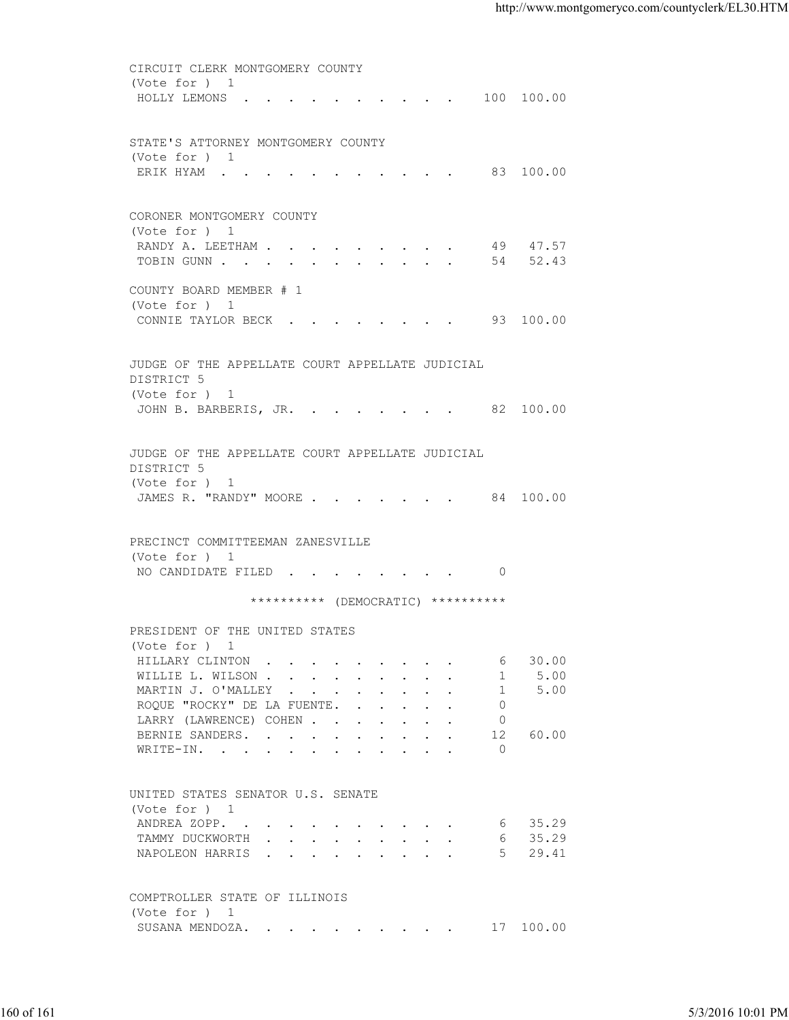| HOLLY LEMONS 100 100.00<br>STATE'S ATTORNEY MONTGOMERY COUNTY<br>(Vote for ) 1<br>ERIK HYAM 83 100.00<br>CORONER MONTGOMERY COUNTY<br>(Vote for ) 1<br>RANDY A. LEETHAM 49 47.57<br>TOBIN GUNN 54 52.43<br>COUNTY BOARD MEMBER # 1<br>(Vote for ) 1<br>CONNIE TAYLOR BECK 93 100.00<br>JUDGE OF THE APPELLATE COURT APPELLATE JUDICIAL<br>DISTRICT 5<br>(Vote for ) 1<br>JOHN B. BARBERIS, JR. 82 100.00<br>JUDGE OF THE APPELLATE COURT APPELLATE JUDICIAL<br>DISTRICT 5<br>(Vote for ) 1<br>JAMES R. "RANDY" MOORE 84 100.00<br>PRECINCT COMMITTEEMAN ZANESVILLE<br>(Vote for ) 1<br>NO CANDIDATE FILED 0<br>********** (DEMOCRATIC) **********<br>PRESIDENT OF THE UNITED STATES<br>(Vote for ) 1<br>HILLARY CLINTON<br>30.00<br>6<br>5.00<br>WILLIE L. WILSON<br>1<br>5.00<br>MARTIN J. O'MALLEY<br>1<br>ROQUE "ROCKY" DE LA FUENTE.<br>$\overline{0}$<br>LARRY (LAWRENCE) COHEN<br>$\circ$<br>BERNIE SANDERS.<br>12<br>60.00<br>$\circ$<br>WRITE-IN.<br>UNITED STATES SENATOR U.S. SENATE<br>(Vote for ) 1<br>35.29<br>ANDREA ZOPP.<br>6<br>35.29<br>TAMMY DUCKWORTH<br>6<br>29.41<br>NAPOLEON HARRIS<br>5<br>COMPTROLLER STATE OF ILLINOIS<br>(Vote for ) 1<br>17 100.00<br>SUSANA MENDOZA.<br>5/3/2016 10:01 PM | CIRCUIT CLERK MONTGOMERY COUNTY |  |  |
|------------------------------------------------------------------------------------------------------------------------------------------------------------------------------------------------------------------------------------------------------------------------------------------------------------------------------------------------------------------------------------------------------------------------------------------------------------------------------------------------------------------------------------------------------------------------------------------------------------------------------------------------------------------------------------------------------------------------------------------------------------------------------------------------------------------------------------------------------------------------------------------------------------------------------------------------------------------------------------------------------------------------------------------------------------------------------------------------------------------------------------------------------------------------------------------------------------------------|---------------------------------|--|--|
| 160 of 161                                                                                                                                                                                                                                                                                                                                                                                                                                                                                                                                                                                                                                                                                                                                                                                                                                                                                                                                                                                                                                                                                                                                                                                                             | (Vote for ) 1                   |  |  |
|                                                                                                                                                                                                                                                                                                                                                                                                                                                                                                                                                                                                                                                                                                                                                                                                                                                                                                                                                                                                                                                                                                                                                                                                                        |                                 |  |  |
|                                                                                                                                                                                                                                                                                                                                                                                                                                                                                                                                                                                                                                                                                                                                                                                                                                                                                                                                                                                                                                                                                                                                                                                                                        |                                 |  |  |
|                                                                                                                                                                                                                                                                                                                                                                                                                                                                                                                                                                                                                                                                                                                                                                                                                                                                                                                                                                                                                                                                                                                                                                                                                        |                                 |  |  |
|                                                                                                                                                                                                                                                                                                                                                                                                                                                                                                                                                                                                                                                                                                                                                                                                                                                                                                                                                                                                                                                                                                                                                                                                                        |                                 |  |  |
|                                                                                                                                                                                                                                                                                                                                                                                                                                                                                                                                                                                                                                                                                                                                                                                                                                                                                                                                                                                                                                                                                                                                                                                                                        |                                 |  |  |
|                                                                                                                                                                                                                                                                                                                                                                                                                                                                                                                                                                                                                                                                                                                                                                                                                                                                                                                                                                                                                                                                                                                                                                                                                        |                                 |  |  |
|                                                                                                                                                                                                                                                                                                                                                                                                                                                                                                                                                                                                                                                                                                                                                                                                                                                                                                                                                                                                                                                                                                                                                                                                                        |                                 |  |  |
|                                                                                                                                                                                                                                                                                                                                                                                                                                                                                                                                                                                                                                                                                                                                                                                                                                                                                                                                                                                                                                                                                                                                                                                                                        |                                 |  |  |
|                                                                                                                                                                                                                                                                                                                                                                                                                                                                                                                                                                                                                                                                                                                                                                                                                                                                                                                                                                                                                                                                                                                                                                                                                        |                                 |  |  |
|                                                                                                                                                                                                                                                                                                                                                                                                                                                                                                                                                                                                                                                                                                                                                                                                                                                                                                                                                                                                                                                                                                                                                                                                                        |                                 |  |  |
|                                                                                                                                                                                                                                                                                                                                                                                                                                                                                                                                                                                                                                                                                                                                                                                                                                                                                                                                                                                                                                                                                                                                                                                                                        |                                 |  |  |
|                                                                                                                                                                                                                                                                                                                                                                                                                                                                                                                                                                                                                                                                                                                                                                                                                                                                                                                                                                                                                                                                                                                                                                                                                        |                                 |  |  |
|                                                                                                                                                                                                                                                                                                                                                                                                                                                                                                                                                                                                                                                                                                                                                                                                                                                                                                                                                                                                                                                                                                                                                                                                                        |                                 |  |  |
|                                                                                                                                                                                                                                                                                                                                                                                                                                                                                                                                                                                                                                                                                                                                                                                                                                                                                                                                                                                                                                                                                                                                                                                                                        |                                 |  |  |
|                                                                                                                                                                                                                                                                                                                                                                                                                                                                                                                                                                                                                                                                                                                                                                                                                                                                                                                                                                                                                                                                                                                                                                                                                        |                                 |  |  |
|                                                                                                                                                                                                                                                                                                                                                                                                                                                                                                                                                                                                                                                                                                                                                                                                                                                                                                                                                                                                                                                                                                                                                                                                                        |                                 |  |  |
|                                                                                                                                                                                                                                                                                                                                                                                                                                                                                                                                                                                                                                                                                                                                                                                                                                                                                                                                                                                                                                                                                                                                                                                                                        |                                 |  |  |
|                                                                                                                                                                                                                                                                                                                                                                                                                                                                                                                                                                                                                                                                                                                                                                                                                                                                                                                                                                                                                                                                                                                                                                                                                        |                                 |  |  |
|                                                                                                                                                                                                                                                                                                                                                                                                                                                                                                                                                                                                                                                                                                                                                                                                                                                                                                                                                                                                                                                                                                                                                                                                                        |                                 |  |  |
|                                                                                                                                                                                                                                                                                                                                                                                                                                                                                                                                                                                                                                                                                                                                                                                                                                                                                                                                                                                                                                                                                                                                                                                                                        |                                 |  |  |
|                                                                                                                                                                                                                                                                                                                                                                                                                                                                                                                                                                                                                                                                                                                                                                                                                                                                                                                                                                                                                                                                                                                                                                                                                        |                                 |  |  |
|                                                                                                                                                                                                                                                                                                                                                                                                                                                                                                                                                                                                                                                                                                                                                                                                                                                                                                                                                                                                                                                                                                                                                                                                                        |                                 |  |  |
|                                                                                                                                                                                                                                                                                                                                                                                                                                                                                                                                                                                                                                                                                                                                                                                                                                                                                                                                                                                                                                                                                                                                                                                                                        |                                 |  |  |
|                                                                                                                                                                                                                                                                                                                                                                                                                                                                                                                                                                                                                                                                                                                                                                                                                                                                                                                                                                                                                                                                                                                                                                                                                        |                                 |  |  |
|                                                                                                                                                                                                                                                                                                                                                                                                                                                                                                                                                                                                                                                                                                                                                                                                                                                                                                                                                                                                                                                                                                                                                                                                                        |                                 |  |  |
|                                                                                                                                                                                                                                                                                                                                                                                                                                                                                                                                                                                                                                                                                                                                                                                                                                                                                                                                                                                                                                                                                                                                                                                                                        |                                 |  |  |
|                                                                                                                                                                                                                                                                                                                                                                                                                                                                                                                                                                                                                                                                                                                                                                                                                                                                                                                                                                                                                                                                                                                                                                                                                        |                                 |  |  |
|                                                                                                                                                                                                                                                                                                                                                                                                                                                                                                                                                                                                                                                                                                                                                                                                                                                                                                                                                                                                                                                                                                                                                                                                                        |                                 |  |  |
|                                                                                                                                                                                                                                                                                                                                                                                                                                                                                                                                                                                                                                                                                                                                                                                                                                                                                                                                                                                                                                                                                                                                                                                                                        |                                 |  |  |
|                                                                                                                                                                                                                                                                                                                                                                                                                                                                                                                                                                                                                                                                                                                                                                                                                                                                                                                                                                                                                                                                                                                                                                                                                        |                                 |  |  |
|                                                                                                                                                                                                                                                                                                                                                                                                                                                                                                                                                                                                                                                                                                                                                                                                                                                                                                                                                                                                                                                                                                                                                                                                                        |                                 |  |  |
|                                                                                                                                                                                                                                                                                                                                                                                                                                                                                                                                                                                                                                                                                                                                                                                                                                                                                                                                                                                                                                                                                                                                                                                                                        |                                 |  |  |
|                                                                                                                                                                                                                                                                                                                                                                                                                                                                                                                                                                                                                                                                                                                                                                                                                                                                                                                                                                                                                                                                                                                                                                                                                        |                                 |  |  |
|                                                                                                                                                                                                                                                                                                                                                                                                                                                                                                                                                                                                                                                                                                                                                                                                                                                                                                                                                                                                                                                                                                                                                                                                                        |                                 |  |  |
|                                                                                                                                                                                                                                                                                                                                                                                                                                                                                                                                                                                                                                                                                                                                                                                                                                                                                                                                                                                                                                                                                                                                                                                                                        |                                 |  |  |
|                                                                                                                                                                                                                                                                                                                                                                                                                                                                                                                                                                                                                                                                                                                                                                                                                                                                                                                                                                                                                                                                                                                                                                                                                        |                                 |  |  |
|                                                                                                                                                                                                                                                                                                                                                                                                                                                                                                                                                                                                                                                                                                                                                                                                                                                                                                                                                                                                                                                                                                                                                                                                                        |                                 |  |  |
|                                                                                                                                                                                                                                                                                                                                                                                                                                                                                                                                                                                                                                                                                                                                                                                                                                                                                                                                                                                                                                                                                                                                                                                                                        |                                 |  |  |
|                                                                                                                                                                                                                                                                                                                                                                                                                                                                                                                                                                                                                                                                                                                                                                                                                                                                                                                                                                                                                                                                                                                                                                                                                        |                                 |  |  |
|                                                                                                                                                                                                                                                                                                                                                                                                                                                                                                                                                                                                                                                                                                                                                                                                                                                                                                                                                                                                                                                                                                                                                                                                                        |                                 |  |  |
|                                                                                                                                                                                                                                                                                                                                                                                                                                                                                                                                                                                                                                                                                                                                                                                                                                                                                                                                                                                                                                                                                                                                                                                                                        |                                 |  |  |
|                                                                                                                                                                                                                                                                                                                                                                                                                                                                                                                                                                                                                                                                                                                                                                                                                                                                                                                                                                                                                                                                                                                                                                                                                        |                                 |  |  |
|                                                                                                                                                                                                                                                                                                                                                                                                                                                                                                                                                                                                                                                                                                                                                                                                                                                                                                                                                                                                                                                                                                                                                                                                                        |                                 |  |  |
|                                                                                                                                                                                                                                                                                                                                                                                                                                                                                                                                                                                                                                                                                                                                                                                                                                                                                                                                                                                                                                                                                                                                                                                                                        |                                 |  |  |
|                                                                                                                                                                                                                                                                                                                                                                                                                                                                                                                                                                                                                                                                                                                                                                                                                                                                                                                                                                                                                                                                                                                                                                                                                        |                                 |  |  |
|                                                                                                                                                                                                                                                                                                                                                                                                                                                                                                                                                                                                                                                                                                                                                                                                                                                                                                                                                                                                                                                                                                                                                                                                                        |                                 |  |  |
|                                                                                                                                                                                                                                                                                                                                                                                                                                                                                                                                                                                                                                                                                                                                                                                                                                                                                                                                                                                                                                                                                                                                                                                                                        |                                 |  |  |
|                                                                                                                                                                                                                                                                                                                                                                                                                                                                                                                                                                                                                                                                                                                                                                                                                                                                                                                                                                                                                                                                                                                                                                                                                        |                                 |  |  |
|                                                                                                                                                                                                                                                                                                                                                                                                                                                                                                                                                                                                                                                                                                                                                                                                                                                                                                                                                                                                                                                                                                                                                                                                                        |                                 |  |  |
|                                                                                                                                                                                                                                                                                                                                                                                                                                                                                                                                                                                                                                                                                                                                                                                                                                                                                                                                                                                                                                                                                                                                                                                                                        |                                 |  |  |
|                                                                                                                                                                                                                                                                                                                                                                                                                                                                                                                                                                                                                                                                                                                                                                                                                                                                                                                                                                                                                                                                                                                                                                                                                        |                                 |  |  |